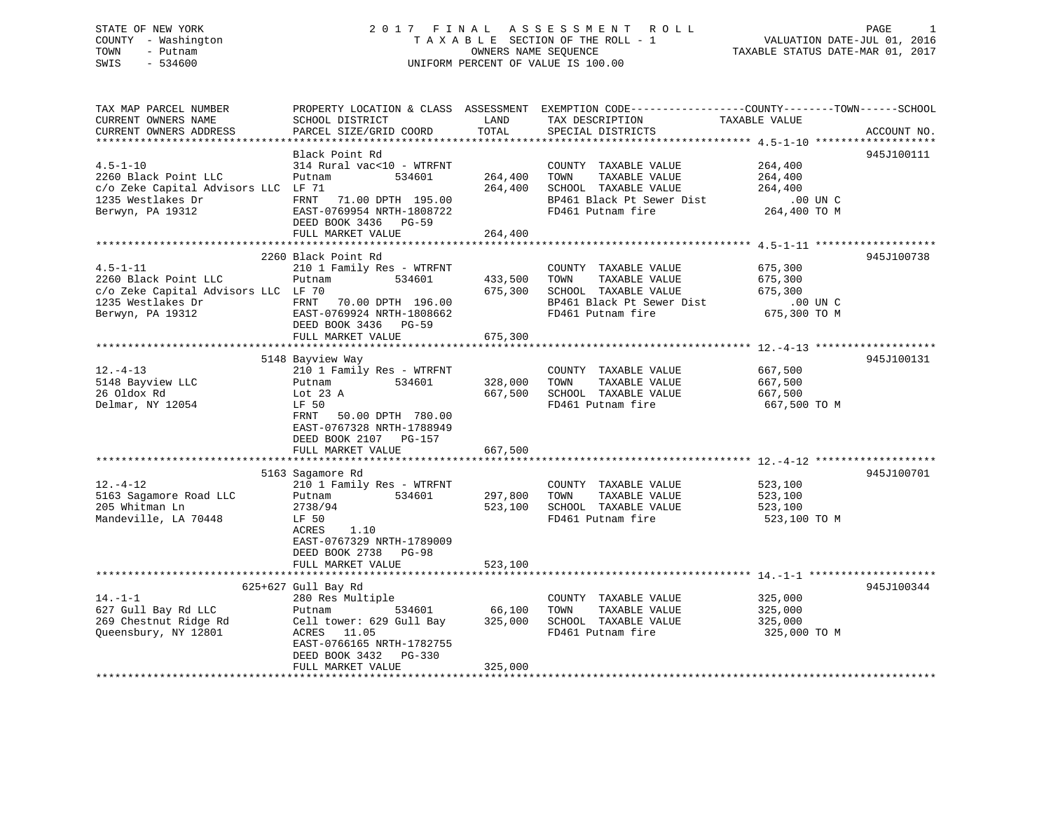### STATE OF NEW YORK 2 0 1 7 F I N A L A S S E S S M E N T R O L L PAGE 1 COUNTY - Washington T A X A B L E SECTION OF THE ROLL - 1 VALUATION DATE-JUL 01, 2016 TOWN - Putnam OWNERS NAME SEQUENCE TAXABLE STATUS DATE-MAR 01, 2017 SWIS - 534600 UNIFORM PERCENT OF VALUE IS 100.00

| TAX MAP PARCEL NUMBER<br>CURRENT OWNERS NAME<br>CURRENT OWNERS ADDRESS                                                 | PROPERTY LOCATION & CLASS ASSESSMENT EXEMPTION CODE----------------COUNTY-------TOWN------SCHOOL<br>SCHOOL DISTRICT<br>PARCEL SIZE/GRID COORD                                          | LAND<br>TOTAL                 | TAX DESCRIPTION<br>SPECIAL DISTRICTS                                                                                    | TAXABLE VALUE                                             | ACCOUNT NO. |
|------------------------------------------------------------------------------------------------------------------------|----------------------------------------------------------------------------------------------------------------------------------------------------------------------------------------|-------------------------------|-------------------------------------------------------------------------------------------------------------------------|-----------------------------------------------------------|-------------|
|                                                                                                                        |                                                                                                                                                                                        |                               |                                                                                                                         |                                                           |             |
| $4.5 - 1 - 10$<br>2260 Black Point LLC<br>c/o Zeke Capital Advisors LLC LF 71<br>1235 Westlakes Dr<br>Berwyn, PA 19312 | Black Point Rd<br>314 Rural vac<10 - WTRFNT<br>Putnam<br>534601<br>FRNT<br>71.00 DPTH 195.00<br>EAST-0769954 NRTH-1808722<br>DEED BOOK 3436 PG-59<br>FULL MARKET VALUE                 | 264,400<br>264,400<br>264,400 | COUNTY TAXABLE VALUE<br>TOWN<br>TAXABLE VALUE<br>SCHOOL TAXABLE VALUE<br>BP461 Black Pt Sewer Dist<br>FD461 Putnam fire | 264,400<br>264,400<br>264,400<br>.00 UN C<br>264,400 TO M | 945J100111  |
|                                                                                                                        |                                                                                                                                                                                        |                               |                                                                                                                         |                                                           |             |
| $4.5 - 1 - 11$<br>2260 Black Point LLC<br>c/o Zeke Capital Advisors LLC LF 70<br>1235 Westlakes Dr<br>Berwyn, PA 19312 | 2260 Black Point Rd<br>210 1 Family Res - WTRFNT<br>534601<br>Putnam<br>FRNT<br>70.00 DPTH 196.00<br>EAST-0769924 NRTH-1808662<br>DEED BOOK 3436 PG-59<br>FULL MARKET VALUE            | 433,500<br>675,300<br>675,300 | COUNTY TAXABLE VALUE<br>TAXABLE VALUE<br>TOWN<br>SCHOOL TAXABLE VALUE<br>BP461 Black Pt Sewer Dist<br>FD461 Putnam fire | 675,300<br>675,300<br>675,300<br>.00 UN C<br>675,300 TO M | 945J100738  |
|                                                                                                                        | 5148 Bayview Way                                                                                                                                                                       |                               |                                                                                                                         |                                                           | 945J100131  |
| $12. - 4 - 13$<br>5148 Bayview LLC<br>26 Oldox Rd<br>Delmar, NY 12054                                                  | 210 1 Family Res - WTRFNT<br>534601<br>Putnam<br>Lot $23$ A<br>LF 50<br>50.00 DPTH 780.00<br>FRNT<br>EAST-0767328 NRTH-1788949<br>DEED BOOK 2107 PG-157<br>FULL MARKET VALUE           | 328,000<br>667,500<br>667,500 | COUNTY TAXABLE VALUE<br>TOWN<br>TAXABLE VALUE<br>SCHOOL TAXABLE VALUE<br>FD461 Putnam fire                              | 667,500<br>667,500<br>667,500<br>667,500 TO M             |             |
|                                                                                                                        |                                                                                                                                                                                        |                               |                                                                                                                         |                                                           |             |
| $12. - 4 - 12$<br>5163 Sagamore Road LLC<br>205 Whitman Ln<br>Mandeville, LA 70448                                     | 5163 Sagamore Rd<br>210 1 Family Res - WTRFNT<br>534601<br>Putnam<br>2738/94<br>LF 50<br>ACRES<br>1.10<br>EAST-0767329 NRTH-1789009<br>DEED BOOK 2738 PG-98<br>FULL MARKET VALUE       | 297,800<br>523,100<br>523,100 | COUNTY TAXABLE VALUE<br>TOWN<br>TAXABLE VALUE<br>SCHOOL TAXABLE VALUE<br>FD461 Putnam fire                              | 523,100<br>523,100<br>523,100<br>523,100 TO M             | 945J100701  |
|                                                                                                                        |                                                                                                                                                                                        |                               |                                                                                                                         |                                                           |             |
| $14. - 1 - 1$<br>627 Gull Bay Rd LLC<br>269 Chestnut Ridge Rd<br>Queensbury, NY 12801                                  | 625+627 Gull Bay Rd<br>280 Res Multiple<br>534601<br>Putnam<br>Cell tower: 629 Gull Bay<br>ACRES 11.05<br>EAST-0766165 NRTH-1782755<br>DEED BOOK 3432<br>$PG-330$<br>FULL MARKET VALUE | 66,100<br>325,000<br>325,000  | COUNTY TAXABLE VALUE<br>TOWN<br>TAXABLE VALUE<br>SCHOOL TAXABLE VALUE<br>FD461 Putnam fire                              | 325,000<br>325,000<br>325,000<br>325,000 TO M             | 945J100344  |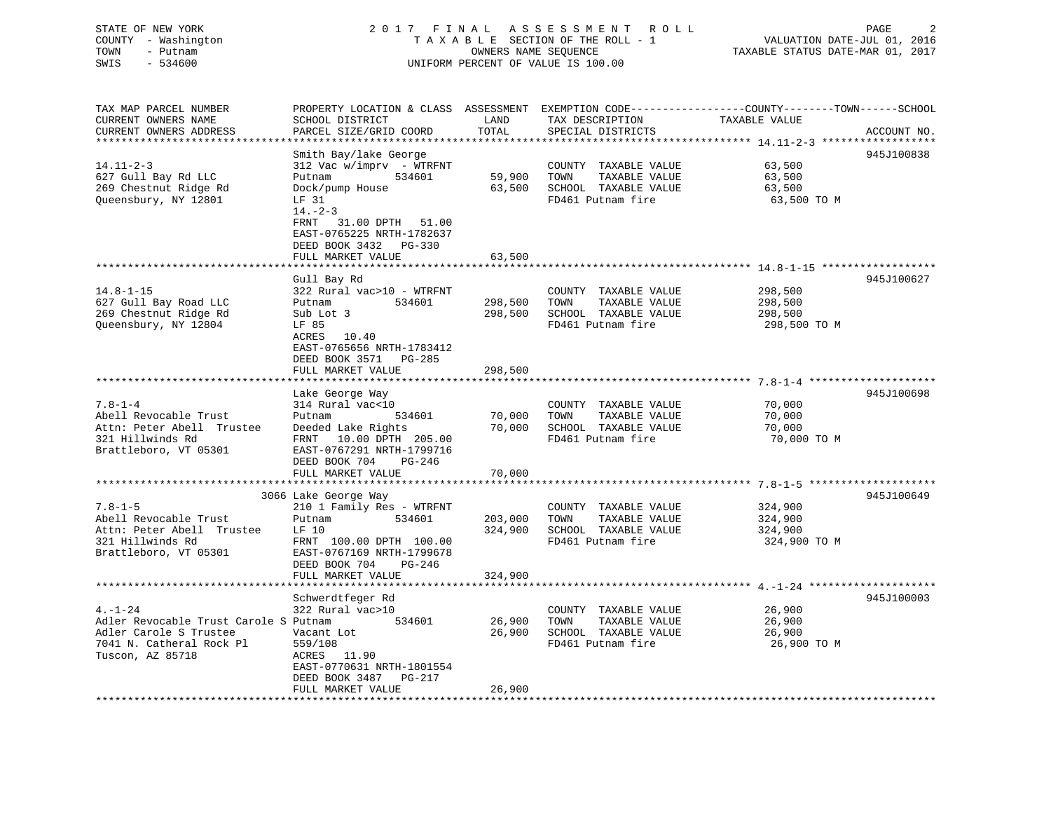### STATE OF NEW YORK 2 0 1 7 F I N A L A S S E S S M E N T R O L L PAGE 2 COUNTY - Washington T A X A B L E SECTION OF THE ROLL - 1 VALUATION DATE-JUL 01, 2016 TOWN - Putnam OWNERS NAME SEQUENCE TAXABLE STATUS DATE-MAR 01, 2017 SWIS - 534600 UNIFORM PERCENT OF VALUE IS 100.00

| TAX MAP PARCEL NUMBER                 |                           |         |                              | PROPERTY LOCATION & CLASS ASSESSMENT EXEMPTION CODE----------------COUNTY-------TOWN-----SCHOOL |
|---------------------------------------|---------------------------|---------|------------------------------|-------------------------------------------------------------------------------------------------|
| CURRENT OWNERS NAME                   | SCHOOL DISTRICT           | LAND    | TAX DESCRIPTION              | TAXABLE VALUE                                                                                   |
| CURRENT OWNERS ADDRESS                | PARCEL SIZE/GRID COORD    | TOTAL   | SPECIAL DISTRICTS            | ACCOUNT NO.                                                                                     |
|                                       |                           |         |                              |                                                                                                 |
|                                       | Smith Bay/lake George     |         |                              | 945J100838                                                                                      |
| $14.11 - 2 - 3$                       | 312 Vac w/imprv - WTRFNT  |         | COUNTY TAXABLE VALUE         | 63,500                                                                                          |
| 627 Gull Bay Rd LLC                   | Putnam<br>534601          | 59,900  | TOWN<br>TAXABLE VALUE        | 63,500                                                                                          |
| 269 Chestnut Ridge Rd                 | Dock/pump House           |         | 63,500 SCHOOL TAXABLE VALUE  | 63,500                                                                                          |
| Oueensbury, NY 12801                  | LF 31                     |         | FD461 Putnam fire            | 63,500 TO M                                                                                     |
|                                       | $14. - 2 - 3$             |         |                              |                                                                                                 |
|                                       | 31.00 DPTH 51.00<br>FRNT  |         |                              |                                                                                                 |
|                                       | EAST-0765225 NRTH-1782637 |         |                              |                                                                                                 |
|                                       |                           |         |                              |                                                                                                 |
|                                       | DEED BOOK 3432 PG-330     |         |                              |                                                                                                 |
|                                       | FULL MARKET VALUE         | 63,500  |                              |                                                                                                 |
|                                       |                           |         |                              |                                                                                                 |
|                                       | Gull Bay Rd               |         |                              | 945J100627                                                                                      |
| $14.8 - 1 - 15$                       | 322 Rural vac>10 - WTRFNT |         | COUNTY TAXABLE VALUE         | 298,500                                                                                         |
| 627 Gull Bay Road LLC                 | 534601<br>Putnam          | 298,500 | TOWN<br>TAXABLE VALUE        | 298,500                                                                                         |
| 269 Chestnut Ridge Rd                 | Sub Lot 3                 |         | 298,500 SCHOOL TAXABLE VALUE | 298,500                                                                                         |
| Queensbury, NY 12804                  | LF 85                     |         | FD461 Putnam fire            | 298,500 TO M                                                                                    |
|                                       | ACRES<br>10.40            |         |                              |                                                                                                 |
|                                       | EAST-0765656 NRTH-1783412 |         |                              |                                                                                                 |
|                                       | DEED BOOK 3571 PG-285     |         |                              |                                                                                                 |
|                                       |                           |         |                              |                                                                                                 |
|                                       | FULL MARKET VALUE         | 298,500 |                              |                                                                                                 |
|                                       |                           |         |                              |                                                                                                 |
|                                       | Lake George Way           |         |                              | 945J100698                                                                                      |
| $7.8 - 1 - 4$                         | 314 Rural vac<10          |         | COUNTY TAXABLE VALUE         | 70,000                                                                                          |
| Abell Revocable Trust                 | Putnam<br>534601          | 70,000  | TAXABLE VALUE<br>TOWN        | 70,000                                                                                          |
| Attn: Peter Abell Trustee             | Deeded Lake Rights        |         | 70,000 SCHOOL TAXABLE VALUE  | 70,000                                                                                          |
| 321 Hillwinds Rd                      | FRNT 10.00 DPTH 205.00    |         | FD461 Putnam fire            | 70,000 TO M                                                                                     |
| Brattleboro, VT 05301                 | EAST-0767291 NRTH-1799716 |         |                              |                                                                                                 |
|                                       | DEED BOOK 704<br>PG-246   |         |                              |                                                                                                 |
|                                       | FULL MARKET VALUE         | 70,000  |                              |                                                                                                 |
|                                       |                           |         |                              |                                                                                                 |
|                                       | 3066 Lake George Way      |         |                              | 945J100649                                                                                      |
|                                       |                           |         |                              |                                                                                                 |
| $7.8 - 1 - 5$                         | 210 1 Family Res - WTRFNT |         | COUNTY TAXABLE VALUE         | 324,900                                                                                         |
| Abell Revocable Trust                 | Putnam<br>534601          | 203,000 | TOWN<br>TAXABLE VALUE        | 324,900                                                                                         |
| Attn: Peter Abell Trustee             | LF 10                     | 324,900 | SCHOOL TAXABLE VALUE         | 324,900                                                                                         |
| 321 Hillwinds Rd                      | FRNT 100.00 DPTH 100.00   |         | FD461 Putnam fire            | 324,900 TO M                                                                                    |
| Brattleboro, VT 05301                 | EAST-0767169 NRTH-1799678 |         |                              |                                                                                                 |
|                                       | DEED BOOK 704<br>PG-246   |         |                              |                                                                                                 |
|                                       | FULL MARKET VALUE         | 324,900 |                              |                                                                                                 |
|                                       |                           |         |                              |                                                                                                 |
|                                       | Schwerdtfeger Rd          |         |                              | 945J100003                                                                                      |
| $4. - 1 - 24$                         | 322 Rural vac>10          |         | COUNTY TAXABLE VALUE         | 26,900                                                                                          |
| Adler Revocable Trust Carole S Putnam | 534601                    | 26,900  | TOWN<br>TAXABLE VALUE        | 26,900                                                                                          |
| Adler Carole S Trustee                | Vacant Lot                |         | 26,900 SCHOOL TAXABLE VALUE  | 26,900                                                                                          |
|                                       |                           |         |                              |                                                                                                 |
| 7041 N. Catheral Rock Pl              | 559/108                   |         | FD461 Putnam fire            | 26,900 TO M                                                                                     |
| Tuscon, AZ 85718                      | ACRES 11.90               |         |                              |                                                                                                 |
|                                       | EAST-0770631 NRTH-1801554 |         |                              |                                                                                                 |
|                                       | DEED BOOK 3487 PG-217     |         |                              |                                                                                                 |
|                                       | FULL MARKET VALUE         | 26,900  |                              |                                                                                                 |
|                                       |                           |         |                              |                                                                                                 |
|                                       |                           |         |                              |                                                                                                 |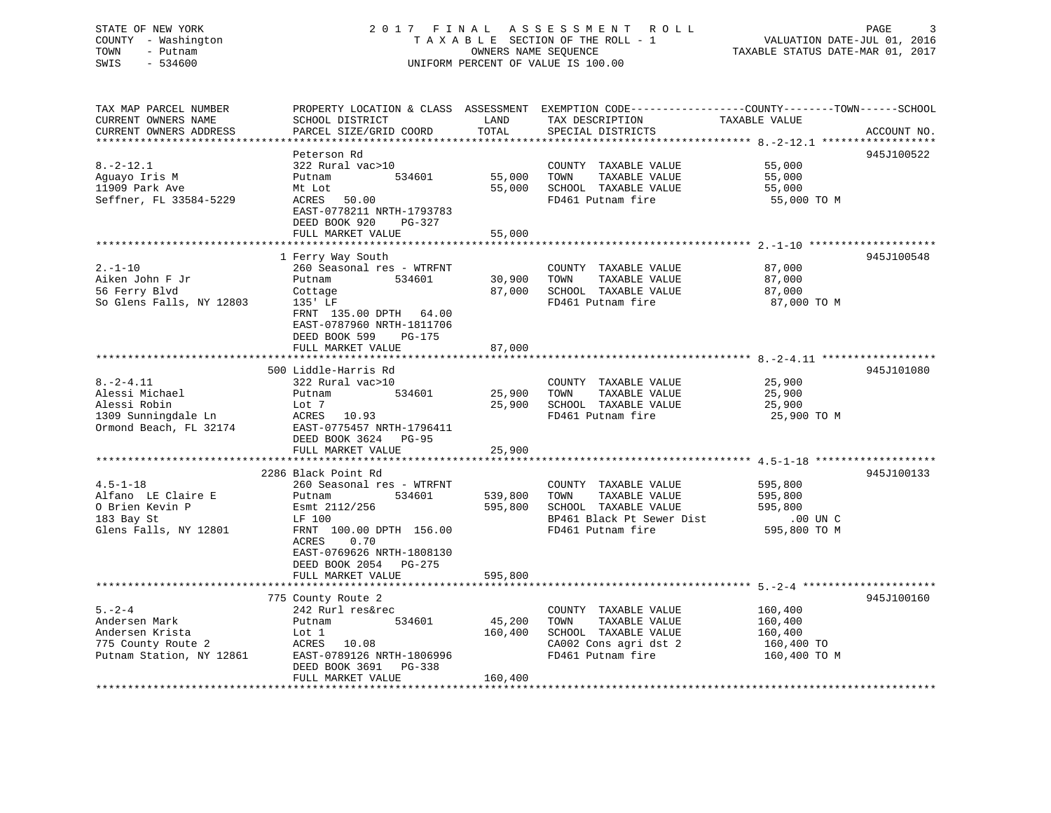### STATE OF NEW YORK 2 0 1 7 F I N A L A S S E S S M E N T R O L L PAGE 3 COUNTY - Washington T A X A B L E SECTION OF THE ROLL - 1 VALUATION DATE-JUL 01, 2016 TOWN - Putnam OWNERS NAME SEQUENCE TAXABLE STATUS DATE-MAR 01, 2017 SWIS - 534600 UNIFORM PERCENT OF VALUE IS 100.00

TAX MAP PARCEL NUMBER PROPERTY LOCATION & CLASS ASSESSMENT EXEMPTION CODE------------------COUNTY--------TOWN------SCHOOL CURRENT OWNERS NAME SCHOOL DISTRICT LAND TAX DESCRIPTION TAXABLE VALUECURRENT OWNERS ADDRESS PARCEL SIZE/GRID COORD TOTAL SPECIAL DISTRICTS ACCOUNT NO. \*\*\*\*\*\*\*\*\*\*\*\*\*\*\*\*\*\*\*\*\*\*\*\*\*\*\*\*\*\*\*\*\*\*\*\*\*\*\*\*\*\*\*\*\*\*\*\*\*\*\*\*\*\*\*\*\*\*\*\*\*\*\*\*\*\*\*\*\*\*\*\*\*\*\*\*\*\*\*\*\*\*\*\*\*\*\*\*\*\*\*\*\*\*\*\*\*\*\*\*\*\*\* 8.-2-12.1 \*\*\*\*\*\*\*\*\*\*\*\*\*\*\*\*\*\* Peterson Rd 945J100522 8.-2-12.1 322 Rural vac>10 COUNTY TAXABLE VALUE 55,000 Aguayo Iris M Putnam 534601 55,000 TOWN TAXABLE VALUE 55,000 11909 Park Ave Mt Lot 55,000 SCHOOL TAXABLE VALUE 55,000 Seffner, FL 33584-5229 ME LOT<br>Seffner, FL 33584-5229 ACRES 50.00 FOR SCHOOL FAXABLE VALUE 55,000 TO M<br>FD461 Putnam fire 55,000 TO M EAST-0778211 NRTH-1793783 DEED BOOK 920 PG-327 FULL MARKET VALUE 55,000 \*\*\*\*\*\*\*\*\*\*\*\*\*\*\*\*\*\*\*\*\*\*\*\*\*\*\*\*\*\*\*\*\*\*\*\*\*\*\*\*\*\*\*\*\*\*\*\*\*\*\*\*\*\*\*\*\*\*\*\*\*\*\*\*\*\*\*\*\*\*\*\*\*\*\*\*\*\*\*\*\*\*\*\*\*\*\*\*\*\*\*\*\*\*\*\*\*\*\*\*\*\*\* 2.-1-10 \*\*\*\*\*\*\*\*\*\*\*\*\*\*\*\*\*\*\*\* 1 Ferry Way South 945J100548 2.-1-10 260 Seasonal res - WTRFNT COUNTY TAXABLE VALUE 87,000 Aiken John F Jr Putnam 534601 30,900 TOWN TAXABLE VALUE 87,000 56 Ferry Blvd Cottage 87,000 SCHOOL TAXABLE VALUE 87,000 So Glens Falls, NY 12803 135' LF THE REDUCE REDUCED FOR THE REDUCED FOR THE REDUCED OF TO M FRNT 135.00 DPTH 64.00 EAST-0787960 NRTH-1811706 DEED BOOK 599 PG-175FULL MARKET VALUE 87,000 \*\*\*\*\*\*\*\*\*\*\*\*\*\*\*\*\*\*\*\*\*\*\*\*\*\*\*\*\*\*\*\*\*\*\*\*\*\*\*\*\*\*\*\*\*\*\*\*\*\*\*\*\*\*\*\*\*\*\*\*\*\*\*\*\*\*\*\*\*\*\*\*\*\*\*\*\*\*\*\*\*\*\*\*\*\*\*\*\*\*\*\*\*\*\*\*\*\*\*\*\*\*\* 8.-2-4.11 \*\*\*\*\*\*\*\*\*\*\*\*\*\*\*\*\*\* 500 Liddle-Harris Rd 945J1010808.-2-4.11 322 Rural vac>10 COUNTY TAXABLE VALUE 25,900 Alessi Michael Putnam 534601 25,900 TOWN TAXABLE VALUE 25,900 Alessi Robin Lot 7 25,900 SCHOOL TAXABLE VALUE 25,900 1309 Sunningdale Ln ACRES 10.93 FD461 Putnam fire 25,900 TO M Ormond Beach, FL 32174 EAST-0775457 NRTH-1796411 DEED BOOK 3624 PG-95 FULL MARKET VALUE 25,900 \*\*\*\*\*\*\*\*\*\*\*\*\*\*\*\*\*\*\*\*\*\*\*\*\*\*\*\*\*\*\*\*\*\*\*\*\*\*\*\*\*\*\*\*\*\*\*\*\*\*\*\*\*\*\*\*\*\*\*\*\*\*\*\*\*\*\*\*\*\*\*\*\*\*\*\*\*\*\*\*\*\*\*\*\*\*\*\*\*\*\*\*\*\*\*\*\*\*\*\*\*\*\* 4.5-1-18 \*\*\*\*\*\*\*\*\*\*\*\*\*\*\*\*\*\*\* 2286 Black Point Rd 945J1001334.5-1-18 260 Seasonal res - WTRFNT COUNTY TAXABLE VALUE 595,800 Alfano LE Claire E Putnam 534601 539,800 TOWN TAXABLE VALUE 595,800 595,800 SCHOOL TAXABLE VALUE 595,800 183 Bay St LF 100 BP461 Black Pt Sewer Dist .00 UN C Glens Falls, NY 12801 FRNT 100.00 DPTH 156.00 ACRES 0.70 EAST-0769626 NRTH-1808130 DEED BOOK 2054 PG-275FULL MARKET VALUE 595,800 \*\*\*\*\*\*\*\*\*\*\*\*\*\*\*\*\*\*\*\*\*\*\*\*\*\*\*\*\*\*\*\*\*\*\*\*\*\*\*\*\*\*\*\*\*\*\*\*\*\*\*\*\*\*\*\*\*\*\*\*\*\*\*\*\*\*\*\*\*\*\*\*\*\*\*\*\*\*\*\*\*\*\*\*\*\*\*\*\*\*\*\*\*\*\*\*\*\*\*\*\*\*\* 5.-2-4 \*\*\*\*\*\*\*\*\*\*\*\*\*\*\*\*\*\*\*\*\* 775 County Route 2 945J100160 5.-2-4 242 Rurl res&rec COUNTY TAXABLE VALUE 160,400 Andersen Mark Putnam 534601 45,200 TOWN TAXABLE VALUE 160,400 Andersen Krista Lot 1 160,400 SCHOOL TAXABLE VALUE 160,400 775 County Route 2 ACRES 10.08 CA002 Cons agri dst 2 160,400 TO Putnam Station, NY 12861 EAST-0789126 NRTH-1806996 FD461 Putnam fire 160,400 TO M DEED BOOK 3691 PG-338FULL MARKET VALUE 160,400 \*\*\*\*\*\*\*\*\*\*\*\*\*\*\*\*\*\*\*\*\*\*\*\*\*\*\*\*\*\*\*\*\*\*\*\*\*\*\*\*\*\*\*\*\*\*\*\*\*\*\*\*\*\*\*\*\*\*\*\*\*\*\*\*\*\*\*\*\*\*\*\*\*\*\*\*\*\*\*\*\*\*\*\*\*\*\*\*\*\*\*\*\*\*\*\*\*\*\*\*\*\*\*\*\*\*\*\*\*\*\*\*\*\*\*\*\*\*\*\*\*\*\*\*\*\*\*\*\*\*\*\*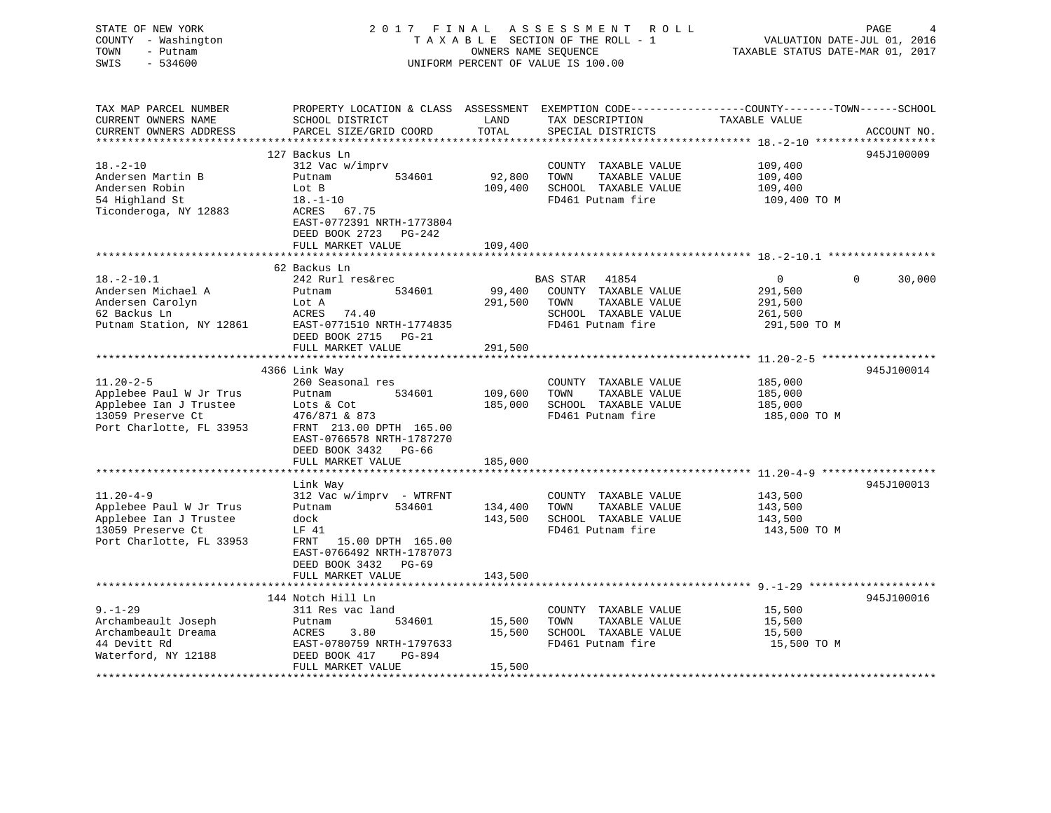STATE OF NEW YORK 2 0 1 7 F I N A L A S S E S S M E N T R O L L PAGE 4 COUNTY - Washington T A X A B L E SECTION OF THE ROLL - 1 VALUATION DATE-JUL 01, 2016 TOWN - Putnam OWNERS NAME SEQUENCE TAXABLE STATUS DATE-MAR 01, 2017 SWIS - 534600 UNIFORM PERCENT OF VALUE IS 100.00TAX MAP PARCEL NUMBER PROPERTY LOCATION & CLASS ASSESSMENT EXEMPTION CODE------------------COUNTY--------TOWN------SCHOOL CURRENT OWNERS NAME SCHOOL DISTRICT LAND TAX DESCRIPTION TAXABLE VALUE

FULL MARKET VALUE 15,500

CURRENT OWNERS ADDRESS PARCEL SIZE/GRID COORD TOTAL SPECIAL DISTRICTS ACCOUNT NO. \*\*\*\*\*\*\*\*\*\*\*\*\*\*\*\*\*\*\*\*\*\*\*\*\*\*\*\*\*\*\*\*\*\*\*\*\*\*\*\*\*\*\*\*\*\*\*\*\*\*\*\*\*\*\*\*\*\*\*\*\*\*\*\*\*\*\*\*\*\*\*\*\*\*\*\*\*\*\*\*\*\*\*\*\*\*\*\*\*\*\*\*\*\*\*\*\*\*\*\*\*\*\* 18.-2-10 \*\*\*\*\*\*\*\*\*\*\*\*\*\*\*\*\*\*\* 127 Backus Ln 945J10000918.-2-10 312 Vac w/imprv COUNTY TAXABLE VALUE 109,400 Andersen Martin B Putnam 534601 92,800 TOWN TAXABLE VALUE 109,400 Andersen Robin Lot B 109,400 SCHOOL TAXABLE VALUE 109,400 Andersen Robin Lot B<br>54 Highland St 109,400 SCHOOL TAXABLE VALUE 109,400 TO M<br>FD461 Putnam fire 109,400 TO M<br>The Theory St 18.-1-10 Ticonderoga, NY 12883 ACRES 67.75 EAST-0772391 NRTH-1773804 DEED BOOK 2723 PG-242FULL MARKET VALUE 109,400 \*\*\*\*\*\*\*\*\*\*\*\*\*\*\*\*\*\*\*\*\*\*\*\*\*\*\*\*\*\*\*\*\*\*\*\*\*\*\*\*\*\*\*\*\*\*\*\*\*\*\*\*\*\*\*\*\*\*\*\*\*\*\*\*\*\*\*\*\*\*\*\*\*\*\*\*\*\*\*\*\*\*\*\*\*\*\*\*\*\*\*\*\*\*\*\*\*\*\*\*\*\*\* 18.-2-10.1 \*\*\*\*\*\*\*\*\*\*\*\*\*\*\*\*\* 62 Backus Ln 18.-2-10.1 242 Rurl res&rec BAS STAR 41854 0 0 30,000 Andersen Michael A Putnam 534601 99,400 COUNTY TAXABLE VALUE 291,500 Andersen Carolyn Lot A 291,500 TOWN TAXABLE VALUE 291,500 62 Backus Ln ACRES 74.40 SCHOOL TAXABLE VALUE 261,500 Putnam Station, NY 12861 EAST-0771510 NRTH-1774835 FD461 Putnam fire 291,500 TO M DEED BOOK 2715 PG-21FULL MARKET VALUE 291,500 \*\*\*\*\*\*\*\*\*\*\*\*\*\*\*\*\*\*\*\*\*\*\*\*\*\*\*\*\*\*\*\*\*\*\*\*\*\*\*\*\*\*\*\*\*\*\*\*\*\*\*\*\*\*\*\*\*\*\*\*\*\*\*\*\*\*\*\*\*\*\*\*\*\*\*\*\*\*\*\*\*\*\*\*\*\*\*\*\*\*\*\*\*\*\*\*\*\*\*\*\*\*\* 11.20-2-5 \*\*\*\*\*\*\*\*\*\*\*\*\*\*\*\*\*\* 4366 Link Way 945J100014 11.20-2-5 260 Seasonal res COUNTY TAXABLE VALUE 185,000 Applebee Paul W Jr Trus Putnam 534601 109,600 TOWN TAXABLE VALUE 185,000 Applebee Ian J Trustee Lots & Cot 185,000 SCHOOL TAXABLE VALUE 185,000 13059 Preserve Ct 476/871 & 873 FD461 Putnam fire 185,000 TO M Port Charlotte, FL 33953 FRNT 213.00 DPTH 165.00 EAST-0766578 NRTH-1787270 DEED BOOK 3432 PG-66FULL MARKET VALUE 185,000 \*\*\*\*\*\*\*\*\*\*\*\*\*\*\*\*\*\*\*\*\*\*\*\*\*\*\*\*\*\*\*\*\*\*\*\*\*\*\*\*\*\*\*\*\*\*\*\*\*\*\*\*\*\*\*\*\*\*\*\*\*\*\*\*\*\*\*\*\*\*\*\*\*\*\*\*\*\*\*\*\*\*\*\*\*\*\*\*\*\*\*\*\*\*\*\*\*\*\*\*\*\*\* 11.20-4-9 \*\*\*\*\*\*\*\*\*\*\*\*\*\*\*\*\*\* Link Way 945J100013 11.20-4-9 312 Vac w/imprv - WTRFNT COUNTY TAXABLE VALUE 143,500 Applebee Paul W Jr Trus Putnam 534601 134,400 TOWN TAXABLE VALUE 143,500 Applebee Ian J Trustee dock dock 143,500 SCHOOL TAXABLE VALUE 143,500 13059 Preserve Ct LF 41 FD461 Putnam fire 143,500 TO M Port Charlotte, FL 33953 FRNT 15.00 DPTH 165.00 EAST-0766492 NRTH-1787073 DEED BOOK 3432 PG-69FULL MARKET VALUE 143,500 \*\*\*\*\*\*\*\*\*\*\*\*\*\*\*\*\*\*\*\*\*\*\*\*\*\*\*\*\*\*\*\*\*\*\*\*\*\*\*\*\*\*\*\*\*\*\*\*\*\*\*\*\*\*\*\*\*\*\*\*\*\*\*\*\*\*\*\*\*\*\*\*\*\*\*\*\*\*\*\*\*\*\*\*\*\*\*\*\*\*\*\*\*\*\*\*\*\*\*\*\*\*\* 9.-1-29 \*\*\*\*\*\*\*\*\*\*\*\*\*\*\*\*\*\*\*\* 144 Notch Hill Ln 945J1000169.-1-29 311 Res vac land COUNTY TAXABLE VALUE 15,500 Archambeault Joseph Putnam 534601 15,500 TOWN TAXABLE VALUE 15,500 Archambeault Dreama ACRES 3.80 15,500 SCHOOL TAXABLE VALUE 15,500 44 Devitt Rd EAST-0780759 NRTH-1797633 FD461 Putnam fire 15,500 TO M Waterford, NY 12188 DEED BOOK 417 PG-894

\*\*\*\*\*\*\*\*\*\*\*\*\*\*\*\*\*\*\*\*\*\*\*\*\*\*\*\*\*\*\*\*\*\*\*\*\*\*\*\*\*\*\*\*\*\*\*\*\*\*\*\*\*\*\*\*\*\*\*\*\*\*\*\*\*\*\*\*\*\*\*\*\*\*\*\*\*\*\*\*\*\*\*\*\*\*\*\*\*\*\*\*\*\*\*\*\*\*\*\*\*\*\*\*\*\*\*\*\*\*\*\*\*\*\*\*\*\*\*\*\*\*\*\*\*\*\*\*\*\*\*\*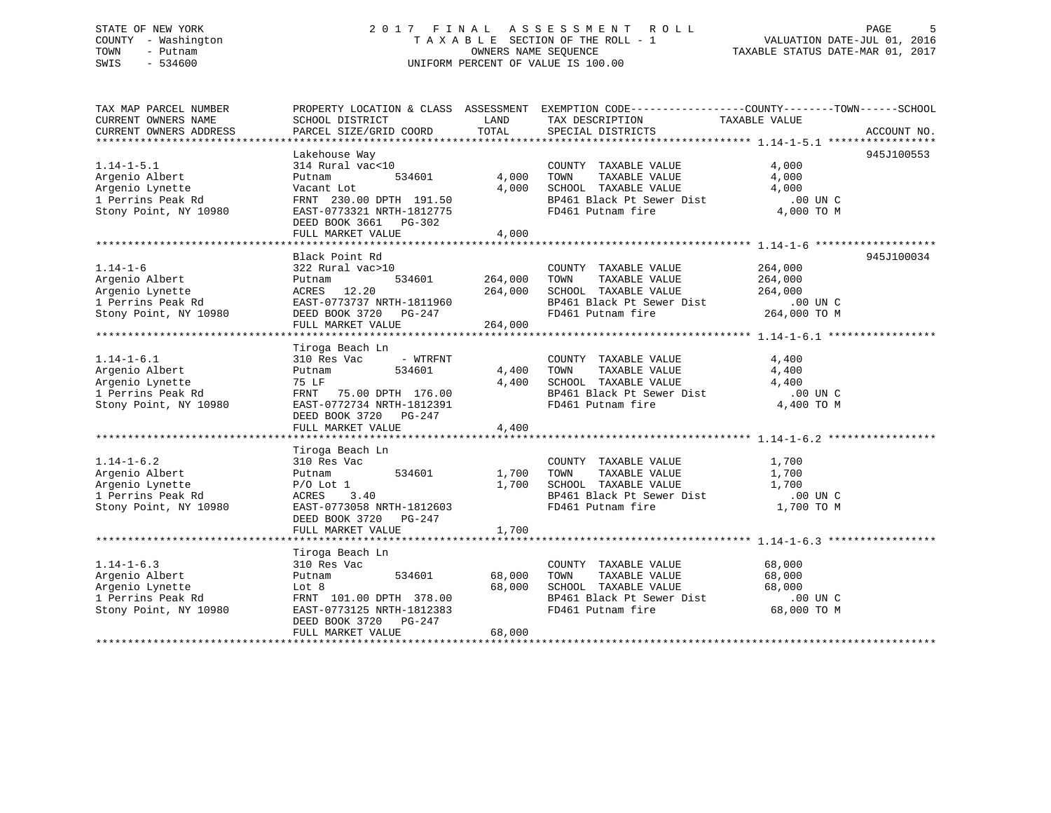### STATE OF NEW YORK 2 0 1 7 F I N A L A S S E S S M E N T R O L L PAGE 5 COUNTY - Washington T A X A B L E SECTION OF THE ROLL - 1 VALUATION DATE-JUL 01, 2016 TOWN - Putnam OWNERS NAME SEQUENCE TAXABLE STATUS DATE-MAR 01, 2017 SWIS - 534600 UNIFORM PERCENT OF VALUE IS 100.00

| TAX MAP PARCEL NUMBER<br>CURRENT OWNERS NAME<br>CURRENT OWNERS ADDRESS                                               | SCHOOL DISTRICT<br>PARCEL SIZE/GRID COORD                                                                                                                                                                                                                                                                                                            | LAND<br>TOTAL                        | PROPERTY LOCATION & CLASS ASSESSMENT EXEMPTION CODE----------------COUNTY-------TOWN------SCHOOL<br>TAX DESCRIPTION TAXABLE VALUE<br>SPECIAL DISTRICTS                    |                                       | ACCOUNT NO. |
|----------------------------------------------------------------------------------------------------------------------|------------------------------------------------------------------------------------------------------------------------------------------------------------------------------------------------------------------------------------------------------------------------------------------------------------------------------------------------------|--------------------------------------|---------------------------------------------------------------------------------------------------------------------------------------------------------------------------|---------------------------------------|-------------|
| $1.14 - 1 - 5.1$<br>Argenio Albert<br>Argenio Lynette<br>1 Perrins Peak Rd<br>Stony Point, NY 10980                  | Lakehouse Way<br>314 Rural vac<10<br>534601<br>Putnam<br>Vacant Lot<br>FRNT 230.00 DPTH 191.50<br>EAST-0773321 NRTH-1812775<br>DEED BOOK 3661 PG-302<br>FULL MARKET VALUE                                                                                                                                                                            | 4,000<br>4,000<br>4,000              | COUNTY TAXABLE VALUE<br>TOWN<br>TAXABLE VALUE<br>SCHOOL TAXABLE VALUE<br>BP461 Black Pt Sewer Dist .00 UN C<br>FD461 Putnam fire 4,000 TO M                               | 4,000<br>4,000<br>4,000               | 945J100553  |
| $1.14 - 1 - 6$<br>Argenio Albert<br>Argenio Lynette<br>Argenio Lynette<br>1 Perrins Peak Rd<br>Stony Point, NY 10980 | Black Point Rd<br>322 Rural vac>10<br>Putnam<br>ACRES 12.20<br>EAST-0773737 NRTH-1811960<br>1960 - 1977 - 1978 - 1978 - 1978 - 1979 - 1980 - 1980 - 1980 - 1981 - 1982 - 1982 - 1982 - 1983 - 19<br>1981 - 1982 - 1982 - 1982 - 1983 - 1984 - 1984 - 1984 - 1988 - 1988 - 1988 - 1988 - 1988 - 1988 - 1988 - 1988<br>1988 - 198<br>FULL MARKET VALUE | 534601 264,000<br>264,000<br>264,000 | COUNTY TAXABLE VALUE<br>TOWN<br>TAXABLE VALUE<br>SCHOOL TAXABLE VALUE 264,000<br>BP461 Black Pt Sewer Dist .00 UN C<br>FD461 Putnam fire 264,000 TO M                     | 264,000<br>264,000                    | 945J100034  |
| $1.14 - 1 - 6.1$<br>Argenio Albert<br>Argenio Lynette<br>1 Perrins Peak Rd<br>Stony Point, NY 10980                  | Tiroga Beach Ln<br>- WTRFNT<br>310 Res Vac<br>534601<br>Putnam<br>75 LF<br>FRNT 75.00 DPTH 176.00<br>EAST-0772734 NRTH-1812391<br>DEED BOOK 3720 PG-247<br>FULL MARKET VALUE                                                                                                                                                                         | 4,400<br>4,400<br>4,400              | COUNTY TAXABLE VALUE<br>TAXABLE VALUE<br>TOWN<br>SCHOOL TAXABLE VALUE<br>SCHOOL TAXABLE VALUE<br>BP461 Black Pt Sewer Dist .00 UN C<br>FD461 Putnam fire                  | 4,400<br>4,400<br>4,400<br>4,400 TO M |             |
| $1.14 - 1 - 6.2$<br>Argenio Albert<br>Argenio Lynette<br>1 Perrins Peak Rd<br>Stony Point, NY 10980                  | Tiroga Beach Ln<br>310 Res Vac<br>534601<br>Putnam<br>$P/O$ Lot $1$<br>ACRES<br>3.40<br>EAST-0773058 NRTH-1812603<br>DEED BOOK 3720 PG-247<br>FULL MARKET VALUE                                                                                                                                                                                      | 1,700<br>1,700<br>1,700              | COUNTY TAXABLE VALUE<br>TAXABLE VALUE<br>TOWN<br><b>TAXABLE VALUE</b><br>SCHOOL TAXABLE VALUE<br>SCHOOL TAXABLE VALUE<br>BP461 Black Pt Sewer Dist .00 UN C<br>1,700 TO M | 1,700<br>1,700                        |             |
| $1.14 - 1 - 6.3$<br>Argenio Albert<br>Argenio Lynette<br>1 Perrins Peak Rd<br>Stony Point, NY 10980                  | Tiroga Beach Ln<br>310 Res Vac<br>534601<br>Putnam<br>Lot 8<br>FRNT 101.00 DPTH 378.00<br>EAST-0773125 NRTH-1812383<br>DEED BOOK 3720 PG-247<br>FULL MARKET VALUE                                                                                                                                                                                    | 68,000<br>68,000<br>68,000           | COUNTY TAXABLE VALUE<br>TAXABLE VALUE<br>TOWN<br>SCHOOL TAXABLE VALUE<br>BP461 Black Pt Sewer Dist<br>FD461 Putnam fire 68,000 TO M                                       | 68,000<br>68,000<br>68,000            |             |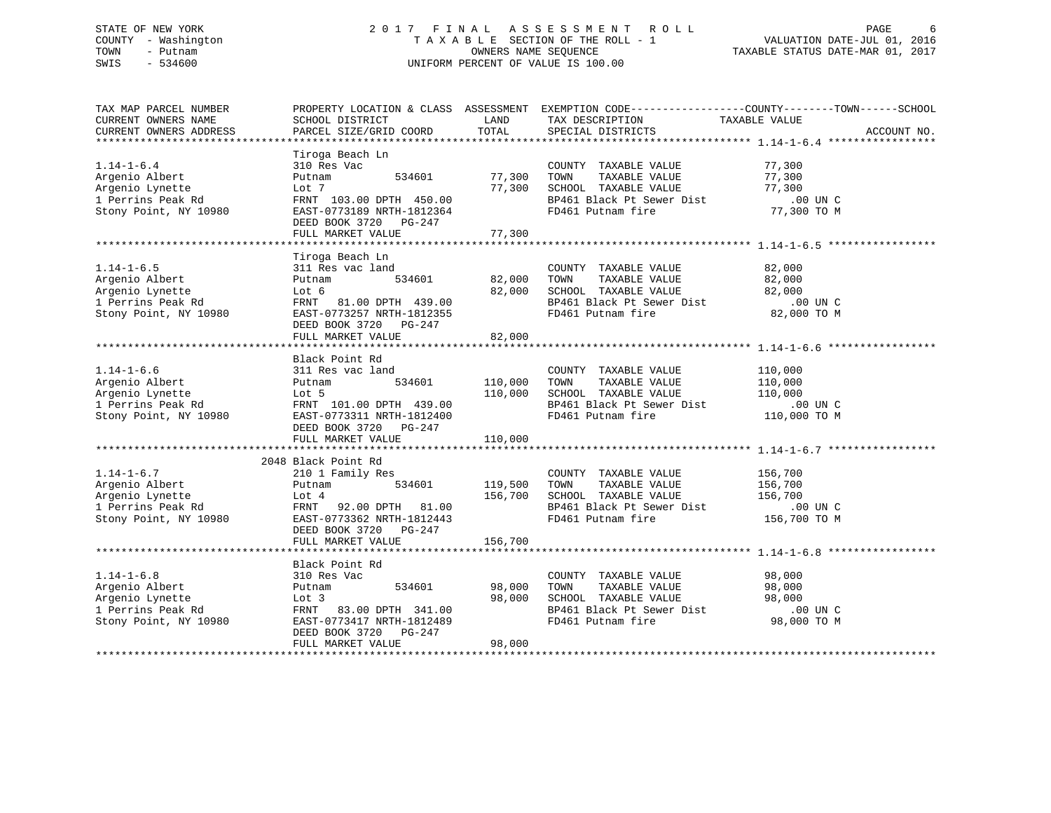### STATE OF NEW YORK 2 0 1 7 F I N A L A S S E S S M E N T R O L L PAGE 6 COUNTY - Washington T A X A B L E SECTION OF THE ROLL - 1 VALUATION DATE-JUL 01, 2016 TOWN - Putnam OWNERS NAME SEQUENCE TAXABLE STATUS DATE-MAR 01, 2017 SWIS - 534600 UNIFORM PERCENT OF VALUE IS 100.00

| TAX MAP PARCEL NUMBER                                                                                                                                                                                                                                 |                                                        |               | PROPERTY LOCATION & CLASS ASSESSMENT EXEMPTION CODE----------------COUNTY-------TOWN------SCHOOL                                     |                       |             |
|-------------------------------------------------------------------------------------------------------------------------------------------------------------------------------------------------------------------------------------------------------|--------------------------------------------------------|---------------|--------------------------------------------------------------------------------------------------------------------------------------|-----------------------|-------------|
| CURRENT OWNERS NAME                                                                                                                                                                                                                                   | SCHOOL DISTRICT                                        | LAND          | TAX DESCRIPTION                                                                                                                      | TAXABLE VALUE         |             |
| CURRENT OWNERS ADDRESS                                                                                                                                                                                                                                | PARCEL SIZE/GRID COORD                                 | TOTAL         | SPECIAL DISTRICTS                                                                                                                    |                       | ACCOUNT NO. |
|                                                                                                                                                                                                                                                       | Tiroga Beach Ln                                        |               |                                                                                                                                      |                       |             |
| $1.14 - 1 - 6.4$                                                                                                                                                                                                                                      | 310 Res Vac                                            |               | COUNTY TAXABLE VALUE 77,300                                                                                                          |                       |             |
| Argenio Albert                                                                                                                                                                                                                                        | 534601<br>Putnam                                       | 77,300        | COUNTILE AAADDE VALUE<br>TOWN TAXABLE VALUE<br>SCHOOL TAXABLE VALUE<br>BP461 Black Pt Sewer Dist<br>FD461 Putnam fire<br>T7,300 TO M |                       |             |
| Argenio Lynette                                                                                                                                                                                                                                       | Lot 7                                                  | 77,300        | TOWN      TAXABLE VALUE<br>SCHOOL   TAXABLE VALUE                                                                                    |                       |             |
| 1 Perrins Peak Rd                                                                                                                                                                                                                                     | FRNT 103.00 DPTH 450.00                                |               |                                                                                                                                      |                       |             |
| Stony Point, NY 10980                                                                                                                                                                                                                                 | EAST-0773189 NRTH-1812364                              |               | FD461 Putnam fire                                                                                                                    |                       |             |
|                                                                                                                                                                                                                                                       | DEED BOOK 3720 PG-247                                  |               |                                                                                                                                      |                       |             |
|                                                                                                                                                                                                                                                       | FULL MARKET VALUE                                      | 77,300        |                                                                                                                                      |                       |             |
|                                                                                                                                                                                                                                                       |                                                        |               |                                                                                                                                      |                       |             |
|                                                                                                                                                                                                                                                       | Tiroga Beach Ln                                        |               |                                                                                                                                      |                       |             |
| $1.14 - 1 - 6.5$                                                                                                                                                                                                                                      | 311 Res vac land                                       |               | COUNTY TAXABLE VALUE 82,000                                                                                                          |                       |             |
| Argenio Albert                                                                                                                                                                                                                                        | Putnam                                                 |               | vac land 534601 COUNTY TAXABLE VALUE<br>534601 82,000 TOWN TAXABLE VALUE                                                             | 82,000                |             |
| Argenio Lynette                                                                                                                                                                                                                                       | Lot 6                                                  |               | 82,000 SCHOOL TAXABLE VALUE 82,000                                                                                                   |                       |             |
| 1 Perrins Peak Rd                                                                                                                                                                                                                                     | FRNT 81.00 DPTH 439.00                                 |               |                                                                                                                                      |                       |             |
| Stony Point, NY 10980                                                                                                                                                                                                                                 | EAST-0773257 NRTH-1812355                              |               | BP461 Black Pt Sewer Dist<br>FD461 Putnam fire                                                                                       |                       |             |
|                                                                                                                                                                                                                                                       | DEED BOOK 3720 PG-247                                  |               |                                                                                                                                      | $000C$<br>82,000 TO M |             |
|                                                                                                                                                                                                                                                       | FULL MARKET VALUE                                      | 82,000        |                                                                                                                                      |                       |             |
|                                                                                                                                                                                                                                                       |                                                        |               |                                                                                                                                      |                       |             |
|                                                                                                                                                                                                                                                       | Black Point Rd                                         |               |                                                                                                                                      |                       |             |
| $1.14 - 1 - 6.6$                                                                                                                                                                                                                                      | 311 Res vac land                                       |               |                                                                                                                                      |                       |             |
| Argenio Albert                                                                                                                                                                                                                                        | Putnam                                                 |               | d COUNTY TAXABLE VALUE<br>534601 110,000 TOWN TAXABLE VALUE                                                                          | 110,000<br>110,000    |             |
|                                                                                                                                                                                                                                                       |                                                        | 110,000       |                                                                                                                                      |                       |             |
|                                                                                                                                                                                                                                                       |                                                        |               |                                                                                                                                      |                       |             |
|                                                                                                                                                                                                                                                       |                                                        |               |                                                                                                                                      |                       |             |
|                                                                                                                                                                                                                                                       | DEED BOOK 3720 PG-247                                  |               |                                                                                                                                      |                       |             |
|                                                                                                                                                                                                                                                       | FULL MARKET VALUE                                      | 110,000       |                                                                                                                                      |                       |             |
|                                                                                                                                                                                                                                                       |                                                        |               |                                                                                                                                      |                       |             |
| Argenio Albert 210 1 Family Res<br>Argenio Albert 210 1 Family Res<br>Argenio Lynette Lot 4 156,700<br>119,500<br>119,500<br>119,500<br>119,500<br>200 DPTH 81.00<br>200 DPTH 81.00<br>200 DPTH 81.00<br>200 DPTH 81.00<br>200 DPTH 81.00<br>200 DPTH | 2048 Black Point Rd                                    |               |                                                                                                                                      |                       |             |
|                                                                                                                                                                                                                                                       |                                                        |               | COUNTY TAXABLE VALUE 156,700                                                                                                         |                       |             |
|                                                                                                                                                                                                                                                       | 534601 119,500                                         |               | TAXABLE VALUE 156,700<br>TOWN                                                                                                        |                       |             |
|                                                                                                                                                                                                                                                       |                                                        | 156,700       |                                                                                                                                      |                       |             |
|                                                                                                                                                                                                                                                       |                                                        |               |                                                                                                                                      |                       |             |
|                                                                                                                                                                                                                                                       |                                                        |               | SCHOOL TAXABLE VALUE 156,700<br>BP461 Black Pt Sewer Dist .00 UN C<br>FD461 Putnam fire 156,700 TO M                                 |                       |             |
|                                                                                                                                                                                                                                                       | DEED BOOK 3720 PG-247                                  |               |                                                                                                                                      |                       |             |
|                                                                                                                                                                                                                                                       | FULL MARKET VALUE                                      | 156,700       |                                                                                                                                      |                       |             |
|                                                                                                                                                                                                                                                       |                                                        |               |                                                                                                                                      |                       |             |
|                                                                                                                                                                                                                                                       | Black Point Rd                                         |               |                                                                                                                                      |                       |             |
| $1.14 - 1 - 6.8$                                                                                                                                                                                                                                      | 310 Res Vac                                            |               | COUNTY TAXABLE VALUE                                                                                                                 | 98,000                |             |
|                                                                                                                                                                                                                                                       | Putnam                                                 | 534601 98,000 |                                                                                                                                      |                       |             |
|                                                                                                                                                                                                                                                       | Lot 3                                                  | 98,000        |                                                                                                                                      |                       |             |
| Argenio Albert<br>Argenio Lynette<br>1 Perrins Peak Rd<br>Stony Point, NY 10980                                                                                                                                                                       | Lot 3<br>FRNT 83.00 DPTH 341.00<br>200117 NDTH-1812489 |               |                                                                                                                                      |                       |             |
| Stony Point, NY 10980                                                                                                                                                                                                                                 |                                                        |               | COUNTY TAXABLE VALUE<br>TOWN TAXABLE VALUE 98,000<br>SCHOOL TAXABLE VALUE 98,000<br>BP461 Black Pt Sewer Dist 00 UNC<br>98,000 TO M  |                       |             |
|                                                                                                                                                                                                                                                       | DEED BOOK 3720 PG-247                                  |               |                                                                                                                                      |                       |             |
|                                                                                                                                                                                                                                                       | FULL MARKET VALUE                                      | 98,000        |                                                                                                                                      |                       |             |
|                                                                                                                                                                                                                                                       |                                                        |               |                                                                                                                                      |                       |             |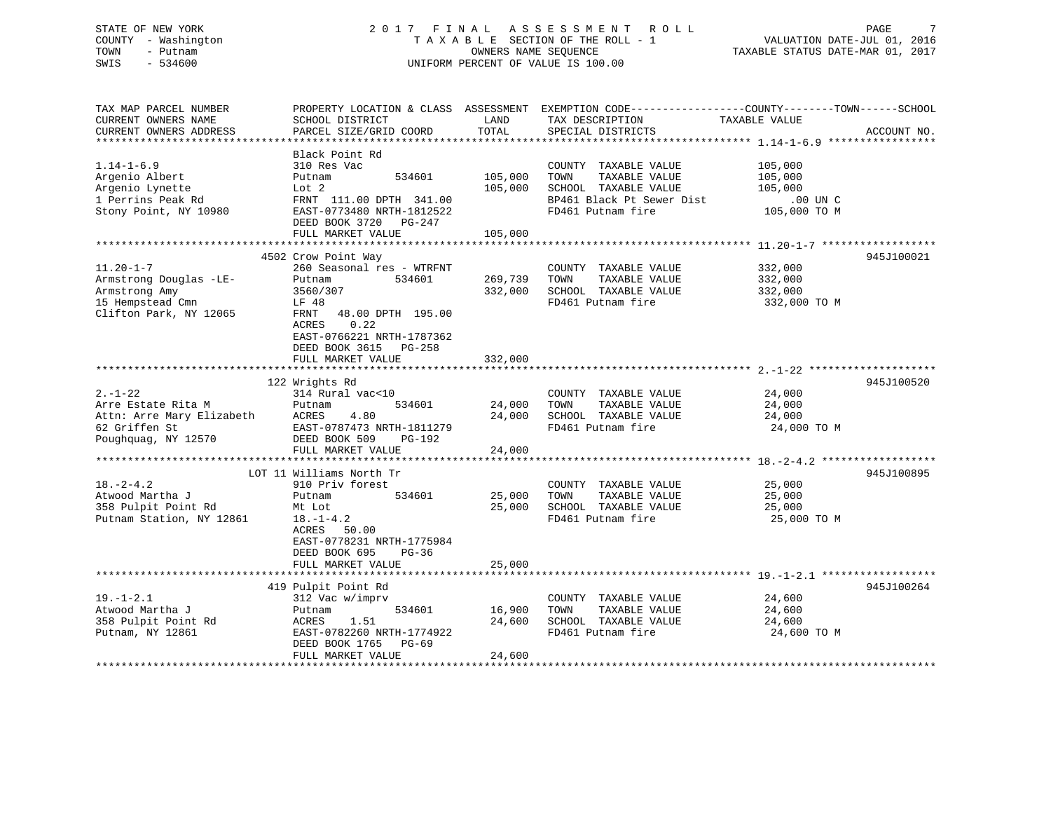### STATE OF NEW YORK 2 0 1 7 F I N A L A S S E S S M E N T R O L L PAGE 7 COUNTY - Washington T A X A B L E SECTION OF THE ROLL - 1 VALUATION DATE-JUL 01, 2016 TOWN - Putnam OWNERS NAME SEQUENCE TAXABLE STATUS DATE-MAR 01, 2017 SWIS - 534600 UNIFORM PERCENT OF VALUE IS 100.00

| TAX MAP PARCEL NUMBER                                            | PROPERTY LOCATION & CLASS ASSESSMENT EXEMPTION CODE---------------COUNTY-------TOWN-----SCHOOL |         |                           |               |             |
|------------------------------------------------------------------|------------------------------------------------------------------------------------------------|---------|---------------------------|---------------|-------------|
| CURRENT OWNERS NAME                                              | SCHOOL DISTRICT                                                                                | LAND    | TAX DESCRIPTION           | TAXABLE VALUE |             |
| CURRENT OWNERS ADDRESS                                           | PARCEL SIZE/GRID COORD                                                                         | TOTAL   | SPECIAL DISTRICTS         |               | ACCOUNT NO. |
|                                                                  |                                                                                                |         |                           |               |             |
|                                                                  | Black Point Rd                                                                                 |         |                           |               |             |
| $1.14 - 1 - 6.9$                                                 | 310 Res Vac                                                                                    |         | COUNTY TAXABLE VALUE      | 105,000       |             |
| Argenio Albert                                                   | 534601<br>Putnam                                                                               | 105,000 | TAXABLE VALUE<br>TOWN     | 105,000       |             |
| Argenio Lynette                                                  | Lot 2                                                                                          | 105,000 | SCHOOL TAXABLE VALUE      | 105,000       |             |
| 1 Perrins Peak Rd                                                | FRNT 111.00 DPTH 341.00                                                                        |         | BP461 Black Pt Sewer Dist | .00 UN C      |             |
| Stony Point, NY 10980                                            | EAST-0773480 NRTH-1812522                                                                      |         | FD461 Putnam fire         | 105,000 TO M  |             |
|                                                                  | DEED BOOK 3720 PG-247                                                                          |         |                           |               |             |
|                                                                  | FULL MARKET VALUE                                                                              | 105,000 |                           |               |             |
|                                                                  |                                                                                                |         |                           |               |             |
|                                                                  | 4502 Crow Point Way                                                                            |         |                           |               | 945J100021  |
| $11.20 - 1 - 7$                                                  | 260 Seasonal res - WTRFNT                                                                      |         | COUNTY TAXABLE VALUE      | 332,000       |             |
| Armstrong Douglas -LE-                                           | 534601<br>Putnam                                                                               | 269,739 | TOWN<br>TAXABLE VALUE     | 332,000       |             |
| Armstrong Amy                                                    | 3560/307                                                                                       | 332,000 | SCHOOL TAXABLE VALUE      | 332,000       |             |
| 15 Hempstead Cmn                                                 | LF 48                                                                                          |         | FD461 Putnam fire         | 332,000 TO M  |             |
| Clifton Park, NY 12065                                           | 48.00 DPTH 195.00<br>FRNT                                                                      |         |                           |               |             |
|                                                                  | 0.22<br>ACRES                                                                                  |         |                           |               |             |
|                                                                  | EAST-0766221 NRTH-1787362                                                                      |         |                           |               |             |
|                                                                  | DEED BOOK 3615 PG-258                                                                          |         |                           |               |             |
|                                                                  | FULL MARKET VALUE                                                                              | 332,000 |                           |               |             |
|                                                                  |                                                                                                |         |                           |               |             |
|                                                                  | 122 Wrights Rd                                                                                 |         |                           |               | 945J100520  |
| $2. - 1 - 22$                                                    | 314 Rural vac<10                                                                               |         | COUNTY TAXABLE VALUE      | 24,000        |             |
|                                                                  | 534601<br>Putnam                                                                               | 24,000  | TAXABLE VALUE<br>TOWN     | 24,000        |             |
| Arre Estate Rita M<br>Attn: Arre Mary Elizabeth<br>62 Griffen St | 4.80<br>ACRES                                                                                  | 24,000  | SCHOOL TAXABLE VALUE      | 24,000        |             |
| 62 Griffen St                                                    | EAST-0787473 NRTH-1811279                                                                      |         | FD461 Putnam fire         | 24,000 TO M   |             |
| Poughquag, NY 12570                                              | DEED BOOK 509<br>PG-192                                                                        |         |                           |               |             |
|                                                                  | FULL MARKET VALUE                                                                              | 24,000  |                           |               |             |
|                                                                  |                                                                                                |         |                           |               |             |
|                                                                  | LOT 11 Williams North Tr                                                                       |         |                           |               | 945J100895  |
| $18. - 2 - 4.2$                                                  | 910 Priv forest                                                                                |         | COUNTY TAXABLE VALUE      | 25,000        |             |
| Atwood Martha J                                                  | 534601<br>Putnam                                                                               | 25,000  | TAXABLE VALUE<br>TOWN     | 25,000        |             |
| 358 Pulpit Point Rd                                              | Mt Lot                                                                                         | 25,000  | SCHOOL TAXABLE VALUE      | 25,000        |             |
| Putnam Station, NY 12861                                         | $18. - 1 - 4.2$                                                                                |         | FD461 Putnam fire         | 25,000 TO M   |             |
|                                                                  | ACRES 50.00                                                                                    |         |                           |               |             |
|                                                                  | EAST-0778231 NRTH-1775984                                                                      |         |                           |               |             |
|                                                                  | DEED BOOK 695<br>$PG-36$                                                                       |         |                           |               |             |
|                                                                  | FULL MARKET VALUE                                                                              | 25,000  |                           |               |             |
|                                                                  |                                                                                                |         |                           |               |             |
|                                                                  | 419 Pulpit Point Rd                                                                            |         |                           |               | 945J100264  |
| $19. - 1 - 2.1$                                                  | 312 Vac w/imprv                                                                                |         | COUNTY TAXABLE VALUE      | 24,600        |             |
| Atwood Martha J                                                  | 534601<br>Putnam                                                                               | 16,900  | TAXABLE VALUE<br>TOWN     | 24,600        |             |
| 358 Pulpit Point Rd                                              | 1.51<br>ACRES                                                                                  | 24,600  | SCHOOL TAXABLE VALUE      | 24,600        |             |
| Putnam, NY 12861                                                 | EAST-0782260 NRTH-1774922                                                                      |         | FD461 Putnam fire         | 24,600 TO M   |             |
|                                                                  | DEED BOOK 1765 PG-69                                                                           |         |                           |               |             |
|                                                                  | FULL MARKET VALUE                                                                              | 24,600  |                           |               |             |
|                                                                  |                                                                                                |         |                           |               |             |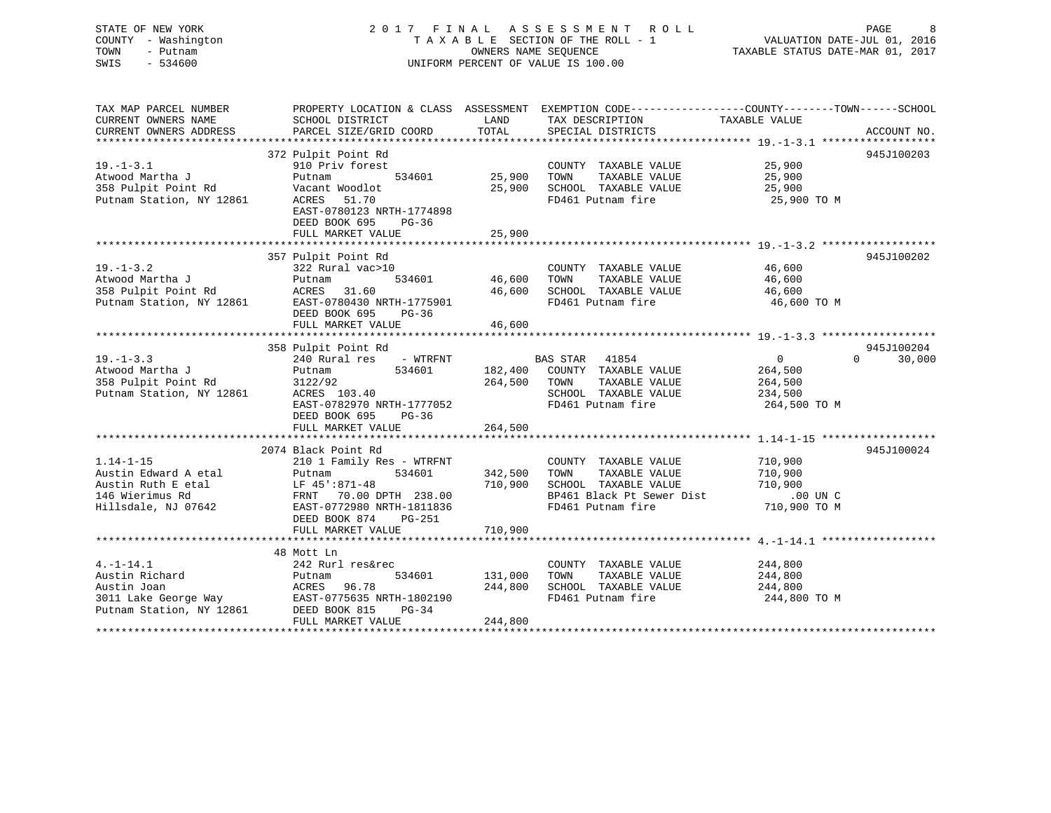### STATE OF NEW YORK 2 0 1 7 F I N A L A S S E S S M E N T R O L L PAGE 8 COUNTY - Washington T A X A B L E SECTION OF THE ROLL - 1 VALUATION DATE-JUL 01, 2016 TOWN - Putnam OWNERS NAME SEQUENCE TAXABLE STATUS DATE-MAR 01, 2017 SWIS - 534600 UNIFORM PERCENT OF VALUE IS 100.00

| TAX MAP PARCEL NUMBER<br>CURRENT OWNERS NAME<br>CURRENT OWNERS ADDRESS                                   | SCHOOL DISTRICT<br>PARCEL SIZE/GRID COORD                                                                                                                                                                                          | LAND<br>TOTAL                        | PROPERTY LOCATION & CLASS ASSESSMENT EXEMPTION CODE----------------COUNTY-------TOWN------SCHOOL<br>TAX DESCRIPTION<br>SPECIAL DISTRICTS | TAXABLE VALUE                                                   | ACCOUNT NO.                                   |
|----------------------------------------------------------------------------------------------------------|------------------------------------------------------------------------------------------------------------------------------------------------------------------------------------------------------------------------------------|--------------------------------------|------------------------------------------------------------------------------------------------------------------------------------------|-----------------------------------------------------------------|-----------------------------------------------|
| $19. - 1 - 3.1$<br>Atwood Martha J<br>Atwood Martha J<br>358 Pulpit Point Rd<br>Putnam Station, NY 12861 | 372 Pulpit Point Rd<br>910 Priv forest<br>Putnam<br>534601<br>Vacant Woodlot<br>ACRES 51.70<br>EAST-0780123 NRTH-1774898<br>DEED BOOK 695<br>$PG-36$<br>FULL MARKET VALUE                                                          | COUNTY<br>25,900      TOWN<br>25,900 | COUNTY TAXABLE VALUE<br>TAXABLE VALUE<br>25,900 SCHOOL TAXABLE VALUE<br>FD461 Putnam fire 25,900 TO M                                    | 25,900<br>25,900<br>25,900                                      | 945J100203                                    |
| $19. - 1 - 3.2$                                                                                          | 357 Pulpit Point Rd<br>322 Rural vac>10<br>DEED BOOK 695<br>PG-36                                                                                                                                                                  | 534601 46,600 TOWN                   | COUNTY TAXABLE VALUE<br>TAXABLE VALUE 46,600                                                                                             | 46,600<br>46,600<br>46,600 TO M                                 | 945J100202                                    |
| $19. - 1 - 3.3$<br>Atwood Martha J<br>358 Pulpit Point Rd                                                | 358 Pulpit Point Rd<br>240 Rural res - WTRFNT BAS STAR 41854<br>Putnam<br>3122/92<br>200 August Found Rd 3122/92<br>Putnam Station, NY 12861 ACRES 103.40<br>EAST-0782970 NRTH-1777052<br>DEED BOOK 695 PG-36<br>FULL MARKET VALUE | 264,500                              | 534601 182,400 COUNTY TAXABLE VALUE<br>264,500 TOWN<br>TAXABLE VALUE<br>SCHOOL TAXABLE VALUE<br>FD461 Putnam fire                        | $\overline{0}$<br>264,500<br>264,500<br>234,500<br>264,500 TO M | 945J100204<br>$\Omega$ and $\Omega$<br>30,000 |
| $1.14 - 1 - 15$                                                                                          | 2074 Black Point Rd<br>210 1 Family Res - WTRFNT COUNTY<br>Putnam 534601 342,500 TOWN<br>DEED BOOK 874<br>PG-251<br>FULL MARKET VALUE                                                                                              | 710,900                              | COUNTY TAXABLE VALUE<br>TAXABLE VALUE<br>710,900 SCHOOL TAXABLE VALUE<br>BP461 Black Pt Sewer Dist<br>FD461 Putnam fire                  | 710,900<br>710,900<br>710,900<br>$.00$ UN C<br>710,900 TO M     | 945J100024                                    |
| $4. -1 - 14.1$<br>Austin Richard Putnam<br>Nutin Joan Mongo Nopec<br>Austin Joan                         | 48 Mott Ln<br>242 Rurl res&rec<br>534601<br>ACRES 96.78<br>3011 Lake George Way<br>Putnam Station, NY 12861 DEED BOOK 815 PG-34<br>FULL MARKET VALUE                                                                               | 131,000<br>244,800                   | COUNTY TAXABLE VALUE<br>TOWN<br>TAXABLE VALUE<br>244,800 SCHOOL TAXABLE VALUE<br>FD461 Putnam fire                                       | 244,800<br>244,800<br>244,800<br>244,800 TO M                   |                                               |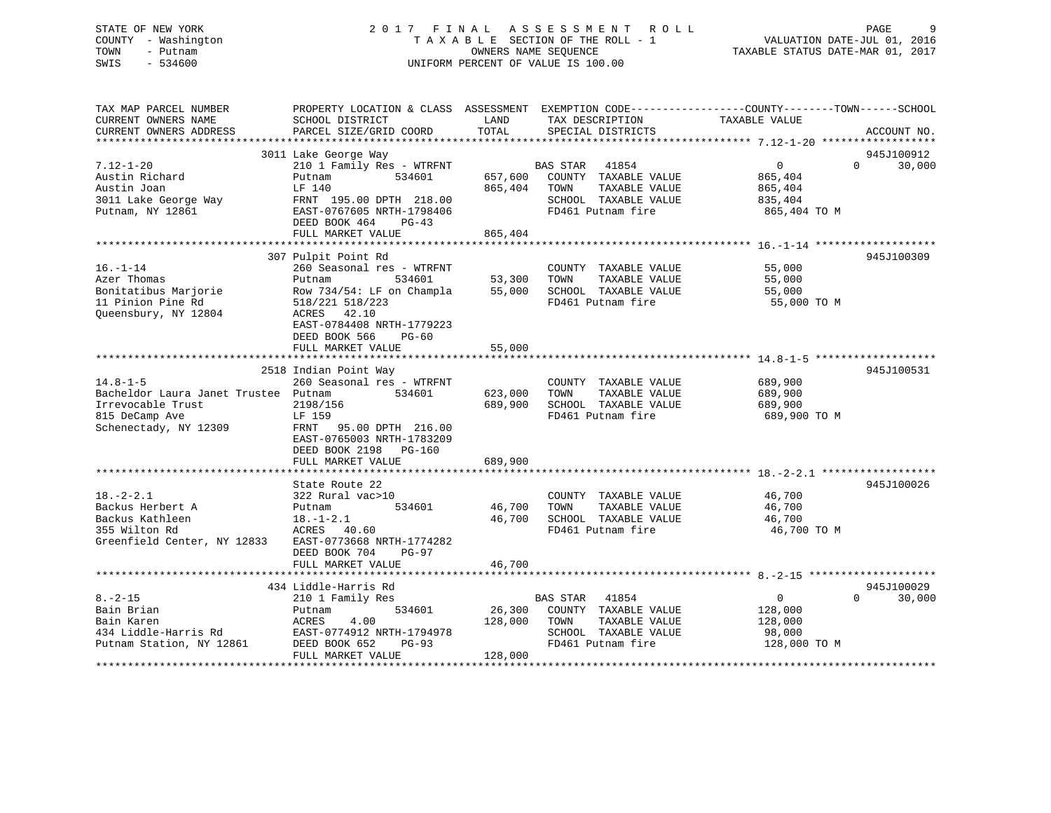### STATE OF NEW YORK 2 0 1 7 F I N A L A S S E S S M E N T R O L L PAGE 9 COUNTY - Washington T A X A B L E SECTION OF THE ROLL - 1 VALUATION DATE-JUL 01, 2016 TOWN - Putnam OWNERS NAME SEQUENCE TAXABLE STATUS DATE-MAR 01, 2017 SWIS - 534600 UNIFORM PERCENT OF VALUE IS 100.00

| TAX MAP PARCEL NUMBER<br>CURRENT OWNERS NAME                                                           | PROPERTY LOCATION & CLASS ASSESSMENT EXEMPTION CODE----------------COUNTY-------TOWN------SCHOOL<br>SCHOOL DISTRICT                                                                          | LAND<br>TOTAL                | TAX DESCRIPTION                                                                                                      | TAXABLE VALUE                                                   |                                  |
|--------------------------------------------------------------------------------------------------------|----------------------------------------------------------------------------------------------------------------------------------------------------------------------------------------------|------------------------------|----------------------------------------------------------------------------------------------------------------------|-----------------------------------------------------------------|----------------------------------|
| CURRENT OWNERS ADDRESS                                                                                 | PARCEL SIZE/GRID COORD                                                                                                                                                                       |                              | SPECIAL DISTRICTS                                                                                                    |                                                                 | ACCOUNT NO.                      |
|                                                                                                        | 3011 Lake George Way                                                                                                                                                                         |                              |                                                                                                                      |                                                                 | 945J100912                       |
| $7.12 - 1 - 20$<br>Austin Richard<br>Austin Joan<br>3011 Lake George Way<br>Putnam, NY 12861           | 210 1 Family Res - WTRFNT<br>534601<br>Putnam<br>LF 140<br>FRNT 195.00 DPTH 218.00<br>EAST-0767605 NRTH-1798406<br>DEED BOOK 464<br>$PG-43$                                                  | 865,404                      | BAS STAR 41854<br>657,600 COUNTY TAXABLE VALUE<br>TOWN<br>TAXABLE VALUE<br>SCHOOL TAXABLE VALUE<br>FD461 Putnam fire | $\overline{0}$<br>865,404<br>865,404<br>835,404<br>865,404 TO M | $\Omega$<br>30,000               |
|                                                                                                        | FULL MARKET VALUE                                                                                                                                                                            | 865,404                      |                                                                                                                      |                                                                 |                                  |
| $16. - 1 - 14$<br>Azer Thomas<br>Bonitatibus Marjorie<br>11 Pinion Pine Rd<br>Queensbury, NY 12804     | 307 Pulpit Point Rd<br>260 Seasonal res - WTRFNT<br>534601<br>Putnam<br>Row 734/54: LF on Champla<br>518/221 518/223<br>ACRES 42.10<br>EAST-0784408 NRTH-1779223<br>DEED BOOK 566<br>$PG-60$ | 53,300<br>55,000<br>55,000   | COUNTY TAXABLE VALUE<br>TOWN<br>TAXABLE VALUE<br>SCHOOL TAXABLE VALUE<br>FD461 Putnam fire                           | 55,000<br>55,000<br>55,000<br>55,000 TO M                       | 945J100309                       |
|                                                                                                        | FULL MARKET VALUE                                                                                                                                                                            |                              |                                                                                                                      |                                                                 |                                  |
| $14.8 - 1 - 5$<br>Bacheldor Laura Janet Trustee Putnam<br>Irrevocable Trust<br>815 DeCamp Ave          | 2518 Indian Point Way<br>260 Seasonal res - WTRFNT<br>534601<br>2198/156<br>LF 159                                                                                                           | 623,000<br>689,900           | COUNTY TAXABLE VALUE<br>TOWN<br>TAXABLE VALUE<br>SCHOOL TAXABLE VALUE<br>FD461 Putnam fire                           | 689,900<br>689,900<br>689,900<br>689,900 TO M                   | 945J100531                       |
| Schenectady, NY 12309                                                                                  | FRNT 95.00 DPTH 216.00<br>EAST-0765003 NRTH-1783209<br>DEED BOOK 2198<br>PG-160<br>FULL MARKET VALUE                                                                                         | 689,900                      |                                                                                                                      |                                                                 |                                  |
|                                                                                                        | State Route 22                                                                                                                                                                               |                              |                                                                                                                      |                                                                 | 945J100026                       |
| $18. - 2 - 2.1$<br>Backus Herbert A<br>Backus Kathleen<br>355 Wilton Rd<br>Greenfield Center, NY 12833 | 322 Rural vac>10<br>534601<br>Putnam<br>$18.-1-2.1$<br>ACRES<br>40.60<br>EAST-0773668 NRTH-1774282<br>DEED BOOK 704<br>$PG-97$                                                               | 46,700<br>46,700             | COUNTY TAXABLE VALUE<br>TOWN<br>TAXABLE VALUE<br>SCHOOL TAXABLE VALUE<br>FD461 Putnam fire                           | 46,700<br>46,700<br>46,700<br>46,700 TO M                       |                                  |
|                                                                                                        | FULL MARKET VALUE                                                                                                                                                                            | 46,700                       |                                                                                                                      |                                                                 |                                  |
|                                                                                                        |                                                                                                                                                                                              |                              |                                                                                                                      |                                                                 |                                  |
| $8. - 2 - 15$<br>Bain Brian<br>Bain Karen<br>434 Liddle-Harris Rd<br>Putnam Station, NY 12861          | 434 Liddle-Harris Rd<br>210 1 Family Res<br>534601<br>Putnam<br>ACRES<br>4.00<br>EAST-0774912 NRTH-1794978<br>DEED BOOK 652<br>$PG-93$<br>FULL MARKET VALUE                                  | 26,300<br>128,000<br>128,000 | 41854<br>BAS STAR<br>COUNTY TAXABLE VALUE<br>TOWN<br>TAXABLE VALUE<br>SCHOOL TAXABLE VALUE<br>FD461 Putnam fire      | $\overline{0}$<br>128,000<br>128,000<br>98,000<br>128,000 TO M  | 945J100029<br>$\Omega$<br>30,000 |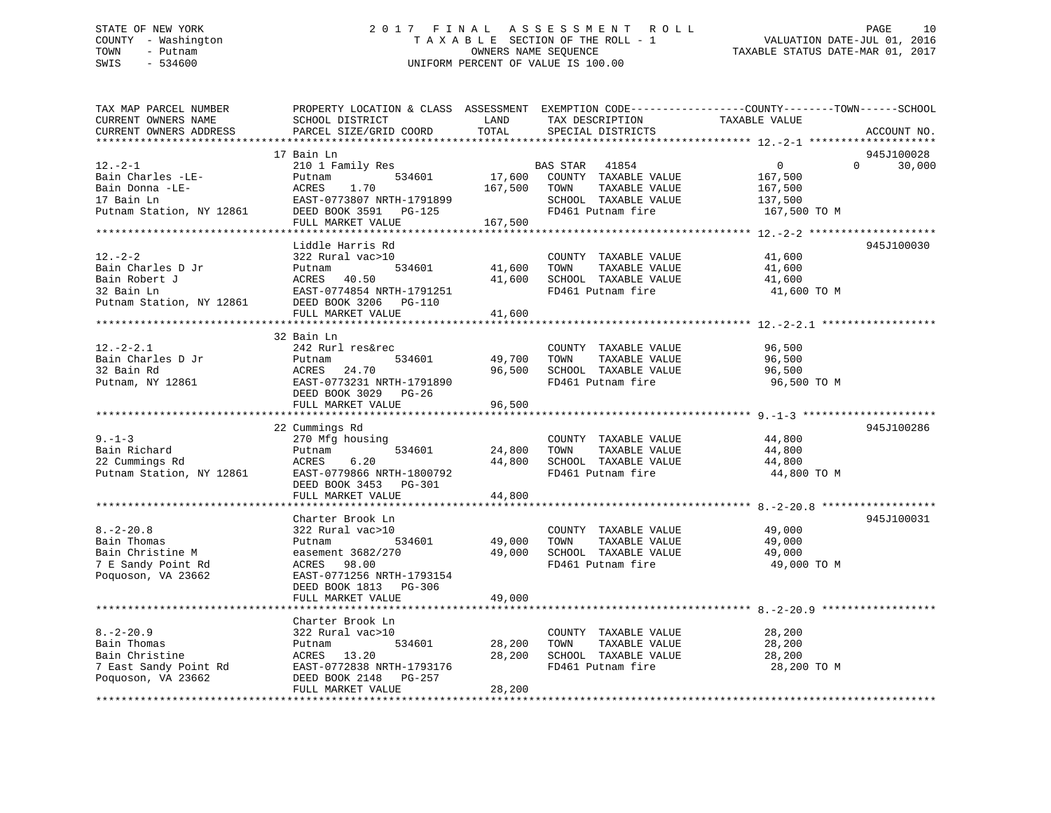### STATE OF NEW YORK 2 0 1 7 F I N A L A S S E S S M E N T R O L L PAGE 10 COUNTY - Washington T A X A B L E SECTION OF THE ROLL - 1 VALUATION DATE-JUL 01, 2016 TOWN - Putnam **CONNERS NAME SEQUENCE** TAXABLE STATUS DATE-MAR 01, 2017 SWIS - 534600 UNIFORM PERCENT OF VALUE IS 100.00

| TAX MAP PARCEL NUMBER<br>CURRENT OWNERS NAME<br>CURRENT OWNERS ADDRESS | SCHOOL DISTRICT<br>PARCEL SIZE/GRID COORD                                          | LAND<br>TOTAL           | TAX DESCRIPTION<br>SPECIAL DISTRICTS                                               | PROPERTY LOCATION & CLASS ASSESSMENT EXEMPTION CODE----------------COUNTY-------TOWN------SCHOOL<br>TAXABLE VALUE | ACCOUNT NO. |
|------------------------------------------------------------------------|------------------------------------------------------------------------------------|-------------------------|------------------------------------------------------------------------------------|-------------------------------------------------------------------------------------------------------------------|-------------|
| *********************                                                  |                                                                                    |                         |                                                                                    |                                                                                                                   |             |
|                                                                        | 17 Bain Ln                                                                         |                         |                                                                                    |                                                                                                                   | 945J100028  |
| $12. -2 - 1$<br>Bain Charles -LE-<br>Bain Donna -LE-<br>17 Bain Ln     | 210 1 Family Res<br>534601<br>Putnam<br>1.70<br>ACRES<br>EAST-0773807 NRTH-1791899 | 17,600<br>167,500 TOWN  | BAS STAR<br>41854<br>COUNTY TAXABLE VALUE<br>TAXABLE VALUE<br>SCHOOL TAXABLE VALUE | $\overline{0}$<br>$\Omega$<br>167,500<br>167,500<br>137,500                                                       | 30,000      |
| Putnam Station, NY 12861                                               | DEED BOOK 3591 PG-125<br>FULL MARKET VALUE                                         | 167,500                 | FD461 Putnam fire                                                                  | 167,500 TO M                                                                                                      |             |
|                                                                        |                                                                                    |                         |                                                                                    |                                                                                                                   |             |
|                                                                        | Liddle Harris Rd                                                                   |                         |                                                                                    |                                                                                                                   | 945J100030  |
| $12. - 2 - 2$<br>Bain Charles D Jr                                     | 322 Rural vac>10<br>534601                                                         |                         | COUNTY TAXABLE VALUE<br>TAXABLE VALUE<br>TOWN                                      | 41,600                                                                                                            |             |
| Bain Robert J                                                          | Putnam<br>ACRES 40.50                                                              | 41,600<br>41,600        | SCHOOL TAXABLE VALUE                                                               | 41,600<br>41,600                                                                                                  |             |
| 32 Bain Ln                                                             | EAST-0774854 NRTH-1791251                                                          |                         | FD461 Putnam fire                                                                  | 41,600 TO M                                                                                                       |             |
| Putnam Station, NY 12861                                               | DEED BOOK 3206 PG-110                                                              |                         |                                                                                    |                                                                                                                   |             |
|                                                                        | FULL MARKET VALUE                                                                  | 41,600                  |                                                                                    |                                                                                                                   |             |
|                                                                        |                                                                                    |                         |                                                                                    |                                                                                                                   |             |
|                                                                        | 32 Bain Ln                                                                         |                         |                                                                                    |                                                                                                                   |             |
| $12. - 2 - 2.1$                                                        | 242 Rurl res&rec                                                                   |                         | COUNTY TAXABLE VALUE                                                               | 96,500                                                                                                            |             |
| Bain Charles D Jr                                                      | 534601<br>Putnam                                                                   | 49,700                  | TOWN<br>TAXABLE VALUE                                                              | 96,500                                                                                                            |             |
| 32 Bain Rd                                                             | 24.70<br>ACRES                                                                     | 96,500                  | SCHOOL TAXABLE VALUE                                                               | 96,500                                                                                                            |             |
| Putnam, NY 12861                                                       | EAST-0773231 NRTH-1791890<br>DEED BOOK 3029 PG-26                                  |                         | FD461 Putnam fire                                                                  | 96,500 TO M                                                                                                       |             |
|                                                                        | FULL MARKET VALUE                                                                  | 96,500<br>***********   |                                                                                    |                                                                                                                   |             |
|                                                                        | 22 Cummings Rd                                                                     |                         |                                                                                    |                                                                                                                   | 945J100286  |
| $9 - 1 - 3$                                                            | 270 Mfg housing                                                                    |                         | COUNTY TAXABLE VALUE                                                               | 44,800                                                                                                            |             |
| Bain Richard                                                           | 534601<br>Putnam                                                                   | 24,800                  | TOWN<br>TAXABLE VALUE                                                              | 44,800                                                                                                            |             |
| 22 Cummings Rd                                                         | ACRES<br>6.20                                                                      | 44,800                  | SCHOOL TAXABLE VALUE                                                               | 44,800                                                                                                            |             |
| Putnam Station, NY 12861                                               | EAST-0779866 NRTH-1800792                                                          |                         | FD461 Putnam fire                                                                  | 44,800 TO M                                                                                                       |             |
|                                                                        | DEED BOOK 3453 PG-301                                                              |                         |                                                                                    |                                                                                                                   |             |
|                                                                        | FULL MARKET VALUE                                                                  | 44,800                  |                                                                                    |                                                                                                                   |             |
|                                                                        |                                                                                    |                         |                                                                                    |                                                                                                                   |             |
|                                                                        | Charter Brook Ln                                                                   |                         |                                                                                    |                                                                                                                   | 945J100031  |
| $8. - 2 - 20.8$                                                        | 322 Rural vac>10                                                                   |                         | COUNTY TAXABLE VALUE                                                               | 49,000                                                                                                            |             |
| Bain Thomas                                                            | 534601<br>Putnam                                                                   | 49,000                  | TOWN<br>TAXABLE VALUE                                                              | 49,000                                                                                                            |             |
| Bain Christine M                                                       | easement 3682/270                                                                  | 49,000                  | SCHOOL TAXABLE VALUE                                                               | 49,000                                                                                                            |             |
| 7 E Sandy Point Rd                                                     | ACRES<br>98.00                                                                     |                         | FD461 Putnam fire                                                                  | 49,000 TO M                                                                                                       |             |
| Poquoson, VA 23662                                                     | EAST-0771256 NRTH-1793154                                                          |                         |                                                                                    |                                                                                                                   |             |
|                                                                        | DEED BOOK 1813 PG-306                                                              |                         |                                                                                    |                                                                                                                   |             |
|                                                                        | FULL MARKET VALUE                                                                  | 49,000<br>************* |                                                                                    |                                                                                                                   |             |
|                                                                        | Charter Brook Ln                                                                   |                         |                                                                                    |                                                                                                                   |             |
| $8. - 2 - 20.9$                                                        | 322 Rural vac>10                                                                   |                         | COUNTY TAXABLE VALUE                                                               | 28,200                                                                                                            |             |
| Bain Thomas                                                            | 534601<br>Putnam                                                                   | 28,200                  | TOWN<br>TAXABLE VALUE                                                              | 28,200                                                                                                            |             |
| Bain Christine                                                         | ACRES 13.20                                                                        | 28,200                  | SCHOOL TAXABLE VALUE                                                               | 28,200                                                                                                            |             |
| 7 East Sandy Point Rd                                                  | EAST-0772838 NRTH-1793176                                                          |                         | FD461 Putnam fire                                                                  | 28,200 TO M                                                                                                       |             |
| Poquoson, VA 23662                                                     | DEED BOOK 2148 PG-257                                                              |                         |                                                                                    |                                                                                                                   |             |
|                                                                        | FULL MARKET VALUE                                                                  | 28,200                  |                                                                                    |                                                                                                                   |             |
|                                                                        |                                                                                    |                         |                                                                                    |                                                                                                                   |             |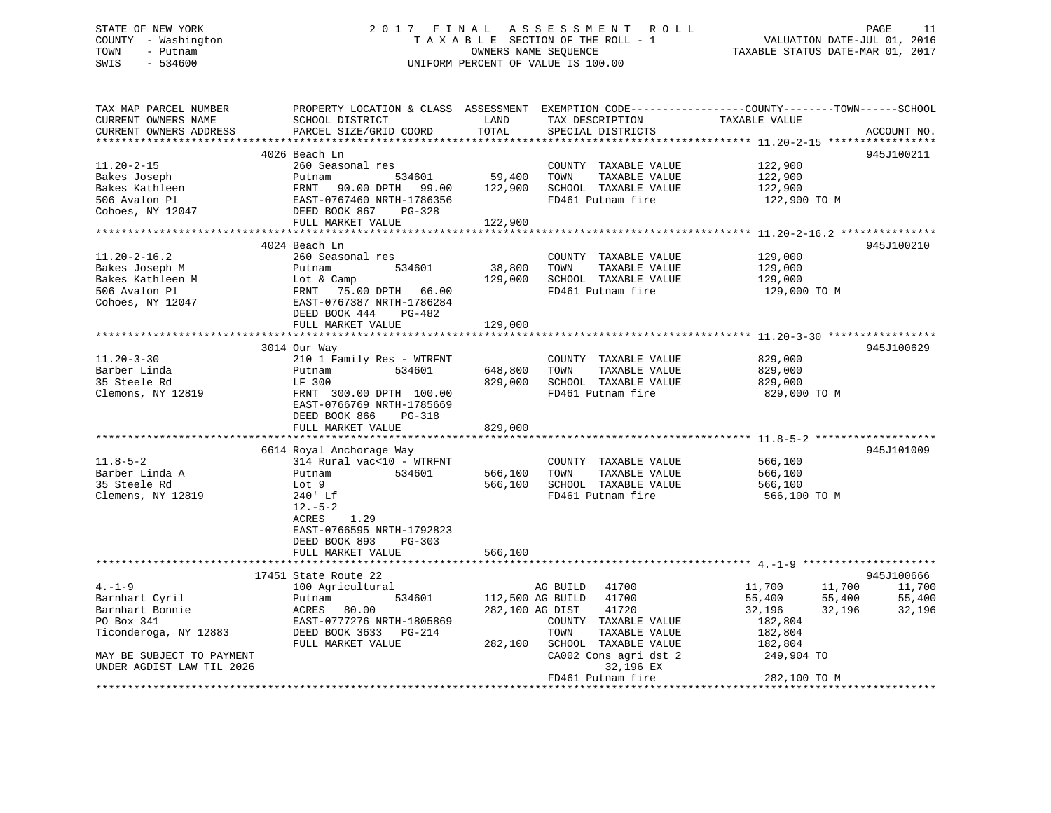# STATE OF NEW YORK 2 0 1 7 F I N A L A S S E S S M E N T R O L L PAGE 11COUNTY - Washington  $T A X A B L E$  SECTION OF THE ROLL - 1<br>TOWN - Putnam data of the COUNTERS NAME SEQUENCE SWIS - 534600 UNIFORM PERCENT OF VALUE IS 100.00

TAXABLE STATUS DATE-MAR 01, 2017

| 4026 Beach Ln<br>945J100211<br>122,900<br>260 Seasonal res<br>COUNTY TAXABLE VALUE<br>59,400<br>TOWN<br>TAXABLE VALUE<br>122,900<br>534601<br>Putnam<br>FRNT 90.00 DPTH 99.00<br>122,900<br>SCHOOL TAXABLE VALUE<br>122,900<br>FD461 Putnam fire<br>EAST-0767460 NRTH-1786356<br>122,900 TO M<br>DEED BOOK 867<br>PG-328<br>FULL MARKET VALUE<br>122,900<br>************************************<br>4024 Beach Ln<br>945J100210<br>$11.20 - 2 - 16.2$<br>129,000<br>260 Seasonal res<br>COUNTY TAXABLE VALUE<br>534601<br>38,800<br>TOWN<br>TAXABLE VALUE<br>Bakes Joseph M<br>Putnam<br>129,000<br>129,000<br>Bakes Kathleen M<br>Lot & Camp<br>SCHOOL TAXABLE VALUE<br>129,000<br>506 Avalon Pl<br>FRNT<br>75.00 DPTH 66.00<br>FD461 Putnam fire<br>129,000 TO M<br>Cohoes, NY 12047<br>EAST-0767387 NRTH-1786284<br>DEED BOOK 444<br>PG-482<br>FULL MARKET VALUE<br>129,000<br>945J100629<br>3014 Our Way<br>$11.20 - 3 - 30$<br>210 1 Family Res - WTRFNT<br>COUNTY TAXABLE VALUE<br>829,000<br>Barber Linda<br>534601<br>648,800<br>TAXABLE VALUE<br>Putnam<br>TOWN<br>829,000<br>829,000<br>35 Steele Rd<br>LF 300<br>SCHOOL TAXABLE VALUE<br>829,000<br>Clemons, NY 12819<br>FRNT 300.00 DPTH 100.00<br>FD461 Putnam fire<br>829,000 TO M<br>EAST-0766769 NRTH-1785669<br>DEED BOOK 866<br>PG-318<br>FULL MARKET VALUE<br>829,000<br>945J101009<br>6614 Royal Anchorage Way<br>314 Rural vac<10 - WTRFNT<br>COUNTY TAXABLE VALUE<br>566,100<br>TAXABLE VALUE<br>534601<br>566,100<br>TOWN<br>566,100<br>Putnam<br>566,100<br>SCHOOL TAXABLE VALUE<br>566,100<br>Lot 9<br>FD461 Putnam fire<br>566,100 TO M<br>240' Lf<br>$12.-5-2$<br>ACRES<br>1.29<br>EAST-0766595 NRTH-1792823<br>DEED BOOK 893<br>$PG-303$<br>FULL MARKET VALUE<br>566,100<br>945J100666<br>17451 State Route 22<br>100 Agricultural<br>41700<br>11,700<br>11,700<br>11,700<br>AG BUILD<br>Barnhart Cyril<br>534601<br>112,500 AG BUILD<br>41700<br>55,400<br>55,400<br>55,400<br>Putnam<br>ACRES<br>80.00<br>282,100 AG DIST<br>41720<br>32,196<br>32,196<br>32,196<br>EAST-0777276 NRTH-1805869<br>182,804<br>COUNTY TAXABLE VALUE<br>DEED BOOK 3633 PG-214<br>TOWN<br>TAXABLE VALUE<br>182,804<br>FULL MARKET VALUE<br>282,100<br>SCHOOL TAXABLE VALUE<br>182,804<br>CA002 Cons agri dst 2<br>249,904 TO<br>UNDER AGDIST LAW TIL 2026<br>32,196 EX<br>FD461 Putnam fire<br>282,100 TO M | TAX MAP PARCEL NUMBER<br>CURRENT OWNERS NAME | PROPERTY LOCATION & CLASS ASSESSMENT EXEMPTION CODE----------------COUNTY-------TOWN-----SCHOOL<br>SCHOOL DISTRICT | LAND  | TAX DESCRIPTION   | TAXABLE VALUE |             |
|----------------------------------------------------------------------------------------------------------------------------------------------------------------------------------------------------------------------------------------------------------------------------------------------------------------------------------------------------------------------------------------------------------------------------------------------------------------------------------------------------------------------------------------------------------------------------------------------------------------------------------------------------------------------------------------------------------------------------------------------------------------------------------------------------------------------------------------------------------------------------------------------------------------------------------------------------------------------------------------------------------------------------------------------------------------------------------------------------------------------------------------------------------------------------------------------------------------------------------------------------------------------------------------------------------------------------------------------------------------------------------------------------------------------------------------------------------------------------------------------------------------------------------------------------------------------------------------------------------------------------------------------------------------------------------------------------------------------------------------------------------------------------------------------------------------------------------------------------------------------------------------------------------------------------------------------------------------------------------------------------------------------------------------------------------------------------------------------------------------------------------------------------------------------------------------------------------------------------------------------------------------------------------------------------------------------------------------------------------------------|----------------------------------------------|--------------------------------------------------------------------------------------------------------------------|-------|-------------------|---------------|-------------|
|                                                                                                                                                                                                                                                                                                                                                                                                                                                                                                                                                                                                                                                                                                                                                                                                                                                                                                                                                                                                                                                                                                                                                                                                                                                                                                                                                                                                                                                                                                                                                                                                                                                                                                                                                                                                                                                                                                                                                                                                                                                                                                                                                                                                                                                                                                                                                                      | CURRENT OWNERS ADDRESS                       | PARCEL SIZE/GRID COORD                                                                                             | TOTAL | SPECIAL DISTRICTS |               | ACCOUNT NO. |
|                                                                                                                                                                                                                                                                                                                                                                                                                                                                                                                                                                                                                                                                                                                                                                                                                                                                                                                                                                                                                                                                                                                                                                                                                                                                                                                                                                                                                                                                                                                                                                                                                                                                                                                                                                                                                                                                                                                                                                                                                                                                                                                                                                                                                                                                                                                                                                      |                                              |                                                                                                                    |       |                   |               |             |
|                                                                                                                                                                                                                                                                                                                                                                                                                                                                                                                                                                                                                                                                                                                                                                                                                                                                                                                                                                                                                                                                                                                                                                                                                                                                                                                                                                                                                                                                                                                                                                                                                                                                                                                                                                                                                                                                                                                                                                                                                                                                                                                                                                                                                                                                                                                                                                      | $11.20 - 2 - 15$                             |                                                                                                                    |       |                   |               |             |
|                                                                                                                                                                                                                                                                                                                                                                                                                                                                                                                                                                                                                                                                                                                                                                                                                                                                                                                                                                                                                                                                                                                                                                                                                                                                                                                                                                                                                                                                                                                                                                                                                                                                                                                                                                                                                                                                                                                                                                                                                                                                                                                                                                                                                                                                                                                                                                      | Bakes Joseph                                 |                                                                                                                    |       |                   |               |             |
|                                                                                                                                                                                                                                                                                                                                                                                                                                                                                                                                                                                                                                                                                                                                                                                                                                                                                                                                                                                                                                                                                                                                                                                                                                                                                                                                                                                                                                                                                                                                                                                                                                                                                                                                                                                                                                                                                                                                                                                                                                                                                                                                                                                                                                                                                                                                                                      | Bakes Kathleen                               |                                                                                                                    |       |                   |               |             |
|                                                                                                                                                                                                                                                                                                                                                                                                                                                                                                                                                                                                                                                                                                                                                                                                                                                                                                                                                                                                                                                                                                                                                                                                                                                                                                                                                                                                                                                                                                                                                                                                                                                                                                                                                                                                                                                                                                                                                                                                                                                                                                                                                                                                                                                                                                                                                                      | 506 Avalon Pl                                |                                                                                                                    |       |                   |               |             |
|                                                                                                                                                                                                                                                                                                                                                                                                                                                                                                                                                                                                                                                                                                                                                                                                                                                                                                                                                                                                                                                                                                                                                                                                                                                                                                                                                                                                                                                                                                                                                                                                                                                                                                                                                                                                                                                                                                                                                                                                                                                                                                                                                                                                                                                                                                                                                                      | Cohoes, NY 12047                             |                                                                                                                    |       |                   |               |             |
|                                                                                                                                                                                                                                                                                                                                                                                                                                                                                                                                                                                                                                                                                                                                                                                                                                                                                                                                                                                                                                                                                                                                                                                                                                                                                                                                                                                                                                                                                                                                                                                                                                                                                                                                                                                                                                                                                                                                                                                                                                                                                                                                                                                                                                                                                                                                                                      |                                              |                                                                                                                    |       |                   |               |             |
|                                                                                                                                                                                                                                                                                                                                                                                                                                                                                                                                                                                                                                                                                                                                                                                                                                                                                                                                                                                                                                                                                                                                                                                                                                                                                                                                                                                                                                                                                                                                                                                                                                                                                                                                                                                                                                                                                                                                                                                                                                                                                                                                                                                                                                                                                                                                                                      |                                              |                                                                                                                    |       |                   |               |             |
|                                                                                                                                                                                                                                                                                                                                                                                                                                                                                                                                                                                                                                                                                                                                                                                                                                                                                                                                                                                                                                                                                                                                                                                                                                                                                                                                                                                                                                                                                                                                                                                                                                                                                                                                                                                                                                                                                                                                                                                                                                                                                                                                                                                                                                                                                                                                                                      |                                              |                                                                                                                    |       |                   |               |             |
|                                                                                                                                                                                                                                                                                                                                                                                                                                                                                                                                                                                                                                                                                                                                                                                                                                                                                                                                                                                                                                                                                                                                                                                                                                                                                                                                                                                                                                                                                                                                                                                                                                                                                                                                                                                                                                                                                                                                                                                                                                                                                                                                                                                                                                                                                                                                                                      |                                              |                                                                                                                    |       |                   |               |             |
|                                                                                                                                                                                                                                                                                                                                                                                                                                                                                                                                                                                                                                                                                                                                                                                                                                                                                                                                                                                                                                                                                                                                                                                                                                                                                                                                                                                                                                                                                                                                                                                                                                                                                                                                                                                                                                                                                                                                                                                                                                                                                                                                                                                                                                                                                                                                                                      |                                              |                                                                                                                    |       |                   |               |             |
|                                                                                                                                                                                                                                                                                                                                                                                                                                                                                                                                                                                                                                                                                                                                                                                                                                                                                                                                                                                                                                                                                                                                                                                                                                                                                                                                                                                                                                                                                                                                                                                                                                                                                                                                                                                                                                                                                                                                                                                                                                                                                                                                                                                                                                                                                                                                                                      |                                              |                                                                                                                    |       |                   |               |             |
|                                                                                                                                                                                                                                                                                                                                                                                                                                                                                                                                                                                                                                                                                                                                                                                                                                                                                                                                                                                                                                                                                                                                                                                                                                                                                                                                                                                                                                                                                                                                                                                                                                                                                                                                                                                                                                                                                                                                                                                                                                                                                                                                                                                                                                                                                                                                                                      |                                              |                                                                                                                    |       |                   |               |             |
|                                                                                                                                                                                                                                                                                                                                                                                                                                                                                                                                                                                                                                                                                                                                                                                                                                                                                                                                                                                                                                                                                                                                                                                                                                                                                                                                                                                                                                                                                                                                                                                                                                                                                                                                                                                                                                                                                                                                                                                                                                                                                                                                                                                                                                                                                                                                                                      |                                              |                                                                                                                    |       |                   |               |             |
|                                                                                                                                                                                                                                                                                                                                                                                                                                                                                                                                                                                                                                                                                                                                                                                                                                                                                                                                                                                                                                                                                                                                                                                                                                                                                                                                                                                                                                                                                                                                                                                                                                                                                                                                                                                                                                                                                                                                                                                                                                                                                                                                                                                                                                                                                                                                                                      |                                              |                                                                                                                    |       |                   |               |             |
|                                                                                                                                                                                                                                                                                                                                                                                                                                                                                                                                                                                                                                                                                                                                                                                                                                                                                                                                                                                                                                                                                                                                                                                                                                                                                                                                                                                                                                                                                                                                                                                                                                                                                                                                                                                                                                                                                                                                                                                                                                                                                                                                                                                                                                                                                                                                                                      |                                              |                                                                                                                    |       |                   |               |             |
|                                                                                                                                                                                                                                                                                                                                                                                                                                                                                                                                                                                                                                                                                                                                                                                                                                                                                                                                                                                                                                                                                                                                                                                                                                                                                                                                                                                                                                                                                                                                                                                                                                                                                                                                                                                                                                                                                                                                                                                                                                                                                                                                                                                                                                                                                                                                                                      |                                              |                                                                                                                    |       |                   |               |             |
|                                                                                                                                                                                                                                                                                                                                                                                                                                                                                                                                                                                                                                                                                                                                                                                                                                                                                                                                                                                                                                                                                                                                                                                                                                                                                                                                                                                                                                                                                                                                                                                                                                                                                                                                                                                                                                                                                                                                                                                                                                                                                                                                                                                                                                                                                                                                                                      |                                              |                                                                                                                    |       |                   |               |             |
|                                                                                                                                                                                                                                                                                                                                                                                                                                                                                                                                                                                                                                                                                                                                                                                                                                                                                                                                                                                                                                                                                                                                                                                                                                                                                                                                                                                                                                                                                                                                                                                                                                                                                                                                                                                                                                                                                                                                                                                                                                                                                                                                                                                                                                                                                                                                                                      |                                              |                                                                                                                    |       |                   |               |             |
|                                                                                                                                                                                                                                                                                                                                                                                                                                                                                                                                                                                                                                                                                                                                                                                                                                                                                                                                                                                                                                                                                                                                                                                                                                                                                                                                                                                                                                                                                                                                                                                                                                                                                                                                                                                                                                                                                                                                                                                                                                                                                                                                                                                                                                                                                                                                                                      |                                              |                                                                                                                    |       |                   |               |             |
|                                                                                                                                                                                                                                                                                                                                                                                                                                                                                                                                                                                                                                                                                                                                                                                                                                                                                                                                                                                                                                                                                                                                                                                                                                                                                                                                                                                                                                                                                                                                                                                                                                                                                                                                                                                                                                                                                                                                                                                                                                                                                                                                                                                                                                                                                                                                                                      |                                              |                                                                                                                    |       |                   |               |             |
|                                                                                                                                                                                                                                                                                                                                                                                                                                                                                                                                                                                                                                                                                                                                                                                                                                                                                                                                                                                                                                                                                                                                                                                                                                                                                                                                                                                                                                                                                                                                                                                                                                                                                                                                                                                                                                                                                                                                                                                                                                                                                                                                                                                                                                                                                                                                                                      |                                              |                                                                                                                    |       |                   |               |             |
|                                                                                                                                                                                                                                                                                                                                                                                                                                                                                                                                                                                                                                                                                                                                                                                                                                                                                                                                                                                                                                                                                                                                                                                                                                                                                                                                                                                                                                                                                                                                                                                                                                                                                                                                                                                                                                                                                                                                                                                                                                                                                                                                                                                                                                                                                                                                                                      |                                              |                                                                                                                    |       |                   |               |             |
|                                                                                                                                                                                                                                                                                                                                                                                                                                                                                                                                                                                                                                                                                                                                                                                                                                                                                                                                                                                                                                                                                                                                                                                                                                                                                                                                                                                                                                                                                                                                                                                                                                                                                                                                                                                                                                                                                                                                                                                                                                                                                                                                                                                                                                                                                                                                                                      |                                              |                                                                                                                    |       |                   |               |             |
|                                                                                                                                                                                                                                                                                                                                                                                                                                                                                                                                                                                                                                                                                                                                                                                                                                                                                                                                                                                                                                                                                                                                                                                                                                                                                                                                                                                                                                                                                                                                                                                                                                                                                                                                                                                                                                                                                                                                                                                                                                                                                                                                                                                                                                                                                                                                                                      |                                              |                                                                                                                    |       |                   |               |             |
|                                                                                                                                                                                                                                                                                                                                                                                                                                                                                                                                                                                                                                                                                                                                                                                                                                                                                                                                                                                                                                                                                                                                                                                                                                                                                                                                                                                                                                                                                                                                                                                                                                                                                                                                                                                                                                                                                                                                                                                                                                                                                                                                                                                                                                                                                                                                                                      |                                              |                                                                                                                    |       |                   |               |             |
|                                                                                                                                                                                                                                                                                                                                                                                                                                                                                                                                                                                                                                                                                                                                                                                                                                                                                                                                                                                                                                                                                                                                                                                                                                                                                                                                                                                                                                                                                                                                                                                                                                                                                                                                                                                                                                                                                                                                                                                                                                                                                                                                                                                                                                                                                                                                                                      | $11.8 - 5 - 2$                               |                                                                                                                    |       |                   |               |             |
|                                                                                                                                                                                                                                                                                                                                                                                                                                                                                                                                                                                                                                                                                                                                                                                                                                                                                                                                                                                                                                                                                                                                                                                                                                                                                                                                                                                                                                                                                                                                                                                                                                                                                                                                                                                                                                                                                                                                                                                                                                                                                                                                                                                                                                                                                                                                                                      | Barber Linda A                               |                                                                                                                    |       |                   |               |             |
|                                                                                                                                                                                                                                                                                                                                                                                                                                                                                                                                                                                                                                                                                                                                                                                                                                                                                                                                                                                                                                                                                                                                                                                                                                                                                                                                                                                                                                                                                                                                                                                                                                                                                                                                                                                                                                                                                                                                                                                                                                                                                                                                                                                                                                                                                                                                                                      | 35 Steele Rd                                 |                                                                                                                    |       |                   |               |             |
|                                                                                                                                                                                                                                                                                                                                                                                                                                                                                                                                                                                                                                                                                                                                                                                                                                                                                                                                                                                                                                                                                                                                                                                                                                                                                                                                                                                                                                                                                                                                                                                                                                                                                                                                                                                                                                                                                                                                                                                                                                                                                                                                                                                                                                                                                                                                                                      | Clemens, NY 12819                            |                                                                                                                    |       |                   |               |             |
|                                                                                                                                                                                                                                                                                                                                                                                                                                                                                                                                                                                                                                                                                                                                                                                                                                                                                                                                                                                                                                                                                                                                                                                                                                                                                                                                                                                                                                                                                                                                                                                                                                                                                                                                                                                                                                                                                                                                                                                                                                                                                                                                                                                                                                                                                                                                                                      |                                              |                                                                                                                    |       |                   |               |             |
|                                                                                                                                                                                                                                                                                                                                                                                                                                                                                                                                                                                                                                                                                                                                                                                                                                                                                                                                                                                                                                                                                                                                                                                                                                                                                                                                                                                                                                                                                                                                                                                                                                                                                                                                                                                                                                                                                                                                                                                                                                                                                                                                                                                                                                                                                                                                                                      |                                              |                                                                                                                    |       |                   |               |             |
|                                                                                                                                                                                                                                                                                                                                                                                                                                                                                                                                                                                                                                                                                                                                                                                                                                                                                                                                                                                                                                                                                                                                                                                                                                                                                                                                                                                                                                                                                                                                                                                                                                                                                                                                                                                                                                                                                                                                                                                                                                                                                                                                                                                                                                                                                                                                                                      |                                              |                                                                                                                    |       |                   |               |             |
|                                                                                                                                                                                                                                                                                                                                                                                                                                                                                                                                                                                                                                                                                                                                                                                                                                                                                                                                                                                                                                                                                                                                                                                                                                                                                                                                                                                                                                                                                                                                                                                                                                                                                                                                                                                                                                                                                                                                                                                                                                                                                                                                                                                                                                                                                                                                                                      |                                              |                                                                                                                    |       |                   |               |             |
|                                                                                                                                                                                                                                                                                                                                                                                                                                                                                                                                                                                                                                                                                                                                                                                                                                                                                                                                                                                                                                                                                                                                                                                                                                                                                                                                                                                                                                                                                                                                                                                                                                                                                                                                                                                                                                                                                                                                                                                                                                                                                                                                                                                                                                                                                                                                                                      |                                              |                                                                                                                    |       |                   |               |             |
|                                                                                                                                                                                                                                                                                                                                                                                                                                                                                                                                                                                                                                                                                                                                                                                                                                                                                                                                                                                                                                                                                                                                                                                                                                                                                                                                                                                                                                                                                                                                                                                                                                                                                                                                                                                                                                                                                                                                                                                                                                                                                                                                                                                                                                                                                                                                                                      |                                              |                                                                                                                    |       |                   |               |             |
|                                                                                                                                                                                                                                                                                                                                                                                                                                                                                                                                                                                                                                                                                                                                                                                                                                                                                                                                                                                                                                                                                                                                                                                                                                                                                                                                                                                                                                                                                                                                                                                                                                                                                                                                                                                                                                                                                                                                                                                                                                                                                                                                                                                                                                                                                                                                                                      |                                              |                                                                                                                    |       |                   |               |             |
|                                                                                                                                                                                                                                                                                                                                                                                                                                                                                                                                                                                                                                                                                                                                                                                                                                                                                                                                                                                                                                                                                                                                                                                                                                                                                                                                                                                                                                                                                                                                                                                                                                                                                                                                                                                                                                                                                                                                                                                                                                                                                                                                                                                                                                                                                                                                                                      | $4. - 1 - 9$                                 |                                                                                                                    |       |                   |               |             |
|                                                                                                                                                                                                                                                                                                                                                                                                                                                                                                                                                                                                                                                                                                                                                                                                                                                                                                                                                                                                                                                                                                                                                                                                                                                                                                                                                                                                                                                                                                                                                                                                                                                                                                                                                                                                                                                                                                                                                                                                                                                                                                                                                                                                                                                                                                                                                                      |                                              |                                                                                                                    |       |                   |               |             |
|                                                                                                                                                                                                                                                                                                                                                                                                                                                                                                                                                                                                                                                                                                                                                                                                                                                                                                                                                                                                                                                                                                                                                                                                                                                                                                                                                                                                                                                                                                                                                                                                                                                                                                                                                                                                                                                                                                                                                                                                                                                                                                                                                                                                                                                                                                                                                                      | Barnhart Bonnie                              |                                                                                                                    |       |                   |               |             |
|                                                                                                                                                                                                                                                                                                                                                                                                                                                                                                                                                                                                                                                                                                                                                                                                                                                                                                                                                                                                                                                                                                                                                                                                                                                                                                                                                                                                                                                                                                                                                                                                                                                                                                                                                                                                                                                                                                                                                                                                                                                                                                                                                                                                                                                                                                                                                                      | PO Box 341                                   |                                                                                                                    |       |                   |               |             |
|                                                                                                                                                                                                                                                                                                                                                                                                                                                                                                                                                                                                                                                                                                                                                                                                                                                                                                                                                                                                                                                                                                                                                                                                                                                                                                                                                                                                                                                                                                                                                                                                                                                                                                                                                                                                                                                                                                                                                                                                                                                                                                                                                                                                                                                                                                                                                                      | Ticonderoga, NY 12883                        |                                                                                                                    |       |                   |               |             |
|                                                                                                                                                                                                                                                                                                                                                                                                                                                                                                                                                                                                                                                                                                                                                                                                                                                                                                                                                                                                                                                                                                                                                                                                                                                                                                                                                                                                                                                                                                                                                                                                                                                                                                                                                                                                                                                                                                                                                                                                                                                                                                                                                                                                                                                                                                                                                                      |                                              |                                                                                                                    |       |                   |               |             |
|                                                                                                                                                                                                                                                                                                                                                                                                                                                                                                                                                                                                                                                                                                                                                                                                                                                                                                                                                                                                                                                                                                                                                                                                                                                                                                                                                                                                                                                                                                                                                                                                                                                                                                                                                                                                                                                                                                                                                                                                                                                                                                                                                                                                                                                                                                                                                                      | MAY BE SUBJECT TO PAYMENT                    |                                                                                                                    |       |                   |               |             |
|                                                                                                                                                                                                                                                                                                                                                                                                                                                                                                                                                                                                                                                                                                                                                                                                                                                                                                                                                                                                                                                                                                                                                                                                                                                                                                                                                                                                                                                                                                                                                                                                                                                                                                                                                                                                                                                                                                                                                                                                                                                                                                                                                                                                                                                                                                                                                                      |                                              |                                                                                                                    |       |                   |               |             |
|                                                                                                                                                                                                                                                                                                                                                                                                                                                                                                                                                                                                                                                                                                                                                                                                                                                                                                                                                                                                                                                                                                                                                                                                                                                                                                                                                                                                                                                                                                                                                                                                                                                                                                                                                                                                                                                                                                                                                                                                                                                                                                                                                                                                                                                                                                                                                                      | *************************                    |                                                                                                                    |       |                   |               |             |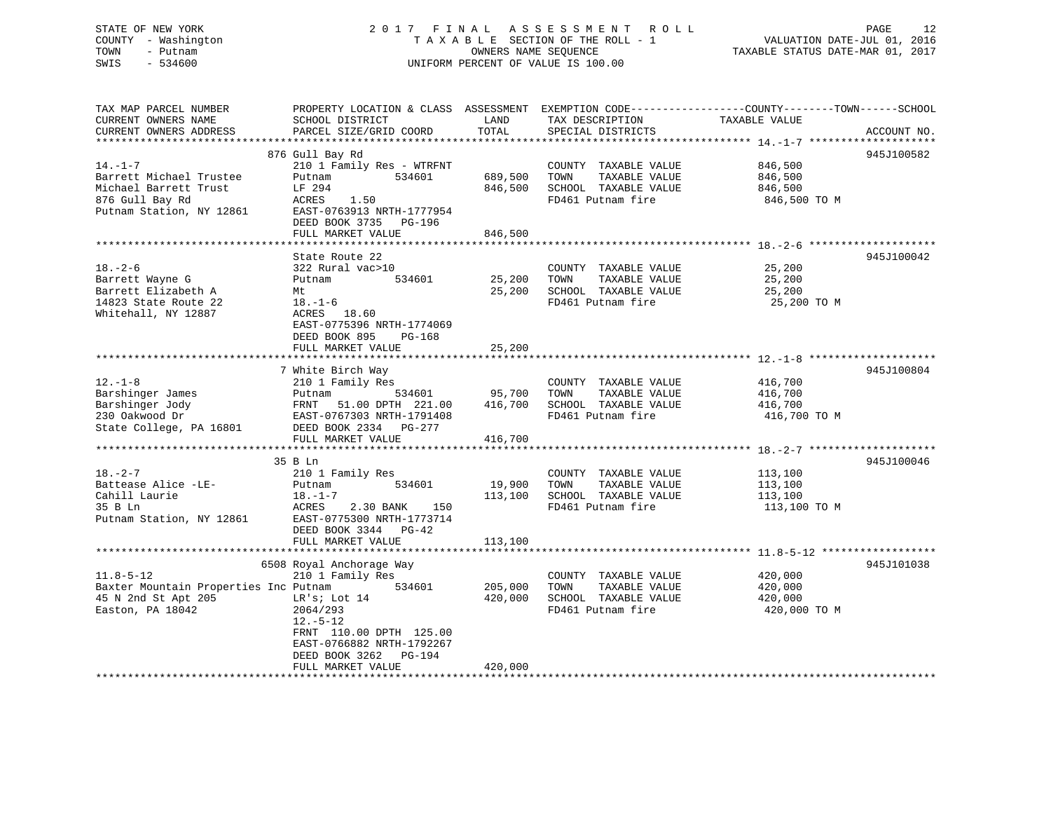### STATE OF NEW YORK 2 0 1 7 F I N A L A S S E S S M E N T R O L L PAGE 12 COUNTY - Washington T A X A B L E SECTION OF THE ROLL - 1 VALUATION DATE-JUL 01, 2016 TOWN - Putnam OWNERS NAME SEQUENCE TAXABLE STATUS DATE-MAR 01, 2017 SWIS - 534600 UNIFORM PERCENT OF VALUE IS 100.00

| TAX MAP PARCEL NUMBER<br>CURRENT OWNERS NAME                                                           | PROPERTY LOCATION & CLASS ASSESSMENT<br>SCHOOL DISTRICT                                                                                                  | LAND               | EXEMPTION CODE-----------------COUNTY-------TOWN------SCHOOL<br>TAX DESCRIPTION            | TAXABLE VALUE                                 |             |
|--------------------------------------------------------------------------------------------------------|----------------------------------------------------------------------------------------------------------------------------------------------------------|--------------------|--------------------------------------------------------------------------------------------|-----------------------------------------------|-------------|
| CURRENT OWNERS ADDRESS                                                                                 | PARCEL SIZE/GRID COORD                                                                                                                                   | TOTAL              | SPECIAL DISTRICTS                                                                          |                                               | ACCOUNT NO. |
|                                                                                                        | 876 Gull Bay Rd                                                                                                                                          |                    |                                                                                            |                                               | 945J100582  |
| $14. - 1 - 7$<br>Barrett Michael Trustee<br>Michael Barrett Trust                                      | 210 1 Family Res - WTRFNT<br>534601<br>Putnam<br>LF 294                                                                                                  | 689,500<br>846,500 | COUNTY TAXABLE VALUE<br>TOWN<br>TAXABLE VALUE<br>SCHOOL TAXABLE VALUE                      | 846,500<br>846,500<br>846,500                 |             |
| 876 Gull Bay Rd<br>Putnam Station, NY 12861                                                            | 1.50<br>ACRES<br>EAST-0763913 NRTH-1777954<br>DEED BOOK 3735 PG-196<br>FULL MARKET VALUE                                                                 | 846,500            | FD461 Putnam fire                                                                          | 846,500 TO M                                  |             |
|                                                                                                        |                                                                                                                                                          |                    |                                                                                            |                                               |             |
|                                                                                                        | State Route 22                                                                                                                                           |                    |                                                                                            |                                               | 945J100042  |
| $18. - 2 - 6$<br>Barrett Wayne G<br>Barrett Elizabeth A<br>14823 State Route 22<br>Whitehall, NY 12887 | 322 Rural vac>10<br>534601<br>Putnam<br>Mt<br>$18. - 1 - 6$<br>ACRES<br>18.60<br>EAST-0775396 NRTH-1774069                                               | 25,200<br>25,200   | COUNTY TAXABLE VALUE<br>TOWN<br>TAXABLE VALUE<br>SCHOOL TAXABLE VALUE<br>FD461 Putnam fire | 25,200<br>25,200<br>25,200<br>25,200 TO M     |             |
|                                                                                                        | DEED BOOK 895<br>$PG-168$<br>FULL MARKET VALUE                                                                                                           | 25,200             |                                                                                            |                                               |             |
|                                                                                                        | 7 White Birch Way                                                                                                                                        |                    |                                                                                            |                                               | 945J100804  |
| $12. - 1 - 8$<br>Barshinger James<br>Barshinger Jody<br>230 Oakwood Dr                                 | 210 1 Family Res<br>Putnam<br>534601<br>FRNT<br>51.00 DPTH 221.00<br>EAST-0767303 NRTH-1791408                                                           | 95,700<br>416,700  | COUNTY TAXABLE VALUE<br>TOWN<br>TAXABLE VALUE<br>SCHOOL TAXABLE VALUE<br>FD461 Putnam fire | 416,700<br>416,700<br>416,700<br>416,700 TO M |             |
| State College, PA 16801                                                                                | DEED BOOK 2334 PG-277                                                                                                                                    |                    |                                                                                            |                                               |             |
|                                                                                                        | FULL MARKET VALUE                                                                                                                                        | 416,700            |                                                                                            |                                               |             |
|                                                                                                        | 35 B Ln                                                                                                                                                  |                    |                                                                                            |                                               | 945J100046  |
| $18. - 2 - 7$<br>Battease Alice -LE-                                                                   | 210 1 Family Res<br>534601<br>Putnam                                                                                                                     | 19,900             | COUNTY TAXABLE VALUE<br>TOWN<br>TAXABLE VALUE                                              | 113,100<br>113,100                            |             |
| Cahill Laurie<br>35 B Ln<br>Putnam Station, NY 12861                                                   | $18. - 1 - 7$<br>2.30 BANK<br>ACRES<br>150<br>EAST-0775300 NRTH-1773714<br>DEED BOOK 3344 PG-42                                                          | 113,100            | SCHOOL TAXABLE VALUE<br>FD461 Putnam fire                                                  | 113,100<br>113,100 TO M                       |             |
|                                                                                                        | FULL MARKET VALUE                                                                                                                                        | 113,100            |                                                                                            |                                               |             |
|                                                                                                        | 6508 Royal Anchorage Way                                                                                                                                 |                    |                                                                                            |                                               | 945J101038  |
| $11.8 - 5 - 12$<br>Baxter Mountain Properties Inc Putnam<br>45 N 2nd St Apt 205<br>Easton, PA 18042    | 210 1 Family Res<br>534601<br>LR's; Lot 14<br>2064/293<br>$12.-5-12$<br>FRNT 110.00 DPTH 125.00<br>EAST-0766882 NRTH-1792267<br>DEED BOOK 3262<br>PG-194 | 205,000<br>420,000 | COUNTY TAXABLE VALUE<br>TOWN<br>TAXABLE VALUE<br>SCHOOL TAXABLE VALUE<br>FD461 Putnam fire | 420,000<br>420,000<br>420,000<br>420,000 TO M |             |
|                                                                                                        | FULL MARKET VALUE                                                                                                                                        | 420,000            |                                                                                            |                                               |             |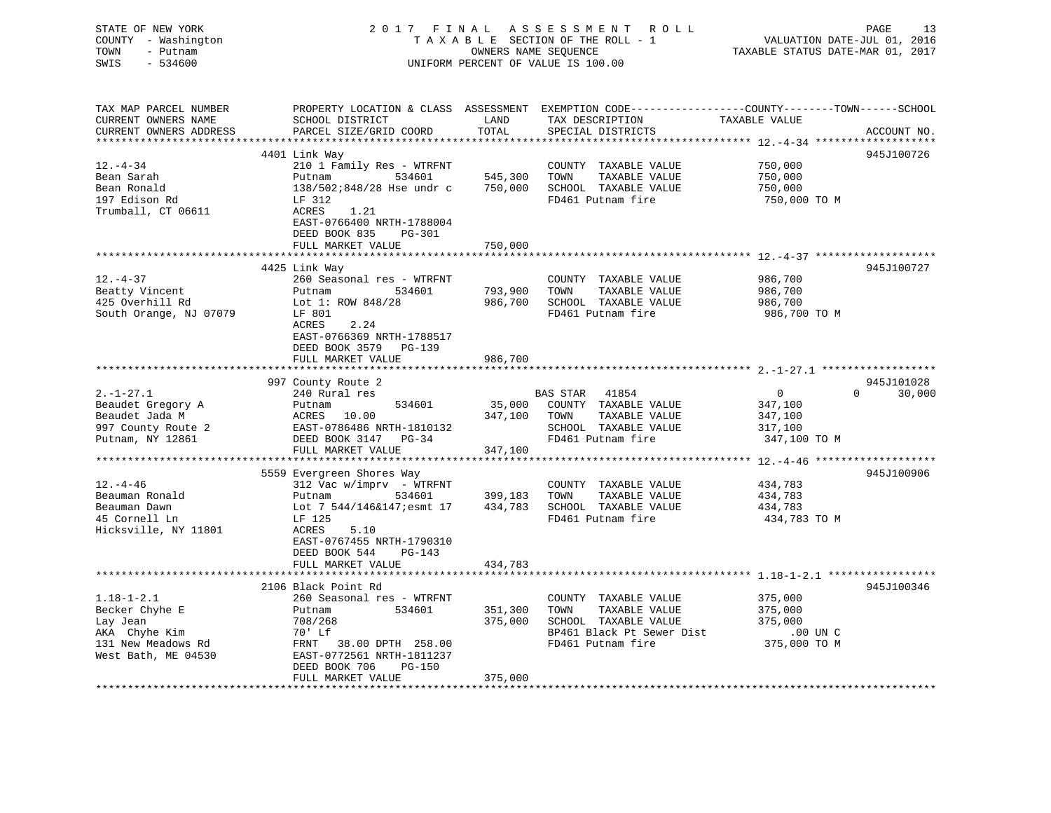| STATE OF NEW YORK<br>COUNTY - Washington<br>TOWN<br>- Putnam<br>SWIS<br>$-534600$                                | 2017 FINAL                                                                                                                                                                                                          | OWNERS NAME SEOUENCE                     | ASSESSMENT<br>R O L L<br>TAXABLE SECTION OF THE ROLL - 1<br>UNIFORM PERCENT OF VALUE IS 100.00                          | VALUATION DATE-JUL 01, 2016<br>TAXABLE STATUS DATE-MAR 01, 2017                        | PAGE<br>13                       |
|------------------------------------------------------------------------------------------------------------------|---------------------------------------------------------------------------------------------------------------------------------------------------------------------------------------------------------------------|------------------------------------------|-------------------------------------------------------------------------------------------------------------------------|----------------------------------------------------------------------------------------|----------------------------------|
| TAX MAP PARCEL NUMBER<br>CURRENT OWNERS NAME<br>CURRENT OWNERS ADDRESS                                           | PROPERTY LOCATION & CLASS ASSESSMENT EXEMPTION CODE----------------COUNTY-------TOWN-----SCHOOL<br>SCHOOL DISTRICT<br>PARCEL SIZE/GRID COORD                                                                        | LAND<br>TOTAL                            | TAX DESCRIPTION<br>SPECIAL DISTRICTS                                                                                    | TAXABLE VALUE                                                                          | ACCOUNT NO.                      |
| **************************<br>$12. - 4 - 34$<br>Bean Sarah<br>Bean Ronald<br>197 Edison Rd<br>Trumball, CT 06611 | 4401 Link Way<br>210 1 Family Res - WTRFNT<br>534601<br>Putnam<br>$138/502:848/28$ Hse undr c<br>LF 312<br>ACRES<br>1.21<br>EAST-0766400 NRTH-1788004<br>DEED BOOK 835<br>PG-301                                    | 545,300<br>750,000                       | TAXABLE VALUE<br>COUNTY<br>TOWN<br>TAXABLE VALUE<br>SCHOOL TAXABLE VALUE<br>FD461 Putnam fire                           | 750,000<br>750,000<br>750,000<br>750,000 TO M                                          | 945J100726                       |
| $12. - 4 - 37$<br>Beatty Vincent<br>425 Overhill Rd<br>South Orange, NJ 07079                                    | FULL MARKET VALUE<br>4425 Link Way<br>260 Seasonal res - WTRFNT<br>Putnam<br>534601<br>Lot 1: ROW $848/28$<br>LF 801<br>ACRES<br>2.24<br>EAST-0766369 NRTH-1788517<br>DEED BOOK 3579<br>PG-139<br>FULL MARKET VALUE | 750,000<br>793,900<br>986,700<br>986,700 | COUNTY TAXABLE VALUE<br>TOWN<br>TAXABLE VALUE<br>SCHOOL TAXABLE VALUE<br>FD461 Putnam fire                              | ********* 12.-4-37 ******************<br>986,700<br>986,700<br>986,700<br>986,700 TO M | 945J100727                       |
|                                                                                                                  |                                                                                                                                                                                                                     |                                          |                                                                                                                         |                                                                                        |                                  |
| $2. -1 - 27.1$<br>Beaudet Gregory A<br>Beaudet Jada M<br>997 County Route 2<br>Putnam, NY 12861                  | 997 County Route 2<br>240 Rural res<br>534601<br>Putnam<br>10.00<br>ACRES<br>EAST-0786486 NRTH-1810132<br>DEED BOOK 3147 PG-34<br>FULL MARKET VALUE                                                                 | 35,000<br>347,100<br>347,100             | <b>BAS STAR</b><br>41854<br>COUNTY TAXABLE VALUE<br>TAXABLE VALUE<br>TOWN<br>SCHOOL TAXABLE VALUE<br>FD461 Putnam fire  | $\mathbf 0$<br>347,100<br>347,100<br>317,100<br>347,100 TO M                           | 945J101028<br>$\Omega$<br>30,000 |
|                                                                                                                  | ***********************                                                                                                                                                                                             | ****************                         |                                                                                                                         | *********** 12. -4-46 ********************                                             |                                  |
| $12. - 4 - 46$<br>Beauman Ronald<br>Beauman Dawn<br>45 Cornell Ln<br>Hicksville, NY 11801                        | 5559 Evergreen Shores Way<br>312 Vac w/imprv - WTRFNT<br>Putnam<br>534601<br>Lot 7 544/146&147; esmt 17<br>LF 125<br>5.10<br>ACRES<br>EAST-0767455 NRTH-1790310<br>DEED BOOK 544<br>$PG-143$<br>FULL MARKET VALUE   | 399,183<br>434,783<br>434,783            | COUNTY TAXABLE VALUE<br>TOWN<br>TAXABLE VALUE<br>SCHOOL TAXABLE VALUE<br>FD461 Putnam fire                              | 434,783<br>434,783<br>434,783<br>434,783 TO M                                          | 945J100906                       |
|                                                                                                                  | ******************************                                                                                                                                                                                      |                                          |                                                                                                                         |                                                                                        |                                  |
| $1.18 - 1 - 2.1$<br>Becker Chyhe E<br>Lay Jean<br>AKA Chyhe Kim<br>131 New Meadows Rd<br>West Bath, ME 04530     | 2106 Black Point Rd<br>260 Seasonal res - WTRFNT<br>Putnam<br>534601<br>708/268<br>70' Lf<br>FRNT 38.00 DPTH 258.00<br>EAST-0772561 NRTH-1811237<br>DEED BOOK 706<br>PG-150<br>FULL MARKET VALUE                    | 351,300<br>375,000<br>375,000            | COUNTY TAXABLE VALUE<br>TOWN<br>TAXABLE VALUE<br>SCHOOL TAXABLE VALUE<br>BP461 Black Pt Sewer Dist<br>FD461 Putnam fire | 375,000<br>375,000<br>375,000<br>$.00$ UN C<br>375,000 TO M                            | 945J100346                       |
|                                                                                                                  |                                                                                                                                                                                                                     |                                          |                                                                                                                         |                                                                                        |                                  |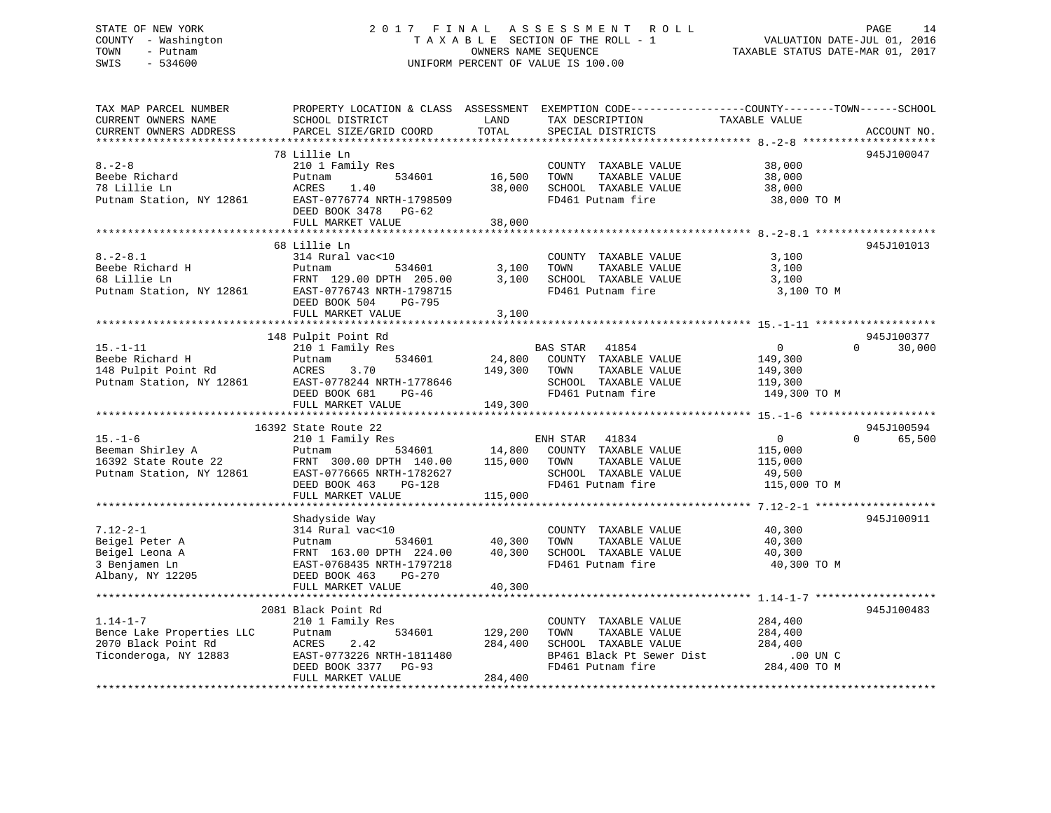### STATE OF NEW YORK 2 0 1 7 F I N A L A S S E S S M E N T R O L L PAGE 14 COUNTY - Washington T A X A B L E SECTION OF THE ROLL - 1 VALUATION DATE-JUL 01, 2016 TOWN - Putnam OWNERS NAME SEQUENCE TAXABLE STATUS DATE-MAR 01, 2017 SWIS - 534600 UNIFORM PERCENT OF VALUE IS 100.00

| TAX MAP PARCEL NUMBER<br>CURRENT OWNERS NAME<br>CURRENT OWNERS ADDRESS                      | PROPERTY LOCATION & CLASS ASSESSMENT EXEMPTION CODE---------------COUNTY-------TOWN-----SCHOOL<br>SCHOOL DISTRICT<br>PARCEL SIZE/GRID COORD | LAND<br>TOTAL                 | TAX DESCRIPTION<br>SPECIAL DISTRICTS                                                                                    | TAXABLE VALUE                                                   | ACCOUNT NO.        |
|---------------------------------------------------------------------------------------------|---------------------------------------------------------------------------------------------------------------------------------------------|-------------------------------|-------------------------------------------------------------------------------------------------------------------------|-----------------------------------------------------------------|--------------------|
|                                                                                             |                                                                                                                                             |                               |                                                                                                                         |                                                                 |                    |
| $8 - 2 - 8$<br>Beebe Richard<br>78 Lillie Ln<br>Putnam Station, NY 12861                    | 78 Lillie Ln<br>210 1 Family Res<br>534601<br>Putnam<br>ACRES<br>1.40<br>EAST-0776774 NRTH-1798509<br>DEED BOOK 3478 PG-62                  | 16,500<br>38,000              | COUNTY TAXABLE VALUE<br>TOWN<br>TAXABLE VALUE<br>SCHOOL TAXABLE VALUE<br>FD461 Putnam fire                              | 38,000<br>38,000<br>38,000<br>38,000 TO M                       | 945J100047         |
|                                                                                             | FULL MARKET VALUE                                                                                                                           | 38,000                        |                                                                                                                         |                                                                 |                    |
| $8. - 2 - 8.1$<br>Beebe Richard H<br>68 Lillie Ln<br>Putnam Station, NY 12861               | 68 Lillie Ln<br>314 Rural vac<10<br>Putnam<br>534601<br>FRNT 129.00 DPTH 205.00<br>EAST-0776743 NRTH-1798715                                | 3,100<br>3,100                | COUNTY TAXABLE VALUE<br>TAXABLE VALUE<br>TOWN<br>SCHOOL TAXABLE VALUE<br>FD461 Putnam fire                              | 3,100<br>3,100<br>3,100<br>3,100 TO M                           | 945J101013         |
|                                                                                             | DEED BOOK 504 PG-795<br>FULL MARKET VALUE                                                                                                   | 3,100                         |                                                                                                                         |                                                                 |                    |
|                                                                                             | 148 Pulpit Point Rd                                                                                                                         |                               |                                                                                                                         |                                                                 | 945J100377         |
| $15. - 1 - 11$<br>Beebe Richard H<br>148 Pulpit Point Rd<br>Putnam Station, NY 12861        | 210 1 Family Res<br>534601<br>Putnam<br>ACRES<br>3.70<br>EAST-0778244 NRTH-1778646<br>DEED BOOK 681<br>PG-46<br>FULL MARKET VALUE           | 24,800<br>149,300 TOWN        | <b>BAS STAR</b><br>41854<br>COUNTY TAXABLE VALUE<br>TAXABLE VALUE<br>SCHOOL TAXABLE VALUE<br>FD461 Putnam fire          | $\overline{0}$<br>149,300<br>149,300<br>119,300<br>149,300 TO M | $\Omega$<br>30,000 |
|                                                                                             |                                                                                                                                             | 149,300                       |                                                                                                                         |                                                                 |                    |
|                                                                                             | 16392 State Route 22                                                                                                                        |                               |                                                                                                                         |                                                                 | 945J100594         |
| $15. - 1 - 6$<br>Beeman Shirley A<br>16392 State Route 22<br>Putnam Station, NY 12861       | 210 1 Family Res<br>Putnam<br>FRNT 300.00 DPTH 140.00<br>EAST-0776665 NRTH-1782627<br>DEED BOOK 463<br>PG-128<br>FULL MARKET VALUE          | 115,000 TOWN<br>115,000       | ENH STAR 41834<br>534601 14,800 COUNTY TAXABLE VALUE<br>TAXABLE VALUE<br>SCHOOL TAXABLE VALUE<br>FD461 Putnam fire      | $\overline{0}$<br>115,000<br>115,000<br>49,500<br>115,000 TO M  | $\Omega$<br>65,500 |
|                                                                                             |                                                                                                                                             |                               |                                                                                                                         |                                                                 |                    |
| $7.12 - 2 - 1$<br>Beigel Peter A<br>Beigel Leona A<br>3 Benjamen Ln<br>Albany, NY 12205     | Shadyside Way<br>314 Rural vac<10<br>534601<br>Putnam<br>FRNT 163.00 DPTH 224.00<br>EAST-0768435 NRTH-1797218<br>DEED BOOK 463<br>PG-270    | 40,300<br>40,300              | COUNTY TAXABLE VALUE<br>TOWN<br>TAXABLE VALUE<br>SCHOOL TAXABLE VALUE<br>FD461 Putnam fire                              | 40,300<br>40,300<br>40,300<br>40,300 TO M                       | 945J100911         |
|                                                                                             | FULL MARKET VALUE                                                                                                                           | 40,300                        |                                                                                                                         |                                                                 |                    |
|                                                                                             | 2081 Black Point Rd                                                                                                                         |                               |                                                                                                                         |                                                                 | 945J100483         |
| $1.14 - 1 - 7$<br>Bence Lake Properties LLC<br>2070 Black Point Rd<br>Ticonderoga, NY 12883 | 210 1 Family Res<br>534601<br>Putnam<br>2.42<br>ACRES<br>EAST-0773226 NRTH-1811480<br>DEED BOOK 3377 PG-93<br>FULL MARKET VALUE             | 129,200<br>284,400<br>284,400 | COUNTY TAXABLE VALUE<br>TOWN<br>TAXABLE VALUE<br>SCHOOL TAXABLE VALUE<br>BP461 Black Pt Sewer Dist<br>FD461 Putnam fire | 284,400<br>284,400<br>284,400<br>$.00$ UN $C$<br>284,400 TO M   |                    |
|                                                                                             |                                                                                                                                             |                               |                                                                                                                         |                                                                 |                    |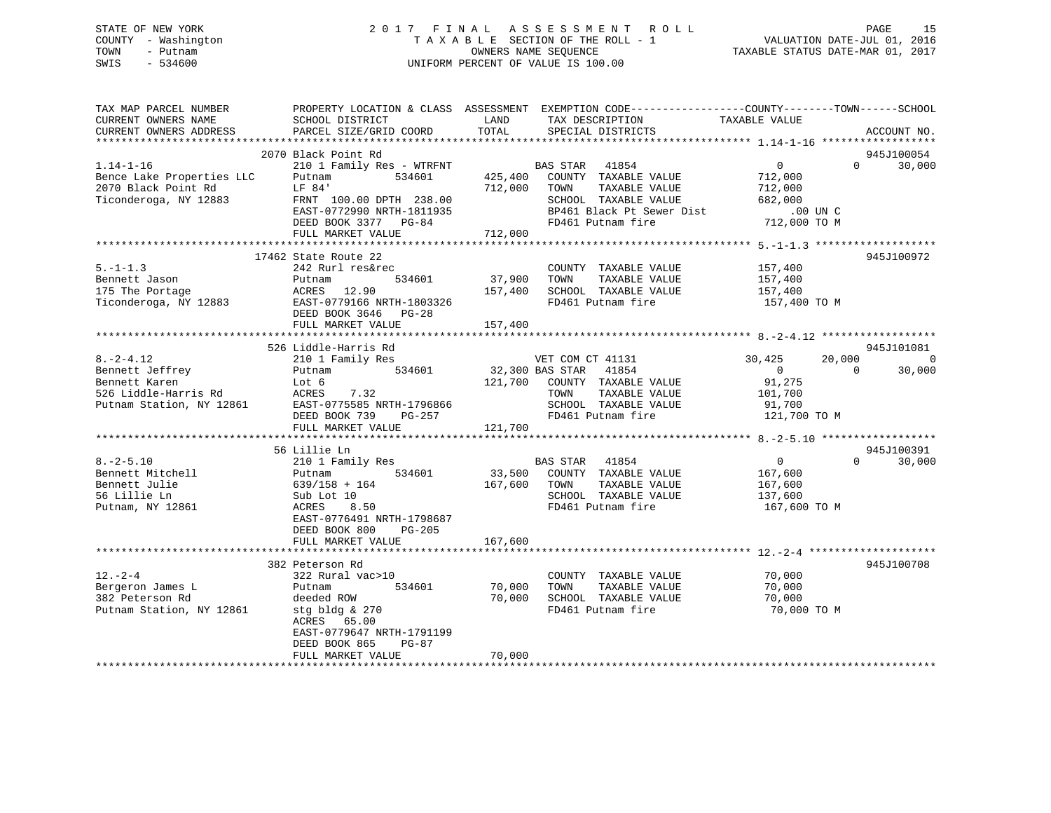### STATE OF NEW YORK 2 0 1 7 F I N A L A S S E S S M E N T R O L L PAGE 15 COUNTY - Washington T A X A B L E SECTION OF THE ROLL - 1 VALUATION DATE-JUL 01, 2016 TOWN - Putnam OWNERS NAME SEQUENCE TAXABLE STATUS DATE-MAR 01, 2017 SWIS - 534600 UNIFORM PERCENT OF VALUE IS 100.00

| TAX MAP PARCEL NUMBER<br>CURRENT OWNERS NAME<br>CURRENT OWNERS ADDRESS | PROPERTY LOCATION & CLASS ASSESSMENT<br>SCHOOL DISTRICT<br>PARCEL SIZE/GRID COORD | LAND<br>TOTAL      | EXEMPTION CODE-----------------COUNTY-------TOWN------SCHOOL<br>TAX DESCRIPTION<br>SPECIAL DISTRICTS | TAXABLE VALUE      |          | ACCOUNT NO. |
|------------------------------------------------------------------------|-----------------------------------------------------------------------------------|--------------------|------------------------------------------------------------------------------------------------------|--------------------|----------|-------------|
|                                                                        |                                                                                   |                    |                                                                                                      |                    |          |             |
|                                                                        | 2070 Black Point Rd                                                               |                    |                                                                                                      |                    |          | 945J100054  |
| $1.14 - 1 - 16$                                                        | 210 1 Family Res - WTRFNT                                                         |                    | BAS STAR 41854                                                                                       | $\overline{0}$     | $\Omega$ | 30,000      |
| Bence Lake Properties LLC<br>2070 Black Point Rd                       | 534601<br>Putnam<br>LF 84'                                                        | 425,400<br>712,000 | COUNTY TAXABLE VALUE<br>TAXABLE VALUE<br>TOWN                                                        | 712,000<br>712,000 |          |             |
| Ticonderoga, NY 12883                                                  | FRNT 100.00 DPTH 238.00                                                           |                    | SCHOOL TAXABLE VALUE                                                                                 | 682,000            |          |             |
|                                                                        | EAST-0772990 NRTH-1811935                                                         |                    | BP461 Black Pt Sewer Dist                                                                            | $.00$ UN C         |          |             |
|                                                                        | DEED BOOK 3377 PG-84                                                              |                    | FD461 Putnam fire                                                                                    | 712,000 TO M       |          |             |
|                                                                        | FULL MARKET VALUE                                                                 | 712,000            |                                                                                                      |                    |          |             |
|                                                                        |                                                                                   |                    |                                                                                                      |                    |          |             |
|                                                                        | 17462 State Route 22                                                              |                    |                                                                                                      |                    |          | 945J100972  |
| $5. - 1 - 1.3$                                                         | 242 Rurl res&rec                                                                  |                    | COUNTY TAXABLE VALUE                                                                                 | 157,400            |          |             |
| Bennett Jason                                                          | 534601<br>Putnam                                                                  | 37,900             | TOWN<br>TAXABLE VALUE                                                                                | 157,400            |          |             |
| 175 The Portage                                                        | ACRES 12.90                                                                       | 157,400            | SCHOOL TAXABLE VALUE                                                                                 | 157,400            |          |             |
| Ticonderoga, NY 12883                                                  | EAST-0779166 NRTH-1803326                                                         |                    | FD461 Putnam fire                                                                                    | 157,400 TO M       |          |             |
|                                                                        | DEED BOOK 3646 PG-28                                                              |                    |                                                                                                      |                    |          |             |
|                                                                        | FULL MARKET VALUE                                                                 | 157,400            |                                                                                                      |                    |          |             |
|                                                                        |                                                                                   |                    |                                                                                                      |                    |          |             |
|                                                                        | 526 Liddle-Harris Rd                                                              |                    |                                                                                                      |                    |          | 945J101081  |
| $8. - 2 - 4.12$                                                        | 210 1 Family Res                                                                  |                    | VET COM CT 41131                                                                                     | 30,425             | 20,000   | $\Omega$    |
| Bennett Jeffrey                                                        | 534601<br>Putnam                                                                  |                    | 32,300 BAS STAR 41854                                                                                | $\overline{0}$     | $\Omega$ | 30,000      |
| Bennett Karen                                                          | Lot 6                                                                             | 121,700            | COUNTY TAXABLE VALUE                                                                                 | 91,275             |          |             |
| 526 Liddle-Harris Rd                                                   | 7.32<br>ACRES                                                                     |                    | TOWN<br>TAXABLE VALUE                                                                                | 101,700            |          |             |
| Putnam Station, NY 12861                                               | EAST-0775585 NRTH-1796866                                                         |                    | SCHOOL TAXABLE VALUE                                                                                 | 91,700             |          |             |
|                                                                        | DEED BOOK 739 PG-257                                                              |                    | FD461 Putnam fire                                                                                    | 121,700 TO M       |          |             |
|                                                                        | FULL MARKET VALUE                                                                 | 121,700            |                                                                                                      |                    |          |             |
|                                                                        |                                                                                   |                    |                                                                                                      |                    |          |             |
|                                                                        | 56 Lillie Ln                                                                      |                    |                                                                                                      | $\Omega$           | $\Omega$ | 945J100391  |
| $8. - 2 - 5.10$<br>Bennett Mitchell                                    | 210 1 Family Res<br>534601<br>Putnam                                              | 33,500             | BAS STAR 41854<br>COUNTY TAXABLE VALUE                                                               | 167,600            |          | 30,000      |
| Bennett Julie                                                          | $639/158 + 164$                                                                   | 167,600            | TOWN<br>TAXABLE VALUE                                                                                | 167,600            |          |             |
| 56 Lillie Ln                                                           | Sub Lot 10                                                                        |                    | SCHOOL TAXABLE VALUE                                                                                 | 137,600            |          |             |
| Putnam, NY 12861                                                       | 8.50<br>ACRES                                                                     |                    | FD461 Putnam fire                                                                                    | 167,600 TO M       |          |             |
|                                                                        | EAST-0776491 NRTH-1798687                                                         |                    |                                                                                                      |                    |          |             |
|                                                                        | DEED BOOK 800<br>$PG-205$                                                         |                    |                                                                                                      |                    |          |             |
|                                                                        | FULL MARKET VALUE                                                                 | 167,600            |                                                                                                      |                    |          |             |
|                                                                        |                                                                                   |                    |                                                                                                      |                    |          |             |
|                                                                        | 382 Peterson Rd                                                                   |                    |                                                                                                      |                    |          | 945J100708  |
| $12. - 2 - 4$                                                          | 322 Rural vac>10                                                                  |                    | COUNTY TAXABLE VALUE                                                                                 | 70,000             |          |             |
| Bergeron James L                                                       | 534601<br>Putnam                                                                  | 70,000             | TOWN<br>TAXABLE VALUE                                                                                | 70,000             |          |             |
| 382 Peterson Rd                                                        | deeded ROW                                                                        | 70,000             | SCHOOL TAXABLE VALUE                                                                                 | 70,000             |          |             |
| Putnam Station, NY 12861                                               | stg bldg & 270                                                                    |                    | FD461 Putnam fire                                                                                    | 70,000 TO M        |          |             |
|                                                                        | ACRES 65.00                                                                       |                    |                                                                                                      |                    |          |             |
|                                                                        | EAST-0779647 NRTH-1791199                                                         |                    |                                                                                                      |                    |          |             |
|                                                                        | DEED BOOK 865<br>$PG-87$                                                          |                    |                                                                                                      |                    |          |             |
|                                                                        | FULL MARKET VALUE                                                                 | 70,000             |                                                                                                      |                    |          |             |
|                                                                        |                                                                                   |                    |                                                                                                      |                    |          |             |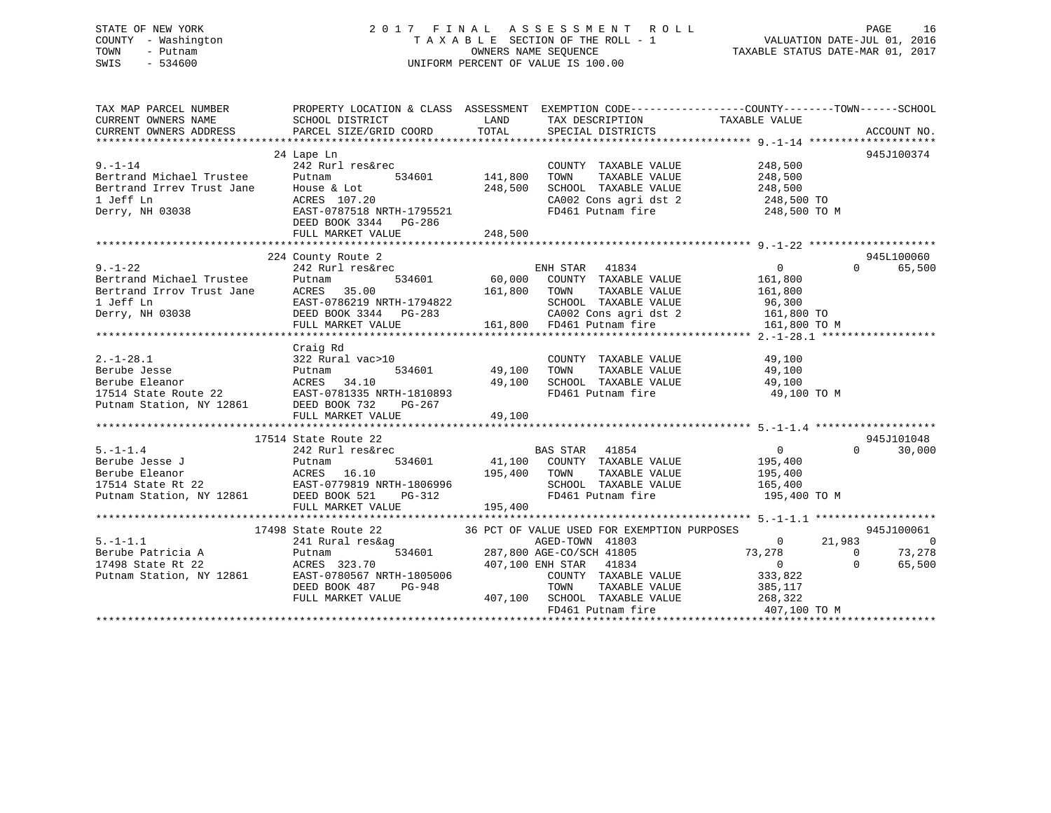### STATE OF NEW YORK 2 0 1 7 F I N A L A S S E S S M E N T R O L L PAGE 16 COUNTY - Washington T A X A B L E SECTION OF THE ROLL - 1 VALUATION DATE-JUL 01, 2016 TOWN - Putnam OWNERS NAME SEQUENCE TAXABLE STATUS DATE-MAR 01, 2017 SWIS - 534600 UNIFORM PERCENT OF VALUE IS 100.00

| TAX MAP PARCEL NUMBER<br>CURRENT OWNERS NAME<br>CURRENT OWNERS ADDRESS                                                                                                                             | PROPERTY LOCATION & CLASS ASSESSMENT EXEMPTION CODE---------------COUNTY-------TOWN-----SCHOOL<br>SCHOOL DISTRICT<br>PARCEL SIZE/GRID COORD TOTAL SPECIAL DISTRICTS                                                        |         | LAND TAX DESCRIPTION                      | TAXABLE VALUE           | ACCOUNT NO.              |
|----------------------------------------------------------------------------------------------------------------------------------------------------------------------------------------------------|----------------------------------------------------------------------------------------------------------------------------------------------------------------------------------------------------------------------------|---------|-------------------------------------------|-------------------------|--------------------------|
|                                                                                                                                                                                                    |                                                                                                                                                                                                                            |         |                                           |                         |                          |
|                                                                                                                                                                                                    | 24 Lape Ln                                                                                                                                                                                                                 |         |                                           |                         | 945J100374               |
| $9. - 1 - 14$                                                                                                                                                                                      | 242 Rurl res&rec                                                                                                                                                                                                           |         | COUNTY TAXABLE VALUE 248,500              |                         |                          |
|                                                                                                                                                                                                    |                                                                                                                                                                                                                            |         | TAXABLE VALUE                             | 248,500                 |                          |
|                                                                                                                                                                                                    |                                                                                                                                                                                                                            |         |                                           |                         |                          |
|                                                                                                                                                                                                    |                                                                                                                                                                                                                            |         | CA002 Cons agri dst 2 248,500 TO          |                         |                          |
| 9.-1-14 242 Rurl res&rec<br>Bertrand Michael Trustee Putnam 534601 141,800<br>Bertrand Irrev Trust Jane House & Lot 248,500<br>1 Jeff Ln ACRES 107.20<br>Derry, NH 03038 EAST-0787518 NRTH-1795521 |                                                                                                                                                                                                                            |         | FD461 Putnam fire                         | 248,500 TO M            |                          |
|                                                                                                                                                                                                    | DEED BOOK 3344 PG-286                                                                                                                                                                                                      |         |                                           |                         |                          |
|                                                                                                                                                                                                    |                                                                                                                                                                                                                            |         |                                           |                         |                          |
|                                                                                                                                                                                                    |                                                                                                                                                                                                                            |         |                                           |                         |                          |
|                                                                                                                                                                                                    | 224 County Route 2                                                                                                                                                                                                         |         |                                           |                         | 945L100060               |
|                                                                                                                                                                                                    |                                                                                                                                                                                                                            |         |                                           |                         | 65,500<br>$\Omega$       |
|                                                                                                                                                                                                    | $\begin{tabular}{lcccccc} 242\ &\text{Rurl} & \text{res\&rec} & \text{ENH} & \text{STAR} & \text{41834} & \text{0} \\ \text{Putnam} & 534601 & 60,000 & \text{COUNTY} & \text{TAXABLE VALUE} & 161,800 \end{tabular}$      |         |                                           |                         |                          |
|                                                                                                                                                                                                    |                                                                                                                                                                                                                            |         |                                           |                         |                          |
|                                                                                                                                                                                                    |                                                                                                                                                                                                                            |         |                                           |                         |                          |
|                                                                                                                                                                                                    |                                                                                                                                                                                                                            |         |                                           |                         |                          |
|                                                                                                                                                                                                    |                                                                                                                                                                                                                            |         |                                           |                         |                          |
|                                                                                                                                                                                                    |                                                                                                                                                                                                                            |         |                                           |                         |                          |
|                                                                                                                                                                                                    |                                                                                                                                                                                                                            |         |                                           |                         |                          |
|                                                                                                                                                                                                    |                                                                                                                                                                                                                            |         |                                           |                         |                          |
|                                                                                                                                                                                                    |                                                                                                                                                                                                                            |         |                                           |                         |                          |
|                                                                                                                                                                                                    |                                                                                                                                                                                                                            |         |                                           |                         |                          |
|                                                                                                                                                                                                    |                                                                                                                                                                                                                            |         |                                           | 49,100 TO M             |                          |
|                                                                                                                                                                                                    |                                                                                                                                                                                                                            |         |                                           |                         |                          |
|                                                                                                                                                                                                    |                                                                                                                                                                                                                            |         |                                           |                         |                          |
|                                                                                                                                                                                                    |                                                                                                                                                                                                                            |         |                                           |                         |                          |
|                                                                                                                                                                                                    | 17514 State Route 22                                                                                                                                                                                                       |         |                                           |                         | 945J101048               |
| $5. -1 - 1.4$                                                                                                                                                                                      | $\begin{tabular}{lcccccc} 242 \hspace{0.1cm}Rurl \hspace{0.1cm}res\&rec & \hspace{0.1cm} \text{BAS STAR} & 41854 & 0 \\ \text{Putnam} & 534601 & 41,100 & \text{COUNTY} & \text{TAXABLE VALUE} & 195,400 \\ \end{tabular}$ |         |                                           | $\overline{0}$          | $\Omega$<br>30,000       |
|                                                                                                                                                                                                    |                                                                                                                                                                                                                            |         |                                           |                         |                          |
|                                                                                                                                                                                                    |                                                                                                                                                                                                                            |         |                                           | TAXABLE VALUE 195,400   |                          |
|                                                                                                                                                                                                    |                                                                                                                                                                                                                            |         |                                           |                         |                          |
|                                                                                                                                                                                                    |                                                                                                                                                                                                                            |         | SCHOOL TAXABLE VALUE<br>FD461 Putnam fire | 165,400<br>195,400 TO M |                          |
|                                                                                                                                                                                                    | FULL MARKET VALUE                                                                                                                                                                                                          | 195,400 |                                           |                         |                          |
|                                                                                                                                                                                                    |                                                                                                                                                                                                                            |         |                                           |                         |                          |
|                                                                                                                                                                                                    | 17498 State Route 22 36 PCT OF VALUE USED FOR EXEMPTION PURPOSES                                                                                                                                                           |         |                                           |                         | 945J100061               |
| $5. - 1 - 1.1$                                                                                                                                                                                     | 241 Rural res&ag                                                                                                                                                                                                           |         |                                           | $0 \t 21,983$           | $\overline{\phantom{0}}$ |
|                                                                                                                                                                                                    |                                                                                                                                                                                                                            |         |                                           |                         | 73,278<br>$\overline{0}$ |
|                                                                                                                                                                                                    |                                                                                                                                                                                                                            |         |                                           | $73,278$<br>0           | $\Omega$<br>65,500       |
|                                                                                                                                                                                                    |                                                                                                                                                                                                                            |         |                                           |                         |                          |
|                                                                                                                                                                                                    |                                                                                                                                                                                                                            |         |                                           |                         |                          |
|                                                                                                                                                                                                    |                                                                                                                                                                                                                            |         |                                           |                         |                          |
|                                                                                                                                                                                                    |                                                                                                                                                                                                                            |         | FD461 Putnam fire                         | 407,100 TO M            |                          |
|                                                                                                                                                                                                    |                                                                                                                                                                                                                            |         |                                           |                         |                          |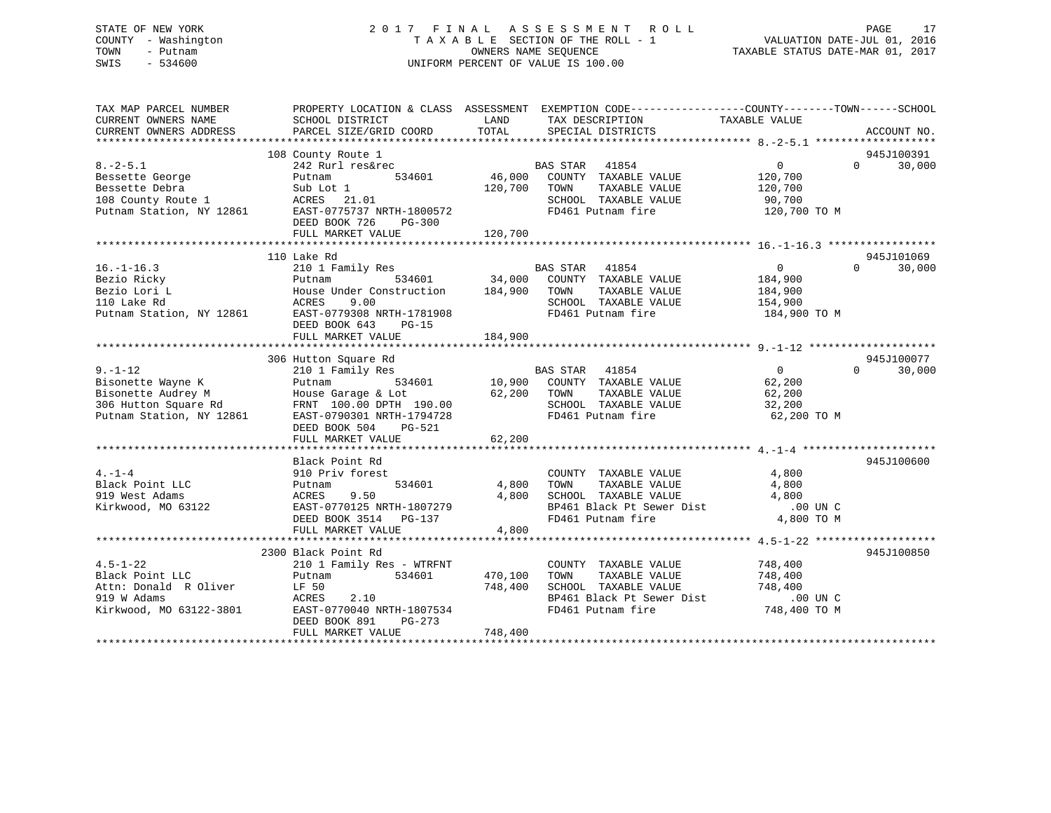### STATE OF NEW YORK 2 0 1 7 F I N A L A S S E S S M E N T R O L L PAGE 17 COUNTY - Washington T A X A B L E SECTION OF THE ROLL - 1 VALUATION DATE-JUL 01, 2016 TOWN - Putnam OWNERS NAME SEQUENCE TAXABLE STATUS DATE-MAR 01, 2017 SWIS - 534600 UNIFORM PERCENT OF VALUE IS 100.00

| TAX MAP PARCEL NUMBER<br>CURRENT OWNERS NAME<br>CURRENT OWNERS ADDRESS                               | SCHOOL DISTRICT<br>PARCEL SIZE/GRID COORD                                                                                                                                                                  | LAND<br>TOTAL                 | PROPERTY LOCATION & CLASS ASSESSMENT EXEMPTION CODE---------------COUNTY-------TOWN-----SCHOOL<br>TAX DESCRIPTION<br>SPECIAL DISTRICTS                  | TAXABLE VALUE                                                     | ACCOUNT NO.                      |
|------------------------------------------------------------------------------------------------------|------------------------------------------------------------------------------------------------------------------------------------------------------------------------------------------------------------|-------------------------------|---------------------------------------------------------------------------------------------------------------------------------------------------------|-------------------------------------------------------------------|----------------------------------|
| $8. - 2 - 5.1$<br>Bessette George<br>Bessette Debra<br>Putnam Station, NY 12861                      | 108 County Route 1<br>242 Rurl res&rec 634601 BAS STAR 41854<br>Putnam 534601 46,000 COUNTY TAXABLE VALUE<br>EAST-0775737 NRTH-1800572<br>DEED BOOK 726 PG-300                                             | 120,700 TOWN                  | TAXABLE VALUE<br>SCHOOL TAXABLE VALUE<br>FD461 Putnam fire                                                                                              | $\overline{0}$<br>120,700<br>120,700<br>90,700<br>120,700 TO M    | 945J100391<br>$\Omega$<br>30,000 |
| $16. - 1 - 16.3$<br>Bezio Ricky<br>Bezio Lori L<br>110 Lake Rd                                       | 110 Lake Rd<br>House Under Construction 184,900 TOWN<br>9.00<br>ACRES<br>Putnam Station, NY 12861 EAST-0779308 NRTH-1781908<br>DEED BOOK 643<br>PG-15<br>FULL MARKET VALUE                                 | 184,900                       | TAXABLE VALUE<br>SCHOOL TAXABLE VALUE<br>FD461 Putnam fire                                                                                              | $\overline{0}$<br>184,900<br>184,900<br>154,900<br>184,900 TO M   | 945J101069<br>30,000<br>$\Omega$ |
| $9. - 1 - 12$<br>Bisonette Wayne K<br>Putnam Station, NY 12861                                       | 306 Hutton Square Rd<br>210 1 Family Res<br>Putnam<br>House Garage & Lot 62,200 TOWN<br>FRNT 100.00 DPTH 190.00 62,200 SCHOOL<br>EAST-0790301 NRTH-1794728<br>DEED BOOK 504<br>PG-521<br>FULL MARKET VALUE | 62,200                        | BAS STAR 41854<br>534601 10,900 COUNTY TAXABLE VALUE<br>TAXABLE VALUE<br>SCHOOL TAXABLE VALUE<br>FD461 Putnam fire                                      | $\overline{0}$<br>62,200<br>$62, 200$<br>$32, 200$<br>62,200 TO M | 945J100077<br>$\Omega$<br>30,000 |
| $4. - 1 - 4$<br>Black Point LLC<br>919 West Adams<br>Kirkwood, MO 63122                              | Black Point Rd<br>910 Priv forest<br>534601<br>Putnam<br>9.50<br>ACRES 9.50 4,800<br>EAST-0770125 NRTH-1807279 9<br>DEED BOOK 3514 PG-137<br>FULL MARKET VALUE                                             | 4,800 TOWN<br>4,800<br>4,800  | COUNTY TAXABLE VALUE<br>TOWN      TAXABLE VALUE<br>SCHOOL TAXABLE VALUE $4,800$<br>BP461 Black Pt Sewer Dist .00 UN C<br>FD461 Putnam fire $4,800$ TO M | 4,800<br>4,800                                                    | 945J100600                       |
| $4.5 - 1 - 22$<br>Black Point LLC<br>Attn: Donald R Oliver<br>919 W Adams<br>Kirkwood, MO 63122-3801 | 2300 Black Point Rd<br>210 1 Family Res - WTRFNT<br>534601<br>Putnam<br>LF 50<br>ACRES<br>2.10<br>EAST-0770040 NRTH-1807534<br>DEED BOOK 891<br>PG-273<br>FULL MARKET VALUE                                | 470,100<br>748,400<br>748,400 | COUNTY TAXABLE VALUE<br>TOWN<br>TAXABLE VALUE<br>SCHOOL TAXABLE VALUE<br>BP461 Black Pt Sewer Dist .00 UN C<br>FD461 Putnam fire                        | 748,400<br>748,400<br>748,400<br>748,400 TO M                     | 945J100850                       |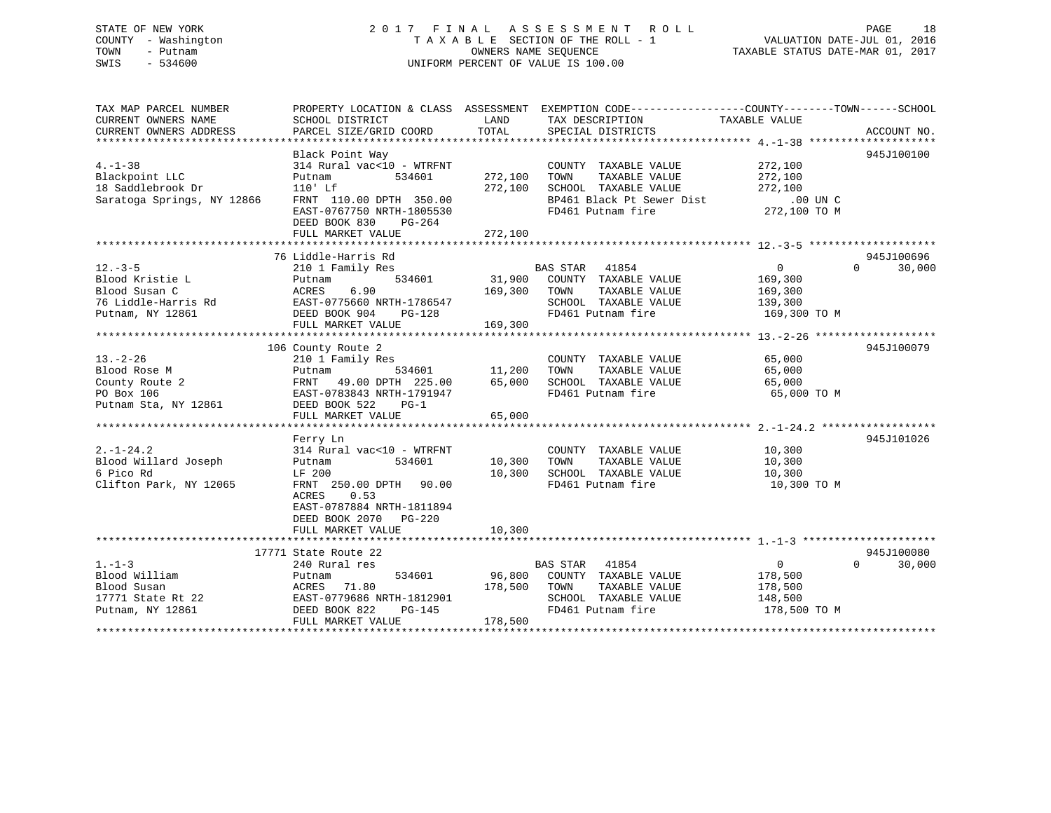### STATE OF NEW YORK 2 0 1 7 F I N A L A S S E S S M E N T R O L L PAGE 18 COUNTY - Washington T A X A B L E SECTION OF THE ROLL - 1 VALUATION DATE-JUL 01, 2016 TOWN - Putnam OWNERS NAME SEQUENCE TAXABLE STATUS DATE-MAR 01, 2017 SWIS - 534600 UNIFORM PERCENT OF VALUE IS 100.00

| TAX MAP PARCEL NUMBER      |                                                   |         | PROPERTY LOCATION & CLASS ASSESSMENT EXEMPTION CODE---------------COUNTY-------TOWN------SCHOOL |                |                    |
|----------------------------|---------------------------------------------------|---------|-------------------------------------------------------------------------------------------------|----------------|--------------------|
| CURRENT OWNERS NAME        | SCHOOL DISTRICT                                   | LAND    | TAX DESCRIPTION                                                                                 | TAXABLE VALUE  |                    |
| CURRENT OWNERS ADDRESS     | PARCEL SIZE/GRID COORD                            | TOTAL   | SPECIAL DISTRICTS                                                                               |                | ACCOUNT NO.        |
|                            |                                                   |         |                                                                                                 |                |                    |
|                            | Black Point Way                                   |         |                                                                                                 |                | 945J100100         |
| $4. -1 - 38$               | 314 Rural vac<10 - WTRFNT                         |         | COUNTY TAXABLE VALUE                                                                            | 272,100        |                    |
| Blackpoint LLC             | Putnam<br>534601                                  | 272,100 | TOWN<br>TAXABLE VALUE                                                                           | 272,100        |                    |
| 18 Saddlebrook Dr          | $110'$ Lf                                         | 272,100 | SCHOOL TAXABLE VALUE                                                                            | 272,100        |                    |
| Saratoga Springs, NY 12866 | FRNT 110.00 DPTH 350.00                           |         | BP461 Black Pt Sewer Dist                                                                       | $.00$ UN $C$   |                    |
|                            | EAST-0767750 NRTH-1805530                         |         | FD461 Putnam fire                                                                               | 272,100 TO M   |                    |
|                            | DEED BOOK 830<br>PG-264                           |         |                                                                                                 |                |                    |
|                            | FULL MARKET VALUE                                 | 272,100 |                                                                                                 |                |                    |
|                            |                                                   |         |                                                                                                 |                |                    |
|                            | 76 Liddle-Harris Rd                               |         |                                                                                                 |                | 945J100696         |
| $12.-3-5$                  | 210 1 Family Res                                  |         | BAS STAR 41854                                                                                  | $\overline{0}$ | $\Omega$<br>30,000 |
| Blood Kristie L            | 534601<br>Putnam                                  | 31,900  | COUNTY TAXABLE VALUE                                                                            | 169,300        |                    |
| Blood Susan C              | 6.90<br>ACRES                                     | 169,300 | TAXABLE VALUE<br>TOWN                                                                           | 169,300        |                    |
| 76 Liddle-Harris Rd        |                                                   |         | SCHOOL TAXABLE VALUE                                                                            | 139,300        |                    |
| Putnam, NY 12861           | EAST-0775660 NRTH-1786547<br>DEED BOOK 904 PG-128 |         | FD461 Putnam fire                                                                               | 169,300 TO M   |                    |
|                            | FULL MARKET VALUE                                 | 169,300 |                                                                                                 |                |                    |
|                            |                                                   |         |                                                                                                 |                |                    |
|                            | 106 County Route 2                                |         |                                                                                                 |                | 945J100079         |
| $13. - 2 - 26$             | 210 1 Family Res                                  |         | COUNTY TAXABLE VALUE                                                                            | 65,000         |                    |
| Blood Rose M               | 534601<br>Putnam                                  | 11,200  | TOWN<br>TAXABLE VALUE                                                                           | 65,000         |                    |
| County Route 2             | FRNT 49.00 DPTH 225.00                            | 65,000  | SCHOOL TAXABLE VALUE                                                                            | 65,000         |                    |
| PO Box 106                 | EAST-0783843 NRTH-1791947                         |         | FD461 Putnam fire                                                                               | 65,000 TO M    |                    |
| Putnam Sta, NY 12861       | DEED BOOK 522<br>$PG-1$                           |         |                                                                                                 |                |                    |
|                            | FULL MARKET VALUE                                 | 65,000  |                                                                                                 |                |                    |
|                            |                                                   |         |                                                                                                 |                |                    |
|                            | Ferry Ln                                          |         |                                                                                                 |                | 945J101026         |
| $2. -1 - 24.2$             | 314 Rural vac<10 - WTRFNT                         |         | COUNTY TAXABLE VALUE                                                                            | 10,300         |                    |
| Blood Willard Joseph       | 534601<br>Putnam                                  | 10,300  | TOWN<br>TAXABLE VALUE                                                                           | 10,300         |                    |
| 6 Pico Rd                  | LF 200                                            | 10,300  | SCHOOL TAXABLE VALUE                                                                            | 10,300         |                    |
| Clifton Park, NY 12065     | FRNT 250.00 DPTH 90.00                            |         | FD461 Putnam fire                                                                               | 10,300 TO M    |                    |
|                            | ACRES<br>0.53                                     |         |                                                                                                 |                |                    |
|                            | EAST-0787884 NRTH-1811894                         |         |                                                                                                 |                |                    |
|                            | DEED BOOK 2070 PG-220                             |         |                                                                                                 |                |                    |
|                            | FULL MARKET VALUE                                 | 10,300  |                                                                                                 |                |                    |
|                            |                                                   |         |                                                                                                 |                |                    |
|                            | 17771 State Route 22                              |         |                                                                                                 |                | 945J100080         |
| $1. - 1 - 3$               | 240 Rural res                                     |         | BAS STAR 41854                                                                                  | $\overline{0}$ | $\Omega$<br>30,000 |
| Blood William              | 534601<br>Putnam                                  | 96,800  | COUNTY TAXABLE VALUE                                                                            | 178,500        |                    |
| Blood Susan                | ACRES 71.80                                       | 178,500 | TOWN<br>TAXABLE VALUE                                                                           | 178,500        |                    |
| 17771 State Rt 22          | EAST-0779686 NRTH-1812901                         |         | SCHOOL TAXABLE VALUE                                                                            | 148,500        |                    |
| Putnam, NY 12861           | DEED BOOK 822<br>PG-145                           |         | FD461 Putnam fire                                                                               | 178,500 TO M   |                    |
|                            | FULL MARKET VALUE                                 | 178,500 |                                                                                                 |                |                    |
|                            |                                                   |         |                                                                                                 |                |                    |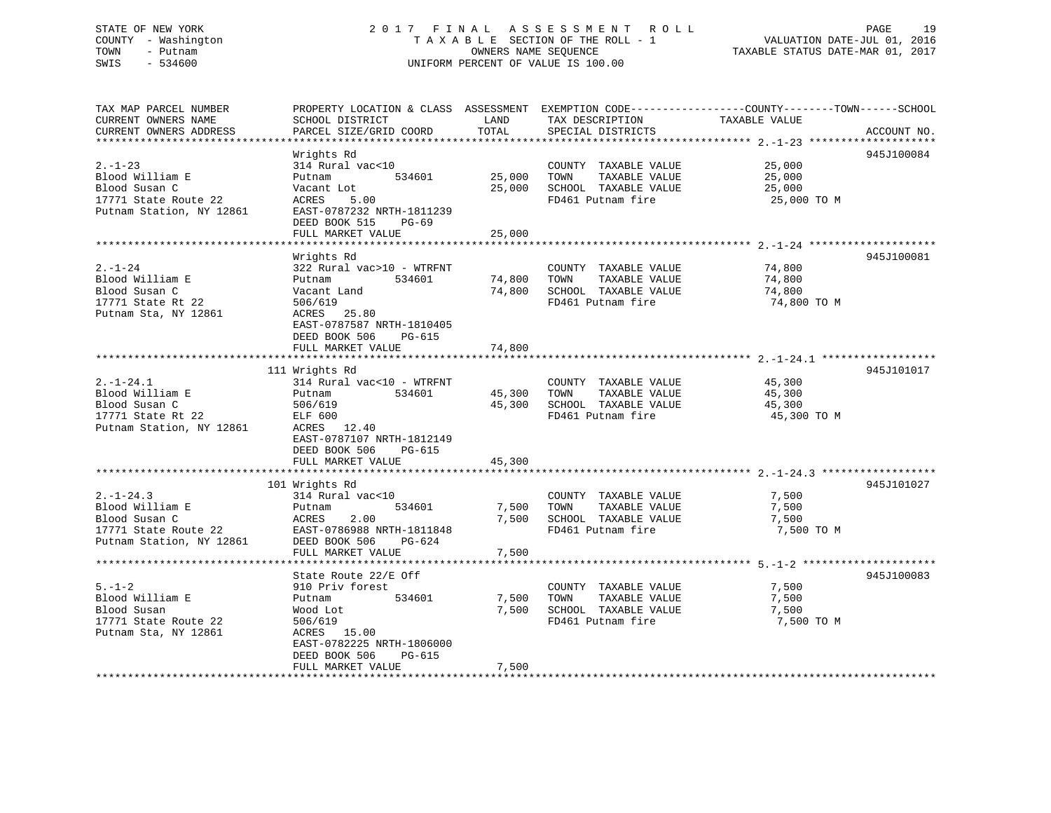### STATE OF NEW YORK 2 0 1 7 F I N A L A S S E S S M E N T R O L L PAGE 19 COUNTY - Washington T A X A B L E SECTION OF THE ROLL - 1 VALUATION DATE-JUL 01, 2016 TOWN - Putnam OWNERS NAME SEQUENCE TAXABLE STATUS DATE-MAR 01, 2017 SWIS - 534600 UNIFORM PERCENT OF VALUE IS 100.00

| TAX MAP PARCEL NUMBER<br>CURRENT OWNERS NAME<br>CURRENT OWNERS ADDRESS                                 | SCHOOL DISTRICT<br>PARCEL SIZE/GRID COORD                                                                                                      | LAND<br>TOTAL    | TAX DESCRIPTION<br>SPECIAL DISTRICTS                                                       | PROPERTY LOCATION & CLASS ASSESSMENT EXEMPTION CODE----------------COUNTY-------TOWN------SCHOOL<br>TAXABLE VALUE | ACCOUNT NO. |
|--------------------------------------------------------------------------------------------------------|------------------------------------------------------------------------------------------------------------------------------------------------|------------------|--------------------------------------------------------------------------------------------|-------------------------------------------------------------------------------------------------------------------|-------------|
|                                                                                                        |                                                                                                                                                |                  |                                                                                            |                                                                                                                   |             |
| $2. - 1 - 23$<br>Blood William E<br>Blood Susan C<br>17771 State Route 22                              | Wrights Rd<br>314 Rural vac<10<br>534601<br>Putnam<br>Vacant Lot<br>ACRES<br>5.00                                                              | 25,000<br>25,000 | COUNTY TAXABLE VALUE<br>TOWN<br>TAXABLE VALUE<br>SCHOOL TAXABLE VALUE<br>FD461 Putnam fire | 25,000<br>25,000<br>25,000<br>25,000 TO M                                                                         | 945J100084  |
| Putnam Station, NY 12861                                                                               | EAST-0787232 NRTH-1811239<br>DEED BOOK 515<br>PG-69<br>FULL MARKET VALUE                                                                       | 25,000           |                                                                                            |                                                                                                                   |             |
|                                                                                                        |                                                                                                                                                |                  |                                                                                            |                                                                                                                   |             |
|                                                                                                        | Wrights Rd                                                                                                                                     |                  |                                                                                            |                                                                                                                   | 945J100081  |
| $2. - 1 - 24$<br>Blood William E<br>Blood Susan C<br>17771 State Rt 22<br>Putnam Sta, NY 12861         | 322 Rural vac>10 - WTRFNT<br>Putnam<br>534601<br>Vacant Land<br>506/619<br>ACRES 25.80<br>EAST-0787587 NRTH-1810405<br>DEED BOOK 506<br>PG-615 | 74,800<br>74,800 | COUNTY TAXABLE VALUE<br>TAXABLE VALUE<br>TOWN<br>SCHOOL TAXABLE VALUE<br>FD461 Putnam fire | 74,800<br>74,800<br>74,800<br>74,800 TO M                                                                         |             |
|                                                                                                        | FULL MARKET VALUE                                                                                                                              | 74,800           |                                                                                            |                                                                                                                   |             |
|                                                                                                        |                                                                                                                                                |                  |                                                                                            |                                                                                                                   |             |
|                                                                                                        | 111 Wrights Rd                                                                                                                                 |                  |                                                                                            |                                                                                                                   | 945J101017  |
| $2. -1 - 24.1$<br>Blood William E<br>Blood Susan C                                                     | 314 Rural vac<10 - WTRFNT<br>534601<br>Putnam<br>506/619                                                                                       | 45,300<br>45,300 | COUNTY TAXABLE VALUE<br>TOWN<br>TAXABLE VALUE<br>SCHOOL TAXABLE VALUE                      | 45,300<br>45,300<br>45,300                                                                                        |             |
| 17771 State Rt 22<br>Putnam Station, NY 12861                                                          | ELF 600<br>ACRES 12.40<br>EAST-0787107 NRTH-1812149<br>DEED BOOK 506<br>PG-615                                                                 |                  | FD461 Putnam fire                                                                          | 45,300 TO M                                                                                                       |             |
|                                                                                                        | FULL MARKET VALUE                                                                                                                              | 45,300           |                                                                                            |                                                                                                                   |             |
|                                                                                                        | 101 Wrights Rd                                                                                                                                 |                  |                                                                                            |                                                                                                                   | 945J101027  |
| $2. -1 - 24.3$<br>Blood William E<br>Blood Susan C<br>17771 State Route 22<br>Putnam Station, NY 12861 | 314 Rural vac<10<br>Putnam<br>534601<br>ACRES<br>2.00<br>EAST-0786988 NRTH-1811848<br>DEED BOOK 506<br>PG-624                                  | 7,500<br>7,500   | COUNTY TAXABLE VALUE<br>TAXABLE VALUE<br>TOWN<br>SCHOOL TAXABLE VALUE<br>FD461 Putnam fire | 7,500<br>7,500<br>7,500<br>7,500 TO M                                                                             |             |
|                                                                                                        | FULL MARKET VALUE                                                                                                                              | 7,500            |                                                                                            |                                                                                                                   |             |
|                                                                                                        |                                                                                                                                                |                  |                                                                                            |                                                                                                                   |             |
|                                                                                                        | State Route 22/E Off                                                                                                                           |                  |                                                                                            |                                                                                                                   | 945J100083  |
| $5. - 1 - 2$<br>Blood William E<br>Blood Susan<br>17771 State Route 22<br>Putnam Sta, NY 12861         | 910 Priv forest<br>534601<br>Putnam<br>Wood Lot<br>506/619<br>ACRES 15.00<br>EAST-0782225 NRTH-1806000                                         | 7,500<br>7,500   | COUNTY TAXABLE VALUE<br>TOWN<br>TAXABLE VALUE<br>SCHOOL TAXABLE VALUE<br>FD461 Putnam fire | 7,500<br>7,500<br>7,500<br>7,500 TO M                                                                             |             |
|                                                                                                        | DEED BOOK 506<br>PG-615<br>FULL MARKET VALUE                                                                                                   | 7,500            |                                                                                            |                                                                                                                   |             |
|                                                                                                        |                                                                                                                                                |                  |                                                                                            |                                                                                                                   |             |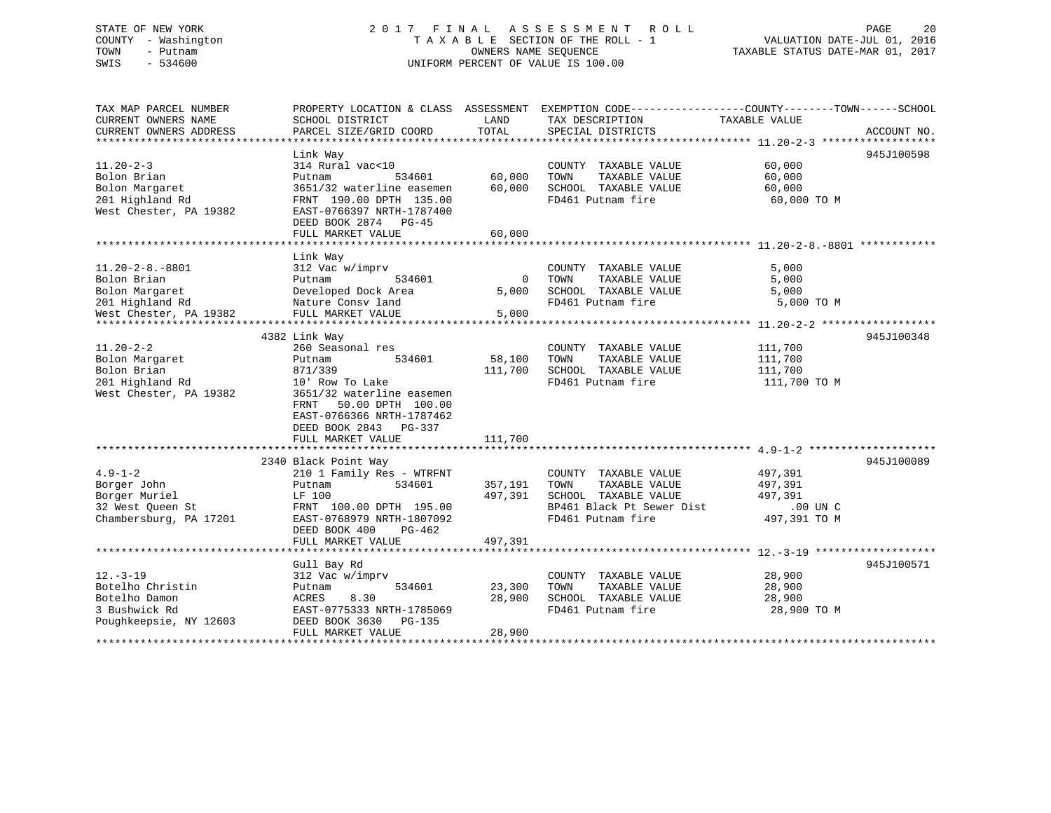### STATE OF NEW YORK 2 0 1 7 F I N A L A S S E S S M E N T R O L L PAGE 20 COUNTY - Washington T A X A B L E SECTION OF THE ROLL - 1 VALUATION DATE-JUL 01, 2016 TOWN - Putnam OWNERS NAME SEQUENCE TAXABLE STATUS DATE-MAR 01, 2017 SWIS - 534600 UNIFORM PERCENT OF VALUE IS 100.00

| TAX MAP PARCEL NUMBER<br>CURRENT OWNERS NAME<br>CURRENT OWNERS ADDRESS                                                      | PROPERTY LOCATION & CLASS ASSESSMENT<br>SCHOOL DISTRICT<br>PARCEL SIZE/GRID COORD                                                                                                                                           | LAND<br>TOTAL                 | TAX DESCRIPTION<br>SPECIAL DISTRICTS                                                                                    | EXEMPTION CODE-----------------COUNTY-------TOWN------SCHOOL<br>TAXABLE VALUE<br>ACCOUNT NO. |
|-----------------------------------------------------------------------------------------------------------------------------|-----------------------------------------------------------------------------------------------------------------------------------------------------------------------------------------------------------------------------|-------------------------------|-------------------------------------------------------------------------------------------------------------------------|----------------------------------------------------------------------------------------------|
| $11.20 - 2 - 3$<br>Bolon Brian<br>Bolon Margaret<br>201 Highland Rd<br>West Chester, PA 19382                               | Link Way<br>314 Rural vac<10<br>534601<br>Putnam<br>3651/32 waterline easemen<br>FRNT 190.00 DPTH 135.00<br>EAST-0766397 NRTH-1787400<br>DEED BOOK 2874 PG-45<br>FULL MARKET VALUE                                          | 60,000<br>60,000<br>60,000    | COUNTY TAXABLE VALUE<br>TOWN<br>TAXABLE VALUE<br>SCHOOL TAXABLE VALUE<br>FD461 Putnam fire                              | 945J100598<br>60,000<br>60,000<br>60,000<br>60,000 TO M                                      |
| $11.20 - 2 - 8. - 8801$<br>Bolon Brian<br>Bolon Margaret<br>201 Highland Rd<br>West Chester, PA 19382<br>****************** | Link Way<br>312 Vac w/imprv<br>534601<br>Putnam<br>Developed Dock Area<br>Nature Consv land<br>FULL MARKET VALUE                                                                                                            | $\mathbf 0$<br>5,000<br>5,000 | COUNTY TAXABLE VALUE<br>TOWN<br>TAXABLE VALUE<br>SCHOOL TAXABLE VALUE<br>FD461 Putnam fire                              | 5,000<br>5,000<br>5,000<br>5,000 TO M                                                        |
| $11.20 - 2 - 2$<br>Bolon Margaret<br>Bolon Brian<br>201 Highland Rd<br>West Chester, PA 19382                               | 4382 Link Way<br>260 Seasonal res<br>534601<br>Putnam<br>871/339<br>10' Row To Lake<br>3651/32 waterline easemen<br>FRNT<br>50.00 DPTH 100.00<br>EAST-0766366 NRTH-1787462<br>DEED BOOK 2843<br>PG-337<br>FULL MARKET VALUE | 58,100<br>111,700<br>111,700  | COUNTY TAXABLE VALUE<br>TAXABLE VALUE<br>TOWN<br>SCHOOL TAXABLE VALUE<br>FD461 Putnam fire                              | 945J100348<br>111,700<br>111,700<br>111,700<br>111,700 TO M                                  |
| $4.9 - 1 - 2$<br>Borger John<br>Borger Muriel<br>32 West Queen St<br>Chambersburg, PA 17201                                 | 2340 Black Point Way<br>210 1 Family Res - WTRFNT<br>534601<br>Putnam<br>LF 100<br>FRNT 100.00 DPTH 195.00<br>EAST-0768979 NRTH-1807092<br>DEED BOOK 400<br>$PG-462$<br>FULL MARKET VALUE                                   | 357,191<br>497,391<br>497,391 | COUNTY TAXABLE VALUE<br>TOWN<br>TAXABLE VALUE<br>SCHOOL TAXABLE VALUE<br>BP461 Black Pt Sewer Dist<br>FD461 Putnam fire | 945J100089<br>497,391<br>497,391<br>497,391<br>.00 UN C<br>497,391 TO M                      |
| $12. - 3 - 19$<br>Botelho Christin<br>Botelho Damon<br>3 Bushwick Rd<br>Poughkeepsie, NY 12603                              | Gull Bay Rd<br>312 Vac w/imprv<br>534601<br>Putnam<br>8.30<br>ACRES<br>EAST-0775333 NRTH-1785069<br>DEED BOOK 3630<br>PG-135<br>FULL MARKET VALUE                                                                           | 23,300<br>28,900<br>28,900    | COUNTY TAXABLE VALUE<br>TOWN<br>TAXABLE VALUE<br>SCHOOL TAXABLE VALUE<br>FD461 Putnam fire                              | 945J100571<br>28,900<br>28,900<br>28,900<br>28,900 TO M                                      |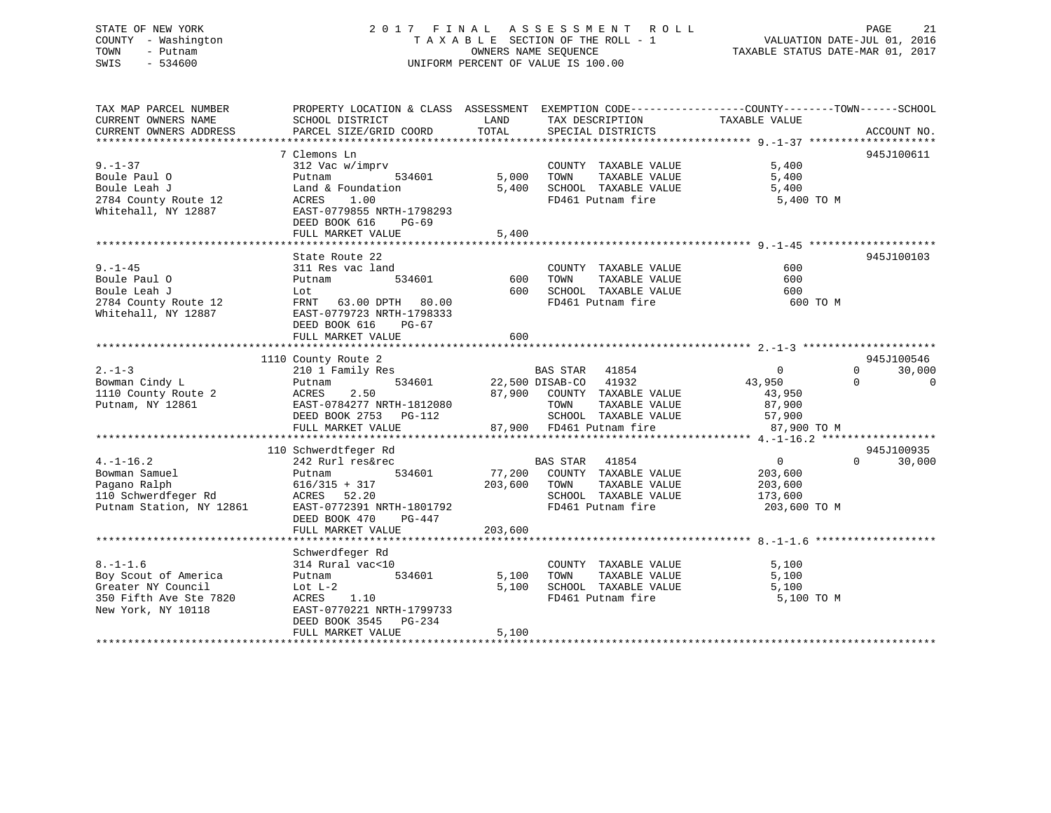### STATE OF NEW YORK 2 0 1 7 F I N A L A S S E S S M E N T R O L L PAGE 21 COUNTY - Washington T A X A B L E SECTION OF THE ROLL - 1 VALUATION DATE-JUL 01, 2016 TOWN - Putnam OWNERS NAME SEQUENCE TAXABLE STATUS DATE-MAR 01, 2017 SWIS - 534600 UNIFORM PERCENT OF VALUE IS 100.00

| TAX MAP PARCEL NUMBER<br>CURRENT OWNERS NAME<br>CURRENT OWNERS ADDRESS | PROPERTY LOCATION & CLASS ASSESSMENT EXEMPTION CODE---------------COUNTY-------TOWN------SCHOOL<br>SCHOOL DISTRICT<br>PARCEL SIZE/GRID COORD    | LAND<br>TOTAL     | TAX DESCRIPTION<br>SPECIAL DISTRICTS             | TAXABLE VALUE  | ACCOUNT NO.                |
|------------------------------------------------------------------------|-------------------------------------------------------------------------------------------------------------------------------------------------|-------------------|--------------------------------------------------|----------------|----------------------------|
|                                                                        |                                                                                                                                                 |                   |                                                  |                |                            |
|                                                                        | 7 Clemons Ln                                                                                                                                    |                   |                                                  |                | 945J100611                 |
| $9. - 1 - 37$<br>Boule Paul O                                          | 312 Vac w/imprv<br>Putnam                                                                                                                       | 534601 5,000 TOWN | COUNTY TAXABLE VALUE<br>TAXABLE VALUE            | 5,400<br>5,400 |                            |
| Boule Leah J                                                           | Land & Foundation                                                                                                                               |                   | 5,400 SCHOOL TAXABLE VALUE                       | 5,400          |                            |
| 2784 County Route 12                                                   | ACRES<br>1.00                                                                                                                                   |                   | FD461 Putnam fire                                | 5,400 TO M     |                            |
| Whitehall, NY 12887                                                    | EAST-0779855 NRTH-1798293<br>DEED BOOK 616<br>PG-69                                                                                             |                   |                                                  |                |                            |
|                                                                        | FULL MARKET VALUE                                                                                                                               | 5,400             |                                                  |                |                            |
|                                                                        |                                                                                                                                                 |                   |                                                  |                |                            |
|                                                                        | State Route 22                                                                                                                                  |                   |                                                  |                | 945J100103                 |
| $9. - 1 - 45$                                                          | 311 Res vac land                                                                                                                                |                   | COUNTY TAXABLE VALUE                             | 600            |                            |
| Boule Paul O                                                           | 534601<br>Putnam                                                                                                                                | 600 TOWN          | TAXABLE VALUE                                    | 600            |                            |
| Boule Leah J                                                           | Lot                                                                                                                                             | 600               | SCHOOL TAXABLE VALUE                             | 600            |                            |
| 2784 County Route 12                                                   | FRNT 63.00 DPTH 80.00                                                                                                                           |                   | FD461 Putnam fire                                | 600 TO M       |                            |
| Whitehall, NY 12887                                                    | EAST-0779723 NRTH-1798333                                                                                                                       |                   |                                                  |                |                            |
|                                                                        | DEED BOOK 616<br>PG-67                                                                                                                          |                   |                                                  |                |                            |
|                                                                        | FULL MARKET VALUE                                                                                                                               | 600               |                                                  |                |                            |
|                                                                        |                                                                                                                                                 |                   |                                                  |                |                            |
|                                                                        | County Route 2<br>210 1 Family Res<br>1110 County Route 2                                                                                       |                   |                                                  |                | 945J100546                 |
| $2 - 1 - 3$                                                            |                                                                                                                                                 |                   | BAS STAR 41854                                   | $\overline{0}$ | 30,000<br>$\Omega$         |
| Bowman Cindy L                                                         | Putnam                                                                                                                                          |                   | 534601 22,500 DISAB-CO 41932                     | 43,950         | $\Omega$<br>$\overline{0}$ |
| 1110 County Route 2                                                    | $\begin{tabular}{lcccccc} ACRES & 2.50 & 87,900 & COUNTY & TAXABLE VALUE \\ EAST-0784277 NRTH-1812080 & & & TOWN & TAXABLE VALUE \end{tabular}$ |                   |                                                  | 43,950         |                            |
| Putnam, NY 12861                                                       |                                                                                                                                                 |                   | TAXABLE VALUE                                    | 87,900         |                            |
|                                                                        | DEED BOOK 2753 PG-112                                                                                                                           |                   | SCHOOL TAXABLE VALUE 57,900                      |                |                            |
|                                                                        | FULL MARKET VALUE                                                                                                                               |                   | SCHOOL TAXABLE VALUE<br>87,900 FD461 Putnam fire | 87,900 TO M    |                            |
|                                                                        |                                                                                                                                                 |                   |                                                  |                |                            |
|                                                                        | 110 Schwerdtfeger Rd                                                                                                                            |                   |                                                  |                | 945J100935                 |
| $4. -1 - 16.2$                                                         | 242 Rurl res&rec                                                                                                                                |                   | BAS STAR 41854                                   | $\overline{0}$ | $\Omega$<br>30,000         |
| Bowman Samuel                                                          | 534601<br>Putnam                                                                                                                                |                   | 77,200 COUNTY TAXABLE VALUE                      | 203,600        |                            |
| Pagano Ralph                                                           | $616/315 + 317$                                                                                                                                 | 203,600 TOWN      | TAXABLE VALUE                                    | 203,600        |                            |
| Pagano Kaipu<br>110 Schwerdfeger Rd<br>119861                          | ACRES 52.20                                                                                                                                     |                   | SCHOOL TAXABLE VALUE                             | 173,600        |                            |
| Putnam Station, NY 12861                                               | EAST-0772391 NRTH-1801792                                                                                                                       |                   | FD461 Putnam fire                                | 203,600 TO M   |                            |
|                                                                        | DEED BOOK 470<br>PG-447                                                                                                                         |                   |                                                  |                |                            |
|                                                                        | FULL MARKET VALUE                                                                                                                               | 203,600           |                                                  |                |                            |
|                                                                        |                                                                                                                                                 |                   |                                                  |                |                            |
|                                                                        | Schwerdfeger Rd                                                                                                                                 |                   |                                                  |                |                            |
| $8. - 1 - 1.6$                                                         | 314 Rural vac<10                                                                                                                                |                   | COUNTY TAXABLE VALUE                             | 5,100          |                            |
| Boy Scout of America                                                   | 534601<br>Putnam                                                                                                                                | 5,100             | TAXABLE VALUE<br>TOWN                            | 5,100          |                            |
| Greater NY Council                                                     | Lot $L-2$                                                                                                                                       | 5,100             | SCHOOL TAXABLE VALUE                             | 5,100          |                            |
| 350 Fifth Ave Ste 7820                                                 | ACRES<br>1.10                                                                                                                                   |                   | FD461 Putnam fire                                | 5,100 TO M     |                            |
| New York, NY 10118                                                     | EAST-0770221 NRTH-1799733                                                                                                                       |                   |                                                  |                |                            |
|                                                                        | DEED BOOK 3545 PG-234                                                                                                                           |                   |                                                  |                |                            |
|                                                                        | FULL MARKET VALUE                                                                                                                               | 5,100             |                                                  |                |                            |
|                                                                        |                                                                                                                                                 |                   |                                                  |                |                            |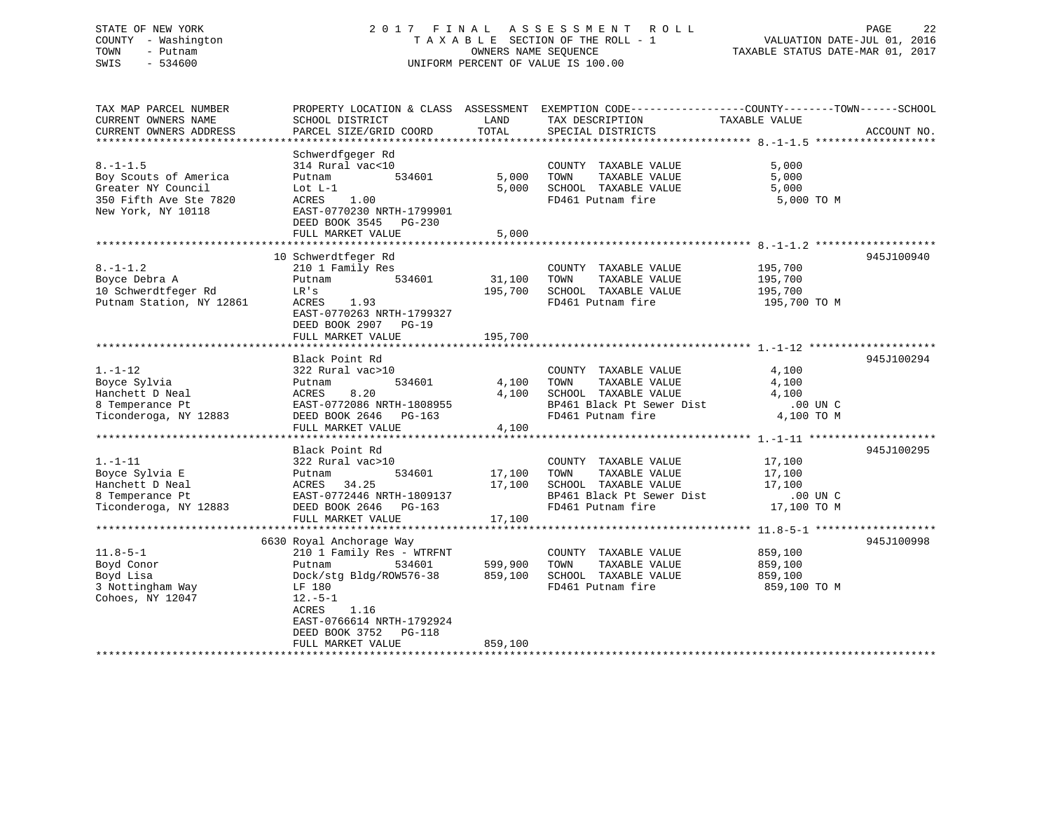### STATE OF NEW YORK 2 0 1 7 F I N A L A S S E S S M E N T R O L L PAGE 22 COUNTY - Washington T A X A B L E SECTION OF THE ROLL - 1 VALUATION DATE-JUL 01, 2016 TOWN - Putnam OWNERS NAME SEQUENCE TAXABLE STATUS DATE-MAR 01, 2017 SWIS - 534600 UNIFORM PERCENT OF VALUE IS 100.00

| TAX MAP PARCEL NUMBER<br>CURRENT OWNERS NAME | PROPERTY LOCATION & CLASS ASSESSMENT<br>SCHOOL DISTRICT             | LAND           | EXEMPTION CODE-----------------COUNTY-------TOWN------SCHOOL<br>TAX DESCRIPTION | TAXABLE VALUE |             |
|----------------------------------------------|---------------------------------------------------------------------|----------------|---------------------------------------------------------------------------------|---------------|-------------|
| CURRENT OWNERS ADDRESS                       | PARCEL SIZE/GRID COORD                                              | TOTAL          | SPECIAL DISTRICTS                                                               |               | ACCOUNT NO. |
| *************************                    | Schwerdfgeger Rd                                                    |                |                                                                                 |               |             |
| $8. - 1 - 1.5$                               | 314 Rural vac<10                                                    |                | COUNTY TAXABLE VALUE                                                            | 5,000         |             |
| Boy Scouts of America                        | 534601<br>Putnam                                                    | 5,000          | TAXABLE VALUE<br>TOWN                                                           | 5,000         |             |
| Greater NY Council                           | Lot $L-1$                                                           | 5,000          | SCHOOL TAXABLE VALUE                                                            | 5,000         |             |
| 350 Fifth Ave Ste 7820<br>New York, NY 10118 | 1.00<br>ACRES<br>EAST-0770230 NRTH-1799901<br>DEED BOOK 3545 PG-230 |                | FD461 Putnam fire                                                               | 5,000 TO M    |             |
|                                              | FULL MARKET VALUE                                                   | 5,000          |                                                                                 |               |             |
|                                              |                                                                     | ************** |                                                                                 |               |             |
|                                              | 10 Schwerdtfeger Rd                                                 |                |                                                                                 |               | 945J100940  |
| $8. - 1 - 1.2$                               | 210 1 Family Res                                                    |                | COUNTY TAXABLE VALUE                                                            | 195,700       |             |
| Boyce Debra A                                | 534601<br>Putnam                                                    | 31,100         | TOWN<br>TAXABLE VALUE                                                           | 195,700       |             |
| 10 Schwerdtfeger Rd                          | LR's                                                                | 195,700        | SCHOOL TAXABLE VALUE                                                            | 195,700       |             |
| Putnam Station, NY 12861                     | ACRES<br>1.93<br>EAST-0770263 NRTH-1799327<br>DEED BOOK 2907 PG-19  |                | FD461 Putnam fire                                                               | 195,700 TO M  |             |
|                                              | FULL MARKET VALUE                                                   | 195,700        |                                                                                 |               |             |
|                                              | Black Point Rd                                                      |                |                                                                                 |               | 945J100294  |
| $1. - 1 - 12$                                | 322 Rural vac>10                                                    |                | COUNTY TAXABLE VALUE                                                            | 4,100         |             |
| Boyce Sylvia                                 | 534601<br>Putnam                                                    | 4,100          | TOWN<br>TAXABLE VALUE                                                           | 4,100         |             |
| Hanchett D Neal                              | 8.20<br>ACRES                                                       | 4,100          | SCHOOL TAXABLE VALUE                                                            | 4,100         |             |
| 8 Temperance Pt                              | EAST-0772086 NRTH-1808955                                           |                | BP461 Black Pt Sewer Dist                                                       | .00 UN C      |             |
| Ticonderoga, NY 12883                        | DEED BOOK 2646 PG-163                                               |                | FD461 Putnam fire                                                               | 4,100 TO M    |             |
|                                              | FULL MARKET VALUE                                                   | 4,100          |                                                                                 |               |             |
|                                              |                                                                     |                |                                                                                 |               |             |
|                                              | Black Point Rd                                                      |                |                                                                                 |               | 945J100295  |
| $1. - 1 - 11$                                | 322 Rural vac>10                                                    |                | COUNTY TAXABLE VALUE                                                            | 17,100        |             |
| Boyce Sylvia E                               | 534601<br>Putnam                                                    | 17,100         | TOWN<br>TAXABLE VALUE                                                           | 17,100        |             |
| Hanchett D Neal                              | 34.25<br>ACRES                                                      | 17,100         | SCHOOL TAXABLE VALUE                                                            | 17,100        |             |
| 8 Temperance Pt                              | EAST-0772446 NRTH-1809137                                           |                | BP461 Black Pt Sewer Dist                                                       | .00 UN C      |             |
| Ticonderoga, NY 12883                        | DEED BOOK 2646 PG-163                                               |                | FD461 Putnam fire                                                               | 17,100 TO M   |             |
|                                              | FULL MARKET VALUE                                                   | 17,100         |                                                                                 |               |             |
|                                              |                                                                     |                |                                                                                 |               |             |
|                                              | 6630 Royal Anchorage Way                                            |                |                                                                                 |               | 945J100998  |
| $11.8 - 5 - 1$                               | 210 1 Family Res - WTRFNT                                           |                | COUNTY TAXABLE VALUE                                                            | 859,100       |             |
| Boyd Conor                                   | 534601<br>Putnam                                                    | 599,900        | TOWN<br>TAXABLE VALUE                                                           | 859,100       |             |
| Boyd Lisa                                    | Dock/stg Bldg/ROW576-38                                             | 859,100        | SCHOOL TAXABLE VALUE                                                            | 859,100       |             |
| 3 Nottingham Way                             | LF 180                                                              |                | FD461 Putnam fire                                                               | 859,100 TO M  |             |
| Cohoes, NY 12047                             | $12.-5-1$<br>ACRES<br>1.16<br>EAST-0766614 NRTH-1792924             |                |                                                                                 |               |             |
|                                              | DEED BOOK 3752 PG-118                                               |                |                                                                                 |               |             |
|                                              | FULL MARKET VALUE                                                   | 859,100        |                                                                                 |               |             |
|                                              |                                                                     |                |                                                                                 |               |             |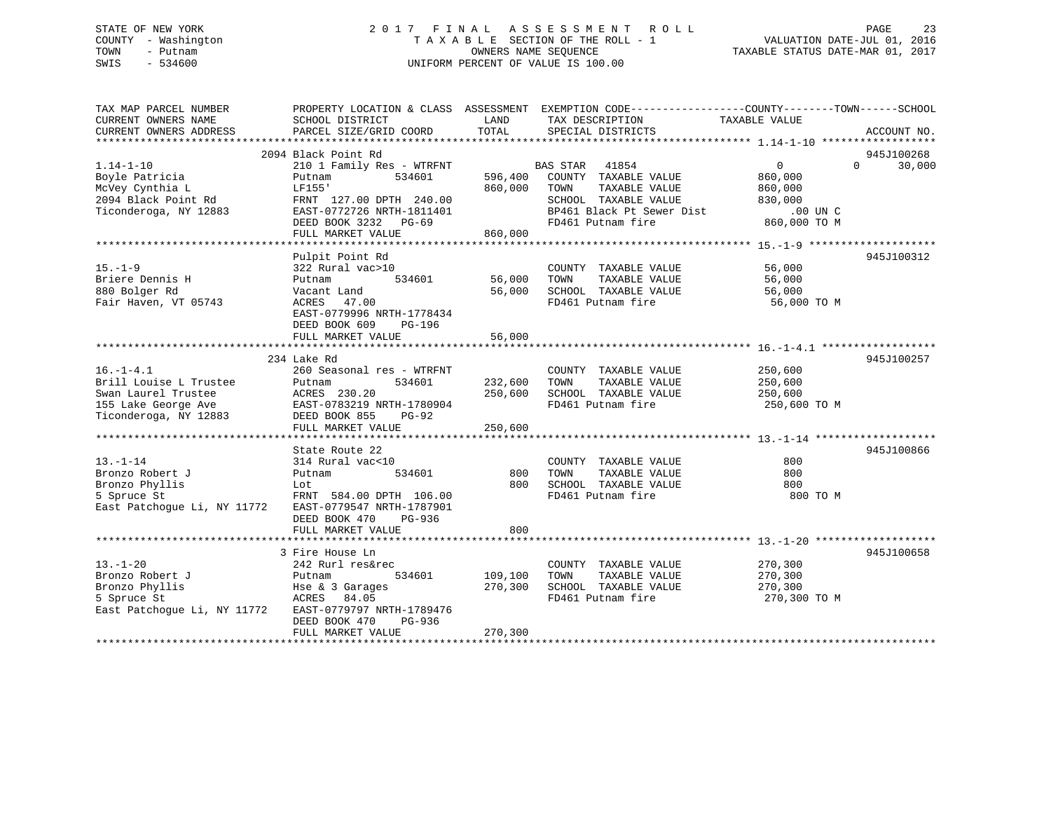### STATE OF NEW YORK 2 0 1 7 F I N A L A S S E S S M E N T R O L L PAGE 23 COUNTY - Washington T A X A B L E SECTION OF THE ROLL - 1 VALUATION DATE-JUL 01, 2016 TOWN - Putnam OWNERS NAME SEQUENCE TAXABLE STATUS DATE-MAR 01, 2017 SWIS - 534600 UNIFORM PERCENT OF VALUE IS 100.00

| TAX MAP PARCEL NUMBER<br>CURRENT OWNERS NAME<br>CURRENT OWNERS ADDRESS                                           | SCHOOL DISTRICT<br>PARCEL SIZE/GRID COORD                                                                                                                                           | LAND<br>TOTAL                 | PROPERTY LOCATION & CLASS ASSESSMENT EXEMPTION CODE---------------COUNTY-------TOWN-----SCHOOL<br>TAX DESCRIPTION<br>SPECIAL DISTRICTS       | TAXABLE VALUE                                                                    | ACCOUNT NO.                      |
|------------------------------------------------------------------------------------------------------------------|-------------------------------------------------------------------------------------------------------------------------------------------------------------------------------------|-------------------------------|----------------------------------------------------------------------------------------------------------------------------------------------|----------------------------------------------------------------------------------|----------------------------------|
| $1.14 - 1 - 10$<br>Boyle Patricia<br>McVey Cynthia L<br>2094 Black Point Rd<br>Ticonderoga, NY 12883             | 2094 Black Point Rd<br>210 1 Family Res - WTRFNT<br>534601<br>Putnam<br>LF155'<br>FRNT 127.00 DPTH 240.00<br>EAST-0772726 NRTH-1811401<br>DEED BOOK 3232 PG-69<br>FULL MARKET VALUE | 596,400<br>860,000<br>860,000 | BAS STAR<br>41854<br>COUNTY TAXABLE VALUE<br>TAXABLE VALUE<br>TOWN<br>SCHOOL TAXABLE VALUE<br>BP461 Black Pt Sewer Dist<br>FD461 Putnam fire | $0 \qquad \qquad$<br>860,000<br>860,000<br>830,000<br>$.00$ UN C<br>860,000 TO M | 945J100268<br>$\Omega$<br>30,000 |
| $15. - 1 - 9$<br>Briere Dennis H<br>880 Bolger Rd<br>Fair Haven, VT 05743                                        | Pulpit Point Rd<br>322 Rural vac>10<br>534601<br>Putnam<br>Vacant Land<br>ACRES<br>47.00<br>EAST-0779996 NRTH-1778434<br>DEED BOOK 609<br>PG-196<br>FULL MARKET VALUE               | 56,000<br>56,000<br>56,000    | COUNTY TAXABLE VALUE<br>TOWN<br>TAXABLE VALUE<br>SCHOOL TAXABLE VALUE<br>FD461 Putnam fire                                                   | 56,000<br>56,000<br>56,000<br>56,000 TO M                                        | 945J100312                       |
| $16. - 1 - 4.1$<br>Brill Louise L Trustee<br>Swan Laurel Trustee<br>155 Lake George Ave<br>Ticonderoga, NY 12883 | 234 Lake Rd<br>260 Seasonal res - WTRFNT<br>534601<br>Putnam<br>ACRES 230.20<br>ACRES 230.20<br>EAST-0783219 NRTH-1780904<br>DEED BOOK 855<br>PG-92<br>FULL MARKET VALUE            | 232,600<br>250,600<br>250,600 | COUNTY TAXABLE VALUE<br>TAXABLE VALUE<br>TOWN<br>SCHOOL TAXABLE VALUE<br>FD461 Putnam fire                                                   | 250,600<br>250,600<br>250,600<br>250,600 TO M                                    | 945J100257                       |
| $13. - 1 - 14$<br>Bronzo Robert J<br>Bronzo Phyllis<br>5 Spruce St<br>East Patchogue Li, NY 11772                | State Route 22<br>314 Rural vac<10<br>534601<br>Putnam<br>Lot<br>FRNT 584.00 DPTH 106.00<br>EAST-0779547 NRTH-1787901<br>DEED BOOK 470<br>PG-936<br>FULL MARKET VALUE               | 800<br>800<br>800             | COUNTY TAXABLE VALUE<br>TAXABLE VALUE<br>TOWN<br>SCHOOL TAXABLE VALUE<br>FD461 Putnam fire                                                   | 800<br>800<br>800<br>800 TO M                                                    | 945J100866                       |
| $13. - 1 - 20$<br>Bronzo Robert J<br>Bronzo Phyllis<br>5 Spruce St<br>East Patchogue Li, NY 11772                | 3 Fire House Ln<br>242 Rurl res&rec<br>Putnam<br>534601<br>Hse & 3 Garages<br>ACRES 84.05<br>EAST-0779797 NRTH-1789476<br>DEED BOOK 470<br>PG-936<br>FULL MARKET VALUE              | 109,100<br>270,300<br>270,300 | COUNTY TAXABLE VALUE<br>TOWN<br>TAXABLE VALUE<br>SCHOOL TAXABLE VALUE<br>FD461 Putnam fire                                                   | 270,300<br>270,300<br>270,300<br>270,300 TO M                                    | 945J100658                       |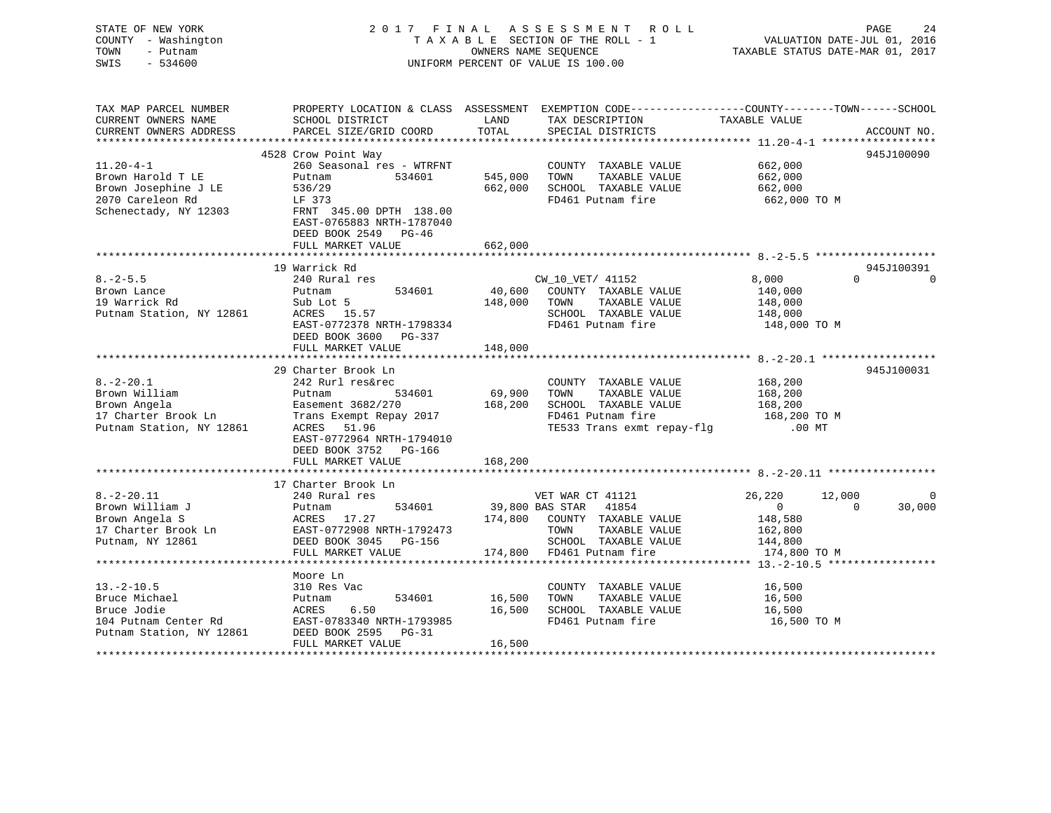### STATE OF NEW YORK 2 0 1 7 F I N A L A S S E S S M E N T R O L L PAGE 24 COUNTY - Washington T A X A B L E SECTION OF THE ROLL - 1 VALUATION DATE-JUL 01, 2016 TOWN - Putnam OWNERS NAME SEQUENCE TAXABLE STATUS DATE-MAR 01, 2017 SWIS - 534600 UNIFORM PERCENT OF VALUE IS 100.00

| TAX MAP PARCEL NUMBER<br>CURRENT OWNERS NAME<br>CURRENT OWNERS ADDRESS                        | PROPERTY LOCATION & CLASS ASSESSMENT<br>SCHOOL DISTRICT<br>PARCEL SIZE/GRID COORD | LAND<br>TOTAL      | EXEMPTION CODE----------------COUNTY-------TOWN------SCHOOL<br>TAX DESCRIPTION<br>SPECIAL DISTRICTS | TAXABLE VALUE                      | ACCOUNT NO.              |
|-----------------------------------------------------------------------------------------------|-----------------------------------------------------------------------------------|--------------------|-----------------------------------------------------------------------------------------------------|------------------------------------|--------------------------|
|                                                                                               |                                                                                   |                    |                                                                                                     |                                    |                          |
| $11.20 - 4 - 1$                                                                               | 4528 Crow Point Way<br>260 Seasonal res - WTRFNT                                  |                    | COUNTY TAXABLE VALUE                                                                                | 662,000                            | 945J100090               |
| Brown Harold T LE<br>Brown Josephine J LE<br>2070 Careleon Rd<br>Schenectady, NY 12303        | Putnam<br>534601<br>536/29<br>LF 373<br>FRNT 345.00 DPTH 138.00                   | 545,000<br>662,000 | TAXABLE VALUE<br>TOWN<br>SCHOOL TAXABLE VALUE<br>FD461 Putnam fire                                  | 662,000<br>662,000<br>662,000 ТО М |                          |
|                                                                                               | EAST-0765883 NRTH-1787040<br>DEED BOOK 2549 PG-46<br>FULL MARKET VALUE            | 662,000            |                                                                                                     |                                    |                          |
|                                                                                               | 19 Warrick Rd                                                                     |                    |                                                                                                     |                                    | 945J100391               |
| $8. - 2 - 5.5$                                                                                | 240 Rural res                                                                     |                    | CW_10_VET/ 41152                                                                                    | 8,000                              | $\Omega$                 |
| Brown Lance                                                                                   | 534601<br>Putnam                                                                  |                    | 40,600 COUNTY TAXABLE VALUE                                                                         | 140,000                            |                          |
| 19 Warrick Rd                                                                                 | Sub Lot 5                                                                         | 148,000            | TOWN<br>TAXABLE VALUE                                                                               | 148,000                            |                          |
| Putnam Station, NY 12861                                                                      | ACRES 15.57                                                                       |                    | SCHOOL TAXABLE VALUE                                                                                | 148,000                            |                          |
|                                                                                               | EAST-0772378 NRTH-1798334                                                         |                    | FD461 Putnam fire                                                                                   | 148,000 TO M                       |                          |
|                                                                                               | DEED BOOK 3600 PG-337                                                             |                    |                                                                                                     |                                    |                          |
|                                                                                               | FULL MARKET VALUE                                                                 | 148,000            |                                                                                                     |                                    |                          |
|                                                                                               |                                                                                   |                    |                                                                                                     |                                    |                          |
|                                                                                               | 29 Charter Brook Ln                                                               |                    |                                                                                                     |                                    | 945J100031               |
| $8. - 2 - 20.1$                                                                               | 242 Rurl res&rec                                                                  |                    | COUNTY TAXABLE VALUE                                                                                | 168,200                            |                          |
| Brown William                                                                                 | 534601<br>Putnam                                                                  | 69,900             | TOWN<br>TAXABLE VALUE                                                                               | 168,200                            |                          |
| Brown Angela<br>17 Charter Brook Ln                                                           | Easement 3682/270                                                                 | 168,200            | SCHOOL TAXABLE VALUE                                                                                | 168,200                            |                          |
|                                                                                               | Trans Exempt Repay 2017                                                           |                    | FD461 Putnam fire                                                                                   | 168,200 TO M                       |                          |
| Putnam Station, NY 12861                                                                      | ACRES<br>51.96<br>EAST-0772964 NRTH-1794010<br>DEED BOOK 3752 PG-166              |                    | TE533 Trans exmt repay-flg .00 MT                                                                   |                                    |                          |
|                                                                                               | FULL MARKET VALUE                                                                 | 168,200            |                                                                                                     |                                    |                          |
|                                                                                               | 17 Charter Brook Ln                                                               |                    |                                                                                                     |                                    |                          |
| $8. - 2 - 20.11$                                                                              | 240 Rural res                                                                     |                    | VET WAR CT 41121                                                                                    | 26,220<br>12,000                   |                          |
| Brown William J                                                                               | 534601<br>Putnam                                                                  |                    | 39,800 BAS STAR 41854                                                                               | $\overline{0}$                     | $\overline{0}$<br>30,000 |
| Brown Angela S                                                                                |                                                                                   |                    | 174,800 COUNTY TAXABLE VALUE                                                                        | 148,580                            |                          |
| 17 Charter Brook Ln                                                                           |                                                                                   |                    | TOWN<br>TAXABLE VALUE                                                                               | 162,800                            |                          |
| Putnam, NY 12861                                                                              |                                                                                   |                    | SCHOOL TAXABLE VALUE                                                                                | 144,800                            |                          |
|                                                                                               | ACRES 17.27<br>Ln EAST-0772908 NRTH-1792473<br>DEED BOOK 3045 PG-156              |                    | 174,800 FD461 Putnam fire                                                                           | 174,800 TO M                       |                          |
|                                                                                               |                                                                                   |                    |                                                                                                     |                                    |                          |
|                                                                                               | Moore Ln                                                                          |                    |                                                                                                     |                                    |                          |
| $13.-2-10.5$                                                                                  | 310 Res Vac                                                                       |                    | COUNTY TAXABLE VALUE                                                                                | 16,500                             |                          |
| Bruce Michael                                                                                 | 534601<br>Putnam                                                                  | 16,500             | TAXABLE VALUE<br>TOWN                                                                               | 16,500                             |                          |
| Bruce Jodie                                                                                   | ACRES<br>6.50                                                                     | 16,500             | SCHOOL TAXABLE VALUE                                                                                | 16,500                             |                          |
| Bruce bould<br>104 Putnam Center Rd<br>Different Chation NY 12861<br>Putnam Station, NY 12861 | EAST-0783340 NRTH-1793985<br>DEED BOOK 2595<br>$PG-31$<br>FULL MARKET VALUE       | 16,500             | FD461 Putnam fire                                                                                   | 16,500 TO M                        |                          |
|                                                                                               |                                                                                   |                    |                                                                                                     |                                    |                          |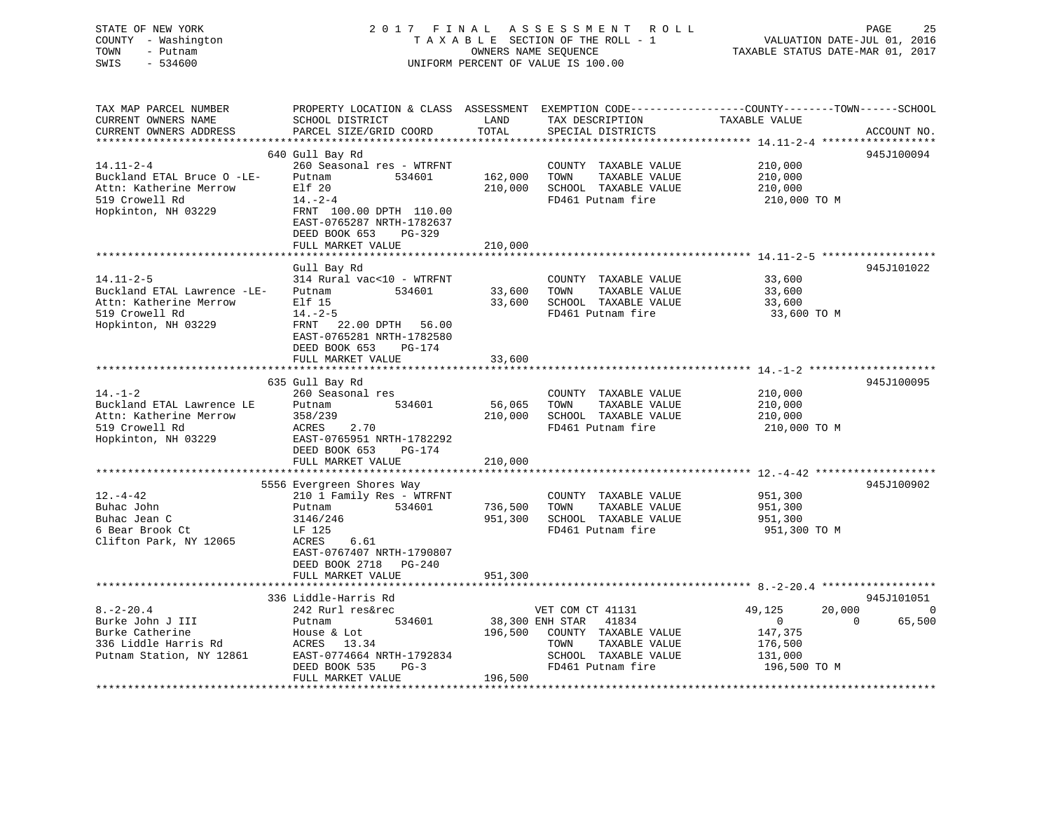### STATE OF NEW YORK 2 0 1 7 F I N A L A S S E S S M E N T R O L L PAGE 25 COUNTY - Washington T A X A B L E SECTION OF THE ROLL - 1 VALUATION DATE-JUL 01, 2016 TOWN - Putnam OWNERS NAME SEQUENCE TAXABLE STATUS DATE-MAR 01, 2017 SWIS - 534600 UNIFORM PERCENT OF VALUE IS 100.00

| TAX MAP PARCEL NUMBER<br>CURRENT OWNERS NAME<br>CURRENT OWNERS ADDRESS                                            | PROPERTY LOCATION & CLASS ASSESSMENT<br>SCHOOL DISTRICT<br>PARCEL SIZE/GRID COORD                                                                                           | LAND<br>TOTAL      | TAX DESCRIPTION<br>SPECIAL DISTRICTS                                                                                | EXEMPTION CODE-----------------COUNTY-------TOWN------SCHOOL<br>TAXABLE VALUE | ACCOUNT NO. |
|-------------------------------------------------------------------------------------------------------------------|-----------------------------------------------------------------------------------------------------------------------------------------------------------------------------|--------------------|---------------------------------------------------------------------------------------------------------------------|-------------------------------------------------------------------------------|-------------|
|                                                                                                                   | **************************                                                                                                                                                  | ***************    |                                                                                                                     |                                                                               |             |
| $14.11 - 2 - 4$<br>Buckland ETAL Bruce O -LE-<br>Attn: Katherine Merrow<br>519 Crowell Rd                         | 640 Gull Bay Rd<br>260 Seasonal res - WTRFNT<br>Putnam<br>534601<br>Elf 20<br>$14. - 2 - 4$                                                                                 | 162,000<br>210,000 | COUNTY TAXABLE VALUE<br>TOWN<br>TAXABLE VALUE<br>SCHOOL TAXABLE VALUE<br>FD461 Putnam fire                          | 210,000<br>210,000<br>210,000<br>210,000 TO M                                 | 945J100094  |
| Hopkinton, NH 03229                                                                                               | FRNT 100.00 DPTH 110.00<br>EAST-0765287 NRTH-1782637<br>DEED BOOK 653<br>$PG-329$<br>FULL MARKET VALUE                                                                      | 210,000            |                                                                                                                     |                                                                               |             |
|                                                                                                                   |                                                                                                                                                                             |                    |                                                                                                                     |                                                                               |             |
| $14.11 - 2 - 5$<br>Buckland ETAL Lawrence -LE-<br>Attn: Katherine Merrow<br>519 Crowell Rd<br>Hopkinton, NH 03229 | Gull Bay Rd<br>314 Rural vac<10 - WTRFNT<br>534601<br>Putnam<br>Elf 15<br>$14. - 2 - 5$<br>FRNT<br>22.00 DPTH 56.00<br>EAST-0765281 NRTH-1782580<br>DEED BOOK 653<br>PG-174 | 33,600<br>33,600   | COUNTY TAXABLE VALUE<br>TOWN<br>TAXABLE VALUE<br>SCHOOL TAXABLE VALUE<br>FD461 Putnam fire                          | 33,600<br>33,600<br>33,600<br>33,600 TO M                                     | 945J101022  |
|                                                                                                                   | FULL MARKET VALUE                                                                                                                                                           | 33,600             |                                                                                                                     |                                                                               |             |
|                                                                                                                   |                                                                                                                                                                             |                    |                                                                                                                     |                                                                               |             |
| $14. - 1 - 2$                                                                                                     | 635 Gull Bay Rd<br>260 Seasonal res                                                                                                                                         |                    | COUNTY TAXABLE VALUE                                                                                                | 210,000                                                                       | 945J100095  |
| Buckland ETAL Lawrence LE<br>Attn: Katherine Merrow<br>519 Crowell Rd                                             | 534601<br>Putnam<br>358/239<br>ACRES<br>2.70                                                                                                                                | 56,065<br>210,000  | TOWN<br>TAXABLE VALUE<br>SCHOOL TAXABLE VALUE<br>FD461 Putnam fire                                                  | 210,000<br>210,000<br>210,000 TO M                                            |             |
| Hopkinton, NH 03229                                                                                               | EAST-0765951 NRTH-1782292<br>DEED BOOK 653<br>PG-174<br>FULL MARKET VALUE                                                                                                   | 210,000            |                                                                                                                     |                                                                               |             |
|                                                                                                                   |                                                                                                                                                                             |                    |                                                                                                                     |                                                                               |             |
| $12. - 4 - 42$<br>Buhac John<br>Buhac Jean C<br>6 Bear Brook Ct<br>Clifton Park, NY 12065                         | 5556 Evergreen Shores Way<br>210 1 Family Res - WTRFNT<br>534601<br>Putnam<br>3146/246<br>LF 125<br>ACRES<br>6.61<br>EAST-0767407 NRTH-1790807                              | 736,500<br>951,300 | COUNTY TAXABLE VALUE<br>TOWN<br>TAXABLE VALUE<br>SCHOOL TAXABLE VALUE<br>FD461 Putnam fire                          | 951,300<br>951,300<br>951,300<br>951,300 TO M                                 | 945J100902  |
|                                                                                                                   | DEED BOOK 2718<br>PG-240<br>FULL MARKET VALUE<br>*****************************                                                                                              | 951,300            |                                                                                                                     |                                                                               |             |
|                                                                                                                   | 336 Liddle-Harris Rd                                                                                                                                                        |                    |                                                                                                                     |                                                                               | 945J101051  |
| $8. - 2 - 20.4$                                                                                                   | 242 Rurl res&rec                                                                                                                                                            |                    | VET COM CT 41131                                                                                                    | 20,000<br>49,125                                                              | $\Omega$    |
| Burke John J III<br>Burke Catherine<br>336 Liddle Harris Rd<br>Putnam Station, NY 12861                           | 534601<br>Putnam<br>House & Lot<br>ACRES 13.34<br>EAST-0774664 NRTH-1792834<br>DEED BOOK 535<br>$PG-3$                                                                      | 196,500            | 38,300 ENH STAR 41834<br>COUNTY TAXABLE VALUE<br>TOWN<br>TAXABLE VALUE<br>SCHOOL TAXABLE VALUE<br>FD461 Putnam fire | $\overline{0}$<br>$\Omega$<br>147,375<br>176,500<br>131,000<br>196,500 TO M   | 65,500      |
|                                                                                                                   | FULL MARKET VALUE                                                                                                                                                           | 196,500            |                                                                                                                     |                                                                               |             |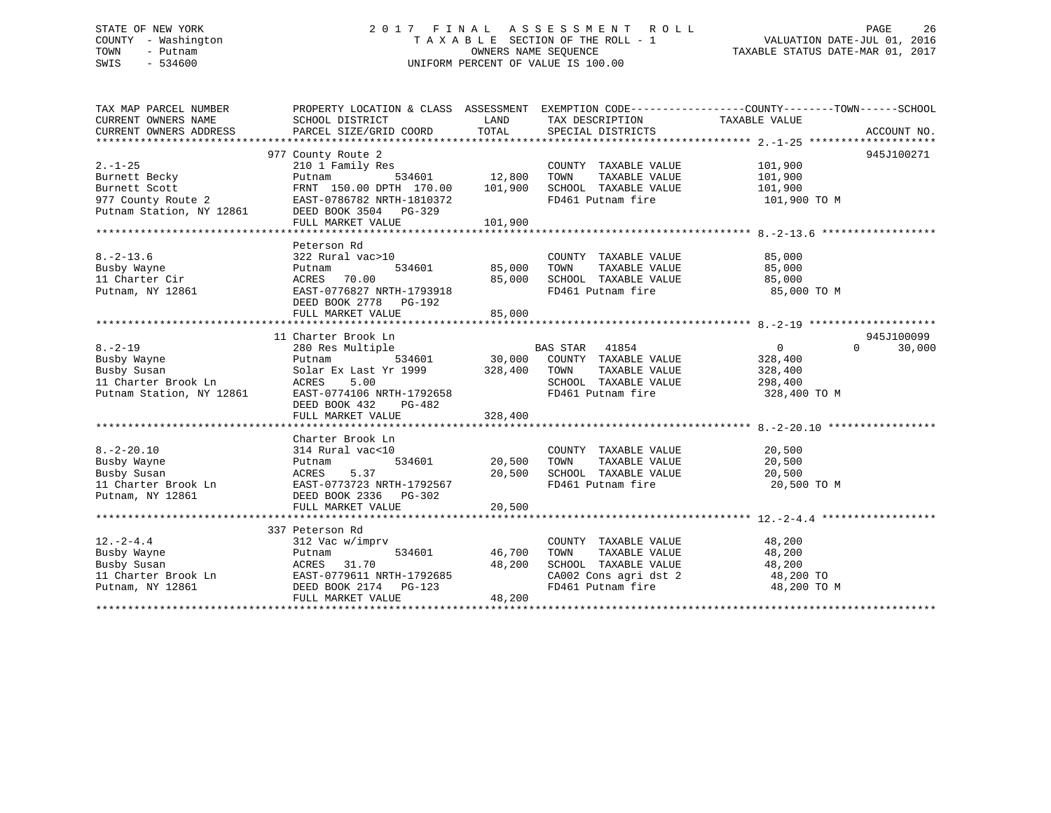### STATE OF NEW YORK 2 0 1 7 F I N A L A S S E S S M E N T R O L L PAGE 26 COUNTY - Washington T A X A B L E SECTION OF THE ROLL - 1 VALUATION DATE-JUL 01, 2016 TOWN - Putnam OWNERS NAME SEQUENCE TAXABLE STATUS DATE-MAR 01, 2017 SWIS - 534600 UNIFORM PERCENT OF VALUE IS 100.00

| TAX MAP PARCEL NUMBER<br>CURRENT OWNERS NAME<br>CURRENT OWNERS ADDRESS                            | SCHOOL DISTRICT<br>PARCEL SIZE/GRID COORD                                                                                                                                          | LAND<br>TOTAL                | TAX DESCRIPTION<br>SPECIAL DISTRICTS                                                                                   | PROPERTY LOCATION & CLASS ASSESSMENT EXEMPTION CODE---------------COUNTY-------TOWN-----SCHOOL<br>TAXABLE VALUE | ACCOUNT NO.          |
|---------------------------------------------------------------------------------------------------|------------------------------------------------------------------------------------------------------------------------------------------------------------------------------------|------------------------------|------------------------------------------------------------------------------------------------------------------------|-----------------------------------------------------------------------------------------------------------------|----------------------|
| $2. - 1 - 25$<br>Burnett Becky<br>Burnett Scott<br>977 County Route 2<br>Putnam Station, NY 12861 | 977 County Route 2<br>210 1 Family Res<br>534601<br>Putnam<br>FRNT 150.00 DPTH 170.00<br>EAST-0786782 NRTH-1810372<br>DEED BOOK 3504 PG-329<br>FULL MARKET VALUE                   | 12,800<br>101,900<br>101,900 | COUNTY TAXABLE VALUE<br>TOWN<br>TAXABLE VALUE<br>SCHOOL TAXABLE VALUE<br>FD461 Putnam fire                             | 101,900<br>101,900<br>101,900<br>101,900 TO M                                                                   | 945J100271           |
| $8. - 2 - 13.6$<br>Busby Wayne<br>11 Charter Cir<br>Putnam, NY 12861                              | Peterson Rd<br>322 Rural vac>10<br>534601<br>Putnam<br>70.00<br>ACRES<br>EAST-0776827 NRTH-1793918<br>DEED BOOK 2778 PG-192<br>FULL MARKET VALUE                                   | 85,000<br>85,000<br>85,000   | COUNTY TAXABLE VALUE<br>TOWN<br>TAXABLE VALUE<br>SCHOOL TAXABLE VALUE<br>FD461 Putnam fire                             | 85,000<br>85,000<br>85,000<br>85,000 TO M                                                                       |                      |
| $8. - 2 - 19$<br>Busby Wayne<br>Busby Susan<br>11 Charter Brook Ln<br>Putnam Station, NY 12861    | 11 Charter Brook Ln<br>280 Res Multiple<br>534601<br>Putnam<br>Solar Ex Last Yr 1999<br>5.00<br>ACRES<br>EAST-0774106 NRTH-1792658<br>DEED BOOK 432<br>PG-482<br>FULL MARKET VALUE | 328,400<br>328,400           | BAS STAR<br>41854<br>30,000 COUNTY TAXABLE VALUE<br>TAXABLE VALUE<br>TOWN<br>SCHOOL TAXABLE VALUE<br>FD461 Putnam fire | 0<br>$\Omega$<br>328,400<br>328,400<br>298,400<br>328,400 TO M                                                  | 945J100099<br>30,000 |
| $8. - 2 - 20.10$<br>Busby Wayne<br>Busby Susan<br>11 Charter Brook Ln<br>Putnam, NY 12861         | Charter Brook Ln<br>314 Rural vac<10<br>534601<br>Putnam<br>5.37<br>ACRES<br>EAST-0773723 NRTH-1792567<br>DEED BOOK 2336 PG-302<br>FULL MARKET VALUE                               | 20,500<br>20,500<br>20,500   | COUNTY TAXABLE VALUE<br>TAXABLE VALUE<br>TOWN<br>SCHOOL TAXABLE VALUE<br>FD461 Putnam fire                             | 20,500<br>20,500<br>20,500<br>20,500 TO M                                                                       |                      |
| $12. - 2 - 4.4$<br>Busby Wayne<br>Busby Susan<br>11 Charter Brook Ln<br>Putnam, NY 12861          | 337 Peterson Rd<br>312 Vac w/imprv<br>534601<br>Putnam<br>ACRES<br>31.70<br>EAST-0779611 NRTH-1792685<br>DEED BOOK 2174    PG-123<br>FULL MARKET VALUE                             | 46,700<br>48,200<br>48,200   | COUNTY TAXABLE VALUE<br>TOWN<br>TAXABLE VALUE<br>SCHOOL TAXABLE VALUE<br>CA002 Cons agri dst 2<br>FD461 Putnam fire    | 48,200<br>48,200<br>48,200<br>48,200 TO<br>48,200 TO M                                                          |                      |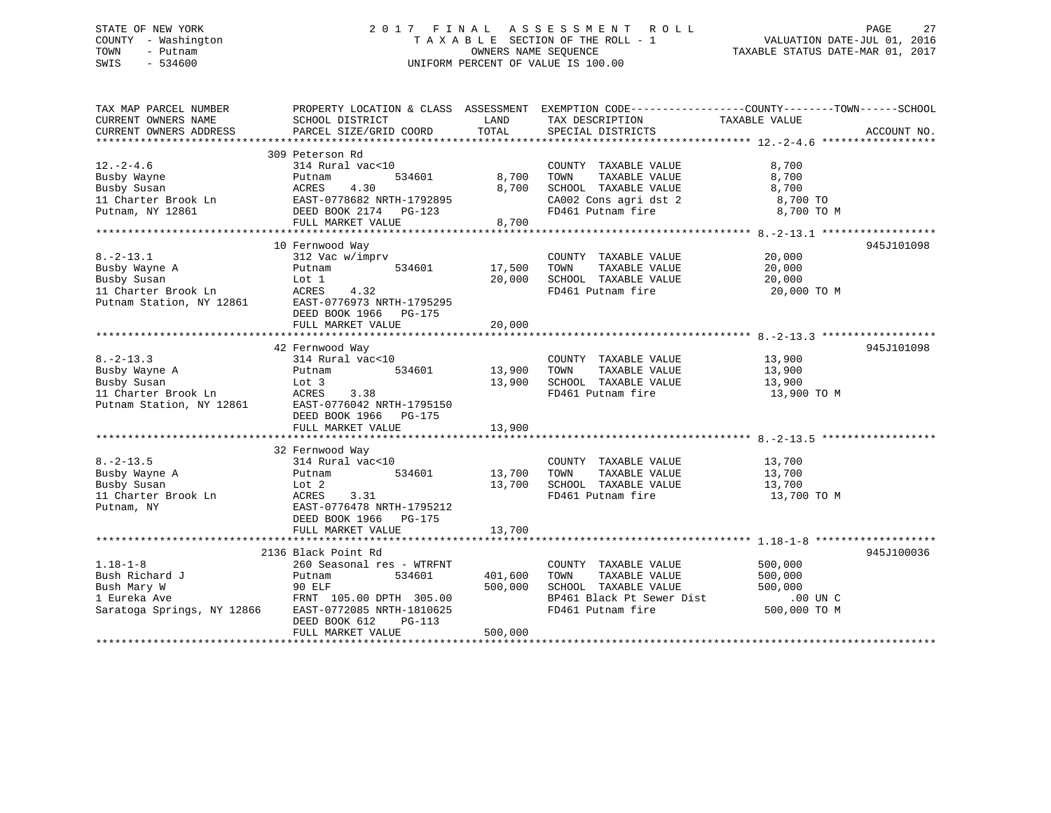# STATE OF NEW YORK 2 0 1 7 F I N A L A S S E S S M E N T R O L L PAGE 27COUNTY - Washington  $T A X A B L E$  SECTION OF THE ROLL - 1<br>TOWN - Putnam data of the COUNTERS NAME SEQUENCE SWIS - 534600 UNIFORM PERCENT OF VALUE IS 100.00

TAXABLE STATUS DATE-MAR 01, 2017

| TAX MAP PARCEL NUMBER<br>CURRENT OWNERS NAME<br>CURRENT OWNERS ADDRESS                             | SCHOOL DISTRICT<br>PARCEL SIZE/GRID COORD                                                                                                                                              | LAND<br>TOTAL                 | PROPERTY LOCATION & CLASS ASSESSMENT EXEMPTION CODE---------------COUNTY-------TOWN-----SCHOOL<br>TAX DESCRIPTION<br>SPECIAL DISTRICTS | TAXABLE VALUE                                     | ACCOUNT NO. |
|----------------------------------------------------------------------------------------------------|----------------------------------------------------------------------------------------------------------------------------------------------------------------------------------------|-------------------------------|----------------------------------------------------------------------------------------------------------------------------------------|---------------------------------------------------|-------------|
| $12. - 2 - 4.6$<br>Busby Wayne<br>Busby Susan<br>11 Charter Brook Ln<br>Putnam, NY 12861           | 309 Peterson Rd<br>314 Rural vac<10<br>534601<br>Putnam<br>4.30<br>ACRES<br>EAST-0778682 NRTH-1792895<br>DEED BOOK 2174    PG-123<br>FULL MARKET VALUE                                 | 8,700<br>8,700<br>8,700       | COUNTY TAXABLE VALUE<br>TAXABLE VALUE<br>TOWN<br>SCHOOL TAXABLE VALUE<br>CA002 Cons agri dst 2<br>FD461 Putnam fire                    | 8,700<br>8,700<br>8,700<br>8,700 TO<br>8,700 TO M |             |
| $8. - 2 - 13.1$<br>Busby Wayne A<br>Busby Susan<br>11 Charter Brook Ln<br>Putnam Station, NY 12861 | 10 Fernwood Way<br>312 Vac w/imprv<br>Putnam<br>534601<br>Lot 1<br>ACRES<br>4.32<br>EAST-0776973 NRTH-1795295<br>DEED BOOK 1966 PG-175<br>FULL MARKET VALUE                            | 17,500<br>20,000<br>20,000    | COUNTY TAXABLE VALUE<br>TAXABLE VALUE<br>TOWN<br>SCHOOL TAXABLE VALUE<br>FD461 Putnam fire                                             | 20,000<br>20,000<br>20,000<br>20,000 TO M         | 945J101098  |
| $8. -2 - 13.3$<br>Busby Wayne A<br>Busby Susan<br>11 Charter Brook Ln<br>Putnam Station, NY 12861  | 42 Fernwood Way<br>314 Rural vac<10<br>Putnam<br>534601<br>Lot 3<br>ACRES<br>3.38<br>EAST-0776042 NRTH-1795150<br>DEED BOOK 1966 PG-175<br>FULL MARKET VALUE                           | 13,900<br>13,900<br>13,900    | COUNTY TAXABLE VALUE<br>TAXABLE VALUE<br>TOWN<br>SCHOOL TAXABLE VALUE<br>FD461 Putnam fire                                             | 13,900<br>13,900<br>13,900<br>13,900 TO M         | 945J101098  |
| $8. - 2 - 13.5$<br>Busby Wayne A<br>Busby Susan<br>11 Charter Brook Ln<br>Putnam, NY               | 32 Fernwood Way<br>314 Rural vac<10<br>Putnam<br>534601<br>Lot 2<br>ACRES<br>3.31<br>EAST-0776478 NRTH-1795212<br>DEED BOOK 1966 PG-175<br>FULL MARKET VALUE                           | 13,700<br>13,700<br>13,700    | COUNTY TAXABLE VALUE<br>TOWN<br>TAXABLE VALUE<br>SCHOOL TAXABLE VALUE<br>FD461 Putnam fire                                             | 13,700<br>13,700<br>13,700<br>13,700 TO M         |             |
| $1.18 - 1 - 8$<br>Bush Richard J<br>Bush Mary W<br>1 Eureka Ave<br>Saratoga Springs, NY 12866      | 2136 Black Point Rd<br>260 Seasonal res - WTRFNT<br>Putnam<br>534601<br>90 ELF<br>FRNT 105.00 DPTH 305.00<br>EAST-0772085 NRTH-1810625<br>DEED BOOK 612<br>PG-113<br>FULL MARKET VALUE | 401,600<br>500,000<br>500,000 | COUNTY TAXABLE VALUE<br>TAXABLE VALUE<br>TOWN<br>SCHOOL TAXABLE VALUE<br>BP461 Black Pt Sewer Dist .00 UN C<br>FD461 Putnam fire       | 500,000<br>500,000<br>500,000<br>500,000 TO M     | 945J100036  |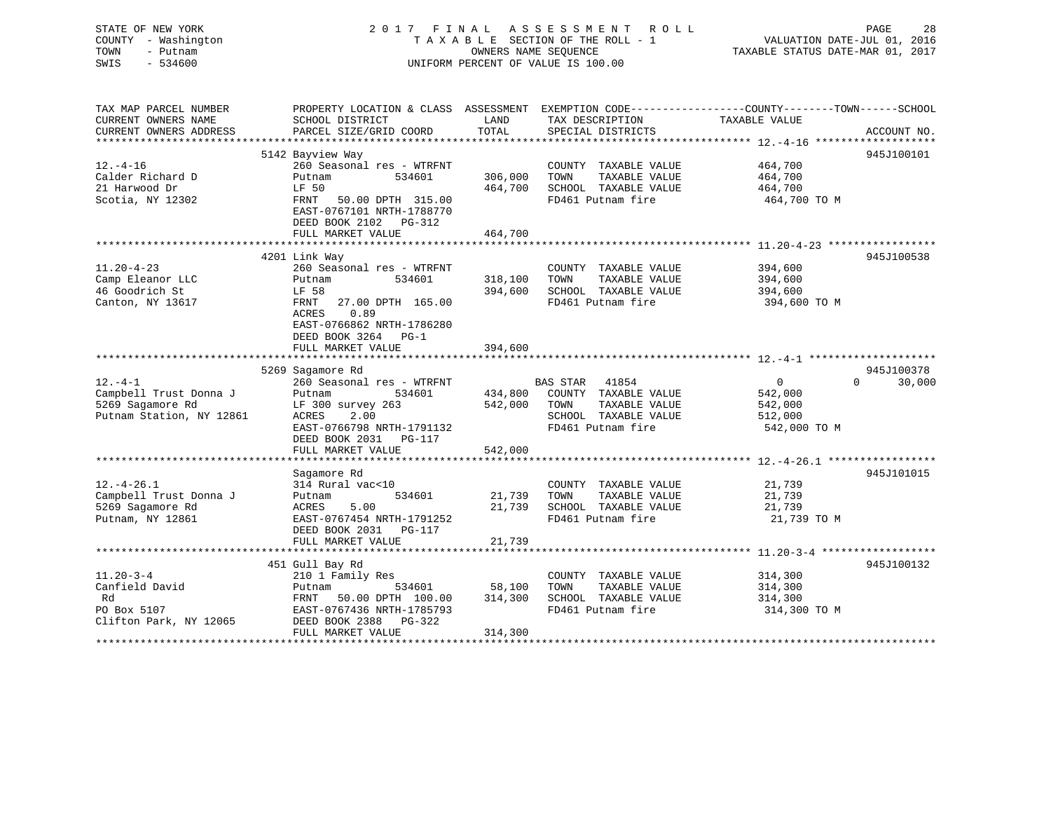STATE OF NEW YORK 2 0 1 7 F I N A L A S S E S S M E N T R O L L PAGE 28 COUNTY - Washington T A X A B L E SECTION OF THE ROLL - 1 VALUATION DATE-JUL 01, 2016 TOWN - Putnam OWNERS NAME SEQUENCE TAXABLE STATUS DATE-MAR 01, 2017 SWIS - 534600 UNIFORM PERCENT OF VALUE IS 100.00

| ACCOUNT NO.<br>945J100101 |
|---------------------------|
|                           |
|                           |
|                           |
|                           |
| 945J100538                |
|                           |
|                           |
| 945J100378                |
| 30,000                    |
|                           |
| 945J101015                |
|                           |
| 945J100132                |
|                           |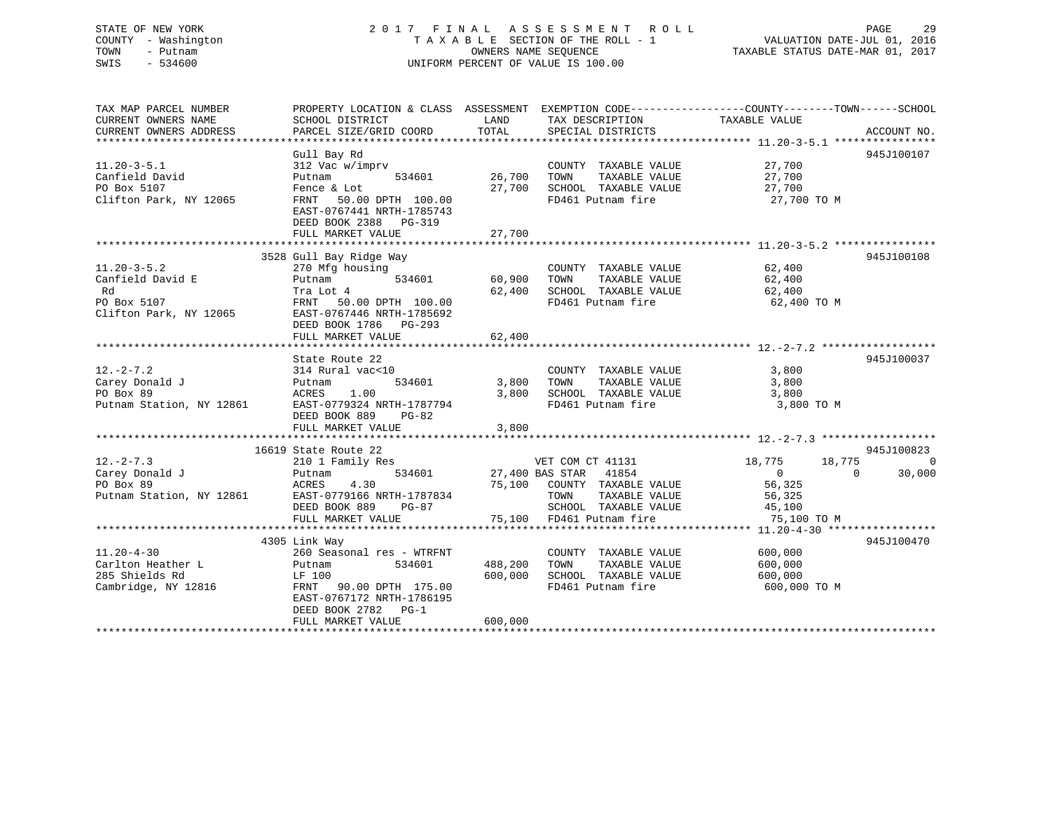#### STATE OF NEW YORK 29 2017 FINAL ASSESSMENT ROLL 2012 PAGE 29 COUNTY - Washington T A X A B L E SECTION OF THE ROLL - 1 TOWN - Putnam OWNERS NAME SEQUENCE TAXABLE STATUS DATE-MAR 01, 2017 SWIS - 534600 UNIFORM PERCENT OF VALUE IS 100.00

| TAX MAP PARCEL NUMBER<br>CURRENT OWNERS NAME<br>CURRENT OWNERS ADDRESS               | SCHOOL DISTRICT<br>PARCEL SIZE/GRID COORD                                                                                                                                   | LAND<br>TOTAL                 | TAX DESCRIPTION TAXABLE VALUE<br>SPECIAL DISTRICTS                                                                                                    | PROPERTY LOCATION & CLASS ASSESSMENT EXEMPTION CODE---------------COUNTY-------TOWN------SCHOOL<br>ACCOUNT NO. |                    |
|--------------------------------------------------------------------------------------|-----------------------------------------------------------------------------------------------------------------------------------------------------------------------------|-------------------------------|-------------------------------------------------------------------------------------------------------------------------------------------------------|----------------------------------------------------------------------------------------------------------------|--------------------|
| $11.20 - 3 - 5.1$<br>Canfield David<br>PO Box 5107<br>Clifton Park, NY 12065         | Gull Bay Rd<br>312 Vac w/imprv<br>534601<br>Putnam<br>Fence & Lot<br>FRNT 50.00 DPTH 100.00<br>EAST-0767441 NRTH-1785743<br>DEED BOOK 2388 PG-319                           | 26,700<br>27,700              | COUNTY TAXABLE VALUE<br>TAXABLE VALUE<br>TOWN<br>SCHOOL TAXABLE VALUE<br>FD461 Putnam fire                                                            | 945J100107<br>27,700<br>27,700<br>27,700<br>27,700 TO M                                                        |                    |
|                                                                                      | FULL MARKET VALUE                                                                                                                                                           | 27,700                        |                                                                                                                                                       |                                                                                                                |                    |
|                                                                                      | 3528 Gull Bay Ridge Way                                                                                                                                                     |                               |                                                                                                                                                       | 945J100108                                                                                                     |                    |
| $11.20 - 3 - 5.2$<br>Canfield David E<br>Rd<br>PO Box 5107<br>Clifton Park, NY 12065 | 270 Mfg housing<br>534601<br>Putnam<br>Tra Lot 4<br>FRNT<br>50.00 DPTH 100.00<br>EAST-0767446 NRTH-1785692<br>DEED BOOK 1786 PG-293                                         | 60,900<br>62,400              | COUNTY TAXABLE VALUE<br>TAXABLE VALUE<br>TOWN<br>SCHOOL TAXABLE VALUE<br>FD461 Putnam fire                                                            | 62,400<br>62,400<br>62,400<br>62,400 TO M                                                                      |                    |
|                                                                                      | FULL MARKET VALUE                                                                                                                                                           | 62,400                        |                                                                                                                                                       |                                                                                                                |                    |
| $12. - 2 - 7.2$<br>Carey Donald J<br>PO Box 89<br>Putnam Station, NY 12861           | State Route 22<br>314 Rural vac<10<br>534601<br>Putnam<br>1.00<br>ACRES<br>EAST-0779324 NRTH-1787794<br>DEED BOOK 889<br>$PG-82$<br>FULL MARKET VALUE                       | 3,800<br>3,800<br>3,800       | COUNTY TAXABLE VALUE<br>TOWN<br>TAXABLE VALUE<br>SCHOOL TAXABLE VALUE<br>FD461 Putnam fire                                                            | 945J100037<br>3,800<br>3,800<br>3,800<br>3,800 TO M                                                            |                    |
|                                                                                      | 16619 State Route 22                                                                                                                                                        |                               |                                                                                                                                                       | 945J100823                                                                                                     |                    |
| $12. - 2 - 7.3$<br>Carey Donald J<br>PO Box 89<br>Putnam Station, NY 12861           | 210 1 Family Res<br>534601<br>Putnam<br>4.30<br>ACRES<br>EAST-0779166 NRTH-1787834<br>DEED BOOK 889<br>PG-87<br>FULL MARKET VALUE                                           |                               | VET COM CT 41131<br>27,400 BAS STAR 41854<br>75,100 COUNTY TAXABLE VALUE<br>TAXABLE VALUE<br>TOWN<br>SCHOOL TAXABLE VALUE<br>75,100 FD461 Putnam fire | 18,775<br>18,775<br>$\overline{0}$<br>$\mathbf{0}$<br>56,325<br>56,325<br>45,100<br>75,100 TO M                | $\Omega$<br>30,000 |
|                                                                                      |                                                                                                                                                                             |                               |                                                                                                                                                       |                                                                                                                |                    |
| $11.20 - 4 - 30$<br>Carlton Heather L<br>285 Shields Rd<br>Cambridge, NY 12816       | 4305 Link Way<br>260 Seasonal res - WTRFNT<br>534601<br>Putnam<br>LF 100<br>FRNT 90.00 DPTH 175.00<br>EAST-0767172 NRTH-1786195<br>DEED BOOK 2782 PG-1<br>FULL MARKET VALUE | 488,200<br>600,000<br>600,000 | COUNTY TAXABLE VALUE<br>TOWN<br>TAXABLE VALUE<br>SCHOOL TAXABLE VALUE<br>FD461 Putnam fire                                                            | 945J100470<br>600,000<br>600,000<br>600,000<br>600,000 TO M                                                    |                    |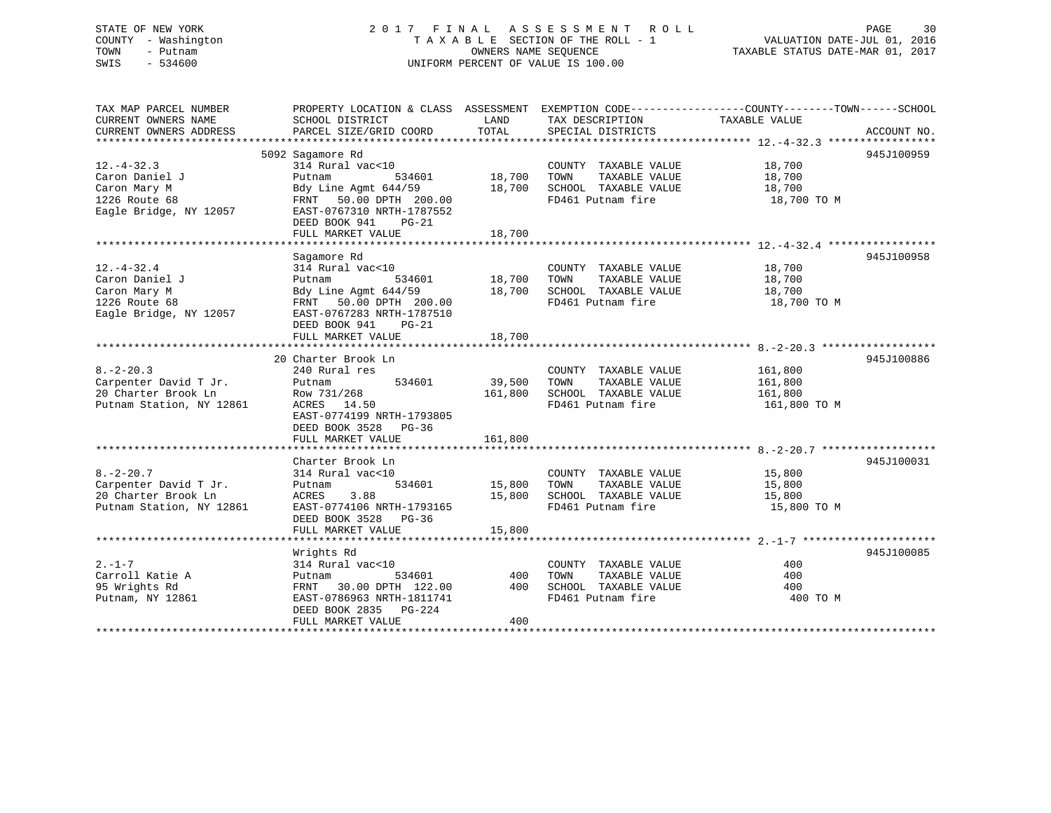# STATE OF NEW YORK 2 0 1 7 F I N A L A S S E S S M E N T R O L L PAGE 30COUNTY - Washington  $T A X A B L E$  SECTION OF THE ROLL - 1<br>TOWN - Putnam data of the COUNTERS NAME SEQUENCE SWIS - 534600 UNIFORM PERCENT OF VALUE IS 100.00

TAXABLE STATUS DATE-MAR 01, 2017

| TAX MAP PARCEL NUMBER<br>CURRENT OWNERS NAME | PROPERTY LOCATION & CLASS ASSESSMENT EXEMPTION CODE----------------COUNTY-------TOWN------SCHOOL<br>SCHOOL DISTRICT | LAND    | TAX DESCRIPTION       | TAXABLE VALUE |             |
|----------------------------------------------|---------------------------------------------------------------------------------------------------------------------|---------|-----------------------|---------------|-------------|
| CURRENT OWNERS ADDRESS                       | PARCEL SIZE/GRID COORD                                                                                              | TOTAL   | SPECIAL DISTRICTS     |               | ACCOUNT NO. |
|                                              |                                                                                                                     |         |                       |               |             |
|                                              | 5092 Sagamore Rd                                                                                                    |         |                       |               | 945J100959  |
| $12. - 4 - 32.3$                             | 314 Rural vac<10                                                                                                    |         | COUNTY TAXABLE VALUE  | 18,700        |             |
| Caron Daniel J                               | 534601<br>Putnam                                                                                                    | 18,700  | TAXABLE VALUE<br>TOWN | 18,700        |             |
| Caron Mary M                                 | Bdy Line Agmt 644/59                                                                                                | 18,700  | SCHOOL TAXABLE VALUE  | 18,700        |             |
| 1226 Route 68                                | FRNT 50.00 DPTH 200.00                                                                                              |         | FD461 Putnam fire     | 18,700 TO M   |             |
| Eagle Bridge, NY 12057                       | EAST-0767310 NRTH-1787552                                                                                           |         |                       |               |             |
|                                              | DEED BOOK 941<br>$PG-21$                                                                                            |         |                       |               |             |
|                                              | FULL MARKET VALUE                                                                                                   | 18,700  |                       |               |             |
|                                              |                                                                                                                     |         |                       |               |             |
|                                              | Sagamore Rd                                                                                                         |         |                       |               | 945J100958  |
| $12. - 4 - 32.4$                             | 314 Rural vac<10                                                                                                    |         | COUNTY TAXABLE VALUE  | 18,700        |             |
| Caron Daniel J                               | 534601<br>Putnam                                                                                                    | 18,700  | TOWN<br>TAXABLE VALUE | 18,700        |             |
| Caron Mary M                                 | Bdy Line Agmt 644/59                                                                                                | 18,700  | SCHOOL TAXABLE VALUE  | 18,700        |             |
| 1226 Route 68                                | FRNT 50.00 DPTH 200.00                                                                                              |         | FD461 Putnam fire     | 18,700 TO M   |             |
| Eagle Bridge, NY 12057                       | EAST-0767283 NRTH-1787510                                                                                           |         |                       |               |             |
|                                              | DEED BOOK 941<br>$PG-21$                                                                                            |         |                       |               |             |
|                                              | FULL MARKET VALUE                                                                                                   | 18,700  |                       |               |             |
|                                              |                                                                                                                     |         |                       |               |             |
|                                              | 20 Charter Brook Ln                                                                                                 |         |                       |               | 945J100886  |
| $8. - 2 - 20.3$                              | 240 Rural res                                                                                                       |         | COUNTY TAXABLE VALUE  | 161,800       |             |
| Carpenter David T Jr.                        | 534601<br>Putnam                                                                                                    | 39,500  | TOWN<br>TAXABLE VALUE | 161,800       |             |
| 20 Charter Brook Ln                          | Row 731/268                                                                                                         | 161,800 | SCHOOL TAXABLE VALUE  | 161,800       |             |
| Putnam Station, NY 12861                     | ACRES 14.50                                                                                                         |         | FD461 Putnam fire     | 161,800 TO M  |             |
|                                              | EAST-0774199 NRTH-1793805                                                                                           |         |                       |               |             |
|                                              | DEED BOOK 3528<br>PG-36                                                                                             |         |                       |               |             |
|                                              | FULL MARKET VALUE                                                                                                   | 161,800 |                       |               |             |
|                                              |                                                                                                                     |         |                       |               |             |
|                                              | Charter Brook Ln                                                                                                    |         |                       |               | 945J100031  |
| $8. - 2 - 20.7$                              | 314 Rural vac<10                                                                                                    |         | COUNTY TAXABLE VALUE  | 15,800        |             |
| Carpenter David T Jr.                        | 534601<br>Putnam                                                                                                    | 15,800  | TOWN<br>TAXABLE VALUE | 15,800        |             |
| 20 Charter Brook Ln                          | 3.88<br>ACRES                                                                                                       | 15,800  | SCHOOL TAXABLE VALUE  | 15,800        |             |
| Putnam Station, NY 12861                     | EAST-0774106 NRTH-1793165                                                                                           |         | FD461 Putnam fire     | 15,800 TO M   |             |
|                                              | DEED BOOK 3528<br>$PG-36$                                                                                           |         |                       |               |             |
|                                              | FULL MARKET VALUE                                                                                                   | 15,800  |                       |               |             |
|                                              |                                                                                                                     |         |                       |               |             |
|                                              | Wrights Rd                                                                                                          |         |                       |               | 945J100085  |
| $2 - 1 - 7$                                  | 314 Rural vac<10                                                                                                    |         | COUNTY TAXABLE VALUE  | 400           |             |
| Carroll Katie A                              | 534601<br>Putnam                                                                                                    | 400     | TOWN<br>TAXABLE VALUE | 400           |             |
| 95 Wrights Rd                                | FRNT 30.00 DPTH 122.00                                                                                              | 400     | SCHOOL TAXABLE VALUE  | 400           |             |
| Putnam, NY 12861                             | EAST-0786963 NRTH-1811741                                                                                           |         | FD461 Putnam fire     | 400 TO M      |             |
|                                              | DEED BOOK 2835 PG-224                                                                                               |         |                       |               |             |
|                                              | FULL MARKET VALUE                                                                                                   | 400     |                       |               |             |
|                                              |                                                                                                                     |         |                       |               |             |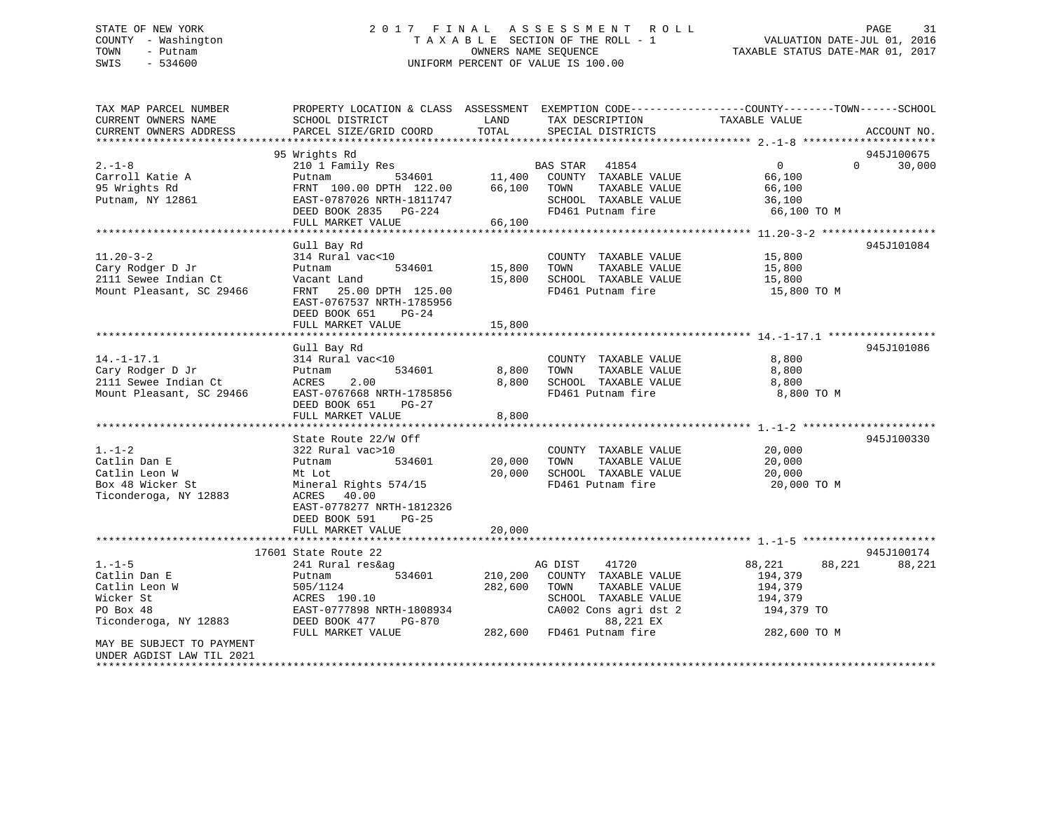### STATE OF NEW YORK 2 0 1 7 F I N A L A S S E S S M E N T R O L L PAGE 31 COUNTY - Washington T A X A B L E SECTION OF THE ROLL - 1 VALUATION DATE-JUL 01, 2016 TOWN - Putnam OWNERS NAME SEQUENCE TAXABLE STATUS DATE-MAR 01, 2017 SWIS - 534600 UNIFORM PERCENT OF VALUE IS 100.00

| TAX MAP PARCEL NUMBER<br>CURRENT OWNERS NAME<br>CURRENT OWNERS ADDRESS | PROPERTY LOCATION & CLASS ASSESSMENT<br>SCHOOL DISTRICT<br>PARCEL SIZE/GRID COORD | LAND<br>TOTAL | EXEMPTION CODE-----------------COUNTY-------TOWN------SCHOOL<br>TAX DESCRIPTION<br>SPECIAL DISTRICTS | TAXABLE VALUE              | ACCOUNT NO. |
|------------------------------------------------------------------------|-----------------------------------------------------------------------------------|---------------|------------------------------------------------------------------------------------------------------|----------------------------|-------------|
| *************************                                              |                                                                                   |               |                                                                                                      |                            |             |
|                                                                        | 95 Wrights Rd                                                                     |               |                                                                                                      |                            | 945J100675  |
| $2. - 1 - 8$                                                           | 210 1 Family Res                                                                  |               | BAS STAR 41854                                                                                       | $\overline{0}$<br>$\Omega$ | 30,000      |
| Carroll Katie A                                                        | Putnam                                                                            | 534601 11,400 | COUNTY TAXABLE VALUE                                                                                 | 66,100                     |             |
| 95 Wrights Rd<br>Putnam, NY 12861                                      | FRNT 100.00 DPTH 122.00<br>EAST-0787026 NRTH-1811747                              | 66,100        | TOWN<br>TAXABLE VALUE<br>SCHOOL TAXABLE VALUE                                                        | 66,100<br>36,100           |             |
|                                                                        | DEED BOOK 2835 PG-224                                                             |               | FD461 Putnam fire                                                                                    | 66,100 TO M                |             |
|                                                                        | FULL MARKET VALUE                                                                 | 66,100        |                                                                                                      |                            |             |
|                                                                        |                                                                                   |               |                                                                                                      |                            |             |
|                                                                        | Gull Bay Rd                                                                       |               |                                                                                                      |                            | 945J101084  |
| $11.20 - 3 - 2$                                                        | 314 Rural vac<10                                                                  |               | COUNTY TAXABLE VALUE                                                                                 | 15,800                     |             |
| Cary Rodger D Jr                                                       | 534601<br>Putnam                                                                  | 15,800        | TOWN<br>TAXABLE VALUE                                                                                | 15,800                     |             |
| 2111 Sewee Indian Ct                                                   | Vacant Land                                                                       | 15,800        | SCHOOL TAXABLE VALUE                                                                                 | 15,800                     |             |
| Mount Pleasant, SC 29466                                               | FRNT 25.00 DPTH 125.00                                                            |               | FD461 Putnam fire                                                                                    | 15,800 TO M                |             |
|                                                                        | EAST-0767537 NRTH-1785956                                                         |               |                                                                                                      |                            |             |
|                                                                        | DEED BOOK 651<br>$PG-24$                                                          |               |                                                                                                      |                            |             |
|                                                                        | FULL MARKET VALUE                                                                 | 15,800        |                                                                                                      |                            |             |
|                                                                        |                                                                                   |               |                                                                                                      |                            |             |
|                                                                        | Gull Bay Rd                                                                       |               |                                                                                                      |                            | 945J101086  |
| $14. - 1 - 17.1$                                                       | 314 Rural vac<10                                                                  |               | COUNTY TAXABLE VALUE                                                                                 | 8,800                      |             |
| Cary Rodger D Jr                                                       | Putnam<br>534601                                                                  | 8,800         | TOWN<br>TAXABLE VALUE                                                                                | 8,800                      |             |
| 2111 Sewee Indian Ct                                                   | ACRES<br>2.00                                                                     | 8,800         | SCHOOL TAXABLE VALUE                                                                                 | 8,800                      |             |
| Mount Pleasant, SC 29466                                               | EAST-0767668 NRTH-1785856                                                         |               | FD461 Putnam fire                                                                                    | 8,800 TO M                 |             |
|                                                                        | DEED BOOK 651<br>PG-27                                                            |               |                                                                                                      |                            |             |
|                                                                        | FULL MARKET VALUE                                                                 | 8,800         |                                                                                                      |                            |             |
|                                                                        | *********************                                                             | ***********   |                                                                                                      |                            |             |
|                                                                        | State Route 22/W Off                                                              |               |                                                                                                      |                            | 945J100330  |
| $1. - 1 - 2$                                                           | 322 Rural vac>10                                                                  |               | COUNTY TAXABLE VALUE                                                                                 | 20,000                     |             |
| Catlin Dan E                                                           | Putnam<br>534601                                                                  | 20,000        | TAXABLE VALUE<br>TOWN                                                                                | 20,000                     |             |
| Catlin Leon W                                                          | Mt Lot                                                                            | 20,000        | SCHOOL TAXABLE VALUE                                                                                 | 20,000                     |             |
| Box 48 Wicker St                                                       | Mineral Rights 574/15                                                             |               | FD461 Putnam fire                                                                                    | 20,000 TO M                |             |
| Ticonderoga, NY 12883                                                  | ACRES<br>40.00                                                                    |               |                                                                                                      |                            |             |
|                                                                        | EAST-0778277 NRTH-1812326                                                         |               |                                                                                                      |                            |             |
|                                                                        | DEED BOOK 591<br>PG-25                                                            |               |                                                                                                      |                            |             |
|                                                                        | FULL MARKET VALUE                                                                 | 20,000        |                                                                                                      |                            |             |
|                                                                        |                                                                                   |               |                                                                                                      |                            |             |
|                                                                        | 17601 State Route 22                                                              |               |                                                                                                      |                            | 945J100174  |
| $1. - 1 - 5$                                                           | 241 Rural res&ag                                                                  |               | AG DIST<br>41720                                                                                     | 88,221<br>88,221           | 88,221      |
| Catlin Dan E                                                           | Putnam<br>534601                                                                  | 210,200       | COUNTY TAXABLE VALUE                                                                                 | 194,379                    |             |
| Catlin Leon W                                                          | 505/1124                                                                          | 282,600       | TOWN<br>TAXABLE VALUE                                                                                | 194,379                    |             |
| Wicker St                                                              | ACRES 190.10                                                                      |               | SCHOOL TAXABLE VALUE                                                                                 | 194,379                    |             |
| PO Box 48                                                              | EAST-0777898 NRTH-1808934                                                         |               | CA002 Cons agri dst 2                                                                                | 194,379 TO                 |             |
| Ticonderoga, NY 12883                                                  | DEED BOOK 477<br>PG-870                                                           |               | 88,221 EX                                                                                            |                            |             |
|                                                                        | FULL MARKET VALUE                                                                 | 282,600       | FD461 Putnam fire                                                                                    | 282,600 TO M               |             |
| MAY BE SUBJECT TO PAYMENT<br>UNDER AGDIST LAW TIL 2021                 |                                                                                   |               |                                                                                                      |                            |             |
|                                                                        |                                                                                   |               |                                                                                                      |                            |             |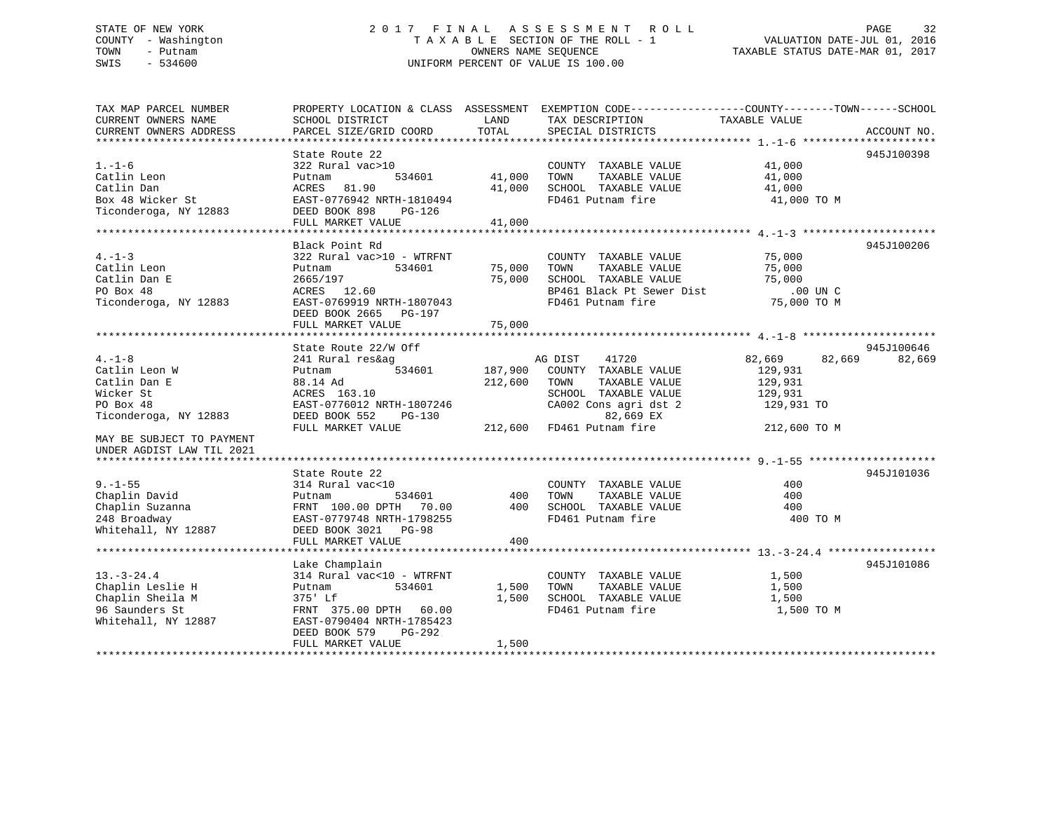#### STATE OF NEW YORK 2017 FINAL ASSESSMENT ROLL PAGE 32 COUNTY - Washington T A X A B L E SECTION OF THE ROLL - 1 TOWN - Putnam OWNERS NAME SEQUENCE TAXABLE STATUS DATE-MAR 01, 2017 SWIS - 534600 UNIFORM PERCENT OF VALUE IS 100.00

| TAX MAP PARCEL NUMBER<br>CURRENT OWNERS NAME<br>CURRENT OWNERS ADDRESS            | SCHOOL DISTRICT<br>PARCEL SIZE/GRID COORD                                                             | LAND<br>TOTAL    | PROPERTY LOCATION & CLASS ASSESSMENT EXEMPTION CODE----------------COUNTY-------TOWN------SCHOOL<br>TAX DESCRIPTION<br>SPECIAL DISTRICTS | TAXABLE VALUE                                           | ACCOUNT NO. |
|-----------------------------------------------------------------------------------|-------------------------------------------------------------------------------------------------------|------------------|------------------------------------------------------------------------------------------------------------------------------------------|---------------------------------------------------------|-------------|
|                                                                                   |                                                                                                       |                  |                                                                                                                                          |                                                         |             |
| $1. - 1 - 6$<br>Catlin Leon                                                       | State Route 22<br>322 Rural vac>10<br>534601<br>Putnam                                                | 41,000           | COUNTY TAXABLE VALUE<br>TAXABLE VALUE<br>TOWN                                                                                            | 41,000<br>41,000                                        | 945J100398  |
| Catlin Dan<br>Box 48 Wicker St<br>Ticonderoga, NY 12883                           | 81.90<br>ACRES<br>EAST-0776942 NRTH-1810494<br>DEED BOOK 898<br>PG-126                                | 41,000           | SCHOOL TAXABLE VALUE<br>FD461 Putnam fire                                                                                                | 41,000<br>41,000 TO M                                   |             |
|                                                                                   | FULL MARKET VALUE                                                                                     | 41,000           |                                                                                                                                          |                                                         |             |
|                                                                                   |                                                                                                       |                  |                                                                                                                                          |                                                         |             |
|                                                                                   | Black Point Rd                                                                                        |                  |                                                                                                                                          |                                                         | 945J100206  |
| $4. - 1 - 3$<br>Catlin Leon<br>Catlin Dan E<br>PO Box 48<br>Ticonderoga, NY 12883 | 322 Rural vac>10 - WTRFNT<br>534601<br>Putnam<br>2665/197<br>ACRES 12.60<br>EAST-0769919 NRTH-1807043 | 75,000<br>75,000 | COUNTY TAXABLE VALUE<br>TOWN<br>TAXABLE VALUE<br>SCHOOL TAXABLE VALUE<br>BP461 Black Pt Sewer Dist<br>FD461 Putnam fire                  | 75,000<br>75,000<br>75,000<br>$.00$ UN C<br>75,000 TO M |             |
|                                                                                   | DEED BOOK 2665 PG-197<br>FULL MARKET VALUE                                                            | 75,000           |                                                                                                                                          |                                                         |             |
|                                                                                   |                                                                                                       |                  |                                                                                                                                          |                                                         |             |
|                                                                                   | State Route 22/W Off                                                                                  |                  |                                                                                                                                          |                                                         | 945J100646  |
| $4 - 1 - 8$                                                                       | 241 Rural res&ag                                                                                      |                  | AG DIST<br>41720                                                                                                                         | 82,669<br>82,669                                        | 82,669      |
| Catlin Leon W                                                                     | 534601<br>Putnam                                                                                      | 187,900          | COUNTY TAXABLE VALUE                                                                                                                     | 129,931                                                 |             |
| Catlin Dan E                                                                      | 88.14 Ad                                                                                              | 212,600          | TOWN<br>TAXABLE VALUE                                                                                                                    | 129,931                                                 |             |
| Wicker St                                                                         | ACRES 163.10                                                                                          |                  | SCHOOL TAXABLE VALUE                                                                                                                     | 129,931                                                 |             |
| PO Box 48                                                                         | EAST-0776012 NRTH-1807246                                                                             |                  | CA002 Cons agri dst 2                                                                                                                    | 129,931 TO                                              |             |
| Ticonderoga, NY 12883                                                             | DEED BOOK 552<br><b>PG-130</b><br>FULL MARKET VALUE                                                   | 212,600          | 82,669 EX<br>FD461 Putnam fire                                                                                                           | 212,600 TO M                                            |             |
| MAY BE SUBJECT TO PAYMENT                                                         |                                                                                                       |                  |                                                                                                                                          |                                                         |             |
| UNDER AGDIST LAW TIL 2021                                                         |                                                                                                       |                  |                                                                                                                                          |                                                         |             |
|                                                                                   |                                                                                                       |                  |                                                                                                                                          |                                                         |             |
|                                                                                   | State Route 22                                                                                        |                  |                                                                                                                                          |                                                         | 945J101036  |
| $9. - 1 - 55$                                                                     | 314 Rural vac<10                                                                                      |                  | COUNTY TAXABLE VALUE                                                                                                                     | 400                                                     |             |
| Chaplin David                                                                     | 534601<br>Putnam                                                                                      | 400              | TOWN<br>TAXABLE VALUE                                                                                                                    | 400                                                     |             |
| Chaplin Suzanna                                                                   | FRNT 100.00 DPTH<br>70.00                                                                             | 400              | SCHOOL TAXABLE VALUE                                                                                                                     | 400                                                     |             |
| 248 Broadway                                                                      | EAST-0779748 NRTH-1798255                                                                             |                  | FD461 Putnam fire                                                                                                                        | 400 TO M                                                |             |
| Whitehall, NY 12887                                                               | DEED BOOK 3021 PG-98<br>FULL MARKET VALUE                                                             | 400              |                                                                                                                                          |                                                         |             |
|                                                                                   |                                                                                                       |                  |                                                                                                                                          |                                                         |             |
|                                                                                   | Lake Champlain                                                                                        |                  |                                                                                                                                          |                                                         | 945J101086  |
| $13. - 3 - 24.4$                                                                  | 314 Rural vac<10 - WTRFNT                                                                             |                  | COUNTY TAXABLE VALUE                                                                                                                     | 1,500                                                   |             |
| Chaplin Leslie H                                                                  | 534601<br>Putnam                                                                                      | 1,500            | TOWN<br>TAXABLE VALUE                                                                                                                    | 1,500                                                   |             |
| Chaplin Sheila M                                                                  | 375' Lf                                                                                               | 1,500            | SCHOOL TAXABLE VALUE                                                                                                                     | 1,500                                                   |             |
| 96 Saunders St                                                                    | FRNT 375.00 DPTH 60.00                                                                                |                  | FD461 Putnam fire                                                                                                                        | 1,500 TO M                                              |             |
| Whitehall, NY 12887                                                               | EAST-0790404 NRTH-1785423<br>DEED BOOK 579<br>$PG-292$                                                |                  |                                                                                                                                          |                                                         |             |
|                                                                                   | FULL MARKET VALUE                                                                                     | 1,500            |                                                                                                                                          |                                                         |             |
|                                                                                   |                                                                                                       |                  |                                                                                                                                          |                                                         |             |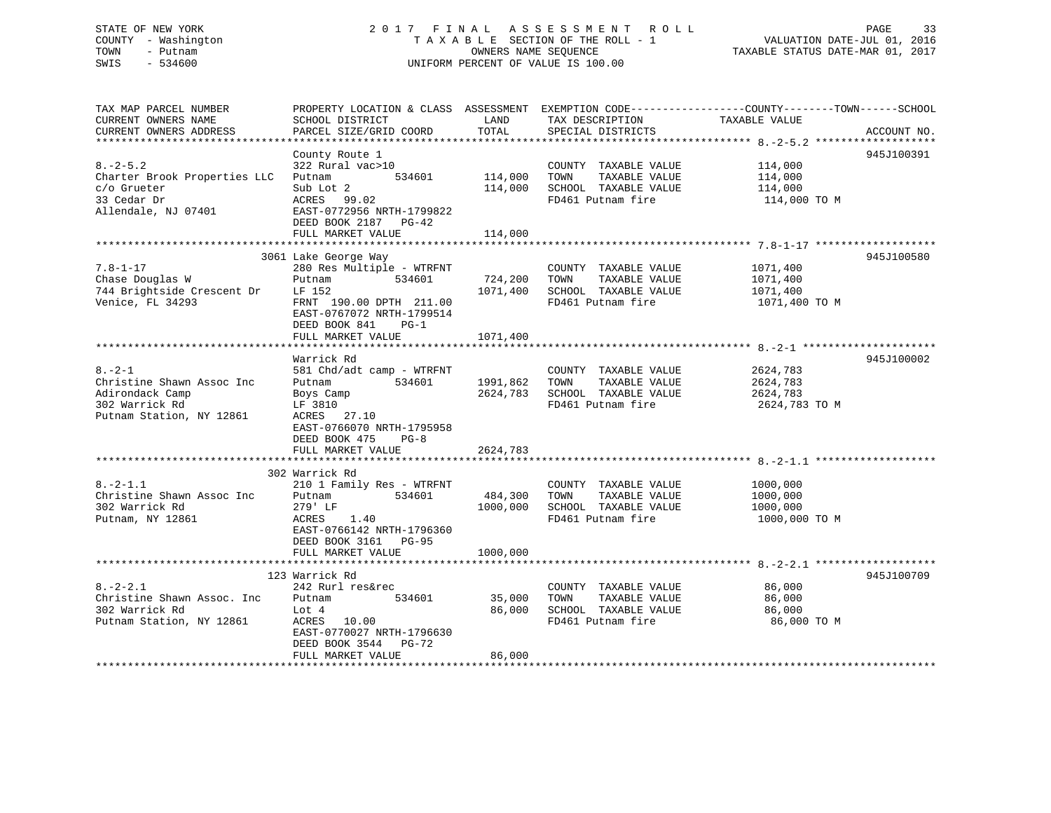### STATE OF NEW YORK 2 0 1 7 F I N A L A S S E S S M E N T R O L L PAGE 33 COUNTY - Washington T A X A B L E SECTION OF THE ROLL - 1 VALUATION DATE-JUL 01, 2016 TOWN - Putnam OWNERS NAME SEQUENCE TAXABLE STATUS DATE-MAR 01, 2017 SWIS - 534600 UNIFORM PERCENT OF VALUE IS 100.00

| TAX MAP PARCEL NUMBER<br>CURRENT OWNERS NAME<br>CURRENT OWNERS ADDRESS                                                    | SCHOOL DISTRICT<br>PARCEL SIZE/GRID COORD                                                                                                                                               | LAND<br>TOTAL                    | TAX DESCRIPTION<br>SPECIAL DISTRICTS                                                       | PROPERTY LOCATION & CLASS ASSESSMENT EXEMPTION CODE----------------COUNTY-------TOWN------SCHOOL<br>TAXABLE VALUE<br>ACCOUNT NO. |  |
|---------------------------------------------------------------------------------------------------------------------------|-----------------------------------------------------------------------------------------------------------------------------------------------------------------------------------------|----------------------------------|--------------------------------------------------------------------------------------------|----------------------------------------------------------------------------------------------------------------------------------|--|
| $8. -2 - 5.2$<br>Charter Brook Properties LLC<br>c/o Grueter<br>33 Cedar Dr<br>Allendale, NJ 07401                        | County Route 1<br>322 Rural vac>10<br>534601<br>Putnam<br>Sub Lot 2<br>ACRES 99.02<br>EAST-0772956 NRTH-1799822<br>DEED BOOK 2187 PG-42<br>FULL MARKET VALUE                            | 114,000<br>114,000<br>114,000    | COUNTY TAXABLE VALUE<br>TOWN<br>TAXABLE VALUE<br>SCHOOL TAXABLE VALUE<br>FD461 Putnam fire | 945J100391<br>114,000<br>114,000<br>114,000<br>114,000 TO M                                                                      |  |
| $7.8 - 1 - 17$<br>Chase Douglas W<br>744 Brightside Crescent Dr<br>Venice, FL 34293                                       | 3061 Lake George Way<br>280 Res Multiple - WTRFNT<br>534601<br>Putnam<br>LF 152<br>FRNT 190.00 DPTH 211.00<br>EAST-0767072 NRTH-1799514<br>DEED BOOK 841<br>$PG-1$<br>FULL MARKET VALUE | 724,200<br>1071,400<br>1071,400  | COUNTY TAXABLE VALUE<br>TOWN<br>TAXABLE VALUE<br>SCHOOL TAXABLE VALUE<br>FD461 Putnam fire | 945J100580<br>1071,400<br>1071,400<br>1071,400<br>1071,400 TO M                                                                  |  |
| $8. - 2 - 1$<br>Christine Shawn Assoc Inc<br>Adirondack Camp<br>302 Warrick Rd<br>Putnam Station, NY 12861                | Warrick Rd<br>581 Chd/adt camp - WTRFNT<br>Putnam<br>534601<br>Boys Camp<br>LF 3810<br>ACRES 27.10<br>EAST-0766070 NRTH-1795958<br>DEED BOOK 475<br>$PG-8$<br>FULL MARKET VALUE         | 1991,862<br>2624,783<br>2624,783 | COUNTY TAXABLE VALUE<br>TAXABLE VALUE<br>TOWN<br>SCHOOL TAXABLE VALUE<br>FD461 Putnam fire | 945J100002<br>2624,783<br>2624,783<br>2624,783<br>2624,783 TO M                                                                  |  |
| $8. -2 - 1.1$<br>Christine Shawn Assoc Inc<br>302 Warrick Rd<br>Putnam, NY 12861                                          | 302 Warrick Rd<br>210 1 Family Res - WTRFNT<br>534601<br>Putnam<br>279' LF<br>ACRES<br>1.40<br>EAST-0766142 NRTH-1796360<br>DEED BOOK 3161 PG-95<br>FULL MARKET VALUE                   | 484,300<br>1000,000<br>1000,000  | COUNTY TAXABLE VALUE<br>TOWN<br>TAXABLE VALUE<br>SCHOOL TAXABLE VALUE<br>FD461 Putnam fire | 1000,000<br>1000,000<br>1000,000<br>1000,000 TO M                                                                                |  |
| $8. - 2 - 2.1$<br>Christine Shawn Assoc. Inc.<br>302 Warrick Rd<br>Putnam Station, NY 12861<br>************************** | 123 Warrick Rd<br>242 Rurl res&rec<br>Putnam<br>534601<br>Lot 4<br>10.00<br>ACRES<br>EAST-0770027 NRTH-1796630<br>DEED BOOK 3544<br>$PG-72$<br>FULL MARKET VALUE                        | 35,000<br>86,000<br>86,000       | COUNTY TAXABLE VALUE<br>TOWN<br>TAXABLE VALUE<br>SCHOOL TAXABLE VALUE<br>FD461 Putnam fire | 945J100709<br>86,000<br>86,000<br>86,000<br>86,000 TO M                                                                          |  |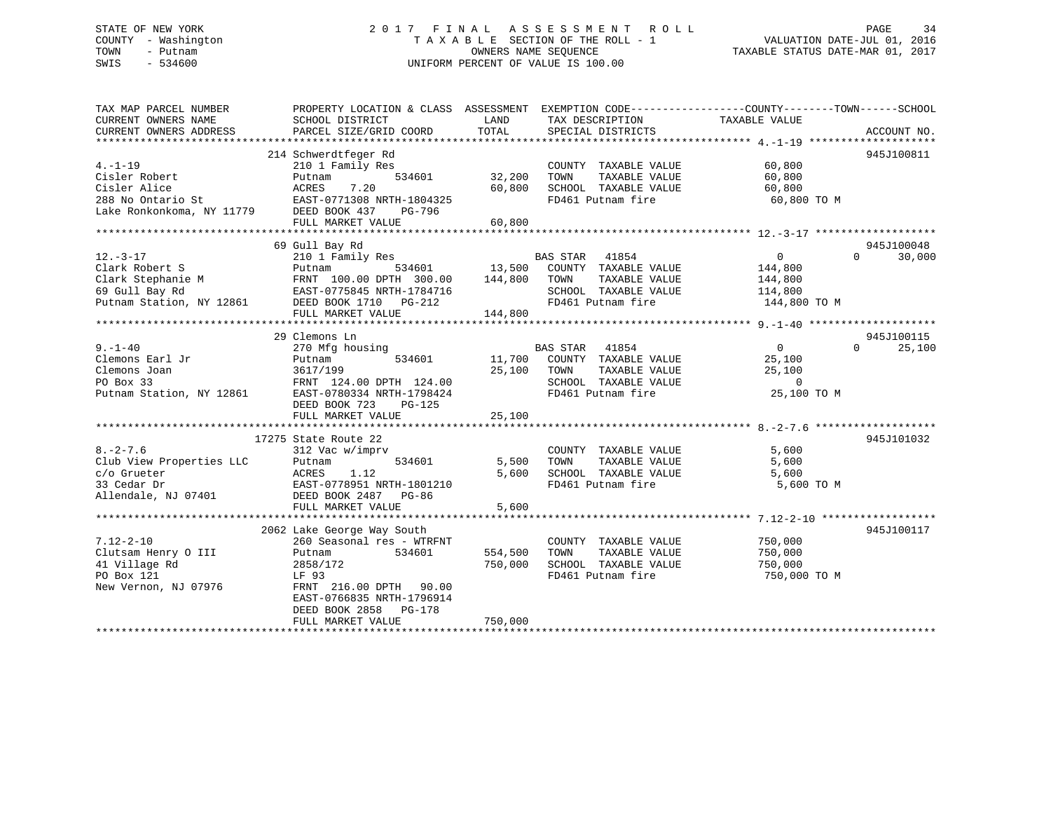### STATE OF NEW YORK 2 0 1 7 F I N A L A S S E S S M E N T R O L L PAGE 34 COUNTY - Washington T A X A B L E SECTION OF THE ROLL - 1 VALUATION DATE-JUL 01, 2016 TOWN - Putnam OWNERS NAME SEQUENCE TAXABLE STATUS DATE-MAR 01, 2017 SWIS - 534600 UNIFORM PERCENT OF VALUE IS 100.00

| TAX MAP PARCEL NUMBER<br>CURRENT OWNERS NAME<br>CURRENT OWNERS ADDRESS | PROPERTY LOCATION & CLASS ASSESSMENT<br>SCHOOL DISTRICT<br>PARCEL SIZE/GRID COORD                                    | LAND<br>TOTAL | TAX DESCRIPTION<br>SPECIAL DISTRICTS | EXEMPTION CODE-----------------COUNTY-------TOWN------SCHOOL<br>TAXABLE VALUE | ACCOUNT NO.        |
|------------------------------------------------------------------------|----------------------------------------------------------------------------------------------------------------------|---------------|--------------------------------------|-------------------------------------------------------------------------------|--------------------|
|                                                                        |                                                                                                                      |               |                                      |                                                                               |                    |
|                                                                        | 214 Schwerdtfeger Rd                                                                                                 |               |                                      |                                                                               | 945J100811         |
| $4. - 1 - 19$                                                          | 210 1 Family Res                                                                                                     |               | COUNTY TAXABLE VALUE                 | 60,800                                                                        |                    |
| Cisler Robert                                                          | 534601<br>Putnam                                                                                                     | 32,200        | TAXABLE VALUE<br>TOWN                | 60,800                                                                        |                    |
| Cisler Alice                                                           | 7.20<br>ACRES                                                                                                        | 60,800        | SCHOOL TAXABLE VALUE                 | 60,800                                                                        |                    |
| 288 No Ontario St                                                      | EAST-0771308 NRTH-1804325                                                                                            |               | FD461 Putnam fire                    | 60,800 TO M                                                                   |                    |
| Lake Ronkonkoma, NY 11779 DEED BOOK 437                                | PG-796                                                                                                               |               |                                      |                                                                               |                    |
|                                                                        | FULL MARKET VALUE                                                                                                    | 60,800        |                                      |                                                                               |                    |
|                                                                        |                                                                                                                      |               |                                      |                                                                               |                    |
|                                                                        | 69 Gull Bay Rd                                                                                                       |               |                                      |                                                                               | 945J100048         |
| $12. - 3 - 17$                                                         | 210 1 Family Res                                                                                                     |               | BAS STAR<br>41854                    | $\overline{0}$                                                                | 30,000<br>$\Omega$ |
| Clark Robert S                                                         | 534601<br>Putnam                                                                                                     | 13,500        | COUNTY TAXABLE VALUE                 | 144,800                                                                       |                    |
|                                                                        |                                                                                                                      | 144,800       | TOWN<br>TAXABLE VALUE                | 144,800                                                                       |                    |
|                                                                        | Clark Stephanie M<br>Clark Stephanie M<br>SAST-0775845 NRTH-1784716<br>EAST-0775845 NRTH-1784716<br>CAST 1710 DC-212 |               | SCHOOL TAXABLE VALUE                 | 114,800                                                                       |                    |
| Putnam Station, NY 12861                                               | DEED BOOK 1710 PG-212                                                                                                |               | FD461 Putnam fire                    | 144,800 TO M                                                                  |                    |
|                                                                        | FULL MARKET VALUE                                                                                                    | 144,800       |                                      |                                                                               |                    |
|                                                                        |                                                                                                                      |               |                                      |                                                                               |                    |
|                                                                        | 29 Clemons Ln                                                                                                        |               |                                      |                                                                               | 945J100115         |
| $9. - 1 - 40$                                                          | 270 Mfg housing                                                                                                      |               | BAS STAR<br>41854                    | $\overline{0}$                                                                | $\Omega$<br>25,100 |
| Clemons Earl Jr                                                        | 534601<br>Putnam                                                                                                     | 11,700        | COUNTY TAXABLE VALUE                 | 25,100                                                                        |                    |
| Clemons Joan                                                           | 3617/199                                                                                                             | 25,100        | TAXABLE VALUE<br>TOWN                | 25,100                                                                        |                    |
| PO Box 33                                                              | FRNT 124.00 DPTH 124.00                                                                                              |               | SCHOOL TAXABLE VALUE                 | $\mathbf 0$                                                                   |                    |
| Putnam Station, NY 12861                                               | EAST-0780334 NRTH-1798424                                                                                            |               | FD461 Putnam fire                    | 25,100 TO M                                                                   |                    |
|                                                                        | DEED BOOK 723<br>PG-125                                                                                              |               |                                      |                                                                               |                    |
|                                                                        | FULL MARKET VALUE                                                                                                    | 25,100        |                                      |                                                                               |                    |
|                                                                        |                                                                                                                      |               |                                      |                                                                               |                    |
|                                                                        | 17275 State Route 22                                                                                                 |               |                                      |                                                                               | 945J101032         |
| $8. - 2 - 7.6$                                                         | 312 Vac w/imprv                                                                                                      |               | COUNTY TAXABLE VALUE                 | 5,600                                                                         |                    |
| Club View Properties LLC                                               | 534601<br>Putnam                                                                                                     | 5,500         | TOWN<br>TAXABLE VALUE                | 5,600                                                                         |                    |
| c/o Grueter                                                            | 1.12<br>ACRES                                                                                                        | 5,600         | SCHOOL TAXABLE VALUE                 | 5,600                                                                         |                    |
| 33 Cedar Dr                                                            | EAST-0778951 NRTH-1801210                                                                                            |               | FD461 Putnam fire                    | 5,600 TO M                                                                    |                    |
| Allendale, NJ 07401                                                    | DEED BOOK 2487 PG-86                                                                                                 |               |                                      |                                                                               |                    |
|                                                                        | FULL MARKET VALUE                                                                                                    | 5,600         |                                      |                                                                               |                    |
|                                                                        |                                                                                                                      |               |                                      |                                                                               |                    |
|                                                                        | 2062 Lake George Way South                                                                                           |               |                                      |                                                                               | 945J100117         |
| $7.12 - 2 - 10$                                                        | 260 Seasonal res - WTRFNT                                                                                            |               | COUNTY TAXABLE VALUE                 | 750,000                                                                       |                    |
| Clutsam Henry O III                                                    | 534601<br>Putnam                                                                                                     | 554,500       | TOWN<br>TAXABLE VALUE                | 750,000                                                                       |                    |
| 41 Village Rd                                                          | 2858/172                                                                                                             | 750,000       | SCHOOL TAXABLE VALUE                 | 750,000                                                                       |                    |
| PO Box 121                                                             | LF 93                                                                                                                |               | FD461 Putnam fire                    | 750,000 TO M                                                                  |                    |
| New Vernon, NJ 07976                                                   | FRNT 216.00 DPTH 90.00                                                                                               |               |                                      |                                                                               |                    |
|                                                                        | EAST-0766835 NRTH-1796914                                                                                            |               |                                      |                                                                               |                    |
|                                                                        | DEED BOOK 2858<br>PG-178                                                                                             |               |                                      |                                                                               |                    |
|                                                                        | FULL MARKET VALUE                                                                                                    | 750,000       |                                      |                                                                               |                    |
|                                                                        |                                                                                                                      |               |                                      |                                                                               |                    |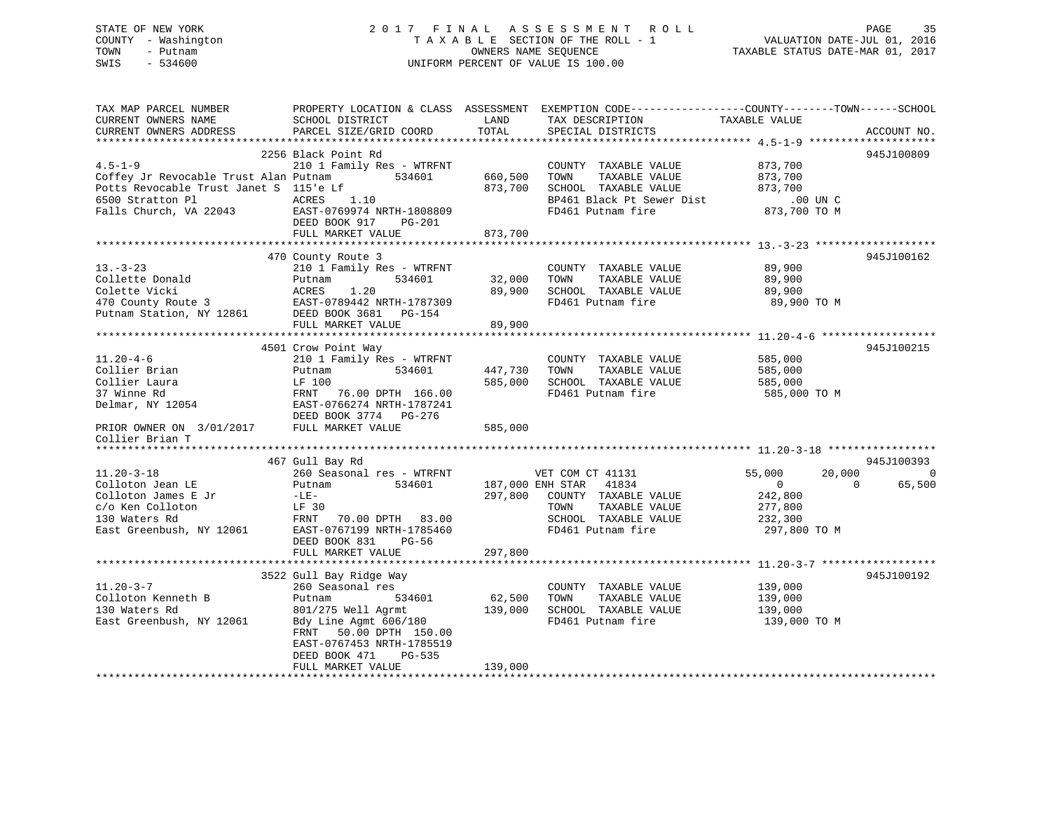|      | STATE OF NEW YORK   | 2017 FINAL ASSESSMENT ROLL                                     | PAGE | 35 |
|------|---------------------|----------------------------------------------------------------|------|----|
|      | COUNTY - Washington | VALUATION DATE-JUL 01, 2016<br>TAXABLE SECTION OF THE ROLL - 1 |      |    |
| TOWN | - Putnam            | TAXABLE STATUS DATE-MAR 01, 2017<br>OWNERS NAME SEOUENCE       |      |    |
| SWIS | - 534600            | UNIFORM PERCENT OF VALUE IS 100.00                             |      |    |
|      |                     |                                                                |      |    |
|      |                     |                                                                |      |    |

| TAX MAP PARCEL NUMBER<br>CURRENT OWNERS NAME                  | SCHOOL DISTRICT                                        | LAND    | PROPERTY LOCATION & CLASS ASSESSMENT EXEMPTION CODE---------------COUNTY-------TOWN------SCHOOL<br>TAX DESCRIPTION | TAXABLE VALUE                                  |                |
|---------------------------------------------------------------|--------------------------------------------------------|---------|--------------------------------------------------------------------------------------------------------------------|------------------------------------------------|----------------|
| CURRENT OWNERS ADDRESS                                        | PARCEL SIZE/GRID COORD                                 | TOTAL   | SPECIAL DISTRICTS                                                                                                  |                                                | ACCOUNT NO.    |
|                                                               |                                                        |         |                                                                                                                    |                                                |                |
| $4.5 - 1 - 9$<br>Coffey Jr Revocable Trust Alan Putnam 534601 | 2256 Black Point Rd<br>210 1 Family Res - WTRFNT       | 660,500 | COUNTY TAXABLE VALUE<br>TOWN<br>TAXABLE VALUE                                                                      | 873,700<br>873,700                             | 945J100809     |
| Potts Revocable Trust Janet S 115'e Lf                        |                                                        | 873,700 | SCHOOL TAXABLE VALUE                                                                                               | 873,700                                        |                |
| 6500 Stratton Pl<br>ACRES                                     | 1.10                                                   |         | BP461 Black Pt Sewer Dist                                                                                          | $.00$ UN C                                     |                |
| Falls Church, VA 22043 EAST-0769974 NRTH-1808809              | DEED BOOK 917 PG-201                                   |         | FD461 Putnam fire                                                                                                  | 873,700 TO M                                   |                |
|                                                               | FULL MARKET VALUE                                      | 873,700 |                                                                                                                    |                                                |                |
|                                                               | 470 County Route 3                                     |         |                                                                                                                    |                                                | 945J100162     |
| $13 - 3 - 23$                                                 | 210 1 Family Res - WTRFNT                              |         | COUNTY TAXABLE VALUE                                                                                               | 89,900                                         |                |
| Collette Donald                                               | 534601<br>Putnam                                       | 32,000  | TOWN<br>TAXABLE VALUE                                                                                              | 89,900                                         |                |
| Colette Vicki                                                 | ACRES<br>1.20                                          | 89,900  | SCHOOL TAXABLE VALUE                                                                                               | 89,900                                         |                |
|                                                               | EAST-0789442 NRTH-1787309                              |         | FD461 Putnam fire                                                                                                  | 89,900 TO M                                    |                |
|                                                               |                                                        |         |                                                                                                                    |                                                |                |
|                                                               | FULL MARKET VALUE                                      | 89,900  |                                                                                                                    |                                                |                |
|                                                               |                                                        |         |                                                                                                                    |                                                |                |
|                                                               | 4501 Crow Point Way                                    |         |                                                                                                                    |                                                | 945J100215     |
| $11.20 - 4 - 6$                                               | 210 1 Family Res - WTRFNT                              |         | COUNTY TAXABLE VALUE                                                                                               | 585,000                                        |                |
| Collier Brian                                                 | 534601<br>Putnam                                       | 447,730 | TAXABLE VALUE<br>TOWN                                                                                              | 585,000                                        |                |
| Collier Laura                                                 | LF 100                                                 | 585,000 | SCHOOL TAXABLE VALUE                                                                                               | 585,000                                        |                |
| 37 Winne Rd                                                   | FRNT<br>76.00 DPTH 166.00                              |         | FD461 Putnam fire                                                                                                  | 585,000 TO M                                   |                |
| Delmar, NY 12054 EAST-0766274 NRTH-1787241                    | DEED BOOK 3774 PG-276                                  |         |                                                                                                                    |                                                |                |
| PRIOR OWNER ON 3/01/2017 FULL MARKET VALUE                    |                                                        | 585,000 |                                                                                                                    |                                                |                |
| Collier Brian T                                               |                                                        |         |                                                                                                                    |                                                |                |
|                                                               |                                                        |         |                                                                                                                    |                                                |                |
|                                                               | 467 Gull Bay Rd                                        |         |                                                                                                                    |                                                | 945J100393     |
| $11.20 - 3 - 18$<br>Colloton Jean LE                          | 260 Seasonal res - WTRFNT<br>534601                    |         | VET COM CT 41131<br>187,000 ENH STAR 41834                                                                         | 55,000<br>20,000<br>$\overline{0}$<br>$\Omega$ | $\overline{0}$ |
| Colloton James E Jr                                           | Putnam<br>$-LE-$                                       | 297,800 | COUNTY TAXABLE VALUE                                                                                               | 242,800                                        | 65,500         |
| c/o Ken Colloton                                              | LF 30                                                  |         | TOWN<br>TAXABLE VALUE                                                                                              | 277,800                                        |                |
| 130 Waters Rd                                                 | FRNT 70.00 DPTH 83.00                                  |         | SCHOOL TAXABLE VALUE                                                                                               | 232,300                                        |                |
| East Greenbush, NY 12061                                      | EAST-0767199 NRTH-1785460                              |         | FD461 Putnam fire                                                                                                  | 297,800 TO M                                   |                |
|                                                               | DEED BOOK 831<br>$PG-56$                               |         |                                                                                                                    |                                                |                |
|                                                               | FULL MARKET VALUE                                      | 297,800 |                                                                                                                    |                                                |                |
|                                                               |                                                        |         |                                                                                                                    |                                                |                |
|                                                               | 3522 Gull Bay Ridge Way                                |         |                                                                                                                    |                                                | 945J100192     |
| $11.20 - 3 - 7$                                               | 260 Seasonal res                                       |         | COUNTY TAXABLE VALUE                                                                                               | 139,000                                        |                |
| Colloton Kenneth B                                            | 534601<br>Putnam                                       | 62,500  | TAXABLE VALUE<br>TOWN                                                                                              | 139,000                                        |                |
| 130 Waters Rd                                                 | 801/275 Well Agrmt                                     | 139,000 | SCHOOL TAXABLE VALUE                                                                                               | 139,000                                        |                |
| East Greenbush, NY 12061                                      | Bdy Line Agmt 606/180                                  |         | FD461 Putnam fire                                                                                                  | 139,000 TO M                                   |                |
|                                                               | 50.00 DPTH 150.00<br>FRNT<br>EAST-0767453 NRTH-1785519 |         |                                                                                                                    |                                                |                |
|                                                               | DEED BOOK 471<br>PG-535                                |         |                                                                                                                    |                                                |                |
|                                                               | FULL MARKET VALUE                                      | 139,000 |                                                                                                                    |                                                |                |
|                                                               |                                                        |         |                                                                                                                    |                                                |                |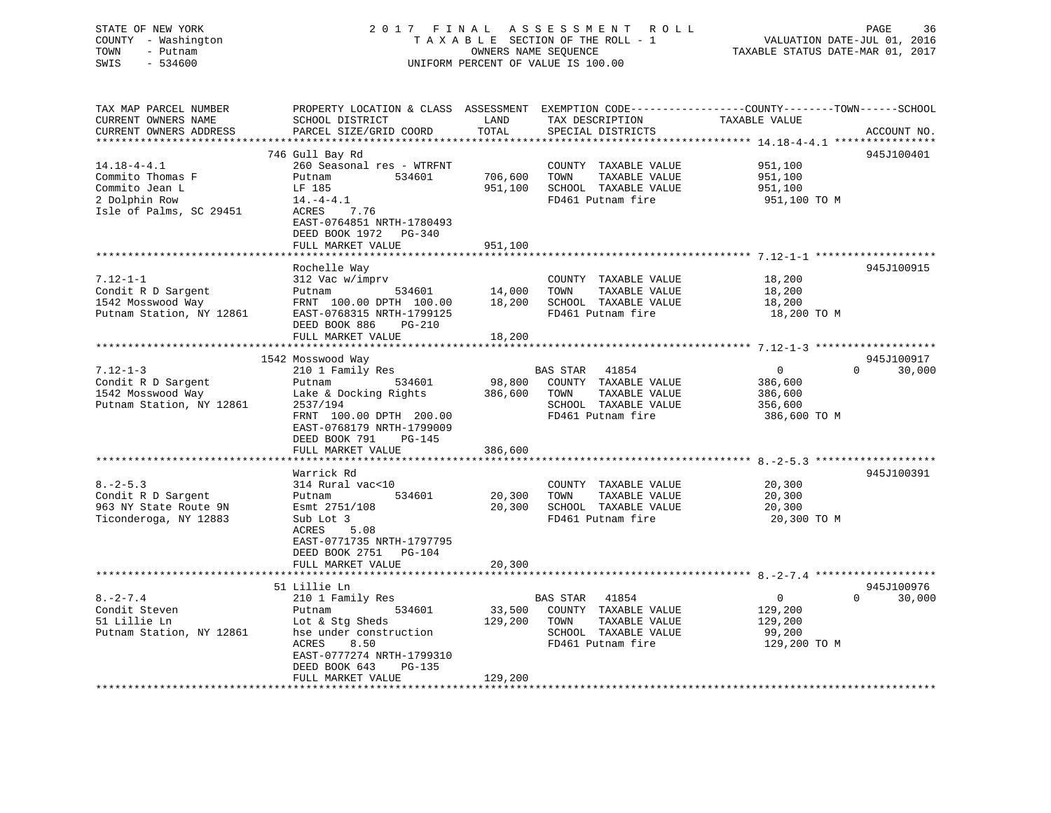### STATE OF NEW YORK 2 0 1 7 F I N A L A S S E S S M E N T R O L L PAGE 36 COUNTY - Washington T A X A B L E SECTION OF THE ROLL - 1 VALUATION DATE-JUL 01, 2016 TOWN - Putnam OWNERS NAME SEQUENCE TAXABLE STATUS DATE-MAR 01, 2017 SWIS - 534600 UNIFORM PERCENT OF VALUE IS 100.00

| TAX MAP PARCEL NUMBER<br>CURRENT OWNERS NAME<br>CURRENT OWNERS ADDRESS                              | PROPERTY LOCATION & CLASS ASSESSMENT EXEMPTION CODE----------------COUNTY-------TOWN------SCHOOL<br>SCHOOL DISTRICT<br>PARCEL SIZE/GRID COORD                                            | LAND<br>TOTAL                | TAX DESCRIPTION<br>SPECIAL DISTRICTS                                                                            | TAXABLE VALUE                                                   | ACCOUNT NO.        |
|-----------------------------------------------------------------------------------------------------|------------------------------------------------------------------------------------------------------------------------------------------------------------------------------------------|------------------------------|-----------------------------------------------------------------------------------------------------------------|-----------------------------------------------------------------|--------------------|
| ***********************                                                                             | 746 Gull Bay Rd                                                                                                                                                                          |                              |                                                                                                                 |                                                                 | 945J100401         |
| $14.18 - 4 - 4.1$<br>Commito Thomas F<br>Commito Jean L<br>2 Dolphin Row<br>Isle of Palms, SC 29451 | 260 Seasonal res - WTRFNT<br>534601<br>Putnam<br>LF 185<br>$14.-4-4.1$<br>ACRES<br>7.76<br>EAST-0764851 NRTH-1780493<br>DEED BOOK 1972 PG-340                                            | 706,600<br>951,100           | COUNTY TAXABLE VALUE<br>TOWN<br>TAXABLE VALUE<br>SCHOOL TAXABLE VALUE<br>FD461 Putnam fire                      | 951,100<br>951,100<br>951,100<br>951,100 то м                   |                    |
|                                                                                                     | FULL MARKET VALUE                                                                                                                                                                        | 951,100                      |                                                                                                                 |                                                                 |                    |
| $7.12 - 1 - 1$<br>Condit R D Sargent<br>1542 Mosswood Way<br>Putnam Station, NY 12861               | Rochelle Way<br>312 Vac w/imprv<br>534601<br>Putnam<br>FRNT 100.00 DPTH 100.00<br>EAST-0768315 NRTH-1799125<br>DEED BOOK 886<br><b>PG-210</b>                                            | 14,000<br>18,200             | COUNTY TAXABLE VALUE<br>TOWN<br>TAXABLE VALUE<br>SCHOOL TAXABLE VALUE<br>FD461 Putnam fire                      | 18,200<br>18,200<br>18,200<br>18,200 TO M                       | 945J100915         |
|                                                                                                     | FULL MARKET VALUE                                                                                                                                                                        | 18,200                       |                                                                                                                 |                                                                 |                    |
|                                                                                                     | 1542 Mosswood Way                                                                                                                                                                        | *************                |                                                                                                                 |                                                                 | 945J100917         |
| $7.12 - 1 - 3$<br>Condit R D Sargent<br>1542 Mosswood Way<br>Putnam Station, NY 12861               | 210 1 Family Res<br>534601<br>Putnam<br>Lake & Docking Rights<br>2537/194<br>FRNT 100.00 DPTH 200.00<br>EAST-0768179 NRTH-1799009<br>DEED BOOK 791<br><b>PG-145</b><br>FULL MARKET VALUE | 98,800<br>386,600<br>386,600 | BAS STAR<br>41854<br>COUNTY TAXABLE VALUE<br>TOWN<br>TAXABLE VALUE<br>SCHOOL TAXABLE VALUE<br>FD461 Putnam fire | $\overline{0}$<br>386,600<br>386,600<br>356,600<br>386,600 TO M | $\Omega$<br>30,000 |
|                                                                                                     | Warrick Rd                                                                                                                                                                               |                              |                                                                                                                 |                                                                 | 945J100391         |
| $8. - 2 - 5.3$<br>Condit R D Sargent<br>963 NY State Route 9N<br>Ticonderoga, NY 12883              | 314 Rural vac<10<br>534601<br>Putnam<br>Esmt 2751/108<br>Sub Lot 3<br>ACRES<br>5.08<br>EAST-0771735 NRTH-1797795                                                                         | 20,300<br>20,300             | COUNTY TAXABLE VALUE<br>TOWN<br>TAXABLE VALUE<br>SCHOOL TAXABLE VALUE<br>FD461 Putnam fire                      | 20,300<br>20,300<br>20,300<br>20,300 TO M                       |                    |
|                                                                                                     | DEED BOOK 2751 PG-104<br>FULL MARKET VALUE                                                                                                                                               | 20,300                       |                                                                                                                 |                                                                 |                    |
|                                                                                                     | 51 Lillie Ln                                                                                                                                                                             |                              |                                                                                                                 |                                                                 | 945J100976         |
| $8. - 2 - 7.4$<br>Condit Steven<br>51 Lillie Ln<br>Putnam Station, NY 12861                         | 210 1 Family Res<br>534601<br>Putnam<br>Lot & Stg Sheds<br>hse under construction<br>ACRES<br>8.50<br>EAST-0777274 NRTH-1799310<br>DEED BOOK 643<br>PG-135                               | 129,200 TOWN                 | BAS STAR 41854<br>33,500 COUNTY TAXABLE VALUE<br>TAXABLE VALUE<br>SCHOOL TAXABLE VALUE<br>FD461 Putnam fire     | $\overline{0}$<br>129,200<br>129,200<br>99,200<br>129,200 TO M  | $\Omega$<br>30,000 |
|                                                                                                     | FULL MARKET VALUE<br>*************************                                                                                                                                           | 129,200                      |                                                                                                                 |                                                                 |                    |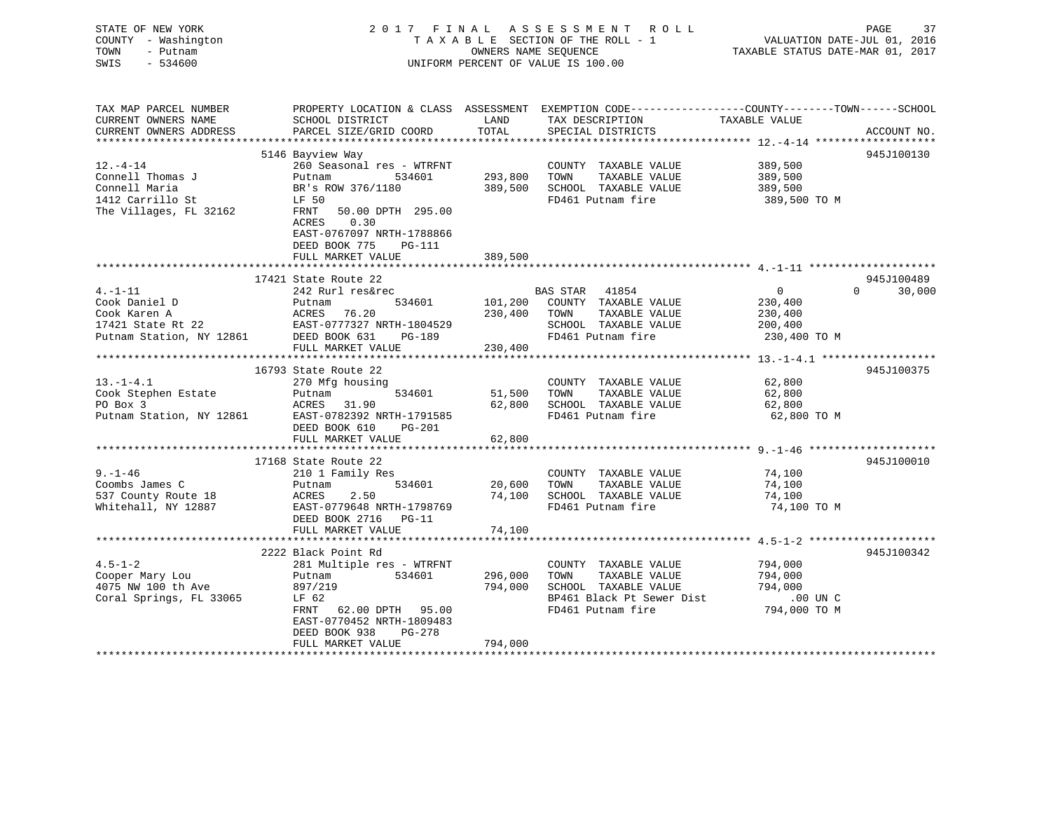| STATE OF NEW YORK<br>COUNTY - Washington<br>TOWN<br>- Putnam<br>$-534600$<br>SWIS |                                                      | OWNERS NAME SEQUENCE | 2017 FINAL ASSESSMENT ROLL<br>TAXABLE SECTION OF THE ROLL - 1<br>UNIFORM PERCENT OF VALUE IS 100.00 | PAGE<br>VALUATION DATE-JUL 01, 2016<br>TAXABLE STATUS DATE-MAR 01, 2017                                         | 37     |
|-----------------------------------------------------------------------------------|------------------------------------------------------|----------------------|-----------------------------------------------------------------------------------------------------|-----------------------------------------------------------------------------------------------------------------|--------|
| TAX MAP PARCEL NUMBER<br>CURRENT OWNERS NAME                                      | SCHOOL DISTRICT                                      | LAND                 | TAX DESCRIPTION                                                                                     | PROPERTY LOCATION & CLASS ASSESSMENT EXEMPTION CODE---------------COUNTY-------TOWN-----SCHOOL<br>TAXABLE VALUE |        |
| CURRENT OWNERS ADDRESS                                                            | PARCEL SIZE/GRID COORD                               | TOTAL                | SPECIAL DISTRICTS                                                                                   | ACCOUNT NO.                                                                                                     |        |
|                                                                                   | 5146 Bayview Way                                     |                      |                                                                                                     | 945J100130                                                                                                      |        |
| $12. - 4 - 14$                                                                    | 260 Seasonal res - WTRFNT                            |                      | COUNTY TAXABLE VALUE                                                                                | 389,500                                                                                                         |        |
| Connell Thomas J                                                                  | 534601<br>Putnam                                     | 293,800              | TOWN<br>TAXABLE VALUE                                                                               | 389,500                                                                                                         |        |
| Connell Maria                                                                     | BR's ROW 376/1180                                    | 389,500              | SCHOOL TAXABLE VALUE                                                                                | 389,500                                                                                                         |        |
| 1412 Carrillo St                                                                  | LF 50                                                |                      | FD461 Putnam fire                                                                                   | 389,500 TO M                                                                                                    |        |
| The Villages, FL 32162                                                            | FRNT<br>50.00 DPTH 295.00<br>0.30<br>ACRES           |                      |                                                                                                     |                                                                                                                 |        |
|                                                                                   | EAST-0767097 NRTH-1788866                            |                      |                                                                                                     |                                                                                                                 |        |
|                                                                                   | DEED BOOK 775<br>PG-111                              |                      |                                                                                                     |                                                                                                                 |        |
|                                                                                   | FULL MARKET VALUE                                    | 389,500              |                                                                                                     |                                                                                                                 |        |
|                                                                                   | 17421 State Route 22                                 |                      |                                                                                                     | 945J100489                                                                                                      |        |
| $4. -1 - 11$                                                                      | 242 Rurl res&rec                                     |                      | BAS STAR 41854                                                                                      | $\Omega$<br>$\overline{0}$                                                                                      | 30,000 |
| Cook Daniel D                                                                     | 534601<br>Putnam                                     |                      | 101,200 COUNTY TAXABLE VALUE                                                                        | 230,400                                                                                                         |        |
| Cook Karen A                                                                      | ACRES 76.20                                          | 230,400              | TOWN<br>TAXABLE VALUE                                                                               | 230,400                                                                                                         |        |
| 17421 State Rt 22                                                                 | EAST-0777327 NRTH-1804529                            |                      | SCHOOL TAXABLE VALUE                                                                                | 200,400                                                                                                         |        |
| Putnam Station, NY 12861                                                          | DEED BOOK 631<br>PG-189                              |                      | FD461 Putnam fire                                                                                   | 230,400 TO M                                                                                                    |        |
|                                                                                   | FULL MARKET VALUE                                    | 230,400              |                                                                                                     |                                                                                                                 |        |
|                                                                                   |                                                      |                      |                                                                                                     |                                                                                                                 |        |
|                                                                                   | 16793 State Route 22                                 |                      |                                                                                                     | 945J100375                                                                                                      |        |
| $13. - 1 - 4.1$                                                                   | 270 Mfg housing                                      |                      | COUNTY TAXABLE VALUE                                                                                | 62,800                                                                                                          |        |
| Cook Stephen Estate                                                               | 534601<br>Putnam                                     | 51,500               | TOWN<br>TAXABLE VALUE                                                                               | 62,800                                                                                                          |        |
| PO Box 3                                                                          | ACRES<br>31.90                                       | 62,800               | SCHOOL TAXABLE VALUE                                                                                | 62,800                                                                                                          |        |
| Putnam Station, NY 12861                                                          | EAST-0782392 NRTH-1791585<br>DEED BOOK 610<br>PG-201 |                      | FD461 Putnam fire                                                                                   | 62,800 TO M                                                                                                     |        |
|                                                                                   | FULL MARKET VALUE                                    | 62,800               |                                                                                                     |                                                                                                                 |        |
|                                                                                   |                                                      |                      |                                                                                                     |                                                                                                                 |        |
|                                                                                   | 17168 State Route 22                                 |                      |                                                                                                     | 945J100010                                                                                                      |        |
| $9. - 1 - 46$                                                                     | 210 1 Family Res                                     |                      | COUNTY TAXABLE VALUE                                                                                | 74,100                                                                                                          |        |
| Coombs James C                                                                    | 534601<br>Putnam                                     | 20,600               | TAXABLE VALUE<br>TOWN                                                                               | 74,100                                                                                                          |        |
| 537 County Route 18                                                               | ACRES<br>2.50                                        | 74,100               | SCHOOL TAXABLE VALUE                                                                                | 74,100                                                                                                          |        |
| Whitehall, NY 12887                                                               | EAST-0779648 NRTH-1798769<br>DEED BOOK 2716 PG-11    |                      | FD461 Putnam fire                                                                                   | 74,100 TO M                                                                                                     |        |
|                                                                                   | FULL MARKET VALUE                                    | 74,100               |                                                                                                     |                                                                                                                 |        |
|                                                                                   |                                                      |                      |                                                                                                     |                                                                                                                 |        |
|                                                                                   | 2222 Black Point Rd                                  |                      |                                                                                                     | 945J100342                                                                                                      |        |
| $4.5 - 1 - 2$                                                                     | 281 Multiple res - WTRFNT                            |                      | COUNTY TAXABLE VALUE                                                                                | 794,000                                                                                                         |        |
| Cooper Mary Lou<br>4075 NW 100 th Ave                                             | 534601<br>Putnam<br>897/219                          | 296,000<br>794,000   | TAXABLE VALUE<br>TOWN<br>SCHOOL TAXABLE VALUE                                                       | 794,000<br>794,000                                                                                              |        |
| Coral Springs, FL 33065                                                           | LF 62                                                |                      | BP461 Black Pt Sewer Dist                                                                           | .00 UN C                                                                                                        |        |
|                                                                                   | FRNT 62.00 DPTH 95.00                                |                      | FD461 Putnam fire                                                                                   | 794,000 TO M                                                                                                    |        |
|                                                                                   | EAST-0770452 NRTH-1809483                            |                      |                                                                                                     |                                                                                                                 |        |
|                                                                                   | DEED BOOK 938<br>PG-278                              |                      |                                                                                                     |                                                                                                                 |        |
|                                                                                   | FULL MARKET VALUE                                    | 794,000              |                                                                                                     |                                                                                                                 |        |
| *********************                                                             |                                                      |                      |                                                                                                     |                                                                                                                 |        |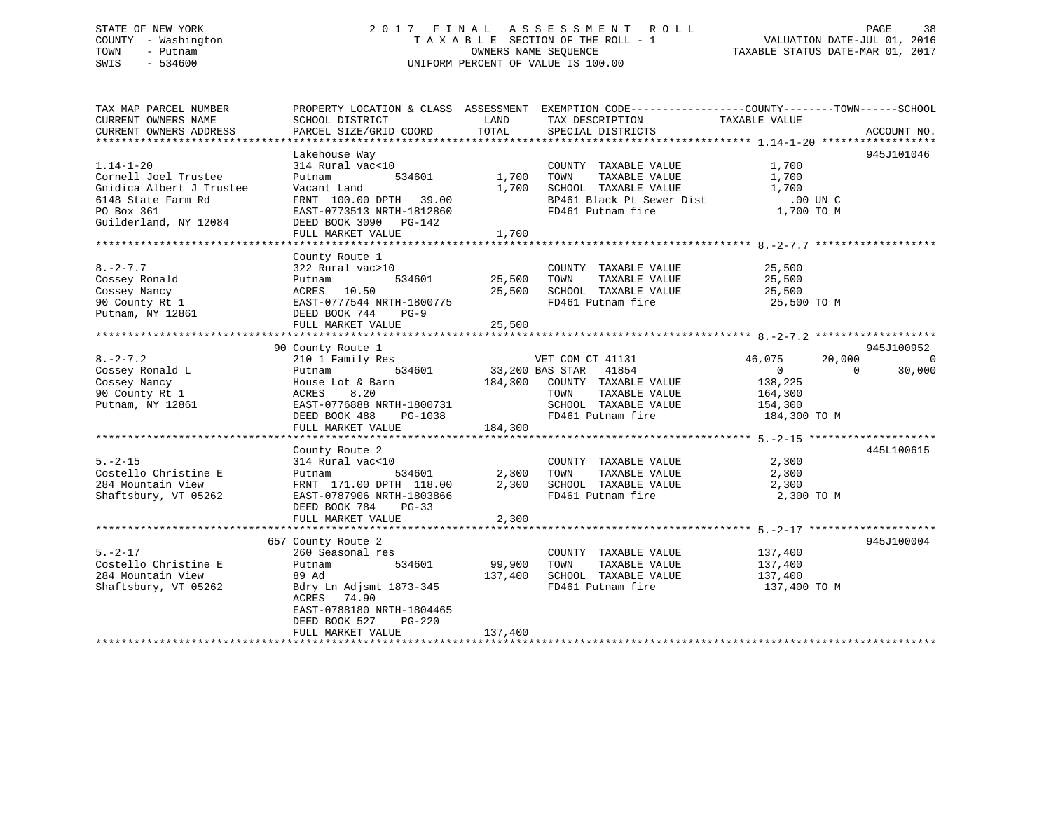## STATE OF NEW YORK 2 0 1 7 F I N A L A S S E S S M E N T R O L L PAGE 38 COUNTY - Washington T A X A B L E SECTION OF THE ROLL - 1 VALUATION DATE-JUL 01, 2016 TOWN - Putnam OWNERS NAME SEQUENCE TAXABLE STATUS DATE-MAR 01, 2017 SWIS - 534600 UNIFORM PERCENT OF VALUE IS 100.00

| TAX MAP PARCEL NUMBER<br>CURRENT OWNERS NAME<br>CURRENT OWNERS ADDRESS                                                           | SCHOOL DISTRICT<br>PARCEL SIZE/GRID COORD                                                                                                                                                                                                                                                                               | <b>EXAMPLE THE STATE OF STATE OF STATE OF STATE OF STATE OF STATE OF STATE OF STATE</b><br>TOTAL | PROPERTY LOCATION & CLASS ASSESSMENT EXEMPTION CODE---------------COUNTY-------TOWN-----SCHOOL<br>TAX DESCRIPTION<br>SPECIAL DISTRICTS                                                                                            | TAXABLE VALUE           | ACCOUNT NO.                      |
|----------------------------------------------------------------------------------------------------------------------------------|-------------------------------------------------------------------------------------------------------------------------------------------------------------------------------------------------------------------------------------------------------------------------------------------------------------------------|--------------------------------------------------------------------------------------------------|-----------------------------------------------------------------------------------------------------------------------------------------------------------------------------------------------------------------------------------|-------------------------|----------------------------------|
| $1.14 - 1 - 20$<br>Cornell Joel Trustee<br>Gnidica Albert J Trustee<br>6148 State Farm Rd<br>PO Box 361<br>Guilderland, NY 12084 | Lakehouse Way<br>$314$ Rural vac<10<br>Putnam<br>Vacant Land<br>Vacant Land 1,70<br>FRNT 100.00 DPTH 39.00 1,70<br>EAST-0773513 NRTH-1812860<br>DEED BOOK 3090 PG-142<br>FULL MARKET VALUE                                                                                                                              | 534601 1,700 TOWN<br>1,700                                                                       | COUNTY TAXABLE VALUE 1,700<br>TAXABLE VALUE<br>1,700 SCHOOL TAXABLE VALUE<br>SCHOOL TAXABLE VALUE 1,700<br>BP461 Black Pt Sewer Dist 1,700 UN C<br>FD461 Putnam fire 1,700 TO M                                                   | 1,700<br>1,700          | 945J101046                       |
| $8. - 2 - 7.7$                                                                                                                   | County Route 1<br>322 Rural vac>10<br>$\begin{array}{ccccccccc}\n & 0.22 & 0.22 & 0.22 & 0.22 & 0.22 & 0.22 & 0.22 & 0.22 & 0.22 & 0.22 & 0.22 & 0.22 & 0.22 & 0.22 & 0.22 & 0.22 & 0.22 & 0.22 & 0.22 & 0.22 & 0.22 & 0.22 & 0.22 & 0.22 & 0.22 & 0.22 & 0.22 & 0.22 & 0.22 & 0.22 & 0.22 & 0.22 & 0.22 & 0.22 & 0.22$ |                                                                                                  | COUNTY TAXABLE VALUE 25,500                                                                                                                                                                                                       |                         |                                  |
| $8. -2 - 7.2$<br>Cossey Ronald L<br>Cossey Nancy<br>90 County Rt 1<br>Putnam, NY 12861                                           | 90 County Route 1                                                                                                                                                                                                                                                                                                       |                                                                                                  | County Route 1<br>210 1 Family Res 534601 33,200 BAS STAR 41854 46,075<br>Putnam 534601 33,200 BAS STAR 41854 0<br>House Lot & Barn 184,300 COUNTY TAXABLE VALUE 138,225<br>TOWN TAXABLE VALUE 164,300<br>VET COM CT 41131 46,075 | 20,000<br>$\sim$ 0      | 945J100952<br>$\Omega$<br>30,000 |
| $5. -2 - 15$<br>Costello Christine E<br>284 Mountain View<br>Shaftsbury, VT 05262                                                | County Route 2<br>314 Rural vac<10<br>EAST-0787906 NRTH-1803866<br>DEED BOOK 784 PG-33<br>FULL MARKET VALUE                                                                                                                                                                                                             | 2,300                                                                                            | COUNTY TAXABLE VALUE 2,300<br>Putnam 534601 2,300 TOWN TAXABLE VALUE 2,300 PRNT 171.00 DPTH 118.00 2,300 SCHOOL TAXABLE VALUE 2,300<br>FD461 Putnam fire                                                                          | 2,300 TO M              | 445L100615                       |
| $5. -2 - 17$<br>Costello Christine E<br>284 Mountain View<br>Shaftsbury, VT 05262                                                | 657 County Route 2<br>260 Seasonal res<br>Putnam<br>89 Ad<br>Bdry Ln Adjsmt 1873-345<br>ACRES 74.90<br>EAST-0788180 NRTH-1804465<br>DEED BOOK 527<br>PG-220<br>FULL MARKET VALUE                                                                                                                                        | 。<br>534601     99,900<br>137,400<br>137,400                                                     | COUNTY TAXABLE VALUE 137,400<br>TAXABLE VALUE 137,400<br>TOWN<br>SCHOOL TAXABLE VALUE<br>FD461 Putnam fire                                                                                                                        | 137,400<br>137,400 TO M | 945J100004                       |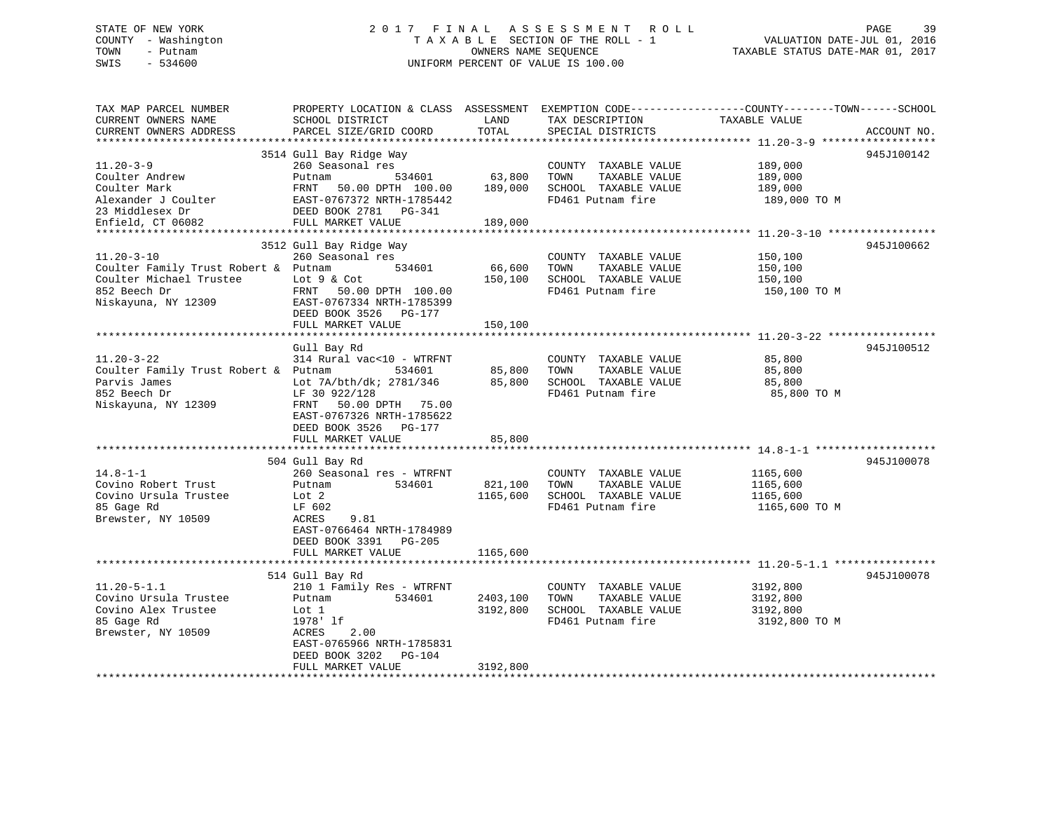# STATE OF NEW YORK 2 0 1 7 F I N A L A S S E S S M E N T R O L L PAGE 39COUNTY - Washington  $T A X A B L E$  SECTION OF THE ROLL - 1<br>TOWN - Putnam data of the COUNTERS NAME SEQUENCE SWIS - 534600 UNIFORM PERCENT OF VALUE IS 100.00

TAXABLE STATUS DATE-MAR 01, 2017

| SCHOOL DISTRICT<br>PARCEL SIZE/GRID COORD                                                                                                                                                                                         | LAND<br>TOTAL                                                                                            | TAX DESCRIPTION<br>SPECIAL DISTRICTS                                                       | TAXABLE VALUE                                     | ACCOUNT NO.                                                                                                     |
|-----------------------------------------------------------------------------------------------------------------------------------------------------------------------------------------------------------------------------------|----------------------------------------------------------------------------------------------------------|--------------------------------------------------------------------------------------------|---------------------------------------------------|-----------------------------------------------------------------------------------------------------------------|
|                                                                                                                                                                                                                                   |                                                                                                          |                                                                                            |                                                   |                                                                                                                 |
| 3514 Gull Bay Ridge Way<br>260 Seasonal res<br>534601<br>Putnam<br>FRNT<br>50.00 DPTH 100.00<br>EAST-0767372 NRTH-1785442<br>DEED BOOK 2781 PG-341<br>FULL MARKET VALUE                                                           | 63,800<br>189,000<br>189,000                                                                             | COUNTY TAXABLE VALUE<br>TOWN<br>TAXABLE VALUE<br>SCHOOL TAXABLE VALUE<br>FD461 Putnam fire | 189,000<br>189,000<br>189,000<br>189,000 TO M     | 945J100142                                                                                                      |
|                                                                                                                                                                                                                                   |                                                                                                          |                                                                                            |                                                   |                                                                                                                 |
| 260 Seasonal res<br>Coulter Family Trust Robert & Putnam<br>534601<br>Lot 9 & Cot<br>FRNT<br>50.00 DPTH 100.00<br>EAST-0767334 NRTH-1785399<br>DEED BOOK 3526<br>PG-177<br>FULL MARKET VALUE                                      | 66,600<br>150,100<br>150,100                                                                             | COUNTY TAXABLE VALUE<br>TOWN<br>TAXABLE VALUE<br>SCHOOL TAXABLE VALUE<br>FD461 Putnam fire | 150,100<br>150,100<br>150,100<br>150,100 TO M     | 945J100662                                                                                                      |
|                                                                                                                                                                                                                                   |                                                                                                          |                                                                                            |                                                   |                                                                                                                 |
| 314 Rural vac<10 - WTRFNT<br>Coulter Family Trust Robert & Putnam<br>534601<br>Lot 7A/bth/dk; 2781/346<br>LF 30 922/128<br>50.00 DPTH 75.00<br>FRNT<br>EAST-0767326 NRTH-1785622<br>DEED BOOK 3526<br>PG-177<br>FULL MARKET VALUE | 85,800<br>85,800<br>85,800                                                                               | COUNTY TAXABLE VALUE<br>TAXABLE VALUE<br>TOWN<br>SCHOOL TAXABLE VALUE<br>FD461 Putnam fire | 85,800<br>85,800<br>85,800<br>85,800 TO M         | 945J100512                                                                                                      |
|                                                                                                                                                                                                                                   |                                                                                                          |                                                                                            |                                                   | 945J100078                                                                                                      |
| 260 Seasonal res - WTRFNT<br>534601<br>Putnam<br>Lot 2<br>LF 602<br>ACRES<br>9.81<br>EAST-0766464 NRTH-1784989<br>DEED BOOK 3391<br>$PG-205$                                                                                      | 821,100<br>1165,600                                                                                      | COUNTY TAXABLE VALUE<br>TAXABLE VALUE<br>TOWN<br>SCHOOL TAXABLE VALUE<br>FD461 Putnam fire | 1165,600<br>1165,600<br>1165,600<br>1165,600 TO M |                                                                                                                 |
|                                                                                                                                                                                                                                   |                                                                                                          |                                                                                            |                                                   |                                                                                                                 |
| 514 Gull Bay Rd<br>210 1 Family Res - WTRFNT<br>Putnam<br>534601<br>Lot 1<br>1978' lf<br>ACRES<br>2.00<br>EAST-0765966 NRTH-1785831<br>DEED BOOK 3202<br><b>PG-104</b><br>FULL MARKET VALUE                                       | 2403,100<br>3192,800<br>3192,800                                                                         | COUNTY TAXABLE VALUE<br>TOWN<br>TAXABLE VALUE<br>SCHOOL TAXABLE VALUE<br>FD461 Putnam fire | 3192,800<br>3192,800<br>3192,800<br>3192,800 TO M | 945J100078                                                                                                      |
|                                                                                                                                                                                                                                   | **********************<br>3512 Gull Bay Ridge Way<br>Gull Bay Rd<br>504 Gull Bay Rd<br>FULL MARKET VALUE | **********<br>1165,600                                                                     | PROPERTY LOCATION & CLASS ASSESSMENT              | EXEMPTION CODE-----------------COUNTY-------TOWN------SCHOOL<br>***************** 11.20-3-10 ****************** |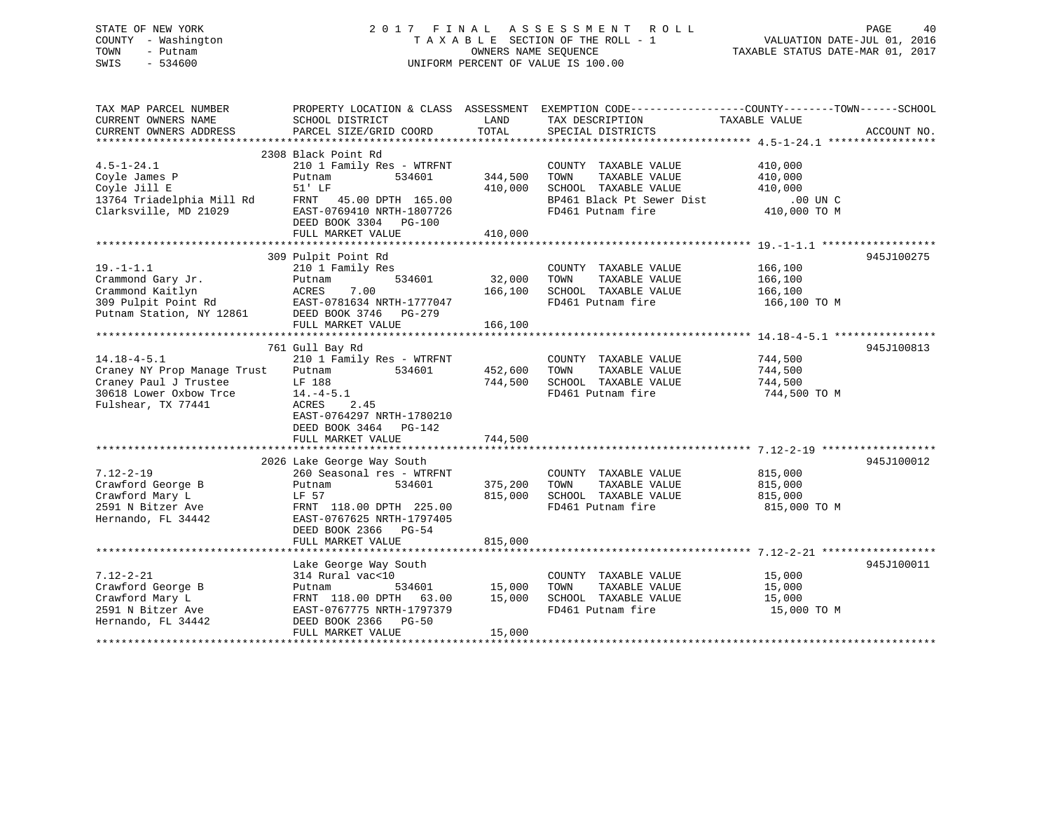## STATE OF NEW YORK 2 0 1 7 F I N A L A S S E S S M E N T R O L L PAGE 40 COUNTY - Washington T A X A B L E SECTION OF THE ROLL - 1 VALUATION DATE-JUL 01, 2016 TOWN - Putnam OWNERS NAME SEQUENCE TAXABLE STATUS DATE-MAR 01, 2017 SWIS - 534600 UNIFORM PERCENT OF VALUE IS 100.00

| TAX MAP PARCEL NUMBER<br>CURRENT OWNERS NAME                                                                              | SCHOOL DISTRICT                                                                                                                                                                           | LAND                          | PROPERTY LOCATION & CLASS ASSESSMENT EXEMPTION CODE----------------COUNTY-------TOWN------SCHOOL<br>TAX DESCRIPTION     | TAXABLE VALUE                                             |             |
|---------------------------------------------------------------------------------------------------------------------------|-------------------------------------------------------------------------------------------------------------------------------------------------------------------------------------------|-------------------------------|-------------------------------------------------------------------------------------------------------------------------|-----------------------------------------------------------|-------------|
| CURRENT OWNERS ADDRESS                                                                                                    | PARCEL SIZE/GRID COORD                                                                                                                                                                    | TOTAL                         | SPECIAL DISTRICTS                                                                                                       |                                                           | ACCOUNT NO. |
|                                                                                                                           |                                                                                                                                                                                           |                               |                                                                                                                         |                                                           |             |
| $4.5 - 1 - 24.1$<br>Coyle James P<br>Coyle Jill E<br>13764 Triadelphia Mill Rd<br>Clarksville, MD 21029                   | 2308 Black Point Rd<br>210 1 Family Res - WTRFNT<br>534601<br>Putnam<br>51' LF<br>FRNT 45.00 DPTH 165.00<br>EAST-0769410 NRTH-1807726<br>DEED BOOK 3304 PG-100<br>FULL MARKET VALUE       | 344,500<br>410,000<br>410,000 | COUNTY TAXABLE VALUE<br>TOWN<br>TAXABLE VALUE<br>SCHOOL TAXABLE VALUE<br>BP461 Black Pt Sewer Dist<br>FD461 Putnam fire | 410,000<br>410,000<br>410,000<br>.00 UN C<br>410,000 TO M |             |
| $19. - 1 - 1.1$<br>Crammond Gary Jr.<br>Crammond Kaitlyn<br>309 Pulpit Point Rd<br>Putnam Station, NY 12861               | 309 Pulpit Point Rd<br>210 1 Family Res<br>534601<br>Putnam<br>ACRES<br>7.00<br>EAST-0781634 NRTH-1777047<br>DEED BOOK 3746 PG-279                                                        | 32,000<br>166,100             | COUNTY TAXABLE VALUE<br>TOWN<br>TAXABLE VALUE<br>SCHOOL TAXABLE VALUE<br>FD461 Putnam fire                              | 166,100<br>166,100<br>166,100<br>166,100 TO M             | 945J100275  |
| $14.18 - 4 - 5.1$<br>Craney NY Prop Manage Trust<br>Craney Paul J Trustee<br>30618 Lower Oxbow Trce<br>Fulshear, TX 77441 | 761 Gull Bay Rd<br>210 1 Family Res - WTRFNT<br>534601<br>Putnam<br>LF 188<br>$14. -4 - 5.1$<br>ACRES<br>2.45<br>EAST-0764297 NRTH-1780210<br>DEED BOOK 3464 PG-142<br>FULL MARKET VALUE  | 452,600<br>744,500<br>744,500 | COUNTY TAXABLE VALUE<br>TAXABLE VALUE<br>TOWN<br>SCHOOL TAXABLE VALUE<br>FD461 Putnam fire                              | 744,500<br>744,500<br>744,500<br>744,500 TO M             | 945J100813  |
|                                                                                                                           |                                                                                                                                                                                           |                               |                                                                                                                         |                                                           |             |
| $7.12 - 2 - 19$<br>Crawford George B<br>Crawford Mary L<br>2591 N Bitzer Ave<br>Hernando, FL 34442                        | 2026 Lake George Way South<br>260 Seasonal res - WTRFNT<br>Putnam<br>534601<br>LF 57<br>FRNT 118.00 DPTH 225.00<br>EAST-0767625 NRTH-1797405<br>DEED BOOK 2366 PG-54<br>FULL MARKET VALUE | 375,200<br>815,000<br>815,000 | COUNTY TAXABLE VALUE<br>TAXABLE VALUE<br>TOWN<br>SCHOOL TAXABLE VALUE 815,000<br>FD461 Putnam fire                      | 815,000<br>815,000<br>815,000 TO M                        | 945J100012  |
|                                                                                                                           |                                                                                                                                                                                           |                               |                                                                                                                         |                                                           |             |
| $7.12 - 2 - 21$<br>Crawford George B<br>Crawford Mary L<br>2591 N Bitzer Ave<br>Hernando, FL 34442                        | Lake George Way South<br>314 Rural vac<10<br>534601<br>Putnam<br>FRNT 118.00 DPTH 63.00<br>EAST-0767775 NRTH-1797379<br>DEED BOOK 2366 PG-50<br>FULL MARKET VALUE                         | 15,000<br>15,000<br>15,000    | COUNTY TAXABLE VALUE<br>TAXABLE VALUE<br>TOWN<br>SCHOOL TAXABLE VALUE<br>FD461 Putnam fire                              | 15,000<br>15,000<br>15,000<br>15,000 TO M                 | 945J100011  |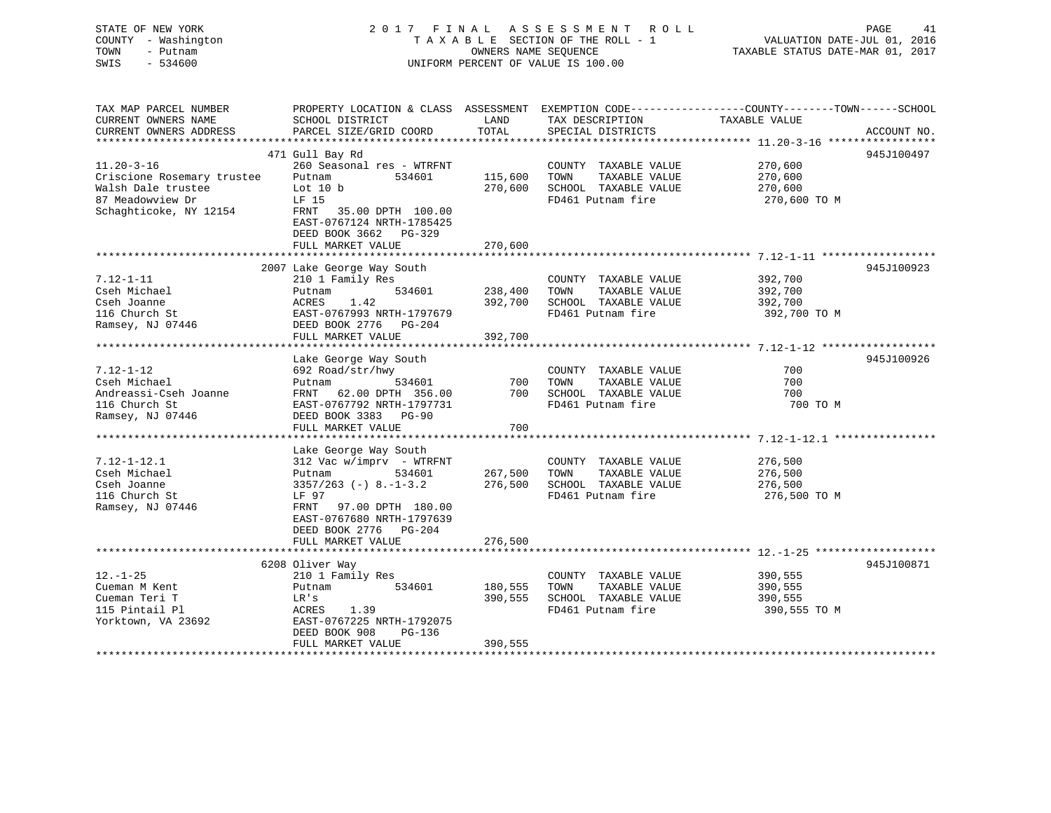| COUNTY - Washington<br>TOWN<br>- Putnam<br>SWIS<br>$-534600$ |                                                        |                    | TAXABLE SECTION OF THE ROLL - 1<br>OWNERS NAME SEQUENCE<br>UNIFORM PERCENT OF VALUE IS 100.00 | VALUATION DATE-JUL 01, 2016<br>TAXABLE STATUS DATE-MAR 01, 2017                                                   |
|--------------------------------------------------------------|--------------------------------------------------------|--------------------|-----------------------------------------------------------------------------------------------|-------------------------------------------------------------------------------------------------------------------|
| TAX MAP PARCEL NUMBER<br>CURRENT OWNERS NAME                 | SCHOOL DISTRICT                                        | LAND               | TAX DESCRIPTION                                                                               | PROPERTY LOCATION & CLASS ASSESSMENT EXEMPTION CODE----------------COUNTY-------TOWN------SCHOOL<br>TAXABLE VALUE |
| CURRENT OWNERS ADDRESS                                       | PARCEL SIZE/GRID COORD                                 | TOTAL              | SPECIAL DISTRICTS                                                                             | ACCOUNT NO.                                                                                                       |
|                                                              |                                                        |                    |                                                                                               |                                                                                                                   |
|                                                              | 471 Gull Bay Rd                                        |                    |                                                                                               | 945J100497                                                                                                        |
| $11.20 - 3 - 16$                                             | 260 Seasonal res - WTRFNT                              |                    | COUNTY TAXABLE VALUE                                                                          | 270,600                                                                                                           |
| Criscione Rosemary trustee<br>Walsh Dale trustee             | Putnam<br>534601<br>Lot $10 b$                         | 115,600<br>270,600 | TOWN<br>TAXABLE VALUE<br>SCHOOL TAXABLE VALUE                                                 | 270,600                                                                                                           |
| 87 Meadowview Dr                                             | LF 15                                                  |                    | FD461 Putnam fire                                                                             | 270,600<br>270,600 TO M                                                                                           |
| Schaghticoke, NY 12154                                       | FRNT<br>35.00 DPTH 100.00                              |                    |                                                                                               |                                                                                                                   |
|                                                              | EAST-0767124 NRTH-1785425                              |                    |                                                                                               |                                                                                                                   |
|                                                              | DEED BOOK 3662 PG-329                                  |                    |                                                                                               |                                                                                                                   |
|                                                              | FULL MARKET VALUE                                      | 270,600            |                                                                                               |                                                                                                                   |
|                                                              |                                                        |                    |                                                                                               |                                                                                                                   |
| $7.12 - 1 - 11$                                              | 2007 Lake George Way South<br>210 1 Family Res         |                    | COUNTY TAXABLE VALUE                                                                          | 945J100923<br>392,700                                                                                             |
| Cseh Michael                                                 | Putnam<br>534601                                       | 238,400            | TAXABLE VALUE<br>TOWN                                                                         | 392,700                                                                                                           |
| Cseh Joanne                                                  | 1.42<br>ACRES                                          | 392,700            | SCHOOL TAXABLE VALUE                                                                          | 392,700                                                                                                           |
| 116 Church St                                                | EAST-0767993 NRTH-1797679                              |                    | FD461 Putnam fire                                                                             | 392,700 TO M                                                                                                      |
| Ramsey, NJ 07446                                             | DEED BOOK 2776 PG-204                                  |                    |                                                                                               |                                                                                                                   |
|                                                              | FULL MARKET VALUE                                      | 392,700            |                                                                                               |                                                                                                                   |
|                                                              |                                                        |                    |                                                                                               | 945J100926                                                                                                        |
| $7.12 - 1 - 12$                                              | Lake George Way South<br>692 Road/str/hwy              |                    | COUNTY TAXABLE VALUE                                                                          | 700                                                                                                               |
| Cseh Michael                                                 | Putnam<br>534601                                       | 700                | TOWN<br>TAXABLE VALUE                                                                         | 700                                                                                                               |
| Andreassi-Cseh Joanne                                        | FRNT 62.00 DPTH 356.00                                 | 700                | SCHOOL TAXABLE VALUE                                                                          | 700                                                                                                               |
| 116 Church St                                                | EAST-0767792 NRTH-1797731                              |                    | FD461 Putnam fire                                                                             | 700 TO M                                                                                                          |
| Ramsey, NJ 07446                                             | DEED BOOK 3383 PG-90                                   |                    |                                                                                               |                                                                                                                   |
|                                                              | FULL MARKET VALUE                                      | 700                |                                                                                               |                                                                                                                   |
|                                                              | Lake George Way South                                  |                    |                                                                                               | ********************* 7.12-1-12.1 ************                                                                    |
| $7.12 - 1 - 12.1$                                            | $312$ Vac w/imprv - WTRFNT                             |                    | COUNTY TAXABLE VALUE                                                                          | 276,500                                                                                                           |
| Cseh Michael                                                 | Putnam<br>534601                                       | 267,500            | TAXABLE VALUE<br>TOWN                                                                         | 276,500                                                                                                           |
| Cseh Joanne                                                  | $3357/263 (-) 8. -1-3.2$                               | 276,500            | SCHOOL TAXABLE VALUE                                                                          | 276,500                                                                                                           |
| 116 Church St                                                | LF 97                                                  |                    | FD461 Putnam fire                                                                             | 276,500 TO M                                                                                                      |
| Ramsey, NJ 07446                                             | 97.00 DPTH 180.00<br>FRNT                              |                    |                                                                                               |                                                                                                                   |
|                                                              | EAST-0767680 NRTH-1797639                              |                    |                                                                                               |                                                                                                                   |
|                                                              | DEED BOOK 2776 PG-204<br>FULL MARKET VALUE             | 276,500            |                                                                                               |                                                                                                                   |
|                                                              |                                                        |                    |                                                                                               |                                                                                                                   |
|                                                              | 6208 Oliver Way                                        |                    |                                                                                               | 945J100871                                                                                                        |
| $12. - 1 - 25$                                               | 210 1 Family Res                                       |                    | COUNTY TAXABLE VALUE                                                                          | 390,555                                                                                                           |
| Cueman M Kent                                                | 534601<br>Putnam                                       | 180,555            | TOWN<br>TAXABLE VALUE                                                                         | 390,555                                                                                                           |
| Cueman Teri T                                                | LR's                                                   | 390,555            | SCHOOL TAXABLE VALUE                                                                          | 390,555                                                                                                           |
| 115 Pintail Pl                                               | ACRES<br>1.39                                          |                    | FD461 Putnam fire                                                                             | 390,555 TO M                                                                                                      |
| Yorktown, VA 23692                                           | EAST-0767225 NRTH-1792075<br>DEED BOOK 908<br>$PG-136$ |                    |                                                                                               |                                                                                                                   |
|                                                              | FULL MARKET VALUE                                      | 390,555            |                                                                                               |                                                                                                                   |

STATE OF NEW YORK 2 0 1 7 F I N A L A S S E S S M E N T R O L L PAGE 41

 $41$ 

\*\*\*\*\*\*\*\*\*\*\*\*\*\*\*\*\*\*\*\*\*\*\*\*\*\*\*\*\*\*\*\*\*\*\*\*\*\*\*\*\*\*\*\*\*\*\*\*\*\*\*\*\*\*\*\*\*\*\*\*\*\*\*\*\*\*\*\*\*\*\*\*\*\*\*\*\*\*\*\*\*\*\*\*\*\*\*\*\*\*\*\*\*\*\*\*\*\*\*\*\*\*\*\*\*\*\*\*\*\*\*\*\*\*\*\*\*\*\*\*\*\*\*\*\*\*\*\*\*\*\*\*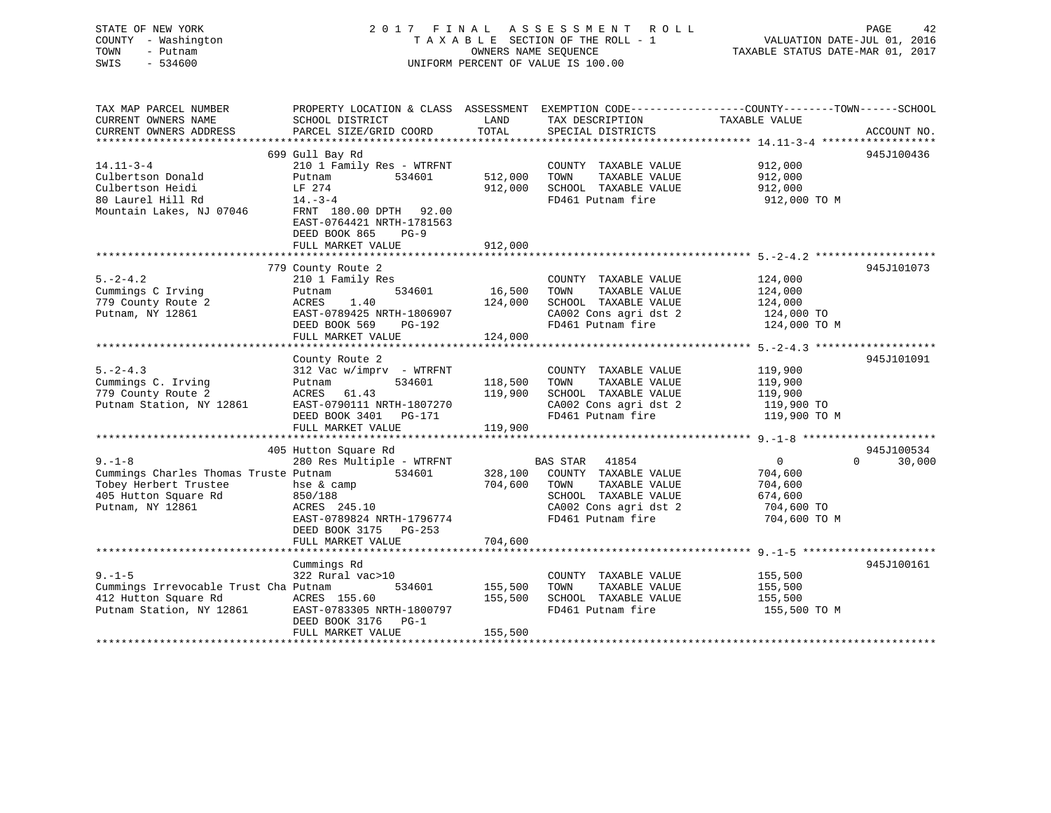| STATE OF NEW YORK<br>COUNTY - Washington<br>TOWN<br>- Putnam<br>SWIS<br>$-534600$ |                                                                                | OWNERS NAME SEOUENCE | 2017 FINAL ASSESSMENT ROLL<br>TAXABLE SECTION OF THE ROLL - 1<br>UNIFORM PERCENT OF VALUE IS 100.00 | PAGE<br>42<br>VALUATION DATE-JUL 01, 2016<br>TAXABLE STATUS DATE-MAR 01, 2017                                     |
|-----------------------------------------------------------------------------------|--------------------------------------------------------------------------------|----------------------|-----------------------------------------------------------------------------------------------------|-------------------------------------------------------------------------------------------------------------------|
| TAX MAP PARCEL NUMBER<br>CURRENT OWNERS NAME                                      | SCHOOL DISTRICT                                                                | LAND                 |                                                                                                     | PROPERTY LOCATION & CLASS ASSESSMENT EXEMPTION CODE----------------COUNTY-------TOWN------SCHOOL<br>TAXABLE VALUE |
| CURRENT OWNERS ADDRESS                                                            | PARCEL SIZE/GRID COORD                                                         | TOTAL                | TAX DESCRIPTION<br>SPECIAL DISTRICTS                                                                | ACCOUNT NO.                                                                                                       |
| ***********************                                                           |                                                                                |                      |                                                                                                     |                                                                                                                   |
| $14.11 - 3 - 4$                                                                   | 699 Gull Bay Rd<br>210 1 Family Res - WTRFNT                                   |                      | COUNTY TAXABLE VALUE                                                                                | 945J100436<br>912,000                                                                                             |
| Culbertson Donald                                                                 | Putnam<br>534601                                                               | 512,000              | TAXABLE VALUE<br>TOWN                                                                               | 912,000                                                                                                           |
| Culbertson Heidi                                                                  | LF 274                                                                         | 912,000              | SCHOOL TAXABLE VALUE                                                                                | 912,000                                                                                                           |
| 80 Laurel Hill Rd                                                                 | $14. - 3 - 4$                                                                  |                      | FD461 Putnam fire                                                                                   | 912,000 TO M                                                                                                      |
| Mountain Lakes, NJ 07046                                                          | FRNT 180.00 DPTH 92.00<br>EAST-0764421 NRTH-1781563<br>DEED BOOK 865<br>$PG-9$ |                      |                                                                                                     |                                                                                                                   |
|                                                                                   | FULL MARKET VALUE                                                              | 912,000              |                                                                                                     |                                                                                                                   |
|                                                                                   | ********************                                                           |                      | ***************************** 5.-2-4.2                                                              |                                                                                                                   |
| $5. -2 - 4.2$                                                                     | 779 County Route 2                                                             |                      |                                                                                                     | 945J101073                                                                                                        |
| Cummings C Irving                                                                 | 210 1 Family Res<br>534601<br>Putnam                                           | 16,500               | COUNTY TAXABLE VALUE<br>TAXABLE VALUE<br>TOWN                                                       | 124,000<br>124,000                                                                                                |
| 779 County Route 2                                                                | ACRES<br>1.40                                                                  | 124,000              | SCHOOL TAXABLE VALUE                                                                                | 124,000                                                                                                           |
| Putnam, NY 12861                                                                  | EAST-0789425 NRTH-1806907                                                      |                      | CA002 Cons agri dst 2                                                                               | 124,000 TO                                                                                                        |
|                                                                                   | DEED BOOK 569<br>PG-192                                                        |                      | FD461 Putnam fire                                                                                   | 124,000 TO M                                                                                                      |
|                                                                                   | FULL MARKET VALUE                                                              | 124,000              |                                                                                                     |                                                                                                                   |
|                                                                                   |                                                                                |                      |                                                                                                     |                                                                                                                   |
|                                                                                   | County Route 2                                                                 |                      |                                                                                                     | 945J101091                                                                                                        |
| $5. -2 - 4.3$                                                                     | $312$ Vac w/imprv - WTRFNT                                                     |                      | COUNTY TAXABLE VALUE                                                                                | 119,900                                                                                                           |
| Cummings C. Irving                                                                | 534601<br>Putnam                                                               | 118,500              | TOWN<br>TAXABLE VALUE                                                                               | 119,900                                                                                                           |
| 779 County Route 2                                                                | ACRES 61.43                                                                    | 119,900              | SCHOOL TAXABLE VALUE                                                                                | 119,900                                                                                                           |
| Putnam Station, NY 12861                                                          | EAST-0790111 NRTH-1807270<br>DEED BOOK 3401 PG-171                             |                      | CA002 Cons agri dst 2<br>FD461 Putnam fire                                                          | 119,900 TO<br>119,900 TO M                                                                                        |
|                                                                                   | FULL MARKET VALUE                                                              | 119,900              |                                                                                                     |                                                                                                                   |
|                                                                                   |                                                                                |                      |                                                                                                     |                                                                                                                   |
|                                                                                   | 405 Hutton Square Rd                                                           |                      |                                                                                                     | 945J100534                                                                                                        |
| $9 - 1 - 8$                                                                       | 280 Res Multiple - WTRFNT                                                      |                      | BAS STAR<br>41854                                                                                   | $\overline{0}$<br>$\Omega$<br>30,000                                                                              |
| Cummings Charles Thomas Truste Putnam                                             | 534601                                                                         | 328,100              | COUNTY TAXABLE VALUE                                                                                | 704,600                                                                                                           |
| Tobey Herbert Trustee                                                             | hse & camp                                                                     | 704,600              | TOWN<br>TAXABLE VALUE                                                                               | 704,600                                                                                                           |
| 405 Hutton Square Rd                                                              | 850/188                                                                        |                      | SCHOOL TAXABLE VALUE                                                                                | 674,600                                                                                                           |
| Putnam, NY 12861                                                                  | ACRES 245.10                                                                   |                      | CA002 Cons agri dst 2                                                                               | 704,600 TO                                                                                                        |
|                                                                                   | EAST-0789824 NRTH-1796774<br>DEED BOOK 3175 PG-253                             |                      | FD461 Putnam fire                                                                                   | 704,600 TO M                                                                                                      |
|                                                                                   | FULL MARKET VALUE                                                              | 704,600              |                                                                                                     |                                                                                                                   |
|                                                                                   |                                                                                |                      |                                                                                                     |                                                                                                                   |
|                                                                                   | Cummings Rd                                                                    |                      |                                                                                                     | 945J100161                                                                                                        |
| $9. - 1 - 5$                                                                      | 322 Rural vac>10                                                               |                      | COUNTY TAXABLE VALUE                                                                                | 155,500                                                                                                           |
| Cummings Irrevocable Trust Cha Putnam                                             | 534601                                                                         | 155,500              | TOWN<br>TAXABLE VALUE                                                                               | 155,500                                                                                                           |
| 412 Hutton Square Rd                                                              | ACRES 155.60                                                                   | 155,500              | SCHOOL TAXABLE VALUE                                                                                | 155,500                                                                                                           |
| Putnam Station, NY 12861                                                          | EAST-0783305 NRTH-1800797<br>DEED BOOK 3176<br>$PG-1$                          |                      | FD461 Putnam fire                                                                                   | 155,500 TO M                                                                                                      |
|                                                                                   | FULL MARKET VALUE                                                              | 155,500<br>********* |                                                                                                     |                                                                                                                   |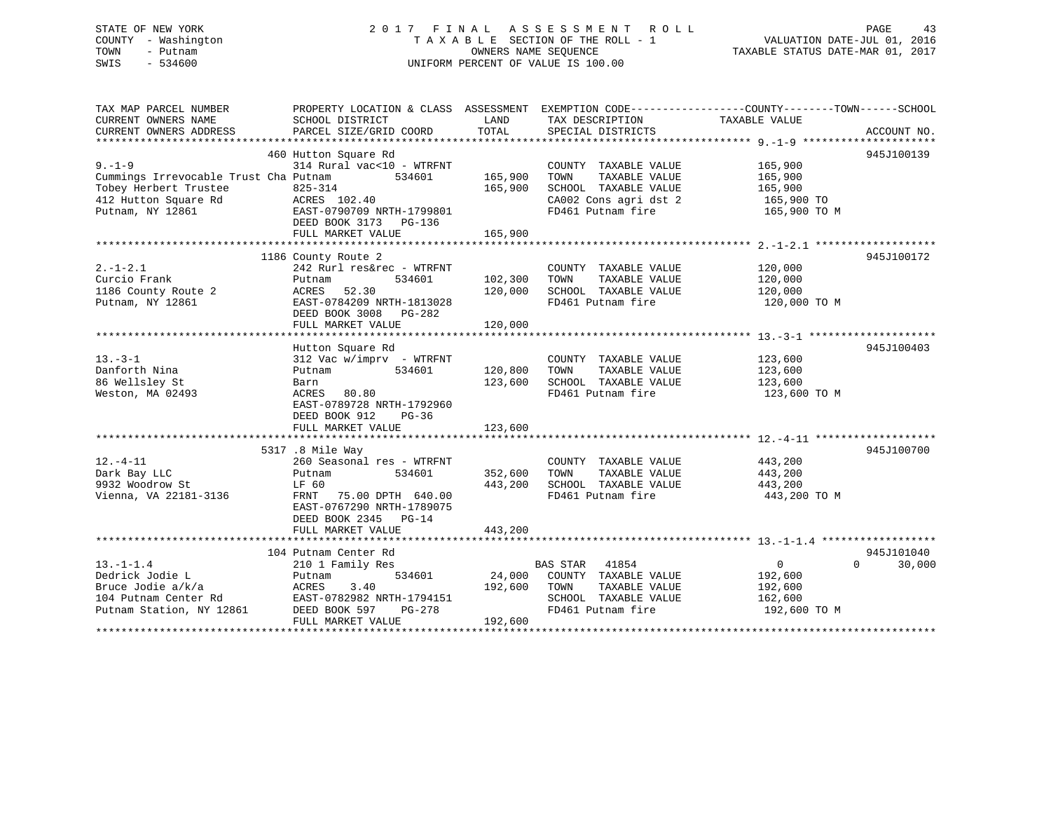## STATE OF NEW YORK 2 0 1 7 F I N A L A S S E S S M E N T R O L L PAGE 43 COUNTY - Washington T A X A B L E SECTION OF THE ROLL - 1 VALUATION DATE-JUL 01, 2016 TOWN - Putnam OWNERS NAME SEQUENCE TAXABLE STATUS DATE-MAR 01, 2017 SWIS - 534600 UNIFORM PERCENT OF VALUE IS 100.00

| TAX MAP PARCEL NUMBER                                                           | PROPERTY LOCATION & CLASS ASSESSMENT EXEMPTION CODE----------------COUNTY-------TOWN------SCHOOL |         |                              |                |                                 |
|---------------------------------------------------------------------------------|--------------------------------------------------------------------------------------------------|---------|------------------------------|----------------|---------------------------------|
| CURRENT OWNERS NAME                                                             | SCHOOL DISTRICT                                                                                  | LAND    | TAX DESCRIPTION              | TAXABLE VALUE  |                                 |
| CURRENT OWNERS ADDRESS                                                          | PARCEL SIZE/GRID COORD                                                                           | TOTAL   | SPECIAL DISTRICTS            |                | ACCOUNT NO.                     |
|                                                                                 |                                                                                                  |         |                              |                |                                 |
|                                                                                 | 460 Hutton Square Rd                                                                             |         |                              |                | 945J100139                      |
| $9 - 1 - 9$                                                                     | 314 Rural vac<10 - WTRFNT                                                                        |         | COUNTY TAXABLE VALUE         | 165,900        |                                 |
| Cummings Irrevocable Trust Cha Putnam 534601                                    |                                                                                                  | 165,900 | TOWN<br>TAXABLE VALUE        | 165,900        |                                 |
| Tobey Herbert Trustee                                                           |                                                                                                  | 165,900 | SCHOOL TAXABLE VALUE         | 165,900        |                                 |
| Tobey Herbert Trustee 825-314<br>412 Hutton Square Rd             ACRES  102.40 |                                                                                                  |         | CA002 Cons agri dst 2        | $165,900$ TO   |                                 |
| Putnam, NY 12861                                                                | EAST-0790709 NRTH-1799801                                                                        |         | FD461 Putnam fire            | 165,900 TO M   |                                 |
|                                                                                 | DEED BOOK 3173 PG-136                                                                            |         |                              |                |                                 |
|                                                                                 | FULL MARKET VALUE                                                                                | 165,900 |                              |                |                                 |
|                                                                                 |                                                                                                  |         |                              |                |                                 |
|                                                                                 | 1186 County Route 2                                                                              |         |                              |                | 945J100172                      |
| $2. -1 - 2.1$                                                                   | 242 Rurl res&rec - WTRFNT                                                                        |         | COUNTY TAXABLE VALUE         | 120,000        |                                 |
| Curcio Frank                                                                    | 534601<br>Putnam                                                                                 | 102,300 | TOWN<br>TAXABLE VALUE        | 120,000        |                                 |
| 1186 County Route 2                                                             | ACRES 52.30                                                                                      | 120,000 | SCHOOL TAXABLE VALUE 120,000 |                |                                 |
| Putnam, NY 12861                                                                | EAST-0784209 NRTH-1813028                                                                        |         | FD461 Putnam fire            | 120,000 TO M   |                                 |
|                                                                                 | DEED BOOK 3008 PG-282                                                                            |         |                              |                |                                 |
|                                                                                 | FULL MARKET VALUE                                                                                | 120,000 |                              |                |                                 |
|                                                                                 |                                                                                                  |         |                              |                |                                 |
|                                                                                 | Hutton Square Rd                                                                                 |         |                              |                | 945J100403                      |
| $13 - 3 - 1$                                                                    | 312 Vac w/imprv - WTRFNT                                                                         |         |                              | 123,600        |                                 |
|                                                                                 |                                                                                                  |         | COUNTY TAXABLE VALUE         |                |                                 |
| Danforth Nina                                                                   | 534601<br>Putnam                                                                                 | 120,800 | TOWN<br>TAXABLE VALUE        | 123,600        |                                 |
| 86 Wellsley St                                                                  | Barn                                                                                             | 123,600 | SCHOOL TAXABLE VALUE         | 123,600        |                                 |
| Weston, MA 02493                                                                | ACRES 80.80                                                                                      |         | FD461 Putnam fire            | 123,600 TO M   |                                 |
|                                                                                 | EAST-0789728 NRTH-1792960                                                                        |         |                              |                |                                 |
|                                                                                 | DEED BOOK 912<br>PG-36                                                                           |         |                              |                |                                 |
|                                                                                 | FULL MARKET VALUE                                                                                | 123,600 |                              |                |                                 |
|                                                                                 |                                                                                                  |         |                              |                |                                 |
|                                                                                 | 5317 .8 Mile Way                                                                                 |         |                              |                | 945J100700                      |
| $12.-4-11$                                                                      | 260 Seasonal res - WTRFNT                                                                        |         | COUNTY TAXABLE VALUE         | 443,200        |                                 |
| Dark Bay LLC<br>Putnam<br>LF 60                                                 | 534601                                                                                           | 352,600 | TOWN<br>TAXABLE VALUE        | 443,200        |                                 |
| 9932 Woodrow St                                                                 |                                                                                                  | 443,200 | SCHOOL TAXABLE VALUE         | 443,200        |                                 |
| Vienna, VA 22181-3136 FRNT 75.00 DPTH 640.00                                    |                                                                                                  |         | FD461 Putnam fire            | 443,200 TO M   |                                 |
|                                                                                 | EAST-0767290 NRTH-1789075                                                                        |         |                              |                |                                 |
|                                                                                 | DEED BOOK 2345 PG-14                                                                             |         |                              |                |                                 |
|                                                                                 | FULL MARKET VALUE                                                                                | 443,200 |                              |                |                                 |
|                                                                                 |                                                                                                  |         |                              |                |                                 |
|                                                                                 | 104 Putnam Center Rd                                                                             |         |                              |                | 945J101040                      |
| $13.-1-1.4$                                                                     | 210 1 Family Res                                                                                 |         | BAS STAR 41854               | $\overline{0}$ | $\Omega$ and $\Omega$<br>30,000 |
| Dedrick Jodie L                                                                 | 534601<br>Putnam                                                                                 | 24,000  | COUNTY TAXABLE VALUE         | 192,600        |                                 |
| Bruce Jodie a/k/a                                                               | ACRES<br>3.40                                                                                    | 192,600 | TOWN<br>TAXABLE VALUE        | 192,600        |                                 |
| 104 Putnam Center Rd                                                            | EAST-0782982 NRTH-1794151                                                                        |         | SCHOOL TAXABLE VALUE         | 162,600        |                                 |
| Putnam Station, NY 12861                                                        | DEED BOOK 597<br>PG-278                                                                          |         | FD461 Putnam fire            | 192,600 TO M   |                                 |
|                                                                                 | FULL MARKET VALUE                                                                                | 192,600 |                              |                |                                 |
|                                                                                 |                                                                                                  |         |                              |                |                                 |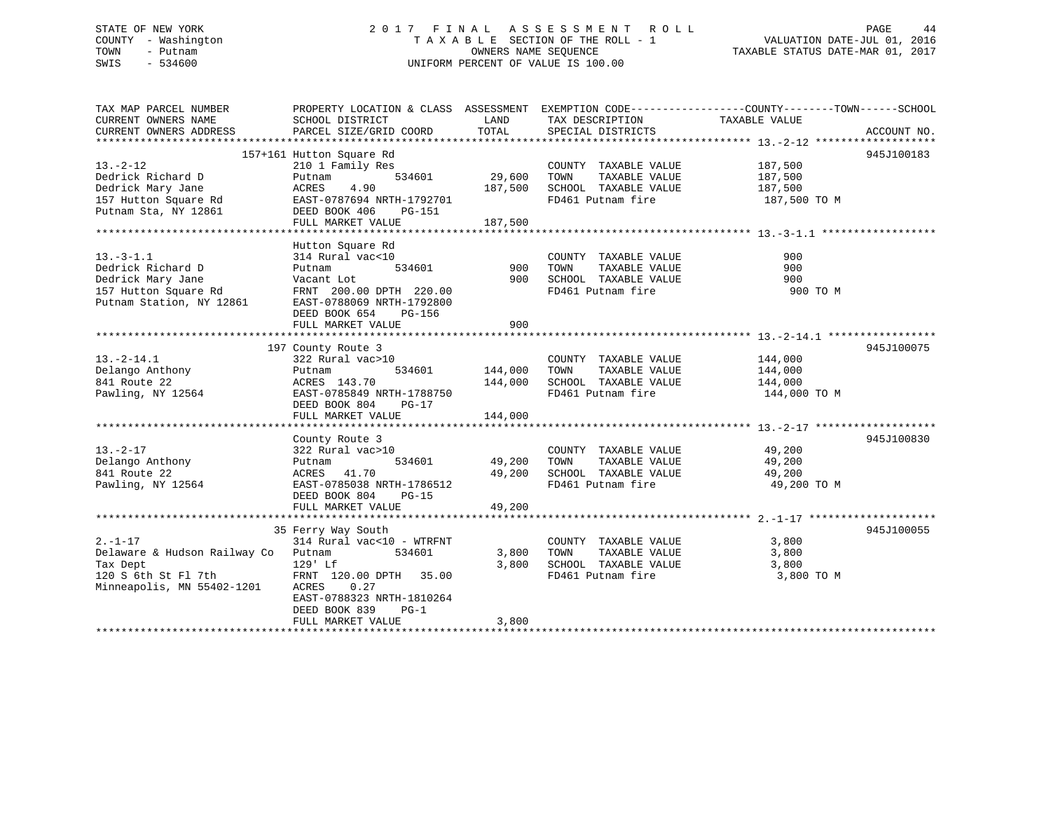## STATE OF NEW YORK 2 0 1 7 F I N A L A S S E S S M E N T R O L L PAGE 44 COUNTY - Washington T A X A B L E SECTION OF THE ROLL - 1 VALUATION DATE-JUL 01, 2016 TOWN - Putnam OWNERS NAME SEQUENCE TAXABLE STATUS DATE-MAR 01, 2017 SWIS - 534600 UNIFORM PERCENT OF VALUE IS 100.00

| TAX MAP PARCEL NUMBER        | PROPERTY LOCATION & CLASS ASSESSMENT EXEMPTION CODE----------------COUNTY-------TOWN------SCHOOL |         |                             |               |             |
|------------------------------|--------------------------------------------------------------------------------------------------|---------|-----------------------------|---------------|-------------|
| CURRENT OWNERS NAME          | SCHOOL DISTRICT                                                                                  | LAND    | TAX DESCRIPTION             | TAXABLE VALUE |             |
| CURRENT OWNERS ADDRESS       | PARCEL SIZE/GRID COORD                                                                           | TOTAL   | SPECIAL DISTRICTS           |               | ACCOUNT NO. |
|                              |                                                                                                  |         |                             |               |             |
|                              | 157+161 Hutton Square Rd                                                                         |         |                             |               | 945J100183  |
| $13. -2 - 12$                | 210 1 Family Res                                                                                 |         | COUNTY TAXABLE VALUE        | 187,500       |             |
| Dedrick Richard D            | 534601<br>Putnam                                                                                 | 29,600  | TOWN<br>TAXABLE VALUE       | 187,500       |             |
| Dedrick Mary Jane            | 4.90<br>ACRES                                                                                    | 187,500 | SCHOOL TAXABLE VALUE        | 187,500       |             |
| 157 Hutton Square Rd         | EAST-0787694 NRTH-1792701                                                                        |         | FD461 Putnam fire           | 187,500 TO M  |             |
| Putnam Sta, NY 12861         | DEED BOOK 406<br>PG-151                                                                          |         |                             |               |             |
|                              | FULL MARKET VALUE                                                                                | 187,500 |                             |               |             |
|                              |                                                                                                  |         |                             |               |             |
|                              | Hutton Square Rd                                                                                 |         |                             |               |             |
| $13. - 3 - 1.1$              | 314 Rural vac<10                                                                                 |         | COUNTY TAXABLE VALUE        | 900           |             |
| Dedrick Richard D            | Putnam<br>534601                                                                                 | 900     | TOWN<br>TAXABLE VALUE       | 900           |             |
| Dedrick Mary Jane            | Vacant Lot                                                                                       | 900     | SCHOOL TAXABLE VALUE        | 900           |             |
| 157 Hutton Square Rd         | FRNT 200.00 DPTH 220.00                                                                          |         | FD461 Putnam fire           | 900 TO M      |             |
| Putnam Station, NY 12861     | EAST-0788069 NRTH-1792800                                                                        |         |                             |               |             |
|                              | DEED BOOK 654<br>PG-156                                                                          |         |                             |               |             |
|                              | FULL MARKET VALUE                                                                                | 900     |                             |               |             |
|                              |                                                                                                  |         |                             |               |             |
|                              | 197 County Route 3                                                                               |         |                             |               | 945J100075  |
| $13.-2-14.1$                 | 322 Rural vac>10                                                                                 |         | COUNTY TAXABLE VALUE        | 144,000       |             |
| Delango Anthony              | 534601<br>Putnam                                                                                 | 144,000 | TOWN<br>TAXABLE VALUE       | 144,000       |             |
| 841 Route 22                 | ACRES 143.70                                                                                     | 144,000 | SCHOOL TAXABLE VALUE        | 144,000       |             |
| Pawling, NY 12564            | EAST-0785849 NRTH-1788750                                                                        |         | FD461 Putnam fire           |               |             |
|                              |                                                                                                  |         |                             | 144,000 TO M  |             |
|                              | DEED BOOK 804<br>$PG-17$                                                                         |         |                             |               |             |
|                              | FULL MARKET VALUE                                                                                | 144,000 |                             |               |             |
|                              |                                                                                                  |         |                             |               |             |
|                              | County Route 3                                                                                   |         |                             |               | 945J100830  |
| $13. - 2 - 17$               | 322 Rural vac>10                                                                                 |         | COUNTY TAXABLE VALUE 49,200 |               |             |
| Delango Anthony              | 534601<br>Putnam                                                                                 | 49,200  | TAXABLE VALUE<br>TOWN       | 49,200        |             |
| 841 Route 22                 | ACRES 41.70                                                                                      | 49,200  | SCHOOL TAXABLE VALUE        | 49,200        |             |
| Pawling, NY 12564            | EAST-0785038 NRTH-1786512                                                                        |         | FD461 Putnam fire           | 49,200 TO M   |             |
|                              | DEED BOOK 804<br>PG-15                                                                           |         |                             |               |             |
|                              | FULL MARKET VALUE                                                                                | 49,200  |                             |               |             |
|                              |                                                                                                  |         |                             |               |             |
|                              | 35 Ferry Way South                                                                               |         |                             |               | 945J100055  |
| $2. - 1 - 17$                | 314 Rural vac<10 - WTRFNT                                                                        |         | COUNTY TAXABLE VALUE        | 3,800         |             |
| Delaware & Hudson Railway Co | 534601<br>Putnam                                                                                 | 3,800   | TOWN<br>TAXABLE VALUE       | 3,800         |             |
| Tax Dept                     | 129' Lf                                                                                          | 3,800   | SCHOOL TAXABLE VALUE        | 3,800         |             |
| 120 S 6th St Fl 7th          | FRNT 120.00 DPTH 35.00                                                                           |         | FD461 Putnam fire           | 3,800 TO M    |             |
| Minneapolis, MN 55402-1201   | ACRES<br>0.27                                                                                    |         |                             |               |             |
|                              | EAST-0788323 NRTH-1810264                                                                        |         |                             |               |             |
|                              | DEED BOOK 839<br>$PG-1$                                                                          |         |                             |               |             |
|                              | FULL MARKET VALUE                                                                                | 3,800   |                             |               |             |
|                              |                                                                                                  |         |                             |               |             |
|                              |                                                                                                  |         |                             |               |             |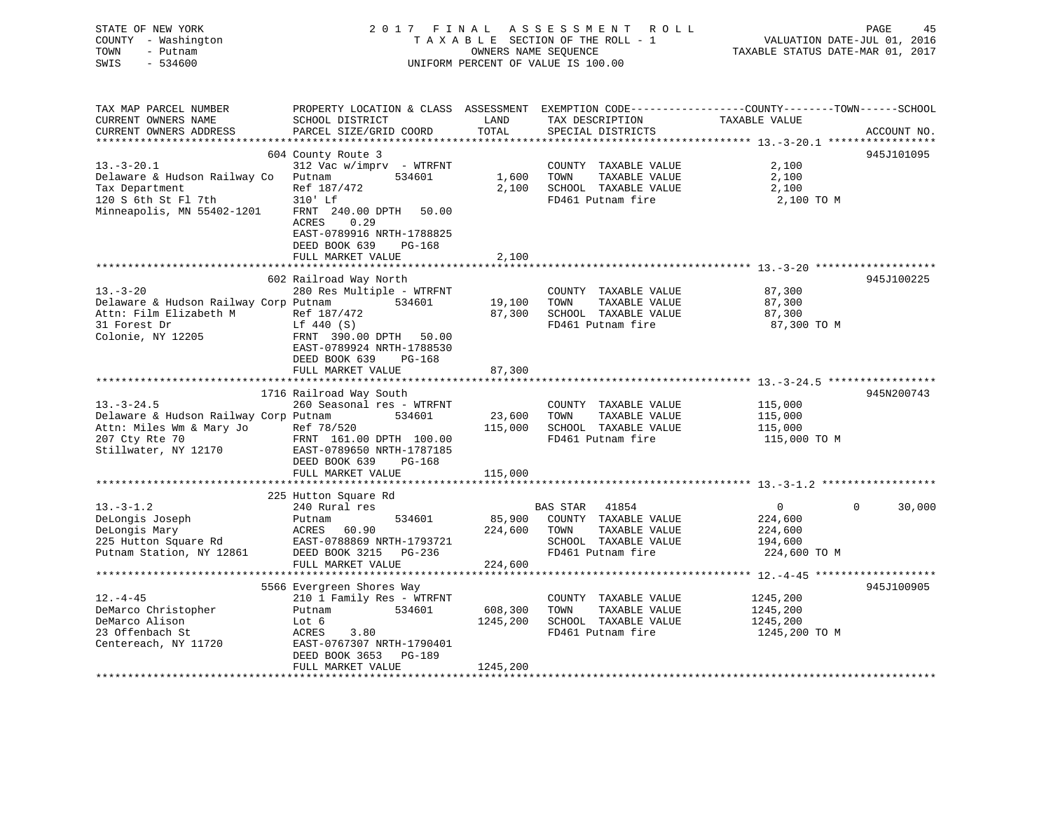| STATE OF NEW YORK<br>COUNTY - Washington<br>TOWN<br>- Putnam<br>$-534600$<br>SWIS | 2017 FINAL                                                                                                                                   |               | A S S E S S M E N T<br><b>ROLL</b><br>TAXABLE SECTION OF THE ROLL - 1<br>OWNERS NAME SEQUENCE<br>UNIFORM PERCENT OF VALUE IS 100.00 | VALUATION DATE-JUL 01, 2016<br>TAXABLE STATUS DATE-MAR 01, 2017 | PAGE<br>45         |
|-----------------------------------------------------------------------------------|----------------------------------------------------------------------------------------------------------------------------------------------|---------------|-------------------------------------------------------------------------------------------------------------------------------------|-----------------------------------------------------------------|--------------------|
| TAX MAP PARCEL NUMBER<br>CURRENT OWNERS NAME<br>CURRENT OWNERS ADDRESS            | PROPERTY LOCATION & CLASS ASSESSMENT EXEMPTION CODE----------------COUNTY-------TOWN-----SCHOOL<br>SCHOOL DISTRICT<br>PARCEL SIZE/GRID COORD | LAND<br>TOTAL | TAX DESCRIPTION<br>SPECIAL DISTRICTS                                                                                                | TAXABLE VALUE                                                   | ACCOUNT NO.        |
|                                                                                   | 604 County Route 3                                                                                                                           |               |                                                                                                                                     |                                                                 | 945J101095         |
| $13.-3-20.1$                                                                      | 312 Vac w/imprv - WTRFNT                                                                                                                     |               | COUNTY TAXABLE VALUE                                                                                                                | 2,100                                                           |                    |
| Delaware & Hudson Railway Co                                                      | 534601<br>Putnam                                                                                                                             | 1,600         | TOWN<br>TAXABLE VALUE                                                                                                               | 2,100                                                           |                    |
| Tax Department                                                                    | Ref 187/472                                                                                                                                  | 2,100         | SCHOOL TAXABLE VALUE                                                                                                                | 2,100                                                           |                    |
| 120 S 6th St Fl 7th                                                               | 310' Lf                                                                                                                                      |               | FD461 Putnam fire                                                                                                                   | 2,100 TO M                                                      |                    |
| Minneapolis, MN 55402-1201                                                        | FRNT 240.00 DPTH<br>50.00<br>ACRES<br>0.29<br>EAST-0789916 NRTH-1788825<br>DEED BOOK 639<br>PG-168<br>FULL MARKET VALUE                      | 2,100         |                                                                                                                                     |                                                                 |                    |
|                                                                                   |                                                                                                                                              |               |                                                                                                                                     |                                                                 |                    |
|                                                                                   | 602 Railroad Way North                                                                                                                       |               |                                                                                                                                     |                                                                 | 945J100225         |
| $13 - 3 - 20$                                                                     | 280 Res Multiple - WTRFNT                                                                                                                    |               | COUNTY TAXABLE VALUE                                                                                                                | 87,300                                                          |                    |
| Delaware & Hudson Railway Corp Putnam                                             | 534601                                                                                                                                       | 19,100        | TOWN<br>TAXABLE VALUE                                                                                                               | 87,300                                                          |                    |
| Attn: Film Elizabeth M                                                            | Ref 187/472                                                                                                                                  | 87,300        | SCHOOL TAXABLE VALUE                                                                                                                | 87,300                                                          |                    |
| 31 Forest Dr                                                                      | Lf 440 (S)                                                                                                                                   |               | FD461 Putnam fire                                                                                                                   | 87,300 TO M                                                     |                    |
| Colonie, NY 12205                                                                 | FRNT 390.00 DPTH<br>50.00<br>EAST-0789924 NRTH-1788530<br>DEED BOOK 639<br>PG-168<br>FULL MARKET VALUE                                       | 87,300        |                                                                                                                                     |                                                                 |                    |
|                                                                                   |                                                                                                                                              |               |                                                                                                                                     |                                                                 |                    |
|                                                                                   | 1716 Railroad Way South                                                                                                                      |               |                                                                                                                                     |                                                                 | 945N200743         |
| $13. - 3 - 24.5$                                                                  | 260 Seasonal res - WTRFNT                                                                                                                    |               | COUNTY TAXABLE VALUE                                                                                                                | 115,000                                                         |                    |
| Delaware & Hudson Railway Corp Putnam                                             | 534601                                                                                                                                       | 23,600        | TOWN<br>TAXABLE VALUE                                                                                                               | 115,000                                                         |                    |
| Attn: Miles Wm & Mary Jo                                                          | Ref 78/520                                                                                                                                   | 115,000       | SCHOOL TAXABLE VALUE                                                                                                                | 115,000                                                         |                    |
| 207 Cty Rte 70<br>Stillwater, NY 12170                                            | FRNT 161.00 DPTH 100.00<br>EAST-0789650 NRTH-1787185<br>DEED BOOK 639<br>PG-168<br>FULL MARKET VALUE                                         | 115,000       | FD461 Putnam fire                                                                                                                   | 115,000 TO M                                                    |                    |
|                                                                                   |                                                                                                                                              |               |                                                                                                                                     |                                                                 |                    |
|                                                                                   | 225 Hutton Square Rd                                                                                                                         |               |                                                                                                                                     |                                                                 |                    |
| $13.-3-1.2$                                                                       | 240 Rural res                                                                                                                                |               | <b>BAS STAR</b><br>41854                                                                                                            | $\Omega$                                                        | $\Omega$<br>30,000 |
| DeLongis Joseph                                                                   | Putnam<br>534601                                                                                                                             | 85,900        | COUNTY TAXABLE VALUE                                                                                                                | 224,600                                                         |                    |
| DeLongis Mary                                                                     | ACRES<br>60.90                                                                                                                               | 224,600       | TAXABLE VALUE<br>TOWN                                                                                                               | 224,600                                                         |                    |
| 225 Hutton Square Rd                                                              | EAST-0788869 NRTH-1793721                                                                                                                    |               | SCHOOL TAXABLE VALUE                                                                                                                | 194,600                                                         |                    |
| Putnam Station, NY 12861                                                          | DEED BOOK 3215<br>PG-236                                                                                                                     |               | FD461 Putnam fire                                                                                                                   | 224,600 TO M                                                    |                    |
|                                                                                   | FULL MARKET VALUE                                                                                                                            | 224,600       |                                                                                                                                     |                                                                 |                    |
|                                                                                   |                                                                                                                                              |               |                                                                                                                                     |                                                                 |                    |
|                                                                                   | 5566 Evergreen Shores Way                                                                                                                    |               |                                                                                                                                     |                                                                 | 945J100905         |
| $12. - 4 - 45$                                                                    | 210 1 Family Res - WTRFNT                                                                                                                    |               | COUNTY TAXABLE VALUE                                                                                                                | 1245,200                                                        |                    |
| DeMarco Christopher                                                               | 534601<br>Putnam                                                                                                                             | 608,300       | TOWN<br>TAXABLE VALUE                                                                                                               | 1245,200                                                        |                    |
| DeMarco Alison                                                                    | Lot 6                                                                                                                                        | 1245,200      | SCHOOL TAXABLE VALUE                                                                                                                | 1245,200                                                        |                    |
| 23 Offenbach St                                                                   | ACRES<br>3.80                                                                                                                                |               | FD461 Putnam fire                                                                                                                   | 1245,200 TO M                                                   |                    |
| Centereach, NY 11720                                                              | EAST-0767307 NRTH-1790401<br><b>PG-189</b><br>DEED BOOK 3653<br>FULL MARKET VALUE                                                            | 1245,200      |                                                                                                                                     |                                                                 |                    |
|                                                                                   |                                                                                                                                              |               |                                                                                                                                     |                                                                 |                    |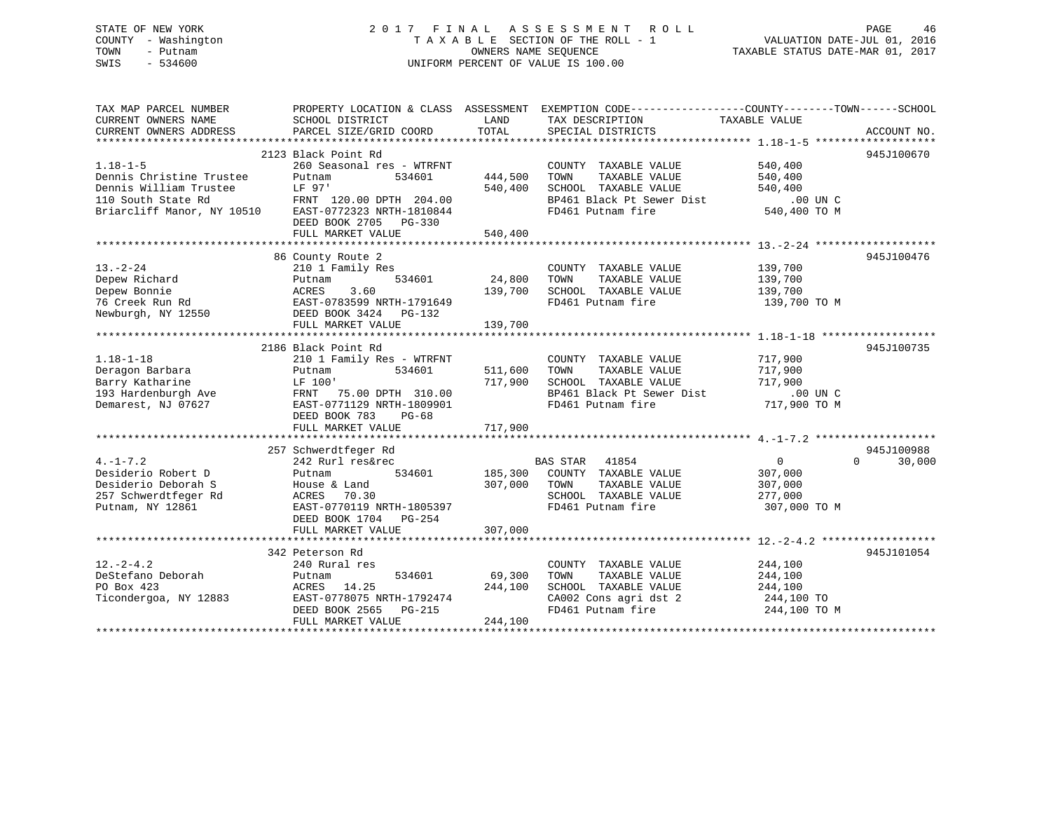# STATE OF NEW YORK 2 0 1 7 F I N A L A S S E S S M E N T R O L L PAGE 46COUNTY - Washington  $T A X A B L E$  SECTION OF THE ROLL - 1<br>TOWN - Putnam data of the COUNTERS NAME SEQUENCE SWIS - 534600 UNIFORM PERCENT OF VALUE IS 100.00

| TAX MAP PARCEL NUMBER<br>CURRENT OWNERS NAME                                                                                                                                  | SCHOOL DISTRICT                                    | LAND                 | PROPERTY LOCATION & CLASS ASSESSMENT EXEMPTION CODE----------------COUNTY-------TOWN------SCHOOL<br>TAX DESCRIPTION | TAXABLE VALUE                                   |                    |
|-------------------------------------------------------------------------------------------------------------------------------------------------------------------------------|----------------------------------------------------|----------------------|---------------------------------------------------------------------------------------------------------------------|-------------------------------------------------|--------------------|
| CURRENT OWNERS ADDRESS                                                                                                                                                        | PARCEL SIZE/GRID COORD TOTAL                       |                      | SPECIAL DISTRICTS                                                                                                   |                                                 | ACCOUNT NO.        |
|                                                                                                                                                                               |                                                    |                      |                                                                                                                     |                                                 |                    |
|                                                                                                                                                                               | 2123 Black Point Rd                                |                      |                                                                                                                     |                                                 | 945J100670         |
| $1.18 - 1 - 5$                                                                                                                                                                | 260 Seasonal res - WTRFNT                          |                      | COUNTY TAXABLE VALUE                                                                                                | 540,400                                         |                    |
| Dennis Christine Trustee<br>Dennis CHITISLINE Trustee<br>Dennis William Trustee                                                                                               | Putnam<br>534601<br>LF 97'                         | 444,500 TOWN         | 444,500 TOWN TAXABLE VALUE<br>540,400 SCHOOL TAXABLE VALUE                                                          | 540,400<br>540, 400                             |                    |
|                                                                                                                                                                               |                                                    |                      |                                                                                                                     |                                                 |                    |
|                                                                                                                                                                               |                                                    |                      | BP461 Black Pt Sewer Dist<br>FD461 Putnam fire 540,400 TO M                                                         |                                                 |                    |
| 110 South State Rd<br>Briarcliff Manor, NY 10510 EAST-0772323 NRTH-1810844                                                                                                    |                                                    |                      | FD461 Putnam fire                                                                                                   |                                                 |                    |
|                                                                                                                                                                               | DEED BOOK 2705 PG-330                              |                      |                                                                                                                     |                                                 |                    |
|                                                                                                                                                                               | FULL MARKET VALUE                                  | 540,400              |                                                                                                                     |                                                 |                    |
|                                                                                                                                                                               | 86 County Route 2                                  |                      |                                                                                                                     |                                                 | 945J100476         |
| $13 - 2 - 24$                                                                                                                                                                 | 210 1 Family Res                                   |                      | COUNTY TAXABLE VALUE                                                                                                |                                                 |                    |
| Depew Richard                                                                                                                                                                 | Putnam                                             | $534601$ 24,800 TOWN | TAXABLE VALUE                                                                                                       | 139,700<br>139,700                              |                    |
|                                                                                                                                                                               |                                                    |                      |                                                                                                                     |                                                 |                    |
| Pepew Bonnie<br>2009 Bonnie – ACRES 3.60<br>76 Creek Run Rd EAST-0783599 NRTH-1791649<br>Rewburgh, NY 12550 DEED BOOK 3424 PG-132<br>Newburgh, NY 12550 DEED BOOK 3424 PG-132 |                                                    |                      |                                                                                                                     | 139,700 TO M                                    |                    |
|                                                                                                                                                                               |                                                    |                      |                                                                                                                     |                                                 |                    |
|                                                                                                                                                                               |                                                    |                      |                                                                                                                     |                                                 |                    |
|                                                                                                                                                                               |                                                    |                      |                                                                                                                     |                                                 |                    |
|                                                                                                                                                                               | 2186 Black Point Rd                                |                      |                                                                                                                     |                                                 | 945J100735         |
| $1.18 - 1 - 18$                                                                                                                                                               | 210 1 Family Res - WTRFNT                          |                      | COUNTY TAXABLE VALUE                                                                                                | 717,900                                         |                    |
| Deragon Barbara                                                                                                                                                               | $534601$ 511,600 TOWN<br>Putnam                    |                      | TAXABLE VALUE                                                                                                       | 717,900                                         |                    |
| Barry Katharine                                                                                                                                                               | LF 100'                                            |                      | 717,900 SCHOOL TAXABLE VALUE                                                                                        |                                                 |                    |
|                                                                                                                                                                               |                                                    |                      | BP461 Black Pt Sewer Dist                                                                                           | $717,900$<br>$-1$<br>$-100$ UN C<br>$-220$ TO M |                    |
| Demarest, NJ 07627                                                                                                                                                            | EAST-0771129 NRTH-1809901                          |                      | FD461 Putnam fire 717,900 TO M                                                                                      |                                                 |                    |
|                                                                                                                                                                               | DEED BOOK 783<br>PG-68                             |                      |                                                                                                                     |                                                 |                    |
|                                                                                                                                                                               | FULL MARKET VALUE                                  | 717,900              |                                                                                                                     |                                                 |                    |
|                                                                                                                                                                               |                                                    |                      |                                                                                                                     |                                                 |                    |
|                                                                                                                                                                               | 257 Schwerdtfeger Rd                               |                      |                                                                                                                     |                                                 | 945J100988         |
| $4. -1 - 7.2$                                                                                                                                                                 | 242 Rurl res&rec                                   |                      | BAS STAR 41854                                                                                                      | $\overline{0}$                                  | $\Omega$<br>30,000 |
| Desiderio Robert D                                                                                                                                                            | Putnam                                             |                      | 534601 185,300 COUNTY TAXABLE VALUE                                                                                 | 307,000                                         |                    |
| Desiderio Deborah S                                                                                                                                                           | House & Land                                       | 307,000 TOWN         | TAXABLE VALUE                                                                                                       | 307,000                                         |                    |
| 257 Schwerdtfeger Rd                                                                                                                                                          | ACRES 70.30                                        |                      | SCHOOL TAXABLE VALUE 277,000                                                                                        |                                                 |                    |
| Putnam, NY 12861                                                                                                                                                              | EAST-0770119 NRTH-1805397                          |                      | FD461 Putnam fire                                                                                                   | 307,000 TO M                                    |                    |
|                                                                                                                                                                               | DEED BOOK 1704 PG-254                              |                      |                                                                                                                     |                                                 |                    |
|                                                                                                                                                                               | FULL MARKET VALUE                                  | 307,000              |                                                                                                                     |                                                 |                    |
|                                                                                                                                                                               |                                                    |                      |                                                                                                                     |                                                 |                    |
|                                                                                                                                                                               | 342 Peterson Rd                                    |                      |                                                                                                                     |                                                 | 945J101054         |
| $12. - 2 - 4.2$                                                                                                                                                               | 240 Rural res                                      |                      | COUNTY TAXABLE VALUE                                                                                                | 244,100                                         |                    |
| DeStefano Deborah                                                                                                                                                             | 534601 69,300<br>Putnam                            |                      | TAXABLE VALUE<br>TOWN                                                                                               | 244,100                                         |                    |
| PO Box 423                                                                                                                                                                    | ACRES 14.25                                        | 244,100              | SCHOOL TAXABLE VALUE 244,100                                                                                        |                                                 |                    |
| Ticondergoa, NY 12883                                                                                                                                                         | EAST-0778075 NRTH-1792474<br>DEED BOOK 2565 PG-215 |                      | CA002 Cons agri dst 2<br>FD461 Putnam fire                                                                          | 244,100 TO                                      |                    |
|                                                                                                                                                                               | DEED BOOK 2565 PG-215                              |                      |                                                                                                                     | $244,100$ TO M                                  |                    |
|                                                                                                                                                                               | FULL MARKET VALUE                                  | 244,100              |                                                                                                                     |                                                 |                    |
|                                                                                                                                                                               |                                                    |                      |                                                                                                                     |                                                 |                    |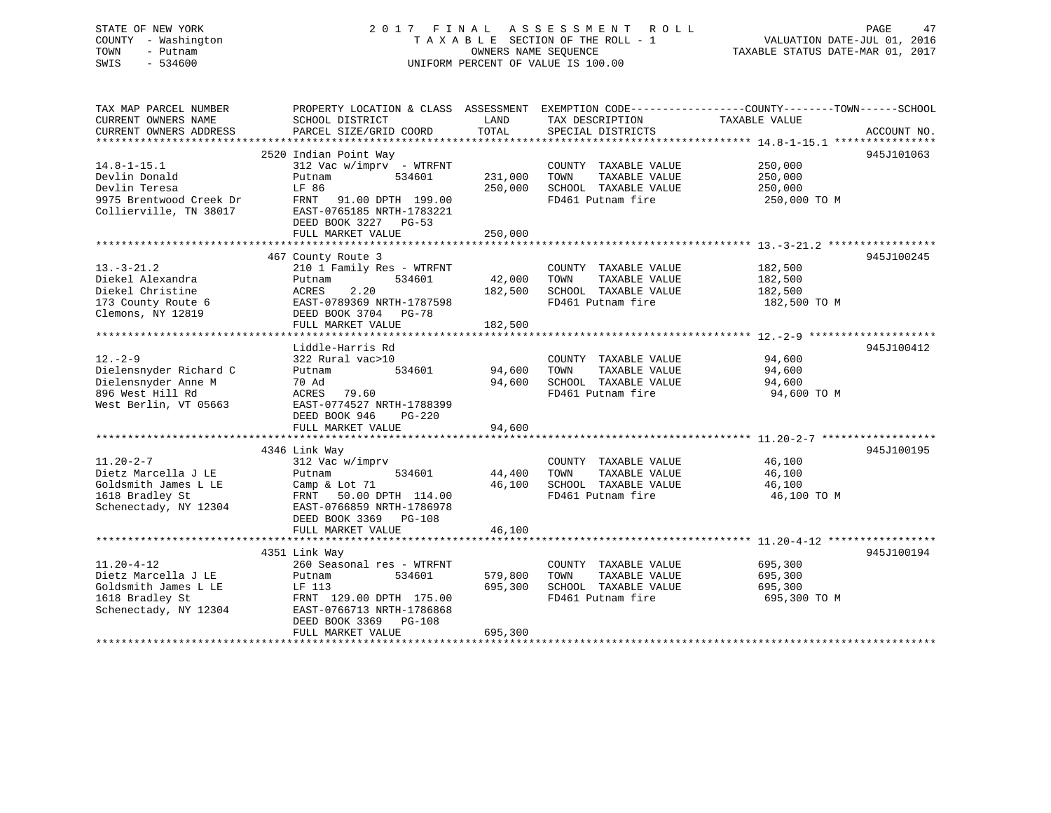# STATE OF NEW YORK 2 0 1 7 F I N A L A S S E S S M E N T R O L L PAGE 47COUNTY - Washington  $T A X A B L E$  SECTION OF THE ROLL - 1<br>TOWN - Putnam data of the COUNTERS NAME SEQUENCE SWIS - 534600 UNIFORM PERCENT OF VALUE IS 100.00

VALUATION DATE-JUL 01, 2016

TAXABLE STATUS DATE-MAR 01, 2017

| TAX MAP PARCEL NUMBER<br>CURRENT OWNERS NAME<br>CURRENT OWNERS ADDRESS                                      | PROPERTY LOCATION & CLASS ASSESSMENT EXEMPTION CODE---------------COUNTY-------TOWN-----SCHOOL<br>SCHOOL DISTRICT<br>PARCEL SIZE/GRID COORD                                          | LAND<br>TOTAL                 | TAX DESCRIPTION<br>SPECIAL DISTRICTS                                                       | TAXABLE VALUE                                 | ACCOUNT NO. |
|-------------------------------------------------------------------------------------------------------------|--------------------------------------------------------------------------------------------------------------------------------------------------------------------------------------|-------------------------------|--------------------------------------------------------------------------------------------|-----------------------------------------------|-------------|
| $14.8 - 1 - 15.1$<br>Devlin Donald<br>Devlin Teresa<br>9975 Brentwood Creek Dr<br>Collierville, TN 38017    | 2520 Indian Point Way<br>$312$ Vac w/imprv - WTRFNT<br>534601<br>Putnam<br>LF 86<br>FRNT 91.00 DPTH 199.00<br>EAST-0765185 NRTH-1783221<br>DEED BOOK 3227 PG-53<br>FULL MARKET VALUE | 231,000<br>250,000<br>250,000 | COUNTY TAXABLE VALUE<br>TOWN<br>TAXABLE VALUE<br>SCHOOL TAXABLE VALUE<br>FD461 Putnam fire | 250,000<br>250,000<br>250,000<br>250,000 TO M | 945J101063  |
| $13.-3-21.2$<br>Diekel Alexandra<br>Diekel Christine<br>173 County Route 6<br>Clemons, NY 12819             | 467 County Route 3<br>210 1 Family Res - WTRFNT<br>534601<br>Putnam<br>2.20<br>ACRES<br>EAST-0789369 NRTH-1787598<br>DEED BOOK 3704 PG-78<br>FULL MARKET VALUE                       | 42,000<br>182,500<br>182,500  | COUNTY TAXABLE VALUE<br>TOWN<br>TAXABLE VALUE<br>SCHOOL TAXABLE VALUE<br>FD461 Putnam fire | 182,500<br>182,500<br>182,500<br>182,500 TO M | 945J100245  |
| $12. - 2 - 9$<br>Dielensnyder Richard C<br>Dielensnyder Anne M<br>896 West Hill Rd<br>West Berlin, VT 05663 | Liddle-Harris Rd<br>322 Rural vac>10<br>Putnam<br>534601<br>70 Ad<br>ACRES<br>79.60<br>EAST-0774527 NRTH-1788399<br>DEED BOOK 946<br>PG-220<br>FULL MARKET VALUE                     | 94,600<br>94,600<br>94,600    | COUNTY TAXABLE VALUE<br>TAXABLE VALUE<br>TOWN<br>SCHOOL TAXABLE VALUE<br>FD461 Putnam fire | 94,600<br>94,600<br>94,600<br>94,600 TO M     | 945J100412  |
| $11.20 - 2 - 7$<br>Dietz Marcella J LE<br>Goldsmith James L LE<br>1618 Bradley St<br>Schenectady, NY 12304  | 4346 Link Way<br>312 Vac w/imprv<br>534601<br>Putnam<br>Camp & Lot 71<br>FRNT 50.00 DPTH 114.00<br>EAST-0766859 NRTH-1786978<br>DEED BOOK 3369 PG-108<br>FULL MARKET VALUE           | 44,400<br>46,100<br>46,100    | COUNTY TAXABLE VALUE<br>TOWN<br>TAXABLE VALUE<br>SCHOOL TAXABLE VALUE<br>FD461 Putnam fire | 46,100<br>46,100<br>46,100<br>46,100 TO M     | 945J100195  |
| $11.20 - 4 - 12$<br>Dietz Marcella J LE<br>Goldsmith James L LE<br>1618 Bradley St<br>Schenectady, NY 12304 | 4351 Link Way<br>260 Seasonal res - WTRFNT<br>534601<br>Putnam<br>LF 113<br>FRNT 129.00 DPTH 175.00<br>EAST-0766713 NRTH-1786868<br>DEED BOOK 3369 PG-108<br>FULL MARKET VALUE       | 579,800<br>695,300<br>695,300 | COUNTY TAXABLE VALUE<br>TAXABLE VALUE<br>TOWN<br>SCHOOL TAXABLE VALUE<br>FD461 Putnam fire | 695,300<br>695,300<br>695,300<br>695,300 TO M | 945J100194  |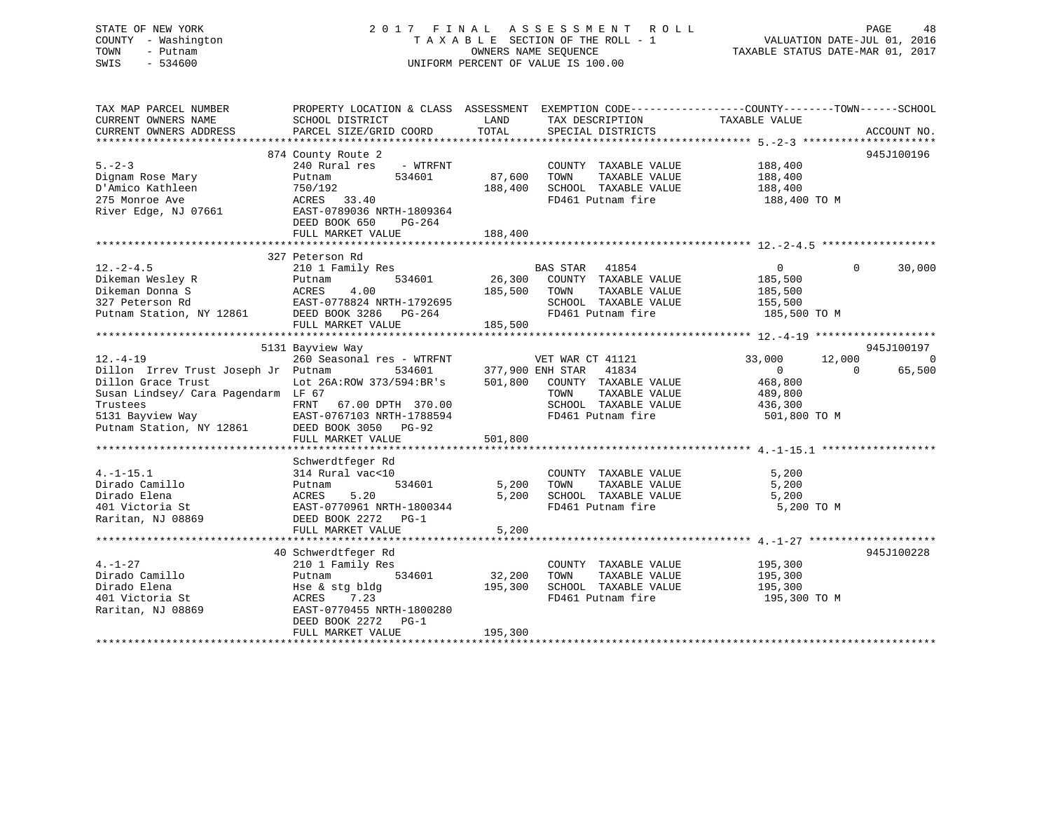## STATE OF NEW YORK 2 0 1 7 F I N A L A S S E S S M E N T R O L L PAGE 48 COUNTY - Washington T A X A B L E SECTION OF THE ROLL - 1 VALUATION DATE-JUL 01, 2016 TOWN - Putnam OWNERS NAME SEQUENCE TAXABLE STATUS DATE-MAR 01, 2017 SWIS - 534600 UNIFORM PERCENT OF VALUE IS 100.00

| TAX MAP PARCEL NUMBER                          | PROPERTY LOCATION & CLASS ASSESSMENT EXEMPTION CODE----------------COUNTY-------TOWN------SCHOOL |                                    |                                                                 |                |                          |
|------------------------------------------------|--------------------------------------------------------------------------------------------------|------------------------------------|-----------------------------------------------------------------|----------------|--------------------------|
| CURRENT OWNERS NAME                            | SCHOOL DISTRICT                                                                                  | LAND                               | TAX DESCRIPTION                                                 | TAXABLE VALUE  |                          |
| CURRENT OWNERS ADDRESS                         | PARCEL SIZE/GRID COORD                                                                           | TOTAL                              | SPECIAL DISTRICTS                                               |                | ACCOUNT NO.              |
|                                                |                                                                                                  |                                    |                                                                 |                |                          |
|                                                | 874 County Route 2                                                                               |                                    |                                                                 |                | 945J100196               |
| $5. - 2 - 3$                                   | 240 Rural res<br>- WTRFNT                                                                        |                                    | COUNTY TAXABLE VALUE                                            | 188,400        |                          |
| Dignam Rose Mary                               | 534601<br>Putnam                                                                                 | 87,600                             | TOWN<br>TAXABLE VALUE                                           | 188,400        |                          |
| D'Amico Kathleen                               | 750/192                                                                                          | 188,400                            | SCHOOL TAXABLE VALUE                                            | 188,400        |                          |
| 275 Monroe Ave                                 | ACRES 33.40                                                                                      |                                    | FD461 Putnam fire                                               | 188,400 ТО М   |                          |
| River Edge, NJ 07661                           | EAST-0789036 NRTH-1809364                                                                        |                                    |                                                                 |                |                          |
|                                                | DEED BOOK 650<br>PG-264                                                                          |                                    |                                                                 |                |                          |
|                                                | FULL MARKET VALUE                                                                                | 188,400                            |                                                                 |                |                          |
|                                                |                                                                                                  |                                    |                                                                 |                |                          |
|                                                | 327 Peterson Rd                                                                                  |                                    |                                                                 |                |                          |
| $12. - 2 - 4.5$                                | 210 1 Family Res                                                                                 |                                    | BAS STAR TILL I<br>26,300 COUNTY TAXABLE VALUE<br>TAXABLE VALUE | $\overline{0}$ | $\Omega$<br>30,000       |
| Dikeman Wesley R                               | Putnam 534601<br>ACRES 4.00<br>EAST-0778824 NRTH-1792695                                         |                                    |                                                                 | 185,500        |                          |
| Dikeman Donna S                                |                                                                                                  | 185,500                            |                                                                 | 185,500        |                          |
| 327 Peterson Rd                                |                                                                                                  |                                    | SCHOOL TAXABLE VALUE                                            | 155,500        |                          |
| Putnam Station, NY 12861 DEED BOOK 3286 PG-264 |                                                                                                  |                                    | FD461 Putnam fire                                               | 185,500 TO M   |                          |
|                                                | FULL MARKET VALUE                                                                                | 185,500                            |                                                                 |                |                          |
|                                                |                                                                                                  |                                    |                                                                 |                |                          |
|                                                | 5131 Bayview Way                                                                                 |                                    |                                                                 |                | 945J100197               |
| $12. - 4 - 19$                                 | 260 Seasonal res - WTRFNT                                                                        |                                    | VET WAR CT 41121                                                | 33,000         | $\overline{0}$<br>12,000 |
| Dillon Irrev Trust Joseph Jr Putnam            | 534601                                                                                           |                                    | 41834                                                           | $\Omega$       | $\bigcap$<br>65,500      |
| Dillon Grace Trust                             | Lot 26A: ROW 373/594: BR's                                                                       | 377,900 ENH STAR<br>501,800 COUNTY | COUNTY TAXABLE VALUE                                            | 468,800        |                          |
| Susan Lindsey/ Cara Pagendarm LF 67            |                                                                                                  |                                    | TOWN<br>TAXABLE VALUE                                           | 489,800        |                          |
| Trustees                                       | FRNT<br>67.00 DPTH 370.00                                                                        |                                    | SCHOOL TAXABLE VALUE                                            | 436,300        |                          |
| 5131 Bayview Way                               | EAST-0767103 NRTH-1788594                                                                        |                                    | FD461 Putnam fire                                               | 501,800 TO M   |                          |
| $\cdot$ 1986]<br>Putnam Station, NY 12861      | DEED BOOK 3050 PG-92                                                                             |                                    |                                                                 |                |                          |
|                                                | FULL MARKET VALUE                                                                                | 501,800                            |                                                                 |                |                          |
|                                                |                                                                                                  |                                    |                                                                 |                |                          |
|                                                |                                                                                                  |                                    |                                                                 |                |                          |
| $4. -1 - 15.1$                                 | Schwerdtfeger Rd<br>314 Rural vac<10                                                             |                                    | COUNTY TAXABLE VALUE                                            | 5,200          |                          |
| Dirado Camillo                                 | 534601                                                                                           | 5,200                              | TAXABLE VALUE<br>TOWN                                           | 5,200          |                          |
|                                                | Putnam                                                                                           |                                    |                                                                 |                |                          |
| Dirado Elena                                   | ACRES 5.20<br>EAST-0770961 NRTH-1800344                                                          | 5,200                              | SCHOOL TAXABLE VALUE                                            | 5,200          |                          |
| 401 Victoria St                                |                                                                                                  |                                    | FD461 Putnam fire                                               | 5,200 TO M     |                          |
| Raritan, NJ 08869                              | DEED BOOK 2272 PG-1                                                                              |                                    |                                                                 |                |                          |
|                                                | FULL MARKET VALUE                                                                                | 5,200                              |                                                                 |                |                          |
|                                                |                                                                                                  |                                    |                                                                 |                |                          |
|                                                | 40 Schwerdtfeger Rd                                                                              |                                    |                                                                 |                | 945J100228               |
| $4. -1 - 27$                                   | 210 1 Family Res                                                                                 |                                    | COUNTY TAXABLE VALUE                                            | 195,300        |                          |
| Dirado Camillo                                 | Putnam<br>534601                                                                                 | 32,200                             | TAXABLE VALUE<br>TOWN                                           | 195,300        |                          |
| Dirado Elena                                   | Hse & stg bldg                                                                                   | 195,300                            | SCHOOL TAXABLE VALUE                                            | 195,300        |                          |
| 401 Victoria St                                | ACRES 7.23                                                                                       |                                    | FD461 Putnam fire                                               | 195,300 TO M   |                          |
| Raritan, NJ 08869                              | EAST-0770455 NRTH-1800280                                                                        |                                    |                                                                 |                |                          |
|                                                | DEED BOOK 2272 PG-1                                                                              |                                    |                                                                 |                |                          |
|                                                | FULL MARKET VALUE                                                                                | 195,300                            |                                                                 |                |                          |
|                                                |                                                                                                  |                                    |                                                                 |                |                          |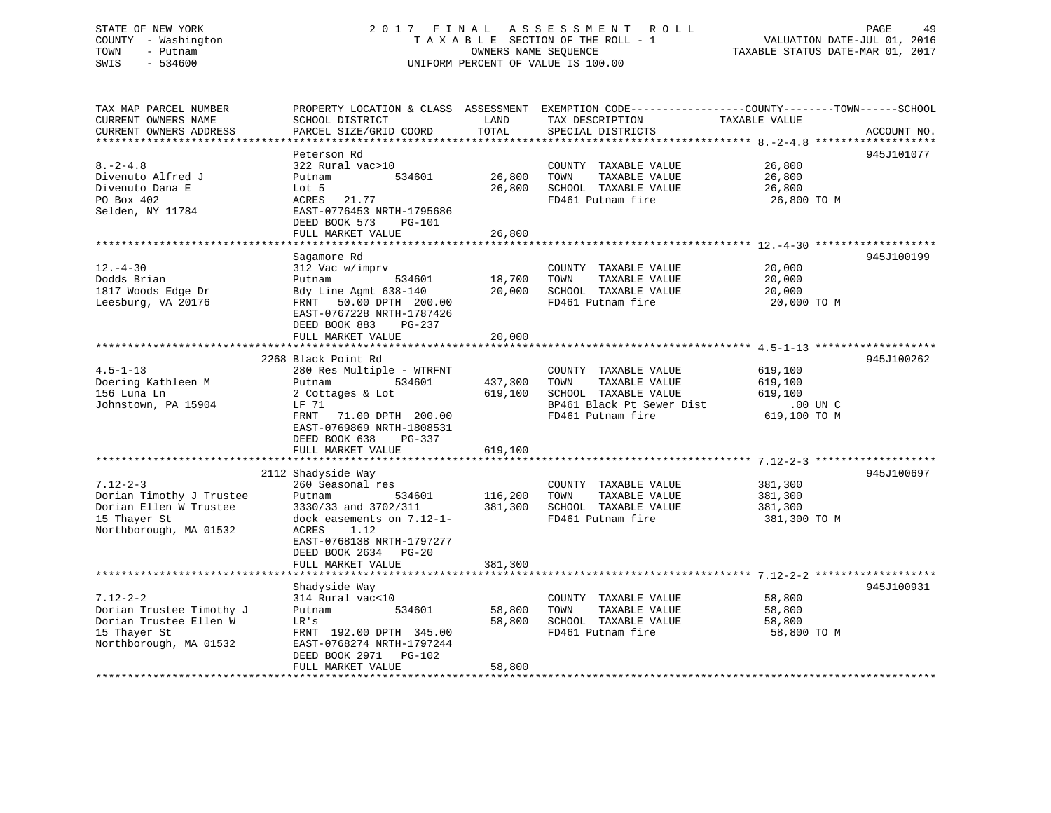### STATE OF NEW YORK 2 0 1 7 F I N A L A S S E S S M E N T R O L L PAGE 49 COUNTY - Washington T A X A B L E SECTION OF THE ROLL - 1 VALUATION DATE-JUL 01, 2016 TOWN - Putnam OWNERS NAME SEQUENCE TAXABLE STATUS DATE-MAR 01, 2017 SWIS - 534600 UNIFORM PERCENT OF VALUE IS 100.00UNIFORM PERCENT OF VALUE IS 100.00

TAX MAP PARCEL NUMBER PROPERTY LOCATION & CLASS ASSESSMENT EXEMPTION CODE------------------COUNTY--------TOWN------SCHOOL

CURRENT OWNERS ADDRESS PARCEL SIZE/GRID COORD TOTAL SPECIAL DISTRICTS ACCOUNT NO.

CURRENT OWNERS NAME SCHOOL DISTRICT LAND TAX DESCRIPTION TAXABLE VALUE

|                          | Peterson Rd                                                                                                           |              |                               |              | 945J101077 |
|--------------------------|-----------------------------------------------------------------------------------------------------------------------|--------------|-------------------------------|--------------|------------|
| $8. -2 - 4.8$            | 322 Rural vac>10                                                                                                      |              | COUNTY TAXABLE VALUE          | 26,800       |            |
| Divenuto Alfred J        | Putnam<br>534601                                                                                                      | 26,800       | TAXABLE VALUE<br>TOWN         | 26,800       |            |
| Divenuto Dana E          | Lot 5                                                                                                                 |              | 26,800 SCHOOL TAXABLE VALUE   | 26,800       |            |
| PO Box 402               | ACRES 21.77                                                                                                           |              | FD461 Putnam fire             | 26,800 TO M  |            |
| Selden, NY 11784         | EAST-0776453 NRTH-1795686                                                                                             |              |                               |              |            |
|                          | DEED BOOK 573<br>PG-101                                                                                               |              |                               |              |            |
|                          | FULL MARKET VALUE                                                                                                     | 26,800       |                               |              |            |
|                          |                                                                                                                       |              |                               |              |            |
|                          | Sagamore Rd                                                                                                           |              |                               |              | 945J100199 |
| $12. - 4 - 30$           | 312 Vac w/imprv                                                                                                       |              | COUNTY TAXABLE VALUE          | 20,000       |            |
| Dodds Brian              | Putnam<br>534601                                                                                                      | 18,700 TOWN  | TAXABLE VALUE                 | 20,000       |            |
| 1817 Woods Edge Dr       | Bdy Line Agmt 638-140                                                                                                 |              | 20,000 SCHOOL TAXABLE VALUE   | 20,000       |            |
| Leesburg, VA 20176       | FRNT 50.00 DPTH 200.00                                                                                                |              | FD461 Putnam fire             | 20,000 TO M  |            |
|                          | EAST-0767228 NRTH-1787426                                                                                             |              |                               |              |            |
|                          | DEED BOOK 883<br>PG-237                                                                                               |              |                               |              |            |
|                          | FULL MARKET VALUE                                                                                                     | 20,000       |                               |              |            |
|                          |                                                                                                                       |              |                               |              |            |
|                          | 2268 Black Point Rd                                                                                                   |              |                               |              | 945J100262 |
| $4.5 - 1 - 13$           | 280 Res Multiple - WTRFNT                                                                                             |              | COUNTY TAXABLE VALUE          | 619,100      |            |
| Doering Kathleen M       | Putnam<br>534601                                                                                                      | 437,300 TOWN | TAXABLE VALUE                 | 619,100      |            |
| 156 Luna Ln              | 2 Cottages & Lot                                                                                                      |              | 619,100 SCHOOL TAXABLE VALUE  | 619,100      |            |
| Johnstown, PA 15904      | LF 71                                                                                                                 |              | BP461 Black Pt Sewer Dist     | .00 UN C     |            |
|                          | FRNT<br>71.00 DPTH 200.00                                                                                             |              | FD461 Putnam fire             | 619,100 TO M |            |
|                          | EAST-0769869 NRTH-1808531                                                                                             |              |                               |              |            |
|                          | DEED BOOK 638<br>$PG-337$                                                                                             |              |                               |              |            |
|                          | FULL MARKET VALUE                                                                                                     | 619,100      |                               |              |            |
|                          |                                                                                                                       |              |                               |              |            |
|                          | 2112 Shadyside Way                                                                                                    |              |                               |              | 945J100697 |
| $7.12 - 2 - 3$           | 260 Seasonal res                                                                                                      |              | COUNTY TAXABLE VALUE          | 381,300      |            |
| Dorian Timothy J Trustee | Putnam<br>534601                                                                                                      |              | 116,200 TOWN<br>TAXABLE VALUE | 381,300      |            |
| Dorian Ellen W Trustee   | $3330/33$ and $3702/311$<br>dock easements on $7.12-1-$<br>$381,300$<br>$5CHOOL$ TAXABLE VALUE<br>$FDA61$ Putnam fire |              |                               | 381,300      |            |
| 15 Thayer St             |                                                                                                                       |              |                               | 381,300 TO M |            |
| Northborough, MA 01532   | 1.12<br>ACRES                                                                                                         |              |                               |              |            |
|                          | EAST-0768138 NRTH-1797277                                                                                             |              |                               |              |            |
|                          | DEED BOOK 2634 PG-20                                                                                                  |              |                               |              |            |
|                          | FULL MARKET VALUE                                                                                                     | 381,300      |                               |              |            |
|                          |                                                                                                                       |              |                               |              |            |
|                          | Shadyside Way                                                                                                         |              |                               |              | 945J100931 |
| $7.12 - 2 - 2$           | 314 Rural vac<10                                                                                                      |              | COUNTY TAXABLE VALUE          | 58,800       |            |
| Dorian Trustee Timothy J | 534601<br>Putnam                                                                                                      | 58,800       | TAXABLE VALUE<br>TOWN         | 58,800       |            |
| Dorian Trustee Ellen W   | LR's                                                                                                                  | 58,800       | SCHOOL TAXABLE VALUE          | 58,800       |            |
| 15 Thayer St             | FRNT 192.00 DPTH 345.00                                                                                               |              | FD461 Putnam fire             | 58,800 TO M  |            |
| Northborough, MA 01532   | EAST-0768274 NRTH-1797244                                                                                             |              |                               |              |            |
|                          | DEED BOOK 2971 PG-102                                                                                                 |              |                               |              |            |
|                          | FULL MARKET VALUE                                                                                                     | 58,800       |                               |              |            |
|                          |                                                                                                                       |              |                               |              |            |
|                          |                                                                                                                       |              |                               |              |            |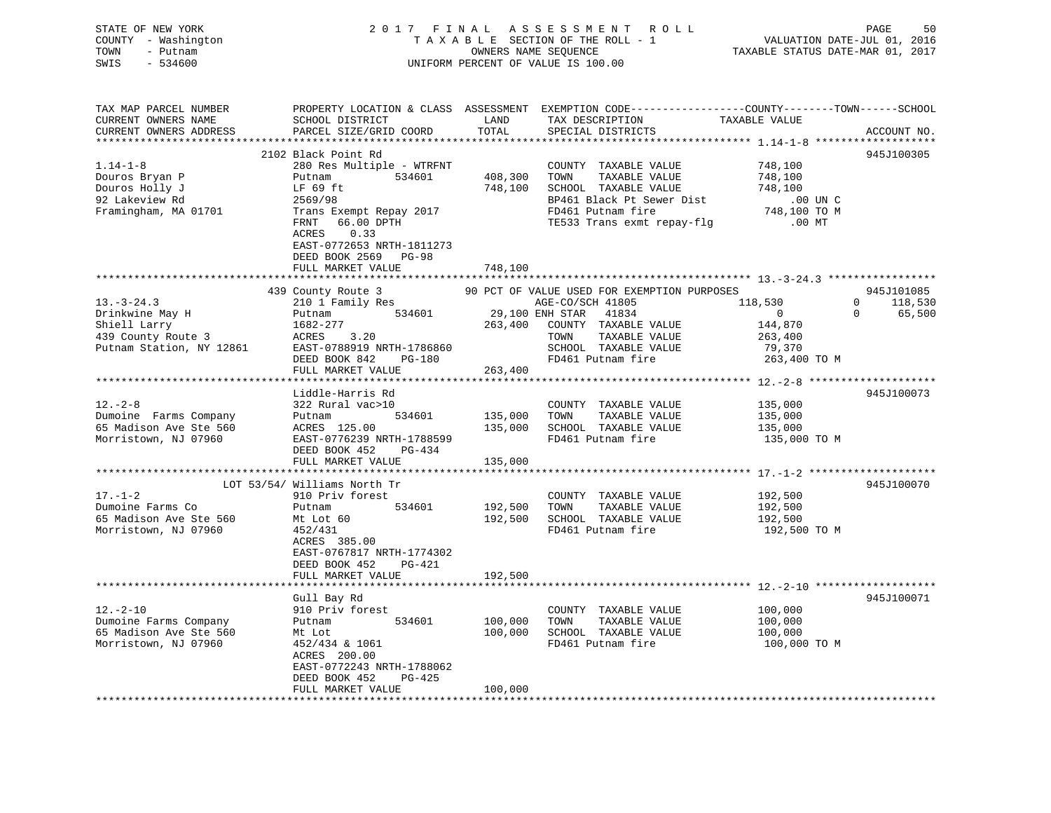| STATE OF NEW YORK<br>COUNTY - Washington<br>- Putnam<br>TOWN<br>SWIS<br>$-534600$            | 2017 FINAL                                                                                                         | OWNERS NAME SEQUENCE       | ASSESSMENT ROLL<br>TAXABLE SECTION OF THE ROLL - 1<br>UNIFORM PERCENT OF VALUE IS 100.00                                                              | VALUATION DATE-JUL 01, 2016<br>TAXABLE STATUS DATE-MAR 01, 2017       | 50<br>PAGE                            |
|----------------------------------------------------------------------------------------------|--------------------------------------------------------------------------------------------------------------------|----------------------------|-------------------------------------------------------------------------------------------------------------------------------------------------------|-----------------------------------------------------------------------|---------------------------------------|
| TAX MAP PARCEL NUMBER<br>CURRENT OWNERS NAME<br>CURRENT OWNERS ADDRESS                       | SCHOOL DISTRICT<br>PARCEL SIZE/GRID COORD                                                                          | LAND<br>TOTAL              | PROPERTY LOCATION & CLASS ASSESSMENT EXEMPTION CODE----------------COUNTY-------TOWN------SCHOOL<br>TAX DESCRIPTION<br>SPECIAL DISTRICTS              | TAXABLE VALUE                                                         | ACCOUNT NO.                           |
|                                                                                              | 2102 Black Point Rd                                                                                                |                            |                                                                                                                                                       |                                                                       | 945J100305                            |
| $1.14 - 1 - 8$<br>Douros Bryan P<br>Douros Holly J<br>92 Lakeview Rd<br>Framingham, MA 01701 | 280 Res Multiple - WTRFNT<br>Putnam 534601<br>LF 69 ft<br>2569/98<br>Trans Exempt Repay 2017<br>66.00 DPTH<br>FRNT | 408,300<br>748,100         | COUNTY TAXABLE VALUE<br>TOWN<br>TAXABLE VALUE<br>SCHOOL TAXABLE VALUE<br>BP461 Black Pt Sewer Dist<br>FD461 Putnam fire<br>TE533 Trans exmt repay-flg | 748,100<br>748,100<br>748,100<br>$.00$ UN C<br>748,100 TO M<br>.00 MT |                                       |
|                                                                                              | ACRES<br>0.33<br>EAST-0772653 NRTH-1811273<br>DEED BOOK 2569 PG-98<br>FULL MARKET VALUE                            | 748,100                    |                                                                                                                                                       |                                                                       |                                       |
|                                                                                              | 439 County Route 3                                                                                                 |                            | 90 PCT OF VALUE USED FOR EXEMPTION PURPOSES                                                                                                           |                                                                       | 945J101085                            |
| $13.-3-24.3$                                                                                 | 210 1 Family Res                                                                                                   |                            | AGE-CO/SCH 41805 118,530                                                                                                                              |                                                                       | 118,530<br>$\overline{0}$<br>$\Omega$ |
| Drinkwine May H<br>Shiell Larry                                                              | Putnam 534601<br>1682-277                                                                                          | 29,100 ENH STAR<br>263,400 | 41834<br>COUNTY TAXABLE VALUE                                                                                                                         | $\overline{0}$<br>144,870                                             | 65,500                                |
| 439 County Route 3                                                                           | ACRES 3.20                                                                                                         |                            | TOWN<br>TAXABLE VALUE                                                                                                                                 | 263,400                                                               |                                       |
| Putnam Station, NY 12861                                                                     | EAST-0788919 NRTH-1786860                                                                                          |                            | SCHOOL TAXABLE VALUE                                                                                                                                  | 79,370                                                                |                                       |
|                                                                                              | DEED BOOK 842 PG-180                                                                                               |                            | FD461 Putnam fire                                                                                                                                     | 263,400 TO M                                                          |                                       |
|                                                                                              | FULL MARKET VALUE                                                                                                  | 263,400                    |                                                                                                                                                       |                                                                       |                                       |
|                                                                                              |                                                                                                                    |                            |                                                                                                                                                       |                                                                       |                                       |
| $12. - 2 - 8$                                                                                | Liddle-Harris Rd<br>322 Rural vac>10                                                                               |                            |                                                                                                                                                       |                                                                       | 945J100073                            |
| Dumoine Farms Company                                                                        | 534601<br>Putnam                                                                                                   | 135,000                    | COUNTY TAXABLE VALUE<br>TOWN<br>TAXABLE VALUE                                                                                                         | 135,000<br>135,000                                                    |                                       |
| 65 Madison Ave Ste 560                                                                       | 534601<br>ACRES 125.00                                                                                             | 135,000                    | SCHOOL TAXABLE VALUE                                                                                                                                  | 135,000                                                               |                                       |
| Morristown, NJ 07960                                                                         | EAST-0776239 NRTH-1788599                                                                                          |                            | FD461 Putnam fire                                                                                                                                     | 135,000 TO M                                                          |                                       |
|                                                                                              | DEED BOOK 452<br>PG-434                                                                                            |                            |                                                                                                                                                       |                                                                       |                                       |
|                                                                                              | FULL MARKET VALUE                                                                                                  | 135,000                    |                                                                                                                                                       |                                                                       |                                       |
|                                                                                              |                                                                                                                    | *********                  |                                                                                                                                                       | ************** 17. -1-2 *********************                         |                                       |
| $17. - 1 - 2$                                                                                | LOT 53/54/ Williams North Tr<br>910 Priv forest                                                                    |                            |                                                                                                                                                       |                                                                       | 945J100070                            |
| Dumoine Farms Co                                                                             | 534601<br>Putnam                                                                                                   | 192,500                    | COUNTY TAXABLE VALUE<br>TOWN<br>TAXABLE VALUE                                                                                                         | 192,500<br>192,500                                                    |                                       |
| 65 Madison Ave Ste 560                                                                       | Mt Lot 60                                                                                                          | 192,500                    | SCHOOL TAXABLE VALUE                                                                                                                                  | 192,500                                                               |                                       |
| Morristown, NJ 07960                                                                         | 452/431<br>ACRES 385.00<br>EAST-0767817 NRTH-1774302<br>DEED BOOK 452<br>PG-421                                    |                            | FD461 Putnam fire                                                                                                                                     | 192,500 TO M                                                          |                                       |
|                                                                                              | FULL MARKET VALUE                                                                                                  | 192,500                    |                                                                                                                                                       |                                                                       |                                       |
|                                                                                              |                                                                                                                    |                            |                                                                                                                                                       |                                                                       |                                       |
| $12.-2-10$                                                                                   | Gull Bay Rd                                                                                                        |                            |                                                                                                                                                       |                                                                       | 945J100071                            |
| Dumoine Farms Company                                                                        | 910 Priv forest<br>534601<br>Putnam                                                                                | 100,000                    | COUNTY TAXABLE VALUE<br>TAXABLE VALUE<br>TOWN                                                                                                         | 100,000<br>100,000                                                    |                                       |
| 65 Madison Ave Ste 560                                                                       | Mt Lot                                                                                                             | 100,000                    | SCHOOL TAXABLE VALUE                                                                                                                                  | 100,000                                                               |                                       |
| Morristown, NJ 07960                                                                         | 452/434 & 1061<br>ACRES 200.00<br>EAST-0772243 NRTH-1788062<br>DEED BOOK 452<br>$PG-425$                           |                            | FD461 Putnam fire                                                                                                                                     | 100,000 TO M                                                          |                                       |
|                                                                                              | FULL MARKET VALUE                                                                                                  | 100,000                    |                                                                                                                                                       |                                                                       |                                       |
| **********************                                                                       |                                                                                                                    |                            |                                                                                                                                                       |                                                                       |                                       |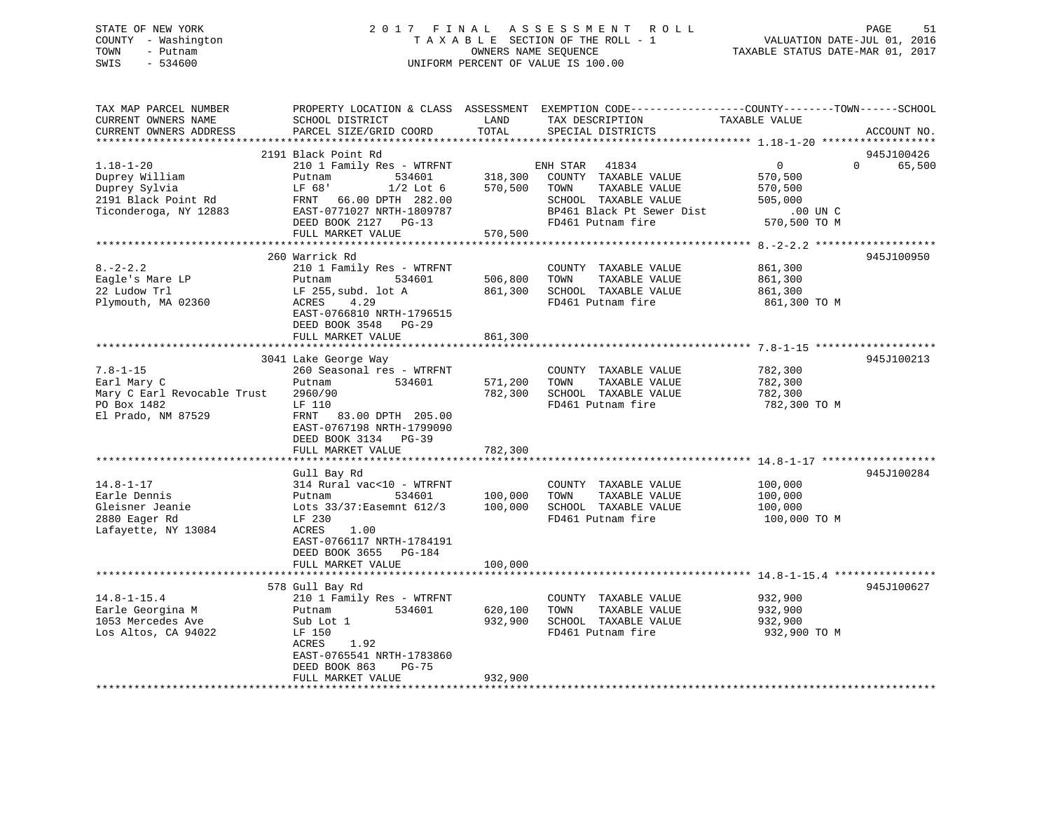## STATE OF NEW YORK 2 0 1 7 F I N A L A S S E S S M E N T R O L L PAGE 51 COUNTY - Washington T A X A B L E SECTION OF THE ROLL - 1 VALUATION DATE-JUL 01, 2016 TOWN - Putnam OWNERS NAME SEQUENCE TAXABLE STATUS DATE-MAR 01, 2017 SWIS - 534600 UNIFORM PERCENT OF VALUE IS 100.00

| TAX MAP PARCEL NUMBER<br>CURRENT OWNERS NAME<br>CURRENT OWNERS ADDRESS                             | PROPERTY LOCATION & CLASS ASSESSMENT EXEMPTION CODE----------------COUNTY-------TOWN------SCHOOL<br>SCHOOL DISTRICT<br>PARCEL SIZE/GRID COORD                                               | LAND<br>TOTAL                 | TAX DESCRIPTION<br>SPECIAL DISTRICTS                                                                                 | TAXABLE VALUE                                                   | ACCOUNT NO.                      |
|----------------------------------------------------------------------------------------------------|---------------------------------------------------------------------------------------------------------------------------------------------------------------------------------------------|-------------------------------|----------------------------------------------------------------------------------------------------------------------|-----------------------------------------------------------------|----------------------------------|
| $1.18 - 1 - 20$<br>Duprey William<br>Duprey Sylvia<br>2191 Black Point Rd<br>Ticonderoga, NY 12883 | 2191 Black Point Rd<br>210 1 Family Res - WTRFNT<br>Putnam<br>534601<br>$1/2$ Lot $6$<br>LF 68'<br>FRNT 66.00 DPTH 282.00<br>EAST-0771027 NRTH-1809787                                      | 318,300<br>570,500            | ENH STAR 41834<br>COUNTY TAXABLE VALUE<br>TAXABLE VALUE<br>TOWN<br>SCHOOL TAXABLE VALUE<br>BP461 Black Pt Sewer Dist | $\overline{0}$<br>570,500<br>570,500<br>505,000<br>$.00$ UN $C$ | 945J100426<br>$\Omega$<br>65,500 |
|                                                                                                    | DEED BOOK 2127 PG-13<br>FULL MARKET VALUE                                                                                                                                                   | 570,500                       | FD461 Putnam fire                                                                                                    | 570,500 TO M                                                    |                                  |
|                                                                                                    |                                                                                                                                                                                             |                               |                                                                                                                      |                                                                 |                                  |
| $8. -2 - 2.2$<br>Eagle's Mare LP<br>22 Ludow Trl<br>Plymouth, MA 02360                             | 260 Warrick Rd<br>210 1 Family Res - WTRFNT<br>Putnam<br>534601<br>LF 255, subd. lot A<br>ACRES<br>4.29<br>EAST-0766810 NRTH-1796515<br>DEED BOOK 3548 PG-29                                | 506,800<br>861,300            | COUNTY TAXABLE VALUE<br>TAXABLE VALUE<br>TOWN<br>SCHOOL TAXABLE VALUE<br>FD461 Putnam fire                           | 861,300<br>861,300<br>861,300<br>861,300 TO M                   | 945J100950                       |
|                                                                                                    | FULL MARKET VALUE                                                                                                                                                                           | 861,300                       |                                                                                                                      |                                                                 |                                  |
| $7.8 - 1 - 15$<br>Earl Mary C<br>Mary C Earl Revocable Trust<br>PO Box 1482<br>El Prado, NM 87529  | 3041 Lake George Way<br>260 Seasonal res - WTRFNT<br>534601<br>Putnam<br>2960/90<br>LF 110<br>FRNT 83.00 DPTH 205.00<br>EAST-0767198 NRTH-1799090                                           | 571,200<br>782,300            | COUNTY TAXABLE VALUE<br>TOWN<br>TAXABLE VALUE<br>SCHOOL TAXABLE VALUE<br>FD461 Putnam fire                           | 782,300<br>782,300<br>782,300<br>782,300 TO M                   | 945J100213                       |
|                                                                                                    | DEED BOOK 3134 PG-39<br>FULL MARKET VALUE                                                                                                                                                   | 782,300                       |                                                                                                                      |                                                                 |                                  |
| $14.8 - 1 - 17$<br>Earle Dennis<br>Gleisner Jeanie<br>2880 Eager Rd<br>Lafayette, NY 13084         | Gull Bay Rd<br>314 Rural vac<10 - WTRFNT<br>Putnam<br>534601<br>Lots 33/37: Easemnt 612/3<br>LF 230<br>ACRES<br>1.00<br>EAST-0766117 NRTH-1784191<br>DEED BOOK 3655 PG-184                  | 100,000<br>100,000            | COUNTY TAXABLE VALUE<br>TOWN<br>TAXABLE VALUE<br>SCHOOL TAXABLE VALUE<br>FD461 Putnam fire                           | 100,000<br>100,000<br>100,000<br>100,000 то м                   | 945J100284                       |
|                                                                                                    | FULL MARKET VALUE                                                                                                                                                                           | 100,000                       |                                                                                                                      |                                                                 |                                  |
| $14.8 - 1 - 15.4$<br>Earle Georgina M<br>1053 Mercedes Ave<br>Los Altos, CA 94022                  | 578 Gull Bay Rd<br>210 1 Family Res - WTRFNT<br>534601<br>Putnam<br>Sub Lot 1<br>LF 150<br>ACRES<br>1.92<br>EAST-0765541 NRTH-1783860<br>DEED BOOK 863<br><b>PG-75</b><br>FULL MARKET VALUE | 620,100<br>932,900<br>932,900 | COUNTY TAXABLE VALUE<br>TAXABLE VALUE<br>TOWN<br>SCHOOL TAXABLE VALUE<br>FD461 Putnam fire                           | 932,900<br>932,900<br>932,900<br>932,900 TO M                   | 945J100627                       |
|                                                                                                    |                                                                                                                                                                                             |                               |                                                                                                                      |                                                                 |                                  |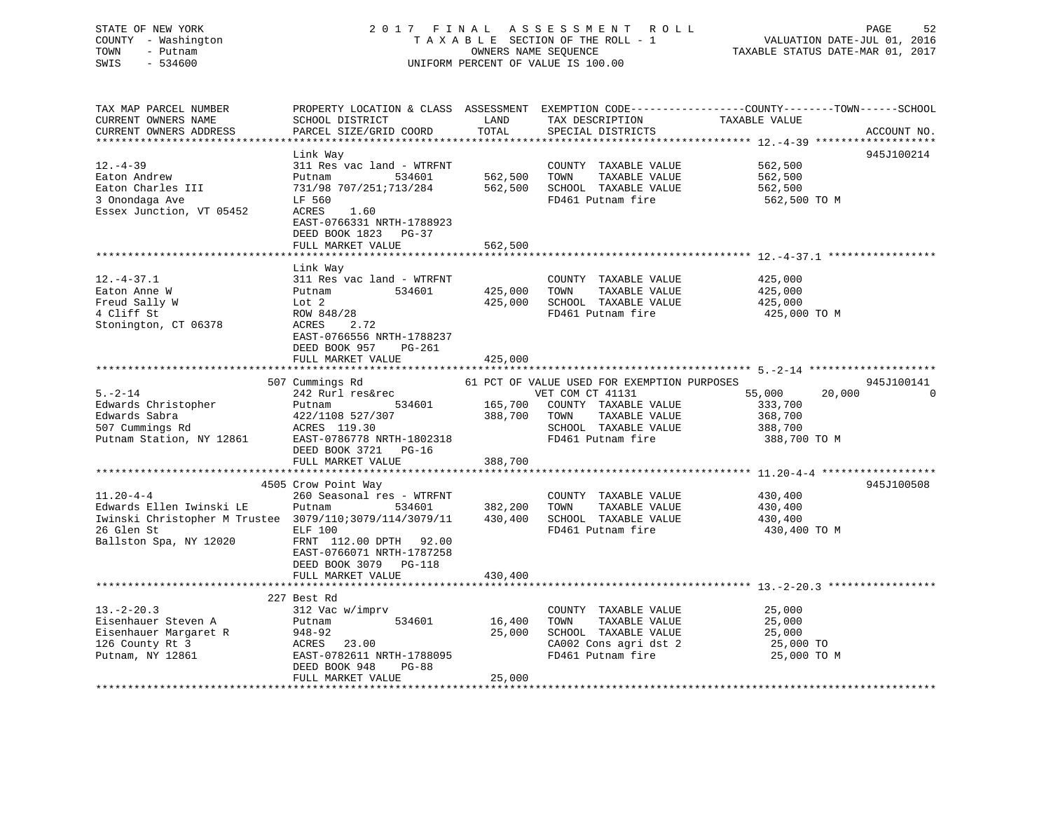## STATE OF NEW YORK 2 0 1 7 F I N A L A S S E S S M E N T R O L L PAGE 52 COUNTY - Washington T A X A B L E SECTION OF THE ROLL - 1 VALUATION DATE-JUL 01, 2016 TOWN - Putnam OWNERS NAME SEQUENCE TAXABLE STATUS DATE-MAR 01, 2017 SWIS - 534600 UNIFORM PERCENT OF VALUE IS 100.00

| 945J100214<br>Link Way<br>311 Res vac land - WTRFNT<br>COUNTY TAXABLE VALUE<br>562,500<br>562,500<br>TOWN<br>Eaton Andrew<br>TAXABLE VALUE<br>562,500<br>Putnam<br>534601<br>Eaton Charles III<br>731/98 707/251;713/284<br>562,500<br>SCHOOL TAXABLE VALUE<br>562,500<br>FD461 Putnam fire<br>562,500 TO M<br>LF 560<br>Essex Junction, VT 05452<br>1.60<br>ACRES<br>EAST-0766331 NRTH-1788923<br>DEED BOOK 1823 PG-37<br>FULL MARKET VALUE<br>562,500<br>Link Way<br>311 Res vac land - WTRFNT<br>COUNTY TAXABLE VALUE<br>425,000<br>Eaton Anne W<br>Putnam 534601<br>425,000<br>TOWN<br>TAXABLE VALUE<br>425,000<br>Lot 2<br>425,000<br>SCHOOL TAXABLE VALUE<br>425,000<br>ROW 848/28<br>FD461 Putnam fire<br>425,000 TO M<br>ACRES<br>2.72<br>EAST-0766556 NRTH-1788237<br>DEED BOOK 957<br>PG-261<br>FULL MARKET VALUE<br>425,000<br>61 PCT OF VALUE USED FOR EXEMPTION PURPOSES<br>945J100141<br>507 Cummings Rd<br>55,000<br>$5. - 2 - 14$<br>VET COM CT 41131<br>20,000<br>242 Rurl res&rec<br>$\Omega$<br>165,700 COUNTY TAXABLE VALUE<br>Edwards Christopher<br>534601<br>333,700<br>Putnam<br>Edwards Sabra<br>422/1108 527/307<br>388,700 TOWN<br>TAXABLE VALUE<br>368,700<br>ACRES 119.30<br>EAST-0786778 1<br>507 Cummings Rd<br>SCHOOL TAXABLE VALUE<br>388,700<br>Putnam Station, NY 12861<br>EAST-0786778 NRTH-1802318<br>FD461 Putnam fire<br>388,700 TO M<br>DEED BOOK 3721<br>$PG-16$<br>388,700<br>FULL MARKET VALUE<br>945J100508<br>4505 Crow Point Way<br>$11.20 - 4 - 4$<br>260 Seasonal res - WTRFNT<br>430,400<br>COUNTY TAXABLE VALUE<br>534601 382,200<br>Edwards Ellen Iwinski LE<br>TOWN<br>TAXABLE VALUE<br>430,400<br>Putnam<br>Iwinski Christopher M Trustee 3079/110;3079/114/3079/11<br>430,400<br>SCHOOL TAXABLE VALUE<br>430,400<br>26 Glen St<br>FD461 Putnam fire<br>ELF 100<br>430,400 TO M<br>Ballston Spa, NY 12020<br>FRNT 112.00 DPTH 92.00<br>EAST-0766071 NRTH-1787258<br>DEED BOOK 3079 PG-118<br>430,400<br>FULL MARKET VALUE<br>227 Best Rd<br>312 Vac w/imprv<br>$13 - 2 - 20.3$<br>COUNTY TAXABLE VALUE<br>25,000<br>534601<br>TAXABLE VALUE<br>Eisenhauer Steven A<br>16,400<br>TOWN<br>25,000<br>Putnam<br>Eisenhauer Margaret R 948-92<br>SCHOOL TAXABLE VALUE<br>25,000<br>25,000<br>126 County Rt 3<br>ACRES 23.00<br>CA002 Cons agri dst 2<br>25,000 TO<br>FD461 Putnam fire<br>EAST-0782611 NRTH-1788095<br>25,000 TO M<br>DEED BOOK 948<br><b>PG-88</b><br>25,000<br>FULL MARKET VALUE | TAX MAP PARCEL NUMBER<br>CURRENT OWNERS NAME<br>CURRENT OWNERS ADDRESS | PROPERTY LOCATION & CLASS ASSESSMENT<br>SCHOOL DISTRICT<br>PARCEL SIZE/GRID COORD | LAND<br>TOTAL | TAX DESCRIPTION<br>SPECIAL DISTRICTS | EXEMPTION CODE-----------------COUNTY-------TOWN------SCHOOL<br>TAXABLE VALUE | ACCOUNT NO. |
|----------------------------------------------------------------------------------------------------------------------------------------------------------------------------------------------------------------------------------------------------------------------------------------------------------------------------------------------------------------------------------------------------------------------------------------------------------------------------------------------------------------------------------------------------------------------------------------------------------------------------------------------------------------------------------------------------------------------------------------------------------------------------------------------------------------------------------------------------------------------------------------------------------------------------------------------------------------------------------------------------------------------------------------------------------------------------------------------------------------------------------------------------------------------------------------------------------------------------------------------------------------------------------------------------------------------------------------------------------------------------------------------------------------------------------------------------------------------------------------------------------------------------------------------------------------------------------------------------------------------------------------------------------------------------------------------------------------------------------------------------------------------------------------------------------------------------------------------------------------------------------------------------------------------------------------------------------------------------------------------------------------------------------------------------------------------------------------------------------------------------------------------------------------------------------------------------------------------------------------------------------------------------------------------------------------------------------------------------------------------------------------------------------------------------------------------------|------------------------------------------------------------------------|-----------------------------------------------------------------------------------|---------------|--------------------------------------|-------------------------------------------------------------------------------|-------------|
|                                                                                                                                                                                                                                                                                                                                                                                                                                                                                                                                                                                                                                                                                                                                                                                                                                                                                                                                                                                                                                                                                                                                                                                                                                                                                                                                                                                                                                                                                                                                                                                                                                                                                                                                                                                                                                                                                                                                                                                                                                                                                                                                                                                                                                                                                                                                                                                                                                                    |                                                                        |                                                                                   |               |                                      |                                                                               |             |
|                                                                                                                                                                                                                                                                                                                                                                                                                                                                                                                                                                                                                                                                                                                                                                                                                                                                                                                                                                                                                                                                                                                                                                                                                                                                                                                                                                                                                                                                                                                                                                                                                                                                                                                                                                                                                                                                                                                                                                                                                                                                                                                                                                                                                                                                                                                                                                                                                                                    | $12. - 4 - 39$                                                         |                                                                                   |               |                                      |                                                                               |             |
|                                                                                                                                                                                                                                                                                                                                                                                                                                                                                                                                                                                                                                                                                                                                                                                                                                                                                                                                                                                                                                                                                                                                                                                                                                                                                                                                                                                                                                                                                                                                                                                                                                                                                                                                                                                                                                                                                                                                                                                                                                                                                                                                                                                                                                                                                                                                                                                                                                                    | 3 Onondaga Ave                                                         |                                                                                   |               |                                      |                                                                               |             |
|                                                                                                                                                                                                                                                                                                                                                                                                                                                                                                                                                                                                                                                                                                                                                                                                                                                                                                                                                                                                                                                                                                                                                                                                                                                                                                                                                                                                                                                                                                                                                                                                                                                                                                                                                                                                                                                                                                                                                                                                                                                                                                                                                                                                                                                                                                                                                                                                                                                    |                                                                        |                                                                                   |               |                                      |                                                                               |             |
|                                                                                                                                                                                                                                                                                                                                                                                                                                                                                                                                                                                                                                                                                                                                                                                                                                                                                                                                                                                                                                                                                                                                                                                                                                                                                                                                                                                                                                                                                                                                                                                                                                                                                                                                                                                                                                                                                                                                                                                                                                                                                                                                                                                                                                                                                                                                                                                                                                                    |                                                                        |                                                                                   |               |                                      |                                                                               |             |
|                                                                                                                                                                                                                                                                                                                                                                                                                                                                                                                                                                                                                                                                                                                                                                                                                                                                                                                                                                                                                                                                                                                                                                                                                                                                                                                                                                                                                                                                                                                                                                                                                                                                                                                                                                                                                                                                                                                                                                                                                                                                                                                                                                                                                                                                                                                                                                                                                                                    |                                                                        |                                                                                   |               |                                      |                                                                               |             |
|                                                                                                                                                                                                                                                                                                                                                                                                                                                                                                                                                                                                                                                                                                                                                                                                                                                                                                                                                                                                                                                                                                                                                                                                                                                                                                                                                                                                                                                                                                                                                                                                                                                                                                                                                                                                                                                                                                                                                                                                                                                                                                                                                                                                                                                                                                                                                                                                                                                    | $12. - 4 - 37.1$                                                       |                                                                                   |               |                                      |                                                                               |             |
|                                                                                                                                                                                                                                                                                                                                                                                                                                                                                                                                                                                                                                                                                                                                                                                                                                                                                                                                                                                                                                                                                                                                                                                                                                                                                                                                                                                                                                                                                                                                                                                                                                                                                                                                                                                                                                                                                                                                                                                                                                                                                                                                                                                                                                                                                                                                                                                                                                                    |                                                                        |                                                                                   |               |                                      |                                                                               |             |
|                                                                                                                                                                                                                                                                                                                                                                                                                                                                                                                                                                                                                                                                                                                                                                                                                                                                                                                                                                                                                                                                                                                                                                                                                                                                                                                                                                                                                                                                                                                                                                                                                                                                                                                                                                                                                                                                                                                                                                                                                                                                                                                                                                                                                                                                                                                                                                                                                                                    | Freud Sally W                                                          |                                                                                   |               |                                      |                                                                               |             |
|                                                                                                                                                                                                                                                                                                                                                                                                                                                                                                                                                                                                                                                                                                                                                                                                                                                                                                                                                                                                                                                                                                                                                                                                                                                                                                                                                                                                                                                                                                                                                                                                                                                                                                                                                                                                                                                                                                                                                                                                                                                                                                                                                                                                                                                                                                                                                                                                                                                    | 4 Cliff St                                                             |                                                                                   |               |                                      |                                                                               |             |
|                                                                                                                                                                                                                                                                                                                                                                                                                                                                                                                                                                                                                                                                                                                                                                                                                                                                                                                                                                                                                                                                                                                                                                                                                                                                                                                                                                                                                                                                                                                                                                                                                                                                                                                                                                                                                                                                                                                                                                                                                                                                                                                                                                                                                                                                                                                                                                                                                                                    | Stonington, CT 06378                                                   |                                                                                   |               |                                      |                                                                               |             |
|                                                                                                                                                                                                                                                                                                                                                                                                                                                                                                                                                                                                                                                                                                                                                                                                                                                                                                                                                                                                                                                                                                                                                                                                                                                                                                                                                                                                                                                                                                                                                                                                                                                                                                                                                                                                                                                                                                                                                                                                                                                                                                                                                                                                                                                                                                                                                                                                                                                    |                                                                        |                                                                                   |               |                                      |                                                                               |             |
|                                                                                                                                                                                                                                                                                                                                                                                                                                                                                                                                                                                                                                                                                                                                                                                                                                                                                                                                                                                                                                                                                                                                                                                                                                                                                                                                                                                                                                                                                                                                                                                                                                                                                                                                                                                                                                                                                                                                                                                                                                                                                                                                                                                                                                                                                                                                                                                                                                                    |                                                                        |                                                                                   |               |                                      |                                                                               |             |
|                                                                                                                                                                                                                                                                                                                                                                                                                                                                                                                                                                                                                                                                                                                                                                                                                                                                                                                                                                                                                                                                                                                                                                                                                                                                                                                                                                                                                                                                                                                                                                                                                                                                                                                                                                                                                                                                                                                                                                                                                                                                                                                                                                                                                                                                                                                                                                                                                                                    |                                                                        |                                                                                   |               |                                      |                                                                               |             |
|                                                                                                                                                                                                                                                                                                                                                                                                                                                                                                                                                                                                                                                                                                                                                                                                                                                                                                                                                                                                                                                                                                                                                                                                                                                                                                                                                                                                                                                                                                                                                                                                                                                                                                                                                                                                                                                                                                                                                                                                                                                                                                                                                                                                                                                                                                                                                                                                                                                    |                                                                        |                                                                                   |               |                                      |                                                                               |             |
|                                                                                                                                                                                                                                                                                                                                                                                                                                                                                                                                                                                                                                                                                                                                                                                                                                                                                                                                                                                                                                                                                                                                                                                                                                                                                                                                                                                                                                                                                                                                                                                                                                                                                                                                                                                                                                                                                                                                                                                                                                                                                                                                                                                                                                                                                                                                                                                                                                                    |                                                                        |                                                                                   |               |                                      |                                                                               |             |
|                                                                                                                                                                                                                                                                                                                                                                                                                                                                                                                                                                                                                                                                                                                                                                                                                                                                                                                                                                                                                                                                                                                                                                                                                                                                                                                                                                                                                                                                                                                                                                                                                                                                                                                                                                                                                                                                                                                                                                                                                                                                                                                                                                                                                                                                                                                                                                                                                                                    |                                                                        |                                                                                   |               |                                      |                                                                               |             |
|                                                                                                                                                                                                                                                                                                                                                                                                                                                                                                                                                                                                                                                                                                                                                                                                                                                                                                                                                                                                                                                                                                                                                                                                                                                                                                                                                                                                                                                                                                                                                                                                                                                                                                                                                                                                                                                                                                                                                                                                                                                                                                                                                                                                                                                                                                                                                                                                                                                    |                                                                        |                                                                                   |               |                                      |                                                                               |             |
|                                                                                                                                                                                                                                                                                                                                                                                                                                                                                                                                                                                                                                                                                                                                                                                                                                                                                                                                                                                                                                                                                                                                                                                                                                                                                                                                                                                                                                                                                                                                                                                                                                                                                                                                                                                                                                                                                                                                                                                                                                                                                                                                                                                                                                                                                                                                                                                                                                                    |                                                                        |                                                                                   |               |                                      |                                                                               |             |
|                                                                                                                                                                                                                                                                                                                                                                                                                                                                                                                                                                                                                                                                                                                                                                                                                                                                                                                                                                                                                                                                                                                                                                                                                                                                                                                                                                                                                                                                                                                                                                                                                                                                                                                                                                                                                                                                                                                                                                                                                                                                                                                                                                                                                                                                                                                                                                                                                                                    |                                                                        |                                                                                   |               |                                      |                                                                               |             |
|                                                                                                                                                                                                                                                                                                                                                                                                                                                                                                                                                                                                                                                                                                                                                                                                                                                                                                                                                                                                                                                                                                                                                                                                                                                                                                                                                                                                                                                                                                                                                                                                                                                                                                                                                                                                                                                                                                                                                                                                                                                                                                                                                                                                                                                                                                                                                                                                                                                    |                                                                        |                                                                                   |               |                                      |                                                                               |             |
|                                                                                                                                                                                                                                                                                                                                                                                                                                                                                                                                                                                                                                                                                                                                                                                                                                                                                                                                                                                                                                                                                                                                                                                                                                                                                                                                                                                                                                                                                                                                                                                                                                                                                                                                                                                                                                                                                                                                                                                                                                                                                                                                                                                                                                                                                                                                                                                                                                                    |                                                                        |                                                                                   |               |                                      |                                                                               |             |
|                                                                                                                                                                                                                                                                                                                                                                                                                                                                                                                                                                                                                                                                                                                                                                                                                                                                                                                                                                                                                                                                                                                                                                                                                                                                                                                                                                                                                                                                                                                                                                                                                                                                                                                                                                                                                                                                                                                                                                                                                                                                                                                                                                                                                                                                                                                                                                                                                                                    |                                                                        |                                                                                   |               |                                      |                                                                               |             |
|                                                                                                                                                                                                                                                                                                                                                                                                                                                                                                                                                                                                                                                                                                                                                                                                                                                                                                                                                                                                                                                                                                                                                                                                                                                                                                                                                                                                                                                                                                                                                                                                                                                                                                                                                                                                                                                                                                                                                                                                                                                                                                                                                                                                                                                                                                                                                                                                                                                    |                                                                        |                                                                                   |               |                                      |                                                                               |             |
|                                                                                                                                                                                                                                                                                                                                                                                                                                                                                                                                                                                                                                                                                                                                                                                                                                                                                                                                                                                                                                                                                                                                                                                                                                                                                                                                                                                                                                                                                                                                                                                                                                                                                                                                                                                                                                                                                                                                                                                                                                                                                                                                                                                                                                                                                                                                                                                                                                                    |                                                                        |                                                                                   |               |                                      |                                                                               |             |
|                                                                                                                                                                                                                                                                                                                                                                                                                                                                                                                                                                                                                                                                                                                                                                                                                                                                                                                                                                                                                                                                                                                                                                                                                                                                                                                                                                                                                                                                                                                                                                                                                                                                                                                                                                                                                                                                                                                                                                                                                                                                                                                                                                                                                                                                                                                                                                                                                                                    |                                                                        |                                                                                   |               |                                      |                                                                               |             |
|                                                                                                                                                                                                                                                                                                                                                                                                                                                                                                                                                                                                                                                                                                                                                                                                                                                                                                                                                                                                                                                                                                                                                                                                                                                                                                                                                                                                                                                                                                                                                                                                                                                                                                                                                                                                                                                                                                                                                                                                                                                                                                                                                                                                                                                                                                                                                                                                                                                    |                                                                        |                                                                                   |               |                                      |                                                                               |             |
|                                                                                                                                                                                                                                                                                                                                                                                                                                                                                                                                                                                                                                                                                                                                                                                                                                                                                                                                                                                                                                                                                                                                                                                                                                                                                                                                                                                                                                                                                                                                                                                                                                                                                                                                                                                                                                                                                                                                                                                                                                                                                                                                                                                                                                                                                                                                                                                                                                                    |                                                                        |                                                                                   |               |                                      |                                                                               |             |
|                                                                                                                                                                                                                                                                                                                                                                                                                                                                                                                                                                                                                                                                                                                                                                                                                                                                                                                                                                                                                                                                                                                                                                                                                                                                                                                                                                                                                                                                                                                                                                                                                                                                                                                                                                                                                                                                                                                                                                                                                                                                                                                                                                                                                                                                                                                                                                                                                                                    |                                                                        |                                                                                   |               |                                      |                                                                               |             |
|                                                                                                                                                                                                                                                                                                                                                                                                                                                                                                                                                                                                                                                                                                                                                                                                                                                                                                                                                                                                                                                                                                                                                                                                                                                                                                                                                                                                                                                                                                                                                                                                                                                                                                                                                                                                                                                                                                                                                                                                                                                                                                                                                                                                                                                                                                                                                                                                                                                    |                                                                        |                                                                                   |               |                                      |                                                                               |             |
|                                                                                                                                                                                                                                                                                                                                                                                                                                                                                                                                                                                                                                                                                                                                                                                                                                                                                                                                                                                                                                                                                                                                                                                                                                                                                                                                                                                                                                                                                                                                                                                                                                                                                                                                                                                                                                                                                                                                                                                                                                                                                                                                                                                                                                                                                                                                                                                                                                                    |                                                                        |                                                                                   |               |                                      |                                                                               |             |
|                                                                                                                                                                                                                                                                                                                                                                                                                                                                                                                                                                                                                                                                                                                                                                                                                                                                                                                                                                                                                                                                                                                                                                                                                                                                                                                                                                                                                                                                                                                                                                                                                                                                                                                                                                                                                                                                                                                                                                                                                                                                                                                                                                                                                                                                                                                                                                                                                                                    |                                                                        |                                                                                   |               |                                      |                                                                               |             |
|                                                                                                                                                                                                                                                                                                                                                                                                                                                                                                                                                                                                                                                                                                                                                                                                                                                                                                                                                                                                                                                                                                                                                                                                                                                                                                                                                                                                                                                                                                                                                                                                                                                                                                                                                                                                                                                                                                                                                                                                                                                                                                                                                                                                                                                                                                                                                                                                                                                    | Putnam, NY 12861                                                       |                                                                                   |               |                                      |                                                                               |             |
|                                                                                                                                                                                                                                                                                                                                                                                                                                                                                                                                                                                                                                                                                                                                                                                                                                                                                                                                                                                                                                                                                                                                                                                                                                                                                                                                                                                                                                                                                                                                                                                                                                                                                                                                                                                                                                                                                                                                                                                                                                                                                                                                                                                                                                                                                                                                                                                                                                                    |                                                                        |                                                                                   |               |                                      |                                                                               |             |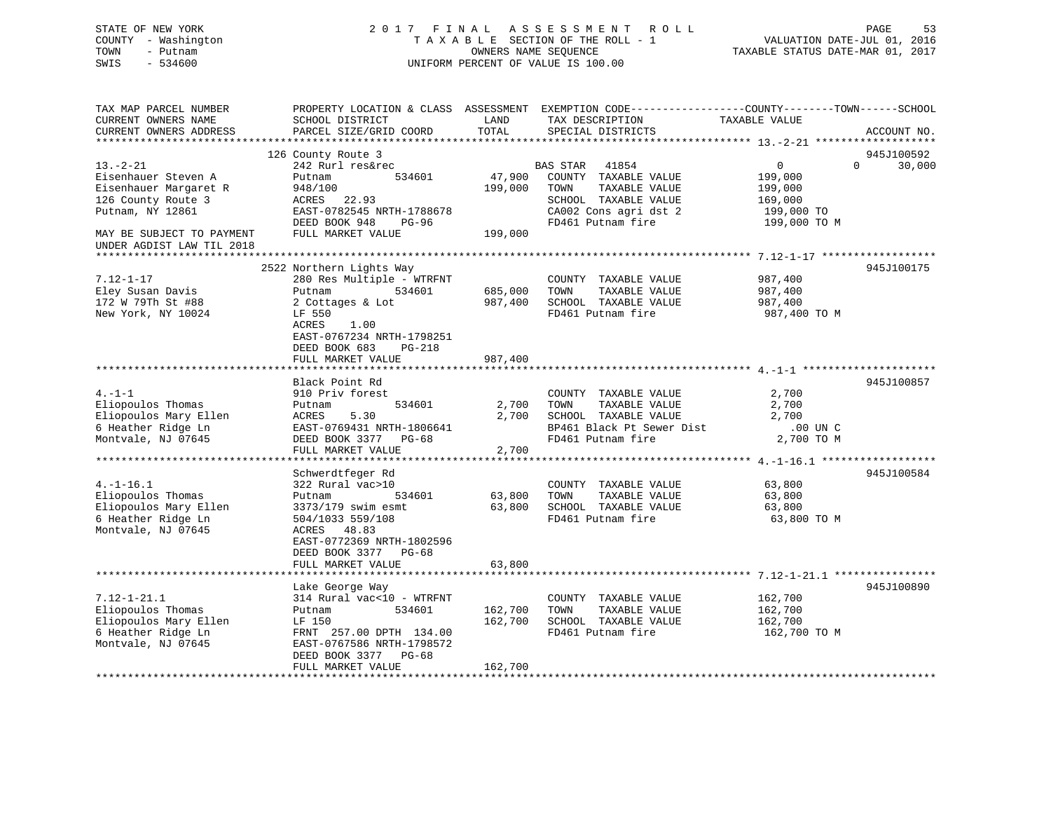## STATE OF NEW YORK 2 0 1 7 F I N A L A S S E S S M E N T R O L L PAGE 53 COUNTY - Washington T A X A B L E SECTION OF THE ROLL - 1 VALUATION DATE-JUL 01, 2016 TOWN - Putnam OWNERS NAME SEQUENCE TAXABLE STATUS DATE-MAR 01, 2017 SWIS - 534600 UNIFORM PERCENT OF VALUE IS 100.00

| TAX MAP PARCEL NUMBER<br>CURRENT OWNERS NAME<br>CURRENT OWNERS ADDRESS                                      | PROPERTY LOCATION & CLASS ASSESSMENT<br>SCHOOL DISTRICT<br>PARCEL SIZE/GRID COORD                                                                                                              | LAND<br>TOTAL                 | TAX DESCRIPTION<br>SPECIAL DISTRICTS                                                                                    | EXEMPTION CODE-----------------COUNTY-------TOWN------SCHOOL<br>TAXABLE VALUE | ACCOUNT NO. |
|-------------------------------------------------------------------------------------------------------------|------------------------------------------------------------------------------------------------------------------------------------------------------------------------------------------------|-------------------------------|-------------------------------------------------------------------------------------------------------------------------|-------------------------------------------------------------------------------|-------------|
| *********************                                                                                       |                                                                                                                                                                                                |                               |                                                                                                                         |                                                                               |             |
|                                                                                                             | 126 County Route 3                                                                                                                                                                             |                               |                                                                                                                         |                                                                               | 945J100592  |
| $13. - 2 - 21$<br>Eisenhauer Steven A<br>Eisenhauer Margaret R<br>126 County Route 3<br>Putnam, NY 12861    | 242 Rurl res&rec<br>534601<br>Putnam<br>948/100<br>ACRES 22.93<br>EAST-0782545 NRTH-1788678                                                                                                    | 47,900<br>199,000             | 41854<br>BAS STAR<br>COUNTY TAXABLE VALUE<br>TAXABLE VALUE<br>TOWN<br>SCHOOL TAXABLE VALUE<br>CA002 Cons agri dst 2     | $\mathbf 0$<br>$\Omega$<br>199,000<br>199,000<br>169,000<br>199,000 TO        | 30,000      |
|                                                                                                             | DEED BOOK 948<br>PG-96                                                                                                                                                                         |                               | FD461 Putnam fire                                                                                                       | 199,000 TO M                                                                  |             |
| MAY BE SUBJECT TO PAYMENT<br>UNDER AGDIST LAW TIL 2018                                                      | FULL MARKET VALUE                                                                                                                                                                              | 199,000                       |                                                                                                                         |                                                                               |             |
|                                                                                                             |                                                                                                                                                                                                |                               |                                                                                                                         |                                                                               |             |
| $7.12 - 1 - 17$<br>Eley Susan Davis<br>172 W 79Th St #88<br>New York, NY 10024                              | 2522 Northern Lights Way<br>280 Res Multiple - WTRFNT<br>534601<br>Putnam<br>2 Cottages & Lot<br>LF 550<br>ACRES<br>1.00<br>EAST-0767234 NRTH-1798251<br>DEED BOOK 683<br>PG-218               | 685,000<br>987,400            | COUNTY TAXABLE VALUE<br>TOWN<br>TAXABLE VALUE<br>SCHOOL TAXABLE VALUE<br>FD461 Putnam fire                              | 987,400<br>987,400<br>987,400<br>987,400 TO M                                 | 945J100175  |
|                                                                                                             | FULL MARKET VALUE                                                                                                                                                                              | 987,400                       |                                                                                                                         |                                                                               |             |
|                                                                                                             |                                                                                                                                                                                                |                               |                                                                                                                         |                                                                               |             |
|                                                                                                             | Black Point Rd                                                                                                                                                                                 |                               |                                                                                                                         |                                                                               | 945J100857  |
| $4. -1 -1$<br>Eliopoulos Thomas<br>Eliopoulos Mary Ellen<br>6 Heather Ridge Ln<br>Montvale, NJ 07645        | 910 Priv forest<br>534601<br>Putnam<br>5.30<br>ACRES<br>EAST-0769431 NRTH-1806641<br>DEED BOOK 3377 PG-68<br>FULL MARKET VALUE                                                                 | 2,700<br>2,700<br>2,700       | COUNTY TAXABLE VALUE<br>TAXABLE VALUE<br>TOWN<br>SCHOOL TAXABLE VALUE<br>BP461 Black Pt Sewer Dist<br>FD461 Putnam fire | 2,700<br>2,700<br>2,700<br>$.00$ UN $C$<br>2,700 TO M                         |             |
|                                                                                                             |                                                                                                                                                                                                |                               |                                                                                                                         |                                                                               |             |
| $4. -1 - 16.1$<br>Eliopoulos Thomas<br>Eliopoulos Mary Ellen<br>6 Heather Ridge Ln<br>Montvale, NJ 07645    | Schwerdtfeger Rd<br>322 Rural vac>10<br>Putnam<br>534601<br>3373/179 swim esmt<br>504/1033 559/108<br>48.83<br>ACRES<br>EAST-0772369 NRTH-1802596<br>DEED BOOK 3377 PG-68<br>FULL MARKET VALUE | 63,800<br>63,800<br>63,800    | COUNTY TAXABLE VALUE<br>TAXABLE VALUE<br>TOWN<br>SCHOOL TAXABLE VALUE<br>FD461 Putnam fire                              | 63,800<br>63,800<br>63,800<br>63,800 TO M                                     | 945J100584  |
|                                                                                                             |                                                                                                                                                                                                | * * * * * * * *               |                                                                                                                         |                                                                               |             |
| $7.12 - 1 - 21.1$<br>Eliopoulos Thomas<br>Eliopoulos Mary Ellen<br>6 Heather Ridge Ln<br>Montvale, NJ 07645 | Lake George Way<br>314 Rural vac<10 - WTRFNT<br>534601<br>Putnam<br>LF 150<br>FRNT 257.00 DPTH 134.00<br>EAST-0767586 NRTH-1798572<br>DEED BOOK 3377<br>$PG-68$<br>FULL MARKET VALUE           | 162,700<br>162,700<br>162,700 | COUNTY TAXABLE VALUE<br>TOWN<br>TAXABLE VALUE<br>SCHOOL TAXABLE VALUE<br>FD461 Putnam fire                              | 162,700<br>162,700<br>162,700<br>162,700 TO M                                 | 945J100890  |
|                                                                                                             |                                                                                                                                                                                                |                               |                                                                                                                         |                                                                               |             |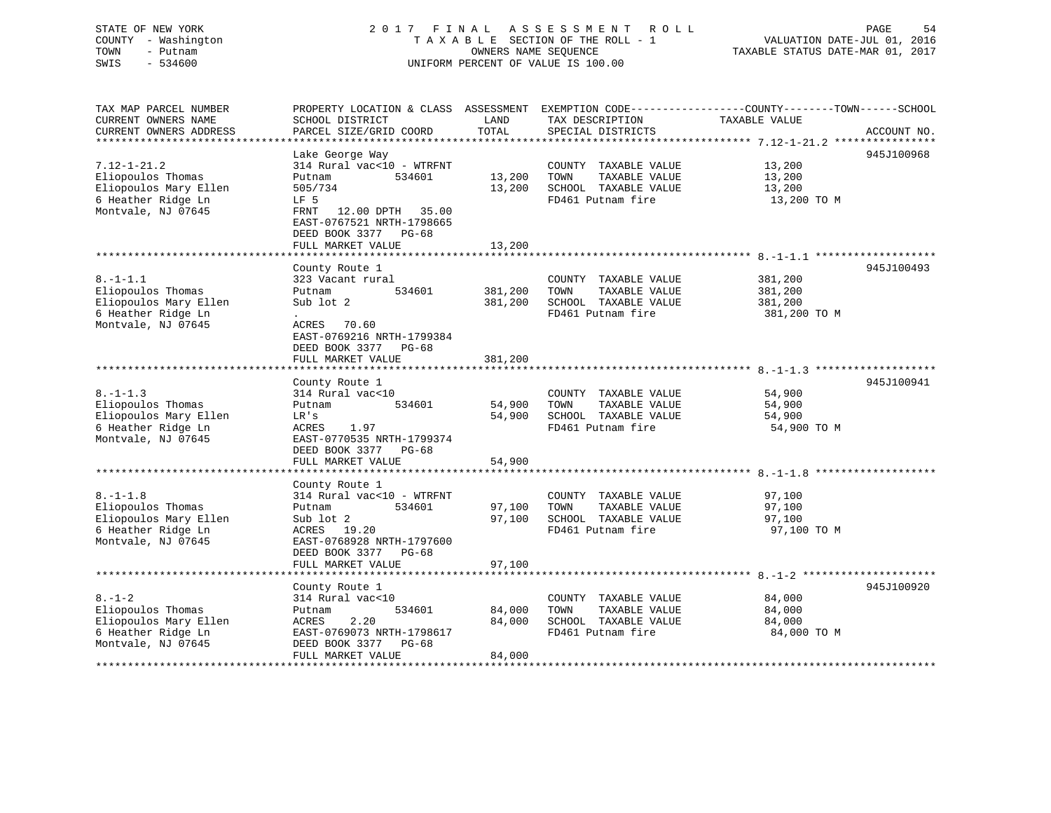# STATE OF NEW YORK STATE OF NEW YORK SALL ASSESSMENT ROLL SALL PAGE 54 COUNTY - Washington  $T A X A B L E$  SECTION OF THE ROLL - 1<br>TOWN - Putnam data of the COUNTERS NAME SEQUENCE SWIS - 534600 UNIFORM PERCENT OF VALUE IS 100.00

TAXABLE STATUS DATE-MAR 01, 2017

| TAX MAP PARCEL NUMBER          | PROPERTY LOCATION & CLASS ASSESSMENT EXEMPTION CODE----------------COUNTY-------TOWN------SCHOOL |         |                       |               |             |
|--------------------------------|--------------------------------------------------------------------------------------------------|---------|-----------------------|---------------|-------------|
| CURRENT OWNERS NAME            | SCHOOL DISTRICT                                                                                  | LAND    | TAX DESCRIPTION       | TAXABLE VALUE |             |
| CURRENT OWNERS ADDRESS         | PARCEL SIZE/GRID COORD                                                                           | TOTAL   | SPECIAL DISTRICTS     |               | ACCOUNT NO. |
| ****************************** |                                                                                                  |         |                       |               |             |
|                                | Lake George Way                                                                                  |         |                       |               | 945J100968  |
| $7.12 - 1 - 21.2$              | 314 Rural vac<10 - WTRFNT                                                                        |         | COUNTY TAXABLE VALUE  | 13,200        |             |
| Eliopoulos Thomas              | Putnam<br>534601                                                                                 | 13,200  | TAXABLE VALUE<br>TOWN | 13,200        |             |
| Eliopoulos Mary Ellen          | 505/734                                                                                          | 13,200  | SCHOOL TAXABLE VALUE  | 13,200        |             |
| 6 Heather Ridge Ln             | LF 5                                                                                             |         | FD461 Putnam fire     | 13,200 TO M   |             |
| Montvale, NJ 07645             | 12.00 DPTH 35.00<br>FRNT                                                                         |         |                       |               |             |
|                                | EAST-0767521 NRTH-1798665                                                                        |         |                       |               |             |
|                                |                                                                                                  |         |                       |               |             |
|                                | DEED BOOK 3377 PG-68                                                                             |         |                       |               |             |
|                                | FULL MARKET VALUE                                                                                | 13,200  |                       |               |             |
|                                |                                                                                                  |         |                       |               |             |
|                                | County Route 1                                                                                   |         |                       |               | 945J100493  |
| $8. - 1 - 1.1$                 | 323 Vacant rural                                                                                 |         | COUNTY TAXABLE VALUE  | 381,200       |             |
| Eliopoulos Thomas              | Putnam<br>534601                                                                                 | 381,200 | TOWN<br>TAXABLE VALUE | 381,200       |             |
| Eliopoulos Mary Ellen          | Sub lot 2                                                                                        | 381,200 | SCHOOL TAXABLE VALUE  | 381,200       |             |
| 6 Heather Ridge Ln             |                                                                                                  |         | FD461 Putnam fire     | 381,200 TO M  |             |
| Montvale, NJ 07645             | ACRES<br>70.60                                                                                   |         |                       |               |             |
|                                | EAST-0769216 NRTH-1799384                                                                        |         |                       |               |             |
|                                | DEED BOOK 3377<br>PG-68                                                                          |         |                       |               |             |
|                                | FULL MARKET VALUE                                                                                | 381,200 |                       |               |             |
|                                |                                                                                                  |         |                       |               |             |
|                                | County Route 1                                                                                   |         |                       |               | 945J100941  |
| $8. -1 - 1.3$                  | 314 Rural vac<10                                                                                 |         | COUNTY TAXABLE VALUE  | 54,900        |             |
| Eliopoulos Thomas              | 534601<br>Putnam                                                                                 | 54,900  | TOWN<br>TAXABLE VALUE | 54,900        |             |
| Eliopoulos Mary Ellen          | LR's                                                                                             | 54,900  | SCHOOL TAXABLE VALUE  | 54,900        |             |
| 6 Heather Ridge Ln             | 1.97<br>ACRES                                                                                    |         | FD461 Putnam fire     | 54,900 TO M   |             |
| Montvale, NJ 07645             | EAST-0770535 NRTH-1799374                                                                        |         |                       |               |             |
|                                | DEED BOOK 3377<br>PG-68                                                                          |         |                       |               |             |
|                                | FULL MARKET VALUE                                                                                | 54,900  |                       |               |             |
|                                |                                                                                                  |         |                       |               |             |
|                                |                                                                                                  |         |                       |               |             |
| $8. - 1 - 1.8$                 | County Route 1<br>314 Rural vac<10 - WTRFNT                                                      |         |                       |               |             |
|                                |                                                                                                  |         | COUNTY TAXABLE VALUE  | 97,100        |             |
| Eliopoulos Thomas              | 534601<br>Putnam                                                                                 | 97,100  | TOWN<br>TAXABLE VALUE | 97,100        |             |
| Eliopoulos Mary Ellen          | Sub lot 2                                                                                        | 97,100  | SCHOOL TAXABLE VALUE  | 97,100        |             |
| 6 Heather Ridge Ln             | ACRES<br>19.20                                                                                   |         | FD461 Putnam fire     | 97,100 TO M   |             |
| Montvale, NJ 07645             | EAST-0768928 NRTH-1797600                                                                        |         |                       |               |             |
|                                | DEED BOOK 3377 PG-68                                                                             |         |                       |               |             |
|                                | FULL MARKET VALUE                                                                                | 97,100  |                       |               |             |
|                                |                                                                                                  |         |                       |               |             |
|                                | County Route 1                                                                                   |         |                       |               | 945J100920  |
| $8. - 1 - 2$                   | 314 Rural vac<10                                                                                 |         | COUNTY TAXABLE VALUE  | 84,000        |             |
| Eliopoulos Thomas              | 534601<br>Putnam                                                                                 | 84,000  | TOWN<br>TAXABLE VALUE | 84,000        |             |
| Eliopoulos Mary Ellen          | 2.20<br>ACRES                                                                                    | 84,000  | SCHOOL TAXABLE VALUE  | 84,000        |             |
| 6 Heather Ridge Ln             | EAST-0769073 NRTH-1798617                                                                        |         | FD461 Putnam fire     | 84,000 TO M   |             |
| Montvale, NJ 07645             | DEED BOOK 3377<br>PG-68                                                                          |         |                       |               |             |
|                                | FULL MARKET VALUE                                                                                | 84,000  |                       |               |             |
|                                |                                                                                                  |         |                       |               |             |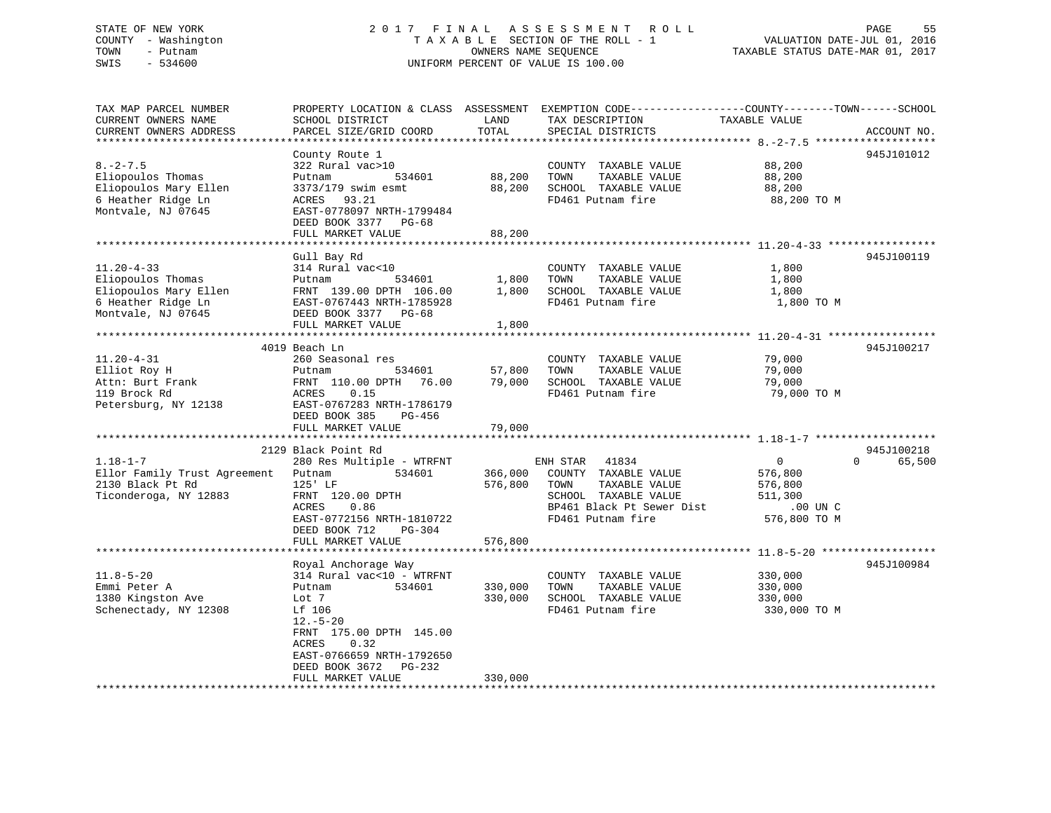## STATE OF NEW YORK 2 0 1 7 F I N A L A S S E S S M E N T R O L L PAGE 55 COUNTY - Washington T A X A B L E SECTION OF THE ROLL - 1 VALUATION DATE-JUL 01, 2016 TOWN - Putnam OWNERS NAME SEQUENCE TAXABLE STATUS DATE-MAR 01, 2017 SWIS - 534600 UNIFORM PERCENT OF VALUE IS 100.00

| TAX MAP PARCEL NUMBER<br>CURRENT OWNERS NAME<br>CURRENT OWNERS ADDRESS                                     | PROPERTY LOCATION & CLASS ASSESSMENT<br>SCHOOL DISTRICT<br>PARCEL SIZE/GRID COORD                                                                                                                                               | LAND<br>TOTAL                 | TAX DESCRIPTION<br>SPECIAL DISTRICTS                                                                                                         | EXEMPTION CODE-----------------COUNTY-------TOWN------SCHOOL<br>TAXABLE VALUE        | ACCOUNT NO.                      |
|------------------------------------------------------------------------------------------------------------|---------------------------------------------------------------------------------------------------------------------------------------------------------------------------------------------------------------------------------|-------------------------------|----------------------------------------------------------------------------------------------------------------------------------------------|--------------------------------------------------------------------------------------|----------------------------------|
| $8. - 2 - 7.5$<br>Eliopoulos Thomas<br>Eliopoulos Mary Ellen<br>6 Heather Ridge Ln<br>Montvale, NJ 07645   | County Route 1<br>322 Rural vac>10<br>534601<br>Putnam<br>3373/179 swim esmt<br>93.21<br>ACRES<br>EAST-0778097 NRTH-1799484<br>DEED BOOK 3377 PG-68<br>FULL MARKET VALUE                                                        | 88,200<br>88,200<br>88,200    | COUNTY TAXABLE VALUE<br>TOWN<br>TAXABLE VALUE<br>SCHOOL TAXABLE VALUE<br>FD461 Putnam fire                                                   | 88,200<br>88,200<br>88,200<br>88,200 TO M                                            | 945J101012                       |
| $11.20 - 4 - 33$<br>Eliopoulos Thomas<br>Eliopoulos Mary Ellen<br>6 Heather Ridge Ln<br>Montvale, NJ 07645 | Gull Bay Rd<br>314 Rural vac<10<br>534601<br>Putnam<br>FRNT 139.00 DPTH 106.00<br>EAST-0767443 NRTH-1785928<br>DEED BOOK 3377 PG-68<br>FULL MARKET VALUE                                                                        | 1,800<br>1,800<br>1,800       | COUNTY TAXABLE VALUE<br>TOWN<br>TAXABLE VALUE<br>SCHOOL TAXABLE VALUE<br>FD461 Putnam fire                                                   | 1,800<br>1,800<br>1,800<br>1,800 TO M                                                | 945J100119                       |
| $11.20 - 4 - 31$<br>Elliot Roy H<br>Attn: Burt Frank<br>119 Brock Rd<br>Petersburg, NY 12138               | 4019 Beach Ln<br>260 Seasonal res<br>534601<br>Putnam<br>FRNT 110.00 DPTH<br>76.00<br>0.15<br>ACRES<br>EAST-0767283 NRTH-1786179<br>DEED BOOK 385<br>PG-456<br>FULL MARKET VALUE                                                | 57,800<br>79,000<br>79,000    | COUNTY TAXABLE VALUE<br>TAXABLE VALUE<br>TOWN<br>SCHOOL TAXABLE VALUE<br>FD461 Putnam fire                                                   | 79,000<br>79,000<br>79,000<br>79,000 TO M                                            | 945J100217                       |
| $1.18 - 1 - 7$<br>Ellor Family Trust Agreement<br>2130 Black Pt Rd<br>Ticonderoga, NY 12883                | 2129 Black Point Rd<br>280 Res Multiple - WTRFNT<br>Putnam<br>534601<br>$125'$ LF<br>FRNT 120.00 DPTH<br>0.86<br>ACRES<br>EAST-0772156 NRTH-1810722<br>DEED BOOK 712<br>PG-304<br>FULL MARKET VALUE<br>******************       | 366,000<br>576,800<br>576,800 | ENH STAR<br>41834<br>COUNTY TAXABLE VALUE<br>TAXABLE VALUE<br>TOWN<br>SCHOOL TAXABLE VALUE<br>BP461 Black Pt Sewer Dist<br>FD461 Putnam fire | $\mathbf{0}$<br>576,800<br>576,800<br>511,300<br>$.00$ UN $C$<br>576,800 TO M        | 945J100218<br>65,500<br>$\Omega$ |
| $11.8 - 5 - 20$<br>Emmi Peter A<br>1380 Kingston Ave<br>Schenectady, NY 12308                              | Royal Anchorage Way<br>314 Rural vac<10 - WTRFNT<br>534601<br>Putnam<br>Lot 7<br>Lf 106<br>$12.-5-20$<br>FRNT 175.00 DPTH 145.00<br>0.32<br>ACRES<br>EAST-0766659 NRTH-1792650<br>DEED BOOK 3672<br>PG-232<br>FULL MARKET VALUE | 330,000<br>330,000<br>330,000 | COUNTY TAXABLE VALUE<br>TAXABLE VALUE<br>TOWN<br>SCHOOL TAXABLE VALUE<br>FD461 Putnam fire                                                   | ********** 11.8-5-20 **************<br>330,000<br>330,000<br>330,000<br>330,000 TO M | 945J100984                       |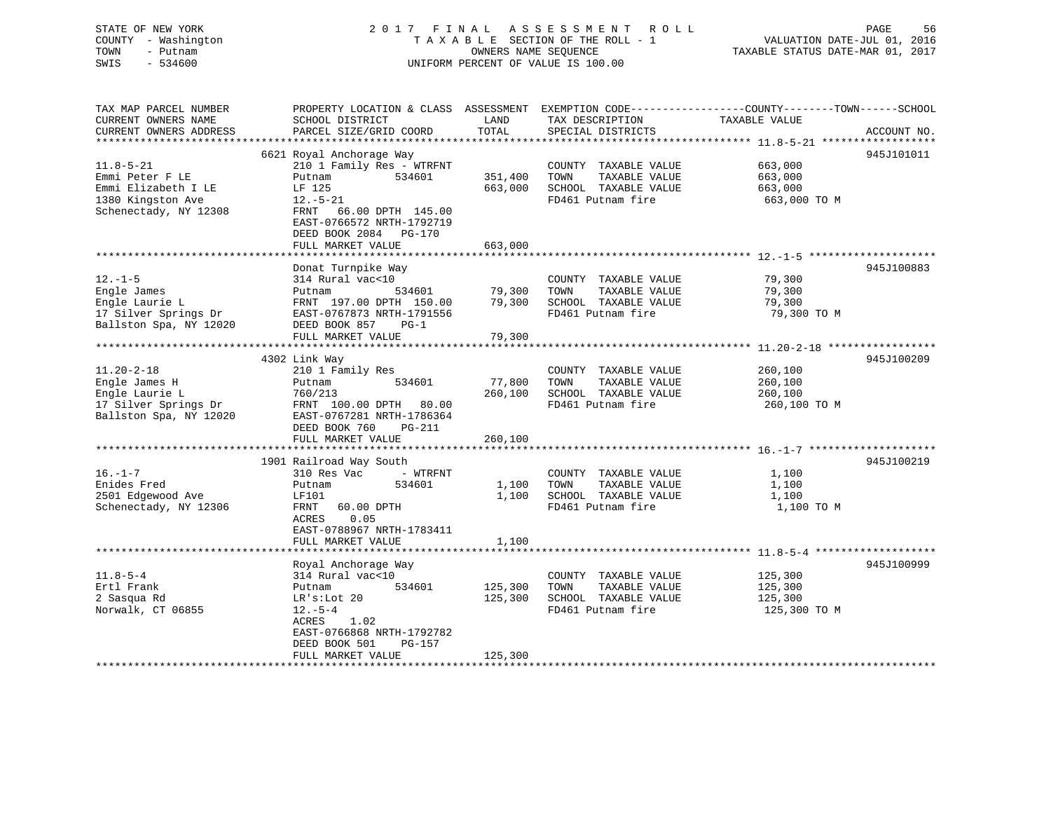## STATE OF NEW YORK 2 0 1 7 F I N A L A S S E S S M E N T R O L L PAGE 56 COUNTY - Washington T A X A B L E SECTION OF THE ROLL - 1 VALUATION DATE-JUL 01, 2016 TOWN - Putnam OWNERS NAME SEQUENCE TAXABLE STATUS DATE-MAR 01, 2017 SWIS - 534600 UNIFORM PERCENT OF VALUE IS 100.00

| TAX MAP PARCEL NUMBER<br>CURRENT OWNERS NAME<br>CURRENT OWNERS ADDRESS | PROPERTY LOCATION & CLASS ASSESSMENT<br>SCHOOL DISTRICT<br>PARCEL SIZE/GRID COORD                                  | LAND<br>TOTAL      | TAX DESCRIPTION<br>SPECIAL DISTRICTS          | EXEMPTION CODE-----------------COUNTY--------TOWN------SCHOOL<br>TAXABLE VALUE | ACCOUNT NO. |
|------------------------------------------------------------------------|--------------------------------------------------------------------------------------------------------------------|--------------------|-----------------------------------------------|--------------------------------------------------------------------------------|-------------|
| *************************                                              |                                                                                                                    |                    |                                               |                                                                                |             |
| $11.8 - 5 - 21$                                                        | 6621 Royal Anchorage Way<br>210 1 Family Res - WTRFNT                                                              |                    | COUNTY TAXABLE VALUE                          | 663,000                                                                        | 945J101011  |
| Emmi Peter F LE<br>Emmi Elizabeth I LE                                 | Putnam<br>534601<br>LF 125                                                                                         | 351,400<br>663,000 | TAXABLE VALUE<br>TOWN<br>SCHOOL TAXABLE VALUE | 663,000<br>663,000                                                             |             |
| 1380 Kingston Ave<br>Schenectady, NY 12308                             | $12.-5-21$<br>66.00 DPTH 145.00<br>FRNT<br>EAST-0766572 NRTH-1792719<br>DEED BOOK 2084 PG-170<br>FULL MARKET VALUE | 663,000            | FD461 Putnam fire                             | 663,000 TO M                                                                   |             |
|                                                                        |                                                                                                                    |                    |                                               |                                                                                |             |
|                                                                        | Donat Turnpike Way                                                                                                 |                    |                                               |                                                                                | 945J100883  |
| $12. - 1 - 5$                                                          | 314 Rural vac<10                                                                                                   |                    | COUNTY TAXABLE VALUE                          | 79,300                                                                         |             |
| Engle James                                                            | 534601<br>Putnam                                                                                                   | 79,300             | TOWN<br>TAXABLE VALUE                         | 79,300                                                                         |             |
| Engle Laurie L                                                         | FRNT 197.00 DPTH 150.00                                                                                            | 79,300             | SCHOOL TAXABLE VALUE                          | 79,300                                                                         |             |
| 17 Silver Springs Dr                                                   | EAST-0767873 NRTH-1791556                                                                                          |                    | FD461 Putnam fire                             | 79,300 TO M                                                                    |             |
| Ballston Spa, NY 12020                                                 | DEED BOOK 857<br>$PG-1$<br>FULL MARKET VALUE                                                                       | 79,300             |                                               |                                                                                |             |
|                                                                        |                                                                                                                    |                    |                                               |                                                                                |             |
|                                                                        | 4302 Link Way                                                                                                      |                    |                                               |                                                                                | 945J100209  |
| $11.20 - 2 - 18$                                                       | 210 1 Family Res                                                                                                   |                    | COUNTY TAXABLE VALUE                          | 260,100                                                                        |             |
| Engle James H                                                          | 534601<br>Putnam                                                                                                   | 77,800             | TAXABLE VALUE<br>TOWN                         | 260,100                                                                        |             |
| Engle Laurie L                                                         | 760/213                                                                                                            | 260,100            | SCHOOL TAXABLE VALUE                          | 260,100                                                                        |             |
| 17 Silver Springs Dr<br>Ballston Spa, NY 12020                         | FRNT 100.00 DPTH 80.00<br>EAST-0767281 NRTH-1786364<br>DEED BOOK 760<br><b>PG-211</b>                              |                    | FD461 Putnam fire                             | 260,100 TO M                                                                   |             |
|                                                                        | FULL MARKET VALUE                                                                                                  | 260,100            |                                               |                                                                                |             |
|                                                                        |                                                                                                                    |                    |                                               |                                                                                |             |
| $16. - 1 - 7$                                                          | 1901 Railroad Way South<br>310 Res Vac<br>- WTRFNT                                                                 |                    | COUNTY TAXABLE VALUE                          |                                                                                | 945J100219  |
| Enides Fred                                                            | 534601<br>Putnam                                                                                                   | 1,100              | TOWN<br>TAXABLE VALUE                         | 1,100<br>1,100                                                                 |             |
| 2501 Edgewood Ave                                                      | LF101                                                                                                              | 1,100              | SCHOOL TAXABLE VALUE                          | 1,100                                                                          |             |
| Schenectady, NY 12306                                                  | FRNT<br>60.00 DPTH                                                                                                 |                    | FD461 Putnam fire                             | 1,100 TO M                                                                     |             |
|                                                                        | 0.05<br>ACRES<br>EAST-0788967 NRTH-1783411<br>FULL MARKET VALUE                                                    | 1,100              |                                               |                                                                                |             |
|                                                                        |                                                                                                                    |                    |                                               |                                                                                |             |
|                                                                        | Royal Anchorage Way                                                                                                |                    |                                               |                                                                                | 945J100999  |
| $11.8 - 5 - 4$                                                         | 314 Rural vac<10                                                                                                   |                    | COUNTY TAXABLE VALUE                          | 125,300                                                                        |             |
| Ertl Frank                                                             | Putnam<br>534601                                                                                                   | 125,300            | TAXABLE VALUE<br>TOWN                         | 125,300                                                                        |             |
| 2 Sasqua Rd                                                            | $LR's: Lot$ 20                                                                                                     | 125,300            | SCHOOL TAXABLE VALUE                          | 125,300                                                                        |             |
| Norwalk, CT 06855                                                      | $12.-5-4$<br>ACRES<br>1.02<br>EAST-0766868 NRTH-1792782<br>DEED BOOK 501<br>$PG-157$                               |                    | FD461 Putnam fire                             | 125,300 TO M                                                                   |             |
|                                                                        | FULL MARKET VALUE                                                                                                  | 125,300            |                                               |                                                                                |             |
|                                                                        |                                                                                                                    |                    |                                               |                                                                                |             |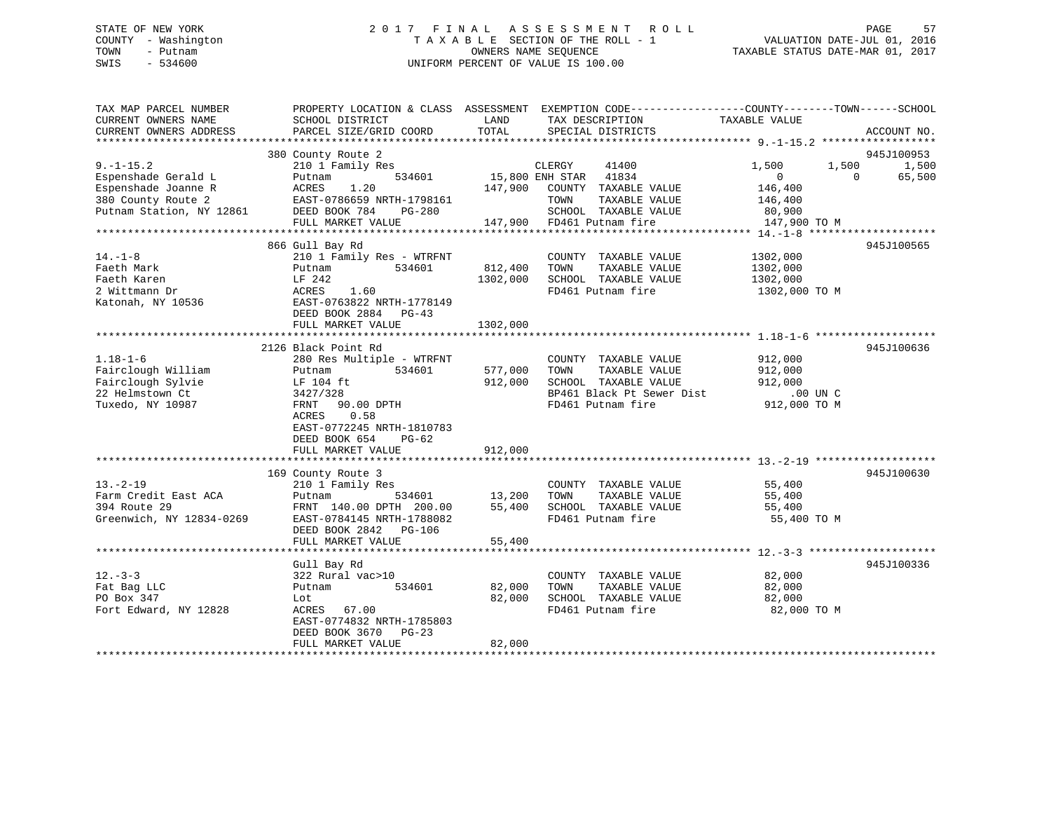## STATE OF NEW YORK 2 0 1 7 F I N A L A S S E S S M E N T R O L L PAGE 57 COUNTY - Washington T A X A B L E SECTION OF THE ROLL - 1 VALUATION DATE-JUL 01, 2016 TOWN - Putnam OWNERS NAME SEQUENCE TAXABLE STATUS DATE-MAR 01, 2017 SWIS - 534600 UNIFORM PERCENT OF VALUE IS 100.00

| 380 County Route 2<br>945J100953<br>$9. - 1 - 15.2$<br>210 1 Family Res<br>CLERGY<br>41400<br>1,500<br>1,500<br>1,500<br>15,800 ENH STAR<br>41834<br>Espenshade Gerald L<br>534601<br>$\overline{0}$<br>$\Omega$<br>65,500<br>Putnam<br>Espenshade Joanne R<br>1.20<br>147,900 COUNTY TAXABLE VALUE<br>146,400<br>ACRES<br>380 County Route 2<br>EAST-0786659 NRTH-1798161<br>TOWN<br>TAXABLE VALUE<br>146,400<br>Putnam Station, NY 12861<br>DEED BOOK 784<br>SCHOOL TAXABLE VALUE<br>PG-280<br>80,900<br>FULL MARKET VALUE<br>147,900 FD461 Putnam fire<br>147,900 TO M<br>866 Gull Bay Rd<br>945J100565<br>$14. - 1 - 8$<br>210 1 Family Res - WTRFNT<br>COUNTY TAXABLE VALUE<br>1302,000<br>Faeth Mark<br>534601<br>812,400<br>TOWN<br>TAXABLE VALUE<br>1302,000<br>Putnam<br>SCHOOL TAXABLE VALUE<br>Faeth Karen<br>LF 242<br>1302,000<br>1302,000<br>2 Wittmann Dr<br>ACRES<br>1.60<br>FD461 Putnam fire<br>1302,000 TO M<br>Katonah, NY 10536<br>EAST-0763822 NRTH-1778149<br>DEED BOOK 2884<br>$PG-43$<br>FULL MARKET VALUE<br>1302,000<br>945J100636<br>2126 Black Point Rd<br>$1.18 - 1 - 6$<br>COUNTY TAXABLE VALUE<br>912,000<br>280 Res Multiple - WTRFNT<br>534601<br>Fairclough William<br>Putnam<br>577,000<br>TOWN<br>TAXABLE VALUE<br>912,000<br>Fairclough Sylvie<br>912,000<br>SCHOOL TAXABLE VALUE<br>LF 104 ft<br>912,000<br>BP461 Black Pt Sewer Dist<br>22 Helmstown Ct<br>3427/328<br>$.00$ UN C<br>FD461 Putnam fire<br>Tuxedo, NY 10987<br>FRNT 90.00 DPTH<br>912,000 TO M<br>0.58<br>ACRES<br>EAST-0772245 NRTH-1810783<br>DEED BOOK 654<br>$PG-62$<br>912,000<br>FULL MARKET VALUE<br>169 County Route 3<br>945J100630<br>$13. - 2 - 19$<br>210 1 Family Res<br>COUNTY TAXABLE VALUE<br>55,400<br>Farm Credit East ACA<br>TAXABLE VALUE<br>534601<br>13,200<br>TOWN<br>55,400<br>Putnam<br>394 Route 29<br>55,400<br>SCHOOL TAXABLE VALUE<br>FRNT 140.00 DPTH 200.00<br>55,400<br>Greenwich, NY 12834-0269<br>FD461 Putnam fire<br>EAST-0784145 NRTH-1788082<br>55,400 TO M<br>DEED BOOK 2842 PG-106<br>FULL MARKET VALUE<br>55,400<br>945J100336<br>Gull Bay Rd<br>$12. - 3 - 3$<br>322 Rural vac>10<br>82,000<br>COUNTY TAXABLE VALUE<br>Fat Bag LLC<br>534601<br>82,000<br>TOWN<br>TAXABLE VALUE<br>82,000<br>Putnam<br>PO Box 347<br>82,000<br>SCHOOL TAXABLE VALUE<br>82,000<br>Lot<br>Fort Edward, NY 12828<br>FD461 Putnam fire<br>ACRES 67.00<br>82,000 TO M<br>EAST-0774832 NRTH-1785803<br>DEED BOOK 3670<br>PG-23<br>82,000<br>FULL MARKET VALUE | TAX MAP PARCEL NUMBER<br>CURRENT OWNERS NAME<br>CURRENT OWNERS ADDRESS | SCHOOL DISTRICT<br>PARCEL SIZE/GRID COORD | LAND<br>TOTAL | PROPERTY LOCATION & CLASS ASSESSMENT EXEMPTION CODE----------------COUNTY-------TOWN------SCHOOL<br>TAX DESCRIPTION<br>SPECIAL DISTRICTS | TAXABLE VALUE | ACCOUNT NO. |
|------------------------------------------------------------------------------------------------------------------------------------------------------------------------------------------------------------------------------------------------------------------------------------------------------------------------------------------------------------------------------------------------------------------------------------------------------------------------------------------------------------------------------------------------------------------------------------------------------------------------------------------------------------------------------------------------------------------------------------------------------------------------------------------------------------------------------------------------------------------------------------------------------------------------------------------------------------------------------------------------------------------------------------------------------------------------------------------------------------------------------------------------------------------------------------------------------------------------------------------------------------------------------------------------------------------------------------------------------------------------------------------------------------------------------------------------------------------------------------------------------------------------------------------------------------------------------------------------------------------------------------------------------------------------------------------------------------------------------------------------------------------------------------------------------------------------------------------------------------------------------------------------------------------------------------------------------------------------------------------------------------------------------------------------------------------------------------------------------------------------------------------------------------------------------------------------------------------------------------------------------------------------------------------------------------------------------------------------------------------------------------------------------------------------------------------------------------------------------------------|------------------------------------------------------------------------|-------------------------------------------|---------------|------------------------------------------------------------------------------------------------------------------------------------------|---------------|-------------|
|                                                                                                                                                                                                                                                                                                                                                                                                                                                                                                                                                                                                                                                                                                                                                                                                                                                                                                                                                                                                                                                                                                                                                                                                                                                                                                                                                                                                                                                                                                                                                                                                                                                                                                                                                                                                                                                                                                                                                                                                                                                                                                                                                                                                                                                                                                                                                                                                                                                                                          |                                                                        |                                           |               |                                                                                                                                          |               |             |
|                                                                                                                                                                                                                                                                                                                                                                                                                                                                                                                                                                                                                                                                                                                                                                                                                                                                                                                                                                                                                                                                                                                                                                                                                                                                                                                                                                                                                                                                                                                                                                                                                                                                                                                                                                                                                                                                                                                                                                                                                                                                                                                                                                                                                                                                                                                                                                                                                                                                                          |                                                                        |                                           |               |                                                                                                                                          |               |             |
|                                                                                                                                                                                                                                                                                                                                                                                                                                                                                                                                                                                                                                                                                                                                                                                                                                                                                                                                                                                                                                                                                                                                                                                                                                                                                                                                                                                                                                                                                                                                                                                                                                                                                                                                                                                                                                                                                                                                                                                                                                                                                                                                                                                                                                                                                                                                                                                                                                                                                          |                                                                        |                                           |               |                                                                                                                                          |               |             |
|                                                                                                                                                                                                                                                                                                                                                                                                                                                                                                                                                                                                                                                                                                                                                                                                                                                                                                                                                                                                                                                                                                                                                                                                                                                                                                                                                                                                                                                                                                                                                                                                                                                                                                                                                                                                                                                                                                                                                                                                                                                                                                                                                                                                                                                                                                                                                                                                                                                                                          |                                                                        |                                           |               |                                                                                                                                          |               |             |
|                                                                                                                                                                                                                                                                                                                                                                                                                                                                                                                                                                                                                                                                                                                                                                                                                                                                                                                                                                                                                                                                                                                                                                                                                                                                                                                                                                                                                                                                                                                                                                                                                                                                                                                                                                                                                                                                                                                                                                                                                                                                                                                                                                                                                                                                                                                                                                                                                                                                                          |                                                                        |                                           |               |                                                                                                                                          |               |             |
|                                                                                                                                                                                                                                                                                                                                                                                                                                                                                                                                                                                                                                                                                                                                                                                                                                                                                                                                                                                                                                                                                                                                                                                                                                                                                                                                                                                                                                                                                                                                                                                                                                                                                                                                                                                                                                                                                                                                                                                                                                                                                                                                                                                                                                                                                                                                                                                                                                                                                          |                                                                        |                                           |               |                                                                                                                                          |               |             |
|                                                                                                                                                                                                                                                                                                                                                                                                                                                                                                                                                                                                                                                                                                                                                                                                                                                                                                                                                                                                                                                                                                                                                                                                                                                                                                                                                                                                                                                                                                                                                                                                                                                                                                                                                                                                                                                                                                                                                                                                                                                                                                                                                                                                                                                                                                                                                                                                                                                                                          |                                                                        |                                           |               |                                                                                                                                          |               |             |
|                                                                                                                                                                                                                                                                                                                                                                                                                                                                                                                                                                                                                                                                                                                                                                                                                                                                                                                                                                                                                                                                                                                                                                                                                                                                                                                                                                                                                                                                                                                                                                                                                                                                                                                                                                                                                                                                                                                                                                                                                                                                                                                                                                                                                                                                                                                                                                                                                                                                                          |                                                                        |                                           |               |                                                                                                                                          |               |             |
|                                                                                                                                                                                                                                                                                                                                                                                                                                                                                                                                                                                                                                                                                                                                                                                                                                                                                                                                                                                                                                                                                                                                                                                                                                                                                                                                                                                                                                                                                                                                                                                                                                                                                                                                                                                                                                                                                                                                                                                                                                                                                                                                                                                                                                                                                                                                                                                                                                                                                          |                                                                        |                                           |               |                                                                                                                                          |               |             |
|                                                                                                                                                                                                                                                                                                                                                                                                                                                                                                                                                                                                                                                                                                                                                                                                                                                                                                                                                                                                                                                                                                                                                                                                                                                                                                                                                                                                                                                                                                                                                                                                                                                                                                                                                                                                                                                                                                                                                                                                                                                                                                                                                                                                                                                                                                                                                                                                                                                                                          |                                                                        |                                           |               |                                                                                                                                          |               |             |
|                                                                                                                                                                                                                                                                                                                                                                                                                                                                                                                                                                                                                                                                                                                                                                                                                                                                                                                                                                                                                                                                                                                                                                                                                                                                                                                                                                                                                                                                                                                                                                                                                                                                                                                                                                                                                                                                                                                                                                                                                                                                                                                                                                                                                                                                                                                                                                                                                                                                                          |                                                                        |                                           |               |                                                                                                                                          |               |             |
|                                                                                                                                                                                                                                                                                                                                                                                                                                                                                                                                                                                                                                                                                                                                                                                                                                                                                                                                                                                                                                                                                                                                                                                                                                                                                                                                                                                                                                                                                                                                                                                                                                                                                                                                                                                                                                                                                                                                                                                                                                                                                                                                                                                                                                                                                                                                                                                                                                                                                          |                                                                        |                                           |               |                                                                                                                                          |               |             |
|                                                                                                                                                                                                                                                                                                                                                                                                                                                                                                                                                                                                                                                                                                                                                                                                                                                                                                                                                                                                                                                                                                                                                                                                                                                                                                                                                                                                                                                                                                                                                                                                                                                                                                                                                                                                                                                                                                                                                                                                                                                                                                                                                                                                                                                                                                                                                                                                                                                                                          |                                                                        |                                           |               |                                                                                                                                          |               |             |
|                                                                                                                                                                                                                                                                                                                                                                                                                                                                                                                                                                                                                                                                                                                                                                                                                                                                                                                                                                                                                                                                                                                                                                                                                                                                                                                                                                                                                                                                                                                                                                                                                                                                                                                                                                                                                                                                                                                                                                                                                                                                                                                                                                                                                                                                                                                                                                                                                                                                                          |                                                                        |                                           |               |                                                                                                                                          |               |             |
|                                                                                                                                                                                                                                                                                                                                                                                                                                                                                                                                                                                                                                                                                                                                                                                                                                                                                                                                                                                                                                                                                                                                                                                                                                                                                                                                                                                                                                                                                                                                                                                                                                                                                                                                                                                                                                                                                                                                                                                                                                                                                                                                                                                                                                                                                                                                                                                                                                                                                          |                                                                        |                                           |               |                                                                                                                                          |               |             |
|                                                                                                                                                                                                                                                                                                                                                                                                                                                                                                                                                                                                                                                                                                                                                                                                                                                                                                                                                                                                                                                                                                                                                                                                                                                                                                                                                                                                                                                                                                                                                                                                                                                                                                                                                                                                                                                                                                                                                                                                                                                                                                                                                                                                                                                                                                                                                                                                                                                                                          |                                                                        |                                           |               |                                                                                                                                          |               |             |
|                                                                                                                                                                                                                                                                                                                                                                                                                                                                                                                                                                                                                                                                                                                                                                                                                                                                                                                                                                                                                                                                                                                                                                                                                                                                                                                                                                                                                                                                                                                                                                                                                                                                                                                                                                                                                                                                                                                                                                                                                                                                                                                                                                                                                                                                                                                                                                                                                                                                                          |                                                                        |                                           |               |                                                                                                                                          |               |             |
|                                                                                                                                                                                                                                                                                                                                                                                                                                                                                                                                                                                                                                                                                                                                                                                                                                                                                                                                                                                                                                                                                                                                                                                                                                                                                                                                                                                                                                                                                                                                                                                                                                                                                                                                                                                                                                                                                                                                                                                                                                                                                                                                                                                                                                                                                                                                                                                                                                                                                          |                                                                        |                                           |               |                                                                                                                                          |               |             |
|                                                                                                                                                                                                                                                                                                                                                                                                                                                                                                                                                                                                                                                                                                                                                                                                                                                                                                                                                                                                                                                                                                                                                                                                                                                                                                                                                                                                                                                                                                                                                                                                                                                                                                                                                                                                                                                                                                                                                                                                                                                                                                                                                                                                                                                                                                                                                                                                                                                                                          |                                                                        |                                           |               |                                                                                                                                          |               |             |
|                                                                                                                                                                                                                                                                                                                                                                                                                                                                                                                                                                                                                                                                                                                                                                                                                                                                                                                                                                                                                                                                                                                                                                                                                                                                                                                                                                                                                                                                                                                                                                                                                                                                                                                                                                                                                                                                                                                                                                                                                                                                                                                                                                                                                                                                                                                                                                                                                                                                                          |                                                                        |                                           |               |                                                                                                                                          |               |             |
|                                                                                                                                                                                                                                                                                                                                                                                                                                                                                                                                                                                                                                                                                                                                                                                                                                                                                                                                                                                                                                                                                                                                                                                                                                                                                                                                                                                                                                                                                                                                                                                                                                                                                                                                                                                                                                                                                                                                                                                                                                                                                                                                                                                                                                                                                                                                                                                                                                                                                          |                                                                        |                                           |               |                                                                                                                                          |               |             |
|                                                                                                                                                                                                                                                                                                                                                                                                                                                                                                                                                                                                                                                                                                                                                                                                                                                                                                                                                                                                                                                                                                                                                                                                                                                                                                                                                                                                                                                                                                                                                                                                                                                                                                                                                                                                                                                                                                                                                                                                                                                                                                                                                                                                                                                                                                                                                                                                                                                                                          |                                                                        |                                           |               |                                                                                                                                          |               |             |
|                                                                                                                                                                                                                                                                                                                                                                                                                                                                                                                                                                                                                                                                                                                                                                                                                                                                                                                                                                                                                                                                                                                                                                                                                                                                                                                                                                                                                                                                                                                                                                                                                                                                                                                                                                                                                                                                                                                                                                                                                                                                                                                                                                                                                                                                                                                                                                                                                                                                                          |                                                                        |                                           |               |                                                                                                                                          |               |             |
|                                                                                                                                                                                                                                                                                                                                                                                                                                                                                                                                                                                                                                                                                                                                                                                                                                                                                                                                                                                                                                                                                                                                                                                                                                                                                                                                                                                                                                                                                                                                                                                                                                                                                                                                                                                                                                                                                                                                                                                                                                                                                                                                                                                                                                                                                                                                                                                                                                                                                          |                                                                        |                                           |               |                                                                                                                                          |               |             |
|                                                                                                                                                                                                                                                                                                                                                                                                                                                                                                                                                                                                                                                                                                                                                                                                                                                                                                                                                                                                                                                                                                                                                                                                                                                                                                                                                                                                                                                                                                                                                                                                                                                                                                                                                                                                                                                                                                                                                                                                                                                                                                                                                                                                                                                                                                                                                                                                                                                                                          |                                                                        |                                           |               |                                                                                                                                          |               |             |
|                                                                                                                                                                                                                                                                                                                                                                                                                                                                                                                                                                                                                                                                                                                                                                                                                                                                                                                                                                                                                                                                                                                                                                                                                                                                                                                                                                                                                                                                                                                                                                                                                                                                                                                                                                                                                                                                                                                                                                                                                                                                                                                                                                                                                                                                                                                                                                                                                                                                                          |                                                                        |                                           |               |                                                                                                                                          |               |             |
|                                                                                                                                                                                                                                                                                                                                                                                                                                                                                                                                                                                                                                                                                                                                                                                                                                                                                                                                                                                                                                                                                                                                                                                                                                                                                                                                                                                                                                                                                                                                                                                                                                                                                                                                                                                                                                                                                                                                                                                                                                                                                                                                                                                                                                                                                                                                                                                                                                                                                          |                                                                        |                                           |               |                                                                                                                                          |               |             |
|                                                                                                                                                                                                                                                                                                                                                                                                                                                                                                                                                                                                                                                                                                                                                                                                                                                                                                                                                                                                                                                                                                                                                                                                                                                                                                                                                                                                                                                                                                                                                                                                                                                                                                                                                                                                                                                                                                                                                                                                                                                                                                                                                                                                                                                                                                                                                                                                                                                                                          |                                                                        |                                           |               |                                                                                                                                          |               |             |
|                                                                                                                                                                                                                                                                                                                                                                                                                                                                                                                                                                                                                                                                                                                                                                                                                                                                                                                                                                                                                                                                                                                                                                                                                                                                                                                                                                                                                                                                                                                                                                                                                                                                                                                                                                                                                                                                                                                                                                                                                                                                                                                                                                                                                                                                                                                                                                                                                                                                                          |                                                                        |                                           |               |                                                                                                                                          |               |             |
|                                                                                                                                                                                                                                                                                                                                                                                                                                                                                                                                                                                                                                                                                                                                                                                                                                                                                                                                                                                                                                                                                                                                                                                                                                                                                                                                                                                                                                                                                                                                                                                                                                                                                                                                                                                                                                                                                                                                                                                                                                                                                                                                                                                                                                                                                                                                                                                                                                                                                          |                                                                        |                                           |               |                                                                                                                                          |               |             |
|                                                                                                                                                                                                                                                                                                                                                                                                                                                                                                                                                                                                                                                                                                                                                                                                                                                                                                                                                                                                                                                                                                                                                                                                                                                                                                                                                                                                                                                                                                                                                                                                                                                                                                                                                                                                                                                                                                                                                                                                                                                                                                                                                                                                                                                                                                                                                                                                                                                                                          |                                                                        |                                           |               |                                                                                                                                          |               |             |
|                                                                                                                                                                                                                                                                                                                                                                                                                                                                                                                                                                                                                                                                                                                                                                                                                                                                                                                                                                                                                                                                                                                                                                                                                                                                                                                                                                                                                                                                                                                                                                                                                                                                                                                                                                                                                                                                                                                                                                                                                                                                                                                                                                                                                                                                                                                                                                                                                                                                                          |                                                                        |                                           |               |                                                                                                                                          |               |             |
|                                                                                                                                                                                                                                                                                                                                                                                                                                                                                                                                                                                                                                                                                                                                                                                                                                                                                                                                                                                                                                                                                                                                                                                                                                                                                                                                                                                                                                                                                                                                                                                                                                                                                                                                                                                                                                                                                                                                                                                                                                                                                                                                                                                                                                                                                                                                                                                                                                                                                          |                                                                        |                                           |               |                                                                                                                                          |               |             |
|                                                                                                                                                                                                                                                                                                                                                                                                                                                                                                                                                                                                                                                                                                                                                                                                                                                                                                                                                                                                                                                                                                                                                                                                                                                                                                                                                                                                                                                                                                                                                                                                                                                                                                                                                                                                                                                                                                                                                                                                                                                                                                                                                                                                                                                                                                                                                                                                                                                                                          |                                                                        |                                           |               |                                                                                                                                          |               |             |
|                                                                                                                                                                                                                                                                                                                                                                                                                                                                                                                                                                                                                                                                                                                                                                                                                                                                                                                                                                                                                                                                                                                                                                                                                                                                                                                                                                                                                                                                                                                                                                                                                                                                                                                                                                                                                                                                                                                                                                                                                                                                                                                                                                                                                                                                                                                                                                                                                                                                                          |                                                                        |                                           |               |                                                                                                                                          |               |             |
|                                                                                                                                                                                                                                                                                                                                                                                                                                                                                                                                                                                                                                                                                                                                                                                                                                                                                                                                                                                                                                                                                                                                                                                                                                                                                                                                                                                                                                                                                                                                                                                                                                                                                                                                                                                                                                                                                                                                                                                                                                                                                                                                                                                                                                                                                                                                                                                                                                                                                          |                                                                        |                                           |               |                                                                                                                                          |               |             |
|                                                                                                                                                                                                                                                                                                                                                                                                                                                                                                                                                                                                                                                                                                                                                                                                                                                                                                                                                                                                                                                                                                                                                                                                                                                                                                                                                                                                                                                                                                                                                                                                                                                                                                                                                                                                                                                                                                                                                                                                                                                                                                                                                                                                                                                                                                                                                                                                                                                                                          |                                                                        |                                           |               |                                                                                                                                          |               |             |
|                                                                                                                                                                                                                                                                                                                                                                                                                                                                                                                                                                                                                                                                                                                                                                                                                                                                                                                                                                                                                                                                                                                                                                                                                                                                                                                                                                                                                                                                                                                                                                                                                                                                                                                                                                                                                                                                                                                                                                                                                                                                                                                                                                                                                                                                                                                                                                                                                                                                                          |                                                                        |                                           |               |                                                                                                                                          |               |             |
|                                                                                                                                                                                                                                                                                                                                                                                                                                                                                                                                                                                                                                                                                                                                                                                                                                                                                                                                                                                                                                                                                                                                                                                                                                                                                                                                                                                                                                                                                                                                                                                                                                                                                                                                                                                                                                                                                                                                                                                                                                                                                                                                                                                                                                                                                                                                                                                                                                                                                          |                                                                        |                                           |               |                                                                                                                                          |               |             |
|                                                                                                                                                                                                                                                                                                                                                                                                                                                                                                                                                                                                                                                                                                                                                                                                                                                                                                                                                                                                                                                                                                                                                                                                                                                                                                                                                                                                                                                                                                                                                                                                                                                                                                                                                                                                                                                                                                                                                                                                                                                                                                                                                                                                                                                                                                                                                                                                                                                                                          |                                                                        |                                           |               |                                                                                                                                          |               |             |
|                                                                                                                                                                                                                                                                                                                                                                                                                                                                                                                                                                                                                                                                                                                                                                                                                                                                                                                                                                                                                                                                                                                                                                                                                                                                                                                                                                                                                                                                                                                                                                                                                                                                                                                                                                                                                                                                                                                                                                                                                                                                                                                                                                                                                                                                                                                                                                                                                                                                                          |                                                                        |                                           |               |                                                                                                                                          |               |             |
|                                                                                                                                                                                                                                                                                                                                                                                                                                                                                                                                                                                                                                                                                                                                                                                                                                                                                                                                                                                                                                                                                                                                                                                                                                                                                                                                                                                                                                                                                                                                                                                                                                                                                                                                                                                                                                                                                                                                                                                                                                                                                                                                                                                                                                                                                                                                                                                                                                                                                          |                                                                        |                                           |               |                                                                                                                                          |               |             |
|                                                                                                                                                                                                                                                                                                                                                                                                                                                                                                                                                                                                                                                                                                                                                                                                                                                                                                                                                                                                                                                                                                                                                                                                                                                                                                                                                                                                                                                                                                                                                                                                                                                                                                                                                                                                                                                                                                                                                                                                                                                                                                                                                                                                                                                                                                                                                                                                                                                                                          |                                                                        |                                           |               |                                                                                                                                          |               |             |
|                                                                                                                                                                                                                                                                                                                                                                                                                                                                                                                                                                                                                                                                                                                                                                                                                                                                                                                                                                                                                                                                                                                                                                                                                                                                                                                                                                                                                                                                                                                                                                                                                                                                                                                                                                                                                                                                                                                                                                                                                                                                                                                                                                                                                                                                                                                                                                                                                                                                                          |                                                                        |                                           |               |                                                                                                                                          |               |             |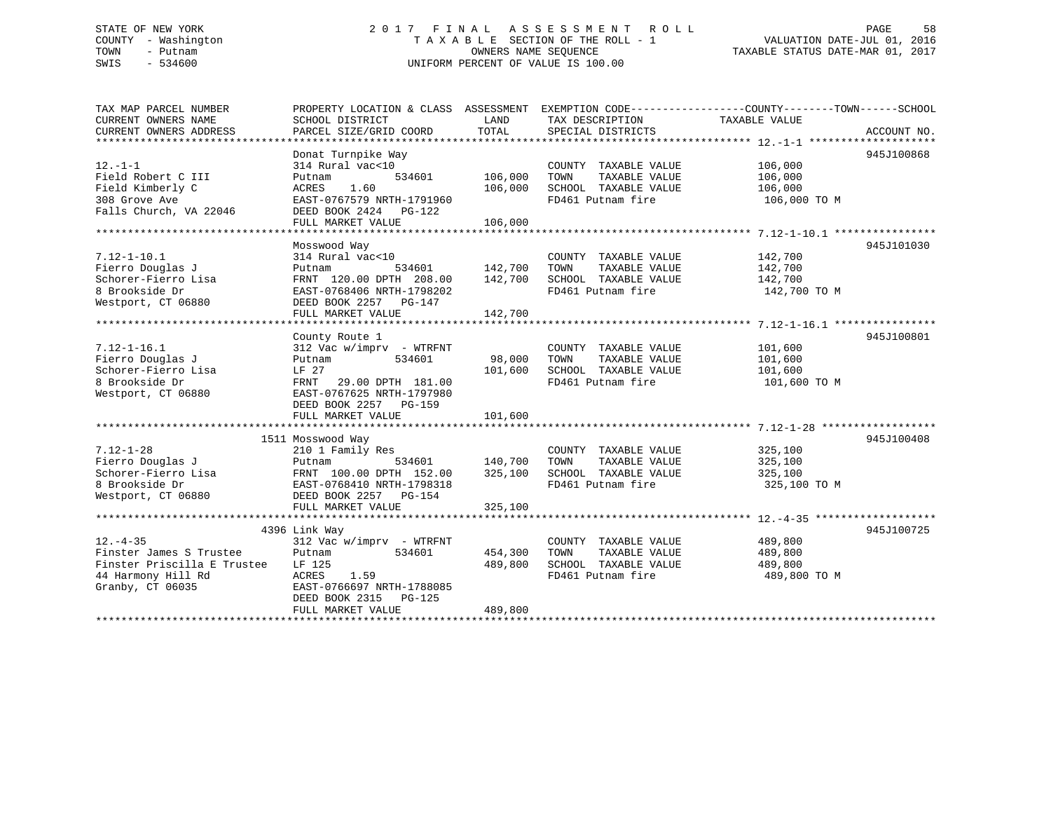#### STATE OF NEW YORK STATE OF NEW YORK SERVICE AS STATE ASSESS OF EXAMPLE TO LILL THE SERVICE SERVICE AND SERVICE COUNTY - Washington T A X A B L E SECTION OF THE ROLL - 1 TOWN - Putnam OWNERS NAME SEQUENCE TAXABLE STATUS DATE-MAR 01, 2017 SWIS - 534600 UNIFORM PERCENT OF VALUE IS 100.00

| TAX MAP PARCEL NUMBER<br>CURRENT OWNERS NAME | PROPERTY LOCATION & CLASS ASSESSMENT EXEMPTION CODE----------------COUNTY-------TOWN------SCHOOL<br>SCHOOL DISTRICT | LAND    | TAX DESCRIPTION       | TAXABLE VALUE |             |
|----------------------------------------------|---------------------------------------------------------------------------------------------------------------------|---------|-----------------------|---------------|-------------|
| CURRENT OWNERS ADDRESS                       | PARCEL SIZE/GRID COORD                                                                                              | TOTAL   | SPECIAL DISTRICTS     |               | ACCOUNT NO. |
|                                              |                                                                                                                     |         |                       |               |             |
| $12. - 1 - 1$                                | Donat Turnpike Way<br>314 Rural vac<10                                                                              |         | COUNTY TAXABLE VALUE  | 106,000       | 945J100868  |
| Field Robert C III                           | Putnam<br>534601                                                                                                    | 106,000 | TAXABLE VALUE<br>TOWN | 106,000       |             |
| Field Kimberly C                             | 1.60<br>ACRES                                                                                                       | 106,000 | SCHOOL TAXABLE VALUE  | 106,000       |             |
| 308 Grove Ave                                | EAST-0767579 NRTH-1791960                                                                                           |         | FD461 Putnam fire     | 106,000 TO M  |             |
| Falls Church, VA 22046                       | DEED BOOK 2424 PG-122                                                                                               |         |                       |               |             |
|                                              | FULL MARKET VALUE                                                                                                   | 106,000 |                       |               |             |
|                                              |                                                                                                                     |         |                       |               |             |
|                                              | Mosswood Way                                                                                                        |         |                       |               | 945J101030  |
| $7.12 - 1 - 10.1$                            | 314 Rural vac<10                                                                                                    |         | COUNTY TAXABLE VALUE  | 142,700       |             |
| Fierro Douglas J                             | 534601<br>Putnam                                                                                                    | 142,700 | TOWN<br>TAXABLE VALUE | 142,700       |             |
| Schorer-Fierro Lisa                          | FRNT 120.00 DPTH 208.00                                                                                             | 142,700 | SCHOOL TAXABLE VALUE  | 142,700       |             |
| 8 Brookside Dr                               | EAST-0768406 NRTH-1798202                                                                                           |         | FD461 Putnam fire     | 142,700 TO M  |             |
| Westport, CT 06880                           | DEED BOOK 2257 PG-147                                                                                               |         |                       |               |             |
|                                              | FULL MARKET VALUE                                                                                                   | 142,700 |                       |               |             |
|                                              |                                                                                                                     |         |                       |               |             |
|                                              | County Route 1                                                                                                      |         |                       |               | 945J100801  |
| $7.12 - 1 - 16.1$                            | $312$ Vac w/imprv - WTRFNT                                                                                          |         | COUNTY TAXABLE VALUE  | 101,600       |             |
| Fierro Douglas J                             | 534601<br>Putnam                                                                                                    | 98,000  | TOWN<br>TAXABLE VALUE | 101,600       |             |
| Schorer-Fierro Lisa                          | LF 27                                                                                                               | 101,600 | SCHOOL TAXABLE VALUE  | 101,600       |             |
| 8 Brookside Dr                               | FRNT<br>29.00 DPTH 181.00                                                                                           |         | FD461 Putnam fire     | 101,600 TO M  |             |
| Westport, CT 06880                           | EAST-0767625 NRTH-1797980                                                                                           |         |                       |               |             |
|                                              | DEED BOOK 2257 PG-159                                                                                               |         |                       |               |             |
|                                              | FULL MARKET VALUE                                                                                                   | 101,600 |                       |               |             |
|                                              |                                                                                                                     |         |                       |               |             |
|                                              | 1511 Mosswood Way                                                                                                   |         |                       |               | 945J100408  |
| $7.12 - 1 - 28$                              | 210 1 Family Res                                                                                                    |         | COUNTY TAXABLE VALUE  | 325,100       |             |
| Fierro Douglas J                             | Putnam<br>534601                                                                                                    | 140,700 | TAXABLE VALUE<br>TOWN | 325,100       |             |
| Schorer-Fierro Lisa                          | FRNT 100.00 DPTH 152.00                                                                                             | 325,100 | SCHOOL TAXABLE VALUE  | 325,100       |             |
| 8 Brookside Dr                               | EAST-0768410 NRTH-1798318                                                                                           |         | FD461 Putnam fire     | 325,100 TO M  |             |
| Westport, CT 06880                           | DEED BOOK 2257 PG-154                                                                                               |         |                       |               |             |
|                                              | FULL MARKET VALUE                                                                                                   | 325,100 |                       |               |             |
|                                              |                                                                                                                     |         |                       |               |             |
|                                              | 4396 Link Way                                                                                                       |         |                       |               | 945J100725  |
| $12. - 4 - 35$                               | $312$ Vac w/imprv - WTRFNT                                                                                          |         | COUNTY TAXABLE VALUE  | 489,800       |             |
| Finster James S Trustee                      | 534601<br>Putnam                                                                                                    | 454,300 | TOWN<br>TAXABLE VALUE | 489,800       |             |
| Finster Priscilla E Trustee                  | LF 125                                                                                                              | 489,800 | SCHOOL TAXABLE VALUE  | 489,800       |             |
| 44 Harmony Hill Rd                           | 1.59<br>ACRES                                                                                                       |         | FD461 Putnam fire     | 489,800 TO M  |             |
| Granby, CT 06035                             | EAST-0766697 NRTH-1788085                                                                                           |         |                       |               |             |
|                                              | DEED BOOK 2315<br>PG-125                                                                                            |         |                       |               |             |
|                                              | FULL MARKET VALUE                                                                                                   | 489,800 |                       |               |             |
|                                              |                                                                                                                     |         |                       |               |             |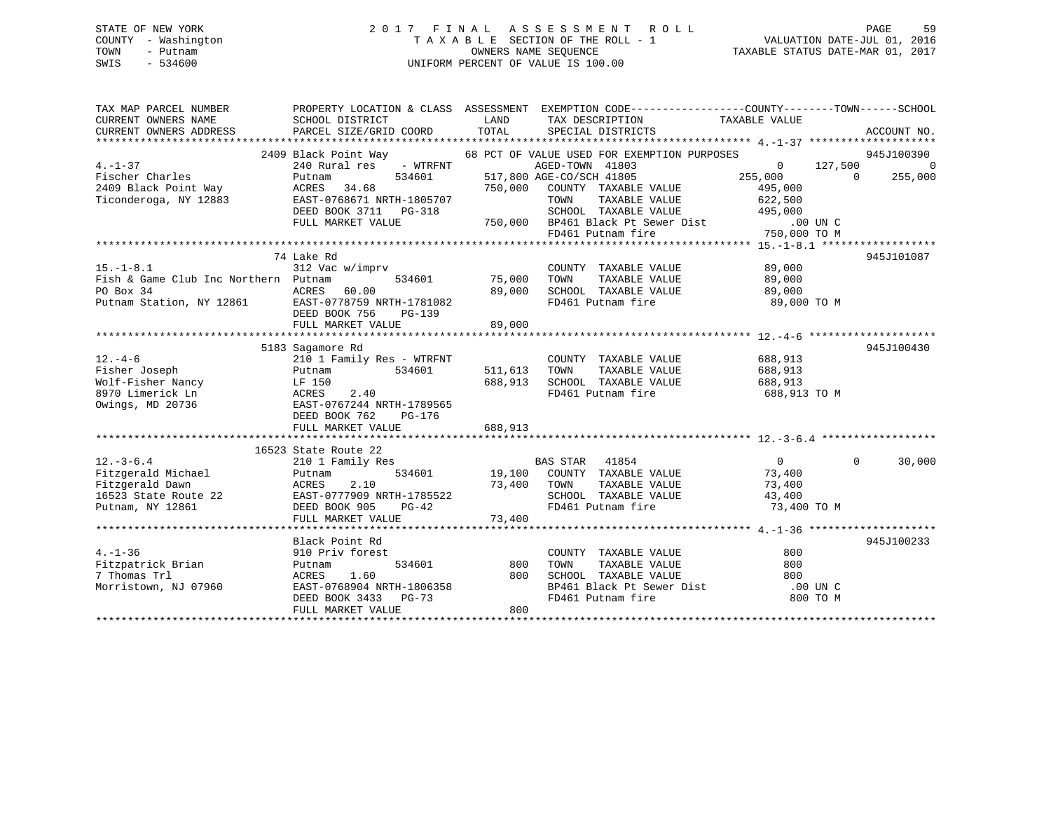## STATE OF NEW YORK 2 0 1 7 F I N A L A S S E S S M E N T R O L L PAGE 59 COUNTY - Washington T A X A B L E SECTION OF THE ROLL - 1 VALUATION DATE-JUL 01, 2016 TOWN - Putnam OWNERS NAME SEQUENCE TAXABLE STATUS DATE-MAR 01, 2017 SWIS - 534600 UNIFORM PERCENT OF VALUE IS 100.00

| TAX MAP PARCEL NUMBER<br>CURRENT OWNERS NAME<br>CURRENT OWNERS ADDRESS | SCHOOL DISTRICT<br>PARCEL SIZE/GRID COORD  | LAND<br>TOTAL      | PROPERTY LOCATION & CLASS ASSESSMENT EXEMPTION CODE---------------COUNTY-------TOWN------SCHOOL<br>TAX DESCRIPTION<br>SPECIAL DISTRICTS                                   | TAXABLE VALUE             | ACCOUNT NO.              |
|------------------------------------------------------------------------|--------------------------------------------|--------------------|---------------------------------------------------------------------------------------------------------------------------------------------------------------------------|---------------------------|--------------------------|
|                                                                        |                                            |                    |                                                                                                                                                                           |                           |                          |
| $4. -1 - 37$                                                           |                                            |                    | 2409 Black Point Way 68 PCT OF VALUE USED FOR EXEMPTION PURPOSES<br>AGED-TOWN 41803                                                                                       | 127,500<br>$\overline{0}$ | 945J100390               |
| Fischer Charles                                                        | 240 Rural res - WTRFNT<br>Putnam<br>534601 |                    | 517,800 AGE-CO/SCH 41805                                                                                                                                                  | 255,000 0                 | - 0<br>255,000           |
| 2409 Black Point Way                                                   | ACRES 34.68                                | 750,000            | COUNTY TAXABLE VALUE                                                                                                                                                      | 495,000                   |                          |
| Ticonderoga, NY 12883                                                  | EAST-0768671 NRTH-1805707                  |                    | TOWN<br>TAXABLE VALUE                                                                                                                                                     | 622,500                   |                          |
|                                                                        | DEED BOOK 3711 PG-318                      |                    | SCHOOL TAXABLE VALUE                                                                                                                                                      | 495,000                   |                          |
|                                                                        | FULL MARKET VALUE                          |                    |                                                                                                                                                                           | $.00$ UN $C$              |                          |
|                                                                        |                                            |                    | 750,000 BP461 Black Pt Sewer Dist<br>FD461 Putnam fire 7                                                                                                                  | 750,000 TO M              |                          |
|                                                                        |                                            |                    |                                                                                                                                                                           |                           |                          |
|                                                                        | 74 Lake Rd                                 |                    |                                                                                                                                                                           |                           | 945J101087               |
| $15. - 1 - 8.1$                                                        | 312 Vac w/imprv                            |                    | COUNTY TAXABLE VALUE                                                                                                                                                      | 89,000                    |                          |
| Fish & Game Club Inc Northern Putnam                                   |                                            | 534601 75,000 TOWN | TAXABLE VALUE                                                                                                                                                             | 89,000                    |                          |
| PO Box 34                                                              | ACRES<br>60.00                             | 89,000             | SCHOOL TAXABLE VALUE                                                                                                                                                      | 89,000                    |                          |
| Putnam Station, NY 12861 EAST-0778759 NRTH-1781082                     |                                            |                    | FD461 Putnam fire                                                                                                                                                         | 89,000 TO M               |                          |
|                                                                        | DEED BOOK 756<br>PG-139                    |                    |                                                                                                                                                                           |                           |                          |
|                                                                        | FULL MARKET VALUE                          | 89,000             |                                                                                                                                                                           |                           |                          |
|                                                                        |                                            |                    |                                                                                                                                                                           |                           |                          |
|                                                                        | 5183 Sagamore Rd                           |                    |                                                                                                                                                                           |                           | 945J100430               |
| $12. - 4 - 6$                                                          | 210 1 Family Res - WTRFNT                  |                    | COUNTY TAXABLE VALUE                                                                                                                                                      | 688,913                   |                          |
| Fisher Joseph                                                          | 534601<br>Putnam                           | 511,613 TOWN       | TAXABLE VALUE                                                                                                                                                             | 688,913                   |                          |
| Wolf-Fisher Nancy                                                      | LF 150                                     | 688,913            | SCHOOL TAXABLE VALUE 688,913                                                                                                                                              |                           |                          |
| 8970 Limerick Ln                                                       | 2.40<br>ACRES                              |                    | FD461 Putnam fire                                                                                                                                                         | 688,913 TO M              |                          |
| Owings, MD 20736                                                       |                                            |                    |                                                                                                                                                                           |                           |                          |
|                                                                        | DEED BOOK 762<br>PG-176                    |                    |                                                                                                                                                                           |                           |                          |
|                                                                        | FULL MARKET VALUE                          | 688,913            |                                                                                                                                                                           |                           |                          |
|                                                                        |                                            |                    |                                                                                                                                                                           |                           |                          |
|                                                                        | 16523 State Route 22                       |                    |                                                                                                                                                                           |                           |                          |
| $12.-3-6.4$                                                            | 210 1 Family Res                           |                    | $\begin{tabular}{lllllllllll} \texttt{BAS STAR} & 41854 & & & & 0 \\ \texttt{534601} & & 19,100 & \texttt{COUNTY} & \texttt{TAXABLE VALUE} & & & 73,400 \\ \end{tabular}$ |                           | $\overline{0}$<br>30,000 |
| Fitzgerald Michael                                                     | Putnam                                     |                    |                                                                                                                                                                           |                           |                          |
| Fitzgerald Dawn<br>16523 State Route 22 EAST-0777909 NRTH-1785522      | 2.10<br>ACRES                              | 73,400             | TAXABLE VALUE<br>TOWN                                                                                                                                                     | 73,400                    |                          |
|                                                                        |                                            |                    | SCHOOL TAXABLE VALUE                                                                                                                                                      | 43,400                    |                          |
| Putnam, NY 12861                                                       | DEED BOOK 905<br>PG-42                     |                    | FD461 Putnam fire                                                                                                                                                         | 73,400 TO M               |                          |
|                                                                        | FULL MARKET VALUE                          | 73,400             |                                                                                                                                                                           |                           |                          |
|                                                                        |                                            |                    |                                                                                                                                                                           |                           |                          |
|                                                                        | Black Point Rd                             |                    |                                                                                                                                                                           |                           | 945J100233               |
| $4. - 1 - 36$                                                          | 910 Priv forest                            |                    | COUNTY TAXABLE VALUE                                                                                                                                                      | 800                       |                          |
| Fitzpatrick Brian<br>7 Thomas Trl                                      | 534601<br>Putnam<br>1.60                   | 800<br>800         | TOWN<br>TAXABLE VALUE                                                                                                                                                     | 800                       |                          |
| Morristown, NJ 07960                                                   | ACRES<br>EAST-0768904 NRTH-1806358         |                    |                                                                                                                                                                           | 800<br>.00 UN C           |                          |
|                                                                        | DEED BOOK 3433<br>PG-73                    |                    | SCHOOL TAXABLE VALUE<br>BP461 Black Pt Sewer Dist<br>FD461 Putnam fire                                                                                                    | 800 TO M                  |                          |
|                                                                        | FULL MARKET VALUE                          | 800                |                                                                                                                                                                           |                           |                          |
|                                                                        |                                            |                    |                                                                                                                                                                           |                           |                          |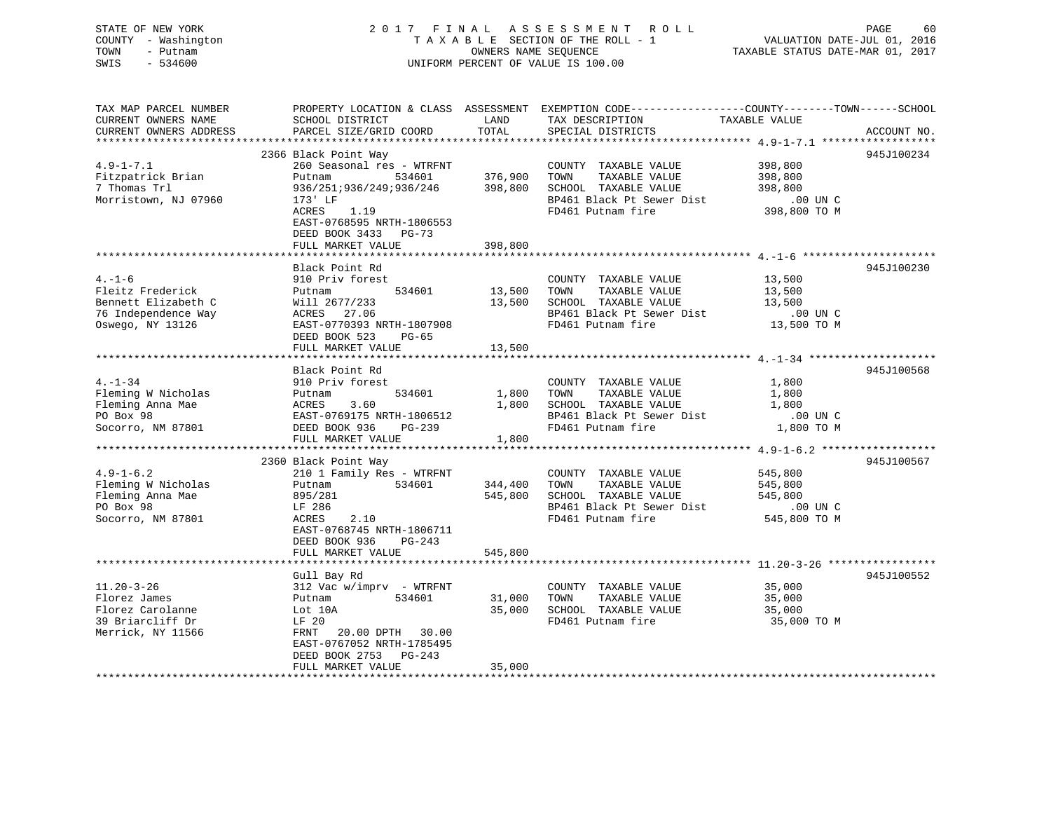## STATE OF NEW YORK 2 0 1 7 F I N A L A S S E S S M E N T R O L L PAGE 60 COUNTY - Washington T A X A B L E SECTION OF THE ROLL - 1 VALUATION DATE-JUL 01, 2016 TOWN - Putnam OWNERS NAME SEQUENCE TAXABLE STATUS DATE-MAR 01, 2017 SWIS - 534600 UNIFORM PERCENT OF VALUE IS 100.00

| TAX MAP PARCEL NUMBER  |                            |         | PROPERTY LOCATION & CLASS ASSESSMENT EXEMPTION CODE---------------COUNTY-------TOWN------SCHOOL |               |             |
|------------------------|----------------------------|---------|-------------------------------------------------------------------------------------------------|---------------|-------------|
| CURRENT OWNERS NAME    | SCHOOL DISTRICT            | LAND    | TAX DESCRIPTION                                                                                 | TAXABLE VALUE |             |
| CURRENT OWNERS ADDRESS | PARCEL SIZE/GRID COORD     | TOTAL   | SPECIAL DISTRICTS                                                                               |               | ACCOUNT NO. |
|                        |                            |         |                                                                                                 |               |             |
|                        | 2366 Black Point Way       |         |                                                                                                 |               | 945J100234  |
| $4.9 - 1 - 7.1$        | 260 Seasonal res - WTRFNT  |         |                                                                                                 | 398,800       |             |
|                        |                            |         | COUNTY TAXABLE VALUE                                                                            |               |             |
| Fitzpatrick Brian      | 534601<br>Putnam           | 376,900 | TAXABLE VALUE<br>TOWN                                                                           | 398,800       |             |
| 7 Thomas Trl           | 936/251;936/249;936/246    | 398,800 | SCHOOL TAXABLE VALUE                                                                            | 398,800       |             |
| Morristown, NJ 07960   | 173' LF                    |         | BP461 Black Pt Sewer Dist                                                                       | .00 UN C      |             |
|                        | 1.19<br>ACRES              |         | FD461 Putnam fire                                                                               | 398,800 TO M  |             |
|                        | EAST-0768595 NRTH-1806553  |         |                                                                                                 |               |             |
|                        | DEED BOOK 3433 PG-73       |         |                                                                                                 |               |             |
|                        | FULL MARKET VALUE          | 398,800 |                                                                                                 |               |             |
|                        |                            |         |                                                                                                 |               |             |
|                        |                            |         |                                                                                                 |               |             |
|                        | Black Point Rd             |         |                                                                                                 |               | 945J100230  |
| $4. - 1 - 6$           | 910 Priv forest            |         | COUNTY TAXABLE VALUE                                                                            | 13,500        |             |
| Fleitz Frederick       | 534601<br>Putnam           | 13,500  | TAXABLE VALUE<br>TOWN                                                                           | 13,500        |             |
| Bennett Elizabeth C    | Will 2677/233              | 13,500  | SCHOOL TAXABLE VALUE                                                                            | 13,500        |             |
| 76 Independence Way    | ACRES 27.06                |         | BP461 Black Pt Sewer Dist                                                                       | .00 UN C      |             |
| Oswego, NY 13126       | EAST-0770393 NRTH-1807908  |         | FD461 Putnam fire                                                                               | 13,500 TO M   |             |
|                        | DEED BOOK 523<br>$PG-65$   |         |                                                                                                 |               |             |
|                        | FULL MARKET VALUE          | 13,500  |                                                                                                 |               |             |
|                        |                            |         |                                                                                                 |               |             |
|                        |                            |         |                                                                                                 |               |             |
|                        | Black Point Rd             |         |                                                                                                 |               | 945J100568  |
| $4. - 1 - 34$          | 910 Priv forest            |         | COUNTY TAXABLE VALUE                                                                            | 1,800         |             |
| Fleming W Nicholas     | 534601<br>Putnam           | 1,800   | TAXABLE VALUE<br>TOWN                                                                           | 1,800         |             |
| Fleming Anna Mae       | 3.60<br>ACRES              | 1,800   | SCHOOL TAXABLE VALUE                                                                            | 1,800         |             |
| PO Box 98              | EAST-0769175 NRTH-1806512  |         | BP461 Black Pt Sewer Dist                                                                       | .00 UN C      |             |
| Socorro, NM 87801      | DEED BOOK 936<br>PG-239    |         | FD461 Putnam fire                                                                               | 1,800 TO M    |             |
|                        | FULL MARKET VALUE          | 1,800   |                                                                                                 |               |             |
|                        |                            |         |                                                                                                 |               |             |
|                        | 2360 Black Point Way       |         |                                                                                                 |               | 945J100567  |
| $4.9 - 1 - 6.2$        |                            |         | COUNTY TAXABLE VALUE                                                                            | 545,800       |             |
|                        | 210 1 Family Res - WTRFNT  |         |                                                                                                 |               |             |
| Fleming W Nicholas     | 534601<br>Putnam           | 344,400 | TAXABLE VALUE<br>TOWN                                                                           | 545,800       |             |
| Fleming Anna Mae       | 895/281                    | 545,800 | SCHOOL TAXABLE VALUE                                                                            | 545,800       |             |
| PO Box 98              | LF 286                     |         | BP461 Black Pt Sewer Dist                                                                       | $.00$ UN C    |             |
| Socorro, NM 87801      | 2.10<br>ACRES              |         | FD461 Putnam fire                                                                               | 545,800 TO M  |             |
|                        | EAST-0768745 NRTH-1806711  |         |                                                                                                 |               |             |
|                        | DEED BOOK 936<br>$PG-243$  |         |                                                                                                 |               |             |
|                        | FULL MARKET VALUE          | 545,800 |                                                                                                 |               |             |
|                        |                            |         |                                                                                                 |               |             |
|                        | Gull Bay Rd                |         |                                                                                                 |               | 945J100552  |
| $11.20 - 3 - 26$       | $312$ Vac w/imprv - WTRFNT |         | COUNTY TAXABLE VALUE                                                                            |               |             |
|                        |                            |         |                                                                                                 | 35,000        |             |
| Florez James           | 534601<br>Putnam           | 31,000  | TOWN<br>TAXABLE VALUE                                                                           | 35,000        |             |
| Florez Carolanne       | Lot 10A                    | 35,000  | SCHOOL TAXABLE VALUE                                                                            | 35,000        |             |
| 39 Briarcliff Dr       | LF 20                      |         | FD461 Putnam fire                                                                               | 35,000 TO M   |             |
| Merrick, NY 11566      | FRNT<br>20.00 DPTH 30.00   |         |                                                                                                 |               |             |
|                        | EAST-0767052 NRTH-1785495  |         |                                                                                                 |               |             |
|                        | DEED BOOK 2753 PG-243      |         |                                                                                                 |               |             |
|                        | FULL MARKET VALUE          | 35,000  |                                                                                                 |               |             |
|                        |                            |         |                                                                                                 |               |             |
|                        |                            |         |                                                                                                 |               |             |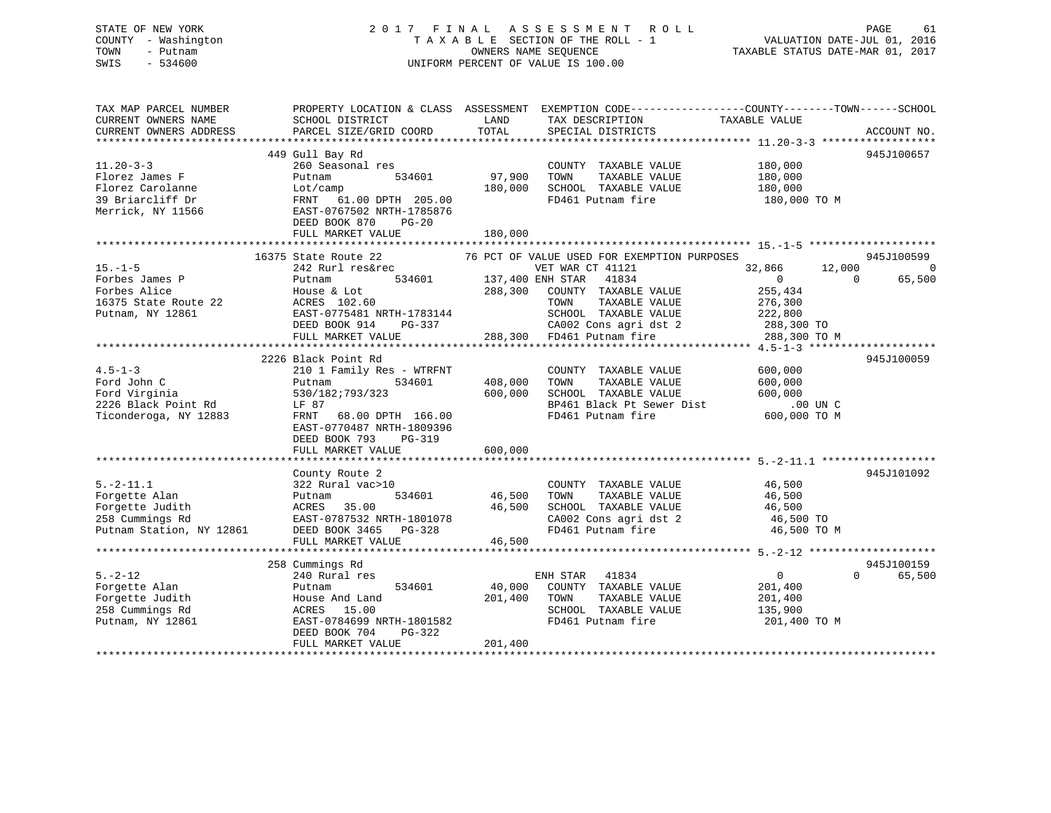## STATE OF NEW YORK 2 0 1 7 F I N A L A S S E S S M E N T R O L L PAGE 61 COUNTY - Washington T A X A B L E SECTION OF THE ROLL - 1 VALUATION DATE-JUL 01, 2016 TOWN - Putnam OWNERS NAME SEQUENCE TAXABLE STATUS DATE-MAR 01, 2017 SWIS - 534600 UNIFORM PERCENT OF VALUE IS 100.00

| TAX MAP PARCEL NUMBER<br>CURRENT OWNERS NAME<br>CURRENT OWNERS ADDRESS | SCHOOL DISTRICT<br>PARCEL SIZE/GRID COORD           | LAND<br>TOTAL                         | PROPERTY LOCATION & CLASS ASSESSMENT EXEMPTION CODE---------------COUNTY-------TOWN-----SCHOOL<br>TAX DESCRIPTION<br>SPECIAL DISTRICTS | TAXABLE VALUE    | ACCOUNT NO.        |
|------------------------------------------------------------------------|-----------------------------------------------------|---------------------------------------|----------------------------------------------------------------------------------------------------------------------------------------|------------------|--------------------|
|                                                                        |                                                     |                                       |                                                                                                                                        |                  |                    |
|                                                                        | 449 Gull Bay Rd                                     |                                       |                                                                                                                                        |                  | 945J100657         |
| $11.20 - 3 - 3$                                                        | 260 Seasonal res                                    |                                       | COUNTY TAXABLE VALUE                                                                                                                   | 180,000          |                    |
| Florez James F                                                         | 534601<br>Putnam                                    | 97,900                                | TOWN<br>TAXABLE VALUE                                                                                                                  | 180,000          |                    |
| Florez Carolanne                                                       | Lot/camp                                            | 180,000                               | SCHOOL TAXABLE VALUE                                                                                                                   | 180,000          |                    |
| 39 Briarcliff Dr<br>Merrick, NY 11566                                  | FRNT 61.00 DPTH 205.00<br>EAST-0767502 NRTH-1785876 |                                       | FD461 Putnam fire                                                                                                                      | 180,000 TO M     |                    |
|                                                                        | DEED BOOK 870<br>$PG-20$<br>FULL MARKET VALUE       | 180,000                               |                                                                                                                                        |                  |                    |
|                                                                        |                                                     |                                       |                                                                                                                                        |                  |                    |
| $15. - 1 - 5$                                                          | 16375 State Route 22<br>242 Rurl res&rec            |                                       | 76 PCT OF VALUE USED FOR EXEMPTION PURPOSES<br>VET WAR CT 41121                                                                        | 32,866<br>12,000 | 945J100599<br>0    |
| Forbes James P                                                         | Putnam                                              | VET WAR CT<br>534601 137,400 ENH STAR | 41834                                                                                                                                  | $\overline{0}$   | 65,500<br>$\Omega$ |
| Forbes Alice                                                           | House & Lot                                         | 288,300                               | COUNTY TAXABLE VALUE                                                                                                                   | 255,434          |                    |
| 16375 State Route 22                                                   |                                                     |                                       | TOWN<br>TAXABLE VALUE                                                                                                                  |                  |                    |
|                                                                        | ACRES 102.60                                        |                                       |                                                                                                                                        | 276,300          |                    |
| Putnam, NY 12861                                                       | EAST-0775481 NRTH-1783144                           |                                       | SCHOOL TAXABLE VALUE                                                                                                                   | 222,800          |                    |
|                                                                        | DEED BOOK 914<br>PG-337                             |                                       | CA002 Cons agri dst 2                                                                                                                  | 288,300 TO       |                    |
|                                                                        | FULL MARKET VALUE                                   |                                       | 288,300 FD461 Putnam fire                                                                                                              | 288,300 TO M     |                    |
|                                                                        | 2226 Black Point Rd                                 |                                       |                                                                                                                                        |                  | 945J100059         |
| $4.5 - 1 - 3$                                                          | 210 1 Family Res - WTRFNT                           |                                       | COUNTY TAXABLE VALUE                                                                                                                   | 600,000          |                    |
| Ford John C                                                            | 534601<br>Putnam                                    | 408,000                               | TOWN<br>TAXABLE VALUE                                                                                                                  | 600,000          |                    |
| Ford Virginia                                                          | 530/182;793/323                                     | 600,000                               | SCHOOL TAXABLE VALUE                                                                                                                   | 600,000          |                    |
| 2226 Black Point Rd                                                    | LF 87                                               |                                       | BP461 Black Pt Sewer Dist                                                                                                              | $.00$ UN C       |                    |
|                                                                        |                                                     |                                       |                                                                                                                                        |                  |                    |
| Ticonderoga, NY 12883                                                  | FRNT 68.00 DPTH 166.00<br>EAST-0770487 NRTH-1809396 |                                       | FD461 Putnam fire                                                                                                                      | 600,000 TO M     |                    |
|                                                                        | DEED BOOK 793<br>PG-319<br>FULL MARKET VALUE        | 600,000                               |                                                                                                                                        |                  |                    |
|                                                                        |                                                     |                                       |                                                                                                                                        |                  |                    |
|                                                                        | County Route 2                                      |                                       |                                                                                                                                        |                  | 945J101092         |
| $5. -2 - 11.1$                                                         | 322 Rural vac>10                                    |                                       | COUNTY TAXABLE VALUE                                                                                                                   | 46,500           |                    |
| Forgette Alan                                                          | 534601<br>Putnam                                    | 46,500                                | TAXABLE VALUE<br>TOWN                                                                                                                  | 46,500           |                    |
| Forgette Judith                                                        | ACRES<br>35.00                                      | 46,500                                | SCHOOL TAXABLE VALUE                                                                                                                   | 46,500           |                    |
| 258 Cummings Rd                                                        | EAST-0787532 NRTH-1801078                           |                                       | CA002 Cons agri dst 2                                                                                                                  | 46,500 TO        |                    |
| Putnam Station, NY 12861                                               | DEED BOOK 3465 PG-328                               |                                       | FD461 Putnam fire                                                                                                                      | 46,500 TO M      |                    |
|                                                                        | FULL MARKET VALUE                                   | 46,500                                |                                                                                                                                        |                  |                    |
|                                                                        |                                                     |                                       |                                                                                                                                        |                  |                    |
|                                                                        | 258 Cummings Rd                                     |                                       |                                                                                                                                        |                  | 945J100159         |
| $5. - 2 - 12$                                                          | 240 Rural res                                       |                                       | ENH STAR 41834                                                                                                                         | $\mathbf{0}$     | $\Omega$<br>65,500 |
| Forgette Alan                                                          | 534601<br>Putnam                                    | 40,000                                | COUNTY TAXABLE VALUE                                                                                                                   | 201,400          |                    |
| Forgette Judith                                                        | House And Land                                      | 201,400                               | TAXABLE VALUE<br>TOWN                                                                                                                  | 201,400          |                    |
| 258 Cummings Rd                                                        | ACRES<br>15.00                                      |                                       | SCHOOL TAXABLE VALUE                                                                                                                   | 135,900          |                    |
| Putnam, NY 12861                                                       | EAST-0784699 NRTH-1801582                           |                                       | FD461 Putnam fire                                                                                                                      | 201,400 TO M     |                    |
|                                                                        | DEED BOOK 704<br>PG-322                             |                                       |                                                                                                                                        |                  |                    |
|                                                                        | FULL MARKET VALUE                                   | 201,400                               |                                                                                                                                        |                  |                    |
|                                                                        |                                                     |                                       |                                                                                                                                        |                  |                    |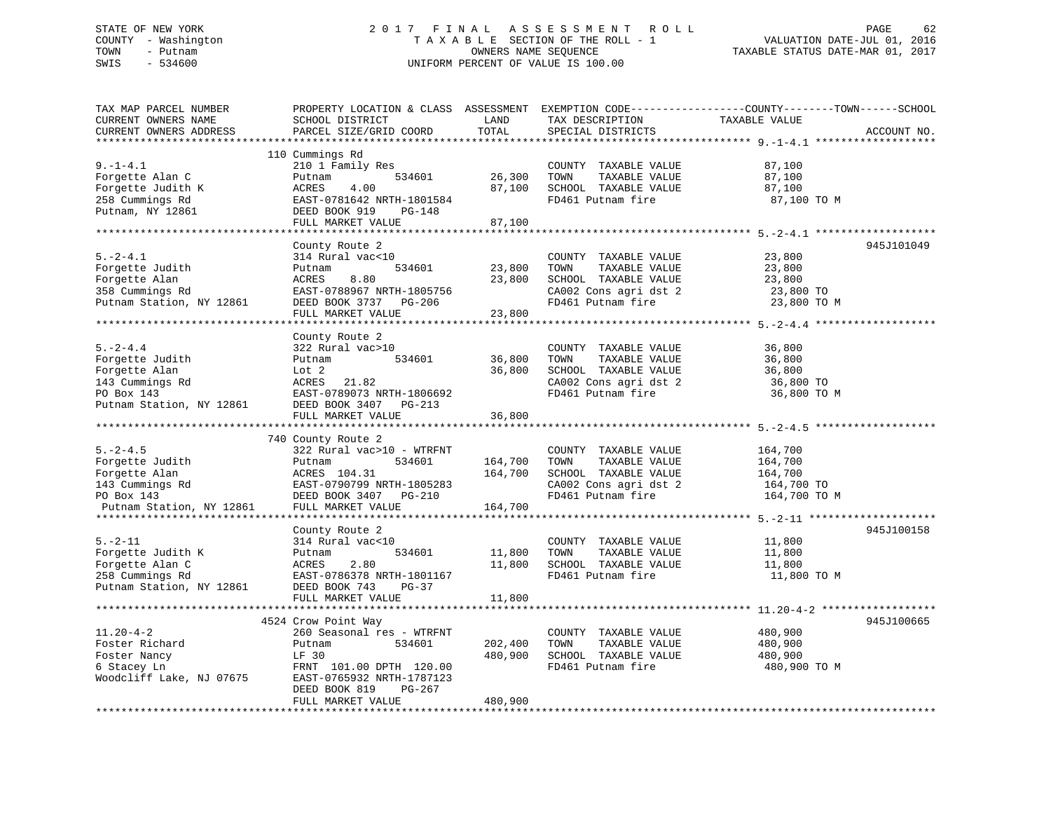## STATE OF NEW YORK 2 0 1 7 F I N A L A S S E S S M E N T R O L L PAGE 62 COUNTY - Washington T A X A B L E SECTION OF THE ROLL - 1 VALUATION DATE-JUL 01, 2016 TOWN - Putnam OWNERS NAME SEQUENCE TAXABLE STATUS DATE-MAR 01, 2017 SWIS - 534600 UNIFORM PERCENT OF VALUE IS 100.00

| TAX MAP PARCEL NUMBER<br>CURRENT OWNERS NAME<br>CURRENT OWNERS ADDRESS                              | PROPERTY LOCATION & CLASS ASSESSMENT<br>SCHOOL DISTRICT<br>PARCEL SIZE/GRID COORD                                                                     | LAND<br>TOTAL              | TAX DESCRIPTION<br>SPECIAL DISTRICTS                                                                                | EXEMPTION CODE-----------------COUNTY-------TOWN------SCHOOL<br>TAXABLE VALUE<br>ACCOUNT NO. |
|-----------------------------------------------------------------------------------------------------|-------------------------------------------------------------------------------------------------------------------------------------------------------|----------------------------|---------------------------------------------------------------------------------------------------------------------|----------------------------------------------------------------------------------------------|
| **********************                                                                              |                                                                                                                                                       |                            |                                                                                                                     |                                                                                              |
| $9. - 1 - 4.1$<br>Forgette Alan C<br>Forgette Judith K<br>258 Cummings Rd<br>Putnam, NY 12861       | 110 Cummings Rd<br>210 1 Family Res<br>534601<br>Putnam<br>ACRES<br>4.00<br>EAST-0781642 NRTH-1801584<br>DEED BOOK 919<br><b>PG-148</b>               | 26,300<br>87,100           | COUNTY TAXABLE VALUE<br>TOWN<br>TAXABLE VALUE<br>SCHOOL TAXABLE VALUE<br>FD461 Putnam fire                          | 87,100<br>87,100<br>87,100<br>87,100 TO M                                                    |
|                                                                                                     | FULL MARKET VALUE                                                                                                                                     | 87,100                     |                                                                                                                     |                                                                                              |
|                                                                                                     |                                                                                                                                                       |                            |                                                                                                                     |                                                                                              |
| $5. - 2 - 4.1$<br>Forgette Judith<br>Forgette Alan<br>358 Cummings Rd<br>Putnam Station, NY 12861   | County Route 2<br>314 Rural vac<10<br>534601<br>Putnam<br>ACRES<br>8.80<br>EAST-0788967 NRTH-1805756<br>DEED BOOK 3737 PG-206                         | 23,800<br>23,800           | COUNTY TAXABLE VALUE<br>TOWN<br>TAXABLE VALUE<br>SCHOOL TAXABLE VALUE<br>CA002 Cons agri dst 2<br>FD461 Putnam fire | 945J101049<br>23,800<br>23,800<br>23,800<br>23,800 TO<br>23,800 TO M                         |
|                                                                                                     | FULL MARKET VALUE                                                                                                                                     | 23,800                     |                                                                                                                     |                                                                                              |
|                                                                                                     |                                                                                                                                                       |                            |                                                                                                                     |                                                                                              |
| $5. -2 - 4.4$<br>Forgette Judith<br>Forgette Alan<br>143 Cummings Rd                                | County Route 2<br>322 Rural vac>10<br>534601<br>Putnam<br>Lot 2<br>21.82<br>ACRES                                                                     | 36,800<br>36,800           | COUNTY TAXABLE VALUE<br>TOWN<br>TAXABLE VALUE<br>SCHOOL TAXABLE VALUE<br>CA002 Cons agri dst 2                      | 36,800<br>36,800<br>36,800<br>36,800 TO                                                      |
| PO Box 143<br>Putnam Station, NY 12861                                                              | EAST-0789073 NRTH-1806692<br>DEED BOOK 3407 PG-213<br>FULL MARKET VALUE                                                                               | 36,800                     | FD461 Putnam fire                                                                                                   | 36,800 TO M                                                                                  |
|                                                                                                     |                                                                                                                                                       |                            |                                                                                                                     |                                                                                              |
|                                                                                                     | 740 County Route 2                                                                                                                                    |                            |                                                                                                                     |                                                                                              |
| $5. -2 - 4.5$<br>Forgette Judith<br>Forgette Alan<br>143 Cummings Rd<br>PO Box 143                  | 322 Rural vac>10 - WTRFNT<br>534601<br>Putnam<br>ACRES 104.31<br>EAST-0790799 NRTH-1805283<br>DEED BOOK 3407<br>PG-210                                | 164,700<br>164,700         | COUNTY TAXABLE VALUE<br>TOWN<br>TAXABLE VALUE<br>SCHOOL TAXABLE VALUE<br>CA002 Cons agri dst 2<br>FD461 Putnam fire | 164,700<br>164,700<br>164,700<br>164,700 TO<br>164,700 TO M                                  |
| Putnam Station, NY 12861                                                                            | FULL MARKET VALUE                                                                                                                                     | 164,700                    |                                                                                                                     |                                                                                              |
| $5. -2 - 11$<br>Forgette Judith K<br>Forgette Alan C<br>258 Cummings Rd<br>Putnam Station, NY 12861 | County Route 2<br>314 Rural vac<10<br>Putnam<br>534601<br>2.80<br>ACRES<br>EAST-0786378 NRTH-1801167<br>DEED BOOK 743<br>$PG-37$<br>FULL MARKET VALUE | 11,800<br>11,800<br>11,800 | COUNTY TAXABLE VALUE<br>TOWN<br>TAXABLE VALUE<br>SCHOOL TAXABLE VALUE<br>FD461 Putnam fire                          | 945J100158<br>11,800<br>11,800<br>11,800<br>11,800 TO M                                      |
|                                                                                                     | ***********************                                                                                                                               | ******************         |                                                                                                                     |                                                                                              |
| $11.20 - 4 - 2$<br>Foster Richard<br>Foster Nancy<br>6 Stacey Ln<br>Woodcliff Lake, NJ 07675        | 4524 Crow Point Way<br>260 Seasonal res - WTRFNT<br>534601<br>Putnam<br>LF 30<br>FRNT 101.00 DPTH 120.00<br>EAST-0765932 NRTH-1787123                 | 202,400<br>480,900         | COUNTY TAXABLE VALUE<br>TOWN<br>TAXABLE VALUE<br>SCHOOL TAXABLE VALUE<br>FD461 Putnam fire                          | 945J100665<br>480,900<br>480,900<br>480,900<br>480,900 TO M                                  |
|                                                                                                     | DEED BOOK 819<br>$PG-267$<br>FULL MARKET VALUE                                                                                                        | 480,900                    |                                                                                                                     |                                                                                              |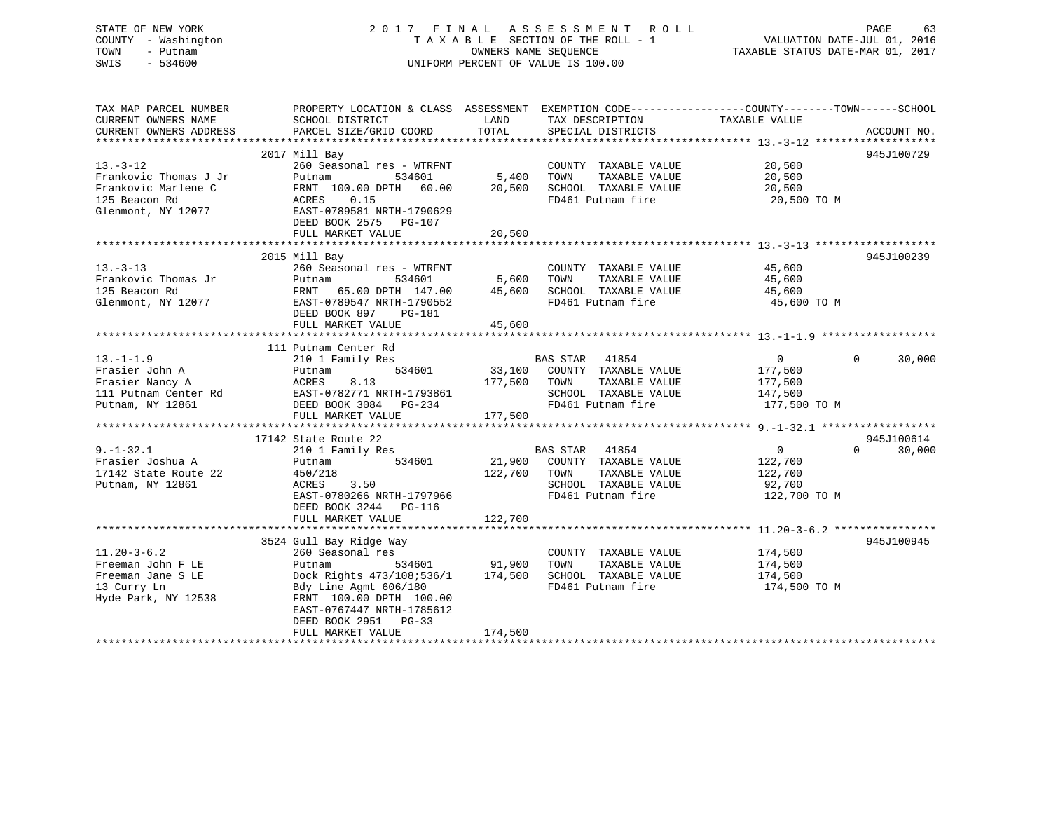## STATE OF NEW YORK 2 0 1 7 F I N A L A S S E S S M E N T R O L L PAGE 63 COUNTY - Washington T A X A B L E SECTION OF THE ROLL - 1 VALUATION DATE-JUL 01, 2016 TOWN - Putnam OWNERS NAME SEQUENCE TAXABLE STATUS DATE-MAR 01, 2017 SWIS - 534600 UNIFORM PERCENT OF VALUE IS 100.00

| TAX MAP PARCEL NUMBER                                                                               | PROPERTY LOCATION & CLASS ASSESSMENT EXEMPTION CODE----------------COUNTY-------TOWN-----SCHOOL |               |                                           |                    |                    |
|-----------------------------------------------------------------------------------------------------|-------------------------------------------------------------------------------------------------|---------------|-------------------------------------------|--------------------|--------------------|
| CURRENT OWNERS NAME<br>CURRENT OWNERS ADDRESS                                                       | SCHOOL DISTRICT<br>PARCEL SIZE/GRID COORD                                                       | LAND<br>TOTAL | TAX DESCRIPTION<br>SPECIAL DISTRICTS      | TAXABLE VALUE      | ACCOUNT NO.        |
|                                                                                                     |                                                                                                 |               |                                           |                    |                    |
|                                                                                                     | 2017 Mill Bay                                                                                   |               |                                           |                    | 945J100729         |
| $13 - 3 - 12$                                                                                       | 260 Seasonal res - WTRFNT                                                                       |               | COUNTY TAXABLE VALUE                      | 20,500             |                    |
| Frankovic Thomas J Jr                                                                               | Putnam<br>534601                                                                                | 5,400         | TOWN<br>TAXABLE VALUE                     | 20,500             |                    |
| Frankovic Marlene C                                                                                 | FRNT 100.00 DPTH 60.00                                                                          | 20,500        |                                           | 20,500             |                    |
| 125 Beacon Rd                                                                                       | 0.15<br>ACRES                                                                                   |               | SCHOOL TAXABLE VALUE<br>FD461 Putnam fire | 20,500 TO M        |                    |
| Glenmont, NY 12077                                                                                  | EAST-0789581 NRTH-1790629                                                                       |               |                                           |                    |                    |
|                                                                                                     | DEED BOOK 2575 PG-107                                                                           |               |                                           |                    |                    |
|                                                                                                     | FULL MARKET VALUE                                                                               | 20,500        |                                           |                    |                    |
|                                                                                                     |                                                                                                 |               |                                           |                    |                    |
|                                                                                                     | 2015 Mill Bay                                                                                   |               |                                           |                    | 945J100239         |
| $13 - 3 - 13$                                                                                       | 260 Seasonal res - WTRFNT                                                                       |               | COUNTY TAXABLE VALUE                      | 45,600             |                    |
| Frankovic Thomas Jr                                                                                 | Putnam<br>534601                                                                                | 5,600         | TOWN<br>TAXABLE VALUE                     | 45,600             |                    |
| 125 Beacon Rd                                                                                       | FRNT 65.00 DPTH 147.00 45,600                                                                   |               | SCHOOL TAXABLE VALUE                      | 45,600             |                    |
| Glenmont, NY 12077                                                                                  | FRNT 65.00 DF111 1<br>EAST-0789547 NRTH-1790552                                                 |               | FD461 Putnam fire                         | 45,600 TO M        |                    |
|                                                                                                     | DEED BOOK 897<br>PG-181                                                                         |               |                                           |                    |                    |
|                                                                                                     |                                                                                                 |               |                                           |                    |                    |
|                                                                                                     |                                                                                                 |               |                                           |                    |                    |
| $13. - 1 - 1.9$                                                                                     | 111 Putnam Center Rd                                                                            |               | BAS STAR 41854                            | $\overline{0}$     | $\Omega$<br>30,000 |
| Frasier John A                                                                                      | 210 1 Family Res<br>534601                                                                      |               | 33,100 COUNTY TAXABLE VALUE               |                    |                    |
| Frasier Nancy A                                                                                     | Putnam<br>ACRES<br>8.13                                                                         | 177,500       | TAXABLE VALUE<br>TOWN                     | 177,500<br>177,500 |                    |
|                                                                                                     |                                                                                                 |               | SCHOOL TAXABLE VALUE                      | 147,500            |                    |
| 111 Putnam Center Rd<br>111 Putnam Center Rd<br>1006 - Prep. Poor 2004 - PC 224<br>Putnam, NY 12861 |                                                                                                 |               | FD461 Putnam fire                         | 177,500 TO M       |                    |
|                                                                                                     | DEED BOOK 3084 PG-234<br>FULL MARKET VALUE                                                      | 177,500       |                                           |                    |                    |
|                                                                                                     |                                                                                                 |               |                                           |                    |                    |
|                                                                                                     | 17142 State Route 22                                                                            |               |                                           |                    | 945J100614         |
| $9. - 1 - 32.1$                                                                                     | 210 1 Family Res                                                                                |               | BAS STAR 41854                            | 0                  | $\Omega$<br>30,000 |
| Frasier Joshua A                                                                                    | 534601<br>Putnam                                                                                | 21,900        | COUNTY TAXABLE VALUE                      | 122,700            |                    |
| 17142 State Route 22                                                                                | 450/218                                                                                         | 122,700       | TAXABLE VALUE<br>TOWN                     | 122,700            |                    |
| Putnam, NY 12861                                                                                    | 3.50<br>ACRES                                                                                   |               | SCHOOL TAXABLE VALUE                      | 92,700             |                    |
|                                                                                                     | EAST-0780266 NRTH-1797966                                                                       |               | FD461 Putnam fire                         | 122,700 TO M       |                    |
|                                                                                                     | DEED BOOK 3244 PG-116                                                                           |               |                                           |                    |                    |
|                                                                                                     | FULL MARKET VALUE                                                                               | 122,700       |                                           |                    |                    |
|                                                                                                     |                                                                                                 |               |                                           |                    |                    |
|                                                                                                     | 3524 Gull Bay Ridge Way                                                                         |               |                                           |                    | 945J100945         |
| $11.20 - 3 - 6.2$                                                                                   | 260 Seasonal res                                                                                |               | COUNTY TAXABLE VALUE                      | 174,500            |                    |
| Freeman John F LE                                                                                   | 534601<br>Putnam                                                                                | 91,900        | TOWN<br>TAXABLE VALUE                     | 174,500            |                    |
| Freeman Jane S LE                                                                                   | Dock Rights 473/108;536/1                                                                       | 174,500       | SCHOOL TAXABLE VALUE                      | 174,500            |                    |
| 13 Curry Ln                                                                                         | Bdy Line Agmt 606/180                                                                           |               | FD461 Putnam fire                         | 174,500 TO M       |                    |
| Hyde Park, NY 12538                                                                                 | FRNT 100.00 DPTH 100.00                                                                         |               |                                           |                    |                    |
|                                                                                                     | EAST-0767447 NRTH-1785612                                                                       |               |                                           |                    |                    |
|                                                                                                     | DEED BOOK 2951<br>$PG-33$                                                                       |               |                                           |                    |                    |
|                                                                                                     | FULL MARKET VALUE                                                                               | 174,500       |                                           |                    |                    |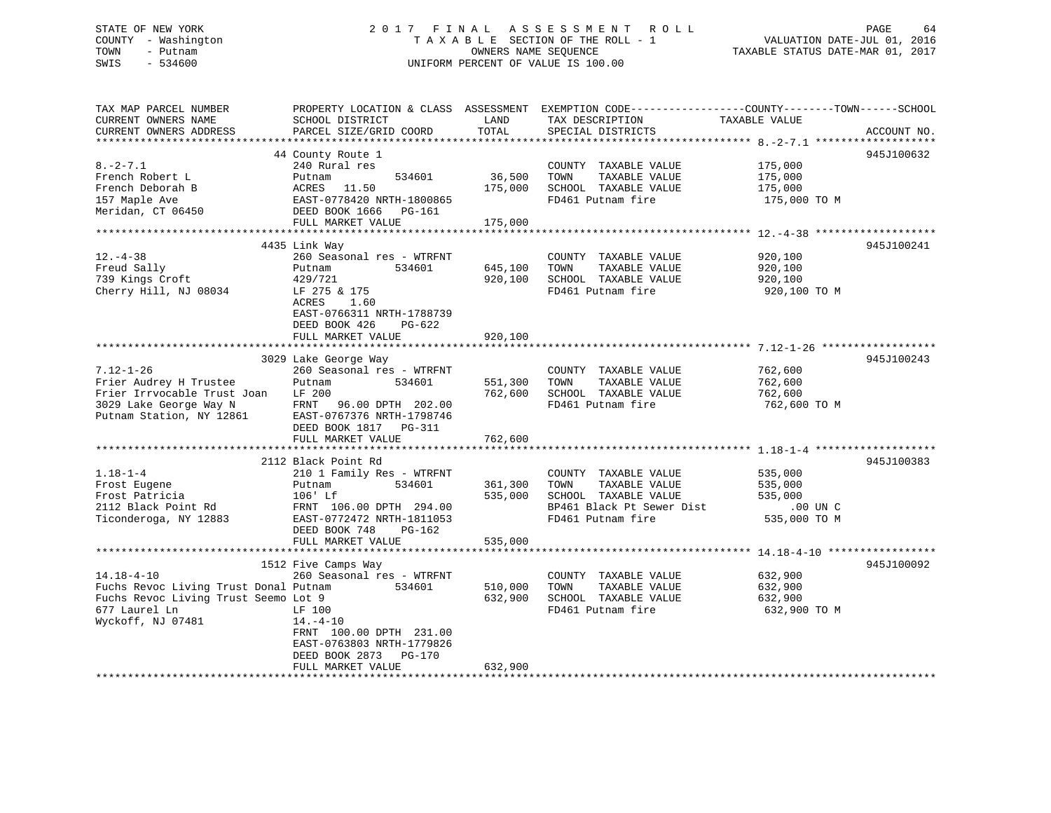## STATE OF NEW YORK 2 0 1 7 F I N A L A S S E S S M E N T R O L L PAGE 64 COUNTY - Washington T A X A B L E SECTION OF THE ROLL - 1 VALUATION DATE-JUL 01, 2016 TOWN - Putnam OWNERS NAME SEQUENCE TAXABLE STATUS DATE-MAR 01, 2017 SWIS - 534600 UNIFORM PERCENT OF VALUE IS 100.00

| TAX MAP PARCEL NUMBER                 | PROPERTY LOCATION & CLASS ASSESSMENT EXEMPTION CODE----------------COUNTY-------TOWN------SCHOOL |         |                           |               |             |
|---------------------------------------|--------------------------------------------------------------------------------------------------|---------|---------------------------|---------------|-------------|
| CURRENT OWNERS NAME                   | SCHOOL DISTRICT                                                                                  | LAND    | TAX DESCRIPTION           | TAXABLE VALUE |             |
| CURRENT OWNERS ADDRESS                | PARCEL SIZE/GRID COORD                                                                           | TOTAL   | SPECIAL DISTRICTS         |               | ACCOUNT NO. |
|                                       |                                                                                                  |         |                           |               |             |
|                                       | 44 County Route 1                                                                                |         |                           |               | 945J100632  |
| $8. -2 - 7.1$                         | 240 Rural res                                                                                    |         | COUNTY TAXABLE VALUE      | 175,000       |             |
| French Robert L                       | 534601<br>Putnam                                                                                 | 36,500  | TOWN<br>TAXABLE VALUE     | 175,000       |             |
| French Deborah B                      | ACRES 11.50                                                                                      | 175,000 | SCHOOL TAXABLE VALUE      | 175,000       |             |
| 157 Maple Ave                         | EAST-0778420 NRTH-1800865                                                                        |         | FD461 Putnam fire         | 175,000 TO M  |             |
| Meridan, CT 06450                     | DEED BOOK 1666 PG-161                                                                            |         |                           |               |             |
|                                       | FULL MARKET VALUE                                                                                | 175,000 |                           |               |             |
|                                       |                                                                                                  |         |                           |               |             |
|                                       | 4435 Link Way                                                                                    |         |                           |               | 945J100241  |
| $12. - 4 - 38$                        | 260 Seasonal res - WTRFNT                                                                        |         | COUNTY TAXABLE VALUE      | 920,100       |             |
| Freud Sally                           | 534601<br>Putnam                                                                                 | 645,100 | TOWN<br>TAXABLE VALUE     | 920,100       |             |
| 739 Kings Croft                       | 429/721                                                                                          | 920,100 | SCHOOL TAXABLE VALUE      | 920,100       |             |
| Cherry Hill, NJ 08034                 | LF 275 & 175                                                                                     |         | FD461 Putnam fire         | 920,100 TO M  |             |
|                                       | ACRES<br>1.60                                                                                    |         |                           |               |             |
|                                       | EAST-0766311 NRTH-1788739                                                                        |         |                           |               |             |
|                                       | DEED BOOK 426<br>PG-622                                                                          |         |                           |               |             |
|                                       | FULL MARKET VALUE                                                                                | 920,100 |                           |               |             |
|                                       |                                                                                                  |         |                           |               |             |
|                                       | 3029 Lake George Way                                                                             |         |                           |               | 945J100243  |
| $7.12 - 1 - 26$                       | 260 Seasonal res - WTRFNT                                                                        |         | COUNTY TAXABLE VALUE      | 762,600       |             |
| Frier Audrey H Trustee                | Putnam<br>534601                                                                                 | 551,300 | TOWN<br>TAXABLE VALUE     | 762,600       |             |
| Frier Irrvocable Trust Joan           | LF 200                                                                                           | 762,600 | SCHOOL TAXABLE VALUE      | 762,600       |             |
| 3029 Lake George Way N                | FRNT 96.00 DPTH 202.00                                                                           |         | FD461 Putnam fire         | 762,600 TO M  |             |
| Putnam Station, NY 12861              | EAST-0767376 NRTH-1798746                                                                        |         |                           |               |             |
|                                       | DEED BOOK 1817    PG-311                                                                         |         |                           |               |             |
|                                       | FULL MARKET VALUE                                                                                | 762,600 |                           |               |             |
|                                       |                                                                                                  |         |                           |               |             |
| $1.18 - 1 - 4$                        | 2112 Black Point Rd<br>210 1 Family Res - WTRFNT                                                 |         | COUNTY TAXABLE VALUE      | 535,000       | 945J100383  |
| Frost Eugene                          | 534601<br>Putnam                                                                                 | 361,300 | TAXABLE VALUE<br>TOWN     | 535,000       |             |
| Frost Patricia                        | 106' Lf                                                                                          | 535,000 | SCHOOL TAXABLE VALUE      | 535,000       |             |
| 2112 Black Point Rd                   | FRNT 106.00 DPTH 294.00                                                                          |         | BP461 Black Pt Sewer Dist | $.00$ UN $C$  |             |
| Ticonderoga, NY 12883                 | EAST-0772472 NRTH-1811053                                                                        |         | FD461 Putnam fire         | 535,000 TO M  |             |
|                                       | DEED BOOK 748<br>PG-162                                                                          |         |                           |               |             |
|                                       | FULL MARKET VALUE                                                                                | 535,000 |                           |               |             |
|                                       |                                                                                                  |         |                           |               |             |
|                                       | 1512 Five Camps Way                                                                              |         |                           |               | 945J100092  |
| $14.18 - 4 - 10$                      | 260 Seasonal res - WTRFNT                                                                        |         | COUNTY TAXABLE VALUE      | 632,900       |             |
| Fuchs Revoc Living Trust Donal Putnam | 534601                                                                                           | 510,000 | TAXABLE VALUE<br>TOWN     | 632,900       |             |
| Fuchs Revoc Living Trust Seemo Lot 9  |                                                                                                  | 632,900 | SCHOOL TAXABLE VALUE      | 632,900       |             |
| 677 Laurel Ln                         | LF 100                                                                                           |         | FD461 Putnam fire         | 632,900 TO M  |             |
| Wyckoff, NJ 07481                     | $14. -4 - 10$                                                                                    |         |                           |               |             |
|                                       | FRNT 100.00 DPTH 231.00                                                                          |         |                           |               |             |
|                                       | EAST-0763803 NRTH-1779826                                                                        |         |                           |               |             |
|                                       | DEED BOOK 2873<br>PG-170                                                                         |         |                           |               |             |
|                                       | FULL MARKET VALUE                                                                                | 632,900 |                           |               |             |
|                                       |                                                                                                  |         |                           |               |             |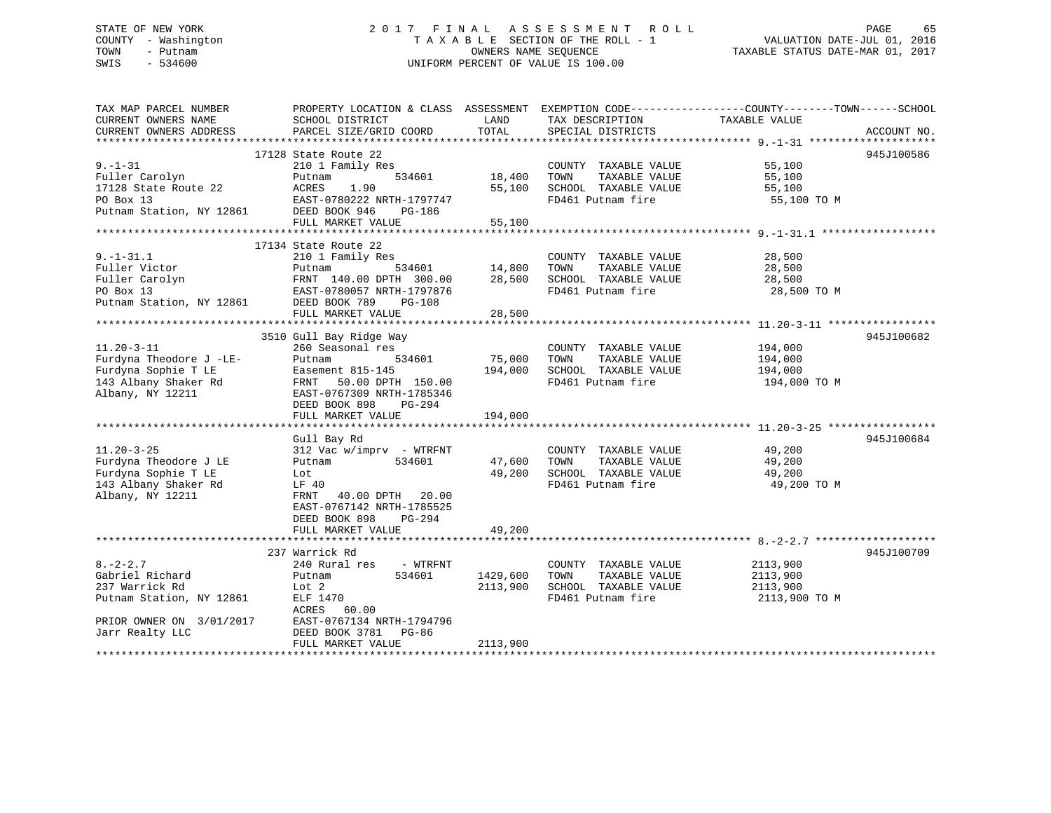# STATE OF NEW YORK 2 0 1 7 F I N A L A S S E S S M E N T R O L L PAGE 65COUNTY - Washington  $T A X A B L E$  SECTION OF THE ROLL - 1<br>TOWN - Putnam data of the COUNTERS NAME SEQUENCE SWIS - 534600 UNIFORM PERCENT OF VALUE IS 100.00

TAXABLE STATUS DATE-MAR 01, 2017

| TAX MAP PARCEL NUMBER<br>CURRENT OWNERS NAME<br>CURRENT OWNERS ADDRESS                                                         | PROPERTY LOCATION & CLASS ASSESSMENT<br>SCHOOL DISTRICT<br>PARCEL SIZE/GRID COORD                                                                                                          | LAND<br>TOTAL                     | TAX DESCRIPTION TAXABLE VALUE<br>SERCIAL DISTRICTS<br>SPECIAL DISTRICTS                             | EXEMPTION CODE-----------------COUNTY-------TOWN------SCHOOL | ACCOUNT NO. |
|--------------------------------------------------------------------------------------------------------------------------------|--------------------------------------------------------------------------------------------------------------------------------------------------------------------------------------------|-----------------------------------|-----------------------------------------------------------------------------------------------------|--------------------------------------------------------------|-------------|
| $9. - 1 - 31$<br>Fuller Carolyn<br>17128 State Route 22<br>PO Box 13<br>Putnam Station, NY 12861                               | 17128 State Route 22<br>210 1 Family Res<br>Putnam<br>ACRES<br>1.90<br>EAST-0780222 NRTH-1797747<br>DEED BOOK 946<br>PG-186<br>FULL MARKET VALUE                                           | 534601 18,400<br>55,100<br>55,100 | COUNTY TAXABLE VALUE 55,100<br>TOWN<br>SCHOOL TAXABLE VALUE 55,100<br>FD461 Putnam fire 55,100 TO M | TAXABLE VALUE 55,100                                         | 945J100586  |
| $9. - 1 - 31.1$<br>Fuller Victor<br>Fuller Carolyn<br>PO Box 13<br>Putnam Station, NY 12861 DEED BOOK 789                      | 17134 State Route 22<br>210 1 Family Res<br>Putnam<br>FRNT 140.00 DPTH 300.00 28,500<br>EAST-0780057 NRTH-1797876<br><b>PG-108</b>                                                         | 534601 14,800                     | COUNTY TAXABLE VALUE<br>TAXABLE VALUE<br>TOWN<br>SCHOOL TAXABLE VALUE<br>FD461 Putnam fire          | 28,500<br>28,500<br>28,500<br>28,500 TO M                    |             |
| $11.20 - 3 - 11$<br>Furdyna Theodore J -LE-<br>Furdyna Sophie T LE<br>143 Albany Shaker Rd<br>Albany, NY 12211                 | 3510 Gull Bay Ridge Way<br>260 Seasonal res<br>534601<br>Putnam<br>Easement 815-145<br>FRNT 50.00 DPTH 150.00<br>EAST-0767309 NRTH-1785346<br>DEED BOOK 898<br>PG-294<br>FULL MARKET VALUE | 75,000<br>194,000<br>194,000      | COUNTY TAXABLE VALUE<br>TAXABLE VALUE<br>TOWN<br>SCHOOL TAXABLE VALUE 194,000<br>FD461 Putnam fire  | 194,000<br>194,000<br>194,000 TO M                           | 945J100682  |
| $11.20 - 3 - 25$<br>Furdyna Theodore J LE<br>Furdyna Sophie T LE<br>143 Albany Shaker Rd<br>Albany, NY 12211                   | Gull Bay Rd<br>312 Vac w/imprv - WTRFNT<br>534601<br>Putnam<br>Lot<br>LF 40<br>FRNT 40.00 DPTH 20.00<br>EAST-0767142 NRTH-1785525<br>DEED BOOK 898<br>PG-294<br>FULL MARKET VALUE          | 47,600<br>49,200<br>49,200        | COUNTY TAXABLE VALUE<br>TOWN<br>SCHOOL TAXABLE VALUE<br>FD461 Putnam fire                           | 49,200<br>TAXABLE VALUE 49,200<br>49,200<br>49,200 TO M      | 945J100684  |
| $8. - 2 - 2.7$<br>Gabriel Richard<br>237 Warrick Rd<br>Putnam Station, NY 12861<br>PRIOR OWNER ON 3/01/2017<br>Jarr Realty LLC | 237 Warrick Rd<br>240 Rural res - WTRFNT<br>534601<br>Putnam<br>Lot 2<br>ELF 1470<br>ACRES<br>60.00<br>EAST-0767134 NRTH-1794796<br>DEED BOOK 3781 PG-86<br>FULL MARKET VALUE              | 1429,600<br>2113,900<br>2113,900  | COUNTY TAXABLE VALUE<br>TOWN<br>TAXABLE VALUE<br>SCHOOL TAXABLE VALUE<br>FD461 Putnam fire          | 2113,900<br>2113,900<br>2113,900<br>2113,900 TO M            | 945J100709  |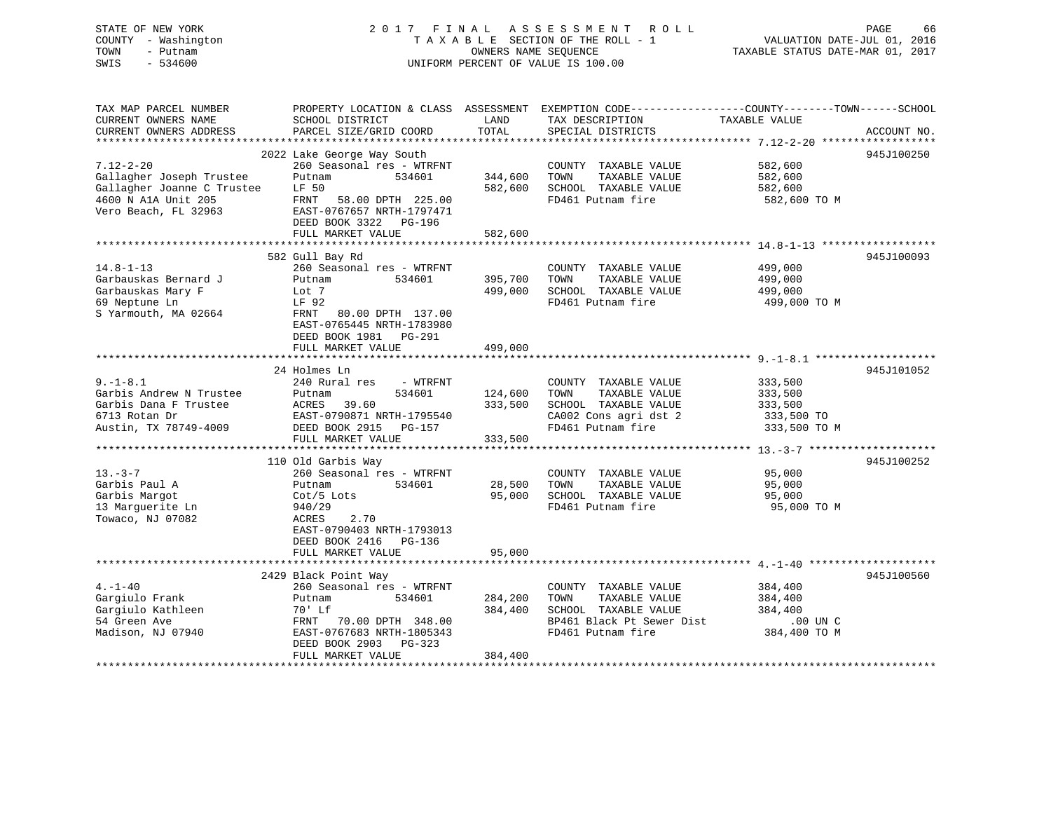# STATE OF NEW YORK 66 CONTROLLY TO LAND A S S E S S M E N T R O L L CONTROLLY TRUST A LOCAL CONTROLLY TO LAGE 66 COUNTY - Washington  $T A X A B L E$  SECTION OF THE ROLL - 1<br>TOWN - Putnam data of the COUNTERS NAME SEQUENCE SWIS - 534600 UNIFORM PERCENT OF VALUE IS 100.00

TAXABLE STATUS DATE-MAR 01, 2017

| TAX MAP PARCEL NUMBER      |                            |         | PROPERTY LOCATION & CLASS ASSESSMENT EXEMPTION CODE---------------COUNTY-------TOWN-----SCHOOL |               |             |
|----------------------------|----------------------------|---------|------------------------------------------------------------------------------------------------|---------------|-------------|
| CURRENT OWNERS NAME        | SCHOOL DISTRICT            | LAND    | TAX DESCRIPTION                                                                                | TAXABLE VALUE |             |
| CURRENT OWNERS ADDRESS     | PARCEL SIZE/GRID COORD     | TOTAL   | SPECIAL DISTRICTS                                                                              |               | ACCOUNT NO. |
|                            |                            |         |                                                                                                |               |             |
|                            | 2022 Lake George Way South |         |                                                                                                |               | 945J100250  |
| $7.12 - 2 - 20$            | 260 Seasonal res - WTRFNT  |         | COUNTY TAXABLE VALUE                                                                           | 582,600       |             |
| Gallagher Joseph Trustee   | Putnam<br>534601           | 344,600 | TOWN<br>TAXABLE VALUE                                                                          | 582,600       |             |
| Gallagher Joanne C Trustee | LF 50                      | 582,600 | SCHOOL TAXABLE VALUE                                                                           | 582,600       |             |
| 4600 N A1A Unit 205        | 58.00 DPTH 225.00<br>FRNT  |         | FD461 Putnam fire                                                                              | 582,600 TO M  |             |
| Vero Beach, FL 32963       | EAST-0767657 NRTH-1797471  |         |                                                                                                |               |             |
|                            |                            |         |                                                                                                |               |             |
|                            | DEED BOOK 3322 PG-196      |         |                                                                                                |               |             |
|                            | FULL MARKET VALUE          | 582,600 |                                                                                                |               |             |
|                            |                            |         |                                                                                                |               |             |
|                            | 582 Gull Bay Rd            |         |                                                                                                |               | 945J100093  |
| $14.8 - 1 - 13$            | 260 Seasonal res - WTRFNT  |         | COUNTY TAXABLE VALUE                                                                           | 499,000       |             |
| Garbauskas Bernard J       | Putnam<br>534601           | 395,700 | TOWN<br>TAXABLE VALUE                                                                          | 499,000       |             |
| Garbauskas Mary F          | Lot 7                      | 499,000 | SCHOOL TAXABLE VALUE                                                                           | 499,000       |             |
| 69 Neptune Ln              | LF 92                      |         | FD461 Putnam fire                                                                              | 499,000 TO M  |             |
| S Yarmouth, MA 02664       | FRNT 80.00 DPTH 137.00     |         |                                                                                                |               |             |
|                            | EAST-0765445 NRTH-1783980  |         |                                                                                                |               |             |
|                            | DEED BOOK 1981<br>PG-291   |         |                                                                                                |               |             |
|                            | FULL MARKET VALUE          | 499,000 |                                                                                                |               |             |
|                            |                            |         |                                                                                                |               |             |
|                            | 24 Holmes Ln               |         |                                                                                                |               | 945J101052  |
| $9. - 1 - 8.1$             | 240 Rural res<br>- WTRFNT  |         | COUNTY TAXABLE VALUE                                                                           | 333,500       |             |
| Garbis Andrew N Trustee    | Putnam<br>534601           | 124,600 | TOWN<br>TAXABLE VALUE                                                                          | 333,500       |             |
| Garbis Dana F Trustee      | ACRES<br>39.60             | 333,500 | SCHOOL TAXABLE VALUE                                                                           | 333,500       |             |
| 6713 Rotan Dr              | EAST-0790871 NRTH-1795540  |         | CA002 Cons agri dst 2                                                                          | 333,500 TO    |             |
|                            | DEED BOOK 2915 PG-157      |         | FD461 Putnam fire                                                                              |               |             |
| Austin, TX 78749-4009      |                            |         |                                                                                                | 333,500 TO M  |             |
|                            | FULL MARKET VALUE          | 333,500 |                                                                                                |               |             |
|                            |                            |         |                                                                                                |               |             |
|                            | 110 Old Garbis Way         |         |                                                                                                |               | 945J100252  |
| $13. -3 - 7$               | 260 Seasonal res - WTRFNT  |         | COUNTY TAXABLE VALUE                                                                           | 95,000        |             |
| Garbis Paul A              | 534601<br>Putnam           | 28,500  | TOWN<br>TAXABLE VALUE                                                                          | 95,000        |             |
| Garbis Margot              | $Cot/5$ Lots               | 95,000  | SCHOOL TAXABLE VALUE                                                                           | 95,000        |             |
| 13 Marquerite Ln           | 940/29                     |         | FD461 Putnam fire                                                                              | 95,000 TO M   |             |
| Towaco, NJ 07082           | ACRES<br>2.70              |         |                                                                                                |               |             |
|                            | EAST-0790403 NRTH-1793013  |         |                                                                                                |               |             |
|                            | DEED BOOK 2416 PG-136      |         |                                                                                                |               |             |
|                            | FULL MARKET VALUE          | 95,000  |                                                                                                |               |             |
|                            |                            |         |                                                                                                |               |             |
|                            | 2429 Black Point Way       |         |                                                                                                |               | 945J100560  |
| $4. -1 - 40$               | 260 Seasonal res - WTRFNT  |         | COUNTY TAXABLE VALUE                                                                           | 384,400       |             |
| Gargiulo Frank             | 534601<br>Putnam           | 284,200 | TOWN<br>TAXABLE VALUE                                                                          | 384,400       |             |
| Gargiulo Kathleen          | 70' Lf                     | 384,400 | SCHOOL TAXABLE VALUE                                                                           | 384,400       |             |
| 54 Green Ave               | FRNT<br>70.00 DPTH 348.00  |         | BP461 Black Pt Sewer Dist                                                                      | .00 UN C      |             |
| Madison, NJ 07940          | EAST-0767683 NRTH-1805343  |         | FD461 Putnam fire                                                                              | 384,400 TO M  |             |
|                            |                            |         |                                                                                                |               |             |
|                            | DEED BOOK 2903<br>PG-323   |         |                                                                                                |               |             |
|                            | FULL MARKET VALUE          | 384,400 |                                                                                                |               |             |
|                            |                            |         |                                                                                                |               |             |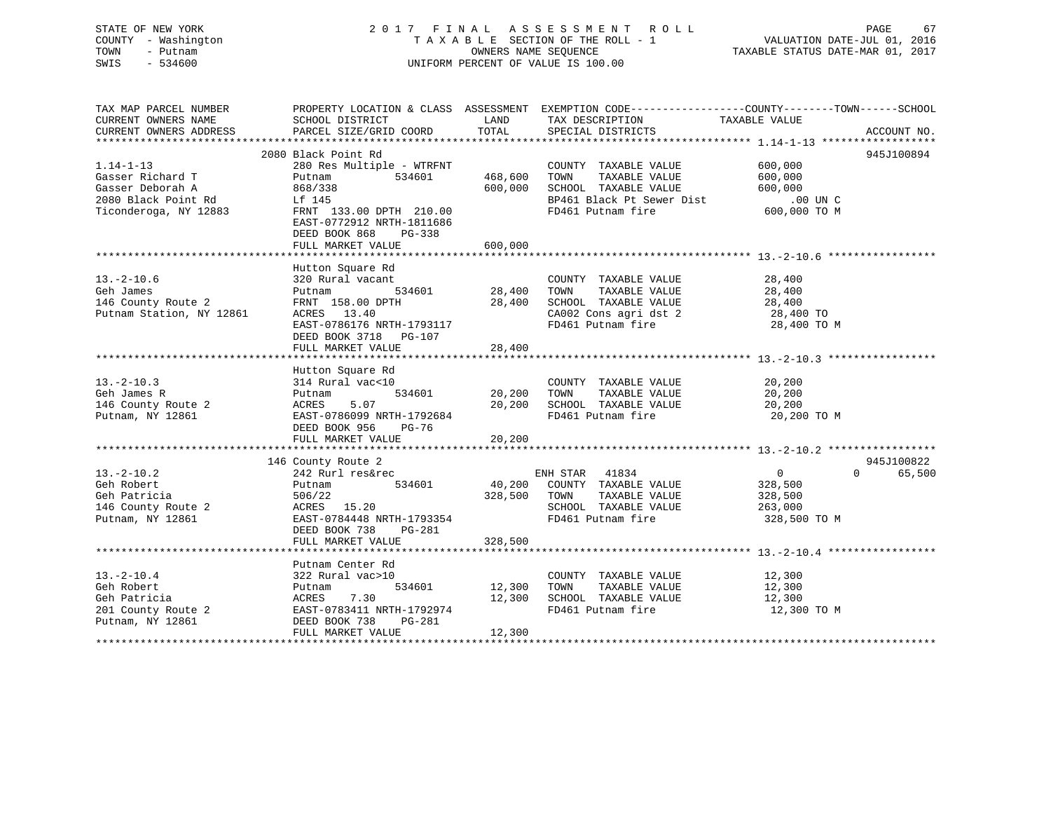## STATE OF NEW YORK 2 0 1 7 F I N A L A S S E S S M E N T R O L L PAGE 67 COUNTY - Washington T A X A B L E SECTION OF THE ROLL - 1 VALUATION DATE-JUL 01, 2016 TOWN - Putnam OWNERS NAME SEQUENCE TAXABLE STATUS DATE-MAR 01, 2017 SWIS - 534600 UNIFORM PERCENT OF VALUE IS 100.00

TAX MAP PARCEL NUMBER PROPERTY LOCATION & CLASS ASSESSMENT EXEMPTION CODE------------------COUNTY--------TOWN------SCHOOL CURRENT OWNERS NAME SCHOOL DISTRICT THE LAND TAX DESCRIPTION TAXABLE VALUE CURRENT OWNERS ADDRESS PARCEL SIZE/GRID COORD TOTAL SPECIAL DISTRICTS ACCOUNT NO. \*\*\*\*\*\*\*\*\*\*\*\*\*\*\*\*\*\*\*\*\*\*\*\*\*\*\*\*\*\*\*\*\*\*\*\*\*\*\*\*\*\*\*\*\*\*\*\*\*\*\*\*\*\*\*\*\*\*\*\*\*\*\*\*\*\*\*\*\*\*\*\*\*\*\*\*\*\*\*\*\*\*\*\*\*\*\*\*\*\*\*\*\*\*\*\*\*\*\*\*\*\*\* 1.14-1-13 \*\*\*\*\*\*\*\*\*\*\*\*\*\*\*\*\*\* 2080 Black Point Rd 945J1008941.14-1-13 280 Res Multiple - WTRFNT COUNTY TAXABLE VALUE 600,000 Gasser Richard T Putnam 534601 468,600 TOWN TAXABLE VALUE 600,000 Gasser Deborah A 868/338 600,000 SCHOOL TAXABLE VALUE 600,000 2080 Black Point Rd Lf 145 BP461 Black Pt Sewer Dist .00 UN CTiconderoga, NY 12883 FRNT 133.00 DPTH 210.00 FD461 Putnam fire 600,000 TO M<br>EAST-0772912 NRTH-1811686 DEED BOOK 868 PG-338DEED BOOK 868 FG-330<br>FULL MARKET VALUE 600,000 \*\*\*\*\*\*\*\*\*\*\*\*\*\*\*\*\*\*\*\*\*\*\*\*\*\*\*\*\*\*\*\*\*\*\*\*\*\*\*\*\*\*\*\*\*\*\*\*\*\*\*\*\*\*\*\*\*\*\*\*\*\*\*\*\*\*\*\*\*\*\*\*\*\*\*\*\*\*\*\*\*\*\*\*\*\*\*\*\*\*\*\*\*\*\*\*\*\*\*\*\*\*\* 13.-2-10.6 \*\*\*\*\*\*\*\*\*\*\*\*\*\*\*\*\* Hutton Square Rd 13.-2-10.6 320 Rural vacant COUNTY TAXABLE VALUE 28,400 Geh James Putnam 534601 28,400 TOWN TAXABLE VALUE 28,400 146 County Route 2 FRNT 158.00 DPTH 28,400 SCHOOL TAXABLE VALUE 28,400 Putnam Station, NY 12861 ACRES 13.40 CA002 Cons agri dst 2 28,400 TO EAST-0786176 NRTH-1793117 FD461 Putnam fire 28,400 TO M DEED BOOK 3718 PG-107FULL MARKET VALUE 28,400 \*\*\*\*\*\*\*\*\*\*\*\*\*\*\*\*\*\*\*\*\*\*\*\*\*\*\*\*\*\*\*\*\*\*\*\*\*\*\*\*\*\*\*\*\*\*\*\*\*\*\*\*\*\*\*\*\*\*\*\*\*\*\*\*\*\*\*\*\*\*\*\*\*\*\*\*\*\*\*\*\*\*\*\*\*\*\*\*\*\*\*\*\*\*\*\*\*\*\*\*\*\*\* 13.-2-10.3 \*\*\*\*\*\*\*\*\*\*\*\*\*\*\*\*\* Hutton Square Rd 13.-2-10.3 314 Rural vac<10 COUNTY TAXABLE VALUE 20,200 Geh James R Putnam 534601 20,200 TOWN TAXABLE VALUE 20,200 146 County Route 2 ACRES 5.07 20,200 SCHOOL TAXABLE VALUE 20,200 Putnam, NY 12861 EAST-0786099 NRTH-1792684 FD461 Putnam fire 20,200 TO M DEED BOOK 956 PG-76 FULL MARKET VALUE 20,200 \*\*\*\*\*\*\*\*\*\*\*\*\*\*\*\*\*\*\*\*\*\*\*\*\*\*\*\*\*\*\*\*\*\*\*\*\*\*\*\*\*\*\*\*\*\*\*\*\*\*\*\*\*\*\*\*\*\*\*\*\*\*\*\*\*\*\*\*\*\*\*\*\*\*\*\*\*\*\*\*\*\*\*\*\*\*\*\*\*\*\*\*\*\*\*\*\*\*\*\*\*\*\* 13.-2-10.2 \*\*\*\*\*\*\*\*\*\*\*\*\*\*\*\*\* 146 County Route 2 945J100822 13.-2-10.2 242 Rurl res&rec ENH STAR 41834 0 0 65,500 Geh Robert Putnam 534601 40,200 COUNTY TAXABLE VALUE 328,500 Geh Patricia 506/22 328,500 TOWN TAXABLE VALUE 328,500

146 County Route 2 ACRES 15.20 SCHOOL TAXABLE VALUE 263,000 Putnam, NY 12861 EAST-0784448 NRTH-1793354 FD461 Putnam fire 328,500 TO M

 13.-2-10.4 322 Rural vac>10 COUNTY TAXABLE VALUE 12,300 Geh Robert Putnam 534601 12,300 TOWN TAXABLE VALUE 12,300 Geh Patricia ACRES 7.30 12,300 SCHOOL TAXABLE VALUE 12,300 201 County Route 2 EAST-0783411 NRTH-1792974 FD461 Putnam fire 12,300 TO M

\*\*\*\*\*\*\*\*\*\*\*\*\*\*\*\*\*\*\*\*\*\*\*\*\*\*\*\*\*\*\*\*\*\*\*\*\*\*\*\*\*\*\*\*\*\*\*\*\*\*\*\*\*\*\*\*\*\*\*\*\*\*\*\*\*\*\*\*\*\*\*\*\*\*\*\*\*\*\*\*\*\*\*\*\*\*\*\*\*\*\*\*\*\*\*\*\*\*\*\*\*\*\* 13.-2-10.4 \*\*\*\*\*\*\*\*\*\*\*\*\*\*\*\*\*

\*\*\*\*\*\*\*\*\*\*\*\*\*\*\*\*\*\*\*\*\*\*\*\*\*\*\*\*\*\*\*\*\*\*\*\*\*\*\*\*\*\*\*\*\*\*\*\*\*\*\*\*\*\*\*\*\*\*\*\*\*\*\*\*\*\*\*\*\*\*\*\*\*\*\*\*\*\*\*\*\*\*\*\*\*\*\*\*\*\*\*\*\*\*\*\*\*\*\*\*\*\*\*\*\*\*\*\*\*\*\*\*\*\*\*\*\*\*\*\*\*\*\*\*\*\*\*\*\*\*\*\*

DEED BOOK 738 PG-281

Putnam Center Rd

Putnam, NY 12861 DEED BOOK 738 PG-281

FULL MARKET VALUE 328,500

FULL MARKET VALUE 12,300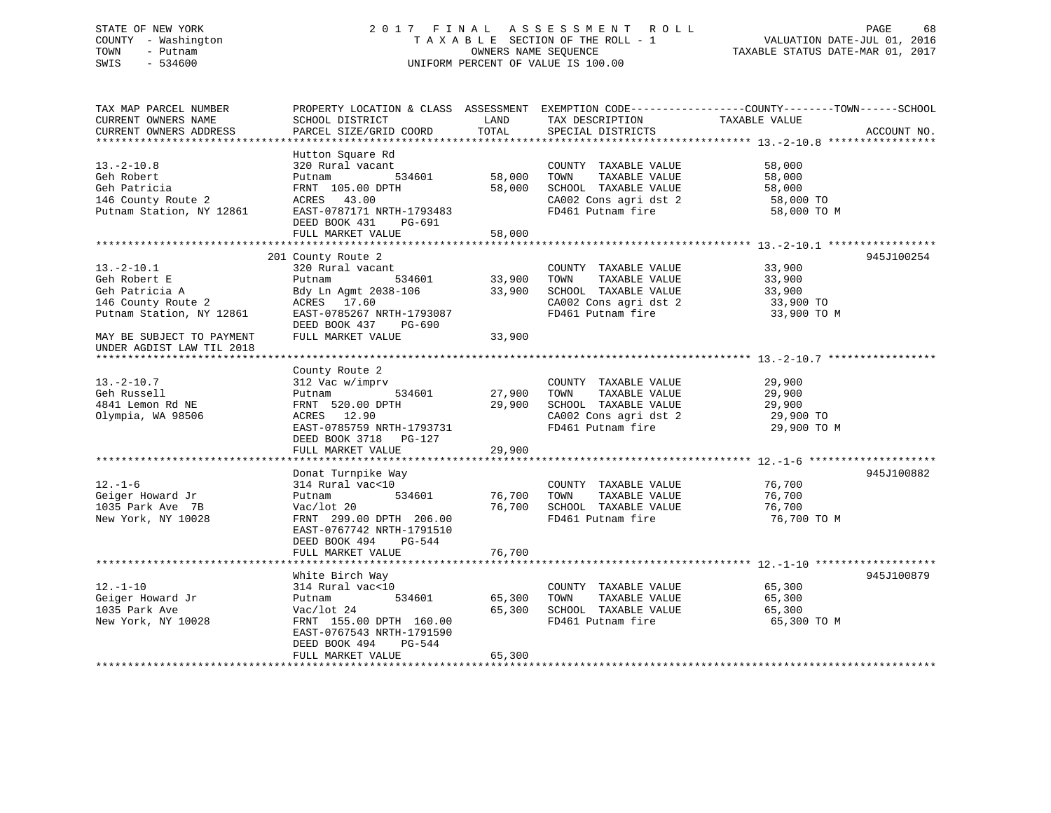## STATE OF NEW YORK 2 0 1 7 F I N A L A S S E S S M E N T R O L L PAGE 68 COUNTY - Washington T A X A B L E SECTION OF THE ROLL - 1 VALUATION DATE-JUL 01, 2016 TOWN - Putnam OWNERS NAME SEQUENCE TAXABLE STATUS DATE-MAR 01, 2017 SWIS - 534600 UNIFORM PERCENT OF VALUE IS 100.00

TAX MAP PARCEL NUMBER PROPERTY LOCATION & CLASS ASSESSMENT EXEMPTION CODE------------------COUNTY--------TOWN------SCHOOL CURRENT OWNERS NAME SCHOOL DISTRICT LAND TAX DESCRIPTION TAXABLE VALUECURRENT OWNERS ADDRESS PARCEL SIZE/GRID COORD TOTAL SPECIAL DISTRICTS ACCOUNT NO. \*\*\*\*\*\*\*\*\*\*\*\*\*\*\*\*\*\*\*\*\*\*\*\*\*\*\*\*\*\*\*\*\*\*\*\*\*\*\*\*\*\*\*\*\*\*\*\*\*\*\*\*\*\*\*\*\*\*\*\*\*\*\*\*\*\*\*\*\*\*\*\*\*\*\*\*\*\*\*\*\*\*\*\*\*\*\*\*\*\*\*\*\*\*\*\*\*\*\*\*\*\*\* 13.-2-10.8 \*\*\*\*\*\*\*\*\*\*\*\*\*\*\*\*\* Hutton Square Rd 13.-2-10.8 320 Rural vacant COUNTY TAXABLE VALUE 58,000 Geh Robert Putnam 534601 58,000 TOWN TAXABLE VALUE 58,000 Geh Patricia FRNT 105.00 DPTH 58,000 SCHOOL TAXABLE VALUE 58,000 146 County Route 2 ACRES 43.00 CA002 Cons agri dst 2 58,000 TO Putnam Station, NY 12861 EAST-0787171 NRTH-1793483 FD461 Putnam fire 58,000 TO M DEED BOOK 431 PG-691 FULL MARKET VALUE 58,000 \*\*\*\*\*\*\*\*\*\*\*\*\*\*\*\*\*\*\*\*\*\*\*\*\*\*\*\*\*\*\*\*\*\*\*\*\*\*\*\*\*\*\*\*\*\*\*\*\*\*\*\*\*\*\*\*\*\*\*\*\*\*\*\*\*\*\*\*\*\*\*\*\*\*\*\*\*\*\*\*\*\*\*\*\*\*\*\*\*\*\*\*\*\*\*\*\*\*\*\*\*\*\* 13.-2-10.1 \*\*\*\*\*\*\*\*\*\*\*\*\*\*\*\*\* 201 County Route 2 945J100254 13.-2-10.1 320 Rural vacant COUNTY TAXABLE VALUE 33,900 Geh Robert E Putnam 534601 33,900 TOWN TAXABLE VALUE 33,900 Geh Patricia A Bdy Ln Agmt 2038-106 33,900 SCHOOL TAXABLE VALUE 33,900 146 Edy Ln Agmt 2038-106 (33,900 SCHOOL TAXABLE VALUE 33,900 (33,900 TO CA002 Cons agri dst 2 33,900 TO Putnam Station, NY 12861 EAST-0785267 NRTH-1793087 FD461 Putnam fire 33,900 TO M DEED BOOK 437 PG-690MAY BE SUBJECT TO PAYMENT FULL MARKET VALUE 33,900 UNDER AGDIST LAW TIL 2018 \*\*\*\*\*\*\*\*\*\*\*\*\*\*\*\*\*\*\*\*\*\*\*\*\*\*\*\*\*\*\*\*\*\*\*\*\*\*\*\*\*\*\*\*\*\*\*\*\*\*\*\*\*\*\*\*\*\*\*\*\*\*\*\*\*\*\*\*\*\*\*\*\*\*\*\*\*\*\*\*\*\*\*\*\*\*\*\*\*\*\*\*\*\*\*\*\*\*\*\*\*\*\* 13.-2-10.7 \*\*\*\*\*\*\*\*\*\*\*\*\*\*\*\*\* County Route 2 13.-2-10.7 312 Vac w/imprv COUNTY TAXABLE VALUE 29,900 Geh Russell Putnam 534601 27,900 TOWN TAXABLE VALUE 29,900 4841 Lemon Rd NE FRNT 520.00 DPTH 29,900 SCHOOL TAXABLE VALUE 29,900 Olympia, WA 98506 ACRES 12.90 CA002 Cons agri dst 2 29,900 TO EAST-0785759 NRTH-1793731 FD461 Putnam fire 29,900 TO M DEED BOOK 3718 PG-127 FULL MARKET VALUE 29,900 \*\*\*\*\*\*\*\*\*\*\*\*\*\*\*\*\*\*\*\*\*\*\*\*\*\*\*\*\*\*\*\*\*\*\*\*\*\*\*\*\*\*\*\*\*\*\*\*\*\*\*\*\*\*\*\*\*\*\*\*\*\*\*\*\*\*\*\*\*\*\*\*\*\*\*\*\*\*\*\*\*\*\*\*\*\*\*\*\*\*\*\*\*\*\*\*\*\*\*\*\*\*\* 12.-1-6 \*\*\*\*\*\*\*\*\*\*\*\*\*\*\*\*\*\*\*\* Donat Turnpike Way 945J100882 12.-1-6 314 Rural vac<10 COUNTY TAXABLE VALUE 76,700 Geiger Howard Jr Putnam 534601 76,700 TOWN TAXABLE VALUE 76,700 1035 Park Ave 7B Vac/lot 20 76,700 SCHOOL TAXABLE VALUE 76,700 New York, NY 10028 FRNT 299.00 DPTH 206.00 FD461 Putnam fire 76.700 TO M EAST-0767742 NRTH-1791510 DEED BOOK 494 PG-544FULL MARKET VALUE 76,700 \*\*\*\*\*\*\*\*\*\*\*\*\*\*\*\*\*\*\*\*\*\*\*\*\*\*\*\*\*\*\*\*\*\*\*\*\*\*\*\*\*\*\*\*\*\*\*\*\*\*\*\*\*\*\*\*\*\*\*\*\*\*\*\*\*\*\*\*\*\*\*\*\*\*\*\*\*\*\*\*\*\*\*\*\*\*\*\*\*\*\*\*\*\*\*\*\*\*\*\*\*\*\* 12.-1-10 \*\*\*\*\*\*\*\*\*\*\*\*\*\*\*\*\*\*\* White Birch Way 945J100879 12.-1-10 314 Rural vac<10 COUNTY TAXABLE VALUE 65,300 Geiger Howard Jr Putnam 534601 65,300 TOWN TAXABLE VALUE 65,300 1035 Park Ave Vac/lot 24 65,300 SCHOOL TAXABLE VALUE 65,300 New York, NY 10028 FRNT 155.00 DPTH 160.00 FD461 Putnam fire 65,300 TO M EAST-0767543 NRTH-1791590 DEED BOOK 494 PG-544FULL MARKET VALUE 65,300 \*\*\*\*\*\*\*\*\*\*\*\*\*\*\*\*\*\*\*\*\*\*\*\*\*\*\*\*\*\*\*\*\*\*\*\*\*\*\*\*\*\*\*\*\*\*\*\*\*\*\*\*\*\*\*\*\*\*\*\*\*\*\*\*\*\*\*\*\*\*\*\*\*\*\*\*\*\*\*\*\*\*\*\*\*\*\*\*\*\*\*\*\*\*\*\*\*\*\*\*\*\*\*\*\*\*\*\*\*\*\*\*\*\*\*\*\*\*\*\*\*\*\*\*\*\*\*\*\*\*\*\*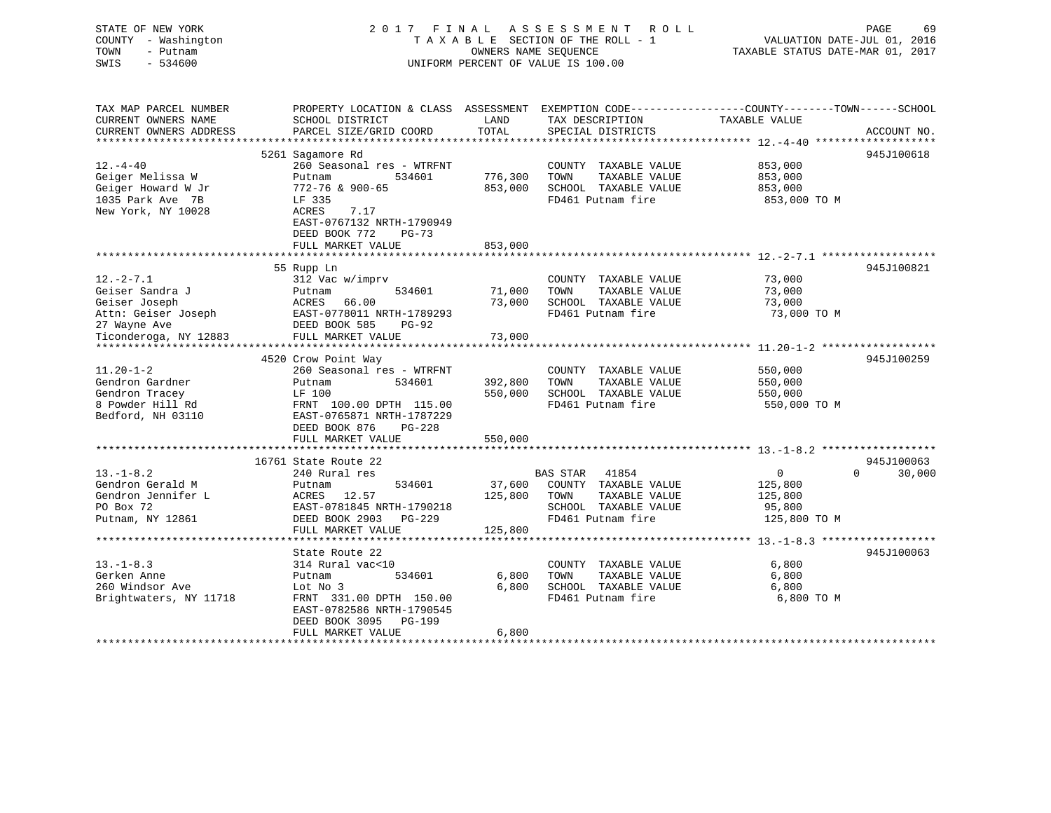| STATE OF NEW YORK<br>COUNTY - Washington<br>TOWN<br>- Putnam<br>SWIS<br>$-534600$ | 2017 FINAL                                                                             |         | A S S E S S M E N T<br>R O L L<br>TAXABLE SECTION OF THE ROLL - 1<br>OWNERS NAME SEOUENCE<br>UNIFORM PERCENT OF VALUE IS 100.00 | PAGE<br>69<br>VALUATION DATE-JUL 01, 2016<br>TAXABLE STATUS DATE-MAR 01, 2017 |
|-----------------------------------------------------------------------------------|----------------------------------------------------------------------------------------|---------|---------------------------------------------------------------------------------------------------------------------------------|-------------------------------------------------------------------------------|
| TAX MAP PARCEL NUMBER                                                             | PROPERTY LOCATION & CLASS ASSESSMENT                                                   |         |                                                                                                                                 | EXEMPTION CODE-----------------COUNTY-------TOWN------SCHOOL                  |
| CURRENT OWNERS NAME                                                               | SCHOOL DISTRICT                                                                        | LAND    | TAX DESCRIPTION                                                                                                                 | TAXABLE VALUE                                                                 |
| CURRENT OWNERS ADDRESS<br>*****************                                       | PARCEL SIZE/GRID COORD                                                                 | TOTAL   | SPECIAL DISTRICTS                                                                                                               | ACCOUNT NO.<br>*************** 12.-4-40 ********************                  |
|                                                                                   | 5261 Sagamore Rd                                                                       |         |                                                                                                                                 | 945J100618                                                                    |
| $12. - 4 - 40$                                                                    | 260 Seasonal res - WTRFNT                                                              |         | COUNTY TAXABLE VALUE                                                                                                            | 853,000                                                                       |
| Geiger Melissa W                                                                  | 534601<br>Putnam                                                                       | 776,300 | TAXABLE VALUE<br>TOWN                                                                                                           | 853,000                                                                       |
| Geiger Howard W Jr                                                                | 772-76 & 900-65                                                                        | 853,000 | SCHOOL TAXABLE VALUE                                                                                                            | 853,000                                                                       |
| 1035 Park Ave 7B                                                                  | LF 335                                                                                 |         | FD461 Putnam fire                                                                                                               | 853,000 TO M                                                                  |
| New York, NY 10028                                                                | ACRES<br>7.17<br>EAST-0767132 NRTH-1790949                                             |         |                                                                                                                                 |                                                                               |
|                                                                                   | DEED BOOK 772<br>$PG-73$                                                               |         |                                                                                                                                 |                                                                               |
|                                                                                   | FULL MARKET VALUE                                                                      | 853,000 |                                                                                                                                 | *********************** 12.-2-7.1 **************                              |
|                                                                                   | 55 Rupp Ln                                                                             |         |                                                                                                                                 | 945J100821                                                                    |
| $12.-2-7.1$                                                                       | 312 Vac w/imprv                                                                        |         | COUNTY TAXABLE VALUE                                                                                                            | 73,000                                                                        |
| Geiser Sandra J                                                                   | 534601<br>Putnam                                                                       | 71,000  | TOWN<br>TAXABLE VALUE                                                                                                           | 73,000                                                                        |
| Geiser Joseph                                                                     | ACRES<br>66.00                                                                         | 73,000  | SCHOOL TAXABLE VALUE                                                                                                            | 73,000                                                                        |
| Attn: Geiser Joseph                                                               | EAST-0778011 NRTH-1789293                                                              |         | FD461 Putnam fire                                                                                                               | 73,000 TO M                                                                   |
| 27 Wayne Ave                                                                      | DEED BOOK 585<br><b>PG-92</b>                                                          |         |                                                                                                                                 |                                                                               |
| Ticonderoga, NY 12883                                                             | FULL MARKET VALUE                                                                      | 73,000  |                                                                                                                                 |                                                                               |
| *********************                                                             | **********************************                                                     |         |                                                                                                                                 |                                                                               |
|                                                                                   | 4520 Crow Point Way                                                                    |         |                                                                                                                                 | 945J100259                                                                    |
| $11.20 - 1 - 2$                                                                   | 260 Seasonal res - WTRFNT                                                              |         | COUNTY TAXABLE VALUE                                                                                                            | 550,000                                                                       |
| Gendron Gardner                                                                   | 534601<br>Putnam                                                                       | 392,800 | TOWN<br>TAXABLE VALUE                                                                                                           | 550,000                                                                       |
| Gendron Tracey                                                                    | LF 100                                                                                 | 550,000 | SCHOOL TAXABLE VALUE                                                                                                            | 550,000                                                                       |
| 8 Powder Hill Rd<br>Bedford, NH 03110                                             | FRNT 100.00 DPTH 115.00<br>EAST-0765871 NRTH-1787229<br>DEED BOOK 876<br><b>PG-228</b> |         | FD461 Putnam fire                                                                                                               | 550,000 TO M                                                                  |
|                                                                                   | FULL MARKET VALUE                                                                      | 550,000 |                                                                                                                                 |                                                                               |
|                                                                                   | ************************                                                               |         |                                                                                                                                 |                                                                               |
|                                                                                   | 16761 State Route 22                                                                   |         |                                                                                                                                 | 945J100063                                                                    |
| $13.-1-8.2$                                                                       | 240 Rural res                                                                          |         | <b>BAS STAR</b><br>41854                                                                                                        | 30,000<br>0<br>$\Omega$                                                       |
| Gendron Gerald M                                                                  | Putnam<br>534601                                                                       | 37,600  | COUNTY TAXABLE VALUE                                                                                                            | 125,800                                                                       |
| Gendron Jennifer L                                                                | ACRES<br>12.57                                                                         | 125,800 | TAXABLE VALUE<br>TOWN                                                                                                           | 125,800                                                                       |
| PO Box 72                                                                         | EAST-0781845 NRTH-1790218                                                              |         | SCHOOL TAXABLE VALUE                                                                                                            | 95,800                                                                        |
| Putnam, NY 12861                                                                  | DEED BOOK 2903 PG-229                                                                  |         | FD461 Putnam fire                                                                                                               | 125,800 TO M                                                                  |
|                                                                                   | FULL MARKET VALUE                                                                      | 125,800 |                                                                                                                                 |                                                                               |
|                                                                                   |                                                                                        |         |                                                                                                                                 | *************** 13. -1-8.3 *******************                                |
|                                                                                   | State Route 22                                                                         |         |                                                                                                                                 | 945J100063                                                                    |
| $13.-1-8.3$<br>Gerken Anne                                                        | 314 Rural vac<10<br>534601<br>Putnam                                                   | 6,800   | COUNTY TAXABLE VALUE<br>TAXABLE VALUE<br>TOWN                                                                                   | 6,800<br>6,800                                                                |
| 260 Windsor Ave                                                                   | Lot No 3                                                                               | 6,800   | SCHOOL TAXABLE VALUE                                                                                                            | 6,800                                                                         |
| Brightwaters, NY 11718                                                            | FRNT 331.00 DPTH 150.00                                                                |         | FD461 Putnam fire                                                                                                               | 6,800 TO M                                                                    |
|                                                                                   | EAST-0782586 NRTH-1790545                                                              |         |                                                                                                                                 |                                                                               |
|                                                                                   | DEED BOOK 3095<br><b>PG-199</b>                                                        |         |                                                                                                                                 |                                                                               |
|                                                                                   | FULL MARKET VALUE                                                                      | 6,800   |                                                                                                                                 |                                                                               |
|                                                                                   | * * * * * * * * * * * * * * * * * * * *                                                |         |                                                                                                                                 |                                                                               |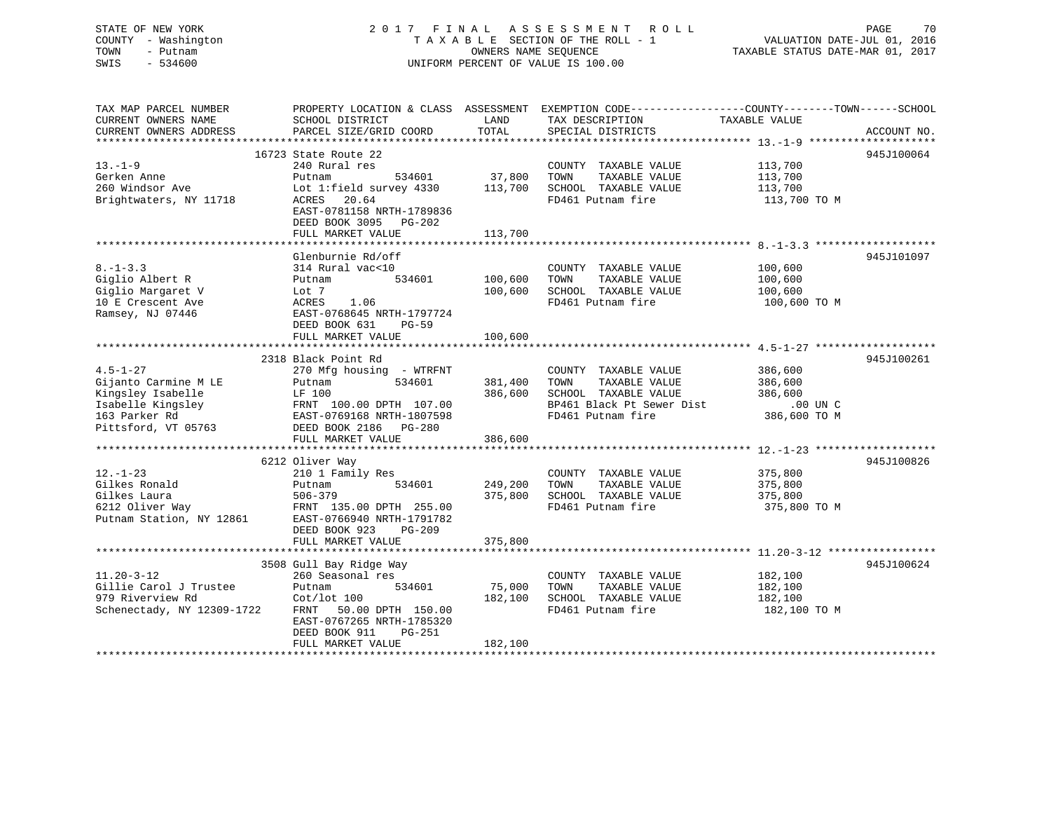# STATE OF NEW YORK PAGE 2017 FINAL ASSESSMENT ROLL PAGE 70<br>COUNTY - Washington TAXABLE SECTION OF THE ROLL - 1 VALUATION DATE-JUL 01, 2016 COUNTY - Washington  $T A X A B L E$  SECTION OF THE ROLL - 1<br>TOWN - Putnam data of the COUNTERS NAME SEQUENCE SWIS - 534600 UNIFORM PERCENT OF VALUE IS 100.00

70

TAXABLE STATUS DATE-MAR 01, 2017

| TAX MAP PARCEL NUMBER<br>CURRENT OWNERS NAME<br>CURRENT OWNERS ADDRESS                                                   | PROPERTY LOCATION & CLASS ASSESSMENT<br>SCHOOL DISTRICT<br>PARCEL SIZE/GRID COORD                                                                                                          | LAND<br>TOTAL                                  | EXEMPTION CODE----------------COUNTY-------TOWN------SCHOOL<br>TAX DESCRIPTION<br>SPECIAL DISTRICTS                                                             | TAXABLE VALUE                                             | ACCOUNT NO. |
|--------------------------------------------------------------------------------------------------------------------------|--------------------------------------------------------------------------------------------------------------------------------------------------------------------------------------------|------------------------------------------------|-----------------------------------------------------------------------------------------------------------------------------------------------------------------|-----------------------------------------------------------|-------------|
| $13. - 1 - 9$<br>Gerken Anne<br>260 Windsor Ave<br>Brightwaters, NY 11718                                                | 16723 State Route 22<br>240 Rural res<br>534601<br>Putnam<br>Lot 1: field survey 4330<br>20.64<br>ACRES<br>EAST-0781158 NRTH-1789836<br>DEED BOOK 3095 PG-202<br>FULL MARKET VALUE         | 37,800<br>113,700<br>113,700                   | COUNTY TAXABLE VALUE<br>TOWN<br>TAXABLE VALUE<br>SCHOOL TAXABLE VALUE<br>FD461 Putnam fire                                                                      | 113,700<br>113,700<br>113,700<br>113,700 TO M             | 945J100064  |
| $8. - 1 - 3.3$<br>Giglio Albert R<br>Giglio Margaret V<br>10 E Crescent Ave<br>Ramsey, NJ 07446                          | Glenburnie Rd/off<br>314 Rural vac<10<br>534601<br>Putnam<br>Lot 7<br>1.06<br>ACRES<br>EAST-0768645 NRTH-1797724<br>DEED BOOK 631<br>$PG-59$<br>FULL MARKET VALUE                          | 100,600<br>100,600<br>100,600<br>************* | COUNTY TAXABLE VALUE<br>TOWN<br>TAXABLE VALUE<br>SCHOOL TAXABLE VALUE<br>FD461 Putnam fire<br>*********************************** 4.5-1-27 ******************** | 100,600<br>100,600<br>100,600<br>100,600 то м             | 945J101097  |
| $4.5 - 1 - 27$<br>Gijanto Carmine M LE<br>Kingsley Isabelle<br>Isabelle Kingsley<br>163 Parker Rd<br>Pittsford, VT 05763 | 2318 Black Point Rd<br>270 Mfg housing - WTRFNT<br>534601<br>Putnam<br>LF 100<br>FRNT 100.00 DEIR 10000598<br>EAST-0769168 NRTH-1807598<br>DEED BOOK 2186 PG-280<br>FULL MARKET VALUE      | 381,400<br>386,600<br>386,600                  | COUNTY TAXABLE VALUE<br>TOWN<br>TAXABLE VALUE<br>SCHOOL TAXABLE VALUE<br>BP461 Black Pt Sewer Dist<br>FD461 Putnam fire                                         | 386,600<br>386,600<br>386,600<br>.00 UN C<br>386,600 TO M | 945J100261  |
| $12. - 1 - 23$<br>Gilkes Ronald<br>Gilkes Laura<br>6212 Oliver Way<br>Putnam Station, NY 12861                           | 6212 Oliver Way<br>210 1 Family Res<br>534601<br>Putnam<br>$506 - 379$<br>FRNT 135.00 DPTH 255.00<br>EAST-0766940 NRTH-1791782<br>DEED BOOK 923<br>PG-209<br>FULL MARKET VALUE             | 249,200<br>375,800<br>375,800                  | COUNTY TAXABLE VALUE<br>TOWN<br>TAXABLE VALUE<br>SCHOOL TAXABLE VALUE<br>FD461 Putnam fire                                                                      | 375,800<br>375,800<br>375,800<br>375,800 TO M             | 945J100826  |
| $11.20 - 3 - 12$<br>Gillie Carol J Trustee<br>979 Riverview Rd<br>Schenectady, NY 12309-1722                             | 3508 Gull Bay Ridge Way<br>260 Seasonal res<br>534601<br>Putnam<br>$Cot/lot$ 100<br>FRNT<br>50.00 DPTH 150.00<br>EAST-0767265 NRTH-1785320<br>DEED BOOK 911<br>PG-251<br>FULL MARKET VALUE | 75,000<br>182,100<br>182,100                   | COUNTY TAXABLE VALUE<br>TOWN<br>TAXABLE VALUE<br>SCHOOL TAXABLE VALUE<br>FD461 Putnam fire                                                                      | 182,100<br>182,100<br>182,100<br>182,100 TO M             | 945J100624  |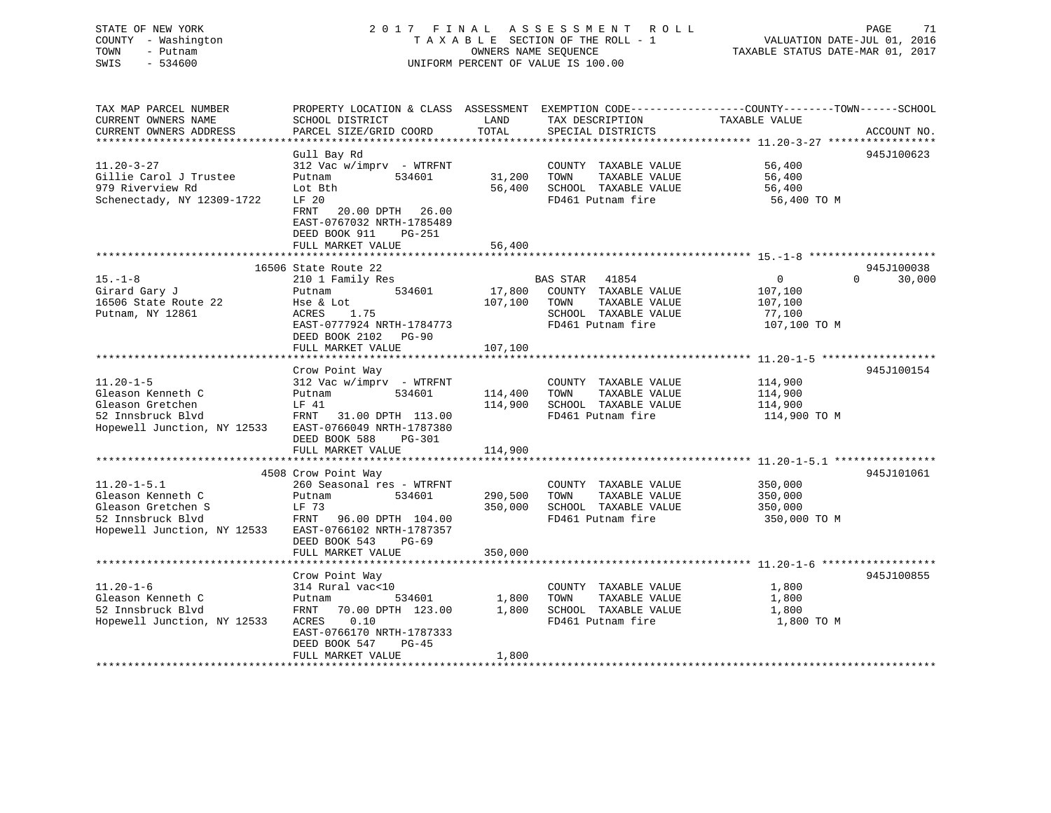## STATE OF NEW YORK 2 0 1 7 F I N A L A S S E S S M E N T R O L L PAGE 71 COUNTY - Washington T A X A B L E SECTION OF THE ROLL - 1 VALUATION DATE-JUL 01, 2016 TOWN - Putnam OWNERS NAME SEQUENCE TAXABLE STATUS DATE-MAR 01, 2017 SWIS - 534600 UNIFORM PERCENT OF VALUE IS 100.00

| TAX MAP PARCEL NUMBER<br>CURRENT OWNERS NAME | PROPERTY LOCATION & CLASS ASSESSMENT<br>SCHOOL DISTRICT                                                    | LAND    | TAX DESCRIPTION                               | EXEMPTION CODE-----------------COUNTY-------TOWN------SCHOOL<br>TAXABLE VALUE |             |
|----------------------------------------------|------------------------------------------------------------------------------------------------------------|---------|-----------------------------------------------|-------------------------------------------------------------------------------|-------------|
| CURRENT OWNERS ADDRESS                       | PARCEL SIZE/GRID COORD                                                                                     | TOTAL   | SPECIAL DISTRICTS                             |                                                                               | ACCOUNT NO. |
|                                              | Gull Bay Rd                                                                                                |         |                                               |                                                                               | 945J100623  |
| $11.20 - 3 - 27$                             | 312 Vac w/imprv - WTRFNT                                                                                   |         | COUNTY TAXABLE VALUE                          | 56,400                                                                        |             |
| Gillie Carol J Trustee                       | 534601<br>Putnam                                                                                           | 31,200  | TOWN<br>TAXABLE VALUE                         | 56,400                                                                        |             |
| 979 Riverview Rd                             | Lot Bth                                                                                                    | 56,400  | SCHOOL TAXABLE VALUE                          | 56,400                                                                        |             |
| Schenectady, NY 12309-1722                   | LF 20                                                                                                      |         | FD461 Putnam fire                             | 56,400 TO M                                                                   |             |
|                                              | 20.00 DPTH<br>26.00<br>FRNT<br>EAST-0767032 NRTH-1785489<br>DEED BOOK 911<br>$PG-251$<br>FULL MARKET VALUE | 56,400  |                                               |                                                                               |             |
|                                              |                                                                                                            |         |                                               |                                                                               |             |
|                                              | 16506 State Route 22                                                                                       |         |                                               |                                                                               | 945J100038  |
| $15. - 1 - 8$                                | 210 1 Family Res                                                                                           |         | <b>BAS STAR</b><br>41854                      | $\Omega$<br>0                                                                 | 30,000      |
| Girard Gary J                                | 534601<br>Putnam                                                                                           | 17,800  | COUNTY TAXABLE VALUE                          | 107,100                                                                       |             |
| 16506 State Route 22                         | Hse & Lot                                                                                                  | 107,100 | TOWN<br>TAXABLE VALUE                         | 107,100                                                                       |             |
| Putnam, NY 12861                             | ACRES<br>1.75                                                                                              |         | SCHOOL TAXABLE VALUE                          | 77,100                                                                        |             |
|                                              | EAST-0777924 NRTH-1784773                                                                                  |         | FD461 Putnam fire                             | 107,100 TO M                                                                  |             |
|                                              | DEED BOOK 2102<br>$PG-90$                                                                                  |         |                                               |                                                                               |             |
|                                              | FULL MARKET VALUE<br>*********************                                                                 | 107,100 |                                               |                                                                               |             |
|                                              |                                                                                                            |         |                                               |                                                                               |             |
| $11.20 - 1 - 5$                              | Crow Point Way                                                                                             |         |                                               |                                                                               | 945J100154  |
| Gleason Kenneth C                            | $312$ Vac w/imprv - WTRFNT<br>534601<br>Putnam                                                             | 114,400 | COUNTY TAXABLE VALUE<br>TOWN<br>TAXABLE VALUE | 114,900<br>114,900                                                            |             |
| Gleason Gretchen                             | LF 41                                                                                                      | 114,900 | SCHOOL TAXABLE VALUE                          | 114,900                                                                       |             |
| 52 Innsbruck Blvd                            | FRNT<br>31.00 DPTH 113.00                                                                                  |         | FD461 Putnam fire                             | 114,900 TO M                                                                  |             |
| Hopewell Junction, NY 12533                  | EAST-0766049 NRTH-1787380                                                                                  |         |                                               |                                                                               |             |
|                                              | DEED BOOK 588<br><b>PG-301</b>                                                                             |         |                                               |                                                                               |             |
|                                              | FULL MARKET VALUE                                                                                          | 114,900 |                                               |                                                                               |             |
|                                              |                                                                                                            |         |                                               |                                                                               |             |
|                                              | 4508 Crow Point Way                                                                                        |         |                                               |                                                                               | 945J101061  |
| $11.20 - 1 - 5.1$                            | 260 Seasonal res - WTRFNT                                                                                  |         | COUNTY TAXABLE VALUE                          | 350,000                                                                       |             |
| Gleason Kenneth C                            | Putnam<br>534601                                                                                           | 290,500 | TOWN<br>TAXABLE VALUE                         | 350,000                                                                       |             |
| Gleason Gretchen S                           | LF 73                                                                                                      | 350,000 | SCHOOL TAXABLE VALUE                          | 350,000                                                                       |             |
| 52 Innsbruck Blvd                            | FRNT<br>96.00 DPTH 104.00                                                                                  |         | FD461 Putnam fire                             | 350,000 TO M                                                                  |             |
| Hopewell Junction, NY 12533                  | EAST-0766102 NRTH-1787357                                                                                  |         |                                               |                                                                               |             |
|                                              | DEED BOOK 543<br>$PG-69$                                                                                   |         |                                               |                                                                               |             |
|                                              | FULL MARKET VALUE                                                                                          | 350,000 |                                               |                                                                               |             |
|                                              |                                                                                                            |         |                                               |                                                                               |             |
|                                              | Crow Point Way                                                                                             |         |                                               |                                                                               | 945J100855  |
| $11.20 - 1 - 6$<br>Gleason Kenneth C         | 314 Rural vac<10<br>534601                                                                                 | 1,800   | COUNTY TAXABLE VALUE<br>TOWN<br>TAXABLE VALUE | 1,800                                                                         |             |
| 52 Innsbruck Blvd                            | Putnam<br>FRNT<br>70.00 DPTH 123.00                                                                        | 1,800   | SCHOOL TAXABLE VALUE                          | 1,800<br>1,800                                                                |             |
| Hopewell Junction, NY 12533                  | 0.10<br>ACRES                                                                                              |         | FD461 Putnam fire                             | 1,800 TO M                                                                    |             |
|                                              | EAST-0766170 NRTH-1787333                                                                                  |         |                                               |                                                                               |             |
|                                              | DEED BOOK 547<br>$PG-45$                                                                                   |         |                                               |                                                                               |             |
|                                              | FULL MARKET VALUE                                                                                          | 1,800   |                                               |                                                                               |             |
|                                              |                                                                                                            |         |                                               |                                                                               |             |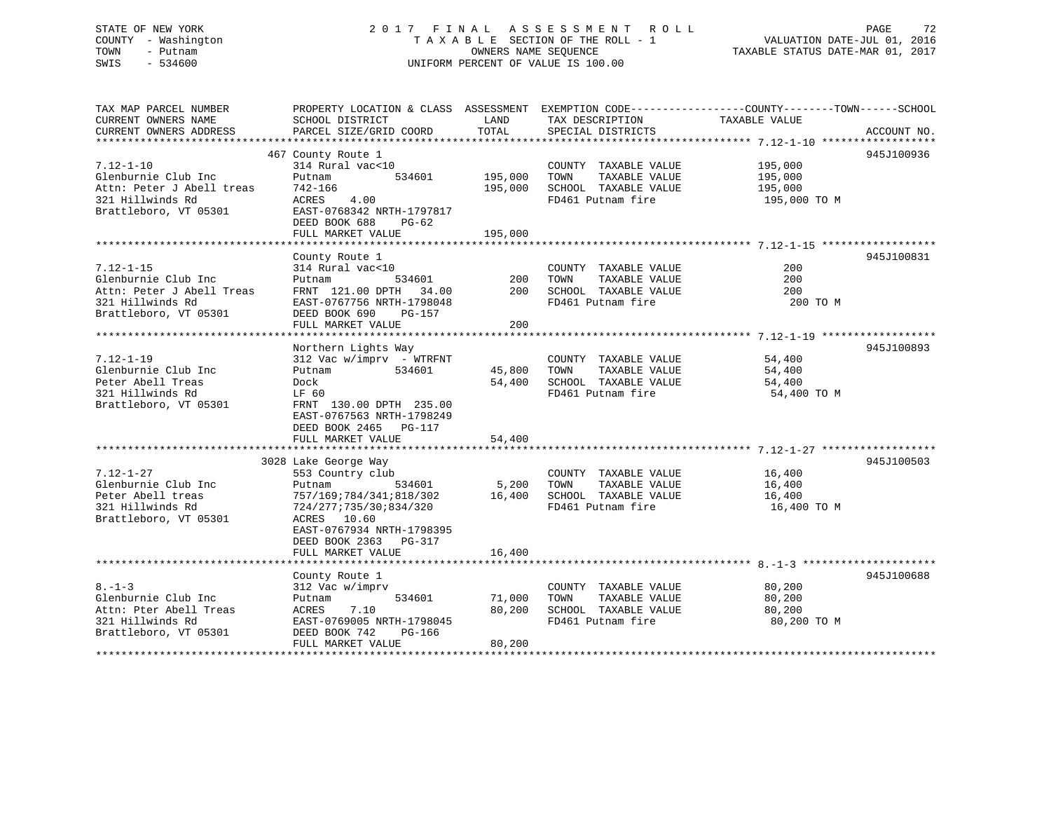### STATE OF NEW YORK 2017 FINAL ASSESSMENT ROLL PAGE 72 COUNTY - Washington T A X A B L E SECTION OF THE ROLL - 1 TOWN - Putnam **CONNERS NAME SEQUENCE** TAXABLE STATUS DATE-MAR 01, 2017 SWIS - 534600 UNIFORM PERCENT OF VALUE IS 100.00

| TAX MAP PARCEL NUMBER     | PROPERTY LOCATION & CLASS ASSESSMENT EXEMPTION CODE----------------COUNTY-------TOWN------SCHOOL |         |                       |               |             |
|---------------------------|--------------------------------------------------------------------------------------------------|---------|-----------------------|---------------|-------------|
| CURRENT OWNERS NAME       | SCHOOL DISTRICT                                                                                  | LAND    | TAX DESCRIPTION       | TAXABLE VALUE |             |
| CURRENT OWNERS ADDRESS    | PARCEL SIZE/GRID COORD                                                                           | TOTAL   | SPECIAL DISTRICTS     |               | ACCOUNT NO. |
|                           |                                                                                                  |         |                       |               |             |
|                           | 467 County Route 1                                                                               |         |                       |               | 945J100936  |
| $7.12 - 1 - 10$           | 314 Rural vac<10                                                                                 |         | COUNTY TAXABLE VALUE  | 195,000       |             |
| Glenburnie Club Inc       | 534601<br>Putnam                                                                                 | 195,000 | TOWN<br>TAXABLE VALUE | 195,000       |             |
| Attn: Peter J Abell treas | 742-166                                                                                          | 195,000 | SCHOOL TAXABLE VALUE  | 195,000       |             |
| 321 Hillwinds Rd          | ACRES 4.00                                                                                       |         | FD461 Putnam fire     | 195,000 TO M  |             |
| Brattleboro, VT 05301     | EAST-0768342 NRTH-1797817                                                                        |         |                       |               |             |
|                           | DEED BOOK 688<br>$PG-62$                                                                         |         |                       |               |             |
|                           | FULL MARKET VALUE                                                                                | 195,000 |                       |               |             |
|                           |                                                                                                  |         |                       |               |             |
|                           | County Route 1                                                                                   |         |                       |               | 945J100831  |
| $7.12 - 1 - 15$           | 314 Rural vac<10                                                                                 |         | COUNTY TAXABLE VALUE  | 200           |             |
| Glenburnie Club Inc       | 534601<br>Putnam                                                                                 | 200     | TAXABLE VALUE<br>TOWN | 200           |             |
| Attn: Peter J Abell Treas | FRNT 121.00 DPTH 34.00                                                                           | 200     | SCHOOL TAXABLE VALUE  | 200           |             |
| 321 Hillwinds Rd          | EAST-0767756 NRTH-1798048                                                                        |         | FD461 Putnam fire     | 200 TO M      |             |
| Brattleboro, VT 05301     | DEED BOOK 690<br>PG-157                                                                          |         |                       |               |             |
|                           | FULL MARKET VALUE                                                                                | $200 -$ |                       |               |             |
|                           |                                                                                                  |         |                       |               |             |
|                           | Northern Lights Way                                                                              |         |                       |               | 945J100893  |
| $7.12 - 1 - 19$           | $312$ Vac w/imprv - WTRFNT                                                                       |         | COUNTY TAXABLE VALUE  | 54,400        |             |
| Glenburnie Club Inc       | 534601<br>Putnam                                                                                 | 45,800  | TAXABLE VALUE<br>TOWN | 54,400        |             |
| Peter Abell Treas         | Dock                                                                                             | 54,400  | SCHOOL TAXABLE VALUE  | 54,400        |             |
| 321 Hillwinds Rd          | LF 60                                                                                            |         | FD461 Putnam fire     | 54,400 TO M   |             |
| Brattleboro, VT 05301     | FRNT 130.00 DPTH 235.00                                                                          |         |                       |               |             |
|                           | EAST-0767563 NRTH-1798249                                                                        |         |                       |               |             |
|                           | DEED BOOK 2465 PG-117                                                                            |         |                       |               |             |
|                           | FULL MARKET VALUE                                                                                | 54,400  |                       |               |             |
|                           |                                                                                                  |         |                       |               |             |
|                           | 3028 Lake George Way                                                                             |         |                       |               | 945J100503  |
| $7.12 - 1 - 27$           | 553 Country club                                                                                 |         | COUNTY TAXABLE VALUE  | 16,400        |             |
| Glenburnie Club Inc       | 534601<br>Putnam                                                                                 | 5,200   | TAXABLE VALUE<br>TOWN | 16,400        |             |
| Peter Abell treas         | 757/169;784/341;818/302                                                                          | 16,400  | SCHOOL TAXABLE VALUE  | 16,400        |             |
| 321 Hillwinds Rd          | 724/277;735/30;834/320                                                                           |         | FD461 Putnam fire     | 16,400 TO M   |             |
| Brattleboro, VT 05301     | ACRES 10.60                                                                                      |         |                       |               |             |
|                           | EAST-0767934 NRTH-1798395                                                                        |         |                       |               |             |
|                           | DEED BOOK 2363 PG-317                                                                            |         |                       |               |             |
|                           | FULL MARKET VALUE                                                                                | 16,400  |                       |               |             |
|                           |                                                                                                  |         |                       |               |             |
|                           | County Route 1                                                                                   |         |                       |               | 945J100688  |
| $8. - 1 - 3$              | 312 Vac w/imprv                                                                                  |         | COUNTY TAXABLE VALUE  | 80,200        |             |
| Glenburnie Club Inc       | 534601<br>Putnam                                                                                 | 71,000  | TAXABLE VALUE<br>TOWN | 80,200        |             |
| Attn: Pter Abell Treas    | ACRES<br>7.10                                                                                    | 80,200  | SCHOOL TAXABLE VALUE  | 80,200        |             |
| 321 Hillwinds Rd          | EAST-0769005 NRTH-1798045                                                                        |         | FD461 Putnam fire     | 80,200 TO M   |             |
| Brattleboro, VT 05301     | DEED BOOK 742<br>PG-166                                                                          |         |                       |               |             |
|                           | FULL MARKET VALUE                                                                                | 80,200  |                       |               |             |
|                           |                                                                                                  |         |                       |               |             |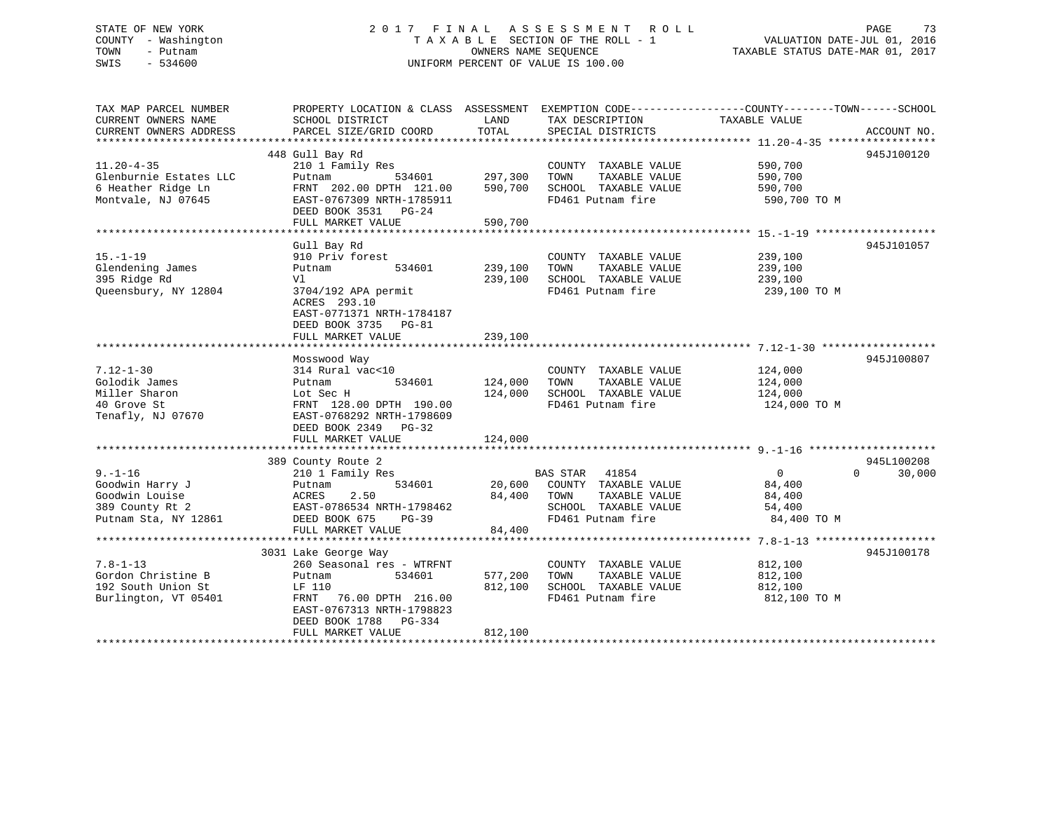# STATE OF NEW YORK 2 0 1 7 F I N A L A S S E S S M E N T R O L L PAGE 73 COUNTY - Washington T A X A B L E SECTION OF THE ROLL - 1 VALUATION DATE-JUL 01, 2016 TOWN - Putnam OWNERS NAME SEQUENCE TAXABLE STATUS DATE-MAR 01, 2017 SWIS - 534600 UNIFORM PERCENT OF VALUE IS 100.00

| TAX MAP PARCEL NUMBER<br>CURRENT OWNERS NAME<br>CURRENT OWNERS ADDRESS                        | PROPERTY LOCATION & CLASS ASSESSMENT EXEMPTION CODE----------------COUNTY-------TOWN------SCHOOL<br>SCHOOL DISTRICT<br>PARCEL SIZE/GRID COORD                                              | LAND<br>TOTAL                 | TAX DESCRIPTION<br>SPECIAL DISTRICTS                                                                        | TAXABLE VALUE                                               | ACCOUNT NO.                      |
|-----------------------------------------------------------------------------------------------|--------------------------------------------------------------------------------------------------------------------------------------------------------------------------------------------|-------------------------------|-------------------------------------------------------------------------------------------------------------|-------------------------------------------------------------|----------------------------------|
| $11.20 - 4 - 35$<br>Glenburnie Estates LLC<br>6 Heather Ridge Ln<br>Montvale, NJ 07645        | 448 Gull Bay Rd<br>210 1 Family Res<br>534601<br>Putnam<br>FRNT 202.00 DPTH 121.00<br>EAST-0767309 NRTH-1785911<br>DEED BOOK 3531 PG-24<br>FULL MARKET VALUE                               | 297,300<br>590,700<br>590,700 | COUNTY TAXABLE VALUE<br>TAXABLE VALUE<br>TOWN<br>SCHOOL TAXABLE VALUE<br>FD461 Putnam fire                  | 590,700<br>590,700<br>590,700<br>590,700 TO M               | 945J100120                       |
| $15. - 1 - 19$<br>Glendening James<br>395 Ridge Rd<br>Queensbury, NY 12804                    | Gull Bay Rd<br>910 Priv forest<br>Putnam<br>534601<br>Vl<br>3704/192 APA permit<br>ACRES 293.10<br>EAST-0771371 NRTH-1784187<br>DEED BOOK 3735 PG-81<br>FULL MARKET VALUE                  | 239,100<br>239,100<br>239,100 | COUNTY TAXABLE VALUE<br>TAXABLE VALUE<br>TOWN<br>SCHOOL TAXABLE VALUE<br>FD461 Putnam fire                  | 239,100<br>239,100<br>239,100<br>239,100 TO M               | 945J101057                       |
| $7.12 - 1 - 30$<br>Golodik James<br>Miller Sharon<br>40 Grove St<br>Tenafly, NJ 07670         | Mosswood Way<br>314 Rural vac<10<br>534601<br>Putnam<br>Lot Sec H<br>FRNT 128.00 DPTH 190.00<br>EAST-0768292 NRTH-1798609<br>DEED BOOK 2349 PG-32<br>FULL MARKET VALUE                     | 124,000<br>124,000<br>124,000 | COUNTY TAXABLE VALUE<br>TAXABLE VALUE<br>TOWN<br>SCHOOL TAXABLE VALUE<br>FD461 Putnam fire                  | 124,000<br>124,000<br>124,000<br>124,000 TO M               | 945J100807                       |
| $9. - 1 - 16$<br>Goodwin Harry J<br>Goodwin Louise<br>389 County Rt 2<br>Putnam Sta, NY 12861 | 389 County Route 2<br>County Route 2<br>210 1 Family Res<br>534601<br>Putnam<br>ACRES<br>2.50<br>EAST-0786534 NRTH-1798462<br>DEED BOOK 675<br><b>PG-39</b><br>FULL MARKET VALUE           | 84,400 TOWN<br>84,400         | BAS STAR 41854<br>20,600 COUNTY TAXABLE VALUE<br>TAXABLE VALUE<br>SCHOOL TAXABLE VALUE<br>FD461 Putnam fire | $\overline{0}$<br>84,400<br>84,400<br>54,400<br>84,400 TO M | 945L100208<br>$\Omega$<br>30,000 |
| $7.8 - 1 - 13$<br>Gordon Christine B<br>192 South Union St<br>Burlington, VT 05401            | 3031 Lake George Way<br>260 Seasonal res - WTRFNT<br>534601<br>Putnam<br>LF 110<br>FRNT<br>76.00 DPTH 216.00<br>EAST-0767313 NRTH-1798823<br>DEED BOOK 1788<br>PG-334<br>FULL MARKET VALUE | 577,200<br>812,100<br>812,100 | COUNTY TAXABLE VALUE<br>TAXABLE VALUE<br>TOWN<br>SCHOOL TAXABLE VALUE<br>FD461 Putnam fire                  | 812,100<br>812,100<br>812,100<br>812,100 TO M               | 945J100178                       |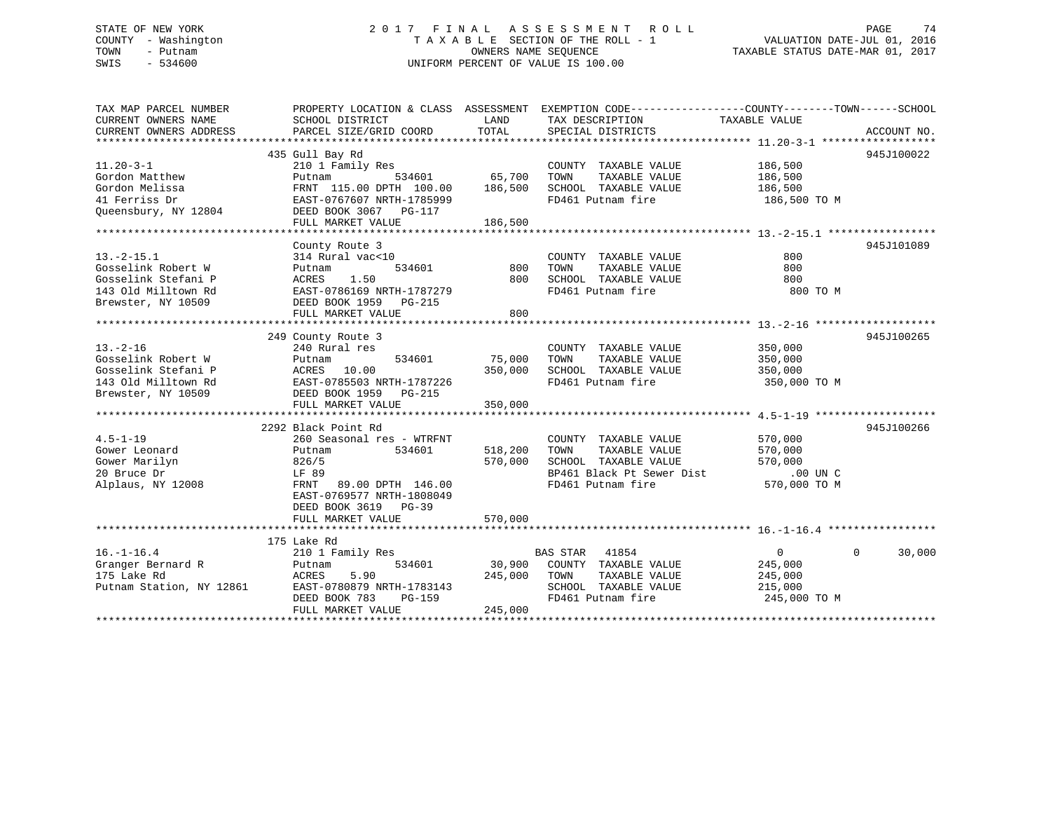# STATE OF NEW YORK 2 0 1 7 F I N A L A S S E S S M E N T R O L L PAGE 74 COUNTY - Washington T A X A B L E SECTION OF THE ROLL - 1 VALUATION DATE-JUL 01, 2016 TOWN - Putnam OWNERS NAME SEQUENCE TAXABLE STATUS DATE-MAR 01, 2017 SWIS - 534600 UNIFORM PERCENT OF VALUE IS 100.00

| TOTAL<br>CURRENT OWNERS ADDRESS<br>PARCEL SIZE/GRID COORD<br>SPECIAL DISTRICTS<br>ACCOUNT NO.<br>435 Gull Bay Rd<br>945J100022<br>$11.20 - 3 - 1$<br>210 1 Family Res<br>COUNTY TAXABLE VALUE<br>186,500<br>65,700<br>186,500<br>Gordon Matthew<br>Putnam<br>534601<br>TOWN<br>TAXABLE VALUE<br>Gordon Melissa<br>FRNT 115.00 DPTH 100.00<br>186,500<br>SCHOOL TAXABLE VALUE<br>186,500<br>FD461 Putnam fire<br>41 Ferriss Dr<br>EAST-0767607 NRTH-1785999<br>186,500 TO M<br>Queensbury, NY 12804<br>DEED BOOK 3067 PG-117<br>186,500<br>FULL MARKET VALUE<br>945J101089<br>County Route 3<br>800<br>$13.-2-15.1$<br>314 Rural vac<10<br>COUNTY TAXABLE VALUE<br>Gosselink Robert W<br>TAXABLE VALUE<br>800<br>534601<br>800<br>TOWN<br>Putnam<br>1.50<br>800<br>SCHOOL TAXABLE VALUE<br>Gosselink Stefani P<br>ACRES<br>800<br>143 Old Milltown Rd<br>FD461 Putnam fire<br>800 TO M<br>EAST-0786169 NRTH-1787279<br>Brewster, NY 10509<br>DEED BOOK 1959 PG-215<br>800<br>FULL MARKET VALUE<br>249 County Route 3<br>945J100265<br>$13. - 2 - 16$<br>240 Rural res<br>COUNTY TAXABLE VALUE<br>350,000<br>Gosselink Robert W<br>75,000<br>TAXABLE VALUE<br>534601<br>TOWN<br>350,000<br>Putnam<br>Gosselink Stefani P<br>ACRES 10.00<br>350,000<br>SCHOOL TAXABLE VALUE<br>350,000<br>EAST-0785503 NRTH-1787226<br>FD461 Putnam fire<br>350,000 TO M<br>143 Old Milltown Rd<br>Brewster, NY 10509<br>DEED BOOK 1959 PG-215<br>FULL MARKET VALUE<br>350,000<br>945J100266<br>2292 Black Point Rd<br>$4.5 - 1 - 19$<br>260 Seasonal res - WTRFNT<br>COUNTY TAXABLE VALUE<br>570,000<br>Gower Leonard<br>534601<br>518,200<br>TOWN<br>TAXABLE VALUE<br>Putnam<br>570,000<br>Gower Marilyn<br>570,000<br>SCHOOL TAXABLE VALUE<br>570,000<br>826/5<br>BP461 Black Pt Sewer Dist<br>$.00$ UN $C$<br>20 Bruce Dr<br>LF 89<br>FD461 Putnam fire<br>570,000 TO M<br>Alplaus, NY 12008<br>FRNT 89.00 DPTH 146.00<br>EAST-0769577 NRTH-1808049<br>DEED BOOK 3619<br>$PG-39$<br>570,000<br>FULL MARKET VALUE<br>175 Lake Rd<br>$16. - 1 - 16.4$<br>210 1 Family Res<br>BAS STAR 41854<br>$\overline{0}$<br>$\Omega$<br>30,000<br>Granger Bernard R<br>30,900<br>534601<br>COUNTY TAXABLE VALUE<br>245,000<br>Putnam | TAX MAP PARCEL NUMBER<br>CURRENT OWNERS NAME | PROPERTY LOCATION & CLASS ASSESSMENT EXEMPTION CODE----------------COUNTY-------TOWN------SCHOOL<br>SCHOOL DISTRICT | LAND    | TAX DESCRIPTION       | TAXABLE VALUE |  |
|----------------------------------------------------------------------------------------------------------------------------------------------------------------------------------------------------------------------------------------------------------------------------------------------------------------------------------------------------------------------------------------------------------------------------------------------------------------------------------------------------------------------------------------------------------------------------------------------------------------------------------------------------------------------------------------------------------------------------------------------------------------------------------------------------------------------------------------------------------------------------------------------------------------------------------------------------------------------------------------------------------------------------------------------------------------------------------------------------------------------------------------------------------------------------------------------------------------------------------------------------------------------------------------------------------------------------------------------------------------------------------------------------------------------------------------------------------------------------------------------------------------------------------------------------------------------------------------------------------------------------------------------------------------------------------------------------------------------------------------------------------------------------------------------------------------------------------------------------------------------------------------------------------------------------------------------------------------------------------------------------------------------------------------------------------------------------------------------------------------------------------------------------------------------------------------------------------|----------------------------------------------|---------------------------------------------------------------------------------------------------------------------|---------|-----------------------|---------------|--|
|                                                                                                                                                                                                                                                                                                                                                                                                                                                                                                                                                                                                                                                                                                                                                                                                                                                                                                                                                                                                                                                                                                                                                                                                                                                                                                                                                                                                                                                                                                                                                                                                                                                                                                                                                                                                                                                                                                                                                                                                                                                                                                                                                                                                          |                                              |                                                                                                                     |         |                       |               |  |
|                                                                                                                                                                                                                                                                                                                                                                                                                                                                                                                                                                                                                                                                                                                                                                                                                                                                                                                                                                                                                                                                                                                                                                                                                                                                                                                                                                                                                                                                                                                                                                                                                                                                                                                                                                                                                                                                                                                                                                                                                                                                                                                                                                                                          |                                              |                                                                                                                     |         |                       |               |  |
|                                                                                                                                                                                                                                                                                                                                                                                                                                                                                                                                                                                                                                                                                                                                                                                                                                                                                                                                                                                                                                                                                                                                                                                                                                                                                                                                                                                                                                                                                                                                                                                                                                                                                                                                                                                                                                                                                                                                                                                                                                                                                                                                                                                                          |                                              |                                                                                                                     |         |                       |               |  |
|                                                                                                                                                                                                                                                                                                                                                                                                                                                                                                                                                                                                                                                                                                                                                                                                                                                                                                                                                                                                                                                                                                                                                                                                                                                                                                                                                                                                                                                                                                                                                                                                                                                                                                                                                                                                                                                                                                                                                                                                                                                                                                                                                                                                          |                                              |                                                                                                                     |         |                       |               |  |
|                                                                                                                                                                                                                                                                                                                                                                                                                                                                                                                                                                                                                                                                                                                                                                                                                                                                                                                                                                                                                                                                                                                                                                                                                                                                                                                                                                                                                                                                                                                                                                                                                                                                                                                                                                                                                                                                                                                                                                                                                                                                                                                                                                                                          |                                              |                                                                                                                     |         |                       |               |  |
|                                                                                                                                                                                                                                                                                                                                                                                                                                                                                                                                                                                                                                                                                                                                                                                                                                                                                                                                                                                                                                                                                                                                                                                                                                                                                                                                                                                                                                                                                                                                                                                                                                                                                                                                                                                                                                                                                                                                                                                                                                                                                                                                                                                                          |                                              |                                                                                                                     |         |                       |               |  |
|                                                                                                                                                                                                                                                                                                                                                                                                                                                                                                                                                                                                                                                                                                                                                                                                                                                                                                                                                                                                                                                                                                                                                                                                                                                                                                                                                                                                                                                                                                                                                                                                                                                                                                                                                                                                                                                                                                                                                                                                                                                                                                                                                                                                          |                                              |                                                                                                                     |         |                       |               |  |
|                                                                                                                                                                                                                                                                                                                                                                                                                                                                                                                                                                                                                                                                                                                                                                                                                                                                                                                                                                                                                                                                                                                                                                                                                                                                                                                                                                                                                                                                                                                                                                                                                                                                                                                                                                                                                                                                                                                                                                                                                                                                                                                                                                                                          |                                              |                                                                                                                     |         |                       |               |  |
|                                                                                                                                                                                                                                                                                                                                                                                                                                                                                                                                                                                                                                                                                                                                                                                                                                                                                                                                                                                                                                                                                                                                                                                                                                                                                                                                                                                                                                                                                                                                                                                                                                                                                                                                                                                                                                                                                                                                                                                                                                                                                                                                                                                                          |                                              |                                                                                                                     |         |                       |               |  |
|                                                                                                                                                                                                                                                                                                                                                                                                                                                                                                                                                                                                                                                                                                                                                                                                                                                                                                                                                                                                                                                                                                                                                                                                                                                                                                                                                                                                                                                                                                                                                                                                                                                                                                                                                                                                                                                                                                                                                                                                                                                                                                                                                                                                          |                                              |                                                                                                                     |         |                       |               |  |
|                                                                                                                                                                                                                                                                                                                                                                                                                                                                                                                                                                                                                                                                                                                                                                                                                                                                                                                                                                                                                                                                                                                                                                                                                                                                                                                                                                                                                                                                                                                                                                                                                                                                                                                                                                                                                                                                                                                                                                                                                                                                                                                                                                                                          |                                              |                                                                                                                     |         |                       |               |  |
|                                                                                                                                                                                                                                                                                                                                                                                                                                                                                                                                                                                                                                                                                                                                                                                                                                                                                                                                                                                                                                                                                                                                                                                                                                                                                                                                                                                                                                                                                                                                                                                                                                                                                                                                                                                                                                                                                                                                                                                                                                                                                                                                                                                                          |                                              |                                                                                                                     |         |                       |               |  |
|                                                                                                                                                                                                                                                                                                                                                                                                                                                                                                                                                                                                                                                                                                                                                                                                                                                                                                                                                                                                                                                                                                                                                                                                                                                                                                                                                                                                                                                                                                                                                                                                                                                                                                                                                                                                                                                                                                                                                                                                                                                                                                                                                                                                          |                                              |                                                                                                                     |         |                       |               |  |
|                                                                                                                                                                                                                                                                                                                                                                                                                                                                                                                                                                                                                                                                                                                                                                                                                                                                                                                                                                                                                                                                                                                                                                                                                                                                                                                                                                                                                                                                                                                                                                                                                                                                                                                                                                                                                                                                                                                                                                                                                                                                                                                                                                                                          |                                              |                                                                                                                     |         |                       |               |  |
|                                                                                                                                                                                                                                                                                                                                                                                                                                                                                                                                                                                                                                                                                                                                                                                                                                                                                                                                                                                                                                                                                                                                                                                                                                                                                                                                                                                                                                                                                                                                                                                                                                                                                                                                                                                                                                                                                                                                                                                                                                                                                                                                                                                                          |                                              |                                                                                                                     |         |                       |               |  |
|                                                                                                                                                                                                                                                                                                                                                                                                                                                                                                                                                                                                                                                                                                                                                                                                                                                                                                                                                                                                                                                                                                                                                                                                                                                                                                                                                                                                                                                                                                                                                                                                                                                                                                                                                                                                                                                                                                                                                                                                                                                                                                                                                                                                          |                                              |                                                                                                                     |         |                       |               |  |
|                                                                                                                                                                                                                                                                                                                                                                                                                                                                                                                                                                                                                                                                                                                                                                                                                                                                                                                                                                                                                                                                                                                                                                                                                                                                                                                                                                                                                                                                                                                                                                                                                                                                                                                                                                                                                                                                                                                                                                                                                                                                                                                                                                                                          |                                              |                                                                                                                     |         |                       |               |  |
|                                                                                                                                                                                                                                                                                                                                                                                                                                                                                                                                                                                                                                                                                                                                                                                                                                                                                                                                                                                                                                                                                                                                                                                                                                                                                                                                                                                                                                                                                                                                                                                                                                                                                                                                                                                                                                                                                                                                                                                                                                                                                                                                                                                                          |                                              |                                                                                                                     |         |                       |               |  |
|                                                                                                                                                                                                                                                                                                                                                                                                                                                                                                                                                                                                                                                                                                                                                                                                                                                                                                                                                                                                                                                                                                                                                                                                                                                                                                                                                                                                                                                                                                                                                                                                                                                                                                                                                                                                                                                                                                                                                                                                                                                                                                                                                                                                          |                                              |                                                                                                                     |         |                       |               |  |
|                                                                                                                                                                                                                                                                                                                                                                                                                                                                                                                                                                                                                                                                                                                                                                                                                                                                                                                                                                                                                                                                                                                                                                                                                                                                                                                                                                                                                                                                                                                                                                                                                                                                                                                                                                                                                                                                                                                                                                                                                                                                                                                                                                                                          |                                              |                                                                                                                     |         |                       |               |  |
|                                                                                                                                                                                                                                                                                                                                                                                                                                                                                                                                                                                                                                                                                                                                                                                                                                                                                                                                                                                                                                                                                                                                                                                                                                                                                                                                                                                                                                                                                                                                                                                                                                                                                                                                                                                                                                                                                                                                                                                                                                                                                                                                                                                                          |                                              |                                                                                                                     |         |                       |               |  |
|                                                                                                                                                                                                                                                                                                                                                                                                                                                                                                                                                                                                                                                                                                                                                                                                                                                                                                                                                                                                                                                                                                                                                                                                                                                                                                                                                                                                                                                                                                                                                                                                                                                                                                                                                                                                                                                                                                                                                                                                                                                                                                                                                                                                          |                                              |                                                                                                                     |         |                       |               |  |
|                                                                                                                                                                                                                                                                                                                                                                                                                                                                                                                                                                                                                                                                                                                                                                                                                                                                                                                                                                                                                                                                                                                                                                                                                                                                                                                                                                                                                                                                                                                                                                                                                                                                                                                                                                                                                                                                                                                                                                                                                                                                                                                                                                                                          |                                              |                                                                                                                     |         |                       |               |  |
|                                                                                                                                                                                                                                                                                                                                                                                                                                                                                                                                                                                                                                                                                                                                                                                                                                                                                                                                                                                                                                                                                                                                                                                                                                                                                                                                                                                                                                                                                                                                                                                                                                                                                                                                                                                                                                                                                                                                                                                                                                                                                                                                                                                                          |                                              |                                                                                                                     |         |                       |               |  |
|                                                                                                                                                                                                                                                                                                                                                                                                                                                                                                                                                                                                                                                                                                                                                                                                                                                                                                                                                                                                                                                                                                                                                                                                                                                                                                                                                                                                                                                                                                                                                                                                                                                                                                                                                                                                                                                                                                                                                                                                                                                                                                                                                                                                          |                                              |                                                                                                                     |         |                       |               |  |
|                                                                                                                                                                                                                                                                                                                                                                                                                                                                                                                                                                                                                                                                                                                                                                                                                                                                                                                                                                                                                                                                                                                                                                                                                                                                                                                                                                                                                                                                                                                                                                                                                                                                                                                                                                                                                                                                                                                                                                                                                                                                                                                                                                                                          |                                              |                                                                                                                     |         |                       |               |  |
|                                                                                                                                                                                                                                                                                                                                                                                                                                                                                                                                                                                                                                                                                                                                                                                                                                                                                                                                                                                                                                                                                                                                                                                                                                                                                                                                                                                                                                                                                                                                                                                                                                                                                                                                                                                                                                                                                                                                                                                                                                                                                                                                                                                                          |                                              |                                                                                                                     |         |                       |               |  |
|                                                                                                                                                                                                                                                                                                                                                                                                                                                                                                                                                                                                                                                                                                                                                                                                                                                                                                                                                                                                                                                                                                                                                                                                                                                                                                                                                                                                                                                                                                                                                                                                                                                                                                                                                                                                                                                                                                                                                                                                                                                                                                                                                                                                          |                                              |                                                                                                                     |         |                       |               |  |
|                                                                                                                                                                                                                                                                                                                                                                                                                                                                                                                                                                                                                                                                                                                                                                                                                                                                                                                                                                                                                                                                                                                                                                                                                                                                                                                                                                                                                                                                                                                                                                                                                                                                                                                                                                                                                                                                                                                                                                                                                                                                                                                                                                                                          |                                              |                                                                                                                     |         |                       |               |  |
|                                                                                                                                                                                                                                                                                                                                                                                                                                                                                                                                                                                                                                                                                                                                                                                                                                                                                                                                                                                                                                                                                                                                                                                                                                                                                                                                                                                                                                                                                                                                                                                                                                                                                                                                                                                                                                                                                                                                                                                                                                                                                                                                                                                                          |                                              |                                                                                                                     |         |                       |               |  |
|                                                                                                                                                                                                                                                                                                                                                                                                                                                                                                                                                                                                                                                                                                                                                                                                                                                                                                                                                                                                                                                                                                                                                                                                                                                                                                                                                                                                                                                                                                                                                                                                                                                                                                                                                                                                                                                                                                                                                                                                                                                                                                                                                                                                          |                                              |                                                                                                                     |         |                       |               |  |
|                                                                                                                                                                                                                                                                                                                                                                                                                                                                                                                                                                                                                                                                                                                                                                                                                                                                                                                                                                                                                                                                                                                                                                                                                                                                                                                                                                                                                                                                                                                                                                                                                                                                                                                                                                                                                                                                                                                                                                                                                                                                                                                                                                                                          |                                              |                                                                                                                     |         |                       |               |  |
|                                                                                                                                                                                                                                                                                                                                                                                                                                                                                                                                                                                                                                                                                                                                                                                                                                                                                                                                                                                                                                                                                                                                                                                                                                                                                                                                                                                                                                                                                                                                                                                                                                                                                                                                                                                                                                                                                                                                                                                                                                                                                                                                                                                                          |                                              |                                                                                                                     |         |                       |               |  |
|                                                                                                                                                                                                                                                                                                                                                                                                                                                                                                                                                                                                                                                                                                                                                                                                                                                                                                                                                                                                                                                                                                                                                                                                                                                                                                                                                                                                                                                                                                                                                                                                                                                                                                                                                                                                                                                                                                                                                                                                                                                                                                                                                                                                          |                                              |                                                                                                                     |         |                       |               |  |
|                                                                                                                                                                                                                                                                                                                                                                                                                                                                                                                                                                                                                                                                                                                                                                                                                                                                                                                                                                                                                                                                                                                                                                                                                                                                                                                                                                                                                                                                                                                                                                                                                                                                                                                                                                                                                                                                                                                                                                                                                                                                                                                                                                                                          |                                              |                                                                                                                     |         |                       |               |  |
|                                                                                                                                                                                                                                                                                                                                                                                                                                                                                                                                                                                                                                                                                                                                                                                                                                                                                                                                                                                                                                                                                                                                                                                                                                                                                                                                                                                                                                                                                                                                                                                                                                                                                                                                                                                                                                                                                                                                                                                                                                                                                                                                                                                                          |                                              |                                                                                                                     |         |                       |               |  |
|                                                                                                                                                                                                                                                                                                                                                                                                                                                                                                                                                                                                                                                                                                                                                                                                                                                                                                                                                                                                                                                                                                                                                                                                                                                                                                                                                                                                                                                                                                                                                                                                                                                                                                                                                                                                                                                                                                                                                                                                                                                                                                                                                                                                          |                                              |                                                                                                                     |         |                       |               |  |
|                                                                                                                                                                                                                                                                                                                                                                                                                                                                                                                                                                                                                                                                                                                                                                                                                                                                                                                                                                                                                                                                                                                                                                                                                                                                                                                                                                                                                                                                                                                                                                                                                                                                                                                                                                                                                                                                                                                                                                                                                                                                                                                                                                                                          |                                              |                                                                                                                     |         |                       |               |  |
|                                                                                                                                                                                                                                                                                                                                                                                                                                                                                                                                                                                                                                                                                                                                                                                                                                                                                                                                                                                                                                                                                                                                                                                                                                                                                                                                                                                                                                                                                                                                                                                                                                                                                                                                                                                                                                                                                                                                                                                                                                                                                                                                                                                                          |                                              |                                                                                                                     |         |                       |               |  |
|                                                                                                                                                                                                                                                                                                                                                                                                                                                                                                                                                                                                                                                                                                                                                                                                                                                                                                                                                                                                                                                                                                                                                                                                                                                                                                                                                                                                                                                                                                                                                                                                                                                                                                                                                                                                                                                                                                                                                                                                                                                                                                                                                                                                          |                                              |                                                                                                                     |         |                       |               |  |
|                                                                                                                                                                                                                                                                                                                                                                                                                                                                                                                                                                                                                                                                                                                                                                                                                                                                                                                                                                                                                                                                                                                                                                                                                                                                                                                                                                                                                                                                                                                                                                                                                                                                                                                                                                                                                                                                                                                                                                                                                                                                                                                                                                                                          | 175 Lake Rd                                  | 5.90<br>ACRES                                                                                                       | 245,000 | TOWN<br>TAXABLE VALUE | 245,000       |  |
| SCHOOL TAXABLE VALUE<br>EAST-0780879 NRTH-1783143<br>215,000                                                                                                                                                                                                                                                                                                                                                                                                                                                                                                                                                                                                                                                                                                                                                                                                                                                                                                                                                                                                                                                                                                                                                                                                                                                                                                                                                                                                                                                                                                                                                                                                                                                                                                                                                                                                                                                                                                                                                                                                                                                                                                                                             | Putnam Station, NY 12861                     |                                                                                                                     |         |                       |               |  |
| FD461 Putnam fire<br>DEED BOOK 783<br>PG-159<br>245,000 TO M                                                                                                                                                                                                                                                                                                                                                                                                                                                                                                                                                                                                                                                                                                                                                                                                                                                                                                                                                                                                                                                                                                                                                                                                                                                                                                                                                                                                                                                                                                                                                                                                                                                                                                                                                                                                                                                                                                                                                                                                                                                                                                                                             |                                              |                                                                                                                     |         |                       |               |  |
| 245,000<br>FULL MARKET VALUE                                                                                                                                                                                                                                                                                                                                                                                                                                                                                                                                                                                                                                                                                                                                                                                                                                                                                                                                                                                                                                                                                                                                                                                                                                                                                                                                                                                                                                                                                                                                                                                                                                                                                                                                                                                                                                                                                                                                                                                                                                                                                                                                                                             |                                              |                                                                                                                     |         |                       |               |  |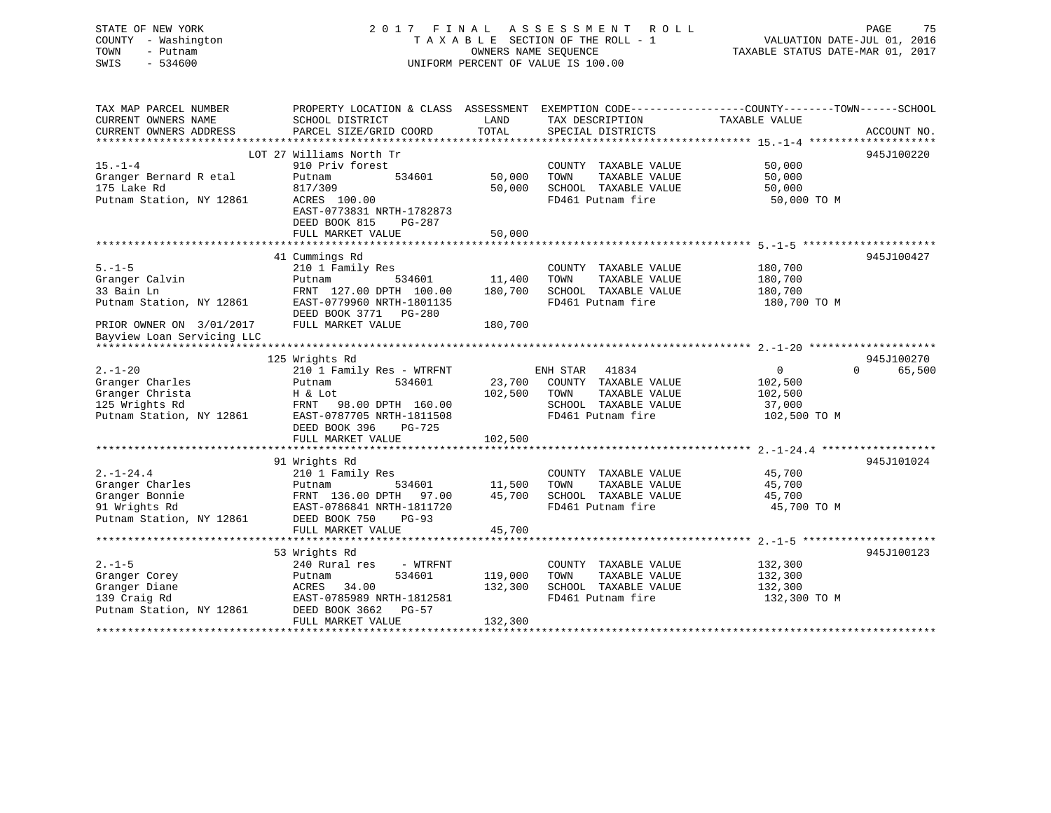# STATE OF NEW YORK 2 0 1 7 F I N A L A S S E S S M E N T R O L L PAGE 75 COUNTY - Washington T A X A B L E SECTION OF THE ROLL - 1 VALUATION DATE-JUL 01, 2016 TOWN - Putnam OWNERS NAME SEQUENCE TAXABLE STATUS DATE-MAR 01, 2017 SWIS - 534600 UNIFORM PERCENT OF VALUE IS 100.00

| TAX MAP PARCEL NUMBER<br>CURRENT OWNERS NAME<br>CURRENT OWNERS ADDRESS   | SCHOOL DISTRICT<br>PARCEL SIZE/GRID COORD                                                                                               | LAND<br>TOTAL     | TAX DESCRIPTION<br>SPECIAL DISTRICTS                                                       | PROPERTY LOCATION & CLASS ASSESSMENT EXEMPTION CODE----------------COUNTY-------TOWN------SCHOOL<br>TAXABLE VALUE<br>ACCOUNT NO. |
|--------------------------------------------------------------------------|-----------------------------------------------------------------------------------------------------------------------------------------|-------------------|--------------------------------------------------------------------------------------------|----------------------------------------------------------------------------------------------------------------------------------|
| $15. - 1 - 4$<br>Granger Bernard R etal<br>175 Lake Rd                   | LOT 27 Williams North Tr<br>910 Priv forest<br>Putnam<br>534601<br>817/309                                                              | 50,000<br>50,000  | COUNTY TAXABLE VALUE<br>TOWN<br>TAXABLE VALUE<br>SCHOOL TAXABLE VALUE                      | 945J100220<br>50,000<br>50,000<br>50,000                                                                                         |
| Putnam Station, NY 12861                                                 | ACRES 100.00<br>EAST-0773831 NRTH-1782873<br>DEED BOOK 815<br><b>PG-287</b><br>FULL MARKET VALUE                                        | 50,000            | FD461 Putnam fire                                                                          | 50,000 TO M                                                                                                                      |
|                                                                          |                                                                                                                                         |                   |                                                                                            |                                                                                                                                  |
| $5. - 1 - 5$<br>Granger Calvin<br>33 Bain Ln<br>Putnam Station, NY 12861 | 41 Cummings Rd<br>210 1 Family Res<br>534601<br>Putnam<br>FRNT 127.00 DPTH 100.00<br>EAST-0779960 NRTH-1801135<br>DEED BOOK 3771 PG-280 | 11,400<br>180,700 | COUNTY TAXABLE VALUE<br>TOWN<br>TAXABLE VALUE<br>SCHOOL TAXABLE VALUE<br>FD461 Putnam fire | 945J100427<br>180,700<br>180,700<br>180,700<br>180,700 TO M                                                                      |
| PRIOR OWNER ON 3/01/2017                                                 | FULL MARKET VALUE                                                                                                                       | 180,700           |                                                                                            |                                                                                                                                  |
| Bayview Loan Servicing LLC                                               |                                                                                                                                         |                   |                                                                                            |                                                                                                                                  |
|                                                                          |                                                                                                                                         |                   |                                                                                            |                                                                                                                                  |
|                                                                          | 125 Wrights Rd                                                                                                                          |                   |                                                                                            | 945J100270                                                                                                                       |
| $2. -1 - 20$                                                             | 210 1 Family Res - WTRFNT                                                                                                               |                   | 41834<br>ENH STAR                                                                          | $\Omega$<br>$\mathbf{0}$<br>65,500                                                                                               |
| Granger Charles                                                          | 534601<br>Putnam                                                                                                                        | 23,700            | COUNTY TAXABLE VALUE                                                                       | 102,500                                                                                                                          |
| Granger Christa<br>125 Wrights Rd                                        | H & Lot<br>98.00 DPTH 160.00<br>FRNT                                                                                                    | 102,500           | TOWN<br>TAXABLE VALUE<br>SCHOOL TAXABLE VALUE                                              | 102,500<br>37,000                                                                                                                |
| Putnam Station, NY 12861                                                 | EAST-0787705 NRTH-1811508                                                                                                               |                   | FD461 Putnam fire                                                                          | 102,500 TO M                                                                                                                     |
|                                                                          | DEED BOOK 396<br>PG-725<br>FULL MARKET VALUE                                                                                            | 102,500           |                                                                                            |                                                                                                                                  |
|                                                                          |                                                                                                                                         |                   |                                                                                            |                                                                                                                                  |
|                                                                          | 91 Wrights Rd                                                                                                                           |                   |                                                                                            | 945J101024                                                                                                                       |
| $2. -1 - 24.4$                                                           | 210 1 Family Res                                                                                                                        |                   | COUNTY TAXABLE VALUE                                                                       | 45,700                                                                                                                           |
| Granger Charles                                                          | 534601<br>Putnam                                                                                                                        | 11,500            | TOWN<br>TAXABLE VALUE                                                                      | 45,700                                                                                                                           |
| Granger Bonnie                                                           | FRNT 136.00 DPTH<br>97.00                                                                                                               | 45,700            | SCHOOL TAXABLE VALUE                                                                       | 45,700                                                                                                                           |
| 91 Wrights Rd<br>Putnam Station, NY 12861                                | EAST-0786841 NRTH-1811720<br>DEED BOOK 750<br>$PG-93$                                                                                   |                   | FD461 Putnam fire                                                                          | 45,700 TO M                                                                                                                      |
|                                                                          | FULL MARKET VALUE                                                                                                                       | 45,700            |                                                                                            |                                                                                                                                  |
|                                                                          | 53 Wrights Rd                                                                                                                           |                   |                                                                                            | 945J100123                                                                                                                       |
| $2. - 1 - 5$                                                             | 240 Rural res<br>- WTRFNT                                                                                                               |                   | COUNTY TAXABLE VALUE                                                                       | 132,300                                                                                                                          |
| Granger Corey                                                            | 534601<br>Putnam                                                                                                                        | 119,000           | TAXABLE VALUE<br>TOWN                                                                      | 132,300                                                                                                                          |
| Granger Diane                                                            | ACRES<br>34.00                                                                                                                          | 132,300           | SCHOOL TAXABLE VALUE                                                                       | 132,300                                                                                                                          |
| 139 Craig Rd<br>Putnam Station, NY 12861                                 | EAST-0785989 NRTH-1812581<br>DEED BOOK 3662<br><b>PG-57</b>                                                                             |                   | FD461 Putnam fire                                                                          | 132,300 TO M                                                                                                                     |
|                                                                          | FULL MARKET VALUE                                                                                                                       | 132,300           |                                                                                            |                                                                                                                                  |
|                                                                          |                                                                                                                                         |                   |                                                                                            |                                                                                                                                  |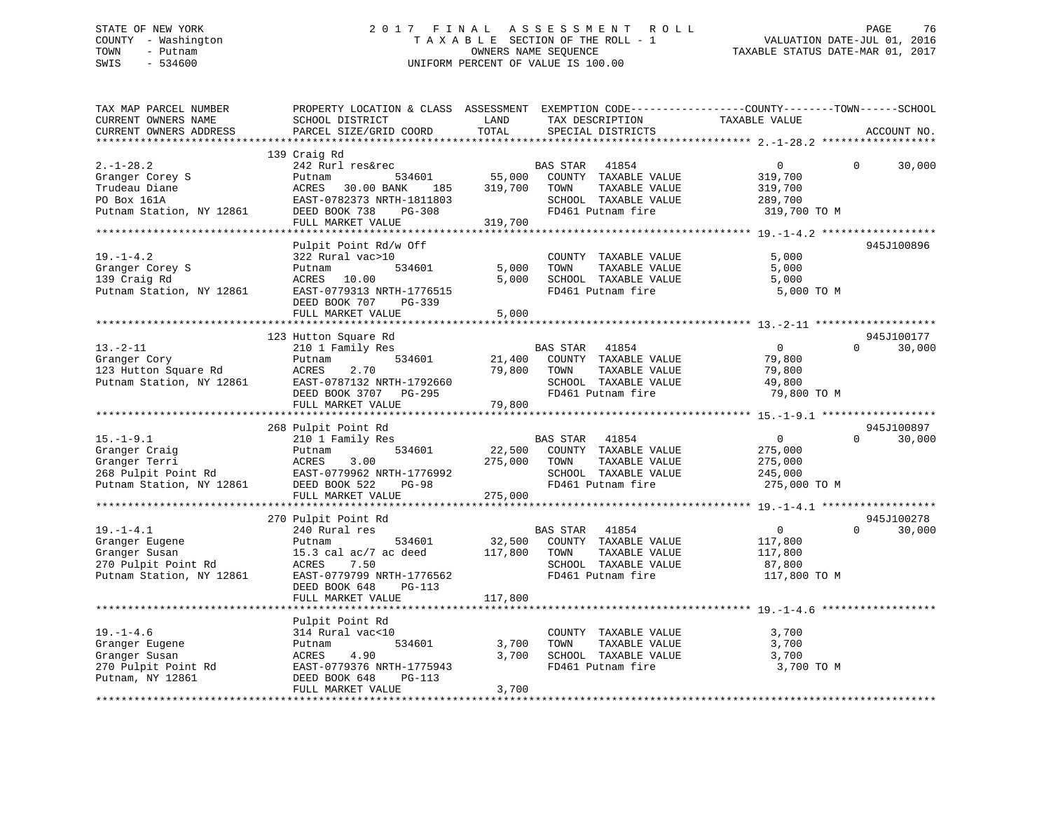# STATE OF NEW YORK 2 0 1 7 F I N A L A S S E S S M E N T R O L L PAGE 76 COUNTY - Washington T A X A B L E SECTION OF THE ROLL - 1 VALUATION DATE-JUL 01, 2016 TOWN - Putnam OWNERS NAME SEQUENCE TAXABLE STATUS DATE-MAR 01, 2017 SWIS - 534600 UNIFORM PERCENT OF VALUE IS 100.00

| TAX MAP PARCEL NUMBER<br>CURRENT OWNERS NAME<br>CURRENT OWNERS ADDRESS                                | PROPERTY LOCATION & CLASS ASSESSMENT<br>SCHOOL DISTRICT<br>PARCEL SIZE/GRID COORD                                                                               | LAND<br>TOTAL                | EXEMPTION CODE-----------------COUNTY-------TOWN------SCHOOL<br>TAX DESCRIPTION<br>SPECIAL DISTRICTS                   | TAXABLE VALUE                                                   | ACCOUNT NO.                      |
|-------------------------------------------------------------------------------------------------------|-----------------------------------------------------------------------------------------------------------------------------------------------------------------|------------------------------|------------------------------------------------------------------------------------------------------------------------|-----------------------------------------------------------------|----------------------------------|
|                                                                                                       |                                                                                                                                                                 |                              |                                                                                                                        |                                                                 |                                  |
| $2. -1 - 28.2$<br>Granger Corey S<br>Trudeau Diane<br>PO Box 161A<br>Putnam Station, NY 12861         | 139 Craig Rd<br>242 Rurl res&rec<br>534601<br>Putnam<br>ACRES<br>30.00 BANK<br>185<br>EAST-0782373 NRTH-1811803<br>DEED BOOK 738<br>PG-308<br>FULL MARKET VALUE | 55,000<br>319,700<br>319,700 | BAS STAR<br>41854<br>COUNTY TAXABLE VALUE<br>TAXABLE VALUE<br>TOWN<br>SCHOOL TAXABLE VALUE<br>FD461 Putnam fire        | $\mathbf{0}$<br>319,700<br>319,700<br>289,700<br>319,700 TO M   | 30,000<br>0                      |
|                                                                                                       |                                                                                                                                                                 |                              |                                                                                                                        |                                                                 |                                  |
| $19. - 1 - 4.2$<br>Granger Corey S<br>139 Craig Rd<br>Putnam Station, NY 12861                        | Pulpit Point Rd/w Off<br>322 Rural vac>10<br>534601<br>Putnam<br>ACRES 10.00<br>EAST-0779313 NRTH-1776515<br>DEED BOOK 707<br>PG-339<br>FULL MARKET VALUE       | 5,000<br>5,000<br>5,000      | COUNTY TAXABLE VALUE<br>TOWN<br>TAXABLE VALUE<br>SCHOOL TAXABLE VALUE<br>FD461 Putnam fire                             | 5,000<br>5,000<br>5,000<br>5,000 TO M                           | 945J100896                       |
|                                                                                                       |                                                                                                                                                                 |                              |                                                                                                                        |                                                                 |                                  |
| $13. - 2 - 11$                                                                                        | 123 Hutton Square Rd<br>210 1 Family Res                                                                                                                        |                              | BAS STAR<br>41854                                                                                                      | $\overline{0}$                                                  | 945J100177<br>30,000<br>$\Omega$ |
| Granger Cory<br>123 Hutton Square Rd<br>Putnam Station, NY 12861                                      | 534601<br>Putnam<br>2.70<br>ACRES<br>EAST-0787132 NRTH-1792660<br>DEED BOOK 3707<br>PG-295<br>FULL MARKET VALUE                                                 | 21,400<br>79,800<br>79,800   | COUNTY TAXABLE VALUE<br>TOWN<br>TAXABLE VALUE<br>SCHOOL TAXABLE VALUE<br>FD461 Putnam fire                             | 79,800<br>79,800<br>49,800<br>79,800 TO M                       |                                  |
|                                                                                                       |                                                                                                                                                                 |                              |                                                                                                                        |                                                                 |                                  |
| $15. - 1 - 9.1$<br>Granger Craig<br>Granger Terri<br>268 Pulpit Point Rd<br>Putnam Station, NY 12861  | 268 Pulpit Point Rd<br>210 1 Family Res<br>534601<br>Putnam<br>ACRES<br>3.00<br>EAST-0779962 NRTH-1776992<br>DEED BOOK 522<br><b>PG-98</b><br>FULL MARKET VALUE | 22,500<br>275,000<br>275,000 | <b>BAS STAR</b><br>41854<br>COUNTY TAXABLE VALUE<br>TOWN<br>TAXABLE VALUE<br>SCHOOL TAXABLE VALUE<br>FD461 Putnam fire | $\overline{0}$<br>275,000<br>275,000<br>245,000<br>275,000 TO M | 945J100897<br>$\Omega$<br>30,000 |
|                                                                                                       |                                                                                                                                                                 |                              |                                                                                                                        |                                                                 |                                  |
| $19. - 1 - 4.1$<br>Granger Eugene<br>Granger Susan<br>270 Pulpit Point Rd<br>Putnam Station, NY 12861 | 270 Pulpit Point Rd<br>240 Rural res<br>534601<br>Putnam<br>15.3 cal $ac/7$ ac deed<br>ACRES<br>7.50<br>EAST-0779799 NRTH-1776562<br>DEED BOOK 648<br>PG-113    | 32,500<br>117,800            | BAS STAR<br>41854<br>COUNTY TAXABLE VALUE<br>TAXABLE VALUE<br>TOWN<br>SCHOOL TAXABLE VALUE<br>FD461 Putnam fire        | $\overline{0}$<br>117,800<br>117,800<br>87,800<br>117,800 TO M  | 945J100278<br>$\Omega$<br>30,000 |
|                                                                                                       | FULL MARKET VALUE                                                                                                                                               | 117,800                      |                                                                                                                        |                                                                 |                                  |
|                                                                                                       | ****************************<br>Pulpit Point Rd                                                                                                                 |                              |                                                                                                                        |                                                                 |                                  |
| $19. - 1 - 4.6$<br>Granger Eugene<br>Granger Susan<br>270 Pulpit Point Rd<br>Putnam, NY 12861         | 314 Rural vac<10<br>534601<br>Putnam<br>4.90<br>ACRES<br>EAST-0779376 NRTH-1775943<br>DEED BOOK 648<br>PG-113<br>FULL MARKET VALUE                              | 3,700<br>3,700<br>3,700      | COUNTY TAXABLE VALUE<br>TOWN<br>TAXABLE VALUE<br>SCHOOL TAXABLE VALUE<br>FD461 Putnam fire                             | 3,700<br>3,700<br>3,700<br>3,700 TO M                           |                                  |
|                                                                                                       |                                                                                                                                                                 |                              |                                                                                                                        |                                                                 |                                  |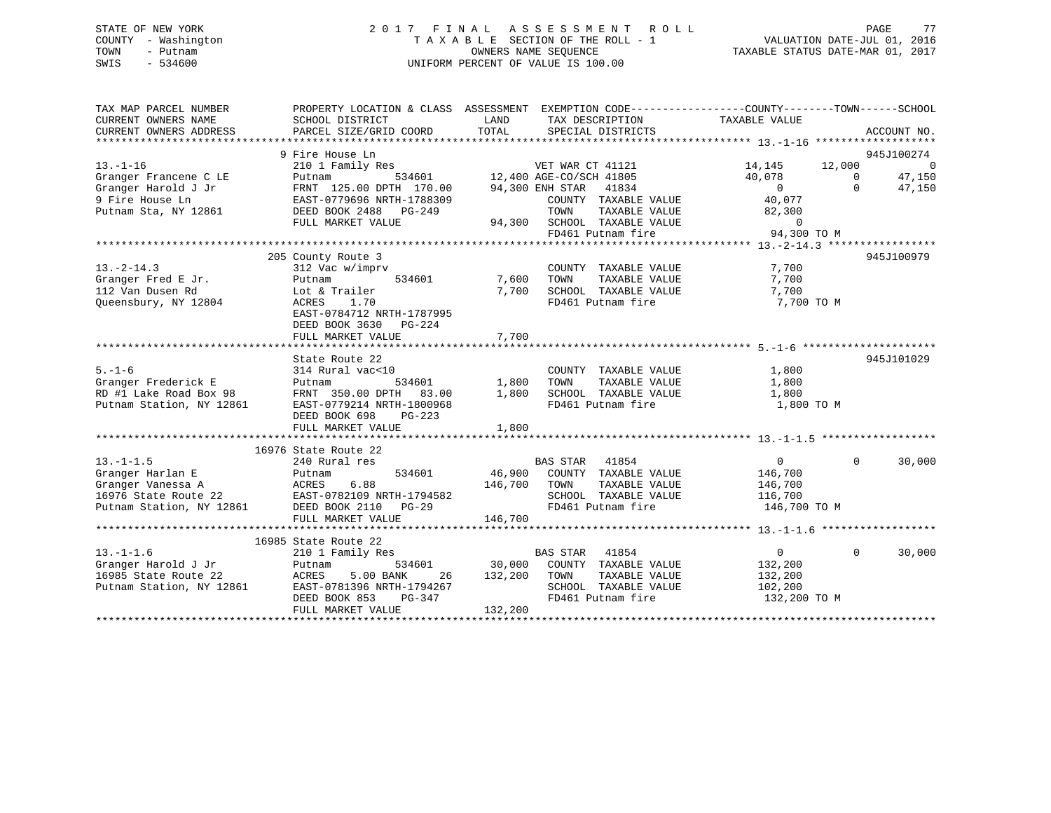# STATE OF NEW YORK 2 0 1 7 F I N A L A S S E S S M E N T R O L L PAGE 77 COUNTY - Washington T A X A B L E SECTION OF THE ROLL - 1 VALUATION DATE-JUL 01, 2016 TOWN - Putnam OWNERS NAME SEQUENCE TAXABLE STATUS DATE-MAR 01, 2017 SWIS - 534600 UNIFORM PERCENT OF VALUE IS 100.00

| CURRENT OWNERS NAME<br>SCHOOL DISTRICT<br>LAND<br>TAX DESCRIPTION TAXABLE VALUE<br>CURRENT OWNERS ADDRESS<br>PARCEL SIZE/GRID COORD<br>TOTAL<br>SPECIAL DISTRICTS                                                                                                                                                        | PROPERTY LOCATION & CLASS ASSESSMENT EXEMPTION CODE-----------------COUNTY-------TOWN------SCHOOL<br>ACCOUNT NO. |
|--------------------------------------------------------------------------------------------------------------------------------------------------------------------------------------------------------------------------------------------------------------------------------------------------------------------------|------------------------------------------------------------------------------------------------------------------|
| 9 Fire House Ln                                                                                                                                                                                                                                                                                                          | 945J100274                                                                                                       |
| $13. - 1 - 16$<br>14,145 12,000                                                                                                                                                                                                                                                                                          | - 0                                                                                                              |
| Granger Francene C LE<br>40,078                                                                                                                                                                                                                                                                                          | 47,150                                                                                                           |
| $\overline{0}$<br>Granger Harold J Jr                                                                                                                                                                                                                                                                                    | $\begin{matrix}0\\0\end{matrix}$<br>47,150                                                                       |
| 9 Fire House Ln<br>EAST-0779696 NRTH-1788309                                                                                                                                                                                                                                                                             |                                                                                                                  |
| Putnam Sta, NY 12861<br>DEED BOOK 2488 PG-249                                                                                                                                                                                                                                                                            |                                                                                                                  |
| FULL MARKET VALUE                                                                                                                                                                                                                                                                                                        |                                                                                                                  |
|                                                                                                                                                                                                                                                                                                                          |                                                                                                                  |
| 8309 COUNTY TAAADLE VALUE 82,300<br>49 TOWN TAXABLE VALUE 82,300<br>94,300 SCHOOL TAXABLE VALUE 94,300 TO M<br>FD461 Putnam fire 94,300 TO M<br>13.-2-14.3 ***                                                                                                                                                           |                                                                                                                  |
| 205 County Route 3                                                                                                                                                                                                                                                                                                       | 945J100979                                                                                                       |
| $13.-2-14.3$<br>7,700<br>COUNTY TAXABLE VALUE<br>312 Vac w/imprv                                                                                                                                                                                                                                                         |                                                                                                                  |
| $\begin{tabular}{lllll} \hline w/imprv & \multicolumn{2}{l} \multicolumn{2}{l}{{\small \texttt{COUNT}}} \\ \hline 534601 & \multicolumn{2}{l}{{\small 7,600}} & \multicolumn{2}{l}{\small \texttt{COUNT}} \\ \hline \end{tabular}$<br>TAXABLE VALUE<br>TAXABLE VALUE<br>siz vac<br>Putnam<br>Granger Fred E Jr.<br>7,700 |                                                                                                                  |
| Lot & Trailer<br>7,700 SCHOOL TAXABLE VALUE<br>112 Van Dusen Rd<br>7,700                                                                                                                                                                                                                                                 |                                                                                                                  |
| Queensbury, NY 12804<br>FD461 Putnam fire<br>7,700 TO M<br>ACRES 1.70                                                                                                                                                                                                                                                    |                                                                                                                  |
| EAST-0784712 NRTH-1787995                                                                                                                                                                                                                                                                                                |                                                                                                                  |
| DEED BOOK 3630<br>PG-224                                                                                                                                                                                                                                                                                                 |                                                                                                                  |
| 7,700<br>FULL MARKET VALUE                                                                                                                                                                                                                                                                                               |                                                                                                                  |
|                                                                                                                                                                                                                                                                                                                          |                                                                                                                  |
| State Route 22                                                                                                                                                                                                                                                                                                           | 945J101029                                                                                                       |
| $5. - 1 - 6$<br>1,800<br>314 Rural vac<10<br>COUNTY TAXABLE VALUE                                                                                                                                                                                                                                                        |                                                                                                                  |
| 534601 1,800<br>Granger Frederick E<br>TOWN<br>TAXABLE VALUE<br>1,800<br>Putnam                                                                                                                                                                                                                                          |                                                                                                                  |
| RD #1 Lake Road Box 98<br>Dutnam Station. NY 12861<br>FRNT 350.00 DPTH 83.00 1,800<br>SCHOOL TAXABLE VALUE<br>1,800                                                                                                                                                                                                      |                                                                                                                  |
| Putnam Station, NY 12861<br>FD461 Putnam fire<br>EAST-0779214 NRTH-1800968                                                                                                                                                                                                                                               | 1,800 TO M                                                                                                       |
| DEED BOOK 698<br>PG-223                                                                                                                                                                                                                                                                                                  |                                                                                                                  |
| 1,800<br>FULL MARKET VALUE                                                                                                                                                                                                                                                                                               |                                                                                                                  |
|                                                                                                                                                                                                                                                                                                                          |                                                                                                                  |
| 16976 State Route 22                                                                                                                                                                                                                                                                                                     |                                                                                                                  |
| $13. - 1 - 1.5$<br>$\overline{0}$<br>240 Rural res<br>BAS STAR 41854                                                                                                                                                                                                                                                     | $\overline{0}$<br>30,000                                                                                         |
| Putnam<br>534601 46,900 COUNTY TAXABLE VALUE 146,700<br>Granger Harlan E                                                                                                                                                                                                                                                 |                                                                                                                  |
| 146,700 TOWN<br>TAXABLE VALUE<br>Granger Vanessa A<br>146,700                                                                                                                                                                                                                                                            |                                                                                                                  |
| SCHOOL TAXABLE VALUE<br>16976 State Route 22<br>116,700                                                                                                                                                                                                                                                                  |                                                                                                                  |
| Putnam Station, NY 12861 DEED BOOK 2110 PG-29<br>FD461 Putnam fire<br>146,700 TO M                                                                                                                                                                                                                                       |                                                                                                                  |
| FULL MARKET VALUE<br>146,700                                                                                                                                                                                                                                                                                             |                                                                                                                  |
|                                                                                                                                                                                                                                                                                                                          |                                                                                                                  |
| 16985 State Route 22                                                                                                                                                                                                                                                                                                     |                                                                                                                  |
| <b>BAS STAR 41854</b><br>$0 \qquad \qquad$<br>$13. - 1 - 1.6$<br>210 1 Family Res                                                                                                                                                                                                                                        | $\Omega$<br>30,000                                                                                               |
| 534601 30,000 COUNTY TAXABLE VALUE<br>132,200                                                                                                                                                                                                                                                                            |                                                                                                                  |
| 16985 State Route 22<br>5.00 BANK<br>132,200 TOWN<br>TAXABLE VALUE<br>26<br>132,200                                                                                                                                                                                                                                      |                                                                                                                  |
| SCHOOL TAXABLE VALUE<br>102,200<br>Putnam Station, NY 12861<br>EAST-0781396 NRTH-1794267                                                                                                                                                                                                                                 |                                                                                                                  |
| FD461 Putnam fire<br>DEED BOOK 853<br>PG-347<br>132,200 TO M                                                                                                                                                                                                                                                             |                                                                                                                  |
| 132,200<br>FULL MARKET VALUE                                                                                                                                                                                                                                                                                             |                                                                                                                  |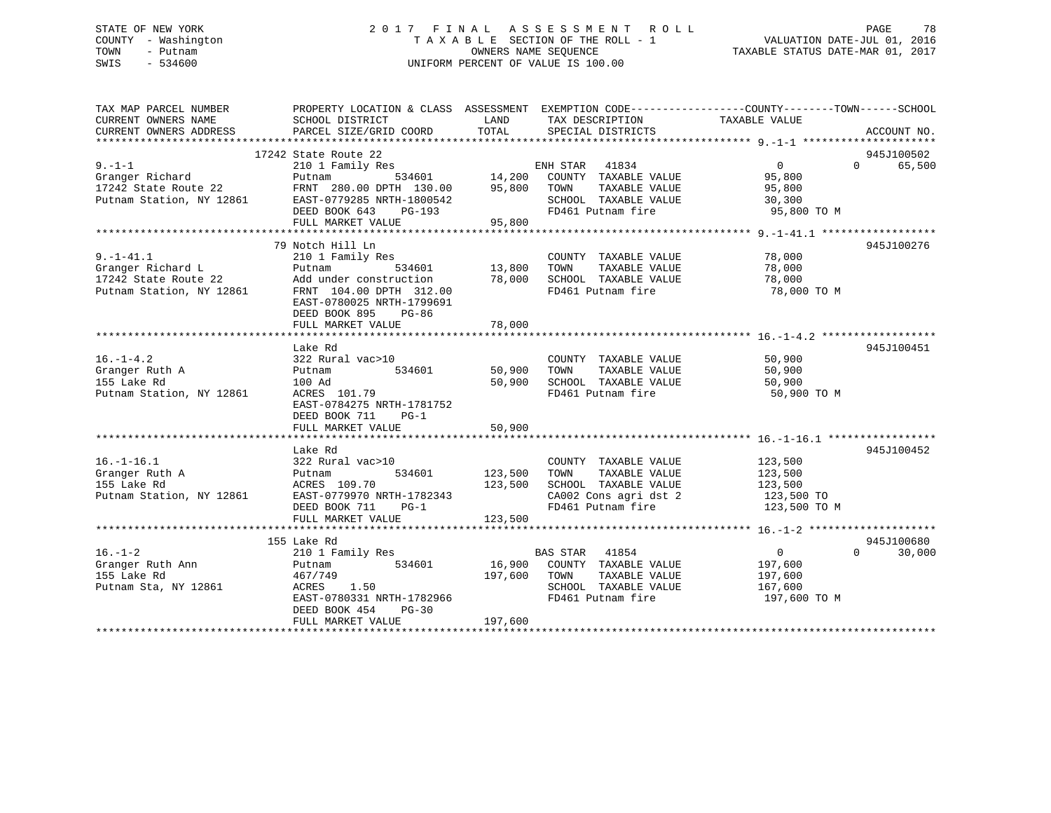# STATE OF NEW YORK 2 0 1 7 F I N A L A S S E S S M E N T R O L L PAGE 78 COUNTY - Washington T A X A B L E SECTION OF THE ROLL - 1 VALUATION DATE-JUL 01, 2016 TOWN - Putnam OWNERS NAME SEQUENCE TAXABLE STATUS DATE-MAR 01, 2017 SWIS - 534600 UNIFORM PERCENT OF VALUE IS 100.00

| TAX MAP PARCEL NUMBER<br>CURRENT OWNERS NAME<br>CURRENT OWNERS ADDRESS | PROPERTY LOCATION & CLASS ASSESSMENT EXEMPTION CODE----------------COUNTY-------TOWN------SCHOOL<br>SCHOOL DISTRICT<br>PARCEL SIZE/GRID COORD | LAND<br>TOTAL | TAX DESCRIPTION<br>SPECIAL DISTRICTS          | TAXABLE VALUE  | ACCOUNT NO.        |
|------------------------------------------------------------------------|-----------------------------------------------------------------------------------------------------------------------------------------------|---------------|-----------------------------------------------|----------------|--------------------|
|                                                                        |                                                                                                                                               |               |                                               |                |                    |
|                                                                        | 17242 State Route 22                                                                                                                          |               |                                               |                | 945J100502         |
| $9 - 1 - 1$                                                            | 210 1 Family Res                                                                                                                              |               |                                               | $\overline{0}$ | 65,500<br>$\Omega$ |
| Granger Richard                                                        | 534601<br>Putnam                                                                                                                              |               | ENH STAR 41834<br>14,200 COUNTY TAXABLE VALUE | 95,800         |                    |
| 17242 State Route 22 FRNT 280.00 DPTH 130.00                           |                                                                                                                                               | 95,800 TOWN   | TAXABLE VALUE                                 | 95,800         |                    |
| Putnam Station, NY 12861                                               | EAST-0779285 NRTH-1800542                                                                                                                     |               | SCHOOL TAXABLE VALUE                          | 30,300         |                    |
|                                                                        | DEED BOOK 643 PG-193                                                                                                                          |               | FD461 Putnam fire                             | 95,800 TO M    |                    |
|                                                                        | FULL MARKET VALUE                                                                                                                             | 95,800        |                                               |                |                    |
|                                                                        |                                                                                                                                               |               |                                               |                |                    |
|                                                                        | 79 Notch Hill Ln                                                                                                                              |               |                                               |                | 945J100276         |
| $9. - 1 - 41.1$                                                        | 210 1 Family Res                                                                                                                              | 13,800        | COUNTY TAXABLE VALUE                          | 78,000         |                    |
| Granger Richard L                                                      | 534601<br>Putnam                                                                                                                              |               | TAXABLE VALUE<br>TOWN                         | 78,000         |                    |
| Granger Richard -<br>17242 State Route 22<br>21 State NV 12861         | Add under construction 78,000                                                                                                                 |               | SCHOOL TAXABLE VALUE                          | 78,000         |                    |
| Putnam Station, NY 12861                                               | FRNT 104.00 DPTH 312.00<br>EAST-0780025 NRTH-1799691                                                                                          |               | FD461 Putnam fire                             | 78,000 TO M    |                    |
|                                                                        | DEED BOOK 895<br>PG-86                                                                                                                        |               |                                               |                |                    |
|                                                                        | FULL MARKET VALUE                                                                                                                             | 78,000        |                                               |                |                    |
|                                                                        |                                                                                                                                               |               |                                               |                |                    |
|                                                                        | Lake Rd                                                                                                                                       |               |                                               |                | 945J100451         |
| $16. - 1 - 4.2$                                                        | 322 Rural vac>10                                                                                                                              |               | COUNTY TAXABLE VALUE 50,900                   |                |                    |
| Granger Ruth A<br>The Island                                           | 534601<br>Putnam                                                                                                                              | 50,900 TOWN   | TAXABLE VALUE                                 | 50,900         |                    |
|                                                                        | 100 Ad                                                                                                                                        |               | 50,900 SCHOOL TAXABLE VALUE                   | 50,900         |                    |
| Putnam Station, NY 12861                                               | ACRES 101.79                                                                                                                                  |               | FD461 Putnam fire                             | 50,900 TO M    |                    |
|                                                                        | EAST-0784275 NRTH-1781752                                                                                                                     |               |                                               |                |                    |
|                                                                        | DEED BOOK 711<br>$PG-1$                                                                                                                       |               |                                               |                |                    |
|                                                                        | FULL MARKET VALUE                                                                                                                             | 50,900        |                                               |                |                    |
|                                                                        |                                                                                                                                               |               |                                               |                |                    |
|                                                                        | Lake Rd                                                                                                                                       |               |                                               |                | 945J100452         |
| $16. - 1 - 16.1$                                                       | 322 Rural vac>10                                                                                                                              |               | COUNTY TAXABLE VALUE                          | 123,500        |                    |
| Granger Ruth A                                                         | 534601<br>Putnam                                                                                                                              | 123,500       | TOWN<br>TAXABLE VALUE                         | 123,500        |                    |
| 155 Lake Rd                                                            | ACRES 109.70                                                                                                                                  | 123,500       | SCHOOL TAXABLE VALUE                          | 123,500        |                    |
| Putnam Station, NY 12861                                               | EAST-0779970 NRTH-1782343                                                                                                                     |               | CA002 Cons agri dst 2 123,500 TO              |                |                    |
|                                                                        | DEED BOOK 711 PG-1                                                                                                                            |               | FD461 Putnam fire                             | 123,500 TO M   |                    |
|                                                                        | FULL MARKET VALUE                                                                                                                             | 123,500       |                                               |                |                    |
|                                                                        |                                                                                                                                               |               |                                               |                | 945J100680         |
| $16. - 1 - 2$                                                          | 155 Lake Rd<br>210 1 Family Res                                                                                                               |               | BAS STAR 41854                                | $\overline{0}$ | $\Omega$<br>30,000 |
| Granger Ruth Ann                                                       | 534601<br>Putnam                                                                                                                              |               | 16,900 COUNTY TAXABLE VALUE                   | 197,600        |                    |
| 155 Lake Rd                                                            | 467/749                                                                                                                                       | 197,600       | TOWN<br>TAXABLE VALUE                         | 197,600        |                    |
| Putnam Sta, NY 12861                                                   | ACRES 1.50                                                                                                                                    |               | SCHOOL TAXABLE VALUE                          | 167,600        |                    |
|                                                                        | EAST-0780331 NRTH-1782966                                                                                                                     |               | FD461 Putnam fire                             | 197,600 TO M   |                    |
|                                                                        | DEED BOOK 454<br>$PG-30$                                                                                                                      |               |                                               |                |                    |
|                                                                        | FULL MARKET VALUE                                                                                                                             | 197,600       |                                               |                |                    |
|                                                                        |                                                                                                                                               |               |                                               |                |                    |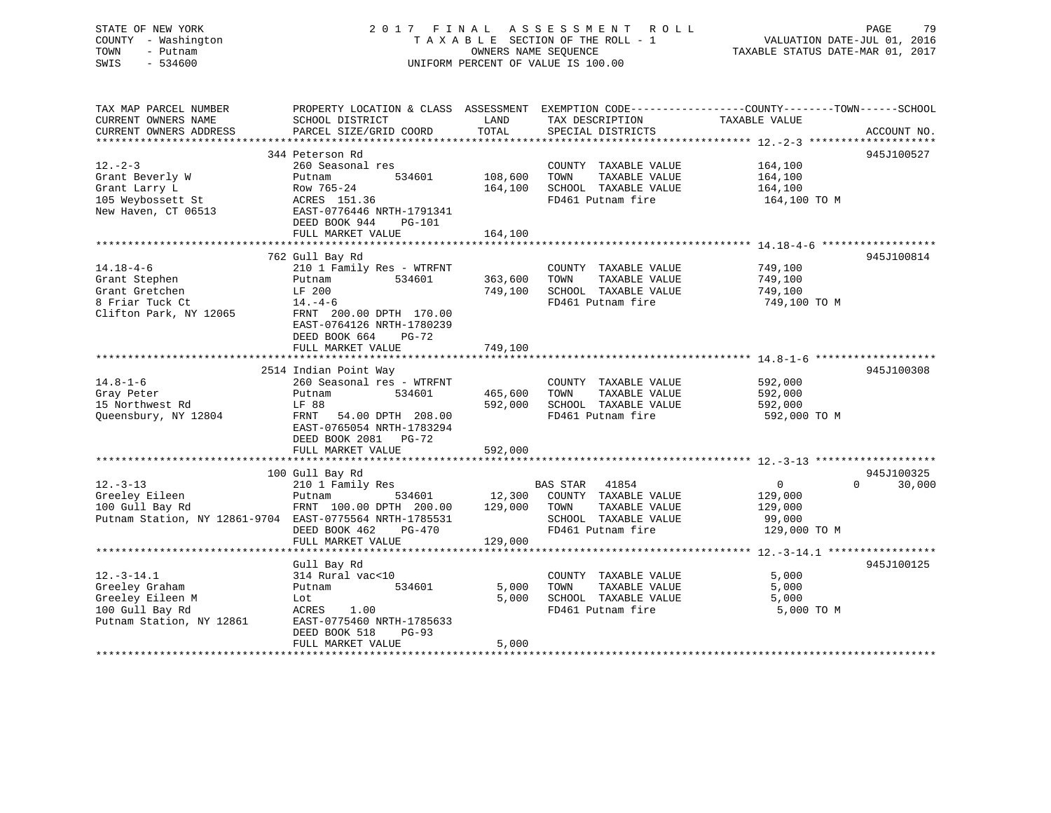# STATE OF NEW YORK 2 0 1 7 F I N A L A S S E S S M E N T R O L L PAGE 79 COUNTY - Washington T A X A B L E SECTION OF THE ROLL - 1 VALUATION DATE-JUL 01, 2016 TOWN - Putnam OWNERS NAME SEQUENCE TAXABLE STATUS DATE-MAR 01, 2017 SWIS - 534600 UNIFORM PERCENT OF VALUE IS 100.00

| TAX MAP PARCEL NUMBER<br>CURRENT OWNERS NAME<br>CURRENT OWNERS ADDRESS                                         | PROPERTY LOCATION & CLASS ASSESSMENT<br>SCHOOL DISTRICT<br>PARCEL SIZE/GRID COORD                                                                                                                 | LAND<br>TOTAL                 | TAX DESCRIPTION<br>SPECIAL DISTRICTS                                                                            | EXEMPTION CODE-----------------COUNTY-------TOWN------SCHOOL<br>TAXABLE VALUE<br>ACCOUNT NO.    |
|----------------------------------------------------------------------------------------------------------------|---------------------------------------------------------------------------------------------------------------------------------------------------------------------------------------------------|-------------------------------|-----------------------------------------------------------------------------------------------------------------|-------------------------------------------------------------------------------------------------|
| $12 - 2 - 3$<br>Grant Beverly W<br>Grant Larry L<br>105 Weybossett St<br>New Haven, CT 06513                   | 344 Peterson Rd<br>260 Seasonal res<br>534601<br>Putnam<br>Row 765-24<br>ACRES 151.36<br>EAST-0776446 NRTH-1791341<br>DEED BOOK 944<br>PG-101<br>FULL MARKET VALUE                                | 108,600<br>164,100<br>164,100 | COUNTY TAXABLE VALUE<br>TOWN<br>TAXABLE VALUE<br>SCHOOL TAXABLE VALUE<br>FD461 Putnam fire                      | 945J100527<br>164,100<br>164,100<br>164,100<br>164,100 TO M                                     |
| $14.18 - 4 - 6$<br>Grant Stephen<br>Grant Gretchen<br>8 Friar Tuck Ct<br>Clifton Park, NY 12065                | 762 Gull Bay Rd<br>210 1 Family Res - WTRFNT<br>534601<br>Putnam<br>LF 200<br>$14. -4 - 6$<br>FRNT 200.00 DPTH 170.00<br>EAST-0764126 NRTH-1780239<br>DEED BOOK 664<br>PG-72<br>FULL MARKET VALUE | 363,600<br>749,100<br>749,100 | COUNTY TAXABLE VALUE<br>TOWN<br>TAXABLE VALUE<br>SCHOOL TAXABLE VALUE<br>FD461 Putnam fire                      | 945J100814<br>749,100<br>749,100<br>749,100<br>749,100 TO M                                     |
| $14.8 - 1 - 6$<br>Gray Peter<br>15 Northwest Rd<br>Queensbury, NY 12804                                        | 2514 Indian Point Way<br>260 Seasonal res - WTRFNT<br>Putnam<br>534601<br>LF 88<br>FRNT<br>54.00 DPTH 208.00<br>EAST-0765054 NRTH-1783294<br>DEED BOOK 2081 PG-72<br>FULL MARKET VALUE            | 465,600<br>592,000<br>592,000 | COUNTY TAXABLE VALUE<br>TAXABLE VALUE<br>TOWN<br>SCHOOL TAXABLE VALUE<br>FD461 Putnam fire                      | 945J100308<br>592,000<br>592,000<br>592,000<br>592,000 TO M                                     |
| $12. - 3 - 13$<br>Greeley Eileen<br>100 Gull Bay Rd<br>Putnam Station, NY 12861-9704 EAST-0775564 NRTH-1785531 | 100 Gull Bay Rd<br>210 1 Family Res<br>Putnam<br>534601<br>FRNT 100.00 DPTH 200.00<br>DEED BOOK 462<br>$PG-470$<br>FULL MARKET VALUE                                                              | 12,300<br>129,000<br>129,000  | BAS STAR<br>41854<br>COUNTY TAXABLE VALUE<br>TOWN<br>TAXABLE VALUE<br>SCHOOL TAXABLE VALUE<br>FD461 Putnam fire | 945J100325<br>$\mathbf 0$<br>$\Omega$<br>30,000<br>129,000<br>129,000<br>99,000<br>129,000 TO M |
| $12.-3-14.1$<br>Greeley Graham<br>Greeley Eileen M<br>100 Gull Bay Rd<br>Putnam Station, NY 12861              | Gull Bay Rd<br>314 Rural vac<10<br>Putnam<br>534601<br>Lot<br>ACRES<br>1.00<br>EAST-0775460 NRTH-1785633<br>DEED BOOK 518<br>$PG-93$<br>FULL MARKET VALUE                                         | 5,000<br>5,000<br>5,000       | COUNTY TAXABLE VALUE<br>TOWN<br>TAXABLE VALUE<br>SCHOOL TAXABLE VALUE<br>FD461 Putnam fire                      | 945J100125<br>5,000<br>5,000<br>5,000<br>5,000 TO M                                             |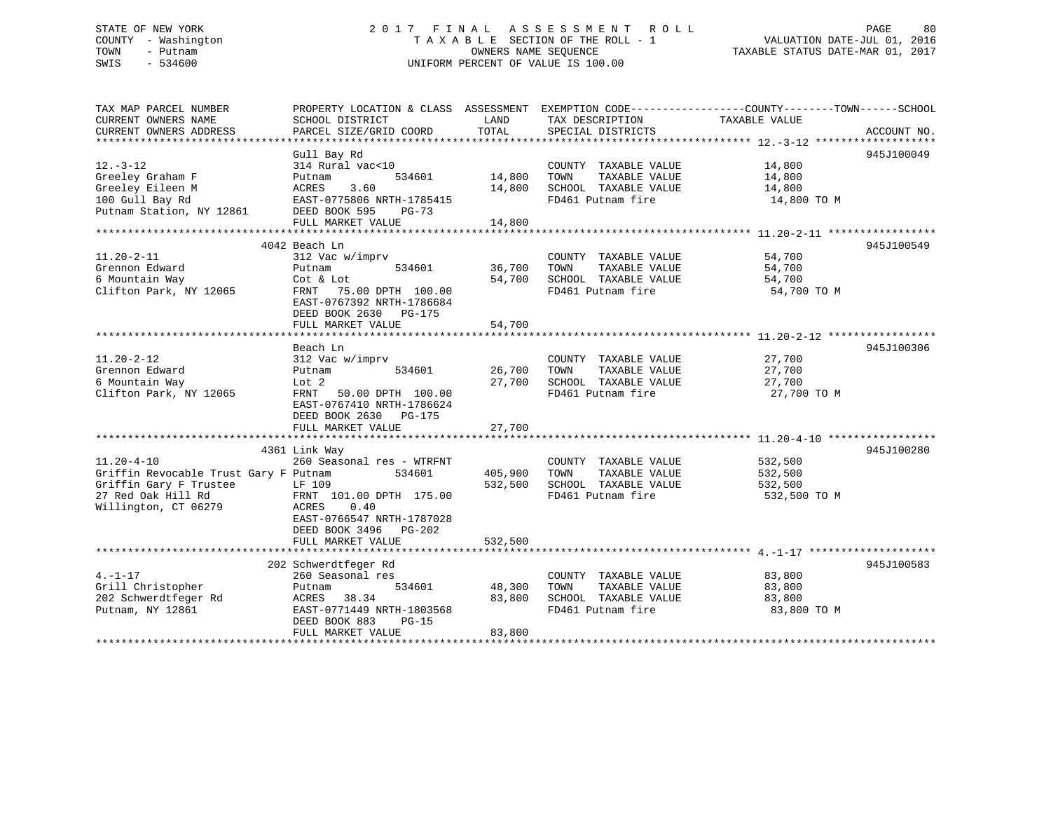# STATE OF NEW YORK 2 0 1 7 F I N A L A S S E S S M E N T R O L L PAGE 80COUNTY - Washington  $T A X A B L E$  SECTION OF THE ROLL - 1<br>TOWN - Putnam data of the COUNTERS NAME SEQUENCE SWIS - 534600 UNIFORM PERCENT OF VALUE IS 100.00

TAXABLE STATUS DATE-MAR 01, 2017

| TAX MAP PARCEL NUMBER<br>CURRENT OWNERS NAME<br>CURRENT OWNERS ADDRESS                                                            | PROPERTY LOCATION & CLASS ASSESSMENT<br>SCHOOL DISTRICT<br>PARCEL SIZE/GRID COORD                                                                                         | LAND<br>TOTAL              | TAX DESCRIPTION<br>SPECIAL DISTRICTS                                                       | EXEMPTION CODE-----------------COUNTY-------TOWN------SCHOOL<br>TAXABLE VALUE | ACCOUNT NO. |
|-----------------------------------------------------------------------------------------------------------------------------------|---------------------------------------------------------------------------------------------------------------------------------------------------------------------------|----------------------------|--------------------------------------------------------------------------------------------|-------------------------------------------------------------------------------|-------------|
| $12.-3-12$<br>Greeley Graham F<br>Greeley Eileen M<br>100 Gull Bay Rd<br>Putnam Station, NY 12861                                 | Gull Bay Rd<br>314 Rural vac<10<br>Putnam<br>534601<br>ACRES<br>3.60<br>EAST-0775806 NRTH-1785415<br>DEED BOOK 595<br>PG-73<br>FULL MARKET VALUE                          | 14,800<br>14,800<br>14,800 | COUNTY TAXABLE VALUE<br>TAXABLE VALUE<br>TOWN<br>SCHOOL TAXABLE VALUE<br>FD461 Putnam fire | 14,800<br>14,800<br>14,800<br>14,800 TO M                                     | 945J100049  |
|                                                                                                                                   |                                                                                                                                                                           |                            |                                                                                            |                                                                               |             |
| $11.20 - 2 - 11$<br>Grennon Edward<br>6 Mountain Way<br>Clifton Park, NY 12065                                                    | 4042 Beach Ln<br>312 Vac w/imprv<br>Putnam<br>534601<br>Cot & Lot<br>FRNT<br>75.00 DPTH 100.00<br>EAST-0767392 NRTH-1786684<br>DEED BOOK 2630 PG-175<br>FULL MARKET VALUE | 36,700<br>54,700<br>54,700 | COUNTY TAXABLE VALUE<br>TAXABLE VALUE<br>TOWN<br>SCHOOL TAXABLE VALUE<br>FD461 Putnam fire | 54,700<br>54,700<br>54,700<br>54,700 TO M                                     | 945J100549  |
|                                                                                                                                   |                                                                                                                                                                           |                            |                                                                                            |                                                                               |             |
| $11.20 - 2 - 12$<br>Grennon Edward<br>6 Mountain Way<br>Clifton Park, NY 12065                                                    | Beach Ln<br>312 Vac w/imprv<br>534601<br>Putnam<br>Lot 2<br>FRNT<br>50.00 DPTH 100.00<br>EAST-0767410 NRTH-1786624<br>DEED BOOK 2630 PG-175<br>FULL MARKET VALUE          | 26,700<br>27,700<br>27,700 | COUNTY TAXABLE VALUE<br>TOWN<br>TAXABLE VALUE<br>SCHOOL TAXABLE VALUE<br>FD461 Putnam fire | 27,700<br>27,700<br>27,700<br>27,700 TO M                                     | 945J100306  |
|                                                                                                                                   |                                                                                                                                                                           |                            |                                                                                            |                                                                               |             |
| $11.20 - 4 - 10$<br>Griffin Revocable Trust Gary F Putnam<br>Griffin Gary F Trustee<br>27 Red Oak Hill Rd<br>Willington, CT 06279 | 4361 Link Way<br>260 Seasonal res - WTRFNT<br>534601<br>LF 109<br>FRNT 101.00 DPTH 175.00<br>0.40<br>ACRES<br>EAST-0766547 NRTH-1787028<br>DEED BOOK 3496 PG-202          | 405,900<br>532,500         | COUNTY TAXABLE VALUE<br>TOWN<br>TAXABLE VALUE<br>SCHOOL TAXABLE VALUE<br>FD461 Putnam fire | 532,500<br>532,500<br>532,500<br>532,500 TO M                                 | 945J100280  |
|                                                                                                                                   | FULL MARKET VALUE                                                                                                                                                         | 532,500                    |                                                                                            |                                                                               |             |
| $4. -1 - 17$<br>Grill Christopher<br>202 Schwerdtfeger Rd<br>Putnam, NY 12861                                                     | 202 Schwerdtfeger Rd<br>260 Seasonal res<br>Putnam<br>534601<br>38.34<br>ACRES<br>EAST-0771449 NRTH-1803568<br>DEED BOOK 883<br>$PG-15$<br>FULL MARKET VALUE              | 48,300<br>83,800<br>83,800 | COUNTY TAXABLE VALUE<br>TAXABLE VALUE<br>TOWN<br>SCHOOL TAXABLE VALUE<br>FD461 Putnam fire | 83,800<br>83,800<br>83,800<br>83,800 TO M                                     | 945J100583  |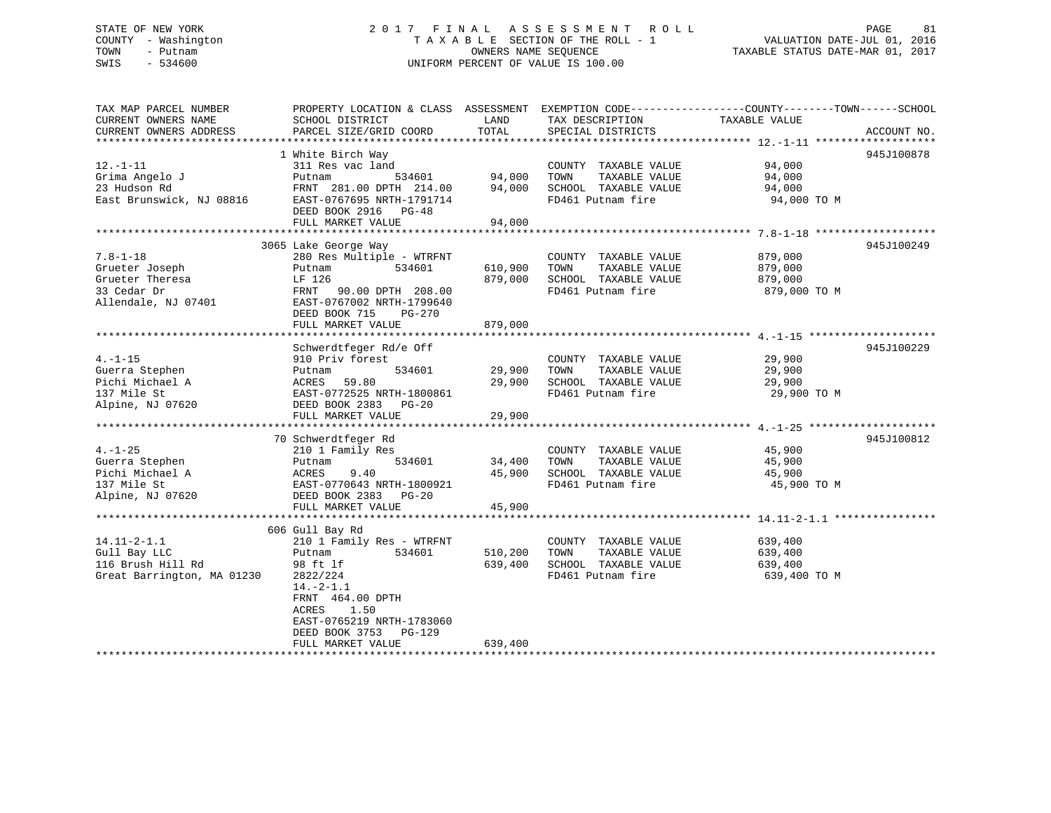# STATE OF NEW YORK 2 0 1 7 F I N A L A S S E S S M E N T R O L L PAGE 81 COUNTY - Washington T A X A B L E SECTION OF THE ROLL - 1 VALUATION DATE-JUL 01, 2016 TOWN - Putnam OWNERS NAME SEQUENCE TAXABLE STATUS DATE-MAR 01, 2017 SWIS - 534600 UNIFORM PERCENT OF VALUE IS 100.00

| TAX MAP PARCEL NUMBER      | PROPERTY LOCATION & CLASS ASSESSMENT EXEMPTION CODE---------------COUNTY-------TOWN------SCHOOL |         |                       |               |             |
|----------------------------|-------------------------------------------------------------------------------------------------|---------|-----------------------|---------------|-------------|
| CURRENT OWNERS NAME        | SCHOOL DISTRICT                                                                                 | LAND    | TAX DESCRIPTION       | TAXABLE VALUE |             |
| CURRENT OWNERS ADDRESS     | PARCEL SIZE/GRID COORD                                                                          | TOTAL   | SPECIAL DISTRICTS     |               | ACCOUNT NO. |
|                            |                                                                                                 |         |                       |               |             |
|                            | 1 White Birch Way                                                                               |         |                       |               | 945J100878  |
| $12. - 1 - 11$             | 311 Res vac land                                                                                |         | COUNTY TAXABLE VALUE  | 94,000        |             |
| Grima Angelo J             | 534601<br>Putnam                                                                                | 94,000  | TOWN<br>TAXABLE VALUE | 94,000        |             |
| 23 Hudson Rd               | FRNT 281.00 DPTH 214.00                                                                         | 94,000  | SCHOOL TAXABLE VALUE  | 94,000        |             |
| East Brunswick, NJ 08816   | EAST-0767695 NRTH-1791714                                                                       |         | FD461 Putnam fire     | 94,000 TO M   |             |
|                            | DEED BOOK 2916 PG-48                                                                            |         |                       |               |             |
|                            | FULL MARKET VALUE                                                                               | 94,000  |                       |               |             |
|                            |                                                                                                 |         |                       |               |             |
|                            | 3065 Lake George Way                                                                            |         |                       |               | 945J100249  |
| $7.8 - 1 - 18$             | 280 Res Multiple - WTRFNT                                                                       |         | COUNTY TAXABLE VALUE  | 879,000       |             |
| Grueter Joseph             | 534601<br>Putnam                                                                                | 610,900 | TOWN<br>TAXABLE VALUE | 879,000       |             |
| Grueter Theresa            | LF 126                                                                                          | 879,000 | SCHOOL TAXABLE VALUE  | 879,000       |             |
| 33 Cedar Dr                | FRNT<br>90.00 DPTH 208.00                                                                       |         | FD461 Putnam fire     | 879,000 TO M  |             |
| Allendale, NJ 07401        | EAST-0767002 NRTH-1799640                                                                       |         |                       |               |             |
|                            | DEED BOOK 715<br>PG-270                                                                         |         |                       |               |             |
|                            | FULL MARKET VALUE                                                                               | 879,000 |                       |               |             |
|                            |                                                                                                 |         |                       |               |             |
|                            | Schwerdtfeger Rd/e Off                                                                          |         |                       |               | 945J100229  |
| $4. -1 - 15$               | 910 Priv forest                                                                                 |         | COUNTY TAXABLE VALUE  | 29,900        |             |
| Guerra Stephen             | 534601<br>Putnam                                                                                | 29,900  | TOWN<br>TAXABLE VALUE | 29,900        |             |
| Pichi Michael A            | 59.80<br>ACRES                                                                                  | 29,900  | SCHOOL TAXABLE VALUE  | 29,900        |             |
| 137 Mile St                | EAST-0772525 NRTH-1800861                                                                       |         | FD461 Putnam fire     | 29,900 TO M   |             |
| Alpine, NJ 07620           | DEED BOOK 2383<br>$PG-20$                                                                       |         |                       |               |             |
|                            | FULL MARKET VALUE                                                                               | 29,900  |                       |               |             |
|                            |                                                                                                 |         |                       |               |             |
|                            | 70 Schwerdtfeger Rd                                                                             |         |                       |               | 945J100812  |
| $4. - 1 - 25$              | 210 1 Family Res                                                                                |         | COUNTY TAXABLE VALUE  | 45,900        |             |
| Guerra Stephen             | 534601<br>Putnam                                                                                | 34,400  | TOWN<br>TAXABLE VALUE | 45,900        |             |
| Pichi Michael A            | ACRES<br>9.40                                                                                   | 45,900  | SCHOOL TAXABLE VALUE  | 45,900        |             |
| 137 Mile St                | EAST-0770643 NRTH-1800921                                                                       |         | FD461 Putnam fire     | 45,900 TO M   |             |
| Alpine, NJ 07620           | DEED BOOK 2383 PG-20                                                                            |         |                       |               |             |
|                            | FULL MARKET VALUE                                                                               | 45,900  |                       |               |             |
|                            |                                                                                                 |         |                       |               |             |
|                            | 606 Gull Bay Rd                                                                                 |         |                       |               |             |
| $14.11 - 2 - 1.1$          | 210 1 Family Res - WTRFNT                                                                       |         | COUNTY TAXABLE VALUE  | 639,400       |             |
| Gull Bay LLC               | 534601<br>Putnam                                                                                | 510,200 | TAXABLE VALUE<br>TOWN | 639,400       |             |
| 116 Brush Hill Rd          | 98 ft lf                                                                                        | 639,400 | SCHOOL TAXABLE VALUE  | 639,400       |             |
| Great Barrington, MA 01230 | 2822/224                                                                                        |         | FD461 Putnam fire     | 639,400 TO M  |             |
|                            | $14.-2-1.1$                                                                                     |         |                       |               |             |
|                            | FRNT 464.00 DPTH                                                                                |         |                       |               |             |
|                            | ACRES<br>1.50<br>EAST-0765219 NRTH-1783060                                                      |         |                       |               |             |
|                            |                                                                                                 |         |                       |               |             |
|                            | DEED BOOK 3753<br>PG-129<br>FULL MARKET VALUE                                                   | 639,400 |                       |               |             |
|                            |                                                                                                 |         |                       |               |             |
|                            |                                                                                                 |         |                       |               |             |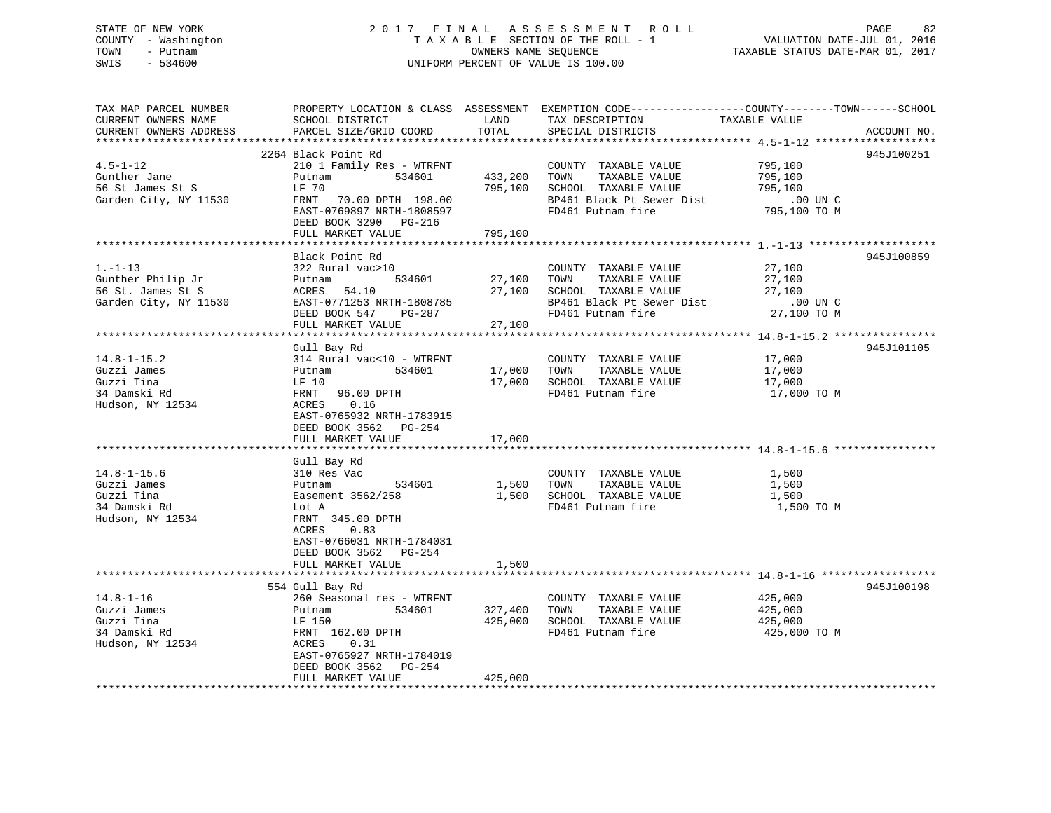# STATE OF NEW YORK 2 0 1 7 F I N A L A S S E S S M E N T R O L L PAGE 82 COUNTY - Washington T A X A B L E SECTION OF THE ROLL - 1 VALUATION DATE-JUL 01, 2016 TOWN - Putnam OWNERS NAME SEQUENCE TAXABLE STATUS DATE-MAR 01, 2017 SWIS - 534600 UNIFORM PERCENT OF VALUE IS 100.00

| TAX MAP PARCEL NUMBER  |                           |         | PROPERTY LOCATION & CLASS ASSESSMENT EXEMPTION CODE----------------COUNTY-------TOWN-----SCHOOL |                       |             |
|------------------------|---------------------------|---------|-------------------------------------------------------------------------------------------------|-----------------------|-------------|
| CURRENT OWNERS NAME    | SCHOOL DISTRICT           | LAND    | TAX DESCRIPTION                                                                                 | TAXABLE VALUE         |             |
| CURRENT OWNERS ADDRESS | PARCEL SIZE/GRID COORD    | TOTAL   | SPECIAL DISTRICTS                                                                               |                       | ACCOUNT NO. |
|                        |                           |         |                                                                                                 |                       |             |
|                        | 2264 Black Point Rd       |         |                                                                                                 |                       | 945J100251  |
| $4.5 - 1 - 12$         | 210 1 Family Res - WTRFNT |         | COUNTY TAXABLE VALUE                                                                            | 795,100               |             |
| Gunther Jane           | 534601<br>Putnam          | 433,200 | TOWN<br>TAXABLE VALUE                                                                           | 795,100               |             |
| 56 St James St S       | LF 70                     | 795,100 | SCHOOL TAXABLE VALUE                                                                            | 795,100               |             |
|                        |                           |         |                                                                                                 |                       |             |
| Garden City, NY 11530  | FRNT 70.00 DPTH 198.00    |         | BP461 Black Pt Sewer Dist                                                                       | .00 UN C              |             |
|                        | EAST-0769897 NRTH-1808597 |         | FD461 Putnam fire                                                                               | 795,100 TO M          |             |
|                        | DEED BOOK 3290 PG-216     |         |                                                                                                 |                       |             |
|                        | FULL MARKET VALUE         | 795,100 |                                                                                                 |                       |             |
|                        |                           |         |                                                                                                 |                       |             |
|                        | Black Point Rd            |         |                                                                                                 |                       | 945J100859  |
| $1.-1-13$              | 322 Rural vac>10          |         | COUNTY TAXABLE VALUE                                                                            | 27,100                |             |
| Gunther Philip Jr      | 534601<br>Putnam          | 27,100  | TOWN TAXABLE VALUE                                                                              | 27,100                |             |
| 56 St. James St S      | ACRES 54.10               | 27,100  | SCHOOL TAXABLE VALUE                                                                            | 27,100                |             |
| Garden City, NY 11530  | EAST-0771253 NRTH-1808785 |         | BP461 Black Pt Sewer Dist                                                                       | $.00$ UN C            |             |
|                        | DEED BOOK 547 PG-287      |         | FD461 Putnam fire                                                                               | 27,100 TO M           |             |
|                        | FULL MARKET VALUE         | 27,100  |                                                                                                 |                       |             |
|                        |                           |         |                                                                                                 |                       |             |
|                        | Gull Bay Rd               |         |                                                                                                 |                       | 945J101105  |
| $14.8 - 1 - 15.2$      | 314 Rural vac<10 - WTRFNT |         | COUNTY TAXABLE VALUE                                                                            | 17,000                |             |
| Guzzi James            | 534601<br>Putnam          | 17,000  | TOWN TAXABLE VALUE                                                                              | 17,000                |             |
| Guzzi Tina             | LF 10                     | 17,000  | SCHOOL TAXABLE VALUE                                                                            |                       |             |
| 34 Damski Rd           | FRNT 96.00 DPTH           |         |                                                                                                 | 17,000<br>17,000 TO M |             |
|                        |                           |         | FD461 Putnam fire                                                                               |                       |             |
| Hudson, NY 12534       | ACRES 0.16                |         |                                                                                                 |                       |             |
|                        | EAST-0765932 NRTH-1783915 |         |                                                                                                 |                       |             |
|                        | DEED BOOK 3562 PG-254     |         |                                                                                                 |                       |             |
|                        | FULL MARKET VALUE         | 17,000  |                                                                                                 |                       |             |
|                        |                           |         |                                                                                                 |                       |             |
|                        | Gull Bay Rd               |         |                                                                                                 |                       |             |
| $14.8 - 1 - 15.6$      | 310 Res Vac               |         | COUNTY TAXABLE VALUE                                                                            | 1,500                 |             |
| Guzzi James            | Putnam 534601             |         | 1,500 TOWN TAXABLE VALUE                                                                        | 1,500                 |             |
| Guzzi Tina             | Easement 3562/258         |         | 1,500 SCHOOL TAXABLE VALUE                                                                      | 1,500                 |             |
| 34 Damski Rd           | Lot A                     |         | FD461 Putnam fire                                                                               | 1,500 TO M            |             |
| Hudson, NY 12534       | FRNT 345.00 DPTH          |         |                                                                                                 |                       |             |
|                        | 0.83<br>ACRES             |         |                                                                                                 |                       |             |
|                        | EAST-0766031 NRTH-1784031 |         |                                                                                                 |                       |             |
|                        | DEED BOOK 3562 PG-254     |         |                                                                                                 |                       |             |
|                        | FULL MARKET VALUE         | 1,500   |                                                                                                 |                       |             |
|                        |                           |         |                                                                                                 |                       |             |
|                        | 554 Gull Bay Rd           |         |                                                                                                 |                       | 945J100198  |
| $14.8 - 1 - 16$        | 260 Seasonal res - WTRFNT |         | COUNTY TAXABLE VALUE                                                                            | 425,000               |             |
|                        |                           |         |                                                                                                 |                       |             |
| Guzzi James            | Putnam 534601             | 327,400 | TOWN TAXABLE VALUE                                                                              | 425,000<br>425,000    |             |
| Guzzi Tina             | LF 150                    | 425,000 | SCHOOL TAXABLE VALUE                                                                            |                       |             |
| 34 Damski Rd           | FRNT 162.00 DPTH          |         | FD461 Putnam fire                                                                               | 425,000 TO M          |             |
| Hudson, NY 12534       | 0.31<br>ACRES             |         |                                                                                                 |                       |             |
|                        | EAST-0765927 NRTH-1784019 |         |                                                                                                 |                       |             |
|                        | DEED BOOK 3562 PG-254     |         |                                                                                                 |                       |             |
|                        | FULL MARKET VALUE         | 425,000 |                                                                                                 |                       |             |
|                        |                           |         |                                                                                                 |                       |             |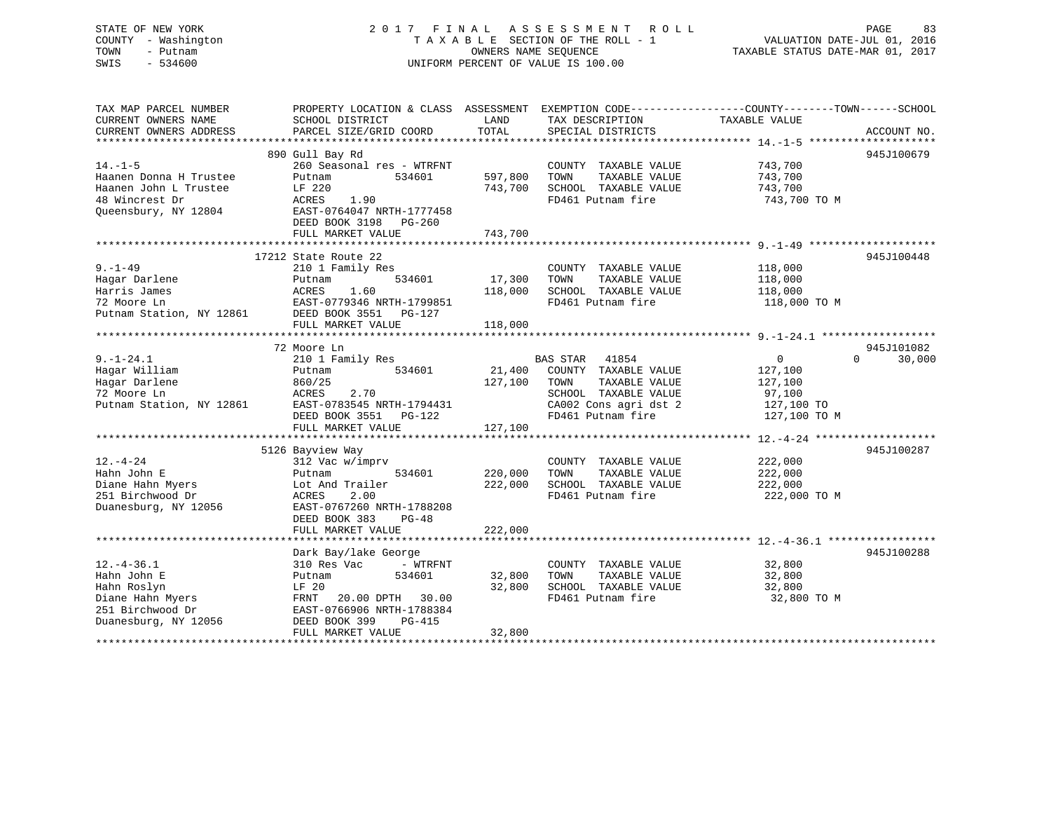# STATE OF NEW YORK 2 0 1 7 F I N A L A S S E S S M E N T R O L L PAGE 83 COUNTY - Washington T A X A B L E SECTION OF THE ROLL - 1 VALUATION DATE-JUL 01, 2016 TOWN - Putnam OWNERS NAME SEQUENCE TAXABLE STATUS DATE-MAR 01, 2017 SWIS - 534600 UNIFORM PERCENT OF VALUE IS 100.00

| TAX MAP PARCEL NUMBER<br>CURRENT OWNERS NAME<br>CURRENT OWNERS ADDRESS                                     | PROPERTY LOCATION & CLASS ASSESSMENT EXEMPTION CODE---------------COUNTY-------TOWN-----SCHOOL<br>SCHOOL DISTRICT<br>PARCEL SIZE/GRID COORD                                           | LAND<br>TOTAL                 | TAX DESCRIPTION<br>SPECIAL DISTRICTS                                                                                                                             | TAXABLE VALUE                                                                | ACCOUNT NO.                      |
|------------------------------------------------------------------------------------------------------------|---------------------------------------------------------------------------------------------------------------------------------------------------------------------------------------|-------------------------------|------------------------------------------------------------------------------------------------------------------------------------------------------------------|------------------------------------------------------------------------------|----------------------------------|
| $14. - 1 - 5$<br>Haanen Donna H Trustee<br>Haanen John L Trustee<br>48 Wincrest Dr<br>Queensbury, NY 12804 | 890 Gull Bay Rd<br>260 Seasonal res - WTRFNT<br>534601<br>Putnam<br>LF 220<br>ACRES<br>1.90<br>EAST-0764047 NRTH-1777458<br>DEED BOOK 3198 PG-260<br>FULL MARKET VALUE                | 597,800<br>743,700<br>743,700 | COUNTY TAXABLE VALUE<br>TAXABLE VALUE<br>TOWN<br>SCHOOL TAXABLE VALUE<br>FD461 Putnam fire                                                                       | 743,700<br>743,700<br>743,700<br>743,700 TO M                                | 945J100679                       |
| $9. - 1 - 49$<br>Hagar Darlene<br>Harris James<br>72 Moore Ln                                              | 17212 State Route 22<br>210 1 Family Res<br>534601<br>Putnam<br>ACRES<br>1.60<br>EAST-0779346 NRTH-1799851<br>Putnam Station, NY 12861 DEED BOOK 3551 PG-127                          | 17,300<br>118,000             | COUNTY TAXABLE VALUE<br>TOWN<br>TAXABLE VALUE<br>SCHOOL TAXABLE VALUE<br>FD461 Putnam fire                                                                       | 118,000<br>118,000<br>118,000<br>118,000 TO M                                | 945J100448                       |
| $9. - 1 - 24.1$<br>Hagar William<br>Hagar Darlene<br>72 Moore Ln<br>Putnam Station, NY 12861               | 72 Moore Ln<br>210 1 Family Res<br>534601<br>Putnam<br>860/25<br>ACRES<br>2.70<br>EAST-0783545 NRTH-1794431<br>DEED BOOK 3551 PG-122                                                  | 21,400<br>127,100             | BAS STAR<br>41854<br>COUNTY TAXABLE VALUE<br>TAXABLE VALUE<br>TOWN<br>SCHOOL TAXABLE VALUE<br>SCHOOL TAXABLE VALUE<br>CA002 Cons agri dst 2<br>FD461 Putnam fire | $\overline{0}$<br>127,100<br>127,100<br>97,100<br>127,100 TO<br>127,100 TO M | 945J101082<br>$\Omega$<br>30,000 |
| $12. - 4 - 24$<br>Hahn John E<br>Diane Hahn Myers<br>251 Birchwood Dr<br>Duanesburg, NY 12056              | 5126 Bayview Way<br>312 Vac w/imprv<br>Putnam<br>534601<br>Lot And Trailer<br>ACRES<br>2.00<br>EAST-0767260 NRTH-1788208<br>$PG-48$<br>DEED BOOK 383<br>FULL MARKET VALUE             | 220,000<br>222,000<br>222,000 | COUNTY TAXABLE VALUE<br>TAXABLE VALUE<br>TOWN<br>SCHOOL TAXABLE VALUE<br>FD461 Putnam fire                                                                       | 222,000<br>222,000<br>222,000<br>222,000 TO M                                | 945J100287                       |
| $12.-4-36.1$<br>Hahn John E<br>Hahn Roslyn<br>Diane Hahn Myers<br>251 Birchwood Dr<br>Duanesburg, NY 12056 | Dark Bay/lake George<br>310 Res Vac<br>- WTRFNT<br>534601<br>Putnam<br>LF 20<br>FRNT<br>20.00 DPTH 30.00<br>EAST-0766906 NRTH-1788384<br>DEED BOOK 399<br>PG-415<br>FULL MARKET VALUE | 32,800<br>32,800<br>32,800    | COUNTY TAXABLE VALUE<br>TOWN<br>TAXABLE VALUE<br>SCHOOL TAXABLE VALUE<br>FD461 Putnam fire                                                                       | 32,800<br>32,800<br>32,800<br>32,800 TO M                                    | 945J100288                       |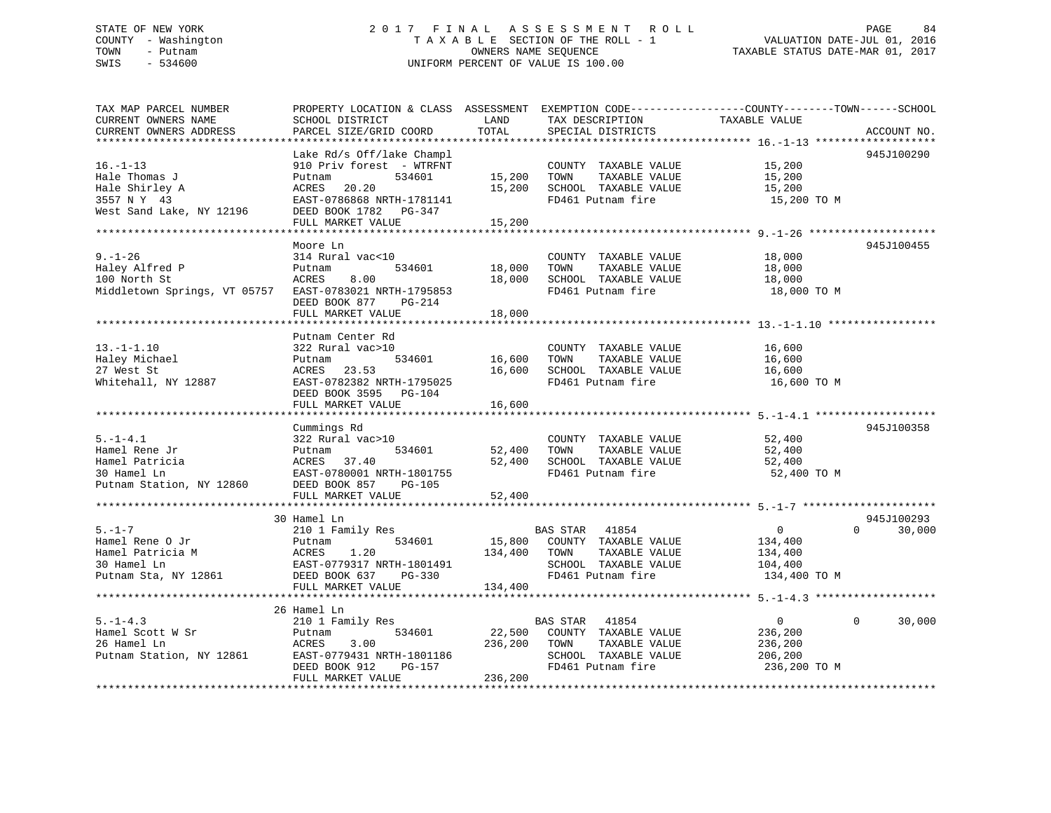# STATE OF NEW YORK 2 0 1 7 F I N A L A S S E S S M E N T R O L L PAGE 84 COUNTY - Washington T A X A B L E SECTION OF THE ROLL - 1 VALUATION DATE-JUL 01, 2016 TOWN - Putnam OWNERS NAME SEQUENCE TAXABLE STATUS DATE-MAR 01, 2017 SWIS - 534600 UNIFORM PERCENT OF VALUE IS 100.00

| TAX MAP PARCEL NUMBER                                  | PROPERTY LOCATION & CLASS ASSESSMENT EXEMPTION CODE----------------COUNTY-------TOWN------SCHOOL |              |                             |                |                    |
|--------------------------------------------------------|--------------------------------------------------------------------------------------------------|--------------|-----------------------------|----------------|--------------------|
| CURRENT OWNERS NAME                                    | SCHOOL DISTRICT                                                                                  | LAND         | TAX DESCRIPTION             | TAXABLE VALUE  |                    |
| CURRENT OWNERS ADDRESS                                 | PARCEL SIZE/GRID COORD                                                                           | TOTAL        | SPECIAL DISTRICTS           |                | ACCOUNT NO.        |
|                                                        |                                                                                                  |              |                             |                |                    |
|                                                        | Lake Rd/s Off/lake Champl                                                                        |              |                             |                | 945J100290         |
| $16. - 1 - 13$                                         | 910 Priv forest - WTRFNT                                                                         |              | COUNTY TAXABLE VALUE        | 15,200         |                    |
| Hale Thomas J                                          | 534601<br>Putnam                                                                                 | 15,200       | TOWN<br>TAXABLE VALUE       | 15,200         |                    |
| Hale Shirley A                                         | 20.20<br>ACRES                                                                                   | 15,200       | SCHOOL TAXABLE VALUE        | 15,200         |                    |
| 3557 N Y 43                                            | EAST-0786868 NRTH-1781141                                                                        |              | FD461 Putnam fire           | 15,200 TO M    |                    |
| West Sand Lake, NY 12196                               | DEED BOOK 1782 PG-347                                                                            |              |                             |                |                    |
|                                                        | FULL MARKET VALUE                                                                                | 15,200       |                             |                |                    |
|                                                        |                                                                                                  |              |                             |                |                    |
|                                                        | Moore Ln                                                                                         |              |                             |                | 945J100455         |
| $9. - 1 - 26$                                          | 314 Rural vac<10                                                                                 |              | COUNTY TAXABLE VALUE        | 18,000         |                    |
| Haley Alfred P                                         | 534601<br>Putnam                                                                                 | 18,000       | TAXABLE VALUE<br>TOWN       | 18,000         |                    |
| 100 North St                                           | 8.00<br>ACRES                                                                                    | 18,000       | SCHOOL TAXABLE VALUE        | 18,000         |                    |
|                                                        |                                                                                                  |              | FD461 Putnam fire           |                |                    |
| Middletown Springs, VT 05757                           | EAST-0783021 NRTH-1795853                                                                        |              |                             | 18,000 TO M    |                    |
|                                                        | DEED BOOK 877 PG-214                                                                             |              |                             |                |                    |
|                                                        | FULL MARKET VALUE                                                                                | 18,000       |                             |                |                    |
|                                                        |                                                                                                  |              |                             |                |                    |
|                                                        | Putnam Center Rd                                                                                 |              |                             |                |                    |
| $13.-1-1.10$                                           | 322 Rural vac>10                                                                                 |              | COUNTY TAXABLE VALUE        | 16,600         |                    |
| Haley Michael                                          | 534601<br>Putnam                                                                                 | 16,600       | TAXABLE VALUE<br>TOWN       | 16,600         |                    |
| 27 West St                                             | ACRES<br>23.53                                                                                   | 16,600       | SCHOOL TAXABLE VALUE        | 16,600         |                    |
| Whitehall, NY 12887                                    | EAST-0782382 NRTH-1795025                                                                        |              | FD461 Putnam fire           | 16,600 TO M    |                    |
|                                                        | DEED BOOK 3595 PG-104                                                                            |              |                             |                |                    |
|                                                        | FULL MARKET VALUE                                                                                | 16,600       |                             |                |                    |
|                                                        |                                                                                                  |              |                             |                |                    |
|                                                        | Cummings Rd                                                                                      |              |                             |                | 945J100358         |
| $5. - 1 - 4.1$                                         | 322 Rural vac>10                                                                                 |              | COUNTY TAXABLE VALUE 52,400 |                |                    |
| Hamel Rene Jr                                          | 534601                                                                                           | 52,400       | TAXABLE VALUE<br>TOWN       | 52,400         |                    |
| Hamel Patricia                                         | Putnam 534601<br>ACRES 37.40<br>EAST-0780001 NRTH-1801755                                        | 52,400       | SCHOOL TAXABLE VALUE        | 52,400         |                    |
| 30 Hamel Ln                                            |                                                                                                  |              | FD461 Putnam fire           | 52,400 TO M    |                    |
| Putnam Station, NY 12860 DEED BOOK 857 PG-105          |                                                                                                  |              |                             |                |                    |
|                                                        | FULL MARKET VALUE                                                                                | 52,400       |                             |                |                    |
|                                                        |                                                                                                  |              |                             |                |                    |
|                                                        | 30 Hamel Ln                                                                                      |              |                             |                | 945J100293         |
| $5. - 1 - 7$                                           | 210 1 Family Res                                                                                 |              | BAS STAR 41854              | $\overline{0}$ | $\Omega$<br>30,000 |
| Hamel Rene O Jr                                        | 534601<br>Putnam                                                                                 |              | 15,800 COUNTY TAXABLE VALUE | 134,400        |                    |
| Hamel Patricia M                                       | 1.20<br>ACRES                                                                                    | 134,400 TOWN | TAXABLE VALUE               | 134,400        |                    |
| 30 Hamel Ln                                            | EAST-0779317 NRTH-1801491                                                                        |              | SCHOOL TAXABLE VALUE        | 104,400        |                    |
| Putnam Sta, NY 12861                                   | DEED BOOK 637 PG-330                                                                             |              | FD461 Putnam fire           | 134,400 TO M   |                    |
|                                                        | FULL MARKET VALUE                                                                                | 134,400      |                             |                |                    |
|                                                        |                                                                                                  |              |                             |                |                    |
|                                                        |                                                                                                  |              |                             |                |                    |
|                                                        | 26 Hamel Ln                                                                                      |              |                             |                | $\mathbf 0$        |
| $5. - 1 - 4.3$                                         | 210 1 Family Res                                                                                 |              | BAS STAR 41854              | $\overline{0}$ | 30,000             |
| Hamel Scott W Sr                                       | 534601<br>Putnam                                                                                 |              | 22,500 COUNTY TAXABLE VALUE | 236,200        |                    |
| 26 Hamel Ln<br>26 Hamel Ln<br>Putnam Station, NY 12861 | 3.00<br>ACRES                                                                                    | 236,200 TOWN | TAXABLE VALUE               | 236,200        |                    |
|                                                        | EAST-0779431 NRTH-1801186<br>PAST-0779431 NRTH-1801186                                           |              | SCHOOL TAXABLE VALUE        | 206,200        |                    |
|                                                        | DEED BOOK 912                                                                                    |              | FD461 Putnam fire           | 236,200 TO M   |                    |
|                                                        | FULL MARKET VALUE                                                                                | 236,200      |                             |                |                    |
|                                                        |                                                                                                  |              |                             |                |                    |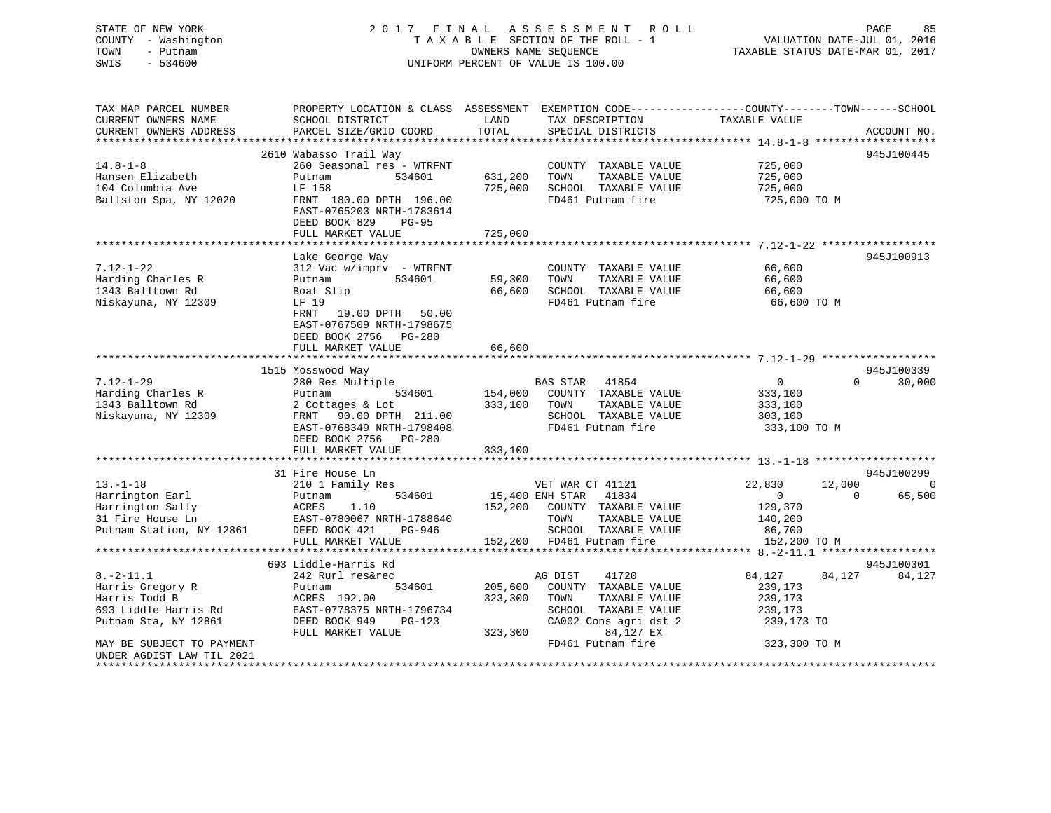# STATE OF NEW YORK 2 0 1 7 F I N A L A S S E S S M E N T R O L L PAGE 85COUNTY - Washington  $T A X A B L E$  SECTION OF THE ROLL - 1<br>TOWN - Putnam data of the COUNTERS NAME SEQUENCE SWIS - 534600 UNIFORM PERCENT OF VALUE IS 100.00

VALUATION DATE-JUL 01, 2016

TAXABLE STATUS DATE-MAR 01, 2017

| TAX MAP PARCEL NUMBER     | PROPERTY LOCATION & CLASS ASSESSMENT EXEMPTION CODE----------------COUNTY-------TOWN------SCHOOL             |              |                                   |                                           |                          |
|---------------------------|--------------------------------------------------------------------------------------------------------------|--------------|-----------------------------------|-------------------------------------------|--------------------------|
| CURRENT OWNERS NAME       | SCHOOL DISTRICT                                                                                              | LAND         | TAX DESCRIPTION                   | TAXABLE VALUE                             |                          |
| CURRENT OWNERS ADDRESS    | PARCEL SIZE/GRID COORD                                                                                       | TOTAL        | SPECIAL DISTRICTS                 |                                           | ACCOUNT NO.              |
|                           |                                                                                                              |              |                                   |                                           |                          |
|                           | 2610 Wabasso Trail Way                                                                                       |              |                                   |                                           | 945J100445               |
| $14.8 - 1 - 8$            | 260 Seasonal res - WTRFNT                                                                                    |              | COUNTY TAXABLE VALUE              | 725,000                                   |                          |
| Hansen Elizabeth          | 534601<br>Putnam                                                                                             | 631,200      | TAXABLE VALUE<br>TOWN             | 725,000                                   |                          |
| 104 Columbia Ave          | LF 158                                                                                                       | 725,000      | SCHOOL TAXABLE VALUE              | 725,000                                   |                          |
| Ballston Spa, NY 12020    | FRNT 180.00 DPTH 196.00                                                                                      |              | FD461 Putnam fire                 | 725,000 TO M                              |                          |
|                           | EAST-0765203 NRTH-1783614                                                                                    |              |                                   |                                           |                          |
|                           | DEED BOOK 829<br>$PG-95$                                                                                     |              |                                   |                                           |                          |
|                           | FULL MARKET VALUE                                                                                            | 725,000      |                                   |                                           |                          |
|                           |                                                                                                              |              |                                   |                                           |                          |
|                           | Lake George Way                                                                                              |              |                                   |                                           | 945J100913               |
| $7.12 - 1 - 22$           | $312$ Vac w/imprv - WTRFNT                                                                                   |              | COUNTY TAXABLE VALUE              | 66,600                                    |                          |
| Harding Charles R         | Putnam<br>534601                                                                                             | 59,300 TOWN  | TAXABLE VALUE                     | 66,600                                    |                          |
| 1343 Balltown Rd          | Boat Slip                                                                                                    | 66,600       | SCHOOL TAXABLE VALUE              | 66,600                                    |                          |
| Niskayuna, NY 12309       | LF 19                                                                                                        |              | FD461 Putnam fire                 | 66,600 TO M                               |                          |
|                           | FRNT 19.00 DPTH 50.00                                                                                        |              |                                   |                                           |                          |
|                           | EAST-0767509 NRTH-1798675                                                                                    |              |                                   |                                           |                          |
|                           |                                                                                                              |              |                                   |                                           |                          |
|                           | DEED BOOK 2756 PG-280                                                                                        |              |                                   |                                           |                          |
|                           | FULL MARKET VALUE                                                                                            | 66,600       |                                   |                                           |                          |
|                           |                                                                                                              |              |                                   |                                           |                          |
|                           | 1515 Mosswood Way                                                                                            |              |                                   |                                           | 945J100339               |
| $7.12 - 1 - 29$           | 280 Res Multiple                                                                                             |              | BAS STAR 41854                    | $\overline{0}$                            | $\Omega$<br>30,000       |
| Harding Charles R         | 534601<br>Putnam                                                                                             |              | 154,000 COUNTY TAXABLE VALUE      | 333,100                                   |                          |
| 1343 Balltown Rd          | 2 Cottages & Lot                                                                                             | 333,100 TOWN | TAXABLE VALUE                     | 333,100                                   |                          |
| Niskayuna, NY 12309       | FRNT 90.00 DPTH 211.00                                                                                       |              | SCHOOL TAXABLE VALUE              | 303,100                                   |                          |
|                           | EAST-0768349 NRTH-1798408                                                                                    |              | FD461 Putnam fire                 | 333,100 TO M                              |                          |
|                           | DEED BOOK 2756 PG-280                                                                                        |              |                                   |                                           |                          |
|                           | FULL MARKET VALUE                                                                                            | 333,100      |                                   |                                           |                          |
|                           |                                                                                                              |              |                                   |                                           |                          |
|                           | 31 Fire House Ln                                                                                             |              |                                   |                                           | 945J100299               |
| $13.-1-18$                | 210 1 Family Res                                                                                             |              | VET WAR CT 41121                  | 22,830                                    | 12,000<br>0              |
| Harrington Earl           | 534601<br>Putnam                                                                                             |              | 15,400 ENH STAR 41834             | $\overline{0}$                            | $\overline{0}$<br>65,500 |
|                           | Harrington Sally<br>31 Fire House Ln<br>31 Fire House Ln<br>21 Fire House Ln<br>22 EAST-0780067 NRTH-1788640 |              | 152,200 COUNTY TAXABLE VALUE      | 129,370                                   |                          |
|                           |                                                                                                              |              | TOWN<br>TAXABLE VALUE             | 140,200                                   |                          |
| Putnam Station, NY 12861  | DEED BOOK 421<br>PG-946                                                                                      |              | SCHOOL TAXABLE VALUE              | 86,700                                    |                          |
|                           | FULL MARKET VALUE                                                                                            |              | 152,200 FD461 Putnam fire         | 152,200 TO M                              |                          |
|                           | *****************************                                                                                |              | ********************************* | *********** 8.-2-11.1 ******************* |                          |
|                           | 693 Liddle-Harris Rd                                                                                         |              |                                   |                                           | 945J100301               |
| $8. - 2 - 11.1$           | 242 Rurl res&rec                                                                                             |              | 41720<br>AG DIST                  | 84,127                                    | 84,127<br>84,127         |
| Harris Gregory R          | 534601<br>Putnam                                                                                             |              | 205,600 COUNTY TAXABLE VALUE      | 239,173                                   |                          |
| Harris Todd B             | ACRES 192.00                                                                                                 | 323,300      | TOWN<br>TAXABLE VALUE             | 239,173                                   |                          |
| 693 Liddle Harris Rd      | EAST-0778375 NRTH-1796734                                                                                    |              | SCHOOL TAXABLE VALUE              | 239,173                                   |                          |
| Putnam Sta, NY 12861      | DEED BOOK 949<br>PG-123                                                                                      |              | CA002 Cons agri dst 2             | 239,173 TO                                |                          |
|                           | FULL MARKET VALUE                                                                                            | 323,300      | 84,127 EX                         |                                           |                          |
| MAY BE SUBJECT TO PAYMENT |                                                                                                              |              | FD461 Putnam fire                 | 323,300 TO M                              |                          |
| UNDER AGDIST LAW TIL 2021 |                                                                                                              |              |                                   |                                           |                          |
|                           |                                                                                                              |              |                                   |                                           |                          |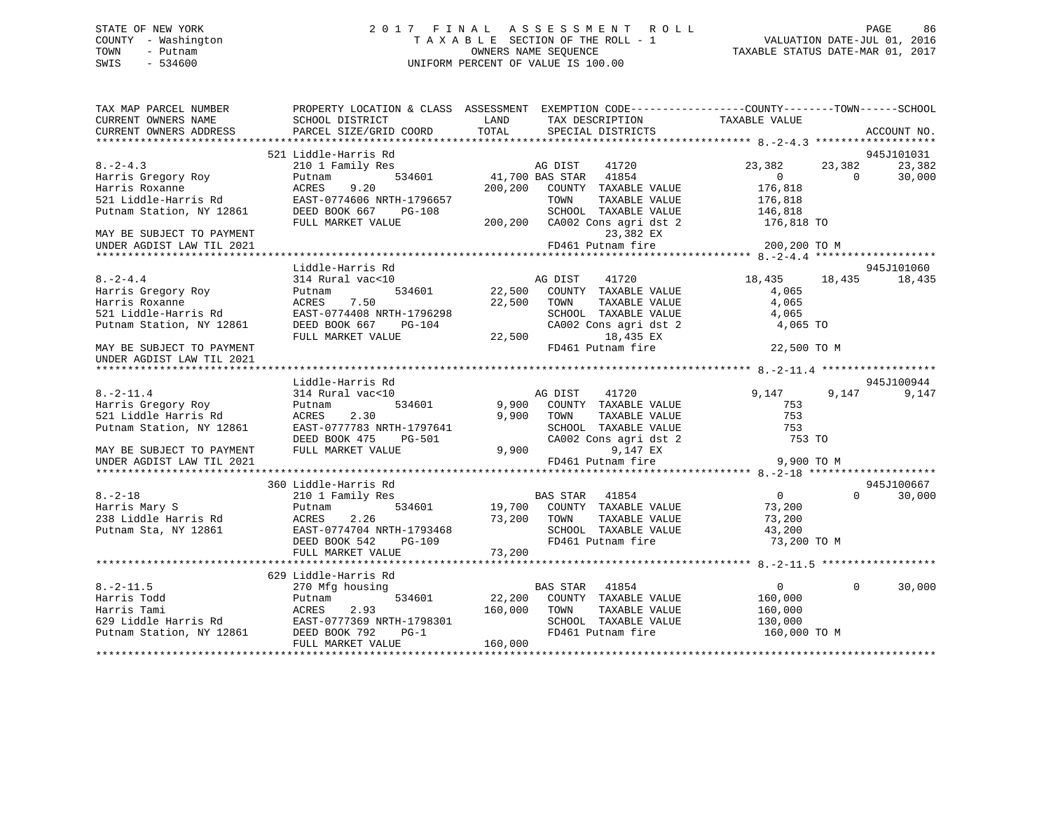#### STATE OF NEW YORK 2 0 1 7 F I N A L A S S E S S M E N T R O L L PAGE 86COUNTY - Washington T A X A B L E SECTION OF THE ROLL - 1 TOWN - Putnam **CONNERS NAME SEQUENCE** TAXABLE STATUS DATE-MAR 01, 2017 SWIS - 534600 UNIFORM PERCENT OF VALUE IS 100.00

| TAX MAP PARCEL NUMBER<br>CURRENT OWNERS NAME<br>CURRENT OWNERS ADDRESS | SCHOOL DISTRICT<br>PARCEL SIZE/GRID COORD | PROPERTY LOCATION & CLASS ASSESSMENT EXEMPTION CODE----------------COUNTY-------TOWN------SCHOOL<br>LAND<br>TAX DESCRIPTION<br>TOTAL<br>SPECIAL DISTRICTS | TAXABLE VALUE<br>ACCOUNT NO.         |
|------------------------------------------------------------------------|-------------------------------------------|-----------------------------------------------------------------------------------------------------------------------------------------------------------|--------------------------------------|
|                                                                        |                                           |                                                                                                                                                           |                                      |
|                                                                        | 521 Liddle-Harris Rd                      | 1<br>3<br>534601 11,700 BAS STAR 41854                                                                                                                    | 945J101031                           |
| $8. -2 - 4.3$                                                          | 210 1 Family Res                          |                                                                                                                                                           | 23,382<br>23,382<br>23,382           |
| Harris Gregory Roy                                                     | Putnam                                    |                                                                                                                                                           | 30,000<br>$\overline{0}$<br>$\Omega$ |
| Harris Roxanne                                                         | 9.20<br>ACRES                             | 200,200 COUNTY TAXABLE VALUE<br>TAXABLE VALUE<br>TOWN                                                                                                     | 176,818<br>176,818                   |
|                                                                        |                                           | SCHOOL TAXABLE VALUE                                                                                                                                      | 146,818                              |
|                                                                        | FULL MARKET VALUE                         | 200,200 CA002 Cons agri dst 2                                                                                                                             | 176,818 TO                           |
| MAY BE SUBJECT TO PAYMENT                                              |                                           | 23,382 EX                                                                                                                                                 |                                      |
| UNDER AGDIST LAW TIL 2021                                              |                                           | FD461 Putnam fire                                                                                                                                         | 200,200 TO M                         |
|                                                                        |                                           |                                                                                                                                                           |                                      |
|                                                                        | Liddle-Harris Rd                          |                                                                                                                                                           | 945J101060                           |
| $8. - 2 - 4.4$                                                         | 314 Rural vac<10                          |                                                                                                                                                           | 18,435 18,435<br>18,435              |
| Harris Gregory Roy                                                     | 534601<br>Putnam                          | AG DIST 41720<br>22,500 COUNTY TAXABLE VALUE                                                                                                              | 4,065                                |
| Harris Roxanne                                                         | 7.50<br>ACRES                             | 22,500 TOWN<br>TAXABLE VALUE                                                                                                                              | 4,065                                |
| 521 Liddle-Harris Rd                                                   | EAST-0774408 NRTH-1796298                 | SCHOOL TAXABLE VALUE                                                                                                                                      | 4,065                                |
| Putnam Station, NY 12861                                               | DEED BOOK 667 PG-104                      | CA002 Cons agri dst 2                                                                                                                                     | 4,065 TO                             |
|                                                                        | FULL MARKET VALUE                         | 18,435 EX<br>22,500                                                                                                                                       |                                      |
| MAY BE SUBJECT TO PAYMENT                                              |                                           | FD461 Putnam fire                                                                                                                                         | 22,500 TO M                          |
| UNDER AGDIST LAW TIL 2021                                              |                                           |                                                                                                                                                           |                                      |
|                                                                        |                                           |                                                                                                                                                           |                                      |
|                                                                        | Liddle-Harris Rd                          |                                                                                                                                                           | 945J100944                           |
| $8. - 2 - 11.4$                                                        | 314 Rural vac<10                          | AG DIST<br>41720                                                                                                                                          | 9,147<br>9,147<br>9,147              |
| Harris Gregory Roy<br>521 Liddle Harris Rd                             | Putnam<br>534601<br>2.30<br>ACRES         | 9,900 COUNTY TAXABLE VALUE<br>9,900 TOWN<br>TAXABLE VALUE                                                                                                 | 753<br>753                           |
| Putnam Station, NY 12861                                               | EAST-0777783 NRTH-1797641                 | SCHOOL TAXABLE VALUE                                                                                                                                      | 753                                  |
|                                                                        | DEED BOOK 475<br>PG-501                   | CA002 Cons agri dst 2                                                                                                                                     | 753 TO                               |
| MAY BE SUBJECT TO PAYMENT                                              | FULL MARKET VALUE                         | 9,900<br>9,147 EX                                                                                                                                         |                                      |
| UNDER AGDIST LAW TIL 2021                                              |                                           | FD461 Putnam fire                                                                                                                                         | 9,900 TO M                           |
|                                                                        |                                           |                                                                                                                                                           |                                      |
|                                                                        | 360 Liddle-Harris Rd                      |                                                                                                                                                           | 945J100667                           |
| $8. - 2 - 18$                                                          | 210 1 Family Res                          | BAS STAR 41854                                                                                                                                            | $\overline{0}$<br>$\Omega$<br>30,000 |
| Harris Mary S                                                          | Putnam<br>534601                          | 19,700 COUNTY TAXABLE VALUE                                                                                                                               | 73,200                               |
| 238 Liddle Harris Rd                                                   | 2.26<br>ACRES                             | TAXABLE VALUE                                                                                                                                             | 73,200                               |
| Putnam Sta, NY 12861                                                   | EAST-0774704 NRTH-1793468                 | SCHOOL TAXABLE VALUE                                                                                                                                      | 43,200                               |
|                                                                        | DEED BOOK 542<br>PG-109                   | COUNTY<br>73,200 TOWN<br>SCHOOL<br>FD461 Pu<br>FD461 Putnam fire                                                                                          | 73,200 TO M                          |
|                                                                        | FULL MARKET VALUE                         | 73,200                                                                                                                                                    |                                      |
|                                                                        |                                           |                                                                                                                                                           |                                      |
|                                                                        | 629 Liddle-Harris Rd                      |                                                                                                                                                           |                                      |
| $8. - 2 - 11.5$                                                        | 270 Mfg housing                           | BAS STAR 41854                                                                                                                                            | $\overline{0}$<br>30,000<br>$\Omega$ |
| Harris Todd                                                            | 534601<br>Putnam                          | 22,200 COUNTY TAXABLE VALUE                                                                                                                               | 160,000                              |
|                                                                        |                                           | 160,000 TOWN<br>TAXABLE VALUE                                                                                                                             | 160,000                              |
|                                                                        | EAST-0777369 NRTH-1798301                 | SCHOOL TAXABLE VALUE                                                                                                                                      | 130,000                              |
|                                                                        | $PG-1$                                    | FD461 Putnam fire                                                                                                                                         | 160,000 TO M                         |
|                                                                        | FULL MARKET VALUE                         | 160,000                                                                                                                                                   |                                      |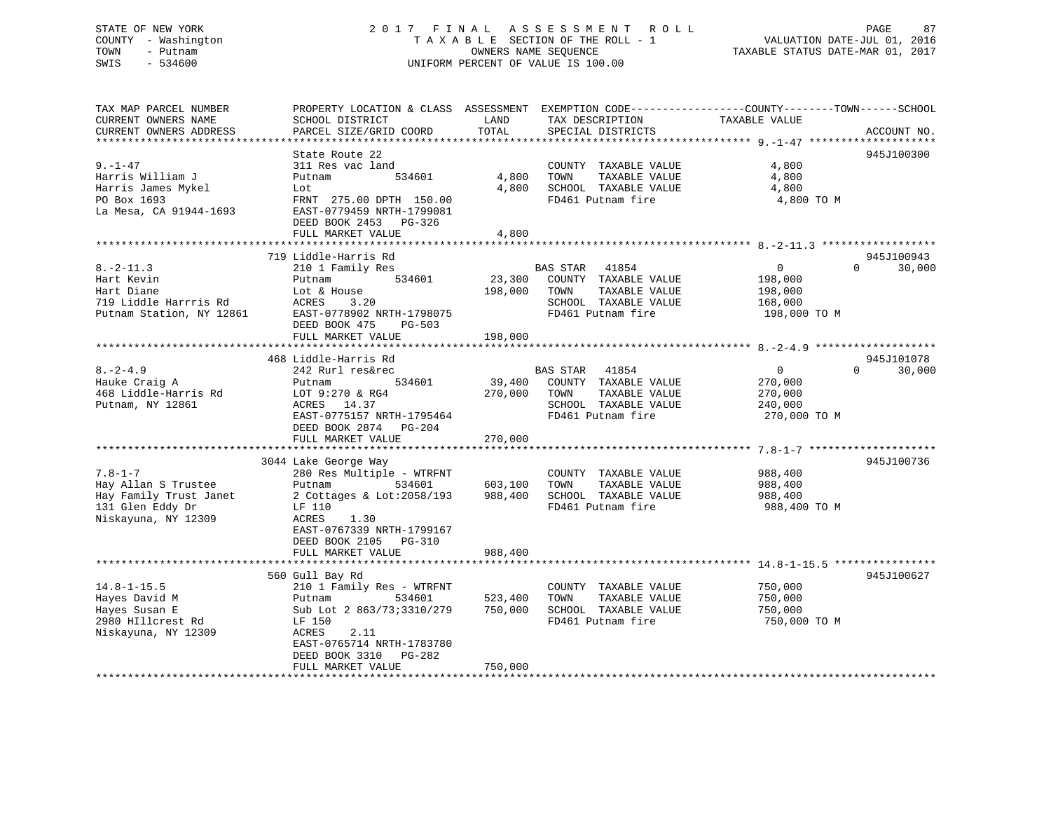# STATE OF NEW YORK 2 0 1 7 F I N A L A S S E S S M E N T R O L L PAGE 87 COUNTY - Washington T A X A B L E SECTION OF THE ROLL - 1 VALUATION DATE-JUL 01, 2016 TOWN - Putnam OWNERS NAME SEQUENCE TAXABLE STATUS DATE-MAR 01, 2017 SWIS - 534600 UNIFORM PERCENT OF VALUE IS 100.00

| TAX MAP PARCEL NUMBER<br>CURRENT OWNERS NAME<br>CURRENT OWNERS ADDRESS                                    | PROPERTY LOCATION & CLASS ASSESSMENT EXEMPTION CODE----------------COUNTY-------TOWN------SCHOOL<br>SCHOOL DISTRICT<br>PARCEL SIZE/GRID COORD                                                             | LAND<br>TOTAL                 | TAX DESCRIPTION<br>SPECIAL DISTRICTS                                                                         | TAXABLE VALUE                                                               | ACCOUNT NO. |
|-----------------------------------------------------------------------------------------------------------|-----------------------------------------------------------------------------------------------------------------------------------------------------------------------------------------------------------|-------------------------------|--------------------------------------------------------------------------------------------------------------|-----------------------------------------------------------------------------|-------------|
| $9. - 1 - 47$                                                                                             | State Route 22<br>311 Res vac land                                                                                                                                                                        |                               | COUNTY TAXABLE VALUE                                                                                         | 4,800                                                                       | 945J100300  |
| Harris William J<br>Harris James Mykel<br>PO Box 1693<br>La Mesa, CA 91944-1693                           | 534601<br>Putnam<br>Lot<br>FRNT 275.00 DPTH 150.00<br>EAST-0779459 NRTH-1799081<br>DEED BOOK 2453 PG-326                                                                                                  | 4,800<br>4,800                | TOWN<br>TAXABLE VALUE<br>SCHOOL TAXABLE VALUE<br>FD461 Putnam fire                                           | 4,800<br>4,800<br>4,800 TO M                                                |             |
|                                                                                                           | FULL MARKET VALUE                                                                                                                                                                                         | 4,800                         |                                                                                                              |                                                                             |             |
|                                                                                                           | 719 Liddle-Harris Rd                                                                                                                                                                                      |                               |                                                                                                              |                                                                             | 945J100943  |
| $8. -2 - 11.3$<br>Hart Kevin<br>Hart Diane<br>719 Liddle Harrris Rd<br>Putnam Station, NY 12861           | 210 1 Family Res<br>Putnam<br>534601<br>Lot & House<br>ACRES<br>3.20<br>EAST-0778902 NRTH-1798075<br>DEED BOOK 475<br>$PG-503$                                                                            | 23,300<br>198,000             | BAS STAR 41854<br>COUNTY TAXABLE VALUE<br>TOWN<br>TAXABLE VALUE<br>SCHOOL TAXABLE VALUE<br>FD461 Putnam fire | $\overline{0}$<br>$\Omega$<br>198,000<br>198,000<br>168,000<br>198,000 TO M | 30,000      |
|                                                                                                           | FULL MARKET VALUE                                                                                                                                                                                         | 198,000                       |                                                                                                              |                                                                             |             |
|                                                                                                           |                                                                                                                                                                                                           |                               |                                                                                                              |                                                                             |             |
|                                                                                                           | 468 Liddle-Harris Rd                                                                                                                                                                                      |                               |                                                                                                              |                                                                             | 945J101078  |
| $8. - 2 - 4.9$<br>Hauke Craig A<br>468 Liddle-Harris Rd<br>Putnam, NY 12861                               | 242 Rurl res&rec<br>534601<br>Putnam<br>LOT 9:270 & RG4<br>ACRES<br>14.37<br>EAST-0775157 NRTH-1795464<br>DEED BOOK 2874 PG-204<br>FULL MARKET VALUE                                                      | 39,400<br>270,000<br>270,000  | BAS STAR 41854<br>COUNTY TAXABLE VALUE<br>TOWN<br>TAXABLE VALUE<br>SCHOOL TAXABLE VALUE<br>FD461 Putnam fire | $\Omega$<br>$\mathbf{0}$<br>270,000<br>270,000<br>240,000<br>270,000 TO M   | 30,000      |
|                                                                                                           |                                                                                                                                                                                                           |                               |                                                                                                              |                                                                             |             |
| $7.8 - 1 - 7$<br>Hay Allan S Trustee<br>Hay Family Trust Janet<br>131 Glen Eddy Dr<br>Niskayuna, NY 12309 | 3044 Lake George Way<br>280 Res Multiple - WTRFNT<br>Putnam<br>534601<br>2 Cottages & Lot: 2058/193<br>LF 110<br>ACRES<br>1.30<br>EAST-0767339 NRTH-1799167<br>DEED BOOK 2105 PG-310<br>FULL MARKET VALUE | 603,100<br>988,400<br>988,400 | COUNTY TAXABLE VALUE<br>TOWN<br>TAXABLE VALUE<br>SCHOOL TAXABLE VALUE<br>FD461 Putnam fire                   | 988,400<br>988,400<br>988,400<br>988,400 TO M                               | 945J100736  |
|                                                                                                           |                                                                                                                                                                                                           |                               |                                                                                                              |                                                                             |             |
| $14.8 - 1 - 15.5$<br>Hayes David M<br>Hayes Susan E<br>2980 HIllcrest Rd<br>Niskayuna, NY 12309           | 560 Gull Bay Rd<br>210 1 Family Res - WTRFNT<br>Putnam<br>534601<br>Sub Lot 2 863/73;3310/279<br>LF 150<br>ACRES<br>2.11<br>EAST-0765714 NRTH-1783780<br>DEED BOOK 3310<br>PG-282                         | 523,400<br>750,000            | COUNTY TAXABLE VALUE<br>TAXABLE VALUE<br>TOWN<br>SCHOOL TAXABLE VALUE<br>FD461 Putnam fire                   | 750,000<br>750,000<br>750,000<br>750,000 TO M                               | 945J100627  |
|                                                                                                           | FULL MARKET VALUE                                                                                                                                                                                         | 750,000                       |                                                                                                              |                                                                             |             |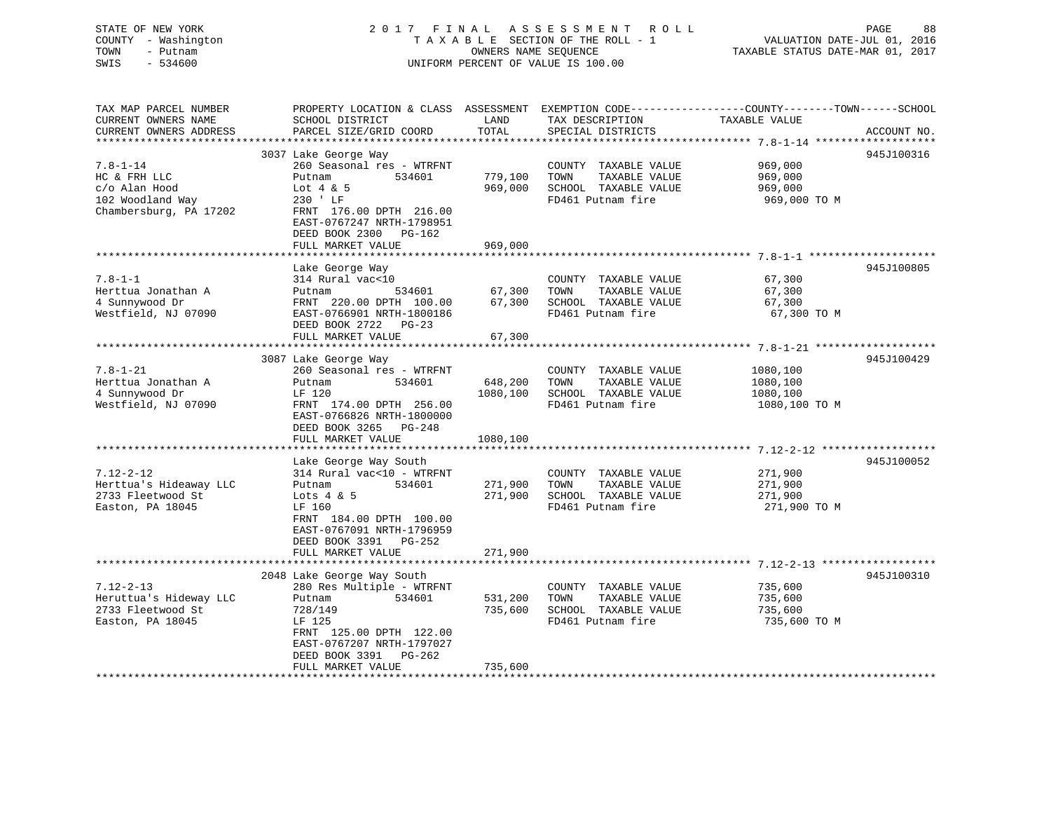# STATE OF NEW YORK 2 0 1 7 F I N A L A S S E S S M E N T R O L L PAGE 88 COUNTY - Washington T A X A B L E SECTION OF THE ROLL - 1 VALUATION DATE-JUL 01, 2016 TOWN - Putnam OWNERS NAME SEQUENCE TAXABLE STATUS DATE-MAR 01, 2017 SWIS - 534600 UNIFORM PERCENT OF VALUE IS 100.00

| TAX MAP PARCEL NUMBER<br>CURRENT OWNERS NAME<br>CURRENT OWNERS ADDRESS                        | PROPERTY LOCATION & CLASS ASSESSMENT<br>SCHOOL DISTRICT<br>PARCEL SIZE/GRID COORD                                                                                                                            | LAND<br>TOTAL                   | TAX DESCRIPTION<br>SPECIAL DISTRICTS                                                       | EXEMPTION CODE-----------------COUNTY-------TOWN------SCHOOL<br>TAXABLE VALUE | ACCOUNT NO. |
|-----------------------------------------------------------------------------------------------|--------------------------------------------------------------------------------------------------------------------------------------------------------------------------------------------------------------|---------------------------------|--------------------------------------------------------------------------------------------|-------------------------------------------------------------------------------|-------------|
| $7.8 - 1 - 14$<br>HC & FRH LLC<br>c/o Alan Hood<br>102 Woodland Way<br>Chambersburg, PA 17202 | 3037 Lake George Way<br>260 Seasonal res - WTRFNT<br>534601<br>Putnam<br>Lot $4 \& 5$<br>230 ' LF<br>FRNT 176.00 DPTH 216.00<br>EAST-0767247 NRTH-1798951<br>DEED BOOK 2300<br>PG-162<br>FULL MARKET VALUE   | 779,100<br>969,000<br>969,000   | COUNTY TAXABLE VALUE<br>TOWN<br>TAXABLE VALUE<br>SCHOOL TAXABLE VALUE<br>FD461 Putnam fire | 969,000<br>969,000<br>969,000<br>969,000 TO M                                 | 945J100316  |
| $7.8 - 1 - 1$<br>Herttua Jonathan A<br>4 Sunnywood Dr<br>Westfield, NJ 07090                  | Lake George Way<br>314 Rural vac<10<br>Putnam<br>534601<br>FRNT 220.00 DPTH 100.00<br>EAST-0766901 NRTH-1800186<br>DEED BOOK 2722 PG-23<br>FULL MARKET VALUE                                                 | 67,300<br>67,300<br>67,300      | COUNTY TAXABLE VALUE<br>TAXABLE VALUE<br>TOWN<br>SCHOOL TAXABLE VALUE<br>FD461 Putnam fire | 67,300<br>67,300<br>67,300<br>67,300 TO M                                     | 945J100805  |
| $7.8 - 1 - 21$<br>Herttua Jonathan A<br>4 Sunnywood Dr<br>Westfield, NJ 07090                 | 3087 Lake George Way<br>260 Seasonal res - WTRFNT<br>534601<br>Putnam<br>LF 120<br>FRNT 174.00 DPTH 256.00<br>EAST-0766826 NRTH-1800000<br>DEED BOOK 3265 PG-248<br>FULL MARKET VALUE                        | 648,200<br>1080,100<br>1080,100 | COUNTY TAXABLE VALUE<br>TAXABLE VALUE<br>TOWN<br>SCHOOL TAXABLE VALUE<br>FD461 Putnam fire | 1080,100<br>1080,100<br>1080,100<br>1080,100 TO M                             | 945J100429  |
| $7.12 - 2 - 12$<br>Herttua's Hideaway LLC<br>2733 Fleetwood St<br>Easton, PA 18045            | Lake George Way South<br>314 Rural vac<10 - WTRFNT<br>Putnam<br>534601<br>Lots $4 \& 5$<br>LF 160<br>FRNT 184.00 DPTH 100.00<br>EAST-0767091 NRTH-1796959<br>DEED BOOK 3391<br>$PG-252$<br>FULL MARKET VALUE | 271,900<br>271,900<br>271,900   | COUNTY TAXABLE VALUE<br>TOWN<br>TAXABLE VALUE<br>SCHOOL TAXABLE VALUE<br>FD461 Putnam fire | 271,900<br>271,900<br>271,900<br>271,900 TO M                                 | 945J100052  |
| $7.12 - 2 - 13$<br>Heruttua's Hideway LLC<br>2733 Fleetwood St<br>Easton, PA 18045            | 2048 Lake George Way South<br>280 Res Multiple - WTRFNT<br>534601<br>Putnam<br>728/149<br>LF 125<br>FRNT 125.00 DPTH 122.00<br>EAST-0767207 NRTH-1797027<br>DEED BOOK 3391<br>$PG-262$<br>FULL MARKET VALUE  | 531,200<br>735,600<br>735,600   | COUNTY TAXABLE VALUE<br>TOWN<br>TAXABLE VALUE<br>SCHOOL TAXABLE VALUE<br>FD461 Putnam fire | 735,600<br>735,600<br>735,600<br>735,600 TO M                                 | 945J100310  |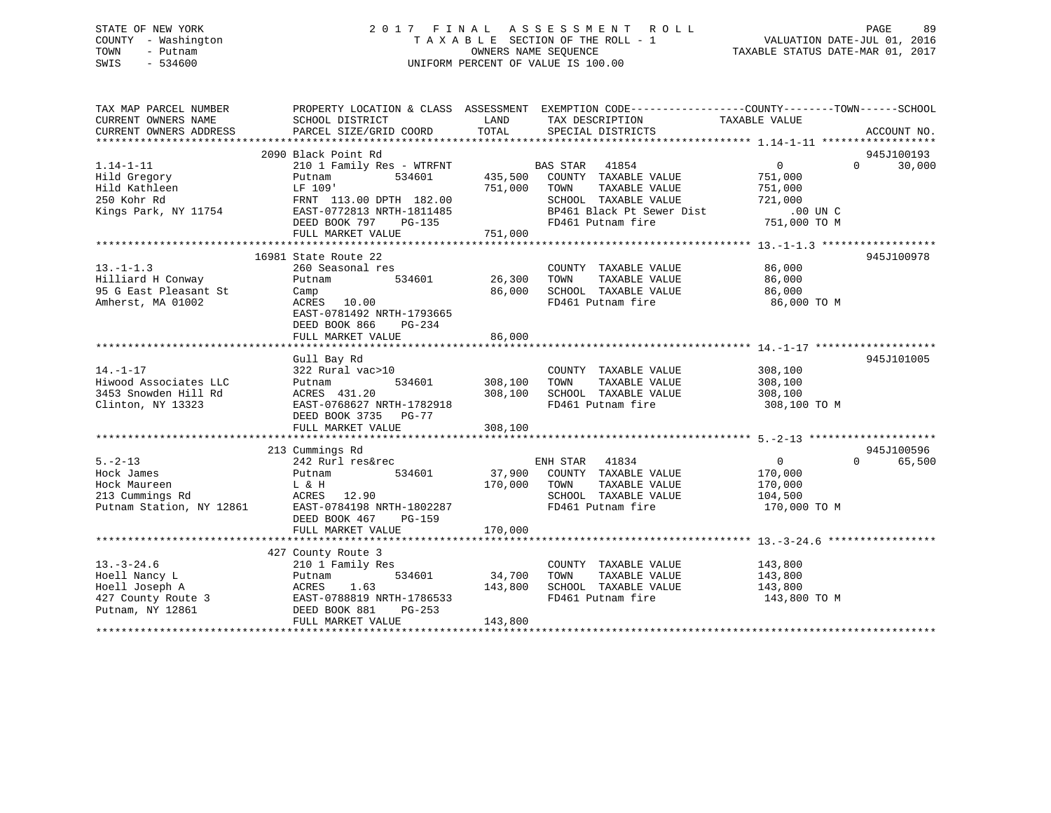# STATE OF NEW YORK 2 0 1 7 F I N A L A S S E S S M E N T R O L L PAGE 89 COUNTY - Washington T A X A B L E SECTION OF THE ROLL - 1 VALUATION DATE-JUL 01, 2016 TOWN - Putnam OWNERS NAME SEQUENCE TAXABLE STATUS DATE-MAR 01, 2017 SWIS - 534600 UNIFORM PERCENT OF VALUE IS 100.00

| TAX MAP PARCEL NUMBER    |                                |         | PROPERTY LOCATION & CLASS ASSESSMENT EXEMPTION CODE---------------COUNTY-------TOWN------SCHOOL |                   |                    |
|--------------------------|--------------------------------|---------|-------------------------------------------------------------------------------------------------|-------------------|--------------------|
| CURRENT OWNERS NAME      | SCHOOL DISTRICT                | LAND    | TAX DESCRIPTION                                                                                 | TAXABLE VALUE     |                    |
| CURRENT OWNERS ADDRESS   | PARCEL SIZE/GRID COORD         | TOTAL   | SPECIAL DISTRICTS                                                                               |                   | ACCOUNT NO.        |
|                          |                                |         |                                                                                                 |                   |                    |
|                          | 2090 Black Point Rd            |         |                                                                                                 |                   | 945J100193         |
| $1.14 - 1 - 11$          | 210 1 Family Res - WTRFNT      |         | BAS STAR 41854                                                                                  | $0 \qquad \qquad$ | $\Omega$<br>30,000 |
| Hild Gregory             | 534601<br>Putnam               | 435,500 | COUNTY TAXABLE VALUE                                                                            | 751,000           |                    |
| Hild Kathleen            | LF 109'                        | 751,000 | TOWN<br>TAXABLE VALUE                                                                           | 751,000           |                    |
| 250 Kohr Rd              | FRNT 113.00 DPTH 182.00        |         | SCHOOL TAXABLE VALUE                                                                            | 721,000           |                    |
| Kings Park, NY 11754     | EAST-0772813 NRTH-1811485      |         | BP461 Black Pt Sewer Dist                                                                       | $.00$ UN $C$      |                    |
|                          | DEED BOOK 797<br>PG-135        |         | FD461 Putnam fire                                                                               | 751,000 TO M      |                    |
|                          | FULL MARKET VALUE              | 751,000 |                                                                                                 |                   |                    |
|                          |                                |         |                                                                                                 |                   |                    |
|                          | 16981 State Route 22           |         |                                                                                                 |                   | 945J100978         |
| $13.-1-1.3$              | 260 Seasonal res               |         | COUNTY TAXABLE VALUE                                                                            | 86,000            |                    |
| Hilliard H Conway        | Putnam<br>534601               | 26,300  | TAXABLE VALUE<br>TOWN                                                                           | 86,000            |                    |
| 95 G East Pleasant St    | Camp                           | 86,000  | SCHOOL TAXABLE VALUE                                                                            | 86,000            |                    |
| Amherst, MA 01002        | ACRES 10.00                    |         | FD461 Putnam fire                                                                               | 86,000 TO M       |                    |
|                          | EAST-0781492 NRTH-1793665      |         |                                                                                                 |                   |                    |
|                          | DEED BOOK 866<br>PG-234        |         |                                                                                                 |                   |                    |
|                          | FULL MARKET VALUE              | 86,000  |                                                                                                 |                   |                    |
|                          |                                |         |                                                                                                 |                   |                    |
|                          | Gull Bay Rd                    |         |                                                                                                 |                   | 945J101005         |
| $14. - 1 - 17$           | 322 Rural vac>10               |         | COUNTY TAXABLE VALUE                                                                            | 308,100           |                    |
| Hiwood Associates LLC    | 534601<br>Putnam               | 308,100 | TOWN<br>TAXABLE VALUE                                                                           | 308,100           |                    |
| 3453 Snowden Hill Rd     | ACRES 431.20                   | 308,100 | SCHOOL TAXABLE VALUE                                                                            | 308,100           |                    |
| Clinton, NY 13323        | EAST-0768627 NRTH-1782918      |         | FD461 Putnam fire                                                                               | 308,100 TO M      |                    |
|                          | DEED BOOK 3735<br>PG-77        |         |                                                                                                 |                   |                    |
|                          | FULL MARKET VALUE              | 308,100 |                                                                                                 |                   |                    |
|                          |                                |         |                                                                                                 |                   |                    |
|                          | 213 Cummings Rd                |         |                                                                                                 |                   | 945J100596         |
| $5. -2 - 13$             | 242 Rurl res&rec               |         | ENH STAR 41834                                                                                  | $\overline{0}$    | $\Omega$<br>65,500 |
| Hock James               | 534601<br>Putnam               | 37,900  | COUNTY TAXABLE VALUE                                                                            | 170,000           |                    |
| Hock Maureen             | L & H                          | 170,000 | TOWN<br>TAXABLE VALUE                                                                           | 170,000           |                    |
| 213 Cummings Rd          | ACRES 12.90                    |         | SCHOOL TAXABLE VALUE                                                                            | 104,500           |                    |
| Putnam Station, NY 12861 | EAST-0784198 NRTH-1802287      |         | FD461 Putnam fire                                                                               | 170,000 TO M      |                    |
|                          | DEED BOOK 467<br><b>PG-159</b> |         |                                                                                                 |                   |                    |
|                          | FULL MARKET VALUE              | 170,000 |                                                                                                 |                   |                    |
|                          |                                |         |                                                                                                 |                   |                    |
|                          | 427 County Route 3             |         |                                                                                                 |                   |                    |
| $13. - 3 - 24.6$         | 210 1 Family Res               |         | COUNTY TAXABLE VALUE                                                                            | 143,800           |                    |
| Hoell Nancy L            | 534601<br>Putnam               | 34,700  | TAXABLE VALUE<br>TOWN                                                                           | 143,800           |                    |
| Hoell Joseph A           | ACRES<br>1.63                  | 143,800 | SCHOOL TAXABLE VALUE                                                                            | 143,800           |                    |
|                          |                                |         | FD461 Putnam fire                                                                               | 143,800 TO M      |                    |
|                          |                                |         |                                                                                                 |                   |                    |
|                          | FULL MARKET VALUE              | 143,800 |                                                                                                 |                   |                    |
|                          |                                |         |                                                                                                 |                   |                    |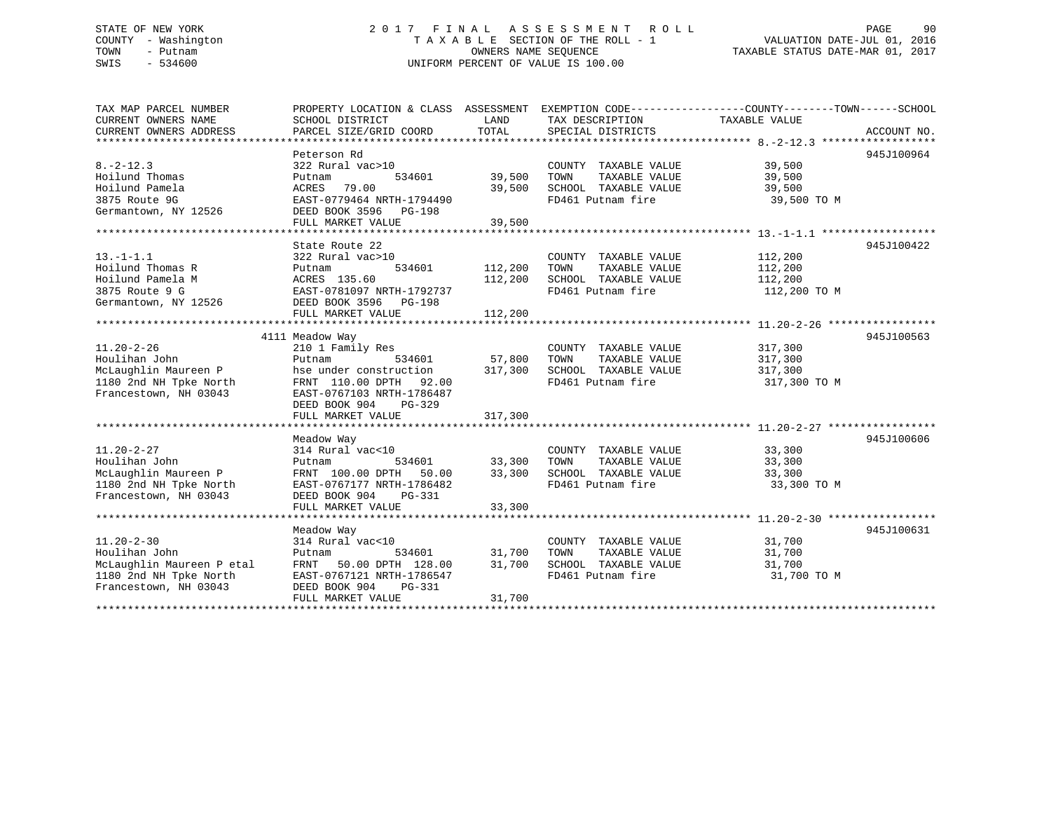# STATE OF NEW YORK 2 0 1 7 F I N A L A S S E S S M E N T R O L L PAGE 90 COUNTY - Washington T A X A B L E SECTION OF THE ROLL - 1 VALUATION DATE-JUL 01, 2016 TOWN - Putnam OWNERS NAME SEQUENCE TAXABLE STATUS DATE-MAR 01, 2017 SWIS - 534600 UNIFORM PERCENT OF VALUE IS 100.00

| TAX MAP PARCEL NUMBER                      | PROPERTY LOCATION & CLASS ASSESSMENT EXEMPTION CODE----------------COUNTY-------TOWN------SCHOOL |               |                              |               |             |
|--------------------------------------------|--------------------------------------------------------------------------------------------------|---------------|------------------------------|---------------|-------------|
| CURRENT OWNERS NAME                        | SCHOOL DISTRICT                                                                                  | LAND          | TAX DESCRIPTION              | TAXABLE VALUE |             |
| CURRENT OWNERS ADDRESS                     | PARCEL SIZE/GRID COORD                                                                           | TOTAL         | SPECIAL DISTRICTS            |               | ACCOUNT NO. |
|                                            |                                                                                                  |               |                              |               |             |
|                                            | Peterson Rd                                                                                      |               |                              |               | 945J100964  |
| $8. -2 - 12.3$                             | 322 Rural vac>10                                                                                 |               | COUNTY TAXABLE VALUE         | 39,500        |             |
| Hoilund Thomas                             | 534601<br>Putnam                                                                                 | 39,500        | TAXABLE VALUE<br>TOWN        | 39,500        |             |
| Hoilund Pamela                             | ACRES 79.00                                                                                      | 39,500        | SCHOOL TAXABLE VALUE         | 39,500        |             |
| 3875 Route 9G                              | EAST-0779464 NRTH-1794490                                                                        |               | FD461 Putnam fire            | 39,500 TO M   |             |
| Germantown, NY 12526                       | DEED BOOK 3596 PG-198                                                                            |               |                              |               |             |
|                                            | FULL MARKET VALUE                                                                                | 39,500        |                              |               |             |
|                                            |                                                                                                  |               |                              |               |             |
|                                            | State Route 22                                                                                   |               |                              |               | 945J100422  |
| $13.-1-1.1$                                | 322 Rural vac>10                                                                                 |               | COUNTY TAXABLE VALUE 112,200 |               |             |
| Hoilund Thomas R                           | 534601                                                                                           | 112,200       | TOWN<br>TAXABLE VALUE        | 112,200       |             |
| Hoilund Pamela M                           |                                                                                                  | 112,200       | SCHOOL TAXABLE VALUE         | 112,200       |             |
| 3875 Route 9 G                             | Putnam 534601<br>ACRES 135.60<br>EAST-0781097 NRTH-1792737                                       |               | FD461 Putnam fire            | 112,200 TO M  |             |
| Germantown, NY 12526 DEED BOOK 3596 PG-198 |                                                                                                  |               |                              |               |             |
|                                            |                                                                                                  |               |                              |               |             |
|                                            |                                                                                                  |               |                              |               |             |
|                                            | 4111 Meadow Way                                                                                  |               |                              |               | 945J100563  |
| $11.20 - 2 - 26$                           | 210 1 Family Res                                                                                 |               | COUNTY TAXABLE VALUE         | 317,300       |             |
| Houlihan John                              | Putnam                                                                                           | 534601 57,800 | TOWN<br>TAXABLE VALUE        | 317,300       |             |
| McLaughlin Maureen P                       | hse under construction                                                                           | 317,300       | SCHOOL TAXABLE VALUE         | 317,300       |             |
| 1180 2nd NH Tpke North                     | FRNT 110.00 DPTH 92.00                                                                           |               | FD461 Putnam fire            | 317,300 TO M  |             |
| Francestown, NH 03043                      | EAST-0767103 NRTH-1786487                                                                        |               |                              |               |             |
|                                            | DEED BOOK 904<br>PG-329                                                                          |               |                              |               |             |
|                                            | FULL MARKET VALUE                                                                                | 317,300       |                              |               |             |
|                                            |                                                                                                  |               |                              |               |             |
|                                            | Meadow Way                                                                                       |               |                              |               | 945J100606  |
| $11.20 - 2 - 27$                           | 314 Rural vac<10                                                                                 |               | COUNTY TAXABLE VALUE 33,300  |               |             |
| Houlihan John                              | Putnam                                                                                           | 534601 33,300 | TOWN<br>TAXABLE VALUE        | 33,300        |             |
| McLaughlin Maureen P                       | FRNT 100.00 DPTH 50.00 33,300 SCHOOL TAXABLE VALUE                                               |               |                              | 33,300        |             |
| 1180 2nd NH Tpke North                     | EAST-0767177 NRTH-1786482                                                                        |               | FD461 Putnam fire            | 33,300 TO M   |             |
| Francestown, NH 03043                      | DEED BOOK 904 PG-331                                                                             |               |                              |               |             |
|                                            | FULL MARKET VALUE                                                                                | 33,300        |                              |               |             |
|                                            |                                                                                                  |               |                              |               |             |
|                                            | Meadow Way                                                                                       |               |                              |               | 945J100631  |
| $11.20 - 2 - 30$                           | 314 Rural vac<10                                                                                 |               | COUNTY TAXABLE VALUE         | 31,700        |             |
| Houlihan John                              | 534601<br>Putnam                                                                                 | 31,700        | TOWN<br>TAXABLE VALUE        | 31,700        |             |
| McLaughlin Maureen P etal                  | FRNT 50.00 DPTH 128.00                                                                           | 31,700        | SCHOOL TAXABLE VALUE         | 31,700        |             |
| 1180 2nd NH Tpke North                     | EAST-0767121 NRTH-1786547                                                                        |               | FD461 Putnam fire            | 31,700 TO M   |             |
| Francestown, NH 03043                      | DEED BOOK 904<br>PG-331                                                                          |               |                              |               |             |
|                                            | FULL MARKET VALUE                                                                                | 31,700        |                              |               |             |
|                                            |                                                                                                  |               |                              |               |             |
|                                            |                                                                                                  |               |                              |               |             |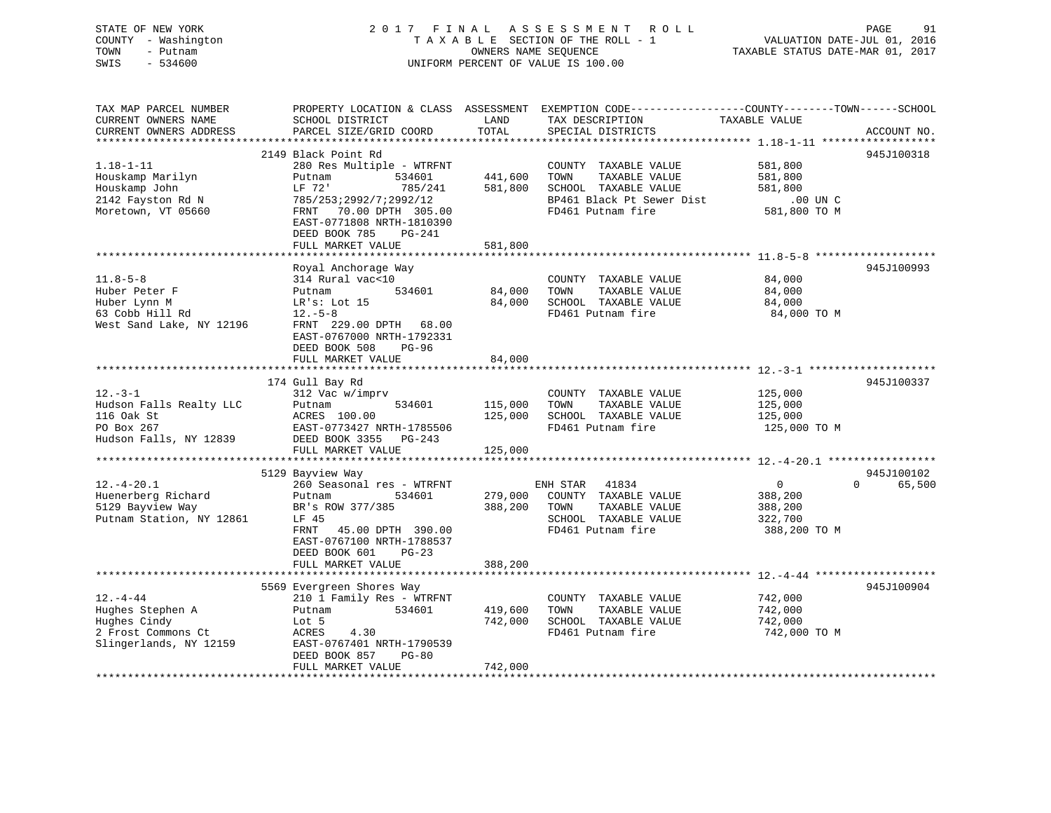#### STATE OF NEW YORK 2 0 1 7 F I N A L A S S E S S M E N T R O L L PAGE 91COUNTY - Washington T A X A B L E SECTION OF THE ROLL - 1 TOWN - Putnam **CONNERS NAME SEQUENCE** TAXABLE STATUS DATE-MAR 01, 2017 SWIS - 534600 UNIFORM PERCENT OF VALUE IS 100.00

VALUATION DATE-JUL 01, 2016

| TAX MAP PARCEL NUMBER    |                           |         |                           | PROPERTY LOCATION & CLASS ASSESSMENT EXEMPTION CODE----------------COUNTY-------TOWN------SCHOOL |
|--------------------------|---------------------------|---------|---------------------------|--------------------------------------------------------------------------------------------------|
| CURRENT OWNERS NAME      | SCHOOL DISTRICT           | LAND    | TAX DESCRIPTION           | TAXABLE VALUE                                                                                    |
| CURRENT OWNERS ADDRESS   | PARCEL SIZE/GRID COORD    | TOTAL   | SPECIAL DISTRICTS         | ACCOUNT NO.                                                                                      |
|                          |                           |         |                           |                                                                                                  |
|                          | 2149 Black Point Rd       |         |                           | 945J100318                                                                                       |
| $1.18 - 1 - 11$          | 280 Res Multiple - WTRFNT |         | COUNTY TAXABLE VALUE      | 581,800                                                                                          |
| Houskamp Marilyn         | Putnam<br>534601          | 441,600 | TAXABLE VALUE<br>TOWN     | 581,800                                                                                          |
| Houskamp John            | LF 72'<br>785/241         | 581,800 | SCHOOL TAXABLE VALUE      | 581,800                                                                                          |
| 2142 Fayston Rd N        | 785/253;2992/7;2992/12    |         | BP461 Black Pt Sewer Dist | .00 UN C                                                                                         |
| Moretown, VT 05660       | FRNT<br>70.00 DPTH 305.00 |         | FD461 Putnam fire         | 581,800 TO M                                                                                     |
|                          | EAST-0771808 NRTH-1810390 |         |                           |                                                                                                  |
|                          | DEED BOOK 785<br>PG-241   |         |                           |                                                                                                  |
|                          | FULL MARKET VALUE         | 581,800 |                           |                                                                                                  |
|                          |                           |         |                           |                                                                                                  |
|                          | Royal Anchorage Way       |         |                           | 945J100993                                                                                       |
| $11.8 - 5 - 8$           | 314 Rural vac<10          |         | COUNTY TAXABLE VALUE      | 84,000                                                                                           |
| Huber Peter F            | 534601<br>Putnam          | 84,000  | TAXABLE VALUE<br>TOWN     | 84,000                                                                                           |
| Huber Lynn M             | LR's: Lot 15              | 84,000  | SCHOOL TAXABLE VALUE      | 84,000                                                                                           |
| 63 Cobb Hill Rd          | $12.-5-8$                 |         | FD461 Putnam fire         | 84,000 TO M                                                                                      |
| West Sand Lake, NY 12196 | FRNT 229.00 DPTH 68.00    |         |                           |                                                                                                  |
|                          | EAST-0767000 NRTH-1792331 |         |                           |                                                                                                  |
|                          | DEED BOOK 508<br>$PG-96$  |         |                           |                                                                                                  |
|                          | FULL MARKET VALUE         | 84,000  |                           |                                                                                                  |
|                          |                           |         |                           |                                                                                                  |
|                          | 174 Gull Bay Rd           |         |                           | 945J100337                                                                                       |
| $12. - 3 - 1$            | 312 Vac w/imprv           |         | COUNTY TAXABLE VALUE      | 125,000                                                                                          |
| Hudson Falls Realty LLC  | 534601<br>Putnam          | 115,000 | TOWN<br>TAXABLE VALUE     | 125,000                                                                                          |
| 116 Oak St               | ACRES 100.00              | 125,000 | SCHOOL TAXABLE VALUE      | 125,000                                                                                          |
| PO Box 267               | EAST-0773427 NRTH-1785506 |         | FD461 Putnam fire         | 125,000 TO M                                                                                     |
| Hudson Falls, NY 12839   | DEED BOOK 3355 PG-243     |         |                           |                                                                                                  |
|                          | FULL MARKET VALUE         | 125,000 |                           |                                                                                                  |
|                          |                           |         |                           |                                                                                                  |
|                          | 5129 Bayview Way          |         |                           | 945J100102                                                                                       |
| $12. - 4 - 20.1$         | 260 Seasonal res - WTRFNT |         | ENH STAR<br>41834         | $\overline{0}$<br>$\Omega$<br>65,500                                                             |
| Huenerberg Richard       | Putnam<br>534601          | 279,000 | COUNTY TAXABLE VALUE      | 388,200                                                                                          |
| 5129 Bayview Way         | BR's ROW 377/385          | 388,200 | TAXABLE VALUE<br>TOWN     | 388,200                                                                                          |
| Putnam Station, NY 12861 | LF 45                     |         | SCHOOL TAXABLE VALUE      | 322,700                                                                                          |
|                          | FRNT<br>45.00 DPTH 390.00 |         | FD461 Putnam fire         | 388,200 TO M                                                                                     |
|                          | EAST-0767100 NRTH-1788537 |         |                           |                                                                                                  |
|                          | DEED BOOK 601<br>$PG-23$  |         |                           |                                                                                                  |
|                          | FULL MARKET VALUE         | 388,200 |                           |                                                                                                  |
|                          |                           |         |                           |                                                                                                  |
|                          | 5569 Evergreen Shores Way |         |                           | 945J100904                                                                                       |
| $12. - 4 - 44$           | 210 1 Family Res - WTRFNT |         | COUNTY TAXABLE VALUE      | 742,000                                                                                          |
| Hughes Stephen A         | Putnam<br>534601          | 419,600 | TAXABLE VALUE<br>TOWN     | 742,000                                                                                          |
| Hughes Cindy             | Lot 5                     | 742,000 | SCHOOL TAXABLE VALUE      | 742,000                                                                                          |
| 2 Frost Commons Ct       | ACRES<br>4.30             |         | FD461 Putnam fire         | 742,000 TO M                                                                                     |
| Slingerlands, NY 12159   | EAST-0767401 NRTH-1790539 |         |                           |                                                                                                  |
|                          | DEED BOOK 857<br>$PG-80$  |         |                           |                                                                                                  |
|                          | FULL MARKET VALUE         | 742,000 |                           |                                                                                                  |
|                          |                           |         |                           |                                                                                                  |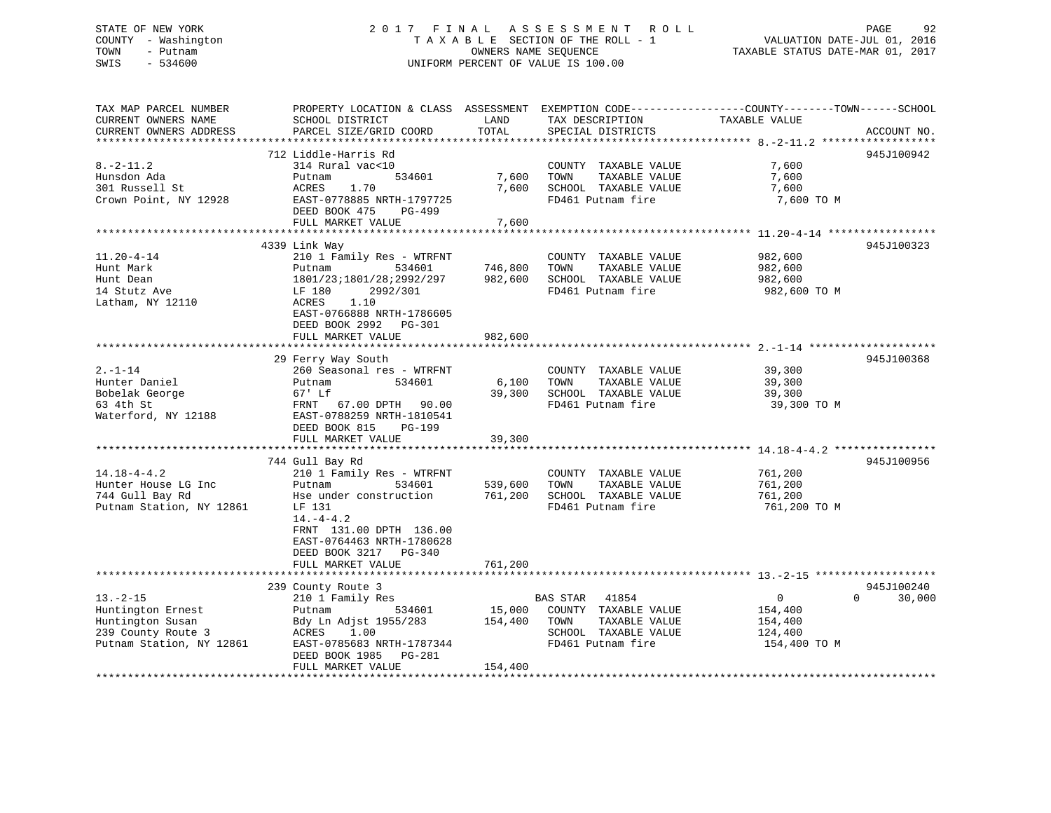# STATE OF NEW YORK 2 0 1 7 F I N A L A S S E S S M E N T R O L L PAGE 92 COUNTY - Washington T A X A B L E SECTION OF THE ROLL - 1 VALUATION DATE-JUL 01, 2016 TOWN - Putnam OWNERS NAME SEQUENCE TAXABLE STATUS DATE-MAR 01, 2017 SWIS - 534600 UNIFORM PERCENT OF VALUE IS 100.00

TAX MAP PARCEL NUMBER PROPERTY LOCATION & CLASS ASSESSMENT EXEMPTION CODE------------------COUNTY--------TOWN------SCHOOL CURRENT OWNERS NAME SCHOOL DISTRICT THE LAND TAX DESCRIPTION TAXABLE VALUE CURRENT OWNERS ADDRESS PARCEL SIZE/GRID COORD TOTAL SPECIAL DISTRICTS ACCOUNT NO. \*\*\*\*\*\*\*\*\*\*\*\*\*\*\*\*\*\*\*\*\*\*\*\*\*\*\*\*\*\*\*\*\*\*\*\*\*\*\*\*\*\*\*\*\*\*\*\*\*\*\*\*\*\*\*\*\*\*\*\*\*\*\*\*\*\*\*\*\*\*\*\*\*\*\*\*\*\*\*\*\*\*\*\*\*\*\*\*\*\*\*\*\*\*\*\*\*\*\*\*\*\*\* 8.-2-11.2 \*\*\*\*\*\*\*\*\*\*\*\*\*\*\*\*\*\* 712 Liddle-Harris Rd 945J1009428.-2-11.2 314 Rural vac<10 COUNTY TAXABLE VALUE 7,600 Hunsdon Ada Putnam 534601 7,600 TOWN TAXABLE VALUE 7,600 301 Russell St ACRES 1.70 7,600 SCHOOL TAXABLE VALUE 7,600 Crown Point, NY 12928 EAST-0778885 NRTH-1797725 FD461 Putnam fire 7,600 TO M DEED BOOK 475 PG-499 FULL MARKET VALUE 7,600 \*\*\*\*\*\*\*\*\*\*\*\*\*\*\*\*\*\*\*\*\*\*\*\*\*\*\*\*\*\*\*\*\*\*\*\*\*\*\*\*\*\*\*\*\*\*\*\*\*\*\*\*\*\*\*\*\*\*\*\*\*\*\*\*\*\*\*\*\*\*\*\*\*\*\*\*\*\*\*\*\*\*\*\*\*\*\*\*\*\*\*\*\*\*\*\*\*\*\*\*\*\*\* 11.20-4-14 \*\*\*\*\*\*\*\*\*\*\*\*\*\*\*\*\* 4339 Link Way 945J100323 11.20-4-14 210 1 Family Res - WTRFNT COUNTY TAXABLE VALUE 982,600 Hunt Mark Putnam 534601 746,800 TOWN TAXABLE VALUE 982,600 Hunt Dean 1801/23;1801/28;2992/297 982,600 SCHOOL TAXABLE VALUE 982,600 14 Stutz Ave LF 180 2992/301 FD461 Putnam fire 982,600 TO M Latham, NY 12110 <br>
ACRES 1.10 EAST-0766888 NRTH-1786605 DEED BOOK 2992 PG-301 FULL MARKET VALUE 982,600 \*\*\*\*\*\*\*\*\*\*\*\*\*\*\*\*\*\*\*\*\*\*\*\*\*\*\*\*\*\*\*\*\*\*\*\*\*\*\*\*\*\*\*\*\*\*\*\*\*\*\*\*\*\*\*\*\*\*\*\*\*\*\*\*\*\*\*\*\*\*\*\*\*\*\*\*\*\*\*\*\*\*\*\*\*\*\*\*\*\*\*\*\*\*\*\*\*\*\*\*\*\*\* 2.-1-14 \*\*\*\*\*\*\*\*\*\*\*\*\*\*\*\*\*\*\*\* 29 Ferry Way South 945J100368 2.-1-14 260 Seasonal res - WTRFNT COUNTY TAXABLE VALUE 39,300 Hunter Daniel Putnam 534601 6,100 TOWN TAXABLE VALUE 39,300 Bobelak George 67' Lf 39,300 SCHOOL TAXABLE VALUE 39,300 63 4th St FRNT 67.00 DPTH 90.00 FD461 Putnam fire 39,300 TO M Waterford, NY 12188 EAST-0788259 NRTH-1810541 DEED BOOK 815 PG-199FULL MARKET VALUE 39,300 \*\*\*\*\*\*\*\*\*\*\*\*\*\*\*\*\*\*\*\*\*\*\*\*\*\*\*\*\*\*\*\*\*\*\*\*\*\*\*\*\*\*\*\*\*\*\*\*\*\*\*\*\*\*\*\*\*\*\*\*\*\*\*\*\*\*\*\*\*\*\*\*\*\*\*\*\*\*\*\*\*\*\*\*\*\*\*\*\*\*\*\*\*\*\*\*\*\*\*\*\*\*\* 14.18-4-4.2 \*\*\*\*\*\*\*\*\*\*\*\*\*\*\*\* 744 Gull Bay Rd 945J100956 14.18-4-4.2 210 1 Family Res - WTRFNT COUNTY TAXABLE VALUE 761,200 Hunter House LG Inc Putnam 534601 539,600 TOWN TAXABLE VALUE 761,200 744 Gull Bay Rd Hse under construction 761,200 SCHOOL TAXABLE VALUE 761,200 Putnam Station, NY 12861 LF 131 FD461 Putnam fire 761,200 TO M  $14 - 4 - 4$  FRNT 131.00 DPTH 136.00 EAST-0764463 NRTH-1780628 DEED BOOK 3217 PG-340FULL MARKET VALUE 761,200 \*\*\*\*\*\*\*\*\*\*\*\*\*\*\*\*\*\*\*\*\*\*\*\*\*\*\*\*\*\*\*\*\*\*\*\*\*\*\*\*\*\*\*\*\*\*\*\*\*\*\*\*\*\*\*\*\*\*\*\*\*\*\*\*\*\*\*\*\*\*\*\*\*\*\*\*\*\*\*\*\*\*\*\*\*\*\*\*\*\*\*\*\*\*\*\*\*\*\*\*\*\*\* 13.-2-15 \*\*\*\*\*\*\*\*\*\*\*\*\*\*\*\*\*\*\* 239 County Route 3 945J100240 13.-2-15 210 1 Family Res BAS STAR 41854 0 0 30,000 Huntington Ernest Putnam 534601 15,000 COUNTY TAXABLE VALUE 154,400 Huntington Susan Bdy Ln Adjst 1955/283 154,400 TOWN TAXABLE VALUE 154,400 239 County Route 3 ACRES 1.00 SCHOOL TAXABLE VALUE 124,400 Putnam Station, NY 12861 EAST-0785683 NRTH-1787344 FD461 Putnam fire 154,400 TO M DEED BOOK 1985 PG-281FULL MARKET VALUE 154,400 \*\*\*\*\*\*\*\*\*\*\*\*\*\*\*\*\*\*\*\*\*\*\*\*\*\*\*\*\*\*\*\*\*\*\*\*\*\*\*\*\*\*\*\*\*\*\*\*\*\*\*\*\*\*\*\*\*\*\*\*\*\*\*\*\*\*\*\*\*\*\*\*\*\*\*\*\*\*\*\*\*\*\*\*\*\*\*\*\*\*\*\*\*\*\*\*\*\*\*\*\*\*\*\*\*\*\*\*\*\*\*\*\*\*\*\*\*\*\*\*\*\*\*\*\*\*\*\*\*\*\*\*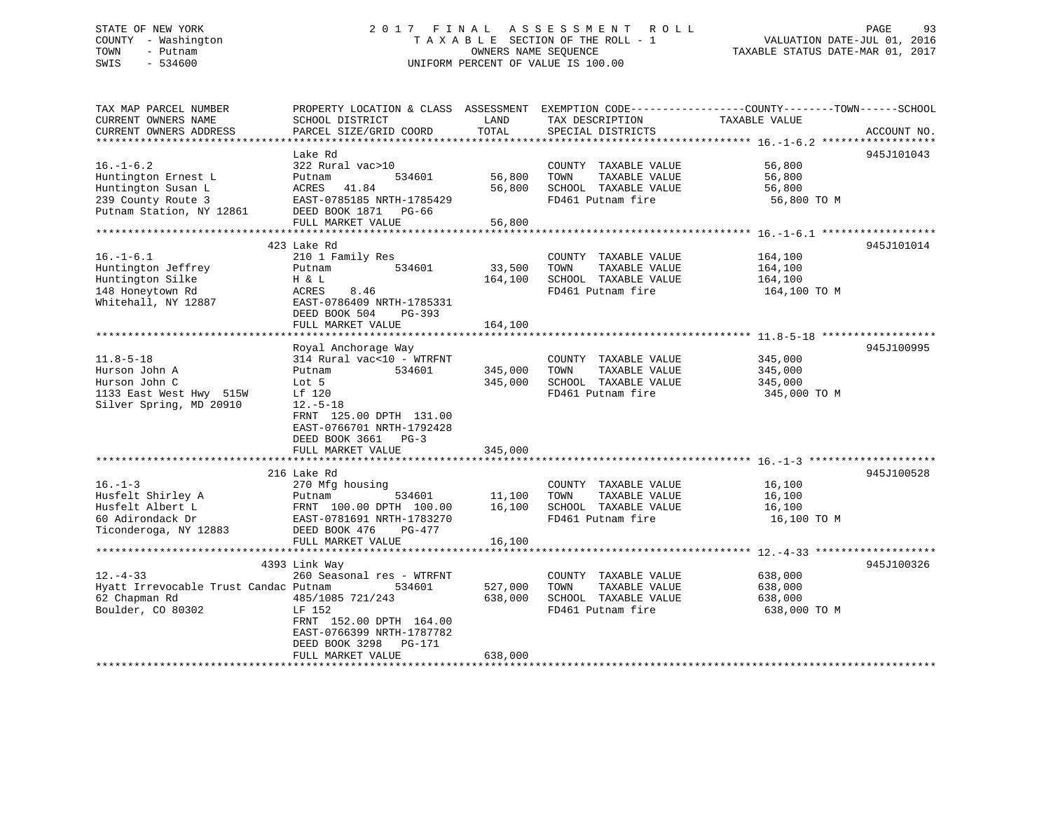# STATE OF NEW YORK 2 0 1 7 F I N A L A S S E S S M E N T R O L L PAGE 93 COUNTY - Washington T A X A B L E SECTION OF THE ROLL - 1 VALUATION DATE-JUL 01, 2016 TOWN - Putnam OWNERS NAME SEQUENCE TAXABLE STATUS DATE-MAR 01, 2017 SWIS - 534600 UNIFORM PERCENT OF VALUE IS 100.00

| TAX MAP PARCEL NUMBER                          |                                    |                  |                                               | PROPERTY LOCATION & CLASS ASSESSMENT EXEMPTION CODE---------------COUNTY-------TOWN------SCHOOL |             |
|------------------------------------------------|------------------------------------|------------------|-----------------------------------------------|-------------------------------------------------------------------------------------------------|-------------|
| CURRENT OWNERS NAME                            | SCHOOL DISTRICT                    | LAND             | TAX DESCRIPTION                               | TAXABLE VALUE                                                                                   |             |
| CURRENT OWNERS ADDRESS                         | PARCEL SIZE/GRID COORD             | TOTAL            | SPECIAL DISTRICTS                             |                                                                                                 | ACCOUNT NO. |
|                                                |                                    |                  |                                               |                                                                                                 |             |
|                                                | Lake Rd                            |                  |                                               |                                                                                                 | 945J101043  |
| $16. - 1 - 6.2$                                | 322 Rural vac>10                   |                  | COUNTY TAXABLE VALUE                          | 56,800                                                                                          |             |
| Huntington Ernest L<br>Huntington Susan L      | 534601<br>Putnam<br>ACRES<br>41.84 | 56,800<br>56,800 | TOWN<br>TAXABLE VALUE<br>SCHOOL TAXABLE VALUE | 56,800<br>56,800                                                                                |             |
|                                                | EAST-0785185 NRTH-1785429          |                  | FD461 Putnam fire                             | 56,800 TO M                                                                                     |             |
| 239 County Route 3<br>Putnam Station, NY 12861 | DEED BOOK 1871 PG-66               |                  |                                               |                                                                                                 |             |
|                                                | FULL MARKET VALUE                  | 56,800           |                                               |                                                                                                 |             |
|                                                |                                    |                  |                                               |                                                                                                 |             |
|                                                | 423 Lake Rd                        |                  |                                               |                                                                                                 | 945J101014  |
| $16. - 1 - 6.1$                                | 210 1 Family Res                   |                  | COUNTY TAXABLE VALUE                          | 164,100                                                                                         |             |
| Huntington Jeffrey                             | 534601<br>Putnam                   | 33,500           | TOWN<br>TAXABLE VALUE                         | 164,100                                                                                         |             |
| Huntington Silke                               | H & L                              | 164,100          | SCHOOL TAXABLE VALUE                          | 164,100                                                                                         |             |
| 148 Honeytown Rd                               | ACRES<br>8.46                      |                  | FD461 Putnam fire                             | 164,100 TO M                                                                                    |             |
| Whitehall, NY 12887                            | EAST-0786409 NRTH-1785331          |                  |                                               |                                                                                                 |             |
|                                                | DEED BOOK 504<br>PG-393            |                  |                                               |                                                                                                 |             |
|                                                | FULL MARKET VALUE                  | 164,100          |                                               |                                                                                                 |             |
|                                                |                                    |                  |                                               |                                                                                                 |             |
|                                                | Royal Anchorage Way                |                  |                                               |                                                                                                 | 945J100995  |
| $11.8 - 5 - 18$                                | 314 Rural vac<10 - WTRFNT          |                  | COUNTY TAXABLE VALUE                          | 345,000                                                                                         |             |
| Hurson John A                                  | Putnam<br>534601                   | 345,000          | TOWN<br>TAXABLE VALUE                         | 345,000                                                                                         |             |
| Hurson John C                                  | Lot 5                              | 345,000          | SCHOOL TAXABLE VALUE                          | 345,000                                                                                         |             |
| 1133 East West Hwy 515W                        | Lf 120                             |                  | FD461 Putnam fire                             | 345,000 TO M                                                                                    |             |
| Silver Spring, MD 20910                        | $12.-5-18$                         |                  |                                               |                                                                                                 |             |
|                                                | FRNT 125.00 DPTH 131.00            |                  |                                               |                                                                                                 |             |
|                                                | EAST-0766701 NRTH-1792428          |                  |                                               |                                                                                                 |             |
|                                                | DEED BOOK 3661 PG-3                |                  |                                               |                                                                                                 |             |
|                                                | FULL MARKET VALUE                  | 345,000          |                                               |                                                                                                 |             |
|                                                |                                    |                  |                                               |                                                                                                 |             |
|                                                | 216 Lake Rd                        |                  |                                               |                                                                                                 | 945J100528  |
| $16. - 1 - 3$                                  | 270 Mfg housing                    |                  | COUNTY TAXABLE VALUE                          | 16,100                                                                                          |             |
| Husfelt Shirley A                              | Putnam<br>534601                   | 11,100           | TOWN<br>TAXABLE VALUE                         | 16,100                                                                                          |             |
| Husfelt Albert L                               | FRNT 100.00 DPTH 100.00            | 16,100           | SCHOOL TAXABLE VALUE                          | 16,100                                                                                          |             |
| 60 Adirondack Dr                               | EAST-0781691 NRTH-1783270          |                  | FD461 Putnam fire                             | 16,100 TO M                                                                                     |             |
| Ticonderoga, NY 12883                          | DEED BOOK 476<br>PG-477            |                  |                                               |                                                                                                 |             |
|                                                | FULL MARKET VALUE                  | 16,100           |                                               |                                                                                                 |             |
|                                                | 4393 Link Way                      |                  |                                               |                                                                                                 | 945J100326  |
| $12. - 4 - 33$                                 | 260 Seasonal res - WTRFNT          |                  | COUNTY TAXABLE VALUE                          | 638,000                                                                                         |             |
| Hyatt Irrevocable Trust Candac Putnam          | 534601                             | 527,000          | TOWN<br>TAXABLE VALUE                         | 638,000                                                                                         |             |
| 62 Chapman Rd                                  | 485/1085 721/243                   | 638,000          | SCHOOL TAXABLE VALUE                          | 638,000                                                                                         |             |
| Boulder, CO 80302                              | LF 152                             |                  | FD461 Putnam fire                             | 638,000 TO M                                                                                    |             |
|                                                | FRNT 152.00 DPTH 164.00            |                  |                                               |                                                                                                 |             |
|                                                | EAST-0766399 NRTH-1787782          |                  |                                               |                                                                                                 |             |
|                                                | DEED BOOK 3298 PG-171              |                  |                                               |                                                                                                 |             |
|                                                | FULL MARKET VALUE                  | 638,000          |                                               |                                                                                                 |             |
|                                                |                                    |                  |                                               |                                                                                                 |             |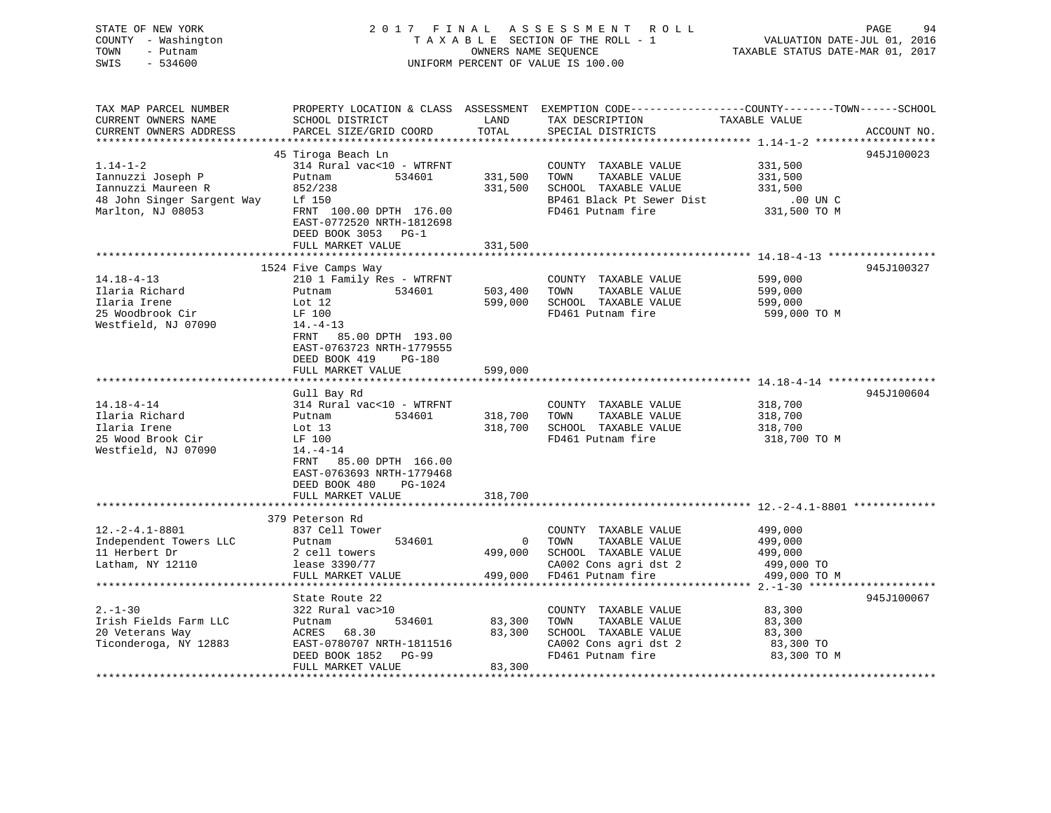| STATE OF NEW YORK<br>COUNTY - Washington<br>TOWN<br>- Putnam<br>SWIS<br>$-534600$ |                                                   | OWNERS NAME SEQUENCE      | 2017 FINAL ASSESSMENT ROLL<br>TAXABLE SECTION OF THE ROLL - 1<br>UNIFORM PERCENT OF VALUE IS 100.00 | PAGE<br>94<br>VALUATION DATE-JUL 01, 2016<br>TAXABLE STATUS DATE-MAR 01, 2017                                                   |
|-----------------------------------------------------------------------------------|---------------------------------------------------|---------------------------|-----------------------------------------------------------------------------------------------------|---------------------------------------------------------------------------------------------------------------------------------|
| TAX MAP PARCEL NUMBER<br>CURRENT OWNERS NAME<br>CURRENT OWNERS ADDRESS            | SCHOOL DISTRICT<br>PARCEL SIZE/GRID COORD         | LAND<br>TOTAL             | TAX DESCRIPTION<br>SPECIAL DISTRICTS                                                                | PROPERTY LOCATION & CLASS ASSESSMENT EXEMPTION CODE----------------COUNTY-------TOWN-----SCHOOL<br>TAXABLE VALUE<br>ACCOUNT NO. |
|                                                                                   |                                                   |                           |                                                                                                     |                                                                                                                                 |
|                                                                                   | 45 Tiroga Beach Ln                                |                           |                                                                                                     | 945J100023                                                                                                                      |
| $1.14 - 1 - 2$<br>Iannuzzi Joseph P                                               | 314 Rural vac<10 - WTRFNT<br>Putnam<br>534601     | 331,500                   | COUNTY TAXABLE VALUE<br>TOWN<br>TAXABLE VALUE                                                       | 331,500<br>331,500                                                                                                              |
| Iannuzzi Maureen R                                                                | 852/238                                           | 331,500                   | SCHOOL TAXABLE VALUE                                                                                | 331,500                                                                                                                         |
| 48 John Singer Sargent Way                                                        | Lf 150                                            |                           | BP461 Black Pt Sewer Dist                                                                           | $.00$ UN C                                                                                                                      |
| Marlton, NJ 08053                                                                 | FRNT 100.00 DPTH 176.00                           |                           | FD461 Putnam fire                                                                                   | 331,500 TO M                                                                                                                    |
|                                                                                   | EAST-0772520 NRTH-1812698                         |                           |                                                                                                     |                                                                                                                                 |
|                                                                                   | DEED BOOK 3053 PG-1                               |                           |                                                                                                     |                                                                                                                                 |
|                                                                                   | FULL MARKET VALUE                                 | 331,500                   |                                                                                                     |                                                                                                                                 |
|                                                                                   | ***************************                       |                           |                                                                                                     |                                                                                                                                 |
|                                                                                   | 1524 Five Camps Way                               |                           |                                                                                                     | 945J100327                                                                                                                      |
| $14.18 - 4 - 13$<br>Ilaria Richard                                                | 210 1 Family Res - WTRFNT                         |                           | COUNTY TAXABLE VALUE<br>TOWN<br>TAXABLE VALUE                                                       | 599,000                                                                                                                         |
| Ilaria Irene                                                                      | Putnam 534601<br>Lot 12                           | 503,400<br>599,000        | SCHOOL TAXABLE VALUE                                                                                | 599,000<br>599,000                                                                                                              |
| 25 Woodbrook Cir                                                                  | LF 100                                            |                           | FD461 Putnam fire                                                                                   | 599,000 TO M                                                                                                                    |
| Westfield, NJ 07090                                                               | $14. - 4 - 13$                                    |                           |                                                                                                     |                                                                                                                                 |
|                                                                                   | FRNT 85.00 DPTH 193.00                            |                           |                                                                                                     |                                                                                                                                 |
|                                                                                   | EAST-0763723 NRTH-1779555                         |                           |                                                                                                     |                                                                                                                                 |
|                                                                                   | DEED BOOK 419<br>PG-180                           |                           |                                                                                                     |                                                                                                                                 |
|                                                                                   | FULL MARKET VALUE                                 | 599,000                   |                                                                                                     |                                                                                                                                 |
| ******************************                                                    |                                                   |                           |                                                                                                     |                                                                                                                                 |
| $14.18 - 4 - 14$                                                                  | Gull Bay Rd                                       |                           |                                                                                                     | 945J100604                                                                                                                      |
| Ilaria Richard                                                                    | 314 Rural vac<10 - WTRFNT<br>Putnam 534601        | 318,700                   | COUNTY TAXABLE VALUE<br>TAXABLE VALUE<br>TOWN                                                       | 318,700<br>318,700                                                                                                              |
| Ilaria Irene                                                                      | Lot $13$                                          | 318,700                   | SCHOOL TAXABLE VALUE                                                                                | 318,700                                                                                                                         |
| 25 Wood Brook Cir                                                                 | LF 100                                            |                           | FD461 Putnam fire                                                                                   | 318,700 TO M                                                                                                                    |
| Westfield, NJ 07090                                                               | $14. -4 - 14$                                     |                           |                                                                                                     |                                                                                                                                 |
|                                                                                   | FRNT<br>85.00 DPTH 166.00                         |                           |                                                                                                     |                                                                                                                                 |
|                                                                                   | EAST-0763693 NRTH-1779468                         |                           |                                                                                                     |                                                                                                                                 |
|                                                                                   | DEED BOOK 480<br>PG-1024                          |                           |                                                                                                     |                                                                                                                                 |
|                                                                                   | FULL MARKET VALUE                                 | 318,700                   |                                                                                                     |                                                                                                                                 |
|                                                                                   |                                                   | * * * * * * * * * * * * * |                                                                                                     |                                                                                                                                 |
| $12.-2-4.1-8801$                                                                  | 379 Peterson Rd<br>837 Cell Tower                 |                           | COUNTY TAXABLE VALUE                                                                                | 499,000                                                                                                                         |
| Independent Towers LLC                                                            | 534601<br>Putnam                                  | $\circ$                   | TOWN<br>TAXABLE VALUE                                                                               | 499,000                                                                                                                         |
| 11 Herbert Dr                                                                     | 2 cell towers                                     | 499,000                   | SCHOOL TAXABLE VALUE                                                                                | 499,000                                                                                                                         |
| Latham, NY 12110                                                                  | lease 3390/77                                     |                           | CA002 Cons agri dst 2                                                                               | 499,000 TO                                                                                                                      |
|                                                                                   | FULL MARKET VALUE                                 | 499,000                   | FD461 Putnam fire                                                                                   | 499,000 TO M                                                                                                                    |
|                                                                                   |                                                   |                           |                                                                                                     |                                                                                                                                 |
|                                                                                   | State Route 22                                    |                           |                                                                                                     | 945J100067                                                                                                                      |
| $2. - 1 - 30$                                                                     | 322 Rural vac>10                                  |                           | COUNTY TAXABLE VALUE                                                                                | 83,300                                                                                                                          |
| Irish Fields Farm LLC                                                             | Putnam<br>534601                                  | 83,300                    | TOWN<br>TAXABLE VALUE                                                                               | 83,300                                                                                                                          |
| 20 Veterans Way                                                                   | ACRES 68.30                                       | 83,300                    | SCHOOL TAXABLE VALUE                                                                                | 83,300                                                                                                                          |
| Ticonderoga, NY 12883                                                             | EAST-0780707 NRTH-1811516<br>DEED BOOK 1852 PG-99 |                           | CA002 Cons agri dst 2<br>FD461 Putnam fire                                                          | 83,300 TO<br>83,300 TO M                                                                                                        |
|                                                                                   | FULL MARKET VALUE                                 | 83,300                    |                                                                                                     |                                                                                                                                 |
|                                                                                   |                                                   |                           |                                                                                                     |                                                                                                                                 |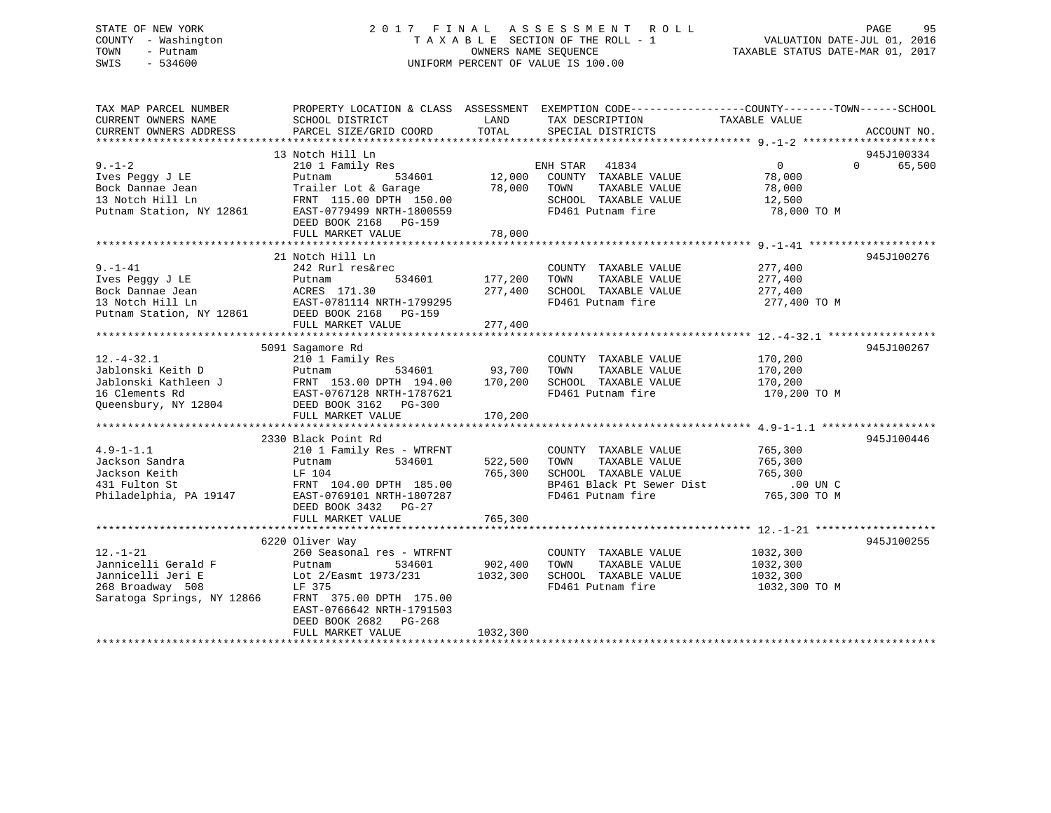# STATE OF NEW YORK 2 0 1 7 F I N A L A S S E S S M E N T R O L L PAGE 95 COUNTY - Washington T A X A B L E SECTION OF THE ROLL - 1 VALUATION DATE-JUL 01, 2016 TOWN - Putnam OWNERS NAME SEQUENCE TAXABLE STATUS DATE-MAR 01, 2017 SWIS - 534600 UNIFORM PERCENT OF VALUE IS 100.00

| TAX MAP PARCEL NUMBER<br>CURRENT OWNERS NAME                                                                 | SCHOOL DISTRICT                                                                                                                                                                                             | LAND                                | PROPERTY LOCATION & CLASS ASSESSMENT EXEMPTION CODE----------------COUNTY-------TOWN-----SCHOOL<br>TAX DESCRIPTION      | TAXABLE VALUE                                                  |                    |
|--------------------------------------------------------------------------------------------------------------|-------------------------------------------------------------------------------------------------------------------------------------------------------------------------------------------------------------|-------------------------------------|-------------------------------------------------------------------------------------------------------------------------|----------------------------------------------------------------|--------------------|
| CURRENT OWNERS ADDRESS                                                                                       | PARCEL SIZE/GRID COORD                                                                                                                                                                                      | TOTAL                               | SPECIAL DISTRICTS                                                                                                       |                                                                | ACCOUNT NO.        |
|                                                                                                              | 13 Notch Hill Ln                                                                                                                                                                                            |                                     |                                                                                                                         |                                                                | 945J100334         |
| $9 - 1 - 2$<br>Ives Peggy J LE<br>Bock Dannae Jean<br>13 Notch Hill Ln<br>Putnam Station, NY 12861           | 210 1 Family Res<br>534601<br>Putnam<br>Trailer Lot & Garage<br>FRNT 115.00 DPTH 150.00<br>EAST-0779499 NRTH-1800559<br>DEED BOOK 2168 PG-159<br>FULL MARKET VALUE                                          | 12,000<br>78,000 TOWN<br>78,000     | ENH STAR 41834<br>COUNTY TAXABLE VALUE<br>TAXABLE VALUE<br>SCHOOL TAXABLE VALUE<br>FD461 Putnam fire                    | $0 \qquad \qquad$<br>78,000<br>78,000<br>12,500<br>78,000 TO M | $\Omega$<br>65,500 |
|                                                                                                              | 21 Notch Hill Ln                                                                                                                                                                                            |                                     |                                                                                                                         |                                                                | 945J100276         |
| $9. - 1 - 41$<br>Ives Peqqy J LE                                                                             | 242 Rurl res&rec<br>534601<br>Putnam<br>Bock Dannae Jean<br>13 Notch Hill Ln<br>Putnam Station, NY 12861<br>DEED BOOK 2168 PG-159                                                                           | 177,200<br>277,400                  | COUNTY TAXABLE VALUE<br>TOWN<br>TAXABLE VALUE<br>SCHOOL TAXABLE VALUE<br>FD461 Putnam fire                              | 277,400<br>277,400<br>277,400<br>277,400 TO M                  |                    |
|                                                                                                              | FULL MARKET VALUE                                                                                                                                                                                           | 277,400                             |                                                                                                                         |                                                                |                    |
|                                                                                                              | 5091 Sagamore Rd                                                                                                                                                                                            |                                     |                                                                                                                         |                                                                | 945J100267         |
| $12. - 4 - 32.1$<br>Jablonski Keith D<br>Jablonski Kathleen J<br>16 Clements Rd<br>Queensbury, NY 12804      | 210 1 Family Res<br>Putnam<br>FRNT 153.00 DPTH 173.00<br>EAST-0767128 NRTH-1787621<br>DEED BOOK 3162 PG-300<br>PHLL, MARKET VALUE                                                                           | 534601 93,700<br>170,200<br>170,200 | COUNTY TAXABLE VALUE<br>TAXABLE VALUE<br>TOWN<br>SCHOOL TAXABLE VALUE<br>FD461 Putnam fire                              | 170,200<br>170,200<br>170,200<br>170,200 TO M                  |                    |
|                                                                                                              |                                                                                                                                                                                                             |                                     |                                                                                                                         |                                                                |                    |
| $4.9 - 1 - 1.1$<br>Jackson Sandra<br>Jackson Keith<br>431 Fulton St<br>Philadelphia, PA 19147                | 2330 Black Point Rd<br>210 1 Family Res - WTRFNT<br>534601<br>Putnam<br>LF 104<br>FRNT 104.00 DPTH 185.00<br>EAST-0769101 NRTH-1807287<br>DEED BOOK 3432 PG-27<br>FULL MARKET VALUE                         | 522,500<br>765,300<br>765,300       | COUNTY TAXABLE VALUE<br>TOWN<br>TAXABLE VALUE<br>SCHOOL TAXABLE VALUE<br>BP461 Black Pt Sewer Dist<br>FD461 Putnam fire | 765,300<br>765,300<br>765,300<br>$.00$ UN C<br>765,300 TO M    | 945J100446         |
|                                                                                                              |                                                                                                                                                                                                             |                                     |                                                                                                                         |                                                                |                    |
| $12. - 1 - 21$<br>Jannicelli Gerald F<br>Jannicelli Jeri E<br>268 Broadway 508<br>Saratoga Springs, NY 12866 | 6220 Oliver Way<br>260 Seasonal res - WTRFNT<br>Putnam<br>534601<br>Lot 2/Easmt 1973/231<br>LF 375<br>FRNT 375.00 DPTH 175.00<br>EAST-0766642 NRTH-1791503<br>DEED BOOK 2682<br>PG-268<br>FULL MARKET VALUE | 902,400<br>1032,300<br>1032,300     | COUNTY TAXABLE VALUE<br>TAXABLE VALUE<br>TOWN<br>SCHOOL TAXABLE VALUE<br>FD461 Putnam fire                              | 1032,300<br>1032,300<br>1032,300<br>1032,300 TO M              | 945J100255         |
|                                                                                                              |                                                                                                                                                                                                             |                                     |                                                                                                                         |                                                                |                    |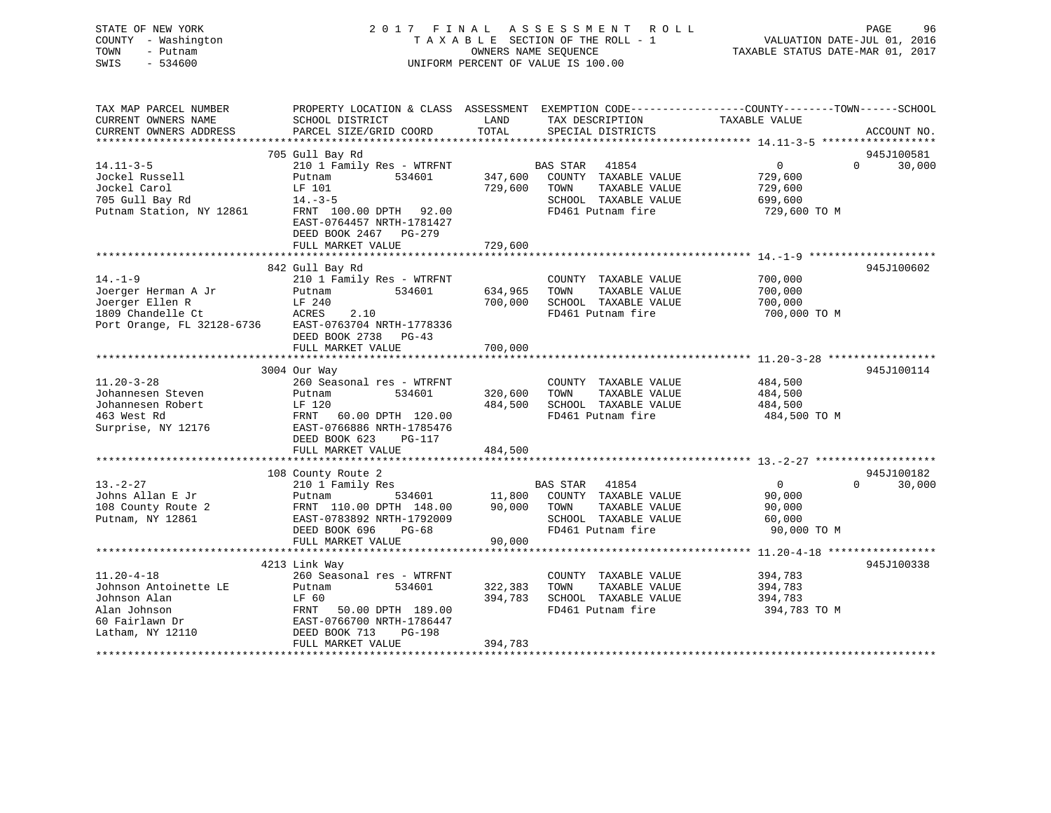| STATE OF NEW YORK<br>COUNTY - Washington<br>- Putnam<br>TOWN<br>$-534600$<br>SWIS | 2017 FINAL ASSESSMENT ROLL<br>UNIFORM PERCENT OF VALUE IS 100.00<br>OWNERS NAME SEQUENCE TAXABLE STATUS DATE-MAR 01, 2017                   |         |                                    |                |                    |  |
|-----------------------------------------------------------------------------------|---------------------------------------------------------------------------------------------------------------------------------------------|---------|------------------------------------|----------------|--------------------|--|
| CURRENT OWNERS NAME                                                               | TAX MAP PARCEL NUMBER THE PROPERTY LOCATION & CLASS ASSESSMENT EXEMPTION CODE---------------COUNTY-------TOWN-----SCHOOL<br>SCHOOL DISTRICT |         | LAND TAX DESCRIPTION TAXABLE VALUE |                |                    |  |
|                                                                                   |                                                                                                                                             |         |                                    |                |                    |  |
|                                                                                   |                                                                                                                                             |         |                                    |                |                    |  |
|                                                                                   | 705 Gull Bay Rd                                                                                                                             |         |                                    |                | 945J100581         |  |
| $14.11 - 3 - 5$                                                                   | 210 1 Family Res - WTRFNT                                                                                                                   |         | BAS STAR 41854                     | $\overline{0}$ | 30,000<br>$\Omega$ |  |
|                                                                                   | Jockel Russell Putnam 534601 347,600 COUNTY TAXABLE VALUE                                                                                   |         |                                    | 729,600        |                    |  |
|                                                                                   |                                                                                                                                             |         | TAXABLE VALUE                      | 729,600        |                    |  |
| 705 Gull Bay Rd 14.-3-5                                                           |                                                                                                                                             |         | SCHOOL TAXABLE VALUE               | 699,600        |                    |  |
|                                                                                   | Putnam Station, NY 12861 FRNT 100.00 DPTH 92.00<br>EAST-0764457 NRTH-1781427<br>DEED BOOK 2467 PG-279                                       |         | FD461 Putnam fire                  | 729,600 TO M   |                    |  |
|                                                                                   |                                                                                                                                             |         |                                    |                |                    |  |
|                                                                                   |                                                                                                                                             |         |                                    |                |                    |  |
|                                                                                   | 842 Gull Bay Rd                                                                                                                             |         |                                    |                | 945J100602         |  |
| $14. - 1 - 9$                                                                     | 210 1 Family Res - WTRFNT                                                                                                                   |         | COUNTY TAXABLE VALUE               | 700,000        |                    |  |
| Joerger Herman A Jr         Putnam           534601                               |                                                                                                                                             | 634,965 | TAXABLE VALUE<br>TOWN              | 700,000        |                    |  |
| Joerger Ellen R Gould LF 240                                                      |                                                                                                                                             |         | 700,000 SCHOOL TAXABLE VALUE       | 700,000        |                    |  |
|                                                                                   | 1809 Chandelle Ct ACRES 2.10<br>Port Orange, FL 32128-6736 EAST-0763704 NRTH-1778336<br>DEED BOOK 2738 PG-43                                |         | FD461 Putnam fire                  | 700,000 TO M   |                    |  |
|                                                                                   | FULL MARKET VALUE                                                                                                                           | 700,000 |                                    |                |                    |  |
|                                                                                   |                                                                                                                                             |         |                                    |                |                    |  |
| $11.20 - 3 - 28$                                                                  | 3004 Our Way<br>260 Seasonal res - WTRFNT                                                                                                   |         | COUNTY TAXABLE VALUE               | 484,500        | 945J100114         |  |

| 11.40-3-40            | 200 SEASONAI IES - WIRFNI |         | COUNII IAAABLE VALUE               | 404, 300     |                    |
|-----------------------|---------------------------|---------|------------------------------------|--------------|--------------------|
| Johannesen Steven     | 534601<br>Putnam          | 320,600 | TOWN<br>TAXABLE VALUE              | 484,500      |                    |
| Johannesen Robert     | LF 120                    | 484,500 | SCHOOL TAXABLE VALUE               | 484,500      |                    |
| 463 West Rd           | FRNT 60.00 DPTH 120.00    |         | FD461 Putnam fire                  | 484,500 TO M |                    |
| Surprise, NY 12176    | EAST-0766886 NRTH-1785476 |         |                                    |              |                    |
|                       | DEED BOOK 623<br>PG-117   |         |                                    |              |                    |
|                       | FULL MARKET VALUE         | 484,500 |                                    |              |                    |
|                       |                           |         |                                    |              |                    |
|                       | 108 County Route 2        |         |                                    |              | 945J100182         |
| $13. -2 - 27$         | 210 1 Family Res          |         | <b>BAS STAR</b> 41854              | $\Omega$     | $\Omega$<br>30,000 |
| Johns Allan E Jr      | Putnam                    |         | 534601 11,800 COUNTY TAXABLE VALUE | 90,000       |                    |
| 108 County Route 2    | FRNT 110.00 DPTH 148.00   | 90,000  | TAXABLE VALUE<br>TOWN              | 90,000       |                    |
| Putnam, NY 12861      | EAST-0783892 NRTH-1792009 |         | SCHOOL TAXABLE VALUE               | 60,000       |                    |
|                       | DEED BOOK 696<br>$PG-68$  |         | FD461 Putnam fire                  | 90,000 TO M  |                    |
|                       | FULL MARKET VALUE         | 90,000  |                                    |              |                    |
|                       |                           |         |                                    |              |                    |
|                       | 4213 Link Way             |         |                                    |              | 945J100338         |
| $11.20 - 4 - 18$      | 260 Seasonal res - WTRFNT |         | TAXABLE VALUE<br>COUNTY            | 394,783      |                    |
| Johnson Antoinette LE | 534601<br>Putnam          | 322,383 | TOWN<br>TAXABLE VALUE              | 394,783      |                    |
|                       | LF 60                     |         |                                    |              |                    |
| Johnson Alan          |                           | 394,783 | SCHOOL TAXABLE VALUE               | 394,783      |                    |
| Alan Johnson          | FRNT 50.00 DPTH 189.00    |         | FD461 Putnam fire                  | 394,783 TO M |                    |
| 60 Fairlawn Dr        | EAST-0766700 NRTH-1786447 |         |                                    |              |                    |
| Latham, NY 12110      | DEED BOOK 713<br>PG-198   |         |                                    |              |                    |
|                       | FULL MARKET VALUE         | 394,783 |                                    |              |                    |
|                       |                           |         |                                    |              |                    |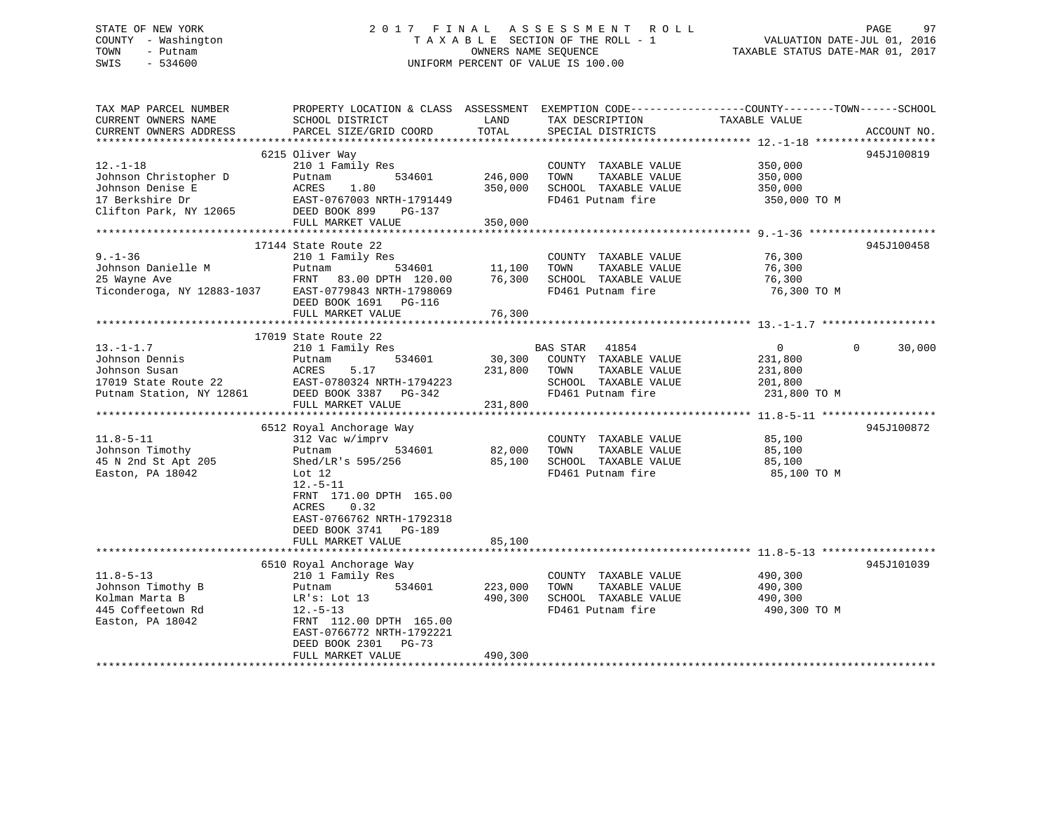# STATE OF NEW YORK 2 0 1 7 F I N A L A S S E S S M E N T R O L L PAGE 97 COUNTY - Washington T A X A B L E SECTION OF THE ROLL - 1 VALUATION DATE-JUL 01, 2016 TOWN - Putnam OWNERS NAME SEQUENCE TAXABLE STATUS DATE-MAR 01, 2017 SWIS - 534600 UNIFORM PERCENT OF VALUE IS 100.00

| TAX MAP PARCEL NUMBER<br>CURRENT OWNERS NAME<br>CURRENT OWNERS ADDRESS                                   | PROPERTY LOCATION & CLASS ASSESSMENT<br>SCHOOL DISTRICT<br>PARCEL SIZE/GRID COORD                                                                                                                                                                                        | LAND<br>TOTAL                                | EXEMPTION CODE-----------------COUNTY-------TOWN------SCHOOL<br>TAX DESCRIPTION<br>SPECIAL DISTRICTS            | TAXABLE VALUE                                                   | ACCOUNT NO.        |
|----------------------------------------------------------------------------------------------------------|--------------------------------------------------------------------------------------------------------------------------------------------------------------------------------------------------------------------------------------------------------------------------|----------------------------------------------|-----------------------------------------------------------------------------------------------------------------|-----------------------------------------------------------------|--------------------|
| $12. - 1 - 18$<br>Johnson Christopher D<br>Johnson Denise E<br>17 Berkshire Dr<br>Clifton Park, NY 12065 | 6215 Oliver Way<br>210 1 Family Res<br>534601<br>Putnam<br>1.80<br>ACRES<br>EAST-0767003 NRTH-1791449<br>DEED BOOK 899<br>PG-137<br>FULL MARKET VALUE                                                                                                                    | 246,000<br>350,000<br>350,000                | COUNTY TAXABLE VALUE<br>TOWN<br>TAXABLE VALUE<br>SCHOOL TAXABLE VALUE<br>FD461 Putnam fire                      | 350,000<br>350,000<br>350,000<br>350,000 TO M                   | 945J100819         |
| $9. - 1 - 36$<br>Johnson Danielle M<br>25 Wayne Ave<br>Ticonderoga, NY 12883-1037                        | 17144 State Route 22<br>210 1 Family Res<br>534601<br>Putnam<br>FRNT 83.00 DPTH 120.00<br>EAST-0779843 NRTH-1798069<br>DEED BOOK 1691<br><b>PG-116</b><br>FULL MARKET VALUE                                                                                              | 11,100<br>76,300<br>76,300                   | COUNTY TAXABLE VALUE<br>TOWN<br>TAXABLE VALUE<br>SCHOOL TAXABLE VALUE<br>FD461 Putnam fire                      | 76,300<br>76,300<br>76,300<br>76,300 TO M                       | 945J100458         |
| $13.-1-1.7$<br>Johnson Dennis<br>Johnson Susan<br>17019 State Route 22<br>Putnam Station, NY 12861       | 17019 State Route 22<br>210 1 Family Res<br>534601<br>Putnam<br>ACRES<br>5.17<br>EAST-0780324 NRTH-1794223<br>DEED BOOK 3387<br>PG-342<br>FULL MARKET VALUE                                                                                                              | 30,300<br>231,800<br>231,800                 | BAS STAR<br>41854<br>COUNTY TAXABLE VALUE<br>TOWN<br>TAXABLE VALUE<br>SCHOOL TAXABLE VALUE<br>FD461 Putnam fire | $\overline{0}$<br>231,800<br>231,800<br>201,800<br>231,800 TO M | 30,000<br>$\Omega$ |
| $11.8 - 5 - 11$<br>Johnson Timothy<br>45 N 2nd St Apt 205<br>Easton, PA 18042                            | ****************************<br>6512 Royal Anchorage Way<br>312 Vac w/imprv<br>534601<br>Putnam<br>Shed/LR's 595/256<br>Lot $12$<br>$12.-5-11$<br>FRNT 171.00 DPTH 165.00<br>0.32<br>ACRES<br>EAST-0766762 NRTH-1792318<br>DEED BOOK 3741<br>PG-189<br>FULL MARKET VALUE | **************<br>82,000<br>85,100<br>85,100 | COUNTY TAXABLE VALUE<br>TOWN<br>TAXABLE VALUE<br>SCHOOL TAXABLE VALUE<br>FD461 Putnam fire                      | 85,100<br>85,100<br>85,100<br>85,100 TO M                       | 945J100872         |
| $11.8 - 5 - 13$<br>Johnson Timothy B<br>Kolman Marta B<br>445 Coffeetown Rd<br>Easton, PA 18042          | 6510 Royal Anchorage Way<br>210 1 Family Res<br>534601<br>Putnam<br>LR's: Lot 13<br>$12.-5-13$<br>FRNT 112.00 DPTH 165.00<br>EAST-0766772 NRTH-1792221<br>DEED BOOK 2301<br>$PG-73$<br>FULL MARKET VALUE                                                                 | 223,000<br>490,300<br>490,300                | COUNTY TAXABLE VALUE<br>TAXABLE VALUE<br>TOWN<br>SCHOOL TAXABLE VALUE<br>FD461 Putnam fire                      | 490,300<br>490,300<br>490,300<br>490,300 TO M                   | 945J101039         |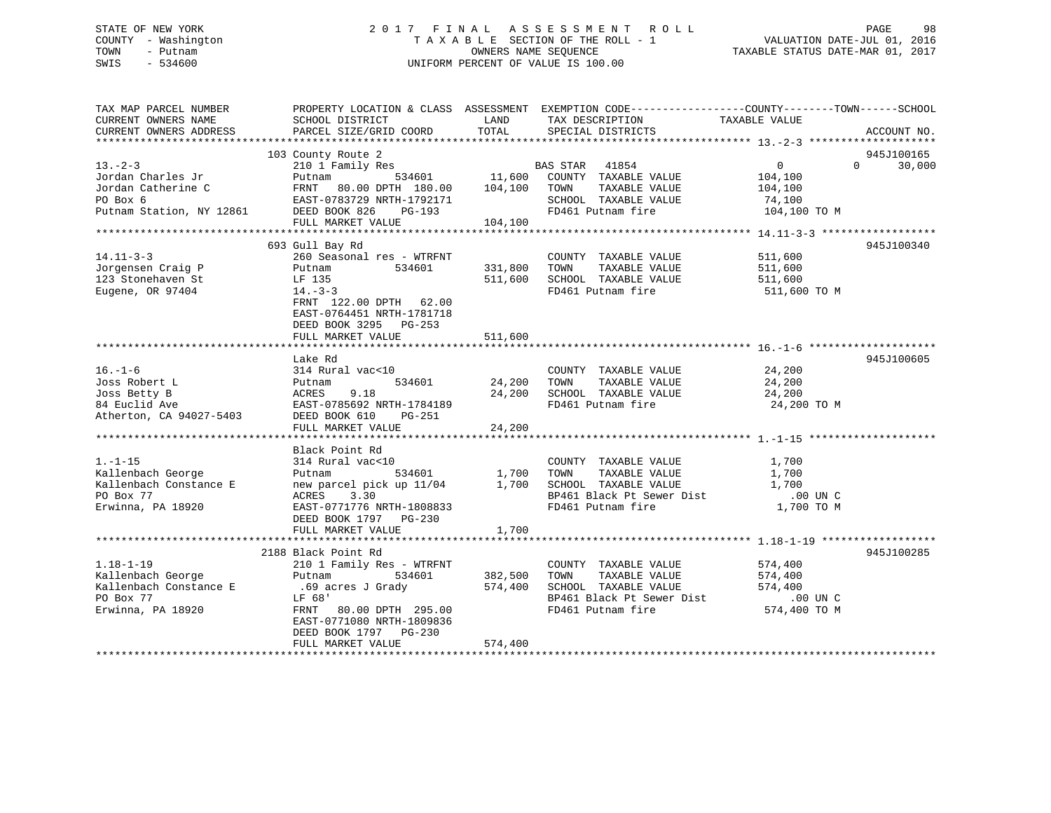# STATE OF NEW YORK 2 0 1 7 F I N A L A S S E S S M E N T R O L L PAGE 98 COUNTY - Washington T A X A B L E SECTION OF THE ROLL - 1 VALUATION DATE-JUL 01, 2016 TOWN - Putnam OWNERS NAME SEQUENCE TAXABLE STATUS DATE-MAR 01, 2017 SWIS - 534600 UNIFORM PERCENT OF VALUE IS 100.00

| TAX MAP PARCEL NUMBER<br>CURRENT OWNERS NAME<br>CURRENT OWNERS ADDRESS                           | PROPERTY LOCATION & CLASS ASSESSMENT EXEMPTION CODE---------------COUNTY-------TOWN------SCHOOL<br>SCHOOL DISTRICT<br>PARCEL SIZE/GRID COORD                                                             | LAND<br>TOTAL                 | TAX DESCRIPTION<br>SPECIAL DISTRICTS                                                                                    | TAXABLE VALUE                                                  | ACCOUNT NO.                 |
|--------------------------------------------------------------------------------------------------|----------------------------------------------------------------------------------------------------------------------------------------------------------------------------------------------------------|-------------------------------|-------------------------------------------------------------------------------------------------------------------------|----------------------------------------------------------------|-----------------------------|
|                                                                                                  |                                                                                                                                                                                                          |                               |                                                                                                                         |                                                                |                             |
| $13. -2 - 3$<br>Jordan Charles Jr<br>Jordan Catherine C<br>PO Box 6<br>Putnam Station, NY 12861  | 103 County Route 2<br>210 1 Family Res<br>Putnam<br>FRNT 80.00 DPTH 180.00 104,100<br>EAST-0783729 NRTH-1792171<br>DEED BOOK 826<br>PG-193<br>FULL MARKET VALUE                                          | 534601 11,600<br>104,100      | BAS STAR 41854<br>COUNTY TAXABLE VALUE<br>TOWN<br>TAXABLE VALUE<br>SCHOOL TAXABLE VALUE<br>FD461 Putnam fire            | $\overline{0}$<br>104,100<br>104,100<br>74,100<br>104,100 TO M | 945J100165<br>$0 \t 30,000$ |
|                                                                                                  |                                                                                                                                                                                                          |                               |                                                                                                                         |                                                                |                             |
| $14.11 - 3 - 3$<br>Jorgensen Craig P<br>123 Stonehaven St<br>Eugene, OR 97404                    | 693 Gull Bay Rd<br>260 Seasonal res - WTRFNT<br>534601<br>Putnam<br>LF 135<br>$14. -3 -3$<br>FRNT 122.00 DPTH 62.00<br>EAST-0764451 NRTH-1781718<br>DEED BOOK 3295 PG-253                                | 331,800<br>511,600            | COUNTY TAXABLE VALUE<br>TOWN<br>TAXABLE VALUE<br>SCHOOL TAXABLE VALUE<br>FD461 Putnam fire                              | 511,600<br>511,600<br>511,600<br>511,600 TO M                  | 945J100340                  |
|                                                                                                  | FULL MARKET VALUE                                                                                                                                                                                        | 511,600                       |                                                                                                                         |                                                                |                             |
| $16. - 1 - 6$<br>Joss Robert L<br>Joss Betty B<br>84 Euclid Ave<br>Atherton, CA 94027-5403       | Lake Rd<br>314 Rural vac<10<br>534601<br>Putnam<br>9.18<br>ACRES<br>EAST-0785692 NRTH-1784189<br>DEED BOOK 610<br>PG-251<br>FULL MARKET VALUE                                                            | 24,200<br>24,200<br>24,200    | COUNTY TAXABLE VALUE<br>TOWN<br>TAXABLE VALUE<br>SCHOOL TAXABLE VALUE<br>FD461 Putnam fire                              | 24,200<br>24,200<br>24,200<br>24,200 TO M                      | 945J100605                  |
|                                                                                                  |                                                                                                                                                                                                          |                               |                                                                                                                         |                                                                |                             |
| $1. - 1 - 15$<br>Kallenbach George<br>Kallenbach Constance E<br>PO Box 77<br>Erwinna, PA 18920   | Black Point Rd<br>314 Rural vac<10<br>534601<br>Putnam<br>new parcel pick up 11/04<br>ACRES<br>3.30<br>EAST-0771776 NRTH-1808833<br>DEED BOOK 1797 PG-230<br>FULL MARKET VALUE                           | 1,700<br>1,700<br>1,700       | COUNTY TAXABLE VALUE<br>TOWN<br>TAXABLE VALUE<br>SCHOOL TAXABLE VALUE<br>BP461 Black Pt Sewer Dist<br>FD461 Putnam fire | 1,700<br>1,700<br>1,700<br>.00 UN C<br>1,700 TO M              |                             |
|                                                                                                  |                                                                                                                                                                                                          |                               |                                                                                                                         |                                                                |                             |
| $1.18 - 1 - 19$<br>Kallenbach George<br>Kallenbach Constance E<br>PO Box 77<br>Erwinna, PA 18920 | 2188 Black Point Rd<br>210 1 Family Res - WTRFNT<br>Putnam<br>534601<br>.69 acres J Grady<br>LF 68'<br>FRNT 80.00 DPTH 295.00<br>EAST-0771080 NRTH-1809836<br>DEED BOOK 1797 PG-230<br>FULL MARKET VALUE | 382,500<br>574,400<br>574,400 | COUNTY TAXABLE VALUE<br>TAXABLE VALUE<br>TOWN<br>SCHOOL TAXABLE VALUE<br>BP461 Black Pt Sewer Dist<br>FD461 Putnam fire | 574,400<br>574,400<br>574,400<br>$.00$ UN C<br>574,400 TO M    | 945J100285                  |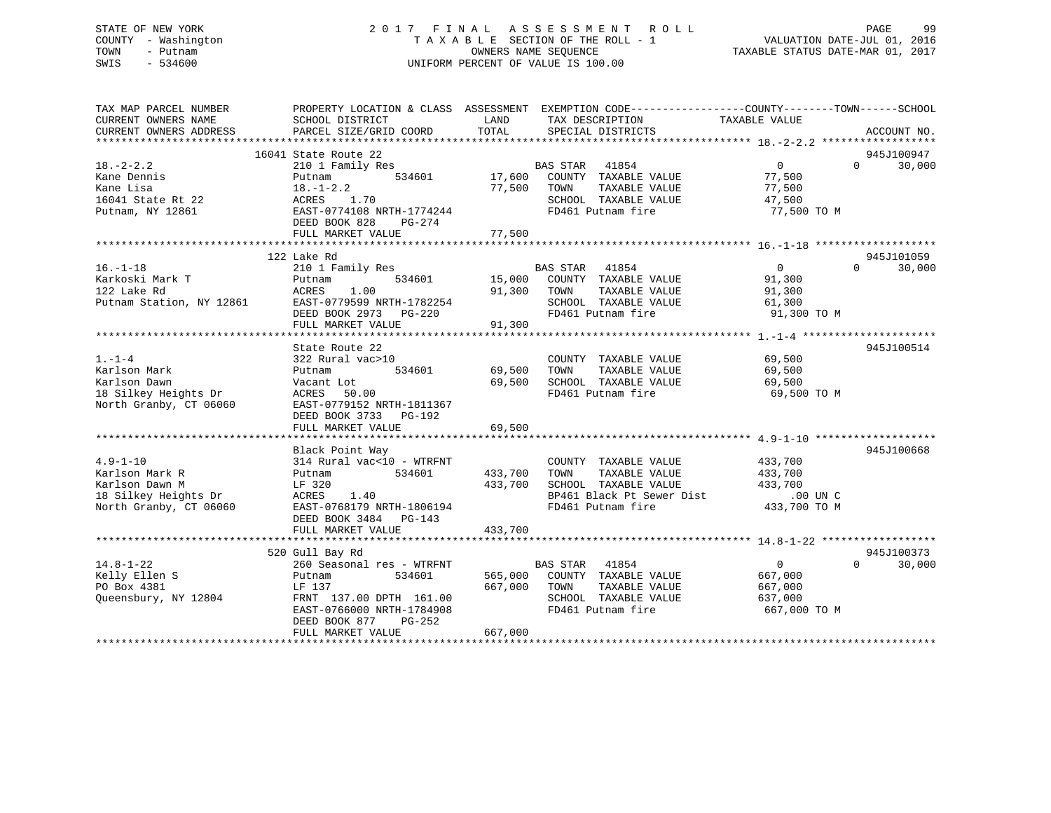# STATE OF NEW YORK 2 0 1 7 F I N A L A S S E S S M E N T R O L L PAGE 99 COUNTY - Washington T A X A B L E SECTION OF THE ROLL - 1 VALUATION DATE-JUL 01, 2016 TOWN - Putnam OWNERS NAME SEQUENCE TAXABLE STATUS DATE-MAR 01, 2017 SWIS - 534600 UNIFORM PERCENT OF VALUE IS 100.00

| 16041 State Route 22<br>945J100947<br>$18. - 2 - 2.2$<br><b>BAS STAR</b><br>41854<br>$\overline{0}$<br>30,000<br>210 1 Family Res<br>$\Omega$<br>534601<br>17,600<br>COUNTY TAXABLE VALUE<br>77,500<br>Kane Dennis<br>Putnam<br>Kane Lisa<br>$18. - 1 - 2.2$<br>77,500 TOWN<br>TAXABLE VALUE<br>77,500<br>16041 State Rt 22<br>ACRES<br>1.70<br>SCHOOL TAXABLE VALUE<br>47,500<br>EAST-0774108 NRTH-1774244<br>FD461 Putnam fire<br>Putnam, NY 12861<br>77,500 TO M<br>DEED BOOK 828<br>PG-274<br>77,500<br>FULL MARKET VALUE<br>122 Lake Rd<br>945J101059<br>BAS STAR 41854<br>$\overline{0}$<br>30,000<br>$16. - 1 - 18$<br>210 1 Family Res<br>$\Omega$<br>COUNTY TAXABLE VALUE<br>Karkoski Mark T<br>534601<br>15,000<br>91,300<br>Putnam<br>122 Lake Rd<br>1.00<br>91,300<br>TAXABLE VALUE<br>ACRES<br>TOWN<br>91,300<br>Putnam Station, NY 12861<br>EAST-0779599 NRTH-1782254<br>SCHOOL TAXABLE VALUE<br>61,300<br>DEED BOOK 2973 PG-220<br>FD461 Putnam fire<br>91,300 TO M<br>91,300<br>FULL MARKET VALUE<br>State Route 22<br>945J100514<br>$1. - 1 - 4$<br>322 Rural vac>10<br>COUNTY TAXABLE VALUE<br>69,500<br>69,500<br>Karlson Mark<br>534601<br>TOWN<br>TAXABLE VALUE<br>69,500<br>Putnam<br>69,500<br>SCHOOL TAXABLE VALUE<br>Karlson Dawn<br>69,500<br>Vacant Lot<br>18 Silkey Heights Dr<br>FD461 Putnam fire<br>ACRES 50.00<br>69,500 TO M<br>North Granby, CT 06060<br>EAST-0779152 NRTH-1811367<br>DEED BOOK 3733 PG-192<br>FULL MARKET VALUE<br>69,500<br>Black Point Way<br>945J100668<br>$4.9 - 1 - 10$<br>314 Rural vac<10 - WTRFNT<br>433,700<br>COUNTY TAXABLE VALUE<br>433,700<br>TAXABLE VALUE<br>Karlson Mark R<br>Putnam<br>534601<br>TOWN<br>433,700<br>433,700<br>SCHOOL TAXABLE VALUE<br>Karlson Dawn M<br>LF 320<br>433,700<br>18 Silkey Heights Dr<br>BP461 Black Pt Sewer Dist<br>ACRES<br>1.40<br>$.00$ UN C<br>North Granby, CT 06060<br>EAST-0768179 NRTH-1806194<br>FD461 Putnam fire<br>433,700 TO M<br>DEED BOOK 3484 PG-143<br>433,700<br>FULL MARKET VALUE<br>520 Gull Bay Rd<br>945J100373<br>$14.8 - 1 - 22$<br>260 Seasonal res - WTRFNT<br>BAS STAR<br>$\overline{0}$<br>41854<br>$\Omega$<br>30,000<br>Kelly Ellen S<br>565,000<br>534601<br>COUNTY TAXABLE VALUE<br>667,000<br>Putnam<br>PO Box 4381<br>667,000<br>TOWN<br>TAXABLE VALUE<br>LF 137<br>667,000<br>Oueensbury, NY 12804<br>FRNT 137.00 DPTH 161.00<br>SCHOOL TAXABLE VALUE<br>637,000<br>FD461 Putnam fire<br>EAST-0766000 NRTH-1784908<br>667,000 TO M<br>DEED BOOK 877<br>PG-252<br>667,000<br>FULL MARKET VALUE | TAX MAP PARCEL NUMBER<br>CURRENT OWNERS NAME<br>CURRENT OWNERS ADDRESS | SCHOOL DISTRICT<br>PARCEL SIZE/GRID COORD | LAND<br>TAX DESCRIPTION<br>TOTAL<br>SPECIAL DISTRICTS | PROPERTY LOCATION & CLASS ASSESSMENT EXEMPTION CODE----------------COUNTY-------TOWN------SCHOOL<br>TAXABLE VALUE | ACCOUNT NO. |
|-------------------------------------------------------------------------------------------------------------------------------------------------------------------------------------------------------------------------------------------------------------------------------------------------------------------------------------------------------------------------------------------------------------------------------------------------------------------------------------------------------------------------------------------------------------------------------------------------------------------------------------------------------------------------------------------------------------------------------------------------------------------------------------------------------------------------------------------------------------------------------------------------------------------------------------------------------------------------------------------------------------------------------------------------------------------------------------------------------------------------------------------------------------------------------------------------------------------------------------------------------------------------------------------------------------------------------------------------------------------------------------------------------------------------------------------------------------------------------------------------------------------------------------------------------------------------------------------------------------------------------------------------------------------------------------------------------------------------------------------------------------------------------------------------------------------------------------------------------------------------------------------------------------------------------------------------------------------------------------------------------------------------------------------------------------------------------------------------------------------------------------------------------------------------------------------------------------------------------------------------------------------------------------------------------------------------------------------------------------------------------------------------------------------------------------------------------------------------------------------------------------------------------------|------------------------------------------------------------------------|-------------------------------------------|-------------------------------------------------------|-------------------------------------------------------------------------------------------------------------------|-------------|
|                                                                                                                                                                                                                                                                                                                                                                                                                                                                                                                                                                                                                                                                                                                                                                                                                                                                                                                                                                                                                                                                                                                                                                                                                                                                                                                                                                                                                                                                                                                                                                                                                                                                                                                                                                                                                                                                                                                                                                                                                                                                                                                                                                                                                                                                                                                                                                                                                                                                                                                                     |                                                                        |                                           |                                                       |                                                                                                                   |             |
|                                                                                                                                                                                                                                                                                                                                                                                                                                                                                                                                                                                                                                                                                                                                                                                                                                                                                                                                                                                                                                                                                                                                                                                                                                                                                                                                                                                                                                                                                                                                                                                                                                                                                                                                                                                                                                                                                                                                                                                                                                                                                                                                                                                                                                                                                                                                                                                                                                                                                                                                     |                                                                        |                                           |                                                       |                                                                                                                   |             |
|                                                                                                                                                                                                                                                                                                                                                                                                                                                                                                                                                                                                                                                                                                                                                                                                                                                                                                                                                                                                                                                                                                                                                                                                                                                                                                                                                                                                                                                                                                                                                                                                                                                                                                                                                                                                                                                                                                                                                                                                                                                                                                                                                                                                                                                                                                                                                                                                                                                                                                                                     |                                                                        |                                           |                                                       |                                                                                                                   |             |
|                                                                                                                                                                                                                                                                                                                                                                                                                                                                                                                                                                                                                                                                                                                                                                                                                                                                                                                                                                                                                                                                                                                                                                                                                                                                                                                                                                                                                                                                                                                                                                                                                                                                                                                                                                                                                                                                                                                                                                                                                                                                                                                                                                                                                                                                                                                                                                                                                                                                                                                                     |                                                                        |                                           |                                                       |                                                                                                                   |             |
|                                                                                                                                                                                                                                                                                                                                                                                                                                                                                                                                                                                                                                                                                                                                                                                                                                                                                                                                                                                                                                                                                                                                                                                                                                                                                                                                                                                                                                                                                                                                                                                                                                                                                                                                                                                                                                                                                                                                                                                                                                                                                                                                                                                                                                                                                                                                                                                                                                                                                                                                     |                                                                        |                                           |                                                       |                                                                                                                   |             |
|                                                                                                                                                                                                                                                                                                                                                                                                                                                                                                                                                                                                                                                                                                                                                                                                                                                                                                                                                                                                                                                                                                                                                                                                                                                                                                                                                                                                                                                                                                                                                                                                                                                                                                                                                                                                                                                                                                                                                                                                                                                                                                                                                                                                                                                                                                                                                                                                                                                                                                                                     |                                                                        |                                           |                                                       |                                                                                                                   |             |
|                                                                                                                                                                                                                                                                                                                                                                                                                                                                                                                                                                                                                                                                                                                                                                                                                                                                                                                                                                                                                                                                                                                                                                                                                                                                                                                                                                                                                                                                                                                                                                                                                                                                                                                                                                                                                                                                                                                                                                                                                                                                                                                                                                                                                                                                                                                                                                                                                                                                                                                                     |                                                                        |                                           |                                                       |                                                                                                                   |             |
|                                                                                                                                                                                                                                                                                                                                                                                                                                                                                                                                                                                                                                                                                                                                                                                                                                                                                                                                                                                                                                                                                                                                                                                                                                                                                                                                                                                                                                                                                                                                                                                                                                                                                                                                                                                                                                                                                                                                                                                                                                                                                                                                                                                                                                                                                                                                                                                                                                                                                                                                     |                                                                        |                                           |                                                       |                                                                                                                   |             |
|                                                                                                                                                                                                                                                                                                                                                                                                                                                                                                                                                                                                                                                                                                                                                                                                                                                                                                                                                                                                                                                                                                                                                                                                                                                                                                                                                                                                                                                                                                                                                                                                                                                                                                                                                                                                                                                                                                                                                                                                                                                                                                                                                                                                                                                                                                                                                                                                                                                                                                                                     |                                                                        |                                           |                                                       |                                                                                                                   |             |
|                                                                                                                                                                                                                                                                                                                                                                                                                                                                                                                                                                                                                                                                                                                                                                                                                                                                                                                                                                                                                                                                                                                                                                                                                                                                                                                                                                                                                                                                                                                                                                                                                                                                                                                                                                                                                                                                                                                                                                                                                                                                                                                                                                                                                                                                                                                                                                                                                                                                                                                                     |                                                                        |                                           |                                                       |                                                                                                                   |             |
|                                                                                                                                                                                                                                                                                                                                                                                                                                                                                                                                                                                                                                                                                                                                                                                                                                                                                                                                                                                                                                                                                                                                                                                                                                                                                                                                                                                                                                                                                                                                                                                                                                                                                                                                                                                                                                                                                                                                                                                                                                                                                                                                                                                                                                                                                                                                                                                                                                                                                                                                     |                                                                        |                                           |                                                       |                                                                                                                   |             |
|                                                                                                                                                                                                                                                                                                                                                                                                                                                                                                                                                                                                                                                                                                                                                                                                                                                                                                                                                                                                                                                                                                                                                                                                                                                                                                                                                                                                                                                                                                                                                                                                                                                                                                                                                                                                                                                                                                                                                                                                                                                                                                                                                                                                                                                                                                                                                                                                                                                                                                                                     |                                                                        |                                           |                                                       |                                                                                                                   |             |
|                                                                                                                                                                                                                                                                                                                                                                                                                                                                                                                                                                                                                                                                                                                                                                                                                                                                                                                                                                                                                                                                                                                                                                                                                                                                                                                                                                                                                                                                                                                                                                                                                                                                                                                                                                                                                                                                                                                                                                                                                                                                                                                                                                                                                                                                                                                                                                                                                                                                                                                                     |                                                                        |                                           |                                                       |                                                                                                                   |             |
|                                                                                                                                                                                                                                                                                                                                                                                                                                                                                                                                                                                                                                                                                                                                                                                                                                                                                                                                                                                                                                                                                                                                                                                                                                                                                                                                                                                                                                                                                                                                                                                                                                                                                                                                                                                                                                                                                                                                                                                                                                                                                                                                                                                                                                                                                                                                                                                                                                                                                                                                     |                                                                        |                                           |                                                       |                                                                                                                   |             |
|                                                                                                                                                                                                                                                                                                                                                                                                                                                                                                                                                                                                                                                                                                                                                                                                                                                                                                                                                                                                                                                                                                                                                                                                                                                                                                                                                                                                                                                                                                                                                                                                                                                                                                                                                                                                                                                                                                                                                                                                                                                                                                                                                                                                                                                                                                                                                                                                                                                                                                                                     |                                                                        |                                           |                                                       |                                                                                                                   |             |
|                                                                                                                                                                                                                                                                                                                                                                                                                                                                                                                                                                                                                                                                                                                                                                                                                                                                                                                                                                                                                                                                                                                                                                                                                                                                                                                                                                                                                                                                                                                                                                                                                                                                                                                                                                                                                                                                                                                                                                                                                                                                                                                                                                                                                                                                                                                                                                                                                                                                                                                                     |                                                                        |                                           |                                                       |                                                                                                                   |             |
|                                                                                                                                                                                                                                                                                                                                                                                                                                                                                                                                                                                                                                                                                                                                                                                                                                                                                                                                                                                                                                                                                                                                                                                                                                                                                                                                                                                                                                                                                                                                                                                                                                                                                                                                                                                                                                                                                                                                                                                                                                                                                                                                                                                                                                                                                                                                                                                                                                                                                                                                     |                                                                        |                                           |                                                       |                                                                                                                   |             |
|                                                                                                                                                                                                                                                                                                                                                                                                                                                                                                                                                                                                                                                                                                                                                                                                                                                                                                                                                                                                                                                                                                                                                                                                                                                                                                                                                                                                                                                                                                                                                                                                                                                                                                                                                                                                                                                                                                                                                                                                                                                                                                                                                                                                                                                                                                                                                                                                                                                                                                                                     |                                                                        |                                           |                                                       |                                                                                                                   |             |
|                                                                                                                                                                                                                                                                                                                                                                                                                                                                                                                                                                                                                                                                                                                                                                                                                                                                                                                                                                                                                                                                                                                                                                                                                                                                                                                                                                                                                                                                                                                                                                                                                                                                                                                                                                                                                                                                                                                                                                                                                                                                                                                                                                                                                                                                                                                                                                                                                                                                                                                                     |                                                                        |                                           |                                                       |                                                                                                                   |             |
|                                                                                                                                                                                                                                                                                                                                                                                                                                                                                                                                                                                                                                                                                                                                                                                                                                                                                                                                                                                                                                                                                                                                                                                                                                                                                                                                                                                                                                                                                                                                                                                                                                                                                                                                                                                                                                                                                                                                                                                                                                                                                                                                                                                                                                                                                                                                                                                                                                                                                                                                     |                                                                        |                                           |                                                       |                                                                                                                   |             |
|                                                                                                                                                                                                                                                                                                                                                                                                                                                                                                                                                                                                                                                                                                                                                                                                                                                                                                                                                                                                                                                                                                                                                                                                                                                                                                                                                                                                                                                                                                                                                                                                                                                                                                                                                                                                                                                                                                                                                                                                                                                                                                                                                                                                                                                                                                                                                                                                                                                                                                                                     |                                                                        |                                           |                                                       |                                                                                                                   |             |
|                                                                                                                                                                                                                                                                                                                                                                                                                                                                                                                                                                                                                                                                                                                                                                                                                                                                                                                                                                                                                                                                                                                                                                                                                                                                                                                                                                                                                                                                                                                                                                                                                                                                                                                                                                                                                                                                                                                                                                                                                                                                                                                                                                                                                                                                                                                                                                                                                                                                                                                                     |                                                                        |                                           |                                                       |                                                                                                                   |             |
|                                                                                                                                                                                                                                                                                                                                                                                                                                                                                                                                                                                                                                                                                                                                                                                                                                                                                                                                                                                                                                                                                                                                                                                                                                                                                                                                                                                                                                                                                                                                                                                                                                                                                                                                                                                                                                                                                                                                                                                                                                                                                                                                                                                                                                                                                                                                                                                                                                                                                                                                     |                                                                        |                                           |                                                       |                                                                                                                   |             |
|                                                                                                                                                                                                                                                                                                                                                                                                                                                                                                                                                                                                                                                                                                                                                                                                                                                                                                                                                                                                                                                                                                                                                                                                                                                                                                                                                                                                                                                                                                                                                                                                                                                                                                                                                                                                                                                                                                                                                                                                                                                                                                                                                                                                                                                                                                                                                                                                                                                                                                                                     |                                                                        |                                           |                                                       |                                                                                                                   |             |
|                                                                                                                                                                                                                                                                                                                                                                                                                                                                                                                                                                                                                                                                                                                                                                                                                                                                                                                                                                                                                                                                                                                                                                                                                                                                                                                                                                                                                                                                                                                                                                                                                                                                                                                                                                                                                                                                                                                                                                                                                                                                                                                                                                                                                                                                                                                                                                                                                                                                                                                                     |                                                                        |                                           |                                                       |                                                                                                                   |             |
|                                                                                                                                                                                                                                                                                                                                                                                                                                                                                                                                                                                                                                                                                                                                                                                                                                                                                                                                                                                                                                                                                                                                                                                                                                                                                                                                                                                                                                                                                                                                                                                                                                                                                                                                                                                                                                                                                                                                                                                                                                                                                                                                                                                                                                                                                                                                                                                                                                                                                                                                     |                                                                        |                                           |                                                       |                                                                                                                   |             |
|                                                                                                                                                                                                                                                                                                                                                                                                                                                                                                                                                                                                                                                                                                                                                                                                                                                                                                                                                                                                                                                                                                                                                                                                                                                                                                                                                                                                                                                                                                                                                                                                                                                                                                                                                                                                                                                                                                                                                                                                                                                                                                                                                                                                                                                                                                                                                                                                                                                                                                                                     |                                                                        |                                           |                                                       |                                                                                                                   |             |
|                                                                                                                                                                                                                                                                                                                                                                                                                                                                                                                                                                                                                                                                                                                                                                                                                                                                                                                                                                                                                                                                                                                                                                                                                                                                                                                                                                                                                                                                                                                                                                                                                                                                                                                                                                                                                                                                                                                                                                                                                                                                                                                                                                                                                                                                                                                                                                                                                                                                                                                                     |                                                                        |                                           |                                                       |                                                                                                                   |             |
|                                                                                                                                                                                                                                                                                                                                                                                                                                                                                                                                                                                                                                                                                                                                                                                                                                                                                                                                                                                                                                                                                                                                                                                                                                                                                                                                                                                                                                                                                                                                                                                                                                                                                                                                                                                                                                                                                                                                                                                                                                                                                                                                                                                                                                                                                                                                                                                                                                                                                                                                     |                                                                        |                                           |                                                       |                                                                                                                   |             |
|                                                                                                                                                                                                                                                                                                                                                                                                                                                                                                                                                                                                                                                                                                                                                                                                                                                                                                                                                                                                                                                                                                                                                                                                                                                                                                                                                                                                                                                                                                                                                                                                                                                                                                                                                                                                                                                                                                                                                                                                                                                                                                                                                                                                                                                                                                                                                                                                                                                                                                                                     |                                                                        |                                           |                                                       |                                                                                                                   |             |
|                                                                                                                                                                                                                                                                                                                                                                                                                                                                                                                                                                                                                                                                                                                                                                                                                                                                                                                                                                                                                                                                                                                                                                                                                                                                                                                                                                                                                                                                                                                                                                                                                                                                                                                                                                                                                                                                                                                                                                                                                                                                                                                                                                                                                                                                                                                                                                                                                                                                                                                                     |                                                                        |                                           |                                                       |                                                                                                                   |             |
|                                                                                                                                                                                                                                                                                                                                                                                                                                                                                                                                                                                                                                                                                                                                                                                                                                                                                                                                                                                                                                                                                                                                                                                                                                                                                                                                                                                                                                                                                                                                                                                                                                                                                                                                                                                                                                                                                                                                                                                                                                                                                                                                                                                                                                                                                                                                                                                                                                                                                                                                     |                                                                        |                                           |                                                       |                                                                                                                   |             |
|                                                                                                                                                                                                                                                                                                                                                                                                                                                                                                                                                                                                                                                                                                                                                                                                                                                                                                                                                                                                                                                                                                                                                                                                                                                                                                                                                                                                                                                                                                                                                                                                                                                                                                                                                                                                                                                                                                                                                                                                                                                                                                                                                                                                                                                                                                                                                                                                                                                                                                                                     |                                                                        |                                           |                                                       |                                                                                                                   |             |
|                                                                                                                                                                                                                                                                                                                                                                                                                                                                                                                                                                                                                                                                                                                                                                                                                                                                                                                                                                                                                                                                                                                                                                                                                                                                                                                                                                                                                                                                                                                                                                                                                                                                                                                                                                                                                                                                                                                                                                                                                                                                                                                                                                                                                                                                                                                                                                                                                                                                                                                                     |                                                                        |                                           |                                                       |                                                                                                                   |             |
|                                                                                                                                                                                                                                                                                                                                                                                                                                                                                                                                                                                                                                                                                                                                                                                                                                                                                                                                                                                                                                                                                                                                                                                                                                                                                                                                                                                                                                                                                                                                                                                                                                                                                                                                                                                                                                                                                                                                                                                                                                                                                                                                                                                                                                                                                                                                                                                                                                                                                                                                     |                                                                        |                                           |                                                       |                                                                                                                   |             |
|                                                                                                                                                                                                                                                                                                                                                                                                                                                                                                                                                                                                                                                                                                                                                                                                                                                                                                                                                                                                                                                                                                                                                                                                                                                                                                                                                                                                                                                                                                                                                                                                                                                                                                                                                                                                                                                                                                                                                                                                                                                                                                                                                                                                                                                                                                                                                                                                                                                                                                                                     |                                                                        |                                           |                                                       |                                                                                                                   |             |
|                                                                                                                                                                                                                                                                                                                                                                                                                                                                                                                                                                                                                                                                                                                                                                                                                                                                                                                                                                                                                                                                                                                                                                                                                                                                                                                                                                                                                                                                                                                                                                                                                                                                                                                                                                                                                                                                                                                                                                                                                                                                                                                                                                                                                                                                                                                                                                                                                                                                                                                                     |                                                                        |                                           |                                                       |                                                                                                                   |             |
|                                                                                                                                                                                                                                                                                                                                                                                                                                                                                                                                                                                                                                                                                                                                                                                                                                                                                                                                                                                                                                                                                                                                                                                                                                                                                                                                                                                                                                                                                                                                                                                                                                                                                                                                                                                                                                                                                                                                                                                                                                                                                                                                                                                                                                                                                                                                                                                                                                                                                                                                     |                                                                        |                                           |                                                       |                                                                                                                   |             |
|                                                                                                                                                                                                                                                                                                                                                                                                                                                                                                                                                                                                                                                                                                                                                                                                                                                                                                                                                                                                                                                                                                                                                                                                                                                                                                                                                                                                                                                                                                                                                                                                                                                                                                                                                                                                                                                                                                                                                                                                                                                                                                                                                                                                                                                                                                                                                                                                                                                                                                                                     |                                                                        |                                           |                                                       |                                                                                                                   |             |
|                                                                                                                                                                                                                                                                                                                                                                                                                                                                                                                                                                                                                                                                                                                                                                                                                                                                                                                                                                                                                                                                                                                                                                                                                                                                                                                                                                                                                                                                                                                                                                                                                                                                                                                                                                                                                                                                                                                                                                                                                                                                                                                                                                                                                                                                                                                                                                                                                                                                                                                                     |                                                                        |                                           |                                                       |                                                                                                                   |             |
|                                                                                                                                                                                                                                                                                                                                                                                                                                                                                                                                                                                                                                                                                                                                                                                                                                                                                                                                                                                                                                                                                                                                                                                                                                                                                                                                                                                                                                                                                                                                                                                                                                                                                                                                                                                                                                                                                                                                                                                                                                                                                                                                                                                                                                                                                                                                                                                                                                                                                                                                     |                                                                        |                                           |                                                       |                                                                                                                   |             |
|                                                                                                                                                                                                                                                                                                                                                                                                                                                                                                                                                                                                                                                                                                                                                                                                                                                                                                                                                                                                                                                                                                                                                                                                                                                                                                                                                                                                                                                                                                                                                                                                                                                                                                                                                                                                                                                                                                                                                                                                                                                                                                                                                                                                                                                                                                                                                                                                                                                                                                                                     |                                                                        |                                           |                                                       |                                                                                                                   |             |
|                                                                                                                                                                                                                                                                                                                                                                                                                                                                                                                                                                                                                                                                                                                                                                                                                                                                                                                                                                                                                                                                                                                                                                                                                                                                                                                                                                                                                                                                                                                                                                                                                                                                                                                                                                                                                                                                                                                                                                                                                                                                                                                                                                                                                                                                                                                                                                                                                                                                                                                                     |                                                                        |                                           |                                                       |                                                                                                                   |             |
|                                                                                                                                                                                                                                                                                                                                                                                                                                                                                                                                                                                                                                                                                                                                                                                                                                                                                                                                                                                                                                                                                                                                                                                                                                                                                                                                                                                                                                                                                                                                                                                                                                                                                                                                                                                                                                                                                                                                                                                                                                                                                                                                                                                                                                                                                                                                                                                                                                                                                                                                     |                                                                        |                                           |                                                       |                                                                                                                   |             |
|                                                                                                                                                                                                                                                                                                                                                                                                                                                                                                                                                                                                                                                                                                                                                                                                                                                                                                                                                                                                                                                                                                                                                                                                                                                                                                                                                                                                                                                                                                                                                                                                                                                                                                                                                                                                                                                                                                                                                                                                                                                                                                                                                                                                                                                                                                                                                                                                                                                                                                                                     |                                                                        |                                           |                                                       |                                                                                                                   |             |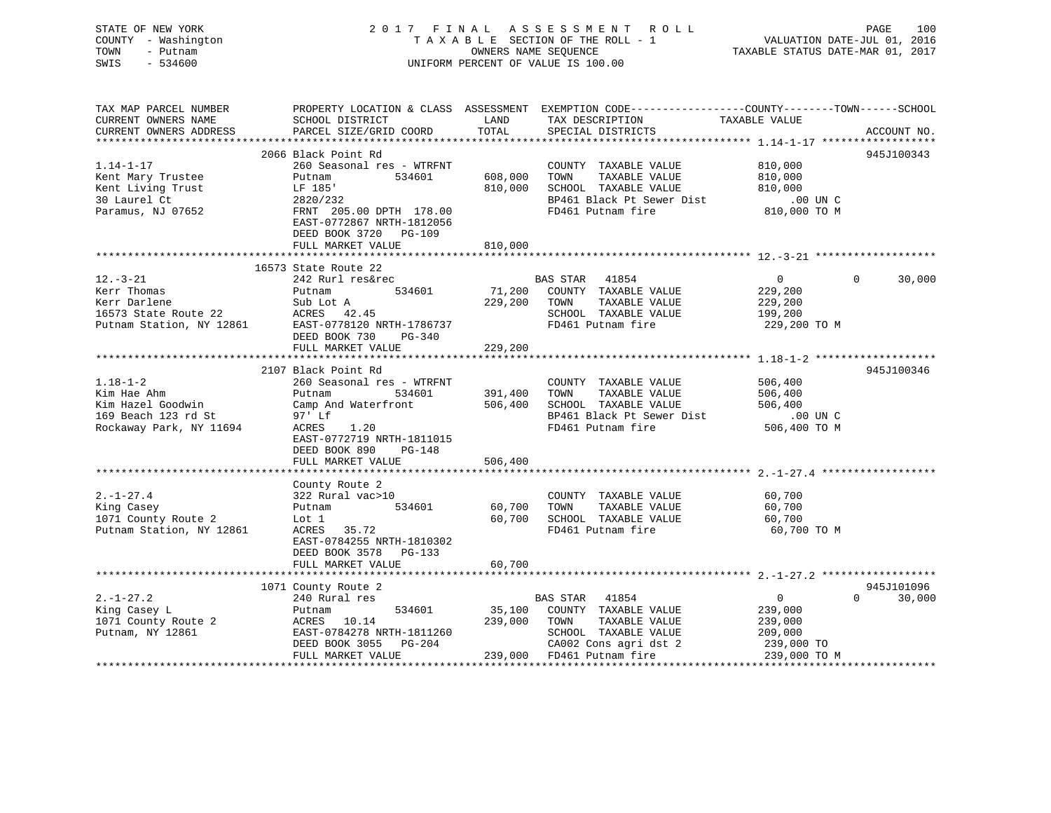STATE OF NEW YORK 2017 FINAL ASSESSMENT ROLL PAGE 100 VALUATION DATE-JUL 01, 2016 COUNTY - Washington T A X A B L E SECTION OF THE ROLL - 1 TOWN - Putnam OWNERS NAME SEQUENCE TAXABLE STATUS DATE-MAR 01, 2017 SWIS - 534600 UNIFORM PERCENT OF VALUE IS 100.00 TAX MAP PARCEL NUMBER PROPERTY LOCATION & CLASS ASSESSMENT EXEMPTION CODE------------------COUNTY--------TOWN------SCHOOL CURRENT OWNERS NAME SCHOOL DISTRICT THE LAND TAX DESCRIPTION TAXABLE VALUE CURRENT OWNERS ADDRESS PARCEL SIZE/GRID COORD TOTAL SPECIAL DISTRICTS ACCOUNT NO. \*\*\*\*\*\*\*\*\*\*\*\*\*\*\*\*\*\*\*\*\*\*\*\*\*\*\*\*\*\*\*\*\*\*\*\*\*\*\*\*\*\*\*\*\*\*\*\*\*\*\*\*\*\*\*\*\*\*\*\*\*\*\*\*\*\*\*\*\*\*\*\*\*\*\*\*\*\*\*\*\*\*\*\*\*\*\*\*\*\*\*\*\*\*\*\*\*\*\*\*\*\*\* 1.14-1-17 \*\*\*\*\*\*\*\*\*\*\*\*\*\*\*\*\*\* 2066 Black Point Rd 945J100343

| $1.14 - 1 - 17$                   | 260 Seasonal res - WTRFNT                                                                                                                                                                             |                     | COUNTY TAXABLE VALUE                                                                                | 810,000            |                    |
|-----------------------------------|-------------------------------------------------------------------------------------------------------------------------------------------------------------------------------------------------------|---------------------|-----------------------------------------------------------------------------------------------------|--------------------|--------------------|
| Kent Mary Trustee                 | 534601<br>Putnam                                                                                                                                                                                      | 608,000             | TAXABLE VALUE<br>TOWN                                                                               | 810,000            |                    |
|                                   | LF 185'                                                                                                                                                                                               |                     | 810,000 SCHOOL TAXABLE VALUE                                                                        |                    |                    |
| Kent Living Trust<br>30 Laurel Ct | 2820/232                                                                                                                                                                                              |                     |                                                                                                     |                    |                    |
| Paramus, NJ 07652                 | FRNT 205.00 DPTH 178.00<br>EAST-0772867 NRTH-1812056<br>DEED BOOK 3720 PG-109                                                                                                                         |                     | SCHOOL TAXABLE VALUE 810,000<br>BP461 Black Pt Sewer Dist 00 UN C<br>FD461 Putnam fire 810,000 TO M |                    |                    |
|                                   | FULL MARKET VALUE                                                                                                                                                                                     | 810,000             |                                                                                                     |                    |                    |
|                                   |                                                                                                                                                                                                       |                     |                                                                                                     |                    |                    |
|                                   | 16573 State Route 22                                                                                                                                                                                  |                     |                                                                                                     |                    |                    |
| $12. - 3 - 21$                    | 242 Rurl res&rec                                                                                                                                                                                      |                     | BAS STAR 41854                                                                                      | $\overline{0}$     | $\Omega$<br>30,000 |
| Kerr Thomas                       | Putnam                                                                                                                                                                                                |                     | 534601 71,200 COUNTY TAXABLE VALUE                                                                  | 229,200<br>229,200 |                    |
| Kerr Darlene                      | Sub Lot A                                                                                                                                                                                             |                     | 229,200 TOWN TAXABLE VALUE                                                                          |                    |                    |
| 16573 State Route 22 ACRES 42.45  |                                                                                                                                                                                                       |                     | SCHOOL TAXABLE VALUE 199,200                                                                        |                    |                    |
|                                   | Putnam Station, NY 12861 EAST-0778120 NRTH-1786737                                                                                                                                                    |                     | FD461 Putnam fire 229,200 TO M                                                                      |                    |                    |
|                                   | DEED BOOK 730 PG-340                                                                                                                                                                                  |                     |                                                                                                     |                    |                    |
|                                   | FULL MARKET VALUE                                                                                                                                                                                     | 229,200             |                                                                                                     |                    |                    |
|                                   |                                                                                                                                                                                                       |                     |                                                                                                     |                    |                    |
|                                   | 2107 Black Point Rd                                                                                                                                                                                   |                     |                                                                                                     |                    | 945J100346         |
| $1.18 - 1 - 2$                    | 260 Seasonal res - WTRFNT                                                                                                                                                                             |                     | COUNTY TAXABLE VALUE 506,400                                                                        |                    |                    |
| Kim Hae Ahm                       | Putnam                                                                                                                                                                                                | 534601 391,400 TOWN | TAXABLE VALUE 506,400                                                                               |                    |                    |
| Kim Hazel Goodwin                 | Camp And Waterfront 506,400 SCHOOL TAXABLE VALUE                                                                                                                                                      |                     | SCHOOL TAXABLE VALUE 506,400<br>BP461 Black Pt Sewer Dist .00 UN C                                  |                    |                    |
| 169 Beach 123 rd St               | 97' Lf                                                                                                                                                                                                |                     |                                                                                                     |                    |                    |
| Rockaway Park, NY 11694           | ACRES<br>1.20                                                                                                                                                                                         |                     | FD461 Putnam fire 506,400 TO M                                                                      |                    |                    |
|                                   | EAST-0772719 NRTH-1811015                                                                                                                                                                             |                     |                                                                                                     |                    |                    |
|                                   | DEED BOOK 890 PG-148                                                                                                                                                                                  |                     |                                                                                                     |                    |                    |
|                                   | FULL MARKET VALUE                                                                                                                                                                                     | 506,400             |                                                                                                     |                    |                    |
|                                   |                                                                                                                                                                                                       |                     |                                                                                                     |                    |                    |
|                                   | County Route 2                                                                                                                                                                                        |                     |                                                                                                     |                    |                    |
| $2. - 1 - 27.4$                   | 322 Rural vac>10                                                                                                                                                                                      |                     | COUNTY TAXABLE VALUE                                                                                | 60,700             |                    |
| King Casey                        | 534601 60,700<br>Putnam                                                                                                                                                                               | TOWN                | TAXABLE VALUE                                                                                       | 60,700             |                    |
| 1071 County Route 2               | Lot 1                                                                                                                                                                                                 | 60,700              |                                                                                                     | 60,700             |                    |
| Putnam Station, NY 12861          | ACRES 35.72                                                                                                                                                                                           |                     | SCHOOL TAXABLE VALUE<br>FD461 Putnam fire                                                           | 60,700 TO M        |                    |
|                                   | EAST-0784255 NRTH-1810302                                                                                                                                                                             |                     |                                                                                                     |                    |                    |
|                                   | DEED BOOK 3578 PG-133                                                                                                                                                                                 |                     |                                                                                                     |                    |                    |
|                                   | FULL MARKET VALUE                                                                                                                                                                                     | 60,700              |                                                                                                     |                    |                    |
|                                   |                                                                                                                                                                                                       |                     |                                                                                                     |                    |                    |
|                                   | 1071 County Route 2                                                                                                                                                                                   |                     |                                                                                                     |                    | 945J101096         |
| $2. -1 - 27.2$                    |                                                                                                                                                                                                       |                     |                                                                                                     | $\overline{0}$     | $\Omega$<br>30,000 |
| King Casey L                      | Putnam                                                                                                                                                                                                |                     | 534601 35,100 COUNTY TAXABLE VALUE                                                                  | 239,000            |                    |
|                                   | 1071 County Route 2       ACRES   10.14            239,000   TOWN   TAXABLE VALUE         239,000<br>Putnam, NY 12861          EAST-0784278 NRTH-1811260          SCHOOL TAXABLE VALUE        209,000 |                     |                                                                                                     |                    |                    |
|                                   |                                                                                                                                                                                                       |                     |                                                                                                     |                    |                    |
|                                   | DEED BOOK 3055 PG-204                                                                                                                                                                                 |                     | CA002 Cons agri dst 2 239,000 TO                                                                    |                    |                    |
|                                   | FULL MARKET VALUE                                                                                                                                                                                     |                     | 239,000 FD461 Putnam fire 239,000 TO M                                                              |                    |                    |
|                                   |                                                                                                                                                                                                       |                     |                                                                                                     |                    |                    |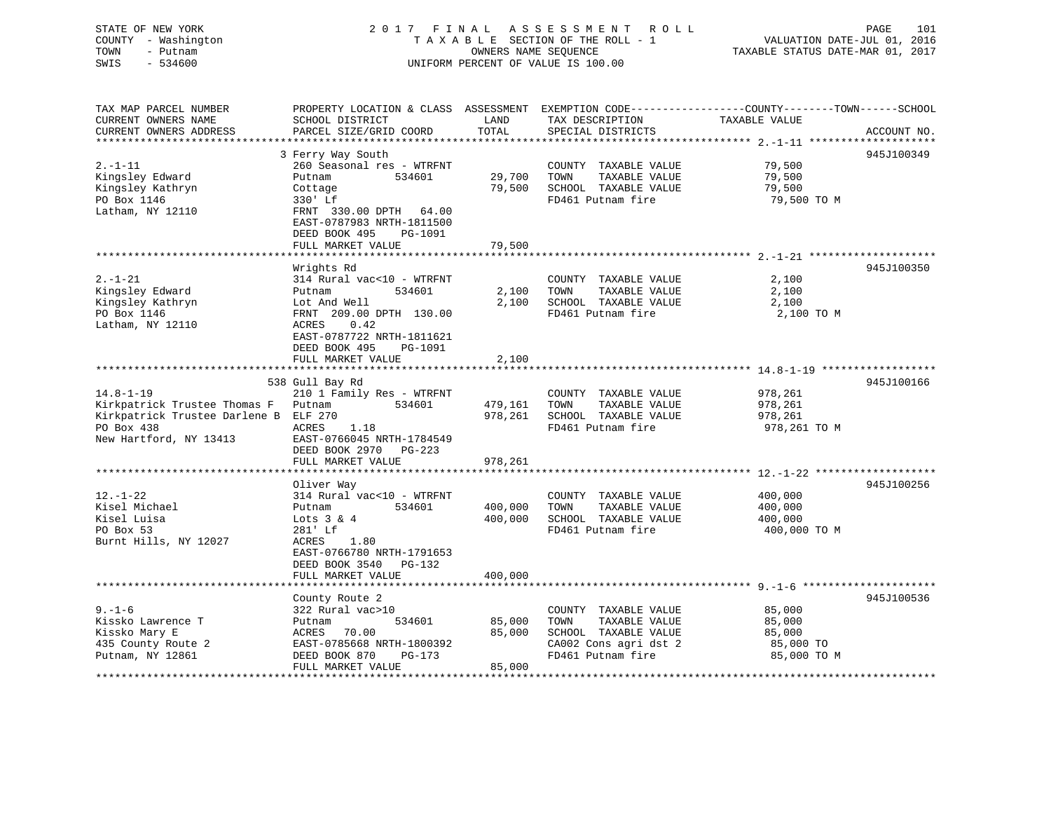# STATE OF NEW YORK 2 0 1 7 F I N A L A S S E S S M E N T R O L L PAGE 101 COUNTY - Washington T A X A B L E SECTION OF THE ROLL - 1 VALUATION DATE-JUL 01, 2016 TOWN - Putnam **CONNERS NAME SEQUENCE** TAXABLE STATUS DATE-MAR 01, 2017 SWIS - 534600 UNIFORM PERCENT OF VALUE IS 100.00

| TAX MAP PARCEL NUMBER<br>CURRENT OWNERS NAME<br>CURRENT OWNERS ADDRESS                                                   | PROPERTY LOCATION & CLASS ASSESSMENT<br>SCHOOL DISTRICT<br>PARCEL SIZE/GRID COORD                                                                                                                   | LAND<br>TOTAL              | TAX DESCRIPTION<br>SPECIAL DISTRICTS                                                                                | EXEMPTION CODE-----------------COUNTY-------TOWN------SCHOOL<br>TAXABLE VALUE<br>ACCOUNT NO. |
|--------------------------------------------------------------------------------------------------------------------------|-----------------------------------------------------------------------------------------------------------------------------------------------------------------------------------------------------|----------------------------|---------------------------------------------------------------------------------------------------------------------|----------------------------------------------------------------------------------------------|
| **********************                                                                                                   |                                                                                                                                                                                                     |                            |                                                                                                                     |                                                                                              |
| $2. - 1 - 11$<br>Kingsley Edward<br>Kingsley Kathryn<br>PO Box 1146<br>Latham, NY 12110                                  | 3 Ferry Way South<br>260 Seasonal res - WTRFNT<br>Putnam<br>534601<br>Cottage<br>330' Lf<br>FRNT 330.00 DPTH<br>64.00<br>EAST-0787983 NRTH-1811500<br>DEED BOOK 495<br>PG-1091<br>FULL MARKET VALUE | 29,700<br>79,500<br>79,500 | COUNTY TAXABLE VALUE<br>TOWN<br>TAXABLE VALUE<br>SCHOOL TAXABLE VALUE<br>FD461 Putnam fire                          | 945J100349<br>79,500<br>79,500<br>79,500<br>79,500 TO M                                      |
|                                                                                                                          |                                                                                                                                                                                                     |                            |                                                                                                                     |                                                                                              |
| $2. - 1 - 21$<br>Kingsley Edward<br>Kingsley Kathryn<br>PO Box 1146<br>Latham, NY 12110                                  | Wrights Rd<br>314 Rural vac<10 - WTRFNT<br>534601<br>Putnam<br>Lot And Well<br>FRNT 209.00 DPTH 130.00<br>ACRES<br>0.42<br>EAST-0787722 NRTH-1811621                                                | 2,100<br>2,100             | COUNTY TAXABLE VALUE<br>TAXABLE VALUE<br>TOWN<br>SCHOOL TAXABLE VALUE<br>FD461 Putnam fire                          | 945J100350<br>2,100<br>2,100<br>2,100<br>2,100 TO M                                          |
|                                                                                                                          | DEED BOOK 495<br>PG-1091<br>FULL MARKET VALUE                                                                                                                                                       | 2,100                      |                                                                                                                     |                                                                                              |
|                                                                                                                          |                                                                                                                                                                                                     |                            |                                                                                                                     |                                                                                              |
|                                                                                                                          | 538 Gull Bay Rd                                                                                                                                                                                     |                            |                                                                                                                     | 945J100166                                                                                   |
| $14.8 - 1 - 19$<br>Kirkpatrick Trustee Thomas F<br>Kirkpatrick Trustee Darlene B<br>PO Box 438<br>New Hartford, NY 13413 | 210 1 Family Res - WTRFNT<br>Putnam<br>534601<br>ELF 270<br>ACRES<br>1.18<br>EAST-0766045 NRTH-1784549<br>DEED BOOK 2970<br>PG-223                                                                  | 479,161<br>978,261         | COUNTY TAXABLE VALUE<br>TAXABLE VALUE<br>TOWN<br>SCHOOL TAXABLE VALUE<br>FD461 Putnam fire                          | 978,261<br>978,261<br>978,261<br>978,261 TO M                                                |
|                                                                                                                          | FULL MARKET VALUE                                                                                                                                                                                   | 978,261                    |                                                                                                                     |                                                                                              |
| $12. - 1 - 22$<br>Kisel Michael<br>Kisel Luisa<br>PO Box 53<br>Burnt Hills, NY 12027                                     | Oliver Way<br>314 Rural vac<10 - WTRFNT<br>Putnam<br>534601<br>Lots $3 & 4$<br>281' Lf<br>ACRES<br>1.80                                                                                             | 400,000<br>400,000         | COUNTY TAXABLE VALUE<br>TOWN<br>TAXABLE VALUE<br>SCHOOL TAXABLE VALUE<br>FD461 Putnam fire                          | 945J100256<br>400,000<br>400,000<br>400,000<br>400,000 TO M                                  |
|                                                                                                                          | EAST-0766780 NRTH-1791653<br>DEED BOOK 3540<br>PG-132<br>FULL MARKET VALUE                                                                                                                          | 400,000                    |                                                                                                                     |                                                                                              |
|                                                                                                                          |                                                                                                                                                                                                     |                            |                                                                                                                     |                                                                                              |
| $9. - 1 - 6$<br>Kissko Lawrence T<br>Kissko Mary E<br>435 County Route 2<br>Putnam, NY 12861                             | County Route 2<br>322 Rural vac>10<br>Putnam<br>534601<br>70.00<br>ACRES<br>EAST-0785668 NRTH-1800392<br>DEED BOOK 870<br>$PG-173$                                                                  | 85,000<br>85,000           | COUNTY TAXABLE VALUE<br>TAXABLE VALUE<br>TOWN<br>SCHOOL TAXABLE VALUE<br>CA002 Cons agri dst 2<br>FD461 Putnam fire | 945J100536<br>85,000<br>85,000<br>85,000<br>85,000 TO<br>85,000 TO M                         |
|                                                                                                                          | FULL MARKET VALUE                                                                                                                                                                                   | 85,000                     |                                                                                                                     |                                                                                              |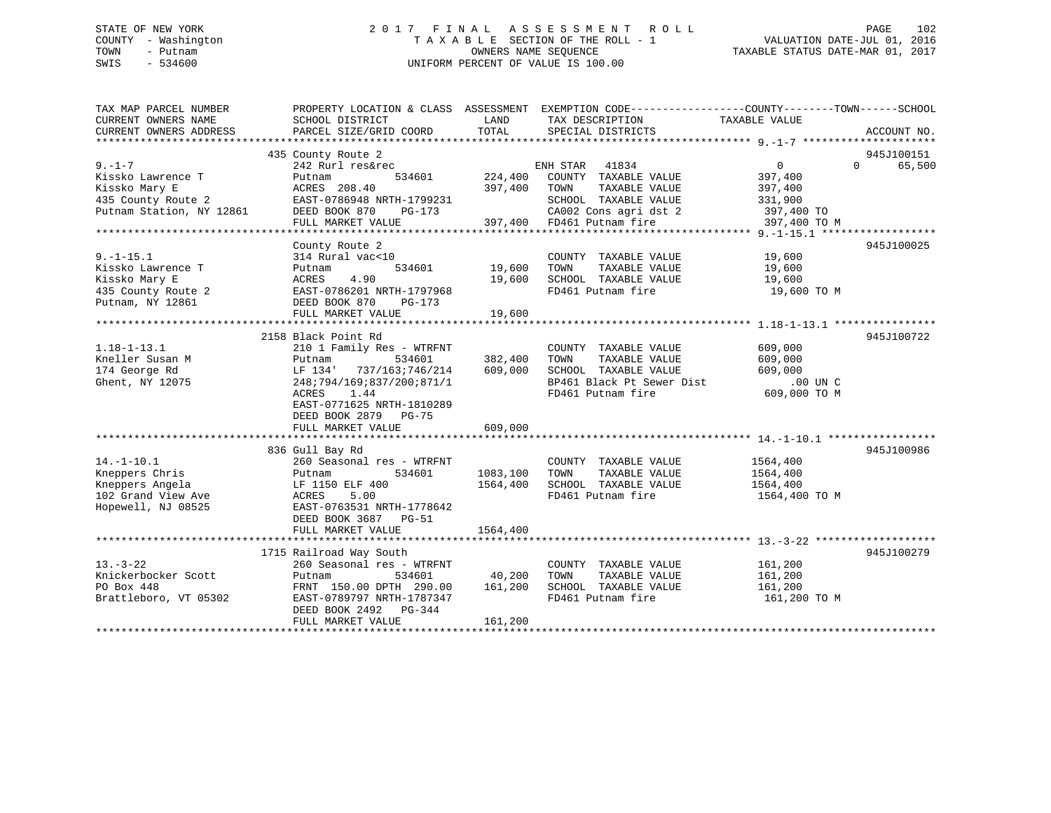# STATE OF NEW YORK 2 0 1 7 F I N A L A S S E S S M E N T R O L L PAGE 102 COUNTY - Washington T A X A B L E SECTION OF THE ROLL - 1 VALUATION DATE-JUL 01, 2016 TOWN - Putnam OWNERS NAME SEQUENCE TAXABLE STATUS DATE-MAR 01, 2017 SWIS - 534600 UNIFORM PERCENT OF VALUE IS 100.00

| TAX MAP PARCEL NUMBER<br>CURRENT OWNERS NAME<br>CURRENT OWNERS ADDRESS | PROPERTY LOCATION & CLASS ASSESSMENT EXEMPTION CODE---------------COUNTY-------TOWN------SCHOOL<br>SCHOOL DISTRICT<br>PARCEL SIZE/GRID COORD | LAND<br>TOTAL | TAX DESCRIPTION<br>SPECIAL DISTRICTS              | TAXABLE VALUE           | ACCOUNT NO.                      |
|------------------------------------------------------------------------|----------------------------------------------------------------------------------------------------------------------------------------------|---------------|---------------------------------------------------|-------------------------|----------------------------------|
|                                                                        |                                                                                                                                              |               |                                                   |                         |                                  |
| $9. - 1 - 7$                                                           | 435 County Route 2<br>242 Rurl res&rec                                                                                                       |               | ENH STAR<br>41834                                 | $0 \qquad \qquad$       | 945J100151<br>$\Omega$<br>65,500 |
| Kissko Lawrence T                                                      | 534601<br>Putnam                                                                                                                             | 224,400       | COUNTY TAXABLE VALUE                              | 397,400                 |                                  |
| Kissko Mary E<br>435 County Route 2                                    | ACRES 208.40<br>EAST-0786948 NRTH-1799231                                                                                                    | 397,400       | TOWN<br>TAXABLE VALUE<br>SCHOOL TAXABLE VALUE     | 397,400<br>331,900      |                                  |
| Putnam Station, NY 12861                                               | DEED BOOK 870 PG-173                                                                                                                         |               | CA002 Cons agri dst 2                             | 397,400 TO              |                                  |
|                                                                        | FULL MARKET VALUE                                                                                                                            |               | 397,400 FD461 Putnam fire                         | 397,400 TO M            |                                  |
|                                                                        |                                                                                                                                              |               |                                                   |                         |                                  |
| $9. -1 - 15.1$                                                         | County Route 2<br>314 Rural vac<10                                                                                                           |               | COUNTY TAXABLE VALUE                              | 19,600                  | 945J100025                       |
| Kissko Lawrence T                                                      | 534601<br>Putnam                                                                                                                             | 19,600        | TAXABLE VALUE<br>TOWN                             | 19,600                  |                                  |
| Kissko Mary E                                                          | 4.90<br>ACRES                                                                                                                                | 19,600        | SCHOOL TAXABLE VALUE                              | 19,600                  |                                  |
| 435 County Route 2<br>Putnam, NY 12861                                 | EAST-0786201 NRTH-1797968<br>DEED BOOK 870<br>PG-173                                                                                         |               | FD461 Putnam fire                                 | 19,600 TO M             |                                  |
|                                                                        | FULL MARKET VALUE                                                                                                                            | 19,600        |                                                   |                         |                                  |
|                                                                        |                                                                                                                                              |               |                                                   |                         |                                  |
|                                                                        | 2158 Black Point Rd                                                                                                                          |               |                                                   |                         | 945J100722                       |
| $1.18 - 1 - 13.1$                                                      | 210 1 Family Res - WTRFNT                                                                                                                    |               | COUNTY TAXABLE VALUE                              | 609,000                 |                                  |
| Kneller Susan M                                                        | 534601<br>Putnam                                                                                                                             | 382,400       | TAXABLE VALUE<br>TOWN                             | 609,000                 |                                  |
| 174 George Rd                                                          | LF 134' 737/163;746/214                                                                                                                      | 609,000       | SCHOOL TAXABLE VALUE<br>BP461 Black Pt Sewer Dist | 609,000<br>.00 UN C     |                                  |
| Ghent, NY 12075                                                        | 248;794/169;837/200;871/1<br>ACRES<br>1.44<br>EAST-0771625 NRTH-1810289<br>DEED BOOK 2879 PG-75                                              |               | FD461 Putnam fire                                 | 609,000 TO M            |                                  |
|                                                                        | FULL MARKET VALUE                                                                                                                            | 609,000       |                                                   |                         |                                  |
|                                                                        |                                                                                                                                              |               |                                                   |                         |                                  |
|                                                                        | 836 Gull Bay Rd                                                                                                                              |               |                                                   |                         | 945J100986                       |
| $14. - 1 - 10.1$<br>Kneppers Chris                                     | 260 Seasonal res - WTRFNT<br>534601<br>Putnam                                                                                                | 1083,100      | COUNTY TAXABLE VALUE<br>TOWN<br>TAXABLE VALUE     | 1564,400<br>1564,400    |                                  |
| Kneppers Angela                                                        | LF 1150 ELF 400                                                                                                                              | 1564,400      | SCHOOL TAXABLE VALUE                              | 1564,400                |                                  |
| 102 Grand View Ave<br>Hopewell, NJ 08525                               | 5.00<br>ACRES<br>EAST-0763531 NRTH-1778642<br>DEED BOOK 3687 PG-51<br>FULL MARKET VALUE                                                      | 1564,400      | FD461 Putnam fire                                 | 1564,400 TO M           |                                  |
|                                                                        |                                                                                                                                              |               |                                                   |                         |                                  |
|                                                                        | 1715 Railroad Way South                                                                                                                      |               |                                                   |                         | 945J100279                       |
| $13. - 3 - 22$                                                         | 260 Seasonal res - WTRFNT                                                                                                                    |               | COUNTY TAXABLE VALUE                              | 161,200                 |                                  |
| Knickerbocker Scott                                                    | 534601<br>Putnam                                                                                                                             | 40,200        | TAXABLE VALUE<br>TOWN                             | 161,200                 |                                  |
| PO Box 448<br>Brattleboro, VT 05302                                    | FRNT 150.00 DPTH 290.00 161,200<br>EAST-0789797 NRTH-1787347<br>DEED BOOK 2492 PG-344                                                        |               | SCHOOL TAXABLE VALUE<br>FD461 Putnam fire         | 161,200<br>161,200 TO M |                                  |
|                                                                        | FULL MARKET VALUE                                                                                                                            | 161,200       |                                                   |                         |                                  |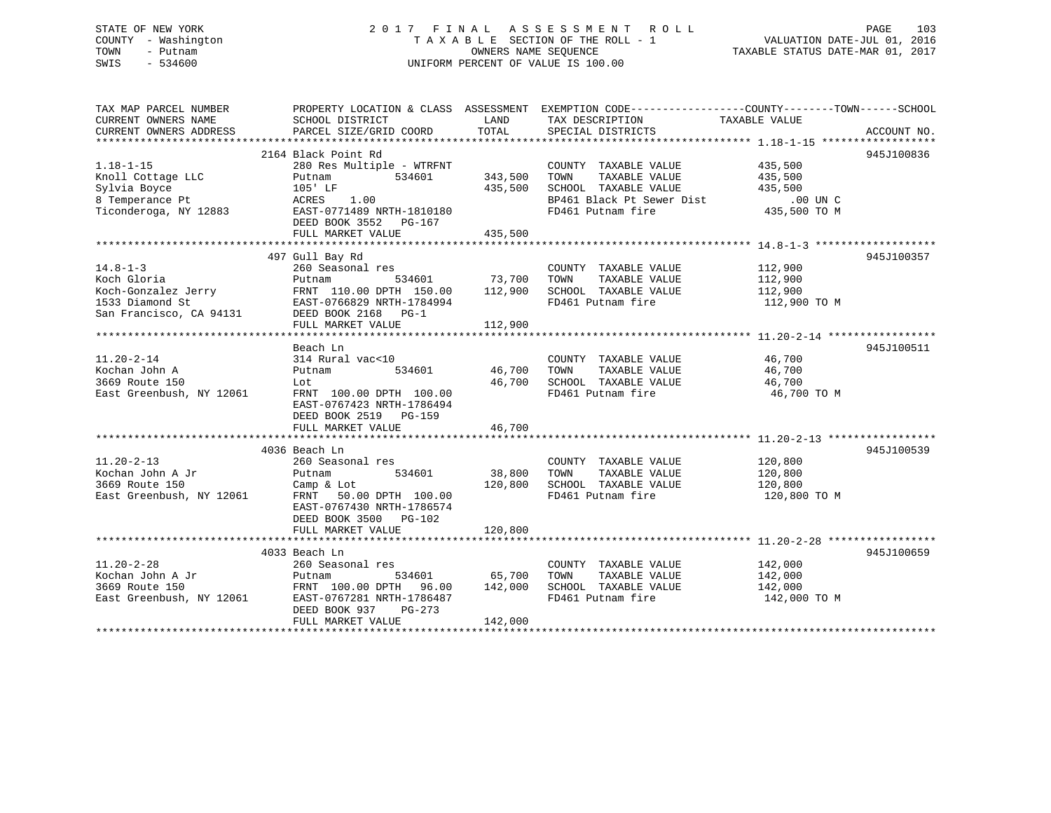# STATE OF NEW YORK 2 0 1 7 F I N A L A S S E S S M E N T R O L L PAGE 103 COUNTY - Washington T A X A B L E SECTION OF THE ROLL - 1 VALUATION DATE-JUL 01, 2016 TOWN - Putnam OWNERS NAME SEQUENCE TAXABLE STATUS DATE-MAR 01, 2017 SWIS - 534600 UNIFORM PERCENT OF VALUE IS 100.00

| TAX MAP PARCEL NUMBER<br>CURRENT OWNERS NAME | SCHOOL DISTRICT                                             | LAND          | PROPERTY LOCATION & CLASS ASSESSMENT EXEMPTION CODE----------------COUNTY-------TOWN------SCHOOL<br>TAX DESCRIPTION | TAXABLE VALUE      |             |
|----------------------------------------------|-------------------------------------------------------------|---------------|---------------------------------------------------------------------------------------------------------------------|--------------------|-------------|
| CURRENT OWNERS ADDRESS                       | PARCEL SIZE/GRID COORD                                      | TOTAL         | SPECIAL DISTRICTS                                                                                                   |                    | ACCOUNT NO. |
|                                              |                                                             |               |                                                                                                                     |                    |             |
|                                              | 2164 Black Point Rd                                         |               |                                                                                                                     |                    | 945J100836  |
| $1.18 - 1 - 15$                              | 280 Res Multiple - WTRFNT                                   |               | COUNTY TAXABLE VALUE                                                                                                | 435,500<br>435,500 |             |
| Knoll Cottage LLC                            | 534601<br>Putnam                                            | 343,500       | TAXABLE VALUE<br>TOWN                                                                                               |                    |             |
| Sylvia Boyce                                 | 105' LF                                                     | 435,500       | SCHOOL TAXABLE VALUE 435,500                                                                                        |                    |             |
| 8 Temperance Pt                              | ACRES<br>1.00                                               |               |                                                                                                                     | .00 UN C           |             |
| Ticonderoga, NY 12883                        | EAST-0771489 NRTH-1810180                                   |               | BP461 Black Pt Sewer Dist<br>FD461 Putnam fire<br>FD461 Putnam fire                                                 | $435,500$ TO M     |             |
|                                              | DEED BOOK 3552 PG-167                                       |               |                                                                                                                     |                    |             |
|                                              | FULL MARKET VALUE                                           | 435,500       |                                                                                                                     |                    |             |
|                                              |                                                             |               |                                                                                                                     |                    |             |
|                                              | 497 Gull Bay Rd                                             |               |                                                                                                                     |                    | 945J100357  |
| $14.8 - 1 - 3$                               | 260 Seasonal res                                            |               | COUNTY TAXABLE VALUE 112,900                                                                                        |                    |             |
| Koch Gloria                                  |                                                             |               | TOWN<br>TAXABLE VALUE                                                                                               |                    |             |
| Kocn Gioria<br>Koch-Gonzalez Jerry           | Putnam 534601 73,700<br>FRNT 110.00 DPTH 150.00 112,900     |               | SCHOOL TAXABLE VALUE                                                                                                | 112,900<br>112,900 |             |
| 1533 Diamond St                              |                                                             |               | FD461 Putnam fire                                                                                                   | 112,900 TO M       |             |
| San Francisco, CA 94131                      | -<br>EAST-0766829 NRTH-1784994<br>94131 DEED BOOK 2168 PG-1 |               |                                                                                                                     |                    |             |
|                                              | FULL MARKET VALUE                                           | 112,900       |                                                                                                                     |                    |             |
|                                              |                                                             |               |                                                                                                                     |                    |             |
|                                              | Beach Ln                                                    |               |                                                                                                                     |                    | 945J100511  |
| $11.20 - 2 - 14$                             | 314 Rural vac<10                                            |               | COUNTY TAXABLE VALUE 46,700                                                                                         |                    |             |
| Kochan John A                                | 534601<br>Putnam                                            | 46,700        | TOWN<br>TAXABLE VALUE                                                                                               | 46,700             |             |
| 3669 Route 150                               | Lot                                                         | 46,700        | SCHOOL TAXABLE VALUE 46,700                                                                                         |                    |             |
| East Greenbush, NY 12061                     | FRNT 100.00 DPTH 100.00                                     |               | FD461 Putnam fire                                                                                                   | 46,700 TO M        |             |
|                                              | EAST-0767423 NRTH-1786494                                   |               |                                                                                                                     |                    |             |
|                                              | DEED BOOK 2519 PG-159                                       |               |                                                                                                                     |                    |             |
|                                              | FULL MARKET VALUE                                           | 46,700        |                                                                                                                     |                    |             |
|                                              |                                                             |               |                                                                                                                     |                    |             |
|                                              | 4036 Beach Ln                                               |               |                                                                                                                     |                    | 945J100539  |
| $11.20 - 2 - 13$                             | 260 Seasonal res                                            |               | COUNTY TAXABLE VALUE 120,800                                                                                        |                    |             |
| Kochan John A Jr                             | 534601<br>Putnam                                            | 38,800        | TOWN<br>TAXABLE VALUE                                                                                               |                    |             |
| 3669 Route 150                               | Camp & Lot                                                  | 120,800       | SCHOOL TAXABLE VALUE                                                                                                | 120,800<br>120,800 |             |
| East Greenbush, NY 12061                     | FRNT 50.00 DPTH 100.00                                      |               | FD461 Putnam fire                                                                                                   | 120,800 TO M       |             |
|                                              | EAST-0767430 NRTH-1786574                                   |               |                                                                                                                     |                    |             |
|                                              | DEED BOOK 3500 PG-102                                       |               |                                                                                                                     |                    |             |
|                                              | FULL MARKET VALUE                                           | 120,800       |                                                                                                                     |                    |             |
|                                              |                                                             |               |                                                                                                                     |                    |             |
|                                              | 4033 Beach Ln                                               |               |                                                                                                                     |                    | 945J100659  |
| $11.20 - 2 - 28$                             | 260 Seasonal res                                            |               | COUNTY TAXABLE VALUE                                                                                                | 142,000            |             |
| Kochan John A Jr                             | Putnam                                                      | 534601 65,700 | TAXABLE VALUE<br>TOWN                                                                                               | 142,000            |             |
| 3669 Route 150                               | FRNT 100.00 DPTH 96.00 142,000                              |               | SCHOOL TAXABLE VALUE                                                                                                | 142,000            |             |
| IY 12061<br>East Greenbush, NY 12061         | EAST-0767281 NRTH-1786487                                   |               | FD461 Putnam fire                                                                                                   | 142,000 TO M       |             |
|                                              | DEED BOOK 937<br>PG-273                                     |               |                                                                                                                     |                    |             |
|                                              | FULL MARKET VALUE                                           | 142,000       |                                                                                                                     |                    |             |
|                                              |                                                             |               |                                                                                                                     |                    |             |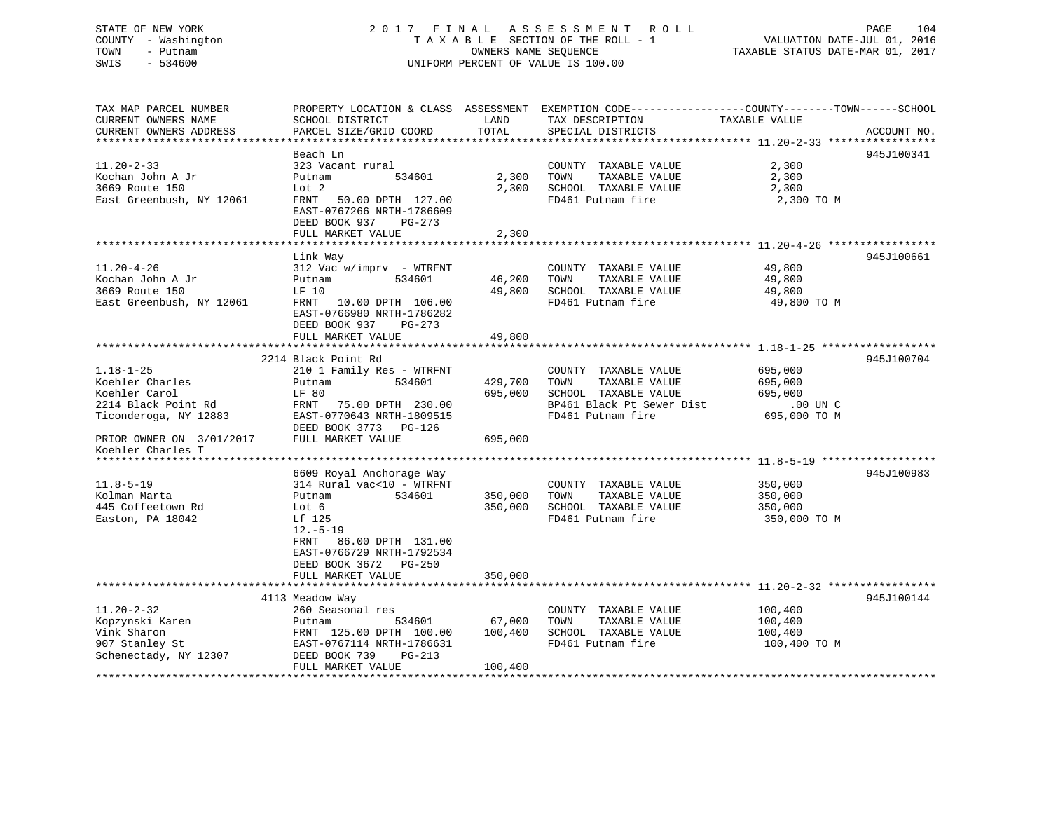# STATE OF NEW YORK 2 0 1 7 F I N A L A S S E S S M E N T R O L L PAGE 104 COUNTY - Washington T A X A B L E SECTION OF THE ROLL - 1 VALUATION DATE-JUL 01, 2016 TOWN - Putnam OWNERS NAME SEQUENCE TAXABLE STATUS DATE-MAR 01, 2017 SWIS - 534600 UNIFORM PERCENT OF VALUE IS 100.00

TAX MAP PARCEL NUMBER PROPERTY LOCATION & CLASS ASSESSMENT EXEMPTION CODE------------------COUNTY--------TOWN------SCHOOL

| CURRENT OWNERS NAME       | SCHOOL DISTRICT                   | LAND    | TAX DESCRIPTION           | TAXABLE VALUE |             |
|---------------------------|-----------------------------------|---------|---------------------------|---------------|-------------|
| CURRENT OWNERS ADDRESS    | PARCEL SIZE/GRID COORD            | TOTAL   | SPECIAL DISTRICTS         |               | ACCOUNT NO. |
| ********************      | ********************************* |         |                           |               |             |
|                           | Beach Ln                          |         |                           |               | 945J100341  |
| $11.20 - 2 - 33$          | 323 Vacant rural                  |         | COUNTY TAXABLE VALUE      | 2,300         |             |
| Kochan John A Jr          | Putnam<br>534601                  | 2,300   | TOWN<br>TAXABLE VALUE     | 2,300         |             |
| 3669 Route 150            | Lot 2                             | 2,300   | SCHOOL TAXABLE VALUE      | 2,300         |             |
| East Greenbush, NY 12061  | FRNT<br>50.00 DPTH 127.00         |         | FD461 Putnam fire         | 2,300 TO M    |             |
|                           | EAST-0767266 NRTH-1786609         |         |                           |               |             |
|                           | DEED BOOK 937<br>$PG-273$         |         |                           |               |             |
|                           | FULL MARKET VALUE                 | 2,300   |                           |               |             |
|                           |                                   |         |                           |               |             |
|                           | Link Way                          |         |                           |               | 945J100661  |
| $11.20 - 4 - 26$          | $312$ Vac w/imprv - WTRFNT        |         | COUNTY TAXABLE VALUE      | 49,800        |             |
| Kochan John A Jr          | Putnam<br>534601                  | 46,200  | TAXABLE VALUE<br>TOWN     | 49,800        |             |
| 3669 Route 150            | LF 10                             | 49,800  | SCHOOL TAXABLE VALUE      | 49,800        |             |
| East Greenbush, NY 12061  | FRNT<br>10.00 DPTH 106.00         |         | FD461 Putnam fire         | 49,800 TO M   |             |
|                           | EAST-0766980 NRTH-1786282         |         |                           |               |             |
|                           | DEED BOOK 937<br>$PG-273$         |         |                           |               |             |
|                           | FULL MARKET VALUE                 | 49,800  |                           |               |             |
|                           |                                   |         |                           |               |             |
|                           | 2214 Black Point Rd               |         |                           |               | 945J100704  |
| $1.18 - 1 - 25$           | 210 1 Family Res - WTRFNT         |         | COUNTY TAXABLE VALUE      | 695,000       |             |
| Koehler Charles           | 534601<br>Putnam                  | 429,700 | TAXABLE VALUE<br>TOWN     | 695,000       |             |
| Koehler Carol             | LF 80                             | 695,000 | SCHOOL TAXABLE VALUE      | 695,000       |             |
| 2214 Black Point Rd       | FRNT<br>75.00 DPTH 230.00         |         | BP461 Black Pt Sewer Dist | $.00$ UN $C$  |             |
| Ticonderoga, NY 12883     | EAST-0770643 NRTH-1809515         |         | FD461 Putnam fire         | 695,000 TO M  |             |
|                           | DEED BOOK 3773 PG-126             |         |                           |               |             |
| PRIOR OWNER ON 3/01/2017  | FULL MARKET VALUE                 | 695,000 |                           |               |             |
| Koehler Charles T         |                                   |         |                           |               |             |
| *****************         |                                   |         |                           |               |             |
|                           | 6609 Royal Anchorage Way          |         |                           |               | 945J100983  |
| $11.8 - 5 - 19$           | 314 Rural vac<10 - WTRFNT         |         | COUNTY TAXABLE VALUE      | 350,000       |             |
| Kolman Marta              | 534601<br>Putnam                  | 350,000 | TOWN<br>TAXABLE VALUE     | 350,000       |             |
| 445 Coffeetown Rd         | Lot 6                             | 350,000 | SCHOOL TAXABLE VALUE      | 350,000       |             |
| Easton, PA 18042          | Lf 125                            |         | FD461 Putnam fire         | 350,000 TO M  |             |
|                           | $12.-5-19$                        |         |                           |               |             |
|                           | 86.00 DPTH 131.00<br>FRNT         |         |                           |               |             |
|                           | EAST-0766729 NRTH-1792534         |         |                           |               |             |
|                           | DEED BOOK 3672 PG-250             |         |                           |               |             |
|                           | FULL MARKET VALUE                 | 350,000 |                           |               |             |
|                           |                                   |         |                           |               |             |
|                           | 4113 Meadow Way                   |         |                           |               | 945J100144  |
| $11.20 - 2 - 32$          | 260 Seasonal res                  |         | COUNTY TAXABLE VALUE      | 100,400       |             |
| Kopzynski Karen           | Putnam<br>534601                  | 67,000  | TOWN<br>TAXABLE VALUE     | 100,400       |             |
| Vink Sharon               | FRNT 125.00 DPTH 100.00           | 100,400 | SCHOOL TAXABLE VALUE      | 100,400       |             |
| 907 Stanley St            | EAST-0767114 NRTH-1786631         |         | FD461 Putnam fire         | 100,400 TO M  |             |
| Schenectady, NY 12307     | DEED BOOK 739<br>$PG-213$         |         |                           |               |             |
|                           | FULL MARKET VALUE                 | 100,400 |                           |               |             |
| ************************* |                                   |         |                           |               |             |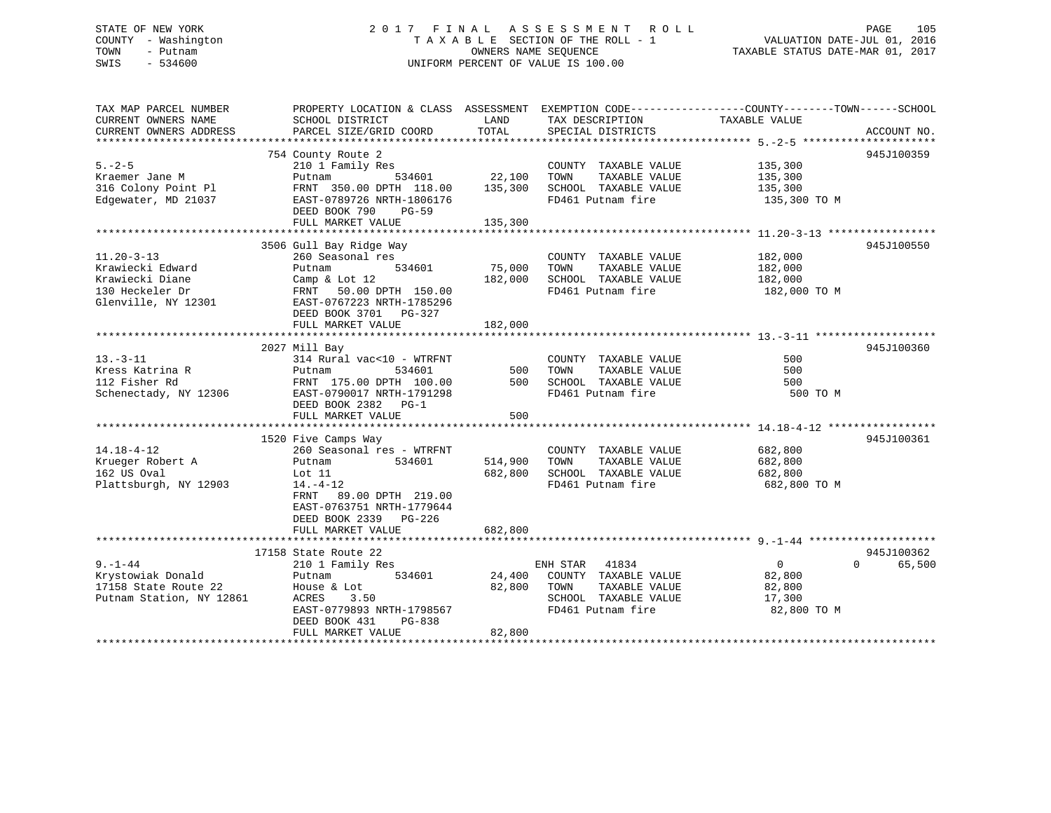# STATE OF NEW YORK 2 0 1 7 F I N A L A S S E S S M E N T R O L L PAGE 105 COUNTY - Washington T A X A B L E SECTION OF THE ROLL - 1 VALUATION DATE-JUL 01, 2016 TOWN - Putnam OWNERS NAME SEQUENCE TAXABLE STATUS DATE-MAR 01, 2017 SWIS - 534600 UNIFORM PERCENT OF VALUE IS 100.00

| TAX MAP PARCEL NUMBER<br>CURRENT OWNERS NAME<br>CURRENT OWNERS ADDRESS                            | SCHOOL DISTRICT<br>PARCEL SIZE/GRID COORD                                                                                                                                                             | LAND<br>TOTAL                 | TAX DESCRIPTION<br>SPECIAL DISTRICTS                                                                            | PROPERTY LOCATION & CLASS ASSESSMENT EXEMPTION CODE---------------COUNTY-------TOWN-----SCHOOL<br>TAXABLE VALUE | ACCOUNT NO.                      |
|---------------------------------------------------------------------------------------------------|-------------------------------------------------------------------------------------------------------------------------------------------------------------------------------------------------------|-------------------------------|-----------------------------------------------------------------------------------------------------------------|-----------------------------------------------------------------------------------------------------------------|----------------------------------|
| $5. - 2 - 5$<br>Kraemer Jane M<br>316 Colony Point Pl<br>Edgewater, MD 21037                      | 754 County Route 2<br>210 1 Family Res<br>Putnam<br>FRNT 350.00 DPTH 118.00 135,300<br>EAST-0789726 NRTH-1806176<br>DEED BOOK 790<br><b>PG-59</b><br>FULL MARKET VALUE                                | 534601 22,100<br>135,300      | COUNTY TAXABLE VALUE<br>TOWN<br>TAXABLE VALUE<br>SCHOOL TAXABLE VALUE<br>FD461 Putnam fire                      | 135,300<br>135,300<br>135,300<br>135,300 TO M                                                                   | 945J100359                       |
| $11.20 - 3 - 13$<br>Krawiecki Edward<br>Krawiecki Diane<br>130 Heckeler Dr<br>Glenville, NY 12301 | 3506 Gull Bay Ridge Way<br>260 Seasonal res<br>Putnam<br>534601<br>Camp & Lot 12<br>FRNT 50.00 DPTH 150.00<br>EAST-0767223 NRTH-1785296<br>DEED BOOK 3701 PG-327<br>FULL MARKET VALUE                 | 75,000<br>182,000<br>182,000  | COUNTY TAXABLE VALUE<br>TAXABLE VALUE<br>TOWN<br>SCHOOL TAXABLE VALUE<br>FD461 Putnam fire                      | 182,000<br>182,000<br>182,000<br>182,000 TO M                                                                   | 945J100550                       |
| $13. - 3 - 11$<br>Kress Katrina R<br>112 Fisher Rd<br>Schenectady, NY 12306                       | 2027 Mill Bay<br>314 Rural vac<10 - WTRFNT<br>Putnam<br>534601<br>FRNT 175.00 DPTH 100.00<br>EAST-0790017 NRTH-1791298<br>DEED BOOK 2382 PG-1<br>FULL MARKET VALUE                                    | 500<br>500<br>500             | COUNTY TAXABLE VALUE<br>TAXABLE VALUE<br>TOWN<br>SCHOOL TAXABLE VALUE<br>FD461 Putnam fire                      | 500<br>500<br>500<br>500 TO M                                                                                   | 945J100360                       |
| $14.18 - 4 - 12$<br>Krueger Robert A<br>162 US Oval<br>Plattsburgh, NY 12903                      | 1520 Five Camps Way<br>260 Seasonal res - WTRFNT<br>534601<br>Putnam<br>Lot 11<br>$14. - 4 - 12$<br>FRNT 89.00 DPTH 219.00<br>EAST-0763751 NRTH-1779644<br>DEED BOOK 2339 PG-226<br>FULL MARKET VALUE | 514,900<br>682,800<br>682,800 | COUNTY TAXABLE VALUE<br>TAXABLE VALUE<br>TOWN<br>SCHOOL TAXABLE VALUE<br>FD461 Putnam fire                      | 682,800<br>682,800<br>682,800<br>682,800 TO M                                                                   | 945J100361                       |
| $9. - 1 - 44$<br>Krystowiak Donald<br>17158 State Route 22<br>Putnam Station, NY 12861            | 17158 State Route 22<br>210 1 Family Res<br>534601<br>Putnam<br>House & Lot<br>ACRES<br>3.50<br>EAST-0779893 NRTH-1798567<br>DEED BOOK 431<br>PG-838<br>FULL MARKET VALUE                             | 24,400<br>82,800<br>82,800    | 41834<br>ENH STAR<br>COUNTY TAXABLE VALUE<br>TOWN<br>TAXABLE VALUE<br>SCHOOL TAXABLE VALUE<br>FD461 Putnam fire | $\overline{0}$<br>82,800<br>82,800<br>17,300<br>82,800 TO M                                                     | 945J100362<br>$\Omega$<br>65,500 |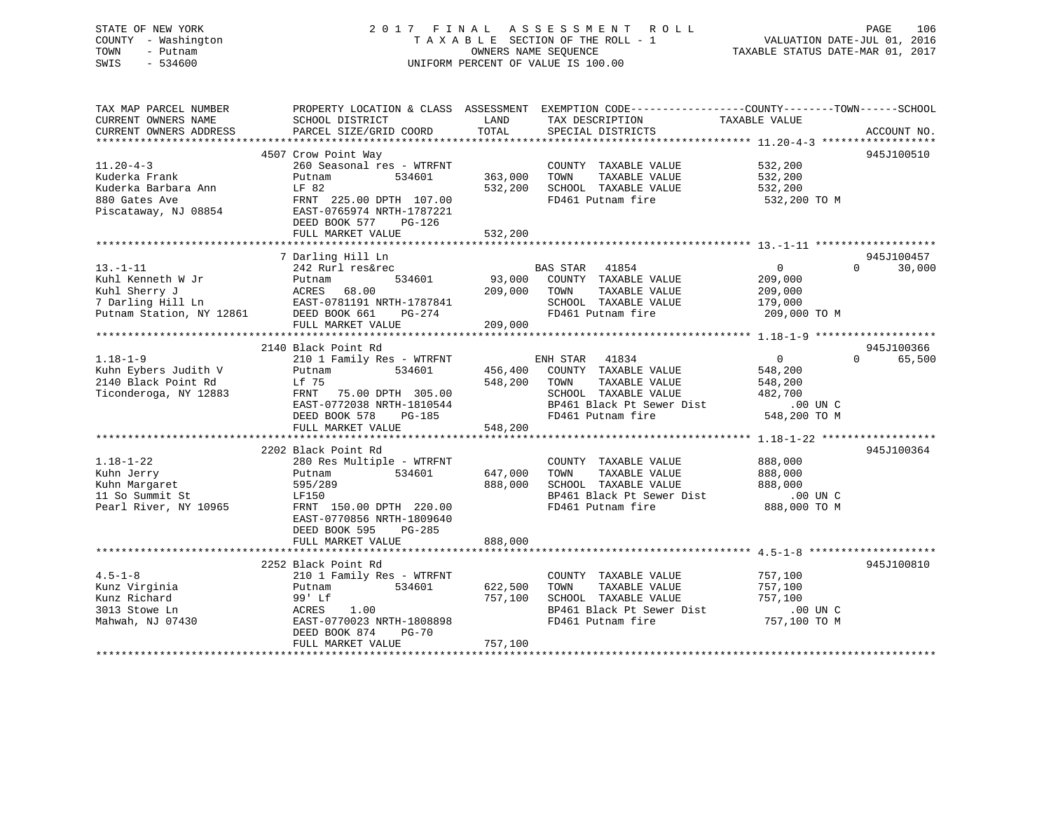# STATE OF NEW YORK 2 0 1 7 F I N A L A S S E S S M E N T R O L L PAGE 106 COUNTY - Washington T A X A B L E SECTION OF THE ROLL - 1 VALUATION DATE-JUL 01, 2016 TOWN - Putnam OWNERS NAME SEQUENCE TAXABLE STATUS DATE-MAR 01, 2017 SWIS - 534600 UNIFORM PERCENT OF VALUE IS 100.00

| TAX MAP PARCEL NUMBER<br>CURRENT OWNERS NAME                                                                                                                | SCHOOL DISTRICT                                                                                                                                                                                                                                                | LAND                                                | PROPERTY LOCATION & CLASS ASSESSMENT EXEMPTION CODE----------------COUNTY-------TOWN------SCHOOL<br>TAX DESCRIPTION                                                                                                                             | TAXABLE VALUE                                                                                                                |                                  |
|-------------------------------------------------------------------------------------------------------------------------------------------------------------|----------------------------------------------------------------------------------------------------------------------------------------------------------------------------------------------------------------------------------------------------------------|-----------------------------------------------------|-------------------------------------------------------------------------------------------------------------------------------------------------------------------------------------------------------------------------------------------------|------------------------------------------------------------------------------------------------------------------------------|----------------------------------|
| CURRENT OWNERS ADDRESS                                                                                                                                      | PARCEL SIZE/GRID COORD                                                                                                                                                                                                                                         | TOTAL                                               | SPECIAL DISTRICTS                                                                                                                                                                                                                               |                                                                                                                              | ACCOUNT NO.                      |
|                                                                                                                                                             | 4507 Crow Point Way                                                                                                                                                                                                                                            |                                                     |                                                                                                                                                                                                                                                 |                                                                                                                              | 945J100510                       |
| $11.20 - 4 - 3$<br>Kuderka Frank<br>Kuderka Barbara Ann<br>880 Gates Ave<br>Piscataway, NJ 08854                                                            | 260 Seasonal res - WTRFNT<br>Putnam<br>534601<br>LF 82<br>FRNT 225.00 DPTH 107.00<br>EAST-0765974 NRTH-1787221<br>DEED BOOK 577<br>PG-126                                                                                                                      | 363,000<br>532,200                                  | COUNTY TAXABLE VALUE<br>TOWN<br>TAXABLE VALUE<br>SCHOOL TAXABLE VALUE<br>FD461 Putnam fire                                                                                                                                                      | 532,200<br>532,200<br>532,200<br>532,200 TO M                                                                                |                                  |
|                                                                                                                                                             | FULL MARKET VALUE                                                                                                                                                                                                                                              | 532,200                                             |                                                                                                                                                                                                                                                 |                                                                                                                              |                                  |
|                                                                                                                                                             |                                                                                                                                                                                                                                                                |                                                     |                                                                                                                                                                                                                                                 |                                                                                                                              |                                  |
| $13. - 1 - 11$<br>Kuhl Kenneth W Jr<br>Kuhl Sherry J<br>7 Darling Hill Ln<br>Putnam Station, NY 12861                                                       | 7 Darling Hill Ln<br>242 Rurl res&rec<br>534601<br>Putnam<br>ACRES<br>68.00<br>EAST-0781191 NRTH-1787841<br>DEED BOOK 661<br>PG-274<br>FULL MARKET VALUE                                                                                                       | 209,000<br>209,000                                  | BAS STAR 41854<br>93,000 COUNTY TAXABLE VALUE<br>TOWN<br>TAXABLE VALUE<br>SCHOOL TAXABLE VALUE<br>FD461 Putnam fire                                                                                                                             | $\overline{0}$<br>209,000<br>209,000<br>179,000<br>209,000 TO M                                                              | 945J100457<br>$\Omega$<br>30,000 |
|                                                                                                                                                             | 2140 Black Point Rd                                                                                                                                                                                                                                            |                                                     |                                                                                                                                                                                                                                                 |                                                                                                                              | 945J100366                       |
| $1.18 - 1 - 9$<br>Kuhn Eybers Judith V<br>2140 Black Point Rd<br>Ticonderoga, NY 12883<br>$1.18 - 1 - 22$<br>Kuhn Jerry<br>Kuhn Margaret<br>11 So Summit St | 210 1 Family Res - WTRFNT<br>Putnam<br>534601<br>Lf 75<br>FRNT<br>75.00 DPTH 305.00<br>EAST-0772038 NRTH-1810544<br>DEED BOOK 578<br>$PG-185$<br>FULL MARKET VALUE<br>2202 Black Point Rd<br>280 Res Multiple - WTRFNT<br>534601<br>Putnam<br>595/289<br>LF150 | 456,400<br>548,200<br>548,200<br>647,000<br>888,000 | ENH STAR 41834<br>COUNTY TAXABLE VALUE<br>TOWN<br>TAXABLE VALUE<br>SCHOOL TAXABLE VALUE<br>BP461 Black Pt Sewer Dist<br>FD461 Putnam fire<br>COUNTY TAXABLE VALUE<br>TAXABLE VALUE<br>TOWN<br>SCHOOL TAXABLE VALUE<br>BP461 Black Pt Sewer Dist | $\overline{0}$<br>548,200<br>548,200<br>482,700<br>$.00$ UN $C$<br>548,200 TO M<br>888,000<br>888,000<br>888,000<br>.00 UN C | $\Omega$<br>65,500<br>945J100364 |
| Pearl River, NY 10965                                                                                                                                       | FRNT 150.00 DPTH 220.00<br>EAST-0770856 NRTH-1809640<br>$PG-285$<br>DEED BOOK 595<br>FULL MARKET VALUE                                                                                                                                                         | 888,000                                             | FD461 Putnam fire                                                                                                                                                                                                                               | 888,000 TO M                                                                                                                 |                                  |
|                                                                                                                                                             | 2252 Black Point Rd                                                                                                                                                                                                                                            |                                                     |                                                                                                                                                                                                                                                 |                                                                                                                              | 945J100810                       |
| $4.5 - 1 - 8$<br>Kunz Virginia<br>Kunz Richard<br>3013 Stowe Ln<br>Mahwah, NJ 07430                                                                         | 210 1 Family Res - WTRFNT<br>534601<br>Putnam<br>99' Lf<br>ACRES<br>1.00<br>EAST-0770023 NRTH-1808898<br>DEED BOOK 874<br><b>PG-70</b>                                                                                                                         | 622,500<br>757,100<br>757,100                       | COUNTY TAXABLE VALUE<br>TAXABLE VALUE<br>TOWN<br>SCHOOL TAXABLE VALUE<br>BP461 Black Pt Sewer Dist<br>FD461 Putnam fire                                                                                                                         | 757,100<br>757,100<br>757,100<br>$.00$ UN $C$<br>757,100 TO M                                                                |                                  |
|                                                                                                                                                             | FULL MARKET VALUE                                                                                                                                                                                                                                              |                                                     |                                                                                                                                                                                                                                                 |                                                                                                                              |                                  |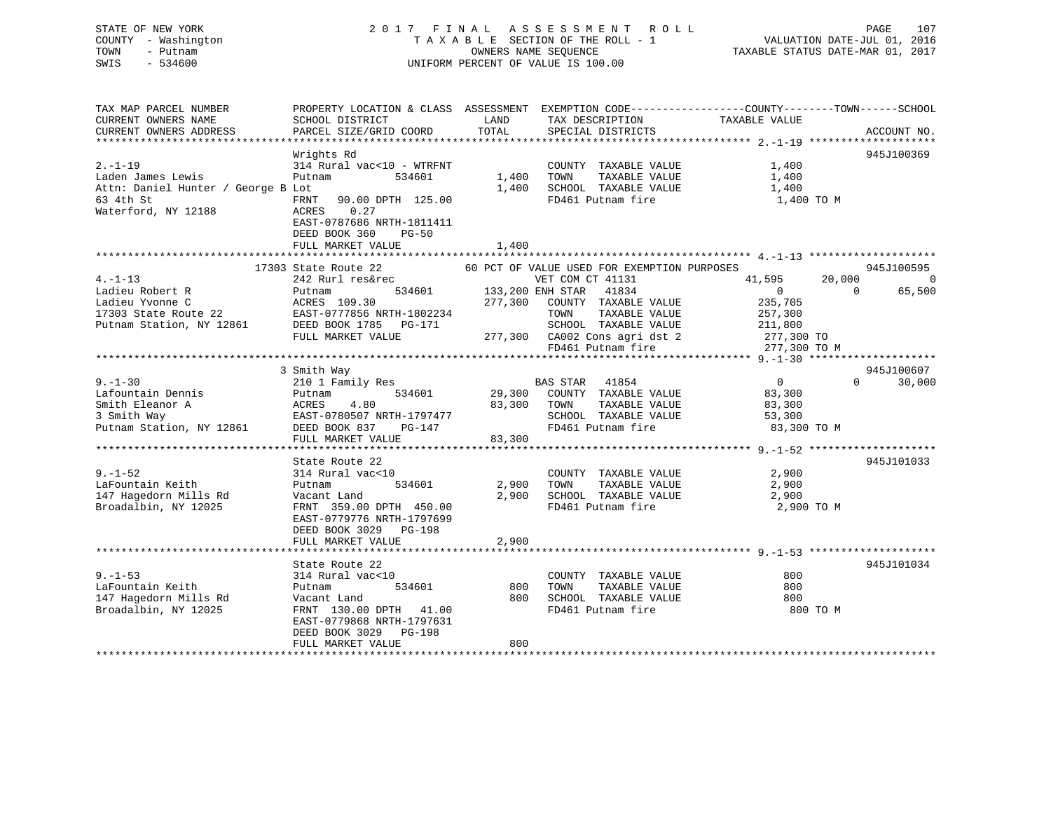# STATE OF NEW YORK 2 0 1 7 F I N A L A S S E S S M E N T R O L L PAGE 107 COUNTY - Washington T A X A B L E SECTION OF THE ROLL - 1 VALUATION DATE-JUL 01, 2016 TOWN - Putnam OWNERS NAME SEQUENCE TAXABLE STATUS DATE-MAR 01, 2017 SWIS - 534600 UNIFORM PERCENT OF VALUE IS 100.00

| TAX MAP PARCEL NUMBER<br>CURRENT OWNERS NAME<br>CURRENT OWNERS ADDRESS | PROPERTY LOCATION & CLASS ASSESSMENT<br>SCHOOL DISTRICT<br>PARCEL SIZE/GRID COORD                                        | LAND<br>TOTAL | TAX DESCRIPTION<br>SPECIAL DISTRICTS                            | EXEMPTION CODE-----------------COUNTY-------TOWN------SCHOOL<br>TAXABLE VALUE | ACCOUNT NO.        |
|------------------------------------------------------------------------|--------------------------------------------------------------------------------------------------------------------------|---------------|-----------------------------------------------------------------|-------------------------------------------------------------------------------|--------------------|
|                                                                        |                                                                                                                          |               |                                                                 |                                                                               |                    |
|                                                                        | Wrights Rd                                                                                                               |               |                                                                 |                                                                               | 945J100369         |
| $2. - 1 - 19$                                                          | 314 Rural vac<10 - WTRFNT                                                                                                |               | COUNTY TAXABLE VALUE                                            | 1,400                                                                         |                    |
| Laden James Lewis                                                      | 534601<br>Putnam                                                                                                         | 1,400         | TAXABLE VALUE<br>TOWN                                           | 1,400                                                                         |                    |
| Attn: Daniel Hunter / George B Lot                                     |                                                                                                                          | 1,400         | SCHOOL TAXABLE VALUE                                            | 1,400                                                                         |                    |
| 63 4th St<br>Waterford, NY 12188                                       | 90.00 DPTH 125.00<br>FRNT<br>0.27<br>ACRES<br>EAST-0787686 NRTH-1811411<br>DEED BOOK 360<br>$PG-50$<br>FULL MARKET VALUE | 1,400         | FD461 Putnam fire                                               | 1,400 TO M                                                                    |                    |
|                                                                        |                                                                                                                          |               |                                                                 |                                                                               |                    |
| $4. -1 - 13$                                                           | 17303 State Route 22<br>242 Rurl res&rec                                                                                 |               | 60 PCT OF VALUE USED FOR EXEMPTION PURPOSES<br>VET COM CT 41131 | 41,595<br>20,000                                                              | 945J100595<br>0    |
| Ladieu Robert R                                                        | 534601<br>Putnam                                                                                                         |               | 133,200 ENH STAR 41834                                          | $\overline{0}$                                                                | $\Omega$<br>65,500 |
| Ladieu Yvonne C                                                        | ACRES 109.30                                                                                                             | 277,300       | COUNTY TAXABLE VALUE                                            | 235,705                                                                       |                    |
|                                                                        |                                                                                                                          |               | TOWN<br>TAXABLE VALUE                                           | 257,300                                                                       |                    |
| Putnam Station, NY 12861                                               | DEED BOOK 1785 PG-171                                                                                                    |               | SCHOOL TAXABLE VALUE                                            | 211,800                                                                       |                    |
|                                                                        | FULL MARKET VALUE                                                                                                        |               | 277,300 CA002 Cons agri dst 2                                   | 277,300 TO                                                                    |                    |
|                                                                        |                                                                                                                          |               | FD461 Putnam fire                                               | 277,300 TO M                                                                  |                    |
|                                                                        |                                                                                                                          |               |                                                                 |                                                                               |                    |
|                                                                        | 3 Smith Way                                                                                                              |               |                                                                 |                                                                               | 945J100607         |
| $9. - 1 - 30$                                                          | 210 1 Family Res                                                                                                         |               | BAS STAR 41854                                                  | $\overline{0}$                                                                | $\Omega$<br>30,000 |
| Lafountain Dennis                                                      | 534601<br>Putnam                                                                                                         |               | 29,300 COUNTY TAXABLE VALUE                                     | 83,300                                                                        |                    |
| Smith Eleanor A                                                        | 4.80<br>ACRES<br>EAST-0780507 NRTH-1797477<br>DEED ROOK 027                                                              | 83,300        | TAXABLE VALUE<br>TOWN                                           | 83,300                                                                        |                    |
| 3 Smith Way                                                            |                                                                                                                          |               | SCHOOL TAXABLE VALUE                                            | 53,300                                                                        |                    |
| Putnam Station, NY 12861                                               |                                                                                                                          |               | FD461 Putnam fire                                               | 83,300 TO M                                                                   |                    |
|                                                                        | FULL MARKET VALUE                                                                                                        | 83,300        |                                                                 |                                                                               |                    |
|                                                                        | State Route 22                                                                                                           |               |                                                                 |                                                                               | 945J101033         |
| $9. - 1 - 52$                                                          | 314 Rural vac<10                                                                                                         |               | COUNTY TAXABLE VALUE                                            | 2,900                                                                         |                    |
| LaFountain Keith                                                       | 534601<br>Putnam                                                                                                         | 2,900         | TAXABLE VALUE<br>TOWN                                           | 2,900                                                                         |                    |
| 147 Hagedorn Mills Rd                                                  | Vacant Land                                                                                                              | 2,900         | SCHOOL TAXABLE VALUE                                            | 2,900                                                                         |                    |
| Broadalbin, NY 12025                                                   | FRNT 359.00 DPTH 450.00                                                                                                  |               | FD461 Putnam fire                                               | 2,900 TO M                                                                    |                    |
|                                                                        | EAST-0779776 NRTH-1797699<br>DEED BOOK 3029 PG-198                                                                       |               |                                                                 |                                                                               |                    |
|                                                                        | FULL MARKET VALUE                                                                                                        | 2,900         |                                                                 |                                                                               |                    |
|                                                                        |                                                                                                                          |               |                                                                 |                                                                               |                    |
|                                                                        | State Route 22                                                                                                           |               |                                                                 |                                                                               | 945J101034         |
| $9. - 1 - 53$                                                          | 314 Rural vac<10                                                                                                         |               | COUNTY TAXABLE VALUE                                            | 800                                                                           |                    |
| LaFountain Keith                                                       | 534601<br>Putnam                                                                                                         | 800           | TAXABLE VALUE<br>TOWN                                           | 800                                                                           |                    |
| 147 Hagedorn Mills Rd                                                  | Vacant Land                                                                                                              | 800           | SCHOOL TAXABLE VALUE                                            | 800                                                                           |                    |
| Broadalbin, NY 12025                                                   | FRNT 130.00 DPTH 41.00<br>EAST-0779868 NRTH-1797631<br>DEED BOOK 3029 PG-198                                             |               | FD461 Putnam fire                                               | 800 TO M                                                                      |                    |
|                                                                        | FULL MARKET VALUE                                                                                                        | 800           |                                                                 |                                                                               |                    |
|                                                                        |                                                                                                                          |               |                                                                 |                                                                               |                    |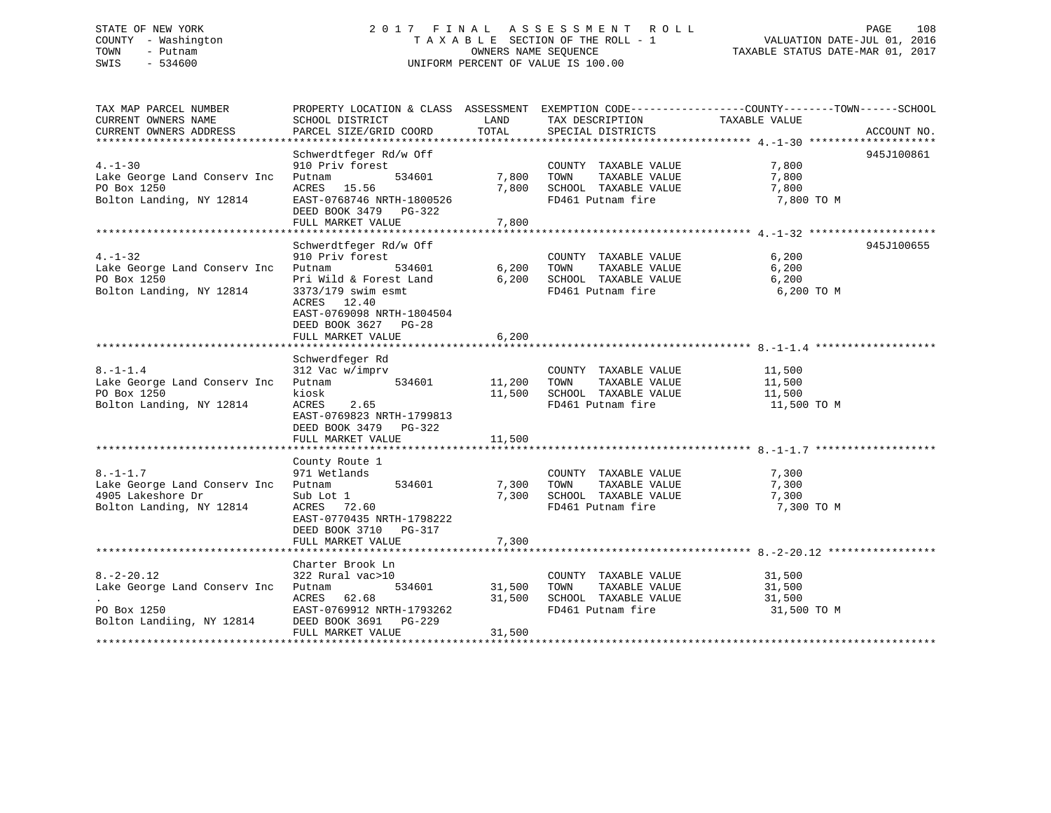# STATE OF NEW YORK 2 0 1 7 F I N A L A S S E S S M E N T R O L L PAGE 108 COUNTY - Washington T A X A B L E SECTION OF THE ROLL - 1 VALUATION DATE-JUL 01, 2016 TOWN - Putnam OWNERS NAME SEQUENCE TAXABLE STATUS DATE-MAR 01, 2017 SWIS - 534600 UNIFORM PERCENT OF VALUE IS 100.00

| TAX MAP PARCEL NUMBER<br>CURRENT OWNERS NAME<br>CURRENT OWNERS ADDRESS                              | PROPERTY LOCATION & CLASS ASSESSMENT EXEMPTION CODE---------------COUNTY-------TOWN-----SCHOOL<br>SCHOOL DISTRICT<br>PARCEL SIZE/GRID COORD                                                            | LAND<br>TOTAL              | TAX DESCRIPTION<br>SPECIAL DISTRICTS                                                                                 | TAXABLE VALUE                                 | ACCOUNT NO. |
|-----------------------------------------------------------------------------------------------------|--------------------------------------------------------------------------------------------------------------------------------------------------------------------------------------------------------|----------------------------|----------------------------------------------------------------------------------------------------------------------|-----------------------------------------------|-------------|
| $4. - 1 - 30$<br>Lake George Land Conserv Inc<br>PO Box 1250<br>Bolton Landing, NY 12814            | Schwerdtfeger Rd/w Off<br>910 Priv forest<br>534601<br>Putnam<br>ACRES 15.56<br>EAST-0768746 NRTH-1800526<br>DEED BOOK 3479 PG-322<br>FULL MARKET VALUE                                                | 7,800<br>7,800             | COUNTY TAXABLE VALUE<br>TAXABLE VALUE<br>TOWN<br>7,800 10mm 11.1.<br>7,800 SCHOOL TAXABLE VALUE<br>FD461 Putnam fire | 7,800<br>7,800<br>$7,800$ TO M                | 945J100861  |
| $4. - 1 - 32$<br>Lake George Land Conserv Inc<br>PO Box 1250<br>Bolton Landing, NY 12814            | Schwerdtfeger Rd/w Off<br>910 Priv forest<br>Putnam<br>534601<br>Pri Wild & Forest Land<br>3373/179 swim esmt<br>ACRES 12.40<br>EAST-0769098 NRTH-1804504<br>DEED BOOK 3627 PG-28<br>FULL MARKET VALUE | 6,200<br>6,200<br>6,200    | COUNTY TAXABLE VALUE<br>TAXABLE VALUE<br>TOWN<br>SCHOOL TAXABLE VALUE<br>FD461 Putnam fire                           | 6,200<br>6,200<br>6,200<br>6,200 TO M         | 945J100655  |
| $8. - 1 - 1.4$<br>Lake George Land Conserv Inc<br>PO Box 1250<br>Bolton Landing, NY 12814           | Schwerdfeger Rd<br>312 Vac w/imprv<br>534601<br>Putnam<br>kiosk<br>ACRES<br>2.65<br>EAST-0769823 NRTH-1799813<br>DEED BOOK 3479 PG-322<br>FULL MARKET VALUE                                            | 11,200 TOWN<br>11,500      | COUNTY TAXABLE VALUE<br>TAXABLE VALUE<br>11,500 SCHOOL TAXABLE VALUE<br>FD461 Putnam fire                            | 11,500<br>11,500<br>11,500<br>11,500 TO M     |             |
| $8. - 1 - 1.7$<br>Lake George Land Conserv Inc<br>4905 Lakeshore Dr<br>Bolton Landing, NY 12814     | County Route 1<br>971 Wetlands<br>971 Wetlands<br>534601<br>Putnam<br>Sub Lot 1<br>ACRES 72.60<br>EAST-0770435 NRTH-1798222<br>DEED BOOK 3710 PG-317<br>FULL MARKET VALUE                              | 7,300 TOWN<br>7,300        | COUNTY TAXABLE VALUE<br>TAXABLE VALUE<br>7,300 SCHOOL TAXABLE VALUE<br>FD461 Putnam fire                             | 7,300<br>7,300<br>7,300<br>7,300 TO M         |             |
| $8. - 2 - 20.12$<br>Lake George Land Conserv Inc Putnam<br>PO Box 1250<br>Bolton Landiing, NY 12814 | Charter Brook Ln<br>322 Rural vac>10<br>534601<br>ACRES 62.68<br>EAST-0769912 NRTH-1793262<br>DEED BOOK 3691 PG-229<br>FULL MARKET VALUE                                                               | 31,500<br>31,500<br>31,500 | COUNTY TAXABLE VALUE<br>TOWN<br>TAXABLE VALUE<br>SCHOOL TAXABLE VALUE<br>FD461 Putnam fire                           | $31,500$<br>$31,500$<br>31,500<br>31,500 TO M |             |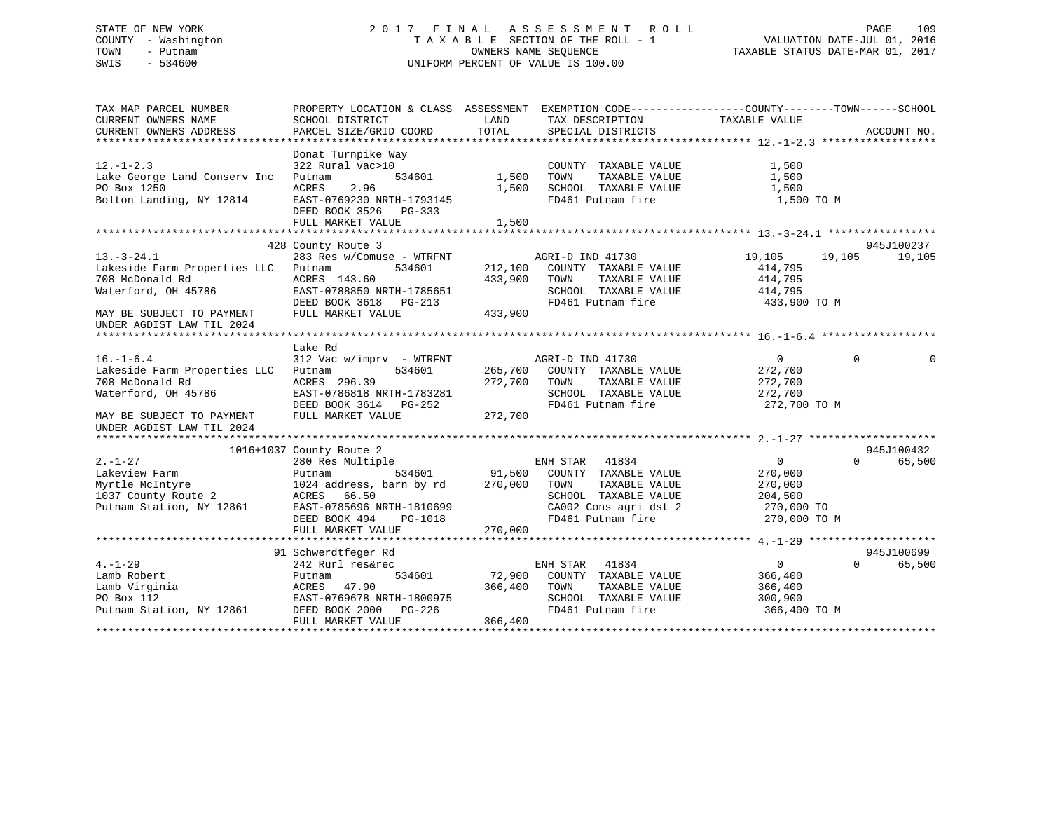# STATE OF NEW YORK 2 0 1 7 F I N A L A S S E S S M E N T R O L L PAGE 109 COUNTY - Washington T A X A B L E SECTION OF THE ROLL - 1 VALUATION DATE-JUL 01, 2016 TOWN - Putnam OWNERS NAME SEQUENCE TAXABLE STATUS DATE-MAR 01, 2017 SWIS - 534600 UNIFORM PERCENT OF VALUE IS 100.00

| CURRENT OWNERS NAME<br>SCHOOL DISTRICT<br>LAND<br>TAX DESCRIPTION<br>TAXABLE VALUE<br>CURRENT OWNERS ADDRESS<br>PARCEL SIZE/GRID COORD<br>TOTAL<br>ACCOUNT NO.<br>SPECIAL DISTRICTS<br>Donat Turnpike Way<br>$12. - 1 - 2.3$<br>322 Rural vac>10<br>COUNTY TAXABLE VALUE<br>1,500<br>Lake George Land Conserv Inc<br>534601<br>1,500<br>TOWN<br>TAXABLE VALUE<br>1,500<br>Putnam<br>2.96<br>PO Box 1250<br>ACRES<br>1,500<br>SCHOOL TAXABLE VALUE<br>1,500<br>Bolton Landing, NY 12814<br>FD461 Putnam fire<br>EAST-0769230 NRTH-1793145<br>1,500 TO M<br>DEED BOOK 3526 PG-333<br>FULL MARKET VALUE<br>1,500<br>428 County Route 3<br>945J100237<br>$13.-3-24.1$<br>283 Res w/Comuse - WTRFNT<br>19,105<br>19,105<br>AGRI-D IND 41730<br>19,105<br>Lakeside Farm Properties LLC<br>534601<br>212,100<br>COUNTY TAXABLE VALUE<br>Putnam<br>414,795<br>708 McDonald Rd<br>ACRES 143.60<br>433,900<br>TOWN<br>TAXABLE VALUE<br>414,795<br>Waterford, OH 45786<br>EAST-0788850 NRTH-1785651<br>SCHOOL TAXABLE VALUE<br>414,795<br>FD461 Putnam fire<br>DEED BOOK 3618 PG-213<br>433,900 TO M<br>FULL MARKET VALUE<br>433,900<br>MAY BE SUBJECT TO PAYMENT<br>UNDER AGDIST LAW TIL 2024<br>Lake Rd<br>$\overline{0}$<br>$16. - 1 - 6.4$<br>312 Vac w/imprv - WTRFNT<br>AGRI-D IND 41730<br>0<br>$\Omega$<br>265,700<br>272,700<br>Lakeside Farm Properties LLC<br>534601<br>COUNTY TAXABLE VALUE<br>Putnam<br>272,700<br>708 McDonald Rd<br>ACRES 296.39<br>TOWN<br>TAXABLE VALUE<br>272,700<br>Waterford, OH 45786<br>EAST-0786818 NRTH-1783281<br>SCHOOL TAXABLE VALUE<br>272,700<br>DEED BOOK 3614 PG-252<br>FD461 Putnam fire<br>272,700 TO M<br>FULL MARKET VALUE<br>272,700<br>MAY BE SUBJECT TO PAYMENT<br>UNDER AGDIST LAW TIL 2024<br>945J100432<br>1016+1037 County Route 2<br>$2. - 1 - 27$<br>ENH STAR<br>$\overline{0}$<br>$\Omega$<br>280 Res Multiple<br>41834<br>65,500<br>534601<br>91,500 COUNTY TAXABLE VALUE<br>Lakeview Farm<br>270,000<br>Putnam<br>270,000<br>Myrtle McIntyre<br>1024 address, barn by rd<br>TOWN<br>TAXABLE VALUE<br>270,000<br>1037 County Route 2<br>ACRES 66.50<br>SCHOOL TAXABLE VALUE<br>204,500<br>Putnam Station, NY 12861<br>EAST-0785696 NRTH-1810699<br>CA002 Cons agri dst 2<br>270,000 TO<br>FD461 Putnam fire<br>270,000 TO M<br>DEED BOOK 494<br>PG-1018<br>FULL MARKET VALUE<br>270,000<br>945J100699<br>91 Schwerdtfeger Rd<br>$4. - 1 - 29$<br>ENH STAR 41834<br>$\overline{0}$<br>$\Omega$<br>65,500<br>242 Rurl res&rec<br>Lamb Robert<br>72,900<br>534601<br>COUNTY TAXABLE VALUE<br>366,400<br>Putnam<br>Lamb Virginia<br>366,400<br>TAXABLE VALUE<br>ACRES 47.90<br>TOWN<br>366,400<br>PO Box 112<br>EAST-0769678 NRTH-1800975<br>SCHOOL TAXABLE VALUE<br>300,900<br>Putnam Station, NY 12861<br>DEED BOOK 2000 PG-226<br>FD461 Putnam fire<br>366,400 ТО М<br>366,400<br>FULL MARKET VALUE | TAX MAP PARCEL NUMBER | PROPERTY LOCATION & CLASS ASSESSMENT EXEMPTION CODE----------------COUNTY-------TOWN------SCHOOL |  |  |
|-------------------------------------------------------------------------------------------------------------------------------------------------------------------------------------------------------------------------------------------------------------------------------------------------------------------------------------------------------------------------------------------------------------------------------------------------------------------------------------------------------------------------------------------------------------------------------------------------------------------------------------------------------------------------------------------------------------------------------------------------------------------------------------------------------------------------------------------------------------------------------------------------------------------------------------------------------------------------------------------------------------------------------------------------------------------------------------------------------------------------------------------------------------------------------------------------------------------------------------------------------------------------------------------------------------------------------------------------------------------------------------------------------------------------------------------------------------------------------------------------------------------------------------------------------------------------------------------------------------------------------------------------------------------------------------------------------------------------------------------------------------------------------------------------------------------------------------------------------------------------------------------------------------------------------------------------------------------------------------------------------------------------------------------------------------------------------------------------------------------------------------------------------------------------------------------------------------------------------------------------------------------------------------------------------------------------------------------------------------------------------------------------------------------------------------------------------------------------------------------------------------------------------------------------------------------------------------------------------------------------------------------------------------------------------------------------------------------------------------------------------------------------------------------------------------------------------------------------------|-----------------------|--------------------------------------------------------------------------------------------------|--|--|
|                                                                                                                                                                                                                                                                                                                                                                                                                                                                                                                                                                                                                                                                                                                                                                                                                                                                                                                                                                                                                                                                                                                                                                                                                                                                                                                                                                                                                                                                                                                                                                                                                                                                                                                                                                                                                                                                                                                                                                                                                                                                                                                                                                                                                                                                                                                                                                                                                                                                                                                                                                                                                                                                                                                                                                                                                                                       |                       |                                                                                                  |  |  |
|                                                                                                                                                                                                                                                                                                                                                                                                                                                                                                                                                                                                                                                                                                                                                                                                                                                                                                                                                                                                                                                                                                                                                                                                                                                                                                                                                                                                                                                                                                                                                                                                                                                                                                                                                                                                                                                                                                                                                                                                                                                                                                                                                                                                                                                                                                                                                                                                                                                                                                                                                                                                                                                                                                                                                                                                                                                       |                       |                                                                                                  |  |  |
|                                                                                                                                                                                                                                                                                                                                                                                                                                                                                                                                                                                                                                                                                                                                                                                                                                                                                                                                                                                                                                                                                                                                                                                                                                                                                                                                                                                                                                                                                                                                                                                                                                                                                                                                                                                                                                                                                                                                                                                                                                                                                                                                                                                                                                                                                                                                                                                                                                                                                                                                                                                                                                                                                                                                                                                                                                                       |                       |                                                                                                  |  |  |
|                                                                                                                                                                                                                                                                                                                                                                                                                                                                                                                                                                                                                                                                                                                                                                                                                                                                                                                                                                                                                                                                                                                                                                                                                                                                                                                                                                                                                                                                                                                                                                                                                                                                                                                                                                                                                                                                                                                                                                                                                                                                                                                                                                                                                                                                                                                                                                                                                                                                                                                                                                                                                                                                                                                                                                                                                                                       |                       |                                                                                                  |  |  |
|                                                                                                                                                                                                                                                                                                                                                                                                                                                                                                                                                                                                                                                                                                                                                                                                                                                                                                                                                                                                                                                                                                                                                                                                                                                                                                                                                                                                                                                                                                                                                                                                                                                                                                                                                                                                                                                                                                                                                                                                                                                                                                                                                                                                                                                                                                                                                                                                                                                                                                                                                                                                                                                                                                                                                                                                                                                       |                       |                                                                                                  |  |  |
|                                                                                                                                                                                                                                                                                                                                                                                                                                                                                                                                                                                                                                                                                                                                                                                                                                                                                                                                                                                                                                                                                                                                                                                                                                                                                                                                                                                                                                                                                                                                                                                                                                                                                                                                                                                                                                                                                                                                                                                                                                                                                                                                                                                                                                                                                                                                                                                                                                                                                                                                                                                                                                                                                                                                                                                                                                                       |                       |                                                                                                  |  |  |
|                                                                                                                                                                                                                                                                                                                                                                                                                                                                                                                                                                                                                                                                                                                                                                                                                                                                                                                                                                                                                                                                                                                                                                                                                                                                                                                                                                                                                                                                                                                                                                                                                                                                                                                                                                                                                                                                                                                                                                                                                                                                                                                                                                                                                                                                                                                                                                                                                                                                                                                                                                                                                                                                                                                                                                                                                                                       |                       |                                                                                                  |  |  |
|                                                                                                                                                                                                                                                                                                                                                                                                                                                                                                                                                                                                                                                                                                                                                                                                                                                                                                                                                                                                                                                                                                                                                                                                                                                                                                                                                                                                                                                                                                                                                                                                                                                                                                                                                                                                                                                                                                                                                                                                                                                                                                                                                                                                                                                                                                                                                                                                                                                                                                                                                                                                                                                                                                                                                                                                                                                       |                       |                                                                                                  |  |  |
|                                                                                                                                                                                                                                                                                                                                                                                                                                                                                                                                                                                                                                                                                                                                                                                                                                                                                                                                                                                                                                                                                                                                                                                                                                                                                                                                                                                                                                                                                                                                                                                                                                                                                                                                                                                                                                                                                                                                                                                                                                                                                                                                                                                                                                                                                                                                                                                                                                                                                                                                                                                                                                                                                                                                                                                                                                                       |                       |                                                                                                  |  |  |
|                                                                                                                                                                                                                                                                                                                                                                                                                                                                                                                                                                                                                                                                                                                                                                                                                                                                                                                                                                                                                                                                                                                                                                                                                                                                                                                                                                                                                                                                                                                                                                                                                                                                                                                                                                                                                                                                                                                                                                                                                                                                                                                                                                                                                                                                                                                                                                                                                                                                                                                                                                                                                                                                                                                                                                                                                                                       |                       |                                                                                                  |  |  |
|                                                                                                                                                                                                                                                                                                                                                                                                                                                                                                                                                                                                                                                                                                                                                                                                                                                                                                                                                                                                                                                                                                                                                                                                                                                                                                                                                                                                                                                                                                                                                                                                                                                                                                                                                                                                                                                                                                                                                                                                                                                                                                                                                                                                                                                                                                                                                                                                                                                                                                                                                                                                                                                                                                                                                                                                                                                       |                       |                                                                                                  |  |  |
|                                                                                                                                                                                                                                                                                                                                                                                                                                                                                                                                                                                                                                                                                                                                                                                                                                                                                                                                                                                                                                                                                                                                                                                                                                                                                                                                                                                                                                                                                                                                                                                                                                                                                                                                                                                                                                                                                                                                                                                                                                                                                                                                                                                                                                                                                                                                                                                                                                                                                                                                                                                                                                                                                                                                                                                                                                                       |                       |                                                                                                  |  |  |
|                                                                                                                                                                                                                                                                                                                                                                                                                                                                                                                                                                                                                                                                                                                                                                                                                                                                                                                                                                                                                                                                                                                                                                                                                                                                                                                                                                                                                                                                                                                                                                                                                                                                                                                                                                                                                                                                                                                                                                                                                                                                                                                                                                                                                                                                                                                                                                                                                                                                                                                                                                                                                                                                                                                                                                                                                                                       |                       |                                                                                                  |  |  |
|                                                                                                                                                                                                                                                                                                                                                                                                                                                                                                                                                                                                                                                                                                                                                                                                                                                                                                                                                                                                                                                                                                                                                                                                                                                                                                                                                                                                                                                                                                                                                                                                                                                                                                                                                                                                                                                                                                                                                                                                                                                                                                                                                                                                                                                                                                                                                                                                                                                                                                                                                                                                                                                                                                                                                                                                                                                       |                       |                                                                                                  |  |  |
|                                                                                                                                                                                                                                                                                                                                                                                                                                                                                                                                                                                                                                                                                                                                                                                                                                                                                                                                                                                                                                                                                                                                                                                                                                                                                                                                                                                                                                                                                                                                                                                                                                                                                                                                                                                                                                                                                                                                                                                                                                                                                                                                                                                                                                                                                                                                                                                                                                                                                                                                                                                                                                                                                                                                                                                                                                                       |                       |                                                                                                  |  |  |
|                                                                                                                                                                                                                                                                                                                                                                                                                                                                                                                                                                                                                                                                                                                                                                                                                                                                                                                                                                                                                                                                                                                                                                                                                                                                                                                                                                                                                                                                                                                                                                                                                                                                                                                                                                                                                                                                                                                                                                                                                                                                                                                                                                                                                                                                                                                                                                                                                                                                                                                                                                                                                                                                                                                                                                                                                                                       |                       |                                                                                                  |  |  |
|                                                                                                                                                                                                                                                                                                                                                                                                                                                                                                                                                                                                                                                                                                                                                                                                                                                                                                                                                                                                                                                                                                                                                                                                                                                                                                                                                                                                                                                                                                                                                                                                                                                                                                                                                                                                                                                                                                                                                                                                                                                                                                                                                                                                                                                                                                                                                                                                                                                                                                                                                                                                                                                                                                                                                                                                                                                       |                       |                                                                                                  |  |  |
|                                                                                                                                                                                                                                                                                                                                                                                                                                                                                                                                                                                                                                                                                                                                                                                                                                                                                                                                                                                                                                                                                                                                                                                                                                                                                                                                                                                                                                                                                                                                                                                                                                                                                                                                                                                                                                                                                                                                                                                                                                                                                                                                                                                                                                                                                                                                                                                                                                                                                                                                                                                                                                                                                                                                                                                                                                                       |                       |                                                                                                  |  |  |
|                                                                                                                                                                                                                                                                                                                                                                                                                                                                                                                                                                                                                                                                                                                                                                                                                                                                                                                                                                                                                                                                                                                                                                                                                                                                                                                                                                                                                                                                                                                                                                                                                                                                                                                                                                                                                                                                                                                                                                                                                                                                                                                                                                                                                                                                                                                                                                                                                                                                                                                                                                                                                                                                                                                                                                                                                                                       |                       |                                                                                                  |  |  |
|                                                                                                                                                                                                                                                                                                                                                                                                                                                                                                                                                                                                                                                                                                                                                                                                                                                                                                                                                                                                                                                                                                                                                                                                                                                                                                                                                                                                                                                                                                                                                                                                                                                                                                                                                                                                                                                                                                                                                                                                                                                                                                                                                                                                                                                                                                                                                                                                                                                                                                                                                                                                                                                                                                                                                                                                                                                       |                       |                                                                                                  |  |  |
|                                                                                                                                                                                                                                                                                                                                                                                                                                                                                                                                                                                                                                                                                                                                                                                                                                                                                                                                                                                                                                                                                                                                                                                                                                                                                                                                                                                                                                                                                                                                                                                                                                                                                                                                                                                                                                                                                                                                                                                                                                                                                                                                                                                                                                                                                                                                                                                                                                                                                                                                                                                                                                                                                                                                                                                                                                                       |                       |                                                                                                  |  |  |
|                                                                                                                                                                                                                                                                                                                                                                                                                                                                                                                                                                                                                                                                                                                                                                                                                                                                                                                                                                                                                                                                                                                                                                                                                                                                                                                                                                                                                                                                                                                                                                                                                                                                                                                                                                                                                                                                                                                                                                                                                                                                                                                                                                                                                                                                                                                                                                                                                                                                                                                                                                                                                                                                                                                                                                                                                                                       |                       |                                                                                                  |  |  |
|                                                                                                                                                                                                                                                                                                                                                                                                                                                                                                                                                                                                                                                                                                                                                                                                                                                                                                                                                                                                                                                                                                                                                                                                                                                                                                                                                                                                                                                                                                                                                                                                                                                                                                                                                                                                                                                                                                                                                                                                                                                                                                                                                                                                                                                                                                                                                                                                                                                                                                                                                                                                                                                                                                                                                                                                                                                       |                       |                                                                                                  |  |  |
|                                                                                                                                                                                                                                                                                                                                                                                                                                                                                                                                                                                                                                                                                                                                                                                                                                                                                                                                                                                                                                                                                                                                                                                                                                                                                                                                                                                                                                                                                                                                                                                                                                                                                                                                                                                                                                                                                                                                                                                                                                                                                                                                                                                                                                                                                                                                                                                                                                                                                                                                                                                                                                                                                                                                                                                                                                                       |                       |                                                                                                  |  |  |
|                                                                                                                                                                                                                                                                                                                                                                                                                                                                                                                                                                                                                                                                                                                                                                                                                                                                                                                                                                                                                                                                                                                                                                                                                                                                                                                                                                                                                                                                                                                                                                                                                                                                                                                                                                                                                                                                                                                                                                                                                                                                                                                                                                                                                                                                                                                                                                                                                                                                                                                                                                                                                                                                                                                                                                                                                                                       |                       |                                                                                                  |  |  |
|                                                                                                                                                                                                                                                                                                                                                                                                                                                                                                                                                                                                                                                                                                                                                                                                                                                                                                                                                                                                                                                                                                                                                                                                                                                                                                                                                                                                                                                                                                                                                                                                                                                                                                                                                                                                                                                                                                                                                                                                                                                                                                                                                                                                                                                                                                                                                                                                                                                                                                                                                                                                                                                                                                                                                                                                                                                       |                       |                                                                                                  |  |  |
|                                                                                                                                                                                                                                                                                                                                                                                                                                                                                                                                                                                                                                                                                                                                                                                                                                                                                                                                                                                                                                                                                                                                                                                                                                                                                                                                                                                                                                                                                                                                                                                                                                                                                                                                                                                                                                                                                                                                                                                                                                                                                                                                                                                                                                                                                                                                                                                                                                                                                                                                                                                                                                                                                                                                                                                                                                                       |                       |                                                                                                  |  |  |
|                                                                                                                                                                                                                                                                                                                                                                                                                                                                                                                                                                                                                                                                                                                                                                                                                                                                                                                                                                                                                                                                                                                                                                                                                                                                                                                                                                                                                                                                                                                                                                                                                                                                                                                                                                                                                                                                                                                                                                                                                                                                                                                                                                                                                                                                                                                                                                                                                                                                                                                                                                                                                                                                                                                                                                                                                                                       |                       |                                                                                                  |  |  |
|                                                                                                                                                                                                                                                                                                                                                                                                                                                                                                                                                                                                                                                                                                                                                                                                                                                                                                                                                                                                                                                                                                                                                                                                                                                                                                                                                                                                                                                                                                                                                                                                                                                                                                                                                                                                                                                                                                                                                                                                                                                                                                                                                                                                                                                                                                                                                                                                                                                                                                                                                                                                                                                                                                                                                                                                                                                       |                       |                                                                                                  |  |  |
|                                                                                                                                                                                                                                                                                                                                                                                                                                                                                                                                                                                                                                                                                                                                                                                                                                                                                                                                                                                                                                                                                                                                                                                                                                                                                                                                                                                                                                                                                                                                                                                                                                                                                                                                                                                                                                                                                                                                                                                                                                                                                                                                                                                                                                                                                                                                                                                                                                                                                                                                                                                                                                                                                                                                                                                                                                                       |                       |                                                                                                  |  |  |
|                                                                                                                                                                                                                                                                                                                                                                                                                                                                                                                                                                                                                                                                                                                                                                                                                                                                                                                                                                                                                                                                                                                                                                                                                                                                                                                                                                                                                                                                                                                                                                                                                                                                                                                                                                                                                                                                                                                                                                                                                                                                                                                                                                                                                                                                                                                                                                                                                                                                                                                                                                                                                                                                                                                                                                                                                                                       |                       |                                                                                                  |  |  |
|                                                                                                                                                                                                                                                                                                                                                                                                                                                                                                                                                                                                                                                                                                                                                                                                                                                                                                                                                                                                                                                                                                                                                                                                                                                                                                                                                                                                                                                                                                                                                                                                                                                                                                                                                                                                                                                                                                                                                                                                                                                                                                                                                                                                                                                                                                                                                                                                                                                                                                                                                                                                                                                                                                                                                                                                                                                       |                       |                                                                                                  |  |  |
|                                                                                                                                                                                                                                                                                                                                                                                                                                                                                                                                                                                                                                                                                                                                                                                                                                                                                                                                                                                                                                                                                                                                                                                                                                                                                                                                                                                                                                                                                                                                                                                                                                                                                                                                                                                                                                                                                                                                                                                                                                                                                                                                                                                                                                                                                                                                                                                                                                                                                                                                                                                                                                                                                                                                                                                                                                                       |                       |                                                                                                  |  |  |
|                                                                                                                                                                                                                                                                                                                                                                                                                                                                                                                                                                                                                                                                                                                                                                                                                                                                                                                                                                                                                                                                                                                                                                                                                                                                                                                                                                                                                                                                                                                                                                                                                                                                                                                                                                                                                                                                                                                                                                                                                                                                                                                                                                                                                                                                                                                                                                                                                                                                                                                                                                                                                                                                                                                                                                                                                                                       |                       |                                                                                                  |  |  |
|                                                                                                                                                                                                                                                                                                                                                                                                                                                                                                                                                                                                                                                                                                                                                                                                                                                                                                                                                                                                                                                                                                                                                                                                                                                                                                                                                                                                                                                                                                                                                                                                                                                                                                                                                                                                                                                                                                                                                                                                                                                                                                                                                                                                                                                                                                                                                                                                                                                                                                                                                                                                                                                                                                                                                                                                                                                       |                       |                                                                                                  |  |  |
|                                                                                                                                                                                                                                                                                                                                                                                                                                                                                                                                                                                                                                                                                                                                                                                                                                                                                                                                                                                                                                                                                                                                                                                                                                                                                                                                                                                                                                                                                                                                                                                                                                                                                                                                                                                                                                                                                                                                                                                                                                                                                                                                                                                                                                                                                                                                                                                                                                                                                                                                                                                                                                                                                                                                                                                                                                                       |                       |                                                                                                  |  |  |
|                                                                                                                                                                                                                                                                                                                                                                                                                                                                                                                                                                                                                                                                                                                                                                                                                                                                                                                                                                                                                                                                                                                                                                                                                                                                                                                                                                                                                                                                                                                                                                                                                                                                                                                                                                                                                                                                                                                                                                                                                                                                                                                                                                                                                                                                                                                                                                                                                                                                                                                                                                                                                                                                                                                                                                                                                                                       |                       |                                                                                                  |  |  |
|                                                                                                                                                                                                                                                                                                                                                                                                                                                                                                                                                                                                                                                                                                                                                                                                                                                                                                                                                                                                                                                                                                                                                                                                                                                                                                                                                                                                                                                                                                                                                                                                                                                                                                                                                                                                                                                                                                                                                                                                                                                                                                                                                                                                                                                                                                                                                                                                                                                                                                                                                                                                                                                                                                                                                                                                                                                       |                       |                                                                                                  |  |  |
|                                                                                                                                                                                                                                                                                                                                                                                                                                                                                                                                                                                                                                                                                                                                                                                                                                                                                                                                                                                                                                                                                                                                                                                                                                                                                                                                                                                                                                                                                                                                                                                                                                                                                                                                                                                                                                                                                                                                                                                                                                                                                                                                                                                                                                                                                                                                                                                                                                                                                                                                                                                                                                                                                                                                                                                                                                                       |                       |                                                                                                  |  |  |
|                                                                                                                                                                                                                                                                                                                                                                                                                                                                                                                                                                                                                                                                                                                                                                                                                                                                                                                                                                                                                                                                                                                                                                                                                                                                                                                                                                                                                                                                                                                                                                                                                                                                                                                                                                                                                                                                                                                                                                                                                                                                                                                                                                                                                                                                                                                                                                                                                                                                                                                                                                                                                                                                                                                                                                                                                                                       |                       |                                                                                                  |  |  |
|                                                                                                                                                                                                                                                                                                                                                                                                                                                                                                                                                                                                                                                                                                                                                                                                                                                                                                                                                                                                                                                                                                                                                                                                                                                                                                                                                                                                                                                                                                                                                                                                                                                                                                                                                                                                                                                                                                                                                                                                                                                                                                                                                                                                                                                                                                                                                                                                                                                                                                                                                                                                                                                                                                                                                                                                                                                       |                       |                                                                                                  |  |  |
|                                                                                                                                                                                                                                                                                                                                                                                                                                                                                                                                                                                                                                                                                                                                                                                                                                                                                                                                                                                                                                                                                                                                                                                                                                                                                                                                                                                                                                                                                                                                                                                                                                                                                                                                                                                                                                                                                                                                                                                                                                                                                                                                                                                                                                                                                                                                                                                                                                                                                                                                                                                                                                                                                                                                                                                                                                                       |                       |                                                                                                  |  |  |
|                                                                                                                                                                                                                                                                                                                                                                                                                                                                                                                                                                                                                                                                                                                                                                                                                                                                                                                                                                                                                                                                                                                                                                                                                                                                                                                                                                                                                                                                                                                                                                                                                                                                                                                                                                                                                                                                                                                                                                                                                                                                                                                                                                                                                                                                                                                                                                                                                                                                                                                                                                                                                                                                                                                                                                                                                                                       |                       |                                                                                                  |  |  |
|                                                                                                                                                                                                                                                                                                                                                                                                                                                                                                                                                                                                                                                                                                                                                                                                                                                                                                                                                                                                                                                                                                                                                                                                                                                                                                                                                                                                                                                                                                                                                                                                                                                                                                                                                                                                                                                                                                                                                                                                                                                                                                                                                                                                                                                                                                                                                                                                                                                                                                                                                                                                                                                                                                                                                                                                                                                       |                       |                                                                                                  |  |  |
|                                                                                                                                                                                                                                                                                                                                                                                                                                                                                                                                                                                                                                                                                                                                                                                                                                                                                                                                                                                                                                                                                                                                                                                                                                                                                                                                                                                                                                                                                                                                                                                                                                                                                                                                                                                                                                                                                                                                                                                                                                                                                                                                                                                                                                                                                                                                                                                                                                                                                                                                                                                                                                                                                                                                                                                                                                                       |                       |                                                                                                  |  |  |
|                                                                                                                                                                                                                                                                                                                                                                                                                                                                                                                                                                                                                                                                                                                                                                                                                                                                                                                                                                                                                                                                                                                                                                                                                                                                                                                                                                                                                                                                                                                                                                                                                                                                                                                                                                                                                                                                                                                                                                                                                                                                                                                                                                                                                                                                                                                                                                                                                                                                                                                                                                                                                                                                                                                                                                                                                                                       |                       |                                                                                                  |  |  |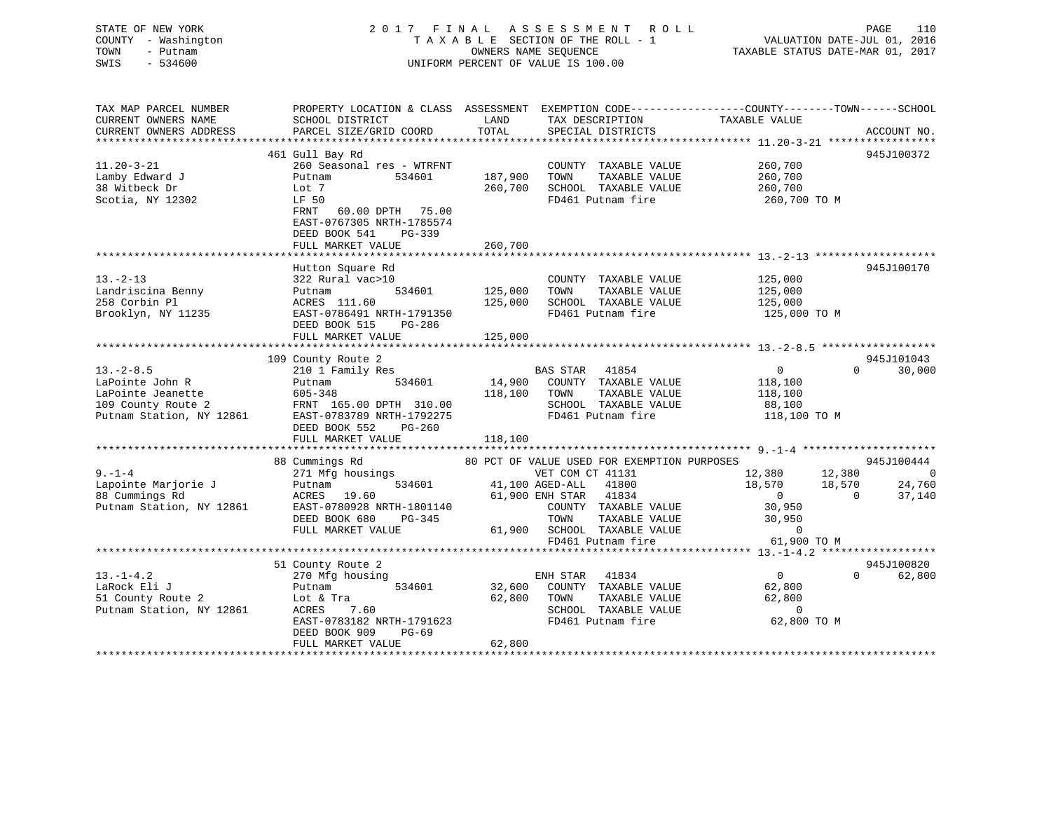# STATE OF NEW YORK 2 0 1 7 F I N A L A S S E S S M E N T R O L L PAGE 110COUNTY - Washington  $T A X A B L E$  SECTION OF THE ROLL - 1<br>TOWN - Putnam data of the COUNTERS NAME SEQUENCE SWIS - 534600 UNIFORM PERCENT OF VALUE IS 100.00

VALUATION DATE-JUL 01, 2016 TAXABLE STATUS DATE-MAR 01, 2017

| TAX MAP PARCEL NUMBER    | PROPERTY LOCATION & CLASS ASSESSMENT EXEMPTION CODE---------------COUNTY-------TOWN------SCHOOL |         |                                             |                            |                          |
|--------------------------|-------------------------------------------------------------------------------------------------|---------|---------------------------------------------|----------------------------|--------------------------|
| CURRENT OWNERS NAME      | SCHOOL DISTRICT                                                                                 | LAND    | TAX DESCRIPTION                             | TAXABLE VALUE              |                          |
| CURRENT OWNERS ADDRESS   | PARCEL SIZE/GRID COORD                                                                          | TOTAL   | SPECIAL DISTRICTS                           |                            | ACCOUNT NO.              |
|                          |                                                                                                 |         |                                             |                            |                          |
|                          | 461 Gull Bay Rd                                                                                 |         |                                             |                            | 945J100372               |
| $11.20 - 3 - 21$         | 260 Seasonal res - WTRFNT                                                                       |         | COUNTY TAXABLE VALUE                        | 260,700                    |                          |
| Lamby Edward J           | Putnam<br>534601                                                                                | 187,900 | TAXABLE VALUE<br>TOWN                       | 260,700                    |                          |
| 38 Witbeck Dr            | Lot 7                                                                                           | 260,700 | SCHOOL TAXABLE VALUE                        | 260,700                    |                          |
| Scotia, NY 12302         | LF 50                                                                                           |         | FD461 Putnam fire                           | 260,700 ТО М               |                          |
|                          | FRNT<br>60.00 DPTH 75.00                                                                        |         |                                             |                            |                          |
|                          | EAST-0767305 NRTH-1785574                                                                       |         |                                             |                            |                          |
|                          | DEED BOOK 541<br>$PG-339$                                                                       |         |                                             |                            |                          |
|                          | FULL MARKET VALUE                                                                               | 260,700 |                                             |                            |                          |
|                          |                                                                                                 |         |                                             |                            |                          |
|                          | Hutton Square Rd                                                                                |         |                                             |                            | 945J100170               |
| $13. - 2 - 13$           | 322 Rural vac>10                                                                                |         | COUNTY TAXABLE VALUE                        | 125,000                    |                          |
| Landriscina Benny        | 534601<br>Putnam                                                                                | 125,000 | TAXABLE VALUE<br>TOWN                       | 125,000                    |                          |
| 258 Corbin Pl            | ACRES 111.60                                                                                    | 125,000 | SCHOOL TAXABLE VALUE                        | 125,000                    |                          |
| Brooklyn, NY 11235       | EAST-0786491 NRTH-1791350                                                                       |         | FD461 Putnam fire                           | 125,000 TO M               |                          |
|                          | DEED BOOK 515<br>PG-286                                                                         |         |                                             |                            |                          |
|                          | FULL MARKET VALUE                                                                               | 125,000 |                                             |                            |                          |
|                          |                                                                                                 |         |                                             |                            |                          |
|                          | 109 County Route 2                                                                              |         |                                             |                            | 945J101043               |
| $13. - 2 - 8.5$          | 210 1 Family Res                                                                                |         | BAS STAR 41854                              | $\overline{0}$<br>$\Omega$ | 30,000                   |
| LaPointe John R          | 534601<br>Putnam                                                                                | 14,900  | COUNTY TAXABLE VALUE                        | 118,100                    |                          |
| LaPointe Jeanette        | 605-348                                                                                         | 118,100 | TAXABLE VALUE<br>TOWN                       | 118,100                    |                          |
| 109 County Route 2       | FRNT 165.00 DPTH 310.00                                                                         |         | SCHOOL TAXABLE VALUE                        | 88,100                     |                          |
| Putnam Station, NY 12861 | EAST-0783789 NRTH-1792275                                                                       |         | FD461 Putnam fire                           | 118,100 TO M               |                          |
|                          | DEED BOOK 552<br>PG-260                                                                         |         |                                             |                            |                          |
|                          | FULL MARKET VALUE                                                                               | 118,100 |                                             |                            |                          |
|                          |                                                                                                 |         |                                             |                            |                          |
|                          | 88 Cummings Rd                                                                                  |         | 80 PCT OF VALUE USED FOR EXEMPTION PURPOSES |                            | 945J100444               |
| $9 - 1 - 4$              | 271 Mfg housings                                                                                |         | VET COM CT 41131                            | 12,380<br>12,380           | $\overline{\phantom{0}}$ |
| Lapointe Marjorie J      | 534601<br>Putnam                                                                                |         | 41,100 AGED-ALL<br>41800                    | 18,570<br>18,570           | 24,760                   |
| 88 Cummings Rd           | ACRES 19.60                                                                                     |         | 61,900 ENH STAR 41834                       | $\overline{0}$<br>$\sim$ 0 | 37,140                   |
| Putnam Station, NY 12861 | EAST-0780928 NRTH-1801140                                                                       |         | COUNTY TAXABLE VALUE                        | 30,950                     |                          |
|                          | DEED BOOK 680<br>PG-345                                                                         |         | TOWN<br>TAXABLE VALUE                       | 30,950                     |                          |
|                          | FULL MARKET VALUE                                                                               |         | 61,900 SCHOOL TAXABLE VALUE                 | $\Omega$                   |                          |
|                          |                                                                                                 |         | FD461 Putnam fire                           | 61,900 TO M                |                          |
|                          |                                                                                                 |         |                                             |                            |                          |
|                          | 51 County Route 2                                                                               |         |                                             |                            | 945J100820               |
| $13.-1-4.2$              | 270 Mfg housing                                                                                 |         | ENH STAR<br>41834                           | $\overline{0}$             | 62,800<br>$\Omega$       |
| LaRock Eli J             | 534601<br>Putnam                                                                                | 32,600  | COUNTY TAXABLE VALUE                        | 62,800                     |                          |
| 51 County Route 2        | Lot & Tra                                                                                       | 62,800  | TOWN<br>TAXABLE VALUE                       | 62,800                     |                          |
| Putnam Station, NY 12861 | ACRES<br>7.60                                                                                   |         | SCHOOL TAXABLE VALUE                        | $\sim$ 0                   |                          |
|                          | EAST-0783182 NRTH-1791623                                                                       |         | FD461 Putnam fire                           | 62,800 TO M                |                          |
|                          | DEED BOOK 909<br>$PG-69$                                                                        |         |                                             |                            |                          |
|                          | FULL MARKET VALUE                                                                               | 62,800  |                                             |                            |                          |
|                          |                                                                                                 |         |                                             |                            |                          |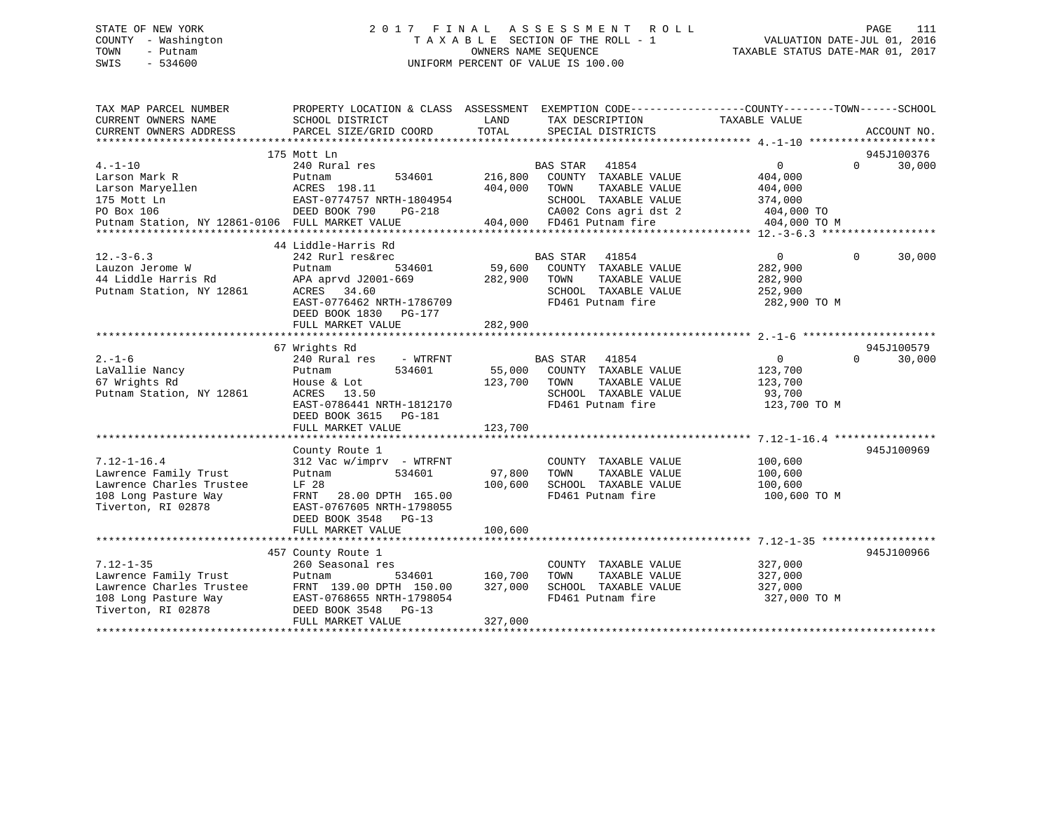# STATE OF NEW YORK 2 0 1 7 F I N A L A S S E S S M E N T R O L L PAGE 111 COUNTY - Washington T A X A B L E SECTION OF THE ROLL - 1 VALUATION DATE-JUL 01, 2016 TOWN - Putnam OWNERS NAME SEQUENCE TAXABLE STATUS DATE-MAR 01, 2017 SWIS - 534600 UNIFORM PERCENT OF VALUE IS 100.00

| TAX MAP PARCEL NUMBER<br>CURRENT OWNERS NAME<br>CURRENT OWNERS ADDRESS | PROPERTY LOCATION & CLASS ASSESSMENT EXEMPTION CODE----------------COUNTY-------TOWN------SCHOOL<br>SCHOOL DISTRICT<br>PARCEL SIZE/GRID COORD | LAND<br>TOTAL  | TAX DESCRIPTION<br>SPECIAL DISTRICTS          | TAXABLE VALUE  | ACCOUNT NO.        |
|------------------------------------------------------------------------|-----------------------------------------------------------------------------------------------------------------------------------------------|----------------|-----------------------------------------------|----------------|--------------------|
|                                                                        |                                                                                                                                               |                |                                               |                |                    |
|                                                                        | 175 Mott Ln                                                                                                                                   |                |                                               |                | 945J100376         |
| $4. - 1 - 10$                                                          | 240 Rural res                                                                                                                                 |                | BAS STAR 41854                                | $\overline{0}$ | 30,000<br>$\Omega$ |
| Larson Mark R                                                          | 534601<br>Putnam                                                                                                                              | 216,800        | COUNTY TAXABLE VALUE                          | 404,000        |                    |
| Larson Maryellen                                                       | ACRES 198.11                                                                                                                                  | 404,000        | TAXABLE VALUE<br>TOWN                         | 404,000        |                    |
| 175 Mott Ln                                                            | EAST-0774757 NRTH-1804954                                                                                                                     |                | SCHOOL TAXABLE VALUE                          | 374,000        |                    |
| PO Box 106                                                             | DEED BOOK 790<br>PG-218                                                                                                                       |                | SCHOOL TAXABLE VALUE<br>CA002 Cons agri dst 2 | 404,000 TO     |                    |
| Putnam Station, NY 12861-0106 FULL MARKET VALUE                        |                                                                                                                                               |                | 404,000 FD461 Putnam fire                     | 404,000 TO M   |                    |
|                                                                        |                                                                                                                                               |                |                                               |                |                    |
|                                                                        | 44 Liddle-Harris Rd                                                                                                                           |                |                                               |                |                    |
| $12. - 3 - 6.3$                                                        | 242 Rurl res&rec                                                                                                                              |                | BAS STAR 41854                                | $\overline{0}$ | $\Omega$<br>30,000 |
| Lauzon Jerome W                                                        | 534601<br>Putnam                                                                                                                              | 59,600         | COUNTY TAXABLE VALUE                          | 282,900        |                    |
| 44 Liddle Harris Rd                                                    | APA aprvd J2001-669                                                                                                                           | 282,900        | TOWN<br>TAXABLE VALUE                         | 282,900        |                    |
| Putnam Station, NY 12861                                               | ACRES 34.60                                                                                                                                   |                | SCHOOL TAXABLE VALUE                          | 252,900        |                    |
|                                                                        | EAST-0776462 NRTH-1786709                                                                                                                     |                | FD461 Putnam fire                             | 282,900 TO M   |                    |
|                                                                        | DEED BOOK 1830 PG-177                                                                                                                         |                |                                               |                |                    |
|                                                                        | FULL MARKET VALUE                                                                                                                             | 282,900        |                                               |                |                    |
|                                                                        |                                                                                                                                               |                |                                               |                |                    |
|                                                                        | 67 Wrights Rd                                                                                                                                 |                |                                               |                | 945J100579         |
| $2. - 1 - 6$                                                           | 240 Rural res - WTRFNT                                                                                                                        |                | <b>BAS STAR</b><br>41854                      | $\overline{0}$ | $\Omega$<br>30,000 |
| LaVallie Nancy                                                         | 534601<br>Putnam                                                                                                                              |                | 55,000 COUNTY TAXABLE VALUE                   | 123,700        |                    |
| 67 Wrights Rd                                                          | House & Lot                                                                                                                                   | 123,700        | TOWN<br>TAXABLE VALUE                         | 123,700        |                    |
| Putnam Station, NY 12861                                               | ACRES 13.50                                                                                                                                   |                | SCHOOL TAXABLE VALUE                          | 93,700         |                    |
|                                                                        | EAST-0786441 NRTH-1812170                                                                                                                     |                | FD461 Putnam fire                             | 123,700 TO M   |                    |
|                                                                        | DEED BOOK 3615<br>PG-181                                                                                                                      |                |                                               |                |                    |
|                                                                        | FULL MARKET VALUE                                                                                                                             | 123,700        |                                               |                |                    |
|                                                                        |                                                                                                                                               |                |                                               |                |                    |
|                                                                        | County Route 1                                                                                                                                |                |                                               |                | 945J100969         |
| $7.12 - 1 - 16.4$                                                      | 312 Vac w/imprv - WTRFNT                                                                                                                      |                | COUNTY TAXABLE VALUE                          | 100,600        |                    |
| Lawrence Family Trust                                                  | 534601<br>Putnam                                                                                                                              | 97,800         | TOWN<br>TAXABLE VALUE                         | 100,600        |                    |
| Lawrence Charles Trustee                                               | LF 28                                                                                                                                         | 100,600        | SCHOOL TAXABLE VALUE                          | 100,600        |                    |
| 108 Long Pasture Way                                                   | FRNT<br>28.00 DPTH 165.00                                                                                                                     |                | FD461 Putnam fire                             | 100,600 TO M   |                    |
| Tiverton, RI 02878                                                     | EAST-0767605 NRTH-1798055                                                                                                                     |                |                                               |                |                    |
|                                                                        | DEED BOOK 3548 PG-13                                                                                                                          |                |                                               |                |                    |
|                                                                        | FULL MARKET VALUE                                                                                                                             | 100,600        |                                               |                |                    |
|                                                                        |                                                                                                                                               |                |                                               |                |                    |
|                                                                        | 457 County Route 1                                                                                                                            |                |                                               |                | 945J100966         |
| $7.12 - 1 - 35$                                                        | 260 Seasonal res                                                                                                                              |                | COUNTY TAXABLE VALUE                          | 327,000        |                    |
| Lawrence Family Trust                                                  | Putnam                                                                                                                                        | 534601 160,700 | TAXABLE VALUE<br>TOWN                         | 327,000        |                    |
| Lawrence Charles Trustee                                               | FRNT 139.00 DPTH 150.00                                                                                                                       | 327,000        | SCHOOL TAXABLE VALUE                          | 327,000        |                    |
| 108 Long Pasture Way                                                   | EAST-0768655 NRTH-1798054                                                                                                                     |                | FD461 Putnam fire                             | 327,000 TO M   |                    |
| Tiverton, RI 02878                                                     | DEED BOOK 3548 PG-13                                                                                                                          |                |                                               |                |                    |
|                                                                        | FULL MARKET VALUE                                                                                                                             | 327,000        |                                               |                |                    |
|                                                                        |                                                                                                                                               |                |                                               |                |                    |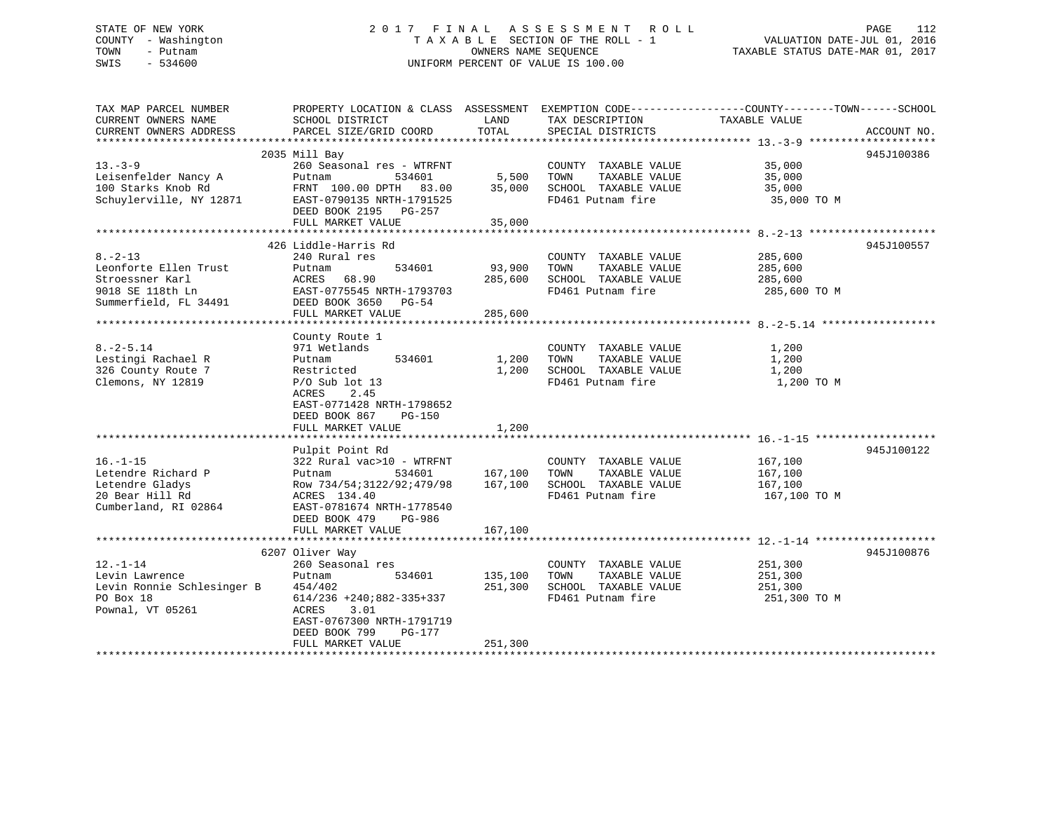# STATE OF NEW YORK 2 0 1 7 F I N A L A S S E S S M E N T R O L L PAGE 112 COUNTY - Washington T A X A B L E SECTION OF THE ROLL - 1 VALUATION DATE-JUL 01, 2016 TOWN - Putnam OWNERS NAME SEQUENCE TAXABLE STATUS DATE-MAR 01, 2017 SWIS - 534600 UNIFORM PERCENT OF VALUE IS 100.00

| TAX MAP PARCEL NUMBER<br>CURRENT OWNERS NAME<br>CURRENT OWNERS ADDRESS                                 | PROPERTY LOCATION & CLASS ASSESSMENT<br>SCHOOL DISTRICT<br>PARCEL SIZE/GRID COORD                                                                                                              | LAND<br>TOTAL                 | TAX DESCRIPTION<br>SPECIAL DISTRICTS                                                       | EXEMPTION CODE-----------------COUNTY-------TOWN------SCHOOL<br>TAXABLE VALUE | ACCOUNT NO. |
|--------------------------------------------------------------------------------------------------------|------------------------------------------------------------------------------------------------------------------------------------------------------------------------------------------------|-------------------------------|--------------------------------------------------------------------------------------------|-------------------------------------------------------------------------------|-------------|
|                                                                                                        |                                                                                                                                                                                                |                               |                                                                                            |                                                                               |             |
| $13 - 3 - 9$<br>Leisenfelder Nancy A<br>100 Starks Knob Rd<br>Schuylerville, NY 12871                  | 2035 Mill Bay<br>260 Seasonal res - WTRFNT<br>Putnam<br>534601<br>FRNT 100.00 DPTH 83.00<br>EAST-0790135 NRTH-1791525<br>DEED BOOK 2195 PG-257<br>FULL MARKET VALUE                            | 5,500<br>35,000<br>35,000     | COUNTY TAXABLE VALUE<br>TOWN<br>TAXABLE VALUE<br>SCHOOL TAXABLE VALUE<br>FD461 Putnam fire | 35,000<br>35,000<br>35,000<br>35,000 TO M                                     | 945J100386  |
|                                                                                                        |                                                                                                                                                                                                |                               |                                                                                            |                                                                               |             |
| $8. - 2 - 13$<br>Leonforte Ellen Trust<br>Stroessner Karl<br>9018 SE 118th Ln<br>Summerfield, FL 34491 | 426 Liddle-Harris Rd<br>240 Rural res<br>534601<br>Putnam<br>ACRES 68.90<br>EAST-0775545 NRTH-1793703<br>DEED BOOK 3650 PG-54<br>FULL MARKET VALUE                                             | 93,900<br>285,600<br>285,600  | COUNTY TAXABLE VALUE<br>TAXABLE VALUE<br>TOWN<br>SCHOOL TAXABLE VALUE<br>FD461 Putnam fire | 285,600<br>285,600<br>285,600<br>285,600 TO M                                 | 945J100557  |
|                                                                                                        |                                                                                                                                                                                                |                               |                                                                                            |                                                                               |             |
| $8. - 2 - 5.14$<br>Lestingi Rachael R<br>326 County Route 7<br>Clemons, NY 12819                       | County Route 1<br>971 Wetlands<br>534601<br>Putnam<br>Restricted<br>$P/O$ Sub lot 13<br>ACRES<br>2.45<br>EAST-0771428 NRTH-1798652<br>DEED BOOK 867<br><b>PG-150</b><br>FULL MARKET VALUE      | 1,200<br>1,200<br>1,200       | COUNTY TAXABLE VALUE<br>TOWN<br>TAXABLE VALUE<br>SCHOOL TAXABLE VALUE<br>FD461 Putnam fire | 1,200<br>1,200<br>1,200<br>1,200 TO M                                         |             |
|                                                                                                        | Pulpit Point Rd                                                                                                                                                                                |                               |                                                                                            |                                                                               | 945J100122  |
| $16. - 1 - 15$<br>Letendre Richard P<br>Letendre Gladys<br>20 Bear Hill Rd<br>Cumberland, RI 02864     | 322 Rural vac>10 - WTRFNT<br>534601<br>Putnam<br>Row 734/54;3122/92;479/98<br>ACRES 134.40<br>EAST-0781674 NRTH-1778540<br>DEED BOOK 479<br>PG-986<br>FULL MARKET VALUE                        | 167,100<br>167,100<br>167,100 | COUNTY TAXABLE VALUE<br>TOWN<br>TAXABLE VALUE<br>SCHOOL TAXABLE VALUE<br>FD461 Putnam fire | 167,100<br>167,100<br>167,100<br>167,100 TO M                                 |             |
|                                                                                                        |                                                                                                                                                                                                |                               |                                                                                            |                                                                               |             |
| $12. - 1 - 14$<br>Levin Lawrence<br>Levin Ronnie Schlesinger B<br>PO Box 18<br>Pownal, VT 05261        | 6207 Oliver Way<br>260 Seasonal res<br>Putnam<br>534601<br>454/402<br>$614/236$ +240;882-335+337<br>ACRES<br>3.01<br>EAST-0767300 NRTH-1791719<br>DEED BOOK 799<br>PG-177<br>FULL MARKET VALUE | 135,100<br>251,300<br>251,300 | COUNTY TAXABLE VALUE<br>TOWN<br>TAXABLE VALUE<br>SCHOOL TAXABLE VALUE<br>FD461 Putnam fire | 251,300<br>251,300<br>251,300<br>251,300 TO M                                 | 945J100876  |
|                                                                                                        |                                                                                                                                                                                                |                               |                                                                                            |                                                                               |             |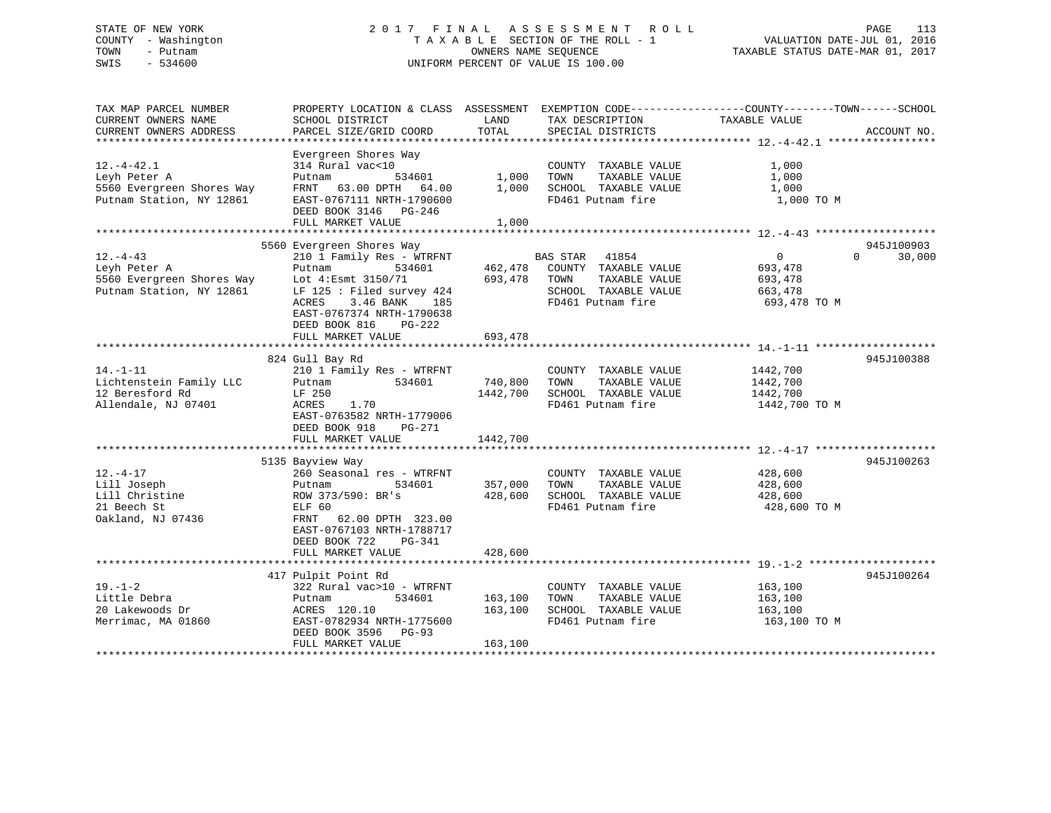# STATE OF NEW YORK 2 0 1 7 F I N A L A S S E S S M E N T R O L L PAGE 113 COUNTY - Washington T A X A B L E SECTION OF THE ROLL - 1 VALUATION DATE-JUL 01, 2016 TOWN - Putnam OWNERS NAME SEQUENCE TAXABLE STATUS DATE-MAR 01, 2017 SWIS - 534600 UNIFORM PERCENT OF VALUE IS 100.00

| TAX MAP PARCEL NUMBER<br>CURRENT OWNERS NAME<br>CURRENT OWNERS ADDRESS                                  | SCHOOL DISTRICT<br>PARCEL SIZE/GRID COORD                                                                                                                                                                  | LAND<br>TOTAL                 | TAX DESCRIPTION<br>SPECIAL DISTRICTS                                                                                | PROPERTY LOCATION & CLASS ASSESSMENT EXEMPTION CODE----------------COUNTY-------TOWN-----SCHOOL<br>TAXABLE VALUE<br>ACCOUNT NO. |
|---------------------------------------------------------------------------------------------------------|------------------------------------------------------------------------------------------------------------------------------------------------------------------------------------------------------------|-------------------------------|---------------------------------------------------------------------------------------------------------------------|---------------------------------------------------------------------------------------------------------------------------------|
| $12.-4-42.1$<br>Leyh Peter A<br>5560 Evergreen Shores Way<br>Putnam Station, NY 12861                   | Evergreen Shores Way<br>314 Rural vac<10<br>534601<br>Putnam<br>FRNT 63.00 DPTH 64.00<br>EAST-0767111 NRTH-1790600<br>DEED BOOK 3146 PG-246<br>FULL MARKET VALUE                                           | 1,000<br>1,000<br>1,000       | COUNTY TAXABLE VALUE<br>TAXABLE VALUE<br>TOWN<br>SCHOOL TAXABLE VALUE<br>FD461 Putnam fire                          | 1,000<br>1,000<br>1,000<br>1,000 TO M                                                                                           |
|                                                                                                         | 5560 Evergreen Shores Way                                                                                                                                                                                  |                               |                                                                                                                     | 945J100903                                                                                                                      |
| $12. - 4 - 43$<br>Leyh Peter A<br>Leyh Peter A<br>5560 Evergreen Shores Way<br>Putnam Station, NY 12861 | 210 1 Family Res - WTRFNT<br>Putnam<br>534601<br>Lot 4:Esmt 3150/71<br>LF 125 : Filed survey 424<br>3.46 BANK<br>ACRES<br>185<br>EAST-0767374 NRTH-1790638<br>DEED BOOK 816<br>PG-222<br>FULL MARKET VALUE | 693,478 TOWN<br>693,478       | <b>BAS STAR</b> 41854<br>462,478 COUNTY TAXABLE VALUE<br>TAXABLE VALUE<br>SCHOOL TAXABLE VALUE<br>FD461 Putnam fire | $0 \qquad \qquad$<br>$\Omega$<br>30,000<br>693,478<br>693,478<br>663,478<br>693,478 TO M                                        |
|                                                                                                         |                                                                                                                                                                                                            |                               |                                                                                                                     |                                                                                                                                 |
| $14. - 1 - 11$<br>Lichtenstein Family LLC<br>12 Beresford Rd<br>Allendale, NJ 07401                     | 824 Gull Bay Rd<br>210 1 Family Res - WTRFNT<br>Putnam 534601<br>LF 250<br>1.70<br>ACRES<br>EAST-0763582 NRTH-1779006<br>DEED BOOK 918<br>PG-271                                                           | 740,800<br>1442,700           | COUNTY TAXABLE VALUE<br>TAXABLE VALUE<br>TOWN<br>SCHOOL TAXABLE VALUE<br>FD461 Putnam fire                          | 945J100388<br>1442,700<br>1442,700<br>1442,700<br>1442,700 TO M                                                                 |
|                                                                                                         | FULL MARKET VALUE                                                                                                                                                                                          | 1442,700                      |                                                                                                                     |                                                                                                                                 |
| $12. - 4 - 17$<br>Lill Joseph<br>Lill Christine<br>21 Beech St<br>Oakland, NJ 07436                     | 5135 Bayview Way<br>260 Seasonal res - WTRFNT<br>534601<br>Putnam<br>ROW 373/590: BR's<br>ELF 60<br>FRNT 62.00 DPTH 323.00<br>EAST-0767103 NRTH-1788717                                                    | 357,000<br>428,600            | COUNTY TAXABLE VALUE<br>TAXABLE VALUE<br>TOWN<br>SCHOOL TAXABLE VALUE<br>FD461 Putnam fire                          | 945J100263<br>428,600<br>428,600<br>428,600<br>428,600 TO M                                                                     |
|                                                                                                         | DEED BOOK 722<br>PG-341<br>FULL MARKET VALUE                                                                                                                                                               | 428,600                       |                                                                                                                     |                                                                                                                                 |
|                                                                                                         |                                                                                                                                                                                                            |                               |                                                                                                                     |                                                                                                                                 |
| $19. - 1 - 2$<br>Little Debra<br>20 Lakewoods Dr<br>Merrimac, MA 01860                                  | 417 Pulpit Point Rd<br>322 Rural vac>10 - WTRFNT<br>534601<br>Putnam<br>ACRES 120.10<br>EAST-0782934 NRTH-1775600<br>DEED BOOK 3596 PG-93<br>FULL MARKET VALUE                                             | 163,100<br>163,100<br>163,100 | COUNTY TAXABLE VALUE<br>TOWN<br>TAXABLE VALUE<br>SCHOOL TAXABLE VALUE<br>FD461 Putnam fire                          | 945J100264<br>163,100<br>163,100<br>163,100<br>163,100 TO M                                                                     |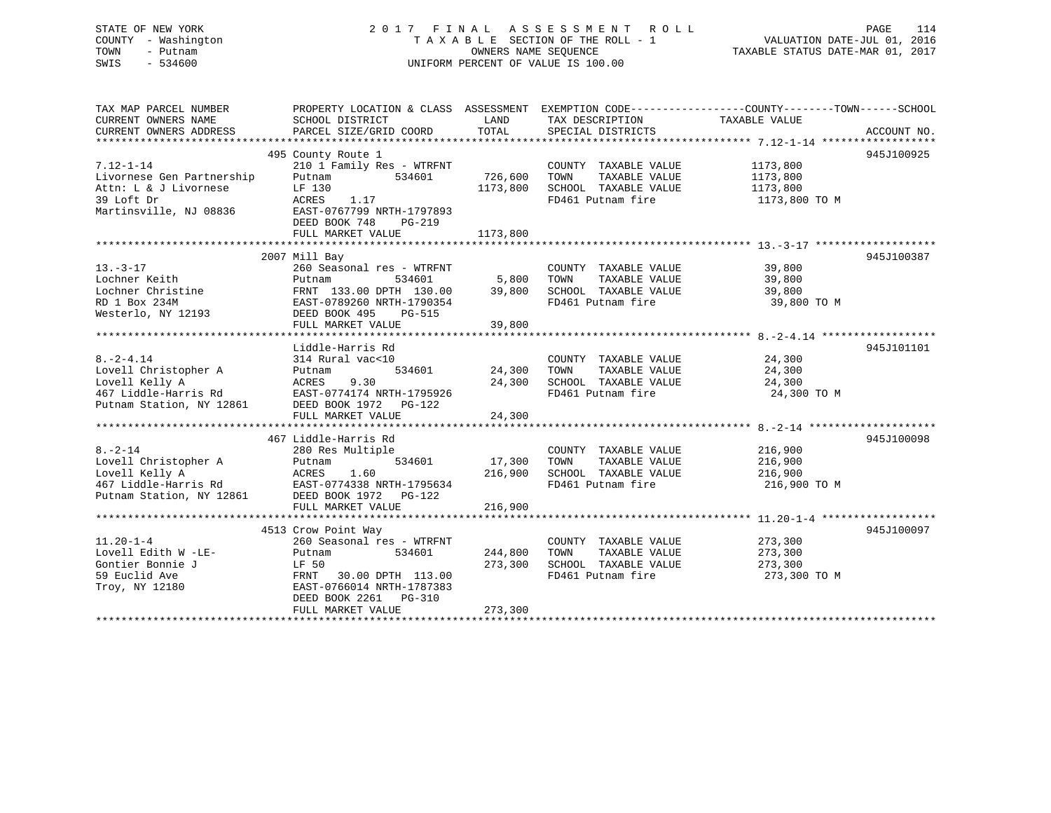# STATE OF NEW YORK 2 0 1 7 F I N A L A S S E S S M E N T R O L L PAGE 114 COUNTY - Washington T A X A B L E SECTION OF THE ROLL - 1 VALUATION DATE-JUL 01, 2016 TOWN - Putnam OWNERS NAME SEQUENCE TAXABLE STATUS DATE-MAR 01, 2017 SWIS - 534600 UNIFORM PERCENT OF VALUE IS 100.00

| TAX MAP PARCEL NUMBER<br>CURRENT OWNERS NAME<br>CURRENT OWNERS ADDRESS | SCHOOL DISTRICT<br>PARCEL SIZE/GRID COORD                                                    | LAND<br>TOTAL | TAX DESCRIPTION<br>SPECIAL DISTRICTS | PROPERTY LOCATION & CLASS ASSESSMENT EXEMPTION CODE---------------COUNTY-------TOWN------SCHOOL<br>TAXABLE VALUE<br>ACCOUNT NO. |
|------------------------------------------------------------------------|----------------------------------------------------------------------------------------------|---------------|--------------------------------------|---------------------------------------------------------------------------------------------------------------------------------|
|                                                                        |                                                                                              |               |                                      |                                                                                                                                 |
|                                                                        | 495 County Route 1                                                                           |               |                                      | 945J100925                                                                                                                      |
| $7.12 - 1 - 14$                                                        | 210 1 Family Res - WTRFNT                                                                    |               | COUNTY TAXABLE VALUE                 | 1173,800                                                                                                                        |
| Livornese Gen Partnership                                              | Putnam<br>534601                                                                             | 726,600       | TOWN<br>TAXABLE VALUE                | 1173,800                                                                                                                        |
| Attn: L & J Livornese                                                  | LF 130                                                                                       | 1173,800      | SCHOOL TAXABLE VALUE                 | 1173,800                                                                                                                        |
| 39 Loft Dr<br>Martinsville, NJ 08836                                   | ACRES<br>1.17<br>EAST-0767799 NRTH-1797893<br>DEED BOOK 748<br>$PG-219$<br>FULL MARKET VALUE | 1173,800      | FD461 Putnam fire                    | 1173,800 TO M                                                                                                                   |
|                                                                        |                                                                                              |               |                                      |                                                                                                                                 |
|                                                                        | 2007 Mill Bay                                                                                |               |                                      | 945J100387                                                                                                                      |
| $13. - 3 - 17$                                                         | 260 Seasonal res - WTRFNT                                                                    |               | COUNTY TAXABLE VALUE                 | 39,800                                                                                                                          |
| Lochner Keith                                                          | 534601<br>Putnam                                                                             | 5,800         | TOWN<br>TAXABLE VALUE                | 39,800                                                                                                                          |
| Lochner Christine                                                      | FRNT 133.00 DPTH 130.00                                                                      | 39,800        | SCHOOL TAXABLE VALUE                 | 39,800                                                                                                                          |
| RD 1 Box 234M                                                          | EAST-0789260 NRTH-1790354                                                                    |               | FD461 Putnam fire                    | 39,800 TO M                                                                                                                     |
| Westerlo, NY 12193                                                     | DEED BOOK 495<br>PG-515                                                                      |               |                                      |                                                                                                                                 |
|                                                                        | FULL MARKET VALUE                                                                            | 39,800        |                                      |                                                                                                                                 |
|                                                                        |                                                                                              |               |                                      |                                                                                                                                 |
|                                                                        | Liddle-Harris Rd                                                                             |               |                                      | 945J101101                                                                                                                      |
| $8. -2 - 4.14$                                                         | 314 Rural vac<10                                                                             |               | COUNTY TAXABLE VALUE                 | 24,300                                                                                                                          |
| Lovell Christopher A                                                   | 534601<br>Putnam                                                                             | 24,300        | TOWN<br>TAXABLE VALUE                | 24,300                                                                                                                          |
| Lovell Kelly A                                                         | 9.30<br>ACRES                                                                                | 24,300        | SCHOOL TAXABLE VALUE                 | 24,300                                                                                                                          |
| 467 Liddle-Harris Rd                                                   | EAST-0774174 NRTH-1795926                                                                    |               | FD461 Putnam fire                    | 24,300 TO M                                                                                                                     |
| Putnam Station, NY 12861                                               | DEED BOOK 1972 PG-122                                                                        |               |                                      |                                                                                                                                 |
|                                                                        | FULL MARKET VALUE                                                                            | 24,300        |                                      |                                                                                                                                 |
|                                                                        |                                                                                              |               |                                      |                                                                                                                                 |
|                                                                        | 467 Liddle-Harris Rd                                                                         |               |                                      | 945J100098                                                                                                                      |
| $8. - 2 - 14$                                                          | 280 Res Multiple                                                                             |               | COUNTY TAXABLE VALUE                 | 216,900                                                                                                                         |
| Lovell Christopher A                                                   | 534601<br>Putnam                                                                             | 17,300        | TOWN<br>TAXABLE VALUE                | 216,900                                                                                                                         |
| Lovell Kelly A                                                         | ACRES<br>1.60                                                                                | 216,900       | SCHOOL TAXABLE VALUE                 | 216,900                                                                                                                         |
| 467 Liddle-Harris Rd<br>Putnam Station, NY 12861                       | EAST-0774338 NRTH-1795634<br>DEED BOOK 1972 PG-122                                           |               | FD461 Putnam fire                    | 216,900 TO M                                                                                                                    |
|                                                                        | FULL MARKET VALUE                                                                            | 216,900       |                                      |                                                                                                                                 |
|                                                                        |                                                                                              |               |                                      |                                                                                                                                 |
|                                                                        | 4513 Crow Point Way                                                                          |               |                                      | 945J100097                                                                                                                      |
| $11.20 - 1 - 4$                                                        | 260 Seasonal res - WTRFNT                                                                    |               | COUNTY TAXABLE VALUE                 | 273,300                                                                                                                         |
| Lovell Edith W -LE-                                                    | 534601<br>Putnam                                                                             | 244,800       | TAXABLE VALUE<br>TOWN                | 273,300                                                                                                                         |
| Gontier Bonnie J                                                       | LF 50                                                                                        | 273,300       | SCHOOL TAXABLE VALUE                 | 273,300                                                                                                                         |
| 59 Euclid Ave                                                          | FRNT 30.00 DPTH 113.00                                                                       |               | FD461 Putnam fire                    | 273,300 TO M                                                                                                                    |
| Troy, NY 12180                                                         | EAST-0766014 NRTH-1787383                                                                    |               |                                      |                                                                                                                                 |
|                                                                        | DEED BOOK 2261 PG-310                                                                        |               |                                      |                                                                                                                                 |
|                                                                        | FULL MARKET VALUE                                                                            | 273,300       |                                      |                                                                                                                                 |
|                                                                        |                                                                                              |               |                                      |                                                                                                                                 |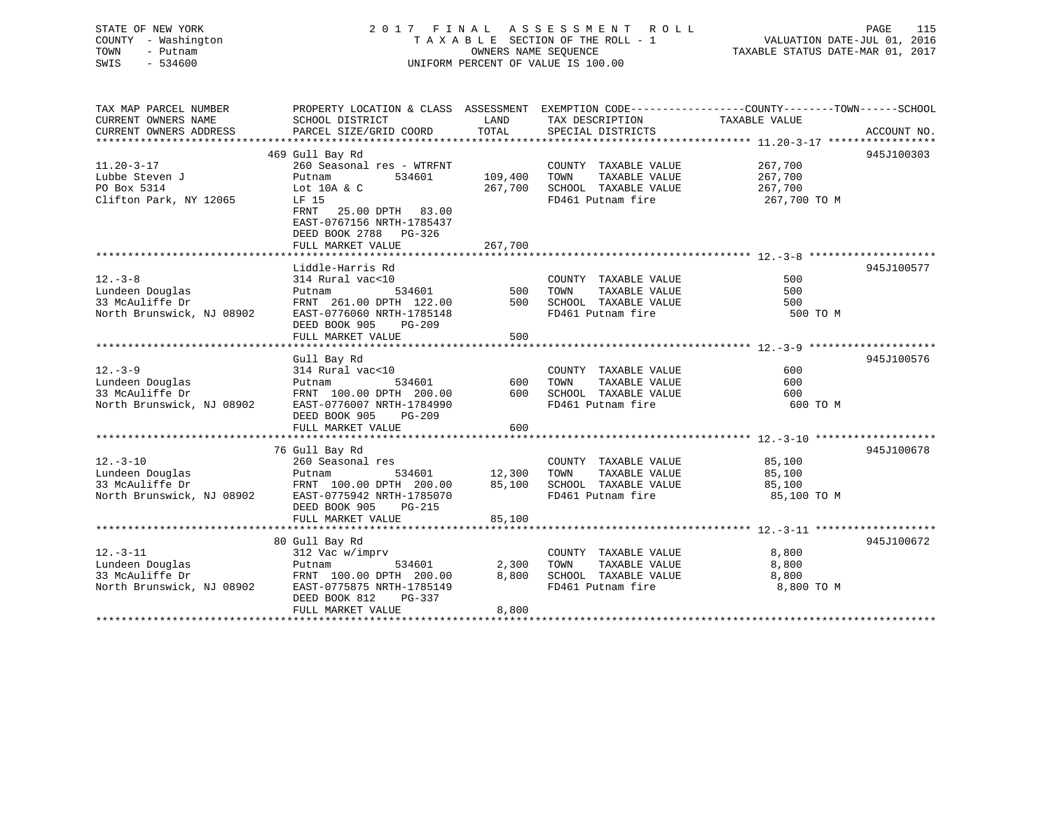# STATE OF NEW YORK 2 0 1 7 F I N A L A S S E S S M E N T R O L L PAGE 115COUNTY - Washington  $T A X A B L E$  SECTION OF THE ROLL - 1<br>TOWN - Putnam data of the COUNTERS NAME SEQUENCE SWIS - 534600 UNIFORM PERCENT OF VALUE IS 100.00

VALUATION DATE-JUL 01, 2016

TAXABLE STATUS DATE-MAR 01, 2017

| TOTAL<br>CURRENT OWNERS ADDRESS<br>PARCEL SIZE/GRID COORD<br>SPECIAL DISTRICTS<br>ACCOUNT NO.<br>469 Gull Bay Rd<br>945J100303<br>$11.20 - 3 - 17$<br>260 Seasonal res - WTRFNT<br>COUNTY TAXABLE VALUE<br>267,700<br>109,400<br>Lubbe Steven J<br>534601<br>TOWN<br>TAXABLE VALUE<br>267,700<br>Putnam<br>PO Box 5314<br>267,700<br>SCHOOL TAXABLE VALUE<br>267,700<br>Lot $10A & c$<br>Clifton Park, NY 12065<br>FD461 Putnam fire<br>LF 15<br>267,700 TO M<br>25.00 DPTH 83.00<br>FRNT<br>EAST-0767156 NRTH-1785437<br>DEED BOOK 2788 PG-326<br>267,700<br>FULL MARKET VALUE<br>Liddle-Harris Rd<br>945J100577<br>314 Rural vac<10<br>COUNTY TAXABLE VALUE<br>500<br>TAXABLE VALUE<br>500<br>534601<br>500<br>TOWN<br>Putnam<br>FRNT 261.00 DPTH 122.00<br>500<br>SCHOOL TAXABLE VALUE<br>500<br>EAST-0776060 NRTH-1785148<br>FD461 Putnam fire<br>500 TO M<br>DEED BOOK 905<br>PG-209<br>FULL MARKET VALUE<br>500<br>945J100576<br>Gull Bay Rd<br>314 Rural vac<10<br>COUNTY TAXABLE VALUE<br>600<br>600<br>534601<br>TAXABLE VALUE<br>600<br>Lundeen Douglas<br>TOWN<br>Putnam<br>33 McAuliffe Dr<br>FRNT 100.00 DPTH 200.00<br>600 SCHOOL TAXABLE VALUE<br>FD461 Putnam fire<br>600<br>600 TO M<br>North Brunswick, NJ 08902<br>EAST-0776007 NRTH-1784990<br>DEED BOOK 905<br>PG-209<br>600<br>FULL MARKET VALUE<br>76 Gull Bay Rd<br>945J100678<br>$12. - 3 - 10$<br>260 Seasonal res<br>85,100<br>COUNTY TAXABLE VALUE<br>12,300<br>Lundeen Douglas<br>534601<br>TOWN<br>TAXABLE VALUE<br>85,100<br>Putnam<br>33 McAuliffe Dr<br>85,100<br>SCHOOL TAXABLE VALUE<br>FRNT 100.00 DPTH 200.00<br>85,100<br>North Brunswick, NJ 08902 EAST-0775942 NRTH-1785070<br>FD461 Putnam fire<br>85,100 TO M<br>DEED BOOK 905<br>PG-215<br>85,100<br>FULL MARKET VALUE<br>945J100672<br>80 Gull Bay Rd<br>$12. - 3 - 11$<br>312 Vac w/imprv<br>COUNTY TAXABLE VALUE<br>8,800<br>2,300<br>Lundeen Douglas<br>534601<br>TOWN<br>TAXABLE VALUE<br>8,800<br>Putnam<br>33 McAuliffe Dr<br>8,800<br>SCHOOL TAXABLE VALUE<br>8,800<br>FRNT 100.00 DPTH 200.00<br>North Brunswick, NJ 08902<br>EAST-0775875 NRTH-1785149<br>FD461 Putnam fire<br>8,800 TO M<br>DEED BOOK 812<br>PG-337<br>FULL MARKET VALUE<br>8,800 | TAX MAP PARCEL NUMBER     | PROPERTY LOCATION & CLASS ASSESSMENT EXEMPTION CODE---------------COUNTY-------TOWN-----SCHOOL |      |                 |               |  |
|---------------------------------------------------------------------------------------------------------------------------------------------------------------------------------------------------------------------------------------------------------------------------------------------------------------------------------------------------------------------------------------------------------------------------------------------------------------------------------------------------------------------------------------------------------------------------------------------------------------------------------------------------------------------------------------------------------------------------------------------------------------------------------------------------------------------------------------------------------------------------------------------------------------------------------------------------------------------------------------------------------------------------------------------------------------------------------------------------------------------------------------------------------------------------------------------------------------------------------------------------------------------------------------------------------------------------------------------------------------------------------------------------------------------------------------------------------------------------------------------------------------------------------------------------------------------------------------------------------------------------------------------------------------------------------------------------------------------------------------------------------------------------------------------------------------------------------------------------------------------------------------------------------------------------------------------------------------------------------------------------------------------------------------------------------------------------------------------------------------------------------------------------------------------------------------------------------|---------------------------|------------------------------------------------------------------------------------------------|------|-----------------|---------------|--|
|                                                                                                                                                                                                                                                                                                                                                                                                                                                                                                                                                                                                                                                                                                                                                                                                                                                                                                                                                                                                                                                                                                                                                                                                                                                                                                                                                                                                                                                                                                                                                                                                                                                                                                                                                                                                                                                                                                                                                                                                                                                                                                                                                                                                         | CURRENT OWNERS NAME       | SCHOOL DISTRICT                                                                                | LAND | TAX DESCRIPTION | TAXABLE VALUE |  |
|                                                                                                                                                                                                                                                                                                                                                                                                                                                                                                                                                                                                                                                                                                                                                                                                                                                                                                                                                                                                                                                                                                                                                                                                                                                                                                                                                                                                                                                                                                                                                                                                                                                                                                                                                                                                                                                                                                                                                                                                                                                                                                                                                                                                         |                           |                                                                                                |      |                 |               |  |
|                                                                                                                                                                                                                                                                                                                                                                                                                                                                                                                                                                                                                                                                                                                                                                                                                                                                                                                                                                                                                                                                                                                                                                                                                                                                                                                                                                                                                                                                                                                                                                                                                                                                                                                                                                                                                                                                                                                                                                                                                                                                                                                                                                                                         |                           |                                                                                                |      |                 |               |  |
|                                                                                                                                                                                                                                                                                                                                                                                                                                                                                                                                                                                                                                                                                                                                                                                                                                                                                                                                                                                                                                                                                                                                                                                                                                                                                                                                                                                                                                                                                                                                                                                                                                                                                                                                                                                                                                                                                                                                                                                                                                                                                                                                                                                                         |                           |                                                                                                |      |                 |               |  |
|                                                                                                                                                                                                                                                                                                                                                                                                                                                                                                                                                                                                                                                                                                                                                                                                                                                                                                                                                                                                                                                                                                                                                                                                                                                                                                                                                                                                                                                                                                                                                                                                                                                                                                                                                                                                                                                                                                                                                                                                                                                                                                                                                                                                         |                           |                                                                                                |      |                 |               |  |
|                                                                                                                                                                                                                                                                                                                                                                                                                                                                                                                                                                                                                                                                                                                                                                                                                                                                                                                                                                                                                                                                                                                                                                                                                                                                                                                                                                                                                                                                                                                                                                                                                                                                                                                                                                                                                                                                                                                                                                                                                                                                                                                                                                                                         |                           |                                                                                                |      |                 |               |  |
|                                                                                                                                                                                                                                                                                                                                                                                                                                                                                                                                                                                                                                                                                                                                                                                                                                                                                                                                                                                                                                                                                                                                                                                                                                                                                                                                                                                                                                                                                                                                                                                                                                                                                                                                                                                                                                                                                                                                                                                                                                                                                                                                                                                                         |                           |                                                                                                |      |                 |               |  |
|                                                                                                                                                                                                                                                                                                                                                                                                                                                                                                                                                                                                                                                                                                                                                                                                                                                                                                                                                                                                                                                                                                                                                                                                                                                                                                                                                                                                                                                                                                                                                                                                                                                                                                                                                                                                                                                                                                                                                                                                                                                                                                                                                                                                         |                           |                                                                                                |      |                 |               |  |
|                                                                                                                                                                                                                                                                                                                                                                                                                                                                                                                                                                                                                                                                                                                                                                                                                                                                                                                                                                                                                                                                                                                                                                                                                                                                                                                                                                                                                                                                                                                                                                                                                                                                                                                                                                                                                                                                                                                                                                                                                                                                                                                                                                                                         |                           |                                                                                                |      |                 |               |  |
|                                                                                                                                                                                                                                                                                                                                                                                                                                                                                                                                                                                                                                                                                                                                                                                                                                                                                                                                                                                                                                                                                                                                                                                                                                                                                                                                                                                                                                                                                                                                                                                                                                                                                                                                                                                                                                                                                                                                                                                                                                                                                                                                                                                                         |                           |                                                                                                |      |                 |               |  |
|                                                                                                                                                                                                                                                                                                                                                                                                                                                                                                                                                                                                                                                                                                                                                                                                                                                                                                                                                                                                                                                                                                                                                                                                                                                                                                                                                                                                                                                                                                                                                                                                                                                                                                                                                                                                                                                                                                                                                                                                                                                                                                                                                                                                         |                           |                                                                                                |      |                 |               |  |
|                                                                                                                                                                                                                                                                                                                                                                                                                                                                                                                                                                                                                                                                                                                                                                                                                                                                                                                                                                                                                                                                                                                                                                                                                                                                                                                                                                                                                                                                                                                                                                                                                                                                                                                                                                                                                                                                                                                                                                                                                                                                                                                                                                                                         |                           |                                                                                                |      |                 |               |  |
|                                                                                                                                                                                                                                                                                                                                                                                                                                                                                                                                                                                                                                                                                                                                                                                                                                                                                                                                                                                                                                                                                                                                                                                                                                                                                                                                                                                                                                                                                                                                                                                                                                                                                                                                                                                                                                                                                                                                                                                                                                                                                                                                                                                                         |                           |                                                                                                |      |                 |               |  |
|                                                                                                                                                                                                                                                                                                                                                                                                                                                                                                                                                                                                                                                                                                                                                                                                                                                                                                                                                                                                                                                                                                                                                                                                                                                                                                                                                                                                                                                                                                                                                                                                                                                                                                                                                                                                                                                                                                                                                                                                                                                                                                                                                                                                         |                           |                                                                                                |      |                 |               |  |
|                                                                                                                                                                                                                                                                                                                                                                                                                                                                                                                                                                                                                                                                                                                                                                                                                                                                                                                                                                                                                                                                                                                                                                                                                                                                                                                                                                                                                                                                                                                                                                                                                                                                                                                                                                                                                                                                                                                                                                                                                                                                                                                                                                                                         | $12. - 3 - 8$             |                                                                                                |      |                 |               |  |
|                                                                                                                                                                                                                                                                                                                                                                                                                                                                                                                                                                                                                                                                                                                                                                                                                                                                                                                                                                                                                                                                                                                                                                                                                                                                                                                                                                                                                                                                                                                                                                                                                                                                                                                                                                                                                                                                                                                                                                                                                                                                                                                                                                                                         | Lundeen Douglas           |                                                                                                |      |                 |               |  |
|                                                                                                                                                                                                                                                                                                                                                                                                                                                                                                                                                                                                                                                                                                                                                                                                                                                                                                                                                                                                                                                                                                                                                                                                                                                                                                                                                                                                                                                                                                                                                                                                                                                                                                                                                                                                                                                                                                                                                                                                                                                                                                                                                                                                         | 33 McAuliffe Dr           |                                                                                                |      |                 |               |  |
|                                                                                                                                                                                                                                                                                                                                                                                                                                                                                                                                                                                                                                                                                                                                                                                                                                                                                                                                                                                                                                                                                                                                                                                                                                                                                                                                                                                                                                                                                                                                                                                                                                                                                                                                                                                                                                                                                                                                                                                                                                                                                                                                                                                                         | North Brunswick, NJ 08902 |                                                                                                |      |                 |               |  |
|                                                                                                                                                                                                                                                                                                                                                                                                                                                                                                                                                                                                                                                                                                                                                                                                                                                                                                                                                                                                                                                                                                                                                                                                                                                                                                                                                                                                                                                                                                                                                                                                                                                                                                                                                                                                                                                                                                                                                                                                                                                                                                                                                                                                         |                           |                                                                                                |      |                 |               |  |
|                                                                                                                                                                                                                                                                                                                                                                                                                                                                                                                                                                                                                                                                                                                                                                                                                                                                                                                                                                                                                                                                                                                                                                                                                                                                                                                                                                                                                                                                                                                                                                                                                                                                                                                                                                                                                                                                                                                                                                                                                                                                                                                                                                                                         |                           |                                                                                                |      |                 |               |  |
|                                                                                                                                                                                                                                                                                                                                                                                                                                                                                                                                                                                                                                                                                                                                                                                                                                                                                                                                                                                                                                                                                                                                                                                                                                                                                                                                                                                                                                                                                                                                                                                                                                                                                                                                                                                                                                                                                                                                                                                                                                                                                                                                                                                                         |                           |                                                                                                |      |                 |               |  |
|                                                                                                                                                                                                                                                                                                                                                                                                                                                                                                                                                                                                                                                                                                                                                                                                                                                                                                                                                                                                                                                                                                                                                                                                                                                                                                                                                                                                                                                                                                                                                                                                                                                                                                                                                                                                                                                                                                                                                                                                                                                                                                                                                                                                         |                           |                                                                                                |      |                 |               |  |
|                                                                                                                                                                                                                                                                                                                                                                                                                                                                                                                                                                                                                                                                                                                                                                                                                                                                                                                                                                                                                                                                                                                                                                                                                                                                                                                                                                                                                                                                                                                                                                                                                                                                                                                                                                                                                                                                                                                                                                                                                                                                                                                                                                                                         | $12. - 3 - 9$             |                                                                                                |      |                 |               |  |
|                                                                                                                                                                                                                                                                                                                                                                                                                                                                                                                                                                                                                                                                                                                                                                                                                                                                                                                                                                                                                                                                                                                                                                                                                                                                                                                                                                                                                                                                                                                                                                                                                                                                                                                                                                                                                                                                                                                                                                                                                                                                                                                                                                                                         |                           |                                                                                                |      |                 |               |  |
|                                                                                                                                                                                                                                                                                                                                                                                                                                                                                                                                                                                                                                                                                                                                                                                                                                                                                                                                                                                                                                                                                                                                                                                                                                                                                                                                                                                                                                                                                                                                                                                                                                                                                                                                                                                                                                                                                                                                                                                                                                                                                                                                                                                                         |                           |                                                                                                |      |                 |               |  |
|                                                                                                                                                                                                                                                                                                                                                                                                                                                                                                                                                                                                                                                                                                                                                                                                                                                                                                                                                                                                                                                                                                                                                                                                                                                                                                                                                                                                                                                                                                                                                                                                                                                                                                                                                                                                                                                                                                                                                                                                                                                                                                                                                                                                         |                           |                                                                                                |      |                 |               |  |
|                                                                                                                                                                                                                                                                                                                                                                                                                                                                                                                                                                                                                                                                                                                                                                                                                                                                                                                                                                                                                                                                                                                                                                                                                                                                                                                                                                                                                                                                                                                                                                                                                                                                                                                                                                                                                                                                                                                                                                                                                                                                                                                                                                                                         |                           |                                                                                                |      |                 |               |  |
|                                                                                                                                                                                                                                                                                                                                                                                                                                                                                                                                                                                                                                                                                                                                                                                                                                                                                                                                                                                                                                                                                                                                                                                                                                                                                                                                                                                                                                                                                                                                                                                                                                                                                                                                                                                                                                                                                                                                                                                                                                                                                                                                                                                                         |                           |                                                                                                |      |                 |               |  |
|                                                                                                                                                                                                                                                                                                                                                                                                                                                                                                                                                                                                                                                                                                                                                                                                                                                                                                                                                                                                                                                                                                                                                                                                                                                                                                                                                                                                                                                                                                                                                                                                                                                                                                                                                                                                                                                                                                                                                                                                                                                                                                                                                                                                         |                           |                                                                                                |      |                 |               |  |
|                                                                                                                                                                                                                                                                                                                                                                                                                                                                                                                                                                                                                                                                                                                                                                                                                                                                                                                                                                                                                                                                                                                                                                                                                                                                                                                                                                                                                                                                                                                                                                                                                                                                                                                                                                                                                                                                                                                                                                                                                                                                                                                                                                                                         |                           |                                                                                                |      |                 |               |  |
|                                                                                                                                                                                                                                                                                                                                                                                                                                                                                                                                                                                                                                                                                                                                                                                                                                                                                                                                                                                                                                                                                                                                                                                                                                                                                                                                                                                                                                                                                                                                                                                                                                                                                                                                                                                                                                                                                                                                                                                                                                                                                                                                                                                                         |                           |                                                                                                |      |                 |               |  |
|                                                                                                                                                                                                                                                                                                                                                                                                                                                                                                                                                                                                                                                                                                                                                                                                                                                                                                                                                                                                                                                                                                                                                                                                                                                                                                                                                                                                                                                                                                                                                                                                                                                                                                                                                                                                                                                                                                                                                                                                                                                                                                                                                                                                         |                           |                                                                                                |      |                 |               |  |
|                                                                                                                                                                                                                                                                                                                                                                                                                                                                                                                                                                                                                                                                                                                                                                                                                                                                                                                                                                                                                                                                                                                                                                                                                                                                                                                                                                                                                                                                                                                                                                                                                                                                                                                                                                                                                                                                                                                                                                                                                                                                                                                                                                                                         |                           |                                                                                                |      |                 |               |  |
|                                                                                                                                                                                                                                                                                                                                                                                                                                                                                                                                                                                                                                                                                                                                                                                                                                                                                                                                                                                                                                                                                                                                                                                                                                                                                                                                                                                                                                                                                                                                                                                                                                                                                                                                                                                                                                                                                                                                                                                                                                                                                                                                                                                                         |                           |                                                                                                |      |                 |               |  |
|                                                                                                                                                                                                                                                                                                                                                                                                                                                                                                                                                                                                                                                                                                                                                                                                                                                                                                                                                                                                                                                                                                                                                                                                                                                                                                                                                                                                                                                                                                                                                                                                                                                                                                                                                                                                                                                                                                                                                                                                                                                                                                                                                                                                         |                           |                                                                                                |      |                 |               |  |
|                                                                                                                                                                                                                                                                                                                                                                                                                                                                                                                                                                                                                                                                                                                                                                                                                                                                                                                                                                                                                                                                                                                                                                                                                                                                                                                                                                                                                                                                                                                                                                                                                                                                                                                                                                                                                                                                                                                                                                                                                                                                                                                                                                                                         |                           |                                                                                                |      |                 |               |  |
|                                                                                                                                                                                                                                                                                                                                                                                                                                                                                                                                                                                                                                                                                                                                                                                                                                                                                                                                                                                                                                                                                                                                                                                                                                                                                                                                                                                                                                                                                                                                                                                                                                                                                                                                                                                                                                                                                                                                                                                                                                                                                                                                                                                                         |                           |                                                                                                |      |                 |               |  |
|                                                                                                                                                                                                                                                                                                                                                                                                                                                                                                                                                                                                                                                                                                                                                                                                                                                                                                                                                                                                                                                                                                                                                                                                                                                                                                                                                                                                                                                                                                                                                                                                                                                                                                                                                                                                                                                                                                                                                                                                                                                                                                                                                                                                         |                           |                                                                                                |      |                 |               |  |
|                                                                                                                                                                                                                                                                                                                                                                                                                                                                                                                                                                                                                                                                                                                                                                                                                                                                                                                                                                                                                                                                                                                                                                                                                                                                                                                                                                                                                                                                                                                                                                                                                                                                                                                                                                                                                                                                                                                                                                                                                                                                                                                                                                                                         |                           |                                                                                                |      |                 |               |  |
|                                                                                                                                                                                                                                                                                                                                                                                                                                                                                                                                                                                                                                                                                                                                                                                                                                                                                                                                                                                                                                                                                                                                                                                                                                                                                                                                                                                                                                                                                                                                                                                                                                                                                                                                                                                                                                                                                                                                                                                                                                                                                                                                                                                                         |                           |                                                                                                |      |                 |               |  |
|                                                                                                                                                                                                                                                                                                                                                                                                                                                                                                                                                                                                                                                                                                                                                                                                                                                                                                                                                                                                                                                                                                                                                                                                                                                                                                                                                                                                                                                                                                                                                                                                                                                                                                                                                                                                                                                                                                                                                                                                                                                                                                                                                                                                         |                           |                                                                                                |      |                 |               |  |
|                                                                                                                                                                                                                                                                                                                                                                                                                                                                                                                                                                                                                                                                                                                                                                                                                                                                                                                                                                                                                                                                                                                                                                                                                                                                                                                                                                                                                                                                                                                                                                                                                                                                                                                                                                                                                                                                                                                                                                                                                                                                                                                                                                                                         |                           |                                                                                                |      |                 |               |  |
|                                                                                                                                                                                                                                                                                                                                                                                                                                                                                                                                                                                                                                                                                                                                                                                                                                                                                                                                                                                                                                                                                                                                                                                                                                                                                                                                                                                                                                                                                                                                                                                                                                                                                                                                                                                                                                                                                                                                                                                                                                                                                                                                                                                                         |                           |                                                                                                |      |                 |               |  |
|                                                                                                                                                                                                                                                                                                                                                                                                                                                                                                                                                                                                                                                                                                                                                                                                                                                                                                                                                                                                                                                                                                                                                                                                                                                                                                                                                                                                                                                                                                                                                                                                                                                                                                                                                                                                                                                                                                                                                                                                                                                                                                                                                                                                         |                           |                                                                                                |      |                 |               |  |
|                                                                                                                                                                                                                                                                                                                                                                                                                                                                                                                                                                                                                                                                                                                                                                                                                                                                                                                                                                                                                                                                                                                                                                                                                                                                                                                                                                                                                                                                                                                                                                                                                                                                                                                                                                                                                                                                                                                                                                                                                                                                                                                                                                                                         |                           |                                                                                                |      |                 |               |  |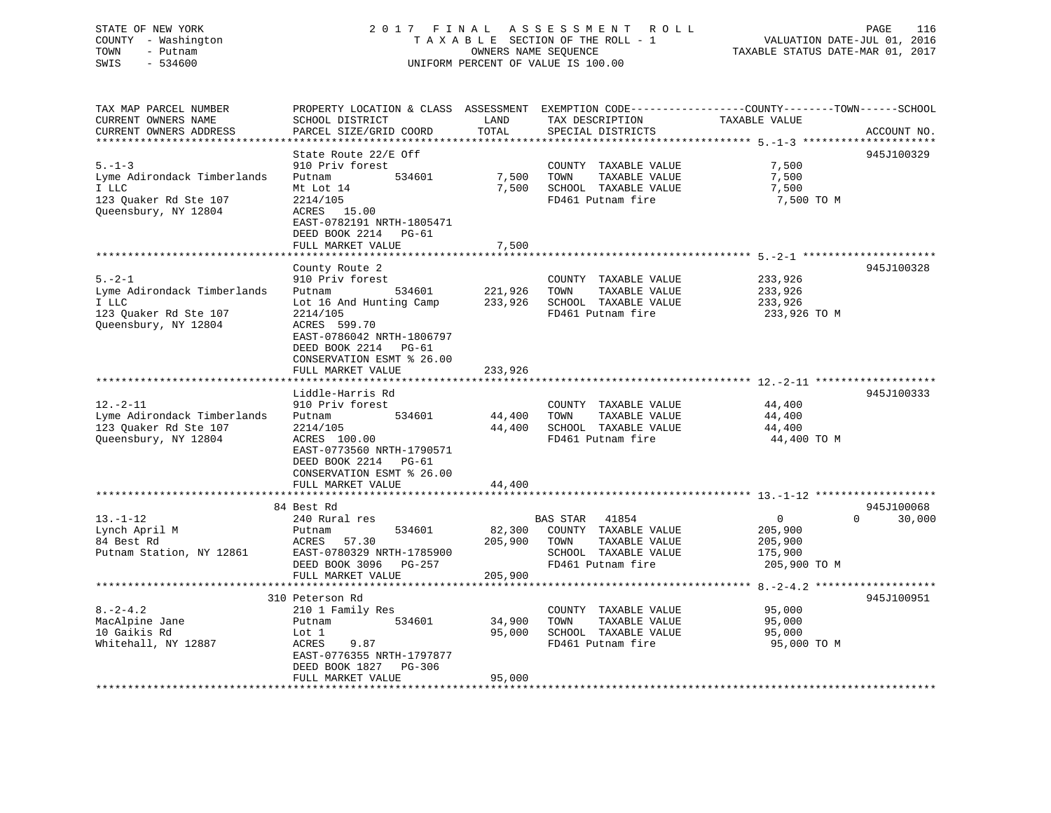# STATE OF NEW YORK 2 0 1 7 F I N A L A S S E S S M E N T R O L L PAGE 116 COUNTY - Washington T A X A B L E SECTION OF THE ROLL - 1 VALUATION DATE-JUL 01, 2016 TOWN - Putnam OWNERS NAME SEQUENCE TAXABLE STATUS DATE-MAR 01, 2017 SWIS - 534600 UNIFORM PERCENT OF VALUE IS 100.00

TAX MAP PARCEL NUMBER PROPERTY LOCATION & CLASS ASSESSMENT EXEMPTION CODE------------------COUNTY--------TOWN------SCHOOL

CURRENT OWNERS NAME SCHOOL DISTRICT LAND TAX DESCRIPTION TAXABLE VALUECURRENT OWNERS ADDRESS PARCEL SIZE/GRID COORD TOTAL SPECIAL DISTRICTS ACCOUNT NO. \*\*\*\*\*\*\*\*\*\*\*\*\*\*\*\*\*\*\*\*\*\*\*\*\*\*\*\*\*\*\*\*\*\*\*\*\*\*\*\*\*\*\*\*\*\*\*\*\*\*\*\*\*\*\*\*\*\*\*\*\*\*\*\*\*\*\*\*\*\*\*\*\*\*\*\*\*\*\*\*\*\*\*\*\*\*\*\*\*\*\*\*\*\*\*\*\*\*\*\*\*\*\* 5.-1-3 \*\*\*\*\*\*\*\*\*\*\*\*\*\*\*\*\*\*\*\*\*State Route 22/E Off 945J100329 5.-1-3 910 Priv forest COUNTY TAXABLE VALUE 7,500 Lyme Adirondack Timberlands Putnam 534601 7,500 TOWN TAXABLE VALUE 7,500 I LLC Mt Lot 14 7,500 SCHOOL TAXABLE VALUE 7,500 123 Quaker Rd Ste 107 2214/105 FD461 Putnam fire 7,500 TO M Queensbury, NY 12804 ACRES 15.00 EAST-0782191 NRTH-1805471 DEED BOOK 2214 PG-61FULL MARKET VALUE 7,500 \*\*\*\*\*\*\*\*\*\*\*\*\*\*\*\*\*\*\*\*\*\*\*\*\*\*\*\*\*\*\*\*\*\*\*\*\*\*\*\*\*\*\*\*\*\*\*\*\*\*\*\*\*\*\*\*\*\*\*\*\*\*\*\*\*\*\*\*\*\*\*\*\*\*\*\*\*\*\*\*\*\*\*\*\*\*\*\*\*\*\*\*\*\*\*\*\*\*\*\*\*\*\* 5.-2-1 \*\*\*\*\*\*\*\*\*\*\*\*\*\*\*\*\*\*\*\*\*County Route 2 945J100328 5.-2-1 910 Priv forest COUNTY TAXABLE VALUE 233,926 Lyme Adirondack Timberlands Putnam 534601 221,926 TOWN TAXABLE VALUE 233,926 I LLC Lot 16 And Hunting Camp 233,926 SCHOOL TAXABLE VALUE 233,926 123 Quaker Rd Ste 107 2214/105 FD461 Putnam fire 233,926 TO M Queensbury, NY 12804 ACRES 599.70 EAST-0786042 NRTH-1806797 DEED BOOK 2214 PG-61 CONSERVATION ESMT % 26.00 FULL MARKET VALUE 233,926 \*\*\*\*\*\*\*\*\*\*\*\*\*\*\*\*\*\*\*\*\*\*\*\*\*\*\*\*\*\*\*\*\*\*\*\*\*\*\*\*\*\*\*\*\*\*\*\*\*\*\*\*\*\*\*\*\*\*\*\*\*\*\*\*\*\*\*\*\*\*\*\*\*\*\*\*\*\*\*\*\*\*\*\*\*\*\*\*\*\*\*\*\*\*\*\*\*\*\*\*\*\*\* 12.-2-11 \*\*\*\*\*\*\*\*\*\*\*\*\*\*\*\*\*\*\* Liddle-Harris Rd 945J10033312.-2-11 910 Priv forest COUNTY TAXABLE VALUE 44,400 Lyme Adirondack Timberlands Putnam 534601 44,400 TOWN TAXABLE VALUE 44,400 123 Quaker Rd Ste 107 2214/105 44,400 SCHOOL TAXABLE VALUE 44,400 and the set of the contract with the contract with the contract of the contract of the contract of the contract<br>Queensbury, NY 12804 ACRES 100.00 FD461 Putnam fire the 44,400 TO M EAST-0773560 NRTH-1790571 DEED BOOK 2214 PG-61 CONSERVATION ESMT % 26.00 FULL MARKET VALUE 44,400 \*\*\*\*\*\*\*\*\*\*\*\*\*\*\*\*\*\*\*\*\*\*\*\*\*\*\*\*\*\*\*\*\*\*\*\*\*\*\*\*\*\*\*\*\*\*\*\*\*\*\*\*\*\*\*\*\*\*\*\*\*\*\*\*\*\*\*\*\*\*\*\*\*\*\*\*\*\*\*\*\*\*\*\*\*\*\*\*\*\*\*\*\*\*\*\*\*\*\*\*\*\*\* 13.-1-12 \*\*\*\*\*\*\*\*\*\*\*\*\*\*\*\*\*\*\* 84 Best Rd 945J100068 $0 \qquad 30.000$ 13.-1-12 240 Rural res BAS STAR 41854 0 0 30,000 Lynch April M Putnam 534601 82,300 COUNTY TAXABLE VALUE 205,900 84 Best Rd ACRES 57.30 205,900 TOWN TAXABLE VALUE 205,900 Putnam Station, NY 12861 EAST-0780329 NRTH-1785900 SCHOOL TAXABLE VALUE 175,900 DEED BOOK 3096 PG-257 FD461 Putnam fire 205,900 TO M EAST-0780329 EAST<br>DEED BOOK 3096 PG-257<br>FULL MARKET VALUE 205,900 \*\*\*\*\*\*\*\*\*\*\*\*\*\*\*\*\*\*\*\*\*\*\*\*\*\*\*\*\*\*\*\*\*\*\*\*\*\*\*\*\*\*\*\*\*\*\*\*\*\*\*\*\*\*\*\*\*\*\*\*\*\*\*\*\*\*\*\*\*\*\*\*\*\*\*\*\*\*\*\*\*\*\*\*\*\*\*\*\*\*\*\*\*\*\*\*\*\*\*\*\*\*\* 8.-2-4.2 \*\*\*\*\*\*\*\*\*\*\*\*\*\*\*\*\*\*\* 310 Peterson Rd 945J1009518.-2-4.2 210 1 Family Res COUNTY TAXABLE VALUE 95,000 MacAlpine Jane Putnam 534601 34,900 TOWN TAXABLE VALUE 95,000 10 Gaikis Rd Lot 1 95,000 SCHOOL TAXABLE VALUE 95,000 Whitehall, NY 12887 ACRES 9.87 FD461 Putnam fire 95,000 TO M EAST-0776355 NRTH-1797877 DEED BOOK 1827 PG-306FULL MARKET VALUE 95,000 \*\*\*\*\*\*\*\*\*\*\*\*\*\*\*\*\*\*\*\*\*\*\*\*\*\*\*\*\*\*\*\*\*\*\*\*\*\*\*\*\*\*\*\*\*\*\*\*\*\*\*\*\*\*\*\*\*\*\*\*\*\*\*\*\*\*\*\*\*\*\*\*\*\*\*\*\*\*\*\*\*\*\*\*\*\*\*\*\*\*\*\*\*\*\*\*\*\*\*\*\*\*\*\*\*\*\*\*\*\*\*\*\*\*\*\*\*\*\*\*\*\*\*\*\*\*\*\*\*\*\*\*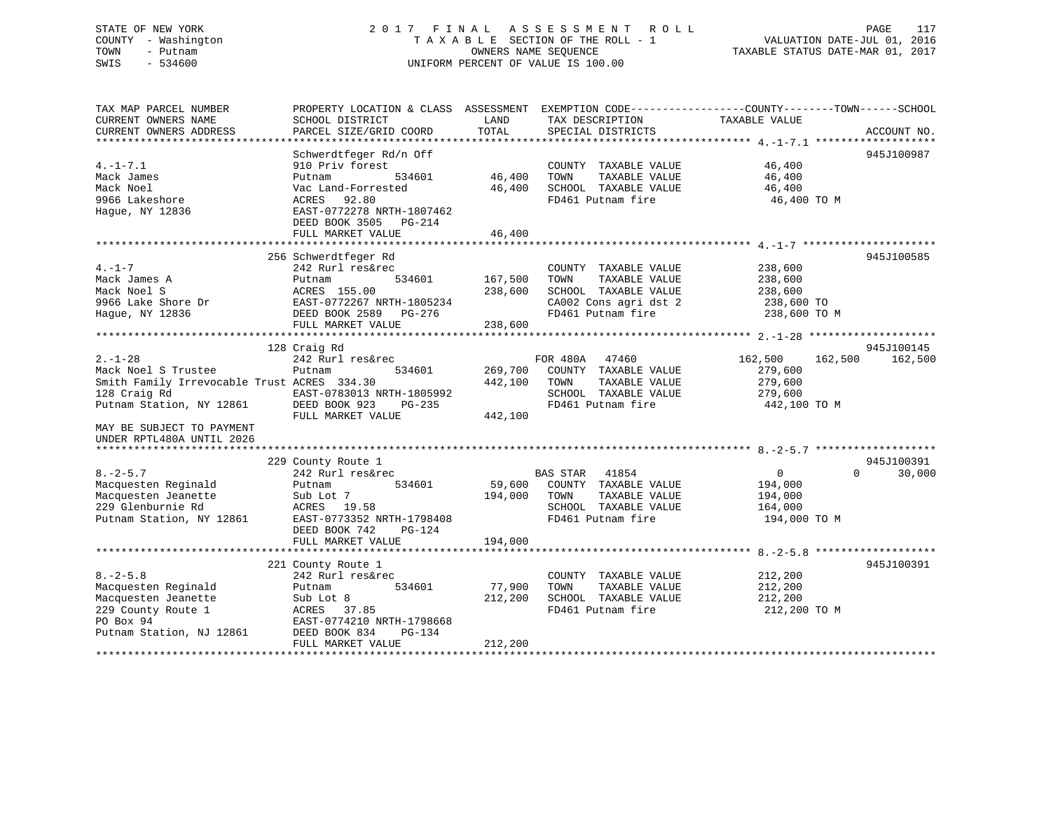# STATE OF NEW YORK 2 0 1 7 F I N A L A S S E S S M E N T R O L L PAGE 117 COUNTY - Washington T A X A B L E SECTION OF THE ROLL - 1 VALUATION DATE-JUL 01, 2016 TOWN - Putnam OWNERS NAME SEQUENCE TAXABLE STATUS DATE-MAR 01, 2017 SWIS - 534600 UNIFORM PERCENT OF VALUE IS 100.00

| TAX MAP PARCEL NUMBER<br>CURRENT OWNERS NAME<br>CURRENT OWNERS ADDRESS                                                                                                                    | PROPERTY LOCATION & CLASS ASSESSMENT<br>SCHOOL DISTRICT<br>PARCEL SIZE/GRID COORD                                                                                                     | LAND<br>TOTAL                 | TAX DESCRIPTION<br>SPECIAL DISTRICTS                                                                                | EXEMPTION CODE-----------------COUNTY-------TOWN------SCHOOL<br>TAXABLE VALUE | ACCOUNT NO.           |
|-------------------------------------------------------------------------------------------------------------------------------------------------------------------------------------------|---------------------------------------------------------------------------------------------------------------------------------------------------------------------------------------|-------------------------------|---------------------------------------------------------------------------------------------------------------------|-------------------------------------------------------------------------------|-----------------------|
| $4. -1 - 7.1$<br>Mack James<br>Mack Noel<br>9966 Lakeshore<br>Hague, NY 12836                                                                                                             | Schwerdtfeger Rd/n Off<br>910 Priv forest<br>534601<br>Putnam<br>Vac Land-Forrested<br>ACRES<br>92.80<br>EAST-0772278 NRTH-1807462<br>DEED BOOK 3505<br>$PG-214$<br>FULL MARKET VALUE | 46,400<br>46,400<br>46,400    | COUNTY TAXABLE VALUE<br>TOWN<br>TAXABLE VALUE<br>SCHOOL TAXABLE VALUE<br>FD461 Putnam fire                          | 46,400<br>46,400<br>46,400<br>46,400 TO M                                     | 945J100987            |
| $4. -1 - 7$<br>Mack James A<br>Mack Noel S<br>9966 Lake Shore Dr<br>Hague, NY 12836                                                                                                       | 256 Schwerdtfeger Rd<br>242 Rurl res&rec<br>534601<br>Putnam<br>ACRES 155.00<br>EAST-0772267 NRTH-1805234<br>DEED BOOK 2589 PG-276<br>FULL MARKET VALUE                               | 167,500<br>238,600<br>238,600 | COUNTY TAXABLE VALUE<br>TOWN<br>TAXABLE VALUE<br>SCHOOL TAXABLE VALUE<br>CA002 Cons agri dst 2<br>FD461 Putnam fire | 238,600<br>238,600<br>238,600<br>238,600 TO<br>238,600 TO M                   | 945J100585            |
| $2. - 1 - 28$<br>Mack Noel S Trustee<br>Smith Family Irrevocable Trust ACRES 334.30<br>128 Craig Rd<br>Putnam Station, NY 12861<br>MAY BE SUBJECT TO PAYMENT<br>UNDER RPTL480A UNTIL 2026 | 128 Craig Rd<br>242 Rurl res&rec<br>534601<br>Putnam<br>EAST-0783013 NRTH-1805992<br>DEED BOOK 923<br>$PG-235$<br>FULL MARKET VALUE                                                   | 269,700<br>442,100<br>442,100 | FOR 480A<br>47460<br>COUNTY TAXABLE VALUE<br>TOWN<br>TAXABLE VALUE<br>SCHOOL TAXABLE VALUE<br>FD461 Putnam fire     | 162,500<br>162,500<br>279,600<br>279,600<br>279,600<br>442,100 TO M           | 945J100145<br>162,500 |
| $8. - 2 - 5.7$<br>Macquesten Reginald<br>Macquesten Jeanette<br>229 Glenburnie Rd<br>Putnam Station, NY 12861                                                                             | 229 County Route 1<br>242 Rurl res&rec<br>534601<br>Putnam<br>Sub Lot 7<br>ACRES<br>19.58<br>EAST-0773352 NRTH-1798408<br>$PG-124$<br>DEED BOOK 742<br>FULL MARKET VALUE              | 59,600<br>194,000<br>194,000  | BAS STAR<br>41854<br>COUNTY TAXABLE VALUE<br>TAXABLE VALUE<br>TOWN<br>SCHOOL TAXABLE VALUE<br>FD461 Putnam fire     | $\overline{0}$<br>$\Omega$<br>194,000<br>194,000<br>164,000<br>194,000 TO M   | 945J100391<br>30,000  |
| $8. - 2 - 5.8$<br>Macquesten Reginald<br>Macquesten Jeanette<br>229 County Route 1<br>PO Box 94<br>Putnam Station, NJ 12861                                                               | 221 County Route 1<br>242 Rurl res&rec<br>534601<br>Putnam<br>Sub Lot 8<br>ACRES 37.85<br>EAST-0774210 NRTH-1798668<br>DEED BOOK 834<br>$PG-134$<br>FULL MARKET VALUE                 | 77,900<br>212,200<br>212,200  | COUNTY TAXABLE VALUE<br>TAXABLE VALUE<br>TOWN<br>SCHOOL TAXABLE VALUE<br>FD461 Putnam fire                          | 212,200<br>212,200<br>212,200<br>212,200 TO M                                 | 945J100391            |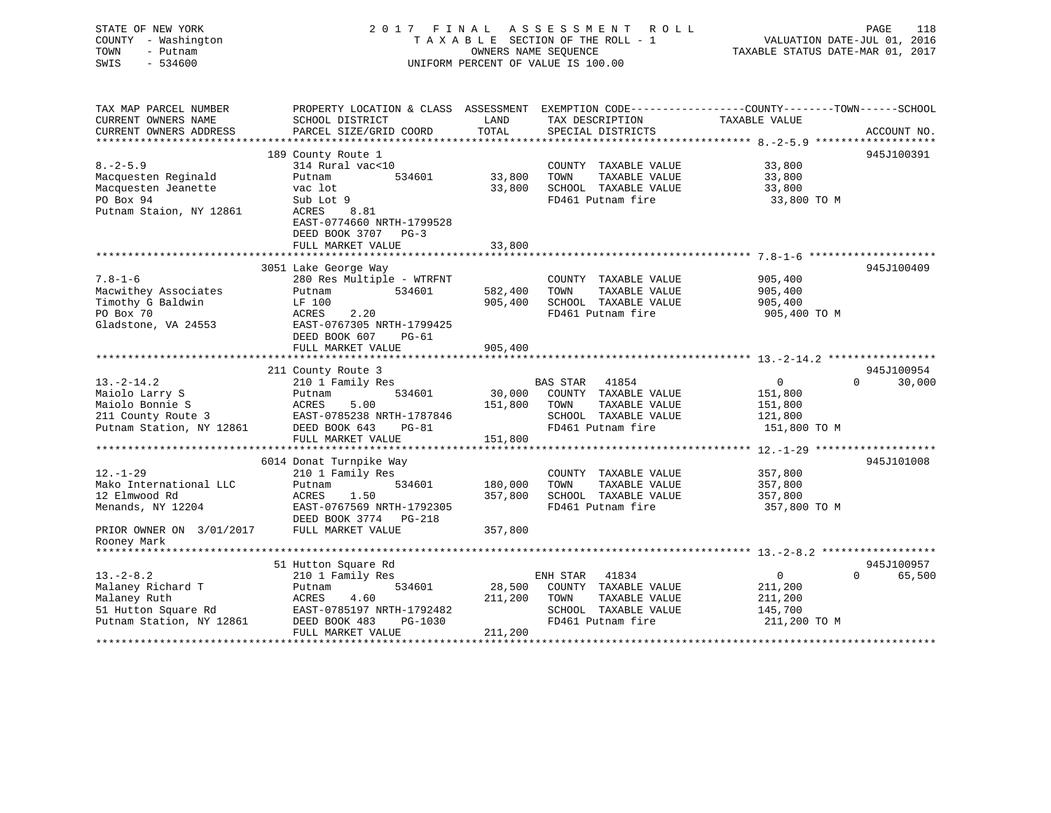STATE OF NEW YORK 2 0 1 7 F I N A L A S S E S S M E N T R O L L PAGE 118 COUNTY - Washington T A X A B L E SECTION OF THE ROLL - 1 VALUATION DATE-JUL 01, 2016 TOWN - Putnam OWNERS NAME SEQUENCE TAXABLE STATUS DATE-MAR 01, 2017 SWIS - 534600 UNIFORM PERCENT OF VALUE IS 100.00 TAX MAP PARCEL NUMBER PROPERTY LOCATION & CLASS ASSESSMENT EXEMPTION CODE------------------COUNTY--------TOWN------SCHOOL CURRENT OWNERS NAME SCHOOL DISTRICT THE LAND TAX DESCRIPTION TAXABLE VALUE CURRENT OWNERS ADDRESS PARCEL SIZE/GRID COORD TOTAL SPECIAL DISTRICTS ACCOUNT NO. \*\*\*\*\*\*\*\*\*\*\*\*\*\*\*\*\*\*\*\*\*\*\*\*\*\*\*\*\*\*\*\*\*\*\*\*\*\*\*\*\*\*\*\*\*\*\*\*\*\*\*\*\*\*\*\*\*\*\*\*\*\*\*\*\*\*\*\*\*\*\*\*\*\*\*\*\*\*\*\*\*\*\*\*\*\*\*\*\*\*\*\*\*\*\*\*\*\*\*\*\*\*\* 8.-2-5.9 \*\*\*\*\*\*\*\*\*\*\*\*\*\*\*\*\*\*\* 189 County Route 1 945J100391 8.-2-5.9 314 Rural vac<10 COUNTY TAXABLE VALUE 33,800 Macquesten Reginald Putnam 534601 33,800 TOWN TAXABLE VALUE 33,800 Macquesten Jeanette vac lot 33,800 SCHOOL TAXABLE VALUE 33,800 PO Box 94 Sub Lot 9 FD461 Putnam fire 33,800 TO M Putnam Staion, NY 12861 ACRES 8.81 EAST-0774660 NRTH-1799528 DEED BOOK 3707 PG-3 FULL MARKET VALUE 33,800 \*\*\*\*\*\*\*\*\*\*\*\*\*\*\*\*\*\*\*\*\*\*\*\*\*\*\*\*\*\*\*\*\*\*\*\*\*\*\*\*\*\*\*\*\*\*\*\*\*\*\*\*\*\*\*\*\*\*\*\*\*\*\*\*\*\*\*\*\*\*\*\*\*\*\*\*\*\*\*\*\*\*\*\*\*\*\*\*\*\*\*\*\*\*\*\*\*\*\*\*\*\*\* 7.8-1-6 \*\*\*\*\*\*\*\*\*\*\*\*\*\*\*\*\*\*\*\* 3051 Lake George Way 945J100409 7.8-1-6 280 Res Multiple - WTRFNT COUNTY TAXABLE VALUE 905,400

Macwithey Associates Putnam 534601 582,400 TOWN TAXABLE VALUE 905,400 Timothy G Baldwin LF 100 905,400 SCHOOL TAXABLE VALUE 905,400 PO Box 70 ACRES 2.20 FD461 Putnam fire 905,400 TO M Gladstone, VA 24553 EAST-0767305 NRTH-1799425 DEED BOOK 607 PG-61FULL MARKET VALUE 905,400 \*\*\*\*\*\*\*\*\*\*\*\*\*\*\*\*\*\*\*\*\*\*\*\*\*\*\*\*\*\*\*\*\*\*\*\*\*\*\*\*\*\*\*\*\*\*\*\*\*\*\*\*\*\*\*\*\*\*\*\*\*\*\*\*\*\*\*\*\*\*\*\*\*\*\*\*\*\*\*\*\*\*\*\*\*\*\*\*\*\*\*\*\*\*\*\*\*\*\*\*\*\*\* 13.-2-14.2 \*\*\*\*\*\*\*\*\*\*\*\*\*\*\*\*\* 211 County Route 3 945J100954 13.-2-14.2 210 1 Family Res BAS STAR 41854 0 0 30,000 Maiolo Larry S Putnam 534601 30,000 COUNTY TAXABLE VALUE 151,800 Maiolo Bonnie S ACRES 5.00 151,800 TOWN TAXABLE VALUE 151,800 211 County Route 3 EAST-0785238 NRTH-1787846 SCHOOL TAXABLE VALUE 121,800 Putnam Station, NY 12861 DEED BOOK 643 PG-81 FD461 Putnam fire 151,800 TO M FULL MARKET VALUE 151,800 \*\*\*\*\*\*\*\*\*\*\*\*\*\*\*\*\*\*\*\*\*\*\*\*\*\*\*\*\*\*\*\*\*\*\*\*\*\*\*\*\*\*\*\*\*\*\*\*\*\*\*\*\*\*\*\*\*\*\*\*\*\*\*\*\*\*\*\*\*\*\*\*\*\*\*\*\*\*\*\*\*\*\*\*\*\*\*\*\*\*\*\*\*\*\*\*\*\*\*\*\*\*\* 12.-1-29 \*\*\*\*\*\*\*\*\*\*\*\*\*\*\*\*\*\*\* 6014 Donat Turnpike Way 945J101008 12.-1-29 210 1 Family Res COUNTY TAXABLE VALUE 357,800 Mako International LLC Putnam 534601 180,000 TOWN TAXABLE VALUE 357,800 12 Elmwood Rd ACRES 1.50 357,800 SCHOOL TAXABLE VALUE 357,800 12 Ellinvoid Ruis<br>Menands, NY 12204 EAST-0767569 NRTH-1792305 FD461 Putnam fire 357,800 TO M DEED BOOK 3774 PG-218PRIOR OWNER ON  $3/01/2017$  FULL MARKET VALUE 357,800 Rooney Mark \*\*\*\*\*\*\*\*\*\*\*\*\*\*\*\*\*\*\*\*\*\*\*\*\*\*\*\*\*\*\*\*\*\*\*\*\*\*\*\*\*\*\*\*\*\*\*\*\*\*\*\*\*\*\*\*\*\*\*\*\*\*\*\*\*\*\*\*\*\*\*\*\*\*\*\*\*\*\*\*\*\*\*\*\*\*\*\*\*\*\*\*\*\*\*\*\*\*\*\*\*\*\* 13.-2-8.2 \*\*\*\*\*\*\*\*\*\*\*\*\*\*\*\*\*\* $0.457100057$ 

|                          | 51 Hutton Square Rd |                           |         |          |                   |              | 945J100957 |
|--------------------------|---------------------|---------------------------|---------|----------|-------------------|--------------|------------|
| $13 - 2 - 8.2$           | 210 1 Family Res    |                           |         | ENH STAR | 41834             |              | 65,500     |
| Malaney Richard T        | Putnam              | 534601                    | 28,500  | COUNTY   | TAXABLE VALUE     | 211,200      |            |
| Malaney Ruth             | ACRES<br>4.60       |                           | 211,200 | TOWN     | TAXABLE VALUE     | 211,200      |            |
| 51 Hutton Square Rd      |                     | EAST-0785197 NRTH-1792482 |         | SCHOOL   | TAXABLE VALUE     | 145,700      |            |
| Putnam Station, NY 12861 | DEED BOOK 483       | PG-1030                   |         |          | FD461 Putnam fire | 211,200 TO M |            |
|                          | FULL MARKET VALUE   |                           | 211,200 |          |                   |              |            |
|                          |                     |                           |         |          |                   |              |            |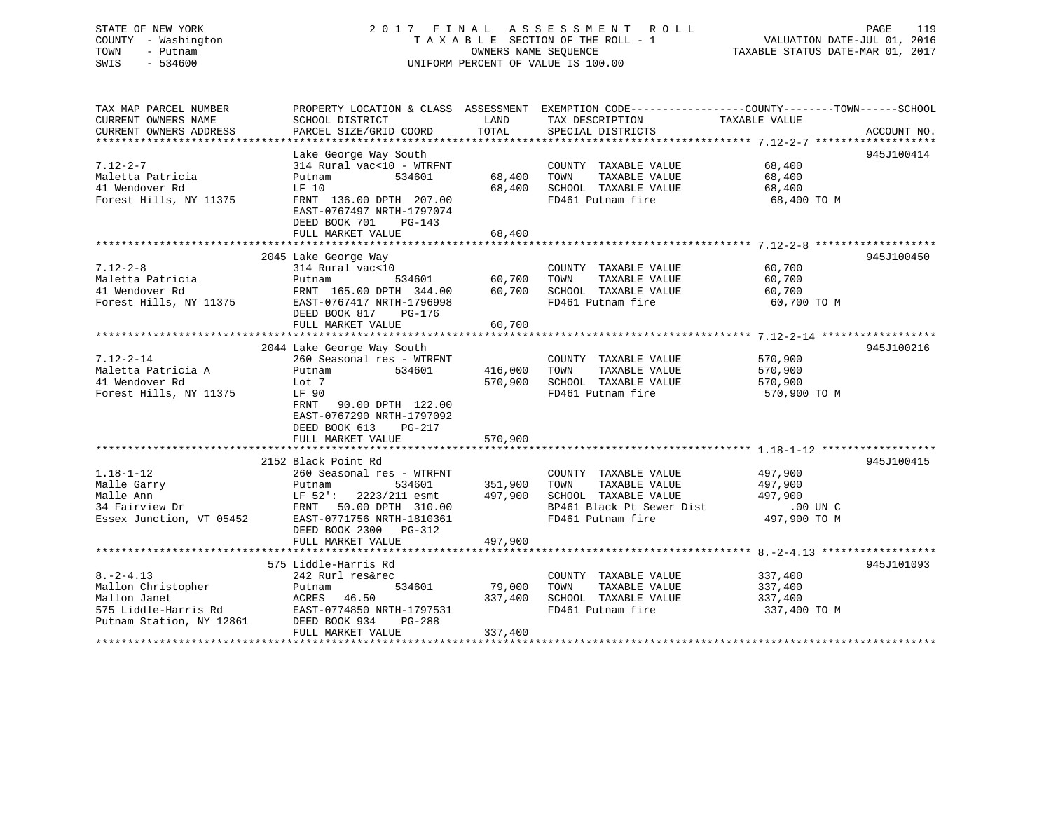# STATE OF NEW YORK 2 0 1 7 F I N A L A S S E S S M E N T R O L L PAGE 119 COUNTY - Washington T A X A B L E SECTION OF THE ROLL - 1 VALUATION DATE-JUL 01, 2016 TOWN - Putnam OWNERS NAME SEQUENCE TAXABLE STATUS DATE-MAR 01, 2017 SWIS - 534600 UNIFORM PERCENT OF VALUE IS 100.00

| TAX MAP PARCEL NUMBER<br>CURRENT OWNERS NAME                                                              | PROPERTY LOCATION & CLASS ASSESSMENT EXEMPTION CODE---------------COUNTY-------TOWN-----SCHOOL<br>SCHOOL DISTRICT                               | LAND               | TAX DESCRIPTION                                                                                    | TAXABLE VALUE                                 |             |
|-----------------------------------------------------------------------------------------------------------|-------------------------------------------------------------------------------------------------------------------------------------------------|--------------------|----------------------------------------------------------------------------------------------------|-----------------------------------------------|-------------|
| CURRENT OWNERS ADDRESS                                                                                    | PARCEL SIZE/GRID COORD                                                                                                                          | TOTAL              | SPECIAL DISTRICTS                                                                                  |                                               | ACCOUNT NO. |
|                                                                                                           | Lake George Way South                                                                                                                           |                    |                                                                                                    |                                               | 945J100414  |
| $7.12 - 2 - 7$<br>Maletta Patricia<br>41 Wendover Rd                                                      | 314 Rural vac<10 - WTRFNT<br>Putnam<br>534601<br>LF 10                                                                                          | 68,400<br>68,400   | COUNTY TAXABLE VALUE<br>TOWN<br>TAXABLE VALUE<br>SCHOOL TAXABLE VALUE                              | 68,400<br>68,400<br>68,400                    |             |
| Forest Hills, NY 11375                                                                                    | FRNT 136.00 DPTH 207.00<br>EAST-0767497 NRTH-1797074<br>DEED BOOK 701<br>PG-143<br>FULL MARKET VALUE                                            | 68,400             | FD461 Putnam fire                                                                                  | 68,400 TO M                                   |             |
|                                                                                                           |                                                                                                                                                 |                    |                                                                                                    |                                               |             |
| $7.12 - 2 - 8$<br>Maletta Patricia<br>41 Wendover Rd<br>Forest Hills, NY 11375                            | 2045 Lake George Way<br>314 Rural vac<10<br>534601<br>Putnam<br>FRNT 165.00 DPTH 344.00<br>EAST-0767417 NRTH-1796998<br>DEED BOOK 817<br>PG-176 | 60,700<br>60,700   | COUNTY TAXABLE VALUE<br>TOWN<br>TAXABLE VALUE<br>SCHOOL TAXABLE VALUE<br>FD461 Putnam fire         | 60,700<br>60,700<br>60,700<br>60,700 TO M     | 945J100450  |
|                                                                                                           | FULL MARKET VALUE                                                                                                                               | 60,700             |                                                                                                    |                                               |             |
|                                                                                                           | 2044 Lake George Way South                                                                                                                      |                    |                                                                                                    |                                               | 945J100216  |
| $7.12 - 2 - 14$<br>Maletta Patricia A<br>41 Wendover Rd<br>Forest Hills, NY 11375                         | 260 Seasonal res - WTRFNT<br>Putnam<br>534601<br>Lot 7<br>LF 90<br>90.00 DPTH 122.00<br>FRNT<br>EAST-0767290 NRTH-1797092                       | 416,000<br>570,900 | COUNTY TAXABLE VALUE<br>TOWN<br>TAXABLE VALUE<br>SCHOOL TAXABLE VALUE<br>FD461 Putnam fire         | 570,900<br>570,900<br>570,900<br>570,900 TO M |             |
|                                                                                                           | DEED BOOK 613<br>$PG-217$<br>FULL MARKET VALUE                                                                                                  | 570,900            |                                                                                                    |                                               |             |
|                                                                                                           |                                                                                                                                                 |                    |                                                                                                    |                                               |             |
| $1.18 - 1 - 12$<br>Malle Garry<br>Malle Ann<br>34 Fairview Dr                                             | 2152 Black Point Rd<br>260 Seasonal res - WTRFNT<br>534601<br>Putnam<br>$LF 52$ ':<br>2223/211 esmt<br>FRNT 50.00 DPTH 310.00                   | 351,900<br>497,900 | COUNTY TAXABLE VALUE<br>TOWN<br>TAXABLE VALUE<br>SCHOOL TAXABLE VALUE<br>BP461 Black Pt Sewer Dist | 497,900<br>497,900<br>497,900<br>$.00$ UN $C$ | 945J100415  |
| Essex Junction, VT 05452                                                                                  | EAST-0771756 NRTH-1810361<br>DEED BOOK 2300 PG-312<br>FULL MARKET VALUE                                                                         | 497,900            | FD461 Putnam fire                                                                                  | 497,900 TO M                                  |             |
|                                                                                                           | 575 Liddle-Harris Rd                                                                                                                            |                    |                                                                                                    |                                               | 945J101093  |
| $8. - 2 - 4.13$<br>Mallon Christopher<br>Mallon Janet<br>575 Liddle-Harris Rd<br>Putnam Station, NY 12861 | 242 Rurl res&rec<br>534601<br>Putnam<br>ACRES 46.50<br>EAST-0774850 NRTH-1797531<br>DEED BOOK 934<br>PG-288                                     | 79,000<br>337,400  | COUNTY TAXABLE VALUE<br>TOWN<br>TAXABLE VALUE<br>SCHOOL TAXABLE VALUE<br>FD461 Putnam fire         | 337,400<br>337,400<br>337,400<br>337,400 TO M |             |
|                                                                                                           | FULL MARKET VALUE                                                                                                                               | 337,400            |                                                                                                    |                                               |             |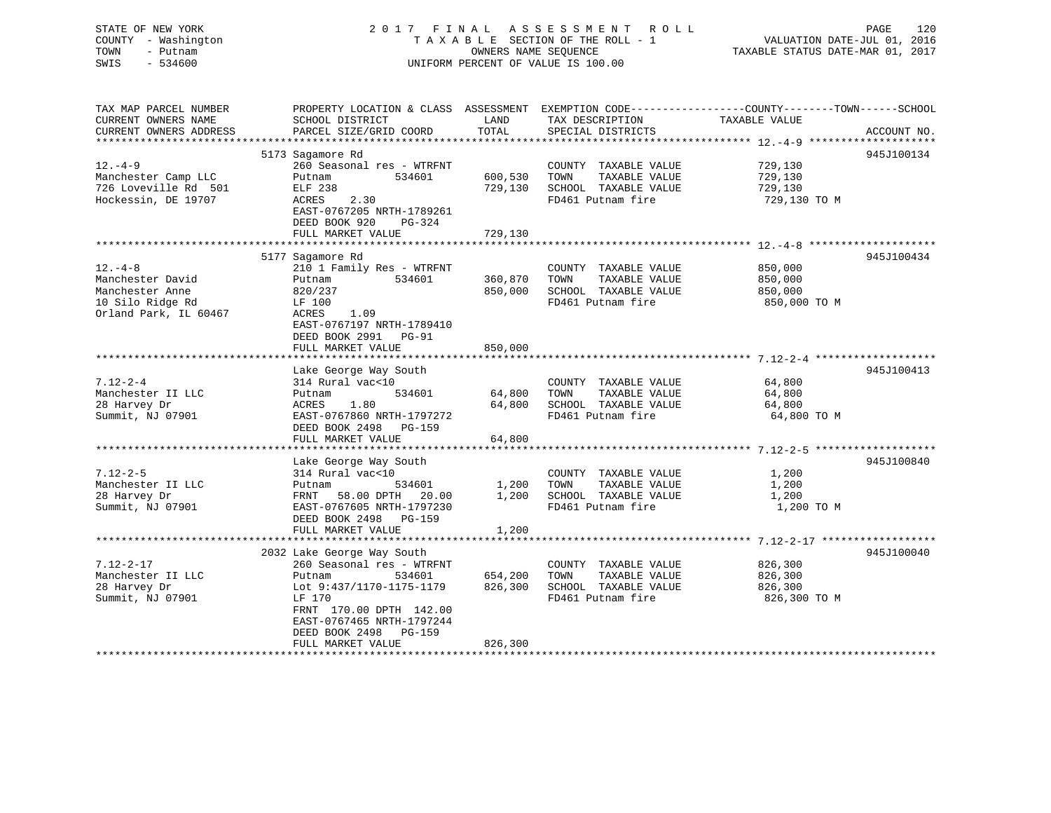STATE OF NEW YORK 2 0 1 7 F I N A L A S S E S S M E N T R O L L PAGE 120 COUNTY - Washington T A X A B L E SECTION OF THE ROLL - 1 VALUATION DATE-JUL 01, 2016 TOWN - Putnam OWNERS NAME SEQUENCE TAXABLE STATUS DATE-MAR 01, 2017 SWIS - 534600 UNIFORM PERCENT OF VALUE IS 100.00

| TAX MAP PARCEL NUMBER<br>CURRENT OWNERS NAME | PROPERTY LOCATION & CLASS ASSESSMENT<br>SCHOOL DISTRICT               | LAND             | TAX DESCRIPTION                               | EXEMPTION CODE-----------------COUNTY-------TOWN------SCHOOL<br>TAXABLE VALUE |             |
|----------------------------------------------|-----------------------------------------------------------------------|------------------|-----------------------------------------------|-------------------------------------------------------------------------------|-------------|
| CURRENT OWNERS ADDRESS                       | PARCEL SIZE/GRID COORD                                                | TOTAL            | SPECIAL DISTRICTS                             |                                                                               | ACCOUNT NO. |
|                                              | 5173 Sagamore Rd                                                      |                  |                                               |                                                                               | 945J100134  |
| $12. -4 - 9$<br>Manchester Camp LLC          | 260 Seasonal res - WTRFNT<br>Putnam<br>534601                         | 600,530          | COUNTY TAXABLE VALUE<br>TOWN<br>TAXABLE VALUE | 729,130<br>729,130                                                            |             |
| 726 Loveville Rd 501                         | ELF 238                                                               | 729,130          | SCHOOL TAXABLE VALUE                          | 729,130                                                                       |             |
| Hockessin, DE 19707                          | ACRES<br>2.30<br>EAST-0767205 NRTH-1789261<br>DEED BOOK 920<br>PG-324 |                  | FD461 Putnam fire                             | 729,130 TO M                                                                  |             |
|                                              | FULL MARKET VALUE                                                     | 729,130          |                                               |                                                                               |             |
|                                              |                                                                       |                  |                                               |                                                                               | 945J100434  |
| $12. - 4 - 8$                                | 5177 Sagamore Rd<br>210 1 Family Res - WTRFNT                         |                  | COUNTY TAXABLE VALUE                          | 850,000                                                                       |             |
| Manchester David                             | 534601<br>Putnam                                                      | 360,870          | TOWN<br>TAXABLE VALUE                         | 850,000                                                                       |             |
| Manchester Anne                              | 820/237                                                               | 850,000          | SCHOOL TAXABLE VALUE                          | 850,000                                                                       |             |
| 10 Silo Ridge Rd                             | LF 100                                                                |                  | FD461 Putnam fire                             | 850,000 TO M                                                                  |             |
| Orland Park, IL 60467                        | 1.09<br>ACRES                                                         |                  |                                               |                                                                               |             |
|                                              | EAST-0767197 NRTH-1789410                                             |                  |                                               |                                                                               |             |
|                                              | DEED BOOK 2991 PG-91                                                  |                  |                                               |                                                                               |             |
|                                              | FULL MARKET VALUE                                                     | 850,000          |                                               |                                                                               |             |
|                                              |                                                                       |                  |                                               |                                                                               |             |
|                                              | Lake George Way South                                                 |                  |                                               |                                                                               | 945J100413  |
| $7.12 - 2 - 4$                               | 314 Rural vac<10<br>534601                                            |                  | COUNTY TAXABLE VALUE                          | 64,800                                                                        |             |
| Manchester II LLC<br>28 Harvey Dr            | Putnam<br>ACRES<br>1.80                                               | 64,800<br>64,800 | TAXABLE VALUE<br>TOWN<br>SCHOOL TAXABLE VALUE | 64,800<br>64,800                                                              |             |
| Summit, NJ 07901                             | EAST-0767860 NRTH-1797272                                             |                  | FD461 Putnam fire                             | 64,800 TO M                                                                   |             |
|                                              | DEED BOOK 2498 PG-159                                                 |                  |                                               |                                                                               |             |
|                                              | FULL MARKET VALUE                                                     | 64,800           |                                               |                                                                               |             |
|                                              |                                                                       |                  |                                               |                                                                               |             |
|                                              | Lake George Way South                                                 |                  |                                               |                                                                               | 945J100840  |
| $7.12 - 2 - 5$                               | 314 Rural vac<10                                                      |                  | COUNTY TAXABLE VALUE                          | 1,200                                                                         |             |
| Manchester II LLC                            | 534601<br>Putnam                                                      | 1,200            | TOWN<br>TAXABLE VALUE                         | 1,200                                                                         |             |
| 28 Harvey Dr                                 | 58.00 DPTH 20.00<br>FRNT                                              | 1,200            | SCHOOL TAXABLE VALUE                          | 1,200                                                                         |             |
| Summit, NJ 07901                             | EAST-0767605 NRTH-1797230                                             |                  | FD461 Putnam fire                             | 1,200 TO M                                                                    |             |
|                                              | DEED BOOK 2498 PG-159                                                 |                  |                                               |                                                                               |             |
|                                              | FULL MARKET VALUE                                                     | 1,200            |                                               |                                                                               |             |
|                                              |                                                                       |                  |                                               |                                                                               | 945J100040  |
| $7.12 - 2 - 17$                              | 2032 Lake George Way South<br>260 Seasonal res - WTRFNT               |                  | COUNTY TAXABLE VALUE                          | 826,300                                                                       |             |
| Manchester II LLC                            | 534601<br>Putnam                                                      | 654,200          | TOWN<br>TAXABLE VALUE                         | 826,300                                                                       |             |
| 28 Harvey Dr                                 | Lot 9:437/1170-1175-1179                                              | 826,300          | SCHOOL TAXABLE VALUE                          | 826,300                                                                       |             |
| Summit, NJ 07901                             | LF 170                                                                |                  | FD461 Putnam fire                             | 826,300 TO M                                                                  |             |
|                                              | FRNT 170.00 DPTH 142.00<br>EAST-0767465 NRTH-1797244                  |                  |                                               |                                                                               |             |
|                                              | DEED BOOK 2498<br><b>PG-159</b><br>FULL MARKET VALUE                  | 826,300          |                                               |                                                                               |             |
|                                              |                                                                       |                  |                                               |                                                                               |             |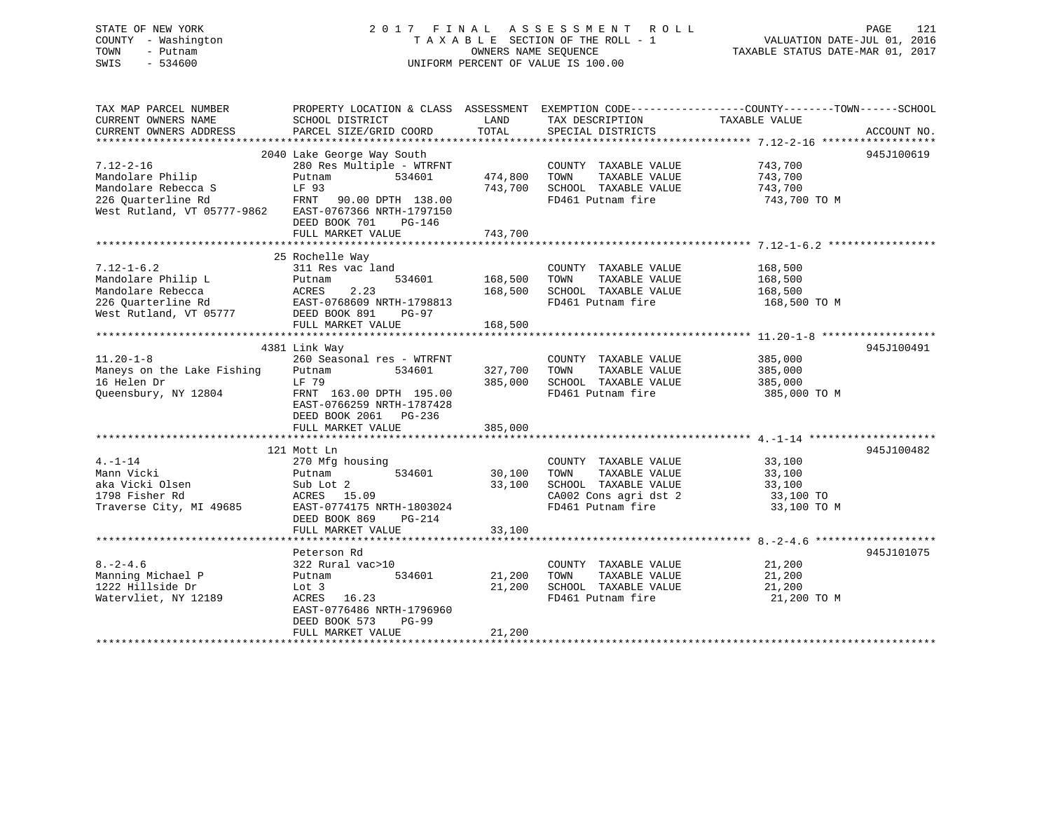# STATE OF NEW YORK 2 0 1 7 F I N A L A S S E S S M E N T R O L L PAGE 121 COUNTY - Washington T A X A B L E SECTION OF THE ROLL - 1 VALUATION DATE-JUL 01, 2016 TOWN - Putnam OWNERS NAME SEQUENCE TAXABLE STATUS DATE-MAR 01, 2017 SWIS - 534600 UNIFORM PERCENT OF VALUE IS 100.00

TAX MAP PARCEL NUMBER PROPERTY LOCATION & CLASS ASSESSMENT EXEMPTION CODE------------------COUNTY--------TOWN------SCHOOL CURRENT OWNERS NAME SCHOOL DISTRICT THE LAND TAX DESCRIPTION TAXABLE VALUE CURRENT OWNERS ADDRESS PARCEL SIZE/GRID COORD TOTAL SPECIAL DISTRICTS ACCOUNT NO. \*\*\*\*\*\*\*\*\*\*\*\*\*\*\*\*\*\*\*\*\*\*\*\*\*\*\*\*\*\*\*\*\*\*\*\*\*\*\*\*\*\*\*\*\*\*\*\*\*\*\*\*\*\*\*\*\*\*\*\*\*\*\*\*\*\*\*\*\*\*\*\*\*\*\*\*\*\*\*\*\*\*\*\*\*\*\*\*\*\*\*\*\*\*\*\*\*\*\*\*\*\*\* 7.12-2-16 \*\*\*\*\*\*\*\*\*\*\*\*\*\*\*\*\*\* 2040 Lake George Way South 945J100619 7.12-2-16 280 Res Multiple - WTRFNT COUNTY TAXABLE VALUE 743,700 Mandolare Philip Putnam 534601 474,800 TOWN TAXABLE VALUE 743,700 Mandolare Rebecca S LF 93 743,700 SCHOOL TAXABLE VALUE 743,700 226 Quarterline Rd FRNT 90.00 DPTH 138.00 FD461 Putnam fire 743,700 TO M West Rutland, VT 05777-9862 EAST-0767366 NRTH-1797150 DEED BOOK 701 PG-146FULL MARKET VALUE 743,700 \*\*\*\*\*\*\*\*\*\*\*\*\*\*\*\*\*\*\*\*\*\*\*\*\*\*\*\*\*\*\*\*\*\*\*\*\*\*\*\*\*\*\*\*\*\*\*\*\*\*\*\*\*\*\*\*\*\*\*\*\*\*\*\*\*\*\*\*\*\*\*\*\*\*\*\*\*\*\*\*\*\*\*\*\*\*\*\*\*\*\*\*\*\*\*\*\*\*\*\*\*\*\* 7.12-1-6.2 \*\*\*\*\*\*\*\*\*\*\*\*\*\*\*\*\* 25 Rochelle Way 7.12-1-6.2 311 Res vac land COUNTY TAXABLE VALUE 168,500 Mandolare Philip L Putnam 534601 168,500 TOWN TAXABLE VALUE 168,500 Mandolare Rebecca ACRES 2.23 168,500 SCHOOL TAXABLE VALUE 168,500 226 Quarterline Rd EAST-0768609 NRTH-1798813 FD461 Putnam fire 168,500 TO M حدد میں معلمہ معلمہ معلمہ 226 Quarterline Rd<br>West Rutland, VT 05777 DEED BOOK 891 PG-97 FULL MARKET VALUE 168,500 \*\*\*\*\*\*\*\*\*\*\*\*\*\*\*\*\*\*\*\*\*\*\*\*\*\*\*\*\*\*\*\*\*\*\*\*\*\*\*\*\*\*\*\*\*\*\*\*\*\*\*\*\*\*\*\*\*\*\*\*\*\*\*\*\*\*\*\*\*\*\*\*\*\*\*\*\*\*\*\*\*\*\*\*\*\*\*\*\*\*\*\*\*\*\*\*\*\*\*\*\*\*\* 11.20-1-8 \*\*\*\*\*\*\*\*\*\*\*\*\*\*\*\*\*\*4381 Link Way 945J100491 (1881)<br>260 Seasonal res - WTRFNT (260 Seasonal res - WTRFNT (260 Seasonal 260 AM) 11.20-1-8 260 Seasonal res - WTRFNT COUNTY TAXABLE VALUE 385,000 Maneys on the Lake Fishing Putnam 534601 327,700 TOWN TAXABLE VALUE 385,000 16 Helen Dr LF 79 385,000 SCHOOL TAXABLE VALUE 385,000 Queensbury, NY 12804 FRNT 163.00 DPTH 195.00 FD461 Putnam fire 385,000 TO M EAST-0766259 NRTH-1787428 DEED BOOK 2061 PG-236 FULL MARKET VALUE 385,000 \*\*\*\*\*\*\*\*\*\*\*\*\*\*\*\*\*\*\*\*\*\*\*\*\*\*\*\*\*\*\*\*\*\*\*\*\*\*\*\*\*\*\*\*\*\*\*\*\*\*\*\*\*\*\*\*\*\*\*\*\*\*\*\*\*\*\*\*\*\*\*\*\*\*\*\*\*\*\*\*\*\*\*\*\*\*\*\*\*\*\*\*\*\*\*\*\*\*\*\*\*\*\* 4.-1-14 \*\*\*\*\*\*\*\*\*\*\*\*\*\*\*\*\*\*\*\* 121 Mott Ln 945J1004824.-1-14 270 Mfg housing COUNTY TAXABLE VALUE 33,100 Mann Vicki Putnam 534601 30,100 TOWN TAXABLE VALUE 33,100 aka Vicki Olsen Sub Lot 2 33,100 SCHOOL TAXABLE VALUE 33,100 1798 Fisher Rd ACRES 15.09 CA002 Cons agri dst 2 33,100 TO Traverse City, MI 49685 EAST-0774175 NRTH-1803024 FD461 Putnam fire 33,100 TO M DEED BOOK 869 PG-214 FULL MARKET VALUE 33,100 \*\*\*\*\*\*\*\*\*\*\*\*\*\*\*\*\*\*\*\*\*\*\*\*\*\*\*\*\*\*\*\*\*\*\*\*\*\*\*\*\*\*\*\*\*\*\*\*\*\*\*\*\*\*\*\*\*\*\*\*\*\*\*\*\*\*\*\*\*\*\*\*\*\*\*\*\*\*\*\*\*\*\*\*\*\*\*\*\*\*\*\*\*\*\*\*\*\*\*\*\*\*\* 8.-2-4.6 \*\*\*\*\*\*\*\*\*\*\*\*\*\*\*\*\*\*\*Peterson Rd 945J101075 8.-2-4.6 322 Rural vac>10 COUNTY TAXABLE VALUE 21,200 Manning Michael P Putnam 534601 21,200 TOWN TAXABLE VALUE 21,200 1222 Hillside Dr Lot 3 21,200 SCHOOL TAXABLE VALUE 21,200 Watervliet, NY 12189 ACRES 16.23 FD461 Putnam fire 21,200 TO M

\*\*\*\*\*\*\*\*\*\*\*\*\*\*\*\*\*\*\*\*\*\*\*\*\*\*\*\*\*\*\*\*\*\*\*\*\*\*\*\*\*\*\*\*\*\*\*\*\*\*\*\*\*\*\*\*\*\*\*\*\*\*\*\*\*\*\*\*\*\*\*\*\*\*\*\*\*\*\*\*\*\*\*\*\*\*\*\*\*\*\*\*\*\*\*\*\*\*\*\*\*\*\*\*\*\*\*\*\*\*\*\*\*\*\*\*\*\*\*\*\*\*\*\*\*\*\*\*\*\*\*\*

 EAST-0776486 NRTH-1796960DEED BOOK 573 PG-99

FULL MARKET VALUE 21,200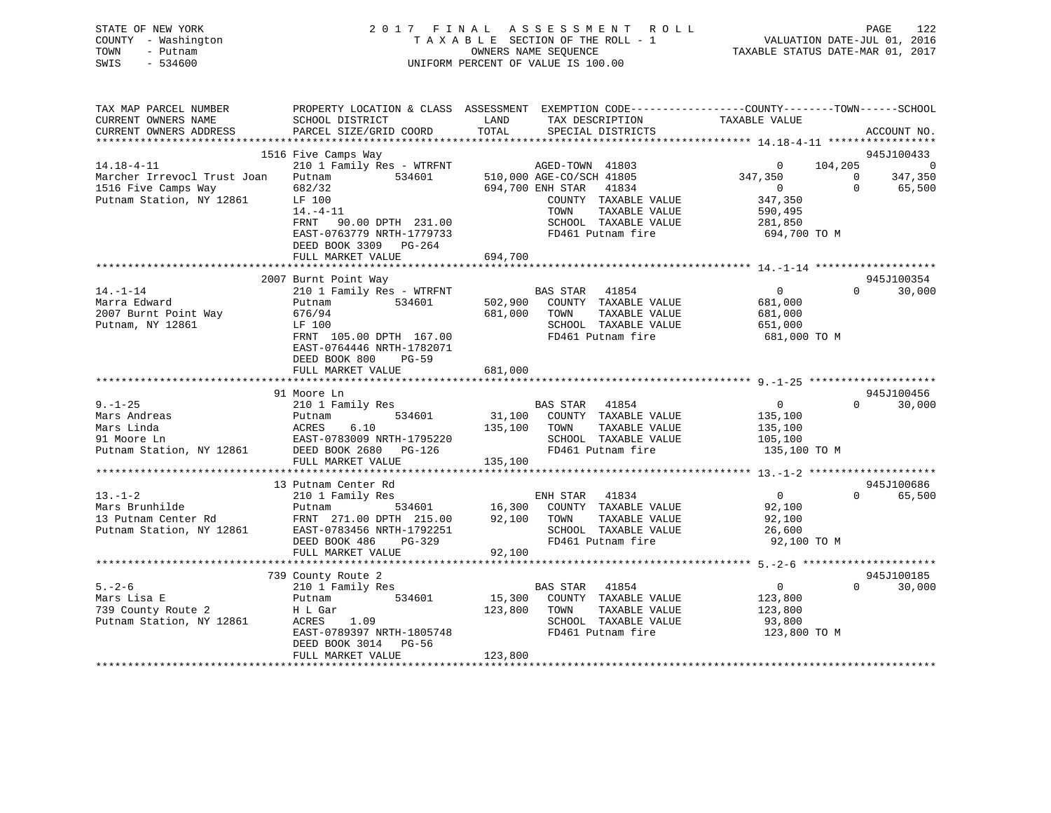# STATE OF NEW YORK 2 0 1 7 F I N A L A S S E S S M E N T R O L L PAGE 122 COUNTY - Washington T A X A B L E SECTION OF THE ROLL - 1 VALUATION DATE-JUL 01, 2016 TOWN - Putnam OWNERS NAME SEQUENCE TAXABLE STATUS DATE-MAR 01, 2017 SWIS - 534600 UNIFORM PERCENT OF VALUE IS 100.00

| PARCEL SIZE/GRID COORD<br>TOTAL<br>CURRENT OWNERS ADDRESS<br>SPECIAL DISTRICTS<br>ACCOUNT NO.<br>1516 Five Camps Way<br>945J100433<br>210 1 Family Res - WTRFNT AGED-TOWN 41803<br>$14.18 - 4 - 11$<br>104,205<br>$\overline{0}$<br>510,000 AGE-CO/SCH 41805<br>347,350<br>347,350<br>Marcher Irrevocl Trust Joan<br>Putnam<br>534601<br>$\bigcirc$<br>694,700 ENH STAR<br>$\Omega$<br>1516 Five Camps Way<br>682/32<br>41834<br>$\overline{0}$<br>65,500<br>Putnam Station, NY 12861<br>347,350<br>LF 100<br>COUNTY TAXABLE VALUE<br>TAXABLE VALUE<br>$14. -4 - 11$<br>TOWN<br>590,495<br>SCHOOL TAXABLE VALUE<br>FRNT 90.00 DPTH 231.00<br>281,850<br>FD461 Putnam fire<br>EAST-0763779 NRTH-1779733<br>694,700 TO M |
|------------------------------------------------------------------------------------------------------------------------------------------------------------------------------------------------------------------------------------------------------------------------------------------------------------------------------------------------------------------------------------------------------------------------------------------------------------------------------------------------------------------------------------------------------------------------------------------------------------------------------------------------------------------------------------------------------------------------|
|                                                                                                                                                                                                                                                                                                                                                                                                                                                                                                                                                                                                                                                                                                                        |
|                                                                                                                                                                                                                                                                                                                                                                                                                                                                                                                                                                                                                                                                                                                        |
|                                                                                                                                                                                                                                                                                                                                                                                                                                                                                                                                                                                                                                                                                                                        |
|                                                                                                                                                                                                                                                                                                                                                                                                                                                                                                                                                                                                                                                                                                                        |
|                                                                                                                                                                                                                                                                                                                                                                                                                                                                                                                                                                                                                                                                                                                        |
|                                                                                                                                                                                                                                                                                                                                                                                                                                                                                                                                                                                                                                                                                                                        |
|                                                                                                                                                                                                                                                                                                                                                                                                                                                                                                                                                                                                                                                                                                                        |
|                                                                                                                                                                                                                                                                                                                                                                                                                                                                                                                                                                                                                                                                                                                        |
|                                                                                                                                                                                                                                                                                                                                                                                                                                                                                                                                                                                                                                                                                                                        |
| DEED BOOK 3309 PG-264                                                                                                                                                                                                                                                                                                                                                                                                                                                                                                                                                                                                                                                                                                  |
| 694,700<br>FULL MARKET VALUE                                                                                                                                                                                                                                                                                                                                                                                                                                                                                                                                                                                                                                                                                           |
|                                                                                                                                                                                                                                                                                                                                                                                                                                                                                                                                                                                                                                                                                                                        |
| 2007 Burnt Point Way<br>945J100354<br>$14. - 1 - 14$<br>$\overline{0}$<br>$\Omega$<br>30,000                                                                                                                                                                                                                                                                                                                                                                                                                                                                                                                                                                                                                           |
| 210 1 Family Res - WTRFNT<br>BAS STAR 41854<br>Marra Edward<br>534601<br>COUNTY TAXABLE VALUE<br>681,000                                                                                                                                                                                                                                                                                                                                                                                                                                                                                                                                                                                                               |
| 502,900<br>Putnam<br>2007 Burnt Point Way<br>TAXABLE VALUE<br>676/94<br>681,000<br>TOWN<br>681,000                                                                                                                                                                                                                                                                                                                                                                                                                                                                                                                                                                                                                     |
| Putnam, NY 12861<br>LF 100<br>SCHOOL TAXABLE VALUE<br>651,000                                                                                                                                                                                                                                                                                                                                                                                                                                                                                                                                                                                                                                                          |
| FD461 Putnam fire<br>FRNT 105.00 DPTH 167.00<br>681,000 TO M                                                                                                                                                                                                                                                                                                                                                                                                                                                                                                                                                                                                                                                           |
| EAST-0764446 NRTH-1782071                                                                                                                                                                                                                                                                                                                                                                                                                                                                                                                                                                                                                                                                                              |
| DEED BOOK 800<br>$PG-59$                                                                                                                                                                                                                                                                                                                                                                                                                                                                                                                                                                                                                                                                                               |
| 681,000<br>FULL MARKET VALUE                                                                                                                                                                                                                                                                                                                                                                                                                                                                                                                                                                                                                                                                                           |
|                                                                                                                                                                                                                                                                                                                                                                                                                                                                                                                                                                                                                                                                                                                        |
| 945J100456<br>91 Moore Ln                                                                                                                                                                                                                                                                                                                                                                                                                                                                                                                                                                                                                                                                                              |
| $9. - 1 - 25$<br>$\overline{0}$<br>210 1 Family Res<br>$\Omega$<br>30,000<br>BAS STAR 41854                                                                                                                                                                                                                                                                                                                                                                                                                                                                                                                                                                                                                            |
| 31,100 COUNTY TAXABLE VALUE<br>Mars Andreas<br>534601<br>135,100<br>Putnam                                                                                                                                                                                                                                                                                                                                                                                                                                                                                                                                                                                                                                             |
| Mars Linda<br>6.10<br>135,100 TOWN<br>TAXABLE VALUE<br>ACRES<br>135,100                                                                                                                                                                                                                                                                                                                                                                                                                                                                                                                                                                                                                                                |
| SCHOOL TAXABLE VALUE<br>91 Moore Ln<br>105,100                                                                                                                                                                                                                                                                                                                                                                                                                                                                                                                                                                                                                                                                         |
| EAST-0783009 NRTH-1795220<br>DEED BOOK 2680 PG-126<br>FD461 Putnam fire<br>Putnam Station, NY 12861<br>135,100 TO M                                                                                                                                                                                                                                                                                                                                                                                                                                                                                                                                                                                                    |
| FULL MARKET VALUE<br>135,100                                                                                                                                                                                                                                                                                                                                                                                                                                                                                                                                                                                                                                                                                           |
|                                                                                                                                                                                                                                                                                                                                                                                                                                                                                                                                                                                                                                                                                                                        |
| 945J100686<br>13 Putnam Center Rd                                                                                                                                                                                                                                                                                                                                                                                                                                                                                                                                                                                                                                                                                      |
| $13. - 1 - 2$<br>$\overline{0}$<br>210 1 Family Res<br>ENH STAR 41834<br>$\Omega$<br>65,500                                                                                                                                                                                                                                                                                                                                                                                                                                                                                                                                                                                                                            |
| 534601 16,300 COUNTY TAXABLE VALUE<br>Mars Brunhilde<br>92,100<br>Putnam                                                                                                                                                                                                                                                                                                                                                                                                                                                                                                                                                                                                                                               |
| 13 Putnam Center Rd<br>FRNT 271.00 DPTH 215.00<br>92,100<br>TOWN<br>TAXABLE VALUE<br>92,100                                                                                                                                                                                                                                                                                                                                                                                                                                                                                                                                                                                                                            |
| EAST-0783456 NRTH-1792251<br>Putnam Station, NY 12861<br>SCHOOL TAXABLE VALUE<br>26,600                                                                                                                                                                                                                                                                                                                                                                                                                                                                                                                                                                                                                                |
| DEED BOOK 486<br>PG-329<br>FD461 Putnam fire<br>92,100 TO M                                                                                                                                                                                                                                                                                                                                                                                                                                                                                                                                                                                                                                                            |
| FULL MARKET VALUE<br>92,100                                                                                                                                                                                                                                                                                                                                                                                                                                                                                                                                                                                                                                                                                            |
|                                                                                                                                                                                                                                                                                                                                                                                                                                                                                                                                                                                                                                                                                                                        |
| 945J100185<br>739 County Route 2<br>$5. - 2 - 6$<br>210 1 Family Res<br>BAS STAR 41854<br>$\overline{\mathbf{0}}$<br>$\Omega$<br>30,000                                                                                                                                                                                                                                                                                                                                                                                                                                                                                                                                                                                |
| Mars Lisa E<br>534601<br>15,300<br>COUNTY TAXABLE VALUE<br>Putnam<br>123,800                                                                                                                                                                                                                                                                                                                                                                                                                                                                                                                                                                                                                                           |
| 739 County Route 2<br>123,800<br>TAXABLE VALUE<br>H L Gar<br>TOWN<br>123,800                                                                                                                                                                                                                                                                                                                                                                                                                                                                                                                                                                                                                                           |
| Putnam Station, NY 12861<br>SCHOOL TAXABLE VALUE<br>ACRES<br>1.09<br>93,800                                                                                                                                                                                                                                                                                                                                                                                                                                                                                                                                                                                                                                            |
| EAST-0789397 NRTH-1805748<br>FD461 Putnam fire<br>123,800 TO M                                                                                                                                                                                                                                                                                                                                                                                                                                                                                                                                                                                                                                                         |
| DEED BOOK 3014 PG-56                                                                                                                                                                                                                                                                                                                                                                                                                                                                                                                                                                                                                                                                                                   |
| 123,800<br>FULL MARKET VALUE                                                                                                                                                                                                                                                                                                                                                                                                                                                                                                                                                                                                                                                                                           |
|                                                                                                                                                                                                                                                                                                                                                                                                                                                                                                                                                                                                                                                                                                                        |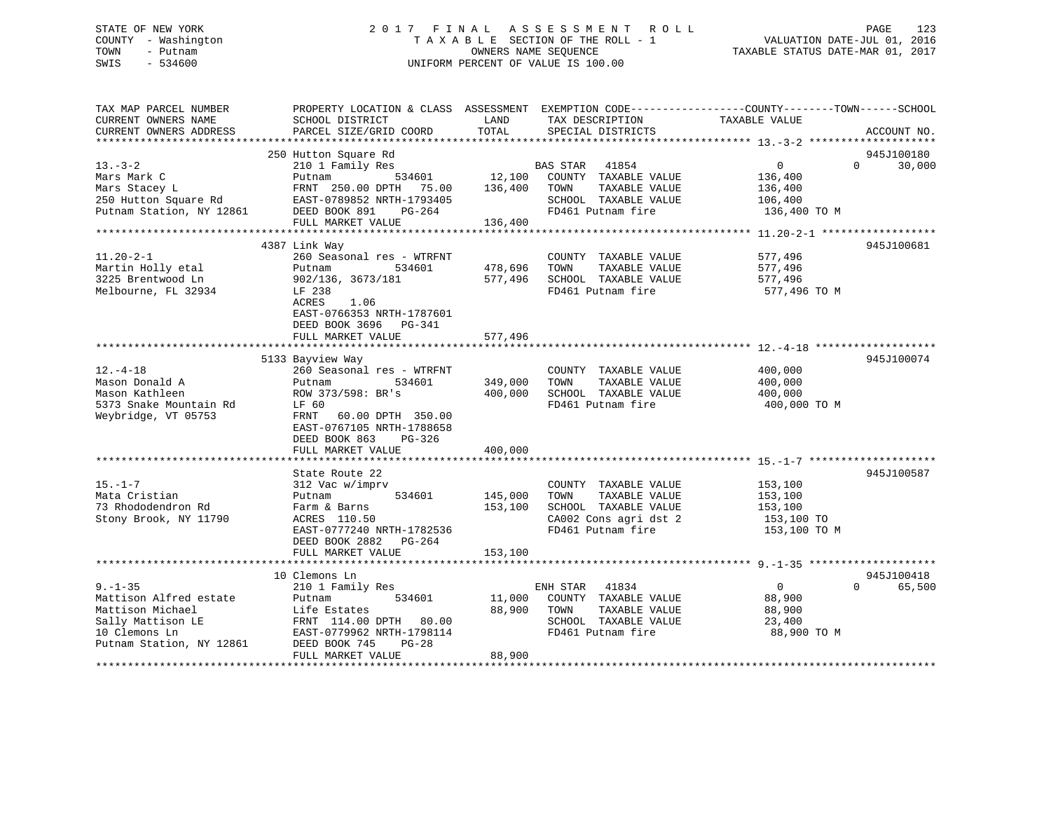# STATE OF NEW YORK 2017 FINAL ASSESSMENT ROLL PAGE 123 COUNTY - Washington  $T A X A B L E$  SECTION OF THE ROLL - 1<br>TOWN - Putnam data of the COUNTERS NAME SEQUENCE SWIS - 534600 UNIFORM PERCENT OF VALUE IS 100.00

TAXABLE STATUS DATE-MAR 01, 2017

| TAX MAP PARCEL NUMBER<br>CURRENT OWNERS NAME                                     | PROPERTY LOCATION & CLASS ASSESSMENT EXEMPTION CODE----------------COUNTY-------TOWN------SCHOOL<br>SCHOOL DISTRICT | LAND               | TAX DESCRIPTION                                                                            | TAXABLE VALUE                                 |                    |
|----------------------------------------------------------------------------------|---------------------------------------------------------------------------------------------------------------------|--------------------|--------------------------------------------------------------------------------------------|-----------------------------------------------|--------------------|
| CURRENT OWNERS ADDRESS                                                           | PARCEL SIZE/GRID COORD                                                                                              | TOTAL              | SPECIAL DISTRICTS                                                                          |                                               | ACCOUNT NO.        |
|                                                                                  | 250 Hutton Square Rd                                                                                                |                    |                                                                                            |                                               | 945J100180         |
| $13. - 3 - 2$<br>Mars Mark C                                                     | 210 1 Family Res<br>Putnam<br>534601                                                                                | 12,100             | 41854<br>BAS STAR<br>COUNTY TAXABLE VALUE                                                  | $\overline{0}$<br>136,400                     | $\Omega$<br>30,000 |
| Mars Stacey L<br>250 Hutton Square Rd                                            | FRNT 250.00 DPTH<br>75.00<br>EAST-0789852 NRTH-1793405                                                              | 136,400            | TOWN<br>TAXABLE VALUE<br>SCHOOL TAXABLE VALUE                                              | 136,400<br>106,400                            |                    |
| Putnam Station, NY 12861                                                         | DEED BOOK 891<br>PG-264<br>FULL MARKET VALUE                                                                        | 136,400            | FD461 Putnam fire                                                                          | 136,400 TO M                                  |                    |
|                                                                                  |                                                                                                                     |                    |                                                                                            |                                               |                    |
|                                                                                  | 4387 Link Way                                                                                                       |                    |                                                                                            |                                               | 945J100681         |
| $11.20 - 2 - 1$<br>Martin Holly etal<br>3225 Brentwood Ln<br>Melbourne, FL 32934 | 260 Seasonal res - WTRFNT<br>534601<br>Putnam<br>902/136, 3673/181<br>LF 238                                        | 478,696<br>577,496 | COUNTY TAXABLE VALUE<br>TOWN<br>TAXABLE VALUE<br>SCHOOL TAXABLE VALUE<br>FD461 Putnam fire | 577,496<br>577,496<br>577,496<br>577,496 TO M |                    |
|                                                                                  | ACRES<br>1.06<br>EAST-0766353 NRTH-1787601<br>DEED BOOK 3696<br>PG-341<br>FULL MARKET VALUE                         | 577,496            |                                                                                            |                                               |                    |
|                                                                                  |                                                                                                                     |                    |                                                                                            |                                               |                    |
| $12. -4 - 18$                                                                    | 5133 Bayview Way<br>260 Seasonal res - WTRFNT                                                                       |                    | COUNTY TAXABLE VALUE                                                                       | 400,000                                       | 945J100074         |
| Mason Donald A                                                                   | Putnam<br>534601                                                                                                    | 349,000            | TOWN<br>TAXABLE VALUE                                                                      | 400,000                                       |                    |
| Mason Kathleen                                                                   | ROW 373/598: BR's                                                                                                   | 400,000            | SCHOOL TAXABLE VALUE                                                                       | 400,000                                       |                    |
| 5373 Snake Mountain Rd                                                           | LF 60                                                                                                               |                    | FD461 Putnam fire                                                                          | 400,000 TO M                                  |                    |
| Weybridge, VT 05753                                                              | FRNT<br>60.00 DPTH 350.00<br>EAST-0767105 NRTH-1788658<br>DEED BOOK 863<br>$PG-326$                                 |                    |                                                                                            |                                               |                    |
|                                                                                  | FULL MARKET VALUE                                                                                                   | 400,000            |                                                                                            |                                               |                    |
|                                                                                  |                                                                                                                     |                    |                                                                                            |                                               |                    |
|                                                                                  | State Route 22                                                                                                      |                    |                                                                                            |                                               | 945J100587         |
| $15. - 1 - 7$                                                                    | 312 Vac w/imprv                                                                                                     |                    | COUNTY TAXABLE VALUE                                                                       | 153,100                                       |                    |
| Mata Cristian                                                                    | 534601<br>Putnam                                                                                                    | 145,000            | TOWN<br>TAXABLE VALUE                                                                      | 153,100                                       |                    |
| 73 Rhododendron Rd                                                               | Farm & Barns                                                                                                        | 153,100            | SCHOOL TAXABLE VALUE                                                                       | 153,100                                       |                    |
| Stony Brook, NY 11790                                                            | ACRES 110.50<br>EAST-0777240 NRTH-1782536                                                                           |                    | CA002 Cons agri dst 2<br>FD461 Putnam fire                                                 | 153,100 TO<br>153,100 TO M                    |                    |
|                                                                                  | DEED BOOK 2882<br>PG-264<br>FULL MARKET VALUE                                                                       | 153,100            |                                                                                            |                                               |                    |
|                                                                                  |                                                                                                                     |                    |                                                                                            |                                               |                    |
|                                                                                  | 10 Clemons Ln                                                                                                       |                    |                                                                                            |                                               | 945J100418         |
| $9. - 1 - 35$                                                                    | 210 1 Family Res                                                                                                    |                    | ENH STAR<br>41834                                                                          | $\overline{0}$                                | 65,500<br>$\Omega$ |
| Mattison Alfred estate                                                           | 534601<br>Putnam                                                                                                    | 11,000             | COUNTY TAXABLE VALUE                                                                       | 88,900                                        |                    |
| Mattison Michael                                                                 | Life Estates                                                                                                        | 88,900             | TAXABLE VALUE<br>TOWN                                                                      | 88,900                                        |                    |
| Sally Mattison LE                                                                | FRNT 114.00 DPTH 80.00                                                                                              |                    | SCHOOL TAXABLE VALUE                                                                       | 23,400                                        |                    |
| 10 Clemons Ln                                                                    | EAST-0779962 NRTH-1798114                                                                                           |                    | FD461 Putnam fire                                                                          | 88,900 TO M                                   |                    |
| Putnam Station, NY 12861                                                         | $PG-28$<br>DEED BOOK 745                                                                                            |                    |                                                                                            |                                               |                    |
| *******************                                                              | FULL MARKET VALUE                                                                                                   | 88,900             |                                                                                            |                                               |                    |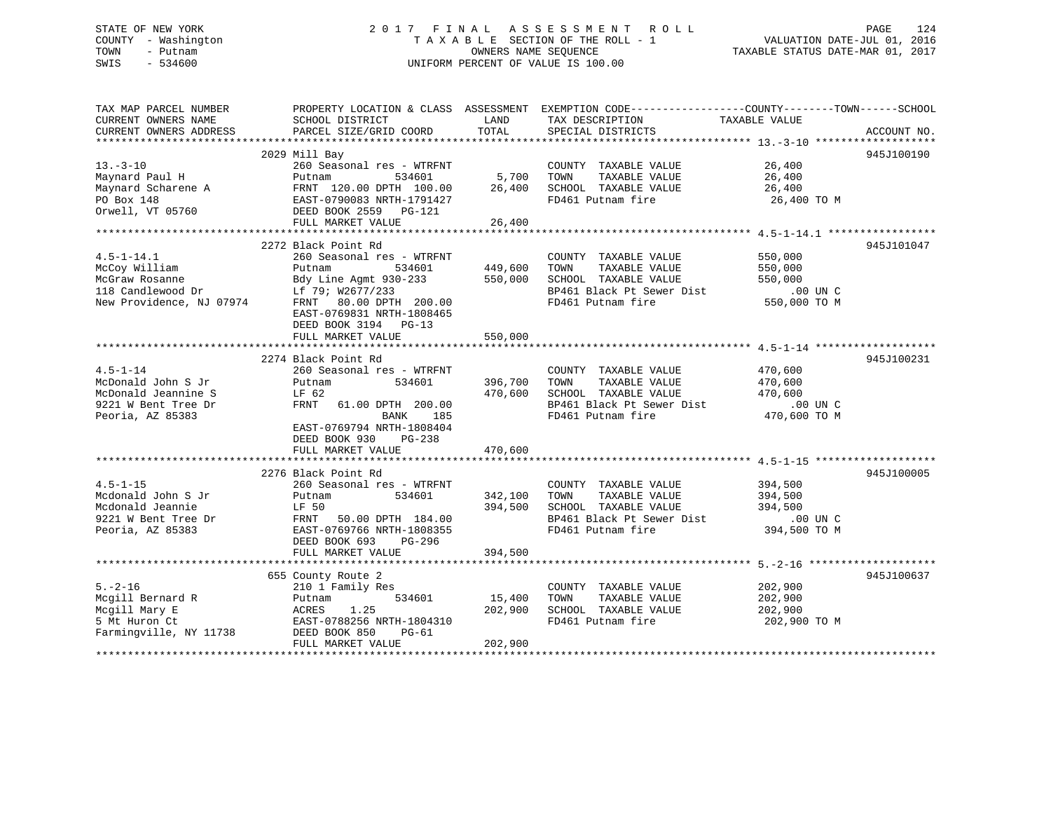# STATE OF NEW YORK 2 0 1 7 F I N A L A S S E S S M E N T R O L L PAGE 124 COUNTY - Washington T A X A B L E SECTION OF THE ROLL - 1 VALUATION DATE-JUL 01, 2016 TOWN - Putnam OWNERS NAME SEQUENCE TAXABLE STATUS DATE-MAR 01, 2017 SWIS - 534600 UNIFORM PERCENT OF VALUE IS 100.00

| TAX MAP PARCEL NUMBER<br>CURRENT OWNERS NAME<br>CURRENT OWNERS ADDRESS                                                                                                                                                                                                                                                                                                                                                                                                                                                                          | SCHOOL DISTRICT<br>PARCEL SIZE/GRID COORD                                                                                                                                                         | LAND<br>TOTAL                 | PROPERTY LOCATION & CLASS ASSESSMENT EXEMPTION CODE---------------COUNTY-------TOWN-----SCHOOL<br>TAX DESCRIPTION<br>SPECIAL DISTRICTS                        | TAXABLE VALUE                                                 | ACCOUNT NO. |
|-------------------------------------------------------------------------------------------------------------------------------------------------------------------------------------------------------------------------------------------------------------------------------------------------------------------------------------------------------------------------------------------------------------------------------------------------------------------------------------------------------------------------------------------------|---------------------------------------------------------------------------------------------------------------------------------------------------------------------------------------------------|-------------------------------|---------------------------------------------------------------------------------------------------------------------------------------------------------------|---------------------------------------------------------------|-------------|
| $13 - 3 - 10$<br>Maynard Paul H<br>Maynard Scharene A<br>PO Box 148<br>Orwell, VT 05760                                                                                                                                                                                                                                                                                                                                                                                                                                                         | 2029 Mill Bay<br>260 Seasonal res - WTRFNT<br>Putnam<br>534601<br>FRNT 120.00 DPTH 100.00<br>EAST-0790083 NRTH-1791427<br>DEED BOOK 2559 PG-121<br>FULL MARKET VALUE                              | 5,700<br>26,400<br>26,400     | COUNTY TAXABLE VALUE<br>TOWN<br>TAXABLE VALUE<br>SCHOOL TAXABLE VALUE<br>FD461 Putnam fire                                                                    | 26,400<br>26,400<br>26,400<br>26,400 TO M                     | 945J100190  |
| $4.5 - 1 - 14.1$<br>McCoy William<br>- Condition<br>Bdy Line Agmt 93<br>Mew Providence, NJ 07974<br>FRNT 80 00 -                                                                                                                                                                                                                                                                                                                                                                                                                                | 2272 Black Point Rd<br>260 Seasonal res - WTRFNT<br>Putnam<br>534601<br>Bdy Line Agmt 930-233<br>FRNT 80.00 DPTH 200.00<br>EAST-0769831 NRTH-1808465<br>DEED BOOK 3194 PG-13<br>FULL MARKET VALUE | 449,600<br>550,000<br>550,000 | COUNTY TAXABLE VALUE<br>TAXABLE VALUE<br>TOWN<br>SCHOOL TAXABLE VALUE<br>BP461 Black Pt Sewer Dist<br>FD461 Putnam fire                                       | 550,000<br>550,000<br>550,000<br>$.00$ UN C<br>550,000 TO M   | 945J101047  |
| $4.5 - 1 - 14$<br>McDonald John S Jr<br>McDonald Jeannine S<br>9221 W Bent Tree Dr<br>Peoria, AZ 85383                                                                                                                                                                                                                                                                                                                                                                                                                                          | 2274 Black Point Rd<br>260 Seasonal res - WTRFNT<br>534601<br>Putnam<br>LF 62<br>FRNT 61.00 DPTH 200.00<br>BANK<br>185<br>EAST-0769794 NRTH-1808404<br>DEED BOOK 930 PG-238<br>FULL MARKET VALUE  | 470,600                       | COUNTY TAXABLE VALUE<br>396,700 TOWN<br>TAXABLE VALUE<br>470,600 SCHOOL TAXABLE VALUE<br>BP461 Black Pt Sewer Dist .00 UN C<br>FD461 Putnam fire 470,600 TO M | 470,600<br>470,600<br>470,600                                 | 945J100231  |
| $4.5 - 1 - 15$<br>Mcdonald John S Jr<br>Mcdonald Jeannie<br>9221 W Bent Tree Dr<br>Peoria, AZ 85383                                                                                                                                                                                                                                                                                                                                                                                                                                             | 2276 Black Point Rd<br>260 Seasonal res - WTRFNT<br>534601<br>Putnam<br>LF 50<br>FRNT 50.00 DPTH 184.00<br>EAST-0769766 NRTH-1808355<br>DEED BOOK 693 PG-296<br>FULL MARKET VALUE                 | 342,100<br>394,500<br>394,500 | COUNTY TAXABLE VALUE<br>TOWN<br>TAXABLE VALUE<br>SCHOOL TAXABLE VALUE<br>BP461 Black Pt Sewer Dist<br>FD461 Putnam fire                                       | 394,500<br>394,500<br>394,500<br>$.00$ UN $C$<br>394,500 TO M | 945J100005  |
| $5. - 2 - 16$<br>Mcgill Bernard R<br>Mcgill Mary E<br>$\begin{array}{c}\n\mathbf{1} & \mathbf{1} \\ \mathbf{1} & \mathbf{1} \\ \mathbf{1} & \mathbf{1} \\ \mathbf{1} & \mathbf{1} \\ \mathbf{1} & \mathbf{1} \\ \mathbf{1} & \mathbf{1} \\ \mathbf{1} & \mathbf{1} \\ \mathbf{1} & \mathbf{1} \\ \mathbf{1} & \mathbf{1} \\ \mathbf{1} & \mathbf{1} \\ \mathbf{1} & \mathbf{1} \\ \mathbf{1} & \mathbf{1} \\ \mathbf{1} & \mathbf{1} \\ \mathbf{1} & \mathbf{1} \\ \mathbf{1} & \mathbf{1} \\ \math$<br>5 Mt Huron Ct<br>Farmingville, NY 11738 | 655 County Route 2<br>210 1 Family Res<br>534601<br>Putnam<br>1.25<br>ACRES<br>EAST-0788256 NRTH-1804310<br>DEED BOOK 850<br>$PG-61$<br>FULL MARKET VALUE                                         | 15,400<br>202,900<br>202,900  | COUNTY TAXABLE VALUE<br>TOWN<br>TAXABLE VALUE<br>SCHOOL TAXABLE VALUE<br>FD461 Putnam fire                                                                    | 202,900<br>202,900<br>202,900<br>202,900 TO M                 | 945J100637  |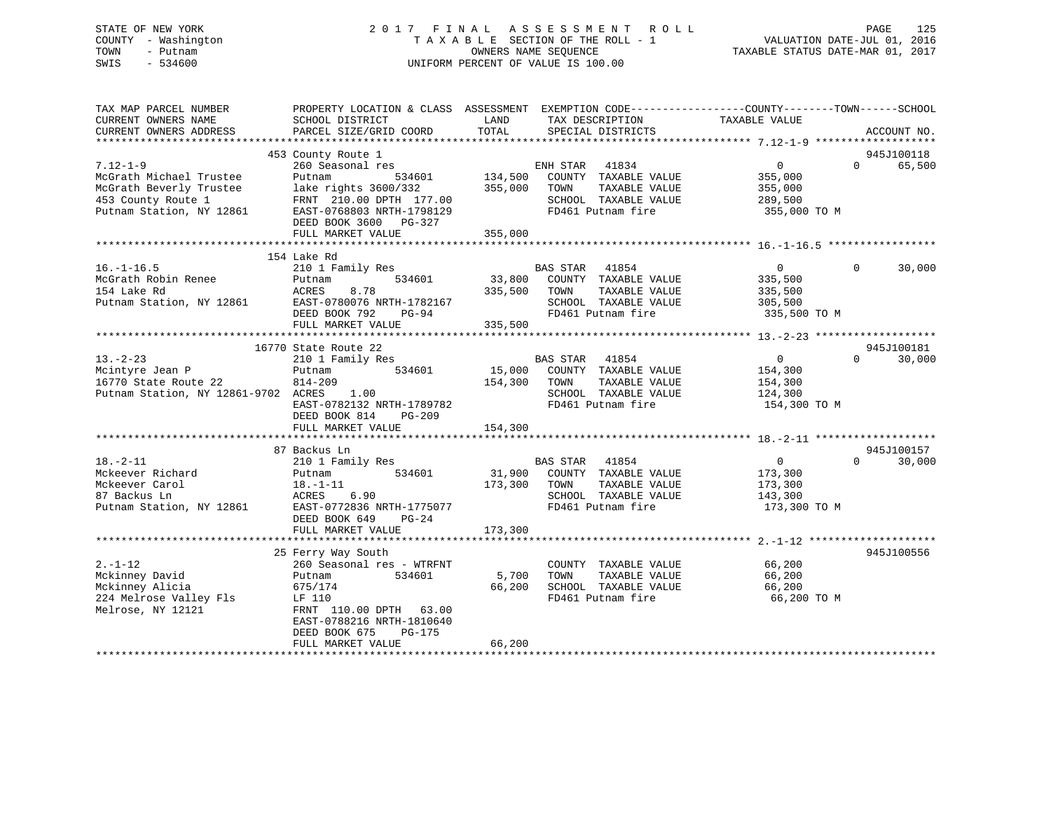# STATE OF NEW YORK 2 0 1 7 F I N A L A S S E S S M E N T R O L L PAGE 125 COUNTY - Washington T A X A B L E SECTION OF THE ROLL - 1 VALUATION DATE-JUL 01, 2016 TOWN - Putnam OWNERS NAME SEQUENCE TAXABLE STATUS DATE-MAR 01, 2017 SWIS - 534600 UNIFORM PERCENT OF VALUE IS 100.00

| TAX MAP PARCEL NUMBER<br>CURRENT OWNERS NAME<br>CURRENT OWNERS ADDRESS                                                 | PROPERTY LOCATION & CLASS ASSESSMENT<br>SCHOOL DISTRICT<br>PARCEL SIZE/GRID COORD                                                                                                                                    | LAND<br>TOTAL                        | TAX DESCRIPTION<br>SPECIAL DISTRICTS                                                                                | EXEMPTION CODE-----------------COUNTY-------TOWN------SCHOOL<br>TAXABLE VALUE | ACCOUNT NO.                      |
|------------------------------------------------------------------------------------------------------------------------|----------------------------------------------------------------------------------------------------------------------------------------------------------------------------------------------------------------------|--------------------------------------|---------------------------------------------------------------------------------------------------------------------|-------------------------------------------------------------------------------|----------------------------------|
| $7.12 - 1 - 9$<br>McGrath Michael Trustee<br>McGrath Beverly Trustee<br>453 County Route 1<br>Putnam Station, NY 12861 | 453 County Route 1<br>260 Seasonal res<br>Putnam<br>534601<br>lake rights 3600/332<br>FRNT 210.00 DPTH 177.00<br>EAST-0768803 NRTH-1798129<br>DEED BOOK 3600 PG-327<br>FULL MARKET VALUE                             | 134,500<br>355,000 TOWN<br>355,000   | ENH STAR 41834<br>COUNTY TAXABLE VALUE<br>TAXABLE VALUE<br>SCHOOL TAXABLE VALUE<br>FD461 Putnam fire                | $0 \qquad \qquad$<br>355,000<br>355,000<br>289,500<br>355,000 TO M            | 945J100118<br>$\Omega$<br>65,500 |
| $16. - 1 - 16.5$<br>McGrath Robin Renee<br>154 Lake Rd<br>Putnam Station, NY 12861                                     | 154 Lake Rd<br>210 1 Family Res<br>534601<br>Putnam<br>ACRES<br>8.78<br>EAST-0780076 NRTH-1782167<br>DEED BOOK 792 PG-94<br>FULL MARKET VALUE                                                                        | 335,500<br>335,500                   | BAS STAR 41854<br>33,800 COUNTY TAXABLE VALUE<br>TAXABLE VALUE<br>TOWN<br>SCHOOL TAXABLE VALUE<br>FD461 Putnam fire | $\overline{0}$<br>335,500<br>335,500<br>305,500<br>335,500 TO M               | 30,000<br>$\Omega$               |
| $13. -2 - 23$<br>Mcintyre Jean P<br>16770 State Route 22<br>Putnam Station, NY 12861-9702 ACRES                        | 16770 State Route 22<br>210 1 Family Res<br>534601<br>Putnam<br>$814 - 209$<br>1.00<br>EAST-0782132 NRTH-1789782<br>DEED BOOK 814<br>PG-209<br>FULL MARKET VALUE                                                     | 154,300 TOWN<br>154,300              | BAS STAR 41854<br>15,000 COUNTY TAXABLE VALUE<br>TAXABLE VALUE<br>SCHOOL TAXABLE VALUE<br>FD461 Putnam fire         | $\Omega$<br>154,300<br>154,300<br>124,300<br>154,300 TO M                     | 945J100181<br>30,000<br>$\Omega$ |
| $18. - 2 - 11$<br>Mckeever Richard<br>Mckeever Carol<br>87 Backus Ln<br>Putnam Station, NY 12861                       | 87 Backus Ln<br>210 1 Family Res<br>534601<br>Putnam<br>$18. - 1 - 11$<br>ACRES<br>6.90<br>EAST-0772836 NRTH-1775077<br>DEED BOOK 649<br>$PG-24$                                                                     | 173,300                              | BAS STAR 41854<br>31,900 COUNTY TAXABLE VALUE<br>TAXABLE VALUE<br>TOWN<br>SCHOOL TAXABLE VALUE<br>FD461 Putnam fire | $\overline{0}$<br>173,300<br>173,300<br>143,300<br>173,300 TO M               | 945J100157<br>30,000<br>$\Omega$ |
| $2. - 1 - 12$<br>Mckinney David<br>Mckinney Alicia<br>224 Melrose Valley Fls<br>Melrose, NY 12121                      | FULL MARKET VALUE<br>25 Ferry Way South<br>260 Seasonal res - WTRFNT<br>Putnam<br>534601<br>675/174<br>LF 110<br>FRNT 110.00 DPTH 63.00<br>EAST-0788216 NRTH-1810640<br>DEED BOOK 675<br>PG-175<br>FULL MARKET VALUE | 173,300<br>5,700<br>66,200<br>66,200 | COUNTY TAXABLE VALUE<br>TOWN<br>TAXABLE VALUE<br>SCHOOL TAXABLE VALUE<br>FD461 Putnam fire                          | 66,200<br>66,200<br>66,200<br>66,200 TO M                                     | 945J100556                       |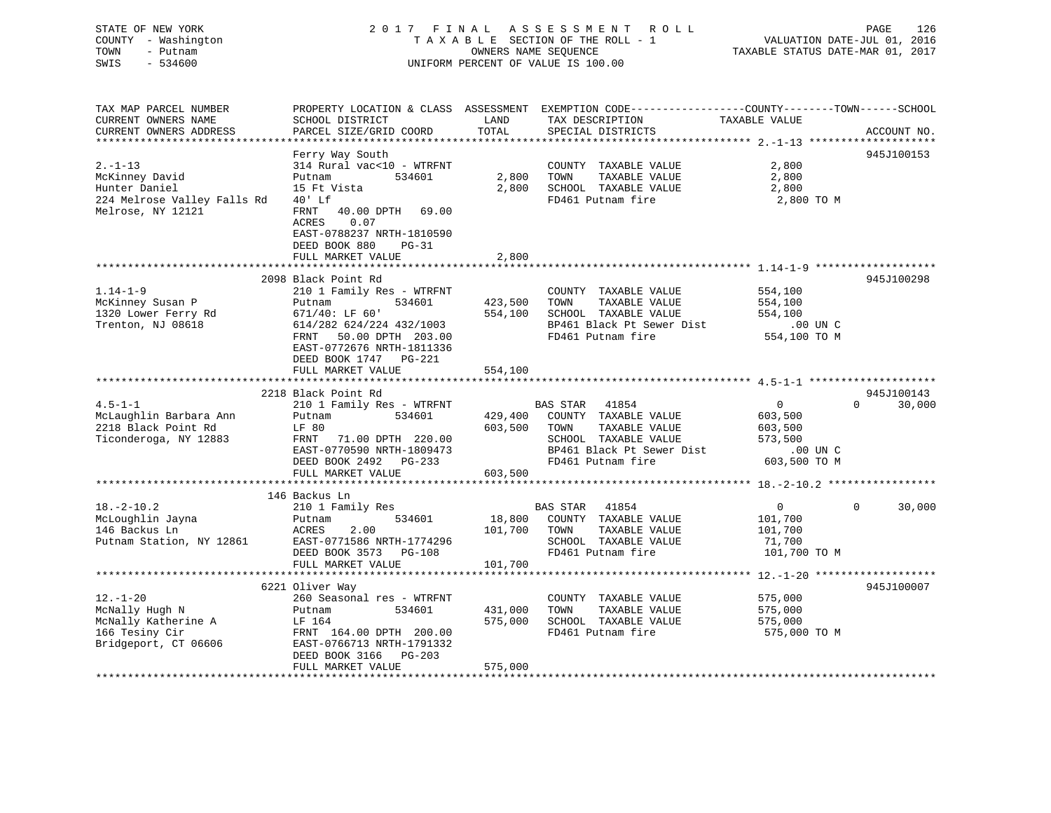| STATE OF NEW YORK<br>COUNTY - Washington<br>- Putnam<br>TOWN<br>SWIS<br>$-534600$ |                                                                                                                    |                    | 2017 FINAL ASSESSMENT ROLL<br>TAXABLE SECTION OF THE ROLL - 1<br>OWNERS NAME SEQUENCE<br>UNIFORM PERCENT OF VALUE IS 100.00             | VALUATION DATE-JUL 01, 2016<br>TAXABLE STATUS DATE-MAR 01, 2017 | PAGE<br>126            |
|-----------------------------------------------------------------------------------|--------------------------------------------------------------------------------------------------------------------|--------------------|-----------------------------------------------------------------------------------------------------------------------------------------|-----------------------------------------------------------------|------------------------|
| TAX MAP PARCEL NUMBER<br>CURRENT OWNERS NAME<br>CURRENT OWNERS ADDRESS            | SCHOOL DISTRICT<br>PARCEL SIZE/GRID COORD                                                                          | LAND<br>TOTAL      | PROPERTY LOCATION & CLASS ASSESSMENT EXEMPTION CODE---------------COUNTY-------TOWN------SCHOOL<br>TAX DESCRIPTION<br>SPECIAL DISTRICTS | TAXABLE VALUE                                                   | ACCOUNT NO.            |
|                                                                                   |                                                                                                                    |                    |                                                                                                                                         |                                                                 | 945J100153             |
| $2. -1 - 13$                                                                      | Ferry Way South<br>314 Rural vac<10 - WTRFNT                                                                       |                    | COUNTY TAXABLE VALUE                                                                                                                    | 2,800                                                           |                        |
| McKinney David                                                                    | Putnam<br>534601                                                                                                   | 2,800              | TOWN<br>TAXABLE VALUE                                                                                                                   | 2,800                                                           |                        |
| Hunter Daniel                                                                     | 15 Ft Vista                                                                                                        | 2,800              | SCHOOL TAXABLE VALUE                                                                                                                    | 2,800                                                           |                        |
| 224 Melrose Valley Falls Rd                                                       | 40' Lf                                                                                                             |                    | FD461 Putnam fire                                                                                                                       | 2,800 TO M                                                      |                        |
| Melrose, NY 12121                                                                 | FRNT 40.00 DPTH 69.00<br>ACRES<br>0.07<br>EAST-0788237 NRTH-1810590<br>DEED BOOK 880<br>PG-31<br>FULL MARKET VALUE | 2,800              |                                                                                                                                         |                                                                 |                        |
|                                                                                   |                                                                                                                    |                    |                                                                                                                                         |                                                                 |                        |
|                                                                                   | 2098 Black Point Rd                                                                                                |                    |                                                                                                                                         |                                                                 | 945J100298             |
| $1.14 - 1 - 9$                                                                    | 210 1 Family Res - WTRFNT                                                                                          |                    | COUNTY TAXABLE VALUE                                                                                                                    | 554,100                                                         |                        |
| McKinney Susan P                                                                  | 534601<br>Putnam                                                                                                   | 423,500            | TAXABLE VALUE<br>TOWN                                                                                                                   | 554,100                                                         |                        |
| 1320 Lower Ferry Rd                                                               | $671/40:$ LF $60'$                                                                                                 | 554,100            | SCHOOL TAXABLE VALUE                                                                                                                    | 554,100                                                         |                        |
| Trenton, NJ 08618                                                                 | 614/282 624/224 432/1003                                                                                           |                    | BP461 Black Pt Sewer Dist                                                                                                               | .00 UN C                                                        |                        |
|                                                                                   | FRNT 50.00 DPTH 203.00<br>EAST-0772676 NRTH-1811336<br>DEED BOOK 1747 PG-221                                       |                    | FD461 Putnam fire                                                                                                                       | 554,100 TO M                                                    |                        |
|                                                                                   | FULL MARKET VALUE                                                                                                  | 554,100            |                                                                                                                                         |                                                                 |                        |
|                                                                                   |                                                                                                                    |                    |                                                                                                                                         |                                                                 |                        |
|                                                                                   | 2218 Black Point Rd                                                                                                |                    |                                                                                                                                         |                                                                 | 945J100143<br>$\Omega$ |
| $4.5 - 1 - 1$                                                                     | 210 1 Family Res - WTRFNT<br>534601                                                                                |                    | 41854<br>BAS STAR                                                                                                                       | $\overline{0}$                                                  | 30,000                 |
| McLaughlin Barbara Ann<br>2218 Black Point Rd                                     | Putnam<br>LF 80                                                                                                    | 429,400<br>603,500 | COUNTY TAXABLE VALUE<br>TOWN                                                                                                            | 603,500                                                         |                        |
|                                                                                   |                                                                                                                    |                    | TAXABLE VALUE<br>SCHOOL TAXABLE VALUE                                                                                                   | 603,500<br>573,500                                              |                        |
| Ticonderoga, NY 12883                                                             | FRNT 71.00 DPTH 220.00<br>EAST-0770590 NRTH-1809473                                                                |                    | BP461 Black Pt Sewer Dist                                                                                                               | .00 UN C                                                        |                        |
|                                                                                   | DEED BOOK 2492 PG-233                                                                                              |                    | FD461 Putnam fire                                                                                                                       | 603,500 TO M                                                    |                        |
|                                                                                   | FULL MARKET VALUE                                                                                                  | 603,500            |                                                                                                                                         |                                                                 |                        |
|                                                                                   |                                                                                                                    |                    |                                                                                                                                         |                                                                 |                        |
|                                                                                   | 146 Backus Ln                                                                                                      |                    |                                                                                                                                         |                                                                 |                        |
| $18. - 2 - 10.2$                                                                  | 210 1 Family Res                                                                                                   |                    | BAS STAR 41854                                                                                                                          | $\Omega$                                                        | $\Omega$<br>30,000     |
| McLoughlin Jayna                                                                  | 534601<br>Putnam                                                                                                   | 18,800             | COUNTY TAXABLE VALUE                                                                                                                    | 101,700                                                         |                        |
| 146 Backus Ln                                                                     | ACRES<br>2.00                                                                                                      | 101,700            | TOWN<br>TAXABLE VALUE                                                                                                                   | 101,700                                                         |                        |
| Putnam Station, NY 12861                                                          | EAST-0771586 NRTH-1774296                                                                                          |                    | SCHOOL TAXABLE VALUE                                                                                                                    | 71,700                                                          |                        |
|                                                                                   | DEED BOOK 3573 PG-108                                                                                              |                    | FD461 Putnam fire                                                                                                                       | 101,700 TO M                                                    |                        |
|                                                                                   | FULL MARKET VALUE                                                                                                  | 101,700            |                                                                                                                                         |                                                                 |                        |
|                                                                                   |                                                                                                                    |                    |                                                                                                                                         |                                                                 |                        |
|                                                                                   | 6221 Oliver Way                                                                                                    |                    |                                                                                                                                         |                                                                 | 945J100007             |
| $12. - 1 - 20$                                                                    | 260 Seasonal res - WTRFNT                                                                                          |                    | COUNTY TAXABLE VALUE                                                                                                                    | 575,000                                                         |                        |
| McNally Hugh N                                                                    | 534601<br>Putnam                                                                                                   | 431,000            | TOWN<br>TAXABLE VALUE                                                                                                                   | 575,000                                                         |                        |
| McNally Katherine A                                                               | LF 164                                                                                                             | 575,000            | SCHOOL TAXABLE VALUE                                                                                                                    | 575,000                                                         |                        |
| 166 Tesiny Cir                                                                    | FRNT 164.00 DPTH 200.00                                                                                            |                    | FD461 Putnam fire                                                                                                                       | 575,000 TO M                                                    |                        |
| Bridgeport, CT 06606                                                              | EAST-0766713 NRTH-1791332                                                                                          |                    |                                                                                                                                         |                                                                 |                        |
|                                                                                   | DEED BOOK 3166<br>$PG-203$<br>FULL MARKET VALUE                                                                    | 575,000            |                                                                                                                                         |                                                                 |                        |
|                                                                                   |                                                                                                                    |                    |                                                                                                                                         |                                                                 |                        |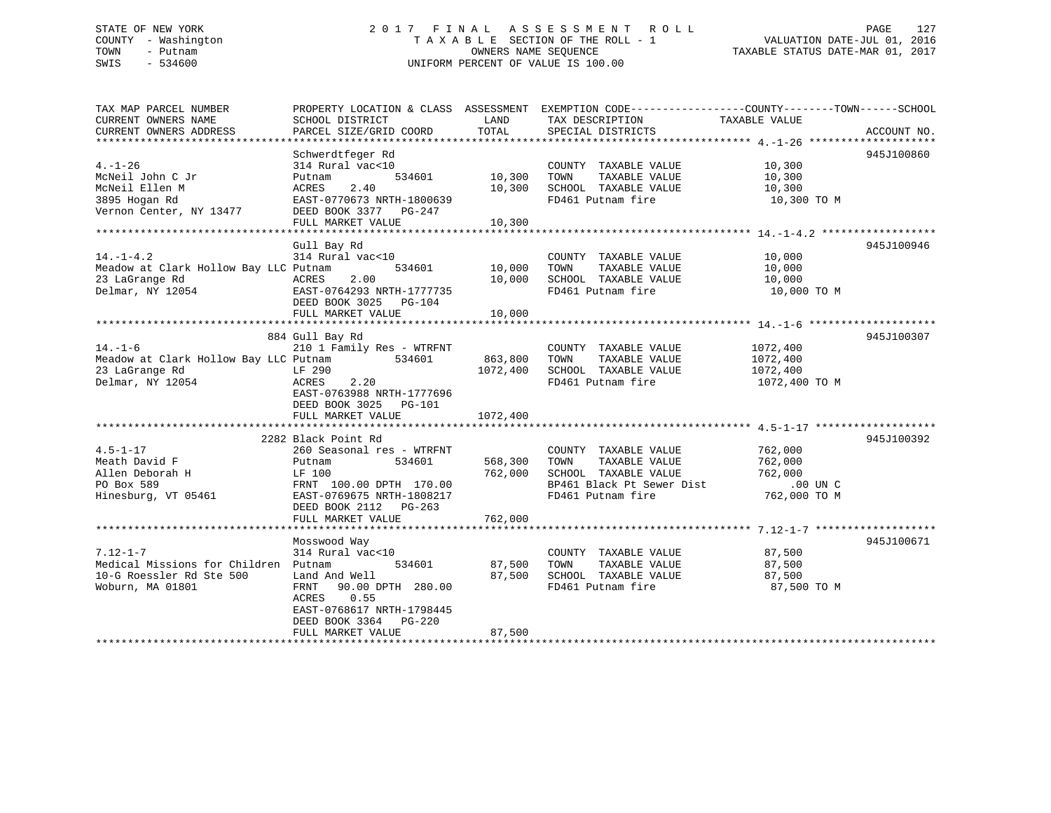# STATE OF NEW YORK 2 0 1 7 F I N A L A S S E S S M E N T R O L L PAGE 127 COUNTY - Washington T A X A B L E SECTION OF THE ROLL - 1 VALUATION DATE-JUL 01, 2016 TOWN - Putnam OWNERS NAME SEQUENCE TAXABLE STATUS DATE-MAR 01, 2017 SWIS - 534600 UNIFORM PERCENT OF VALUE IS 100.00

| TAX MAP PARCEL NUMBER<br>CURRENT OWNERS NAME<br>CURRENT OWNERS ADDRESS                                 | SCHOOL DISTRICT<br>PARCEL SIZE/GRID COORD                                                                                                                                            | LAND<br>TOTAL                   | PROPERTY LOCATION & CLASS ASSESSMENT EXEMPTION CODE---------------COUNTY-------TOWN-----SCHOOL<br>TAX DESCRIPTION<br>SPECIAL DISTRICTS | TAXABLE VALUE                                                 | ACCOUNT NO. |
|--------------------------------------------------------------------------------------------------------|--------------------------------------------------------------------------------------------------------------------------------------------------------------------------------------|---------------------------------|----------------------------------------------------------------------------------------------------------------------------------------|---------------------------------------------------------------|-------------|
| $4. - 1 - 26$<br>McNeil John C Jr<br>McNeil Ellen M<br>3895 Hogan Rd<br>Vernon Center, NY 13477        | Schwerdtfeger Rd<br>314 Rural vac<10<br>534601<br>Putnam<br>ACRES<br>2.40<br>EAST-0770673 NRTH-1800639<br>DEED BOOK 3377 PG-247<br>FULL MARKET VALUE                                 | 10,300<br>10,300<br>10,300      | COUNTY TAXABLE VALUE<br>TOWN<br>TAXABLE VALUE<br>SCHOOL TAXABLE VALUE<br>FD461 Putnam fire                                             | 10,300<br>10,300<br>10,300<br>10,300 TO M                     | 945J100860  |
| $14. - 1 - 4.2$<br>Meadow at Clark Hollow Bay LLC Putnam<br>23 LaGrange Rd<br>Delmar, NY 12054         | Gull Bay Rd<br>314 Rural vac<10<br>534601<br>2.00<br>ACRES<br>EAST-0764293 NRTH-1777735<br>DEED BOOK 3025 PG-104<br>FULL MARKET VALUE                                                | 10,000<br>10,000<br>10,000      | COUNTY TAXABLE VALUE<br>TAXABLE VALUE<br>TOWN<br>SCHOOL TAXABLE VALUE<br>FD461 Putnam fire                                             | 10,000<br>10,000<br>10,000<br>10,000 TO M                     | 945J100946  |
| $14. - 1 - 6$<br>Meadow at Clark Hollow Bay LLC Putnam<br>23 LaGrange Rd<br>Delmar, NY 12054           | 884 Gull Bay Rd<br>210 1 Family Res - WTRFNT<br>534601<br>LF 290<br>ACRES<br>2.20<br>EAST-0763988 NRTH-1777696<br>DEED BOOK 3025 PG-101<br>FULL MARKET VALUE                         | 863,800<br>1072,400<br>1072,400 | COUNTY TAXABLE VALUE<br>TOWN<br>TAXABLE VALUE<br>SCHOOL TAXABLE VALUE<br>FD461 Putnam fire                                             | 1072,400<br>1072,400<br>1072,400<br>1072,400 TO M             | 945J100307  |
| $4.5 - 1 - 17$<br>Meath David F<br>Allen Deborah H<br>PO Box 589<br>Hinesburg, VT 05461                | 2282 Black Point Rd<br>260 Seasonal res - WTRFNT<br>534601<br>Putnam<br>LF 100<br>FRNT 100.00 DPTH 170.00<br>EAST-0769675 NRTH-1808217<br>DEED BOOK 2112 PG-263<br>FULL MARKET VALUE | 568,300<br>762,000<br>762,000   | COUNTY TAXABLE VALUE<br>TAXABLE VALUE<br>TOWN<br>SCHOOL TAXABLE VALUE<br>BP461 Black Pt Sewer Dist<br>FD461 Putnam fire                | 762,000<br>762,000<br>762,000<br>$.00$ UN $C$<br>762,000 TO M | 945J100392  |
| $7.12 - 1 - 7$<br>Medical Missions for Children Putnam<br>10-G Roessler Rd Ste 500<br>Woburn, MA 01801 | Mosswood Way<br>314 Rural vac<10<br>534601<br>Land And Well<br>FRNT 90.00 DPTH 280.00<br>0.55<br>ACRES<br>EAST-0768617 NRTH-1798445<br>DEED BOOK 3364 PG-220<br>FULL MARKET VALUE    | 87,500<br>87,500<br>87,500      | COUNTY TAXABLE VALUE<br>TOWN<br>TAXABLE VALUE<br>SCHOOL TAXABLE VALUE<br>FD461 Putnam fire                                             | 87,500<br>87,500<br>87,500<br>87,500 TO M                     | 945J100671  |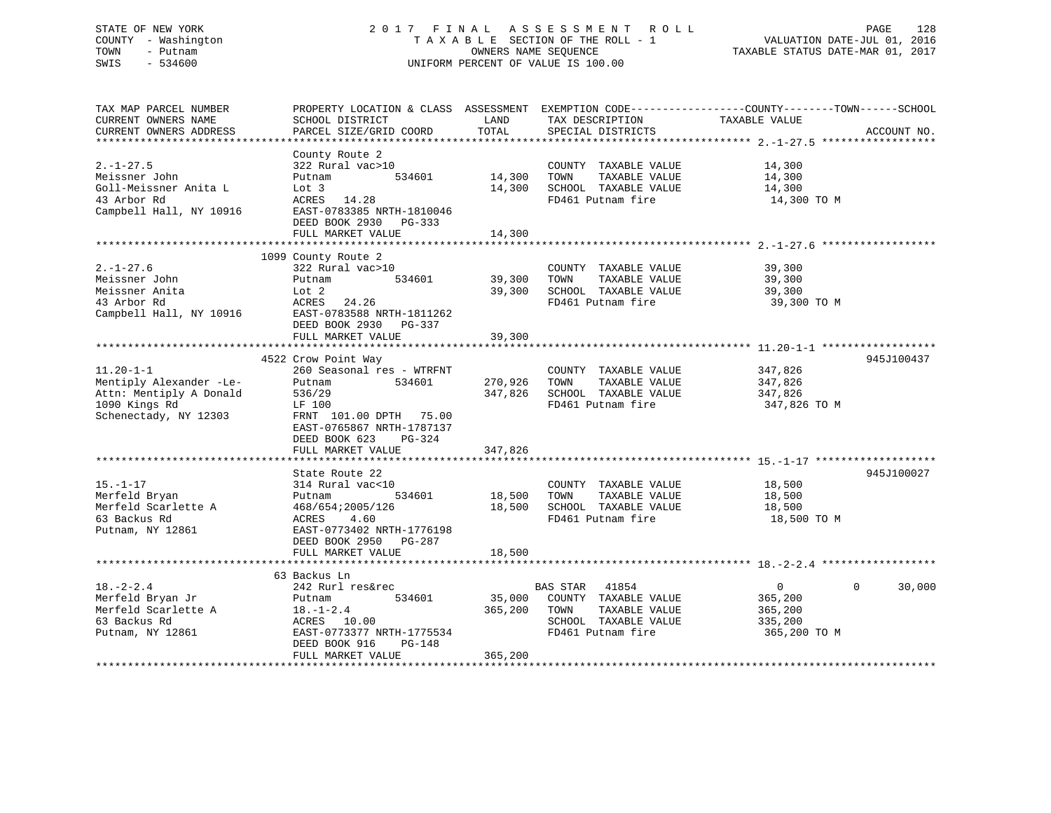# STATE OF NEW YORK 2 0 1 7 F I N A L A S S E S S M E N T R O L L PAGE 128 COUNTY - Washington T A X A B L E SECTION OF THE ROLL - 1 VALUATION DATE-JUL 01, 2016 TOWN - Putnam OWNERS NAME SEQUENCE TAXABLE STATUS DATE-MAR 01, 2017 SWIS - 534600 UNIFORM PERCENT OF VALUE IS 100.00

| TAX MAP PARCEL NUMBER<br>CURRENT OWNERS NAME<br>CURRENT OWNERS ADDRESS                                                                   | SCHOOL DISTRICT<br>PARCEL SIZE/GRID COORD                                                                                                                                  | LAND<br>TOTAL      | TAX DESCRIPTION TAXABLE VALUE<br>SPECIAL DISTRICTS<br>SPECIAL DISTRICTS                                                | PROPERTY LOCATION & CLASS ASSESSMENT EXEMPTION CODE----------------COUNTY-------TOWN-----SCHOOL | ACCOUNT NO. |
|------------------------------------------------------------------------------------------------------------------------------------------|----------------------------------------------------------------------------------------------------------------------------------------------------------------------------|--------------------|------------------------------------------------------------------------------------------------------------------------|-------------------------------------------------------------------------------------------------|-------------|
| $2. - 1 - 27.5$<br>Meissner John<br>Goll-Meissner Anita L<br>43 Arbor Rd<br>Campbell Hall, NY 10916                                      | County Route 2<br>322 Rural vac>10<br>534601 14,300<br>Putnam<br>Lot 3<br>ACRES 14.28<br>EAST-0783385 NRTH-1810046<br>DEED BOOK 2930 PG-333                                | 14,300             | COUNTY TAXABLE VALUE<br>TOWN<br>TAXABLE VALUE<br>SCHOOL TAXABLE VALUE<br>FD461 Putnam fire                             | 14,300<br>14,300<br>14,300<br>14,300 TO M                                                       |             |
|                                                                                                                                          | FULL MARKET VALUE                                                                                                                                                          | 14,300             |                                                                                                                        |                                                                                                 |             |
|                                                                                                                                          |                                                                                                                                                                            |                    |                                                                                                                        |                                                                                                 |             |
| $2. - 1 - 27.6$<br>Meissner John<br>Lot 2<br>ACRES<br>Meissner Anita<br>43 Arbor Rd<br>Campbell Hall, NY 10916 EAST-0783588 NRTH-1811262 | 1099 County Route 2<br>322 Rural vac>10<br>534601<br>Putnam<br>ACRES 24.26<br>DEED BOOK 2930 PG-337                                                                        | 39,300<br>39,300   | COUNTY TAXABLE VALUE<br>TOWN<br>TAXABLE VALUE<br>SCHOOL TAXABLE VALUE<br>FD461 Putnam fire                             | 39,300<br>39,300<br>39,300<br>39,300 TO M                                                       |             |
|                                                                                                                                          | FULL MARKET VALUE                                                                                                                                                          | 39,300             |                                                                                                                        |                                                                                                 |             |
|                                                                                                                                          |                                                                                                                                                                            |                    |                                                                                                                        |                                                                                                 |             |
| $11.20 - 1 - 1$<br>Mentiply Alexander -Le-<br>Attn: Mentiply A Donald<br>1090 Kings Rd<br>Schenectady, NY 12303                          | 4522 Crow Point Way<br>260 Seasonal res - WTRFNT<br>534601<br>Putnam<br>536/29<br>LF 100<br>FRNT 101.00 DPTH 75.00<br>EAST-0765867 NRTH-1787137<br>DEED BOOK 623<br>PG-324 | 270,926<br>347,826 | COUNTY TAXABLE VALUE<br>TOWN<br>TAXABLE VALUE<br>SCHOOL TAXABLE VALUE<br>FD461 Putnam fire                             | 347,826<br>347,826<br>347,826<br>347,826 TO M                                                   | 945J100437  |
|                                                                                                                                          | FULL MARKET VALUE                                                                                                                                                          | 347,826            |                                                                                                                        |                                                                                                 |             |
| $15. - 1 - 17$<br>Merfeld Bryan<br>Merfeld Scarlette A<br>63 Backus Rd<br>Putnam, NY 12861                                               | State Route 22<br>314 Rural vac<10<br>534601<br>Putnam<br>468/654;2005/126<br>ACRES<br>4.60<br>EAST-0773402 NRTH-1776198<br>DEED BOOK 2950 PG-287                          | 18,500<br>18,500   | COUNTY TAXABLE VALUE 18,500<br>TOWN<br>TAXABLE VALUE<br>SCHOOL TAXABLE VALUE<br>FD461 Putnam fire                      | 18,500<br>18,500<br>18,500 TO M                                                                 | 945J100027  |
|                                                                                                                                          | FULL MARKET VALUE                                                                                                                                                          | 18,500             |                                                                                                                        |                                                                                                 |             |
|                                                                                                                                          |                                                                                                                                                                            |                    |                                                                                                                        |                                                                                                 |             |
| $18. - 2 - 2.4$<br>Merfeld Bryan Jr<br>Putnam, NY 12861                                                                                  | 63 Backus Ln<br>242 Rurl res&rec<br>534601<br>Putnam<br>ACRES 10.00<br>EAST-0773377 NRTH-1775534<br>DEED BOOK 916<br>PG-148                                                | 365,200            | BAS STAR<br>41854<br>35,000 COUNTY TAXABLE VALUE<br>TAXABLE VALUE<br>TOWN<br>SCHOOL TAXABLE VALUE<br>FD461 Putnam fire | $\overline{0}$<br>$\Omega$<br>365,200<br>365,200<br>335,200<br>365,200 TO M                     | 30,000      |
|                                                                                                                                          | FULL MARKET VALUE                                                                                                                                                          | 365,200            |                                                                                                                        |                                                                                                 |             |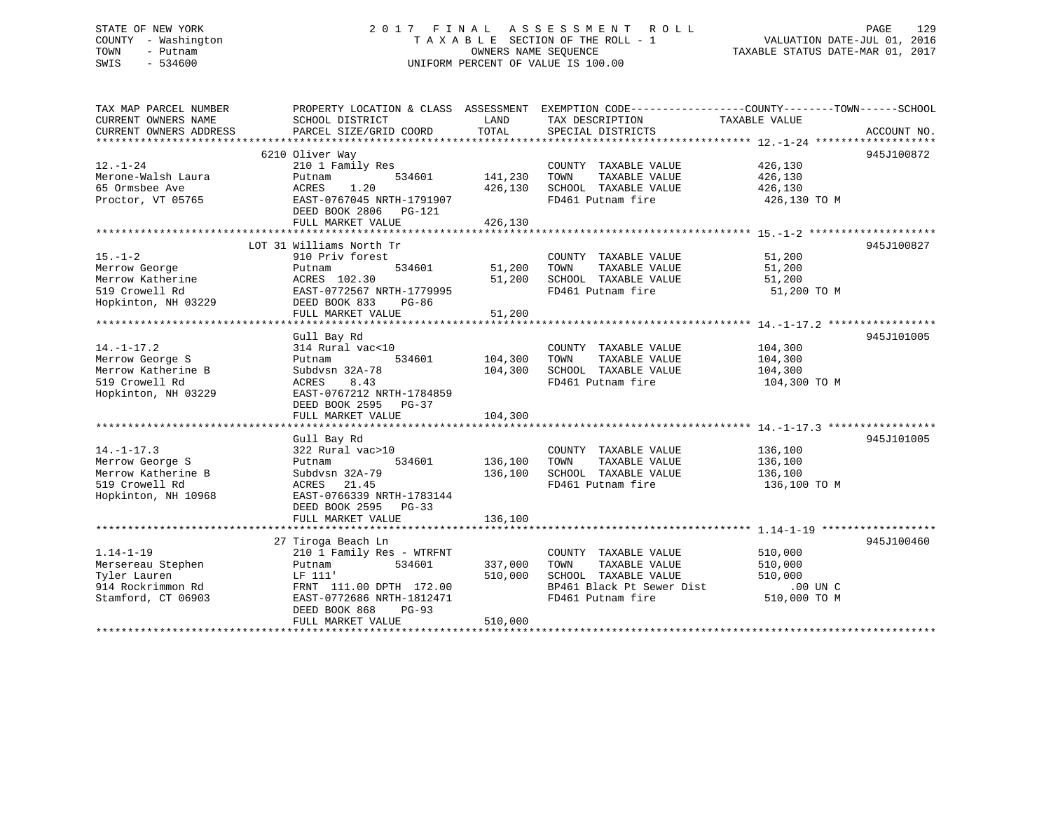# STATE OF NEW YORK 2 0 1 7 F I N A L A S S E S S M E N T R O L L PAGE 129 COUNTY - Washington T A X A B L E SECTION OF THE ROLL - 1 VALUATION DATE-JUL 01, 2016 TOWN - Putnam OWNERS NAME SEQUENCE TAXABLE STATUS DATE-MAR 01, 2017 SWIS - 534600 UNIFORM PERCENT OF VALUE IS 100.00

| TAX MAP PARCEL NUMBER<br>CURRENT OWNERS NAME<br>CURRENT OWNERS ADDRESS | PROPERTY LOCATION & CLASS ASSESSMENT EXEMPTION CODE---------------COUNTY-------TOWN-----SCHOOL<br>SCHOOL DISTRICT<br>PARCEL SIZE/GRID COORD | LAND<br>TOTAL      | TAX DESCRIPTION<br>SPECIAL DISTRICTS                                  | TAXABLE VALUE              | ACCOUNT NO. |
|------------------------------------------------------------------------|---------------------------------------------------------------------------------------------------------------------------------------------|--------------------|-----------------------------------------------------------------------|----------------------------|-------------|
|                                                                        |                                                                                                                                             |                    |                                                                       |                            |             |
| $12. - 1 - 24$                                                         | 6210 Oliver Way<br>210 1 Family Res                                                                                                         |                    | COUNTY TAXABLE VALUE                                                  | 426,130                    | 945J100872  |
| Merone-Walsh Laura<br>65 Ormsbee Ave                                   | 534601<br>Putnam<br>ACRES<br>1.20                                                                                                           | 141,230<br>426,130 | TAXABLE VALUE<br>TOWN<br>SCHOOL TAXABLE VALUE                         | 426,130<br>426,130         |             |
| Proctor, VT 05765                                                      | EAST-0767045 NRTH-1791907<br>DEED BOOK 2806 PG-121                                                                                          |                    | FD461 Putnam fire                                                     | 426,130 TO M               |             |
|                                                                        | FULL MARKET VALUE                                                                                                                           | 426,130            |                                                                       |                            |             |
|                                                                        | LOT 31 Williams North Tr                                                                                                                    |                    |                                                                       |                            | 945J100827  |
| $15. - 1 - 2$<br>Merrow George<br>Merrow Katherine                     | 910 Priv forest<br>534601<br>Putnam<br>ACRES 102.30                                                                                         | 51,200<br>51,200   | COUNTY TAXABLE VALUE<br>TOWN<br>TAXABLE VALUE<br>SCHOOL TAXABLE VALUE | 51,200<br>51,200<br>51,200 |             |
| 519 Crowell Rd<br>Hopkinton, NH 03229                                  | EAST-0772567 NRTH-1779995<br>DEED BOOK 833<br>PG-86                                                                                         |                    | FD461 Putnam fire                                                     | 51,200 TO M                |             |
|                                                                        | FULL MARKET VALUE                                                                                                                           | 51,200             |                                                                       |                            |             |
|                                                                        | Gull Bay Rd                                                                                                                                 |                    |                                                                       |                            | 945J101005  |
| $14. - 1 - 17.2$                                                       | 314 Rural vac<10                                                                                                                            |                    | COUNTY TAXABLE VALUE                                                  | 104,300                    |             |
| Merrow George S                                                        | 534601<br>Putnam                                                                                                                            | 104,300            | TOWN<br>TAXABLE VALUE                                                 | 104,300                    |             |
| Merrow Katherine B                                                     | Subdysn 32A-78                                                                                                                              | 104,300            | SCHOOL TAXABLE VALUE                                                  | 104,300                    |             |
| 519 Crowell Rd<br>Hopkinton, NH 03229                                  | ACRES<br>8.43<br>EAST-0767212 NRTH-1784859<br>DEED BOOK 2595<br>$PG-37$<br>FULL MARKET VALUE                                                | 104,300            | FD461 Putnam fire                                                     | 104,300 TO M               |             |
|                                                                        |                                                                                                                                             |                    |                                                                       |                            |             |
| $14. - 1 - 17.3$                                                       | Gull Bay Rd<br>322 Rural vac>10                                                                                                             |                    | COUNTY TAXABLE VALUE                                                  | 136,100                    | 945J101005  |
| Merrow George S                                                        | 534601<br>Putnam                                                                                                                            | 136,100            | TOWN<br>TAXABLE VALUE                                                 | 136,100                    |             |
| Merrow Katherine B                                                     | Subdysn 32A-79                                                                                                                              | 136,100            | SCHOOL TAXABLE VALUE                                                  | 136,100                    |             |
| 519 Crowell Rd<br>Hopkinton, NH 10968                                  | ACRES 21.45<br>EAST-0766339 NRTH-1783144<br>DEED BOOK 2595 PG-33                                                                            |                    | FD461 Putnam fire                                                     | 136,100 TO M               |             |
|                                                                        | FULL MARKET VALUE                                                                                                                           | 136,100            |                                                                       |                            |             |
|                                                                        |                                                                                                                                             |                    |                                                                       |                            |             |
|                                                                        | 27 Tiroga Beach Ln                                                                                                                          |                    |                                                                       |                            | 945J100460  |
| $1.14 - 1 - 19$<br>Mersereau Stephen                                   | 210 1 Family Res - WTRFNT<br>534601<br>Putnam                                                                                               | 337,000            | COUNTY TAXABLE VALUE<br>TAXABLE VALUE<br>TOWN                         | 510,000<br>510,000         |             |
| Tyler Lauren                                                           | LF 111'                                                                                                                                     | 510,000            | SCHOOL TAXABLE VALUE                                                  | 510,000                    |             |
| 914 Rockrimmon Rd                                                      | FRNT 111.00 DPTH 172.00                                                                                                                     |                    | BP461 Black Pt Sewer Dist                                             | $.00$ UN C                 |             |
| Stamford, CT 06903                                                     | EAST-0772686 NRTH-1812471<br>DEED BOOK 868<br><b>PG-93</b><br>FULL MARKET VALUE                                                             | 510,000            | FD461 Putnam fire                                                     | 510,000 TO M               |             |
|                                                                        |                                                                                                                                             |                    |                                                                       |                            |             |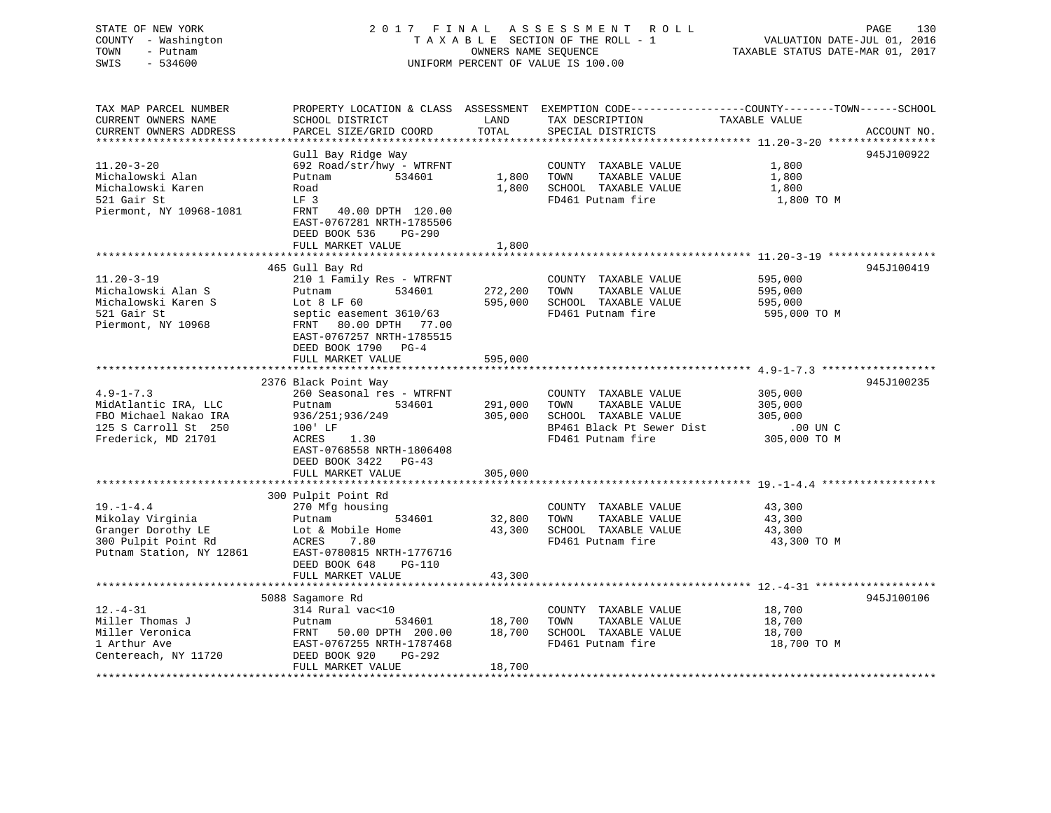# STATE OF NEW YORK 2 0 1 7 F I N A L A S S E S S M E N T R O L L PAGE 130 COUNTY - Washington T A X A B L E SECTION OF THE ROLL - 1 VALUATION DATE-JUL 01, 2016 TOWN - Putnam OWNERS NAME SEQUENCE TAXABLE STATUS DATE-MAR 01, 2017 SWIS - 534600 UNIFORM PERCENT OF VALUE IS 100.00

| TAX MAP PARCEL NUMBER<br>CURRENT OWNERS NAME | PROPERTY LOCATION & CLASS ASSESSMENT EXEMPTION CODE---------------COUNTY-------TOWN-----SCHOOL<br>SCHOOL DISTRICT | LAND    | TAX DESCRIPTION           | TAXABLE VALUE |             |
|----------------------------------------------|-------------------------------------------------------------------------------------------------------------------|---------|---------------------------|---------------|-------------|
| CURRENT OWNERS ADDRESS                       | PARCEL SIZE/GRID COORD                                                                                            | TOTAL   | SPECIAL DISTRICTS         |               | ACCOUNT NO. |
| *********************                        |                                                                                                                   |         |                           |               |             |
|                                              | Gull Bay Ridge Way                                                                                                |         |                           |               | 945J100922  |
| $11.20 - 3 - 20$                             | 692 Road/str/hwy - WTRFNT                                                                                         |         | COUNTY TAXABLE VALUE      | 1,800         |             |
| Michalowski Alan                             | Putnam<br>534601                                                                                                  | 1,800   | TOWN<br>TAXABLE VALUE     | 1,800         |             |
| Michalowski Karen                            | Road                                                                                                              | 1,800   | SCHOOL TAXABLE VALUE      | 1,800         |             |
| 521 Gair St                                  | LF <sub>3</sub>                                                                                                   |         | FD461 Putnam fire         | 1,800 TO M    |             |
| Piermont, NY 10968-1081                      | FRNT<br>40.00 DPTH 120.00<br>EAST-0767281 NRTH-1785506<br>DEED BOOK 536<br>PG-290                                 |         |                           |               |             |
|                                              | FULL MARKET VALUE                                                                                                 | 1,800   |                           |               |             |
|                                              |                                                                                                                   |         |                           |               |             |
|                                              | 465 Gull Bay Rd                                                                                                   |         |                           |               | 945J100419  |
| $11.20 - 3 - 19$                             | 210 1 Family Res - WTRFNT                                                                                         |         | COUNTY TAXABLE VALUE      | 595,000       |             |
| Michalowski Alan S                           | 534601<br>Putnam                                                                                                  | 272,200 | TAXABLE VALUE<br>TOWN     | 595,000       |             |
| Michalowski Karen S                          | Lot $8$ LF $60$                                                                                                   | 595,000 | SCHOOL TAXABLE VALUE      | 595,000       |             |
| 521 Gair St                                  | septic easement 3610/63                                                                                           |         | FD461 Putnam fire         | 595,000 TO M  |             |
| Piermont, NY 10968                           | FRNT 80.00 DPTH 77.00<br>EAST-0767257 NRTH-1785515<br>DEED BOOK 1790 PG-4                                         |         |                           |               |             |
|                                              | FULL MARKET VALUE                                                                                                 | 595,000 |                           |               |             |
|                                              |                                                                                                                   |         |                           |               |             |
|                                              | 2376 Black Point Way                                                                                              |         |                           |               | 945J100235  |
| $4.9 - 1 - 7.3$                              | 260 Seasonal res - WTRFNT                                                                                         |         | COUNTY TAXABLE VALUE      | 305,000       |             |
| MidAtlantic IRA, LLC                         | Putnam<br>534601                                                                                                  | 291,000 | TOWN<br>TAXABLE VALUE     | 305,000       |             |
| FBO Michael Nakao IRA                        | 936/251;936/249                                                                                                   | 305,000 | SCHOOL TAXABLE VALUE      | 305,000       |             |
| 125 S Carroll St 250                         | 100' LF                                                                                                           |         | BP461 Black Pt Sewer Dist | .00 UN C      |             |
| Frederick, MD 21701                          | 1.30<br>ACRES                                                                                                     |         | FD461 Putnam fire         | 305,000 TO M  |             |
|                                              | EAST-0768558 NRTH-1806408                                                                                         |         |                           |               |             |
|                                              | DEED BOOK 3422<br>PG-43                                                                                           |         |                           |               |             |
|                                              | FULL MARKET VALUE                                                                                                 | 305,000 |                           |               |             |
|                                              |                                                                                                                   |         |                           |               |             |
|                                              | 300 Pulpit Point Rd                                                                                               |         |                           |               |             |
| $19. - 1 - 4.4$                              | 270 Mfg housing                                                                                                   |         | COUNTY TAXABLE VALUE      | 43,300        |             |
| Mikolay Virginia                             | 534601<br>Putnam                                                                                                  | 32,800  | TAXABLE VALUE<br>TOWN     | 43,300        |             |
| Granger Dorothy LE                           | Lot & Mobile Home                                                                                                 | 43,300  | SCHOOL TAXABLE VALUE      | 43,300        |             |
| 300 Pulpit Point Rd                          | 7.80<br>ACRES                                                                                                     |         | FD461 Putnam fire         | 43,300 TO M   |             |
| Putnam Station, NY 12861                     | EAST-0780815 NRTH-1776716                                                                                         |         |                           |               |             |
|                                              | DEED BOOK 648<br>PG-110                                                                                           |         |                           |               |             |
|                                              | FULL MARKET VALUE                                                                                                 | 43,300  |                           |               |             |
|                                              |                                                                                                                   |         |                           |               |             |
|                                              | 5088 Sagamore Rd                                                                                                  |         |                           |               | 945J100106  |
| $12. - 4 - 31$                               | 314 Rural vac<10                                                                                                  |         | COUNTY TAXABLE VALUE      | 18,700        |             |
| Miller Thomas J                              | 534601<br>Putnam                                                                                                  | 18,700  | TAXABLE VALUE<br>TOWN     | 18,700        |             |
| Miller Veronica                              | 50.00 DPTH 200.00<br>FRNT                                                                                         | 18,700  | SCHOOL TAXABLE VALUE      | 18,700        |             |
| 1 Arthur Ave                                 | EAST-0767255 NRTH-1787468                                                                                         |         | FD461 Putnam fire         | 18,700 TO M   |             |
| Centereach, NY 11720                         | DEED BOOK 920<br>PG-292                                                                                           |         |                           |               |             |
|                                              | FULL MARKET VALUE                                                                                                 | 18,700  |                           |               |             |
|                                              |                                                                                                                   |         |                           |               |             |
|                                              |                                                                                                                   |         |                           |               |             |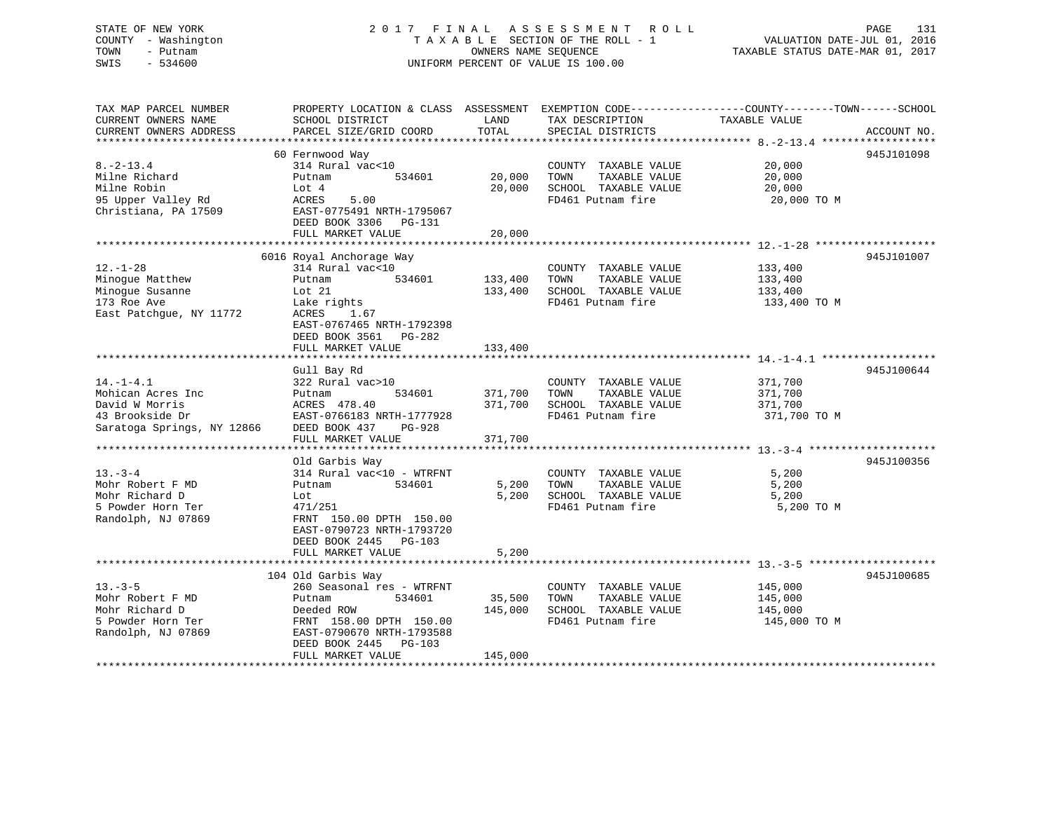# STATE OF NEW YORK 2 0 1 7 F I N A L A S S E S S M E N T R O L L PAGE 131 COUNTY - Washington T A X A B L E SECTION OF THE ROLL - 1 VALUATION DATE-JUL 01, 2016 TOWN - Putnam **CONNERS NAME SEQUENCE** TAXABLE STATUS DATE-MAR 01, 2017 SWIS - 534600 UNIFORM PERCENT OF VALUE IS 100.00

| TAX MAP PARCEL NUMBER<br>CURRENT OWNERS NAME<br>CURRENT OWNERS ADDRESS                                  | SCHOOL DISTRICT<br>PARCEL SIZE/GRID COORD                                                                                                                                                  | LAND<br>TOTAL                 | TAX DESCRIPTION<br>SPECIAL DISTRICTS                                                       | PROPERTY LOCATION & CLASS ASSESSMENT EXEMPTION CODE----------------COUNTY-------TOWN------SCHOOL<br>TAXABLE VALUE<br>ACCOUNT NO. |
|---------------------------------------------------------------------------------------------------------|--------------------------------------------------------------------------------------------------------------------------------------------------------------------------------------------|-------------------------------|--------------------------------------------------------------------------------------------|----------------------------------------------------------------------------------------------------------------------------------|
| $8. - 2 - 13.4$<br>Milne Richard<br>Milne Robin<br>95 Upper Valley Rd<br>Christiana, PA 17509           | 60 Fernwood Way<br>314 Rural vac<10<br>Putnam<br>534601<br>Lot 4<br>5.00<br>ACRES<br>EAST-0775491 NRTH-1795067<br>DEED BOOK 3306<br>PG-131<br>FULL MARKET VALUE                            | 20,000<br>20,000<br>20,000    | COUNTY TAXABLE VALUE<br>TAXABLE VALUE<br>TOWN<br>SCHOOL TAXABLE VALUE<br>FD461 Putnam fire | 945J101098<br>20,000<br>20,000<br>20,000<br>20,000 TO M                                                                          |
| $12. - 1 - 28$<br>Minoque Matthew<br>Minogue Susanne<br>173 Roe Ave<br>East Patchque, NY 11772          | 6016 Royal Anchorage Way<br>314 Rural vac<10<br>534601<br>Putnam<br>Lot 21<br>Lake rights<br>ACRES<br>1.67<br>EAST-0767465 NRTH-1792398<br>DEED BOOK 3561 PG-282<br>FULL MARKET VALUE      | 133,400<br>133,400<br>133,400 | COUNTY TAXABLE VALUE<br>TOWN<br>TAXABLE VALUE<br>SCHOOL TAXABLE VALUE<br>FD461 Putnam fire | 945J101007<br>133,400<br>133,400<br>133,400<br>133,400 TO M                                                                      |
| $14. - 1 - 4.1$<br>Mohican Acres Inc<br>David W Morris<br>43 Brookside Dr<br>Saratoga Springs, NY 12866 | Gull Bay Rd<br>322 Rural vac>10<br>Putnam<br>534601<br>ACRES 478.40<br>EAST-0766183 NRTH-1777928<br>DEED BOOK 437<br>PG-928<br>FULL MARKET VALUE                                           | 371,700<br>371,700<br>371,700 | COUNTY TAXABLE VALUE<br>TOWN<br>TAXABLE VALUE<br>SCHOOL TAXABLE VALUE<br>FD461 Putnam fire | 945J100644<br>371,700<br>371,700<br>371,700<br>371,700 TO M                                                                      |
| $13. - 3 - 4$<br>Mohr Robert F MD<br>Mohr Richard D<br>5 Powder Horn Ter<br>Randolph, NJ 07869          | Old Garbis Way<br>314 Rural vac<10 - WTRFNT<br>534601<br>Putnam<br>Lot<br>471/251<br>FRNT 150.00 DPTH 150.00<br>EAST-0790723 NRTH-1793720<br>DEED BOOK 2445 PG-103<br>FULL MARKET VALUE    | 5,200<br>5,200<br>5,200       | COUNTY TAXABLE VALUE<br>TAXABLE VALUE<br>TOWN<br>SCHOOL TAXABLE VALUE<br>FD461 Putnam fire | 945J100356<br>5,200<br>5,200<br>5,200<br>5,200 TO M                                                                              |
| $13 - 3 - 5$<br>Mohr Robert F MD<br>Mohr Richard D<br>5 Powder Horn Ter<br>Randolph, NJ 07869           | 104 Old Garbis Way<br>260 Seasonal res - WTRFNT<br>534601<br>Putnam<br>Deeded ROW<br>FRNT 158.00 DPTH 150.00<br>EAST-0790670 NRTH-1793588<br>DEED BOOK 2445<br>PG-103<br>FULL MARKET VALUE | 35,500<br>145,000<br>145,000  | COUNTY TAXABLE VALUE<br>TAXABLE VALUE<br>TOWN<br>SCHOOL TAXABLE VALUE<br>FD461 Putnam fire | 945J100685<br>145,000<br>145,000<br>145,000<br>145,000 TO M                                                                      |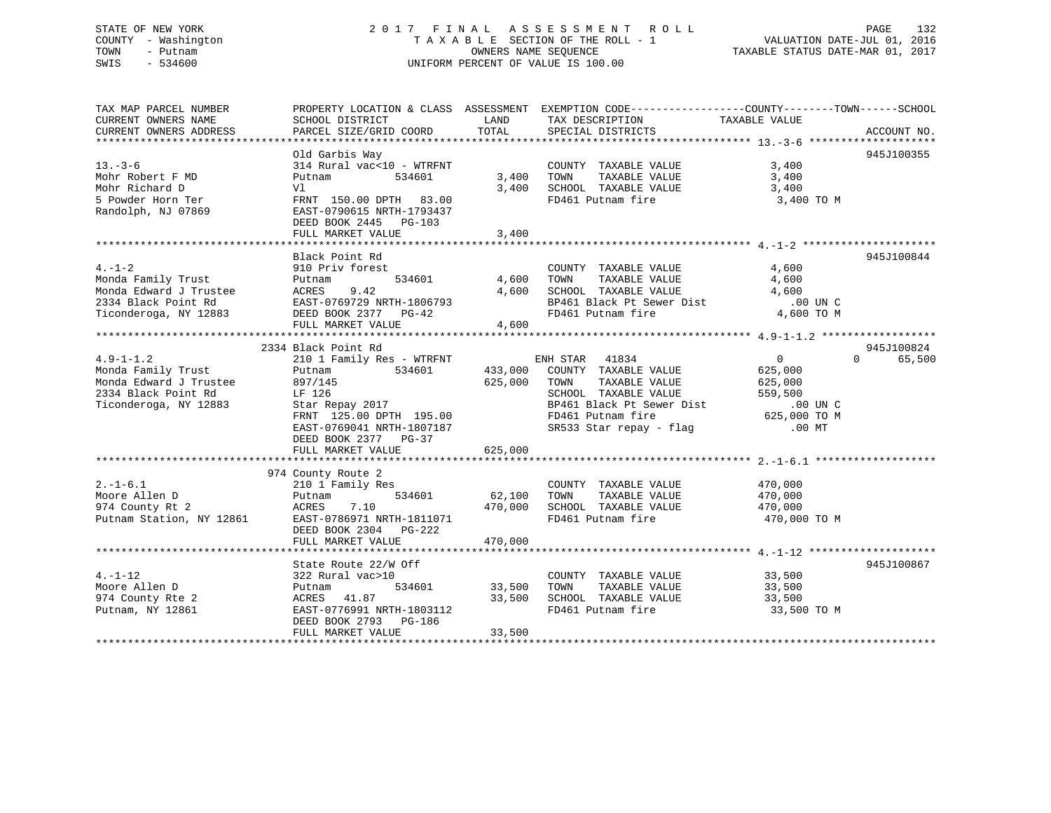# STATE OF NEW YORK 2 0 1 7 F I N A L A S S E S S M E N T R O L L PAGE 132 COUNTY - Washington T A X A B L E SECTION OF THE ROLL - 1 VALUATION DATE-JUL 01, 2016 TOWN - Putnam OWNERS NAME SEQUENCE TAXABLE STATUS DATE-MAR 01, 2017 SWIS - 534600 UNIFORM PERCENT OF VALUE IS 100.00

| TAX MAP PARCEL NUMBER<br>CURRENT OWNERS NAME<br>CURRENT OWNERS ADDRESS                        | SCHOOL DISTRICT<br>PARCEL SIZE/GRID COORD                                                                                                                                                                                                                                 | <b>LAND</b><br>TOTAL         | PROPERTY LOCATION & CLASS ASSESSMENT EXEMPTION CODE----------------COUNTY-------TOWN------SCHOOL<br>TAX DESCRIPTION<br>SPECIAL DISTRICTS                                                                                                                                                                            | TAXABLE VALUE                        | ACCOUNT NO.                               |
|-----------------------------------------------------------------------------------------------|---------------------------------------------------------------------------------------------------------------------------------------------------------------------------------------------------------------------------------------------------------------------------|------------------------------|---------------------------------------------------------------------------------------------------------------------------------------------------------------------------------------------------------------------------------------------------------------------------------------------------------------------|--------------------------------------|-------------------------------------------|
| $13. -3 - 6$<br>Mohr Robert F MD<br>Mohr Richard D<br>5 Powder Horn Ter<br>Randolph, NJ 07869 | Old Garbis Way<br>314 Rural vac<10 - WTRFNT<br>534601<br>Putnam<br>Vl<br>FRNT 150.00 DPTH 83.00<br>EAST-0790615 NRTH-1793437<br>DEED BOOK 2445 PG-103<br>FULL MARKET VALUE                                                                                                | 3,400                        | COUNTY TAXABLE VALUE<br>TAXABLE VALUE 3,400<br>3,400 TOWN<br>$\begin{tabular}{lllllllll} 3,400 & \texttt{SCHOOL} & \texttt{TAXABLE VALUE} & & & & 3,400 \\ & \texttt{FD461 Putnam fire} & & & 3,400 \\ \end{tabular}$                                                                                               | 3,400<br>3,400 TO M                  | 945J100355                                |
| $4. - 1 - 2$                                                                                  | Black Point Rd<br>910 Priv forest<br>534601 4,600 TOWN<br>4.-1-2<br>Monda Family Trust Putnam 534601 4,600<br>Monda Edward J Trustee ACRES 9.42<br>2334 Black Point Rd EAST-0769729 NRTH-1806793<br>Ticonderoga, NY 12883 DEED BOOK 2377 PG-42<br>FULL MARKET VALUE 4,600 |                              | COUNTY TAXABLE VALUE<br>TAXABLE VALUE 4,600                                                                                                                                                                                                                                                                         | 4,600                                | 945J100844                                |
| $4.9 - 1 - 1.2$                                                                               | 2334 Black Point Rd<br>210 1 Family Res - WTRFNT<br>534601<br>2334 Black Point Rd<br>Ticonderoga, NY 12883 Star Repay 2017<br>FRNT 125.00 DPTH 195.00<br>EAST-0769041 NRTH-1807187<br>DEED BOOK 2377 PG-37<br>FULL MARKET VALUE                                           | 625,000                      | ENH STAR 41834<br>433,000 COUNTY TAXABLE VALUE<br>TAXABLE VALUE<br>625,000 TOWN<br>SCHOOL TAXABLE VALUE 559,500<br>BP461 Black Pt Sewer Dist 00 UN C<br>FD461 Putnam fire 625,000 TO M<br>SR533 Star repay - flag 00 MT                                                                                             | $\overline{0}$<br>625,000<br>625,000 | 945J100824<br>$0 \qquad \qquad$<br>65,500 |
| $2. -1 - 6.1$<br>Moore Allen D<br>974 County Rt 2                                             | 974 County Route 2<br>210 1 Family Res<br>534601<br>Putnam<br>ACRES 7.10<br>Putnam Station, NY 12861 EAST-0786971 NRTH-1811071<br>DEED BOOK 2304 PG-222<br>FULL MARKET VALUE                                                                                              | 470,000                      | COUNTY TAXABLE VALUE 470,000<br>$\begin{tabular}{lllllllllllll} \bf{62,100} & \tt{TOWN} & \tt{TAXABLE} & \tt{VALUE} & \tt{470,000} \\ \bf{470,000} & \tt{SCHOOL} & \tt{TAXABLE} & \tt{VALUE} & \tt{470,000} \\ \bf{FD461} & \tt{Putnam} & \tt{fire} & \tt{470,000} \end{tabular}$<br>FD461 Putnam fire 470,000 TO M |                                      |                                           |
| $4. - 1 - 12$<br>Moore Allen D<br>974 County Rte 2<br>Putnam, NY 12861                        | State Route 22/W Off<br>322 Rural vac>10<br>Putnam<br>DEED BOOK 2793 PG-186<br>FULL MARKET VALUE                                                                                                                                                                          | 534601 33,500 TOWN<br>33,500 | COUNTY TAXABLE VALUE<br>TOWN      TAXABLE VALUE<br>ACRES 41.87<br>EAST-0776991 NRTH-1803112 33,500 SCHOOL TAXABLE VALUE 33,500<br>FD461 Putnam fire 33,500                                                                                                                                                          | 33,500<br>33,500<br>33,500 TO M      | 945J100867                                |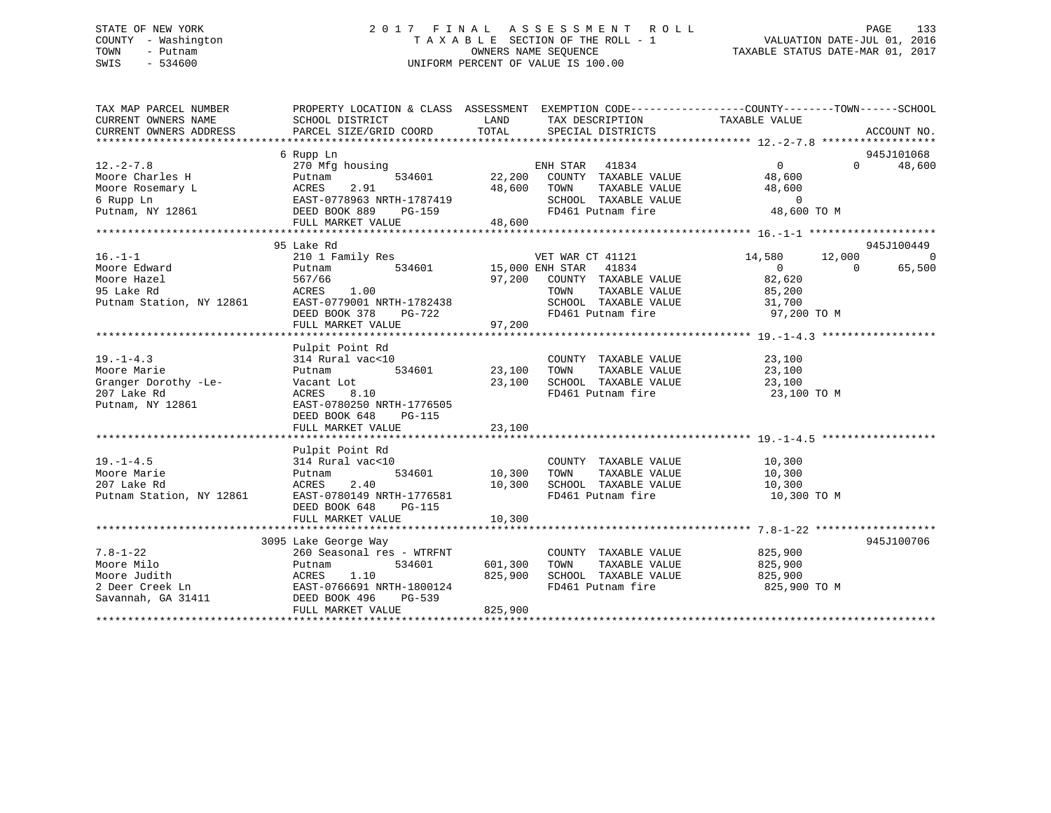# STATE OF NEW YORK 2 0 1 7 F I N A L A S S E S S M E N T R O L L PAGE 133 COUNTY - Washington T A X A B L E SECTION OF THE ROLL - 1 VALUATION DATE-JUL 01, 2016 TOWN - Putnam OWNERS NAME SEQUENCE TAXABLE STATUS DATE-MAR 01, 2017 SWIS - 534600 UNIFORM PERCENT OF VALUE IS 100.00

| TAX MAP PARCEL NUMBER<br>CURRENT OWNERS NAME<br>CURRENT OWNERS ADDRESS | PROPERTY LOCATION & CLASS ASSESSMENT EXEMPTION CODE----------------COUNTY-------TOWN------SCHOOL<br>SCHOOL DISTRICT<br>PARCEL SIZE/GRID COORD | LAND<br>TOTAL | TAX DESCRIPTION<br>SPECIAL DISTRICTS                                                    | TAXABLE VALUE         |          | ACCOUNT NO.    |
|------------------------------------------------------------------------|-----------------------------------------------------------------------------------------------------------------------------------------------|---------------|-----------------------------------------------------------------------------------------|-----------------------|----------|----------------|
|                                                                        |                                                                                                                                               |               |                                                                                         |                       |          |                |
|                                                                        | 6 Rupp Ln                                                                                                                                     |               |                                                                                         |                       |          | 945J101068     |
| $12. - 2 - 7.8$                                                        | 270 Mfg housing                                                                                                                               |               | ENH STAR<br>41834                                                                       | $\Omega$              | $\Omega$ | 48,600         |
| Moore Charles H                                                        | 534601<br>Putnam                                                                                                                              |               | 22,200 COUNTY TAXABLE VALUE                                                             | 48,600                |          |                |
| Moore Rosemary L                                                       | 2.91<br>ACRES                                                                                                                                 | 48,600        | TAXABLE VALUE<br>TOWN                                                                   | 48,600                |          |                |
| 6 Rupp Ln                                                              | EAST-0778963 NRTH-1787419<br>DEED BOOK 889 PG-159                                                                                             |               | SCHOOL TAXABLE VALUE                                                                    | $\overline{0}$        |          |                |
| Putnam, NY 12861                                                       | DEED BOOK 889 PG-159                                                                                                                          |               | FD461 Putnam fire                                                                       | 48,600 TO M           |          |                |
|                                                                        | FULL MARKET VALUE                                                                                                                             | 48,600        |                                                                                         |                       |          |                |
|                                                                        |                                                                                                                                               |               |                                                                                         |                       |          |                |
|                                                                        | 95 Lake Rd                                                                                                                                    |               |                                                                                         |                       |          | 945J100449     |
| $16. - 1 - 1$                                                          | 210 1 Family Res                                                                                                                              |               | VET WAR CT 41121                                                                        | 14,580                | 12,000   | $\overline{0}$ |
| Moore Edward                                                           | 534601 15,000 ENH STAR 41834<br>Putnam                                                                                                        |               |                                                                                         | $\overline{0}$        | $\Omega$ | 65,500         |
| Moore Hazel                                                            | 567/66                                                                                                                                        |               | 97,200 COUNTY TAXABLE VALUE                                                             | 82,620                |          |                |
| 95 Lake Rd                                                             | ACRES<br>1.00                                                                                                                                 |               |                                                                                         | 85,200                |          |                |
| Putnam Station, NY 12861                                               | EAST-0779001 NRTH-1782438                                                                                                                     |               |                                                                                         | 31,700<br>97,200 TO M |          |                |
|                                                                        | DEED BOOK 378                                                                                                                                 | PG-722        | COUNTIERT TAXABLE VALUE<br>SCHOOL TAXABLE VALUE<br>And Dutham fire<br>FD461 Putnam fire |                       |          |                |
|                                                                        | FULL MARKET VALUE                                                                                                                             | 97,200        |                                                                                         |                       |          |                |
|                                                                        |                                                                                                                                               |               |                                                                                         |                       |          |                |
|                                                                        | Pulpit Point Rd                                                                                                                               |               |                                                                                         |                       |          |                |
| $19. - 1 - 4.3$                                                        | 314 Rural vac<10                                                                                                                              |               | COUNTY TAXABLE VALUE                                                                    | 23,100                |          |                |
| Moore Marie                                                            | 534601<br>Putnam                                                                                                                              | 23,100        | TAXABLE VALUE<br>TOWN                                                                   | 23,100                |          |                |
| Granger Dorothy -Le-                                                   | Vacant Lot                                                                                                                                    | 23,100        | SCHOOL TAXABLE VALUE                                                                    | 23,100                |          |                |
| 207 Lake Rd                                                            | ACRES<br>8.10                                                                                                                                 |               | FD461 Putnam fire                                                                       | 23,100 TO M           |          |                |
| Putnam, NY 12861                                                       | EAST-0780250 NRTH-1776505                                                                                                                     |               |                                                                                         |                       |          |                |
|                                                                        | DEED BOOK 648<br>PG-115                                                                                                                       |               |                                                                                         |                       |          |                |
|                                                                        | FULL MARKET VALUE                                                                                                                             | 23,100        |                                                                                         |                       |          |                |
|                                                                        |                                                                                                                                               |               |                                                                                         |                       |          |                |
| $19. - 1 - 4.5$                                                        | Pulpit Point Rd<br>314 Rural vac<10                                                                                                           |               |                                                                                         |                       |          |                |
| Moore Marie                                                            |                                                                                                                                               | 534601 10,300 | COUNTY TAXABLE VALUE<br>TAXABLE VALUE<br>TOWN                                           | 10,300<br>10,300      |          |                |
| 207 Lake Rd                                                            | Putnam<br>2.40<br>ACRES                                                                                                                       | 10,300        | SCHOOL TAXABLE VALUE                                                                    | 10,300                |          |                |
| Putnam Station, NY 12861                                               | EAST-0780149 NRTH-1776581                                                                                                                     |               | FD461 Putnam fire                                                                       | 10,300 TO M           |          |                |
|                                                                        | DEED BOOK 648<br>PG-115                                                                                                                       |               |                                                                                         |                       |          |                |
|                                                                        | FULL MARKET VALUE                                                                                                                             | 10,300        |                                                                                         |                       |          |                |
|                                                                        |                                                                                                                                               |               |                                                                                         |                       |          |                |
|                                                                        | 3095 Lake George Way                                                                                                                          |               |                                                                                         |                       |          | 945J100706     |
| $7.8 - 1 - 22$                                                         | 260 Seasonal res - WTRFNT                                                                                                                     |               | COUNTY TAXABLE VALUE                                                                    | 825,900               |          |                |
| Moore Milo                                                             | 534601<br>Putnam                                                                                                                              | 601,300       | TAXABLE VALUE<br>TOWN                                                                   | 825,900               |          |                |
|                                                                        | 1.10<br>ACRES                                                                                                                                 | 825,900       | SCHOOL TAXABLE VALUE                                                                    | 825,900               |          |                |
| Moore Judith<br>2 Deer Creek Ln<br>Savannah, GA 31411                  | EAST-0766691 NRTH-1800124                                                                                                                     |               | FD461 Putnam fire                                                                       | 825,900 TO M          |          |                |
|                                                                        | PG-539<br>DEED BOOK 496                                                                                                                       |               |                                                                                         |                       |          |                |
|                                                                        | FULL MARKET VALUE                                                                                                                             | 825,900       |                                                                                         |                       |          |                |
|                                                                        |                                                                                                                                               |               |                                                                                         |                       |          |                |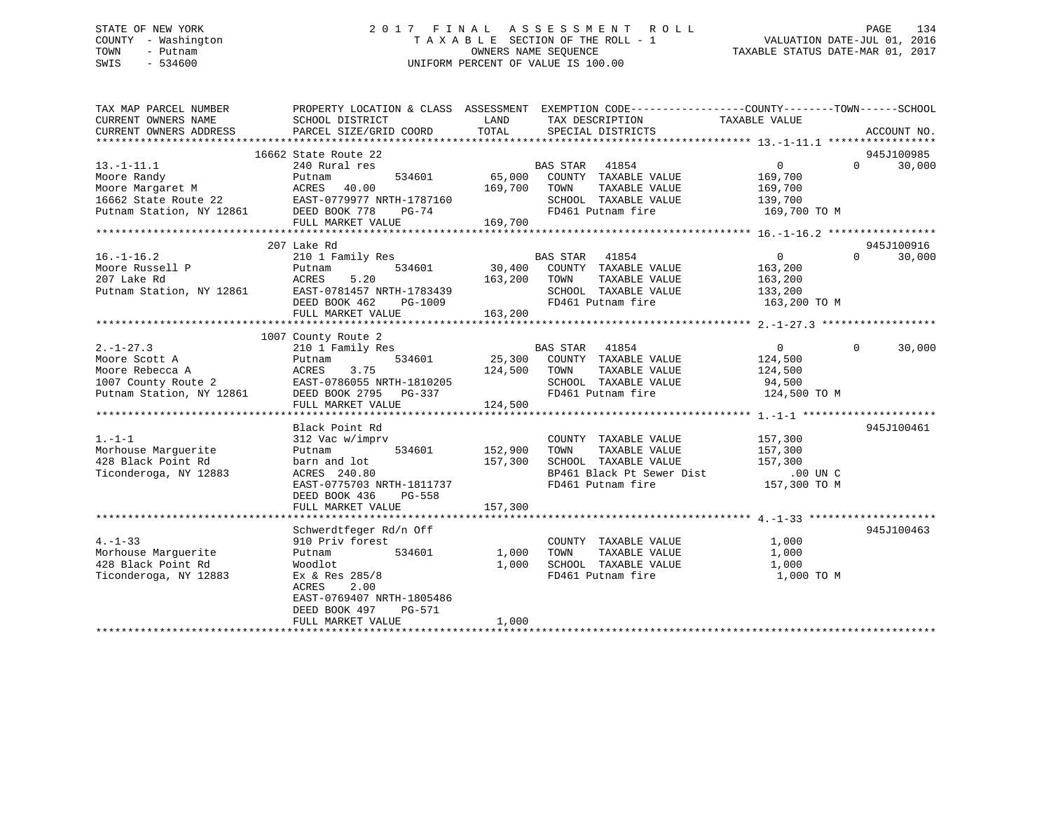# STATE OF NEW YORK 2 0 1 7 F I N A L A S S E S S M E N T R O L L PAGE 134 COUNTY - Washington T A X A B L E SECTION OF THE ROLL - 1 VALUATION DATE-JUL 01, 2016 TOWN - Putnam OWNERS NAME SEQUENCE TAXABLE STATUS DATE-MAR 01, 2017 SWIS - 534600 UNIFORM PERCENT OF VALUE IS 100.00

| TAX MAP PARCEL NUMBER<br>CURRENT OWNERS NAME<br>CURRENT OWNERS ADDRESS                                                                                                                                                                                                                                                                                                                                                   | PROPERTY LOCATION & CLASS ASSESSMENT EXEMPTION CODE---------------COUNTY-------TOWN------SCHOOL<br>SCHOOL DISTRICT<br><b>EXAMPLE THE STATE OF STATE OF STATE</b><br>PARCEL SIZE/GRID COORD | TOTAL                | TAX DESCRIPTION TAXABLE VALUE SPECIAL DISTRICTS<br>SPECIAL DISTRICTS |                                                                | ACCOUNT NO.                 |
|--------------------------------------------------------------------------------------------------------------------------------------------------------------------------------------------------------------------------------------------------------------------------------------------------------------------------------------------------------------------------------------------------------------------------|--------------------------------------------------------------------------------------------------------------------------------------------------------------------------------------------|----------------------|----------------------------------------------------------------------|----------------------------------------------------------------|-----------------------------|
|                                                                                                                                                                                                                                                                                                                                                                                                                          |                                                                                                                                                                                            |                      |                                                                      |                                                                |                             |
|                                                                                                                                                                                                                                                                                                                                                                                                                          | 16662 State Route 22                                                                                                                                                                       |                      |                                                                      |                                                                | 945J100985                  |
| $13.-1-11.1$                                                                                                                                                                                                                                                                                                                                                                                                             | 240 Rural res                                                                                                                                                                              |                      |                                                                      | $\overline{0}$                                                 | $0 \qquad \qquad$<br>30,000 |
|                                                                                                                                                                                                                                                                                                                                                                                                                          |                                                                                                                                                                                            |                      |                                                                      | 169,700                                                        |                             |
|                                                                                                                                                                                                                                                                                                                                                                                                                          |                                                                                                                                                                                            |                      |                                                                      | TAXABLE VALUE 169,700                                          |                             |
|                                                                                                                                                                                                                                                                                                                                                                                                                          |                                                                                                                                                                                            |                      |                                                                      |                                                                |                             |
|                                                                                                                                                                                                                                                                                                                                                                                                                          |                                                                                                                                                                                            |                      |                                                                      | SCHOOL TAXABLE VALUE 139,700<br>FD461 Putnam fire 169,700 TO M |                             |
|                                                                                                                                                                                                                                                                                                                                                                                                                          | FULL MARKET VALUE 169,700                                                                                                                                                                  |                      |                                                                      |                                                                |                             |
|                                                                                                                                                                                                                                                                                                                                                                                                                          |                                                                                                                                                                                            |                      |                                                                      |                                                                |                             |
|                                                                                                                                                                                                                                                                                                                                                                                                                          | 207 Lake Rd                                                                                                                                                                                |                      |                                                                      |                                                                | 945J100916                  |
| $16. - 1 - 16.2$                                                                                                                                                                                                                                                                                                                                                                                                         | 210 1 Family Res                                                                                                                                                                           |                      | <b>BAS STAR 41854</b>                                                | $\overline{0}$                                                 | $\Omega$<br>30,000          |
|                                                                                                                                                                                                                                                                                                                                                                                                                          |                                                                                                                                                                                            |                      | 534601 30,400 COUNTY TAXABLE VALUE 163,200                           |                                                                |                             |
|                                                                                                                                                                                                                                                                                                                                                                                                                          |                                                                                                                                                                                            | 163,200 TOWN         | TOWN       TAXABLE  VALUE<br>SCHOOL    TAXABLE  VALUE                | 163,200<br>133,200                                             |                             |
|                                                                                                                                                                                                                                                                                                                                                                                                                          |                                                                                                                                                                                            |                      |                                                                      |                                                                |                             |
|                                                                                                                                                                                                                                                                                                                                                                                                                          | DEED BOOK 462                                                                                                                                                                              | PG-1009<br>E 163,200 | FD461 Putnam fire                                                    | 163,200 TO M                                                   |                             |
|                                                                                                                                                                                                                                                                                                                                                                                                                          | FULL MARKET VALUE                                                                                                                                                                          |                      |                                                                      |                                                                |                             |
|                                                                                                                                                                                                                                                                                                                                                                                                                          |                                                                                                                                                                                            |                      |                                                                      |                                                                |                             |
|                                                                                                                                                                                                                                                                                                                                                                                                                          | 1007 County Route 2                                                                                                                                                                        |                      |                                                                      |                                                                |                             |
| $2. - 1 - 27.3$                                                                                                                                                                                                                                                                                                                                                                                                          |                                                                                                                                                                                            |                      |                                                                      |                                                                | 30,000                      |
| Moore Scott A                                                                                                                                                                                                                                                                                                                                                                                                            | Putnam                                                                                                                                                                                     |                      | 534601 25,300 COUNTY TAXABLE VALUE 124,500                           |                                                                |                             |
|                                                                                                                                                                                                                                                                                                                                                                                                                          |                                                                                                                                                                                            |                      | TAXABLE VALUE<br>SCHOOL TAXABLE VALUE 94,500                         | 124,500                                                        |                             |
|                                                                                                                                                                                                                                                                                                                                                                                                                          |                                                                                                                                                                                            |                      |                                                                      |                                                                |                             |
| Moore Scott A $\begin{array}{ccc}\n\text{Mcore} & \text{Boote} & \text{B} \\ \text{Mcore} & \text{Rebc} & \text{Rebc} & \text{Rebc} \\ \text{Mcore} & \text{Rebc} & \text{Rebc} & \text{Rebc} \\ \text{M007} & \text{County} & \text{Route} & 2 & \text{EAST}-0786055 & \text{NRTH}-1810205 & \text{SCHOOL} \\ \text{Putnam} & \text{Station} & \text{NY} & 12861 & \text{DEED} & \text{NRTH} \\ \text{M008} & \text{N0$ | FULL MARKET VALUE                                                                                                                                                                          | 124,500              |                                                                      | FD461 Putnam fire 124,500 TO M                                 |                             |
|                                                                                                                                                                                                                                                                                                                                                                                                                          |                                                                                                                                                                                            |                      |                                                                      |                                                                |                             |
|                                                                                                                                                                                                                                                                                                                                                                                                                          | Black Point Rd                                                                                                                                                                             |                      |                                                                      |                                                                | 945J100461                  |
| $1. - 1 - 1$                                                                                                                                                                                                                                                                                                                                                                                                             | 312 Vac w/imprv                                                                                                                                                                            |                      | COUNTY TAXABLE VALUE                                                 | 157,300                                                        |                             |
| Morhouse Marquerite                                                                                                                                                                                                                                                                                                                                                                                                      | Putnam<br>534601 152,900                                                                                                                                                                   |                      | TAXABLE VALUE<br>TOWN                                                |                                                                |                             |
| 428 Black Point Rd                                                                                                                                                                                                                                                                                                                                                                                                       | barn and lot                                                                                                                                                                               | 157,300              | SCHOOL TAXABLE VALUE                                                 | 157,300<br>157,300                                             |                             |
| Ticonderoga, NY 12883                                                                                                                                                                                                                                                                                                                                                                                                    |                                                                                                                                                                                            |                      |                                                                      | BP461 Black Pt Sewer Dist<br>FR461 Putnam fire 157,300 TO M    |                             |
|                                                                                                                                                                                                                                                                                                                                                                                                                          | AURED 240.80<br>EAST-0775703 NRTH-1811737                                                                                                                                                  |                      | FD461 Putnam fire                                                    |                                                                |                             |
|                                                                                                                                                                                                                                                                                                                                                                                                                          | DEED BOOK 436<br>PG-558                                                                                                                                                                    |                      |                                                                      |                                                                |                             |
|                                                                                                                                                                                                                                                                                                                                                                                                                          |                                                                                                                                                                                            |                      |                                                                      |                                                                |                             |
|                                                                                                                                                                                                                                                                                                                                                                                                                          |                                                                                                                                                                                            |                      |                                                                      |                                                                |                             |
|                                                                                                                                                                                                                                                                                                                                                                                                                          | Schwerdtfeger Rd/n Off                                                                                                                                                                     |                      |                                                                      |                                                                | 945J100463                  |
| $4. -1 - 33$                                                                                                                                                                                                                                                                                                                                                                                                             | 910 Priv forest                                                                                                                                                                            |                      | COUNTY TAXABLE VALUE                                                 | 1,000                                                          |                             |
| Morhouse Marquerite                                                                                                                                                                                                                                                                                                                                                                                                      | 534601 1,000<br>Putnam                                                                                                                                                                     |                      | TOWN<br>TAXABLE VALUE                                                | 1,000                                                          |                             |
| 428 Black Point Rd                                                                                                                                                                                                                                                                                                                                                                                                       | Woodlot                                                                                                                                                                                    | 1,000                | SCHOOL TAXABLE VALUE<br>FD461 Putnam fire                            | 1,000                                                          |                             |
| Ticonderoga, NY 12883                                                                                                                                                                                                                                                                                                                                                                                                    | Ex & Res 285/8                                                                                                                                                                             |                      |                                                                      | 1,000 TO M                                                     |                             |
|                                                                                                                                                                                                                                                                                                                                                                                                                          | ACRES<br>2.00                                                                                                                                                                              |                      |                                                                      |                                                                |                             |
|                                                                                                                                                                                                                                                                                                                                                                                                                          | EAST-0769407 NRTH-1805486                                                                                                                                                                  |                      |                                                                      |                                                                |                             |
|                                                                                                                                                                                                                                                                                                                                                                                                                          | PG-571<br>DEED BOOK 497                                                                                                                                                                    |                      |                                                                      |                                                                |                             |
|                                                                                                                                                                                                                                                                                                                                                                                                                          | FULL MARKET VALUE                                                                                                                                                                          | 1,000                |                                                                      |                                                                |                             |
|                                                                                                                                                                                                                                                                                                                                                                                                                          |                                                                                                                                                                                            |                      |                                                                      |                                                                |                             |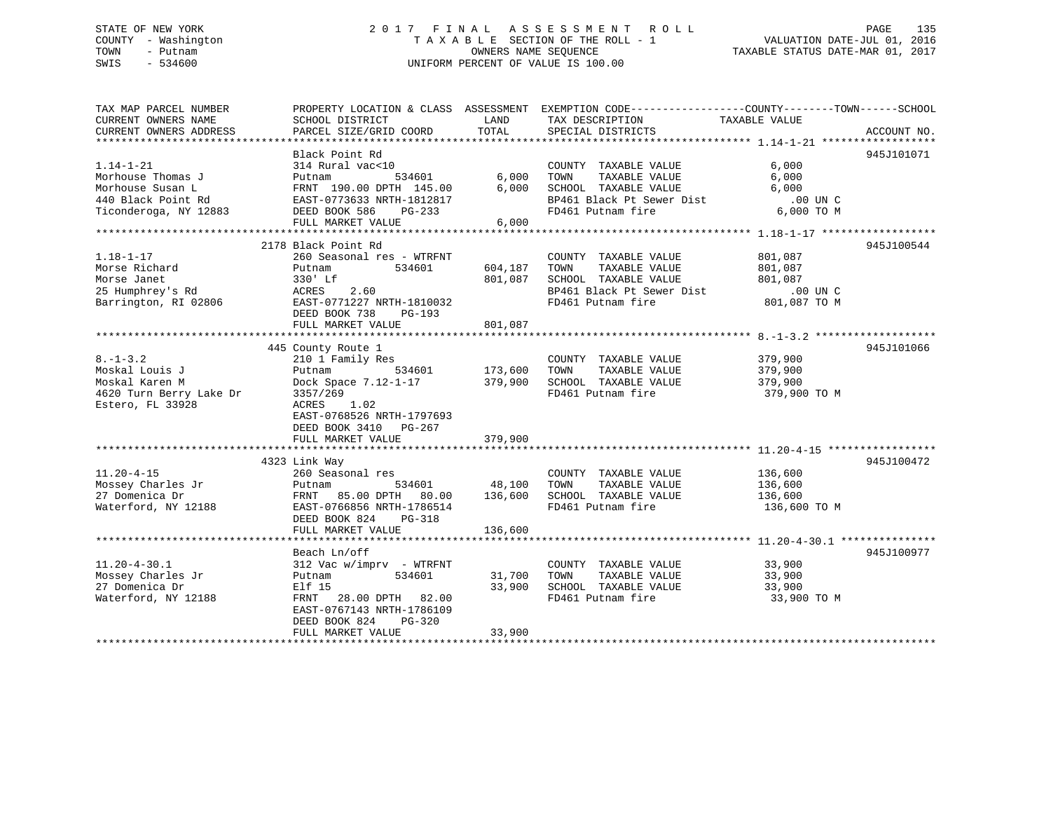# STATE OF NEW YORK 2 0 1 7 F I N A L A S S E S S M E N T R O L L PAGE 135 COUNTY - Washington T A X A B L E SECTION OF THE ROLL - 1 VALUATION DATE-JUL 01, 2016 TOWN - Putnam OWNERS NAME SEQUENCE TAXABLE STATUS DATE-MAR 01, 2017 SWIS - 534600 UNIFORM PERCENT OF VALUE IS 100.00

| TAX MAP PARCEL NUMBER<br>CURRENT OWNERS NAME<br>CURRENT OWNERS ADDRESS                                  | SCHOOL DISTRICT<br>PARCEL SIZE/GRID COORD                                                                                                                                                  | LAND<br>TOTAL                       | PROPERTY LOCATION & CLASS ASSESSMENT EXEMPTION CODE---------------COUNTY-------TOWN-----SCHOOL<br>TAX DESCRIPTION<br>SPECIAL DISTRICTS          | TAXABLE VALUE                                     | ACCOUNT NO. |
|---------------------------------------------------------------------------------------------------------|--------------------------------------------------------------------------------------------------------------------------------------------------------------------------------------------|-------------------------------------|-------------------------------------------------------------------------------------------------------------------------------------------------|---------------------------------------------------|-------------|
| $1.14 - 1 - 21$<br>Morhouse Thomas J<br>Morhouse Susan L<br>440 Black Point Rd<br>Ticonderoga, NY 12883 | Black Point Rd<br>314 Rural vac<10<br>534601<br>Putnam<br>FRNT 190.00 DPTH 145.00<br>EAST-0773633 NRTH-1812817<br>DEED BOOK 586<br>PG-233<br>FULL MARKET VALUE                             | 6,000<br>6,000<br>6,000             | COUNTY TAXABLE VALUE<br>TOWN<br>TAXABLE VALUE<br>SCHOOL TAXABLE VALUE<br>SCHOOL TAXABLE VALUE<br>BP461 Black Pt Sewer Dist<br>FD461 Putnam fire | 6,000<br>6,000<br>6,000<br>.00 UN C<br>6,000 TO M | 945J101071  |
| $1.18 - 1 - 17$<br>Morse Richard<br>Morse Janet<br>25 Humphrey's Rd<br>Barrington, RI 02806             | 2178 Black Point Rd<br>260 Seasonal res - WTRFNT<br>Putnam<br>534601<br>330' Lf<br>ACRES<br>2.60<br>EAST-0771227 NRTH-1810032<br>DEED BOOK 738<br>PG-193<br>FULL MARKET VALUE              | 604,187<br>801,087<br>801,087       | COUNTY TAXABLE VALUE<br>TAXABLE VALUE<br>TOWN<br>SCHOOL TAXABLE VALUE                                                                           | 801,087<br>801,087<br>801,087                     | 945J100544  |
| $8. - 1 - 3.2$<br>Moskal Louis J<br>Moskal Karen M<br>4620 Turn Berry Lake Dr<br>Estero, FL 33928       | 445 County Route 1<br>210 1 Family Res<br>Putnam<br>534601<br>Dock Space 7.12-1-17<br>3357/269<br>1.02<br>ACRES<br>EAST-0768526 NRTH-1797693<br>DEED BOOK 3410 PG-267<br>FULL MARKET VALUE | 173,600<br>379,900<br>379,900       | COUNTY TAXABLE VALUE<br>TAXABLE VALUE<br>TOWN<br>SCHOOL TAXABLE VALUE<br>FD461 Putnam fire                                                      | 379,900<br>379,900<br>379,900<br>379,900 TO M     | 945J101066  |
| $11.20 - 4 - 15$<br>Mossey Charles Jr<br>27 Domenica Dr<br>Waterford, NY 12188                          | 4323 Link Way<br>260 Seasonal res<br>Putnam<br>FRNT 85.00 DPTH 80.00<br>EAST-0766856 NRTH-1786514<br>DEED BOOK 824<br>PG-318<br>FULL MARKET VALUE                                          | 534601 48,100<br>136,600<br>136,600 | COUNTY TAXABLE VALUE<br>TOWN<br>TAXABLE VALUE<br>SCHOOL TAXABLE VALUE<br>FD461 Putnam fire                                                      | 136,600<br>136,600<br>136,600<br>136,600 TO M     | 945J100472  |
| $11.20 - 4 - 30.1$<br>Mossey Charles Jr<br>27 Domenica Dr<br>Waterford, NY 12188                        | Beach Ln/off<br>312 Vac w/imprv - WTRFNT<br>534601<br>Putnam<br>Elf 15<br>FRNT 28.00 DPTH 82.00<br>EAST-0767143 NRTH-1786109<br>DEED BOOK 824<br>PG-320<br>FULL MARKET VALUE               | 31,700<br>33,900<br>33,900          | COUNTY TAXABLE VALUE<br>TAXABLE VALUE<br>TOWN<br>SCHOOL TAXABLE VALUE<br>FD461 Putnam fire                                                      | 33,900<br>33,900<br>33,900<br>33,900 TO M         | 945J100977  |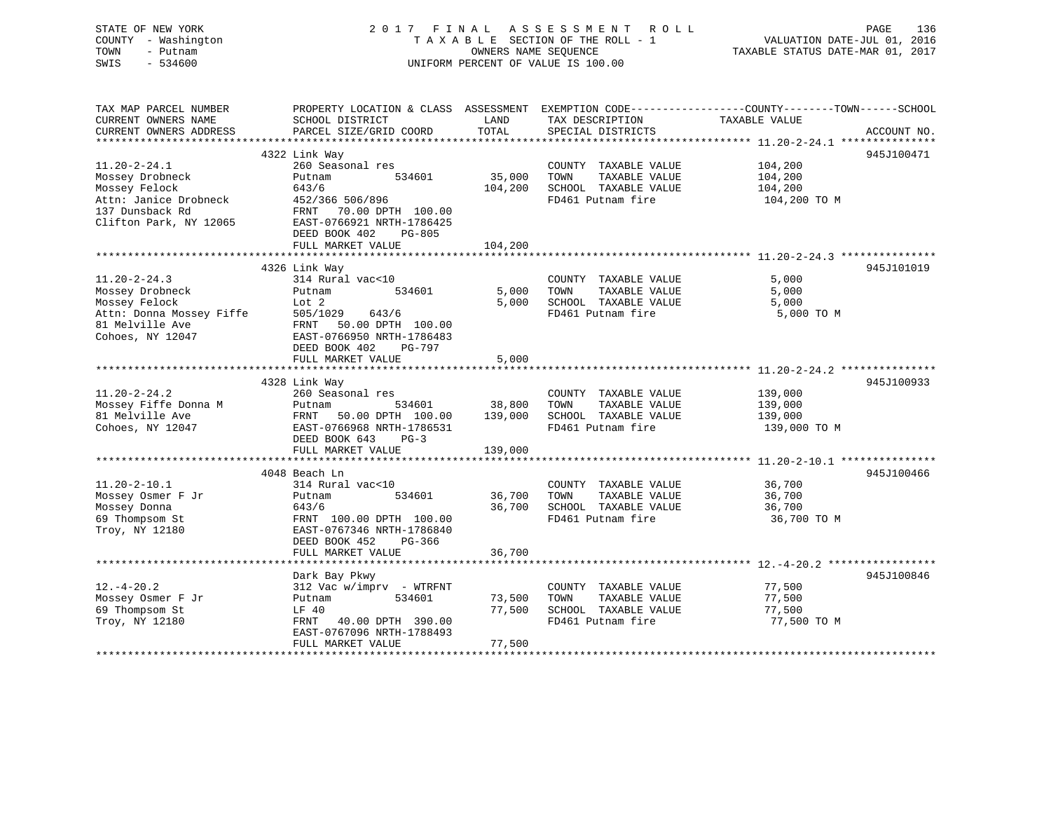| STATE OF NEW YORK<br>COUNTY - Washington<br>- Putnam<br>TOWN<br>$-534600$<br>SWIS                                            | 2017 FINAL                                                                                                                                                   | OWNERS NAME SEQUENCE         | A S S E S S M E N T<br>R O L L<br>TAXABLE SECTION OF THE ROLL - 1<br>UNIFORM PERCENT OF VALUE IS 100.00                                 | VALUATION DATE-JUL 01, 2016<br>TAXABLE STATUS DATE-MAR 01, 2017                                         | PAGE<br>136 |
|------------------------------------------------------------------------------------------------------------------------------|--------------------------------------------------------------------------------------------------------------------------------------------------------------|------------------------------|-----------------------------------------------------------------------------------------------------------------------------------------|---------------------------------------------------------------------------------------------------------|-------------|
| TAX MAP PARCEL NUMBER<br>CURRENT OWNERS NAME<br>CURRENT OWNERS ADDRESS                                                       | SCHOOL DISTRICT<br>PARCEL SIZE/GRID COORD                                                                                                                    | LAND<br>TOTAL<br>*********** | PROPERTY LOCATION & CLASS ASSESSMENT EXEMPTION CODE---------------COUNTY-------TOWN------SCHOOL<br>TAX DESCRIPTION<br>SPECIAL DISTRICTS | TAXABLE VALUE<br>******************* 11.20-2-24.1 ****************                                      | ACCOUNT NO. |
|                                                                                                                              | 4322 Link Way                                                                                                                                                |                              |                                                                                                                                         |                                                                                                         | 945J100471  |
| $11.20 - 2 - 24.1$<br>Mossey Drobneck<br>Mossey Felock<br>Attn: Janice Drobneck<br>137 Dunsback Rd<br>Clifton Park, NY 12065 | 260 Seasonal res<br>Putnam<br>534601<br>643/6<br>452/366 506/896<br>70.00 DPTH 100.00<br>FRNT<br>EAST-0766921 NRTH-1786425<br>DEED BOOK 402<br>PG-805        | 35,000<br>104,200            | COUNTY TAXABLE VALUE<br>TAXABLE VALUE<br>TOWN<br>SCHOOL TAXABLE VALUE<br>FD461 Putnam fire                                              | 104,200<br>104,200<br>104,200<br>104,200 TO M                                                           |             |
|                                                                                                                              | FULL MARKET VALUE                                                                                                                                            | 104,200                      |                                                                                                                                         |                                                                                                         |             |
| $11.20 - 2 - 24.3$                                                                                                           | 4326 Link Way<br>314 Rural vac<10                                                                                                                            |                              | COUNTY TAXABLE VALUE                                                                                                                    | 5,000                                                                                                   | 945J101019  |
| Mossey Drobneck<br>Mossey Felock<br>Attn: Donna Mossey Fiffe<br>81 Melville Ave<br>Cohoes, NY 12047                          | 534601<br>Putnam<br>Lot 2<br>505/1029<br>643/6<br>FRNT 50.00 DPTH 100.00<br>EAST-0766950 NRTH-1786483<br>DEED BOOK 402<br>PG-797                             | 5,000<br>5,000               | TOWN<br>TAXABLE VALUE<br>SCHOOL TAXABLE VALUE<br>FD461 Putnam fire                                                                      | 5,000<br>5,000<br>5,000 TO M                                                                            |             |
|                                                                                                                              | FULL MARKET VALUE                                                                                                                                            | 5,000                        |                                                                                                                                         |                                                                                                         |             |
|                                                                                                                              |                                                                                                                                                              |                              |                                                                                                                                         |                                                                                                         |             |
| $11.20 - 2 - 24.2$<br>Mossey Fiffe Donna M<br>81 Melville Ave<br>Cohoes, NY 12047                                            | 4328 Link Way<br>260 Seasonal res<br>534601<br>Putnam<br>FRNT 50.00 DPTH 100.00<br>EAST-0766968 NRTH-1786531<br>DEED BOOK 643<br>$PG-3$<br>FULL MARKET VALUE | 38,800<br>139,000<br>139,000 | COUNTY TAXABLE VALUE<br>TOWN<br>TAXABLE VALUE<br>SCHOOL TAXABLE VALUE<br>FD461 Putnam fire                                              | 139,000<br>139,000<br>139,000<br>139,000 TO M                                                           | 945J100933  |
|                                                                                                                              |                                                                                                                                                              |                              |                                                                                                                                         |                                                                                                         |             |
| $11.20 - 2 - 10.1$<br>Mossey Osmer F Jr<br>Mossey Donna<br>69 Thompsom St<br>Troy, NY 12180                                  | 4048 Beach Ln<br>314 Rural vac<10<br>Putnam<br>534601<br>643/6<br>FRNT 100.00 DPTH 100.00<br>EAST-0767346 NRTH-1786840<br>DEED BOOK 452<br>PG-366            | 36,700<br>36,700             | COUNTY TAXABLE VALUE<br>TOWN<br>TAXABLE VALUE<br>SCHOOL TAXABLE VALUE<br>FD461 Putnam fire                                              | 36,700<br>36,700<br>36,700<br>36,700 TO M                                                               | 945J100466  |
|                                                                                                                              | FULL MARKET VALUE                                                                                                                                            | 36,700                       |                                                                                                                                         |                                                                                                         |             |
| $12.-4-20.2$<br>Mossey Osmer F Jr<br>69 Thompsom St<br>Troy, NY 12180                                                        | Dark Bay Pkwy<br>312 Vac w/imprv - WTRFNT<br>534601<br>Putnam<br>LF 40<br>FRNT<br>40.00 DPTH 390.00<br>EAST-0767096 NRTH-1788493<br>FULL MARKET VALUE        | 73,500<br>77,500<br>77,500   | COUNTY TAXABLE VALUE<br>TAXABLE VALUE<br>TOWN<br>SCHOOL TAXABLE VALUE<br>FD461 Putnam fire                                              | ***************************** 12.-4-20.2 *****************<br>77,500<br>77,500<br>77,500<br>77,500 TO M | 945J100846  |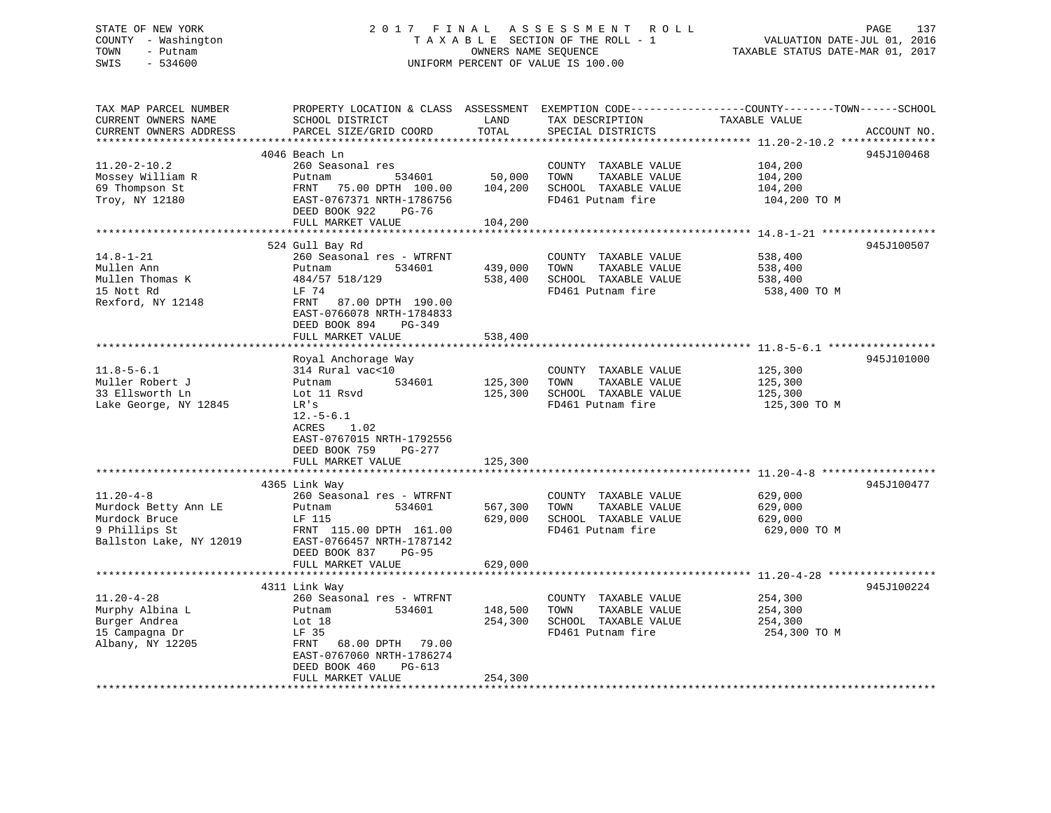# STATE OF NEW YORK 2 0 1 7 F I N A L A S S E S S M E N T R O L L PAGE 137 COUNTY - Washington T A X A B L E SECTION OF THE ROLL - 1 VALUATION DATE-JUL 01, 2016 TOWN - Putnam **CONNERS NAME SEQUENCE** TAXABLE STATUS DATE-MAR 01, 2017 SWIS - 534600 UNIFORM PERCENT OF VALUE IS 100.00

| TAX MAP PARCEL NUMBER<br>CURRENT OWNERS NAME<br>CURRENT OWNERS ADDRESS                               | PROPERTY LOCATION & CLASS ASSESSMENT<br>SCHOOL DISTRICT<br>PARCEL SIZE/GRID COORD                                                                                         | LAND<br>TOTAL                 | TAX DESCRIPTION<br>SPECIAL DISTRICTS                                                       | EXEMPTION CODE-----------------COUNTY-------TOWN------SCHOOL<br>TAXABLE VALUE<br>ACCOUNT NO. |
|------------------------------------------------------------------------------------------------------|---------------------------------------------------------------------------------------------------------------------------------------------------------------------------|-------------------------------|--------------------------------------------------------------------------------------------|----------------------------------------------------------------------------------------------|
| *********************                                                                                |                                                                                                                                                                           |                               |                                                                                            |                                                                                              |
|                                                                                                      | 4046 Beach Ln                                                                                                                                                             |                               |                                                                                            | 945J100468                                                                                   |
| $11.20 - 2 - 10.2$<br>Mossey William R<br>69 Thompson St<br>Troy, NY 12180                           | 260 Seasonal res<br>534601<br>Putnam<br>FRNT 75.00 DPTH 100.00<br>EAST-0767371 NRTH-1786756<br>DEED BOOK 922<br>PG-76                                                     | 50,000<br>104,200             | COUNTY TAXABLE VALUE<br>TOWN<br>TAXABLE VALUE<br>SCHOOL TAXABLE VALUE<br>FD461 Putnam fire | 104,200<br>104,200<br>104,200<br>104,200 TO M                                                |
|                                                                                                      | FULL MARKET VALUE                                                                                                                                                         | 104,200                       |                                                                                            |                                                                                              |
|                                                                                                      |                                                                                                                                                                           |                               |                                                                                            |                                                                                              |
| $14.8 - 1 - 21$<br>Mullen Ann<br>Mullen Thomas K<br>15 Nott Rd<br>Rexford, NY 12148                  | 524 Gull Bay Rd<br>260 Seasonal res - WTRFNT<br>Putnam<br>534601<br>484/57 518/129<br>LF 74<br>FRNT<br>87.00 DPTH 190.00<br>EAST-0766078 NRTH-1784833                     | 439,000<br>538,400            | COUNTY TAXABLE VALUE<br>TAXABLE VALUE<br>TOWN<br>SCHOOL TAXABLE VALUE<br>FD461 Putnam fire | 945J100507<br>538,400<br>538,400<br>538,400<br>538,400 TO M                                  |
|                                                                                                      | DEED BOOK 894<br>PG-349                                                                                                                                                   |                               |                                                                                            |                                                                                              |
|                                                                                                      | FULL MARKET VALUE                                                                                                                                                         | 538,400                       |                                                                                            |                                                                                              |
|                                                                                                      | Royal Anchorage Way                                                                                                                                                       |                               |                                                                                            | 945J101000                                                                                   |
| $11.8 - 5 - 6.1$<br>Muller Robert J<br>33 Ellsworth Ln<br>Lake George, NY 12845                      | 314 Rural vac<10<br>534601<br>Putnam<br>Lot 11 Rsvd<br>LR's<br>$12.-5-6.1$<br>ACRES<br>1.02                                                                               | 125,300<br>125,300            | COUNTY TAXABLE VALUE<br>TOWN<br>TAXABLE VALUE<br>SCHOOL TAXABLE VALUE<br>FD461 Putnam fire | 125,300<br>125,300<br>125,300<br>125,300 TO M                                                |
|                                                                                                      | EAST-0767015 NRTH-1792556<br>DEED BOOK 759<br>PG-277<br>FULL MARKET VALUE                                                                                                 | 125,300                       |                                                                                            |                                                                                              |
|                                                                                                      | 4365 Link Way                                                                                                                                                             |                               |                                                                                            | 945J100477                                                                                   |
| $11.20 - 4 - 8$<br>Murdock Betty Ann LE<br>Murdock Bruce<br>9 Phillips St<br>Ballston Lake, NY 12019 | 260 Seasonal res - WTRFNT<br>534601<br>Putnam<br>LF 115<br>FRNT 115.00 DPTH 161.00<br>EAST-0766457 NRTH-1787142<br>DEED BOOK 837<br><b>PG-95</b>                          | 567,300<br>629,000            | COUNTY TAXABLE VALUE<br>TAXABLE VALUE<br>TOWN<br>SCHOOL TAXABLE VALUE<br>FD461 Putnam fire | 629,000<br>629,000<br>629,000<br>629,000 ТО М                                                |
|                                                                                                      | FULL MARKET VALUE                                                                                                                                                         | 629,000                       |                                                                                            |                                                                                              |
|                                                                                                      | 4311 Link Way                                                                                                                                                             |                               |                                                                                            | 945J100224                                                                                   |
| $11.20 - 4 - 28$<br>Murphy Albina L<br>Burger Andrea<br>15 Campagna Dr<br>Albany, NY 12205           | 260 Seasonal res - WTRFNT<br>Putnam<br>534601<br>Lot 18<br>LF 35<br>68.00 DPTH 79.00<br>FRNT<br>EAST-0767060 NRTH-1786274<br>DEED BOOK 460<br>PG-613<br>FULL MARKET VALUE | 148,500<br>254,300<br>254,300 | COUNTY TAXABLE VALUE<br>TOWN<br>TAXABLE VALUE<br>SCHOOL TAXABLE VALUE<br>FD461 Putnam fire | 254,300<br>254,300<br>254,300<br>254,300 TO M                                                |
|                                                                                                      |                                                                                                                                                                           |                               |                                                                                            |                                                                                              |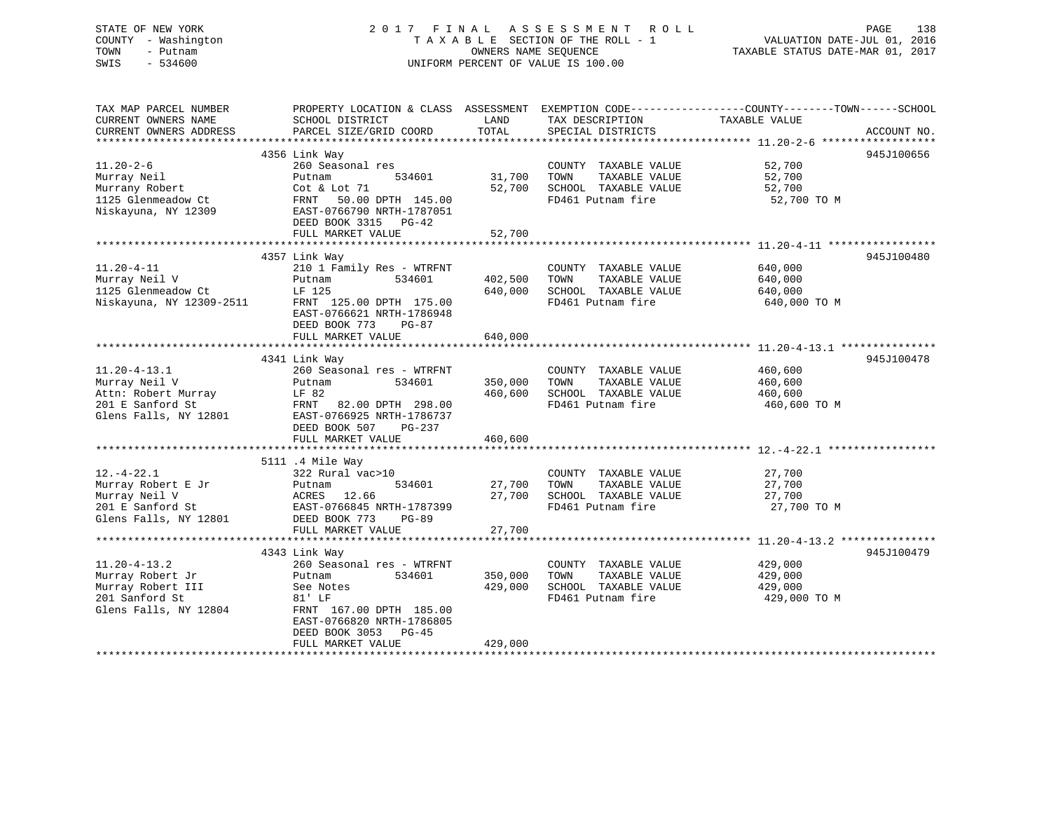# STATE OF NEW YORK 2 0 1 7 F I N A L A S S E S S M E N T R O L L PAGE 138 COUNTY - Washington T A X A B L E SECTION OF THE ROLL - 1 VALUATION DATE-JUL 01, 2016 TOWN - Putnam OWNERS NAME SEQUENCE TAXABLE STATUS DATE-MAR 01, 2017 SWIS - 534600 UNIFORM PERCENT OF VALUE IS 100.00

| TAX MAP PARCEL NUMBER<br>CURRENT OWNERS NAME<br>CURRENT OWNERS ADDRESS | SCHOOL DISTRICT<br>PARCEL SIZE/GRID COORD                                         | LAND<br>TOTAL      | TAX DESCRIPTION<br>SPECIAL DISTRICTS                                                       | PROPERTY LOCATION & CLASS ASSESSMENT EXEMPTION CODE----------------COUNTY-------TOWN------SCHOOL<br>TAXABLE VALUE<br>ACCOUNT NO. |
|------------------------------------------------------------------------|-----------------------------------------------------------------------------------|--------------------|--------------------------------------------------------------------------------------------|----------------------------------------------------------------------------------------------------------------------------------|
|                                                                        | 4356 Link Way                                                                     |                    |                                                                                            | 945J100656                                                                                                                       |
| $11.20 - 2 - 6$<br>Murray Neil<br>Murrany Robert<br>1125 Glenmeadow Ct | 260 Seasonal res<br>534601<br>Putnam<br>Cot & Lot 71<br>FRNT<br>50.00 DPTH 145.00 | 31,700<br>52,700   | COUNTY TAXABLE VALUE<br>TOWN<br>TAXABLE VALUE<br>SCHOOL TAXABLE VALUE<br>FD461 Putnam fire | 52,700<br>52,700<br>52,700<br>52,700 TO M                                                                                        |
| Niskayuna, NY 12309                                                    | EAST-0766790 NRTH-1787051<br>DEED BOOK 3315 PG-42<br>FULL MARKET VALUE            | 52,700             |                                                                                            |                                                                                                                                  |
|                                                                        |                                                                                   |                    |                                                                                            |                                                                                                                                  |
|                                                                        | 4357 Link Way                                                                     |                    |                                                                                            | 945J100480                                                                                                                       |
| $11.20 - 4 - 11$<br>Murray Neil V                                      | 210 1 Family Res - WTRFNT<br>534601<br>Putnam                                     | 402,500            | COUNTY TAXABLE VALUE<br>TOWN<br>TAXABLE VALUE                                              | 640,000<br>640,000                                                                                                               |
| 1125 Glenmeadow Ct<br>Niskayuna, NY 12309-2511                         | LF 125<br>FRNT 125.00 DPTH 175.00<br>EAST-0766621 NRTH-1786948                    | 640,000            | SCHOOL TAXABLE VALUE<br>FD461 Putnam fire                                                  | 640,000<br>640,000 TO M                                                                                                          |
|                                                                        | DEED BOOK 773<br>$PG-87$                                                          |                    |                                                                                            |                                                                                                                                  |
|                                                                        | FULL MARKET VALUE                                                                 | 640,000            |                                                                                            |                                                                                                                                  |
|                                                                        |                                                                                   |                    |                                                                                            |                                                                                                                                  |
|                                                                        | 4341 Link Way                                                                     |                    |                                                                                            | 945J100478                                                                                                                       |
| $11.20 - 4 - 13.1$                                                     | 260 Seasonal res - WTRFNT                                                         |                    | COUNTY TAXABLE VALUE                                                                       | 460,600                                                                                                                          |
| Murray Neil V                                                          | 534601<br>Putnam                                                                  | 350,000            | TOWN<br>TAXABLE VALUE                                                                      | 460,600                                                                                                                          |
| Attn: Robert Murray                                                    | LF 82                                                                             | 460,600            | SCHOOL TAXABLE VALUE                                                                       | 460,600                                                                                                                          |
| 201 E Sanford St                                                       | FRNT<br>82.00 DPTH 298.00                                                         |                    | FD461 Putnam fire                                                                          | 460,600 TO M                                                                                                                     |
| Glens Falls, NY 12801                                                  | EAST-0766925 NRTH-1786737                                                         |                    |                                                                                            |                                                                                                                                  |
|                                                                        | DEED BOOK 507<br>PG-237                                                           |                    |                                                                                            |                                                                                                                                  |
|                                                                        | FULL MARKET VALUE                                                                 | 460,600            |                                                                                            |                                                                                                                                  |
|                                                                        |                                                                                   |                    |                                                                                            |                                                                                                                                  |
|                                                                        | 5111 .4 Mile Way                                                                  |                    |                                                                                            |                                                                                                                                  |
| $12.-4-22.1$                                                           | 322 Rural vac>10                                                                  |                    | COUNTY TAXABLE VALUE                                                                       | 27,700                                                                                                                           |
| Murray Robert E Jr                                                     | 534601<br>Putnam                                                                  | 27,700             | TOWN<br>TAXABLE VALUE                                                                      | 27,700                                                                                                                           |
| Murray Neil V                                                          | ACRES<br>12.66                                                                    | 27,700             | SCHOOL TAXABLE VALUE                                                                       | 27,700                                                                                                                           |
| 201 E Sanford St                                                       | EAST-0766845 NRTH-1787399                                                         |                    | FD461 Putnam fire                                                                          | 27,700 TO M                                                                                                                      |
| Glens Falls, NY 12801                                                  | DEED BOOK 773<br>$PG-89$                                                          |                    |                                                                                            |                                                                                                                                  |
|                                                                        | FULL MARKET VALUE                                                                 | 27,700             |                                                                                            |                                                                                                                                  |
|                                                                        |                                                                                   |                    |                                                                                            | 945J100479                                                                                                                       |
| $11.20 - 4 - 13.2$                                                     | 4343 Link Way<br>260 Seasonal res - WTRFNT                                        |                    | COUNTY TAXABLE VALUE                                                                       | 429,000                                                                                                                          |
|                                                                        | 534601                                                                            |                    | TOWN                                                                                       |                                                                                                                                  |
| Murray Robert Jr<br>Murray Robert III                                  | Putnam<br>See Notes                                                               | 350,000<br>429,000 | TAXABLE VALUE<br>SCHOOL TAXABLE VALUE                                                      | 429,000<br>429,000                                                                                                               |
| 201 Sanford St                                                         | 81' LF                                                                            |                    | FD461 Putnam fire                                                                          | 429,000 TO M                                                                                                                     |
| Glens Falls, NY 12804                                                  | FRNT 167.00 DPTH 185.00                                                           |                    |                                                                                            |                                                                                                                                  |
|                                                                        | EAST-0766820 NRTH-1786805<br>DEED BOOK 3053 PG-45                                 |                    |                                                                                            |                                                                                                                                  |
|                                                                        | FULL MARKET VALUE                                                                 | 429,000            |                                                                                            |                                                                                                                                  |
|                                                                        |                                                                                   |                    |                                                                                            |                                                                                                                                  |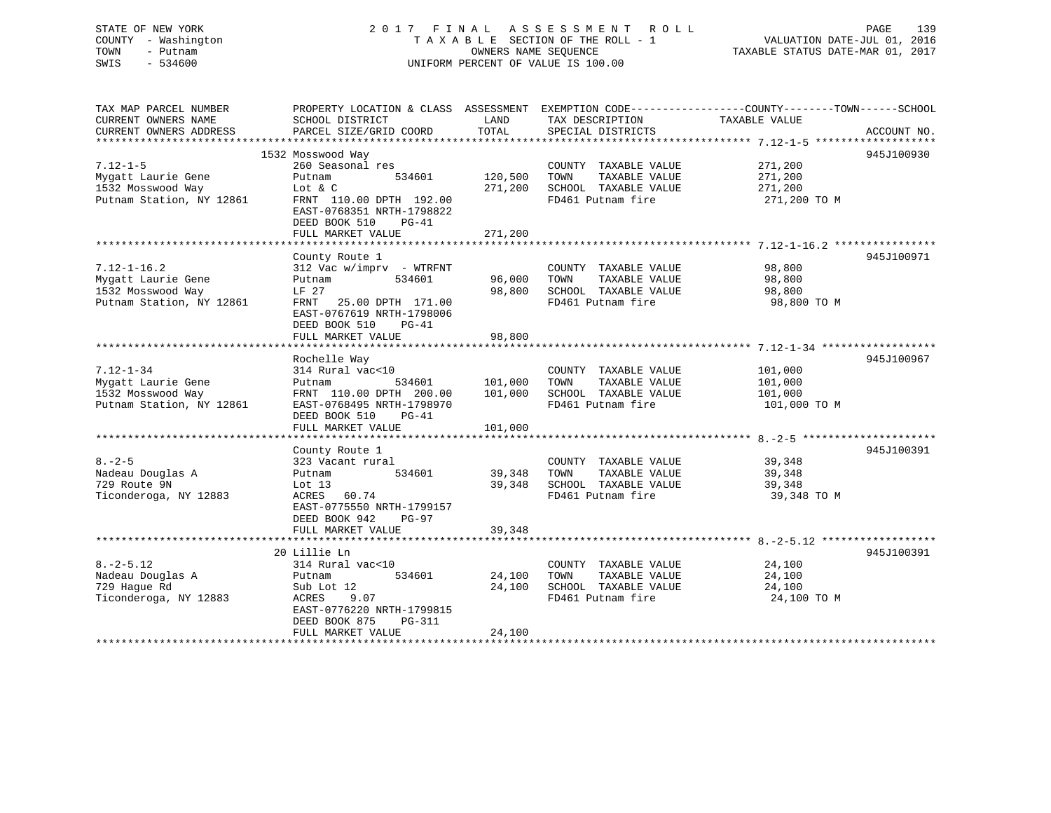# STATE OF NEW YORK 2 0 1 7 F I N A L A S S E S S M E N T R O L L PAGE 139 COUNTY - Washington T A X A B L E SECTION OF THE ROLL - 1 VALUATION DATE-JUL 01, 2016 TOWN - Putnam OWNERS NAME SEQUENCE TAXABLE STATUS DATE-MAR 01, 2017 SWIS - 534600 UNIFORM PERCENT OF VALUE IS 100.00

| TAX MAP PARCEL NUMBER<br>CURRENT OWNERS NAME<br>CURRENT OWNERS ADDRESS                   | PROPERTY LOCATION & CLASS ASSESSMENT<br>SCHOOL DISTRICT<br>PARCEL SIZE/GRID COORD                                                                                                  | LAND<br>TOTAL                 | TAX DESCRIPTION<br>SPECIAL DISTRICTS                                                       | EXEMPTION CODE-----------------COUNTY-------TOWN------SCHOOL<br>TAXABLE VALUE | ACCOUNT NO. |
|------------------------------------------------------------------------------------------|------------------------------------------------------------------------------------------------------------------------------------------------------------------------------------|-------------------------------|--------------------------------------------------------------------------------------------|-------------------------------------------------------------------------------|-------------|
|                                                                                          |                                                                                                                                                                                    |                               |                                                                                            |                                                                               |             |
| $7.12 - 1 - 5$<br>Mygatt Laurie Gene<br>1532 Mosswood Way<br>Putnam Station, NY 12861    | 1532 Mosswood Way<br>260 Seasonal res<br>534601<br>Putnam<br>Lot $\&$ C<br>FRNT 110.00 DPTH 192.00<br>EAST-0768351 NRTH-1798822<br>DEED BOOK 510<br>$PG-41$<br>FULL MARKET VALUE   | 120,500<br>271,200<br>271,200 | COUNTY TAXABLE VALUE<br>TAXABLE VALUE<br>TOWN<br>SCHOOL TAXABLE VALUE<br>FD461 Putnam fire | 271,200<br>271,200<br>271,200<br>271,200 TO M                                 | 945J100930  |
| $7.12 - 1 - 16.2$<br>Mygatt Laurie Gene<br>1532 Mosswood Way<br>Putnam Station, NY 12861 | County Route 1<br>312 Vac w/imprv - WTRFNT<br>Putnam<br>534601<br>LF 27<br>25.00 DPTH 171.00<br>FRNT<br>EAST-0767619 NRTH-1798006<br>DEED BOOK 510<br>$PG-41$<br>FULL MARKET VALUE | 96,000<br>98,800<br>98,800    | COUNTY TAXABLE VALUE<br>TAXABLE VALUE<br>TOWN<br>SCHOOL TAXABLE VALUE<br>FD461 Putnam fire | 98,800<br>98,800<br>98,800<br>98,800 TO M                                     | 945J100971  |
| $7.12 - 1 - 34$<br>Mygatt Laurie Gene<br>1532 Mosswood Way<br>Putnam Station, NY 12861   | Rochelle Way<br>314 Rural vac<10<br>534601<br>Putnam<br>FRNT 110.00 DPTH 200.00<br>EAST-0768495 NRTH-1798970<br>DEED BOOK 510<br>$PG-41$<br>FULL MARKET VALUE                      | 101,000<br>101,000<br>101,000 | COUNTY TAXABLE VALUE<br>TAXABLE VALUE<br>TOWN<br>SCHOOL TAXABLE VALUE<br>FD461 Putnam fire | 101,000<br>101,000<br>101,000<br>101,000 TO M                                 | 945J100967  |
| $8. - 2 - 5$<br>Nadeau Douglas A<br>729 Route 9N<br>Ticonderoga, NY 12883                | County Route 1<br>323 Vacant rural<br>534601<br>Putnam<br>Lot $13$<br>ACRES<br>60.74<br>EAST-0775550 NRTH-1799157<br>DEED BOOK 942<br>PG-97<br>FULL MARKET VALUE                   | 39,348<br>39,348<br>39,348    | COUNTY TAXABLE VALUE<br>TAXABLE VALUE<br>TOWN<br>SCHOOL TAXABLE VALUE<br>FD461 Putnam fire | 39,348<br>39,348<br>39,348<br>39,348 TO M                                     | 945J100391  |
| $8. - 2 - 5.12$<br>Nadeau Douglas A<br>729 Hague Rd<br>Ticonderoga, NY 12883             | 20 Lillie Ln<br>314 Rural vac<10<br>534601<br>Putnam<br>Sub Lot 12<br>ACRES<br>9.07<br>EAST-0776220 NRTH-1799815<br>DEED BOOK 875<br>PG-311<br>FULL MARKET VALUE                   | 24,100<br>24,100<br>24,100    | COUNTY TAXABLE VALUE<br>TAXABLE VALUE<br>TOWN<br>SCHOOL TAXABLE VALUE<br>FD461 Putnam fire | 24,100<br>24,100<br>24,100<br>24,100 TO M                                     | 945J100391  |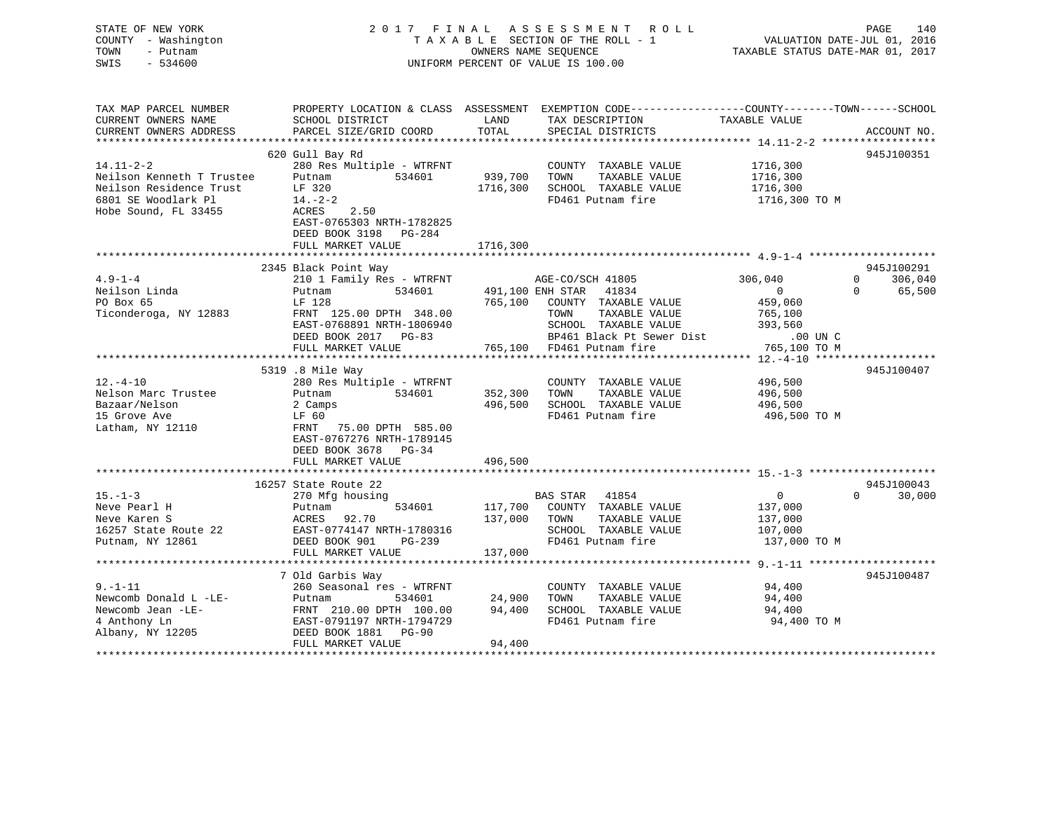# STATE OF NEW YORK 2 0 1 7 F I N A L A S S E S S M E N T R O L L PAGE 140 COUNTY - Washington T A X A B L E SECTION OF THE ROLL - 1 VALUATION DATE-JUL 01, 2016 TOWN - Putnam OWNERS NAME SEQUENCE TAXABLE STATUS DATE-MAR 01, 2017 SWIS - 534600 UNIFORM PERCENT OF VALUE IS 100.00

| TAX MAP PARCEL NUMBER<br>CURRENT OWNERS NAME | PROPERTY LOCATION & CLASS ASSESSMENT<br>SCHOOL DISTRICT                               | LAND     | EXEMPTION CODE-----------------COUNTY-------TOWN------SCHOOL<br>TAX DESCRIPTION | TAXABLE VALUE     |                     |
|----------------------------------------------|---------------------------------------------------------------------------------------|----------|---------------------------------------------------------------------------------|-------------------|---------------------|
| CURRENT OWNERS ADDRESS                       | PARCEL SIZE/GRID COORD                                                                | TOTAL    | SPECIAL DISTRICTS                                                               |                   | ACCOUNT NO.         |
|                                              | 620 Gull Bay Rd                                                                       |          |                                                                                 |                   | 945J100351          |
| $14.11 - 2 - 2$                              | 280 Res Multiple - WTRFNT                                                             |          | COUNTY TAXABLE VALUE                                                            | 1716,300          |                     |
| Neilson Kenneth T Trustee                    | 534601<br>Putnam                                                                      | 939,700  | TOWN<br>TAXABLE VALUE                                                           | 1716,300          |                     |
| Neilson Residence Trust                      | LF 320                                                                                | 1716,300 | SCHOOL TAXABLE VALUE                                                            | 1716,300          |                     |
| 6801 SE Woodlark Pl                          | $14. -2 - 2$                                                                          |          | FD461 Putnam fire                                                               | 1716,300 TO M     |                     |
| Hobe Sound, FL 33455                         | ACRES 2.50<br>EAST-0765303 NRTH-1782825<br>DEED BOOK 3198 PG-284<br>FULL MARKET VALUE | 1716,300 |                                                                                 |                   |                     |
|                                              |                                                                                       |          |                                                                                 |                   |                     |
|                                              | 2345 Black Point Way                                                                  |          |                                                                                 |                   | 945J100291          |
| $4.9 - 1 - 4$                                | 210 1 Family Res - WTRFNT                                                             |          | AGE-CO/SCH 41805                                                                | 306,040           | $\Omega$<br>306,040 |
| Neilson Linda                                | 534601<br>Putnam                                                                      |          | 491,100 ENH STAR<br>41834                                                       | $\overline{0}$    | $\Omega$<br>65,500  |
| PO Box 65                                    | LF 128                                                                                | 765,100  | COUNTY TAXABLE VALUE                                                            | 459,060           |                     |
| Ticonderoga, NY 12883                        | FRNT 125.00 DPTH 348.00                                                               |          | TOWN<br>TAXABLE VALUE                                                           | 765,100           |                     |
|                                              | EAST-0768891 NRTH-1806940                                                             |          | SCHOOL TAXABLE VALUE                                                            | 393,560           |                     |
|                                              | DEED BOOK 2017 PG-83                                                                  |          | BP461 Black Pt Sewer Dist                                                       | $.00$ UN C        |                     |
|                                              | FULL MARKET VALUE                                                                     |          | 765,100 FD461 Putnam fire                                                       | 765,100 TO M      |                     |
|                                              |                                                                                       |          |                                                                                 |                   |                     |
|                                              | 5319 .8 Mile Way                                                                      |          |                                                                                 |                   | 945J100407          |
| $12. - 4 - 10$                               | 280 Res Multiple - WTRFNT                                                             |          | COUNTY TAXABLE VALUE                                                            | 496,500           |                     |
| Nelson Marc Trustee                          | 534601<br>Putnam                                                                      | 352,300  | TAXABLE VALUE<br>TOWN                                                           | 496,500           |                     |
| Bazaar/Nelson                                | 2 Camps                                                                               | 496,500  | SCHOOL TAXABLE VALUE                                                            | 496,500           |                     |
| 15 Grove Ave                                 | LF 60                                                                                 |          | FD461 Putnam fire                                                               | 496,500 TO M      |                     |
| Latham, NY 12110                             | FRNT 75.00 DPTH 585.00                                                                |          |                                                                                 |                   |                     |
|                                              | EAST-0767276 NRTH-1789145<br>DEED BOOK 3678 PG-34                                     |          |                                                                                 |                   |                     |
|                                              | FULL MARKET VALUE                                                                     | 496,500  |                                                                                 |                   |                     |
|                                              |                                                                                       |          |                                                                                 |                   |                     |
|                                              | 16257 State Route 22                                                                  |          |                                                                                 |                   | 945J100043          |
| $15. - 1 - 3$                                | 270 Mfg housing                                                                       |          | BAS STAR 41854                                                                  | $0 \qquad \qquad$ | $\Omega$<br>30,000  |
| Neve Pearl H                                 | 534601<br>Putnam                                                                      |          | 117,700 COUNTY TAXABLE VALUE                                                    | 137,000           |                     |
| Neve Karen S                                 | ACRES 92.70                                                                           | 137,000  | TOWN<br>TAXABLE VALUE                                                           | 137,000           |                     |
| 16257 State Route 22                         | EAST-0774147 NRTH-1780316                                                             |          | SCHOOL TAXABLE VALUE                                                            | 107,000           |                     |
| Putnam, NY 12861                             | DEED BOOK 901<br>PG-239                                                               |          | FD461 Putnam fire                                                               | 137,000 TO M      |                     |
|                                              | FULL MARKET VALUE                                                                     | 137,000  |                                                                                 |                   |                     |
|                                              |                                                                                       |          |                                                                                 |                   |                     |
|                                              | 7 Old Garbis Way                                                                      |          |                                                                                 |                   | 945J100487          |
| $9. - 1 - 11$                                | 260 Seasonal res - WTRFNT                                                             |          | COUNTY TAXABLE VALUE                                                            | 94,400            |                     |
| Newcomb Donald L -LE-                        | Putnam<br>534601                                                                      | 24,900   | TAXABLE VALUE<br>TOWN                                                           | 94,400            |                     |
| Newcomb Jean -LE-                            | FRNT 210.00 DPTH 100.00                                                               | 94,400   | SCHOOL TAXABLE VALUE                                                            | 94,400            |                     |
| 4 Anthony Ln                                 | EAST-0791197 NRTH-1794729                                                             |          | FD461 Putnam fire                                                               | 94,400 TO M       |                     |
| Albany, NY 12205                             | DEED BOOK 1881 PG-90                                                                  |          |                                                                                 |                   |                     |
|                                              | FULL MARKET VALUE                                                                     | 94,400   |                                                                                 |                   |                     |
|                                              |                                                                                       |          |                                                                                 |                   |                     |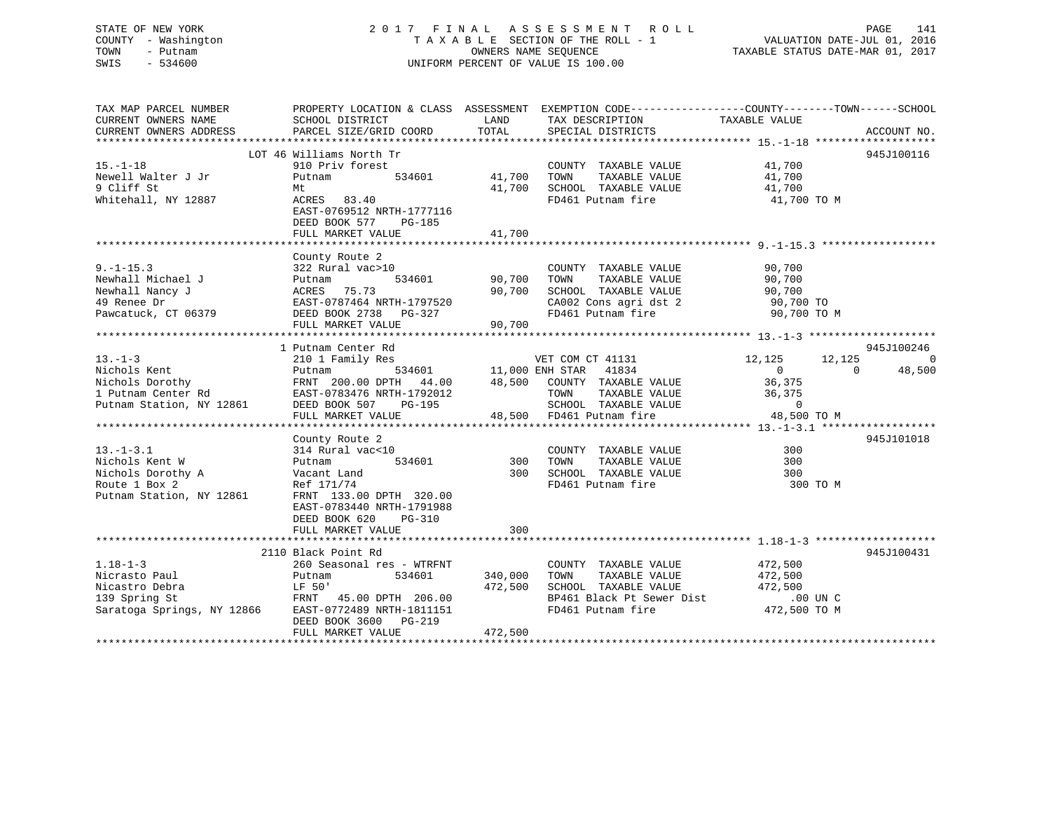# STATE OF NEW YORK 2 0 1 7 F I N A L A S S E S S M E N T R O L L PAGE 141 COUNTY - Washington T A X A B L E SECTION OF THE ROLL - 1 VALUATION DATE-JUL 01, 2016 TOWN - Putnam OWNERS NAME SEQUENCE TAXABLE STATUS DATE-MAR 01, 2017 SWIS - 534600 UNIFORM PERCENT OF VALUE IS 100.00

| TAX MAP PARCEL NUMBER<br>CURRENT OWNERS NAME<br>CURRENT OWNERS ADDRESS                                                                                                                                                                                                                            | PROPERTY LOCATION & CLASS ASSESSMENT EXEMPTION CODE----------------COUNTY-------TOWN-----SCHOOL<br>SCHOOL DISTRICT<br>PARCEL SIZE/GRID COORD                                      | LAND<br>TOTAL              | TAX DESCRIPTION TAXABLE VALUE SPECIAL DISTRICTS                                                                                                                                                                                                                                                                                                                                                                                                                                                                                                    |                                    | ACCOUNT NO.                                    |
|---------------------------------------------------------------------------------------------------------------------------------------------------------------------------------------------------------------------------------------------------------------------------------------------------|-----------------------------------------------------------------------------------------------------------------------------------------------------------------------------------|----------------------------|----------------------------------------------------------------------------------------------------------------------------------------------------------------------------------------------------------------------------------------------------------------------------------------------------------------------------------------------------------------------------------------------------------------------------------------------------------------------------------------------------------------------------------------------------|------------------------------------|------------------------------------------------|
| $15. - 1 - 18$<br>Newell Walter J Jr<br>9 Cliff St<br>Whitehall, NY 12887                                                                                                                                                                                                                         | LOT 46 Williams North Tr<br>910 Priv forest<br>534601<br>Putnam<br>Mt<br>ACRES 83.40<br>EAST-0769512 NRTH-1777116<br>DEED BOOK 577<br>PG-185<br>FULL MARKET VALUE                 | 41,700<br>41,700<br>41,700 | $\begin{tabular}{lllllllllll} \multicolumn{2}{c}{\textbf{COUNTY}} & \textbf{TAXABLE VALUE} & & & \multicolumn{2}{c}{\textbf{41,700}} \\ \multicolumn{2}{c}{\textbf{TOWN}} & \textbf{TAXABLE VALUE} & & & \multicolumn{2}{c}{\textbf{41,700}} \\ \multicolumn{2}{c}{\textbf{TOWN}} & \multicolumn{2}{c}{\textbf{TAXABLE VALUE}} & & & \multicolumn{2}{c}{\textbf{5.1}} \\ \multicolumn{2}{c}{\textbf{TAYN}} & \multicolumn{2}{c}{\textbf{TAYN}} & \multicolumn{2}{c}{\textbf{$<br>TAXABLE VALUE<br>SCHOOL TAXABLE VALUE 41,700<br>FD461 Putnam fire | 41,700 TO M                        | 945J100116                                     |
| $9. - 1 - 15.3$<br>9.-1-15.3<br>Newhall Michael J<br>Newhall Nancy J<br>190,700<br>190,700<br>19 Renee Dr<br>20,700<br>20,700<br>20,700<br>20,700<br>20,700<br>20,700<br>20,700<br>20,700<br>20,700<br>20,700<br>20,700<br>20,700<br>20,700<br>20,700<br>20,700<br>20,700<br>20,700<br>20,700<br> | County Route 2<br>322 Rural vac>10<br>FULL MARKET VALUE                                                                                                                           | 90,700                     | COUNTY TAXABLE VALUE<br>TAXABLE VALUE<br>TOWN<br>SCHOOL TAXABLE VALUE 90,700<br>CA002 Cons agri dst 2 90,700 TO<br>CA002 Cons agri dst 2 90,700 TO<br>FD461 Putnam fire 90,700 TO M                                                                                                                                                                                                                                                                                                                                                                | 90,700<br>90,700                   |                                                |
| $13. -1 - 3$<br>Nichols Kent<br>Nichols Dorothy<br>1 Putnam Center Rd 2012 1 Putnam Center Rd 2012<br>Putnam Station, NY 12861 2 DEED BOOK 507 PG-195 48,500 FD461 Putnam fire<br>Putnam Station, NY 12861 DEED BOOK 507 PG-195 48,500 FD461 Putnam fire                                          | 1 Putnam Center Rd<br>210 1 Family Res<br>Putnam 534601 11,000 ENH STAR 41834<br>FRNT 200.00 DPTH 44.00 48,500 COUNTY TAXABLE VALUE                                               |                            | VET COM CT 41131 12,125<br>TOWN TAXABLE VALUE 36,375<br>SCHOOL TAXABLE VALUE 0<br>FD461 Putnam fire 48,500 TO M                                                                                                                                                                                                                                                                                                                                                                                                                                    | 12,125<br>$\overline{0}$<br>36,375 | 945J100246<br>$\Omega$<br>$\bigcirc$<br>48,500 |
| $13.-1-3.1$<br>Nichols Kent W<br>Nichols Dorothy A<br>Poute 1 Box 2<br>Putnam Station, NY 12861                                                                                                                                                                                                   | County Route 2<br>314 Rural vac<10<br>Putnam<br>Vacant Land<br>Ref 171/74<br>FRNT 133.00 DPTH 320.00<br>EAST-0783440 NRTH-1791988<br>DEED BOOK 620<br>PG-310<br>FULL MARKET VALUE | 300<br>300                 | COUNTY TAXABLE VALUE<br>TAXABLE VALUE<br>TOWN<br>SCHOOL TAXABLE VALUE<br>FD461 Putnam fire                                                                                                                                                                                                                                                                                                                                                                                                                                                         | 300<br>300<br>300<br>300 TO M      | 945J101018                                     |
| $1.18 - 1 - 3$<br>Nicrasto Paul<br>Nicastro Debra<br>139 Spring St<br>Saratoga Springs, NY 12866 EAST-0772489 NRTH-1811151                                                                                                                                                                        | 2110 Black Point Rd<br>260 Seasonal res - WTRFNT<br>534601<br>Putnam<br>DEED BOOK 3600 PG-219<br>FULL MARKET VALUE                                                                | 340,000<br>472,500         | COUNTY TAXABLE VALUE<br>TAXABLE VALUE<br>TOWN<br>SCHOOL TAXABLE VALUE 472,500<br>BP461 Black Pt Sewer Dist .00 UN C<br>FD461 Putnam fire  472,500 TO M<br>FD461 Putnam fire                                                                                                                                                                                                                                                                                                                                                                        | 472,500<br>472,500                 | 945J100431                                     |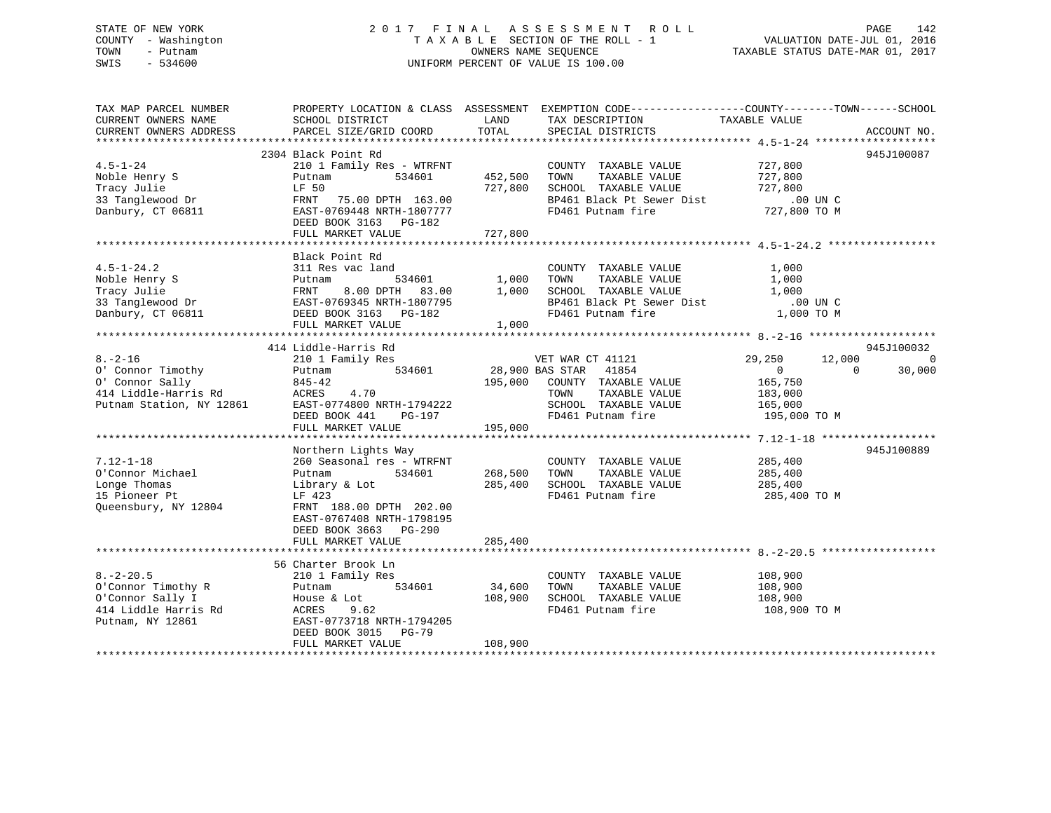# STATE OF NEW YORK 2 0 1 7 F I N A L A S S E S S M E N T R O L L PAGE 142 COUNTY - Washington T A X A B L E SECTION OF THE ROLL - 1 VALUATION DATE-JUL 01, 2016 TOWN - Putnam OWNERS NAME SEQUENCE TAXABLE STATUS DATE-MAR 01, 2017 SWIS - 534600 UNIFORM PERCENT OF VALUE IS 100.00

| TAX MAP PARCEL NUMBER<br>CURRENT OWNERS NAME<br>CURRENT OWNERS ADDRESS | PROPERTY LOCATION & CLASS ASSESSMENT<br>SCHOOL DISTRICT<br>PARCEL SIZE/GRID COORD | LAND<br>TOTAL | EXEMPTION CODE-----------------COUNTY-------TOWN------SCHOOL<br>TAX DESCRIPTION<br>SPECIAL DISTRICTS | TAXABLE VALUE    | ACCOUNT NO.        |
|------------------------------------------------------------------------|-----------------------------------------------------------------------------------|---------------|------------------------------------------------------------------------------------------------------|------------------|--------------------|
|                                                                        |                                                                                   |               |                                                                                                      |                  |                    |
|                                                                        | 2304 Black Point Rd                                                               |               |                                                                                                      |                  | 945J100087         |
| $4.5 - 1 - 24$                                                         | 210 1 Family Res - WTRFNT                                                         |               | COUNTY TAXABLE VALUE                                                                                 | 727,800          |                    |
| Noble Henry S                                                          | 534601<br>Putnam                                                                  | 452,500       | TOWN<br>TAXABLE VALUE                                                                                | 727,800          |                    |
| Tracy Julie                                                            | LF 50                                                                             | 727,800       | SCHOOL TAXABLE VALUE                                                                                 | 727,800          |                    |
| 33 Tanglewood Dr                                                       | FRNT<br>75.00 DPTH 163.00                                                         |               | BP461 Black Pt Sewer Dist                                                                            | $.00$ UN $C$     |                    |
| Danbury, CT 06811                                                      | EAST-0769448 NRTH-1807777                                                         |               | FD461 Putnam fire                                                                                    | 727,800 TO M     |                    |
|                                                                        | DEED BOOK 3163 PG-182                                                             |               |                                                                                                      |                  |                    |
|                                                                        | FULL MARKET VALUE                                                                 | 727,800       |                                                                                                      |                  |                    |
|                                                                        |                                                                                   |               |                                                                                                      |                  |                    |
|                                                                        | Black Point Rd                                                                    |               |                                                                                                      |                  |                    |
| $4.5 - 1 - 24.2$                                                       | 311 Res vac land                                                                  |               | COUNTY TAXABLE VALUE                                                                                 | 1,000            |                    |
| Noble Henry S                                                          | 534601<br>Putnam                                                                  | 1,000         | TAXABLE VALUE<br>TOWN                                                                                | 1,000            |                    |
| Tracy Julie                                                            | 8.00 DPTH 83.00<br>FRNT                                                           | 1,000         | SCHOOL TAXABLE VALUE                                                                                 | 1,000            |                    |
| 33 Tanglewood Dr                                                       | EAST-0769345 NRTH-1807795                                                         |               | BP461 Black Pt Sewer Dist                                                                            | $.00$ UN C       |                    |
| Danbury, CT 06811                                                      | DEED BOOK 3163 PG-182                                                             |               | FD461 Putnam fire                                                                                    | 1,000 TO M       |                    |
|                                                                        | FULL MARKET VALUE                                                                 | 1,000         |                                                                                                      |                  |                    |
|                                                                        |                                                                                   |               |                                                                                                      |                  |                    |
|                                                                        | 414 Liddle-Harris Rd                                                              |               |                                                                                                      |                  | 945J100032         |
| $8. - 2 - 16$                                                          | 210 1 Family Res                                                                  |               | VET WAR CT 41121                                                                                     | 29,250<br>12,000 | $\Omega$           |
| 0' Connor Timothy                                                      | 534601<br>Putnam                                                                  |               | 28,900 BAS STAR<br>41854                                                                             | $\overline{0}$   | $\Omega$<br>30,000 |
| 0' Connor Sally                                                        | $845 - 42$                                                                        |               | 195,000 COUNTY TAXABLE VALUE                                                                         | 165,750          |                    |
| 414 Liddle-Harris Rd                                                   | ACRES<br>4.70                                                                     |               | TOWN<br>TAXABLE VALUE                                                                                | 183,000          |                    |
| Putnam Station, NY 12861                                               | EAST-0774800 NRTH-1794222                                                         |               | SCHOOL TAXABLE VALUE                                                                                 | 165,000          |                    |
|                                                                        | DEED BOOK 441<br>PG-197                                                           |               | FD461 Putnam fire                                                                                    | 195,000 TO M     |                    |
|                                                                        | FULL MARKET VALUE                                                                 | 195,000       |                                                                                                      |                  |                    |
|                                                                        |                                                                                   |               |                                                                                                      |                  |                    |
|                                                                        | Northern Lights Way                                                               |               |                                                                                                      |                  | 945J100889         |
| $7.12 - 1 - 18$                                                        | 260 Seasonal res - WTRFNT                                                         |               | COUNTY TAXABLE VALUE                                                                                 | 285,400          |                    |
| O'Connor Michael                                                       | 534601<br>Putnam                                                                  | 268,500       | TAXABLE VALUE<br>TOWN                                                                                | 285,400          |                    |
| Longe Thomas                                                           | Library & Lot                                                                     | 285,400       | SCHOOL TAXABLE VALUE                                                                                 | 285,400          |                    |
| 15 Pioneer Pt                                                          | LF 423                                                                            |               | FD461 Putnam fire                                                                                    | 285,400 TO M     |                    |
| Queensbury, NY 12804                                                   | FRNT 188.00 DPTH 202.00                                                           |               |                                                                                                      |                  |                    |
|                                                                        | EAST-0767408 NRTH-1798195                                                         |               |                                                                                                      |                  |                    |
|                                                                        | DEED BOOK 3663 PG-290                                                             |               |                                                                                                      |                  |                    |
|                                                                        | FULL MARKET VALUE                                                                 | 285,400       |                                                                                                      |                  |                    |
|                                                                        |                                                                                   |               |                                                                                                      |                  |                    |
|                                                                        | 56 Charter Brook Ln                                                               |               |                                                                                                      |                  |                    |
| $8. - 2 - 20.5$                                                        | 210 1 Family Res                                                                  |               | COUNTY TAXABLE VALUE                                                                                 | 108,900          |                    |
| O'Connor Timothy R                                                     | 534601<br>Putnam                                                                  | 34,600        | TAXABLE VALUE<br>TOWN                                                                                | 108,900          |                    |
| O'Connor Sally I                                                       | House & Lot                                                                       | 108,900       | SCHOOL TAXABLE VALUE                                                                                 | 108,900          |                    |
| 414 Liddle Harris Rd                                                   | ACRES<br>9.62                                                                     |               | FD461 Putnam fire                                                                                    | 108,900 TO M     |                    |
| Putnam, NY 12861                                                       | EAST-0773718 NRTH-1794205                                                         |               |                                                                                                      |                  |                    |
|                                                                        | DEED BOOK 3015 PG-79                                                              |               |                                                                                                      |                  |                    |
|                                                                        | FULL MARKET VALUE                                                                 | 108,900       |                                                                                                      |                  |                    |
|                                                                        |                                                                                   |               |                                                                                                      |                  |                    |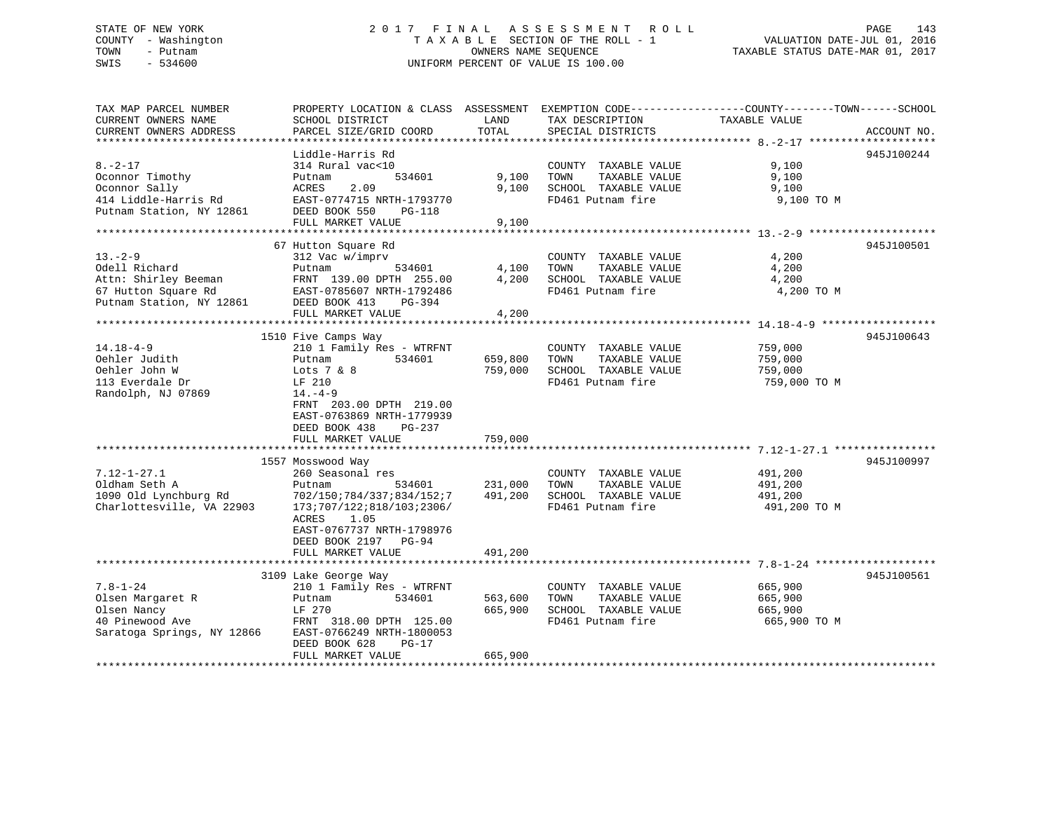# STATE OF NEW YORK 2 0 1 7 F I N A L A S S E S S M E N T R O L L PAGE 143 COUNTY - Washington T A X A B L E SECTION OF THE ROLL - 1 VALUATION DATE-JUL 01, 2016 TOWN - Putnam OWNERS NAME SEQUENCE TAXABLE STATUS DATE-MAR 01, 2017 SWIS - 534600 UNIFORM PERCENT OF VALUE IS 100.00

| TAX MAP PARCEL NUMBER                         | PROPERTY LOCATION & CLASS ASSESSMENT EXEMPTION CODE---------------COUNTY-------TOWN------SCHOOL |                    |                                               |                         |             |
|-----------------------------------------------|-------------------------------------------------------------------------------------------------|--------------------|-----------------------------------------------|-------------------------|-------------|
| CURRENT OWNERS NAME<br>CURRENT OWNERS ADDRESS | SCHOOL DISTRICT<br>PARCEL SIZE/GRID COORD                                                       | LAND<br>TOTAL      | TAX DESCRIPTION<br>SPECIAL DISTRICTS          | TAXABLE VALUE           | ACCOUNT NO. |
|                                               |                                                                                                 |                    |                                               |                         |             |
|                                               | Liddle-Harris Rd                                                                                |                    |                                               |                         | 945J100244  |
| $8. - 2 - 17$                                 | 314 Rural vac<10                                                                                |                    | COUNTY TAXABLE VALUE                          | 9,100                   |             |
| Oconnor Timothy                               | 534601<br>Putnam                                                                                | 9,100              | TOWN<br>TAXABLE VALUE                         | 9,100                   |             |
| Oconnor Sally                                 | ACRES<br>2.09                                                                                   | 9,100              | SCHOOL TAXABLE VALUE                          | 9,100                   |             |
| 414 Liddle-Harris Rd                          | EAST-0774715 NRTH-1793770                                                                       |                    | FD461 Putnam fire                             | 9,100 TO M              |             |
| Putnam Station, NY 12861                      | DEED BOOK 550<br>PG-118                                                                         |                    |                                               |                         |             |
|                                               | FULL MARKET VALUE                                                                               | 9,100              |                                               |                         |             |
|                                               |                                                                                                 |                    |                                               |                         |             |
|                                               | 67 Hutton Square Rd                                                                             |                    |                                               |                         | 945J100501  |
| $13 - 2 - 9$                                  | 312 Vac w/imprv                                                                                 |                    | COUNTY TAXABLE VALUE                          | 4,200                   |             |
| Odell Richard                                 | 534601<br>Putnam                                                                                | 4,100              | TOWN<br>TAXABLE VALUE                         | 4,200                   |             |
| Attn: Shirley Beeman                          | FRNT 139.00 DPTH 255.00                                                                         | 4,200              | SCHOOL TAXABLE VALUE                          | 4,200                   |             |
| 67 Hutton Square Rd                           | EAST-0785607 NRTH-1792486                                                                       |                    | FD461 Putnam fire                             | 4,200 TO M              |             |
| Putnam Station, NY 12861                      | DEED BOOK 413<br>PG-394                                                                         |                    |                                               |                         |             |
|                                               | FULL MARKET VALUE                                                                               | 4,200              |                                               |                         |             |
|                                               |                                                                                                 |                    |                                               |                         |             |
|                                               | 1510 Five Camps Way                                                                             |                    |                                               |                         | 945J100643  |
| 14.18-4-9                                     | 210 1 Family Res - WTRFNT                                                                       |                    | COUNTY TAXABLE VALUE                          | 759,000                 |             |
| Oehler Judith<br>Oehler John W                | 534601<br>Putnam<br>Lots $7 & 8$                                                                | 659,800<br>759,000 | TOWN<br>TAXABLE VALUE<br>SCHOOL TAXABLE VALUE | 759,000<br>759,000      |             |
| 113 Everdale Dr                               | LF 210                                                                                          |                    | FD461 Putnam fire                             | 759,000 TO M            |             |
| Randolph, NJ 07869                            | $14. -4 - 9$                                                                                    |                    |                                               |                         |             |
|                                               | FRNT 203.00 DPTH 219.00                                                                         |                    |                                               |                         |             |
|                                               | EAST-0763869 NRTH-1779939                                                                       |                    |                                               |                         |             |
|                                               | DEED BOOK 438<br>PG-237                                                                         |                    |                                               |                         |             |
|                                               | FULL MARKET VALUE                                                                               | 759,000            |                                               |                         |             |
|                                               |                                                                                                 |                    |                                               |                         |             |
|                                               | 1557 Mosswood Way                                                                               |                    |                                               |                         | 945J100997  |
| $7.12 - 1 - 27.1$                             | 260 Seasonal res                                                                                |                    | COUNTY TAXABLE VALUE                          | 491,200                 |             |
| Oldham Seth A                                 | Putnam<br>534601                                                                                | 231,000            | TOWN<br>TAXABLE VALUE                         | 491,200                 |             |
| 1090 Old Lynchburg Rd                         | 702/150;784/337;834/152;7                                                                       | 491,200            | SCHOOL TAXABLE VALUE                          | 491,200                 |             |
| Charlottesville, VA 22903                     | 173;707/122;818/103;2306/                                                                       |                    | FD461 Putnam fire                             | 491,200 TO M            |             |
|                                               | ACRES<br>1.05                                                                                   |                    |                                               |                         |             |
|                                               | EAST-0767737 NRTH-1798976                                                                       |                    |                                               |                         |             |
|                                               | DEED BOOK 2197 PG-94                                                                            |                    |                                               |                         |             |
|                                               | FULL MARKET VALUE                                                                               | 491,200            |                                               |                         |             |
|                                               |                                                                                                 |                    |                                               |                         |             |
| $7.8 - 1 - 24$                                | 3109 Lake George Way                                                                            |                    |                                               |                         | 945J100561  |
|                                               | 210 1 Family Res - WTRFNT<br>534601                                                             |                    | COUNTY TAXABLE VALUE<br>TOWN<br>TAXABLE VALUE | 665,900                 |             |
| Olsen Margaret R<br>Olsen Nancy               | Putnam<br>LF 270                                                                                | 563,600<br>665,900 | SCHOOL TAXABLE VALUE                          | 665,900                 |             |
| 40 Pinewood Ave                               | FRNT 318.00 DPTH 125.00                                                                         |                    | FD461 Putnam fire                             | 665,900<br>665,900 TO M |             |
| Saratoga Springs, NY 12866                    | EAST-0766249 NRTH-1800053                                                                       |                    |                                               |                         |             |
|                                               | DEED BOOK 628<br>$PG-17$                                                                        |                    |                                               |                         |             |
|                                               | FULL MARKET VALUE                                                                               | 665,900            |                                               |                         |             |
|                                               |                                                                                                 |                    |                                               |                         |             |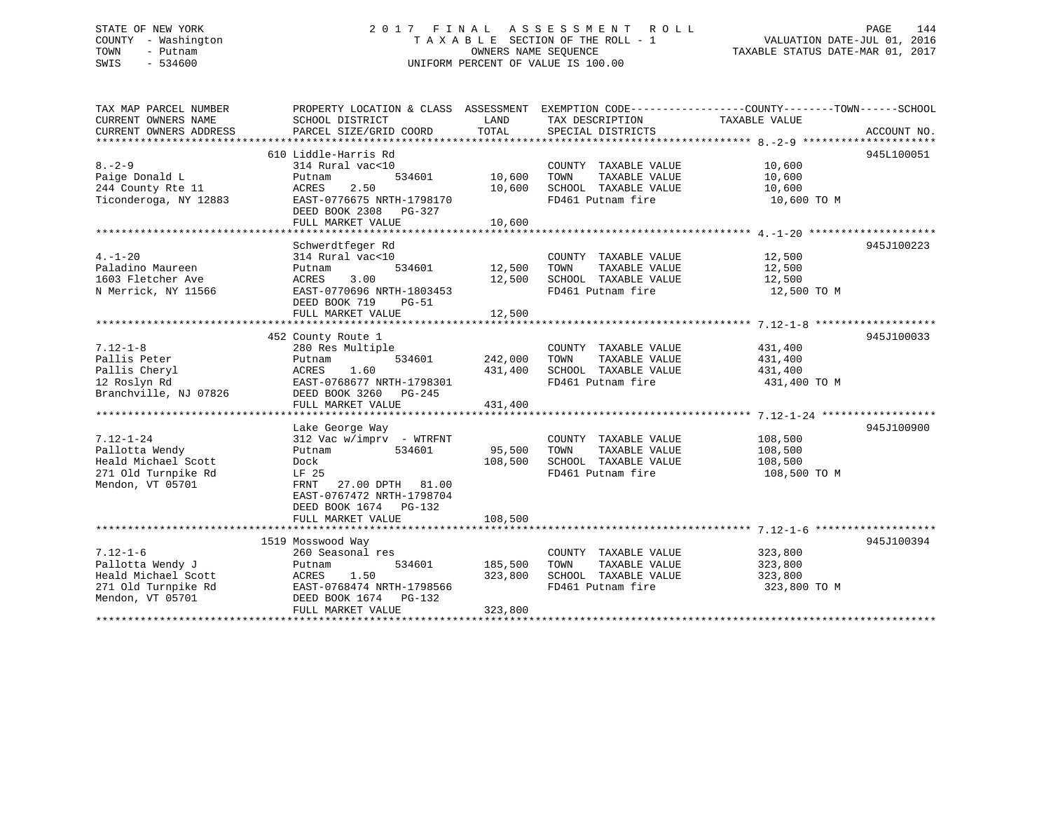# STATE OF NEW YORK 2 0 1 7 F I N A L A S S E S S M E N T R O L L PAGE 144 COUNTY - Washington T A X A B L E SECTION OF THE ROLL - 1 VALUATION DATE-JUL 01, 2016 TOWN - Putnam OWNERS NAME SEQUENCE TAXABLE STATUS DATE-MAR 01, 2017 SWIS - 534600 UNIFORM PERCENT OF VALUE IS 100.00

| TAX MAP PARCEL NUMBER<br>CURRENT OWNERS NAME                                                         | PROPERTY LOCATION & CLASS ASSESSMENT EXEMPTION CODE--------------COUNTY-------TOWN-----SCHOOL<br>SCHOOL DISTRICT                                                          | LAND                          | TAX DESCRIPTION                                                                            | TAXABLE VALUE                                 |                          |
|------------------------------------------------------------------------------------------------------|---------------------------------------------------------------------------------------------------------------------------------------------------------------------------|-------------------------------|--------------------------------------------------------------------------------------------|-----------------------------------------------|--------------------------|
| CURRENT OWNERS ADDRESS                                                                               | PARCEL SIZE/GRID COORD                                                                                                                                                    | TOTAL                         | SPECIAL DISTRICTS                                                                          |                                               | ACCOUNT NO.              |
| *************************                                                                            |                                                                                                                                                                           |                               |                                                                                            |                                               |                          |
| $8 - 2 - 9$<br>Paige Donald L<br>244 County Rte 11<br>Ticonderoga, NY 12883                          | 610 Liddle-Harris Rd<br>314 Rural vac<10<br>534601<br>Putnam<br>2.50<br>ACRES<br>EAST-0776675 NRTH-1798170                                                                | 10,600<br>10,600              | COUNTY TAXABLE VALUE<br>TOWN<br>TAXABLE VALUE<br>SCHOOL TAXABLE VALUE<br>FD461 Putnam fire | 10,600<br>10,600<br>10,600<br>10,600 TO M     | 945L100051               |
|                                                                                                      | DEED BOOK 2308<br>PG-327<br>FULL MARKET VALUE                                                                                                                             | 10,600                        |                                                                                            |                                               |                          |
|                                                                                                      |                                                                                                                                                                           |                               |                                                                                            |                                               |                          |
| $4. -1 - 20$<br>Paladino Maureen<br>1603 Fletcher Ave<br>N Merrick, NY 11566                         | Schwerdtfeger Rd<br>314 Rural vac<10<br>534601<br>Putnam<br>3.00<br>ACRES<br>EAST-0770696 NRTH-1803453<br>DEED BOOK 719<br>$PG-51$                                        | 12,500<br>12,500              | COUNTY TAXABLE VALUE<br>TAXABLE VALUE<br>TOWN<br>SCHOOL TAXABLE VALUE<br>FD461 Putnam fire | 12,500<br>12,500<br>12,500<br>12,500 TO M     | 945J100223               |
|                                                                                                      | FULL MARKET VALUE                                                                                                                                                         | 12,500                        |                                                                                            |                                               |                          |
| $7.12 - 1 - 8$<br>Pallis Peter<br>Pallis Cheryl<br>12 Roslyn Rd<br>Branchville, NJ 07826             | 452 County Route 1<br>280 Res Multiple<br>534601<br>Putnam<br>1.60<br>ACRES<br>EAST-0768677 NRTH-1798301<br>DEED BOOK 3260 PG-245<br>FULL MARKET VALUE<br>Lake George Way | 242,000<br>431,400<br>431,400 | COUNTY TAXABLE VALUE<br>TOWN<br>TAXABLE VALUE<br>SCHOOL TAXABLE VALUE<br>FD461 Putnam fire | 431,400<br>431,400<br>431,400<br>431,400 TO M | 945J100033<br>945J100900 |
| $7.12 - 1 - 24$<br>Pallotta Wendy<br>Heald Michael Scott<br>271 Old Turnpike Rd<br>Mendon, VT 05701  | 312 Vac w/imprv - WTRFNT<br>534601<br>Putnam<br>Dock<br>LF 25<br>27.00 DPTH 81.00<br>FRNT<br>EAST-0767472 NRTH-1798704<br>DEED BOOK 1674 PG-132<br>FULL MARKET VALUE      | 95,500<br>108,500<br>108,500  | COUNTY TAXABLE VALUE<br>TOWN<br>TAXABLE VALUE<br>SCHOOL TAXABLE VALUE<br>FD461 Putnam fire | 108,500<br>108,500<br>108,500<br>108,500 TO M |                          |
|                                                                                                      | 1519 Mosswood Way                                                                                                                                                         |                               |                                                                                            |                                               | 945J100394               |
| $7.12 - 1 - 6$<br>Pallotta Wendy J<br>Heald Michael Scott<br>271 Old Turnpike Rd<br>Mendon, VT 05701 | 260 Seasonal res<br>534601<br>Putnam<br>1.50<br>ACRES<br>EAST-0768474 NRTH-1798566<br>DEED BOOK 1674 PG-132<br>FULL MARKET VALUE                                          | 185,500<br>323,800<br>323,800 | COUNTY TAXABLE VALUE<br>TOWN<br>TAXABLE VALUE<br>SCHOOL TAXABLE VALUE<br>FD461 Putnam fire | 323,800<br>323,800<br>323,800<br>323,800 TO M |                          |
|                                                                                                      |                                                                                                                                                                           |                               |                                                                                            |                                               |                          |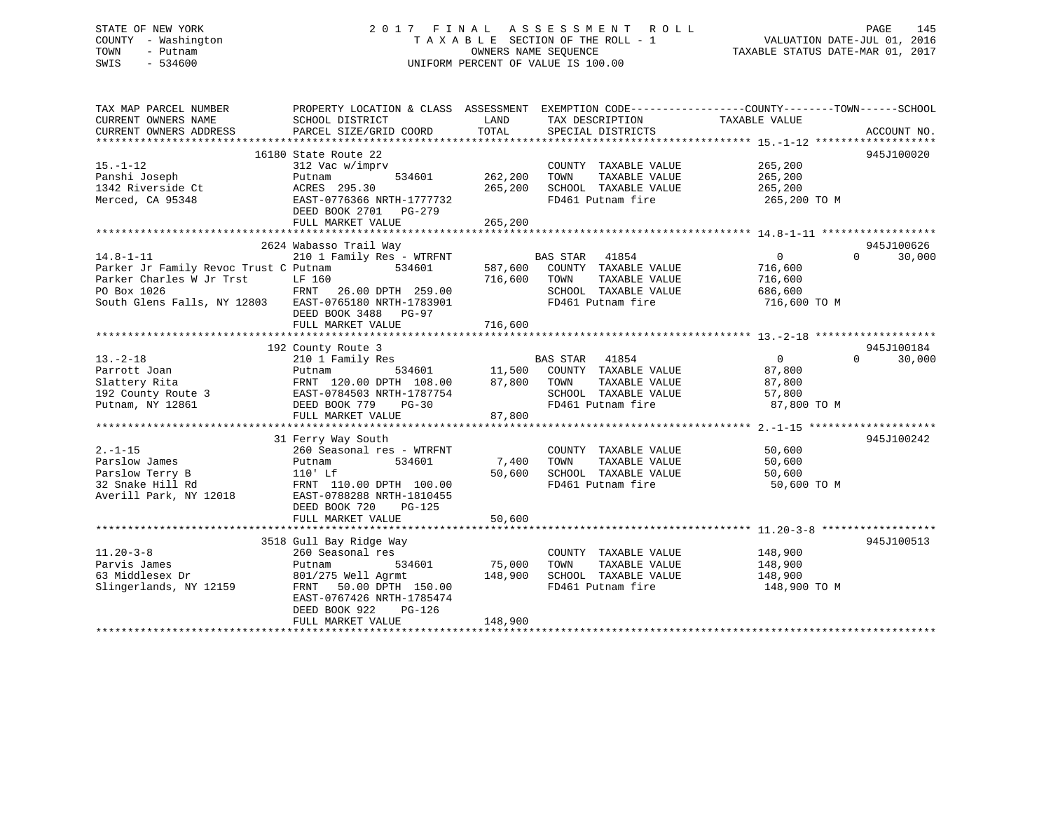## STATE OF NEW YORK 2 0 1 7 F I N A L A S S E S S M E N T R O L L PAGE 145 COUNTY - Washington T A X A B L E SECTION OF THE ROLL - 1 VALUATION DATE-JUL 01, 2016 TOWN - Putnam OWNERS NAME SEQUENCE TAXABLE STATUS DATE-MAR 01, 2017 SWIS - 534600 UNIFORM PERCENT OF VALUE IS 100.00

| TAX MAP PARCEL NUMBER<br>CURRENT OWNERS NAME          | PROPERTY LOCATION & CLASS ASSESSMENT EXEMPTION CODE---------------COUNTY-------TOWN-----SCHOOL<br>SCHOOL DISTRICT | LAND       | TAX DESCRIPTION                               | TAXABLE VALUE  |                    |
|-------------------------------------------------------|-------------------------------------------------------------------------------------------------------------------|------------|-----------------------------------------------|----------------|--------------------|
| CURRENT OWNERS ADDRESS                                | PARCEL SIZE/GRID COORD                                                                                            | TOTAL      | SPECIAL DISTRICTS                             |                | ACCOUNT NO.        |
|                                                       |                                                                                                                   |            |                                               |                |                    |
|                                                       | 16180 State Route 22                                                                                              |            |                                               |                | 945J100020         |
| $15. - 1 - 12$                                        | 312 Vac w/imprv                                                                                                   |            | COUNTY TAXABLE VALUE                          | 265,200        |                    |
| Panshi Joseph                                         | 534601<br>Putnam                                                                                                  | 262,200    | TAXABLE VALUE<br>TOWN                         | 265,200        |                    |
| 1342 Riverside Ct                                     | ACRES 295.30                                                                                                      | 265,200    | SCHOOL TAXABLE VALUE                          | 265,200        |                    |
| Merced, CA 95348                                      | EAST-0776366 NRTH-1777732                                                                                         |            | FD461 Putnam fire                             | 265,200 TO M   |                    |
|                                                       | DEED BOOK 2701 PG-279                                                                                             |            |                                               |                |                    |
|                                                       | FULL MARKET VALUE                                                                                                 | 265,200    |                                               |                |                    |
|                                                       |                                                                                                                   |            |                                               |                |                    |
|                                                       | 2624 Wabasso Trail Way                                                                                            |            |                                               |                | 945J100626         |
| $14.8 - 1 - 11$                                       | 210 1 Family Res - WTRFNT                                                                                         |            | BAS STAR 41854                                | $\Omega$       | $\Omega$<br>30,000 |
| Parker Jr Family Revoc Trust C Putnam                 | 534601                                                                                                            | 587,600    | COUNTY TAXABLE VALUE                          | 716,600        |                    |
| Parker Charles W Jr Trst                              | LF 160                                                                                                            | 716,600    | TAXABLE VALUE<br>TOWN                         | 716,600        |                    |
| PO Box 1026                                           | FRNT<br>26.00 DPTH 259.00                                                                                         |            | SCHOOL TAXABLE VALUE                          | 686,600        |                    |
| South Glens Falls, NY 12803 EAST-0765180 NRTH-1783901 |                                                                                                                   |            | FD461 Putnam fire                             | 716,600 TO M   |                    |
|                                                       | DEED BOOK 3488 PG-97                                                                                              |            |                                               |                |                    |
|                                                       |                                                                                                                   |            |                                               |                |                    |
|                                                       | FULL MARKET VALUE                                                                                                 | 716,600    |                                               |                |                    |
|                                                       |                                                                                                                   |            |                                               |                |                    |
|                                                       | 192 County Route 3                                                                                                |            |                                               |                | 945J100184         |
| $13. - 2 - 18$                                        | 210 1 Family Res                                                                                                  |            | BAS STAR 41854<br>11,500 COUNTY TAXABLE VALUE | $\overline{0}$ | $\Omega$<br>30,000 |
| Parrott Joan                                          | 534601<br>Putnam                                                                                                  |            |                                               | 87,800         |                    |
| Slattery Rita                                         | FRNT 120.00 DPTH 108.00                                                                                           | 87,800     | TOWN<br>TAXABLE VALUE                         | 87,800         |                    |
| 192 County Route 3                                    | EAST-0784503 NRTH-1787754                                                                                         |            | SCHOOL TAXABLE VALUE                          | 57,800         |                    |
| Putnam, NY 12861                                      | DEED BOOK 779<br>$PG-30$                                                                                          |            | FD461 Putnam fire                             | 87,800 TO M    |                    |
|                                                       | FULL MARKET VALUE                                                                                                 | 87,800     |                                               |                |                    |
|                                                       |                                                                                                                   |            |                                               |                |                    |
|                                                       | 31 Ferry Way South                                                                                                |            |                                               |                | 945J100242         |
| $2. -1 - 15$                                          | 260 Seasonal res - WTRFNT                                                                                         |            | COUNTY TAXABLE VALUE                          | 50,600         |                    |
| Parslow James                                         | 534601<br>Putnam                                                                                                  | 7,400 TOWN | TAXABLE VALUE                                 | 50,600         |                    |
| Parslow Terry B                                       | $110'$ Lf                                                                                                         | 50,600     | SCHOOL TAXABLE VALUE                          | 50,600         |                    |
| 32 Snake Hill Rd                                      | FRNT 110.00 DPTH 100.00                                                                                           |            | FD461 Putnam fire                             | 50,600 TO M    |                    |
| Averill Park, NY 12018                                | EAST-0788288 NRTH-1810455                                                                                         |            |                                               |                |                    |
|                                                       | DEED BOOK 720<br>PG-125                                                                                           |            |                                               |                |                    |
|                                                       | FULL MARKET VALUE                                                                                                 | 50,600     |                                               |                |                    |
|                                                       |                                                                                                                   |            |                                               |                |                    |
|                                                       | 3518 Gull Bay Ridge Way                                                                                           |            |                                               |                | 945J100513         |
| $11.20 - 3 - 8$                                       | 260 Seasonal res                                                                                                  |            | COUNTY TAXABLE VALUE                          | 148,900        |                    |
| Parvis James                                          | 534601<br>Putnam                                                                                                  | 75,000     | TAXABLE VALUE<br>TOWN                         | 148,900        |                    |
| 63 Middlesex Dr                                       | 801/275 Well Agrmt                                                                                                | 148,900    | SCHOOL TAXABLE VALUE                          | 148,900        |                    |
| Slingerlands, NY 12159                                | FRNT 50.00 DPTH 150.00                                                                                            |            | FD461 Putnam fire                             | 148,900 TO M   |                    |
|                                                       | EAST-0767426 NRTH-1785474                                                                                         |            |                                               |                |                    |
|                                                       | DEED BOOK 922<br>PG-126                                                                                           |            |                                               |                |                    |
|                                                       |                                                                                                                   |            |                                               |                |                    |
|                                                       | FULL MARKET VALUE                                                                                                 | 148,900    |                                               |                |                    |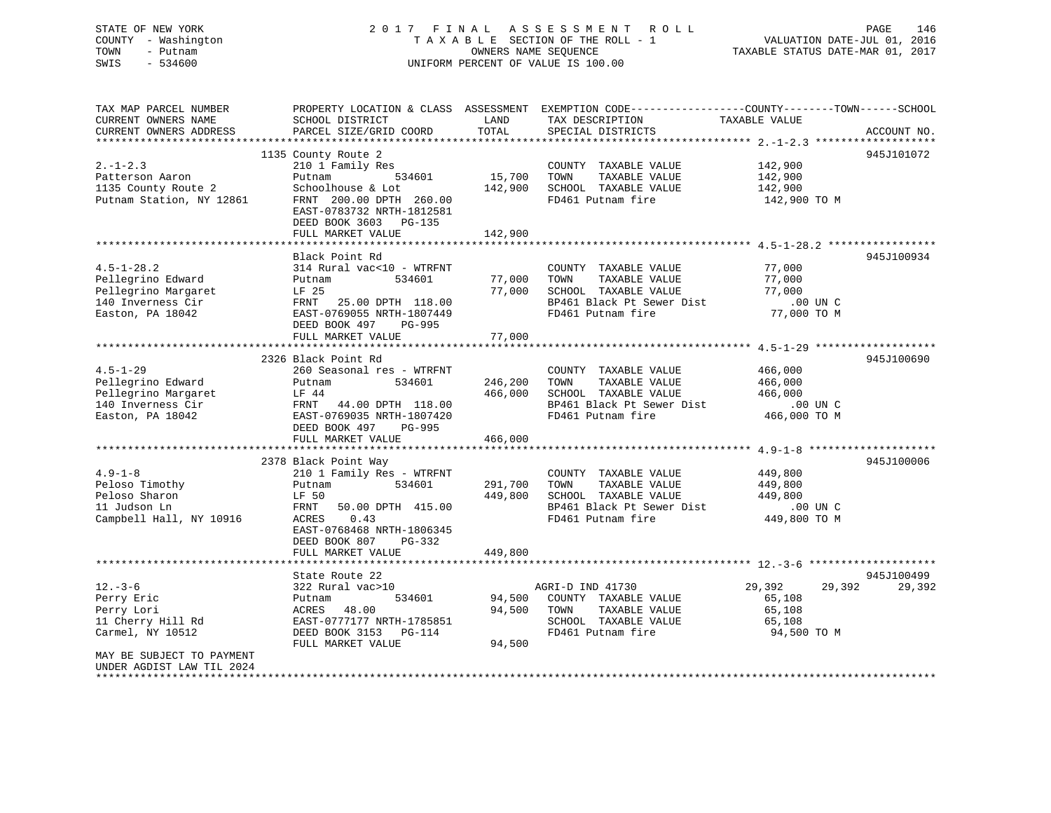## STATE OF NEW YORK 2 0 1 7 F I N A L A S S E S S M E N T R O L L PAGE 146 COUNTY - Washington T A X A B L E SECTION OF THE ROLL - 1 VALUATION DATE-JUL 01, 2016 TOWN - Putnam OWNERS NAME SEQUENCE TAXABLE STATUS DATE-MAR 01, 2017 SWIS - 534600 UNIFORM PERCENT OF VALUE IS 100.00

| TAX MAP PARCEL NUMBER     |                           |         | PROPERTY LOCATION & CLASS ASSESSMENT EXEMPTION CODE----------------COUNTY-------TOWN------SCHOOL |                  |             |
|---------------------------|---------------------------|---------|--------------------------------------------------------------------------------------------------|------------------|-------------|
| CURRENT OWNERS NAME       | SCHOOL DISTRICT           | LAND    | TAX DESCRIPTION                                                                                  | TAXABLE VALUE    |             |
| CURRENT OWNERS ADDRESS    | PARCEL SIZE/GRID COORD    | TOTAL   | SPECIAL DISTRICTS                                                                                |                  | ACCOUNT NO. |
|                           |                           |         |                                                                                                  |                  |             |
|                           | 1135 County Route 2       |         |                                                                                                  |                  | 945J101072  |
| $2. -1 - 2.3$             | 210 1 Family Res          |         | COUNTY TAXABLE VALUE                                                                             | 142,900          |             |
| Patterson Aaron           | 534601<br>Putnam          | 15,700  | TAXABLE VALUE<br>TOWN                                                                            | 142,900          |             |
| 1135 County Route 2       | Schoolhouse & Lot         | 142,900 | SCHOOL TAXABLE VALUE                                                                             | 142,900          |             |
| Putnam Station, NY 12861  | FRNT 200.00 DPTH 260.00   |         | FD461 Putnam fire                                                                                | 142,900 TO M     |             |
|                           | EAST-0783732 NRTH-1812581 |         |                                                                                                  |                  |             |
|                           | DEED BOOK 3603 PG-135     |         |                                                                                                  |                  |             |
|                           | FULL MARKET VALUE         | 142,900 |                                                                                                  |                  |             |
|                           | Black Point Rd            |         |                                                                                                  |                  | 945J100934  |
| $4.5 - 1 - 28.2$          | 314 Rural vac<10 - WTRFNT |         | COUNTY TAXABLE VALUE                                                                             | 77,000           |             |
| Pellegrino Edward         | 534601<br>Putnam          | 77,000  | TAXABLE VALUE<br>TOWN                                                                            | 77,000           |             |
|                           |                           |         |                                                                                                  |                  |             |
| Pellegrino Margaret       | LF 25                     | 77,000  | SCHOOL TAXABLE VALUE                                                                             | 77,000           |             |
| 140 Inverness Cir         | 25.00 DPTH 118.00<br>FRNT |         | BP461 Black Pt Sewer Dist                                                                        | .00 UN C         |             |
| Easton, PA 18042          | EAST-0769055 NRTH-1807449 |         | FD461 Putnam fire                                                                                | 77,000 TO M      |             |
|                           | DEED BOOK 497<br>PG-995   |         |                                                                                                  |                  |             |
|                           | FULL MARKET VALUE         | 77,000  |                                                                                                  |                  |             |
|                           |                           |         |                                                                                                  |                  |             |
|                           | 2326 Black Point Rd       |         |                                                                                                  |                  | 945J100690  |
| $4.5 - 1 - 29$            | 260 Seasonal res - WTRFNT |         | COUNTY TAXABLE VALUE                                                                             | 466,000          |             |
| Pellegrino Edward         | 534601<br>Putnam          | 246,200 | TAXABLE VALUE<br>TOWN                                                                            | 466,000          |             |
| Pellegrino Margaret       | LF 44                     | 466,000 | SCHOOL TAXABLE VALUE                                                                             | 466,000          |             |
| 140 Inverness Cir         | FRNT 44.00 DPTH 118.00    |         | BP461 Black Pt Sewer Dist                                                                        | $.00$ UN $C$     |             |
| Easton, PA 18042          | EAST-0769035 NRTH-1807420 |         | FD461 Putnam fire                                                                                | 466,000 TO M     |             |
|                           | DEED BOOK 497<br>PG-995   |         |                                                                                                  |                  |             |
|                           | FULL MARKET VALUE         | 466,000 |                                                                                                  |                  |             |
|                           |                           |         |                                                                                                  |                  |             |
|                           | 2378 Black Point Way      |         |                                                                                                  |                  | 945J100006  |
| $4.9 - 1 - 8$             | 210 1 Family Res - WTRFNT |         | COUNTY TAXABLE VALUE                                                                             | 449,800          |             |
| Peloso Timothy            | 534601<br>Putnam          | 291,700 | TAXABLE VALUE<br>TOWN                                                                            | 449,800          |             |
| Peloso Sharon             | LF 50                     | 449,800 | SCHOOL TAXABLE VALUE                                                                             | 449,800          |             |
| 11 Judson Ln              | FRNT<br>50.00 DPTH 415.00 |         | BP461 Black Pt Sewer Dist                                                                        | .00 UN C         |             |
| Campbell Hall, NY 10916   | 0.43<br>ACRES             |         | FD461 Putnam fire                                                                                | 449,800 TO M     |             |
|                           | EAST-0768468 NRTH-1806345 |         |                                                                                                  |                  |             |
|                           | DEED BOOK 807<br>PG-332   |         |                                                                                                  |                  |             |
|                           | FULL MARKET VALUE         | 449,800 |                                                                                                  |                  |             |
|                           |                           |         |                                                                                                  |                  |             |
|                           | State Route 22            |         |                                                                                                  |                  | 945J100499  |
| $12. - 3 - 6$             | 322 Rural vac>10          |         | AGRI-D IND 41730                                                                                 | 29,392<br>29,392 | 29,392      |
| Perry Eric                | 534601<br>Putnam          | 94,500  | COUNTY TAXABLE VALUE                                                                             | 65,108           |             |
| Perry Lori                | 48.00<br>ACRES            | 94,500  | TOWN<br>TAXABLE VALUE                                                                            | 65,108           |             |
| 11 Cherry Hill Rd         | EAST-0777177 NRTH-1785851 |         | SCHOOL TAXABLE VALUE                                                                             | 65,108           |             |
| Carmel, NY 10512          | DEED BOOK 3153 PG-114     |         | FD461 Putnam fire                                                                                | 94,500 TO M      |             |
|                           | FULL MARKET VALUE         | 94,500  |                                                                                                  |                  |             |
| MAY BE SUBJECT TO PAYMENT |                           |         |                                                                                                  |                  |             |
| UNDER AGDIST LAW TIL 2024 |                           |         |                                                                                                  |                  |             |
|                           |                           |         |                                                                                                  |                  |             |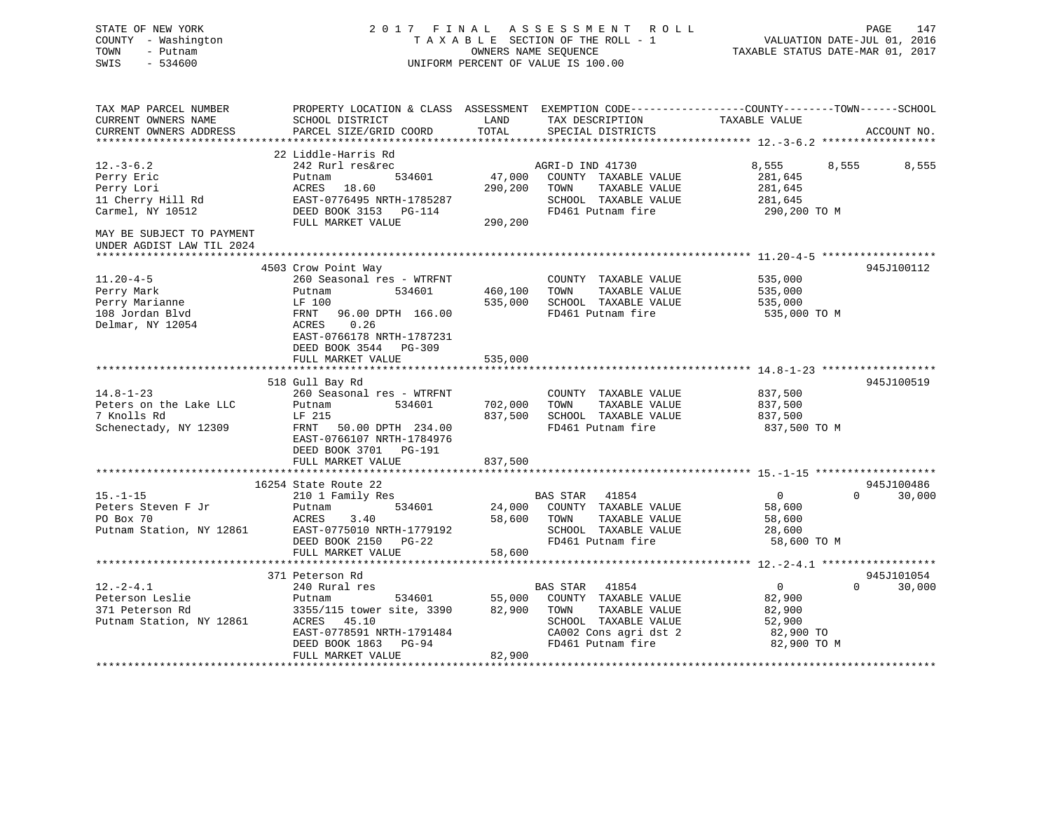## STATE OF NEW YORK 2 0 1 7 F I N A L A S S E S S M E N T R O L L PAGE 147 COUNTY - Washington T A X A B L E SECTION OF THE ROLL - 1 VALUATION DATE-JUL 01, 2016 TOWN - Putnam **CONNERS NAME SEQUENCE** TAXABLE STATUS DATE-MAR 01, 2017 SWIS - 534600 UNIFORM PERCENT OF VALUE IS 100.00

| TAX MAP PARCEL NUMBER<br>CURRENT OWNERS NAME<br>CURRENT OWNERS ADDRESS                 | PROPERTY LOCATION & CLASS ASSESSMENT EXEMPTION CODE----------------COUNTY-------TOWN------SCHOOL<br>SCHOOL DISTRICT<br>PARCEL SIZE/GRID COORD                   | LAND<br>TOTAL                 | TAX DESCRIPTION<br>SPECIAL DISTRICTS                                                                                                            | TAXABLE VALUE                                                            | ACCOUNT NO.        |
|----------------------------------------------------------------------------------------|-----------------------------------------------------------------------------------------------------------------------------------------------------------------|-------------------------------|-------------------------------------------------------------------------------------------------------------------------------------------------|--------------------------------------------------------------------------|--------------------|
|                                                                                        |                                                                                                                                                                 |                               |                                                                                                                                                 |                                                                          |                    |
| $12.-3-6.2$                                                                            | 22 Liddle-Harris Rd<br>242 Rurl res&rec                                                                                                                         |                               | AGRI-D IND 41730                                                                                                                                | 8,555<br>8,555                                                           | 8,555              |
| Perry Eric<br>Perry Lori<br>11 Cherry Hill Rd                                          | 534601<br>Putnam<br>18.60<br>ACRES<br>EAST-0776495 NRTH-1785287                                                                                                 | 47,000<br>290,200             | COUNTY TAXABLE VALUE<br>TOWN<br>TAXABLE VALUE<br>SCHOOL TAXABLE VALUE                                                                           | 281,645<br>281,645<br>281,645                                            |                    |
| Carmel, NY 10512                                                                       | DEED BOOK 3153 PG-114<br>FULL MARKET VALUE                                                                                                                      | 290,200                       | FD461 Putnam fire                                                                                                                               | 290,200 TO M                                                             |                    |
| MAY BE SUBJECT TO PAYMENT<br>UNDER AGDIST LAW TIL 2024                                 |                                                                                                                                                                 |                               |                                                                                                                                                 |                                                                          |                    |
|                                                                                        | 4503 Crow Point Way                                                                                                                                             |                               |                                                                                                                                                 |                                                                          | 945J100112         |
| $11.20 - 4 - 5$<br>Perry Mark<br>Perry Marianne<br>108 Jordan Blvd<br>Delmar, NY 12054 | 260 Seasonal res - WTRFNT<br>534601<br>Putnam<br>LF 100<br>FRNT<br>96.00 DPTH 166.00<br>0.26<br>ACRES<br>EAST-0766178 NRTH-1787231                              | 460,100<br>535,000            | COUNTY TAXABLE VALUE<br>TAXABLE VALUE<br>TOWN<br>SCHOOL TAXABLE VALUE<br>FD461 Putnam fire                                                      | 535,000<br>535,000<br>535,000<br>535,000 TO M                            |                    |
|                                                                                        | DEED BOOK 3544 PG-309<br>FULL MARKET VALUE                                                                                                                      | 535,000                       |                                                                                                                                                 |                                                                          |                    |
|                                                                                        | 518 Gull Bay Rd                                                                                                                                                 |                               |                                                                                                                                                 |                                                                          | 945J100519         |
| $14.8 - 1 - 23$<br>Peters on the Lake LLC<br>7 Knolls Rd<br>Schenectady, NY 12309      | 260 Seasonal res - WTRFNT<br>534601<br>Putnam<br>LF 215<br>FRNT<br>50.00 DPTH 234.00<br>EAST-0766107 NRTH-1784976<br>DEED BOOK 3701 PG-191<br>FULL MARKET VALUE | 702,000<br>837,500<br>837,500 | COUNTY TAXABLE VALUE<br>TOWN<br>TAXABLE VALUE<br>SCHOOL TAXABLE VALUE<br>FD461 Putnam fire                                                      | 837,500<br>837,500<br>837,500<br>837,500 TO M                            |                    |
|                                                                                        |                                                                                                                                                                 |                               |                                                                                                                                                 |                                                                          |                    |
|                                                                                        | 16254 State Route 22                                                                                                                                            |                               |                                                                                                                                                 |                                                                          | 945J100486         |
| $15. - 1 - 15$<br>Peters Steven F Jr<br>PO Box 70<br>Putnam Station, NY 12861          | 210 1 Family Res<br>534601<br>Putnam<br>ACRES<br>3.40<br>EAST-0775010 NRTH-1779192<br>DEED BOOK 2150 PG-22<br>FULL MARKET VALUE                                 | 24,000<br>58,600<br>58,600    | <b>BAS STAR</b><br>41854<br>COUNTY TAXABLE VALUE<br>TOWN<br>TAXABLE VALUE<br>SCHOOL TAXABLE VALUE<br>FD461 Putnam fire                          | $\overline{0}$<br>58,600<br>58,600<br>28,600<br>58,600 TO M              | $\Omega$<br>30,000 |
|                                                                                        |                                                                                                                                                                 |                               |                                                                                                                                                 |                                                                          |                    |
|                                                                                        | 371 Peterson Rd                                                                                                                                                 |                               |                                                                                                                                                 |                                                                          | 945J101054         |
| $12. - 2 - 4.1$<br>Peterson Leslie<br>371 Peterson Rd<br>Putnam Station, NY 12861      | 240 Rural res<br>534601<br>Putnam<br>3355/115 tower site, 3390<br>45.10<br>ACRES<br>EAST-0778591 NRTH-1791484<br>DEED BOOK 1863<br>PG-94<br>FULL MARKET VALUE   | 55,000<br>82,900<br>82,900    | <b>BAS STAR</b><br>41854<br>COUNTY TAXABLE VALUE<br>TAXABLE VALUE<br>TOWN<br>SCHOOL TAXABLE VALUE<br>CA002 Cons agri dst 2<br>FD461 Putnam fire | $\overline{0}$<br>82,900<br>82,900<br>52,900<br>82,900 TO<br>82,900 TO M | $\Omega$<br>30,000 |
|                                                                                        |                                                                                                                                                                 |                               |                                                                                                                                                 |                                                                          |                    |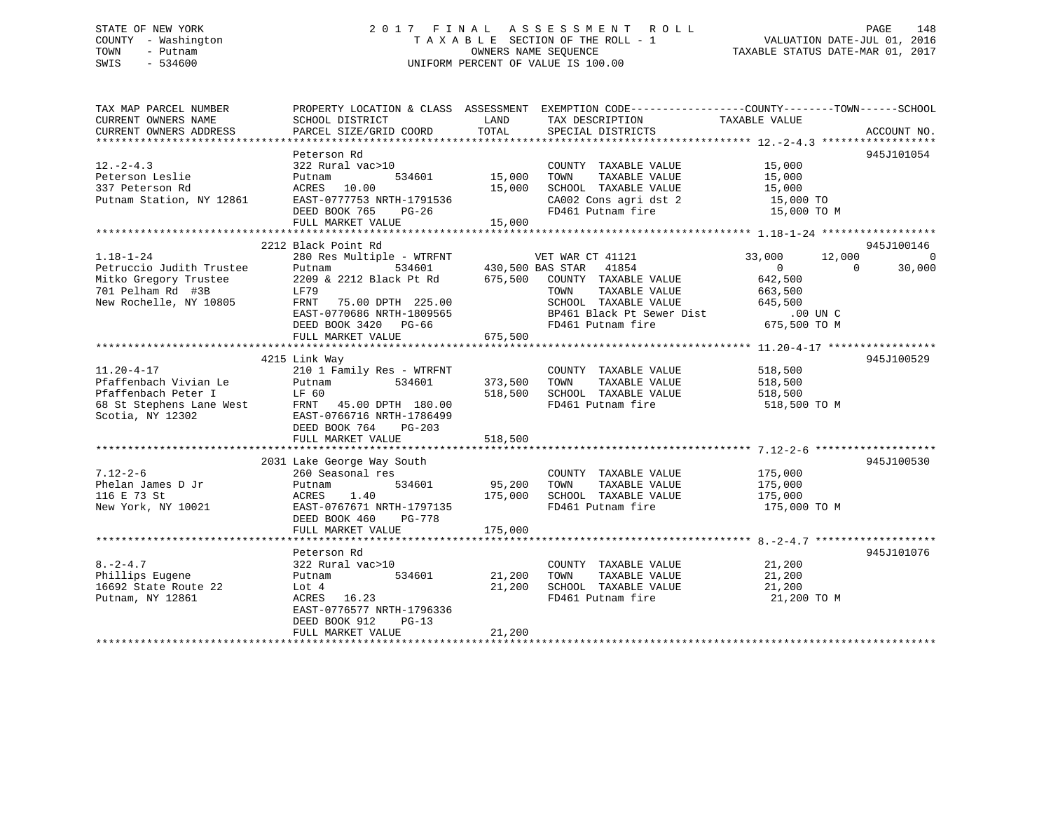## STATE OF NEW YORK 2 0 1 7 F I N A L A S S E S S M E N T R O L L PAGE 148 COUNTY - Washington T A X A B L E SECTION OF THE ROLL - 1 VALUATION DATE-JUL 01, 2016 TOWN - Putnam OWNERS NAME SEQUENCE TAXABLE STATUS DATE-MAR 01, 2017 SWIS - 534600 UNIFORM PERCENT OF VALUE IS 100.00

| TAX MAP PARCEL NUMBER<br>CURRENT OWNERS NAME<br>CURRENT OWNERS ADDRESS                                              | SCHOOL DISTRICT<br>PARCEL SIZE/GRID COORD                                                                                                                                                                                                                                 | LAND<br>TOTAL                     | PROPERTY LOCATION & CLASS ASSESSMENT EXEMPTION CODE---------------COUNTY-------TOWN-----SCHOOL<br>TAX DESCRIPTION<br>SPECIAL DISTRICTS           | TAXABLE VALUE                                                                     | ACCOUNT NO.        |
|---------------------------------------------------------------------------------------------------------------------|---------------------------------------------------------------------------------------------------------------------------------------------------------------------------------------------------------------------------------------------------------------------------|-----------------------------------|--------------------------------------------------------------------------------------------------------------------------------------------------|-----------------------------------------------------------------------------------|--------------------|
| $12. - 2 - 4.3$<br>Peterson Leslie<br>337 Peterson Rd<br>Putnam Station, NY 12861                                   | Peterson Rd<br>322 Rural vac>10<br>Putnam<br>ACRES 10.00<br>ACRES 10.00<br>EAST-0777753 NRTH-1791536<br>DEED BOOK 765<br>PG-26<br>FULL MARKET VALUE                                                                                                                       | 534601 15,000<br>15,000<br>15,000 | COUNTY TAXABLE VALUE<br>TAXABLE VALUE<br>TOWN<br>SCHOOL TAXABLE VALUE 15,000<br>CA002 Cons agri dst 2 15,000 TO<br>FD461 Putnam fire 15,000 TO M | 15,000<br>15,000                                                                  | 945J101054         |
|                                                                                                                     | 2212 Black Point Rd                                                                                                                                                                                                                                                       |                                   |                                                                                                                                                  |                                                                                   | 945J100146         |
| $1.18 - 1 - 24$<br>Petruccio Judith Trustee<br>Mitko Gregory Trustee<br>701 Pelham Rd #3B<br>New Rochelle, NY 10805 | 280 Res Multiple - WTRFNT VET WAR CT 41121<br>Putnam 534601 430,500 BAS STAR 41854<br>2209 & 2212 Black Pt Rd 675,500 COUNTY TAXABLE<br>LF79<br>75.00 DPTH 225.00<br>FRNT<br>EAST-0770686 NRTH-1809565<br>DEED BOOK 3420 PG-66<br>FULL MARKET VALUE                       | 675,500                           | COUNTY TAXABLE VALUE<br>TAXABLE VALUE<br>TOWN<br>SCHOOL TAXABLE VALUE<br>DP461 Black Pt Sewer Dist .00 UN C<br>FD461 Putnam fire 675,500 TO M    | 12,000<br>33,000<br>$\overline{0}$<br>$\bigcirc$<br>642,500<br>663,500<br>645,500 | $\Omega$<br>30,000 |
|                                                                                                                     |                                                                                                                                                                                                                                                                           |                                   |                                                                                                                                                  |                                                                                   |                    |
| $11.20 - 4 - 17$<br>Pfaffenbach Vivian Le<br>Scotia, NY 12302                                                       | 4215 Link Way<br>210 1 Family Res - WTRFNT<br>Putnam<br>534601<br>Pfaffenbach Peter I LF 60<br>68 St Stephens Lane West FRNT 45.00 DPTH 180.00<br>Scotia, NY 12302 EAST-0766716 NRTH-1786499<br>EAST-0766716 NRTH-1786499<br>DEED BOOK 764<br>PG-203<br>FULL MARKET VALUE | 373,500 TOWN<br>518,500           | COUNTY TAXABLE VALUE<br>TAXABLE VALUE<br>518,500 SCHOOL TAXABLE VALUE<br>FD461 Putnam fire                                                       | 518,500<br>518.500<br>518,500<br>518,500<br>518,500 TO M                          | 945J100529         |
|                                                                                                                     |                                                                                                                                                                                                                                                                           |                                   |                                                                                                                                                  |                                                                                   |                    |
| $7.12 - 2 - 6$<br>Phelan James D Jr<br>116 E 73 St<br>New York, NY 10021                                            | 2031 Lake George Way South<br>260 Seasonal res<br>Putnam<br>175,000<br>1.40<br>ACRES<br>EAST-0767671 NRTH-1797135<br>DEED BOOK 460<br>PG-778<br>FULL MARKET VALUE                                                                                                         | 534601 95,200 TOWN<br>175,000     | COUNTY TAXABLE VALUE<br>TAXABLE VALUE<br>SCHOOL TAXABLE VALUE<br>FD461 Putnam fire                                                               | 175,000<br>175,000<br>175,000<br>175,000 TO M                                     | 945J100530         |
|                                                                                                                     |                                                                                                                                                                                                                                                                           |                                   |                                                                                                                                                  |                                                                                   |                    |
| $8. -2 - 4.7$<br>Phillips Eugene<br>16692 State Route 22<br>Putnam, NY 12861                                        | Peterson Rd<br>322 Rural vac>10<br>534601<br>Putnam<br>Lot 4<br>ACRES 16.23<br>EAST-0776577 NRTH-1796336<br>DEED BOOK 912<br>$PG-13$<br>FULL MARKET VALUE                                                                                                                 | 21,200<br>21,200<br>21,200        | COUNTY TAXABLE VALUE<br>TAXABLE VALUE<br>TOWN<br>SCHOOL TAXABLE VALUE<br>FD461 Putnam fire                                                       | 21,200<br>21,200<br>21,200<br>21,200 TO M                                         | 945J101076         |
|                                                                                                                     |                                                                                                                                                                                                                                                                           |                                   |                                                                                                                                                  |                                                                                   |                    |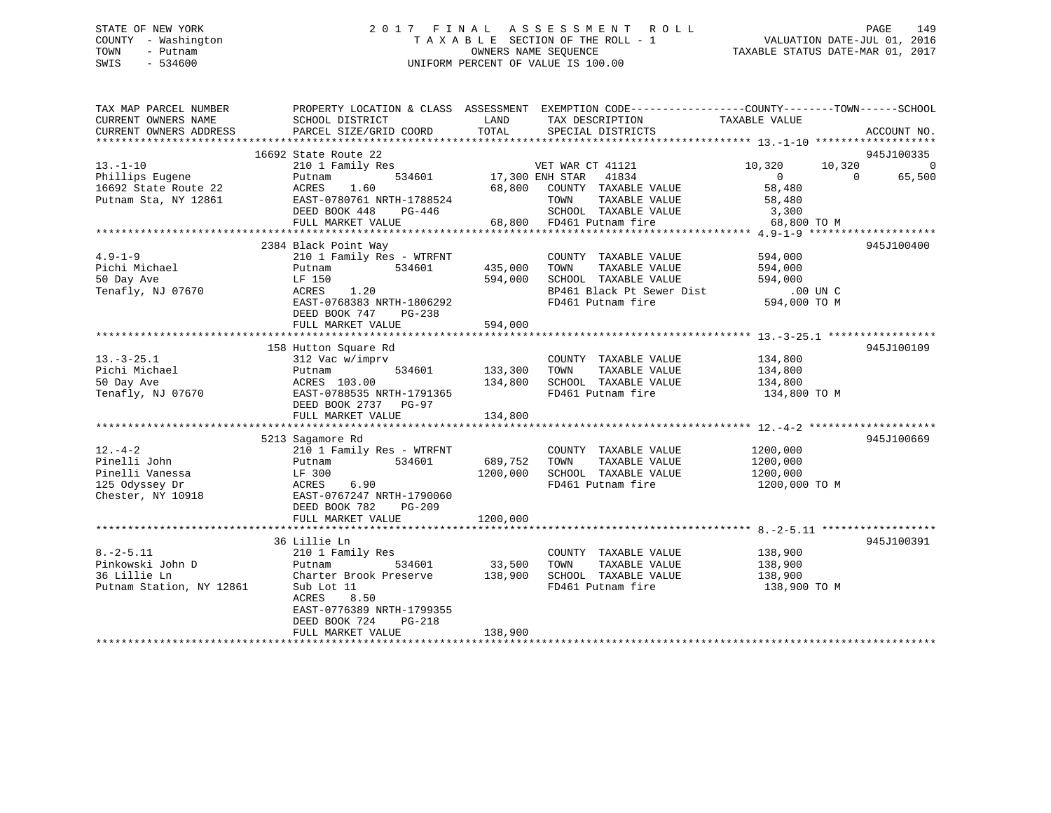## STATE OF NEW YORK 2 0 1 7 F I N A L A S S E S S M E N T R O L L PAGE 149 COUNTY - Washington T A X A B L E SECTION OF THE ROLL - 1 VALUATION DATE-JUL 01, 2016 TOWN - Putnam OWNERS NAME SEQUENCE TAXABLE STATUS DATE-MAR 01, 2017 SWIS - 534600 UNIFORM PERCENT OF VALUE IS 100.00

| TAX MAP PARCEL NUMBER<br>CURRENT OWNERS NAME<br>CURRENT OWNERS ADDRESS                  | SCHOOL DISTRICT<br>PARCEL SIZE/GRID COORD                                                                                                                                                  | LAND<br>TOTAL                   | PROPERTY LOCATION & CLASS ASSESSMENT EXEMPTION CODE---------------COUNTY-------TOWN-----SCHOOL<br>TAX DESCRIPTION<br>SPECIAL DISTRICTS | TAXABLE VALUE                                                                      | ACCOUNT NO.                                    |
|-----------------------------------------------------------------------------------------|--------------------------------------------------------------------------------------------------------------------------------------------------------------------------------------------|---------------------------------|----------------------------------------------------------------------------------------------------------------------------------------|------------------------------------------------------------------------------------|------------------------------------------------|
|                                                                                         | 16692 State Route 22                                                                                                                                                                       |                                 |                                                                                                                                        |                                                                                    | 945J100335                                     |
| $13. - 1 - 10$<br>Phillips Eugene<br>16692 State Route 22<br>Putnam Sta, NY 12861       | 210 1 Family Res<br>Putnam<br>ACRES<br>1.60<br>EAST-0780761 NRTH-1788524<br>DEED BOOK 448<br>PG-446<br>FULL MARKET VALUE                                                                   | 534601 17,300 ENH STAR          | VET WAR CT 41121<br>41834<br>68,800 COUNTY TAXABLE VALUE<br>TAXABLE VALUE<br>TOWN<br>SCHOOL TAXABLE VALUE<br>68,800 FD461 Putnam fire  | 10,320<br>$\overline{0}$<br>58,480<br>58,480<br>LUE 3,300<br>68.800<br>68,800 TO M | 10,320<br>$\overline{0}$<br>65,500<br>$\Omega$ |
| $4.9 - 1 - 9$<br>Pichi Michael<br>50 Day Ave<br>Tenafly, NJ 07670                       | 2384 Black Point Way<br>210 1 Family Res - WTRFNT<br>534601<br>Putnam<br>LF 150<br>ACRES<br>1.20<br>EAST-0768383 NRTH-1806292<br>DEED BOOK 747<br>$PG-238$<br>FULL MARKET VALUE            | 435,000<br>594,000<br>594,000   | COUNTY TAXABLE VALUE<br>TAXABLE VALUE<br>TOWN<br>SCHOOL TAXABLE VALUE<br>BP461 Black Pt Sewer Dist<br>FD461 Putnam fire                | 594,000<br>594,000<br>594,000<br>.00 UN C<br>594,000 TO M                          | 945J100400                                     |
| $13. - 3 - 25.1$<br>Pichi Michael<br>50 Day Ave<br>Tenafly, NJ 07670                    | 158 Hutton Square Rd<br>312 Vac w/imprv<br>534601<br>Putnam<br>ACRES 103.00<br>EAST-0788535 NRTH-1791365<br>DEED BOOK 2737 PG-97<br>FULL MARKET VALUE                                      | 133,300<br>134,800<br>134,800   | COUNTY TAXABLE VALUE<br>TAXABLE VALUE<br>TOWN<br>SCHOOL TAXABLE VALUE<br>FD461 Putnam fire                                             | 134,800<br>134,800<br>134,800<br>134,800 TO M                                      | 945J100109                                     |
| $12. - 4 - 2$<br>Pinelli John<br>Pinelli Vanessa<br>125 Odyssey Dr<br>Chester, NY 10918 | 5213 Sagamore Rd<br>210 1 Family Res - WTRFNT<br>534601<br>Putnam<br>LF 300<br>6.90<br>ACRES<br>EAST-0767247 NRTH-1790060<br>DEED BOOK 782<br>PG-209<br>FULL MARKET VALUE                  | 689,752<br>1200,000<br>1200,000 | COUNTY TAXABLE VALUE<br>TOWN<br>TAXABLE VALUE<br>SCHOOL TAXABLE VALUE<br>FD461 Putnam fire                                             | 1200,000<br>1200,000<br>1200,000<br>1200,000 TO M                                  | 945J100669                                     |
| $8. - 2 - 5.11$<br>Pinkowski John D<br>36 Lillie Ln<br>Putnam Station, NY 12861         | 36 Lillie Ln<br>210 1 Family Res<br>534601<br>Putnam<br>Charter Brook Preserve<br>Sub Lot 11<br>8.50<br>ACRES<br>EAST-0776389 NRTH-1799355<br>DEED BOOK 724<br>PG-218<br>FULL MARKET VALUE | 33,500<br>138,900<br>138,900    | COUNTY TAXABLE VALUE<br>TOWN<br>TAXABLE VALUE<br>SCHOOL TAXABLE VALUE<br>FD461 Putnam fire                                             | 138,900<br>138,900<br>138,900<br>138,900 TO M                                      | 945J100391                                     |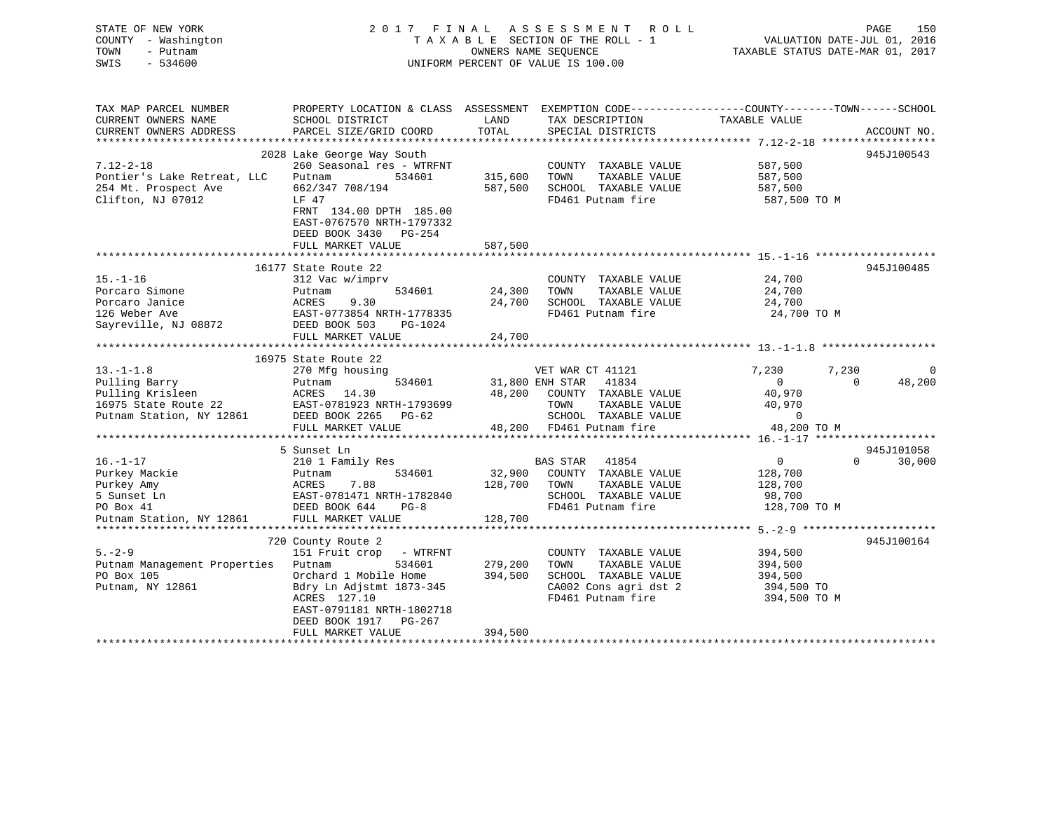## STATE OF NEW YORK 2 0 1 7 F I N A L A S S E S S M E N T R O L L PAGE 150 COUNTY - Washington T A X A B L E SECTION OF THE ROLL - 1 VALUATION DATE-JUL 01, 2016 TOWN - Putnam OWNERS NAME SEQUENCE TAXABLE STATUS DATE-MAR 01, 2017 SWIS - 534600 UNIFORM PERCENT OF VALUE IS 100.00

| TAX MAP PARCEL NUMBER<br>CURRENT OWNERS NAME<br>CURRENT OWNERS ADDRESS                                | PROPERTY LOCATION & CLASS ASSESSMENT EXEMPTION CODE---------------COUNTY-------TOWN-----SCHOOL<br>SCHOOL DISTRICT<br>PARCEL SIZE/GRID COORD                                                 | LAND<br>TOTAL                 | TAX DESCRIPTION<br>SPECIAL DISTRICTS                                                                                                                       | TAXABLE VALUE                                                                                     | ACCOUNT NO.        |
|-------------------------------------------------------------------------------------------------------|---------------------------------------------------------------------------------------------------------------------------------------------------------------------------------------------|-------------------------------|------------------------------------------------------------------------------------------------------------------------------------------------------------|---------------------------------------------------------------------------------------------------|--------------------|
|                                                                                                       | 2028 Lake George Way South                                                                                                                                                                  |                               |                                                                                                                                                            |                                                                                                   | 945J100543         |
| $7.12 - 2 - 18$<br>Pontier's Lake Retreat, LLC<br>254 Mt. Prospect Ave<br>Clifton, NJ 07012           | 260 Seasonal res - WTRFNT<br>534601<br>Putnam<br>662/347 708/194<br>LF 47<br>FRNT 134.00 DPTH 185.00<br>EAST-0767570 NRTH-1797332<br>DEED BOOK 3430 PG-254                                  | 315,600<br>587,500            | COUNTY TAXABLE VALUE<br>TAXABLE VALUE<br>TOWN<br>SCHOOL TAXABLE VALUE<br>FD461 Putnam fire                                                                 | 587,500<br>587,500<br>587,500<br>587,500 TO M                                                     |                    |
|                                                                                                       | FULL MARKET VALUE                                                                                                                                                                           | 587,500                       |                                                                                                                                                            |                                                                                                   |                    |
|                                                                                                       | 16177 State Route 22                                                                                                                                                                        |                               |                                                                                                                                                            |                                                                                                   | 945J100485         |
| $15. - 1 - 16$<br>Porcaro Simone<br>Porcaro Janice<br>126 Weber Ave<br>Sayreville, NJ 08872           | 312 Vac w/imprv<br>534601<br>Putnam<br>ACRES<br>9.30<br>EAST-0773854 NRTH-1778335<br>DEED BOOK 503<br>PG-1024                                                                               | 24,300<br>24,700              | COUNTY TAXABLE VALUE 24,700<br>TAXABLE VALUE<br>TOWN<br>SCHOOL TAXABLE VALUE<br>FD461 Putnam fire                                                          | 24,700<br>24,700<br>24,700 TO M                                                                   |                    |
|                                                                                                       | FULL MARKET VALUE                                                                                                                                                                           | 24,700                        |                                                                                                                                                            |                                                                                                   |                    |
|                                                                                                       | 16975 State Route 22                                                                                                                                                                        |                               |                                                                                                                                                            |                                                                                                   |                    |
| $13.-1-1.8$<br>Pulling Barry<br>Pulling Krisleen                                                      | 270 Mfg housing<br>534601<br>Putnam<br>FULL MARKET VALUE                                                                                                                                    | 31,800 ENH STAR               | VET WAR CT 41121<br>41834<br>48,200 COUNTY TAXABLE VALUE<br>TAXABLE VALUE<br>TOWN<br>SCHOOL TAXABLE VALUE<br>FD461 Putnam fire<br>48,200 FD461 Putnam fire | 7,230<br>7,230<br>$\overline{0}$<br>$\Omega$<br>40,970<br>40,970<br>$\overline{0}$<br>48,200 TO M | 48,200             |
|                                                                                                       | 5 Sunset Ln                                                                                                                                                                                 |                               |                                                                                                                                                            |                                                                                                   | 945J101058         |
| $16. - 1 - 17$<br>Purkey Mackie<br>Purkey Amy<br>5 Sunset Ln<br>PO Box 41<br>Putnam Station, NY 12861 | 210 1 Family Res<br>Putnam 534601<br>ACRES 7.88<br>EAST-0781471 NRTH-1782840<br>DEED BOOK 644 PG-8<br>FULL MARKET VALUE                                                                     | 128,700<br>128,700            | BAS STAR 41854<br>32,900 COUNTY TAXABLE VALUE<br>TOWN<br>TAXABLE VALUE<br>SCHOOL TAXABLE VALUE<br>FD461 Putnam fire                                        | $\overline{0}$<br>128,700<br>128,700<br>98,700<br>128,700 TO M                                    | $\Omega$<br>30,000 |
|                                                                                                       | 720 County Route 2                                                                                                                                                                          |                               |                                                                                                                                                            |                                                                                                   | 945J100164         |
| $5. - 2 - 9$<br>Putnam Management Properties<br>PO Box 105<br>Putnam, NY 12861                        | 151 Fruit crop - WTRFNT<br>534601<br>Putnam<br>Orchard 1 Mobile Home<br>Bdry Ln Adjstmt 1873-345<br>ACRES 127.10<br>EAST-0791181 NRTH-1802718<br>DEED BOOK 1917 PG-267<br>FULL MARKET VALUE | 279,200<br>394,500<br>394,500 | COUNTY TAXABLE VALUE<br>TOWN<br>TAXABLE VALUE<br>SCHOOL TAXABLE VALUE<br>CA002 Cons agri dst 2<br>FD461 Putnam fire                                        | 394,500<br>394,500<br>394,500<br>394,500 TO<br>394,500 TO M                                       |                    |
|                                                                                                       |                                                                                                                                                                                             |                               |                                                                                                                                                            |                                                                                                   |                    |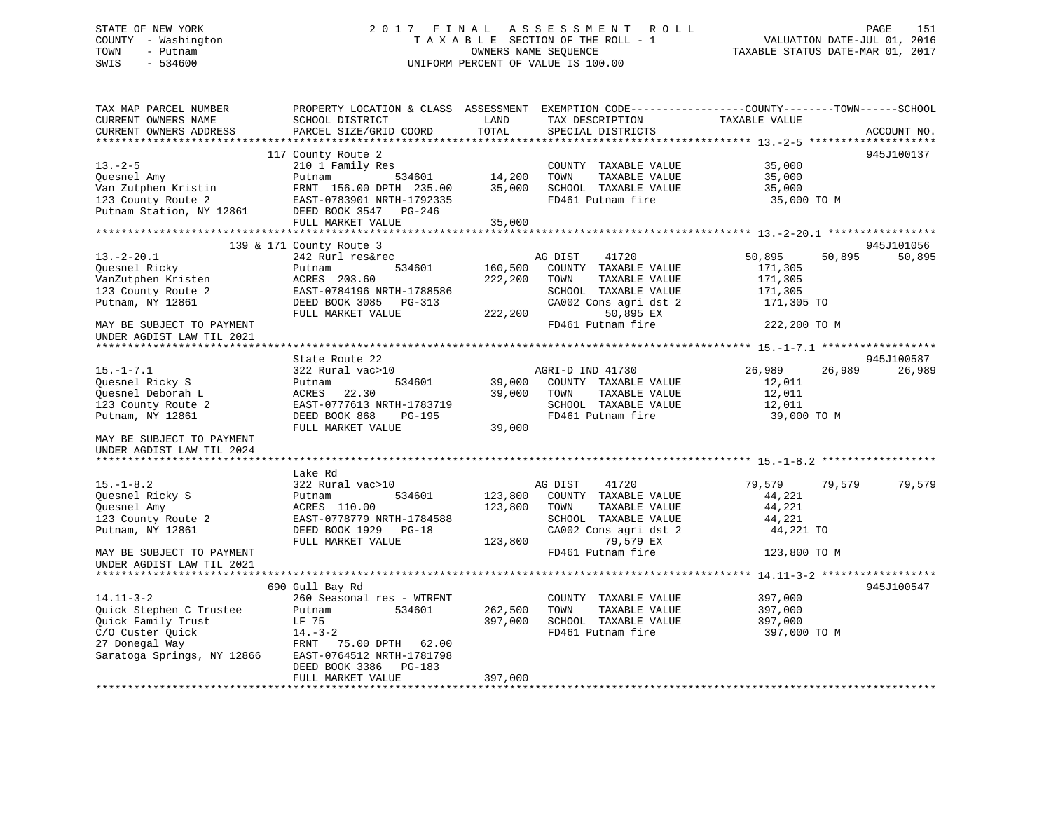## STATE OF NEW YORK 2 0 1 7 F I N A L A S S E S S M E N T R O L L PAGE 151 COUNTY - Washington T A X A B L E SECTION OF THE ROLL - 1 VALUATION DATE-JUL 01, 2016 TOWN - Putnam OWNERS NAME SEQUENCE TAXABLE STATUS DATE-MAR 01, 2017 SWIS - 534600 UNIFORM PERCENT OF VALUE IS 100.00

| TAX MAP PARCEL NUMBER<br>CURRENT OWNERS NAME<br>CURRENT OWNERS ADDRESS                                                     | PROPERTY LOCATION & CLASS ASSESSMENT EXEMPTION CODE----------------COUNTY-------TOWN------SCHOOL<br>SCHOOL DISTRICT<br>PARCEL SIZE/GRID COORD                    | LAND<br>TOTAL                 | TAX DESCRIPTION<br>SPECIAL DISTRICTS                                                                                                                 | TAXABLE VALUE                                                                   | ACCOUNT NO. |
|----------------------------------------------------------------------------------------------------------------------------|------------------------------------------------------------------------------------------------------------------------------------------------------------------|-------------------------------|------------------------------------------------------------------------------------------------------------------------------------------------------|---------------------------------------------------------------------------------|-------------|
|                                                                                                                            |                                                                                                                                                                  |                               |                                                                                                                                                      |                                                                                 |             |
| $13. - 2 - 5$<br>Ouesnel Amy<br>Van Zutphen Kristin<br>123 County Route 2<br>Putnam Station, NY 12861                      | 117 County Route 2<br>210 1 Family Res<br>534601<br>Putnam<br>FRNT 156.00 DPTH 235.00<br>EAST-0783901 NRTH-1792335<br>DEED BOOK 3547 PG-246<br>FULL MARKET VALUE | 14,200<br>35,000<br>35,000    | COUNTY TAXABLE VALUE<br>TOWN<br>TAXABLE VALUE<br>SCHOOL TAXABLE VALUE<br>FD461 Putnam fire                                                           | 35,000<br>35,000<br>35,000<br>35,000 TO M                                       | 945J100137  |
|                                                                                                                            |                                                                                                                                                                  |                               |                                                                                                                                                      |                                                                                 |             |
|                                                                                                                            | 139 & 171 County Route 3                                                                                                                                         |                               |                                                                                                                                                      |                                                                                 | 945J101056  |
| $13.-2-20.1$<br>Ouesnel Ricky<br>VanZutphen Kristen<br>123 County Route 2<br>Putnam, NY 12861<br>MAY BE SUBJECT TO PAYMENT | 242 Rurl res&rec<br>Putnam<br>534601<br>ACRES 203.60<br>EAST-0784196 NRTH-1788586<br>DEED BOOK 3085 PG-313<br>FULL MARKET VALUE                                  | 160,500<br>222,200<br>222,200 | AG DIST<br>41720<br>COUNTY TAXABLE VALUE<br>TOWN<br>TAXABLE VALUE<br>SCHOOL TAXABLE VALUE<br>CA002 Cons agri dst 2<br>50,895 EX<br>FD461 Putnam fire | 50,895<br>50,895<br>171,305<br>171,305<br>171,305<br>171,305 TO<br>222,200 TO M | 50,895      |
| UNDER AGDIST LAW TIL 2021                                                                                                  |                                                                                                                                                                  |                               |                                                                                                                                                      |                                                                                 |             |
|                                                                                                                            |                                                                                                                                                                  |                               |                                                                                                                                                      |                                                                                 |             |
|                                                                                                                            | State Route 22                                                                                                                                                   |                               |                                                                                                                                                      |                                                                                 | 945J100587  |
| $15. - 1 - 7.1$<br>Quesnel Ricky S<br>Quesnel Deborah L<br>123 County Route 2                                              | 322 Rural vac>10<br>534601<br>Putnam<br>ACRES<br>22.30<br>EAST-0777613 NRTH-1783719                                                                              | 39,000<br>39,000              | AGRI-D IND 41730<br>COUNTY TAXABLE VALUE<br>TAXABLE VALUE<br>TOWN<br>SCHOOL TAXABLE VALUE                                                            | 26,989<br>26,989<br>12,011<br>12,011<br>12,011                                  | 26,989      |
| Putnam, NY 12861                                                                                                           | DEED BOOK 868<br>PG-195                                                                                                                                          |                               | FD461 Putnam fire                                                                                                                                    | 39,000 TO M                                                                     |             |
|                                                                                                                            | FULL MARKET VALUE                                                                                                                                                | 39,000                        |                                                                                                                                                      |                                                                                 |             |
| MAY BE SUBJECT TO PAYMENT<br>UNDER AGDIST LAW TIL 2024                                                                     |                                                                                                                                                                  |                               |                                                                                                                                                      |                                                                                 |             |
|                                                                                                                            | Lake Rd                                                                                                                                                          |                               |                                                                                                                                                      |                                                                                 |             |
| $15. - 1 - 8.2$<br>Ouesnel Ricky S<br>Ouesnel Amy<br>123 County Route 2<br>Putnam, NY 12861                                | 322 Rural vac>10<br>534601<br>Putnam<br>ACRES 110.00<br>EAST-0778779 NRTH-1784588<br>DEED BOOK 1929 PG-18<br>FULL MARKET VALUE                                   | 123,800<br>123,800            | 41720<br>AG DIST<br>123,800 COUNTY TAXABLE VALUE<br>TAXABLE VALUE<br>TOWN<br>SCHOOL TAXABLE VALUE<br>CA002 Cons agri dst 2<br>79,579 EX              | 79,579<br>79,579<br>44,221<br>44,221<br>44,221<br>44,221 TO                     | 79,579      |
| MAY BE SUBJECT TO PAYMENT<br>UNDER AGDIST LAW TIL 2021                                                                     |                                                                                                                                                                  |                               | FD461 Putnam fire                                                                                                                                    | 123,800 TO M                                                                    |             |
|                                                                                                                            |                                                                                                                                                                  |                               |                                                                                                                                                      |                                                                                 |             |
| $14.11 - 3 - 2$<br>Quick Stephen C Trustee                                                                                 | 690 Gull Bay Rd<br>260 Seasonal res - WTRFNT<br>534601<br>Putnam                                                                                                 | 262,500                       | COUNTY TAXABLE VALUE<br>TOWN<br>TAXABLE VALUE                                                                                                        | 397,000<br>397,000                                                              | 945J100547  |
| Quick Family Trust<br>C/O Custer Ouick                                                                                     | LF 75<br>$14. - 3 - 2$                                                                                                                                           | 397,000                       | SCHOOL TAXABLE VALUE<br>FD461 Putnam fire                                                                                                            | 397,000<br>397,000 TO M                                                         |             |
| 27 Donegal Way<br>Saratoga Springs, NY 12866                                                                               | FRNT<br>75.00 DPTH 62.00<br>EAST-0764512 NRTH-1781798<br>DEED BOOK 3386 PG-183<br>FULL MARKET VALUE                                                              | 397,000                       |                                                                                                                                                      |                                                                                 |             |
|                                                                                                                            |                                                                                                                                                                  |                               |                                                                                                                                                      |                                                                                 |             |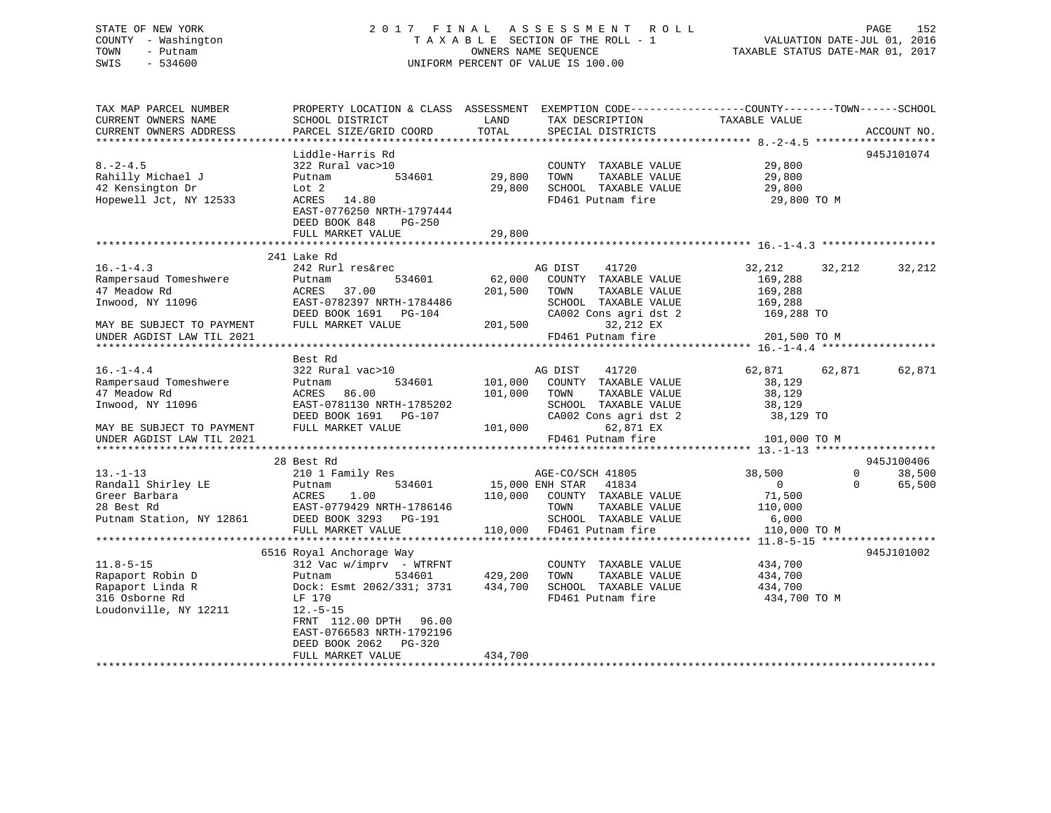## STATE OF NEW YORK 2 0 1 7 F I N A L A S S E S S M E N T R O L L PAGE 152 COUNTY - Washington T A X A B L E SECTION OF THE ROLL - 1 VALUATION DATE-JUL 01, 2016 TOWN - Putnam OWNERS NAME SEQUENCE TAXABLE STATUS DATE-MAR 01, 2017 SWIS - 534600 UNIFORM PERCENT OF VALUE IS 100.00

| TAX MAP PARCEL NUMBER<br>CURRENT OWNERS NAME<br>CURRENT OWNERS ADDRESS | PROPERTY LOCATION & CLASS ASSESSMENT EXEMPTION CODE---------------COUNTY-------TOWN------SCHOOL<br>SCHOOL DISTRICT<br>PARCEL SIZE/GRID COORD | LAND<br>TOTAL   | TAX DESCRIPTION<br>SPECIAL DISTRICTS | TAXABLE VALUE                                    | ACCOUNT NO.                          |
|------------------------------------------------------------------------|----------------------------------------------------------------------------------------------------------------------------------------------|-----------------|--------------------------------------|--------------------------------------------------|--------------------------------------|
|                                                                        |                                                                                                                                              |                 |                                      |                                                  |                                      |
|                                                                        | Liddle-Harris Rd                                                                                                                             |                 |                                      |                                                  | 945J101074                           |
| $8. - 2 - 4.5$                                                         | 322 Rural vac>10                                                                                                                             |                 | COUNTY TAXABLE VALUE                 | 29,800                                           |                                      |
| Rahilly Michael J                                                      | 534601<br>Putnam                                                                                                                             | 29,800          | TOWN<br>TAXABLE VALUE                | 29,800                                           |                                      |
| 42 Kensington Dr                                                       | Lot 2                                                                                                                                        | 29,800          | SCHOOL TAXABLE VALUE                 | 29,800                                           |                                      |
| Hopewell Jct, NY 12533                                                 | ACRES<br>14.80<br>EAST-0776250 NRTH-1797444<br>DEED BOOK 848<br>$PG-250$                                                                     |                 | FD461 Putnam fire                    | 29,800 TO M                                      |                                      |
|                                                                        | FULL MARKET VALUE                                                                                                                            | 29,800          |                                      |                                                  |                                      |
|                                                                        |                                                                                                                                              |                 |                                      |                                                  |                                      |
| $16. - 1 - 4.3$                                                        | 241 Lake Rd<br>242 Rurl res&rec                                                                                                              |                 | AG DIST<br>41720                     | 32,212                                           | 32,212                               |
| Rampersaud Tomeshwere                                                  | 534601<br>Putnam                                                                                                                             | 62,000          | COUNTY TAXABLE VALUE                 | 169,288                                          | 32,212                               |
| 47 Meadow Rd                                                           | 37.00<br>ACRES                                                                                                                               | 201,500         | TOWN<br>TAXABLE VALUE                | 169,288                                          |                                      |
| Inwood, NY 11096                                                       | EAST-0782397 NRTH-1784486                                                                                                                    |                 | SCHOOL TAXABLE VALUE                 | 169,288                                          |                                      |
|                                                                        | DEED BOOK 1691<br>PG-104                                                                                                                     |                 | CA002 Cons agri dst 2                | 169,288 TO                                       |                                      |
| MAY BE SUBJECT TO PAYMENT                                              | FULL MARKET VALUE                                                                                                                            | 201,500         | 32,212 EX                            |                                                  |                                      |
| UNDER AGDIST LAW TIL 2021                                              |                                                                                                                                              |                 | FD461 Putnam fire                    | 201,500 TO M                                     |                                      |
|                                                                        |                                                                                                                                              |                 | ***********************              | **************** 16.-1-4.4 *******************   |                                      |
|                                                                        | Best Rd                                                                                                                                      |                 |                                      |                                                  |                                      |
| $16. - 1 - 4.4$                                                        | 322 Rural vac>10                                                                                                                             |                 | AG DIST<br>41720                     | 62,871                                           | 62,871<br>62,871                     |
| Rampersaud Tomeshwere                                                  | 534601<br>Putnam                                                                                                                             | 101,000         | COUNTY TAXABLE VALUE                 | 38,129                                           |                                      |
| 47 Meadow Rd                                                           | 86.00<br>ACRES                                                                                                                               | 101,000         | TOWN<br>TAXABLE VALUE                | 38,129                                           |                                      |
| Inwood, NY 11096                                                       | EAST-0781130 NRTH-1785202                                                                                                                    |                 | SCHOOL TAXABLE VALUE                 | 38,129                                           |                                      |
|                                                                        | DEED BOOK 1691<br>PG-107                                                                                                                     |                 | CA002 Cons agri dst 2                | 38,129 TO                                        |                                      |
| MAY BE SUBJECT TO PAYMENT                                              | FULL MARKET VALUE                                                                                                                            | 101,000         | 62,871 EX                            |                                                  |                                      |
| UNDER AGDIST LAW TIL 2021                                              |                                                                                                                                              |                 | FD461 Putnam fire                    | 101,000 TO M                                     |                                      |
|                                                                        |                                                                                                                                              |                 |                                      |                                                  |                                      |
| $13. - 1 - 13$                                                         | 28 Best Rd<br>210 1 Family Res                                                                                                               |                 | AGE-CO/SCH 41805                     | 38,500                                           | 945J100406<br>$\mathbf{0}$<br>38,500 |
| Randall Shirley LE                                                     | 534601<br>Putnam                                                                                                                             | 15,000 ENH STAR | 41834                                | $\mathbf{0}$                                     | $\mathbf 0$<br>65,500                |
| Greer Barbara                                                          | 1.00<br>ACRES                                                                                                                                | 110,000         | COUNTY TAXABLE VALUE                 | 71,500                                           |                                      |
| 28 Best Rd                                                             | EAST-0779429 NRTH-1786146                                                                                                                    |                 | TOWN<br>TAXABLE VALUE                | 110,000                                          |                                      |
| Putnam Station, NY 12861                                               | DEED BOOK 3293 PG-191                                                                                                                        |                 | SCHOOL TAXABLE VALUE                 | 6,000                                            |                                      |
|                                                                        | FULL MARKET VALUE                                                                                                                            | 110,000         | FD461 Putnam fire                    | 110,000 TO M                                     |                                      |
|                                                                        | *************************                                                                                                                    |                 |                                      | ****************** 11.8-5-15 ******************* |                                      |
|                                                                        | 6516 Royal Anchorage Way                                                                                                                     |                 |                                      |                                                  | 945J101002                           |
| $11.8 - 5 - 15$                                                        | $312$ Vac w/imprv - WTRFNT                                                                                                                   |                 | COUNTY TAXABLE VALUE                 | 434,700                                          |                                      |
| Rapaport Robin D                                                       | 534601<br>Putnam                                                                                                                             | 429,200         | TOWN<br>TAXABLE VALUE                | 434,700                                          |                                      |
| Rapaport Linda R                                                       | Dock: Esmt 2062/331; 3731                                                                                                                    | 434,700         | SCHOOL TAXABLE VALUE                 | 434,700                                          |                                      |
| 316 Osborne Rd                                                         | LF 170                                                                                                                                       |                 | FD461 Putnam fire                    | 434,700 TO M                                     |                                      |
| Loudonville, NY 12211                                                  | $12.-5-15$<br>FRNT 112.00 DPTH<br>96.00<br>EAST-0766583 NRTH-1792196<br>DEED BOOK 2062<br>PG-320                                             |                 |                                      |                                                  |                                      |
|                                                                        | FULL MARKET VALUE                                                                                                                            | 434,700         |                                      |                                                  |                                      |
|                                                                        |                                                                                                                                              |                 |                                      |                                                  |                                      |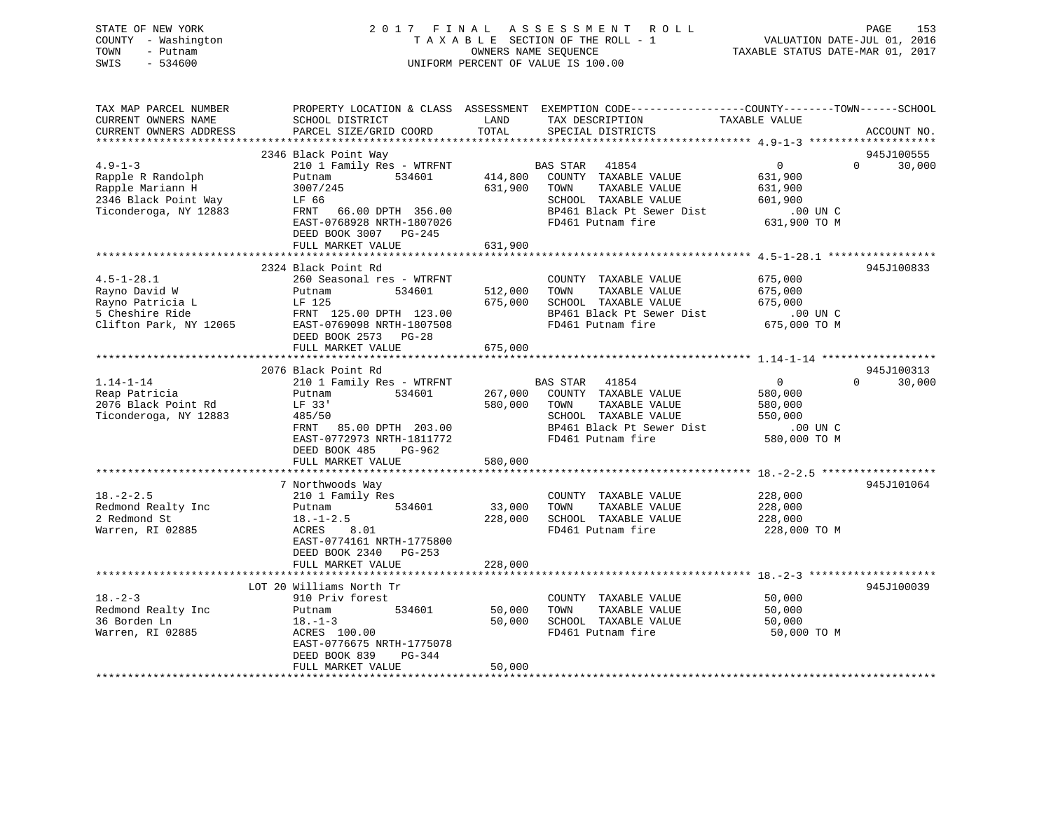STATE OF NEW YORK 2 0 1 7 F I N A L A S S E S S M E N T R O L L PAGE 153 COUNTY - Washington T A X A B L E SECTION OF THE ROLL - 1 VALUATION DATE-JUL 01, 2016 TOWN - Putnam OWNERS NAME SEQUENCE TAXABLE STATUS DATE-MAR 01, 2017 SWIS - 534600 UNIFORM PERCENT OF VALUE IS 100.00 TAX MAP PARCEL NUMBER PROPERTY LOCATION & CLASS ASSESSMENT EXEMPTION CODE------------------COUNTY--------TOWN------SCHOOL

| CURRENT OWNERS NAME                  | SCHOOL DISTRICT                           | LAND         | TAX DESCRIPTION                                          | TAXABLE VALUE      |                        |
|--------------------------------------|-------------------------------------------|--------------|----------------------------------------------------------|--------------------|------------------------|
| CURRENT OWNERS ADDRESS               | PARCEL SIZE/GRID COORD                    | TOTAL        | SPECIAL DISTRICTS                                        |                    | ACCOUNT NO.            |
|                                      | 2346 Black Point Way                      |              |                                                          |                    | 945J100555             |
| $4.9 - 1 - 3$                        | 210 1 Family Res - WTRFNT                 |              | <b>BAS STAR</b> 41854                                    | $\overline{0}$     | 30,000<br>$\Omega$     |
| Rapple R Randolph                    | 534601<br>Putnam                          |              | 414,800 COUNTY TAXABLE VALUE                             | 631,900            |                        |
| Rapple Mariann H                     | 3007/245                                  | 631,900 TOWN | TAXABLE VALUE                                            | 631,900            |                        |
| 2346 Black Point Way                 | LF 66                                     |              | SCHOOL TAXABLE VALUE                                     | 601,900            |                        |
| Ticonderoga, NY 12883                | FRNT 66.00 DPTH 356.00                    |              | BP461 Black Pt Sewer Dist                                | $.00$ UN C         |                        |
|                                      | EAST-0768928 NRTH-1807026                 |              | FD461 Putnam fire                                        | 631,900 TO M       |                        |
|                                      | DEED BOOK 3007 PG-245                     |              |                                                          |                    |                        |
|                                      | FULL MARKET VALUE                         | 631,900      |                                                          |                    |                        |
|                                      |                                           |              |                                                          |                    |                        |
|                                      | 2324 Black Point Rd                       |              |                                                          |                    | 945J100833             |
| $4.5 - 1 - 28.1$                     | 260 Seasonal res - WTRFNT                 |              | COUNTY TAXABLE VALUE                                     | 675,000            |                        |
| Rayno David W                        | 534601<br>Putnam                          | 512,000      | TAXABLE VALUE<br>TOWN                                    | 675,000            |                        |
| Rayno Patricia L                     | LF 125                                    | 675,000      | SCHOOL TAXABLE VALUE                                     | 675,000            |                        |
| 5 Cheshire Ride                      | FRNT 125.00 DPTH 123.00                   |              | BP461 Black Pt Sewer Dist                                | $.00$ UN C         |                        |
| Clifton Park, NY 12065               | EAST-0769098 NRTH-1807508                 |              | FD461 Putnam fire                                        | 675,000 TO M       |                        |
|                                      | DEED BOOK 2573 PG-28                      |              |                                                          |                    |                        |
|                                      | FULL MARKET VALUE                         | 675,000      |                                                          |                    |                        |
|                                      |                                           |              |                                                          |                    |                        |
|                                      | 2076 Black Point Rd                       |              |                                                          |                    | 945J100313<br>$\Omega$ |
| $1.14 - 1 - 14$                      | 210 1 Family Res - WTRFNT                 |              | <b>BAS STAR</b><br>41854<br>267,000 COUNTY TAXABLE VALUE | $\overline{0}$     | 30,000                 |
| Reap Patricia<br>2076 Black Point Rd | Putnam<br>534601<br>LF 33'                | 580,000      | TOWN<br>TAXABLE VALUE                                    | 580,000            |                        |
| Ticonderoga, NY 12883                | 485/50                                    |              | SCHOOL TAXABLE VALUE                                     | 580,000<br>550,000 |                        |
|                                      | FRNT 85.00 DPTH 203.00                    |              | BP461 Black Pt Sewer Dist                                | .00 UN C           |                        |
|                                      | EAST-0772973 NRTH-1811772                 |              | FD461 Putnam fire                                        | 580,000 TO M       |                        |
|                                      | DEED BOOK 485<br>PG-962                   |              |                                                          |                    |                        |
|                                      | FULL MARKET VALUE                         | 580,000      |                                                          |                    |                        |
|                                      |                                           |              |                                                          |                    |                        |
|                                      | 7 Northwoods Way                          |              |                                                          |                    | 945J101064             |
| $18. - 2 - 2.5$                      | 210 1 Family Res                          |              | COUNTY TAXABLE VALUE                                     | 228,000            |                        |
| Redmond Realty Inc                   | Putnam 534601                             | 33,000 TOWN  | TAXABLE VALUE                                            | 228,000            |                        |
| 2 Redmond St                         | $18. - 1 - 2.5$                           | 228,000      | SCHOOL TAXABLE VALUE                                     | 228,000            |                        |
| Warren, RI 02885                     | ACRES 8.01                                |              | FD461 Putnam fire                                        | 228,000 TO M       |                        |
|                                      | EAST-0774161 NRTH-1775800                 |              |                                                          |                    |                        |
|                                      | DEED BOOK 2340 PG-253                     |              |                                                          |                    |                        |
|                                      | FULL MARKET VALUE                         | 228,000      |                                                          |                    |                        |
|                                      |                                           |              |                                                          |                    |                        |
|                                      | LOT 20 Williams North Tr                  |              |                                                          |                    | 945J100039             |
| $18. - 2 - 3$                        | 910 Priv forest                           |              | COUNTY TAXABLE VALUE                                     | 50,000             |                        |
| Redmond Realty Inc                   | 534601<br>Putnam                          | 50,000       | TOWN<br>TAXABLE VALUE                                    | 50,000             |                        |
| 36 Borden Ln                         | $18. - 1 - 3$                             | 50,000       | SCHOOL TAXABLE VALUE                                     | 50,000             |                        |
| Warren, RI 02885                     | ACRES 100.00<br>EAST-0776675 NRTH-1775078 |              | FD461 Putnam fire                                        | 50,000 TO M        |                        |
|                                      | DEED BOOK 839<br>PG-344                   |              |                                                          |                    |                        |
|                                      | FULL MARKET VALUE                         | 50,000       |                                                          |                    |                        |
|                                      |                                           |              |                                                          |                    |                        |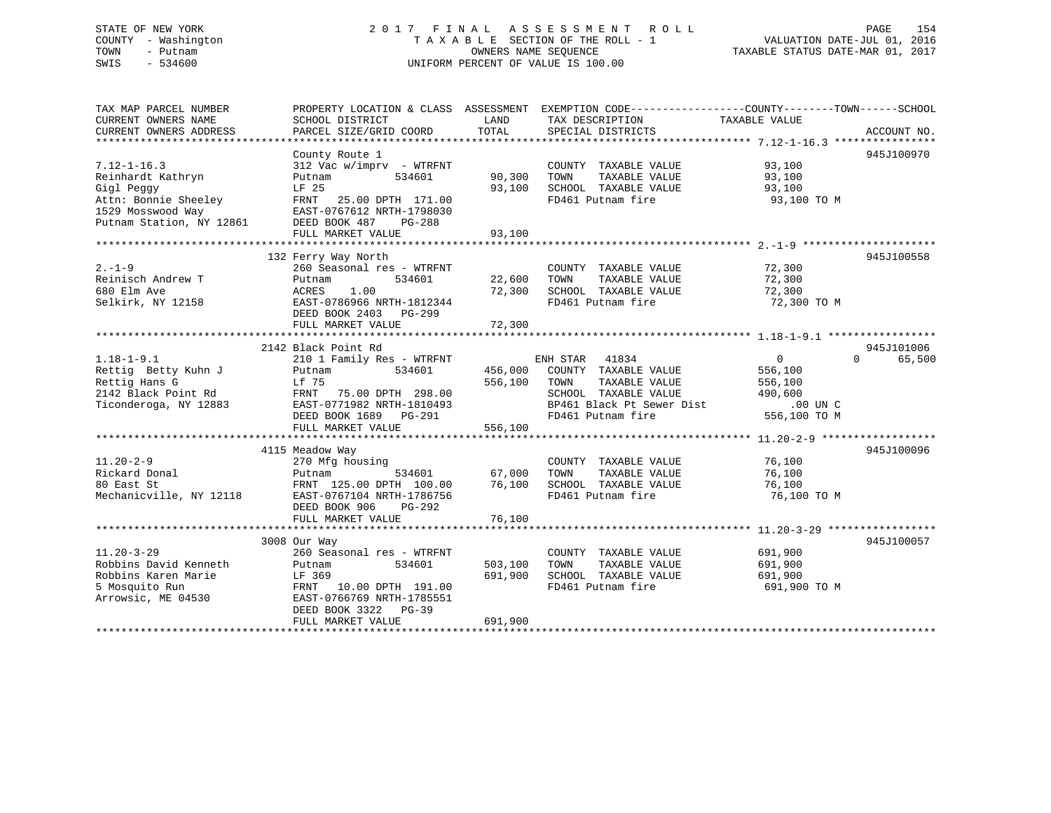## STATE OF NEW YORK 2 0 1 7 F I N A L A S S E S S M E N T R O L L PAGE 154 COUNTY - Washington T A X A B L E SECTION OF THE ROLL - 1 VALUATION DATE-JUL 01, 2016 TOWN - Putnam OWNERS NAME SEQUENCE TAXABLE STATUS DATE-MAR 01, 2017 SWIS - 534600 UNIFORM PERCENT OF VALUE IS 100.00

| TAX MAP PARCEL NUMBER<br>CURRENT OWNERS NAME | SCHOOL DISTRICT                            | LAND    | PROPERTY LOCATION & CLASS ASSESSMENT EXEMPTION CODE---------------COUNTY-------TOWN-----SCHOOL<br>TAX DESCRIPTION | TAXABLE VALUE  |                    |
|----------------------------------------------|--------------------------------------------|---------|-------------------------------------------------------------------------------------------------------------------|----------------|--------------------|
| CURRENT OWNERS ADDRESS                       | PARCEL SIZE/GRID COORD                     | TOTAL   | SPECIAL DISTRICTS                                                                                                 |                | ACCOUNT NO.        |
|                                              |                                            |         |                                                                                                                   |                |                    |
| $7.12 - 1 - 16.3$                            | County Route 1<br>312 Vac w/imprv - WTRFNT |         | COUNTY TAXABLE VALUE                                                                                              | 93,100         | 945J100970         |
| Reinhardt Kathryn                            | 534601<br>Putnam                           | 90,300  | TOWN<br>TAXABLE VALUE                                                                                             | 93,100         |                    |
| Gigl Peggy                                   | LF 25                                      | 93,100  | SCHOOL TAXABLE VALUE                                                                                              | 93,100         |                    |
| Attn: Bonnie Sheeley                         | FRNT 25.00 DPTH 171.00                     |         | FD461 Putnam fire                                                                                                 | 93,100 TO M    |                    |
| 1529 Mosswood Way                            | EAST-0767612 NRTH-1798030                  |         |                                                                                                                   |                |                    |
| Putnam Station, NY 12861                     | DEED BOOK 487<br>PG-288                    |         |                                                                                                                   |                |                    |
|                                              | FULL MARKET VALUE                          | 93,100  |                                                                                                                   |                |                    |
|                                              |                                            |         |                                                                                                                   |                |                    |
|                                              | 132 Ferry Way North                        |         |                                                                                                                   |                | 945J100558         |
| $2. - 1 - 9$                                 | 260 Seasonal res - WTRFNT                  |         | COUNTY TAXABLE VALUE                                                                                              | 72,300         |                    |
| Reinisch Andrew T                            | 534601<br>Putnam                           | 22,600  | TAXABLE VALUE<br>TOWN                                                                                             | 72,300         |                    |
| 680 Elm Ave                                  | ACRES<br>1.00                              | 72,300  | SCHOOL TAXABLE VALUE                                                                                              | 72,300         |                    |
| Selkirk, NY 12158                            | EAST-0786966 NRTH-1812344                  |         | FD461 Putnam fire                                                                                                 | 72,300 TO M    |                    |
|                                              | DEED BOOK 2403 PG-299                      |         |                                                                                                                   |                |                    |
|                                              | FULL MARKET VALUE                          | 72,300  |                                                                                                                   |                |                    |
|                                              |                                            |         |                                                                                                                   |                |                    |
|                                              | 2142 Black Point Rd                        |         |                                                                                                                   |                | 945J101006         |
| $1.18 - 1 - 9.1$                             | 210 1 Family Res - WTRFNT                  |         | ENH STAR<br>41834                                                                                                 | $\overline{0}$ | $\Omega$<br>65,500 |
| Rettig Betty Kuhn J                          | 534601<br>Putnam                           | 456,000 | COUNTY TAXABLE VALUE                                                                                              | 556,100        |                    |
| Rettig Hans G                                | Lf 75                                      | 556,100 | TOWN<br>TAXABLE VALUE                                                                                             | 556,100        |                    |
| 2142 Black Point Rd                          | FRNT 75.00 DPTH 298.00                     |         | SCHOOL TAXABLE VALUE                                                                                              | 490,600        |                    |
| Ticonderoga, NY 12883                        | EAST-0771982 NRTH-1810493                  |         | BP461 Black Pt Sewer Dist                                                                                         | $.00$ UN $C$   |                    |
|                                              | DEED BOOK 1689 PG-291                      |         | FD461 Putnam fire                                                                                                 | 556,100 TO M   |                    |
|                                              | FULL MARKET VALUE                          | 556,100 |                                                                                                                   |                |                    |
|                                              |                                            |         |                                                                                                                   |                |                    |
|                                              | 4115 Meadow Way                            |         |                                                                                                                   |                | 945J100096         |
| $11.20 - 2 - 9$                              | 270 Mfg housing                            |         | COUNTY TAXABLE VALUE                                                                                              | 76,100         |                    |
| Rickard Donal                                | 534601<br>Putnam                           | 67,000  | TAXABLE VALUE<br>TOWN                                                                                             | 76,100         |                    |
| 80 East St                                   | FRNT 125.00 DPTH 100.00                    | 76,100  | SCHOOL TAXABLE VALUE                                                                                              | 76,100         |                    |
| Mechanicville, NY 12118                      | EAST-0767104 NRTH-1786756                  |         | FD461 Putnam fire                                                                                                 | 76,100 TO M    |                    |
|                                              | DEED BOOK 906<br>PG-292                    |         |                                                                                                                   |                |                    |
|                                              | FULL MARKET VALUE                          | 76,100  |                                                                                                                   |                |                    |
|                                              | 3008 Our Way                               |         |                                                                                                                   |                | 945J100057         |
| $11.20 - 3 - 29$                             | 260 Seasonal res - WTRFNT                  |         | COUNTY TAXABLE VALUE                                                                                              | 691,900        |                    |
| Robbins David Kenneth                        | 534601<br>Putnam                           | 503,100 | TAXABLE VALUE<br>TOWN                                                                                             | 691,900        |                    |
| Robbins Karen Marie                          | LF 369                                     | 691,900 | SCHOOL TAXABLE VALUE                                                                                              | 691,900        |                    |
| 5 Mosquito Run                               | FRNT<br>10.00 DPTH 191.00                  |         | FD461 Putnam fire                                                                                                 | 691,900 TO M   |                    |
| Arrowsic, ME 04530                           | EAST-0766769 NRTH-1785551                  |         |                                                                                                                   |                |                    |
|                                              | DEED BOOK 3322<br>$PG-39$                  |         |                                                                                                                   |                |                    |
|                                              | FULL MARKET VALUE                          | 691,900 |                                                                                                                   |                |                    |
|                                              |                                            |         |                                                                                                                   |                |                    |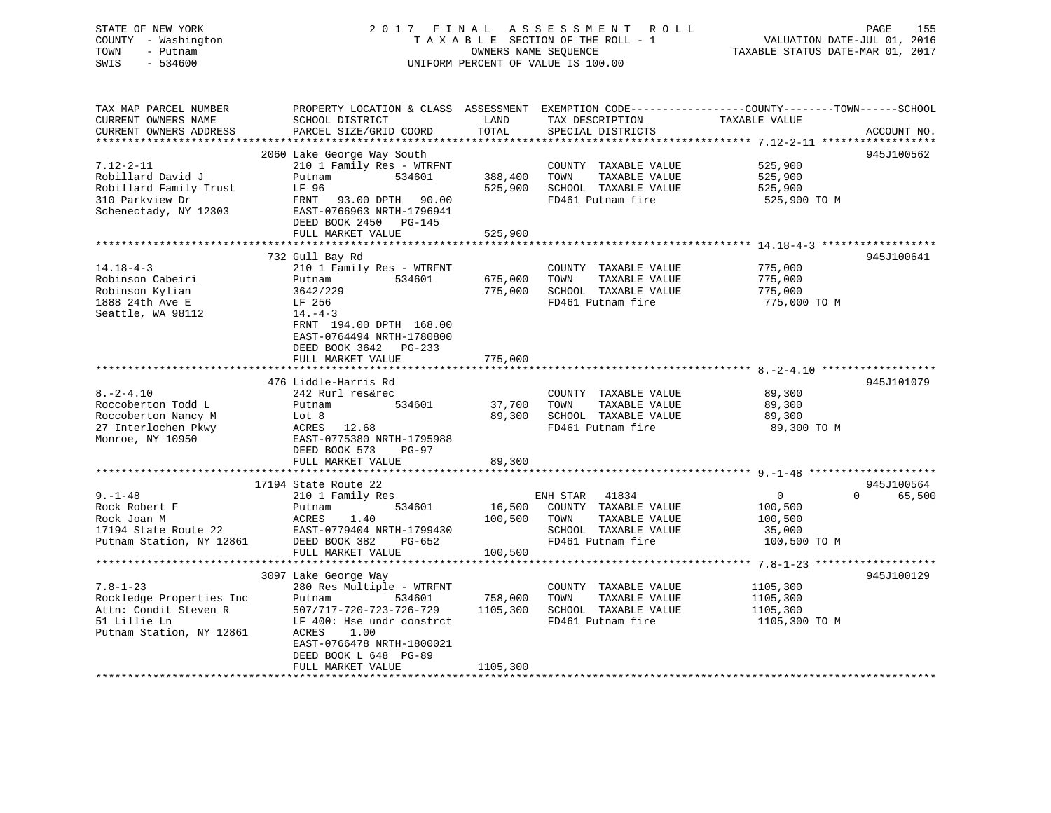## STATE OF NEW YORK 2 0 1 7 F I N A L A S S E S S M E N T R O L L PAGE 155 COUNTY - Washington T A X A B L E SECTION OF THE ROLL - 1 VALUATION DATE-JUL 01, 2016 TOWN - Putnam **CONNERS NAME SEQUENCE** TAXABLE STATUS DATE-MAR 01, 2017 SWIS - 534600 UNIFORM PERCENT OF VALUE IS 100.00

| TAX MAP PARCEL NUMBER<br>CURRENT OWNERS NAME<br>CURRENT OWNERS ADDRESS                                          | PROPERTY LOCATION & CLASS ASSESSMENT<br>SCHOOL DISTRICT<br>PARCEL SIZE/GRID COORD                                                                                            | LAND<br>TOTAL       | TAX DESCRIPTION<br>SPECIAL DISTRICTS                                                                            | EXEMPTION CODE-----------------COUNTY-------TOWN------SCHOOL<br>TAXABLE VALUE<br>ACCOUNT NO.       |
|-----------------------------------------------------------------------------------------------------------------|------------------------------------------------------------------------------------------------------------------------------------------------------------------------------|---------------------|-----------------------------------------------------------------------------------------------------------------|----------------------------------------------------------------------------------------------------|
| *************************                                                                                       |                                                                                                                                                                              |                     |                                                                                                                 |                                                                                                    |
|                                                                                                                 | 2060 Lake George Way South                                                                                                                                                   |                     |                                                                                                                 | 945J100562                                                                                         |
| $7.12 - 2 - 11$<br>Robillard David J<br>Robillard Family Trust<br>310 Parkview Dr<br>Schenectady, NY 12303      | 210 1 Family Res - WTRFNT<br>Putnam<br>534601<br>LF 96<br>FRNT 93.00 DPTH 90.00<br>EAST-0766963 NRTH-1796941<br>DEED BOOK 2450 PG-145                                        | 388,400<br>525,900  | COUNTY TAXABLE VALUE<br>TOWN<br>TAXABLE VALUE<br>SCHOOL TAXABLE VALUE<br>FD461 Putnam fire                      | 525,900<br>525,900<br>525,900<br>525,900 TO M                                                      |
|                                                                                                                 | FULL MARKET VALUE                                                                                                                                                            | 525,900             |                                                                                                                 |                                                                                                    |
|                                                                                                                 |                                                                                                                                                                              |                     |                                                                                                                 |                                                                                                    |
| $14.18 - 4 - 3$<br>Robinson Cabeiri<br>Robinson Kylian<br>1888 24th Ave E<br>Seattle, WA 98112                  | 732 Gull Bay Rd<br>210 1 Family Res - WTRFNT<br>534601<br>Putnam<br>3642/229<br>LF 256<br>$14. - 4 - 3$<br>FRNT 194.00 DPTH 168.00                                           | 675,000<br>775,000  | COUNTY TAXABLE VALUE<br>TAXABLE VALUE<br>TOWN<br>SCHOOL TAXABLE VALUE<br>FD461 Putnam fire                      | 945J100641<br>775,000<br>775,000<br>775,000<br>775,000 TO M                                        |
|                                                                                                                 | EAST-0764494 NRTH-1780800<br>DEED BOOK 3642<br>$PG-233$<br>FULL MARKET VALUE                                                                                                 | 775,000             |                                                                                                                 |                                                                                                    |
|                                                                                                                 | 476 Liddle-Harris Rd                                                                                                                                                         |                     |                                                                                                                 | 945J101079                                                                                         |
| $8. - 2 - 4.10$<br>Roccoberton Todd L<br>Roccoberton Nancy M<br>27 Interlochen Pkwy<br>Monroe, NY 10950         | 242 Rurl res&rec<br>534601<br>Putnam<br>Lot 8<br>ACRES<br>12.68<br>EAST-0775380 NRTH-1795988<br>DEED BOOK 573<br>PG-97                                                       | 37,700<br>89,300    | COUNTY TAXABLE VALUE<br>TAXABLE VALUE<br>TOWN<br>SCHOOL TAXABLE VALUE<br>FD461 Putnam fire                      | 89,300<br>89,300<br>89,300<br>89,300 TO M                                                          |
|                                                                                                                 | FULL MARKET VALUE                                                                                                                                                            | 89,300              |                                                                                                                 |                                                                                                    |
|                                                                                                                 |                                                                                                                                                                              |                     |                                                                                                                 |                                                                                                    |
| $9. - 1 - 48$<br>Rock Robert F<br>Rock Joan M<br>17194 State Route 22<br>Putnam Station, NY 12861               | 17194 State Route 22<br>210 1 Family Res<br>534601<br>Putnam<br>1.40<br>ACRES<br>EAST-0779404 NRTH-1799430<br>DEED BOOK 382<br>PG-652                                        | 16,500<br>100,500   | 41834<br>ENH STAR<br>COUNTY TAXABLE VALUE<br>TAXABLE VALUE<br>TOWN<br>SCHOOL TAXABLE VALUE<br>FD461 Putnam fire | 945J100564<br>$\overline{0}$<br>$\Omega$<br>65,500<br>100,500<br>100,500<br>35,000<br>100,500 TO M |
|                                                                                                                 | FULL MARKET VALUE                                                                                                                                                            | 100,500             |                                                                                                                 |                                                                                                    |
|                                                                                                                 | 3097 Lake George Way                                                                                                                                                         |                     |                                                                                                                 | 945J100129                                                                                         |
| $7.8 - 1 - 23$<br>Rockledge Properties Inc<br>Attn: Condit Steven R<br>51 Lillie Ln<br>Putnam Station, NY 12861 | 280 Res Multiple - WTRFNT<br>Putnam<br>534601<br>507/717-720-723-726-729<br>LF 400: Hse undr constrct<br>ACRES<br>1.00<br>EAST-0766478 NRTH-1800021<br>DEED BOOK L 648 PG-89 | 758,000<br>1105,300 | COUNTY TAXABLE VALUE<br>TOWN<br>TAXABLE VALUE<br>SCHOOL TAXABLE VALUE<br>FD461 Putnam fire                      | 1105,300<br>1105,300<br>1105,300<br>1105,300 TO M                                                  |
|                                                                                                                 | FULL MARKET VALUE                                                                                                                                                            | 1105,300            |                                                                                                                 |                                                                                                    |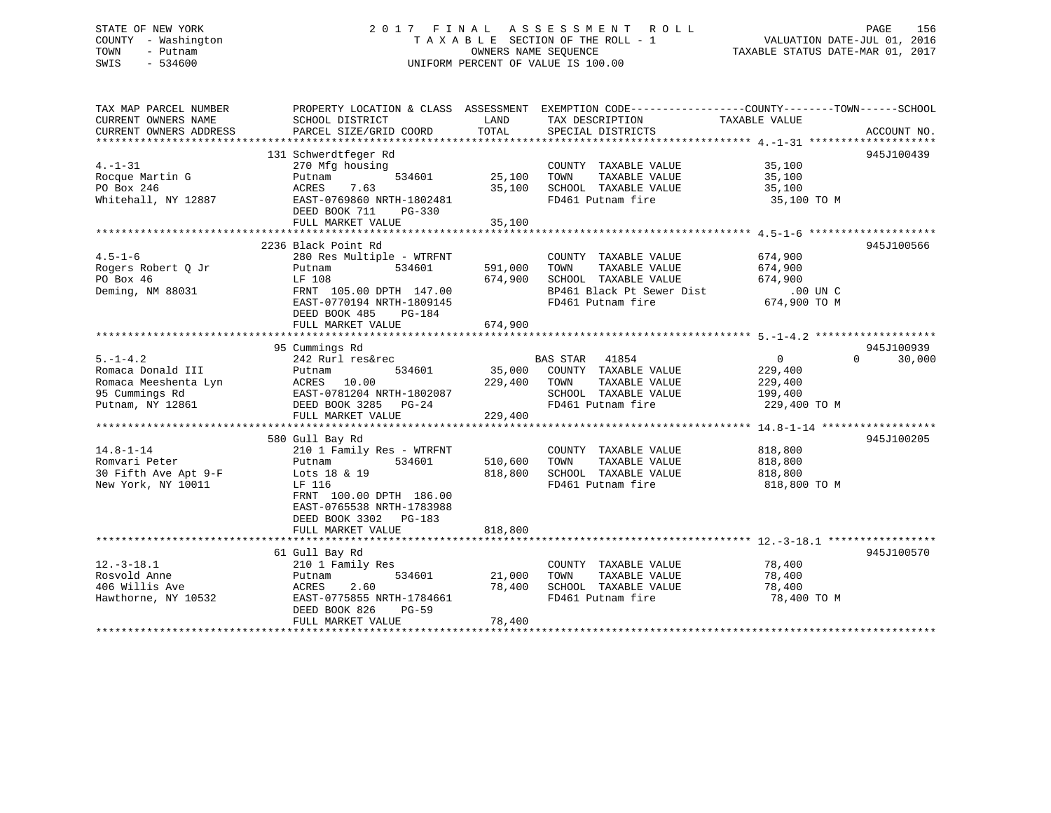## STATE OF NEW YORK 2 0 1 7 F I N A L A S S E S S M E N T R O L L PAGE 156 COUNTY - Washington T A X A B L E SECTION OF THE ROLL - 1 VALUATION DATE-JUL 01, 2016 TOWN - Putnam OWNERS NAME SEQUENCE TAXABLE STATUS DATE-MAR 01, 2017 SWIS - 534600 UNIFORM PERCENT OF VALUE IS 100.00

| TOTAL<br>CURRENT OWNERS ADDRESS<br>PARCEL SIZE/GRID COORD<br>SPECIAL DISTRICTS<br>ACCOUNT NO.<br>131 Schwerdtfeger Rd<br>945J100439<br>$4. -1 - 31$<br>270 Mfg housing<br>COUNTY TAXABLE VALUE<br>35,100<br>534601<br>25,100<br>Rocque Martin G<br>Putnam<br>TOWN<br>TAXABLE VALUE<br>35,100<br>PO Box 246<br>7.63<br>35,100<br>SCHOOL TAXABLE VALUE<br>ACRES<br>35,100<br>Whitehall, NY 12887<br>EAST-0769860 NRTH-1802481<br>FD461 Putnam fire<br>35,100 TO M<br>DEED BOOK 711<br>PG-330<br>FULL MARKET VALUE<br>35,100<br>2236 Black Point Rd<br>945J100566<br>$4.5 - 1 - 6$<br>280 Res Multiple - WTRFNT<br>COUNTY TAXABLE VALUE<br>674,900<br>534601<br>591,000<br>TOWN<br>TAXABLE VALUE<br>674,900<br>Putnam<br>674,900<br>SCHOOL TAXABLE VALUE<br>PO Box 46<br>LF 108<br>674,900<br>BP461 Black Pt Sewer Dist<br>FRNT 105.00 DPTH 147.00<br>$.00$ UN C<br>FD461 Putnam fire<br>EAST-0770194 NRTH-1809145<br>674,900 TO M<br>DEED BOOK 485<br>PG-184<br>FULL MARKET VALUE<br>674,900<br>945J100939<br>95 Cummings Rd<br>$5. -1 - 4.2$<br>242 Rurl res&rec<br>BAS STAR 41854<br>$\overline{0}$<br>$\Omega$<br>30,000<br>35,000<br>229,400<br>534601<br>COUNTY TAXABLE VALUE<br>Putnam<br>Romaca Meeshenta Lyn<br>ACRES 10.00<br>229,400<br>TOWN<br>TAXABLE VALUE<br>229,400<br>EAST-0781204 NRTH-1802087<br>SCHOOL TAXABLE VALUE<br>199,400<br>FD461 Putnam fire<br>Putnam, NY 12861<br>DEED BOOK 3285 PG-24<br>229,400 TO M<br>FULL MARKET VALUE<br>229,400<br>580 Gull Bay Rd<br>945J100205<br>$14.8 - 1 - 14$<br>210 1 Family Res - WTRFNT<br>COUNTY TAXABLE VALUE<br>818,800<br>Romvari Peter<br>534601<br>510,600<br>TOWN<br>TAXABLE VALUE<br>818,800<br>Putnam<br>30 Fifth Ave Apt 9-F<br>818,800<br>SCHOOL TAXABLE VALUE<br>Lots 18 & 19<br>818,800<br>FD461 Putnam fire<br>New York, NY 10011<br>LF 116<br>818,800 TO M<br>FRNT 100.00 DPTH 186.00<br>EAST-0765538 NRTH-1783988<br>DEED BOOK 3302 PG-183<br>FULL MARKET VALUE<br>818,800<br>945J100570<br>61 Gull Bay Rd<br>210 1 Family Res<br>$12.-3-18.1$<br>COUNTY TAXABLE VALUE<br>78,400<br>Rosvold Anne<br>534601<br>21,000<br>TOWN<br>TAXABLE VALUE<br>78,400<br>Putnam<br>406 Willis Ave<br>2.60<br>78,400<br>SCHOOL TAXABLE VALUE<br>ACRES<br>78,400<br>Hawthorne, NY 10532<br>FD461 Putnam fire<br>78,400 TO M<br>EAST-0775855 NRTH-1784661<br>DEED BOOK 826<br>$PG-59$<br>78,400<br>FULL MARKET VALUE | TAX MAP PARCEL NUMBER<br>CURRENT OWNERS NAME | SCHOOL DISTRICT | LAND | PROPERTY LOCATION & CLASS ASSESSMENT EXEMPTION CODE----------------COUNTY-------TOWN------SCHOOL<br>TAX DESCRIPTION | TAXABLE VALUE |  |
|--------------------------------------------------------------------------------------------------------------------------------------------------------------------------------------------------------------------------------------------------------------------------------------------------------------------------------------------------------------------------------------------------------------------------------------------------------------------------------------------------------------------------------------------------------------------------------------------------------------------------------------------------------------------------------------------------------------------------------------------------------------------------------------------------------------------------------------------------------------------------------------------------------------------------------------------------------------------------------------------------------------------------------------------------------------------------------------------------------------------------------------------------------------------------------------------------------------------------------------------------------------------------------------------------------------------------------------------------------------------------------------------------------------------------------------------------------------------------------------------------------------------------------------------------------------------------------------------------------------------------------------------------------------------------------------------------------------------------------------------------------------------------------------------------------------------------------------------------------------------------------------------------------------------------------------------------------------------------------------------------------------------------------------------------------------------------------------------------------------------------------------------------------------------------------------------------------------------------------------------------------------------------------------------------------------------------------------------------------------------------------|----------------------------------------------|-----------------|------|---------------------------------------------------------------------------------------------------------------------|---------------|--|
|                                                                                                                                                                                                                                                                                                                                                                                                                                                                                                                                                                                                                                                                                                                                                                                                                                                                                                                                                                                                                                                                                                                                                                                                                                                                                                                                                                                                                                                                                                                                                                                                                                                                                                                                                                                                                                                                                                                                                                                                                                                                                                                                                                                                                                                                                                                                                                                |                                              |                 |      |                                                                                                                     |               |  |
|                                                                                                                                                                                                                                                                                                                                                                                                                                                                                                                                                                                                                                                                                                                                                                                                                                                                                                                                                                                                                                                                                                                                                                                                                                                                                                                                                                                                                                                                                                                                                                                                                                                                                                                                                                                                                                                                                                                                                                                                                                                                                                                                                                                                                                                                                                                                                                                |                                              |                 |      |                                                                                                                     |               |  |
|                                                                                                                                                                                                                                                                                                                                                                                                                                                                                                                                                                                                                                                                                                                                                                                                                                                                                                                                                                                                                                                                                                                                                                                                                                                                                                                                                                                                                                                                                                                                                                                                                                                                                                                                                                                                                                                                                                                                                                                                                                                                                                                                                                                                                                                                                                                                                                                |                                              |                 |      |                                                                                                                     |               |  |
|                                                                                                                                                                                                                                                                                                                                                                                                                                                                                                                                                                                                                                                                                                                                                                                                                                                                                                                                                                                                                                                                                                                                                                                                                                                                                                                                                                                                                                                                                                                                                                                                                                                                                                                                                                                                                                                                                                                                                                                                                                                                                                                                                                                                                                                                                                                                                                                |                                              |                 |      |                                                                                                                     |               |  |
|                                                                                                                                                                                                                                                                                                                                                                                                                                                                                                                                                                                                                                                                                                                                                                                                                                                                                                                                                                                                                                                                                                                                                                                                                                                                                                                                                                                                                                                                                                                                                                                                                                                                                                                                                                                                                                                                                                                                                                                                                                                                                                                                                                                                                                                                                                                                                                                |                                              |                 |      |                                                                                                                     |               |  |
|                                                                                                                                                                                                                                                                                                                                                                                                                                                                                                                                                                                                                                                                                                                                                                                                                                                                                                                                                                                                                                                                                                                                                                                                                                                                                                                                                                                                                                                                                                                                                                                                                                                                                                                                                                                                                                                                                                                                                                                                                                                                                                                                                                                                                                                                                                                                                                                |                                              |                 |      |                                                                                                                     |               |  |
|                                                                                                                                                                                                                                                                                                                                                                                                                                                                                                                                                                                                                                                                                                                                                                                                                                                                                                                                                                                                                                                                                                                                                                                                                                                                                                                                                                                                                                                                                                                                                                                                                                                                                                                                                                                                                                                                                                                                                                                                                                                                                                                                                                                                                                                                                                                                                                                |                                              |                 |      |                                                                                                                     |               |  |
|                                                                                                                                                                                                                                                                                                                                                                                                                                                                                                                                                                                                                                                                                                                                                                                                                                                                                                                                                                                                                                                                                                                                                                                                                                                                                                                                                                                                                                                                                                                                                                                                                                                                                                                                                                                                                                                                                                                                                                                                                                                                                                                                                                                                                                                                                                                                                                                |                                              |                 |      |                                                                                                                     |               |  |
|                                                                                                                                                                                                                                                                                                                                                                                                                                                                                                                                                                                                                                                                                                                                                                                                                                                                                                                                                                                                                                                                                                                                                                                                                                                                                                                                                                                                                                                                                                                                                                                                                                                                                                                                                                                                                                                                                                                                                                                                                                                                                                                                                                                                                                                                                                                                                                                |                                              |                 |      |                                                                                                                     |               |  |
|                                                                                                                                                                                                                                                                                                                                                                                                                                                                                                                                                                                                                                                                                                                                                                                                                                                                                                                                                                                                                                                                                                                                                                                                                                                                                                                                                                                                                                                                                                                                                                                                                                                                                                                                                                                                                                                                                                                                                                                                                                                                                                                                                                                                                                                                                                                                                                                |                                              |                 |      |                                                                                                                     |               |  |
|                                                                                                                                                                                                                                                                                                                                                                                                                                                                                                                                                                                                                                                                                                                                                                                                                                                                                                                                                                                                                                                                                                                                                                                                                                                                                                                                                                                                                                                                                                                                                                                                                                                                                                                                                                                                                                                                                                                                                                                                                                                                                                                                                                                                                                                                                                                                                                                |                                              |                 |      |                                                                                                                     |               |  |
|                                                                                                                                                                                                                                                                                                                                                                                                                                                                                                                                                                                                                                                                                                                                                                                                                                                                                                                                                                                                                                                                                                                                                                                                                                                                                                                                                                                                                                                                                                                                                                                                                                                                                                                                                                                                                                                                                                                                                                                                                                                                                                                                                                                                                                                                                                                                                                                |                                              |                 |      |                                                                                                                     |               |  |
|                                                                                                                                                                                                                                                                                                                                                                                                                                                                                                                                                                                                                                                                                                                                                                                                                                                                                                                                                                                                                                                                                                                                                                                                                                                                                                                                                                                                                                                                                                                                                                                                                                                                                                                                                                                                                                                                                                                                                                                                                                                                                                                                                                                                                                                                                                                                                                                | Rogers Robert O Jr                           |                 |      |                                                                                                                     |               |  |
|                                                                                                                                                                                                                                                                                                                                                                                                                                                                                                                                                                                                                                                                                                                                                                                                                                                                                                                                                                                                                                                                                                                                                                                                                                                                                                                                                                                                                                                                                                                                                                                                                                                                                                                                                                                                                                                                                                                                                                                                                                                                                                                                                                                                                                                                                                                                                                                |                                              |                 |      |                                                                                                                     |               |  |
|                                                                                                                                                                                                                                                                                                                                                                                                                                                                                                                                                                                                                                                                                                                                                                                                                                                                                                                                                                                                                                                                                                                                                                                                                                                                                                                                                                                                                                                                                                                                                                                                                                                                                                                                                                                                                                                                                                                                                                                                                                                                                                                                                                                                                                                                                                                                                                                | Deming, NM 88031                             |                 |      |                                                                                                                     |               |  |
|                                                                                                                                                                                                                                                                                                                                                                                                                                                                                                                                                                                                                                                                                                                                                                                                                                                                                                                                                                                                                                                                                                                                                                                                                                                                                                                                                                                                                                                                                                                                                                                                                                                                                                                                                                                                                                                                                                                                                                                                                                                                                                                                                                                                                                                                                                                                                                                |                                              |                 |      |                                                                                                                     |               |  |
|                                                                                                                                                                                                                                                                                                                                                                                                                                                                                                                                                                                                                                                                                                                                                                                                                                                                                                                                                                                                                                                                                                                                                                                                                                                                                                                                                                                                                                                                                                                                                                                                                                                                                                                                                                                                                                                                                                                                                                                                                                                                                                                                                                                                                                                                                                                                                                                |                                              |                 |      |                                                                                                                     |               |  |
|                                                                                                                                                                                                                                                                                                                                                                                                                                                                                                                                                                                                                                                                                                                                                                                                                                                                                                                                                                                                                                                                                                                                                                                                                                                                                                                                                                                                                                                                                                                                                                                                                                                                                                                                                                                                                                                                                                                                                                                                                                                                                                                                                                                                                                                                                                                                                                                |                                              |                 |      |                                                                                                                     |               |  |
|                                                                                                                                                                                                                                                                                                                                                                                                                                                                                                                                                                                                                                                                                                                                                                                                                                                                                                                                                                                                                                                                                                                                                                                                                                                                                                                                                                                                                                                                                                                                                                                                                                                                                                                                                                                                                                                                                                                                                                                                                                                                                                                                                                                                                                                                                                                                                                                |                                              |                 |      |                                                                                                                     |               |  |
|                                                                                                                                                                                                                                                                                                                                                                                                                                                                                                                                                                                                                                                                                                                                                                                                                                                                                                                                                                                                                                                                                                                                                                                                                                                                                                                                                                                                                                                                                                                                                                                                                                                                                                                                                                                                                                                                                                                                                                                                                                                                                                                                                                                                                                                                                                                                                                                |                                              |                 |      |                                                                                                                     |               |  |
|                                                                                                                                                                                                                                                                                                                                                                                                                                                                                                                                                                                                                                                                                                                                                                                                                                                                                                                                                                                                                                                                                                                                                                                                                                                                                                                                                                                                                                                                                                                                                                                                                                                                                                                                                                                                                                                                                                                                                                                                                                                                                                                                                                                                                                                                                                                                                                                |                                              |                 |      |                                                                                                                     |               |  |
|                                                                                                                                                                                                                                                                                                                                                                                                                                                                                                                                                                                                                                                                                                                                                                                                                                                                                                                                                                                                                                                                                                                                                                                                                                                                                                                                                                                                                                                                                                                                                                                                                                                                                                                                                                                                                                                                                                                                                                                                                                                                                                                                                                                                                                                                                                                                                                                | Romaca Donald III                            |                 |      |                                                                                                                     |               |  |
|                                                                                                                                                                                                                                                                                                                                                                                                                                                                                                                                                                                                                                                                                                                                                                                                                                                                                                                                                                                                                                                                                                                                                                                                                                                                                                                                                                                                                                                                                                                                                                                                                                                                                                                                                                                                                                                                                                                                                                                                                                                                                                                                                                                                                                                                                                                                                                                |                                              |                 |      |                                                                                                                     |               |  |
|                                                                                                                                                                                                                                                                                                                                                                                                                                                                                                                                                                                                                                                                                                                                                                                                                                                                                                                                                                                                                                                                                                                                                                                                                                                                                                                                                                                                                                                                                                                                                                                                                                                                                                                                                                                                                                                                                                                                                                                                                                                                                                                                                                                                                                                                                                                                                                                | 95 Cummings Rd                               |                 |      |                                                                                                                     |               |  |
|                                                                                                                                                                                                                                                                                                                                                                                                                                                                                                                                                                                                                                                                                                                                                                                                                                                                                                                                                                                                                                                                                                                                                                                                                                                                                                                                                                                                                                                                                                                                                                                                                                                                                                                                                                                                                                                                                                                                                                                                                                                                                                                                                                                                                                                                                                                                                                                |                                              |                 |      |                                                                                                                     |               |  |
|                                                                                                                                                                                                                                                                                                                                                                                                                                                                                                                                                                                                                                                                                                                                                                                                                                                                                                                                                                                                                                                                                                                                                                                                                                                                                                                                                                                                                                                                                                                                                                                                                                                                                                                                                                                                                                                                                                                                                                                                                                                                                                                                                                                                                                                                                                                                                                                |                                              |                 |      |                                                                                                                     |               |  |
|                                                                                                                                                                                                                                                                                                                                                                                                                                                                                                                                                                                                                                                                                                                                                                                                                                                                                                                                                                                                                                                                                                                                                                                                                                                                                                                                                                                                                                                                                                                                                                                                                                                                                                                                                                                                                                                                                                                                                                                                                                                                                                                                                                                                                                                                                                                                                                                |                                              |                 |      |                                                                                                                     |               |  |
|                                                                                                                                                                                                                                                                                                                                                                                                                                                                                                                                                                                                                                                                                                                                                                                                                                                                                                                                                                                                                                                                                                                                                                                                                                                                                                                                                                                                                                                                                                                                                                                                                                                                                                                                                                                                                                                                                                                                                                                                                                                                                                                                                                                                                                                                                                                                                                                |                                              |                 |      |                                                                                                                     |               |  |
|                                                                                                                                                                                                                                                                                                                                                                                                                                                                                                                                                                                                                                                                                                                                                                                                                                                                                                                                                                                                                                                                                                                                                                                                                                                                                                                                                                                                                                                                                                                                                                                                                                                                                                                                                                                                                                                                                                                                                                                                                                                                                                                                                                                                                                                                                                                                                                                |                                              |                 |      |                                                                                                                     |               |  |
|                                                                                                                                                                                                                                                                                                                                                                                                                                                                                                                                                                                                                                                                                                                                                                                                                                                                                                                                                                                                                                                                                                                                                                                                                                                                                                                                                                                                                                                                                                                                                                                                                                                                                                                                                                                                                                                                                                                                                                                                                                                                                                                                                                                                                                                                                                                                                                                |                                              |                 |      |                                                                                                                     |               |  |
|                                                                                                                                                                                                                                                                                                                                                                                                                                                                                                                                                                                                                                                                                                                                                                                                                                                                                                                                                                                                                                                                                                                                                                                                                                                                                                                                                                                                                                                                                                                                                                                                                                                                                                                                                                                                                                                                                                                                                                                                                                                                                                                                                                                                                                                                                                                                                                                |                                              |                 |      |                                                                                                                     |               |  |
|                                                                                                                                                                                                                                                                                                                                                                                                                                                                                                                                                                                                                                                                                                                                                                                                                                                                                                                                                                                                                                                                                                                                                                                                                                                                                                                                                                                                                                                                                                                                                                                                                                                                                                                                                                                                                                                                                                                                                                                                                                                                                                                                                                                                                                                                                                                                                                                |                                              |                 |      |                                                                                                                     |               |  |
|                                                                                                                                                                                                                                                                                                                                                                                                                                                                                                                                                                                                                                                                                                                                                                                                                                                                                                                                                                                                                                                                                                                                                                                                                                                                                                                                                                                                                                                                                                                                                                                                                                                                                                                                                                                                                                                                                                                                                                                                                                                                                                                                                                                                                                                                                                                                                                                |                                              |                 |      |                                                                                                                     |               |  |
|                                                                                                                                                                                                                                                                                                                                                                                                                                                                                                                                                                                                                                                                                                                                                                                                                                                                                                                                                                                                                                                                                                                                                                                                                                                                                                                                                                                                                                                                                                                                                                                                                                                                                                                                                                                                                                                                                                                                                                                                                                                                                                                                                                                                                                                                                                                                                                                |                                              |                 |      |                                                                                                                     |               |  |
|                                                                                                                                                                                                                                                                                                                                                                                                                                                                                                                                                                                                                                                                                                                                                                                                                                                                                                                                                                                                                                                                                                                                                                                                                                                                                                                                                                                                                                                                                                                                                                                                                                                                                                                                                                                                                                                                                                                                                                                                                                                                                                                                                                                                                                                                                                                                                                                |                                              |                 |      |                                                                                                                     |               |  |
|                                                                                                                                                                                                                                                                                                                                                                                                                                                                                                                                                                                                                                                                                                                                                                                                                                                                                                                                                                                                                                                                                                                                                                                                                                                                                                                                                                                                                                                                                                                                                                                                                                                                                                                                                                                                                                                                                                                                                                                                                                                                                                                                                                                                                                                                                                                                                                                |                                              |                 |      |                                                                                                                     |               |  |
|                                                                                                                                                                                                                                                                                                                                                                                                                                                                                                                                                                                                                                                                                                                                                                                                                                                                                                                                                                                                                                                                                                                                                                                                                                                                                                                                                                                                                                                                                                                                                                                                                                                                                                                                                                                                                                                                                                                                                                                                                                                                                                                                                                                                                                                                                                                                                                                |                                              |                 |      |                                                                                                                     |               |  |
|                                                                                                                                                                                                                                                                                                                                                                                                                                                                                                                                                                                                                                                                                                                                                                                                                                                                                                                                                                                                                                                                                                                                                                                                                                                                                                                                                                                                                                                                                                                                                                                                                                                                                                                                                                                                                                                                                                                                                                                                                                                                                                                                                                                                                                                                                                                                                                                |                                              |                 |      |                                                                                                                     |               |  |
|                                                                                                                                                                                                                                                                                                                                                                                                                                                                                                                                                                                                                                                                                                                                                                                                                                                                                                                                                                                                                                                                                                                                                                                                                                                                                                                                                                                                                                                                                                                                                                                                                                                                                                                                                                                                                                                                                                                                                                                                                                                                                                                                                                                                                                                                                                                                                                                |                                              |                 |      |                                                                                                                     |               |  |
|                                                                                                                                                                                                                                                                                                                                                                                                                                                                                                                                                                                                                                                                                                                                                                                                                                                                                                                                                                                                                                                                                                                                                                                                                                                                                                                                                                                                                                                                                                                                                                                                                                                                                                                                                                                                                                                                                                                                                                                                                                                                                                                                                                                                                                                                                                                                                                                |                                              |                 |      |                                                                                                                     |               |  |
|                                                                                                                                                                                                                                                                                                                                                                                                                                                                                                                                                                                                                                                                                                                                                                                                                                                                                                                                                                                                                                                                                                                                                                                                                                                                                                                                                                                                                                                                                                                                                                                                                                                                                                                                                                                                                                                                                                                                                                                                                                                                                                                                                                                                                                                                                                                                                                                |                                              |                 |      |                                                                                                                     |               |  |
|                                                                                                                                                                                                                                                                                                                                                                                                                                                                                                                                                                                                                                                                                                                                                                                                                                                                                                                                                                                                                                                                                                                                                                                                                                                                                                                                                                                                                                                                                                                                                                                                                                                                                                                                                                                                                                                                                                                                                                                                                                                                                                                                                                                                                                                                                                                                                                                |                                              |                 |      |                                                                                                                     |               |  |
|                                                                                                                                                                                                                                                                                                                                                                                                                                                                                                                                                                                                                                                                                                                                                                                                                                                                                                                                                                                                                                                                                                                                                                                                                                                                                                                                                                                                                                                                                                                                                                                                                                                                                                                                                                                                                                                                                                                                                                                                                                                                                                                                                                                                                                                                                                                                                                                |                                              |                 |      |                                                                                                                     |               |  |
|                                                                                                                                                                                                                                                                                                                                                                                                                                                                                                                                                                                                                                                                                                                                                                                                                                                                                                                                                                                                                                                                                                                                                                                                                                                                                                                                                                                                                                                                                                                                                                                                                                                                                                                                                                                                                                                                                                                                                                                                                                                                                                                                                                                                                                                                                                                                                                                |                                              |                 |      |                                                                                                                     |               |  |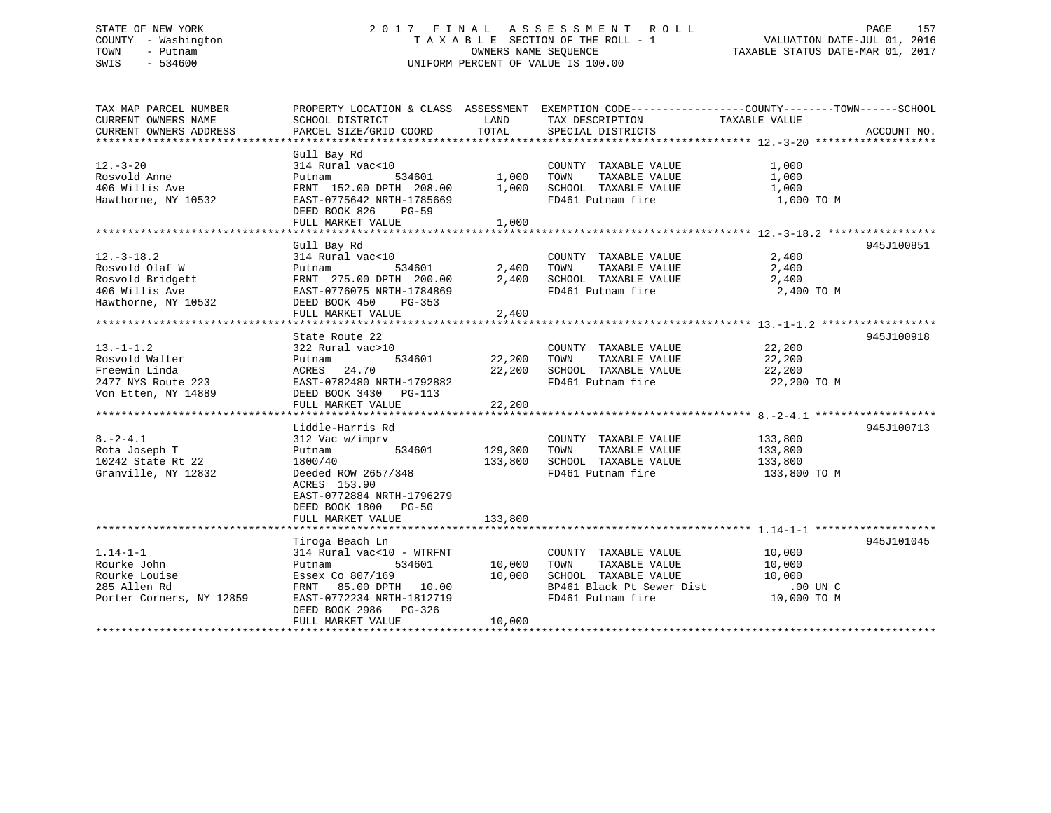## STATE OF NEW YORK 2 0 1 7 F I N A L A S S E S S M E N T R O L L PAGE 157 COUNTY - Washington T A X A B L E SECTION OF THE ROLL - 1 VALUATION DATE-JUL 01, 2016 TOWN - Putnam OWNERS NAME SEQUENCE TAXABLE STATUS DATE-MAR 01, 2017 SWIS - 534600 UNIFORM PERCENT OF VALUE IS 100.00

| TAX MAP PARCEL NUMBER                                            | PROPERTY LOCATION & CLASS ASSESSMENT EXEMPTION CODE----------------COUNTY-------TOWN------SCHOOL |              |                             |                    |             |
|------------------------------------------------------------------|--------------------------------------------------------------------------------------------------|--------------|-----------------------------|--------------------|-------------|
| CURRENT OWNERS NAME                                              | SCHOOL DISTRICT                                                                                  | LAND         | TAX DESCRIPTION             | TAXABLE VALUE      |             |
| CURRENT OWNERS ADDRESS                                           | PARCEL SIZE/GRID COORD                                                                           | TOTAL        | SPECIAL DISTRICTS           |                    | ACCOUNT NO. |
|                                                                  |                                                                                                  |              |                             |                    |             |
|                                                                  | Gull Bay Rd                                                                                      |              |                             |                    |             |
| $12. - 3 - 20$                                                   | 314 Rural vac<10                                                                                 |              | COUNTY TAXABLE VALUE        | 1,000              |             |
| Rosvold Anne                                                     | Putnam                                                                                           | 534601 1,000 | TOWN<br>TAXABLE VALUE       | 1,000              |             |
| 406 Willis Ave                                                   | FRNT 152.00 DPTH 208.00                                                                          | 1,000        | SCHOOL TAXABLE VALUE        | 1,000              |             |
| Hawthorne, NY 10532                                              | EAST-0775642 NRTH-1785669                                                                        |              | FD461 Putnam fire           | 1,000 TO M         |             |
|                                                                  | DEED BOOK 826<br>PG-59                                                                           |              |                             |                    |             |
|                                                                  | FULL MARKET VALUE                                                                                | 1,000        |                             |                    |             |
|                                                                  |                                                                                                  |              |                             |                    |             |
|                                                                  | Gull Bay Rd                                                                                      |              |                             |                    | 945J100851  |
| $12.-3-18.2$                                                     | 314 Rural vac<10                                                                                 |              | COUNTY TAXABLE VALUE        | 2,400              |             |
| Rosvold Olaf W                                                   | 534601<br>Putnam                                                                                 | 2,400        | TAXABLE VALUE 2,400<br>TOWN |                    |             |
| Rosvold Bridgett                                                 | FRNT 275.00 DPTH 200.00                                                                          | 2,400        | SCHOOL TAXABLE VALUE        | 2,400              |             |
| 406 Willis Ave                                                   | EAST-0776075 NRTH-1784869                                                                        |              | FD461 Putnam fire           | 2,400 TO M         |             |
| Hawthorne, NY 10532                                              | DEED BOOK 450<br>PG-353                                                                          |              |                             |                    |             |
|                                                                  | FULL MARKET VALUE                                                                                | 2,400        |                             |                    |             |
|                                                                  |                                                                                                  |              |                             |                    |             |
|                                                                  | State Route 22                                                                                   |              |                             |                    | 945J100918  |
| $13.-1-1.2$                                                      | 322 Rural vac>10                                                                                 |              | COUNTY TAXABLE VALUE 22,200 |                    |             |
| Rosvold Walter                                                   | 534601<br>Putnam                                                                                 | 22,200       | TOWN<br>TAXABLE VALUE       |                    |             |
| Freewin Linda                                                    | 24.70<br>ACRES                                                                                   | 22,200       | SCHOOL TAXABLE VALUE        | 22,200<br>22,200   |             |
|                                                                  | EAST-0782480 NRTH-1792882                                                                        |              | FD461 Putnam fire           | 22,200 TO M        |             |
| 2477 NYS Route 223<br>Von Etten, NY 14889<br>Von Etten, NY 14889 | DEED BOOK 3430 PG-113                                                                            |              |                             |                    |             |
|                                                                  | FULL MARKET VALUE                                                                                | 22,200       |                             |                    |             |
|                                                                  |                                                                                                  |              |                             |                    |             |
|                                                                  | Liddle-Harris Rd                                                                                 |              |                             |                    | 945J100713  |
| $8. -2 - 4.1$                                                    | 312 Vac w/imprv                                                                                  |              | COUNTY TAXABLE VALUE        | 133,800            |             |
| Rota Joseph T                                                    | Putnam<br>534601                                                                                 | 129,300      | TAXABLE VALUE<br>TOWN       | 133,800            |             |
| 10242 State Rt 22                                                | 1800/40                                                                                          | 133,800      | SCHOOL TAXABLE VALUE        | 133,800            |             |
| Granville, NY 12832                                              | Deeded ROW 2657/348                                                                              |              | FD461 Putnam fire           | 133,800 TO M       |             |
|                                                                  | ACRES 153.90                                                                                     |              |                             |                    |             |
|                                                                  | EAST-0772884 NRTH-1796279                                                                        |              |                             |                    |             |
|                                                                  | DEED BOOK 1800 PG-50                                                                             |              |                             |                    |             |
|                                                                  | FULL MARKET VALUE                                                                                | 133,800      |                             |                    |             |
|                                                                  |                                                                                                  |              |                             |                    |             |
|                                                                  | Tiroga Beach Ln                                                                                  |              |                             |                    | 945J101045  |
| $1.14 - 1 - 1$                                                   | 314 Rural vac<10 - WTRFNT                                                                        |              | COUNTY TAXABLE VALUE        | 10,000             |             |
| Rourke John                                                      | Putnam<br>534601                                                                                 | 10,000       | TAXABLE VALUE<br>TOWN       | 10,000             |             |
|                                                                  |                                                                                                  | 10,000       | SCHOOL TAXABLE VALUE        |                    |             |
| Rourke Louise                                                    | Essex Co 807/169                                                                                 |              | BP461 Black Pt Sewer Dist   | 10,000<br>.00 UN C |             |
| 285 Allen Rd                                                     | FRNT 85.00 DPTH 10.00                                                                            |              |                             |                    |             |
| Porter Corners, NY 12859                                         | EAST-0772234 NRTH-1812719                                                                        |              | FD461 Putnam fire           | 10,000 TO M        |             |
|                                                                  | DEED BOOK 2986 PG-326                                                                            |              |                             |                    |             |
|                                                                  | FULL MARKET VALUE                                                                                | 10,000       |                             |                    |             |
|                                                                  |                                                                                                  |              |                             |                    |             |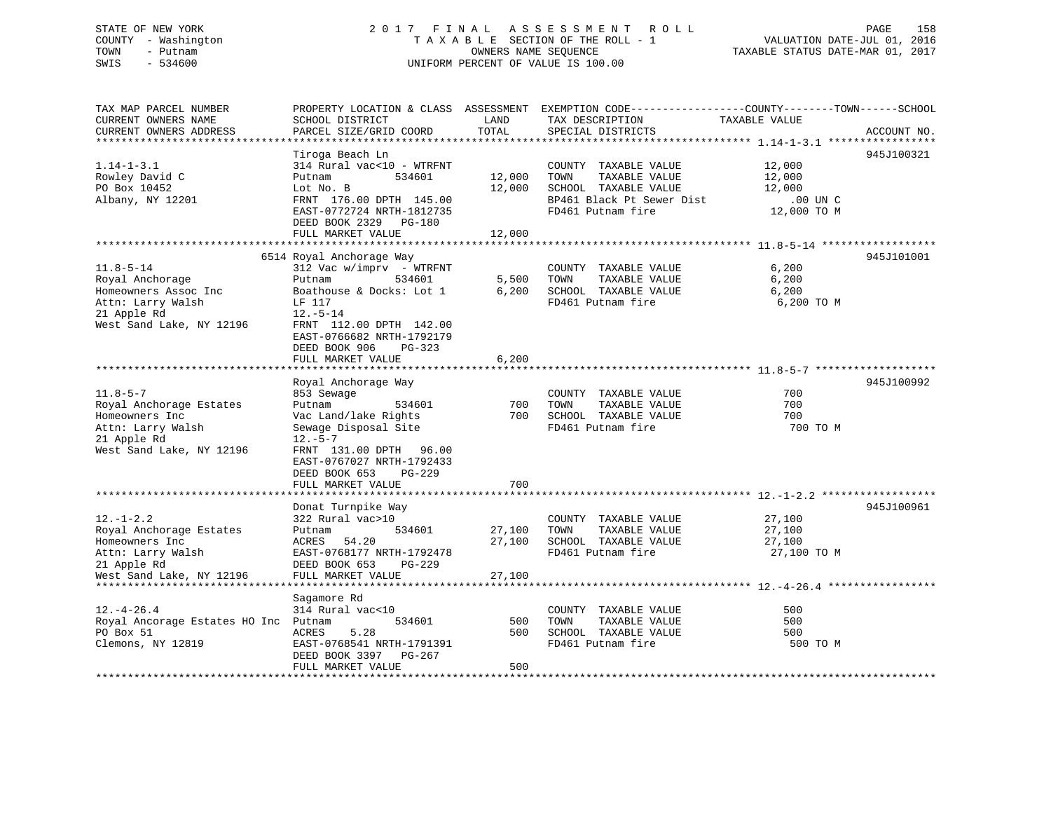### STATE OF NEW YORK 2 0 1 7 F I N A L A S S E S S M E N T R O L L PAGE 158 COUNTY - Washington T A X A B L E SECTION OF THE ROLL - 1 VALUATION DATE-JUL 01, 2016 TOWN - Putnam OWNERS NAME SEQUENCE TAXABLE STATUS DATE-MAR 01, 2017 SWIS - 534600 UNIFORM PERCENT OF VALUE IS 100.00

TAX MAP PARCEL NUMBER PROPERTY LOCATION & CLASS ASSESSMENT EXEMPTION CODE------------------COUNTY--------TOWN------SCHOOL CURRENT OWNERS NAME SCHOOL DISTRICT LAND TAX DESCRIPTION TAXABLE VALUECURRENT OWNERS ADDRESS PARCEL SIZE/GRID COORD TOTAL SPECIAL DISTRICTS ACCOUNT NO. \*\*\*\*\*\*\*\*\*\*\*\*\*\*\*\*\*\*\*\*\*\*\*\*\*\*\*\*\*\*\*\*\*\*\*\*\*\*\*\*\*\*\*\*\*\*\*\*\*\*\*\*\*\*\*\*\*\*\*\*\*\*\*\*\*\*\*\*\*\*\*\*\*\*\*\*\*\*\*\*\*\*\*\*\*\*\*\*\*\*\*\*\*\*\*\*\*\*\*\*\*\*\* 1.14-1-3.1 \*\*\*\*\*\*\*\*\*\*\*\*\*\*\*\*\* Tiroga Beach Ln 945J100321 1.14-1-3.1 314 Rural vac<10 - WTRFNT COUNTY TAXABLE VALUE 12,000 Rowley David C <sup>Putnam</sup> 534601 12,000 TOWN TAXABLE VALUE 12,000 PO Box 10452 Lot No. B 12,000 SCHOOL TAXABLE VALUE 12,000 12,000 Albany, NY 12201 FRNT 176.00 DPTH 145.00 BP461 Black Pt Sewer Dist .00 UN C EAST-0772724 NRTH-1812735 FD461 Putnam fire 12,000 TO M DEED BOOK 2329 PG-180FULL MARKET VALUE 12,000 \*\*\*\*\*\*\*\*\*\*\*\*\*\*\*\*\*\*\*\*\*\*\*\*\*\*\*\*\*\*\*\*\*\*\*\*\*\*\*\*\*\*\*\*\*\*\*\*\*\*\*\*\*\*\*\*\*\*\*\*\*\*\*\*\*\*\*\*\*\*\*\*\*\*\*\*\*\*\*\*\*\*\*\*\*\*\*\*\*\*\*\*\*\*\*\*\*\*\*\*\*\*\* 11.8-5-14 \*\*\*\*\*\*\*\*\*\*\*\*\*\*\*\*\*\* 6514 Royal Anchorage Way 945J101001 11.8-5-14 312 Vac w/imprv - WTRFNT COUNTY TAXABLE VALUE 6,200 Royal Anchorage Putnam 534601 5,500 TOWN TAXABLE VALUE 6,200 Homeowners Assoc Inc Boathouse & Docks: Lot 1 6,200 SCHOOL TAXABLE VALUE 6,200 6,200 Attn: Larry Walsh LF 117 FD461 Putnam fire 6,200 TO M 21 Apple Rd 12.-5-14 West Sand Lake, NY 12196 FRNT 112.00 DPTH 142.00 EAST-0766682 NRTH-1792179 DEED BOOK 906 PG-323FULL MARKET VALUE 6,200 \*\*\*\*\*\*\*\*\*\*\*\*\*\*\*\*\*\*\*\*\*\*\*\*\*\*\*\*\*\*\*\*\*\*\*\*\*\*\*\*\*\*\*\*\*\*\*\*\*\*\*\*\*\*\*\*\*\*\*\*\*\*\*\*\*\*\*\*\*\*\*\*\*\*\*\*\*\*\*\*\*\*\*\*\*\*\*\*\*\*\*\*\*\*\*\*\*\*\*\*\*\*\* 11.8-5-7 \*\*\*\*\*\*\*\*\*\*\*\*\*\*\*\*\*\*\*Royal Anchorage Way 945J100992 11.8-5-7 853 Sewage COUNTY TAXABLE VALUE 700 Royal Anchorage Estates Putnam 534601 700 TOWN TAXABLE VALUE Homeowners Inc **Vac Land/lake Rights** 700 SCHOOL TAXABLE VALUE Attn: Larry Walsh Sewage Disposal Site FD461 Putnam fire 700 TO M 21 Apple Rd 12.-5-7 West Sand Lake, NY 12196 FRNT 131.00 DPTH 96.00 EAST-0767027 NRTH-1792433 DEED BOOK 653 PG-229FULL MARKET VALUE 700 \*\*\*\*\*\*\*\*\*\*\*\*\*\*\*\*\*\*\*\*\*\*\*\*\*\*\*\*\*\*\*\*\*\*\*\*\*\*\*\*\*\*\*\*\*\*\*\*\*\*\*\*\*\*\*\*\*\*\*\*\*\*\*\*\*\*\*\*\*\*\*\*\*\*\*\*\*\*\*\*\*\*\*\*\*\*\*\*\*\*\*\*\*\*\*\*\*\*\*\*\*\*\* 12.-1-2.2 \*\*\*\*\*\*\*\*\*\*\*\*\*\*\*\*\*\* Donat Turnpike Way 945J100961 12.-1-2.2 322 Rural vac>10 COUNTY TAXABLE VALUE 27,100 Royal Anchorage Estates Putnam 534601 27,100 TOWN TAXABLE VALUE 27,100 Homeowners Inc ACRES 54.20 27,100 SCHOOL TAXABLE VALUE 27,100 EAST-0768177 NRTH-1792478 FD461 Putnam fire 27,100 TO M Attn: Larry Walsh EAST-0768177 NRTH-1792478<br>21 Apple Rd DEED BOOK 653 PG-229 West Sand Lake, NY 12196 FULL MARKET VALUE 27,100 \*\*\*\*\*\*\*\*\*\*\*\*\*\*\*\*\*\*\*\*\*\*\*\*\*\*\*\*\*\*\*\*\*\*\*\*\*\*\*\*\*\*\*\*\*\*\*\*\*\*\*\*\*\*\*\*\*\*\*\*\*\*\*\*\*\*\*\*\*\*\*\*\*\*\*\*\*\*\*\*\*\*\*\*\*\*\*\*\*\*\*\*\*\*\*\*\*\*\*\*\*\*\* 12.-4-26.4 \*\*\*\*\*\*\*\*\*\*\*\*\*\*\*\*\* Sagamore Rd 12.-4-26.4 314 Rural vac<10 COUNTY TAXABLE VALUE 500500 Royal Ancorage Estates HO Inc Putnam 534601 500 TOWN TAXABLE VALUE 500<br>PO Box 51 ACRES 5.28 500 SCHOOL TAXABLE Clemons, NY 12819 EAST-0768541 NRTH-1791391 FD461 Putnam fire 500 TO M DEED BOOK 3397 PG-267FULL MARKET VALUE 600 \*\*\*\*\*\*\*\*\*\*\*\*\*\*\*\*\*\*\*\*\*\*\*\*\*\*\*\*\*\*\*\*\*\*\*\*\*\*\*\*\*\*\*\*\*\*\*\*\*\*\*\*\*\*\*\*\*\*\*\*\*\*\*\*\*\*\*\*\*\*\*\*\*\*\*\*\*\*\*\*\*\*\*\*\*\*\*\*\*\*\*\*\*\*\*\*\*\*\*\*\*\*\*\*\*\*\*\*\*\*\*\*\*\*\*\*\*\*\*\*\*\*\*\*\*\*\*\*\*\*\*\*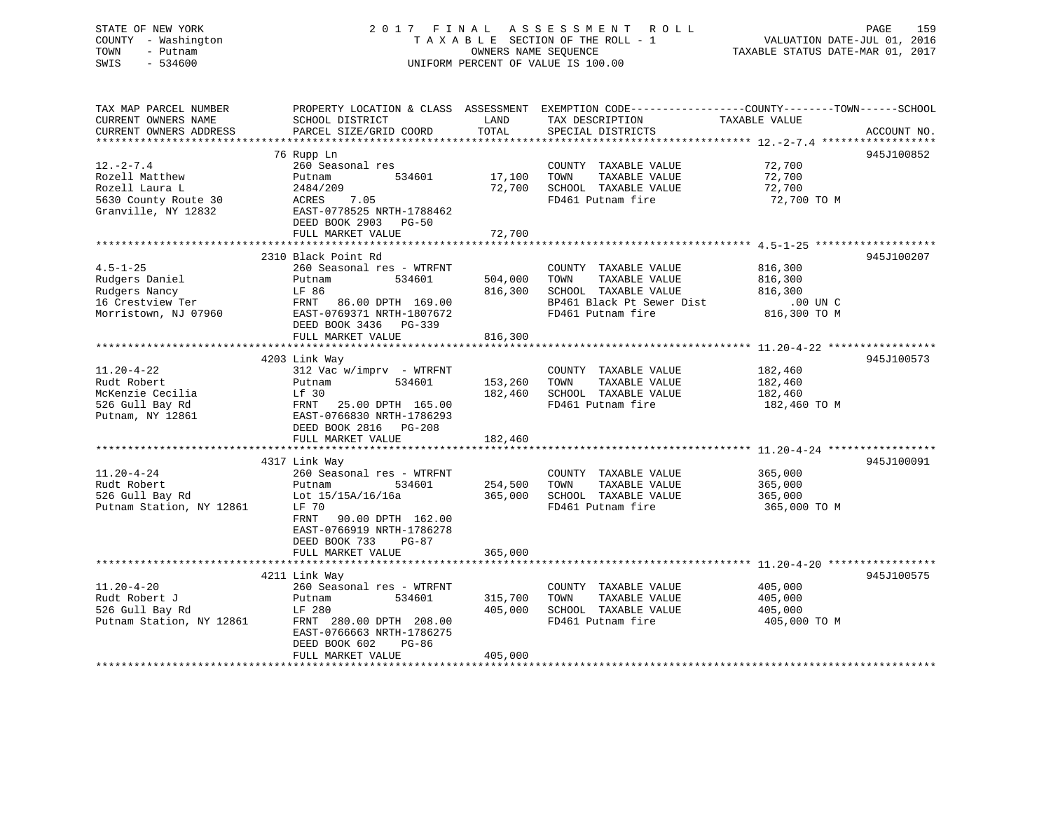# STATE OF NEW YORK 2017 FINAL ASSESSMENT ROLL PAGE 159 COUNTY - Washington  $T A X A B L E$  SECTION OF THE ROLL - 1<br>TOWN - Putnam data of the COUNTERS NAME SEQUENCE SWIS - 534600 UNIFORM PERCENT OF VALUE IS 100.00

VALUATION DATE-JUL 01, 2016

TAXABLE STATUS DATE-MAR 01, 2017

| TAX MAP PARCEL NUMBER<br>CURRENT OWNERS NAME<br>CURRENT OWNERS ADDRESS                             | PROPERTY LOCATION & CLASS ASSESSMENT<br>SCHOOL DISTRICT<br>PARCEL SIZE/GRID COORD                                                                                                                       | LAND<br>TOTAL                 | EXEMPTION CODE-----------------COUNTY-------TOWN------SCHOOL<br>TAX DESCRIPTION<br>SPECIAL DISTRICTS                    | TAXABLE VALUE                                             | ACCOUNT NO. |
|----------------------------------------------------------------------------------------------------|---------------------------------------------------------------------------------------------------------------------------------------------------------------------------------------------------------|-------------------------------|-------------------------------------------------------------------------------------------------------------------------|-----------------------------------------------------------|-------------|
| $12. - 2 - 7.4$<br>Rozell Matthew<br>Rozell Laura L<br>5630 County Route 30<br>Granville, NY 12832 | 76 Rupp Ln<br>260 Seasonal res<br>534601<br>Putnam<br>2484/209<br>7.05<br>ACRES<br>EAST-0778525 NRTH-1788462<br>DEED BOOK 2903 PG-50<br>FULL MARKET VALUE                                               | 17,100<br>72,700<br>72,700    | COUNTY TAXABLE VALUE<br>TOWN<br>TAXABLE VALUE<br>SCHOOL TAXABLE VALUE<br>FD461 Putnam fire                              | 72,700<br>72,700<br>72,700<br>72,700 TO M                 | 945J100852  |
| $4.5 - 1 - 25$<br>Rudgers Daniel<br>Rudgers Nancy<br>16 Crestview Ter<br>Morristown, NJ 07960      | 2310 Black Point Rd<br>260 Seasonal res - WTRFNT<br>534601<br>Putnam<br>LF 86<br>FRNT 86.00 DPTH 169.00<br>EAST-0769371 NRTH-1807672<br>DEED BOOK 3436 PG-339<br>FULL MARKET VALUE                      | 504,000<br>816,300<br>816,300 | COUNTY TAXABLE VALUE<br>TOWN<br>TAXABLE VALUE<br>SCHOOL TAXABLE VALUE<br>BP461 Black Pt Sewer Dist<br>FD461 Putnam fire | 816,300<br>816,300<br>816,300<br>.00 UN C<br>816,300 TO M | 945J100207  |
| $11.20 - 4 - 22$<br>Rudt Robert<br>McKenzie Cecilia<br>526 Gull Bay Rd<br>Putnam, NY 12861         | 4203 Link Way<br>$312$ Vac w/imprv - WTRFNT<br>534601<br>Putnam<br>Lf 30<br>FRNT 25.00 DPTH 165.00<br>EAST-0766830 NRTH-1786293<br>DEED BOOK 2816 PG-208<br>FULL MARKET VALUE                           | 153,260<br>182,460<br>182,460 | COUNTY TAXABLE VALUE<br>TAXABLE VALUE<br>TOWN<br>SCHOOL TAXABLE VALUE<br>FD461 Putnam fire                              | 182,460<br>182,460<br>182,460<br>182,460 TO M             | 945J100573  |
| $11.20 - 4 - 24$<br>Rudt Robert<br>526 Gull Bay Rd<br>Putnam Station, NY 12861                     | 4317 Link Way<br>260 Seasonal res - WTRFNT<br>534601<br>Putnam<br>Lot 15/15A/16/16a<br>LF 70<br>FRNT<br>90.00 DPTH 162.00<br>EAST-0766919 NRTH-1786278<br>DEED BOOK 733<br>$PG-87$<br>FULL MARKET VALUE | 254,500<br>365,000<br>365,000 | COUNTY TAXABLE VALUE<br>TOWN<br>TAXABLE VALUE<br>SCHOOL TAXABLE VALUE<br>FD461 Putnam fire                              | 365,000<br>365,000<br>365,000<br>365,000 TO M             | 945J100091  |
| $11.20 - 4 - 20$<br>Rudt Robert J<br>526 Gull Bay Rd<br>Putnam Station, NY 12861                   | 4211 Link Way<br>260 Seasonal res - WTRFNT<br>534601<br>Putnam<br>LF 280<br>FRNT 280.00 DPTH 208.00<br>EAST-0766663 NRTH-1786275<br>DEED BOOK 602<br>PG-86<br>FULL MARKET VALUE                         | 315,700<br>405,000<br>405,000 | COUNTY TAXABLE VALUE<br>TOWN<br>TAXABLE VALUE<br>SCHOOL TAXABLE VALUE<br>FD461 Putnam fire                              | 405,000<br>405,000<br>405,000<br>405,000 TO M             | 945J100575  |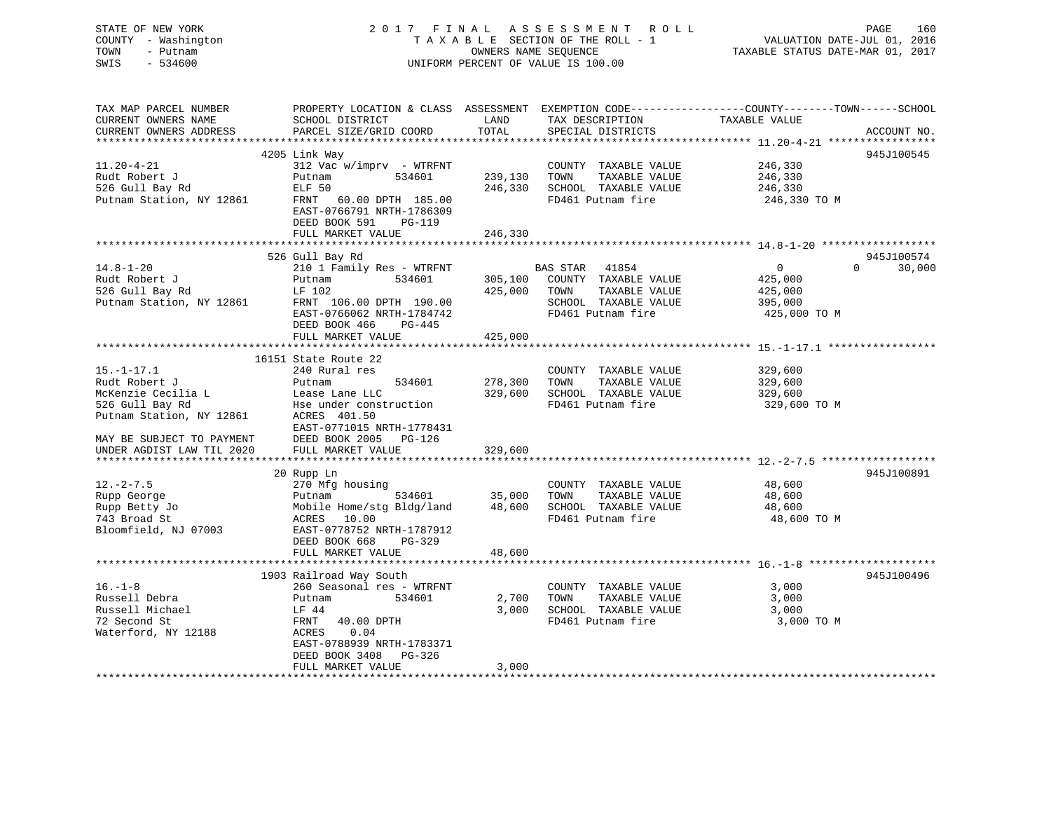STATE OF NEW YORK 2 0 1 7 F I N A L A S S E S S M E N T R O L L PAGE 160 COUNTY - Washington T A X A B L E SECTION OF THE ROLL - 1 VALUATION DATE-JUL 01, 2016 TOWN - Putnam OWNERS NAME SEQUENCE TAXABLE STATUS DATE-MAR 01, 2017 SWIS - 534600 UNIFORM PERCENT OF VALUE IS 100.00 TAX MAP PARCEL NUMBER PROPERTY LOCATION & CLASS ASSESSMENT EXEMPTION CODE------------------COUNTY--------TOWN------SCHOOL CURRENT OWNERS NAME SCHOOL DISTRICT LAND TAX DESCRIPTION TAXABLE VALUE CURRENT OWNERS ADDRESS PARCEL SIZE/GRID COORD TOTAL SPECIAL DISTRICTS ACCOUNT NO.

| $11.20 - 4 - 21$<br>Rudt Robert J<br>526 Gull Bay Rd<br>Putnam Station, NY 12861                                                                                                                                                                                           | 4205 Link Way<br>312 Vac w/imprv - WTRFNT<br>Putnam<br>534601<br>ELF 50<br>FRNT 60.00 DPTH 185.00<br>EAST-0766791 NRTH-1786309<br>DEED BOOK 591<br>PG-119<br>FULL MARKET VALUE                                                                                                  | 239,130 TOWN<br>246,330<br>246,330                | COUNTY TAXABLE VALUE<br>TAXABLE VALUE<br>SCHOOL TAXABLE VALUE<br>FD461 Putnam fire                                                                                                       | 246,330<br>246,330<br>246,330<br>246,330 TO M                                              | 945J100545                       |
|----------------------------------------------------------------------------------------------------------------------------------------------------------------------------------------------------------------------------------------------------------------------------|---------------------------------------------------------------------------------------------------------------------------------------------------------------------------------------------------------------------------------------------------------------------------------|---------------------------------------------------|------------------------------------------------------------------------------------------------------------------------------------------------------------------------------------------|--------------------------------------------------------------------------------------------|----------------------------------|
|                                                                                                                                                                                                                                                                            |                                                                                                                                                                                                                                                                                 |                                                   |                                                                                                                                                                                          |                                                                                            |                                  |
| $14.8 - 1 - 20$<br>Rudt Robert J<br>526 Gull Bay Rd                                                                                                                                                                                                                        | 526 Gull Bay Rd<br>210 1 Family Res - WTRFNT<br>534601<br>Putnam<br>526 Gull Bay Rd<br>Putnam Station, NY 12861 FRNT 106.00 DPTH 190.00<br>EAST-0766062 NRTH-1784742<br>DEED BOOK 466<br>PG-445<br>FULL MARKET VALUE                                                            | 425,000 TOWN<br>425,000                           | BAS STAR 41854<br>305,100 COUNTY TAXABLE VALUE<br>TAXABLE VALUE<br>SCHOOL TAXABLE VALUE<br>FD461 Putnam fire                                                                             | $\overline{0}$<br>425,000<br>425,000<br>395,000<br>425,000 TO M                            | 945J100574<br>30,000<br>$\Omega$ |
|                                                                                                                                                                                                                                                                            |                                                                                                                                                                                                                                                                                 |                                                   |                                                                                                                                                                                          |                                                                                            |                                  |
| $15. - 1 - 17.1$<br>Rudt Robert J<br>McKenzie Cecilia L<br>526 Gull Bay Rd<br>Bise under const<br>526 Gull Bay Rd<br>Putnam Station, NY 12861<br>MAY BE SUBJECT TO PAYMENT<br>UNDER AGDIST LAW TIL 2020<br>$12. - 2 - 7.5$<br>Rupp George<br>Rupp Betty Jo<br>743 Broad St | 16151 State Route 22<br>240 Rural res<br>534601<br>Putnam<br>Hse under construction<br>ACRES 401.50<br>EAST-0771015 NRTH-1778431<br>DEED BOOK 2005 PG-126<br>FULL MARKET VALUE<br>20 Rupp Ln<br>270 Mfg housing<br>534601<br>Putnam<br>Mobile Home/stg Bldg/land<br>ACRES 10.00 | 278,300<br>329,600<br>329,600<br>35,000<br>48,600 | COUNTY TAXABLE VALUE<br>TOWN<br>TAXABLE VALUE<br>SCHOOL TAXABLE VALUE<br>FD461 Putnam fire<br>COUNTY TAXABLE VALUE<br>TOWN<br>TAXABLE VALUE<br>SCHOOL TAXABLE VALUE<br>FD461 Putnam fire | 329,600<br>329,600<br>329,600<br>329,600 TO M<br>48,600<br>48,600<br>48,600<br>48,600 TO M | 945J100891                       |
| Bloomfield, NJ 07003                                                                                                                                                                                                                                                       | EAST-0778752 NRTH-1787912<br>DEED BOOK 668<br>PG-329                                                                                                                                                                                                                            |                                                   |                                                                                                                                                                                          |                                                                                            |                                  |
|                                                                                                                                                                                                                                                                            | FULL MARKET VALUE                                                                                                                                                                                                                                                               | 48,600                                            |                                                                                                                                                                                          |                                                                                            |                                  |
|                                                                                                                                                                                                                                                                            |                                                                                                                                                                                                                                                                                 |                                                   |                                                                                                                                                                                          |                                                                                            |                                  |
| $16. - 1 - 8$<br>Russell Debra<br>Russell Michael<br>72 Second St<br>Waterford, NY 12188                                                                                                                                                                                   | 1903 Railroad Way South<br>260 Seasonal res - WTRFNT<br>534601<br>Putnam<br>LF 44<br>FRNT 40.00 DPTH<br>ACRES<br>0.04<br>EAST-0788939 NRTH-1783371<br>DEED BOOK 3408 PG-326                                                                                                     | 2,700<br>3,000                                    | COUNTY TAXABLE VALUE<br>TOWN<br>TAXABLE VALUE<br>SCHOOL TAXABLE VALUE<br>FD461 Putnam fire                                                                                               | 3,000<br>3,000<br>3,000<br>3,000 TO M                                                      | 945J100496                       |
|                                                                                                                                                                                                                                                                            | FULL MARKET VALUE                                                                                                                                                                                                                                                               | 3,000                                             |                                                                                                                                                                                          |                                                                                            |                                  |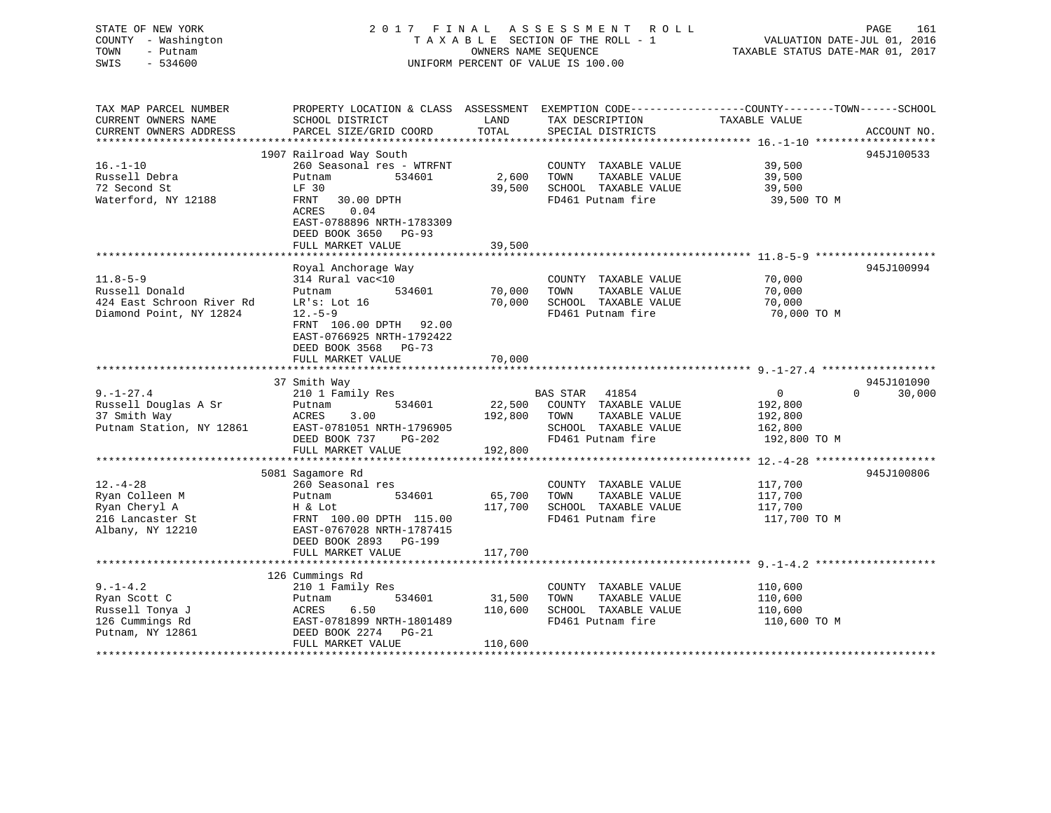## STATE OF NEW YORK 2 0 1 7 F I N A L A S S E S S M E N T R O L L PAGE 161 COUNTY - Washington T A X A B L E SECTION OF THE ROLL - 1 VALUATION DATE-JUL 01, 2016 TOWN - Putnam OWNERS NAME SEQUENCE TAXABLE STATUS DATE-MAR 01, 2017 SWIS - 534600 UNIFORM PERCENT OF VALUE IS 100.00

| TAX MAP PARCEL NUMBER<br>CURRENT OWNERS NAME<br>CURRENT OWNERS ADDRESS                   | PROPERTY LOCATION & CLASS ASSESSMENT<br>SCHOOL DISTRICT<br>PARCEL SIZE/GRID COORD                                                                     | LAND<br>TOTAL     | TAX DESCRIPTION<br>SPECIAL DISTRICTS                                                       | EXEMPTION CODE-----------------COUNTY-------TOWN------SCHOOL<br>TAXABLE VALUE | ACCOUNT NO.        |
|------------------------------------------------------------------------------------------|-------------------------------------------------------------------------------------------------------------------------------------------------------|-------------------|--------------------------------------------------------------------------------------------|-------------------------------------------------------------------------------|--------------------|
| $16. - 1 - 10$<br>Russell Debra<br>72 Second St<br>Waterford, NY 12188                   | 1907 Railroad Way South<br>260 Seasonal res - WTRFNT<br>Putnam<br>534601<br>LF 30<br>FRNT<br>30.00 DPTH<br>ACRES<br>0.04<br>EAST-0788896 NRTH-1783309 | 2,600<br>39,500   | COUNTY TAXABLE VALUE<br>TAXABLE VALUE<br>TOWN<br>SCHOOL TAXABLE VALUE<br>FD461 Putnam fire | 39,500<br>39,500<br>39,500<br>39,500 TO M                                     | 945J100533         |
|                                                                                          | DEED BOOK 3650 PG-93<br>FULL MARKET VALUE                                                                                                             | 39,500            |                                                                                            |                                                                               |                    |
| $11.8 - 5 - 9$<br>Russell Donald<br>424 East Schroon River Rd<br>Diamond Point, NY 12824 | Royal Anchorage Way<br>314 Rural vac<10<br>534601<br>Putnam<br>LR's: Lot 16<br>$12. - 5 - 9$<br>FRNT 106.00 DPTH 92.00<br>EAST-0766925 NRTH-1792422   | 70,000<br>70,000  | COUNTY TAXABLE VALUE<br>TOWN<br>TAXABLE VALUE<br>SCHOOL TAXABLE VALUE<br>FD461 Putnam fire | 70,000<br>70,000<br>70,000<br>70,000 TO M                                     | 945J100994         |
|                                                                                          | DEED BOOK 3568 PG-73<br>FULL MARKET VALUE                                                                                                             | 70,000            |                                                                                            |                                                                               |                    |
|                                                                                          | 37 Smith Way                                                                                                                                          |                   |                                                                                            |                                                                               | 945J101090         |
| $9. - 1 - 27.4$                                                                          | 210 1 Family Res                                                                                                                                      |                   | BAS STAR<br>41854                                                                          | $\mathbf{0}$                                                                  | $\Omega$<br>30,000 |
| Russell Douglas A Sr                                                                     | 534601<br>Putnam                                                                                                                                      | 22,500            | COUNTY TAXABLE VALUE                                                                       | 192,800                                                                       |                    |
| 37 Smith Way                                                                             | 3.00<br>ACRES                                                                                                                                         | 192,800           | TOWN<br>TAXABLE VALUE                                                                      | 192,800                                                                       |                    |
| Putnam Station, NY 12861                                                                 | EAST-0781051 NRTH-1796905                                                                                                                             |                   | SCHOOL TAXABLE VALUE                                                                       | 162,800                                                                       |                    |
|                                                                                          | DEED BOOK 737<br>PG-202<br>FULL MARKET VALUE                                                                                                          | 192,800           | FD461 Putnam fire                                                                          | 192,800 TO M                                                                  |                    |
|                                                                                          |                                                                                                                                                       |                   |                                                                                            |                                                                               |                    |
|                                                                                          | 5081 Sagamore Rd                                                                                                                                      |                   |                                                                                            |                                                                               | 945J100806         |
| $12. - 4 - 28$                                                                           | 260 Seasonal res                                                                                                                                      |                   | COUNTY TAXABLE VALUE                                                                       | 117,700                                                                       |                    |
| Ryan Colleen M                                                                           | 534601<br>Putnam                                                                                                                                      | 65,700            | TOWN<br>TAXABLE VALUE                                                                      | 117,700                                                                       |                    |
| Ryan Cheryl A                                                                            | H & Lot                                                                                                                                               | 117,700           | SCHOOL TAXABLE VALUE                                                                       | 117,700                                                                       |                    |
| 216 Lancaster St<br>Albany, NY 12210                                                     | FRNT 100.00 DPTH 115.00<br>EAST-0767028 NRTH-1787415<br>DEED BOOK 2893 PG-199<br>FULL MARKET VALUE                                                    | 117,700           | FD461 Putnam fire                                                                          | 117,700 TO M                                                                  |                    |
|                                                                                          |                                                                                                                                                       |                   |                                                                                            |                                                                               |                    |
|                                                                                          | 126 Cummings Rd                                                                                                                                       |                   |                                                                                            |                                                                               |                    |
| $9. - 1 - 4.2$<br>Ryan Scott C<br>Russell Tonya J<br>126 Cummings Rd                     | 210 1 Family Res<br>534601<br>Putnam<br>6.50<br>ACRES<br>EAST-0781899 NRTH-1801489                                                                    | 31,500<br>110,600 | COUNTY TAXABLE VALUE<br>TAXABLE VALUE<br>TOWN<br>SCHOOL TAXABLE VALUE<br>FD461 Putnam fire | 110,600<br>110,600<br>110,600<br>110,600 TO M                                 |                    |
| Putnam, NY 12861                                                                         | DEED BOOK 2274<br>PG-21<br>FULL MARKET VALUE                                                                                                          | 110,600           |                                                                                            |                                                                               |                    |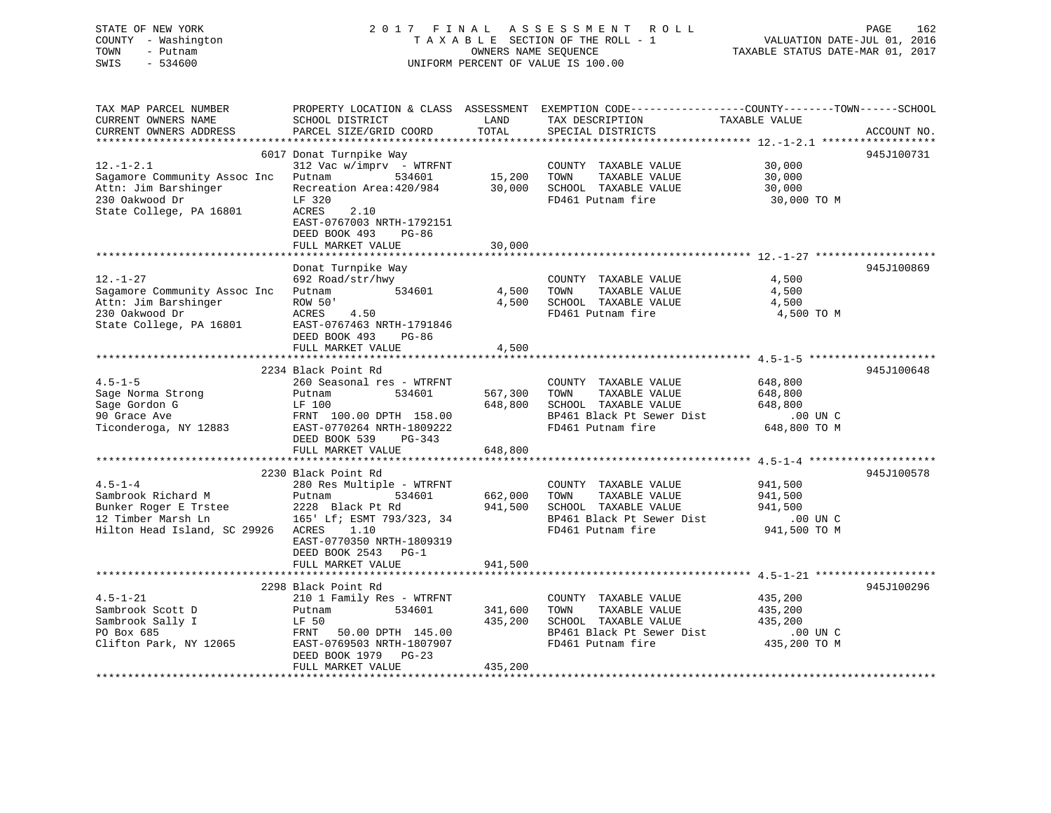# STATE OF NEW YORK 2017 FINAL ASSESSMENT ROLL PAGE 162 COUNTY - Washington  $T A X A B L E$  SECTION OF THE ROLL - 1<br>TOWN - Putnam data of the COUNTERS NAME SEQUENCE SWIS - 534600 UNIFORM PERCENT OF VALUE IS 100.00

VALUATION DATE-JUL 01, 2016

TAXABLE STATUS DATE-MAR 01, 2017

| TAX MAP PARCEL NUMBER<br>CURRENT OWNERS NAME<br>CURRENT OWNERS ADDRESS                                               | PROPERTY LOCATION & CLASS ASSESSMENT<br>SCHOOL DISTRICT<br>PARCEL SIZE/GRID COORD                                                                                                                               | LAND<br>TOTAL                 | EXEMPTION CODE-----------------COUNTY-------TOWN------SCHOOL<br>TAX DESCRIPTION<br>SPECIAL DISTRICTS                    | TAXABLE VALUE                                                 | ACCOUNT NO. |
|----------------------------------------------------------------------------------------------------------------------|-----------------------------------------------------------------------------------------------------------------------------------------------------------------------------------------------------------------|-------------------------------|-------------------------------------------------------------------------------------------------------------------------|---------------------------------------------------------------|-------------|
|                                                                                                                      |                                                                                                                                                                                                                 |                               |                                                                                                                         |                                                               |             |
| $12. - 1 - 2.1$<br>Sagamore Community Assoc Inc<br>Attn: Jim Barshinger<br>230 Oakwood Dr<br>State College, PA 16801 | 6017 Donat Turnpike Way<br>$312$ Vac w/imprv - WTRFNT<br>Putnam<br>534601<br>Recreation Area: 420/984<br>LF 320<br>ACRES<br>2.10<br>EAST-0767003 NRTH-1792151<br>DEED BOOK 493<br>$PG-86$<br>FULL MARKET VALUE  | 15,200<br>30,000<br>30,000    | COUNTY TAXABLE VALUE<br>TOWN<br>TAXABLE VALUE<br>SCHOOL TAXABLE VALUE<br>FD461 Putnam fire                              | 30,000<br>30,000<br>30,000<br>30,000 TO M                     | 945J100731  |
|                                                                                                                      |                                                                                                                                                                                                                 |                               |                                                                                                                         |                                                               |             |
| $12. - 1 - 27$<br>Sagamore Community Assoc Inc<br>Attn: Jim Barshinger<br>230 Oakwood Dr<br>State College, PA 16801  | Donat Turnpike Way<br>692 Road/str/hwy<br>534601<br>Putnam<br>ROW 50'<br><b>ACRES</b><br>4.50<br>EAST-0767463 NRTH-1791846<br>DEED BOOK 493<br>$PG-86$<br>FULL MARKET VALUE                                     | 4,500<br>4,500<br>4,500       | COUNTY TAXABLE VALUE<br>TAXABLE VALUE<br>TOWN<br>SCHOOL TAXABLE VALUE<br>FD461 Putnam fire                              | 4,500<br>4,500<br>4,500<br>4,500 TO M                         | 945J100869  |
|                                                                                                                      |                                                                                                                                                                                                                 |                               |                                                                                                                         |                                                               |             |
| $4.5 - 1 - 5$<br>Sage Norma Strong<br>Sage Gordon G<br>90 Grace Ave<br>Ticonderoga, NY 12883                         | 2234 Black Point Rd<br>260 Seasonal res - WTRFNT<br>Putnam<br>534601<br>LF 100<br>FRNT 100.00 DPTH 158.00<br>EAST-0770264 NRTH-1809222<br>DEED BOOK 539<br>PG-343<br>FULL MARKET VALUE                          | 567,300<br>648,800<br>648,800 | COUNTY TAXABLE VALUE<br>TAXABLE VALUE<br>TOWN<br>SCHOOL TAXABLE VALUE<br>BP461 Black Pt Sewer Dist<br>FD461 Putnam fire | 648,800<br>648,800<br>648,800<br>.00 UN C<br>648,800 TO M     | 945J100648  |
|                                                                                                                      |                                                                                                                                                                                                                 |                               |                                                                                                                         |                                                               |             |
| $4.5 - 1 - 4$<br>Sambrook Richard M<br>Bunker Roger E Trstee<br>12 Timber Marsh Ln<br>Hilton Head Island, SC 29926   | 2230 Black Point Rd<br>280 Res Multiple - WTRFNT<br>Putnam<br>534601<br>2228 Black Pt Rd<br>165' Lf; ESMT 793/323, 34<br>ACRES<br>1.10<br>EAST-0770350 NRTH-1809319<br>DEED BOOK 2543 PG-1<br>FULL MARKET VALUE | 662,000<br>941,500<br>941,500 | COUNTY TAXABLE VALUE<br>TOWN<br>TAXABLE VALUE<br>SCHOOL TAXABLE VALUE<br>BP461 Black Pt Sewer Dist<br>FD461 Putnam fire | 941,500<br>941,500<br>941,500<br>.00 UN C<br>941,500 TO M     | 945J100578  |
|                                                                                                                      |                                                                                                                                                                                                                 |                               |                                                                                                                         |                                                               |             |
| $4.5 - 1 - 21$<br>Sambrook Scott D<br>Sambrook Sally I<br>PO Box 685<br>Clifton Park, NY 12065                       | 2298 Black Point Rd<br>210 1 Family Res - WTRFNT<br>534601<br>Putnam<br>LF 50<br>50.00 DPTH 145.00<br>FRNT<br>EAST-0769503 NRTH-1807907<br>DEED BOOK 1979 PG-23<br>FULL MARKET VALUE                            | 341,600<br>435,200<br>435,200 | COUNTY TAXABLE VALUE<br>TAXABLE VALUE<br>TOWN<br>SCHOOL TAXABLE VALUE<br>BP461 Black Pt Sewer Dist<br>FD461 Putnam fire | 435,200<br>435,200<br>435,200<br>$.00$ UN $C$<br>435,200 TO M | 945J100296  |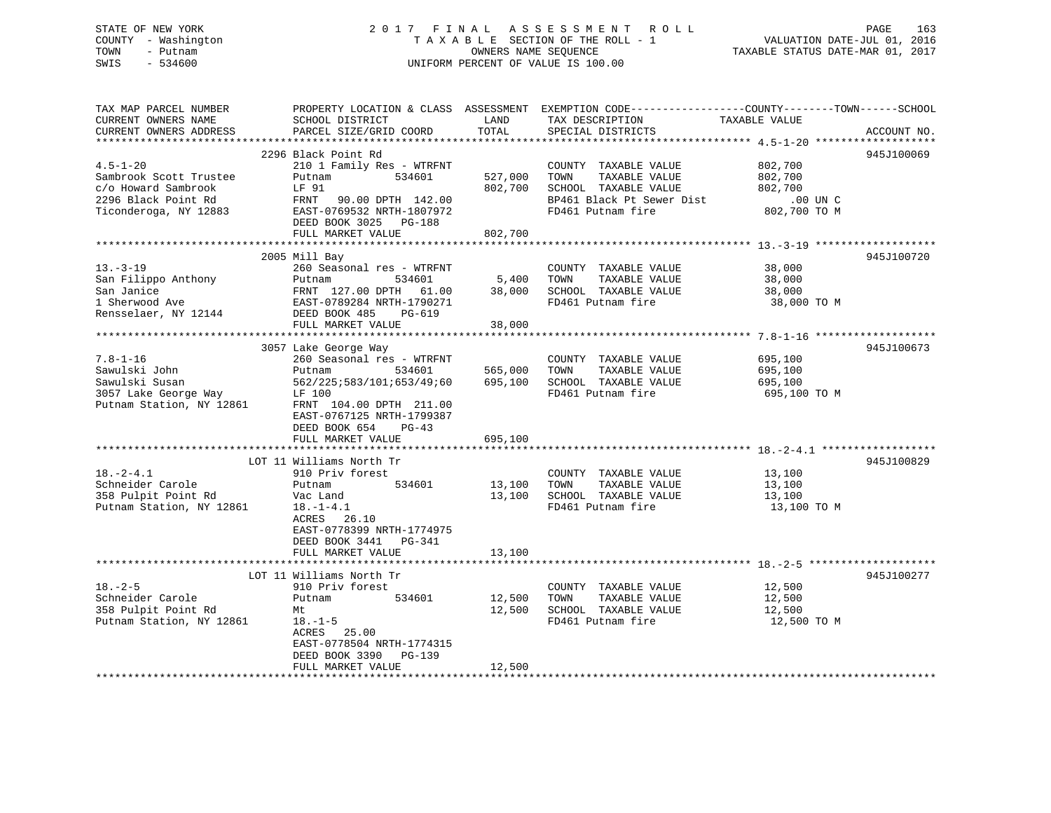## STATE OF NEW YORK 2 0 1 7 F I N A L A S S E S S M E N T R O L L PAGE 163 COUNTY - Washington T A X A B L E SECTION OF THE ROLL - 1 VALUATION DATE-JUL 01, 2016 TOWN - Putnam OWNERS NAME SEQUENCE TAXABLE STATUS DATE-MAR 01, 2017 SWIS - 534600 UNIFORM PERCENT OF VALUE IS 100.00

| TAX MAP PARCEL NUMBER              | PROPERTY LOCATION & CLASS ASSESSMENT EXEMPTION CODE----------------COUNTY-------TOWN------SCHOOL |         |                           |               |             |
|------------------------------------|--------------------------------------------------------------------------------------------------|---------|---------------------------|---------------|-------------|
| CURRENT OWNERS NAME                | SCHOOL DISTRICT                                                                                  | LAND    | TAX DESCRIPTION           | TAXABLE VALUE |             |
| CURRENT OWNERS ADDRESS             | PARCEL SIZE/GRID COORD                                                                           | TOTAL   | SPECIAL DISTRICTS         |               | ACCOUNT NO. |
|                                    |                                                                                                  |         |                           |               |             |
|                                    | 2296 Black Point Rd                                                                              |         |                           |               | 945J100069  |
| $4.5 - 1 - 20$                     | 210 1 Family Res - WTRFNT                                                                        |         | COUNTY TAXABLE VALUE      | 802,700       |             |
| Sambrook Scott Trustee             | 534601<br>Putnam                                                                                 | 527,000 | TOWN<br>TAXABLE VALUE     | 802,700       |             |
| c/o Howard Sambrook                | LF 91                                                                                            | 802,700 | SCHOOL TAXABLE VALUE      | 802,700       |             |
| 2296 Black Point Rd                | FRNT 90.00 DPTH 142.00                                                                           |         | BP461 Black Pt Sewer Dist | $.00$ UN C    |             |
| Ticonderoga, NY 12883              | EAST-0769532 NRTH-1807972                                                                        |         | FD461 Putnam fire         | 802,700 TO M  |             |
|                                    | DEED BOOK 3025 PG-188                                                                            |         |                           |               |             |
|                                    | FULL MARKET VALUE                                                                                | 802,700 |                           |               |             |
|                                    |                                                                                                  |         |                           |               |             |
|                                    | 2005 Mill Bay                                                                                    |         |                           |               | 945J100720  |
| $13. - 3 - 19$                     | 260 Seasonal res - WTRFNT                                                                        |         | COUNTY TAXABLE VALUE      | 38,000        |             |
| San Filippo Anthony                | 534601<br>Putnam                                                                                 | 5,400   | TOWN<br>TAXABLE VALUE     | 38,000        |             |
| San Janice                         |                                                                                                  | 38,000  | SCHOOL TAXABLE VALUE      | 38,000        |             |
| 1 Sherwood Ave                     | FRNT 127.00 DPTH 61.00<br>EAST-0789284 NRTH-1790271                                              |         | FD461 Putnam fire         | 38,000 TO M   |             |
| Rensselaer, NY 12144 DEED BOOK 485 | PG-619                                                                                           |         |                           |               |             |
|                                    | FULL MARKET VALUE                                                                                | 38,000  |                           |               |             |
|                                    |                                                                                                  |         |                           |               |             |
|                                    | 3057 Lake George Way                                                                             |         |                           |               | 945J100673  |
| $7.8 - 1 - 16$                     | 260 Seasonal res - WTRFNT                                                                        |         | COUNTY TAXABLE VALUE      | 695,100       |             |
| Sawulski John                      | Putnam<br>534601                                                                                 | 565,000 | TOWN<br>TAXABLE VALUE     | 695,100       |             |
| Sawulski Susan                     | 562/225;583/101;653/49;60                                                                        | 695,100 | SCHOOL TAXABLE VALUE      | 695,100       |             |
| 3057 Lake George Way               | LF 100                                                                                           |         | FD461 Putnam fire         | 695,100 TO M  |             |
| Putnam Station, NY 12861           | FRNT 104.00 DPTH 211.00                                                                          |         |                           |               |             |
|                                    | EAST-0767125 NRTH-1799387                                                                        |         |                           |               |             |
|                                    | DEED BOOK 654<br>$PG-43$                                                                         |         |                           |               |             |
|                                    | FULL MARKET VALUE                                                                                | 695,100 |                           |               |             |
|                                    |                                                                                                  |         |                           |               |             |
|                                    | LOT 11 Williams North Tr                                                                         |         |                           |               | 945J100829  |
| $18. - 2 - 4.1$                    | 910 Priv forest                                                                                  |         | COUNTY TAXABLE VALUE      | 13,100        |             |
| Schneider Carole                   | Putnam<br>534601                                                                                 | 13,100  | TOWN<br>TAXABLE VALUE     | 13,100        |             |
| 358 Pulpit Point Rd                | Vac Land                                                                                         | 13,100  | SCHOOL TAXABLE VALUE      | 13,100        |             |
| Putnam Station, NY 12861           | $18. - 1 - 4.1$                                                                                  |         | FD461 Putnam fire         | 13,100 TO M   |             |
|                                    | ACRES 26.10                                                                                      |         |                           |               |             |
|                                    | EAST-0778399 NRTH-1774975                                                                        |         |                           |               |             |
|                                    | DEED BOOK 3441<br>PG-341                                                                         |         |                           |               |             |
|                                    | FULL MARKET VALUE                                                                                | 13,100  |                           |               |             |
|                                    |                                                                                                  |         |                           |               |             |
|                                    | LOT 11 Williams North Tr                                                                         |         |                           |               | 945J100277  |
| $18. - 2 - 5$                      | 910 Priv forest                                                                                  |         | COUNTY TAXABLE VALUE      | 12,500        |             |
| Schneider Carole                   | 534601<br>Putnam                                                                                 | 12,500  | TOWN<br>TAXABLE VALUE     | 12,500        |             |
| 358 Pulpit Point Rd                | Mt                                                                                               | 12,500  | SCHOOL TAXABLE VALUE      | 12,500        |             |
| Putnam Station, NY 12861           | $18. - 1 - 5$                                                                                    |         | FD461 Putnam fire         | 12,500 TO M   |             |
|                                    | 25.00<br>ACRES                                                                                   |         |                           |               |             |
|                                    | EAST-0778504 NRTH-1774315                                                                        |         |                           |               |             |
|                                    | DEED BOOK 3390<br>PG-139                                                                         |         |                           |               |             |
|                                    | FULL MARKET VALUE                                                                                | 12,500  |                           |               |             |
|                                    |                                                                                                  |         |                           |               |             |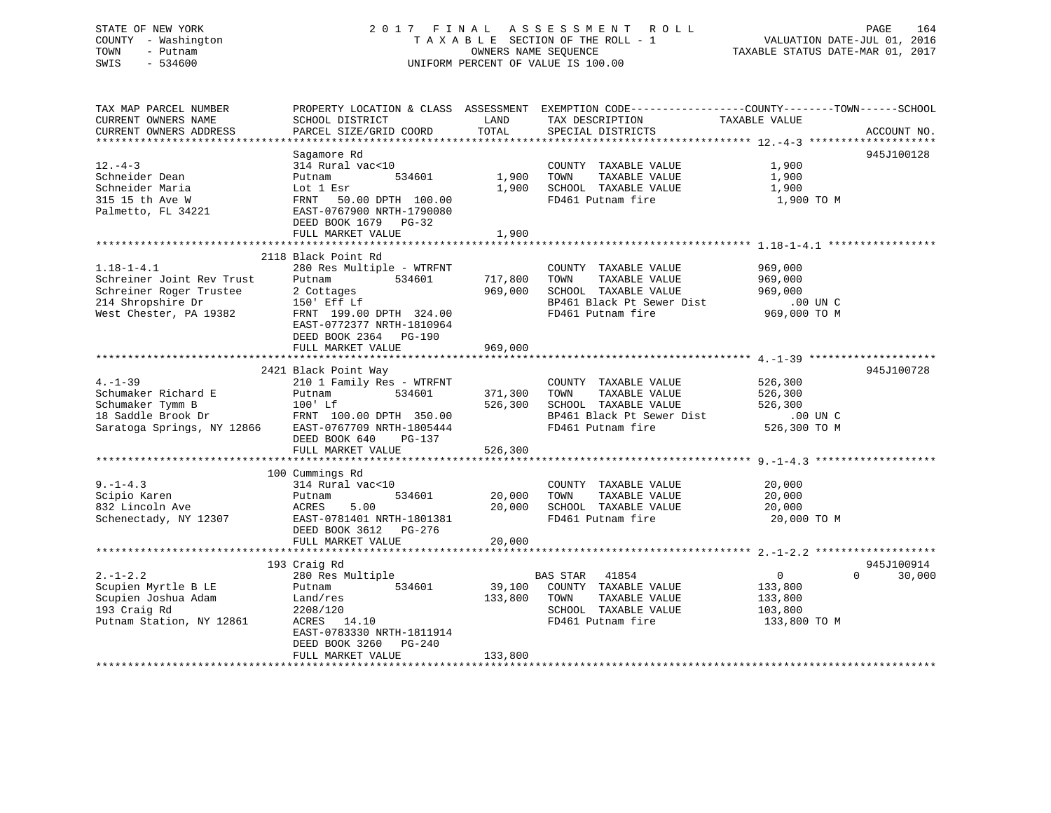## STATE OF NEW YORK 2 0 1 7 F I N A L A S S E S S M E N T R O L L PAGE 164 COUNTY - Washington T A X A B L E SECTION OF THE ROLL - 1 VALUATION DATE-JUL 01, 2016 TOWN - Putnam OWNERS NAME SEQUENCE TAXABLE STATUS DATE-MAR 01, 2017 SWIS - 534600 UNIFORM PERCENT OF VALUE IS 100.00

| TAX MAP PARCEL NUMBER<br>CURRENT OWNERS NAME<br>CURRENT OWNERS ADDRESS                                                  | SCHOOL DISTRICT<br>PARCEL SIZE/GRID COORD                                                                                                                                                               | LAND<br>TOTAL                         | PROPERTY LOCATION & CLASS ASSESSMENT EXEMPTION CODE----------------COUNTY-------TOWN------SCHOOL<br>TAX DESCRIPTION<br>SPECIAL DISTRICTS | TAXABLE VALUE                                                                      | ACCOUNT NO.        |
|-------------------------------------------------------------------------------------------------------------------------|---------------------------------------------------------------------------------------------------------------------------------------------------------------------------------------------------------|---------------------------------------|------------------------------------------------------------------------------------------------------------------------------------------|------------------------------------------------------------------------------------|--------------------|
| $12. - 4 - 3$<br>Schneider Dean<br>Schneider Maria<br>315 15 th Ave W<br>Palmetto, FL 34221                             | Sagamore Rd<br>314 Rural vac<10<br>534601<br>Putnam<br>Lot 1 Esr<br>FRNT 50.00 DPTH 100.00<br>EAST-0767900 NRTH-1790080<br>DEED BOOK 1679 PG-32<br>FULL MARKET VALUE<br>***************************     | 1,900<br>1,900<br>1,900<br>********** | COUNTY TAXABLE VALUE<br>TOWN<br>TAXABLE VALUE<br>SCHOOL TAXABLE VALUE<br>FD461 Putnam fire                                               | 1,900<br>1,900<br>1,900<br>1,900 TO M<br>************************* 1 18-1-4 1 **** | 945J100128         |
| $1.18 - 1 - 4.1$<br>Schreiner Joint Rev Trust<br>Schreiner Roger Trustee<br>214 Shropshire Dr<br>West Chester, PA 19382 | 2118 Black Point Rd<br>280 Res Multiple - WTRFNT<br>Putnam<br>534601<br>2 Cottages<br>150' Eff Lf<br>FRNT 199.00 DPTH 324.00<br>EAST-0772377 NRTH-1810964<br>DEED BOOK 2364 PG-190<br>FULL MARKET VALUE | 717,800<br>969,000<br>969,000         | COUNTY TAXABLE VALUE<br>TOWN<br>TAXABLE VALUE<br>SCHOOL TAXABLE VALUE<br>BP461 Black Pt Sewer Dist<br>FD461 Putnam fire                  | 969,000<br>969,000<br>969,000<br>.00 UN C<br>969,000 TO M                          |                    |
| $4. -1 - 39$<br>Schumaker Richard E<br>Schumaker Tymm B<br>18 Saddle Brook Dr<br>Saratoga Springs, NY 12866             | 2421 Black Point Way<br>210 1 Family Res - WTRFNT<br>534601<br>Putnam<br>100' Lf<br>FRNT 100.00 DPTH 350.00<br>EAST-0767709 NRTH-1805444<br>DEED BOOK 640<br>PG-137<br>FULL MARKET VALUE                | 371,300<br>526,300<br>526,300         | COUNTY TAXABLE VALUE<br>TAXABLE VALUE<br>TOWN<br>SCHOOL TAXABLE VALUE<br>BP461 Black Pt Sewer Dist<br>FD461 Putnam fire                  | 526,300<br>526,300<br>526,300<br>$.00$ UN C<br>526,300 TO M                        | 945J100728         |
| $9. -1 - 4.3$<br>Scipio Karen<br>832 Lincoln Ave<br>Schenectady, NY 12307                                               | 100 Cummings Rd<br>314 Rural vac<10<br>534601<br>Putnam<br>5.00<br>ACRES<br>EAST-0781401 NRTH-1801381<br>DEED BOOK 3612 PG-276<br>FULL MARKET VALUE<br>193 Craig Rd                                     | 20,000<br>20,000<br>20,000            | COUNTY TAXABLE VALUE<br>TAXABLE VALUE<br>TOWN<br>SCHOOL TAXABLE VALUE<br>FD461 Putnam fire                                               | 20,000<br>20,000<br>20,000<br>20,000 TO M                                          | 945J100914         |
| $2. -1 - 2.2$<br>Scupien Myrtle B LE<br>Scupien Joshua Adam<br>193 Craig Rd<br>Putnam Station, NY 12861                 | 280 Res Multiple<br>534601<br>Putnam<br>Land/res<br>2208/120<br>ACRES 14.10<br>EAST-0783330 NRTH-1811914<br>DEED BOOK 3260<br>PG-240<br>FULL MARKET VALUE                                               | 39,100<br>133,800<br>133,800          | <b>BAS STAR</b><br>41854<br>COUNTY TAXABLE VALUE<br>TAXABLE VALUE<br>TOWN<br>SCHOOL TAXABLE VALUE<br>FD461 Putnam fire                   | $\overline{0}$<br>133,800<br>133,800<br>103,800<br>133,800 TO M                    | $\Omega$<br>30,000 |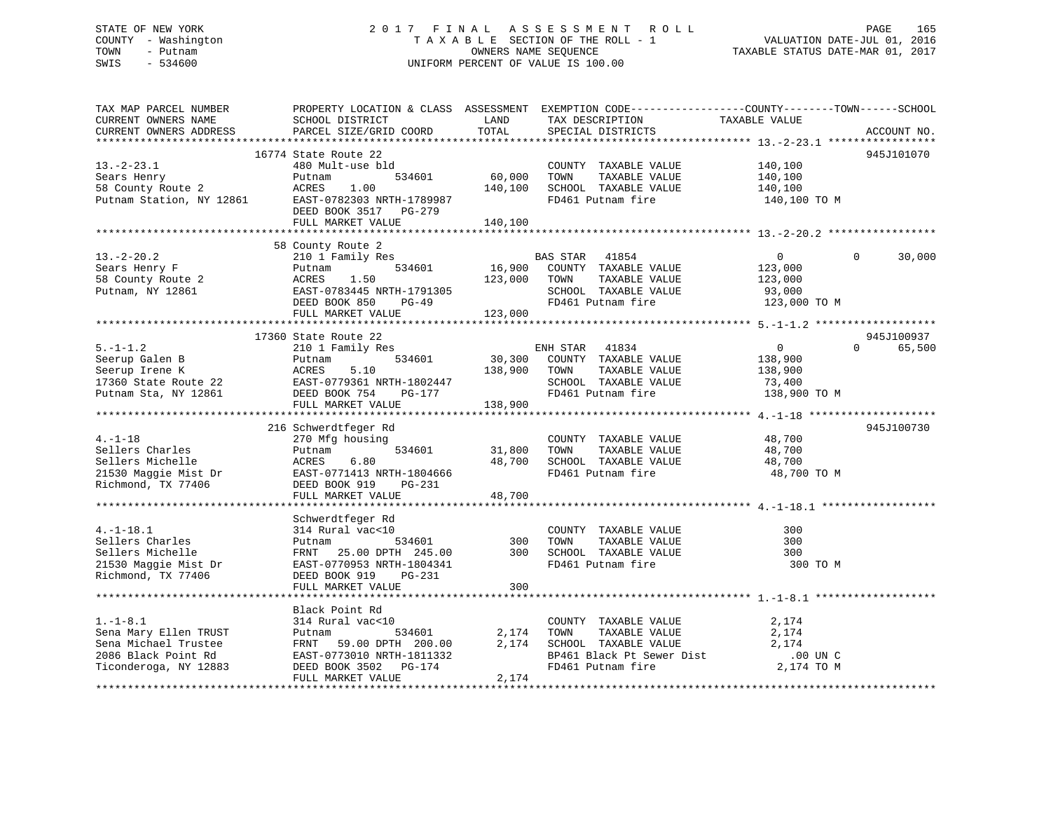## STATE OF NEW YORK 2 0 1 7 F I N A L A S S E S S M E N T R O L L PAGE 165 COUNTY - Washington T A X A B L E SECTION OF THE ROLL - 1 VALUATION DATE-JUL 01, 2016 TOWN - Putnam OWNERS NAME SEQUENCE TAXABLE STATUS DATE-MAR 01, 2017 SWIS - 534600 UNIFORM PERCENT OF VALUE IS 100.00

| TAX MAP PARCEL NUMBER<br>CURRENT OWNERS NAME<br>CURRENT OWNERS ADDRESS                                         | SCHOOL DISTRICT<br>PARCEL SIZE/GRID COORD                                                                                                                                                                                          | LAND<br>TOTAL                | PROPERTY LOCATION & CLASS ASSESSMENT EXEMPTION CODE----------------COUNTY-------TOWN------SCHOOL<br>TAX DESCRIPTION<br>SPECIAL DISTRICTS | TAXABLE VALUE                                                  | ACCOUNT NO.                      |
|----------------------------------------------------------------------------------------------------------------|------------------------------------------------------------------------------------------------------------------------------------------------------------------------------------------------------------------------------------|------------------------------|------------------------------------------------------------------------------------------------------------------------------------------|----------------------------------------------------------------|----------------------------------|
|                                                                                                                |                                                                                                                                                                                                                                    |                              |                                                                                                                                          |                                                                |                                  |
| $13.-2-23.1$<br>Sears Henry<br>58 County Route 2<br>Putnam Station, NY 12861                                   | 16774 State Route 22<br>480 Mult-use bld<br>Putnam<br>534601<br>ACRES<br>1.00<br>EAST-0782303 NRTH-1789987<br>DEED BOOK 3517 PG-279                                                                                                | 60,000<br>140,100            | COUNTY TAXABLE VALUE<br>TOWN<br>TAXABLE VALUE<br>SCHOOL TAXABLE VALUE<br>FD461 Putnam fire                                               | 140,100<br>140,100<br>140,100<br>140,100 TO M                  | 945J101070                       |
|                                                                                                                | FULL MARKET VALUE                                                                                                                                                                                                                  | 140,100                      |                                                                                                                                          |                                                                |                                  |
|                                                                                                                | 58 County Route 2                                                                                                                                                                                                                  |                              |                                                                                                                                          |                                                                |                                  |
| $13.-2-20.2$<br>Sears Henry F<br>58 County Route 2<br>Putnam, NY 12861                                         | 210 1 Family Res<br>534601<br>Putnam<br>ACRES<br>1.50<br>EAST-0783445 NRTH-1791305<br>$PG-49$<br>DEED BOOK 850<br>FULL MARKET VALUE                                                                                                | 16,900<br>123,000<br>123,000 | BAS STAR 41854<br>COUNTY TAXABLE VALUE<br>TOWN<br>TAXABLE VALUE<br>SCHOOL TAXABLE VALUE<br>FD461 Putnam fire                             | $\mathbf{0}$<br>123,000<br>123,000<br>93,000<br>123,000 TO M   | $\Omega$<br>30,000               |
|                                                                                                                |                                                                                                                                                                                                                                    |                              |                                                                                                                                          |                                                                |                                  |
| $5. - 1 - 1.2$<br>Seerup Galen B<br>Putnam Sta, NY 12861                                                       | 17360 State Route 22<br>210 1 Family Res<br>534601<br>Putnam<br>Seerup Galen B<br>Seerup Irene K<br>17360 State Route 22<br>EAST-0779361 NRTH-1802447<br>EAST-0779361 NRTH-1802447<br>DEED BOOK 754<br>PG-177<br>FULL MARKET VALUE | 30,300<br>138,900<br>138,900 | ENH STAR<br>41834<br>COUNTY TAXABLE VALUE<br>TOWN<br>TAXABLE VALUE<br>SCHOOL TAXABLE VALUE<br>FD461 Putnam fire                          | $\overline{0}$<br>138,900<br>138,900<br>73,400<br>138,900 TO M | 945J100937<br>$\Omega$<br>65,500 |
|                                                                                                                |                                                                                                                                                                                                                                    |                              |                                                                                                                                          |                                                                |                                  |
| $4. -1 - 18$<br>Sellers Charles<br>Sellers Michelle<br>21530 Maggie Mist Dr<br>Richmond, TX 77406              | 216 Schwerdtfeger Rd<br>270 Mfg housing<br>534601<br>Putnam<br>ACRES<br>6.80<br>EAST-0771413 NRTH-1804666<br>DEED BOOK 919 PG-231<br>DEED BOOK 919<br>PG-231<br>FULL MARKET VALUE                                                  | 31,800<br>48,700<br>48,700   | COUNTY TAXABLE VALUE<br>TAXABLE VALUE<br>TOWN<br>SCHOOL TAXABLE VALUE<br>FD461 Putnam fire                                               | 48,700<br>48,700<br>48,700<br>48,700 TO M                      | 945J100730                       |
|                                                                                                                |                                                                                                                                                                                                                                    |                              |                                                                                                                                          |                                                                |                                  |
| $4. -1 - 18.1$<br>Sellers Charles<br>Sellers Michelle<br>21530 Maggie Mist Dr<br>Richmond, TX 77406            | Schwerdtfeger Rd<br>314 Rural vac<10<br>534601<br>Putnam<br>FRNT 25.00 DPTH 245.00<br>EAST-0770953 NRTH-1804341<br>PG-231<br>DEED BOOK 919                                                                                         | 300<br>300                   | COUNTY TAXABLE VALUE<br>TAXABLE VALUE<br>TOWN<br>SCHOOL TAXABLE VALUE<br>FD461 Putnam fire                                               | 300<br>300<br>300<br>300 TO M                                  |                                  |
|                                                                                                                | FULL MARKET VALUE                                                                                                                                                                                                                  | 300                          |                                                                                                                                          |                                                                |                                  |
|                                                                                                                |                                                                                                                                                                                                                                    |                              |                                                                                                                                          |                                                                |                                  |
| $1. -1 - 8.1$<br>Sena Mary Ellen TRUST<br>Sena Michael Trustee<br>2086 Black Point Rd<br>Ticonderoga, NY 12883 | Black Point Rd<br>314 Rural vac<10<br>534601<br>Putnam<br>FRNT 59.00 DPTH 200.00<br>EAST-0773010 NRTH-1811332<br>DEED BOOK 3502 PG-174                                                                                             | 2,174<br>2,174               | COUNTY TAXABLE VALUE<br>TAXABLE VALUE<br>TOWN<br>SCHOOL TAXABLE VALUE<br>BP461 Black Pt Sewer Dist<br>FD461 Putnam fire                  | 2,174<br>2,174<br>2,174<br>$.00$ UN C<br>2,174 TO M            |                                  |
|                                                                                                                | FULL MARKET VALUE                                                                                                                                                                                                                  | 2,174                        |                                                                                                                                          |                                                                |                                  |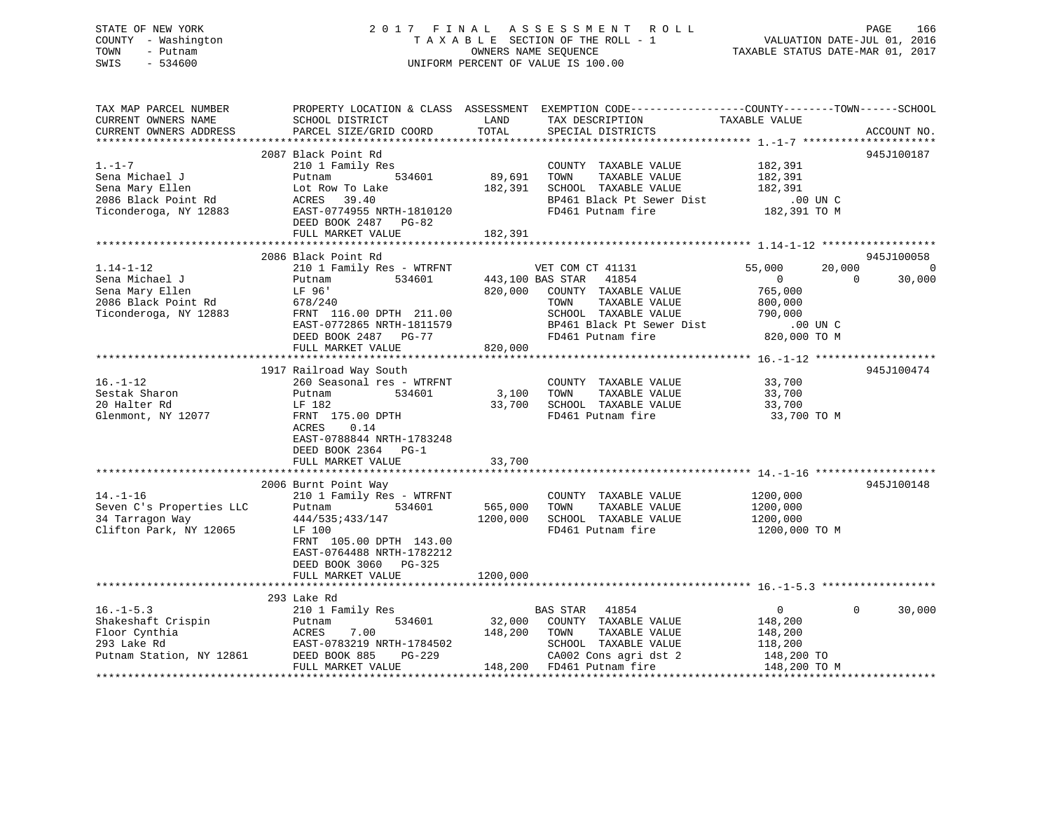## STATE OF NEW YORK 2 0 1 7 F I N A L A S S E S S M E N T R O L L PAGE 166 COUNTY - Washington T A X A B L E SECTION OF THE ROLL - 1 VALUATION DATE-JUL 01, 2016 TOWN - Putnam OWNERS NAME SEQUENCE TAXABLE STATUS DATE-MAR 01, 2017 SWIS - 534600 UNIFORM PERCENT OF VALUE IS 100.00

| TAX MAP PARCEL NUMBER<br>CURRENT OWNERS NAME<br>CURRENT OWNERS ADDRESS                                                                     | SCHOOL DISTRICT<br>PARCEL SIZE/GRID COORD                                                                                                                                                                    | LAND<br>TOTAL       | PROPERTY LOCATION & CLASS ASSESSMENT EXEMPTION CODE---------------COUNTY-------TOWN-----SCHOOL<br>TAX DESCRIPTION<br>SPECIAL DISTRICTS                                | TAXABLE VALUE                                                                                                     | ACCOUNT NO.                            |
|--------------------------------------------------------------------------------------------------------------------------------------------|--------------------------------------------------------------------------------------------------------------------------------------------------------------------------------------------------------------|---------------------|-----------------------------------------------------------------------------------------------------------------------------------------------------------------------|-------------------------------------------------------------------------------------------------------------------|----------------------------------------|
|                                                                                                                                            |                                                                                                                                                                                                              |                     |                                                                                                                                                                       |                                                                                                                   |                                        |
| $1. -1 - 7$<br>Sena Michael J<br>Sena Mary Ellen<br>2086 Black Point Rd<br>Ticonderoga, NY 12883                                           | 2087 Black Point Rd<br>210 1 Family Res<br>534601<br>Putnam<br>Lot Row To Lake<br>ACRES 39.40<br>EAST-0774955 NRTH-1810120<br>DEED BOOK 2487 PG-82<br>FULL MARKET VALUE                                      | 89,691<br>182,391   | COUNTY TAXABLE VALUE 182,391<br>TOWN<br>TAXABLE VALUE<br>182,391 SCHOOL TAXABLE VALUE<br>BP461 Black Pt Sewer Dist<br>FD461 Putnam fire                               | 182,391<br>182,391<br>$.00$ UN C<br>182,391 TO M                                                                  | 945J100187                             |
|                                                                                                                                            |                                                                                                                                                                                                              |                     |                                                                                                                                                                       |                                                                                                                   |                                        |
| $1.14 - 1 - 12$<br>Sena Michael J<br>Sena Mary Ellen<br>Sena Mary Ellen<br>Sena Mary Elit.<br>2086 Black Point Rd<br>Ticonderoga, NY 12883 | 2086 Black Point Rd<br>210 1 Family Res - WTRFNT<br>534601<br>Putnam<br>LF 96'<br>678/240<br>FRNT 116.00 DPTH 211.00<br>EAST-0772865 NRTH-1811579<br>DEED BOOK 2487 PG-77<br>FULL MARKET VALUE               | 820,000<br>820,000  | VET COM CT 41131<br>443,100 BAS STAR 41854<br>COUNTY TAXABLE VALUE<br>TAXABLE VALUE<br>TOWN<br>SCHOOL TAXABLE VALUE<br>BP461 Black Pt Sewer Dist<br>FD461 Putnam fire | 55,000<br>20,000<br>$\overline{0}$<br>$\overline{0}$<br>765,000<br>800,000<br>790,000<br>00 UN C.<br>820,000 TO M | 945J100058<br>$\overline{0}$<br>30,000 |
|                                                                                                                                            | 1917 Railroad Way South                                                                                                                                                                                      |                     |                                                                                                                                                                       |                                                                                                                   | 945J100474                             |
| $16. - 1 - 12$<br>Sestak Sharon<br>20 Halter Rd<br>Glenmont, NY 12077                                                                      | 260 Seasonal res - WTRFNT<br>Putnam<br>534601<br>LF 182<br>FRNT 175.00 DPTH<br>ACRES<br>0.14<br>EAST-0788844 NRTH-1783248<br>DEED BOOK 2364 PG-1                                                             |                     | COUNTY TAXABLE VALUE 33,700<br>3,100 TOWN<br>TAXABLE VALUE<br>33,700 SCHOOL TAXABLE VALUE<br>FD461 Putnam fire                                                        | 33,700<br>33,700<br>33,700 TO M                                                                                   |                                        |
|                                                                                                                                            | FULL MARKET VALUE                                                                                                                                                                                            | 33,700              |                                                                                                                                                                       |                                                                                                                   |                                        |
| $14. - 1 - 16$<br>Seven C's Properties LLC<br>34 Tarragon Way<br>Clifton Park, NY 12065                                                    | 2006 Burnt Point Way<br>210 1 Family Res - WTRFNT<br>534601<br>Putnam<br>444/535:433/147<br>LF 100<br>FRNT 105.00 DPTH 143.00<br>EAST-0764488 NRTH-1782212<br>DEED BOOK 3060 PG-325                          | 565,000<br>1200,000 | COUNTY TAXABLE VALUE<br>TOWN<br>TAXABLE VALUE<br>SCHOOL TAXABLE VALUE<br>FD461 Putnam fire                                                                            | 1200,000<br>1200,000<br>1200,000<br>1200,000 TO M                                                                 | 945J100148                             |
|                                                                                                                                            | FULL MARKET VALUE                                                                                                                                                                                            | 1200,000            |                                                                                                                                                                       |                                                                                                                   |                                        |
|                                                                                                                                            | 293 Lake Rd                                                                                                                                                                                                  |                     |                                                                                                                                                                       |                                                                                                                   |                                        |
| $16. - 1 - 5.3$<br>Shakeshaft Crispin<br>Floor Cynthia<br>293 Lake Rd<br>Putnam Station, NY 12861                                          | 210 1 Family Res<br>534601<br>Putnam<br>ACRES 7.00<br>EAST-0783219 NRTH-1784502 SCHOOL ION 100 EST-0783219 NRTH-1784502<br>DEED BOOK 885 PG-229 (2002 Cons agrids 148,200 FD461 Putnam fire<br>DEED BOOK 885 |                     | BAS STAR 41854<br>32,000 COUNTY TAXABLE VALUE<br>148,200 TOWN TAXABLE VALUE<br>SCHOOL TAXABLE VALUE<br>CA002 Cons agri dst 2                                          | $\overline{0}$<br>148,200<br>148,200<br>118,200<br>148,200 TO<br>148,200 TO M                                     | $\mathbf{0}$<br>30,000                 |
|                                                                                                                                            |                                                                                                                                                                                                              |                     |                                                                                                                                                                       |                                                                                                                   |                                        |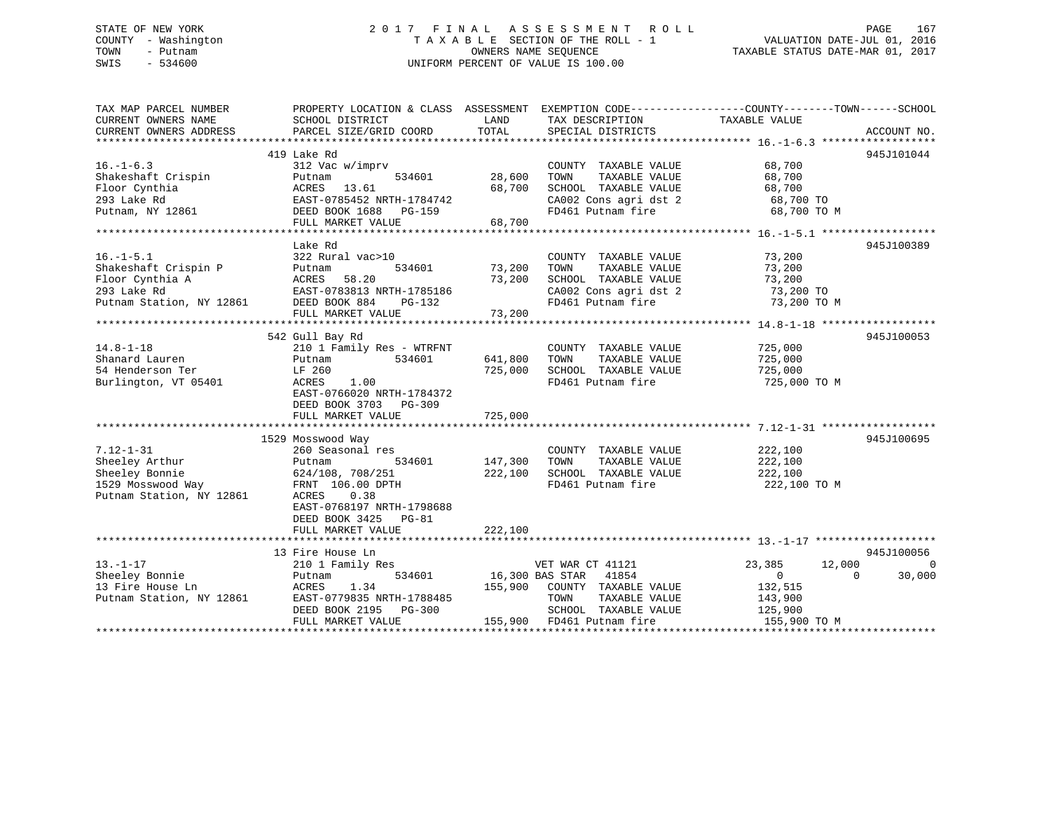## STATE OF NEW YORK 2 0 1 7 F I N A L A S S E S S M E N T R O L L PAGE 167 COUNTY - Washington T A X A B L E SECTION OF THE ROLL - 1 VALUATION DATE-JUL 01, 2016 TOWN - Putnam **CONNERS NAME SEQUENCE** TAXABLE STATUS DATE-MAR 01, 2017 SWIS - 534600 UNIFORM PERCENT OF VALUE IS 100.00

| TAX MAP PARCEL NUMBER<br>CURRENT OWNERS NAME | SCHOOL DISTRICT                             | LAND             | TAX DESCRIPTION                               | PROPERTY LOCATION & CLASS ASSESSMENT EXEMPTION CODE---------------COUNTY-------TOWN-----SCHOOL<br>TAXABLE VALUE |          |
|----------------------------------------------|---------------------------------------------|------------------|-----------------------------------------------|-----------------------------------------------------------------------------------------------------------------|----------|
| CURRENT OWNERS ADDRESS                       | PARCEL SIZE/GRID COORD                      | TOTAL            | SPECIAL DISTRICTS                             | ACCOUNT NO.                                                                                                     |          |
|                                              |                                             |                  |                                               |                                                                                                                 |          |
| $16. - 1 - 6.3$                              | 419 Lake Rd                                 |                  |                                               | 945J101044                                                                                                      |          |
|                                              | 312 Vac w/imprv                             |                  | COUNTY TAXABLE VALUE                          | 68,700                                                                                                          |          |
| Shakeshaft Crispin                           | 534601<br>Putnam                            | 28,600<br>68,700 | TOWN<br>TAXABLE VALUE<br>SCHOOL TAXABLE VALUE | 68,700                                                                                                          |          |
| Floor Cynthia<br>293 Lake Rd                 | ACRES<br>13.61<br>EAST-0785452 NRTH-1784742 |                  | CA002 Cons agri dst 2                         | 68,700                                                                                                          |          |
|                                              |                                             |                  | FD461 Putnam fire                             | 68,700 TO<br>68,700 TO M                                                                                        |          |
| Putnam, NY 12861                             | DEED BOOK 1688 PG-159<br>FULL MARKET VALUE  | 68,700           |                                               |                                                                                                                 |          |
|                                              |                                             |                  |                                               |                                                                                                                 |          |
|                                              | Lake Rd                                     |                  |                                               | 945J100389                                                                                                      |          |
| $16. - 1 - 5.1$                              | 322 Rural vac>10                            |                  | COUNTY TAXABLE VALUE                          | 73,200                                                                                                          |          |
| Shakeshaft Crispin P                         | 534601<br>Putnam                            | 73,200           | TOWN<br>TAXABLE VALUE                         | 73,200                                                                                                          |          |
| Floor Cynthia A                              | ACRES<br>58.20                              | 73,200           | SCHOOL TAXABLE VALUE                          | 73,200                                                                                                          |          |
| 293 Lake Rd                                  | EAST-0783813 NRTH-1785186                   |                  | CA002 Cons agri dst 2                         | 73,200 TO                                                                                                       |          |
| Putnam Station, NY 12861                     | DEED BOOK 884<br>PG-132                     |                  | FD461 Putnam fire                             | 73,200 TO M                                                                                                     |          |
|                                              | FULL MARKET VALUE                           | 73,200           |                                               |                                                                                                                 |          |
|                                              |                                             |                  |                                               |                                                                                                                 |          |
|                                              | 542 Gull Bay Rd                             |                  |                                               | 945J100053                                                                                                      |          |
| $14.8 - 1 - 18$                              | 210 1 Family Res - WTRFNT                   |                  | COUNTY TAXABLE VALUE                          | 725,000                                                                                                         |          |
| Shanard Lauren                               | 534601<br>Putnam                            | 641,800          | TOWN<br>TAXABLE VALUE                         | 725,000                                                                                                         |          |
| 54 Henderson Ter                             | LF 260                                      | 725,000          | SCHOOL TAXABLE VALUE                          | 725,000                                                                                                         |          |
| Burlington, VT 05401                         | 1.00<br>ACRES                               |                  | FD461 Putnam fire                             | 725,000 TO M                                                                                                    |          |
|                                              | EAST-0766020 NRTH-1784372                   |                  |                                               |                                                                                                                 |          |
|                                              | DEED BOOK 3703 PG-309                       |                  |                                               |                                                                                                                 |          |
|                                              | FULL MARKET VALUE                           | 725,000          |                                               |                                                                                                                 |          |
|                                              |                                             |                  |                                               |                                                                                                                 |          |
|                                              | 1529 Mosswood Way                           |                  |                                               | 945J100695                                                                                                      |          |
| $7.12 - 1 - 31$                              | 260 Seasonal res                            |                  | COUNTY TAXABLE VALUE                          | 222,100                                                                                                         |          |
| Sheeley Arthur                               | 534601<br>Putnam                            | 147,300          | TOWN<br>TAXABLE VALUE                         | 222,100                                                                                                         |          |
| Sheeley Bonnie                               | 624/108, 708/251                            | 222,100          | SCHOOL TAXABLE VALUE                          | 222,100                                                                                                         |          |
| 1529 Mosswood Way                            | FRNT 106.00 DPTH                            |                  | FD461 Putnam fire                             | 222,100 TO M                                                                                                    |          |
| Putnam Station, NY 12861                     | ACRES<br>0.38                               |                  |                                               |                                                                                                                 |          |
|                                              | EAST-0768197 NRTH-1798688                   |                  |                                               |                                                                                                                 |          |
|                                              | DEED BOOK 3425 PG-81                        |                  |                                               |                                                                                                                 |          |
|                                              | FULL MARKET VALUE                           | 222,100          |                                               |                                                                                                                 |          |
|                                              |                                             |                  |                                               |                                                                                                                 |          |
|                                              | 13 Fire House Ln                            |                  |                                               | 945J100056                                                                                                      |          |
| $13. - 1 - 17$                               | 210 1 Family Res                            |                  | VET WAR CT 41121                              | 12,000<br>23,385                                                                                                | $\Omega$ |
| Sheeley Bonnie                               | 534601<br>Putnam                            |                  | 41854<br>16,300 BAS STAR                      | $\overline{0}$<br>$\Omega$                                                                                      | 30,000   |
| 13 Fire House Ln                             | 1.34<br>ACRES                               | 155,900          | COUNTY TAXABLE VALUE                          | 132,515                                                                                                         |          |
| Putnam Station, NY 12861                     | EAST-0779835 NRTH-1788485                   |                  | TOWN<br>TAXABLE VALUE                         | 143,900                                                                                                         |          |
|                                              | DEED BOOK 2195<br>PG-300                    |                  | SCHOOL TAXABLE VALUE                          | 125,900                                                                                                         |          |
|                                              | FULL MARKET VALUE                           | 155,900          | FD461 Putnam fire                             | 155,900 TO M                                                                                                    |          |
|                                              |                                             |                  |                                               |                                                                                                                 |          |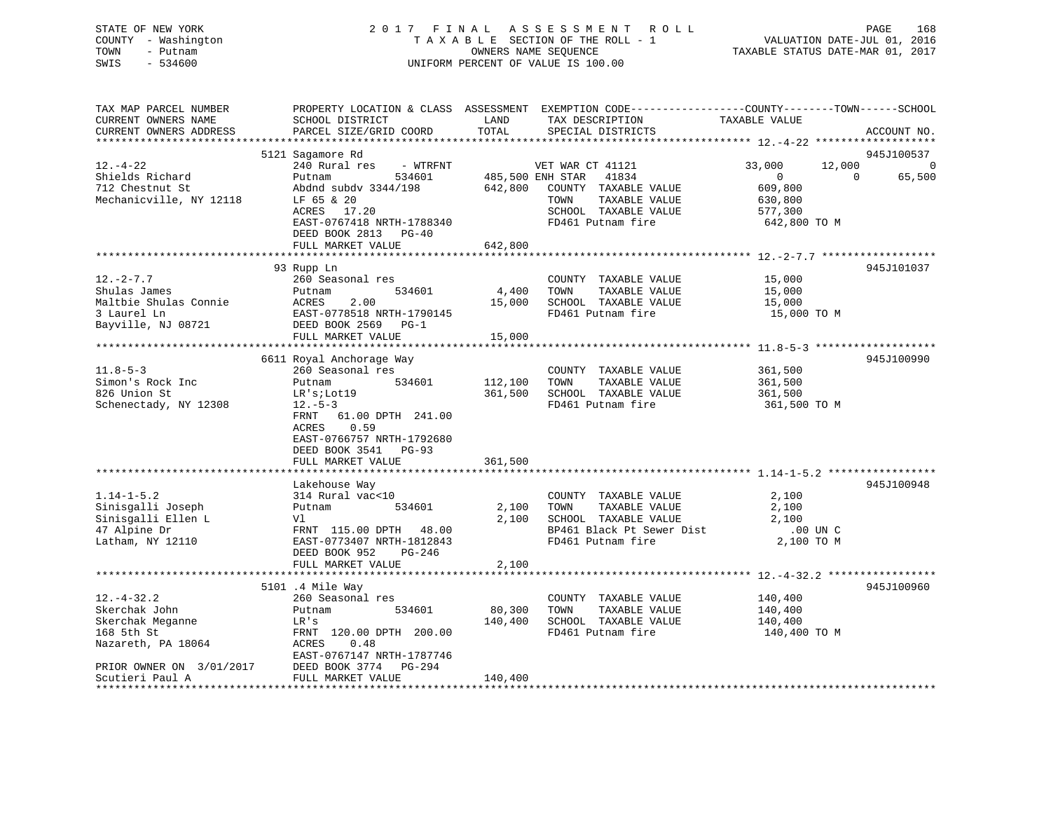## STATE OF NEW YORK 2 0 1 7 F I N A L A S S E S S M E N T R O L L PAGE 168 COUNTY - Washington T A X A B L E SECTION OF THE ROLL - 1 VALUATION DATE-JUL 01, 2016 TOWN - Putnam OWNERS NAME SEQUENCE TAXABLE STATUS DATE-MAR 01, 2017 SWIS - 534600 UNIFORM PERCENT OF VALUE IS 100.00

| TAX MAP PARCEL NUMBER<br>CURRENT OWNERS NAME<br>CURRENT OWNERS ADDRESS                          | SCHOOL DISTRICT<br>PARCEL SIZE/GRID COORD                                                                                                                                   | LAND<br>TOTAL               | PROPERTY LOCATION & CLASS ASSESSMENT EXEMPTION CODE----------------COUNTY-------TOWN------SCHOOL<br>TAX DESCRIPTION<br>SPECIAL DISTRICTS | TAXABLE VALUE                                                                       | ACCOUNT NO.                                        |
|-------------------------------------------------------------------------------------------------|-----------------------------------------------------------------------------------------------------------------------------------------------------------------------------|-----------------------------|------------------------------------------------------------------------------------------------------------------------------------------|-------------------------------------------------------------------------------------|----------------------------------------------------|
|                                                                                                 |                                                                                                                                                                             |                             |                                                                                                                                          |                                                                                     |                                                    |
| $12. - 4 - 22$<br>Shields Richard<br>712 Chestnut St<br>Mechanicville, NY 12118                 | 5121 Sagamore Rd<br>240 Rural res<br>- WTRFNT<br>Putnam<br>534601<br>Abdnd subdy 3344/198<br>LF 65 & 20<br>ACRES 17.20<br>EAST-0767418 NRTH-1788340<br>DEED BOOK 2813 PG-40 | 485,500 ENH STAR<br>642,800 | VET WAR CT 41121<br>41834<br>COUNTY TAXABLE VALUE<br>TAXABLE VALUE<br>TOWN<br>SCHOOL TAXABLE VALUE<br>FD461 Putnam fire                  | 12,000<br>33,000<br>$\overline{0}$<br>609,800<br>630,800<br>577,300<br>642,800 TO M | 945J100537<br>$\overline{0}$<br>$\Omega$<br>65,500 |
|                                                                                                 | FULL MARKET VALUE                                                                                                                                                           | 642,800                     |                                                                                                                                          |                                                                                     |                                                    |
| $12. - 2 - 7.7$<br>Shulas James<br>Maltbie Shulas Connie<br>3 Laurel Ln                         | 93 Rupp Ln<br>260 Seasonal res<br>534601<br>Putnam<br>2.00<br>ACRES<br>EAST-0778518 NRTH-1790145                                                                            | 4,400<br>15,000             | COUNTY TAXABLE VALUE<br>TOWN<br>TAXABLE VALUE<br>SCHOOL TAXABLE VALUE<br>FD461 Putnam fire                                               | 15,000<br>15,000<br>15,000<br>15,000 TO M                                           | 945J101037                                         |
| Bayville, NJ 08721                                                                              | DEED BOOK 2569 PG-1                                                                                                                                                         |                             |                                                                                                                                          |                                                                                     |                                                    |
|                                                                                                 | FULL MARKET VALUE                                                                                                                                                           | 15,000                      |                                                                                                                                          |                                                                                     |                                                    |
|                                                                                                 |                                                                                                                                                                             |                             |                                                                                                                                          |                                                                                     |                                                    |
|                                                                                                 | 6611 Royal Anchorage Way                                                                                                                                                    |                             |                                                                                                                                          |                                                                                     | 945J100990                                         |
| $11.8 - 5 - 3$<br>Simon's Rock Inc<br>826 Union St<br>Schenectady, NY 12308                     | 260 Seasonal res<br>Putnam<br>534601<br>LR'siLot19<br>$12.-5-3$<br>FRNT<br>61.00 DPTH 241.00<br>0.59<br>ACRES<br>EAST-0766757 NRTH-1792680<br>DEED BOOK 3541 PG-93          | 112,100<br>361,500          | COUNTY TAXABLE VALUE<br>TOWN<br>TAXABLE VALUE<br>SCHOOL TAXABLE VALUE<br>FD461 Putnam fire                                               | 361,500<br>361,500<br>361,500<br>361,500 TO M                                       |                                                    |
|                                                                                                 | FULL MARKET VALUE                                                                                                                                                           | 361,500                     |                                                                                                                                          |                                                                                     |                                                    |
|                                                                                                 |                                                                                                                                                                             |                             |                                                                                                                                          |                                                                                     |                                                    |
| $1.14 - 1 - 5.2$<br>Sinisgalli Joseph<br>Sinisgalli Ellen L<br>47 Alpine Dr<br>Latham, NY 12110 | Lakehouse Way<br>314 Rural vac<10<br>534601<br>Putnam<br>Vl<br>FRNT 115.00 DPTH 48.00<br>EAST-0773407 NRTH-1812843<br>DEED BOOK 952<br>PG-246                               | 2,100<br>2,100              | COUNTY TAXABLE VALUE<br>TOWN<br>TAXABLE VALUE<br>SCHOOL TAXABLE VALUE<br>BP461 Black Pt Sewer Dist<br>FD461 Putnam fire                  | 2,100<br>2,100<br>2,100<br>.00 UN C<br>2,100 TO M                                   | 945J100948                                         |
|                                                                                                 | FULL MARKET VALUE                                                                                                                                                           | 2,100                       |                                                                                                                                          |                                                                                     |                                                    |
|                                                                                                 | ************************                                                                                                                                                    | *****************           |                                                                                                                                          |                                                                                     |                                                    |
| $12. - 4 - 32.2$<br>Skerchak John<br>Skerchak Meganne<br>168 5th St<br>Nazareth, PA 18064       | 5101 .4 Mile Way<br>260 Seasonal res<br>534601<br>Putnam<br>LR's<br>FRNT 120.00 DPTH 200.00<br>ACRES<br>0.48<br>EAST-0767147 NRTH-1787746                                   | 80,300<br>140,400           | COUNTY TAXABLE VALUE<br>TAXABLE VALUE<br>TOWN<br>SCHOOL TAXABLE VALUE<br>FD461 Putnam fire                                               | 140,400<br>140,400<br>140,400<br>140,400 TO M                                       | 945J100960                                         |
| PRIOR OWNER ON 3/01/2017                                                                        | DEED BOOK 3774 PG-294                                                                                                                                                       |                             |                                                                                                                                          |                                                                                     |                                                    |
| Scutieri Paul A                                                                                 | FULL MARKET VALUE                                                                                                                                                           | 140,400                     |                                                                                                                                          |                                                                                     |                                                    |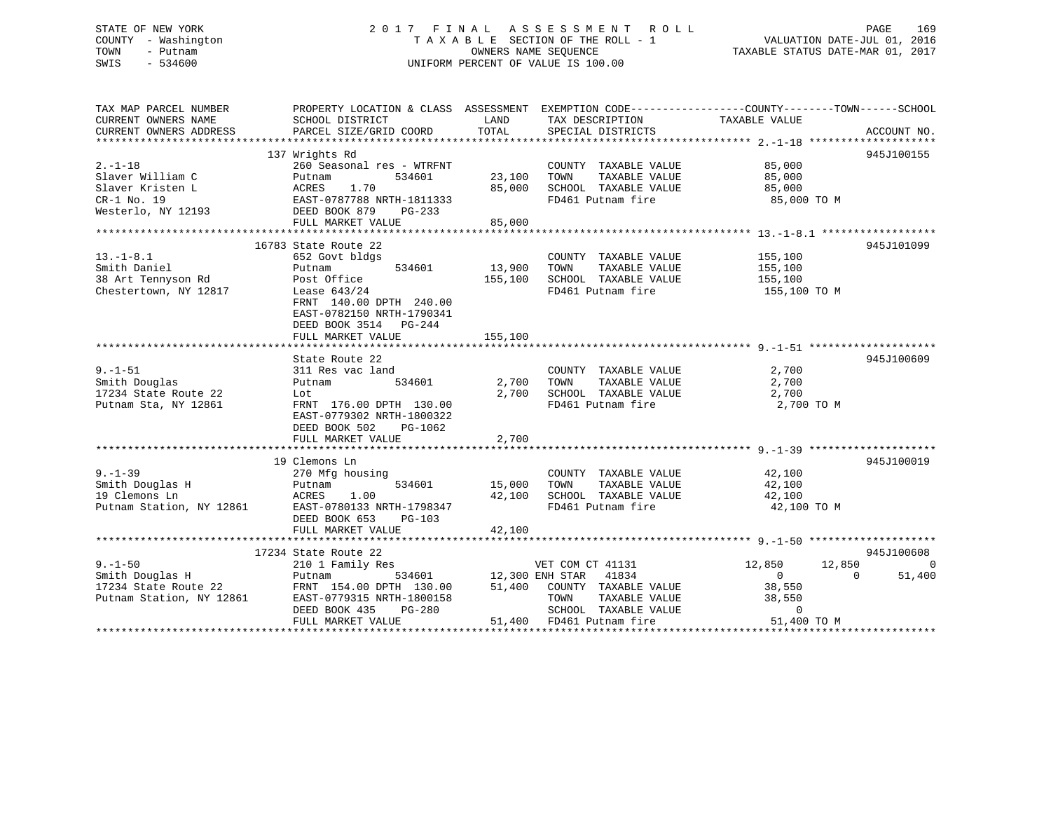## STATE OF NEW YORK 2 0 1 7 F I N A L A S S E S S M E N T R O L L PAGE 169 COUNTY - Washington T A X A B L E SECTION OF THE ROLL - 1 VALUATION DATE-JUL 01, 2016 TOWN - Putnam OWNERS NAME SEQUENCE TAXABLE STATUS DATE-MAR 01, 2017 SWIS - 534600 UNIFORM PERCENT OF VALUE IS 100.00

| TAX MAP PARCEL NUMBER<br>CURRENT OWNERS NAME                                                                                                                 | PROPERTY LOCATION & CLASS ASSESSMENT EXEMPTION CODE---------------COUNTY-------TOWN------SCHOOL<br>SCHOOL DISTRICT | LAND                       | TAX DESCRIPTION                    | TAXABLE VALUE         |                    |
|--------------------------------------------------------------------------------------------------------------------------------------------------------------|--------------------------------------------------------------------------------------------------------------------|----------------------------|------------------------------------|-----------------------|--------------------|
| CURRENT OWNERS ADDRESS                                                                                                                                       | PARCEL SIZE/GRID COORD                                                                                             | TOTAL                      | SPECIAL DISTRICTS                  |                       | ACCOUNT NO.        |
|                                                                                                                                                              |                                                                                                                    |                            |                                    |                       |                    |
|                                                                                                                                                              | 137 Wrights Rd                                                                                                     |                            |                                    |                       | 945J100155         |
| $2. -1 - 18$                                                                                                                                                 | 260 Seasonal res - WTRFNT                                                                                          |                            | COUNTY TAXABLE VALUE               | 85,000<br>85,000      |                    |
|                                                                                                                                                              |                                                                                                                    | 23,100 TOWN                | TAXABLE VALUE                      |                       |                    |
|                                                                                                                                                              |                                                                                                                    |                            | 85,000 SCHOOL TAXABLE VALUE        | 85,000                |                    |
|                                                                                                                                                              |                                                                                                                    |                            | FD461 Putnam fire                  | 85,000 TO M           |                    |
| Slaver William C<br>Slaver Kristen L<br>CR-1 No. 19<br>Westerlo, NY 12193<br>Westerlo, NY 12193<br>PEED BOOK 879<br>PG-233                                   |                                                                                                                    |                            |                                    |                       |                    |
|                                                                                                                                                              | FULL MARKET VALUE                                                                                                  | 85,000                     |                                    |                       |                    |
|                                                                                                                                                              |                                                                                                                    |                            |                                    |                       |                    |
|                                                                                                                                                              | 16783 State Route 22                                                                                               |                            |                                    |                       | 945J101099         |
| $13.-1-8.1$                                                                                                                                                  | 652 Govt bldgs                                                                                                     |                            | COUNTY TAXABLE VALUE 155,100       |                       |                    |
|                                                                                                                                                              | 534601                                                                                                             | 13,900                     | TOWN                               | TAXABLE VALUE 155,100 |                    |
|                                                                                                                                                              |                                                                                                                    | 155,100                    | SCHOOL TAXABLE VALUE               | 155,100               |                    |
| Smith Daniel Putnam<br>38 Art Tennyson Rd<br>Chestertown, NY 12817 Lease 643/24                                                                              |                                                                                                                    |                            | FD461 Putnam fire                  | 155,100 TO M          |                    |
|                                                                                                                                                              | FRNT 140.00 DPTH 240.00                                                                                            |                            |                                    |                       |                    |
|                                                                                                                                                              | EAST-0782150 NRTH-1790341                                                                                          |                            |                                    |                       |                    |
|                                                                                                                                                              | DEED BOOK 3514 PG-244                                                                                              |                            |                                    |                       |                    |
|                                                                                                                                                              | FULL MARKET VALUE                                                                                                  | 155,100                    |                                    |                       |                    |
|                                                                                                                                                              |                                                                                                                    |                            |                                    |                       |                    |
|                                                                                                                                                              | State Route 22                                                                                                     |                            |                                    |                       | 945J100609         |
| $9. - 1 - 51$                                                                                                                                                | 311 Res vac land                                                                                                   |                            | COUNTY TAXABLE VALUE               | 2,700                 |                    |
| Smith Douglas                                                                                                                                                | Putnam                                                                                                             | 534601 2,700               | TOWN<br>TAXABLE VALUE              | 2,700                 |                    |
| 17234 State Route 22                                                                                                                                         | Lot                                                                                                                | 2,700                      | SCHOOL TAXABLE VALUE               | 2,700                 |                    |
| Putnam Sta, NY 12861                                                                                                                                         | FRNT 176.00 DPTH 130.00                                                                                            |                            | FD461 Putnam fire                  | 2,700 TO M            |                    |
|                                                                                                                                                              | EAST-0779302 NRTH-1800322                                                                                          |                            |                                    |                       |                    |
|                                                                                                                                                              | DEED BOOK 502 PG-1062                                                                                              |                            |                                    |                       |                    |
|                                                                                                                                                              | FULL MARKET VALUE                                                                                                  | 2,700                      |                                    |                       |                    |
|                                                                                                                                                              |                                                                                                                    |                            |                                    |                       |                    |
|                                                                                                                                                              | 19 Clemons Ln                                                                                                      |                            |                                    |                       | 945J100019         |
|                                                                                                                                                              | 270 Mfg housing                                                                                                    |                            | COUNTY TAXABLE VALUE               | 42,100                |                    |
|                                                                                                                                                              | 534601                                                                                                             | COUNTY<br>15,000      TOWN | TAXABLE VALUE                      |                       |                    |
|                                                                                                                                                              |                                                                                                                    |                            |                                    | 42,100                |                    |
|                                                                                                                                                              | 1.00                                                                                                               |                            | 42,100 SCHOOL TAXABLE VALUE 42,100 |                       |                    |
|                                                                                                                                                              | EAST-0780133 NRTH-1798347                                                                                          |                            | FD461 Putnam fire                  | 42,100 TO M           |                    |
|                                                                                                                                                              | DEED BOOK 653<br>PG-103                                                                                            |                            |                                    |                       |                    |
| Clemon 270 Mfc<br>Clemons Ln<br>Putnam Station, NY 12861<br>Putnam Station, NY 12861<br>Putnam Station, NY 12861<br>Putnam Station, NY 12861                 | FULL MARKET VALUE                                                                                                  | 42,100                     |                                    |                       |                    |
|                                                                                                                                                              |                                                                                                                    |                            |                                    |                       |                    |
|                                                                                                                                                              | 17234 State Route 22                                                                                               |                            | VET COM CT 41131                   |                       | 945J100608         |
| $9. -1 - 50$                                                                                                                                                 | 210 1 Family Res                                                                                                   |                            |                                    | 12,850<br>12,850      | $\Omega$           |
| Smith Douglas H                                                                                                                                              | Putnam                                                                                                             |                            | 534601 12,300 ENH STAR 41834       | $\overline{0}$        | $\Omega$<br>51,400 |
| 17234 State Route 22<br>Putnam Station, NY 12861                                                                                                             |                                                                                                                    |                            |                                    | 38,550                |                    |
|                                                                                                                                                              |                                                                                                                    |                            |                                    | 38,550<br>38,550      |                    |
|                                                                                                                                                              |                                                                                                                    |                            |                                    |                       |                    |
| DEED BOOK 435 PG-280 SCHOOL TAXABLE VALUE 0<br>FULL MARKET VALUE 51,400 FD461 Putnam fire 51,400 TO M FULL MARKET VALUE 51,400 FD461 Putnam fire 51,400 TO M |                                                                                                                    |                            |                                    |                       |                    |
|                                                                                                                                                              |                                                                                                                    |                            |                                    |                       |                    |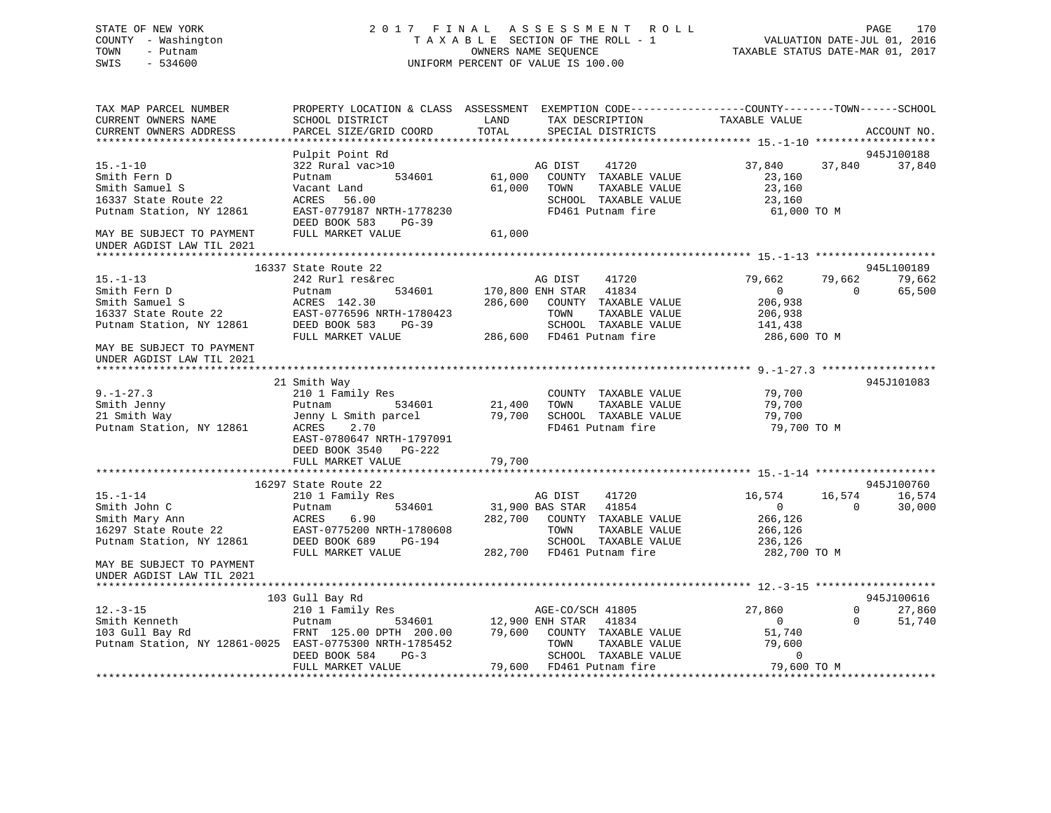## STATE OF NEW YORK 2 0 1 7 F I N A L A S S E S S M E N T R O L L PAGE 170 COUNTY - Washington T A X A B L E SECTION OF THE ROLL - 1 VALUATION DATE-JUL 01, 2016 TOWN - Putnam OWNERS NAME SEQUENCE TAXABLE STATUS DATE-MAR 01, 2017 SWIS - 534600 UNIFORM PERCENT OF VALUE IS 100.00

| TAX MAP PARCEL NUMBER<br>CURRENT OWNERS NAME<br>CURRENT OWNERS ADDRESS                               | SCHOOL DISTRICT<br>PARCEL SIZE/GRID COORD                                                          | LAND<br>TOTAL                    | PROPERTY LOCATION & CLASS ASSESSMENT EXEMPTION CODE----------------COUNTY-------TOWN------SCHOOL<br>TAX DESCRIPTION<br>SPECIAL DISTRICTS | TAXABLE VALUE                                       |                      | ACCOUNT NO.      |
|------------------------------------------------------------------------------------------------------|----------------------------------------------------------------------------------------------------|----------------------------------|------------------------------------------------------------------------------------------------------------------------------------------|-----------------------------------------------------|----------------------|------------------|
|                                                                                                      |                                                                                                    |                                  |                                                                                                                                          |                                                     |                      |                  |
|                                                                                                      | Pulpit Point Rd                                                                                    |                                  |                                                                                                                                          |                                                     |                      | 945J100188       |
| $15. - 1 - 10$<br>Smith Fern D<br>Smith Samuel S<br>16337 State Route 22<br>Putnam Station, NY 12861 | 322 Rural vac>10<br>534601<br>Putnam<br>Vacant Land<br>ACRES<br>56.00<br>EAST-0779187 NRTH-1778230 | 61,000<br>61,000                 | 41720<br>AG DIST<br>COUNTY TAXABLE VALUE<br>TOWN<br>TAXABLE VALUE<br>SCHOOL TAXABLE VALUE<br>FD461 Putnam fire                           | 37,840<br>23,160<br>23,160<br>23,160<br>61,000 TO M | 37,840               | 37,840           |
| MAY BE SUBJECT TO PAYMENT<br>UNDER AGDIST LAW TIL 2021                                               | DEED BOOK 583<br>PG-39<br>FULL MARKET VALUE                                                        | 61,000                           |                                                                                                                                          |                                                     |                      |                  |
|                                                                                                      |                                                                                                    |                                  |                                                                                                                                          |                                                     |                      |                  |
|                                                                                                      | 16337 State Route 22                                                                               |                                  |                                                                                                                                          |                                                     |                      | 945L100189       |
| $15. - 1 - 13$<br>Smith Fern D                                                                       | 242 Rurl res&rec<br>Putnam<br>534601                                                               |                                  | AG DIST<br>41720<br>41834<br>170,800 ENH STAR                                                                                            | 79,662<br>$\overline{0}$                            | 79,662<br>$\Omega$   | 79,662<br>65,500 |
| Smith Samuel S<br>16337 State Route 22<br>Putnam Station, NY 12861                                   | ACRES 142.30<br>EAST-0776596 NRTH-1780423<br>DEED BOOK 583<br>$PG-39$                              | 286,600                          | COUNTY TAXABLE VALUE<br>TOWN<br>TAXABLE VALUE<br>SCHOOL TAXABLE VALUE                                                                    | 206,938<br>206,938<br>141,438                       |                      |                  |
|                                                                                                      | FULL MARKET VALUE                                                                                  |                                  | 286,600 FD461 Putnam fire                                                                                                                | 286,600 TO M                                        |                      |                  |
| MAY BE SUBJECT TO PAYMENT<br>UNDER AGDIST LAW TIL 2021                                               |                                                                                                    |                                  |                                                                                                                                          |                                                     |                      |                  |
|                                                                                                      | 21 Smith Way                                                                                       |                                  |                                                                                                                                          |                                                     |                      | 945J101083       |
| $9. - 1 - 27.3$                                                                                      | 210 1 Family Res                                                                                   |                                  | COUNTY TAXABLE VALUE                                                                                                                     | 79,700                                              |                      |                  |
| Smith Jenny                                                                                          | 534601<br>Putnam                                                                                   | 21,400                           | TAXABLE VALUE<br>TOWN                                                                                                                    | 79,700                                              |                      |                  |
| 21 Smith Way                                                                                         | Jenny L Smith parcel                                                                               | 79,700                           | SCHOOL TAXABLE VALUE                                                                                                                     | 79,700                                              |                      |                  |
| Putnam Station, NY 12861                                                                             | ACRES<br>2.70<br>EAST-0780647 NRTH-1797091<br>DEED BOOK 3540 PG-222                                |                                  | FD461 Putnam fire                                                                                                                        | 79,700 TO M                                         |                      |                  |
|                                                                                                      | FULL MARKET VALUE                                                                                  | 79,700                           |                                                                                                                                          |                                                     |                      |                  |
|                                                                                                      | 16297 State Route 22                                                                               |                                  |                                                                                                                                          |                                                     |                      | 945J100760       |
| $15. - 1 - 14$<br>Smith John C                                                                       | 210 1 Family Res<br>534601<br>Putnam                                                               |                                  | AG DIST<br>41720<br>41854<br>31,900 BAS STAR                                                                                             | 16,574<br>$\Omega$                                  | 16,574<br>$\Omega$   | 16,574<br>30,000 |
| Smith Mary Ann<br>16297 State Route 22                                                               | ACRES<br>6.90<br>EAST-0775200 NRTH-1780608                                                         |                                  | 282,700 COUNTY TAXABLE VALUE<br>TOWN<br>TAXABLE VALUE                                                                                    | 266,126<br>266,126                                  |                      |                  |
| Putnam Station, NY 12861                                                                             | DEED BOOK 689<br>PG-194<br>FULL MARKET VALUE                                                       |                                  | SCHOOL TAXABLE VALUE<br>282,700 FD461 Putnam fire                                                                                        | 236,126<br>282,700 TO M                             |                      |                  |
| MAY BE SUBJECT TO PAYMENT<br>UNDER AGDIST LAW TIL 2021                                               |                                                                                                    |                                  |                                                                                                                                          |                                                     |                      |                  |
|                                                                                                      | 103 Gull Bay Rd                                                                                    |                                  |                                                                                                                                          |                                                     |                      | 945J100616       |
| $12. - 3 - 15$<br>Smith Kenneth                                                                      | 210 1 Family Res<br>534601<br>Putnam                                                               |                                  | AGE-CO/SCH 41805<br>41834                                                                                                                | 27,860<br>$\overline{0}$                            | $\Omega$<br>$\Omega$ | 27,860<br>51,740 |
| 103 Gull Bay Rd<br>Putnam Station, NY 12861-0025 EAST-0775300 NRTH-1785452                           | FRNT 125.00 DPTH 200.00<br>DEED BOOK 584<br>$PG-3$                                                 | 12,900 ENH STAR<br>79,600 COUNTY | COUNTY TAXABLE VALUE<br>TOWN<br>TAXABLE VALUE<br>SCHOOL TAXABLE VALUE                                                                    | 51,740<br>79,600<br>$\mathbf 0$                     |                      |                  |
|                                                                                                      | FULL MARKET VALUE                                                                                  |                                  | 79,600 FD461 Putnam fire                                                                                                                 | 79,600 TO M                                         |                      |                  |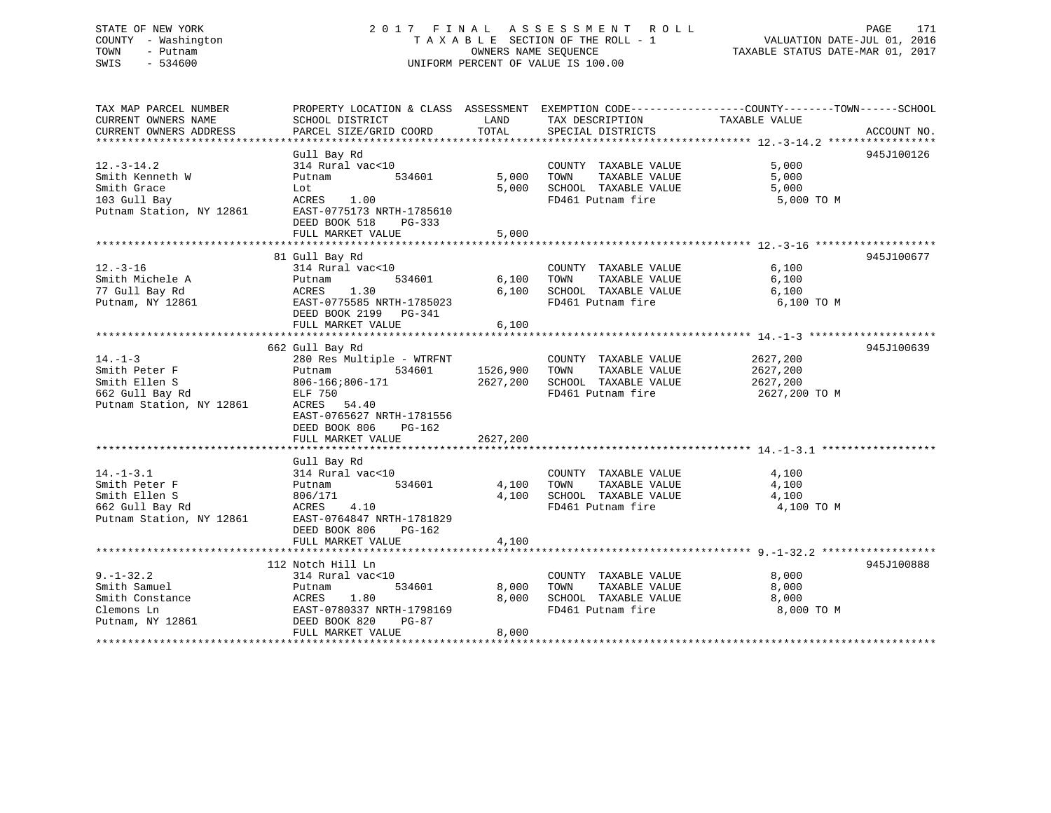## STATE OF NEW YORK 2 0 1 7 F I N A L A S S E S S M E N T R O L L PAGE 171 COUNTY - Washington T A X A B L E SECTION OF THE ROLL - 1 VALUATION DATE-JUL 01, 2016 TOWN - Putnam OWNERS NAME SEQUENCE TAXABLE STATUS DATE-MAR 01, 2017 SWIS - 534600 UNIFORM PERCENT OF VALUE IS 100.00UNIFORM PERCENT OF VALUE IS 100.00

| TAX MAP PARCEL NUMBER                                                                               |                                                    |          |                                                  | PROPERTY LOCATION & CLASS ASSESSMENT EXEMPTION CODE-----------------COUNTY-------TOWN------SCHOOL |  |
|-----------------------------------------------------------------------------------------------------|----------------------------------------------------|----------|--------------------------------------------------|---------------------------------------------------------------------------------------------------|--|
| CURRENT OWNERS NAME                                                                                 | SCHOOL DISTRICT                                    | LAND     | TAX DESCRIPTION                                  | TAXABLE VALUE                                                                                     |  |
| CURRENT OWNERS ADDRESS                                                                              | PARCEL SIZE/GRID COORD TOTAL                       |          | SPECIAL DISTRICTS                                | ACCOUNT NO.                                                                                       |  |
|                                                                                                     |                                                    |          |                                                  |                                                                                                   |  |
|                                                                                                     | Gull Bay Rd                                        |          |                                                  | 945J100126                                                                                        |  |
| $12.-3-14.2$                                                                                        | 314 Rural vac<10                                   |          |                                                  | 5.000                                                                                             |  |
|                                                                                                     |                                                    | 5,000    | COUNTY TAXABLE VALUE                             |                                                                                                   |  |
| Smith Kenneth W                                                                                     | Putnam<br>534601                                   |          | TOWN TAXABLE VALUE                               | 5,000                                                                                             |  |
| Smith Grace                                                                                         | Lot                                                | 5,000    | SCHOOL TAXABLE VALUE                             | 5,000                                                                                             |  |
| 103 Gull Bay                                                                                        | ACRES 1.00                                         |          | FD461 Putnam fire                                | 5,000 TO M                                                                                        |  |
|                                                                                                     | Putnam Station, NY 12861 EAST-0775173 NRTH-1785610 |          |                                                  |                                                                                                   |  |
|                                                                                                     | DEED BOOK 518<br>PG-333                            |          |                                                  |                                                                                                   |  |
|                                                                                                     | FULL MARKET VALUE                                  | 5,000    |                                                  |                                                                                                   |  |
|                                                                                                     |                                                    |          |                                                  |                                                                                                   |  |
|                                                                                                     | 81 Gull Bay Rd                                     |          |                                                  | 945J100677                                                                                        |  |
| $12. - 3 - 16$                                                                                      | 314 Rural vac<10                                   |          | COUNTY TAXABLE VALUE                             | 6,100                                                                                             |  |
| Smith Michele A                                                                                     | 314 Rura<br>Putnam<br>534601                       |          | COUNTY TAXABLE VALUE<br>6,100 TOWN TAXABLE VALUE | 6,100                                                                                             |  |
| Material Contractor of the Material Contractor of the MCRES<br>The Material Contractor of the MCRES | 1.30                                               |          | 6,100 SCHOOL TAXABLE VALUE                       | 6,100                                                                                             |  |
| Putnam, NY 12861                                                                                    | EAST-0775585 NRTH-1785023                          |          | FD461 Putnam fire                                | 6,100 TO M                                                                                        |  |
|                                                                                                     |                                                    |          |                                                  |                                                                                                   |  |
|                                                                                                     | DEED BOOK 2199 PG-341                              |          |                                                  |                                                                                                   |  |
|                                                                                                     | FULL MARKET VALUE                                  | 6,100    |                                                  |                                                                                                   |  |
|                                                                                                     |                                                    |          |                                                  |                                                                                                   |  |
|                                                                                                     | 662 Gull Bay Rd                                    |          |                                                  | 945J100639                                                                                        |  |
| $14. - 1 - 3$                                                                                       | 280 Res Multiple - WTRFNT                          |          | COUNTY TAXABLE VALUE                             | 2627,200                                                                                          |  |
| Smith Peter F                                                                                       | 534601<br>Putnam                                   |          | 1526,900 TOWN TAXABLE VALUE                      | 2627,200                                                                                          |  |
| Smith Ellen S                                                                                       | 806-166;806-171                                    |          | 2627,200 SCHOOL TAXABLE VALUE                    | 2627,200                                                                                          |  |
| 662 Gull Bay Rd                                                                                     | ELF 750                                            |          | FD461 Putnam fire                                | 2627,200 TO M                                                                                     |  |
| Putnam Station, NY 12861                                                                            | ACRES 54.40                                        |          |                                                  |                                                                                                   |  |
|                                                                                                     | EAST-0765627 NRTH-1781556                          |          |                                                  |                                                                                                   |  |
|                                                                                                     | DEED BOOK 806<br>PG-162                            |          |                                                  |                                                                                                   |  |
|                                                                                                     | FULL MARKET VALUE                                  | 2627,200 |                                                  |                                                                                                   |  |
|                                                                                                     |                                                    |          |                                                  |                                                                                                   |  |
|                                                                                                     |                                                    |          |                                                  |                                                                                                   |  |
|                                                                                                     | Gull Bay Rd                                        |          |                                                  |                                                                                                   |  |
| $14. - 1 - 3.1$                                                                                     | 314 Rural vac<10                                   |          | COUNTY TAXABLE VALUE                             | 4,100                                                                                             |  |
| Smith Peter F                                                                                       | 534601<br>Putnam                                   |          | 4,100 TOWN TAXABLE VALUE                         | 4,100                                                                                             |  |
| Smith Ellen S                                                                                       | 806/171                                            |          | 4,100 SCHOOL TAXABLE VALUE                       | 4,100                                                                                             |  |
| 662 Gull Bay Rd<br>Putnam Station, NY 12861                                                         | ACRES 4.10                                         |          | FD461 Putnam fire                                | 4,100 TO M                                                                                        |  |
|                                                                                                     | EAST-0764847 NRTH-1781829                          |          |                                                  |                                                                                                   |  |
|                                                                                                     | DEED BOOK 806<br>PG-162                            |          |                                                  |                                                                                                   |  |
|                                                                                                     | FULL MARKET VALUE                                  | 4,100    |                                                  |                                                                                                   |  |
|                                                                                                     |                                                    |          |                                                  |                                                                                                   |  |
|                                                                                                     | 112 Notch Hill Ln                                  |          |                                                  | 945J100888                                                                                        |  |
| $9. - 1 - 32.2$                                                                                     | 314 Rural vac<10                                   |          | COUNTY TAXABLE VALUE 8,000                       |                                                                                                   |  |
| Smith Samuel                                                                                        | 534601<br>Putnam                                   | 8,000    | TOWN TAXABLE VALUE                               | 8,000                                                                                             |  |
|                                                                                                     |                                                    |          |                                                  |                                                                                                   |  |
| Smith Constance                                                                                     | ACRES 1.80                                         |          | 8,000 SCHOOL TAXABLE VALUE                       | 8,000                                                                                             |  |
| Clemons Ln                                                                                          | EAST-0780337 NRTH-1798169                          |          | FD461 Putnam fire                                | 8,000 TO M                                                                                        |  |
| Putnam, NY 12861                                                                                    | DEED BOOK 820 PG-87                                |          |                                                  |                                                                                                   |  |
|                                                                                                     | FULL MARKET VALUE                                  | 8,000    |                                                  |                                                                                                   |  |
|                                                                                                     |                                                    |          |                                                  |                                                                                                   |  |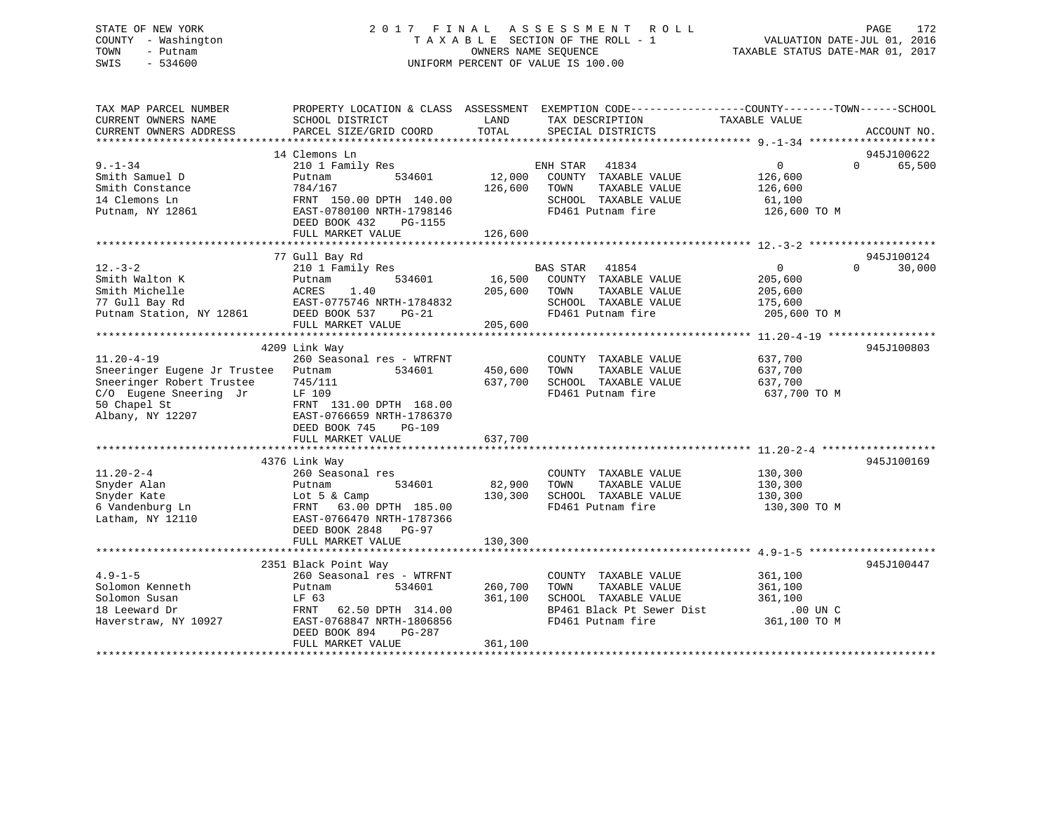## STATE OF NEW YORK 2 0 1 7 F I N A L A S S E S S M E N T R O L L PAGE 172 COUNTY - Washington T A X A B L E SECTION OF THE ROLL - 1 VALUATION DATE-JUL 01, 2016 TOWN - Putnam OWNERS NAME SEQUENCE TAXABLE STATUS DATE-MAR 01, 2017 SWIS - 534600 UNIFORM PERCENT OF VALUE IS 100.00

| SCHOOL DISTRICT                                                                                                                                              | LAND                                                                                                                                                         | TAX DESCRIPTION                                                                                     | TAXABLE VALUE                                                                                                    |                                                                                                      |
|--------------------------------------------------------------------------------------------------------------------------------------------------------------|--------------------------------------------------------------------------------------------------------------------------------------------------------------|-----------------------------------------------------------------------------------------------------|------------------------------------------------------------------------------------------------------------------|------------------------------------------------------------------------------------------------------|
|                                                                                                                                                              |                                                                                                                                                              |                                                                                                     |                                                                                                                  | ACCOUNT NO.                                                                                          |
|                                                                                                                                                              |                                                                                                                                                              |                                                                                                     |                                                                                                                  | 945J100622                                                                                           |
| 210 1 Family Res<br>534601<br>Putnam<br>784/167<br>FRNT 150.00 DPTH 140.00<br>EAST-0780100 NRTH-1798146<br>DEED BOOK 432<br>PG-1155<br>FULL MARKET VALUE     | 12,000<br>126,600<br>126,600                                                                                                                                 | 41834<br>COUNTY TAXABLE VALUE<br>TOWN<br>TAXABLE VALUE<br>SCHOOL TAXABLE VALUE<br>FD461 Putnam fire | $\overline{0}$<br>126,600<br>126,600<br>61,100<br>126,600 TO M                                                   | $\Omega$<br>65,500                                                                                   |
|                                                                                                                                                              |                                                                                                                                                              |                                                                                                     |                                                                                                                  | 945J100124                                                                                           |
| 210 1 Family Res<br>534601<br>Putnam<br>ACRES<br>1.40<br>EAST-0775746 NRTH-1784832<br>DEED BOOK 537<br>$PG-21$<br>FULL MARKET VALUE                          | 16,500<br>205,600<br>205,600                                                                                                                                 | 41854<br>COUNTY TAXABLE VALUE<br>TOWN<br>TAXABLE VALUE<br>SCHOOL TAXABLE VALUE<br>FD461 Putnam fire | $\overline{0}$<br>205,600<br>205,600<br>175,600<br>205,600 TO M                                                  | 30,000<br>$\Omega$                                                                                   |
|                                                                                                                                                              |                                                                                                                                                              |                                                                                                     |                                                                                                                  | 945J100803                                                                                           |
| 260 Seasonal res - WTRFNT<br>534601<br>Putnam<br>745/111<br>LF 109<br>FRNT 131.00 DPTH 168.00<br>EAST-0766659 NRTH-1786370<br>DEED BOOK 745<br><b>PG-109</b> | 450,600<br>637,700                                                                                                                                           | COUNTY TAXABLE VALUE<br>TAXABLE VALUE<br>TOWN<br>SCHOOL TAXABLE VALUE<br>FD461 Putnam fire          | 637,700<br>637,700<br>637,700<br>637,700 TO M                                                                    |                                                                                                      |
| FULL MARKET VALUE                                                                                                                                            | 637,700                                                                                                                                                      |                                                                                                     |                                                                                                                  |                                                                                                      |
|                                                                                                                                                              |                                                                                                                                                              |                                                                                                     |                                                                                                                  | 945J100169                                                                                           |
| Putnam<br>534601<br>Lot $5 \&$ Camp<br>FRNT 63.00 DPTH 185.00<br>EAST-0766470 NRTH-1787366<br>DEED BOOK 2848 PG-97                                           | 82,900<br>130,300                                                                                                                                            | TOWN<br>TAXABLE VALUE<br>SCHOOL TAXABLE VALUE<br>FD461 Putnam fire                                  | 130,300<br>130,300<br>130,300 TO M                                                                               |                                                                                                      |
|                                                                                                                                                              |                                                                                                                                                              |                                                                                                     |                                                                                                                  |                                                                                                      |
| 260 Seasonal res - WTRFNT                                                                                                                                    |                                                                                                                                                              | COUNTY TAXABLE VALUE                                                                                | 361,100                                                                                                          | 945J100447                                                                                           |
| Putnam<br>534601<br>LF 63<br>FRNT<br>62.50 DPTH 314.00<br>EAST-0768847 NRTH-1806856<br>DEED BOOK 894<br>PG-287<br>FULL MARKET VALUE                          | 260,700<br>361,100<br>361,100                                                                                                                                | TAXABLE VALUE<br>TOWN<br>SCHOOL TAXABLE VALUE<br>FD461 Putnam fire                                  | 361,100<br>361,100<br>$.00$ UN C<br>361,100 TO M                                                                 |                                                                                                      |
|                                                                                                                                                              | PARCEL SIZE/GRID COORD<br>14 Clemons Ln<br>77 Gull Bay Rd<br>4209 Link Way<br>4376 Link Way<br>260 Seasonal res<br>FULL MARKET VALUE<br>2351 Black Point Way | TOTAL<br>130,300                                                                                    | PROPERTY LOCATION & CLASS ASSESSMENT<br>SPECIAL DISTRICTS<br>ENH STAR<br><b>BAS STAR</b><br>COUNTY TAXABLE VALUE | EXEMPTION CODE-----------------COUNTY-------TOWN------SCHOOL<br>130,300<br>BP461 Black Pt Sewer Dist |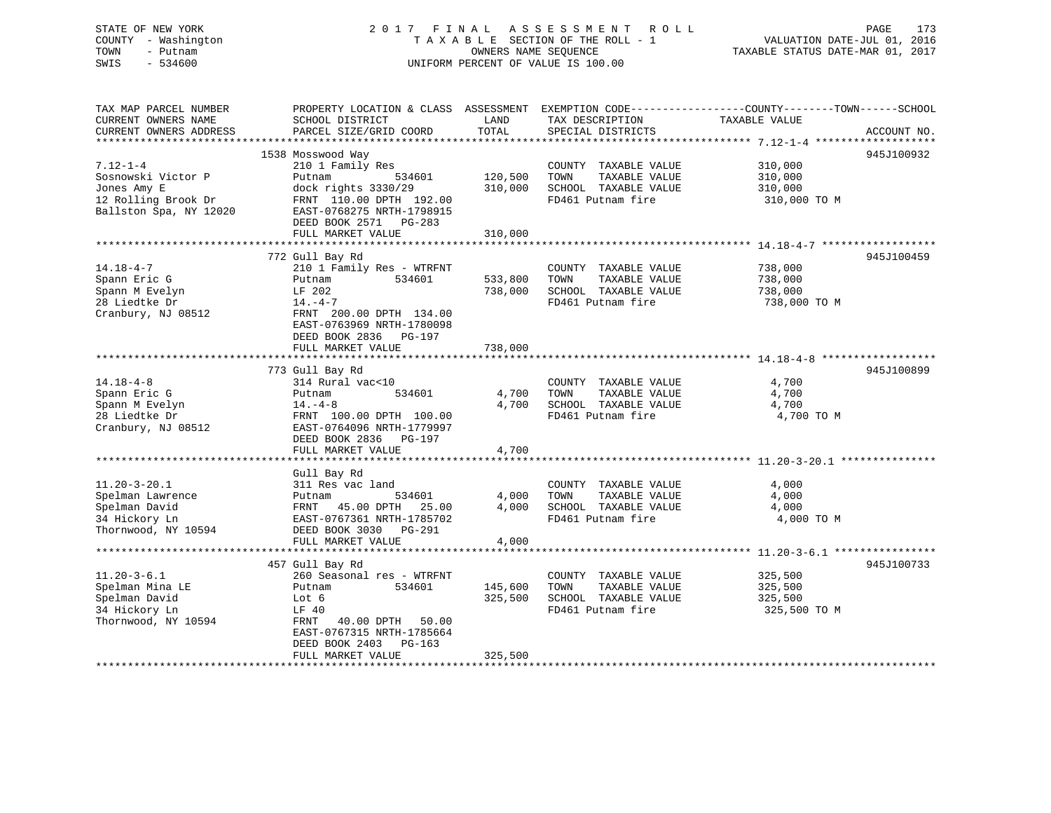# STATE OF NEW YORK 2017 FINAL ASSESSMENT ROLL PAGE 173 COUNTY - Washington  $T A X A B L E$  SECTION OF THE ROLL - 1<br>TOWN - Putnam data of the COUNTERS NAME SEQUENCE SWIS - 534600 UNIFORM PERCENT OF VALUE IS 100.00

VALUATION DATE-JUL 01, 2016

TAXABLE STATUS DATE-MAR 01, 2017

| TAX MAP PARCEL NUMBER<br>CURRENT OWNERS NAME<br>CURRENT OWNERS ADDRESS                               | PROPERTY LOCATION & CLASS ASSESSMENT<br>SCHOOL DISTRICT                                                                                                                                          | LAND<br>TOTAL                 | TAX DESCRIPTION                                                                            | EXEMPTION CODE----------------COUNTY-------TOWN------SCHOOL<br>TAXABLE VALUE | ACCOUNT NO. |
|------------------------------------------------------------------------------------------------------|--------------------------------------------------------------------------------------------------------------------------------------------------------------------------------------------------|-------------------------------|--------------------------------------------------------------------------------------------|------------------------------------------------------------------------------|-------------|
|                                                                                                      | PARCEL SIZE/GRID COORD                                                                                                                                                                           |                               | SPECIAL DISTRICTS                                                                          |                                                                              |             |
|                                                                                                      | 1538 Mosswood Way                                                                                                                                                                                |                               |                                                                                            |                                                                              | 945J100932  |
| $7.12 - 1 - 4$<br>Sosnowski Victor P<br>Jones Amy E<br>12 Rolling Brook Dr<br>Ballston Spa, NY 12020 | 210 1 Family Res<br>Putnam<br>534601<br>dock rights 3330/29<br>FRNT 110.00 DPTH 192.00<br>EAST-0768275 NRTH-1798915<br>DEED BOOK 2571 PG-283                                                     | 120,500<br>310,000            | COUNTY TAXABLE VALUE<br>TOWN<br>TAXABLE VALUE<br>SCHOOL TAXABLE VALUE<br>FD461 Putnam fire | 310,000<br>310,000<br>310,000<br>310,000 TO M                                |             |
|                                                                                                      | FULL MARKET VALUE                                                                                                                                                                                | 310,000                       |                                                                                            |                                                                              |             |
|                                                                                                      |                                                                                                                                                                                                  |                               |                                                                                            |                                                                              |             |
| $14.18 - 4 - 7$<br>Spann Eric G<br>Spann M Evelyn<br>28 Liedtke Dr<br>Cranbury, NJ 08512             | 772 Gull Bay Rd<br>210 1 Family Res - WTRFNT<br>534601<br>Putnam<br>LF 202<br>$14. -4 - 7$<br>FRNT 200.00 DPTH 134.00<br>EAST-0763969 NRTH-1780098<br>DEED BOOK 2836 PG-197<br>FULL MARKET VALUE | 533,800<br>738,000<br>738,000 | COUNTY TAXABLE VALUE<br>TOWN<br>TAXABLE VALUE<br>SCHOOL TAXABLE VALUE<br>FD461 Putnam fire | 738,000<br>738,000<br>738,000<br>738,000 TO M                                | 945J100459  |
|                                                                                                      |                                                                                                                                                                                                  |                               |                                                                                            |                                                                              |             |
| $14.18 - 4 - 8$<br>Spann Eric G<br>Spann M Evelyn<br>28 Liedtke Dr<br>Cranbury, NJ 08512             | 773 Gull Bay Rd<br>314 Rural vac<10<br>Putnam<br>534601<br>$14. -4 - 8$<br>FRNT 100.00 DPTH 100.00<br>EAST-0764096 NRTH-1779997<br>DEED BOOK 2836 PG-197<br>FULL MARKET VALUE                    | 4,700<br>4,700<br>4,700       | COUNTY TAXABLE VALUE<br>TAXABLE VALUE<br>TOWN<br>SCHOOL TAXABLE VALUE<br>FD461 Putnam fire | 4,700<br>4,700<br>4,700<br>4,700 TO M                                        | 945J100899  |
|                                                                                                      | Gull Bay Rd                                                                                                                                                                                      |                               |                                                                                            |                                                                              |             |
| $11.20 - 3 - 20.1$<br>Spelman Lawrence<br>Spelman David<br>34 Hickory Ln<br>Thornwood, NY 10594      | 311 Res vac land<br>534601<br>Putnam<br>FRNT 45.00 DPTH 25.00<br>EAST-0767361 NRTH-1785702<br>DEED BOOK 3030 PG-291                                                                              | 4,000<br>4,000                | COUNTY TAXABLE VALUE<br>TOWN<br>TAXABLE VALUE<br>SCHOOL TAXABLE VALUE<br>FD461 Putnam fire | 4,000<br>4,000<br>4,000<br>4,000 TO M                                        |             |
|                                                                                                      | FULL MARKET VALUE                                                                                                                                                                                | 4,000                         |                                                                                            |                                                                              |             |
|                                                                                                      |                                                                                                                                                                                                  |                               |                                                                                            |                                                                              |             |
| $11.20 - 3 - 6.1$<br>Spelman Mina LE<br>Spelman David<br>34 Hickory Ln<br>Thornwood, NY 10594        | 457 Gull Bay Rd<br>260 Seasonal res - WTRFNT<br>Putnam<br>534601<br>Lot 6<br>LF 40<br>FRNT<br>40.00 DPTH 50.00<br>EAST-0767315 NRTH-1785664<br>DEED BOOK 2403 PG-163<br>FULL MARKET VALUE        | 145,600<br>325,500<br>325,500 | COUNTY TAXABLE VALUE<br>TAXABLE VALUE<br>TOWN<br>SCHOOL TAXABLE VALUE<br>FD461 Putnam fire | 325,500<br>325,500<br>325,500<br>325,500 TO M                                | 945J100733  |
|                                                                                                      |                                                                                                                                                                                                  |                               | *****************************                                                              |                                                                              |             |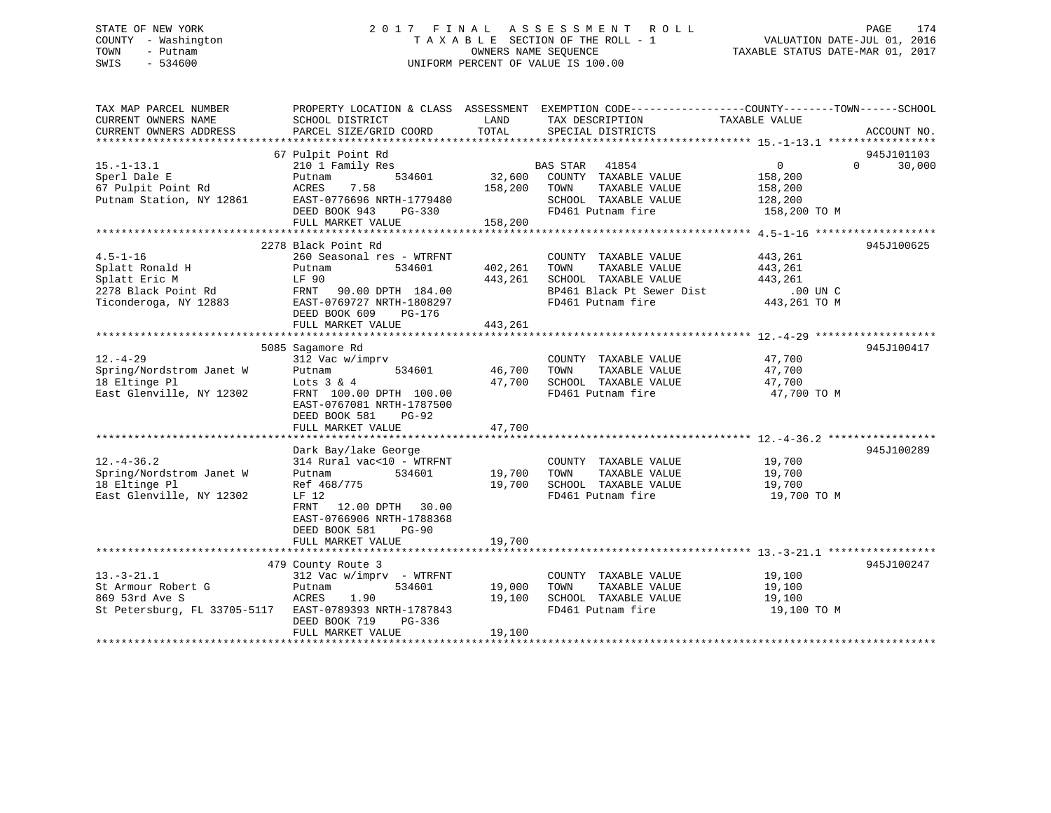## STATE OF NEW YORK 2 0 1 7 F I N A L A S S E S S M E N T R O L L PAGE 174 COUNTY - Washington T A X A B L E SECTION OF THE ROLL - 1 VALUATION DATE-JUL 01, 2016 TOWN - Putnam OWNERS NAME SEQUENCE TAXABLE STATUS DATE-MAR 01, 2017 SWIS - 534600 UNIFORM PERCENT OF VALUE IS 100.00

| 67 Pulpit Point Rd<br>945J101103<br>$0 \qquad \qquad$<br>30,000<br>$15.-1-13.1$<br>210 1 Family Res<br>BAS STAR<br>41854<br>$\Omega$<br>534601<br>32,600<br>COUNTY TAXABLE VALUE<br>Sperl Dale E<br>158,200<br>Putnam<br>67 Pulpit Point Rd<br>ACRES<br>7.58<br>158,200<br>TOWN<br>TAXABLE VALUE<br>158,200<br>Putnam Station, NY 12861<br>EAST-0776696 NRTH-1779480<br>SCHOOL TAXABLE VALUE<br>128,200<br>FD461 Putnam fire<br>DEED BOOK 943<br>158,200 TO M<br>PG-330<br>FULL MARKET VALUE<br>158,200<br>2278 Black Point Rd<br>945J100625<br>$4.5 - 1 - 16$<br>260 Seasonal res - WTRFNT<br>COUNTY TAXABLE VALUE<br>443,261<br>Splatt Ronald H<br>534601<br>402,261<br>TOWN<br>TAXABLE VALUE<br>Putnam<br>443,261<br>Splatt Eric M<br>LF 90<br>443,261<br>SCHOOL TAXABLE VALUE<br>443,261<br>2278 Black Point Rd<br>BP461 Black Pt Sewer Dist<br>$.00$ UN C<br>FRNT<br>90.00 DPTH 184.00<br>Ticonderoga, NY 12883<br>FD461 Putnam fire<br>443,261 TO M<br>EAST-0769727 NRTH-1808297<br>DEED BOOK 609<br>PG-176<br>FULL MARKET VALUE<br>443,261<br>5085 Sagamore Rd<br>945J100417<br>$12. - 4 - 29$<br>312 Vac w/imprv<br>47,700<br>COUNTY TAXABLE VALUE<br>Spring/Nordstrom Janet W<br>534601<br>46,700<br>TOWN<br>TAXABLE VALUE<br>47,700<br>Putnam<br>18 Eltinge Pl<br>47,700<br>SCHOOL TAXABLE VALUE<br>47,700<br>Lots $3 \& 4$<br>East Glenville, NY 12302<br>FD461 Putnam fire<br>FRNT 100.00 DPTH 100.00<br>47,700 TO M<br>EAST-0767081 NRTH-1787500<br>DEED BOOK 581<br>$PG-92$<br>FULL MARKET VALUE<br>47,700<br>Dark Bay/lake George<br>945J100289<br>$12. - 4 - 36.2$<br>314 Rural vac<10 - WTRFNT<br>19,700<br>COUNTY TAXABLE VALUE<br>TAXABLE VALUE<br>Spring/Nordstrom Janet W<br>534601<br>19,700<br>TOWN<br>19,700<br>Putnam<br>18 Eltinge Pl<br>19,700<br>SCHOOL TAXABLE VALUE<br>19,700<br>Ref 468/775<br>East Glenville, NY 12302<br>FD461 Putnam fire<br>19,700 TO M<br>LF 12<br>FRNT<br>12.00 DPTH 30.00<br>EAST-0766906 NRTH-1788368<br>DEED BOOK 581<br>$PG-90$<br>19,700<br>FULL MARKET VALUE<br>945J100247<br>479 County Route 3<br>$13. - 3 - 21.1$<br>19,100<br>312 Vac w/imprv - WTRFNT<br>COUNTY TAXABLE VALUE<br>St Armour Robert G<br>534601<br>19,000<br>TOWN<br>TAXABLE VALUE<br>19,100<br>Putnam<br>869 53rd Ave S<br>ACRES<br>1.90<br>19,100<br>SCHOOL TAXABLE VALUE<br>19,100<br>St Petersburg, FL 33705-5117<br>FD461 Putnam fire<br>EAST-0789393 NRTH-1787843<br>19,100 TO M<br>DEED BOOK 719<br>PG-336<br>19,100<br>FULL MARKET VALUE | TAX MAP PARCEL NUMBER<br>CURRENT OWNERS NAME | SCHOOL DISTRICT        | LAND  | PROPERTY LOCATION & CLASS ASSESSMENT EXEMPTION CODE----------------COUNTY-------TOWN-----SCHOOL<br>TAX DESCRIPTION | TAXABLE VALUE |             |
|--------------------------------------------------------------------------------------------------------------------------------------------------------------------------------------------------------------------------------------------------------------------------------------------------------------------------------------------------------------------------------------------------------------------------------------------------------------------------------------------------------------------------------------------------------------------------------------------------------------------------------------------------------------------------------------------------------------------------------------------------------------------------------------------------------------------------------------------------------------------------------------------------------------------------------------------------------------------------------------------------------------------------------------------------------------------------------------------------------------------------------------------------------------------------------------------------------------------------------------------------------------------------------------------------------------------------------------------------------------------------------------------------------------------------------------------------------------------------------------------------------------------------------------------------------------------------------------------------------------------------------------------------------------------------------------------------------------------------------------------------------------------------------------------------------------------------------------------------------------------------------------------------------------------------------------------------------------------------------------------------------------------------------------------------------------------------------------------------------------------------------------------------------------------------------------------------------------------------------------------------------------------------------------------------------------------------------------------------------------------------------------------------------------------------------------------------------------------------------|----------------------------------------------|------------------------|-------|--------------------------------------------------------------------------------------------------------------------|---------------|-------------|
|                                                                                                                                                                                                                                                                                                                                                                                                                                                                                                                                                                                                                                                                                                                                                                                                                                                                                                                                                                                                                                                                                                                                                                                                                                                                                                                                                                                                                                                                                                                                                                                                                                                                                                                                                                                                                                                                                                                                                                                                                                                                                                                                                                                                                                                                                                                                                                                                                                                                                | CURRENT OWNERS ADDRESS                       | PARCEL SIZE/GRID COORD | TOTAL | SPECIAL DISTRICTS                                                                                                  |               | ACCOUNT NO. |
|                                                                                                                                                                                                                                                                                                                                                                                                                                                                                                                                                                                                                                                                                                                                                                                                                                                                                                                                                                                                                                                                                                                                                                                                                                                                                                                                                                                                                                                                                                                                                                                                                                                                                                                                                                                                                                                                                                                                                                                                                                                                                                                                                                                                                                                                                                                                                                                                                                                                                |                                              |                        |       |                                                                                                                    |               |             |
|                                                                                                                                                                                                                                                                                                                                                                                                                                                                                                                                                                                                                                                                                                                                                                                                                                                                                                                                                                                                                                                                                                                                                                                                                                                                                                                                                                                                                                                                                                                                                                                                                                                                                                                                                                                                                                                                                                                                                                                                                                                                                                                                                                                                                                                                                                                                                                                                                                                                                |                                              |                        |       |                                                                                                                    |               |             |
|                                                                                                                                                                                                                                                                                                                                                                                                                                                                                                                                                                                                                                                                                                                                                                                                                                                                                                                                                                                                                                                                                                                                                                                                                                                                                                                                                                                                                                                                                                                                                                                                                                                                                                                                                                                                                                                                                                                                                                                                                                                                                                                                                                                                                                                                                                                                                                                                                                                                                |                                              |                        |       |                                                                                                                    |               |             |
|                                                                                                                                                                                                                                                                                                                                                                                                                                                                                                                                                                                                                                                                                                                                                                                                                                                                                                                                                                                                                                                                                                                                                                                                                                                                                                                                                                                                                                                                                                                                                                                                                                                                                                                                                                                                                                                                                                                                                                                                                                                                                                                                                                                                                                                                                                                                                                                                                                                                                |                                              |                        |       |                                                                                                                    |               |             |
|                                                                                                                                                                                                                                                                                                                                                                                                                                                                                                                                                                                                                                                                                                                                                                                                                                                                                                                                                                                                                                                                                                                                                                                                                                                                                                                                                                                                                                                                                                                                                                                                                                                                                                                                                                                                                                                                                                                                                                                                                                                                                                                                                                                                                                                                                                                                                                                                                                                                                |                                              |                        |       |                                                                                                                    |               |             |
|                                                                                                                                                                                                                                                                                                                                                                                                                                                                                                                                                                                                                                                                                                                                                                                                                                                                                                                                                                                                                                                                                                                                                                                                                                                                                                                                                                                                                                                                                                                                                                                                                                                                                                                                                                                                                                                                                                                                                                                                                                                                                                                                                                                                                                                                                                                                                                                                                                                                                |                                              |                        |       |                                                                                                                    |               |             |
|                                                                                                                                                                                                                                                                                                                                                                                                                                                                                                                                                                                                                                                                                                                                                                                                                                                                                                                                                                                                                                                                                                                                                                                                                                                                                                                                                                                                                                                                                                                                                                                                                                                                                                                                                                                                                                                                                                                                                                                                                                                                                                                                                                                                                                                                                                                                                                                                                                                                                |                                              |                        |       |                                                                                                                    |               |             |
|                                                                                                                                                                                                                                                                                                                                                                                                                                                                                                                                                                                                                                                                                                                                                                                                                                                                                                                                                                                                                                                                                                                                                                                                                                                                                                                                                                                                                                                                                                                                                                                                                                                                                                                                                                                                                                                                                                                                                                                                                                                                                                                                                                                                                                                                                                                                                                                                                                                                                |                                              |                        |       |                                                                                                                    |               |             |
|                                                                                                                                                                                                                                                                                                                                                                                                                                                                                                                                                                                                                                                                                                                                                                                                                                                                                                                                                                                                                                                                                                                                                                                                                                                                                                                                                                                                                                                                                                                                                                                                                                                                                                                                                                                                                                                                                                                                                                                                                                                                                                                                                                                                                                                                                                                                                                                                                                                                                |                                              |                        |       |                                                                                                                    |               |             |
|                                                                                                                                                                                                                                                                                                                                                                                                                                                                                                                                                                                                                                                                                                                                                                                                                                                                                                                                                                                                                                                                                                                                                                                                                                                                                                                                                                                                                                                                                                                                                                                                                                                                                                                                                                                                                                                                                                                                                                                                                                                                                                                                                                                                                                                                                                                                                                                                                                                                                |                                              |                        |       |                                                                                                                    |               |             |
|                                                                                                                                                                                                                                                                                                                                                                                                                                                                                                                                                                                                                                                                                                                                                                                                                                                                                                                                                                                                                                                                                                                                                                                                                                                                                                                                                                                                                                                                                                                                                                                                                                                                                                                                                                                                                                                                                                                                                                                                                                                                                                                                                                                                                                                                                                                                                                                                                                                                                |                                              |                        |       |                                                                                                                    |               |             |
|                                                                                                                                                                                                                                                                                                                                                                                                                                                                                                                                                                                                                                                                                                                                                                                                                                                                                                                                                                                                                                                                                                                                                                                                                                                                                                                                                                                                                                                                                                                                                                                                                                                                                                                                                                                                                                                                                                                                                                                                                                                                                                                                                                                                                                                                                                                                                                                                                                                                                |                                              |                        |       |                                                                                                                    |               |             |
|                                                                                                                                                                                                                                                                                                                                                                                                                                                                                                                                                                                                                                                                                                                                                                                                                                                                                                                                                                                                                                                                                                                                                                                                                                                                                                                                                                                                                                                                                                                                                                                                                                                                                                                                                                                                                                                                                                                                                                                                                                                                                                                                                                                                                                                                                                                                                                                                                                                                                |                                              |                        |       |                                                                                                                    |               |             |
|                                                                                                                                                                                                                                                                                                                                                                                                                                                                                                                                                                                                                                                                                                                                                                                                                                                                                                                                                                                                                                                                                                                                                                                                                                                                                                                                                                                                                                                                                                                                                                                                                                                                                                                                                                                                                                                                                                                                                                                                                                                                                                                                                                                                                                                                                                                                                                                                                                                                                |                                              |                        |       |                                                                                                                    |               |             |
|                                                                                                                                                                                                                                                                                                                                                                                                                                                                                                                                                                                                                                                                                                                                                                                                                                                                                                                                                                                                                                                                                                                                                                                                                                                                                                                                                                                                                                                                                                                                                                                                                                                                                                                                                                                                                                                                                                                                                                                                                                                                                                                                                                                                                                                                                                                                                                                                                                                                                |                                              |                        |       |                                                                                                                    |               |             |
|                                                                                                                                                                                                                                                                                                                                                                                                                                                                                                                                                                                                                                                                                                                                                                                                                                                                                                                                                                                                                                                                                                                                                                                                                                                                                                                                                                                                                                                                                                                                                                                                                                                                                                                                                                                                                                                                                                                                                                                                                                                                                                                                                                                                                                                                                                                                                                                                                                                                                |                                              |                        |       |                                                                                                                    |               |             |
|                                                                                                                                                                                                                                                                                                                                                                                                                                                                                                                                                                                                                                                                                                                                                                                                                                                                                                                                                                                                                                                                                                                                                                                                                                                                                                                                                                                                                                                                                                                                                                                                                                                                                                                                                                                                                                                                                                                                                                                                                                                                                                                                                                                                                                                                                                                                                                                                                                                                                |                                              |                        |       |                                                                                                                    |               |             |
|                                                                                                                                                                                                                                                                                                                                                                                                                                                                                                                                                                                                                                                                                                                                                                                                                                                                                                                                                                                                                                                                                                                                                                                                                                                                                                                                                                                                                                                                                                                                                                                                                                                                                                                                                                                                                                                                                                                                                                                                                                                                                                                                                                                                                                                                                                                                                                                                                                                                                |                                              |                        |       |                                                                                                                    |               |             |
|                                                                                                                                                                                                                                                                                                                                                                                                                                                                                                                                                                                                                                                                                                                                                                                                                                                                                                                                                                                                                                                                                                                                                                                                                                                                                                                                                                                                                                                                                                                                                                                                                                                                                                                                                                                                                                                                                                                                                                                                                                                                                                                                                                                                                                                                                                                                                                                                                                                                                |                                              |                        |       |                                                                                                                    |               |             |
|                                                                                                                                                                                                                                                                                                                                                                                                                                                                                                                                                                                                                                                                                                                                                                                                                                                                                                                                                                                                                                                                                                                                                                                                                                                                                                                                                                                                                                                                                                                                                                                                                                                                                                                                                                                                                                                                                                                                                                                                                                                                                                                                                                                                                                                                                                                                                                                                                                                                                |                                              |                        |       |                                                                                                                    |               |             |
|                                                                                                                                                                                                                                                                                                                                                                                                                                                                                                                                                                                                                                                                                                                                                                                                                                                                                                                                                                                                                                                                                                                                                                                                                                                                                                                                                                                                                                                                                                                                                                                                                                                                                                                                                                                                                                                                                                                                                                                                                                                                                                                                                                                                                                                                                                                                                                                                                                                                                |                                              |                        |       |                                                                                                                    |               |             |
|                                                                                                                                                                                                                                                                                                                                                                                                                                                                                                                                                                                                                                                                                                                                                                                                                                                                                                                                                                                                                                                                                                                                                                                                                                                                                                                                                                                                                                                                                                                                                                                                                                                                                                                                                                                                                                                                                                                                                                                                                                                                                                                                                                                                                                                                                                                                                                                                                                                                                |                                              |                        |       |                                                                                                                    |               |             |
|                                                                                                                                                                                                                                                                                                                                                                                                                                                                                                                                                                                                                                                                                                                                                                                                                                                                                                                                                                                                                                                                                                                                                                                                                                                                                                                                                                                                                                                                                                                                                                                                                                                                                                                                                                                                                                                                                                                                                                                                                                                                                                                                                                                                                                                                                                                                                                                                                                                                                |                                              |                        |       |                                                                                                                    |               |             |
|                                                                                                                                                                                                                                                                                                                                                                                                                                                                                                                                                                                                                                                                                                                                                                                                                                                                                                                                                                                                                                                                                                                                                                                                                                                                                                                                                                                                                                                                                                                                                                                                                                                                                                                                                                                                                                                                                                                                                                                                                                                                                                                                                                                                                                                                                                                                                                                                                                                                                |                                              |                        |       |                                                                                                                    |               |             |
|                                                                                                                                                                                                                                                                                                                                                                                                                                                                                                                                                                                                                                                                                                                                                                                                                                                                                                                                                                                                                                                                                                                                                                                                                                                                                                                                                                                                                                                                                                                                                                                                                                                                                                                                                                                                                                                                                                                                                                                                                                                                                                                                                                                                                                                                                                                                                                                                                                                                                |                                              |                        |       |                                                                                                                    |               |             |
|                                                                                                                                                                                                                                                                                                                                                                                                                                                                                                                                                                                                                                                                                                                                                                                                                                                                                                                                                                                                                                                                                                                                                                                                                                                                                                                                                                                                                                                                                                                                                                                                                                                                                                                                                                                                                                                                                                                                                                                                                                                                                                                                                                                                                                                                                                                                                                                                                                                                                |                                              |                        |       |                                                                                                                    |               |             |
|                                                                                                                                                                                                                                                                                                                                                                                                                                                                                                                                                                                                                                                                                                                                                                                                                                                                                                                                                                                                                                                                                                                                                                                                                                                                                                                                                                                                                                                                                                                                                                                                                                                                                                                                                                                                                                                                                                                                                                                                                                                                                                                                                                                                                                                                                                                                                                                                                                                                                |                                              |                        |       |                                                                                                                    |               |             |
|                                                                                                                                                                                                                                                                                                                                                                                                                                                                                                                                                                                                                                                                                                                                                                                                                                                                                                                                                                                                                                                                                                                                                                                                                                                                                                                                                                                                                                                                                                                                                                                                                                                                                                                                                                                                                                                                                                                                                                                                                                                                                                                                                                                                                                                                                                                                                                                                                                                                                |                                              |                        |       |                                                                                                                    |               |             |
|                                                                                                                                                                                                                                                                                                                                                                                                                                                                                                                                                                                                                                                                                                                                                                                                                                                                                                                                                                                                                                                                                                                                                                                                                                                                                                                                                                                                                                                                                                                                                                                                                                                                                                                                                                                                                                                                                                                                                                                                                                                                                                                                                                                                                                                                                                                                                                                                                                                                                |                                              |                        |       |                                                                                                                    |               |             |
|                                                                                                                                                                                                                                                                                                                                                                                                                                                                                                                                                                                                                                                                                                                                                                                                                                                                                                                                                                                                                                                                                                                                                                                                                                                                                                                                                                                                                                                                                                                                                                                                                                                                                                                                                                                                                                                                                                                                                                                                                                                                                                                                                                                                                                                                                                                                                                                                                                                                                |                                              |                        |       |                                                                                                                    |               |             |
|                                                                                                                                                                                                                                                                                                                                                                                                                                                                                                                                                                                                                                                                                                                                                                                                                                                                                                                                                                                                                                                                                                                                                                                                                                                                                                                                                                                                                                                                                                                                                                                                                                                                                                                                                                                                                                                                                                                                                                                                                                                                                                                                                                                                                                                                                                                                                                                                                                                                                |                                              |                        |       |                                                                                                                    |               |             |
|                                                                                                                                                                                                                                                                                                                                                                                                                                                                                                                                                                                                                                                                                                                                                                                                                                                                                                                                                                                                                                                                                                                                                                                                                                                                                                                                                                                                                                                                                                                                                                                                                                                                                                                                                                                                                                                                                                                                                                                                                                                                                                                                                                                                                                                                                                                                                                                                                                                                                |                                              |                        |       |                                                                                                                    |               |             |
|                                                                                                                                                                                                                                                                                                                                                                                                                                                                                                                                                                                                                                                                                                                                                                                                                                                                                                                                                                                                                                                                                                                                                                                                                                                                                                                                                                                                                                                                                                                                                                                                                                                                                                                                                                                                                                                                                                                                                                                                                                                                                                                                                                                                                                                                                                                                                                                                                                                                                |                                              |                        |       |                                                                                                                    |               |             |
|                                                                                                                                                                                                                                                                                                                                                                                                                                                                                                                                                                                                                                                                                                                                                                                                                                                                                                                                                                                                                                                                                                                                                                                                                                                                                                                                                                                                                                                                                                                                                                                                                                                                                                                                                                                                                                                                                                                                                                                                                                                                                                                                                                                                                                                                                                                                                                                                                                                                                |                                              |                        |       |                                                                                                                    |               |             |
|                                                                                                                                                                                                                                                                                                                                                                                                                                                                                                                                                                                                                                                                                                                                                                                                                                                                                                                                                                                                                                                                                                                                                                                                                                                                                                                                                                                                                                                                                                                                                                                                                                                                                                                                                                                                                                                                                                                                                                                                                                                                                                                                                                                                                                                                                                                                                                                                                                                                                |                                              |                        |       |                                                                                                                    |               |             |
|                                                                                                                                                                                                                                                                                                                                                                                                                                                                                                                                                                                                                                                                                                                                                                                                                                                                                                                                                                                                                                                                                                                                                                                                                                                                                                                                                                                                                                                                                                                                                                                                                                                                                                                                                                                                                                                                                                                                                                                                                                                                                                                                                                                                                                                                                                                                                                                                                                                                                |                                              |                        |       |                                                                                                                    |               |             |
|                                                                                                                                                                                                                                                                                                                                                                                                                                                                                                                                                                                                                                                                                                                                                                                                                                                                                                                                                                                                                                                                                                                                                                                                                                                                                                                                                                                                                                                                                                                                                                                                                                                                                                                                                                                                                                                                                                                                                                                                                                                                                                                                                                                                                                                                                                                                                                                                                                                                                |                                              |                        |       |                                                                                                                    |               |             |
|                                                                                                                                                                                                                                                                                                                                                                                                                                                                                                                                                                                                                                                                                                                                                                                                                                                                                                                                                                                                                                                                                                                                                                                                                                                                                                                                                                                                                                                                                                                                                                                                                                                                                                                                                                                                                                                                                                                                                                                                                                                                                                                                                                                                                                                                                                                                                                                                                                                                                |                                              |                        |       |                                                                                                                    |               |             |
|                                                                                                                                                                                                                                                                                                                                                                                                                                                                                                                                                                                                                                                                                                                                                                                                                                                                                                                                                                                                                                                                                                                                                                                                                                                                                                                                                                                                                                                                                                                                                                                                                                                                                                                                                                                                                                                                                                                                                                                                                                                                                                                                                                                                                                                                                                                                                                                                                                                                                |                                              |                        |       |                                                                                                                    |               |             |
|                                                                                                                                                                                                                                                                                                                                                                                                                                                                                                                                                                                                                                                                                                                                                                                                                                                                                                                                                                                                                                                                                                                                                                                                                                                                                                                                                                                                                                                                                                                                                                                                                                                                                                                                                                                                                                                                                                                                                                                                                                                                                                                                                                                                                                                                                                                                                                                                                                                                                |                                              |                        |       |                                                                                                                    |               |             |
|                                                                                                                                                                                                                                                                                                                                                                                                                                                                                                                                                                                                                                                                                                                                                                                                                                                                                                                                                                                                                                                                                                                                                                                                                                                                                                                                                                                                                                                                                                                                                                                                                                                                                                                                                                                                                                                                                                                                                                                                                                                                                                                                                                                                                                                                                                                                                                                                                                                                                |                                              |                        |       |                                                                                                                    |               |             |
|                                                                                                                                                                                                                                                                                                                                                                                                                                                                                                                                                                                                                                                                                                                                                                                                                                                                                                                                                                                                                                                                                                                                                                                                                                                                                                                                                                                                                                                                                                                                                                                                                                                                                                                                                                                                                                                                                                                                                                                                                                                                                                                                                                                                                                                                                                                                                                                                                                                                                |                                              |                        |       |                                                                                                                    |               |             |
|                                                                                                                                                                                                                                                                                                                                                                                                                                                                                                                                                                                                                                                                                                                                                                                                                                                                                                                                                                                                                                                                                                                                                                                                                                                                                                                                                                                                                                                                                                                                                                                                                                                                                                                                                                                                                                                                                                                                                                                                                                                                                                                                                                                                                                                                                                                                                                                                                                                                                |                                              |                        |       |                                                                                                                    |               |             |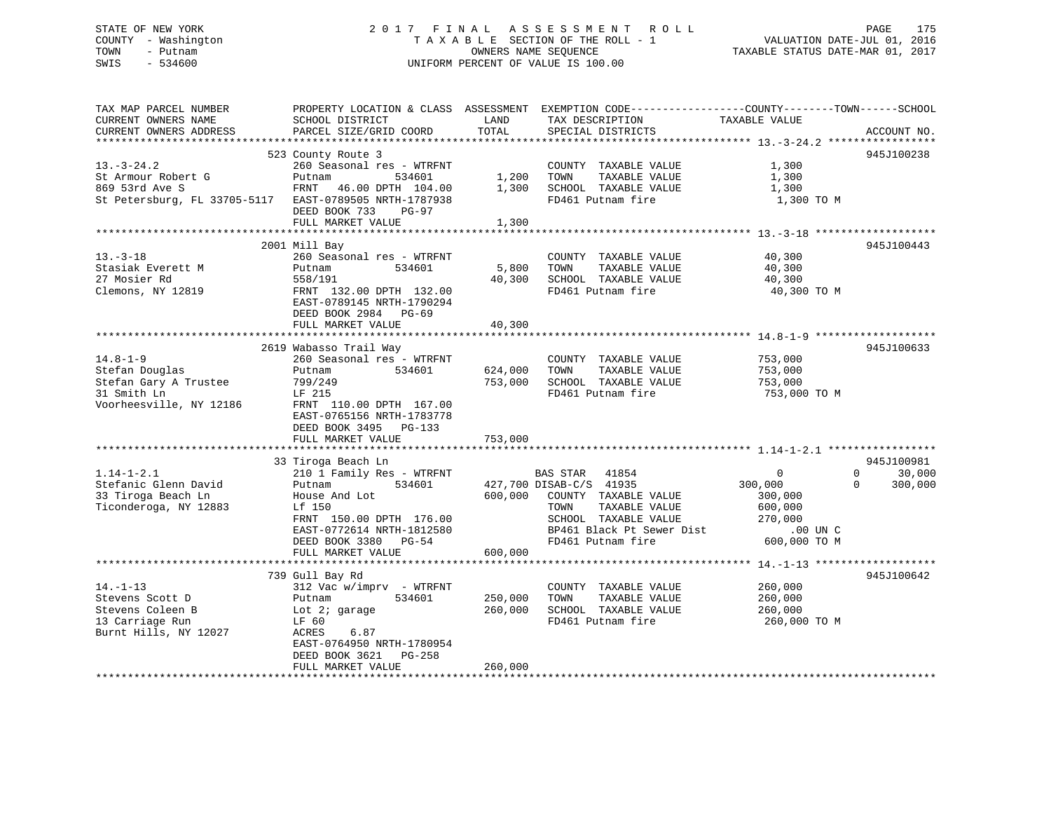## STATE OF NEW YORK 2 0 1 7 F I N A L A S S E S S M E N T R O L L PAGE 175 COUNTY - Washington T A X A B L E SECTION OF THE ROLL - 1 VALUATION DATE-JUL 01, 2016 TOWN - Putnam **CONNERS NAME SEQUENCE** TAXABLE STATUS DATE-MAR 01, 2017 SWIS - 534600 UNIFORM PERCENT OF VALUE IS 100.00

| TAX MAP PARCEL NUMBER<br>CURRENT OWNERS NAME<br>CURRENT OWNERS ADDRESS | PROPERTY LOCATION & CLASS ASSESSMENT<br>SCHOOL DISTRICT<br>PARCEL SIZE/GRID COORD                     | LAND<br>TOTAL      | EXEMPTION CODE-----------------COUNTY-------TOWN------SCHOOL<br>TAX DESCRIPTION<br>SPECIAL DISTRICTS | TAXABLE VALUE              | ACCOUNT NO.                               |
|------------------------------------------------------------------------|-------------------------------------------------------------------------------------------------------|--------------------|------------------------------------------------------------------------------------------------------|----------------------------|-------------------------------------------|
|                                                                        |                                                                                                       |                    |                                                                                                      |                            |                                           |
| $13. - 3 - 24.2$                                                       | 523 County Route 3<br>260 Seasonal res - WTRFNT                                                       |                    | COUNTY TAXABLE VALUE                                                                                 | 1,300                      | 945J100238                                |
| St Armour Robert G<br>869 53rd Ave S                                   | 534601<br>Putnam<br>FRNT 46.00 DPTH 104.00                                                            | 1,200<br>1,300     | TOWN<br>TAXABLE VALUE<br>SCHOOL TAXABLE VALUE                                                        | 1,300<br>1,300             |                                           |
| St Petersburg, FL 33705-5117                                           | EAST-0789505 NRTH-1787938<br>DEED BOOK 733<br>$PG-97$<br>FULL MARKET VALUE                            |                    | FD461 Putnam fire                                                                                    | 1,300 TO M                 |                                           |
|                                                                        |                                                                                                       | 1,300              |                                                                                                      |                            |                                           |
|                                                                        | 2001 Mill Bay                                                                                         |                    |                                                                                                      |                            | 945J100443                                |
| $13. - 3 - 18$<br>Stasiak Everett M<br>27 Mosier Rd                    | 260 Seasonal res - WTRFNT<br>Putnam<br>534601<br>558/191                                              | 5,800<br>40,300    | COUNTY TAXABLE VALUE<br>TOWN<br>TAXABLE VALUE<br>SCHOOL TAXABLE VALUE                                | 40,300<br>40,300<br>40,300 |                                           |
| Clemons, NY 12819                                                      | FRNT 132.00 DPTH 132.00<br>EAST-0789145 NRTH-1790294<br>DEED BOOK 2984 PG-69                          |                    | FD461 Putnam fire                                                                                    | 40,300 TO M                |                                           |
|                                                                        | FULL MARKET VALUE                                                                                     | 40,300             |                                                                                                      |                            |                                           |
|                                                                        |                                                                                                       |                    |                                                                                                      |                            |                                           |
|                                                                        | 2619 Wabasso Trail Way                                                                                |                    |                                                                                                      |                            | 945J100633                                |
| $14.8 - 1 - 9$                                                         | 260 Seasonal res - WTRFNT                                                                             |                    | COUNTY TAXABLE VALUE                                                                                 | 753,000                    |                                           |
| Stefan Douglas<br>Stefan Gary A Trustee                                | Putnam<br>534601<br>799/249                                                                           | 624,000<br>753,000 | TOWN<br>TAXABLE VALUE<br>SCHOOL TAXABLE VALUE                                                        | 753,000<br>753,000         |                                           |
| 31 Smith Ln                                                            | LF 215                                                                                                |                    | FD461 Putnam fire                                                                                    | 753,000 ТО М               |                                           |
| Voorheesville, NY 12186                                                | FRNT 110.00 DPTH 167.00<br>EAST-0765156 NRTH-1783778<br>DEED BOOK 3495<br>PG-133<br>FULL MARKET VALUE | 753,000            |                                                                                                      |                            |                                           |
|                                                                        |                                                                                                       |                    |                                                                                                      |                            |                                           |
|                                                                        | 33 Tiroga Beach Ln                                                                                    |                    |                                                                                                      |                            | 945J100981                                |
| $1.14 - 1 - 2.1$<br>Stefanic Glenn David                               | 210 1 Family Res - WTRFNT<br>534601<br>Putnam                                                         |                    | 41854<br>BAS STAR<br>427,700 DISAB-C/S 41935                                                         | $\mathbf 0$<br>300,000     | $\Omega$<br>30,000<br>$\Omega$<br>300,000 |
| 33 Tiroga Beach Ln                                                     | House And Lot                                                                                         | 600,000            | COUNTY TAXABLE VALUE                                                                                 | 300,000                    |                                           |
| Ticonderoga, NY 12883                                                  | Lf 150                                                                                                |                    | TOWN<br>TAXABLE VALUE                                                                                | 600,000                    |                                           |
|                                                                        | FRNT 150.00 DPTH 176.00                                                                               |                    | SCHOOL TAXABLE VALUE                                                                                 | 270,000                    |                                           |
|                                                                        | EAST-0772614 NRTH-1812580                                                                             |                    | BP461 Black Pt Sewer Dist                                                                            | $.00$ UN $C$               |                                           |
|                                                                        | DEED BOOK 3380 PG-54                                                                                  |                    | FD461 Putnam fire                                                                                    | 600,000 TO M               |                                           |
|                                                                        | FULL MARKET VALUE                                                                                     | 600,000            |                                                                                                      |                            |                                           |
|                                                                        | 739 Gull Bay Rd                                                                                       |                    |                                                                                                      |                            | 945J100642                                |
| $14. - 1 - 13$                                                         | $312$ Vac w/imprv - WTRFNT                                                                            |                    | COUNTY TAXABLE VALUE                                                                                 | 260,000                    |                                           |
| Stevens Scott D                                                        | 534601<br>Putnam                                                                                      | 250,000            | TOWN<br>TAXABLE VALUE                                                                                | 260,000                    |                                           |
| Stevens Coleen B                                                       | Lot 2; garage                                                                                         | 260,000            | SCHOOL TAXABLE VALUE                                                                                 | 260,000                    |                                           |
| 13 Carriage Run                                                        | LF 60                                                                                                 |                    | FD461 Putnam fire                                                                                    | 260,000 TO M               |                                           |
| Burnt Hills, NY 12027                                                  | ACRES<br>6.87<br>EAST-0764950 NRTH-1780954                                                            |                    |                                                                                                      |                            |                                           |
|                                                                        | DEED BOOK 3621<br>PG-258<br>FULL MARKET VALUE                                                         | 260,000            |                                                                                                      |                            |                                           |
|                                                                        |                                                                                                       |                    |                                                                                                      |                            |                                           |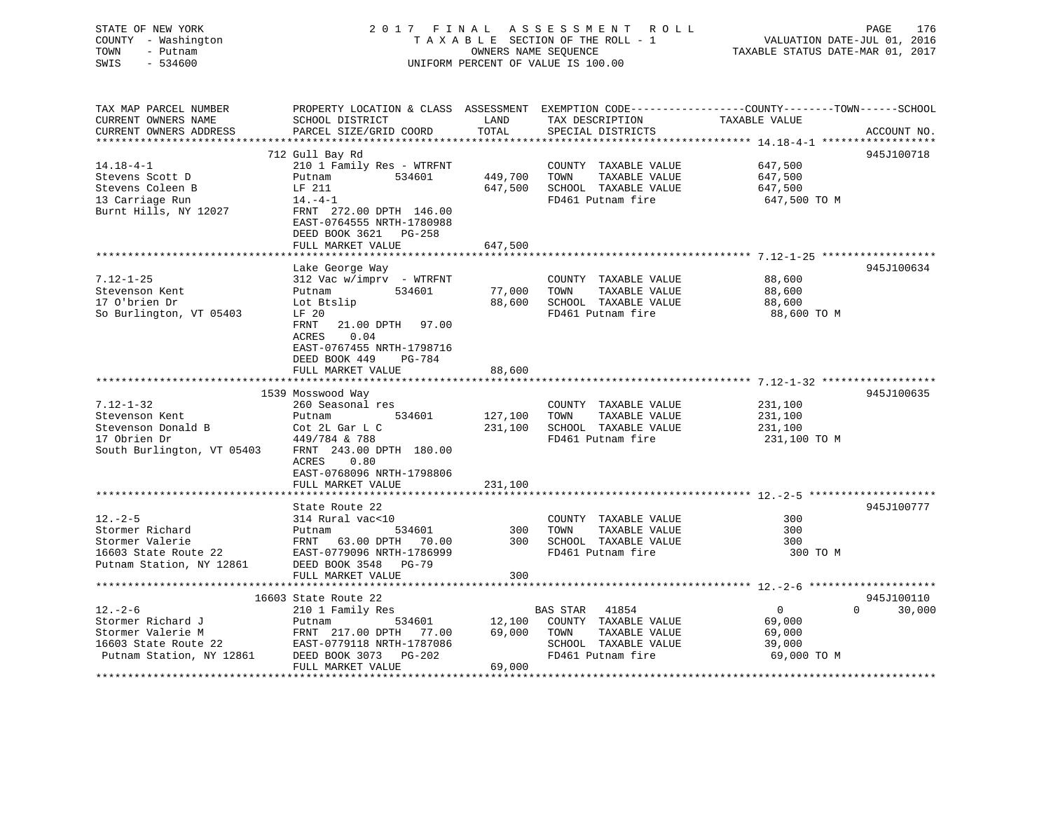| STATE OF NEW YORK<br>COUNTY - Washington<br>TOWN<br>- Putnam<br>SWIS<br>$-534600$ |                                                                                                                        | OWNERS NAME SEQUENCE | 2017 FINAL ASSESSMENT ROLL<br>TAXABLE SECTION OF THE ROLL - 1<br>UNIFORM PERCENT OF VALUE IS 100.00 | PAGE<br>VALUATION DATE-JUL 01, 2016<br>TAXABLE STATUS DATE-MAR 01, 2017                                                        | 176 |
|-----------------------------------------------------------------------------------|------------------------------------------------------------------------------------------------------------------------|----------------------|-----------------------------------------------------------------------------------------------------|--------------------------------------------------------------------------------------------------------------------------------|-----|
| TAX MAP PARCEL NUMBER<br>CURRENT OWNERS NAME<br>CURRENT OWNERS ADDRESS            | SCHOOL DISTRICT<br>PARCEL SIZE/GRID COORD                                                                              | LAND<br>TOTAL        | TAX DESCRIPTION<br>SPECIAL DISTRICTS                                                                | PROPERTY LOCATION & CLASS ASSESSMENT EXEMPTION CODE---------------COUNTY-------TOWN-----SCHOOL<br>TAXABLE VALUE<br>ACCOUNT NO. |     |
|                                                                                   | 712 Gull Bay Rd                                                                                                        |                      |                                                                                                     | 945J100718                                                                                                                     |     |
| $14.18 - 4 - 1$                                                                   | 210 1 Family Res - WTRFNT                                                                                              |                      | COUNTY TAXABLE VALUE                                                                                | 647,500                                                                                                                        |     |
| Stevens Scott D                                                                   | Putnam<br>534601                                                                                                       | 449,700              | TOWN<br>TAXABLE VALUE                                                                               | 647,500                                                                                                                        |     |
| Stevens Coleen B                                                                  | LF 211                                                                                                                 | 647,500              | SCHOOL TAXABLE VALUE                                                                                | 647,500                                                                                                                        |     |
| 13 Carriage Run                                                                   | $14. -4 - 1$                                                                                                           |                      | FD461 Putnam fire                                                                                   | 647,500 TO M                                                                                                                   |     |
| Burnt Hills, NY 12027                                                             | FRNT 272.00 DPTH 146.00<br>EAST-0764555 NRTH-1780988<br>DEED BOOK 3621<br>PG-258<br>FULL MARKET VALUE                  | 647,500              |                                                                                                     |                                                                                                                                |     |
|                                                                                   |                                                                                                                        |                      |                                                                                                     |                                                                                                                                |     |
|                                                                                   | Lake George Way                                                                                                        |                      |                                                                                                     | 945J100634                                                                                                                     |     |
| $7.12 - 1 - 25$                                                                   | 312 Vac w/imprv - WTRFNT                                                                                               |                      | COUNTY TAXABLE VALUE                                                                                | 88,600                                                                                                                         |     |
| Stevenson Kent                                                                    | 534601<br>Putnam                                                                                                       | 77,000               | TOWN<br>TAXABLE VALUE                                                                               | 88,600                                                                                                                         |     |
| 17 O'brien Dr                                                                     | Lot Btslip                                                                                                             | 88,600               | SCHOOL TAXABLE VALUE                                                                                | 88,600                                                                                                                         |     |
| So Burlington, VT 05403                                                           | LF 20                                                                                                                  |                      | FD461 Putnam fire                                                                                   | 88,600 TO M                                                                                                                    |     |
|                                                                                   | FRNT<br>21.00 DPTH 97.00<br>ACRES<br>0.04<br>EAST-0767455 NRTH-1798716<br>DEED BOOK 449<br>PG-784<br>FULL MARKET VALUE | 88,600               |                                                                                                     |                                                                                                                                |     |
|                                                                                   |                                                                                                                        |                      |                                                                                                     |                                                                                                                                |     |
|                                                                                   | 1539 Mosswood Way                                                                                                      |                      |                                                                                                     | 945J100635                                                                                                                     |     |
| $7.12 - 1 - 32$                                                                   | 260 Seasonal res                                                                                                       |                      | COUNTY TAXABLE VALUE                                                                                | 231,100                                                                                                                        |     |
| Stevenson Kent                                                                    | 534601<br>Putnam                                                                                                       | 127,100              | TAXABLE VALUE<br>TOWN                                                                               | 231,100                                                                                                                        |     |
| Stevenson Donald B                                                                | Cot 2L Gar L C                                                                                                         | 231,100              | SCHOOL TAXABLE VALUE                                                                                | 231,100                                                                                                                        |     |
| 17 Obrien Dr<br>South Burlington, VT 05403                                        | 449/784 & 788<br>FRNT 243.00 DPTH 180.00                                                                               |                      | FD461 Putnam fire                                                                                   | 231,100 TO M                                                                                                                   |     |
|                                                                                   | ACRES<br>0.80<br>EAST-0768096 NRTH-1798806                                                                             |                      |                                                                                                     |                                                                                                                                |     |
|                                                                                   | FULL MARKET VALUE                                                                                                      | 231,100              |                                                                                                     |                                                                                                                                |     |
|                                                                                   |                                                                                                                        |                      |                                                                                                     |                                                                                                                                |     |
|                                                                                   | State Route 22                                                                                                         |                      |                                                                                                     | 945J100777                                                                                                                     |     |
| $12. - 2 - 5$<br>Stormer Richard                                                  | 314 Rural vac<10                                                                                                       | 300                  | COUNTY TAXABLE VALUE<br>TOWN                                                                        | 300<br>300                                                                                                                     |     |
| Stormer Valerie                                                                   | Putnam<br>534601<br>FRNT 63.00 DPTH                                                                                    | 300                  | TAXABLE VALUE<br>SCHOOL TAXABLE VALUE                                                               | 300                                                                                                                            |     |
| 16603 State Route 22                                                              | 70.00<br>EAST-0779096 NRTH-1786999                                                                                     |                      | FD461 Putnam fire                                                                                   | 300 TO M                                                                                                                       |     |
| Putnam Station, NY 12861                                                          | DEED BOOK 3548 PG-79                                                                                                   |                      |                                                                                                     |                                                                                                                                |     |
|                                                                                   | FULL MARKET VALUE                                                                                                      | 300                  |                                                                                                     |                                                                                                                                |     |
|                                                                                   | ************************                                                                                               |                      |                                                                                                     |                                                                                                                                |     |
|                                                                                   | 16603 State Route 22                                                                                                   |                      |                                                                                                     | 945J100110                                                                                                                     |     |
| $12. - 2 - 6$                                                                     | 210 1 Family Res                                                                                                       |                      | BAS STAR 41854                                                                                      | $\overline{0}$<br>$\Omega$<br>30,000                                                                                           |     |
| Stormer Richard J                                                                 | Putnam<br>534601                                                                                                       | 12,100               | COUNTY TAXABLE VALUE                                                                                | 69,000                                                                                                                         |     |
| Stormer Valerie M                                                                 | FRNT 217.00 DPTH<br>77.00                                                                                              | 69,000               | TOWN<br>TAXABLE VALUE                                                                               | 69,000                                                                                                                         |     |
| 16603 State Route 22                                                              | EAST-0779118 NRTH-1787086                                                                                              |                      | SCHOOL TAXABLE VALUE                                                                                | 39,000                                                                                                                         |     |
| Putnam Station, NY 12861                                                          | $PG-202$<br>DEED BOOK 3073                                                                                             |                      | FD461 Putnam fire                                                                                   | 69,000 TO M                                                                                                                    |     |
| ******************                                                                | FULL MARKET VALUE                                                                                                      | 69,000               |                                                                                                     |                                                                                                                                |     |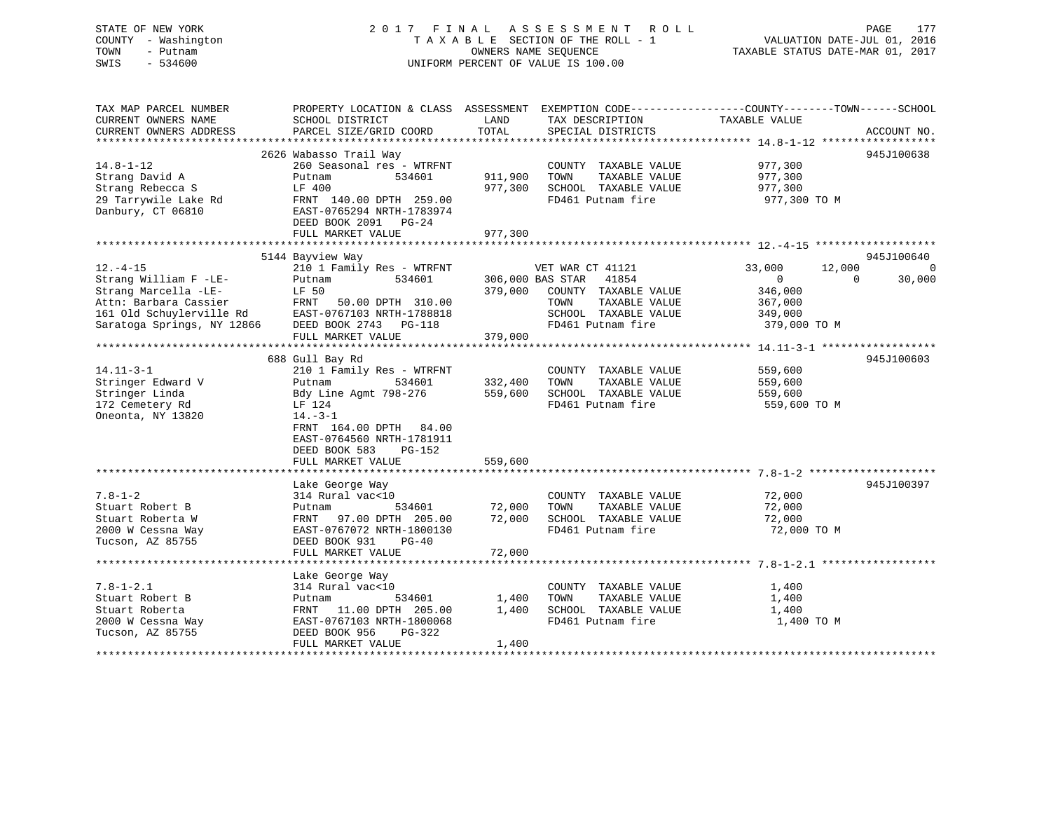## STATE OF NEW YORK 2 0 1 7 F I N A L A S S E S S M E N T R O L L PAGE 177 COUNTY - Washington T A X A B L E SECTION OF THE ROLL - 1 VALUATION DATE-JUL 01, 2016 TOWN - Putnam **CONNERS NAME SEQUENCE** TAXABLE STATUS DATE-MAR 01, 2017 SWIS - 534600 UNIFORM PERCENT OF VALUE IS 100.00

| TAX MAP PARCEL NUMBER<br>CURRENT OWNERS NAME<br>CURRENT OWNERS ADDRESS | PROPERTY LOCATION & CLASS ASSESSMENT EXEMPTION CODE---------------COUNTY-------TOWN------SCHOOL<br>SCHOOL DISTRICT<br>PARCEL SIZE/GRID COORD | LAND<br>TOTAL | TAX DESCRIPTION<br>SPECIAL DISTRICTS | TAXABLE VALUE    | ACCOUNT NO.        |
|------------------------------------------------------------------------|----------------------------------------------------------------------------------------------------------------------------------------------|---------------|--------------------------------------|------------------|--------------------|
|                                                                        |                                                                                                                                              |               |                                      |                  |                    |
|                                                                        | 2626 Wabasso Trail Way                                                                                                                       |               |                                      |                  | 945J100638         |
| $14.8 - 1 - 12$                                                        | 260 Seasonal res - WTRFNT                                                                                                                    |               | COUNTY TAXABLE VALUE                 | 977,300          |                    |
| Strang David A                                                         | 534601<br>Putnam                                                                                                                             | 911,900       | TOWN<br>TAXABLE VALUE                | 977,300          |                    |
| Strang Rebecca S                                                       | LF 400                                                                                                                                       | 977,300       | SCHOOL TAXABLE VALUE                 | 977,300          |                    |
| 29 Tarrywile Lake Rd                                                   | FRNT 140.00 DPTH 259.00                                                                                                                      |               | FD461 Putnam fire                    | 977,300 TO M     |                    |
| Danbury, CT 06810                                                      | EAST-0765294 NRTH-1783974                                                                                                                    |               |                                      |                  |                    |
|                                                                        | DEED BOOK 2091 PG-24                                                                                                                         |               |                                      |                  |                    |
|                                                                        | FULL MARKET VALUE                                                                                                                            | 977,300       |                                      |                  |                    |
|                                                                        |                                                                                                                                              |               |                                      |                  |                    |
|                                                                        | 5144 Bayview Way                                                                                                                             |               |                                      |                  | 945J100640         |
| $12. - 4 - 15$                                                         | 210 1 Family Res - WTRFNT                                                                                                                    |               | VET WAR CT 41121                     | 33,000<br>12,000 | $\Omega$           |
| Strang William F -LE-                                                  | Putnam<br>534601                                                                                                                             |               | 306,000 BAS STAR<br>41854            | $\mathbf{0}$     | 30,000<br>$\Omega$ |
| Strang Marcella -LE-                                                   | LF 50                                                                                                                                        | 379,000       | COUNTY TAXABLE VALUE                 | 346,000          |                    |
| Attn: Barbara Cassier                                                  | FRNT                                                                                                                                         |               |                                      |                  |                    |
|                                                                        | 50.00 DPTH 310.00                                                                                                                            |               | TOWN<br>TAXABLE VALUE                | 367,000          |                    |
| 161 Old Schuylerville Rd                                               | EAST-0767103 NRTH-1788818                                                                                                                    |               | SCHOOL TAXABLE VALUE                 | 349,000          |                    |
| Saratoga Springs, NY 12866                                             | DEED BOOK 2743 PG-118                                                                                                                        |               | FD461 Putnam fire                    | 379,000 TO M     |                    |
|                                                                        | FULL MARKET VALUE                                                                                                                            | 379,000       |                                      |                  |                    |
|                                                                        |                                                                                                                                              |               |                                      |                  |                    |
|                                                                        | 688 Gull Bay Rd                                                                                                                              |               |                                      |                  | 945J100603         |
| $14.11 - 3 - 1$                                                        | 210 1 Family Res - WTRFNT                                                                                                                    |               | COUNTY TAXABLE VALUE                 | 559,600          |                    |
| Stringer Edward V                                                      | 534601<br>Putnam                                                                                                                             | 332,400       | TOWN<br>TAXABLE VALUE                | 559,600          |                    |
| Stringer Linda                                                         | Bdy Line Agmt 798-276                                                                                                                        | 559,600       | SCHOOL TAXABLE VALUE                 | 559,600          |                    |
| 172 Cemetery Rd                                                        | LF 124                                                                                                                                       |               | FD461 Putnam fire                    | 559,600 TO M     |                    |
| Oneonta, NY 13820                                                      | $14. - 3 - 1$                                                                                                                                |               |                                      |                  |                    |
|                                                                        | FRNT 164.00 DPTH 84.00                                                                                                                       |               |                                      |                  |                    |
|                                                                        | EAST-0764560 NRTH-1781911                                                                                                                    |               |                                      |                  |                    |
|                                                                        | DEED BOOK 583<br>PG-152                                                                                                                      |               |                                      |                  |                    |
|                                                                        | FULL MARKET VALUE                                                                                                                            | 559,600       |                                      |                  |                    |
|                                                                        |                                                                                                                                              |               |                                      |                  |                    |
|                                                                        | Lake George Way                                                                                                                              |               |                                      |                  | 945J100397         |
| $7.8 - 1 - 2$                                                          | 314 Rural vac<10                                                                                                                             |               | COUNTY TAXABLE VALUE                 | 72,000           |                    |
| Stuart Robert B                                                        | 534601<br>Putnam                                                                                                                             | 72,000        | TAXABLE VALUE<br>TOWN                | 72,000           |                    |
| Stuart Roberta W                                                       | 97.00 DPTH 205.00<br>FRNT                                                                                                                    | 72,000        | SCHOOL TAXABLE VALUE                 | 72,000           |                    |
| 2000 W Cessna Way                                                      | EAST-0767072 NRTH-1800130                                                                                                                    |               | FD461 Putnam fire                    | 72,000 TO M      |                    |
| Tucson, AZ 85755                                                       | DEED BOOK 931<br>$PG-40$                                                                                                                     |               |                                      |                  |                    |
|                                                                        | FULL MARKET VALUE                                                                                                                            | 72,000        |                                      |                  |                    |
|                                                                        |                                                                                                                                              |               |                                      |                  |                    |
|                                                                        | Lake George Way                                                                                                                              |               |                                      |                  |                    |
| $7.8 - 1 - 2.1$                                                        | 314 Rural vac<10                                                                                                                             |               | COUNTY TAXABLE VALUE                 | 1,400            |                    |
| Stuart Robert B                                                        | 534601<br>Putnam                                                                                                                             | 1,400         | TAXABLE VALUE<br>TOWN                | 1,400            |                    |
| Stuart Roberta                                                         | FRNT 11.00 DPTH 205.00                                                                                                                       | 1,400         | SCHOOL TAXABLE VALUE                 | 1,400            |                    |
| 2000 W Cessna Way                                                      | EAST-0767103 NRTH-1800068                                                                                                                    |               | FD461 Putnam fire                    | 1,400 TO M       |                    |
| Tucson, AZ 85755                                                       | DEED BOOK 956<br>$PG-322$                                                                                                                    |               |                                      |                  |                    |
|                                                                        | FULL MARKET VALUE                                                                                                                            | 1,400         |                                      |                  |                    |
|                                                                        |                                                                                                                                              |               |                                      |                  |                    |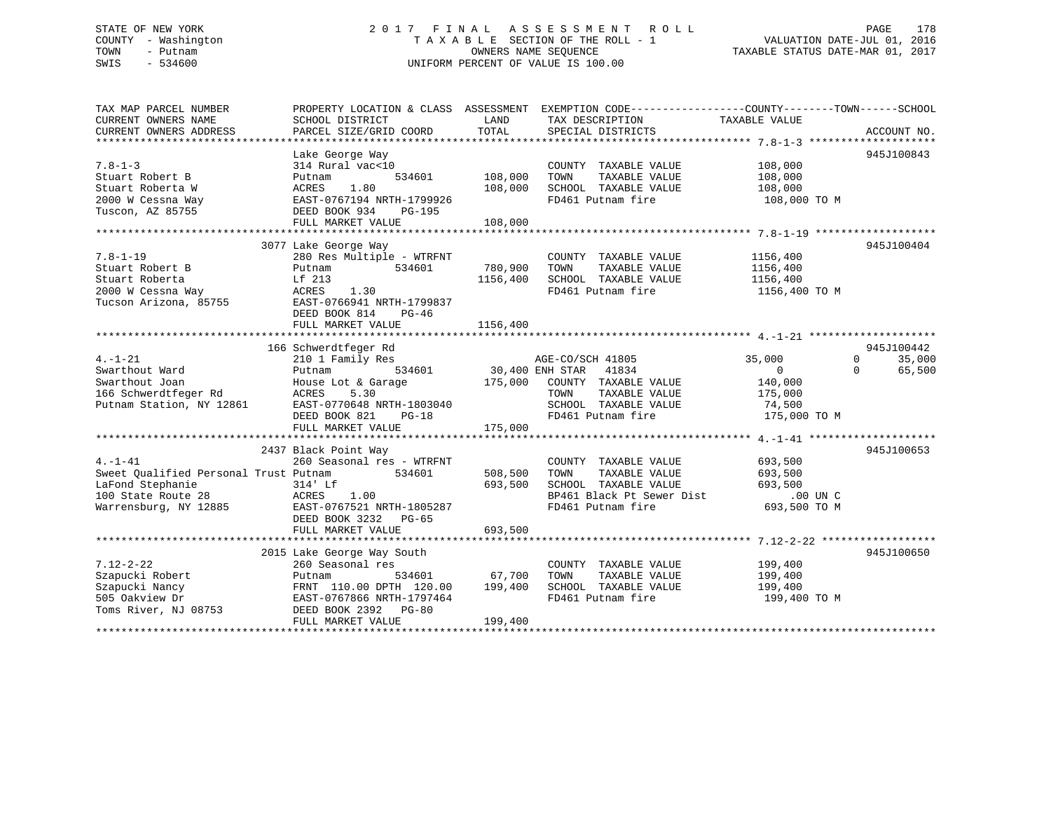## STATE OF NEW YORK 2 0 1 7 F I N A L A S S E S S M E N T R O L L PAGE 178 COUNTY - Washington T A X A B L E SECTION OF THE ROLL - 1 VALUATION DATE-JUL 01, 2016 TOWN - Putnam **CONNERS NAME SEQUENCE** TAXABLE STATUS DATE-MAR 01, 2017 SWIS - 534600 UNIFORM PERCENT OF VALUE IS 100.00

| TAX MAP PARCEL NUMBER<br>CURRENT OWNERS NAME                                                                             | PROPERTY LOCATION & CLASS ASSESSMENT EXEMPTION CODE----------------COUNTY-------TOWN------SCHOOL<br>SCHOOL DISTRICT                                     | LAND                | TAX DESCRIPTION                                                                                                                         | TAXABLE VALUE                                                  |                                     |
|--------------------------------------------------------------------------------------------------------------------------|---------------------------------------------------------------------------------------------------------------------------------------------------------|---------------------|-----------------------------------------------------------------------------------------------------------------------------------------|----------------------------------------------------------------|-------------------------------------|
| CURRENT OWNERS ADDRESS                                                                                                   | PARCEL SIZE/GRID COORD                                                                                                                                  | TOTAL               | SPECIAL DISTRICTS                                                                                                                       |                                                                | ACCOUNT NO.                         |
|                                                                                                                          | Lake George Way                                                                                                                                         |                     |                                                                                                                                         |                                                                | 945J100843                          |
| $7.8 - 1 - 3$<br>Stuart Robert B<br>Stuart Roberta W                                                                     | 314 Rural vac<10<br>534601<br>Putnam<br>1.80                                                                                                            | 108,000<br>108,000  | COUNTY TAXABLE VALUE<br>TOWN<br>TAXABLE VALUE<br>SCHOOL TAXABLE VALUE                                                                   | 108,000<br>108,000<br>108,000                                  |                                     |
| 2000 W Cessna Way<br>Tuscon, AZ 85755                                                                                    | ACRES 1.80<br>EAST-0767194 N<br>DEED BOOK 934<br>EAST-0767194 NRTH-1799926<br>PG-195<br>FULL MARKET VALUE                                               | 108,000             | FD461 Putnam fire                                                                                                                       | 108,000 TO M                                                   |                                     |
|                                                                                                                          |                                                                                                                                                         |                     |                                                                                                                                         |                                                                |                                     |
| $7.8 - 1 - 19$<br>Stuart Robert B<br>Stuart Roberta<br>2000 W Cessna Way<br>Tucson Arizona, 85755                        | 3077 Lake George Way<br>280 Res Multiple - WTRFNT<br>534601<br>Putnam<br>Lf 213<br>ACRES<br>1.30<br>EAST-0766941 NRTH-1799837<br>DEED BOOK 814<br>PG-46 | 780,900<br>1156,400 | COUNTY TAXABLE VALUE<br>TAXABLE VALUE<br>TOWN<br>SCHOOL TAXABLE VALUE<br>FD461 Putnam fire                                              | 1156,400<br>1156,400<br>1156,400<br>1156,400 TO M              | 945J100404                          |
|                                                                                                                          | FULL MARKET VALUE                                                                                                                                       | 1156,400            |                                                                                                                                         |                                                                |                                     |
|                                                                                                                          |                                                                                                                                                         |                     |                                                                                                                                         |                                                                |                                     |
| $4. - 1 - 21$                                                                                                            | 166 Schwerdtfeger Rd<br>210 1 Family Res                                                                                                                |                     |                                                                                                                                         | 35,000                                                         | 945J100442<br>$\mathbf 0$<br>35,000 |
| Swarthout Ward<br>Swarthout Joan<br>166 Schwerdtfeger Rd<br>Putnam Station, NY 12861                                     | 534601<br>Putnam<br>House Lot & Garage 175,000<br>ACRES<br>5.30<br>EAST-0770648 NRTH-1803040<br>DEED BOOK 821<br>$PG-18$                                |                     | AGE-CO/SCH 41805<br>30,400 ENH STAR 41834<br>COUNTY TAXABLE VALUE<br>TOWN<br>TAXABLE VALUE<br>SCHOOL TAXABLE VALUE<br>FD461 Putnam fire | $\overline{0}$<br>140,000<br>175,000<br>74,500<br>175,000 TO M | $\Omega$<br>65,500                  |
|                                                                                                                          | FULL MARKET VALUE                                                                                                                                       | 175,000             |                                                                                                                                         |                                                                |                                     |
| $4 - 1 - 41$<br>Sweet Qualified Personal Trust Putnam<br>LaFond Stephanie<br>100 State Route 28<br>Warrensburg, NY 12885 | 2437 Black Point Way<br>260 Seasonal res - WTRFNT<br>534601<br>314' Lf<br>ACRES<br>1.00<br>EAST-0767521 NRTH-1805287                                    | 508,500<br>693,500  | COUNTY TAXABLE VALUE<br>TOWN<br>TAXABLE VALUE<br>SCHOOL TAXABLE VALUE<br>BP461 Black Pt Sewer Dist<br>FD461 Putnam fire                 | 693,500<br>693,500<br>693,500<br>.00 UN C<br>693,500 TO M      | 945J100653                          |
|                                                                                                                          | DEED BOOK 3232<br>PG-65<br>FULL MARKET VALUE                                                                                                            | 693,500             |                                                                                                                                         |                                                                |                                     |
|                                                                                                                          | 2015 Lake George Way South                                                                                                                              |                     |                                                                                                                                         |                                                                | 945J100650                          |
| $7.12 - 2 - 22$<br>Szapucki Robert<br>Szapucki Nancy<br>505 Oakview Dr<br>Toms River, NJ 08753                           | 260 Seasonal res<br>534601<br>Putnam<br>FRNT 110.00 DPTH 120.00 199,400<br>EAST-0767866 NRTH-1797464<br>DEED BOOK 2392 PG-80<br>FULL MARKET VALUE       | 67,700<br>199,400   | COUNTY TAXABLE VALUE<br>TOWN<br>TAXABLE VALUE<br>SCHOOL TAXABLE VALUE<br>FD461 Putnam fire                                              | 199,400<br>199,400<br>199,400<br>199,400 TO M                  |                                     |
|                                                                                                                          |                                                                                                                                                         |                     |                                                                                                                                         |                                                                |                                     |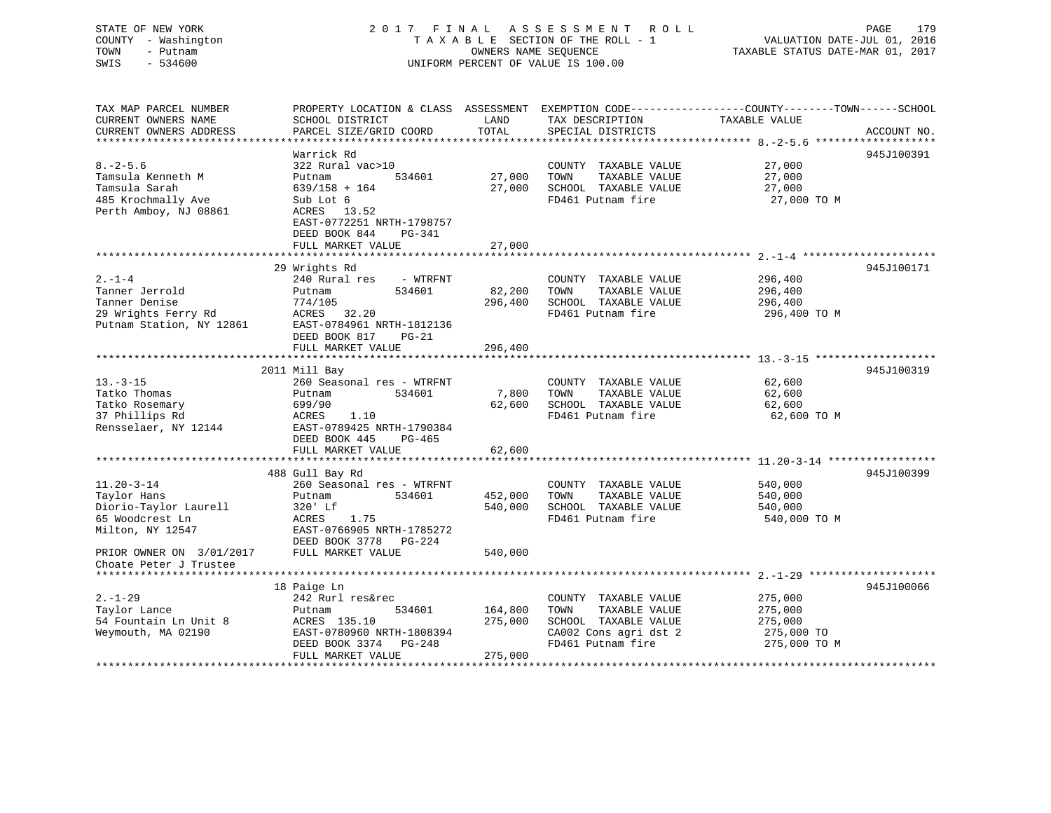STATE OF NEW YORK 2 0 1 7 F I N A L A S S E S S M E N T R O L L PAGE 179 COUNTY - Washington T A X A B L E SECTION OF THE ROLL - 1 VALUATION DATE-JUL 01, 2016 TOWN - Putnam OWNERS NAME SEQUENCE TAXABLE STATUS DATE-MAR 01, 2017 SWIS - 534600 UNIFORM PERCENT OF VALUE IS 100.00 TAX MAP PARCEL NUMBER PROPERTY LOCATION & CLASS ASSESSMENT EXEMPTION CODE------------------COUNTY--------TOWN------SCHOOL CURRENT OWNERS NAME SCHOOL DISTRICT LAND TAX DESCRIPTION TAXABLE VALUECURRENT OWNERS ADDRESS PARCEL SIZE/GRID COORD TOTAL SPECIAL DISTRICTS ACCOUNT NO. \*\*\*\*\*\*\*\*\*\*\*\*\*\*\*\*\*\*\*\*\*\*\*\*\*\*\*\*\*\*\*\*\*\*\*\*\*\*\*\*\*\*\*\*\*\*\*\*\*\*\*\*\*\*\*\*\*\*\*\*\*\*\*\*\*\*\*\*\*\*\*\*\*\*\*\*\*\*\*\*\*\*\*\*\*\*\*\*\*\*\*\*\*\*\*\*\*\*\*\*\*\*\* 8.-2-5.6 \*\*\*\*\*\*\*\*\*\*\*\*\*\*\*\*\*\*\* Warrick Rd 945J1003918.-2-5.6 322 Rural vac>10 COUNTY TAXABLE VALUE 27,000 Tamsula Kenneth M Putnam 534601 27,000 TOWN TAXABLE VALUE 27,000 Tamsula Sarah 639/158 + 164 27,000 SCHOOL TAXABLE VALUE 27,000

485 Krochmally Ave Sub Lot 6 FD461 Putnam fire 27,000 TO M Perth Amboy, NJ 08861 ACRES 13.52 EAST-0772251 NRTH-1798757 DEED BOOK 844 PG-341 FULL MARKET VALUE 27,000 \*\*\*\*\*\*\*\*\*\*\*\*\*\*\*\*\*\*\*\*\*\*\*\*\*\*\*\*\*\*\*\*\*\*\*\*\*\*\*\*\*\*\*\*\*\*\*\*\*\*\*\*\*\*\*\*\*\*\*\*\*\*\*\*\*\*\*\*\*\*\*\*\*\*\*\*\*\*\*\*\*\*\*\*\*\*\*\*\*\*\*\*\*\*\*\*\*\*\*\*\*\*\* 2.-1-4 \*\*\*\*\*\*\*\*\*\*\*\*\*\*\*\*\*\*\*\*\* 29 Wrights Rd 945J100171 2.-1-4 240 Rural res - WTRFNT COUNTY TAXABLE VALUE 296,400 Tanner Jerrold Putnam 534601 82,200 TOWN TAXABLE VALUE 296,400 Tanner Denise 774/105 296,400 SCHOOL TAXABLE VALUE 296,400 296,400 SCHOOL TAXABLE VALUE 206,400 206,400<br>29 Wrights Ferry Rd ACRES 32.20 FD461 Putnam fire 296,400 TO M<br>Putnam Station NY 19861 Radio Reader Section 2010 12:000 200 FD461 Putnam fire 296,400 TO M Putnam Station, NY 12861 EAST-0784961 NRTH-1812136 DEED BOOK 817 PG-21 FULL MARKET VALUE 296,400 \*\*\*\*\*\*\*\*\*\*\*\*\*\*\*\*\*\*\*\*\*\*\*\*\*\*\*\*\*\*\*\*\*\*\*\*\*\*\*\*\*\*\*\*\*\*\*\*\*\*\*\*\*\*\*\*\*\*\*\*\*\*\*\*\*\*\*\*\*\*\*\*\*\*\*\*\*\*\*\*\*\*\*\*\*\*\*\*\*\*\*\*\*\*\*\*\*\*\*\*\*\*\* 13.-3-15 \*\*\*\*\*\*\*\*\*\*\*\*\*\*\*\*\*\*\* 2011 Mill Bay 945J100319 13.-3-15 260 Seasonal res - WTRFNT COUNTY TAXABLE VALUE 62,600 Tatko Thomas Putnam 534601 7,800 TOWN TAXABLE VALUE 62,600 Tatko Rosemary 699/90 62,600 SCHOOL TAXABLE VALUE 62,600 62,600 SCHOOL TAXABLE VALUE 62.600 62,600 FD461 Putnam fire FD461 Putnam fire 62,600 TO M Rensselaer, NY 12144 EAST-0789425 NRTH-1790384 DEED BOOK 445 PG-465FULL MARKET VALUE 62,600 \*\*\*\*\*\*\*\*\*\*\*\*\*\*\*\*\*\*\*\*\*\*\*\*\*\*\*\*\*\*\*\*\*\*\*\*\*\*\*\*\*\*\*\*\*\*\*\*\*\*\*\*\*\*\*\*\*\*\*\*\*\*\*\*\*\*\*\*\*\*\*\*\*\*\*\*\*\*\*\*\*\*\*\*\*\*\*\*\*\*\*\*\*\*\*\*\*\*\*\*\*\*\* 11.20-3-14 \*\*\*\*\*\*\*\*\*\*\*\*\*\*\*\*\* 488 Gull Bay Rd 945J100399 11.20-3-14 260 Seasonal res - WTRFNT COUNTY TAXABLE VALUE 540,000 Taylor Hans Putnam 534601 452,000 TOWN TAXABLE VALUE 540,000 Diorio-Taylor Laurell 320' Lf 540,000 SCHOOL TAXABLE VALUE 540,000 65 Woodcrest Ln ACRES 1.75 FD461 Putnam fire 540,000 TO M Milton, NY 12547 EAST-0766905 NRTH-1785272 DEED BOOK 3778 PG-224PRIOR OWNER ON 3/01/2017 FULL MARKET VALUE 540,000 Choate Peter J Trustee \*\*\*\*\*\*\*\*\*\*\*\*\*\*\*\*\*\*\*\*\*\*\*\*\*\*\*\*\*\*\*\*\*\*\*\*\*\*\*\*\*\*\*\*\*\*\*\*\*\*\*\*\*\*\*\*\*\*\*\*\*\*\*\*\*\*\*\*\*\*\*\*\*\*\*\*\*\*\*\*\*\*\*\*\*\*\*\*\*\*\*\*\*\*\*\*\*\*\*\*\*\*\* 2.-1-29 \*\*\*\*\*\*\*\*\*\*\*\*\*\*\*\*\*\*\*\* 18 Paige Ln 945J100066 2.-1-29 242 Rurl res&rec COUNTY TAXABLE VALUE 275,000 Taylor Lance Putnam 534601 164,800 TOWN TAXABLE VALUE 275,000 54 Fountain Ln Unit 8 ACRES 135.10 275,000 SCHOOL TAXABLE VALUE 275,000 Weymouth, MA 02190 EAST-0780960 NRTH-1808394 CA002 Cons agri dst 2 275,000 TO  $DEFD$  BOOK 3374  $PG-248$  FULL MARKET VALUE 275,000 \*\*\*\*\*\*\*\*\*\*\*\*\*\*\*\*\*\*\*\*\*\*\*\*\*\*\*\*\*\*\*\*\*\*\*\*\*\*\*\*\*\*\*\*\*\*\*\*\*\*\*\*\*\*\*\*\*\*\*\*\*\*\*\*\*\*\*\*\*\*\*\*\*\*\*\*\*\*\*\*\*\*\*\*\*\*\*\*\*\*\*\*\*\*\*\*\*\*\*\*\*\*\*\*\*\*\*\*\*\*\*\*\*\*\*\*\*\*\*\*\*\*\*\*\*\*\*\*\*\*\*\*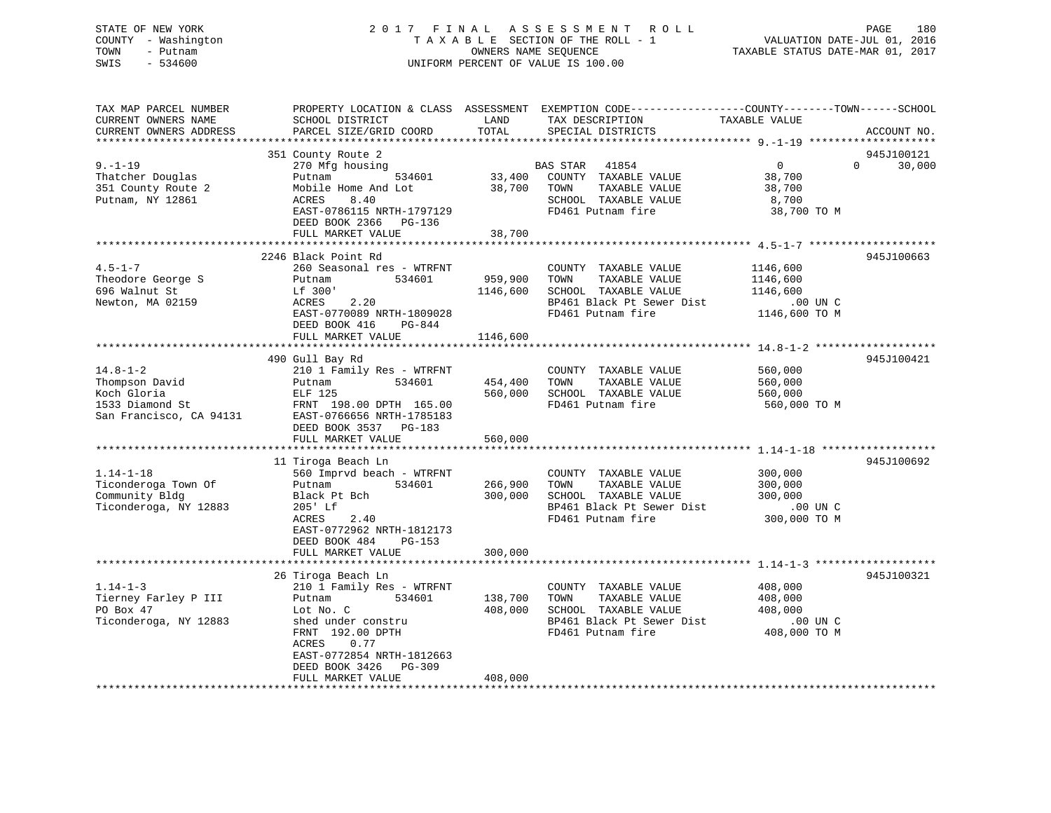## STATE OF NEW YORK 2 0 1 7 F I N A L A S S E S S M E N T R O L L PAGE 180 COUNTY - Washington T A X A B L E SECTION OF THE ROLL - 1 VALUATION DATE-JUL 01, 2016 TOWN - Putnam OWNERS NAME SEQUENCE TAXABLE STATUS DATE-MAR 01, 2017 SWIS - 534600 UNIFORM PERCENT OF VALUE IS 100.00

| TAX MAP PARCEL NUMBER<br>CURRENT OWNERS NAME<br>CURRENT OWNERS ADDRESS                                                                                                             | SCHOOL DISTRICT<br>PARCEL SIZE/GRID COORD                                                                                                                                                                                                                                                                                                                         | LAND<br>TOTAL                                       | PROPERTY LOCATION & CLASS ASSESSMENT EXEMPTION CODE---------------COUNTY-------TOWN------SCHOOL<br>TAX DESCRIPTION<br>SPECIAL DISTRICTS                                                                               | TAXABLE VALUE                                                                                                | ACCOUNT NO.                      |
|------------------------------------------------------------------------------------------------------------------------------------------------------------------------------------|-------------------------------------------------------------------------------------------------------------------------------------------------------------------------------------------------------------------------------------------------------------------------------------------------------------------------------------------------------------------|-----------------------------------------------------|-----------------------------------------------------------------------------------------------------------------------------------------------------------------------------------------------------------------------|--------------------------------------------------------------------------------------------------------------|----------------------------------|
|                                                                                                                                                                                    |                                                                                                                                                                                                                                                                                                                                                                   |                                                     |                                                                                                                                                                                                                       |                                                                                                              |                                  |
| $9. - 1 - 19$<br>Thatcher Douglas<br>351 County Route 2<br>Putnam, NY 12861                                                                                                        | 351 County Route 2<br>270 Mfg housing<br>534601<br>Putnam<br>Mobile Home And Lot<br>8.40<br>ACRES<br>EAST-0786115 NRTH-1797129<br>DEED BOOK 2366 PG-136<br>FULL MARKET VALUE                                                                                                                                                                                      | 33,400<br>38,700<br>38,700                          | BAS STAR 41854<br>COUNTY TAXABLE VALUE<br>TAXABLE VALUE<br>TOWN<br>SCHOOL TAXABLE VALUE<br>FD461 Putnam fire                                                                                                          | $\overline{0}$<br>38,700<br>38,700<br>8,700<br>38,700 TO M                                                   | 945J100121<br>$\Omega$<br>30,000 |
|                                                                                                                                                                                    |                                                                                                                                                                                                                                                                                                                                                                   |                                                     |                                                                                                                                                                                                                       |                                                                                                              |                                  |
| $4.5 - 1 - 7$<br>Theodore George S<br>696 Walnut St<br>Newton, MA 02159                                                                                                            | 2246 Black Point Rd<br>260 Seasonal res - WTRFNT<br>Putnam<br>534601<br>Lf 300'<br>ACRES<br>2.20<br>EAST-0770089 NRTH-1809028<br>DEED BOOK 416<br>PG-844                                                                                                                                                                                                          | 959,900<br>1146,600                                 | COUNTY TAXABLE VALUE<br>TOWN<br>TAXABLE VALUE<br>SCHOOL TAXABLE VALUE<br>BP461 Black Pt Sewer Dist<br>FD461 Putnam fire                                                                                               | 1146,600<br>1146,600<br>1146,600<br>.00 UN C<br>1146,600 TO M                                                | 945J100663                       |
|                                                                                                                                                                                    | FULL MARKET VALUE                                                                                                                                                                                                                                                                                                                                                 | 1146,600                                            |                                                                                                                                                                                                                       |                                                                                                              |                                  |
|                                                                                                                                                                                    |                                                                                                                                                                                                                                                                                                                                                                   |                                                     |                                                                                                                                                                                                                       |                                                                                                              |                                  |
| $14.8 - 1 - 2$<br>Thompson David<br>Koch Gloria<br>1533 Diamond St<br>San Francisco, CA 94131<br>$1.14 - 1 - 18$<br>Ticonderoga Town Of<br>Community Bldg<br>Ticonderoga, NY 12883 | 490 Gull Bay Rd<br>210 1 Family Res - WTRFNT<br>534601<br>Putnam<br>ELF 125<br>FRNT 198.00 DPTH 165.00<br>EAST-0766656 NRTH-1785183<br>DEED BOOK 3537 PG-183<br>FULL MARKET VALUE<br>****************************<br>11 Tiroga Beach Ln<br>560 Imprvd beach - WTRFNT<br>534601<br>Putnam<br>Black Pt Bch<br>205' Lf<br>ACRES<br>2.40<br>EAST-0772962 NRTH-1812173 | 454,400<br>560,000<br>560,000<br>266,900<br>300,000 | COUNTY TAXABLE VALUE<br>TOWN<br>TAXABLE VALUE<br>SCHOOL TAXABLE VALUE<br>FD461 Putnam fire<br>COUNTY TAXABLE VALUE<br>TOWN<br>TAXABLE VALUE<br>SCHOOL TAXABLE VALUE<br>BP461 Black Pt Sewer Dist<br>FD461 Putnam fire | 560,000<br>560,000<br>560,000<br>560,000 TO M<br>300,000<br>300,000<br>300,000<br>$.00$ UN C<br>300,000 TO M | 945J100421<br>945J100692         |
|                                                                                                                                                                                    | DEED BOOK 484<br>PG-153<br>FULL MARKET VALUE                                                                                                                                                                                                                                                                                                                      | 300,000                                             |                                                                                                                                                                                                                       |                                                                                                              |                                  |
|                                                                                                                                                                                    |                                                                                                                                                                                                                                                                                                                                                                   |                                                     |                                                                                                                                                                                                                       |                                                                                                              |                                  |
| $1.14 - 1 - 3$<br>Tierney Farley P III<br>PO Box 47<br>Ticonderoga, NY 12883                                                                                                       | 26 Tiroga Beach Ln<br>210 1 Family Res - WTRFNT<br>534601<br>Putnam<br>Lot No. C<br>shed under constru<br>FRNT 192.00 DPTH<br>ACRES<br>0.77<br>EAST-0772854 NRTH-1812663<br>DEED BOOK 3426<br>PG-309                                                                                                                                                              | 138,700<br>408,000                                  | COUNTY TAXABLE VALUE<br>TAXABLE VALUE<br>TOWN<br>SCHOOL TAXABLE VALUE<br>BP461 Black Pt Sewer Dist<br>FD461 Putnam fire                                                                                               | 408,000<br>408,000<br>408,000<br>$.00$ UN $C$<br>408,000 TO M                                                | 945J100321                       |
|                                                                                                                                                                                    | FULL MARKET VALUE                                                                                                                                                                                                                                                                                                                                                 | 408,000                                             |                                                                                                                                                                                                                       |                                                                                                              |                                  |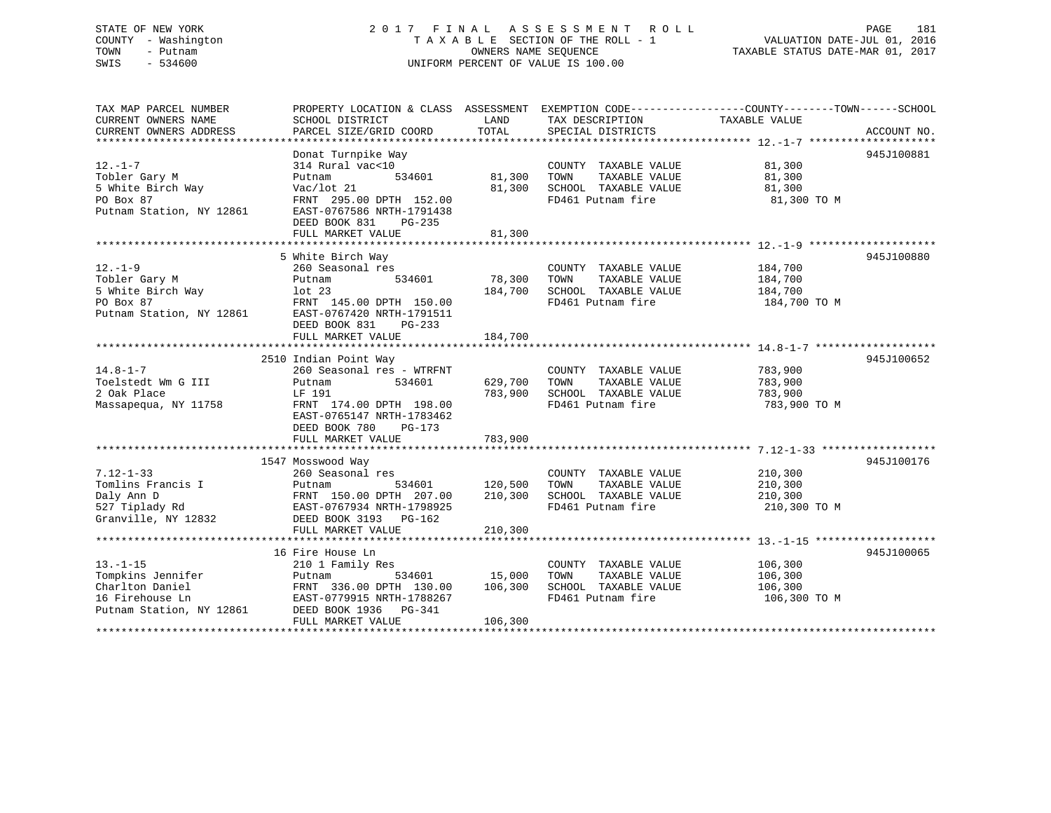# STATE OF NEW YORK 2 0 1 7 F I N A L A S S E S S M E N T R O L L PAGE 181 COUNTY - Washington T A X A B L E SECTION OF THE ROLL - 1 VALUATION DATE-JUL 01, 2016 TOWN - Putnam OWNERS NAME SEQUENCE TAXABLE STATUS DATE-MAR 01, 2017 SWIS - 534600 UNIFORM PERCENT OF VALUE IS 100.00

| TAX MAP PARCEL NUMBER    |                            |         |                              | PROPERTY LOCATION & CLASS ASSESSMENT EXEMPTION CODE---------------COUNTY-------TOWN-----SCHOOL |             |
|--------------------------|----------------------------|---------|------------------------------|------------------------------------------------------------------------------------------------|-------------|
| CURRENT OWNERS NAME      | SCHOOL DISTRICT            | LAND    | TAX DESCRIPTION              | TAXABLE VALUE                                                                                  |             |
| CURRENT OWNERS ADDRESS   | PARCEL SIZE/GRID COORD     | TOTAL   | SPECIAL DISTRICTS            |                                                                                                | ACCOUNT NO. |
|                          |                            |         |                              |                                                                                                |             |
|                          | Donat Turnpike Way         |         |                              |                                                                                                | 945J100881  |
| $12. - 1 - 7$            | 314 Rural vac<10           |         | COUNTY TAXABLE VALUE         | 81,300                                                                                         |             |
| Tobler Gary M            | Putnam<br>534601           | 81,300  | TOWN<br>TAXABLE VALUE        | 81,300                                                                                         |             |
| 5 White Birch Way        | Vac/lot 21                 | 81,300  | SCHOOL TAXABLE VALUE         | 81,300                                                                                         |             |
| PO Box 87                | FRNT 295.00 DPTH 152.00    |         | FD461 Putnam fire            | 81,300 TO M                                                                                    |             |
| Putnam Station, NY 12861 | EAST-0767586 NRTH-1791438  |         |                              |                                                                                                |             |
|                          | DEED BOOK 831<br>$PG-235$  |         |                              |                                                                                                |             |
|                          | FULL MARKET VALUE          | 81,300  |                              |                                                                                                |             |
|                          |                            |         |                              |                                                                                                |             |
|                          | 5 White Birch Way          |         |                              |                                                                                                | 945J100880  |
| $12. - 1 - 9$            |                            |         |                              |                                                                                                |             |
|                          | 260 Seasonal res<br>534601 | 78,300  | COUNTY TAXABLE VALUE<br>TOWN | 184,700                                                                                        |             |
| Tobler Gary M            | Putnam                     |         | TAXABLE VALUE                | 184,700                                                                                        |             |
| 5 White Birch Way        | lot <sub>23</sub>          | 184,700 | SCHOOL TAXABLE VALUE         | 184,700                                                                                        |             |
| PO Box 87                | FRNT 145.00 DPTH 150.00    |         | FD461 Putnam fire            | 184,700 TO M                                                                                   |             |
| Putnam Station, NY 12861 | EAST-0767420 NRTH-1791511  |         |                              |                                                                                                |             |
|                          | DEED BOOK 831<br>PG-233    |         |                              |                                                                                                |             |
|                          | FULL MARKET VALUE          | 184,700 |                              |                                                                                                |             |
|                          |                            |         |                              |                                                                                                |             |
|                          | 2510 Indian Point Way      |         |                              |                                                                                                | 945J100652  |
| $14.8 - 1 - 7$           | 260 Seasonal res - WTRFNT  |         | COUNTY TAXABLE VALUE         | 783,900                                                                                        |             |
| Toelstedt Wm G III       | 534601<br>Putnam           | 629,700 | TOWN<br>TAXABLE VALUE        | 783,900                                                                                        |             |
| 2 Oak Place              | LF 191                     | 783,900 | SCHOOL TAXABLE VALUE         | 783,900                                                                                        |             |
| Massapequa, NY 11758     | FRNT 174.00 DPTH 198.00    |         | FD461 Putnam fire            | 783,900 TO M                                                                                   |             |
|                          | EAST-0765147 NRTH-1783462  |         |                              |                                                                                                |             |
|                          | DEED BOOK 780<br>PG-173    |         |                              |                                                                                                |             |
|                          | FULL MARKET VALUE          | 783,900 |                              |                                                                                                |             |
|                          |                            |         |                              |                                                                                                |             |
|                          | 1547 Mosswood Way          |         |                              |                                                                                                | 945J100176  |
| $7.12 - 1 - 33$          | 260 Seasonal res           |         | COUNTY TAXABLE VALUE         | 210,300                                                                                        |             |
| Tomlins Francis I        | Putnam<br>534601           | 120,500 | TOWN<br>TAXABLE VALUE        | 210,300                                                                                        |             |
| Daly Ann D               | FRNT 150.00 DPTH 207.00    | 210,300 | SCHOOL TAXABLE VALUE         | 210,300                                                                                        |             |
| 527 Tiplady Rd           | EAST-0767934 NRTH-1798925  |         | FD461 Putnam fire            | 210,300 TO M                                                                                   |             |
| Granville, NY 12832      | DEED BOOK 3193 PG-162      |         |                              |                                                                                                |             |
|                          | FULL MARKET VALUE          | 210,300 |                              |                                                                                                |             |
|                          |                            |         |                              |                                                                                                |             |
|                          | 16 Fire House Ln           |         |                              |                                                                                                | 945J100065  |
| $13. - 1 - 15$           | 210 1 Family Res           |         | COUNTY TAXABLE VALUE         | 106,300                                                                                        |             |
| Tompkins Jennifer        | Putnam<br>534601           | 15,000  | TOWN<br>TAXABLE VALUE        | 106,300                                                                                        |             |
| Charlton Daniel          | FRNT 336.00 DPTH 130.00    | 106,300 | SCHOOL TAXABLE VALUE         | 106,300                                                                                        |             |
| 16 Firehouse Ln          | EAST-0779915 NRTH-1788267  |         | FD461 Putnam fire            | 106,300 TO M                                                                                   |             |
|                          |                            |         |                              |                                                                                                |             |
| Putnam Station, NY 12861 | DEED BOOK 1936 PG-341      |         |                              |                                                                                                |             |
|                          | FULL MARKET VALUE          | 106,300 |                              |                                                                                                |             |
|                          |                            |         |                              |                                                                                                |             |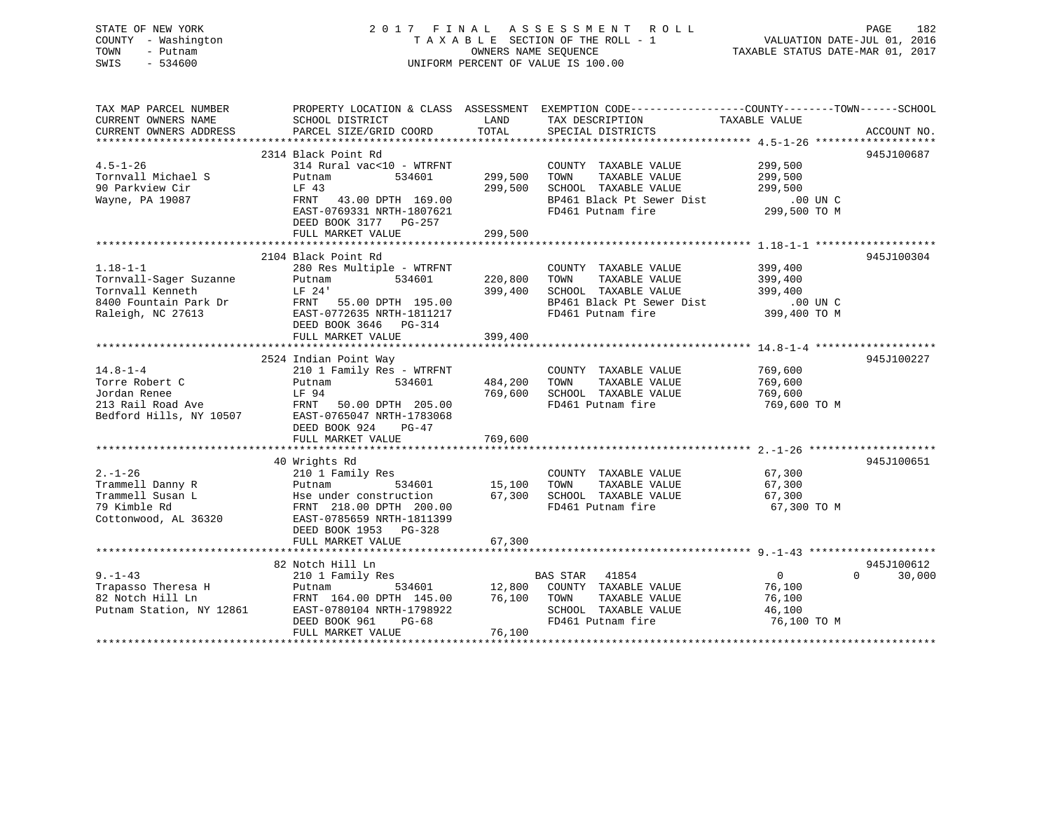# STATE OF NEW YORK 2 0 1 7 F I N A L A S S E S S M E N T R O L L PAGE 182 COUNTY - Washington T A X A B L E SECTION OF THE ROLL - 1 VALUATION DATE-JUL 01, 2016 TOWN - Putnam OWNERS NAME SEQUENCE TAXABLE STATUS DATE-MAR 01, 2017 SWIS - 534600 UNIFORM PERCENT OF VALUE IS 100.00

| TAX MAP PARCEL NUMBER                         | PROPERTY LOCATION & CLASS ASSESSMENT EXEMPTION CODE---------------COUNTY-------TOWN------SCHOOL                                                                                                                                         |               |                                                                                                                                                          |                       |                    |
|-----------------------------------------------|-----------------------------------------------------------------------------------------------------------------------------------------------------------------------------------------------------------------------------------------|---------------|----------------------------------------------------------------------------------------------------------------------------------------------------------|-----------------------|--------------------|
| CURRENT OWNERS NAME<br>CURRENT OWNERS ADDRESS | SCHOOL DISTRICT<br>PARCEL SIZE/GRID COORD                                                                                                                                                                                               | LAND<br>TOTAL | TAX DESCRIPTION<br>SPECIAL DISTRICTS                                                                                                                     | TAXABLE VALUE         | ACCOUNT NO.        |
|                                               |                                                                                                                                                                                                                                         |               |                                                                                                                                                          |                       |                    |
| $4.5 - 1 - 26$<br>Tornvall Michael S          | 2314 Black Point Rd<br>314 Rural vac<10 - WTRFNT<br>Putnam<br>534601                                                                                                                                                                    | 299,500       | COUNTY TAXABLE VALUE 299,500<br>TOWN<br>TAXABLE VALUE                                                                                                    | 299,500               | 945J100687         |
| 90 Parkview Cir<br>Wayne, PA 19087            | LF 43<br>FRNT 43.00 DPTH 169.00                                                                                                                                                                                                         | 299,500       | SCHOOL TAXABLE VALUE<br>BP461 Black Pt Sewer Dist<br>SCHOOL TAXABLE VALUE 299,500<br>BP461 Black Pt Sewer Dist 00 UN C<br>FD461 Putnam fire 299,500 TO M |                       |                    |
|                                               | EAST-0769331 NRTH-1807621<br>DEED BOOK 3177 PG-257<br>FULL MARKET VALUE                                                                                                                                                                 | 299,500       |                                                                                                                                                          |                       |                    |
|                                               |                                                                                                                                                                                                                                         |               |                                                                                                                                                          |                       |                    |
| $1.18 - 1 - 1$                                | 2104 Black Point Rd<br>280 Res Multiple - WTRFNT                                                                                                                                                                                        |               | COUNTY TAXABLE VALUE                                                                                                                                     | 399,400               | 945J100304         |
| Tornvall-Sager Suzanne                        | 534601<br>Putnam                                                                                                                                                                                                                        | 220,800       | TOWN<br>TAXABLE VALUE                                                                                                                                    | 399,400               |                    |
|                                               |                                                                                                                                                                                                                                         | 399,400       | SCHOOL TAXABLE VALUE<br>BP461 Black Pt Sewer Dist                                                                                                        | 399,400               |                    |
|                                               |                                                                                                                                                                                                                                         |               |                                                                                                                                                          | $.00$ UN C            |                    |
|                                               | DEED BOOK 3646 PG-314<br>FULL MARKET VALUE                                                                                                                                                                                              | 399,400       | FD461 Putnam fire 399,400 TO M                                                                                                                           |                       |                    |
|                                               |                                                                                                                                                                                                                                         |               |                                                                                                                                                          |                       |                    |
|                                               | 2524 Indian Point Way                                                                                                                                                                                                                   |               |                                                                                                                                                          |                       | 945J100227         |
| $14.8 - 1 - 4$                                | 210 1 Family Res - WTRFNT                                                                                                                                                                                                               |               | COUNTY TAXABLE VALUE                                                                                                                                     | 769,600<br>769,600    |                    |
|                                               |                                                                                                                                                                                                                                         | 484,200       | TOWN<br>TAXABLE VALUE                                                                                                                                    |                       |                    |
|                                               |                                                                                                                                                                                                                                         | 769,600       | SCHOOL TAXABLE VALUE 769,600<br>FD461 Putnam fire                                                                                                        | 769,600 TO M          |                    |
|                                               | Torre Robert C<br>Jordan Renee EF 94<br>213 Rail Road Ave FRNT 50.00 DPTH 205.00<br>Bedford Hills, NY 10507 EAST-0765047 NRTH-1783068                                                                                                   |               |                                                                                                                                                          |                       |                    |
|                                               | DEED BOOK 924 PG-47                                                                                                                                                                                                                     |               |                                                                                                                                                          |                       |                    |
|                                               | FULL MARKET VALUE                                                                                                                                                                                                                       | 769,600       |                                                                                                                                                          |                       |                    |
|                                               | 40 Wrights Rd                                                                                                                                                                                                                           |               |                                                                                                                                                          |                       | 945J100651         |
| $2. - 1 - 26$<br>Trammell Danny R             | 210 1 Family Res                                                                                                                                                                                                                        |               | COUNTY TAXABLE VALUE                                                                                                                                     | 67,300                |                    |
| Trammell Susan L                              |                                                                                                                                                                                                                                         |               |                                                                                                                                                          |                       |                    |
| 79 Kimble Rd                                  |                                                                                                                                                                                                                                         |               |                                                                                                                                                          | 67,300 TO M           |                    |
| Cottonwood, AL 36320                          | 210 1 Family Res<br>Putnam 534601 15,100 TOWN TAXABLE VALUE 67,300<br>Hse under construction 67,300 SCHOOL TAXABLE VALUE 67,300<br>FRNT 218.00 DPTH 200.00 FD461 Putnam fire 67,300<br>1011200 FD461 Putnam fire 67,300                 |               |                                                                                                                                                          |                       |                    |
|                                               | DEED BOOK 1953 PG-328                                                                                                                                                                                                                   |               |                                                                                                                                                          |                       |                    |
|                                               | FULL MARKET VALUE                                                                                                                                                                                                                       | 67,300        |                                                                                                                                                          |                       |                    |
|                                               | 82 Notch Hill Ln                                                                                                                                                                                                                        |               |                                                                                                                                                          |                       | 945J100612         |
| $9. - 1 - 43$                                 | Notch Hill Ln<br>210 1 Family Res                                                                                                                                                                                                       |               | BAS STAR 41854                                                                                                                                           | $\overline{0}$        | $\Omega$<br>30,000 |
|                                               | 9.-1-43 210 1 Family Res BAS STAR 41854<br>Trapasso Theresa H Putnam 534601 12,800 COUNTY TAXABLE VALUE<br>82 Notch Hill Ln FRNT 164.00 DPTH 145.00 76,100 TOWN TAXABLE VALUE<br>Putnam Station, NY 12861 EAST-0780104 NRTH-1798922 SCH |               |                                                                                                                                                          | 76,100                |                    |
|                                               |                                                                                                                                                                                                                                         |               |                                                                                                                                                          | 76,100                |                    |
|                                               | DEED BOOK 961<br>PG-68                                                                                                                                                                                                                  |               | SCHOOL TAXABLE VALUE<br>FD461 Putnam fire                                                                                                                | 46,100<br>76,100 TO M |                    |
|                                               | FULL MARKET VALUE                                                                                                                                                                                                                       | 76,100        |                                                                                                                                                          |                       |                    |
|                                               |                                                                                                                                                                                                                                         |               |                                                                                                                                                          |                       |                    |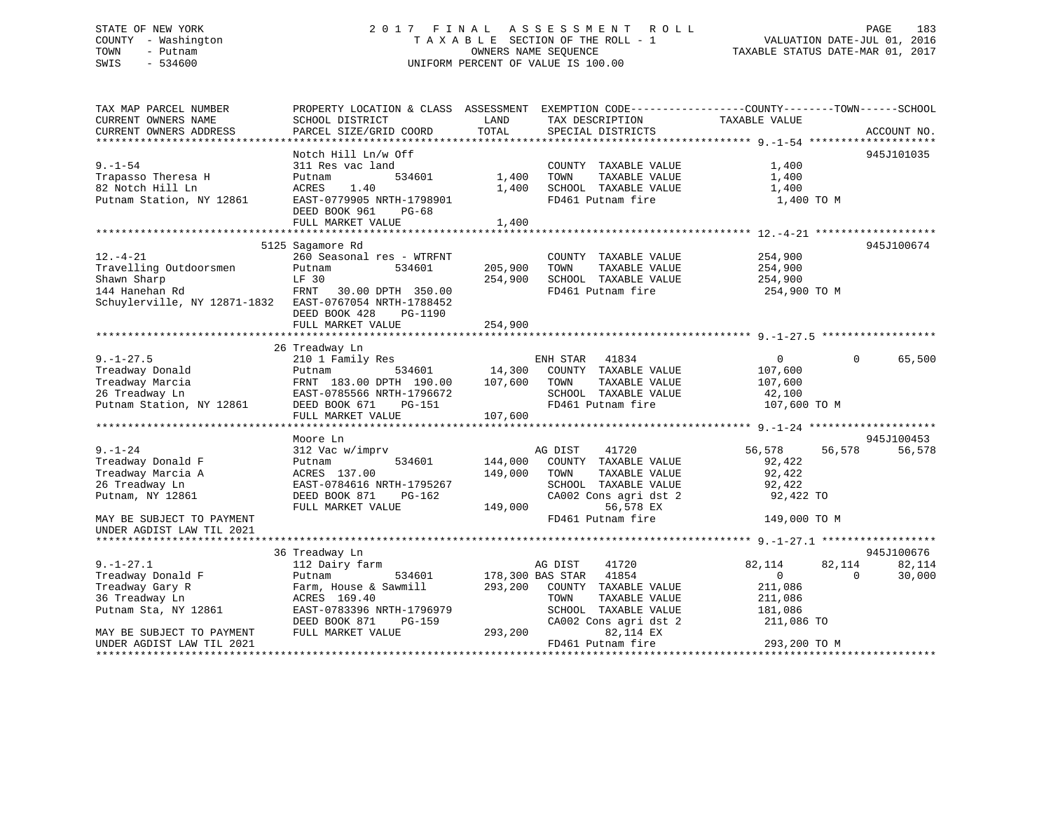# STATE OF NEW YORK 2 0 1 7 F I N A L A S S E S S M E N T R O L L PAGE 183 COUNTY - Washington T A X A B L E SECTION OF THE ROLL - 1 VALUATION DATE-JUL 01, 2016 TOWN - Putnam OWNERS NAME SEQUENCE TAXABLE STATUS DATE-MAR 01, 2017 SWIS - 534600 UNIFORM PERCENT OF VALUE IS 100.00

| TAX MAP PARCEL NUMBER                                  | PROPERTY LOCATION & CLASS ASSESSMENT EXEMPTION CODE----------------COUNTY-------TOWN------SCHOOL |                  |                       |                |                    |
|--------------------------------------------------------|--------------------------------------------------------------------------------------------------|------------------|-----------------------|----------------|--------------------|
| CURRENT OWNERS NAME                                    | SCHOOL DISTRICT                                                                                  | LAND             | TAX DESCRIPTION       | TAXABLE VALUE  |                    |
| CURRENT OWNERS ADDRESS                                 | PARCEL SIZE/GRID COORD                                                                           | TOTAL            | SPECIAL DISTRICTS     |                | ACCOUNT NO.        |
|                                                        | Notch Hill Ln/w Off                                                                              |                  |                       |                | 945J101035         |
| $9. - 1 - 54$                                          | 311 Res vac land                                                                                 |                  | COUNTY TAXABLE VALUE  | 1,400          |                    |
| Trapasso Theresa H                                     | 534601<br>Putnam                                                                                 | 1,400            | TOWN<br>TAXABLE VALUE | 1,400          |                    |
| 82 Notch Hill Ln                                       | ACRES<br>1.40                                                                                    | 1,400            | SCHOOL TAXABLE VALUE  | 1,400          |                    |
| Putnam Station, NY 12861                               | EAST-0779905 NRTH-1798901                                                                        |                  | FD461 Putnam fire     | 1,400 TO M     |                    |
|                                                        | DEED BOOK 961<br>PG-68                                                                           |                  |                       |                |                    |
|                                                        | FULL MARKET VALUE                                                                                | 1,400            |                       |                |                    |
|                                                        |                                                                                                  |                  |                       |                |                    |
|                                                        | 5125 Sagamore Rd                                                                                 |                  |                       |                | 945J100674         |
| $12. - 4 - 21$                                         | 260 Seasonal res - WTRFNT                                                                        |                  | COUNTY TAXABLE VALUE  | 254,900        |                    |
| Travelling Outdoorsmen                                 | Putnam<br>534601                                                                                 | 205,900          | TOWN<br>TAXABLE VALUE | 254,900        |                    |
| Shawn Sharp                                            | LF 30                                                                                            | 254,900          | SCHOOL TAXABLE VALUE  | 254,900        |                    |
| 144 Hanehan Rd                                         | FRNT<br>30.00 DPTH 350.00                                                                        |                  | FD461 Putnam fire     | 254,900 TO M   |                    |
| Schuylerville, NY 12871-1832 EAST-0767054 NRTH-1788452 |                                                                                                  |                  |                       |                |                    |
|                                                        | DEED BOOK 428<br>PG-1190                                                                         |                  |                       |                |                    |
|                                                        | FULL MARKET VALUE                                                                                | 254,900          |                       |                |                    |
|                                                        |                                                                                                  |                  |                       |                |                    |
|                                                        | 26 Treadway Ln                                                                                   |                  |                       |                |                    |
| $9. - 1 - 27.5$                                        | 210 1 Family Res                                                                                 |                  | ENH STAR 41834        | $\overline{0}$ | $\Omega$<br>65,500 |
| Treadway Donald                                        | Putnam                                                                                           |                  |                       | 107,600        |                    |
| Treadway Marcia                                        | FRNT 183.00 DPTH 190.00                                                                          |                  | TAXABLE VALUE         | 107,600        |                    |
| 26 Treadway Ln                                         | EAST-0785566 NRTH-1796672                                                                        |                  | SCHOOL TAXABLE VALUE  | 42,100         |                    |
| Putnam Station, NY 12861                               | DEED BOOK 671<br>PG-151                                                                          |                  | FD461 Putnam fire     | 107,600 TO M   |                    |
|                                                        | FULL MARKET VALUE                                                                                | 107,600          |                       |                |                    |
|                                                        |                                                                                                  |                  |                       |                |                    |
|                                                        | Moore Ln                                                                                         |                  |                       |                | 945J100453         |
| $9. - 1 - 24$                                          | 312 Vac w/imprv                                                                                  |                  | AG DIST<br>41720      | 56,578         | 56,578<br>56,578   |
| Treadway Donald F                                      | 534601<br>Putnam                                                                                 | 144,000          | COUNTY TAXABLE VALUE  | 92,422         |                    |
| Treadway Marcia A                                      | ACRES 137.00                                                                                     | 149,000          | TOWN<br>TAXABLE VALUE | 92,422         |                    |
| 26 Treadway Ln                                         | EAST-0784616 NRTH-1795267                                                                        |                  | SCHOOL TAXABLE VALUE  | 92,422         |                    |
| Putnam, NY 12861                                       | DEED BOOK 871<br>PG-162                                                                          |                  | CA002 Cons agri dst 2 | 92,422 TO      |                    |
|                                                        | FULL MARKET VALUE                                                                                | 149,000          | 56,578 EX             |                |                    |
| MAY BE SUBJECT TO PAYMENT                              |                                                                                                  |                  | FD461 Putnam fire     | 149,000 TO M   |                    |
| UNDER AGDIST LAW TIL 2021                              |                                                                                                  |                  |                       |                |                    |
|                                                        |                                                                                                  |                  |                       |                | 945J100676         |
| $9. - 1 - 27.1$                                        | 36 Treadway Ln<br>112 Dairy farm                                                                 |                  | 41720<br>AG DIST      | 82,114         | 82,114<br>82,114   |
| Treadway Donald F                                      | 534601<br>Putnam                                                                                 | 178,300 BAS STAR | 41854                 | $\Omega$       | 30,000<br>$\Omega$ |
| Treadway Gary R                                        | Farm, House & Sawmill                                                                            | 293,200          | COUNTY TAXABLE VALUE  | 211,086        |                    |
| 36 Treadway Ln                                         | ACRES 169.40                                                                                     |                  | TOWN<br>TAXABLE VALUE | 211,086        |                    |
| Putnam Sta, NY 12861                                   | EAST-0783396 NRTH-1796979                                                                        |                  | SCHOOL TAXABLE VALUE  | 181,086        |                    |
|                                                        | DEED BOOK 871<br>PG-159                                                                          |                  | CA002 Cons agri dst 2 | 211,086 TO     |                    |
| MAY BE SUBJECT TO PAYMENT                              | FULL MARKET VALUE                                                                                | 293,200          | 82,114 EX             |                |                    |
| UNDER AGDIST LAW TIL 2021                              |                                                                                                  |                  | FD461 Putnam fire     | 293,200 TO M   |                    |
|                                                        |                                                                                                  |                  |                       |                |                    |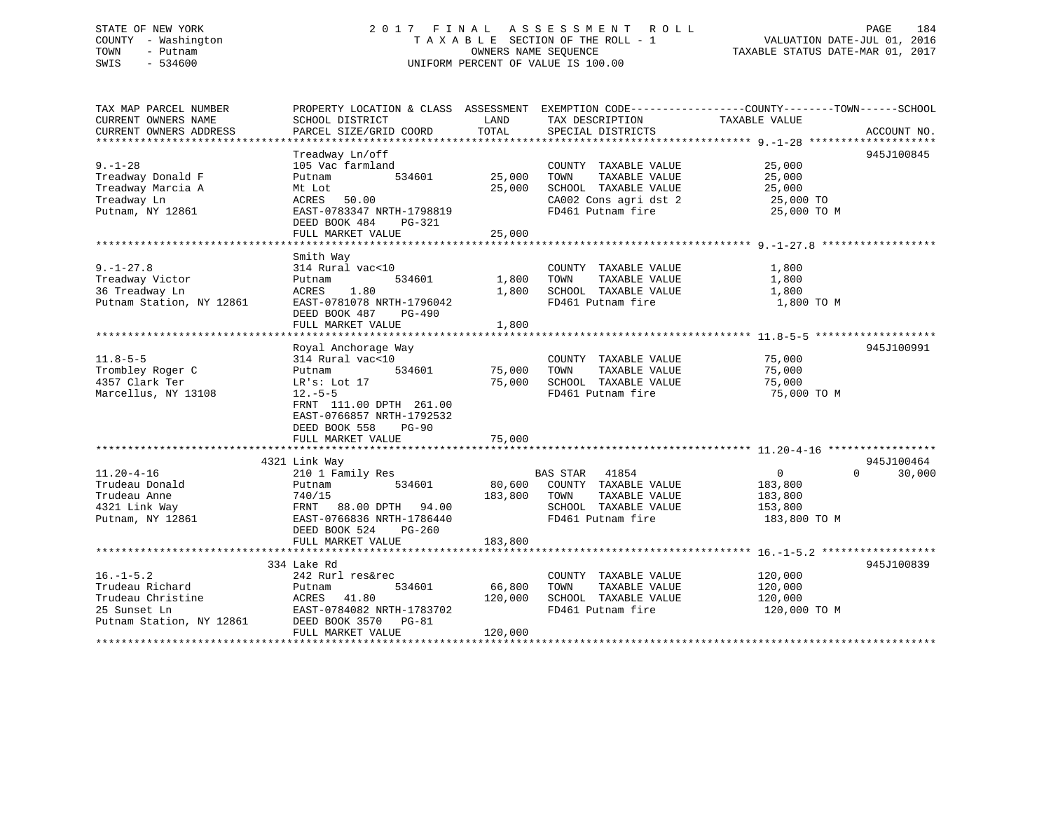# STATE OF NEW YORK 2 0 1 7 F I N A L A S S E S S M E N T R O L L PAGE 184 COUNTY - Washington T A X A B L E SECTION OF THE ROLL - 1 VALUATION DATE-JUL 01, 2016 TOWN - Putnam OWNERS NAME SEQUENCE TAXABLE STATUS DATE-MAR 01, 2017 SWIS - 534600 UNIFORM PERCENT OF VALUE IS 100.00

| TAX MAP PARCEL NUMBER<br>CURRENT OWNERS NAME<br>CURRENT OWNERS ADDRESS                              | PROPERTY LOCATION & CLASS ASSESSMENT EXEMPTION CODE----------------COUNTY-------TOWN------SCHOOL<br>SCHOOL DISTRICT<br>PARCEL SIZE/GRID COORD                                                          | LAND<br>TOTAL                | TAX DESCRIPTION<br>SPECIAL DISTRICTS                                                                                                   | TAXABLE VALUE                                                   | ACCOUNT NO.                      |
|-----------------------------------------------------------------------------------------------------|--------------------------------------------------------------------------------------------------------------------------------------------------------------------------------------------------------|------------------------------|----------------------------------------------------------------------------------------------------------------------------------------|-----------------------------------------------------------------|----------------------------------|
| $9. - 1 - 28$<br>Treadway Donald F<br>Treadway Marcia A<br>Treadway Ln<br>Putnam, NY 12861          | Treadway Ln/off<br>105 Vac farmland<br>534601<br>Putnam<br>Mt Lot<br>ACRES 50.00<br>EAST-0783347 NRTH-1798819<br>DEED BOOK 484<br>PG-321<br>FULL MARKET VALUE                                          | 25,000<br>25,000<br>25,000   | COUNTY TAXABLE VALUE 25,000<br>TAXABLE VALUE<br>TOWN<br>SCHOOL TAXABLE VALUE<br>CA002 Cons agri dst 2 $25,000$ TO<br>FD461 Putnam fire | 25,000<br>25,000<br>25,000 TO M                                 | 945J100845                       |
| $9. - 1 - 27.8$<br>Treadway Victor<br>36 Treadway Ln<br>Putnam Station, NY 12861                    | Smith Way<br>314 Rural vac<10<br>534601<br>Putnam<br>ACRES 1.80<br>EAST-0781078 NRTH-1796042<br>DEED BOOK 487 PG-490<br>FULL MARKET VALUE                                                              | 1,800<br>1,800               | COUNTY TAXABLE VALUE<br>TOWN<br>TAXABLE VALUE<br>1,800 SCHOOL TAXABLE VALUE<br>FD461 Putnam fire                                       | 1,800<br>1,800<br>1,800<br>1,800 TO M                           |                                  |
| $11.8 - 5 - 5$<br>Trombley Roger C<br>4357 Clark Ter<br>Marcellus, NY 13108                         | Royal Anchorage Way<br>314 Rural vac<10<br>534601<br>Putnam<br>LR's: Lot 17<br>$12.-5-5$<br>FRNT 111.00 DPTH 261.00<br>EAST-0766857 NRTH-1792532<br>DEED BOOK 558<br><b>PG-90</b><br>FULL MARKET VALUE | 75,000<br>75,000<br>75,000   | COUNTY TAXABLE VALUE<br>TAXABLE VALUE<br>TOWN<br>SCHOOL TAXABLE VALUE<br>FD461 Putnam fire                                             | 75,000<br>75,000<br>75,000<br>75,000 TO M                       | 945J100991                       |
| $11.20 - 4 - 16$<br>Trudeau Donald<br>Trudeau Anne<br>4321 Link Way<br>Putnam, NY 12861             | 4321 Link Way<br>210 1 Family Res<br>Putnam<br>183,800 TOWN<br>740/15<br>FRNT 88.00 DPTH 94.00<br>EAST-0766836 NRTH-1786440<br>DEED BOOK 524<br>$PG-260$<br>FULL MARKET VALUE                          | 183,800                      | <b>BAS STAR 41854</b><br>534601 80,600 COUNTY TAXABLE VALUE<br>TAXABLE VALUE<br>SCHOOL TAXABLE VALUE<br>FD461 Putnam fire              | $\overline{0}$<br>183,800<br>183,800<br>153,800<br>183,800 TO M | 945J100464<br>30,000<br>$\Omega$ |
| $16. - 1 - 5.2$<br>Trudeau Richard<br>Trudeau Christine<br>25 Sunset Ln<br>Putnam Station, NY 12861 | 334 Lake Rd<br>242 Rurl res&rec<br>534601<br>Putnam<br>ACRES 41.80<br>EAST-0784082 NRTH-1783702<br>DEED BOOK 3570 PG-81<br>FULL MARKET VALUE                                                           | 66,800<br>120,000<br>120,000 | COUNTY TAXABLE VALUE<br>TOWN<br>TAXABLE VALUE<br>SCHOOL TAXABLE VALUE<br>FD461 Putnam fire                                             | 120,000<br>120,000<br>120,000<br>120,000 TO M                   | 945J100839                       |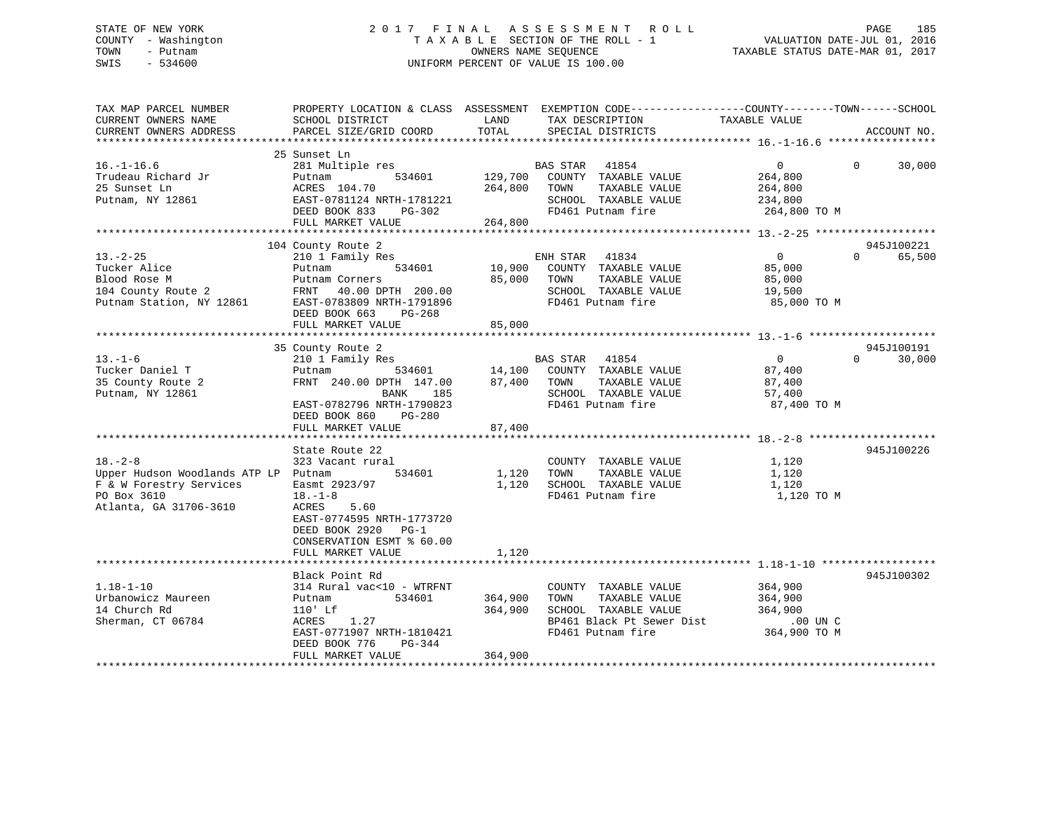# STATE OF NEW YORK 2 0 1 7 F I N A L A S S E S S M E N T R O L L PAGE 185 COUNTY - Washington T A X A B L E SECTION OF THE ROLL - 1 VALUATION DATE-JUL 01, 2016 TOWN - Putnam OWNERS NAME SEQUENCE TAXABLE STATUS DATE-MAR 01, 2017 SWIS - 534600 UNIFORM PERCENT OF VALUE IS 100.00

| TAX MAP PARCEL NUMBER                         |                                           |               | PROPERTY LOCATION & CLASS ASSESSMENT EXEMPTION CODE----------------COUNTY-------TOWN------SCHOOL |                |          |             |
|-----------------------------------------------|-------------------------------------------|---------------|--------------------------------------------------------------------------------------------------|----------------|----------|-------------|
| CURRENT OWNERS NAME<br>CURRENT OWNERS ADDRESS | SCHOOL DISTRICT<br>PARCEL SIZE/GRID COORD | LAND<br>TOTAL | TAX DESCRIPTION<br>SPECIAL DISTRICTS                                                             | TAXABLE VALUE  |          | ACCOUNT NO. |
| **************************                    |                                           |               |                                                                                                  |                |          |             |
|                                               | 25 Sunset Ln                              |               |                                                                                                  |                |          |             |
| $16. - 1 - 16.6$                              | 281 Multiple res                          |               | BAS STAR<br>41854                                                                                | $\overline{0}$ | $\Omega$ | 30,000      |
| Trudeau Richard Jr                            | 534601<br>Putnam                          | 129,700       | COUNTY TAXABLE VALUE                                                                             | 264,800        |          |             |
| 25 Sunset Ln                                  | ACRES 104.70                              | 264,800       | TAXABLE VALUE<br>TOWN                                                                            | 264,800        |          |             |
| Putnam, NY 12861                              | EAST-0781124 NRTH-1781221                 |               | SCHOOL TAXABLE VALUE                                                                             | 234,800        |          |             |
|                                               | DEED BOOK 833<br>$PG-302$                 |               | FD461 Putnam fire                                                                                | 264,800 TO M   |          |             |
|                                               | FULL MARKET VALUE                         | 264,800       |                                                                                                  |                |          |             |
|                                               |                                           |               |                                                                                                  |                |          |             |
|                                               | 104 County Route 2                        |               |                                                                                                  |                |          | 945J100221  |
| $13. - 2 - 25$                                | 210 1 Family Res                          |               | 41834<br>ENH STAR                                                                                | $\overline{0}$ | $\Omega$ | 65,500      |
| Tucker Alice                                  | 534601<br>Putnam                          | 10,900        | COUNTY TAXABLE VALUE                                                                             | 85,000         |          |             |
| Blood Rose M                                  | Putnam Corners                            | 85,000        | TOWN<br>TAXABLE VALUE                                                                            | 85,000         |          |             |
| 104 County Route 2                            | FRNT 40.00 DPTH 200.00                    |               | SCHOOL TAXABLE VALUE                                                                             | 19,500         |          |             |
| Putnam Station, NY 12861                      | EAST-0783809 NRTH-1791896                 |               | FD461 Putnam fire                                                                                | 85,000 TO M    |          |             |
|                                               | DEED BOOK 663<br>$PG-268$                 |               |                                                                                                  |                |          |             |
|                                               | FULL MARKET VALUE                         | 85,000        |                                                                                                  |                |          |             |
|                                               |                                           |               |                                                                                                  |                |          |             |
|                                               | 35 County Route 2                         |               |                                                                                                  |                |          | 945J100191  |
| $13. - 1 - 6$                                 | 210 1 Family Res                          |               | 41854<br><b>BAS STAR</b>                                                                         | $\overline{0}$ | $\Omega$ | 30,000      |
| Tucker Daniel T                               | Putnam<br>534601                          | 14,100        | COUNTY TAXABLE VALUE                                                                             | 87,400         |          |             |
| 35 County Route 2                             | FRNT 240.00 DPTH 147.00                   | 87,400        | TOWN<br>TAXABLE VALUE                                                                            | 87,400         |          |             |
| Putnam, NY 12861                              | 185<br>BANK                               |               | SCHOOL TAXABLE VALUE                                                                             | 57,400         |          |             |
|                                               | EAST-0782796 NRTH-1790823                 |               | FD461 Putnam fire                                                                                | 87,400 TO M    |          |             |
|                                               | DEED BOOK 860<br>PG-280                   |               |                                                                                                  |                |          |             |
|                                               | FULL MARKET VALUE                         | 87,400        |                                                                                                  |                |          |             |
|                                               |                                           |               |                                                                                                  |                |          |             |
|                                               | State Route 22                            |               |                                                                                                  |                |          | 945J100226  |
| $18. - 2 - 8$                                 | 323 Vacant rural                          |               | COUNTY TAXABLE VALUE                                                                             | 1,120          |          |             |
| Upper Hudson Woodlands ATP LP Putnam          | 534601                                    | 1,120         | TAXABLE VALUE<br>TOWN                                                                            | 1,120          |          |             |
| F & W Forestry Services                       | Easmt 2923/97                             | 1,120         | SCHOOL TAXABLE VALUE                                                                             | 1,120          |          |             |
| PO Box 3610                                   | $18. - 1 - 8$                             |               | FD461 Putnam fire                                                                                | 1,120 TO M     |          |             |
| Atlanta, GA 31706-3610                        | ACRES<br>5.60                             |               |                                                                                                  |                |          |             |
|                                               | EAST-0774595 NRTH-1773720                 |               |                                                                                                  |                |          |             |
|                                               | DEED BOOK 2920<br>$PG-1$                  |               |                                                                                                  |                |          |             |
|                                               | CONSERVATION ESMT % 60.00                 |               |                                                                                                  |                |          |             |
|                                               | FULL MARKET VALUE                         | 1,120         |                                                                                                  |                |          |             |
|                                               |                                           |               |                                                                                                  |                |          |             |
|                                               | Black Point Rd                            |               |                                                                                                  |                |          | 945J100302  |
| $1.18 - 1 - 10$                               | 314 Rural vac<10 - WTRFNT                 |               | COUNTY TAXABLE VALUE                                                                             | 364,900        |          |             |
| Urbanowicz Maureen                            | 534601<br>Putnam                          | 364,900       | TOWN<br>TAXABLE VALUE                                                                            | 364,900        |          |             |
| 14 Church Rd                                  | $110'$ Lf                                 | 364,900       | SCHOOL TAXABLE VALUE                                                                             | 364,900        |          |             |
| Sherman, CT 06784                             | ACRES<br>1.27                             |               | BP461 Black Pt Sewer Dist                                                                        | .00 UN C       |          |             |
|                                               | EAST-0771907 NRTH-1810421                 |               | FD461 Putnam fire                                                                                | 364,900 TO M   |          |             |
|                                               | DEED BOOK 776<br>PG-344                   |               |                                                                                                  |                |          |             |
|                                               | FULL MARKET VALUE                         | 364,900       |                                                                                                  |                |          |             |
|                                               |                                           |               |                                                                                                  |                |          |             |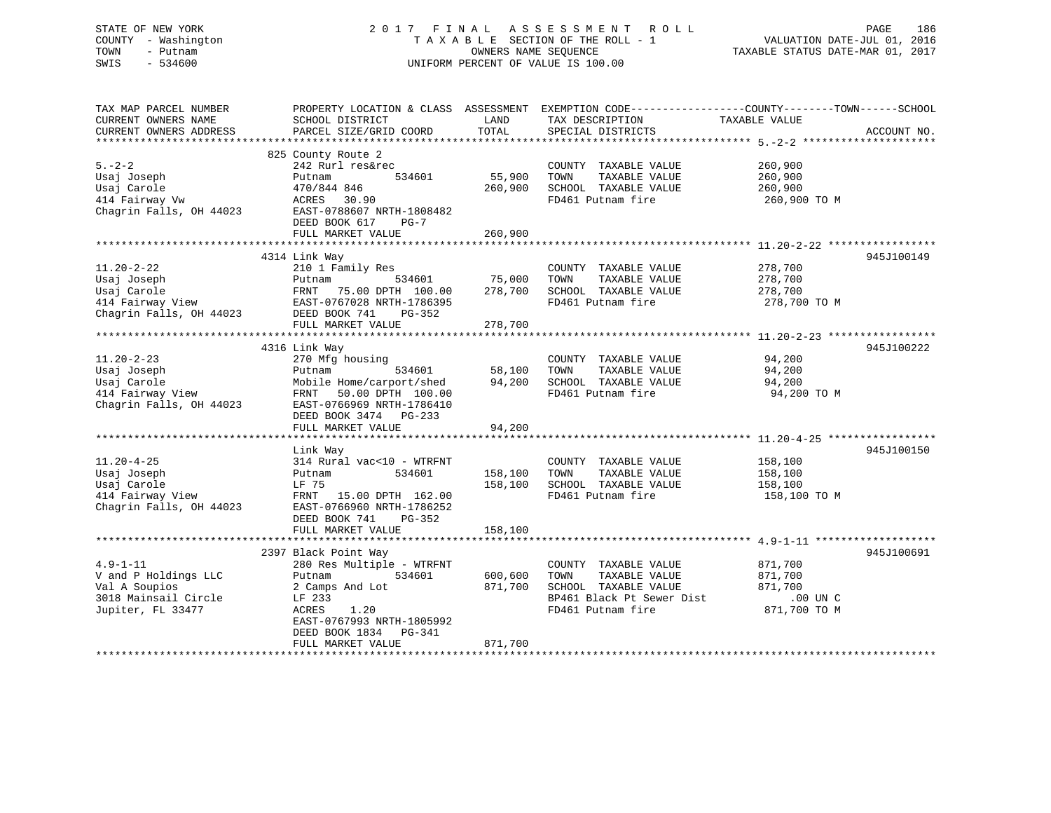# STATE OF NEW YORK 2 0 1 7 F I N A L A S S E S S M E N T R O L L PAGE 186 COUNTY - Washington T A X A B L E SECTION OF THE ROLL - 1 VALUATION DATE-JUL 01, 2016 TOWN - Putnam OWNERS NAME SEQUENCE TAXABLE STATUS DATE-MAR 01, 2017 SWIS - 534600 UNIFORM PERCENT OF VALUE IS 100.00

| TAX MAP PARCEL NUMBER<br>CURRENT OWNERS NAME<br>CURRENT OWNERS ADDRESS                               | SCHOOL DISTRICT<br>PARCEL SIZE/GRID COORD                                                                                                                                                         | LAND<br>TOTAL                 | TAX DESCRIPTION<br>SPECIAL DISTRICTS                                                                                    | PROPERTY LOCATION & CLASS ASSESSMENT EXEMPTION CODE---------------COUNTY-------TOWN------SCHOOL<br>TAXABLE VALUE<br>ACCOUNT NO. |  |
|------------------------------------------------------------------------------------------------------|---------------------------------------------------------------------------------------------------------------------------------------------------------------------------------------------------|-------------------------------|-------------------------------------------------------------------------------------------------------------------------|---------------------------------------------------------------------------------------------------------------------------------|--|
| $5. - 2 - 2$<br>Usaj Joseph<br>Usaj Carole<br>414 Fairway Vw<br>Chagrin Falls, OH 44023              | 825 County Route 2<br>242 Rurl res&rec<br>534601<br>Putnam<br>470/844 846<br>ACRES<br>30.90<br>EAST-0788607 NRTH-1808482<br>DEED BOOK 617<br>$PG-7$<br>FULL MARKET VALUE                          | 55,900<br>260,900<br>260,900  | COUNTY TAXABLE VALUE<br>TOWN<br>TAXABLE VALUE<br>SCHOOL TAXABLE VALUE<br>FD461 Putnam fire                              | 260,900<br>260,900<br>260,900<br>260,900 TO M                                                                                   |  |
| $11.20 - 2 - 22$<br>Usaj Joseph<br>Usaj Carole<br>414 Fairway View<br>Chagrin Falls, OH 44023        | 4314 Link Way<br>210 1 Family Res<br>534601<br>Putnam<br>FRNT<br>75.00 DPTH 100.00<br>EAST-0767028 NRTH-1786395<br>DEED BOOK 741<br>$PG-352$<br>FULL MARKET VALUE                                 | 75,000<br>278,700<br>278,700  | COUNTY TAXABLE VALUE<br>TOWN<br>TAXABLE VALUE<br>SCHOOL TAXABLE VALUE<br>FD461 Putnam fire                              | 945J100149<br>278,700<br>278,700<br>278,700<br>278,700 TO M                                                                     |  |
| $11.20 - 2 - 23$<br>Usaj Joseph<br>Usaj Carole<br>414 Fairway View<br>Chagrin Falls, OH 44023        | 4316 Link Way<br>270 Mfg housing<br>534601<br>Putnam<br>Mobile Home/carport/shed<br>FRNT<br>50.00 DPTH 100.00<br>EAST-0766969 NRTH-1786410<br>DEED BOOK 3474 PG-233<br>FULL MARKET VALUE          | 58,100<br>94,200<br>94,200    | COUNTY TAXABLE VALUE<br>TOWN<br>TAXABLE VALUE<br>SCHOOL TAXABLE VALUE<br>FD461 Putnam fire                              | 945J100222<br>94,200<br>94,200<br>94,200<br>94,200 TO M                                                                         |  |
| $11.20 - 4 - 25$<br>Usaj Joseph<br>Usaj Carole<br>414 Fairway View<br>Chagrin Falls, OH 44023        | Link Way<br>314 Rural vac<10 - WTRFNT<br>534601<br>Putnam<br>LF 75<br>15.00 DPTH 162.00<br>FRNT<br>EAST-0766960 NRTH-1786252<br>DEED BOOK 741<br>$PG-352$<br>FULL MARKET VALUE                    | 158,100<br>158,100<br>158,100 | COUNTY TAXABLE VALUE<br>TOWN<br>TAXABLE VALUE<br>SCHOOL TAXABLE VALUE<br>FD461 Putnam fire                              | 945J100150<br>158,100<br>158,100<br>158,100<br>158,100 TO M                                                                     |  |
| $4.9 - 1 - 11$<br>V and P Holdings LLC<br>Val A Soupios<br>3018 Mainsail Circle<br>Jupiter, FL 33477 | 2397 Black Point Way<br>280 Res Multiple - WTRFNT<br>534601<br>Putnam<br>2 Camps And Lot<br>LF 233<br>ACRES<br>1.20<br>EAST-0767993 NRTH-1805992<br>DEED BOOK 1834<br>PG-341<br>FULL MARKET VALUE | 600,600<br>871,700<br>871,700 | COUNTY TAXABLE VALUE<br>TOWN<br>TAXABLE VALUE<br>SCHOOL TAXABLE VALUE<br>BP461 Black Pt Sewer Dist<br>FD461 Putnam fire | 945J100691<br>871,700<br>871,700<br>871,700<br>$.00$ UN $C$<br>871,700 TO M                                                     |  |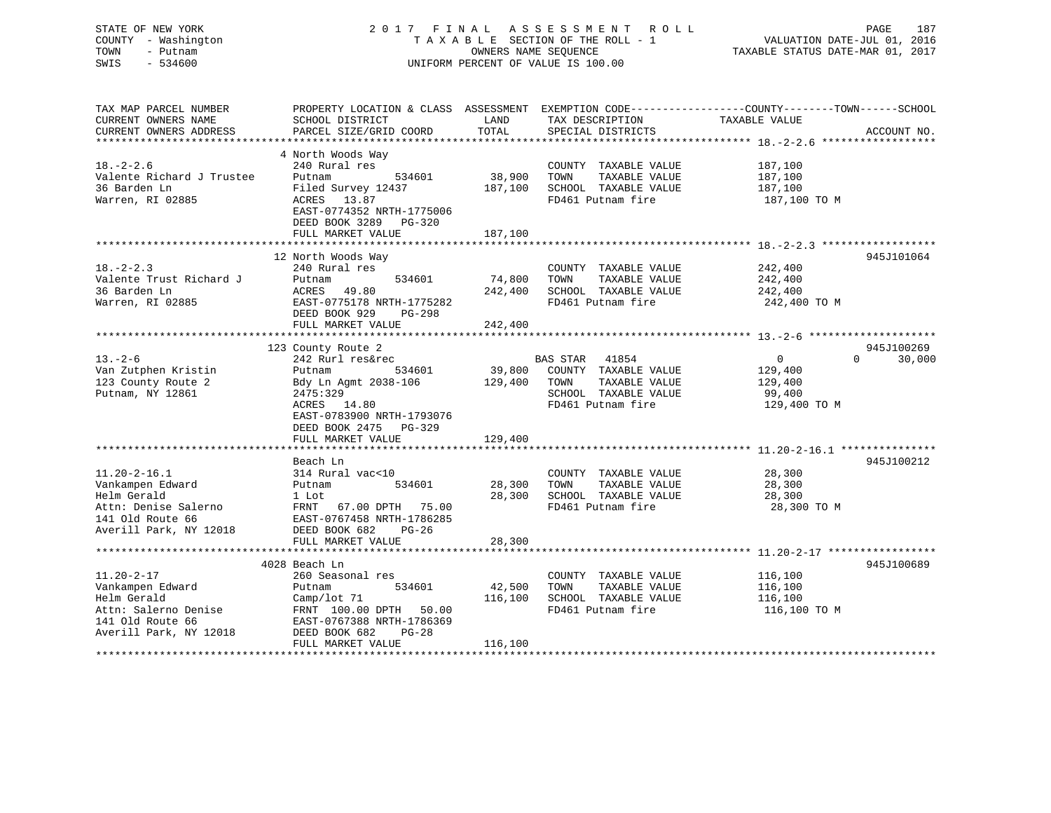# STATE OF NEW YORK 2 0 1 7 F I N A L A S S E S S M E N T R O L L PAGE 187 COUNTY - Washington T A X A B L E SECTION OF THE ROLL - 1 VALUATION DATE-JUL 01, 2016 TOWN - Putnam OWNERS NAME SEQUENCE TAXABLE STATUS DATE-MAR 01, 2017 SWIS - 534600 UNIFORM PERCENT OF VALUE IS 100.00

| TAX MAP PARCEL NUMBER<br>CURRENT OWNERS NAME                                                                                | PROPERTY LOCATION & CLASS ASSESSMENT EXEMPTION CODE---------------COUNTY-------TOWN-----SCHOOL<br>SCHOOL DISTRICT                              | LAND              | TAX DESCRIPTION                                                                            | TAXABLE VALUE                                 |                                  |
|-----------------------------------------------------------------------------------------------------------------------------|------------------------------------------------------------------------------------------------------------------------------------------------|-------------------|--------------------------------------------------------------------------------------------|-----------------------------------------------|----------------------------------|
| CURRENT OWNERS ADDRESS                                                                                                      | PARCEL SIZE/GRID COORD                                                                                                                         | TOTAL             | SPECIAL DISTRICTS                                                                          |                                               | ACCOUNT NO.                      |
| $18. - 2 - 2.6$<br>Valente Richard J Trustee<br>36 Barden Ln<br>Warren, RI 02885                                            | 4 North Woods Way<br>240 Rural res<br>Putnam<br>534601<br>Filed Survey 12437<br>ACRES<br>13.87<br>EAST-0774352 NRTH-1775006                    | 38,900<br>187,100 | COUNTY TAXABLE VALUE<br>TOWN<br>TAXABLE VALUE<br>SCHOOL TAXABLE VALUE<br>FD461 Putnam fire | 187,100<br>187,100<br>187,100<br>187,100 TO M |                                  |
|                                                                                                                             | DEED BOOK 3289<br>$PG-320$<br>FULL MARKET VALUE                                                                                                | 187,100           |                                                                                            |                                               |                                  |
|                                                                                                                             | 12 North Woods Way                                                                                                                             |                   |                                                                                            |                                               | 945J101064                       |
| $18. - 2 - 2.3$<br>Valente Trust Richard J<br>36 Barden Ln<br>Warren, RI 02885                                              | 240 Rural res<br>534601<br>Putnam<br>49.80<br>ACRES<br>EAST-0775178 NRTH-1775282<br>DEED BOOK 929<br>$PG-298$                                  | 74,800<br>242,400 | COUNTY TAXABLE VALUE<br>TOWN<br>TAXABLE VALUE<br>SCHOOL TAXABLE VALUE<br>FD461 Putnam fire | 242,400<br>242,400<br>242,400<br>242,400 TO M |                                  |
|                                                                                                                             | FULL MARKET VALUE                                                                                                                              | 242,400           |                                                                                            |                                               |                                  |
| $13. - 2 - 6$                                                                                                               | 123 County Route 2<br>242 Rurl res&rec                                                                                                         |                   | BAS STAR 41854                                                                             | $\overline{0}$                                | 945J100269<br>$\Omega$<br>30,000 |
| Van Zutphen Kristin<br>123 County Route 2<br>Putnam, NY 12861                                                               | 534601<br>Putnam<br>Bdy Ln Agmt 2038-106<br>2475:329<br>ACRES 14.80<br>EAST-0783900 NRTH-1793076<br>DEED BOOK 2475<br>PG-329                   | 39,800<br>129,400 | COUNTY TAXABLE VALUE<br>TAXABLE VALUE<br>TOWN<br>SCHOOL TAXABLE VALUE<br>FD461 Putnam fire | 129,400<br>129,400<br>99,400<br>129,400 TO M  |                                  |
|                                                                                                                             | FULL MARKET VALUE                                                                                                                              | 129,400           |                                                                                            |                                               |                                  |
|                                                                                                                             |                                                                                                                                                |                   |                                                                                            |                                               |                                  |
| $11.20 - 2 - 16.1$<br>Vankampen Edward<br>Helm Gerald<br>Attn: Denise Salerno<br>141 Old Route 66<br>Averill Park, NY 12018 | Beach Ln<br>314 Rural vac<10<br>Putnam<br>534601<br>1 Lot<br>FRNT<br>67.00 DPTH 75.00<br>EAST-0767458 NRTH-1786285<br>DEED BOOK 682<br>$PG-26$ | 28,300<br>28,300  | COUNTY TAXABLE VALUE<br>TOWN<br>TAXABLE VALUE<br>SCHOOL TAXABLE VALUE<br>FD461 Putnam fire | 28,300<br>28,300<br>28,300<br>28,300 TO M     | 945J100212                       |
|                                                                                                                             | FULL MARKET VALUE                                                                                                                              | 28,300            |                                                                                            |                                               |                                  |
|                                                                                                                             | 4028 Beach Ln                                                                                                                                  |                   |                                                                                            |                                               | 945J100689                       |
| $11.20 - 2 - 17$<br>Vankampen Edward<br>Helm Gerald<br>Attn: Salerno Denise<br>141 Old Route 66<br>Averill Park, NY 12018   | 260 Seasonal res<br>Putnam<br>534601<br>Camp/lot 71<br>FRNT 100.00 DPTH<br>50.00<br>EAST-0767388 NRTH-1786369<br>DEED BOOK 682<br>$PG-28$      | 42,500<br>116,100 | COUNTY TAXABLE VALUE<br>TAXABLE VALUE<br>TOWN<br>SCHOOL TAXABLE VALUE<br>FD461 Putnam fire | 116,100<br>116,100<br>116,100<br>116,100 TO M |                                  |
|                                                                                                                             | FULL MARKET VALUE                                                                                                                              | 116,100           |                                                                                            |                                               |                                  |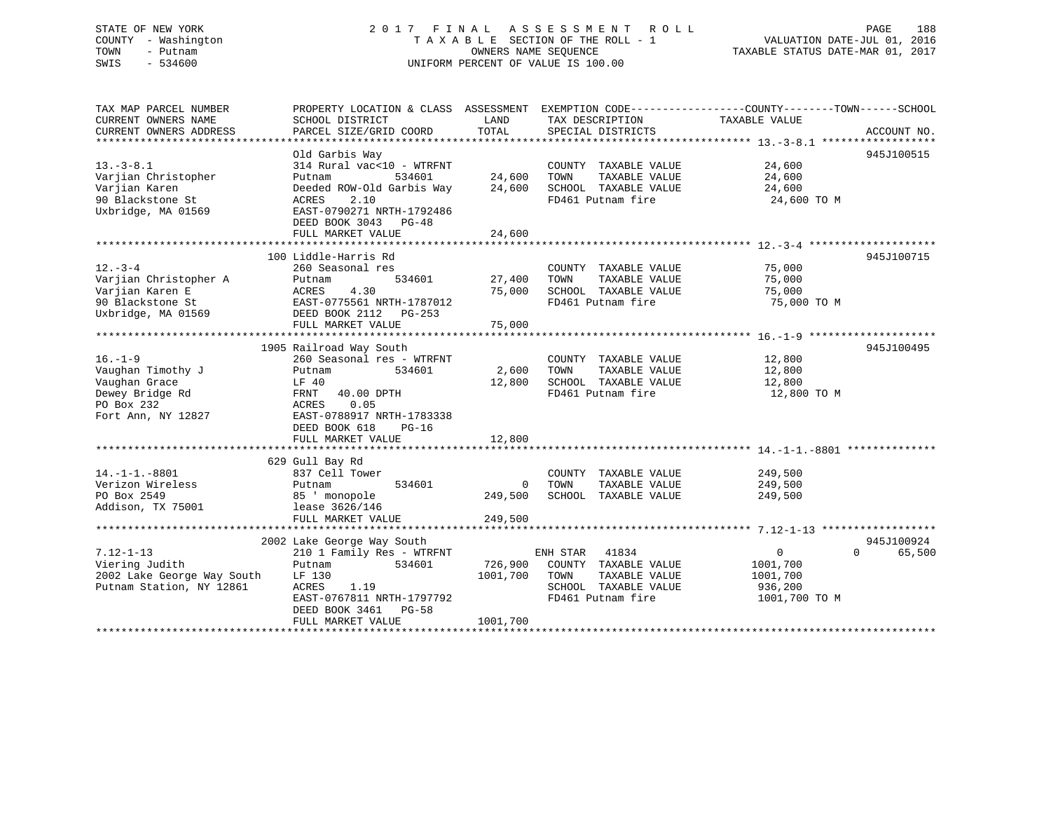# STATE OF NEW YORK 2 0 1 7 F I N A L A S S E S S M E N T R O L L PAGE 188COUNTY - Washington  $T A X A B L E$  SECTION OF THE ROLL - 1<br>TOWN - Putnam data of the COUNTERS NAME SEQUENCE SWIS - 534600 UNIFORM PERCENT OF VALUE IS 100.00

VALUATION DATE-JUL 01, 2016

TAXABLE STATUS DATE-MAR 01, 2017

| TAX MAP PARCEL NUMBER<br>CURRENT OWNERS NAME<br>CURRENT OWNERS ADDRESS                                     | PROPERTY LOCATION & CLASS ASSESSMENT EXEMPTION CODE----------------COUNTY-------TOWN------SCHOOL<br>SCHOOL DISTRICT<br>PARCEL SIZE/GRID COORD                                                       | LAND<br>TOTAL                        | TAX DESCRIPTION<br>SPECIAL DISTRICTS                                                                   | TAXABLE VALUE                                         | ACCOUNT NO.                      |
|------------------------------------------------------------------------------------------------------------|-----------------------------------------------------------------------------------------------------------------------------------------------------------------------------------------------------|--------------------------------------|--------------------------------------------------------------------------------------------------------|-------------------------------------------------------|----------------------------------|
| $13.-3-8.1$<br>Varjian Christopher<br>Varjian Karen<br>90 Blackstone St<br>Uxbridge, MA 01569              | Old Garbis Way<br>314 Rural vac<10 - WTRFNT<br>Putnam<br>534601<br>Deeded ROW-Old Garbis Way<br>2.10<br>ACRES<br>EAST-0790271 NRTH-1792486<br>DEED BOOK 3043 PG-48<br>FULL MARKET VALUE             | 24,600<br>24,600<br>24,600           | COUNTY TAXABLE VALUE<br>TAXABLE VALUE<br>TOWN<br>SCHOOL TAXABLE VALUE<br>FD461 Putnam fire 24,600 TO M | 24,600<br>24,600<br>24,600                            | 945J100515                       |
| $12. - 3 - 4$<br>Varjian Christopher A<br>Varjian Karen E<br>90 Blackstone St<br>Uxbridge, MA 01569        | 100 Liddle-Harris Rd<br>260 Seasonal res<br>534601<br>Putnam<br>4.30<br>ACRES<br>EAST-0775561 NRTH-1787012<br>DEED BOOK 2112 PG-253                                                                 | 27,400<br>75,000                     | COUNTY TAXABLE VALUE<br>TOWN<br>TAXABLE VALUE<br>SCHOOL TAXABLE VALUE<br>FD461 Putnam fire             | 75,000<br>75,000<br>75,000<br>75,000 TO M             | 945J100715                       |
| $16. - 1 - 9$<br>Vaughan Timothy J<br>Vaughan Grace<br>Dewey Bridge Rd<br>PO Box 232<br>Fort Ann, NY 12827 | 1905 Railroad Way South<br>260 Seasonal res - WTRFNT<br>534601<br>Putnam<br>LF 40<br>FRNT 40.00 DPTH<br>ACRES<br>0.05<br>EAST-0788917 NRTH-1783338<br>DEED BOOK 618<br>$PG-16$<br>FULL MARKET VALUE | 2,600<br>12,800<br>12,800            | COUNTY TAXABLE VALUE<br>TAXABLE VALUE<br>TOWN<br>SCHOOL TAXABLE VALUE<br>FD461 Putnam fire             | 12,800<br>12,800<br>12,800<br>12,800 TO M             | 945J100495                       |
| $14. -1 - 1. -8801$<br>Verizon Wireless<br>PO Box 2549<br>Addison, TX 75001                                | 629 Gull Bay Rd<br>837 Cell Tower<br>534601<br>Putnam<br>85 ' monopole<br>lease 3626/146<br>FULL MARKET VALUE                                                                                       | 0<br>249,500<br>249,500              | COUNTY TAXABLE VALUE<br>TOWN<br>TAXABLE VALUE<br>SCHOOL TAXABLE VALUE                                  | 249,500<br>249,500<br>249,500                         |                                  |
| $7.12 - 1 - 13$<br>Viering Judith<br>2002 Lake George Way South<br>Putnam Station, NY 12861                | 2002 Lake George Way South<br>210 1 Family Res - WTRFNT<br>534601<br>Putnam<br>LF 130<br>ACRES<br>1.19<br>EAST-0767811 NRTH-1797792<br>DEED BOOK 3461 PG-58<br>FULL MARKET VALUE                    | 726,900<br>1001,700 TOWN<br>1001,700 | ENH STAR 41834<br>COUNTY TAXABLE VALUE<br>TAXABLE VALUE<br>SCHOOL TAXABLE VALUE<br>FD461 Putnam fire   | 0<br>1001,700<br>1001,700<br>936,200<br>1001,700 TO M | 945J100924<br>65,500<br>$\Omega$ |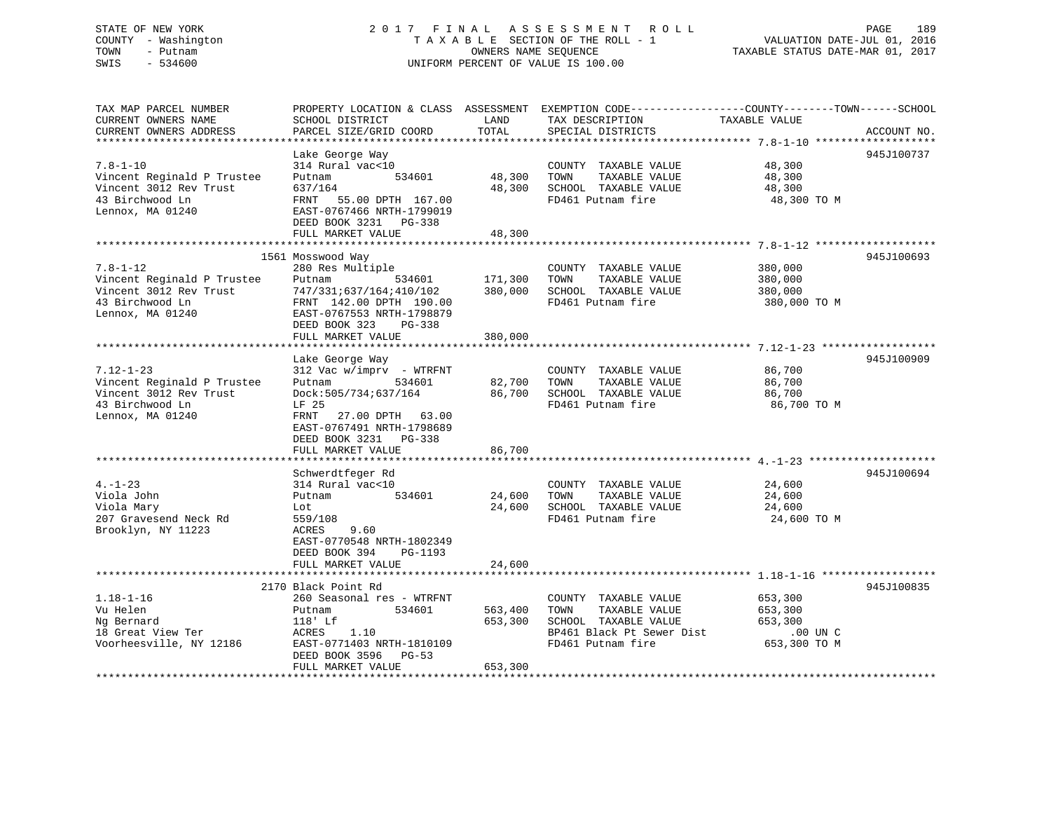# STATE OF NEW YORK 2 0 1 7 F I N A L A S S E S S M E N T R O L L PAGE 189 COUNTY - Washington T A X A B L E SECTION OF THE ROLL - 1 VALUATION DATE-JUL 01, 2016 TOWN - Putnam OWNERS NAME SEQUENCE TAXABLE STATUS DATE-MAR 01, 2017 SWIS - 534600 UNIFORM PERCENT OF VALUE IS 100.00

| TAX MAP PARCEL NUMBER<br>CURRENT OWNERS NAME         | PROPERTY LOCATION & CLASS ASSESSMENT<br>SCHOOL DISTRICT | LAND    | TAX DESCRIPTION           | EXEMPTION CODE-----------------COUNTY-------TOWN------SCHOOL<br>TAXABLE VALUE |
|------------------------------------------------------|---------------------------------------------------------|---------|---------------------------|-------------------------------------------------------------------------------|
| CURRENT OWNERS ADDRESS<br>************************** | PARCEL SIZE/GRID COORD                                  | TOTAL   | SPECIAL DISTRICTS         | ACCOUNT NO.                                                                   |
|                                                      | Lake George Way                                         |         |                           | 945J100737                                                                    |
| $7.8 - 1 - 10$                                       | 314 Rural vac<10                                        |         | COUNTY TAXABLE VALUE      | 48,300                                                                        |
| Vincent Reginald P Trustee                           | 534601<br>Putnam                                        | 48,300  | TOWN<br>TAXABLE VALUE     | 48,300                                                                        |
| Vincent 3012 Rev Trust                               | 637/164                                                 | 48,300  | SCHOOL TAXABLE VALUE      | 48,300                                                                        |
| 43 Birchwood Ln                                      | FRNT<br>55.00 DPTH 167.00                               |         | FD461 Putnam fire         | 48,300 TO M                                                                   |
| Lennox, MA 01240                                     | EAST-0767466 NRTH-1799019                               |         |                           |                                                                               |
|                                                      | DEED BOOK 3231 PG-338                                   |         |                           |                                                                               |
|                                                      | FULL MARKET VALUE                                       | 48,300  |                           |                                                                               |
|                                                      |                                                         |         |                           |                                                                               |
|                                                      | 1561 Mosswood Way                                       |         |                           | 945J100693                                                                    |
| $7.8 - 1 - 12$                                       | 280 Res Multiple                                        |         | COUNTY TAXABLE VALUE      | 380,000                                                                       |
| Vincent Reginald P Trustee                           | Putnam<br>534601                                        | 171,300 | TOWN<br>TAXABLE VALUE     | 380,000                                                                       |
| Vincent 3012 Rev Trust                               | 747/331;637/164;410/102                                 | 380,000 | SCHOOL TAXABLE VALUE      | 380,000                                                                       |
| 43 Birchwood Ln                                      | FRNT 142.00 DPTH 190.00                                 |         | FD461 Putnam fire         | 380,000 TO M                                                                  |
| Lennox, MA 01240                                     | EAST-0767553 NRTH-1798879                               |         |                           |                                                                               |
|                                                      | DEED BOOK 323<br>PG-338<br>FULL MARKET VALUE            | 380,000 |                           |                                                                               |
|                                                      |                                                         |         |                           |                                                                               |
|                                                      | Lake George Way                                         |         |                           | 945J100909                                                                    |
| $7.12 - 1 - 23$                                      | $312$ Vac w/imprv - WTRFNT                              |         | COUNTY TAXABLE VALUE      | 86,700                                                                        |
| Vincent Reginald P Trustee                           | 534601<br>Putnam                                        | 82,700  | TOWN<br>TAXABLE VALUE     | 86,700                                                                        |
| Vincent 3012 Rev Trust                               | Dock:505/734;637/164                                    | 86,700  | SCHOOL TAXABLE VALUE      | 86,700                                                                        |
| 43 Birchwood Ln                                      | LF 25                                                   |         | FD461 Putnam fire         | 86,700 TO M                                                                   |
| Lennox, MA 01240                                     | FRNT<br>27.00 DPTH 63.00                                |         |                           |                                                                               |
|                                                      | EAST-0767491 NRTH-1798689                               |         |                           |                                                                               |
|                                                      | DEED BOOK 3231 PG-338                                   |         |                           |                                                                               |
|                                                      | FULL MARKET VALUE                                       | 86,700  |                           |                                                                               |
|                                                      |                                                         |         |                           |                                                                               |
|                                                      | Schwerdtfeger Rd                                        |         |                           | 945J100694                                                                    |
| $4. - 1 - 23$                                        | 314 Rural vac<10                                        |         | COUNTY TAXABLE VALUE      | 24,600                                                                        |
| Viola John                                           | Putnam<br>534601                                        | 24,600  | TAXABLE VALUE<br>TOWN     | 24,600                                                                        |
| Viola Mary                                           | Lot                                                     | 24,600  | SCHOOL TAXABLE VALUE      | 24,600                                                                        |
| 207 Gravesend Neck Rd                                | 559/108                                                 |         | FD461 Putnam fire         | 24,600 TO M                                                                   |
| Brooklyn, NY 11223                                   | ACRES<br>9.60                                           |         |                           |                                                                               |
|                                                      | EAST-0770548 NRTH-1802349                               |         |                           |                                                                               |
|                                                      | DEED BOOK 394<br>PG-1193                                |         |                           |                                                                               |
|                                                      | FULL MARKET VALUE                                       | 24,600  |                           |                                                                               |
|                                                      | 2170 Black Point Rd                                     |         |                           | 945J100835                                                                    |
| $1.18 - 1 - 16$                                      | 260 Seasonal res - WTRFNT                               |         | COUNTY TAXABLE VALUE      | 653,300                                                                       |
| Vu Helen                                             | 534601<br>Putnam                                        | 563,400 | TOWN<br>TAXABLE VALUE     | 653,300                                                                       |
| Ng Bernard                                           | $118$ ' Lf                                              | 653,300 | SCHOOL TAXABLE VALUE      | 653,300                                                                       |
| 18 Great View Ter                                    | ACRES<br>1.10                                           |         | BP461 Black Pt Sewer Dist | $.00$ UN $C$                                                                  |
| Voorheesville, NY 12186                              | EAST-0771403 NRTH-1810109                               |         | FD461 Putnam fire         | 653,300 TO M                                                                  |
|                                                      | DEED BOOK 3596<br>PG-53                                 |         |                           |                                                                               |
|                                                      | FULL MARKET VALUE                                       | 653,300 |                           |                                                                               |
|                                                      |                                                         |         |                           |                                                                               |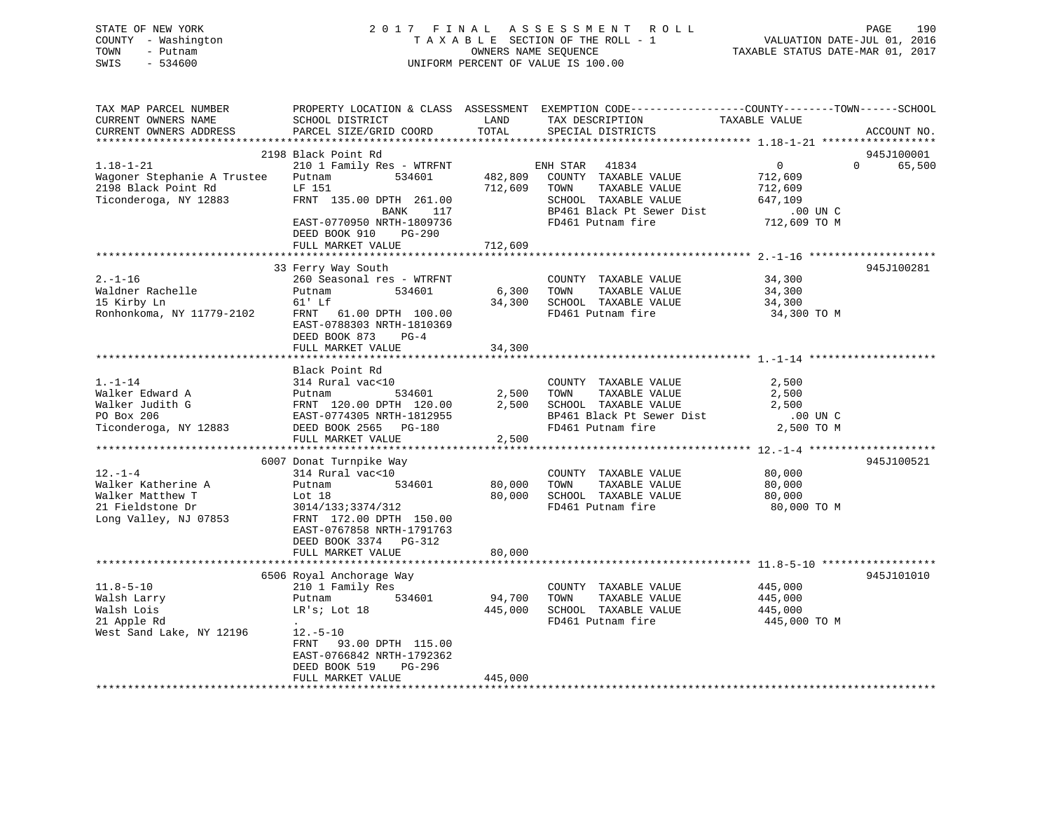# STATE OF NEW YORK 2 0 1 7 F I N A L A S S E S S M E N T R O L L PAGE 190 COUNTY - Washington T A X A B L E SECTION OF THE ROLL - 1 VALUATION DATE-JUL 01, 2016 TOWN - Putnam OWNERS NAME SEQUENCE TAXABLE STATUS DATE-MAR 01, 2017 SWIS - 534600 UNIFORM PERCENT OF VALUE IS 100.00

| TAX MAP PARCEL NUMBER<br>CURRENT OWNERS NAME<br>CURRENT OWNERS ADDRESS                               | SCHOOL DISTRICT<br>PARCEL SIZE/GRID COORD                                                                                                                                                               | LAND<br>TOTAL                 | PROPERTY LOCATION & CLASS ASSESSMENT EXEMPTION CODE----------------COUNTY-------TOWN------SCHOOL<br>TAX DESCRIPTION<br>SPECIAL DISTRICTS     | TAXABLE VALUE                                                               | ACCOUNT NO.                      |
|------------------------------------------------------------------------------------------------------|---------------------------------------------------------------------------------------------------------------------------------------------------------------------------------------------------------|-------------------------------|----------------------------------------------------------------------------------------------------------------------------------------------|-----------------------------------------------------------------------------|----------------------------------|
| ***********************                                                                              |                                                                                                                                                                                                         |                               |                                                                                                                                              |                                                                             |                                  |
| $1.18 - 1 - 21$<br>Wagoner Stephanie A Trustee<br>2198 Black Point Rd<br>Ticonderoga, NY 12883       | 2198 Black Point Rd<br>210 1 Family Res - WTRFNT<br>534601<br>Putnam<br>LF 151<br>FRNT 135.00 DPTH 261.00<br>117<br>BANK<br>EAST-0770950 NRTH-1809736<br>DEED BOOK 910<br>$PG-290$<br>FULL MARKET VALUE | 482,809<br>712,609<br>712,609 | ENH STAR<br>41834<br>COUNTY TAXABLE VALUE<br>TAXABLE VALUE<br>TOWN<br>SCHOOL TAXABLE VALUE<br>BP461 Black Pt Sewer Dist<br>FD461 Putnam fire | $\overline{0}$<br>712,609<br>712,609<br>647,109<br>.00 UN C<br>712,609 TO M | 945J100001<br>$\Omega$<br>65,500 |
|                                                                                                      |                                                                                                                                                                                                         |                               |                                                                                                                                              |                                                                             |                                  |
| $2. - 1 - 16$<br>Waldner Rachelle<br>15 Kirby Ln<br>Ronhonkoma, NY 11779-2102                        | 33 Ferry Way South<br>260 Seasonal res - WTRFNT<br>534601<br>Putnam<br>61' Lf<br>FRNT 61.00 DPTH 100.00<br>EAST-0788303 NRTH-1810369<br>DEED BOOK 873 PG-4<br>FULL MARKET VALUE                         | 6,300<br>34,300<br>34,300     | COUNTY TAXABLE VALUE<br>TOWN<br>TAXABLE VALUE<br>SCHOOL TAXABLE VALUE<br>FD461 Putnam fire                                                   | 34,300<br>34,300<br>34,300<br>34,300 TO M                                   | 945J100281                       |
|                                                                                                      |                                                                                                                                                                                                         |                               |                                                                                                                                              |                                                                             |                                  |
| $1. - 1 - 14$<br>Walker Edward A<br>Walker Judith G<br>PO Box 206<br>Ticonderoga, NY 12883           | Black Point Rd<br>314 Rural vac<10<br>Putnam<br>534601<br>FRNT 120.00 DPTH 120.00<br>EAST-0774305 NRTH-1812955<br>DEED BOOK 2565 PG-180<br>FULL MARKET VALUE                                            | 2,500<br>2,500<br>2,500       | COUNTY TAXABLE VALUE<br>TAXABLE VALUE<br>TOWN<br>SCHOOL TAXABLE VALUE<br>BP461 Black Pt Sewer Dist<br>FD461 Putnam fire                      | 2,500<br>2,500<br>2,500<br>.00 UN C<br>2,500 TO M                           |                                  |
|                                                                                                      | 6007 Donat Turnpike Way                                                                                                                                                                                 |                               |                                                                                                                                              |                                                                             | 945J100521                       |
| $12. - 1 - 4$<br>Walker Katherine A<br>Walker Matthew T<br>21 Fieldstone Dr<br>Long Valley, NJ 07853 | 314 Rural vac<10<br>534601<br>Putnam<br>Lot $18$<br>3014/133;3374/312<br>FRNT 172.00 DPTH 150.00<br>EAST-0767858 NRTH-1791763<br>DEED BOOK 3374 PG-312                                                  | 80,000<br>80,000              | COUNTY TAXABLE VALUE<br>TOWN<br>TAXABLE VALUE<br>SCHOOL TAXABLE VALUE<br>FD461 Putnam fire                                                   | 80,000<br>80,000<br>80,000<br>80,000 TO M                                   |                                  |
|                                                                                                      | FULL MARKET VALUE                                                                                                                                                                                       | 80,000                        |                                                                                                                                              |                                                                             |                                  |
| $11.8 - 5 - 10$<br>Walsh Larry<br>Walsh Lois<br>21 Apple Rd                                          | 6506 Royal Anchorage Way<br>210 1 Family Res<br>534601<br>Putnam<br>LR's; Lot 18                                                                                                                        | 94,700<br>445,000             | COUNTY TAXABLE VALUE<br>TAXABLE VALUE<br>TOWN<br>SCHOOL TAXABLE VALUE<br>FD461 Putnam fire                                                   | 445,000<br>445,000<br>445,000<br>445,000 TO M                               | 945J101010                       |
| West Sand Lake, NY 12196                                                                             | $12.-5-10$<br>FRNT<br>93.00 DPTH 115.00<br>EAST-0766842 NRTH-1792362<br>DEED BOOK 519<br>PG-296<br>FULL MARKET VALUE                                                                                    | 445,000                       |                                                                                                                                              |                                                                             |                                  |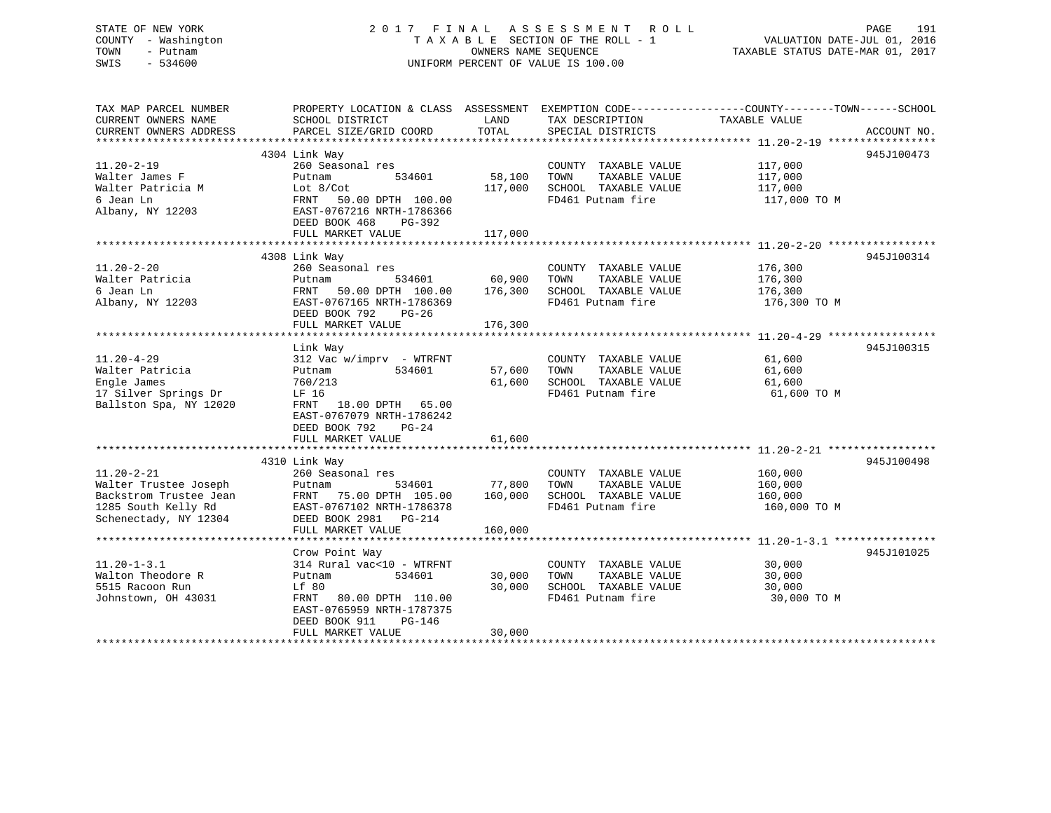# STATE OF NEW YORK 2 0 1 7 F I N A L A S S E S S M E N T R O L L PAGE 191 COUNTY - Washington T A X A B L E SECTION OF THE ROLL - 1 VALUATION DATE-JUL 01, 2016 TOWN - Putnam **CONNERS NAME SEQUENCE** TAXABLE STATUS DATE-MAR 01, 2017 SWIS - 534600 UNIFORM PERCENT OF VALUE IS 100.00

| TAX MAP PARCEL NUMBER  |                           |         |                       | PROPERTY LOCATION & CLASS ASSESSMENT EXEMPTION CODE----------------COUNTY-------TOWN------SCHOOL |
|------------------------|---------------------------|---------|-----------------------|--------------------------------------------------------------------------------------------------|
| CURRENT OWNERS NAME    | SCHOOL DISTRICT           | LAND    | TAX DESCRIPTION       | TAXABLE VALUE                                                                                    |
| CURRENT OWNERS ADDRESS | PARCEL SIZE/GRID COORD    | TOTAL   | SPECIAL DISTRICTS     | ACCOUNT NO.                                                                                      |
|                        |                           |         |                       |                                                                                                  |
|                        | 4304 Link Way             |         |                       | 945J100473                                                                                       |
| $11.20 - 2 - 19$       | 260 Seasonal res          |         | COUNTY TAXABLE VALUE  | 117,000                                                                                          |
| Walter James F         | 534601<br>Putnam          | 58,100  | TOWN<br>TAXABLE VALUE | 117,000                                                                                          |
| Walter Patricia M      | Lot $8/Cot$               | 117,000 | SCHOOL TAXABLE VALUE  | 117,000                                                                                          |
| 6 Jean Ln              | FRNT<br>50.00 DPTH 100.00 |         | FD461 Putnam fire     | 117,000 TO M                                                                                     |
| Albany, NY 12203       | EAST-0767216 NRTH-1786366 |         |                       |                                                                                                  |
|                        | DEED BOOK 468<br>PG-392   |         |                       |                                                                                                  |
|                        | FULL MARKET VALUE         | 117,000 |                       |                                                                                                  |
|                        |                           |         |                       |                                                                                                  |
|                        | 4308 Link Way             |         |                       | 945J100314                                                                                       |
| $11.20 - 2 - 20$       | 260 Seasonal res          |         | COUNTY TAXABLE VALUE  | 176,300                                                                                          |
| Walter Patricia        | 534601<br>Putnam          | 60,900  | TOWN<br>TAXABLE VALUE | 176,300                                                                                          |
| 6 Jean Ln              | 50.00 DPTH 100.00<br>FRNT | 176,300 | SCHOOL TAXABLE VALUE  | 176,300                                                                                          |
| Albany, NY 12203       | EAST-0767165 NRTH-1786369 |         | FD461 Putnam fire     | 176,300 TO M                                                                                     |
|                        | DEED BOOK 792<br>$PG-26$  |         |                       |                                                                                                  |
|                        | FULL MARKET VALUE         | 176,300 |                       |                                                                                                  |
|                        |                           |         |                       |                                                                                                  |
|                        | Link Way                  |         |                       | 945J100315                                                                                       |
| $11.20 - 4 - 29$       | 312 Vac w/imprv - WTRFNT  |         | COUNTY TAXABLE VALUE  | 61,600                                                                                           |
| Walter Patricia        | 534601                    | 57,600  | TOWN<br>TAXABLE VALUE | 61,600                                                                                           |
|                        | Putnam                    | 61,600  | SCHOOL TAXABLE VALUE  |                                                                                                  |
| Engle James            | 760/213                   |         |                       | 61,600                                                                                           |
| 17 Silver Springs Dr   | LF 16                     |         | FD461 Putnam fire     | 61,600 TO M                                                                                      |
| Ballston Spa, NY 12020 | FRNT 18.00 DPTH 65.00     |         |                       |                                                                                                  |
|                        | EAST-0767079 NRTH-1786242 |         |                       |                                                                                                  |
|                        | DEED BOOK 792<br>$PG-24$  |         |                       |                                                                                                  |
|                        | FULL MARKET VALUE         | 61,600  |                       |                                                                                                  |
|                        |                           |         |                       |                                                                                                  |
|                        | 4310 Link Way             |         |                       | 945J100498                                                                                       |
| $11.20 - 2 - 21$       | 260 Seasonal res          |         | COUNTY TAXABLE VALUE  | 160,000                                                                                          |
| Walter Trustee Joseph  | Putnam<br>534601          | 77,800  | TOWN<br>TAXABLE VALUE | 160,000                                                                                          |
| Backstrom Trustee Jean | FRNT 75.00 DPTH 105.00    | 160,000 | SCHOOL TAXABLE VALUE  | 160,000                                                                                          |
| 1285 South Kelly Rd    | EAST-0767102 NRTH-1786378 |         | FD461 Putnam fire     | 160,000 TO M                                                                                     |
| Schenectady, NY 12304  | DEED BOOK 2981    PG-214  |         |                       |                                                                                                  |
|                        | FULL MARKET VALUE         | 160,000 |                       |                                                                                                  |
|                        |                           |         |                       |                                                                                                  |
|                        | Crow Point Way            |         |                       | 945J101025                                                                                       |
| $11.20 - 1 - 3.1$      | 314 Rural vac<10 - WTRFNT |         | COUNTY TAXABLE VALUE  | 30,000                                                                                           |
| Walton Theodore R      | 534601<br>Putnam          | 30,000  | TAXABLE VALUE<br>TOWN | 30,000                                                                                           |
| 5515 Racoon Run        | Lf 80                     | 30,000  | SCHOOL TAXABLE VALUE  | 30,000                                                                                           |
| Johnstown, OH 43031    | FRNT 80.00 DPTH 110.00    |         | FD461 Putnam fire     | 30,000 TO M                                                                                      |
|                        | EAST-0765959 NRTH-1787375 |         |                       |                                                                                                  |
|                        | DEED BOOK 911<br>$PG-146$ |         |                       |                                                                                                  |
|                        | FULL MARKET VALUE         | 30,000  |                       |                                                                                                  |
|                        |                           |         |                       |                                                                                                  |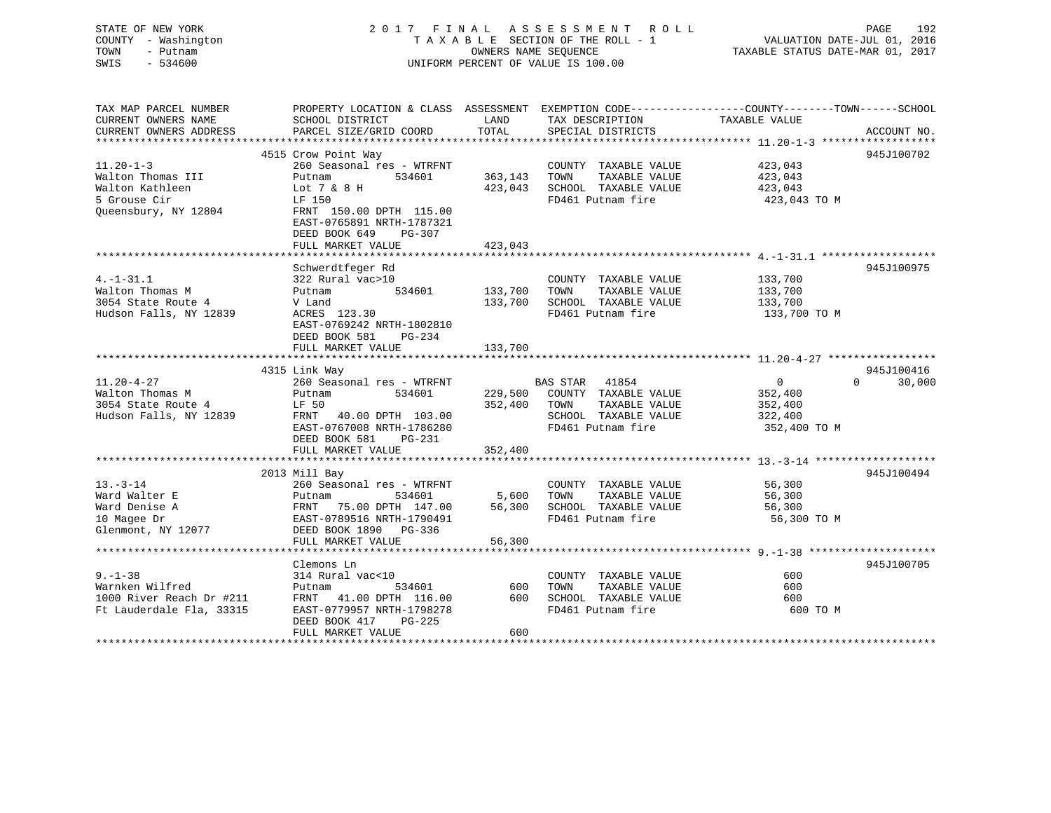| STATE OF NEW YORK<br>- Washington<br>COUNTY<br>- Putnam<br>TOWN<br>$-534600$<br>SWIS | 2017 FINAL ASSESSMENT ROLL<br>TAXABLE SECTION OF THE ROLL - 1<br>OWNERS NAME SEOUENCE<br>UNIFORM PERCENT OF VALUE IS 100.00 |                |                              | VALUATION DATE-JUL 01, 2016<br>TAXABLE STATUS DATE-MAR 01, 2017 | PAGE<br>192        |
|--------------------------------------------------------------------------------------|-----------------------------------------------------------------------------------------------------------------------------|----------------|------------------------------|-----------------------------------------------------------------|--------------------|
| TAX MAP PARCEL NUMBER<br>CURRENT OWNERS NAME                                         | PROPERTY LOCATION & CLASS ASSESSMENT EXEMPTION CODE----------------COUNTY-------TOWN------SCHOOL<br>SCHOOL DISTRICT         | LAND           | TAX DESCRIPTION              | TAXABLE VALUE                                                   |                    |
| CURRENT OWNERS ADDRESS                                                               | PARCEL SIZE/GRID COORD                                                                                                      | TOTAL          | SPECIAL DISTRICTS            |                                                                 | ACCOUNT NO.        |
|                                                                                      |                                                                                                                             |                |                              |                                                                 |                    |
|                                                                                      | 4515 Crow Point Way                                                                                                         |                |                              |                                                                 | 945J100702         |
| $11.20 - 1 - 3$                                                                      | 260 Seasonal res - WTRFNT                                                                                                   |                | COUNTY TAXABLE VALUE         | 423,043                                                         |                    |
| Walton Thomas III                                                                    | 534601<br>Putnam                                                                                                            | 363,143        | TAXABLE VALUE<br>TOWN        | 423,043                                                         |                    |
| Walton Kathleen                                                                      | Lot 7 & 8 H                                                                                                                 | 423,043        | SCHOOL TAXABLE VALUE         | 423,043                                                         |                    |
| 5 Grouse Cir                                                                         | LF 150                                                                                                                      |                | FD461 Putnam fire            | 423,043 TO M                                                    |                    |
| Oueensbury, NY 12804                                                                 | FRNT 150.00 DPTH 115.00<br>EAST-0765891 NRTH-1787321<br>DEED BOOK 649<br>$PG-307$                                           |                |                              |                                                                 |                    |
|                                                                                      | FULL MARKET VALUE                                                                                                           | 423,043        |                              |                                                                 |                    |
|                                                                                      |                                                                                                                             |                |                              |                                                                 |                    |
|                                                                                      | Schwerdtfeger Rd                                                                                                            |                |                              |                                                                 | 945J100975         |
| $4. -1 - 31.1$                                                                       | 322 Rural vac>10                                                                                                            |                | COUNTY TAXABLE VALUE         | 133,700                                                         |                    |
| Walton Thomas M                                                                      | Putnam                                                                                                                      | 534601 133,700 | TAXABLE VALUE<br>TOWN        | 133,700                                                         |                    |
| 3054 State Route 4                                                                   | V Land                                                                                                                      | 133,700        | SCHOOL TAXABLE VALUE         | 133,700                                                         |                    |
| Hudson Falls, NY 12839                                                               | ACRES 123.30<br>EAST-0769242 NRTH-1802810<br>DEED BOOK 581<br>$PG-234$                                                      |                | FD461 Putnam fire            | 133,700 TO M                                                    |                    |
|                                                                                      | FULL MARKET VALUE                                                                                                           | 133,700        |                              |                                                                 |                    |
|                                                                                      |                                                                                                                             |                |                              |                                                                 |                    |
|                                                                                      | 4315 Link Way                                                                                                               |                |                              |                                                                 | 945J100416         |
| $11.20 - 4 - 27$                                                                     | 260 Seasonal res - WTRFNT                                                                                                   |                | BAS STAR 41854               | $\overline{0}$                                                  | 30,000<br>$\Omega$ |
| Walton Thomas M                                                                      | 534601<br>Putnam                                                                                                            |                | 229,500 COUNTY TAXABLE VALUE | 352,400                                                         |                    |
| 3054 State Route 4                                                                   | LF 50                                                                                                                       | 352,400        | TOWN<br>TAXABLE VALUE        | 352,400                                                         |                    |
| Hudson Falls, NY 12839                                                               | FRNT 40.00 DPTH 103.00                                                                                                      |                | SCHOOL TAXABLE VALUE         | 322,400                                                         |                    |
|                                                                                      | EAST-0767008 NRTH-1786280<br>DEED BOOK 581<br>$PG-231$                                                                      |                | FD461 Putnam fire            | 352,400 TO M                                                    |                    |
|                                                                                      | FULL MARKET VALUE                                                                                                           | 352,400        |                              |                                                                 |                    |
|                                                                                      |                                                                                                                             |                |                              |                                                                 |                    |

|                          | 2013 Mill Bay             |        |                         |             | 945J100494 |
|--------------------------|---------------------------|--------|-------------------------|-------------|------------|
| $13 - 3 - 14$            | 260 Seasonal res - WTRFNT |        | COUNTY<br>TAXABLE VALUE | 56,300      |            |
| Ward Walter E            | 534601<br>Putnam          | 5,600  | TAXABLE VALUE<br>TOWN   | 56,300      |            |
| Ward Denise A            | FRNT 75.00 DPTH 147.00    | 56,300 | SCHOOL TAXABLE VALUE    | 56,300      |            |
| 10 Magee Dr              | EAST-0789516 NRTH-1790491 |        | FD461 Putnam fire       | 56,300 TO M |            |
| Glenmont, NY 12077       | DEED BOOK 1890 PG-336     |        |                         |             |            |
|                          | FULL MARKET VALUE         | 56,300 |                         |             |            |
|                          |                           |        |                         |             |            |
|                          | Clemons Ln                |        |                         |             | 945J100705 |
| $9. - 1 - 38$            | 314 Rural vac<10          |        | TAXABLE VALUE<br>COUNTY | 600         |            |
| Warnken Wilfred          | 534601<br>Putnam          | 600    | TOWN<br>TAXABLE VALUE   | 600         |            |
| 1000 River Reach Dr #211 | FRNT 41.00 DPTH 116.00    | 600    | SCHOOL<br>TAXABLE VALUE | 600         |            |
| Ft Lauderdale Fla, 33315 | EAST-0779957 NRTH-1798278 |        | FD461 Putnam fire       | 600 TO M    |            |
|                          | DEED BOOK 417<br>$PG-225$ |        |                         |             |            |
|                          | FULL MARKET VALUE         | 600    |                         |             |            |
|                          |                           |        |                         |             |            |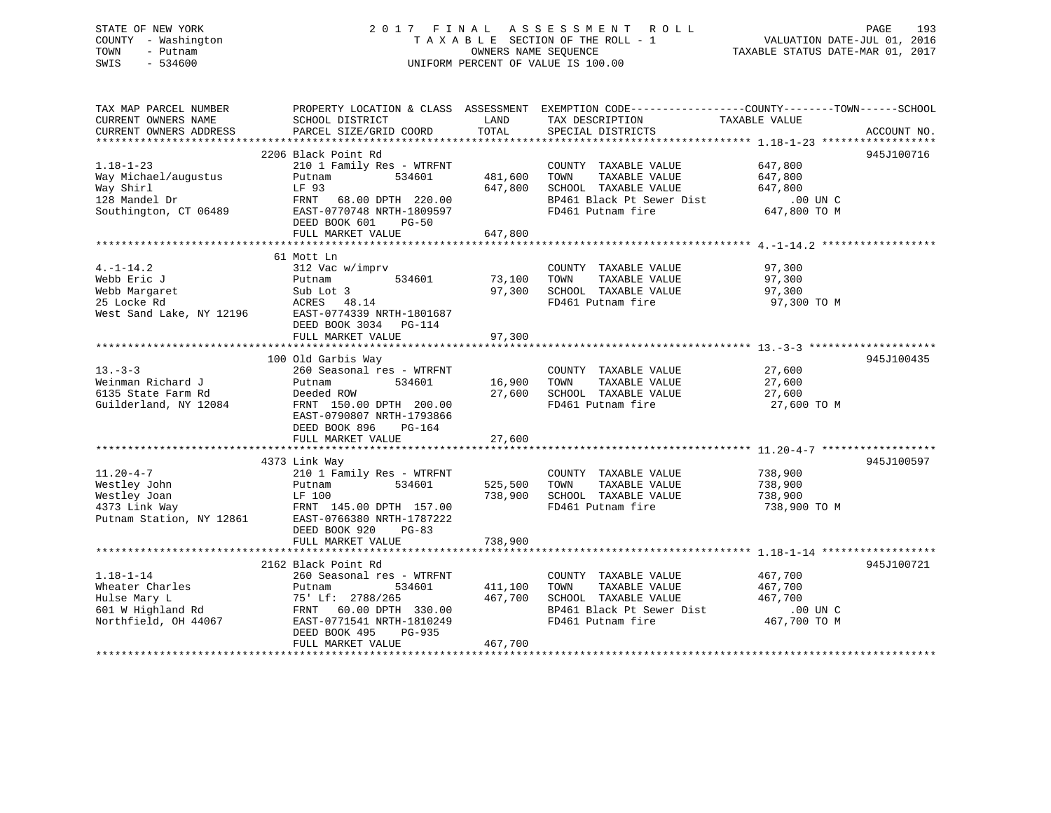# STATE OF NEW YORK 2 0 1 7 F I N A L A S S E S S M E N T R O L L PAGE 193 COUNTY - Washington T A X A B L E SECTION OF THE ROLL - 1 VALUATION DATE-JUL 01, 2016 TOWN - Putnam OWNERS NAME SEQUENCE TAXABLE STATUS DATE-MAR 01, 2017 SWIS - 534600 UNIFORM PERCENT OF VALUE IS 100.00

| TAX MAP PARCEL NUMBER<br>CURRENT OWNERS NAME<br>CURRENT OWNERS ADDRESS | SCHOOL DISTRICT<br>PARCEL SIZE/GRID COORD                                                  | LAND<br>TOTAL      | PROPERTY LOCATION & CLASS ASSESSMENT EXEMPTION CODE---------------COUNTY-------TOWN-----SCHOOL<br>TAX DESCRIPTION<br>SPECIAL DISTRICTS | TAXABLE VALUE                 | ACCOUNT NO. |
|------------------------------------------------------------------------|--------------------------------------------------------------------------------------------|--------------------|----------------------------------------------------------------------------------------------------------------------------------------|-------------------------------|-------------|
|                                                                        |                                                                                            |                    |                                                                                                                                        |                               |             |
|                                                                        | 2206 Black Point Rd                                                                        |                    |                                                                                                                                        |                               | 945J100716  |
| $1.18 - 1 - 23$<br>Way Michael/augustus<br>Way Shirl                   | 210 1 Family Res - WTRFNT<br>Putnam<br>534601<br>LF 93                                     | 481,600<br>647,800 | COUNTY TAXABLE VALUE<br>TAXABLE VALUE<br>TOWN<br>SCHOOL TAXABLE VALUE                                                                  | 647,800<br>647,800<br>647,800 |             |
| 128 Mandel Dr<br>Southington, CT 06489                                 | FRNT 68.00 DPTH 220.00<br>EAST-0770748 NRTH-1809597<br>DEED BOOK 601<br>$PG-50$            |                    | BP461 Black Pt Sewer Dist<br>FD461 Putnam fire                                                                                         | .00 UN C<br>647,800 TO M      |             |
|                                                                        | FULL MARKET VALUE                                                                          | 647,800            |                                                                                                                                        |                               |             |
|                                                                        |                                                                                            |                    |                                                                                                                                        |                               |             |
|                                                                        | 61 Mott Ln                                                                                 |                    |                                                                                                                                        |                               |             |
| $4. -1 - 14.2$                                                         | 312 Vac w/imprv                                                                            |                    | COUNTY TAXABLE VALUE                                                                                                                   | 97,300                        |             |
| Webb Eric J                                                            | 534601<br>Putnam                                                                           | 73,100             | TAXABLE VALUE<br>TOWN                                                                                                                  | 97,300                        |             |
| Webb Margaret                                                          | Sub Lot 3                                                                                  |                    | 97,300 SCHOOL TAXABLE VALUE                                                                                                            | 97,300                        |             |
| 25 Locke Rd                                                            | ACRES 48.14<br>West Sand Lake, NY 12196 EAST-0774339 NRTH-1801687<br>DEED BOOK 3034 PG-114 |                    | FD461 Putnam fire                                                                                                                      | 97,300 TO M                   |             |
|                                                                        | FULL MARKET VALUE                                                                          | 97,300             |                                                                                                                                        |                               |             |
|                                                                        |                                                                                            |                    |                                                                                                                                        |                               |             |
| $13 - 3 - 3$                                                           | 100 Old Garbis Way<br>260 Seasonal res - WTRFNT                                            |                    | COUNTY TAXABLE VALUE                                                                                                                   | 27,600                        | 945J100435  |
| Weinman Richard J                                                      | 534601<br>Putnam                                                                           | 16,900             | TOWN<br>TAXABLE VALUE                                                                                                                  | 27,600                        |             |
| 6135 State Farm Rd                                                     | Deeded ROW                                                                                 | 27,600             | SCHOOL TAXABLE VALUE                                                                                                                   | 27,600                        |             |
| Guilderland, NY 12084                                                  | FRNT 150.00 DPTH 200.00<br>EAST-0790807 NRTH-1793866<br>DEED BOOK 896<br>PG-164            |                    | FD461 Putnam fire                                                                                                                      | 27,600 TO M                   |             |
|                                                                        | FULL MARKET VALUE                                                                          | 27,600             |                                                                                                                                        |                               |             |
|                                                                        |                                                                                            |                    |                                                                                                                                        |                               |             |
|                                                                        | 4373 Link Way                                                                              |                    |                                                                                                                                        |                               | 945J100597  |
| $11.20 - 4 - 7$                                                        | 210 1 Family Res - WTRFNT                                                                  |                    | COUNTY TAXABLE VALUE                                                                                                                   | 738,900                       |             |
| Westley John                                                           | 534601<br>Putnam                                                                           | 525,500            | TAXABLE VALUE<br>TOWN                                                                                                                  | 738,900                       |             |
| Westley Joan                                                           | LF 100<br>FRNT 145.00 DPTH 157.00                                                          | 738,900            | SCHOOL TAXABLE VALUE                                                                                                                   | 738,900                       |             |
| 4373 Link Way                                                          | Putnam Station, NY 12861 EAST-0766380 NRTH-1787222<br>DEED BOOK 920<br>$PG-83$             |                    | FD461 Putnam fire                                                                                                                      | 738,900 TO M                  |             |
|                                                                        | FULL MARKET VALUE                                                                          | 738,900            |                                                                                                                                        |                               |             |
|                                                                        | 2162 Black Point Rd                                                                        |                    |                                                                                                                                        |                               | 945J100721  |
| $1.18 - 1 - 14$                                                        | 260 Seasonal res - WTRFNT                                                                  |                    | COUNTY TAXABLE VALUE                                                                                                                   | 467,700                       |             |
| Wheater Charles                                                        | 534601<br>Putnam                                                                           | 411,100            | TAXABLE VALUE<br>TOWN                                                                                                                  | 467,700                       |             |
| Hulse Mary L                                                           | 75' Lf: 2788/265                                                                           | 467,700            | SCHOOL TAXABLE VALUE                                                                                                                   | 467,700                       |             |
| 601 W Highland Rd                                                      | FRNT 60.00 DPTH 330.00                                                                     |                    | BP461 Black Pt Sewer Dist 40                                                                                                           | .00 UN C                      |             |
| Northfield, OH 44067                                                   | EAST-0771541 NRTH-1810249<br>DEED BOOK 495<br>PG-935<br>FULL MARKET VALUE                  | 467,700            | FD461 Putnam fire                                                                                                                      | 467,700 TO M                  |             |
|                                                                        |                                                                                            |                    |                                                                                                                                        |                               |             |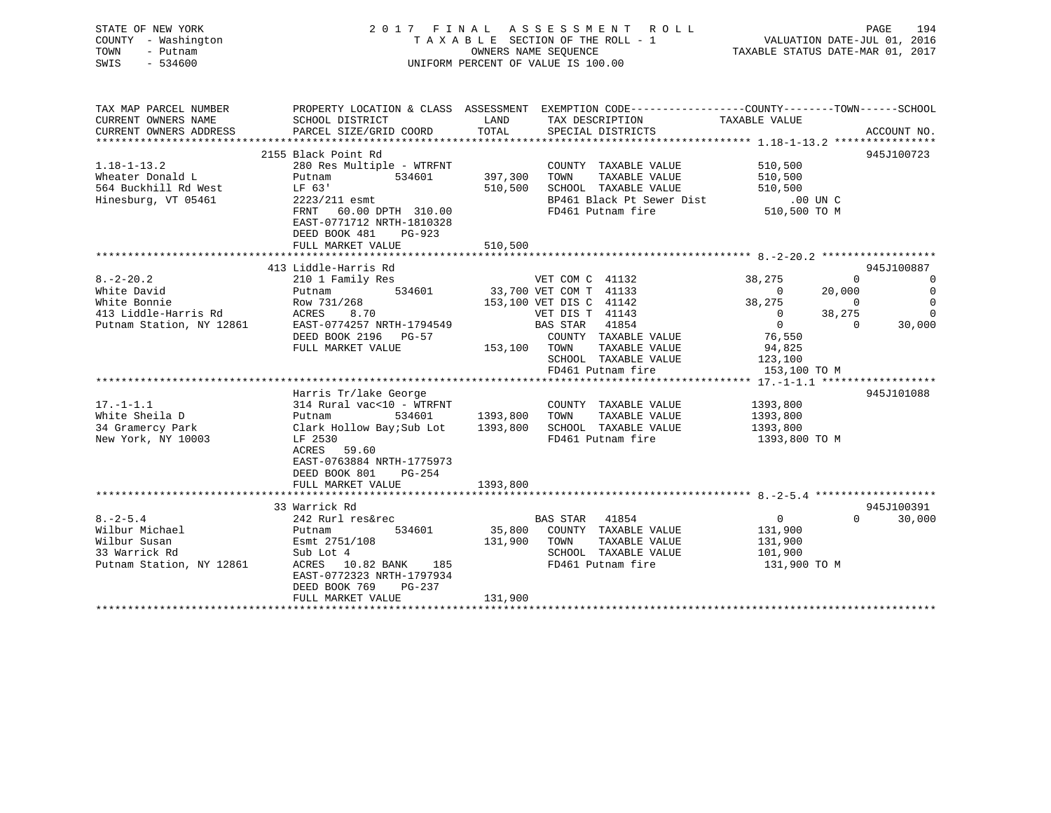| STATE OF NEW YORK<br>COUNTY - Washington<br>- Putnam<br>TOWN<br>SWIS<br>$-534600$                                                                                        |                                                                                                             | UNIFORM PERCENT OF VALUE IS 100.00 |                         | FINAL ASSESSMENT ROLL PAGE 194<br>TAXABLE SECTION OF THE ROLL - 1 VALUATION DATE-JUL 01, 2016<br>OWNERS NAME SEQUENCE TAXABLE STATUS DATE-MAR 01, 2017<br>2017 FINAL ASSESSMENT ROLL |                                       |                    |                            |
|--------------------------------------------------------------------------------------------------------------------------------------------------------------------------|-------------------------------------------------------------------------------------------------------------|------------------------------------|-------------------------|--------------------------------------------------------------------------------------------------------------------------------------------------------------------------------------|---------------------------------------|--------------------|----------------------------|
| TAX MAP PARCEL NUMBER PROPERTY LOCATION & CLASS ASSESSMENT EXEMPTION CODE----------------COUNTY--------TOWN------SCHOOL<br>CURRENT OWNERS NAME<br>CURRENT OWNERS ADDRESS | SCHOOL DISTRICT<br>PARCEL SIZE/GRID COORD                                                                   | <b>LAND</b><br>TOTAL               |                         | TAX DESCRIPTION TAXABLE VALUE<br>SPECIAL DISTRICTS                                                                                                                                   |                                       |                    | ACCOUNT NO.                |
|                                                                                                                                                                          | 2155 Black Point Rd                                                                                         |                                    |                         |                                                                                                                                                                                      |                                       |                    | 945J100723                 |
| $1.18 - 1 - 13.2$<br>Wheater Donald L<br>564 Buckhill Rd West<br>Hinesburg, VT 05461                                                                                     | LF 63'<br>2223/211 esmt<br>FRNT 60.00 DPTH 310.00<br>EAST-0771712 NRTH-1810328<br>DEED BOOK 481<br>$PG-923$ |                                    |                         | COUNTY TAXABLE VALUE<br>397,300 TOWN TAXABLE VALUE 510,500<br>510,500 SCHOOL TAXABLE VALUE 510,500 UNC<br>FD461 Putnam fire                                                          | 510,500<br>510,500 TO M               |                    |                            |
|                                                                                                                                                                          | FULL MARKET VALUE                                                                                           | 510,500                            |                         |                                                                                                                                                                                      |                                       |                    |                            |
|                                                                                                                                                                          |                                                                                                             |                                    |                         |                                                                                                                                                                                      |                                       |                    |                            |
|                                                                                                                                                                          | 413 Liddle-Harris Rd                                                                                        |                                    |                         |                                                                                                                                                                                      |                                       |                    | 945J100887                 |
| $8. -2 - 20.2$<br>ce Bonnie<br>413 Liddle-Harris Rd<br>Putnam Station, NY 12861                                                                                          | 534601<br>Putnam                                                                                            |                                    |                         | 33,700 VET COM T 41133                                                                                                                                                               | 38,275<br>$\sim$ 0                    | $\Omega$<br>20,000 | $\sim$ 0<br>$\overline{0}$ |
|                                                                                                                                                                          | Row 731/268                                                                                                 |                                    | 153,100 VET DIS C 41142 |                                                                                                                                                                                      | 38,275                                | $\sim$ 0           | $\overline{0}$             |
|                                                                                                                                                                          | ACRES 8.70                                                                                                  |                                    | VET DIS T 41143         | $RAS \,$ STAR $41854$                                                                                                                                                                | $\begin{array}{c} 0 \\ 0 \end{array}$ | 38,275             | $\bigcirc$<br>30,000       |
|                                                                                                                                                                          | EAST-0774257 NRTH-1794549                                                                                   |                                    |                         |                                                                                                                                                                                      |                                       | $\Omega$           |                            |
|                                                                                                                                                                          | DEED BOOK 2196 PG-57                                                                                        |                                    |                         | COUNTY TAXABLE VALUE                                                                                                                                                                 | 76,550                                |                    |                            |
|                                                                                                                                                                          | FULL MARKET VALUE                                                                                           | 153,100 TOWN                       |                         | TAXABLE VALUE                                                                                                                                                                        | 94,825                                |                    |                            |
|                                                                                                                                                                          |                                                                                                             |                                    |                         | SCHOOL TAXABLE VALUE                                                                                                                                                                 | 123,100                               |                    |                            |
|                                                                                                                                                                          |                                                                                                             |                                    |                         | FD461 Putnam fire                                                                                                                                                                    | 153,100 TO M                          |                    |                            |
|                                                                                                                                                                          |                                                                                                             |                                    |                         |                                                                                                                                                                                      |                                       |                    |                            |
|                                                                                                                                                                          | Harris Tr/lake George                                                                                       |                                    |                         |                                                                                                                                                                                      |                                       |                    | 945J101088                 |
| $17. -1 - 1.1$                                                                                                                                                           | 314 Rural vac<10 - $\overline{W}$ TRFNT                                                                     |                                    |                         | COUNTY TAXABLE VALUE                                                                                                                                                                 | 1393,800                              |                    |                            |
|                                                                                                                                                                          |                                                                                                             |                                    |                         |                                                                                                                                                                                      | 1393,800                              |                    |                            |
|                                                                                                                                                                          |                                                                                                             |                                    |                         |                                                                                                                                                                                      | 1393,800                              |                    |                            |
| New York, NY 10003                                                                                                                                                       | LF 2530<br>ACRES 59.60<br>EAST-0763884 NRTH-1775973<br>DEED BOOK 801 PG-254                                 |                                    |                         | FD461 Putnam fire                                                                                                                                                                    | 1393,800 TO M                         |                    |                            |
|                                                                                                                                                                          | FULL MARKET VALUE                                                                                           | 1393,800                           |                         |                                                                                                                                                                                      |                                       |                    |                            |
|                                                                                                                                                                          |                                                                                                             |                                    |                         |                                                                                                                                                                                      |                                       |                    |                            |
|                                                                                                                                                                          | 33 Warrick Rd                                                                                               |                                    |                         |                                                                                                                                                                                      |                                       |                    | 945J100391                 |
| $8. - 2 - 5.4$                                                                                                                                                           | 242 Rurl res&rec                                                                                            |                                    | BAS STAR 41854          |                                                                                                                                                                                      | $\overline{0}$                        | $\Omega$           | 30,000                     |
| Wilbur Michael                                                                                                                                                           | Putnam<br>534601                                                                                            |                                    |                         | 35,800 COUNTY TAXABLE VALUE                                                                                                                                                          | 131,900                               |                    |                            |
|                                                                                                                                                                          |                                                                                                             |                                    |                         | 131,900 TOWN TAXABLE VALUE                                                                                                                                                           | 131,900                               |                    |                            |
|                                                                                                                                                                          |                                                                                                             |                                    |                         | SCHOOL TAXABLE VALUE                                                                                                                                                                 | 101,900                               |                    |                            |
| Wilbur Susan<br>33 Warrick Rd<br>2751/108<br>28 Bank 2751/108<br>29 Bank 2751/108<br>29 Bank 2751/108<br>29 Bank 2751/108                                                | $ACRES$ 10.82 BANK 185<br>EAST-0772323 NRTH-1797934<br>DEED BOOK 769<br>PG-237<br>FULL MARKET VALUE         | 131,900                            |                         | FD461 Putnam fire                                                                                                                                                                    | 131,900 TO M                          |                    |                            |
|                                                                                                                                                                          |                                                                                                             |                                    |                         |                                                                                                                                                                                      |                                       |                    |                            |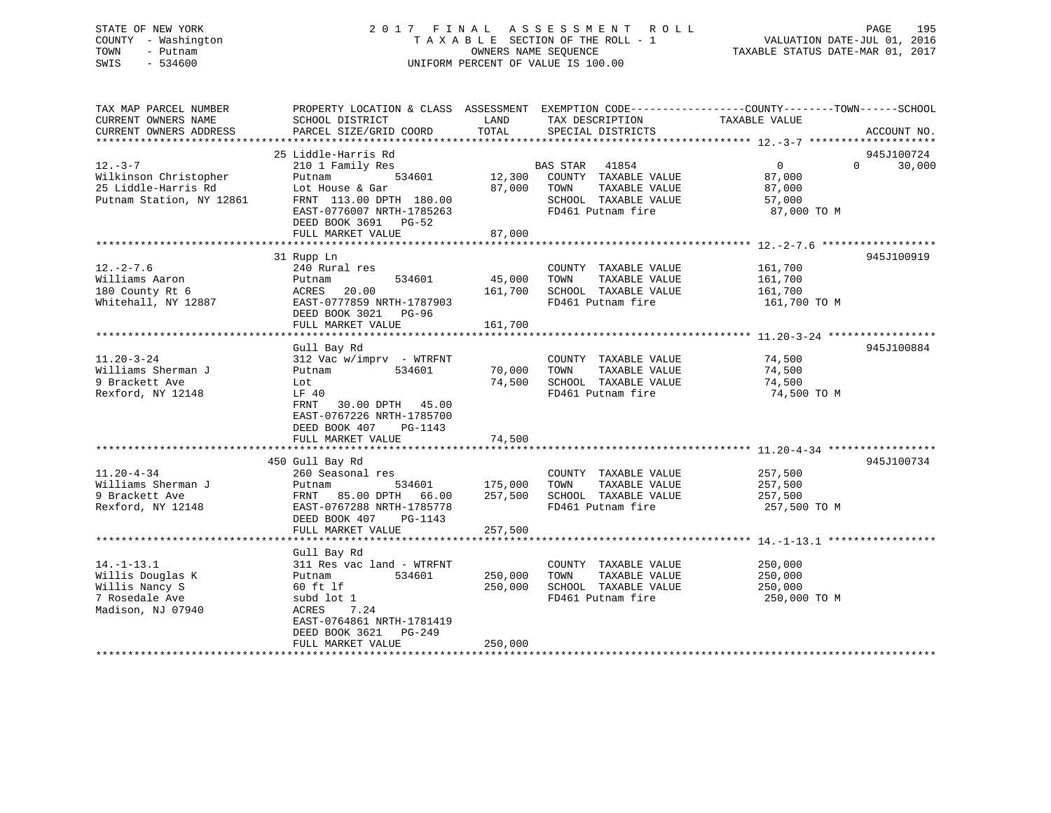# STATE OF NEW YORK 2 0 1 7 F I N A L A S S E S S M E N T R O L L PAGE 195 COUNTY - Washington T A X A B L E SECTION OF THE ROLL - 1 VALUATION DATE-JUL 01, 2016 TOWN - Putnam OWNERS NAME SEQUENCE TAXABLE STATUS DATE-MAR 01, 2017 SWIS - 534600 UNIFORM PERCENT OF VALUE IS 100.00

| TAX MAP PARCEL NUMBER                         | PROPERTY LOCATION & CLASS ASSESSMENT EXEMPTION CODE---------------COUNTY-------TOWN-----SCHOOL | LAND           |                                           | TAXABLE VALUE         |          |             |
|-----------------------------------------------|------------------------------------------------------------------------------------------------|----------------|-------------------------------------------|-----------------------|----------|-------------|
| CURRENT OWNERS NAME<br>CURRENT OWNERS ADDRESS | SCHOOL DISTRICT<br>PARCEL SIZE/GRID COORD                                                      | TOTAL          | TAX DESCRIPTION<br>SPECIAL DISTRICTS      |                       |          | ACCOUNT NO. |
|                                               |                                                                                                |                |                                           |                       |          |             |
|                                               | 25 Liddle-Harris Rd                                                                            |                |                                           |                       |          | 945J100724  |
| $12. - 3 - 7$                                 | 210 1 Family Res                                                                               |                | BAS STAR 41854                            | $\overline{0}$        | $\Omega$ | 30,000      |
| Wilkinson Christopher                         | 534601<br>Putnam                                                                               |                | 12,300 COUNTY TAXABLE VALUE               | 87,000                |          |             |
| 25 Liddle-Harris Rd                           | Lot House & Gar                                                                                |                | 87,000 TOWN<br>TAXABLE VALUE              | 87,000                |          |             |
| Putnam Station, NY 12861                      | FRNT 113.00 DPTH 180.00                                                                        |                | SCHOOL TAXABLE VALUE<br>FD461 Putnam fire | 57,000<br>87,000 TO M |          |             |
|                                               | EAST-0776007 NRTH-1785263                                                                      |                |                                           |                       |          |             |
|                                               | DEED BOOK 3691 PG-52<br>FULL MARKET VALUE                                                      | 87,000         |                                           |                       |          |             |
|                                               |                                                                                                |                |                                           |                       |          |             |
|                                               | 31 Rupp Ln                                                                                     |                |                                           |                       |          | 945J100919  |
| $12. - 2 - 7.6$                               | 240 Rural res                                                                                  |                | COUNTY TAXABLE VALUE                      | 161,700               |          |             |
| Williams Aaron                                | 534601<br>Putnam                                                                               | 45,000         | TOWN<br>TAXABLE VALUE                     | 161,700               |          |             |
| 180 County Rt 6                               | 20.00<br>ACRES                                                                                 | 161,700        | SCHOOL TAXABLE VALUE                      | 161,700               |          |             |
| Whitehall, NY 12887                           | EAST-0777859 NRTH-1787903                                                                      |                | FD461 Putnam fire                         | 161,700 TO M          |          |             |
|                                               | DEED BOOK 3021 PG-96                                                                           |                |                                           |                       |          |             |
|                                               | FULL MARKET VALUE                                                                              | 161,700        |                                           |                       |          |             |
|                                               |                                                                                                |                |                                           |                       |          |             |
|                                               | Gull Bay Rd                                                                                    |                |                                           |                       |          | 945J100884  |
| $11.20 - 3 - 24$                              | $312$ Vac w/imprv - WTRFNT                                                                     |                | COUNTY TAXABLE VALUE                      | 74,500                |          |             |
| Williams Sherman J                            | Putnam<br>534601                                                                               | 70,000         | TOWN<br>TAXABLE VALUE                     | 74,500                |          |             |
| 9 Brackett Ave                                | Lot                                                                                            | 74,500         | SCHOOL TAXABLE VALUE                      | 74,500                |          |             |
| Rexford, NY 12148                             | LF 40                                                                                          |                | FD461 Putnam fire                         | 74,500 TO M           |          |             |
|                                               | FRNT<br>30.00 DPTH 45.00                                                                       |                |                                           |                       |          |             |
|                                               | EAST-0767226 NRTH-1785700                                                                      |                |                                           |                       |          |             |
|                                               | DEED BOOK 407<br>PG-1143                                                                       |                |                                           |                       |          |             |
|                                               | FULL MARKET VALUE                                                                              | 74,500         |                                           |                       |          |             |
|                                               |                                                                                                |                |                                           |                       |          |             |
|                                               | 450 Gull Bay Rd                                                                                |                |                                           |                       |          | 945J100734  |
| $11.20 - 4 - 34$                              | 260 Seasonal res                                                                               |                | COUNTY TAXABLE VALUE                      | 257,500               |          |             |
| Williams Sherman J                            | Putnam                                                                                         | 534601 175,000 | TOWN<br>TAXABLE VALUE                     | 257,500               |          |             |
| 9 Brackett Ave                                | FRNT 85.00 DPTH 66.00                                                                          | 257,500        | SCHOOL TAXABLE VALUE                      | 257,500               |          |             |
| Rexford, NY 12148                             | EAST-0767288 NRTH-1785778                                                                      |                | FD461 Putnam fire                         | 257,500 TO M          |          |             |
|                                               | DEED BOOK 407<br>PG-1143                                                                       |                |                                           |                       |          |             |
|                                               | FULL MARKET VALUE                                                                              | 257,500        |                                           |                       |          |             |
|                                               |                                                                                                |                |                                           |                       |          |             |
|                                               | Gull Bay Rd                                                                                    |                |                                           |                       |          |             |
| $14. - 1 - 13.1$                              | 311 Res vac land - WTRFNT                                                                      |                | COUNTY TAXABLE VALUE                      | 250,000               |          |             |
| Willis Douglas K                              | Putnam<br>534601                                                                               | 250,000        | TOWN<br>TAXABLE VALUE                     | 250,000               |          |             |
| Willis Nancy S                                | 60 ft lf                                                                                       | 250,000        | SCHOOL TAXABLE VALUE                      | 250,000               |          |             |
| 7 Rosedale Ave                                | subd lot 1                                                                                     |                | FD461 Putnam fire                         | 250,000 TO M          |          |             |
| Madison, NJ 07940                             | ACRES<br>7.24                                                                                  |                |                                           |                       |          |             |
|                                               | EAST-0764861 NRTH-1781419                                                                      |                |                                           |                       |          |             |
|                                               | DEED BOOK 3621 PG-249                                                                          |                |                                           |                       |          |             |
|                                               | FULL MARKET VALUE                                                                              | 250,000        |                                           |                       |          |             |
|                                               |                                                                                                |                |                                           |                       |          |             |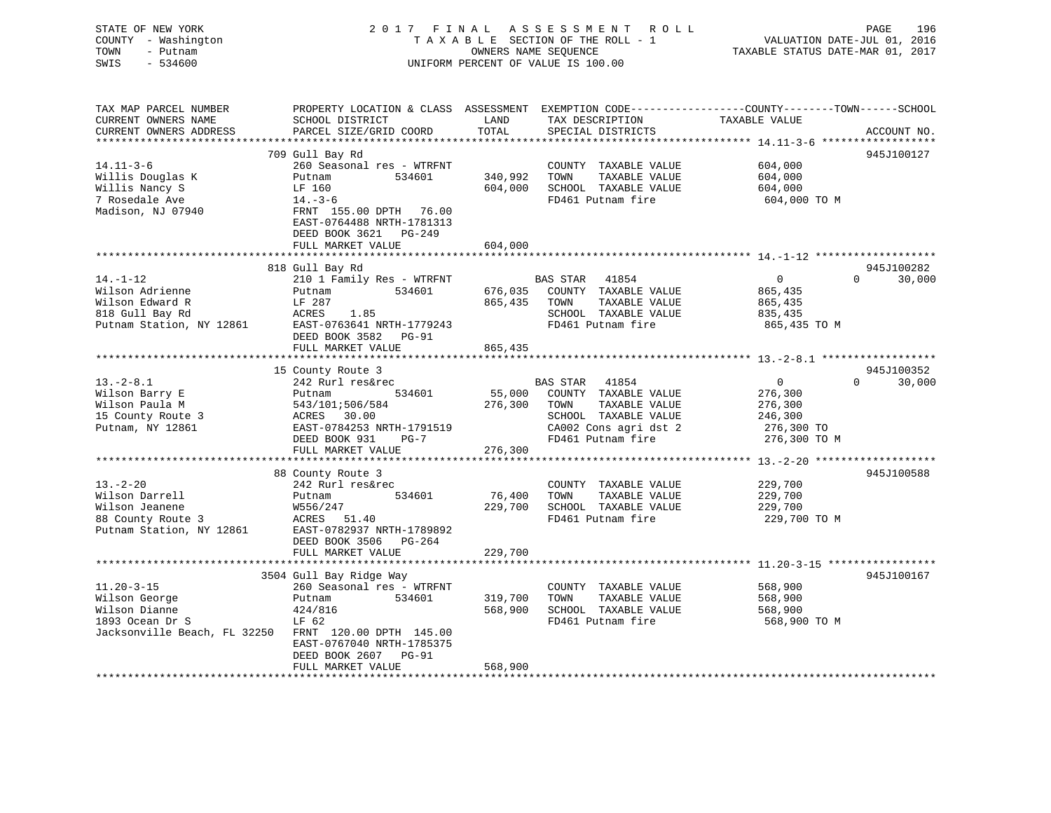# STATE OF NEW YORK 2017 FINAL ASSESSMENT ROLL PAGE 196 COUNTY - Washington  $T A X A B L E$  SECTION OF THE ROLL - 1<br>TOWN - Putnam data of the COUNTERS NAME SEQUENCE SWIS - 534600 UNIFORM PERCENT OF VALUE IS 100.00

VALUATION DATE-JUL 01, 2016

TAXABLE STATUS DATE-MAR 01, 2017

| TAX MAP PARCEL NUMBER<br>CURRENT OWNERS NAME                            | PROPERTY LOCATION & CLASS ASSESSMENT<br>SCHOOL DISTRICT                                                           | LAND<br>TOTAL      | TAX DESCRIPTION                                                                            | EXEMPTION CODE-----------------COUNTY-------TOWN------SCHOOL<br>TAXABLE VALUE |             |
|-------------------------------------------------------------------------|-------------------------------------------------------------------------------------------------------------------|--------------------|--------------------------------------------------------------------------------------------|-------------------------------------------------------------------------------|-------------|
| CURRENT OWNERS ADDRESS<br>*************************                     | PARCEL SIZE/GRID COORD                                                                                            |                    | SPECIAL DISTRICTS                                                                          |                                                                               | ACCOUNT NO. |
|                                                                         | 709 Gull Bay Rd                                                                                                   |                    |                                                                                            |                                                                               | 945J100127  |
| $14.11 - 3 - 6$<br>Willis Douglas K<br>Willis Nancy S<br>7 Rosedale Ave | 260 Seasonal res - WTRFNT<br>534601<br>Putnam<br>LF 160                                                           | 340,992<br>604,000 | COUNTY TAXABLE VALUE<br>TOWN<br>TAXABLE VALUE<br>SCHOOL TAXABLE VALUE<br>FD461 Putnam fire | 604,000<br>604,000<br>604,000<br>604,000 TO M                                 |             |
| Madison, NJ 07940                                                       | $14. -3 - 6$<br>FRNT 155.00 DPTH 76.00<br>EAST-0764488 NRTH-1781313<br>DEED BOOK 3621 PG-249<br>FULL MARKET VALUE | 604,000            |                                                                                            |                                                                               |             |
|                                                                         |                                                                                                                   |                    |                                                                                            |                                                                               |             |
|                                                                         | 818 Gull Bay Rd                                                                                                   |                    |                                                                                            |                                                                               | 945J100282  |
| $14. - 1 - 12$                                                          | 210 1 Family Res - WTRFNT                                                                                         |                    | <b>BAS STAR</b><br>41854                                                                   | $\overline{0}$<br>$\Omega$                                                    | 30,000      |
| Wilson Adrienne                                                         | 534601<br>Putnam                                                                                                  | 676,035            | COUNTY TAXABLE VALUE                                                                       | 865,435                                                                       |             |
| Wilson Edward R                                                         | LF 287                                                                                                            | 865,435            | TOWN<br>TAXABLE VALUE                                                                      | 865,435                                                                       |             |
| 818 Gull Bay Rd                                                         | ACRES<br>1.85                                                                                                     |                    | SCHOOL TAXABLE VALUE<br>FD461 Putnam fire                                                  | 835,435                                                                       |             |
| Putnam Station, NY 12861                                                | EAST-0763641 NRTH-1779243<br>DEED BOOK 3582<br>$PG-91$                                                            |                    |                                                                                            | 865,435 TO M                                                                  |             |
|                                                                         | FULL MARKET VALUE<br>******************************                                                               | 865,435            |                                                                                            |                                                                               |             |
|                                                                         | 15 County Route 3                                                                                                 |                    |                                                                                            |                                                                               | 945J100352  |
| $13.-2-8.1$                                                             | 242 Rurl res&rec                                                                                                  |                    | <b>BAS STAR</b><br>41854                                                                   | $\overline{0}$<br>$\Omega$                                                    | 30,000      |
| Wilson Barry E                                                          | 534601<br>Putnam                                                                                                  | 55,000             | COUNTY TAXABLE VALUE                                                                       | 276,300                                                                       |             |
| Wilson Paula M                                                          | 543/101;506/584                                                                                                   | 276,300            | TAXABLE VALUE<br>TOWN                                                                      | 276,300                                                                       |             |
| 15 County Route 3                                                       | ACRES 30.00                                                                                                       |                    | SCHOOL TAXABLE VALUE                                                                       | 246,300                                                                       |             |
| Putnam, NY 12861                                                        | EAST-0784253 NRTH-1791519                                                                                         |                    | CA002 Cons agri dst 2                                                                      | 276,300 TO                                                                    |             |
|                                                                         | DEED BOOK 931<br>$PG-7$                                                                                           |                    | FD461 Putnam fire                                                                          | 276,300 TO M                                                                  |             |
|                                                                         | FULL MARKET VALUE                                                                                                 | 276,300            |                                                                                            |                                                                               |             |
|                                                                         | 88 County Route 3                                                                                                 |                    |                                                                                            |                                                                               | 945J100588  |
| $13 - 2 - 20$                                                           | 242 Rurl res&rec                                                                                                  |                    | COUNTY TAXABLE VALUE                                                                       | 229,700                                                                       |             |
| Wilson Darrell                                                          | 534601<br>Putnam                                                                                                  | 76,400             | TAXABLE VALUE<br>TOWN                                                                      | 229,700                                                                       |             |
| Wilson Jeanene                                                          | W556/247                                                                                                          | 229,700            | SCHOOL TAXABLE VALUE                                                                       | 229,700                                                                       |             |
| 88 County Route 3                                                       | ACRES 51.40                                                                                                       |                    | FD461 Putnam fire                                                                          | 229,700 TO M                                                                  |             |
| Putnam Station, NY 12861                                                | EAST-0782937 NRTH-1789892                                                                                         |                    |                                                                                            |                                                                               |             |
|                                                                         | DEED BOOK 3506<br>$PG-264$                                                                                        |                    |                                                                                            |                                                                               |             |
|                                                                         | FULL MARKET VALUE                                                                                                 | 229,700            |                                                                                            |                                                                               |             |
|                                                                         | 3504 Gull Bay Ridge Way                                                                                           |                    |                                                                                            |                                                                               | 945J100167  |
| $11.20 - 3 - 15$                                                        | 260 Seasonal res - WTRFNT                                                                                         |                    | COUNTY TAXABLE VALUE                                                                       | 568,900                                                                       |             |
| Wilson George                                                           | 534601<br>Putnam                                                                                                  | 319,700            | TAXABLE VALUE<br>TOWN                                                                      | 568,900                                                                       |             |
| Wilson Dianne                                                           | 424/816                                                                                                           | 568,900            | SCHOOL TAXABLE VALUE                                                                       | 568,900                                                                       |             |
| 1893 Ocean Dr S                                                         | LF 62                                                                                                             |                    | FD461 Putnam fire                                                                          | 568,900 TO M                                                                  |             |
| Jacksonville Beach, FL 32250                                            | FRNT 120.00 DPTH 145.00                                                                                           |                    |                                                                                            |                                                                               |             |
|                                                                         | EAST-0767040 NRTH-1785375                                                                                         |                    |                                                                                            |                                                                               |             |
|                                                                         | DEED BOOK 2607<br><b>PG-91</b>                                                                                    |                    |                                                                                            |                                                                               |             |
|                                                                         | FULL MARKET VALUE                                                                                                 | 568,900            |                                                                                            |                                                                               |             |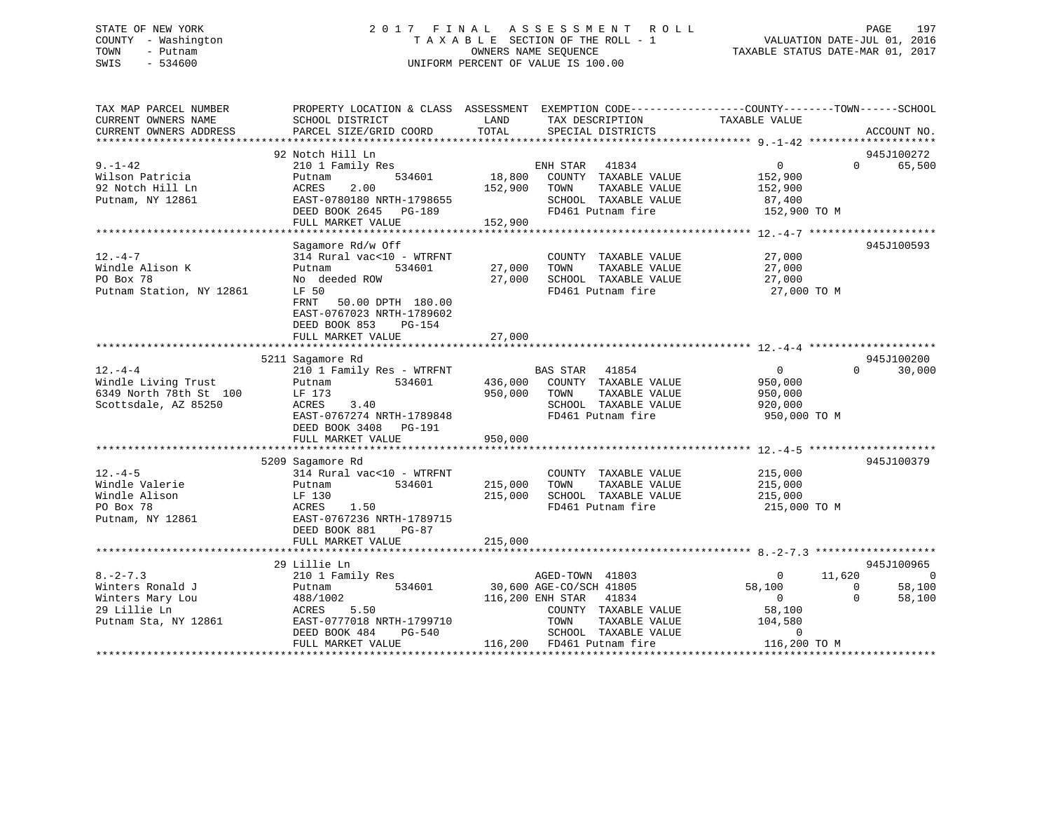# STATE OF NEW YORK 2 0 1 7 F I N A L A S S E S S M E N T R O L L PAGE 197 COUNTY - Washington T A X A B L E SECTION OF THE ROLL - 1 VALUATION DATE-JUL 01, 2016 TOWN - Putnam OWNERS NAME SEQUENCE TAXABLE STATUS DATE-MAR 01, 2017 SWIS - 534600 UNIFORM PERCENT OF VALUE IS 100.00

| TAX MAP PARCEL NUMBER<br>CURRENT OWNERS NAME<br>CURRENT OWNERS ADDRESS                        | SCHOOL DISTRICT<br>PARCEL SIZE/GRID COORD                                                                                                                                                        | LAND<br>TAX DESCRIPTION<br>TOTAL<br>SPECIAL DISTRICTS                                                                                                                                                                                   | PROPERTY LOCATION & CLASS ASSESSMENT EXEMPTION CODE---------------COUNTY-------TOWN------SCHOOL<br>TAXABLE VALUE<br>ACCOUNT NO.                                          |
|-----------------------------------------------------------------------------------------------|--------------------------------------------------------------------------------------------------------------------------------------------------------------------------------------------------|-----------------------------------------------------------------------------------------------------------------------------------------------------------------------------------------------------------------------------------------|--------------------------------------------------------------------------------------------------------------------------------------------------------------------------|
|                                                                                               |                                                                                                                                                                                                  |                                                                                                                                                                                                                                         |                                                                                                                                                                          |
| $9. -1 - 42$<br>Wilson Patricia<br>92 Notch Hill Ln<br>Putnam, NY 12861                       | 92 Notch Hill Ln<br>Notch Hill Ln<br>210 1 Family Res<br>Putnam<br>2.00<br>ACRES<br>FULL MARKET VALUE                                                                                            | ENH STAR 41834 0<br>534601 18,800 COUNTY TAXABLE VALUE 152,900<br>152,900 TOWN<br>TAXABLE VALUE<br>152,900                                                                                                                              | 945J100272<br>$\Omega$<br>65,500<br>152,900                                                                                                                              |
| $12. -4 - 7$<br>Windle Alison K<br>PO Box 78<br>Putnam Station, NY 12861                      | Sagamore Rd/w Off<br>314 Rural vac<10 - WTRFNT<br>534601<br>Putnam<br>No deeded ROW<br>LF 50<br>FRNT 50.00 DPTH 180.00<br>EAST-0767023 NRTH-1789602<br>DEED BOOK 853 PG-154<br>FULL MARKET VALUE | COUNTY TAXABLE VALUE 27,000<br>27,000 TOWN<br>TAXABLE VALUE<br>$27,000$ school TAXABLE VALUE<br>$27,000$ SCHOOL TAXABLE VALUE<br>FD461 Putnam fire<br>27,000                                                                            | 945J100593<br>$\frac{27,000}{27,000}$<br>27,000 TO M                                                                                                                     |
|                                                                                               | 5211 Sagamore Rd                                                                                                                                                                                 |                                                                                                                                                                                                                                         | 945J100200                                                                                                                                                               |
| $12. - 4 - 4$<br>Windle Living Trust                                                          | 210 1 Family Res - WTRFNT<br>6349 North 78th St 100<br>Scottsdale, AZ 85250<br>Scottsdale, AZ 85250<br>ACRES 3.40<br>EAST-0767274 NRTH-1789848<br>DEED BOOK 3408 PG-191                          | BAS STAR 41854<br>Putnam 534601 436,000 COUNTY TAXABLE VALUE<br>950,000 TOWN<br>TAXABLE VALUE<br>SCHOOL TAXABLE VALUE<br>FD461 Putnam fire                                                                                              | $\overline{0}$<br>$\Omega$<br>30,000<br>950,000<br>950,000<br>920,000<br>950,000 TO M                                                                                    |
|                                                                                               | FULL MARKET VALUE                                                                                                                                                                                | 950,000                                                                                                                                                                                                                                 |                                                                                                                                                                          |
| $12. - 4 - 5$<br>Windle Valerie<br>Windle Alison<br>PO Box 78<br>Putnam, NY 12861             | 5209 Sagamore Rd<br>314 Rural vac<10 - WTRFNT<br>Putnam<br>LF 130<br>ACRES 1.50<br>EAST-0767236 NRTH-1789715<br>DEED BOOK 881 PG-87                                                              | COUNTY TAXABLE VALUE<br>534601 215,000 TOWN<br>TAXABLE VALUE<br>215,000<br>SCHOOL TAXABLE VALUE<br>FD461 Putnam fire                                                                                                                    | 945J100379<br>215,000<br>215,000<br>215,000<br>215,000 TO M                                                                                                              |
|                                                                                               | FULL MARKET VALUE                                                                                                                                                                                | 215,000                                                                                                                                                                                                                                 |                                                                                                                                                                          |
|                                                                                               | 29 Lillie Ln                                                                                                                                                                                     |                                                                                                                                                                                                                                         | 945J100965                                                                                                                                                               |
| $8. -2 - 7.3$<br>Winters Ronald J<br>Winters Mary Lou<br>29 Lillie Ln<br>Putnam Sta, NY 12861 | 210 1 Family Res<br>Putnam 534601 30,600 AGE-CO/SCH 41805<br>488/1002<br>ACRES !<br>5.50<br>EAST-0777018 NRTH-1799710<br>DEED BOOK 484<br>FULL MARKET VALUE                                      | AGED-TOWN 41803<br>116,200 ENH STAR 41834<br>COUNTY TAXABLE VALUE 58,100<br>TOWN      TAXABLE VALUE<br>SCHOOL   TAXABLE VALUE<br>EXERCIL POSTAGE POSTAGE POSTAGE PRESSURED BELOCAL PRESSURIOUS POSTAGE PRESSURED AT A SCHOOL TAXABLE VA | 11,620<br>$\overline{\phantom{0}}$<br>$\overline{0}$<br>58,100<br>$\overline{0}$<br>58,100<br>$\overline{0}$<br>$\Omega$<br>58,100<br>104,580<br>$LUE$ 0<br>116,200 TO M |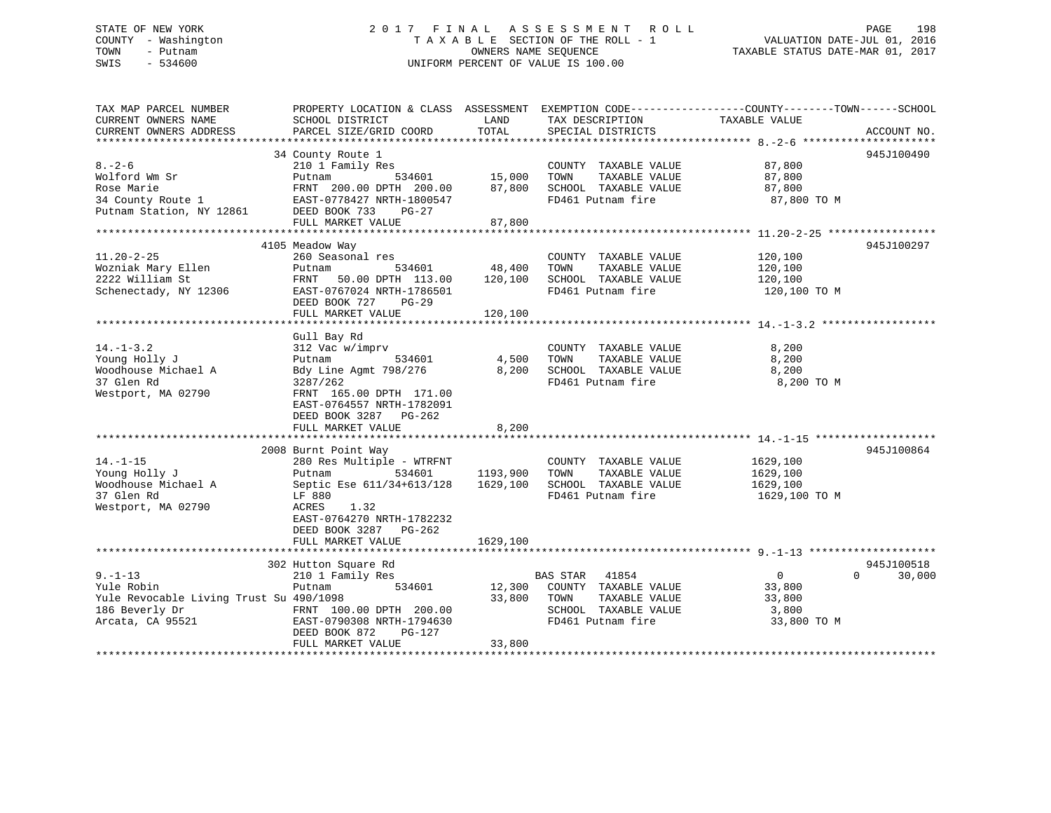# STATE OF NEW YORK 2 0 1 7 F I N A L A S S E S S M E N T R O L L PAGE 198 COUNTY - Washington T A X A B L E SECTION OF THE ROLL - 1 VALUATION DATE-JUL 01, 2016 TOWN - Putnam OWNERS NAME SEQUENCE TAXABLE STATUS DATE-MAR 01, 2017 SWIS - 534600 UNIFORM PERCENT OF VALUE IS 100.00

| SCHOOL DISTRICT<br>LAND<br>TAX DESCRIPTION<br>TAXABLE VALUE<br>TOTAL<br>PARCEL SIZE/GRID COORD<br>SPECIAL DISTRICTS<br>ACCOUNT NO.<br>945J100490<br>34 County Route 1<br>87,800<br>210 1 Family Res<br>COUNTY TAXABLE VALUE<br>15,000<br>TOWN<br>TAXABLE VALUE<br>Putnam<br>534601<br>87,800<br>87,800<br>SCHOOL TAXABLE VALUE<br>87,800<br>FRNT 200.00 DPTH 200.00<br>EAST-0778427 NRTH-1800547<br>FD461 Putnam fire<br>87,800 TO M<br>Putnam Station, NY 12861 DEED BOOK 733<br>$PG-27$<br>FULL MARKET VALUE<br>87,800<br>945J100297<br>4105 Meadow Way<br>COUNTY TAXABLE VALUE<br>120,100<br>260 Seasonal res<br>534601 48,400<br>Wozniak Mary Ellen<br>TOWN<br>Putnam<br>TAXABLE VALUE<br>120,100<br>50.00 DPTH 113.00<br>120,100<br>SCHOOL TAXABLE VALUE<br>120,100<br>FRNT<br>FD461 Putnam fire<br>EAST-0767024 NRTH-1786501<br>120,100 TO M<br>DEED BOOK 727<br>$PG-29$<br>FULL MARKET VALUE<br>120,100<br>Gull Bay Rd<br>$14. - 1 - 3.2$<br>312 Vac w/imprv<br>COUNTY TAXABLE VALUE<br>8,200<br>4,500<br>Young Holly J<br>Putnam<br>534601<br>TOWN<br>TAXABLE VALUE<br>8,200<br>Woodhouse Michael A<br>Bdy Line Agmt 798/276<br>8,200<br>SCHOOL TAXABLE VALUE<br>8,200<br>37 Glen Rd<br>FD461 Putnam fire<br>8,200 TO M<br>3287/262<br>Westport, MA 02790<br>FRNT 165.00 DPTH 171.00<br>EAST-0764557 NRTH-1782091<br>DEED BOOK 3287<br>PG-262<br>8,200<br>FULL MARKET VALUE<br>945J100864<br>2008 Burnt Point Way<br>$14. - 1 - 15$<br>280 Res Multiple - WTRFNT<br>1629,100<br>COUNTY TAXABLE VALUE<br>Young Holly J<br>1193,900<br>1629,100<br>534601<br>TOWN<br>TAXABLE VALUE<br>Putnam<br>Woodhouse Michael A<br>1629,100<br>Septic Ese 611/34+613/128<br>SCHOOL TAXABLE VALUE<br>1629,100<br>37 Glen Rd<br>FD461 Putnam fire<br>1629,100 TO M<br>LF 880<br>Westport, MA 02790<br>ACRES<br>1.32<br>EAST-0764270 NRTH-1782232<br>DEED BOOK 3287 PG-262<br>FULL MARKET VALUE<br>1629,100<br>945J100518<br>302 Hutton Square Rd<br>$9. - 1 - 13$<br>210 1 Family Res<br>BAS STAR 41854<br>$\mathbf{0}$<br>$\Omega$<br>30,000<br>Yule Robin<br>534601<br>12,300<br>COUNTY TAXABLE VALUE<br>33,800<br>Putnam<br>Yule Revocable Living Trust Su 490/1098<br>33,800<br>TOWN<br>TAXABLE VALUE<br>33,800<br>186 Beverly Dr<br>SCHOOL TAXABLE VALUE<br>FRNT 100.00 DPTH 200.00<br>EAST-0790308 NRTH-1794630<br>3,800<br>Arcata, CA 95521<br>FD461 Putnam fire<br>33,800 TO M<br>DEED BOOK 872<br>$PG-127$<br>FULL MARKET VALUE<br>33,800 | TAX MAP PARCEL NUMBER  |  | PROPERTY LOCATION & CLASS ASSESSMENT EXEMPTION CODE----------------COUNTY-------TOWN------SCHOOL |
|--------------------------------------------------------------------------------------------------------------------------------------------------------------------------------------------------------------------------------------------------------------------------------------------------------------------------------------------------------------------------------------------------------------------------------------------------------------------------------------------------------------------------------------------------------------------------------------------------------------------------------------------------------------------------------------------------------------------------------------------------------------------------------------------------------------------------------------------------------------------------------------------------------------------------------------------------------------------------------------------------------------------------------------------------------------------------------------------------------------------------------------------------------------------------------------------------------------------------------------------------------------------------------------------------------------------------------------------------------------------------------------------------------------------------------------------------------------------------------------------------------------------------------------------------------------------------------------------------------------------------------------------------------------------------------------------------------------------------------------------------------------------------------------------------------------------------------------------------------------------------------------------------------------------------------------------------------------------------------------------------------------------------------------------------------------------------------------------------------------------------------------------------------------------------------------------------------------------------------------------------------------------------------------------------------------------------------------------------------------------------------------------------------------------------------------------|------------------------|--|--------------------------------------------------------------------------------------------------|
|                                                                                                                                                                                                                                                                                                                                                                                                                                                                                                                                                                                                                                                                                                                                                                                                                                                                                                                                                                                                                                                                                                                                                                                                                                                                                                                                                                                                                                                                                                                                                                                                                                                                                                                                                                                                                                                                                                                                                                                                                                                                                                                                                                                                                                                                                                                                                                                                                                            | CURRENT OWNERS NAME    |  |                                                                                                  |
|                                                                                                                                                                                                                                                                                                                                                                                                                                                                                                                                                                                                                                                                                                                                                                                                                                                                                                                                                                                                                                                                                                                                                                                                                                                                                                                                                                                                                                                                                                                                                                                                                                                                                                                                                                                                                                                                                                                                                                                                                                                                                                                                                                                                                                                                                                                                                                                                                                            | CURRENT OWNERS ADDRESS |  |                                                                                                  |
|                                                                                                                                                                                                                                                                                                                                                                                                                                                                                                                                                                                                                                                                                                                                                                                                                                                                                                                                                                                                                                                                                                                                                                                                                                                                                                                                                                                                                                                                                                                                                                                                                                                                                                                                                                                                                                                                                                                                                                                                                                                                                                                                                                                                                                                                                                                                                                                                                                            |                        |  |                                                                                                  |
|                                                                                                                                                                                                                                                                                                                                                                                                                                                                                                                                                                                                                                                                                                                                                                                                                                                                                                                                                                                                                                                                                                                                                                                                                                                                                                                                                                                                                                                                                                                                                                                                                                                                                                                                                                                                                                                                                                                                                                                                                                                                                                                                                                                                                                                                                                                                                                                                                                            |                        |  |                                                                                                  |
|                                                                                                                                                                                                                                                                                                                                                                                                                                                                                                                                                                                                                                                                                                                                                                                                                                                                                                                                                                                                                                                                                                                                                                                                                                                                                                                                                                                                                                                                                                                                                                                                                                                                                                                                                                                                                                                                                                                                                                                                                                                                                                                                                                                                                                                                                                                                                                                                                                            | $8 - 2 - 6$            |  |                                                                                                  |
|                                                                                                                                                                                                                                                                                                                                                                                                                                                                                                                                                                                                                                                                                                                                                                                                                                                                                                                                                                                                                                                                                                                                                                                                                                                                                                                                                                                                                                                                                                                                                                                                                                                                                                                                                                                                                                                                                                                                                                                                                                                                                                                                                                                                                                                                                                                                                                                                                                            | Wolford Wm Sr          |  |                                                                                                  |
|                                                                                                                                                                                                                                                                                                                                                                                                                                                                                                                                                                                                                                                                                                                                                                                                                                                                                                                                                                                                                                                                                                                                                                                                                                                                                                                                                                                                                                                                                                                                                                                                                                                                                                                                                                                                                                                                                                                                                                                                                                                                                                                                                                                                                                                                                                                                                                                                                                            | Rose Marie             |  |                                                                                                  |
|                                                                                                                                                                                                                                                                                                                                                                                                                                                                                                                                                                                                                                                                                                                                                                                                                                                                                                                                                                                                                                                                                                                                                                                                                                                                                                                                                                                                                                                                                                                                                                                                                                                                                                                                                                                                                                                                                                                                                                                                                                                                                                                                                                                                                                                                                                                                                                                                                                            | 34 County Route 1      |  |                                                                                                  |
|                                                                                                                                                                                                                                                                                                                                                                                                                                                                                                                                                                                                                                                                                                                                                                                                                                                                                                                                                                                                                                                                                                                                                                                                                                                                                                                                                                                                                                                                                                                                                                                                                                                                                                                                                                                                                                                                                                                                                                                                                                                                                                                                                                                                                                                                                                                                                                                                                                            |                        |  |                                                                                                  |
|                                                                                                                                                                                                                                                                                                                                                                                                                                                                                                                                                                                                                                                                                                                                                                                                                                                                                                                                                                                                                                                                                                                                                                                                                                                                                                                                                                                                                                                                                                                                                                                                                                                                                                                                                                                                                                                                                                                                                                                                                                                                                                                                                                                                                                                                                                                                                                                                                                            |                        |  |                                                                                                  |
|                                                                                                                                                                                                                                                                                                                                                                                                                                                                                                                                                                                                                                                                                                                                                                                                                                                                                                                                                                                                                                                                                                                                                                                                                                                                                                                                                                                                                                                                                                                                                                                                                                                                                                                                                                                                                                                                                                                                                                                                                                                                                                                                                                                                                                                                                                                                                                                                                                            |                        |  |                                                                                                  |
|                                                                                                                                                                                                                                                                                                                                                                                                                                                                                                                                                                                                                                                                                                                                                                                                                                                                                                                                                                                                                                                                                                                                                                                                                                                                                                                                                                                                                                                                                                                                                                                                                                                                                                                                                                                                                                                                                                                                                                                                                                                                                                                                                                                                                                                                                                                                                                                                                                            |                        |  |                                                                                                  |
|                                                                                                                                                                                                                                                                                                                                                                                                                                                                                                                                                                                                                                                                                                                                                                                                                                                                                                                                                                                                                                                                                                                                                                                                                                                                                                                                                                                                                                                                                                                                                                                                                                                                                                                                                                                                                                                                                                                                                                                                                                                                                                                                                                                                                                                                                                                                                                                                                                            | $11.20 - 2 - 25$       |  |                                                                                                  |
|                                                                                                                                                                                                                                                                                                                                                                                                                                                                                                                                                                                                                                                                                                                                                                                                                                                                                                                                                                                                                                                                                                                                                                                                                                                                                                                                                                                                                                                                                                                                                                                                                                                                                                                                                                                                                                                                                                                                                                                                                                                                                                                                                                                                                                                                                                                                                                                                                                            |                        |  |                                                                                                  |
|                                                                                                                                                                                                                                                                                                                                                                                                                                                                                                                                                                                                                                                                                                                                                                                                                                                                                                                                                                                                                                                                                                                                                                                                                                                                                                                                                                                                                                                                                                                                                                                                                                                                                                                                                                                                                                                                                                                                                                                                                                                                                                                                                                                                                                                                                                                                                                                                                                            | 2222 William St        |  |                                                                                                  |
|                                                                                                                                                                                                                                                                                                                                                                                                                                                                                                                                                                                                                                                                                                                                                                                                                                                                                                                                                                                                                                                                                                                                                                                                                                                                                                                                                                                                                                                                                                                                                                                                                                                                                                                                                                                                                                                                                                                                                                                                                                                                                                                                                                                                                                                                                                                                                                                                                                            | Schenectady, NY 12306  |  |                                                                                                  |
|                                                                                                                                                                                                                                                                                                                                                                                                                                                                                                                                                                                                                                                                                                                                                                                                                                                                                                                                                                                                                                                                                                                                                                                                                                                                                                                                                                                                                                                                                                                                                                                                                                                                                                                                                                                                                                                                                                                                                                                                                                                                                                                                                                                                                                                                                                                                                                                                                                            |                        |  |                                                                                                  |
|                                                                                                                                                                                                                                                                                                                                                                                                                                                                                                                                                                                                                                                                                                                                                                                                                                                                                                                                                                                                                                                                                                                                                                                                                                                                                                                                                                                                                                                                                                                                                                                                                                                                                                                                                                                                                                                                                                                                                                                                                                                                                                                                                                                                                                                                                                                                                                                                                                            |                        |  |                                                                                                  |
|                                                                                                                                                                                                                                                                                                                                                                                                                                                                                                                                                                                                                                                                                                                                                                                                                                                                                                                                                                                                                                                                                                                                                                                                                                                                                                                                                                                                                                                                                                                                                                                                                                                                                                                                                                                                                                                                                                                                                                                                                                                                                                                                                                                                                                                                                                                                                                                                                                            |                        |  |                                                                                                  |
|                                                                                                                                                                                                                                                                                                                                                                                                                                                                                                                                                                                                                                                                                                                                                                                                                                                                                                                                                                                                                                                                                                                                                                                                                                                                                                                                                                                                                                                                                                                                                                                                                                                                                                                                                                                                                                                                                                                                                                                                                                                                                                                                                                                                                                                                                                                                                                                                                                            |                        |  |                                                                                                  |
|                                                                                                                                                                                                                                                                                                                                                                                                                                                                                                                                                                                                                                                                                                                                                                                                                                                                                                                                                                                                                                                                                                                                                                                                                                                                                                                                                                                                                                                                                                                                                                                                                                                                                                                                                                                                                                                                                                                                                                                                                                                                                                                                                                                                                                                                                                                                                                                                                                            |                        |  |                                                                                                  |
|                                                                                                                                                                                                                                                                                                                                                                                                                                                                                                                                                                                                                                                                                                                                                                                                                                                                                                                                                                                                                                                                                                                                                                                                                                                                                                                                                                                                                                                                                                                                                                                                                                                                                                                                                                                                                                                                                                                                                                                                                                                                                                                                                                                                                                                                                                                                                                                                                                            |                        |  |                                                                                                  |
|                                                                                                                                                                                                                                                                                                                                                                                                                                                                                                                                                                                                                                                                                                                                                                                                                                                                                                                                                                                                                                                                                                                                                                                                                                                                                                                                                                                                                                                                                                                                                                                                                                                                                                                                                                                                                                                                                                                                                                                                                                                                                                                                                                                                                                                                                                                                                                                                                                            |                        |  |                                                                                                  |
|                                                                                                                                                                                                                                                                                                                                                                                                                                                                                                                                                                                                                                                                                                                                                                                                                                                                                                                                                                                                                                                                                                                                                                                                                                                                                                                                                                                                                                                                                                                                                                                                                                                                                                                                                                                                                                                                                                                                                                                                                                                                                                                                                                                                                                                                                                                                                                                                                                            |                        |  |                                                                                                  |
|                                                                                                                                                                                                                                                                                                                                                                                                                                                                                                                                                                                                                                                                                                                                                                                                                                                                                                                                                                                                                                                                                                                                                                                                                                                                                                                                                                                                                                                                                                                                                                                                                                                                                                                                                                                                                                                                                                                                                                                                                                                                                                                                                                                                                                                                                                                                                                                                                                            |                        |  |                                                                                                  |
|                                                                                                                                                                                                                                                                                                                                                                                                                                                                                                                                                                                                                                                                                                                                                                                                                                                                                                                                                                                                                                                                                                                                                                                                                                                                                                                                                                                                                                                                                                                                                                                                                                                                                                                                                                                                                                                                                                                                                                                                                                                                                                                                                                                                                                                                                                                                                                                                                                            |                        |  |                                                                                                  |
|                                                                                                                                                                                                                                                                                                                                                                                                                                                                                                                                                                                                                                                                                                                                                                                                                                                                                                                                                                                                                                                                                                                                                                                                                                                                                                                                                                                                                                                                                                                                                                                                                                                                                                                                                                                                                                                                                                                                                                                                                                                                                                                                                                                                                                                                                                                                                                                                                                            |                        |  |                                                                                                  |
|                                                                                                                                                                                                                                                                                                                                                                                                                                                                                                                                                                                                                                                                                                                                                                                                                                                                                                                                                                                                                                                                                                                                                                                                                                                                                                                                                                                                                                                                                                                                                                                                                                                                                                                                                                                                                                                                                                                                                                                                                                                                                                                                                                                                                                                                                                                                                                                                                                            |                        |  |                                                                                                  |
|                                                                                                                                                                                                                                                                                                                                                                                                                                                                                                                                                                                                                                                                                                                                                                                                                                                                                                                                                                                                                                                                                                                                                                                                                                                                                                                                                                                                                                                                                                                                                                                                                                                                                                                                                                                                                                                                                                                                                                                                                                                                                                                                                                                                                                                                                                                                                                                                                                            |                        |  |                                                                                                  |
|                                                                                                                                                                                                                                                                                                                                                                                                                                                                                                                                                                                                                                                                                                                                                                                                                                                                                                                                                                                                                                                                                                                                                                                                                                                                                                                                                                                                                                                                                                                                                                                                                                                                                                                                                                                                                                                                                                                                                                                                                                                                                                                                                                                                                                                                                                                                                                                                                                            |                        |  |                                                                                                  |
|                                                                                                                                                                                                                                                                                                                                                                                                                                                                                                                                                                                                                                                                                                                                                                                                                                                                                                                                                                                                                                                                                                                                                                                                                                                                                                                                                                                                                                                                                                                                                                                                                                                                                                                                                                                                                                                                                                                                                                                                                                                                                                                                                                                                                                                                                                                                                                                                                                            |                        |  |                                                                                                  |
|                                                                                                                                                                                                                                                                                                                                                                                                                                                                                                                                                                                                                                                                                                                                                                                                                                                                                                                                                                                                                                                                                                                                                                                                                                                                                                                                                                                                                                                                                                                                                                                                                                                                                                                                                                                                                                                                                                                                                                                                                                                                                                                                                                                                                                                                                                                                                                                                                                            |                        |  |                                                                                                  |
|                                                                                                                                                                                                                                                                                                                                                                                                                                                                                                                                                                                                                                                                                                                                                                                                                                                                                                                                                                                                                                                                                                                                                                                                                                                                                                                                                                                                                                                                                                                                                                                                                                                                                                                                                                                                                                                                                                                                                                                                                                                                                                                                                                                                                                                                                                                                                                                                                                            |                        |  |                                                                                                  |
|                                                                                                                                                                                                                                                                                                                                                                                                                                                                                                                                                                                                                                                                                                                                                                                                                                                                                                                                                                                                                                                                                                                                                                                                                                                                                                                                                                                                                                                                                                                                                                                                                                                                                                                                                                                                                                                                                                                                                                                                                                                                                                                                                                                                                                                                                                                                                                                                                                            |                        |  |                                                                                                  |
|                                                                                                                                                                                                                                                                                                                                                                                                                                                                                                                                                                                                                                                                                                                                                                                                                                                                                                                                                                                                                                                                                                                                                                                                                                                                                                                                                                                                                                                                                                                                                                                                                                                                                                                                                                                                                                                                                                                                                                                                                                                                                                                                                                                                                                                                                                                                                                                                                                            |                        |  |                                                                                                  |
|                                                                                                                                                                                                                                                                                                                                                                                                                                                                                                                                                                                                                                                                                                                                                                                                                                                                                                                                                                                                                                                                                                                                                                                                                                                                                                                                                                                                                                                                                                                                                                                                                                                                                                                                                                                                                                                                                                                                                                                                                                                                                                                                                                                                                                                                                                                                                                                                                                            |                        |  |                                                                                                  |
|                                                                                                                                                                                                                                                                                                                                                                                                                                                                                                                                                                                                                                                                                                                                                                                                                                                                                                                                                                                                                                                                                                                                                                                                                                                                                                                                                                                                                                                                                                                                                                                                                                                                                                                                                                                                                                                                                                                                                                                                                                                                                                                                                                                                                                                                                                                                                                                                                                            |                        |  |                                                                                                  |
|                                                                                                                                                                                                                                                                                                                                                                                                                                                                                                                                                                                                                                                                                                                                                                                                                                                                                                                                                                                                                                                                                                                                                                                                                                                                                                                                                                                                                                                                                                                                                                                                                                                                                                                                                                                                                                                                                                                                                                                                                                                                                                                                                                                                                                                                                                                                                                                                                                            |                        |  |                                                                                                  |
|                                                                                                                                                                                                                                                                                                                                                                                                                                                                                                                                                                                                                                                                                                                                                                                                                                                                                                                                                                                                                                                                                                                                                                                                                                                                                                                                                                                                                                                                                                                                                                                                                                                                                                                                                                                                                                                                                                                                                                                                                                                                                                                                                                                                                                                                                                                                                                                                                                            |                        |  |                                                                                                  |
|                                                                                                                                                                                                                                                                                                                                                                                                                                                                                                                                                                                                                                                                                                                                                                                                                                                                                                                                                                                                                                                                                                                                                                                                                                                                                                                                                                                                                                                                                                                                                                                                                                                                                                                                                                                                                                                                                                                                                                                                                                                                                                                                                                                                                                                                                                                                                                                                                                            |                        |  |                                                                                                  |
|                                                                                                                                                                                                                                                                                                                                                                                                                                                                                                                                                                                                                                                                                                                                                                                                                                                                                                                                                                                                                                                                                                                                                                                                                                                                                                                                                                                                                                                                                                                                                                                                                                                                                                                                                                                                                                                                                                                                                                                                                                                                                                                                                                                                                                                                                                                                                                                                                                            |                        |  |                                                                                                  |
|                                                                                                                                                                                                                                                                                                                                                                                                                                                                                                                                                                                                                                                                                                                                                                                                                                                                                                                                                                                                                                                                                                                                                                                                                                                                                                                                                                                                                                                                                                                                                                                                                                                                                                                                                                                                                                                                                                                                                                                                                                                                                                                                                                                                                                                                                                                                                                                                                                            |                        |  |                                                                                                  |
|                                                                                                                                                                                                                                                                                                                                                                                                                                                                                                                                                                                                                                                                                                                                                                                                                                                                                                                                                                                                                                                                                                                                                                                                                                                                                                                                                                                                                                                                                                                                                                                                                                                                                                                                                                                                                                                                                                                                                                                                                                                                                                                                                                                                                                                                                                                                                                                                                                            |                        |  |                                                                                                  |
|                                                                                                                                                                                                                                                                                                                                                                                                                                                                                                                                                                                                                                                                                                                                                                                                                                                                                                                                                                                                                                                                                                                                                                                                                                                                                                                                                                                                                                                                                                                                                                                                                                                                                                                                                                                                                                                                                                                                                                                                                                                                                                                                                                                                                                                                                                                                                                                                                                            |                        |  |                                                                                                  |
|                                                                                                                                                                                                                                                                                                                                                                                                                                                                                                                                                                                                                                                                                                                                                                                                                                                                                                                                                                                                                                                                                                                                                                                                                                                                                                                                                                                                                                                                                                                                                                                                                                                                                                                                                                                                                                                                                                                                                                                                                                                                                                                                                                                                                                                                                                                                                                                                                                            |                        |  |                                                                                                  |
|                                                                                                                                                                                                                                                                                                                                                                                                                                                                                                                                                                                                                                                                                                                                                                                                                                                                                                                                                                                                                                                                                                                                                                                                                                                                                                                                                                                                                                                                                                                                                                                                                                                                                                                                                                                                                                                                                                                                                                                                                                                                                                                                                                                                                                                                                                                                                                                                                                            |                        |  |                                                                                                  |
|                                                                                                                                                                                                                                                                                                                                                                                                                                                                                                                                                                                                                                                                                                                                                                                                                                                                                                                                                                                                                                                                                                                                                                                                                                                                                                                                                                                                                                                                                                                                                                                                                                                                                                                                                                                                                                                                                                                                                                                                                                                                                                                                                                                                                                                                                                                                                                                                                                            |                        |  |                                                                                                  |
|                                                                                                                                                                                                                                                                                                                                                                                                                                                                                                                                                                                                                                                                                                                                                                                                                                                                                                                                                                                                                                                                                                                                                                                                                                                                                                                                                                                                                                                                                                                                                                                                                                                                                                                                                                                                                                                                                                                                                                                                                                                                                                                                                                                                                                                                                                                                                                                                                                            |                        |  |                                                                                                  |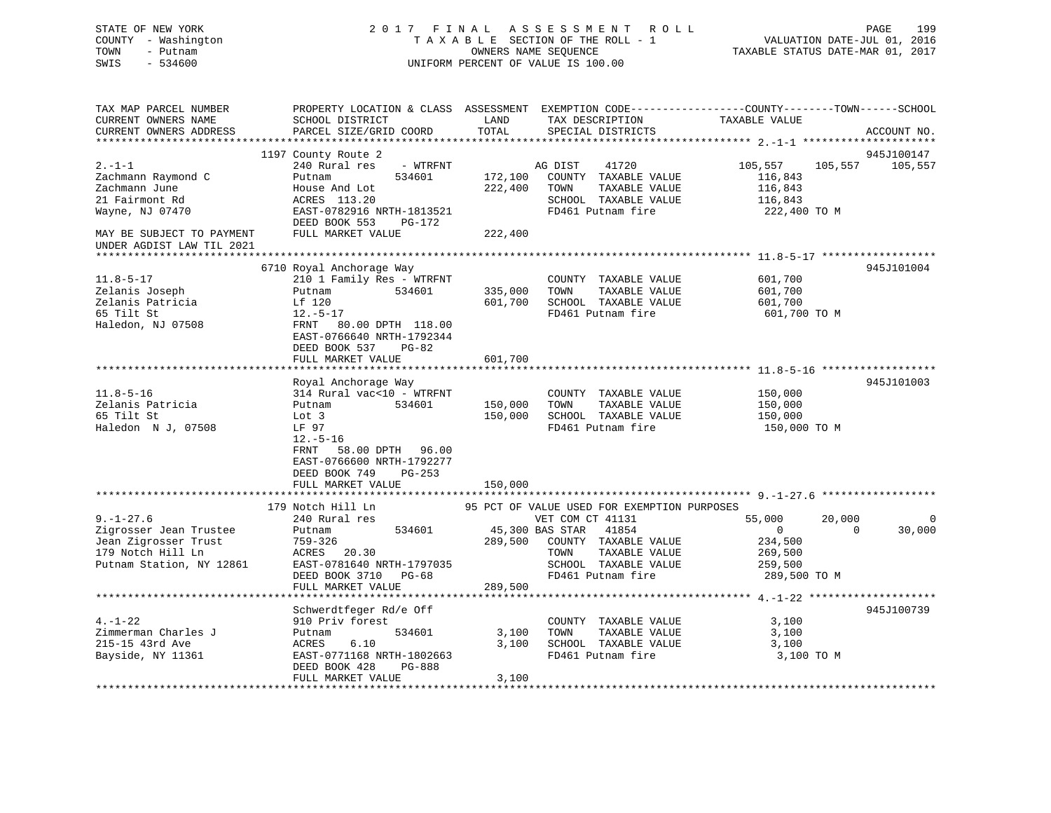| STATE OF NEW YORK<br>COUNTY - Washington<br>- Putnam<br>TOWN<br>SWIS<br>$-534600$                   | 2017 FINAL ASSESSMENT<br>TAXABLE SECTION OF THE ROLL - 1<br>UNIFORM PERCENT OF VALUE IS 100.00                                                | R O L L       | PAGE<br>199<br>VALUATION DATE-JUL 01, 2016<br>TAXABLE STATUS DATE-MAR 01, 2017 |                         |                          |
|-----------------------------------------------------------------------------------------------------|-----------------------------------------------------------------------------------------------------------------------------------------------|---------------|--------------------------------------------------------------------------------|-------------------------|--------------------------|
| TAX MAP PARCEL NUMBER<br>CURRENT OWNERS NAME<br>CURRENT OWNERS ADDRESS<br>************************* | PROPERTY LOCATION & CLASS ASSESSMENT EXEMPTION CODE----------------COUNTY-------TOWN------SCHOOL<br>SCHOOL DISTRICT<br>PARCEL SIZE/GRID COORD | LAND<br>TOTAL | TAX DESCRIPTION<br>SPECIAL DISTRICTS                                           | TAXABLE VALUE           | ACCOUNT NO.              |
|                                                                                                     | 1197 County Route 2                                                                                                                           |               |                                                                                |                         | 945J100147               |
| $2. - 1 - 1$                                                                                        | 240 Rural res<br>- WTRFNT                                                                                                                     |               | AG DIST<br>41720                                                               | 105,557                 | 105,557<br>105,557       |
| Zachmann Raymond C                                                                                  | 534601<br>Putnam                                                                                                                              | 172,100       | COUNTY TAXABLE VALUE                                                           | 116,843                 |                          |
| Zachmann June                                                                                       | House And Lot                                                                                                                                 | 222,400       | TOWN<br>TAXABLE VALUE                                                          | 116,843                 |                          |
| 21 Fairmont Rd                                                                                      | ACRES 113.20                                                                                                                                  |               | SCHOOL TAXABLE VALUE                                                           | 116,843                 |                          |
| Wayne, NJ 07470                                                                                     | EAST-0782916 NRTH-1813521<br>DEED BOOK 553<br>PG-172                                                                                          |               | FD461 Putnam fire                                                              | 222,400 TO M            |                          |
| MAY BE SUBJECT TO PAYMENT                                                                           | FULL MARKET VALUE                                                                                                                             | 222,400       |                                                                                |                         |                          |
| UNDER AGDIST LAW TIL 2021                                                                           |                                                                                                                                               |               |                                                                                |                         |                          |
|                                                                                                     | 6710 Royal Anchorage Way                                                                                                                      |               |                                                                                |                         | 945J101004               |
| $11.8 - 5 - 17$                                                                                     | 210 1 Family Res - WTRFNT                                                                                                                     |               | COUNTY TAXABLE VALUE                                                           | 601,700                 |                          |
| Zelanis Joseph                                                                                      | Putnam<br>534601                                                                                                                              | 335,000       | TOWN<br>TAXABLE VALUE                                                          | 601,700                 |                          |
| Zelanis Patricia                                                                                    | Lf 120                                                                                                                                        | 601,700       | SCHOOL TAXABLE VALUE                                                           | 601,700                 |                          |
| 65 Tilt St                                                                                          | $12.-5-17$                                                                                                                                    |               | FD461 Putnam fire                                                              | 601,700 TO M            |                          |
| Haledon, NJ 07508                                                                                   | FRNT 80.00 DPTH 118.00<br>EAST-0766640 NRTH-1792344<br>DEED BOOK 537<br>$PG-82$                                                               |               |                                                                                |                         |                          |
|                                                                                                     | FULL MARKET VALUE                                                                                                                             | 601,700       |                                                                                |                         |                          |
|                                                                                                     | Royal Anchorage Way                                                                                                                           |               |                                                                                |                         | 945J101003               |
| $11.8 - 5 - 16$                                                                                     | 314 Rural vac<10 - WTRFNT                                                                                                                     |               | COUNTY TAXABLE VALUE                                                           | 150,000                 |                          |
| Zelanis Patricia                                                                                    | 534601<br>Putnam                                                                                                                              | 150,000       | TOWN<br>TAXABLE VALUE                                                          | 150,000                 |                          |
| 65 Tilt St                                                                                          | Lot 3                                                                                                                                         | 150,000       | SCHOOL TAXABLE VALUE                                                           | 150,000                 |                          |
| Haledon N J, 07508                                                                                  | LF 97<br>$12.-5-16$                                                                                                                           |               | FD461 Putnam fire                                                              | 150,000 TO M            |                          |
|                                                                                                     | FRNT<br>58.00 DPTH 96.00<br>EAST-0766600 NRTH-1792277<br>DEED BOOK 749<br>$PG-253$<br>FULL MARKET VALUE                                       | 150,000       |                                                                                |                         |                          |
|                                                                                                     |                                                                                                                                               |               |                                                                                |                         |                          |
|                                                                                                     | 179 Notch Hill Ln                                                                                                                             |               | 95 PCT OF VALUE USED FOR EXEMPTION PURPOSES                                    |                         |                          |
| $9. - 1 - 27.6$                                                                                     | 240 Rural res                                                                                                                                 |               | VET COM CT 41131                                                               | 55,000                  | 20,000<br>$\overline{0}$ |
| Zigrosser Jean Trustee                                                                              | 534601<br>Putnam                                                                                                                              |               | 45,300 BAS STAR 41854                                                          | $\circ$                 | 30,000<br>$\Omega$       |
| Jean Zigrosser Trust                                                                                | 759-326                                                                                                                                       | 289,500       | COUNTY TAXABLE VALUE                                                           | 234,500                 |                          |
| 179 Notch Hill Ln                                                                                   | 20.30<br>ACRES                                                                                                                                |               | TOWN<br>TAXABLE VALUE                                                          | 269,500                 |                          |
| Putnam Station, NY 12861                                                                            | EAST-0781640 NRTH-1797035<br>DEED BOOK 3710<br>PG-68                                                                                          |               | SCHOOL TAXABLE VALUE<br>FD461 Putnam fire                                      | 259,500<br>289,500 TO M |                          |
|                                                                                                     | FULL MARKET VALUE                                                                                                                             | 289,500       |                                                                                |                         |                          |
|                                                                                                     |                                                                                                                                               |               |                                                                                |                         |                          |
|                                                                                                     | Schwerdtfeger Rd/e Off                                                                                                                        |               |                                                                                |                         | 945J100739               |
| $4. - 1 - 22$                                                                                       | 910 Priv forest                                                                                                                               |               | COUNTY TAXABLE VALUE                                                           | 3,100                   |                          |
| Zimmerman Charles J                                                                                 | 534601<br>Putnam                                                                                                                              | 3,100         | TOWN<br>TAXABLE VALUE                                                          | 3,100                   |                          |
| 215-15 43rd Ave                                                                                     | ACRES<br>6.10                                                                                                                                 | 3,100         | SCHOOL TAXABLE VALUE                                                           | 3,100                   |                          |
| Bayside, NY 11361                                                                                   | EAST-0771168 NRTH-1802663<br>DEED BOOK 428<br>PG-888<br>FULL MARKET VALUE                                                                     | 3,100         | FD461 Putnam fire                                                              | 3,100 TO M              |                          |
|                                                                                                     |                                                                                                                                               |               |                                                                                |                         |                          |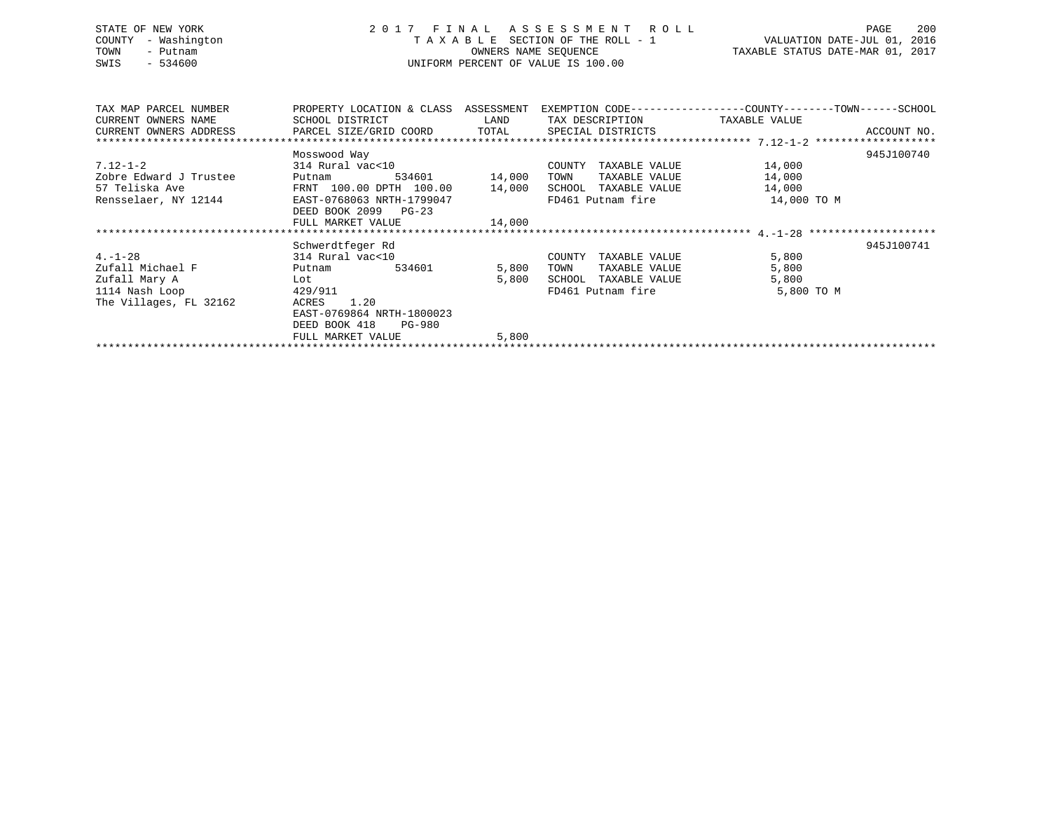# STATE OF NEW YORK 2 0 1 7 F I N A L A S S E S S M E N T R O L L PAGE 200 COUNTY - Washington T A X A B L E SECTION OF THE ROLL - 1 VALUATION DATE-JUL 01, 2016 TOWN - Putnam OWNERS NAME SEQUENCE TAXABLE STATUS DATE-MAR 01, 2017 SWIS - 534600 UNIFORM PERCENT OF VALUE IS 100.00

| TAX MAP PARCEL NUMBER                                                             | PROPERTY LOCATION & CLASS ASSESSMENT |             | EXEMPTION CODE-----------------COUNTY-------TOWN------SCHOOL |             |             |
|-----------------------------------------------------------------------------------|--------------------------------------|-------------|--------------------------------------------------------------|-------------|-------------|
| CURRENT OWNERS NAME                                                               | SCHOOL DISTRICT                      | <b>LAND</b> | TAX DESCRIPTION TAXABLE VALUE                                |             |             |
| CURRENT OWNERS ADDRESS     PARCEL SIZE/GRID COORD     TOTAL     SPECIAL DISTRICTS |                                      |             |                                                              |             | ACCOUNT NO. |
|                                                                                   |                                      |             |                                                              |             |             |
|                                                                                   | Mosswood Way                         |             |                                                              |             | 945J100740  |
| $7.12 - 1 - 2$                                                                    | 314 Rural vac<10                     |             | COUNTY TAXABLE VALUE                                         | 14,000      |             |
| Zobre Edward J Trustee                                                            | Putnam 534601 14,000                 |             | TOWN TAXABLE VALUE                                           | 14,000      |             |
| 57 Teliska Ave                                                                    | FRNT 100.00 DPTH 100.00 14,000       |             | SCHOOL TAXABLE VALUE                                         | 14,000      |             |
| Rensselaer, NY 12144 EAST-0768063 NRTH-1799047                                    |                                      |             | FD461 Putnam fire                                            | 14,000 TO M |             |
|                                                                                   | DEED BOOK 2099 PG-23                 |             |                                                              |             |             |
|                                                                                   | FULL MARKET VALUE 14,000             |             |                                                              |             |             |
|                                                                                   |                                      |             |                                                              |             |             |
|                                                                                   | Schwerdtfeger Rd                     |             |                                                              |             | 945J100741  |
| $4. - 1 - 28$                                                                     | 314 Rural vac<10                     |             | COUNTY TAXABLE VALUE                                         | 5,800       |             |
| Zufall Michael F                                                                  | Putnam 534601                        | 5,800       | TOWN<br>TAXABLE VALUE                                        | 5,800       |             |
| Zufall Mary A                                                                     | Lot                                  | 5,800       | SCHOOL TAXABLE VALUE                                         | 5,800       |             |
| 429/911<br>1114 Nash Loop                                                         |                                      |             | FD461 Putnam fire                                            | 5,800 TO M  |             |
| The Villages, FL 32162                                                            | ACRES 1.20                           |             |                                                              |             |             |
|                                                                                   | EAST-0769864 NRTH-1800023            |             |                                                              |             |             |
|                                                                                   | DEED BOOK 418 PG-980                 |             |                                                              |             |             |
|                                                                                   | FULL MARKET VALUE                    | 5,800       |                                                              |             |             |
|                                                                                   |                                      |             |                                                              |             |             |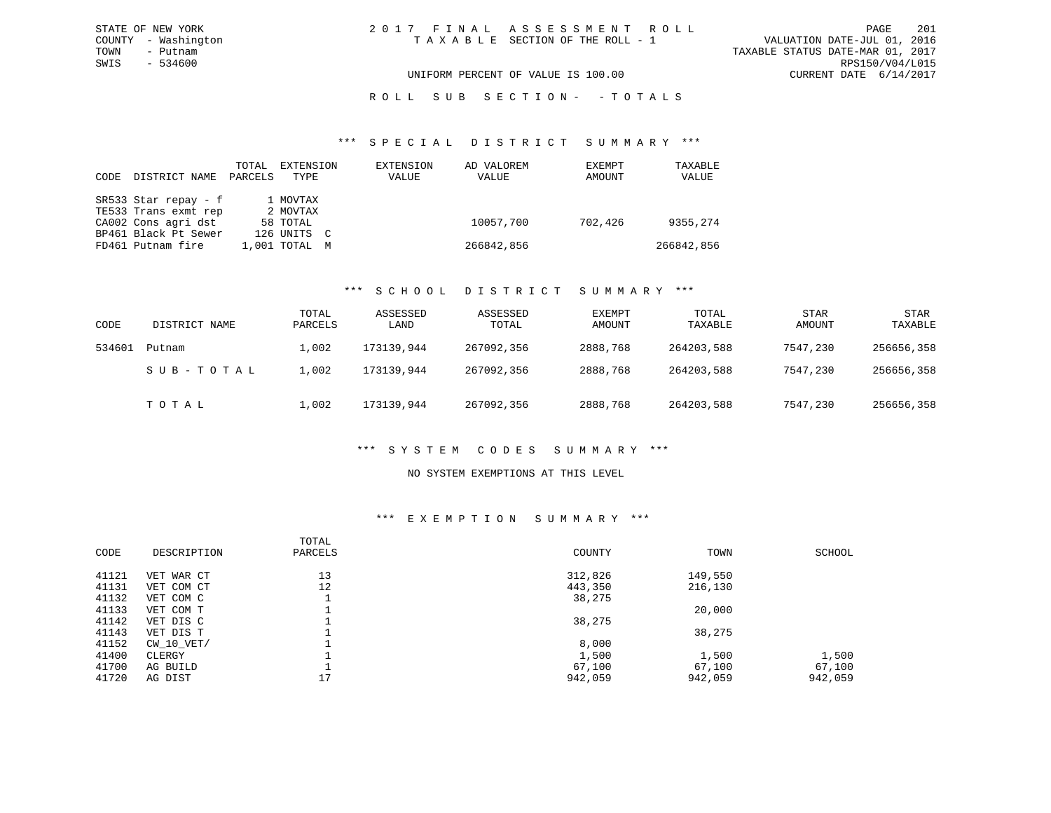VALUATION DATE-JUL 01, 2016 TOWN - Putnam TAXABLE STATUS DATE-MAR 01, 2017 SWIS - 534600 RPS150/V04/L015 UNIFORM PERCENT OF VALUE IS 100.00 CURRENT DATE 6/14/2017

### R O L L S U B S E C T I O N - - T O T A L S

#### \*\*\* S P E C I A L D I S T R I C T S U M M A R Y \*\*\*

| CODE. | DISTRICT NAME        | TOTAL<br>PARCELS | EXTENSION<br>TYPE | EXTENSION<br>VALUE | AD VALOREM<br>VALUE | EXEMPT<br>AMOUNT | TAXABLE<br>VALUE |
|-------|----------------------|------------------|-------------------|--------------------|---------------------|------------------|------------------|
|       | SR533 Star repay - f |                  | 1 MOVTAX          |                    |                     |                  |                  |
|       | TE533 Trans exmt rep |                  | 2 MOVTAX          |                    |                     |                  |                  |
|       | CA002 Cons agri dst  |                  | 58 TOTAL          |                    | 10057,700           | 702,426          | 9355,274         |
|       | BP461 Black Pt Sewer |                  | 126 UNITS C       |                    |                     |                  |                  |
|       | FD461 Putnam fire    |                  | 1,001 TOTAL       | M                  | 266842,856          |                  | 266842,856       |

#### \*\*\* S C H O O L D I S T R I C T S U M M A R Y \*\*\*

| CODE   | DISTRICT NAME | TOTAL<br>PARCELS | ASSESSED<br>LAND | ASSESSED<br>TOTAL | EXEMPT<br>AMOUNT | TOTAL<br>TAXABLE | <b>STAR</b><br>AMOUNT | <b>STAR</b><br>TAXABLE |
|--------|---------------|------------------|------------------|-------------------|------------------|------------------|-----------------------|------------------------|
| 534601 | Putnam        | 1,002            | 173139,944       | 267092,356        | 2888,768         | 264203,588       | 7547,230              | 256656,358             |
|        | SUB-TOTAL     | 1,002            | 173139,944       | 267092,356        | 2888,768         | 264203,588       | 7547,230              | 256656,358             |
|        | TOTAL         | 1,002            | 173139,944       | 267092,356        | 2888,768         | 264203,588       | 7547,230              | 256656,358             |

### \*\*\* S Y S T E M C O D E S S U M M A R Y \*\*\*

#### NO SYSTEM EXEMPTIONS AT THIS LEVEL

### \*\*\* E X E M P T I O N S U M M A R Y \*\*\*

| CODE  | DESCRIPTION  | TOTAL<br>PARCELS | COUNTY  | TOWN    | SCHOOL  |
|-------|--------------|------------------|---------|---------|---------|
| 41121 | VET WAR CT   | 13               | 312,826 | 149,550 |         |
| 41131 | VET COM CT   | 12               | 443,350 | 216,130 |         |
| 41132 | VET COM C    |                  | 38,275  |         |         |
| 41133 | VET COM T    |                  |         | 20,000  |         |
| 41142 | VET DIS C    |                  | 38,275  |         |         |
| 41143 | VET DIS T    |                  |         | 38,275  |         |
| 41152 | $CW_10_VET/$ |                  | 8,000   |         |         |
| 41400 | CLERGY       |                  | 1,500   | 1,500   | 1,500   |
| 41700 | AG BUILD     |                  | 67,100  | 67,100  | 67,100  |
| 41720 | AG DIST      | 17               | 942,059 | 942,059 | 942,059 |
|       |              |                  |         |         |         |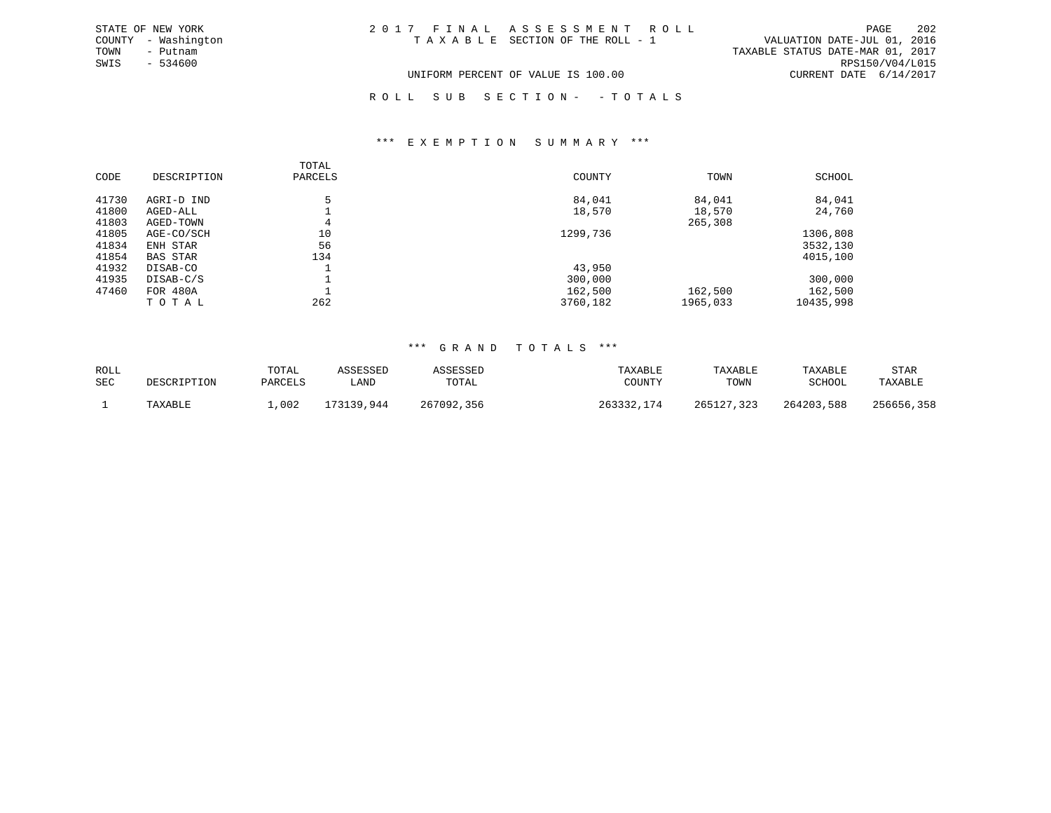| STATE OF NEW YORK   | 2017 FINAL ASSESSMENT ROLL         | 202<br>PAGE                      |
|---------------------|------------------------------------|----------------------------------|
| COUNTY - Washington | TAXABLE SECTION OF THE ROLL - 1    | VALUATION DATE-JUL 01, 2016      |
| TOWN<br>- Putnam    |                                    | TAXABLE STATUS DATE-MAR 01, 2017 |
| SWIS<br>- 534600    |                                    | RPS150/V04/L015                  |
|                     | UNIFORM PERCENT OF VALUE IS 100.00 | CURRENT DATE 6/14/2017           |
|                     |                                    |                                  |

### R O L L S U B S E C T I O N - - T O T A L S

#### \*\*\* E X E M P T I O N S U M M A R Y \*\*\*

|       |                 | TOTAL   |          |          |           |
|-------|-----------------|---------|----------|----------|-----------|
| CODE  | DESCRIPTION     | PARCELS | COUNTY   | TOWN     | SCHOOL    |
| 41730 | AGRI-D IND      |         | 84,041   | 84,041   | 84,041    |
| 41800 | AGED-ALL        |         | 18,570   | 18,570   | 24,760    |
| 41803 | AGED-TOWN       | 4       |          | 265,308  |           |
| 41805 | AGE-CO/SCH      | 10      | 1299,736 |          | 1306,808  |
| 41834 | ENH STAR        | 56      |          |          | 3532,130  |
| 41854 | <b>BAS STAR</b> | 134     |          |          | 4015,100  |
| 41932 | DISAB-CO        |         | 43,950   |          |           |
| 41935 | DISAB-C/S       |         | 300,000  |          | 300,000   |
| 47460 | FOR 480A        |         | 162,500  | 162,500  | 162,500   |
|       | TOTAL           | 262     | 3760,182 | 1965,033 | 10435,998 |

| ROLL<br>SEC | <b>DESCRIPTION</b> | TOTAL<br>PARCELS | ASSESSED<br>LAND | <i><b>\SSESSED</b></i><br>TOTAL | TAXABLE<br>COUNTY | TAXABLE<br>TOWN | TAXABLE<br>SCHOOL | <b>STAR</b><br>TAXABLE |
|-------------|--------------------|------------------|------------------|---------------------------------|-------------------|-----------------|-------------------|------------------------|
|             | TAXABLE            | ,002             | 173139,944       | 267092,356                      | 263332<br>174     | 265127.323      | 264203,588        | 256656,358             |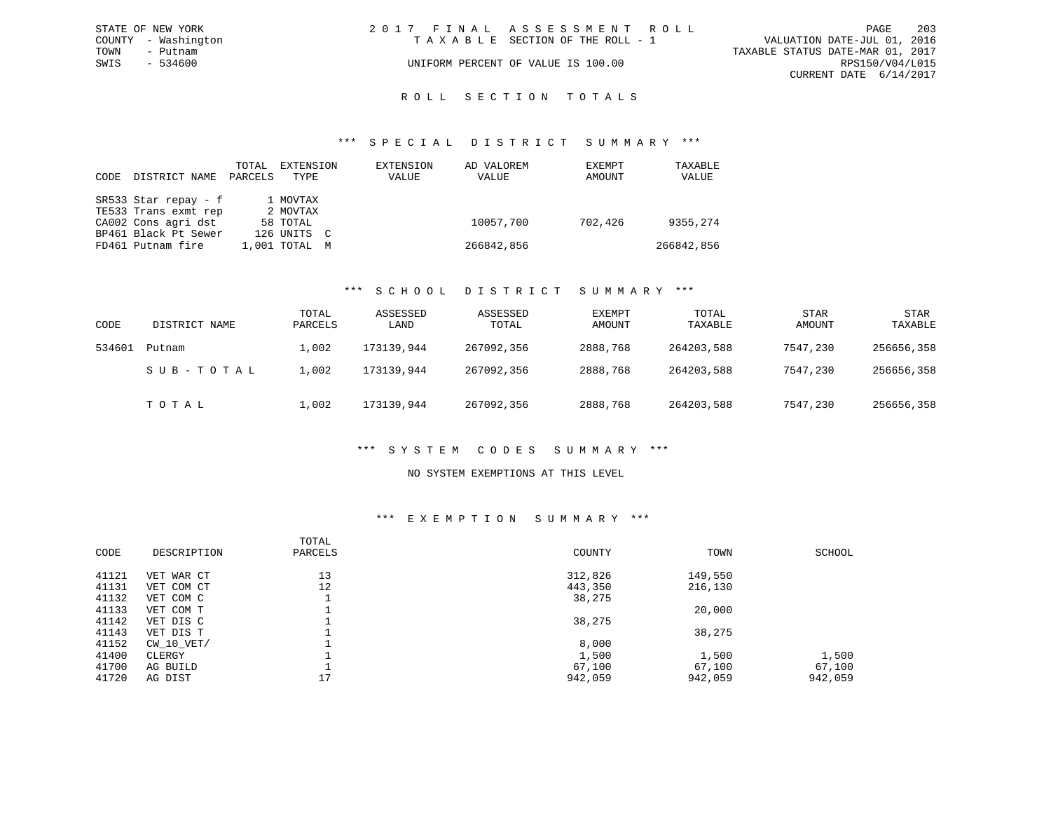|      | STATE OF NEW YORK   | 2017 FINAL ASSESSMENT ROLL |                                    |                                  | PAGE                   | - 203 |
|------|---------------------|----------------------------|------------------------------------|----------------------------------|------------------------|-------|
|      | COUNTY - Washington |                            | TAXABLE SECTION OF THE ROLL - 1    | VALUATION DATE-JUL 01, 2016      |                        |       |
| TOWN | - Putnam            |                            |                                    | TAXABLE STATUS DATE-MAR 01, 2017 |                        |       |
| SWIS | - 534600            |                            | UNIFORM PERCENT OF VALUE IS 100.00 |                                  | RPS150/V04/L015        |       |
|      |                     |                            |                                    |                                  | CURRENT DATE 6/14/2017 |       |
|      |                     |                            |                                    |                                  |                        |       |

### ROLL SECTION TOTALS

#### \*\*\* S P E C I A L D I S T R I C T S U M M A R Y \*\*\*

| CODE | DISTRICT NAME        | TOTAL<br>PARCELS | EXTENSION<br>TYPE         | EXTENSION<br>VALUE | AD VALOREM<br>VALUE | EXEMPT<br>AMOUNT | TAXABLE<br>VALUE |
|------|----------------------|------------------|---------------------------|--------------------|---------------------|------------------|------------------|
|      | SR533 Star repay - f |                  | 1 MOVTAX                  |                    |                     |                  |                  |
|      | TE533 Trans exmt rep |                  | 2 MOVTAX                  |                    |                     |                  |                  |
|      | CA002 Cons agri dst  |                  | 58 TOTAL                  |                    | 10057,700           | 702,426          | 9355,274         |
|      | BP461 Black Pt Sewer |                  | 126 UNITS<br>$\mathbf{C}$ |                    |                     |                  |                  |
|      | FD461 Putnam fire    |                  | 1,001 TOTAL<br>M          |                    | 266842,856          |                  | 266842,856       |

#### \*\*\* S C H O O L D I S T R I C T S U M M A R Y \*\*\*

| CODE   | DISTRICT NAME | TOTAL<br>PARCELS | ASSESSED<br>LAND | ASSESSED<br>TOTAL | EXEMPT<br>AMOUNT | TOTAL<br>TAXABLE | <b>STAR</b><br>AMOUNT | <b>STAR</b><br>TAXABLE |
|--------|---------------|------------------|------------------|-------------------|------------------|------------------|-----------------------|------------------------|
| 534601 | Putnam        | 1,002            | 173139,944       | 267092,356        | 2888,768         | 264203,588       | 7547,230              | 256656,358             |
|        | SUB-TOTAL     | 1,002            | 173139,944       | 267092,356        | 2888,768         | 264203,588       | 7547,230              | 256656,358             |
|        | TOTAL         | 1,002            | 173139,944       | 267092,356        | 2888,768         | 264203,588       | 7547,230              | 256656,358             |

#### \*\*\* S Y S T E M C O D E S S U M M A R Y \*\*\*

#### NO SYSTEM EXEMPTIONS AT THIS LEVEL

### \*\*\* E X E M P T I O N S U M M A R Y \*\*\*

|       |             | TOTAL   |         |         |         |
|-------|-------------|---------|---------|---------|---------|
| CODE  | DESCRIPTION | PARCELS | COUNTY  | TOWN    | SCHOOL  |
| 41121 | VET WAR CT  | 13      | 312,826 | 149,550 |         |
| 41131 | VET COM CT  | 12      | 443,350 | 216,130 |         |
| 41132 | VET COM C   |         | 38,275  |         |         |
| 41133 | VET COM T   |         |         | 20,000  |         |
| 41142 | VET DIS C   |         | 38,275  |         |         |
| 41143 | VET DIS T   |         |         | 38,275  |         |
| 41152 | CW 10 VET/  |         | 8,000   |         |         |
| 41400 | CLERGY      |         | 1,500   | 1,500   | 1,500   |
| 41700 | AG BUILD    |         | 67,100  | 67,100  | 67,100  |
| 41720 | AG DIST     | 17      | 942,059 | 942,059 | 942,059 |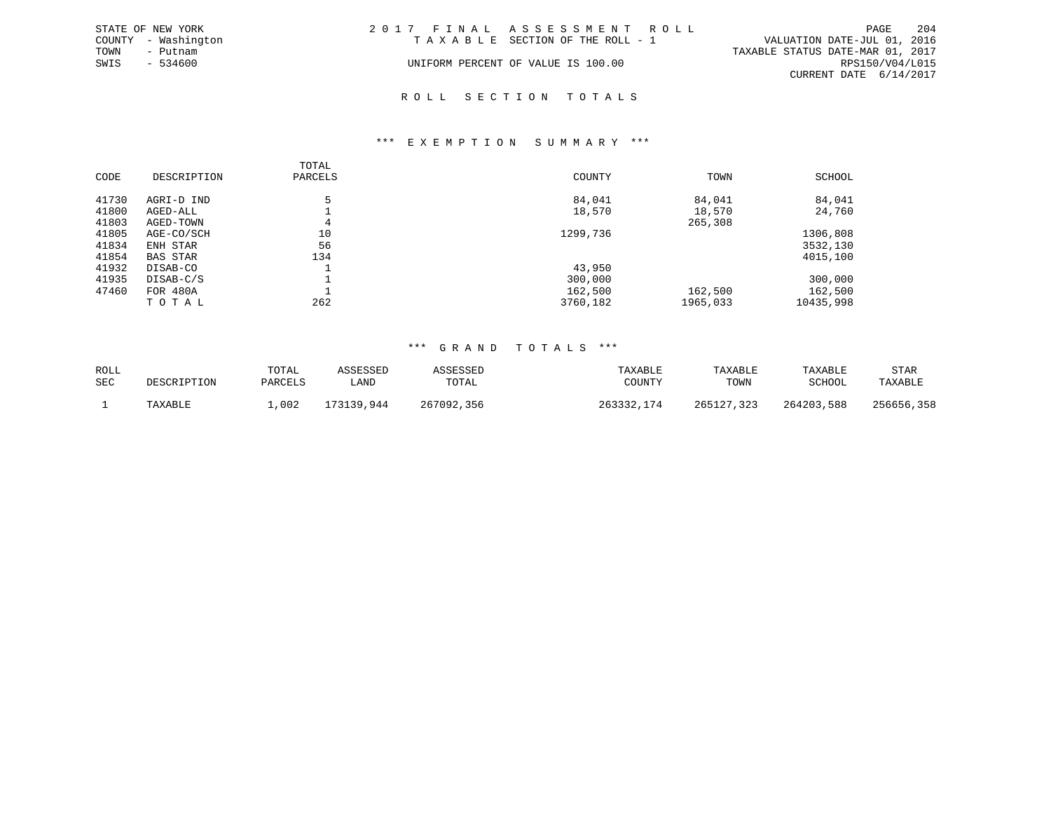|      | STATE OF NEW YORK   | 2017 FINAL ASSESSMENT ROLL         |                                  |                        | PAGE | - 204 |
|------|---------------------|------------------------------------|----------------------------------|------------------------|------|-------|
|      | COUNTY - Washington | TAXABLE SECTION OF THE ROLL - 1    | VALUATION DATE-JUL 01, 2016      |                        |      |       |
| TOWN | – Putnam            |                                    | TAXABLE STATUS DATE-MAR 01, 2017 |                        |      |       |
| SWIS | - 534600            | UNIFORM PERCENT OF VALUE IS 100.00 |                                  | RPS150/V04/L015        |      |       |
|      |                     |                                    |                                  | CURRENT DATE 6/14/2017 |      |       |
|      |                     |                                    |                                  |                        |      |       |

R O L L S E C T I O N T O T A L S

#### \*\*\* E X E M P T I O N S U M M A R Y \*\*\*

|       |                 | TOTAL   |          |          |           |
|-------|-----------------|---------|----------|----------|-----------|
| CODE  | DESCRIPTION     | PARCELS | COUNTY   | TOWN     | SCHOOL    |
| 41730 | AGRI-D IND      | 5       | 84,041   | 84,041   | 84,041    |
| 41800 | AGED-ALL        |         | 18,570   | 18,570   | 24,760    |
| 41803 | AGED-TOWN       | 4       |          | 265,308  |           |
| 41805 | AGE-CO/SCH      | 10      | 1299,736 |          | 1306,808  |
| 41834 | ENH STAR        | 56      |          |          | 3532,130  |
| 41854 | <b>BAS STAR</b> | 134     |          |          | 4015,100  |
| 41932 | DISAB-CO        |         | 43,950   |          |           |
| 41935 | DISAB-C/S       |         | 300,000  |          | 300,000   |
| 47460 | FOR 480A        |         | 162,500  | 162,500  | 162,500   |
|       | TOTAL           | 262     | 3760,182 | 1965,033 | 10435,998 |

| ROLL<br><b>SEC</b> | DESCRIPTION | TOTAL<br>PARCELS | ASSESSED<br>LAND | <b><i>\SSESSED</i></b><br>TOTAL | TAXABLE<br><b>COUNTY</b> | TAXABLE<br>TOWN | TAXABLE<br>SCHOOL | STAR<br>TAXABLE |
|--------------------|-------------|------------------|------------------|---------------------------------|--------------------------|-----------------|-------------------|-----------------|
|                    | TAXABLE     | ,002             | 173139<br>.944   | 267092,356                      | 263332.17<br>174         | 265127,323      | 264203,588        | 256656,358      |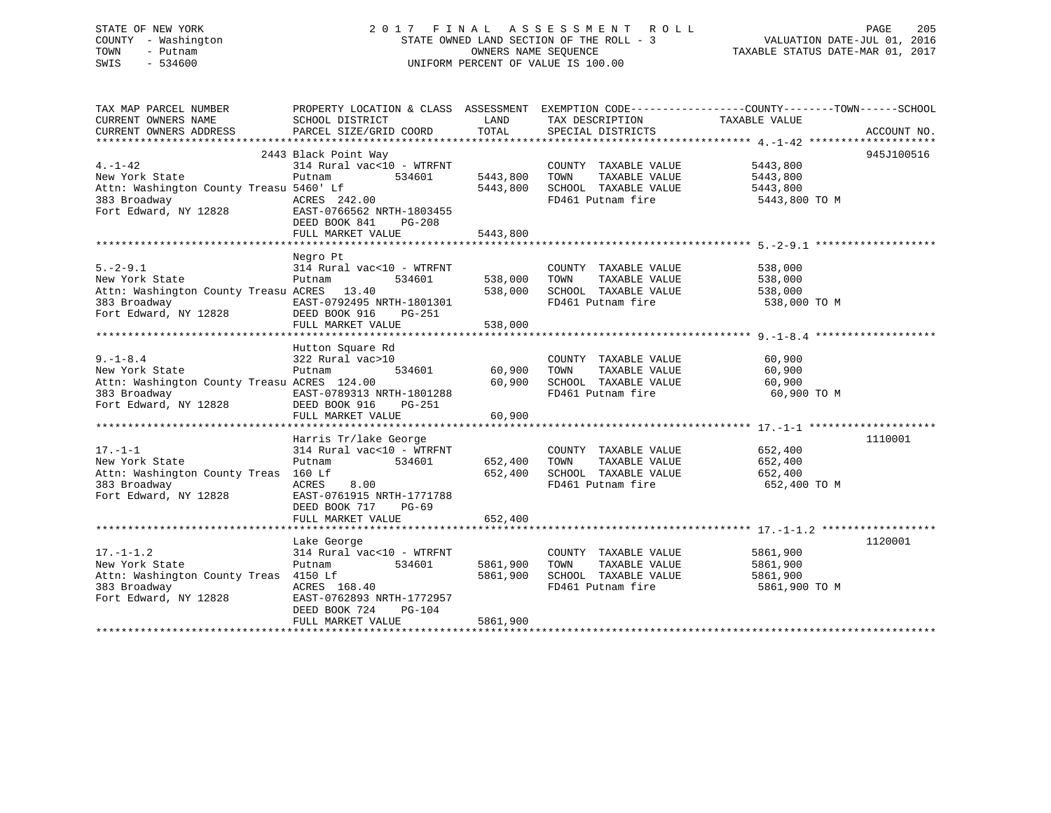| STATE OF NEW YORK   | 2017 FINAL ASSESSMENT ROLL               | 205<br>PAGE                      |
|---------------------|------------------------------------------|----------------------------------|
| COUNTY - Washington | STATE OWNED LAND SECTION OF THE ROLL - 3 | VALUATION DATE-JUL 01, 2016      |
| TOWN<br>– Putnam    | OWNERS NAME SEOUENCE                     | TAXABLE STATUS DATE-MAR 01, 2017 |
| SWIS<br>- 534600    | UNIFORM PERCENT OF VALUE IS 100.00       |                                  |
|                     |                                          |                                  |

| TAX MAP PARCEL NUMBER                                                                                                                                                                                                                                                                                                                                                                                                                                        | PROPERTY LOCATION & CLASS ASSESSMENT EXEMPTION CODE----------------COUNTY-------TOWN-----SCHOOL |                         |                                                         |                                                                            |            |
|--------------------------------------------------------------------------------------------------------------------------------------------------------------------------------------------------------------------------------------------------------------------------------------------------------------------------------------------------------------------------------------------------------------------------------------------------------------|-------------------------------------------------------------------------------------------------|-------------------------|---------------------------------------------------------|----------------------------------------------------------------------------|------------|
| CURRENT OWNERS NAME                                                                                                                                                                                                                                                                                                                                                                                                                                          | SCHOOL DISTRICT                                                                                 | LAND                    | TAX DESCRIPTION TAXABLE VALUE                           |                                                                            |            |
| $\begin{minipage}{0.5cm} \begin{minipage}{0.5cm} \begin{minipage}{0.5cm} \begin{minipage}{0.5cm} \begin{minipage}{0.5cm} \begin{minipage}{0.5cm} \begin{minipage}{0.5cm} \begin{minipage}{0.5cm} \begin{minipage}{0.5cm} \begin{minipage}{0.5cm} \begin{minipage}{0.5cm} \begin{minipage}{0.5cm} \begin{minipage}{0.5cm} \begin{minipage}{0.5cm} \begin{minipage}{0.5cm} \begin{minipage}{0.5cm} \begin{minipage}{0.5cm} \begin{minipage}{0.5cm} \begin{min$ |                                                                                                 |                         |                                                         |                                                                            |            |
|                                                                                                                                                                                                                                                                                                                                                                                                                                                              |                                                                                                 |                         |                                                         |                                                                            |            |
|                                                                                                                                                                                                                                                                                                                                                                                                                                                              | 2443 Black Point Way                                                                            |                         |                                                         |                                                                            | 945J100516 |
| $4. -1 - 42$                                                                                                                                                                                                                                                                                                                                                                                                                                                 | 314 Rural vac<10 - WTRFNT                                                                       |                         | COUNTY TAXABLE VALUE 5443,800                           |                                                                            |            |
| New York State                                                                                                                                                                                                                                                                                                                                                                                                                                               | 534601 5443,800<br>Putnam                                                                       |                         | TOWN                                                    |                                                                            |            |
|                                                                                                                                                                                                                                                                                                                                                                                                                                                              |                                                                                                 |                         | 5443,800 SCHOOL TAXABLE VALUE                           | TAXABLE VALUE<br>TAXABLE VALUE 5443,800<br>-- ******* 5443,800<br>5443,800 |            |
|                                                                                                                                                                                                                                                                                                                                                                                                                                                              |                                                                                                 |                         | FD461 Putnam fire 5443,800 TO M                         |                                                                            |            |
| 383 Broadway (1982)<br>The MCRES 242.00<br>Fort Edward, NY 12828<br>Fort Edward, NY 12828<br>Form DOW 211                                                                                                                                                                                                                                                                                                                                                    |                                                                                                 |                         |                                                         |                                                                            |            |
|                                                                                                                                                                                                                                                                                                                                                                                                                                                              |                                                                                                 |                         |                                                         |                                                                            |            |
|                                                                                                                                                                                                                                                                                                                                                                                                                                                              |                                                                                                 |                         |                                                         |                                                                            |            |
|                                                                                                                                                                                                                                                                                                                                                                                                                                                              | FULL MARKET VALUE                                                                               | 5443,800                |                                                         |                                                                            |            |
|                                                                                                                                                                                                                                                                                                                                                                                                                                                              |                                                                                                 |                         |                                                         |                                                                            |            |
|                                                                                                                                                                                                                                                                                                                                                                                                                                                              | Negro Pt                                                                                        |                         |                                                         |                                                                            |            |
|                                                                                                                                                                                                                                                                                                                                                                                                                                                              | 314 Rural vac<10 - WTRFNT                                                                       |                         |                                                         | 538,000<br>538,000                                                         |            |
|                                                                                                                                                                                                                                                                                                                                                                                                                                                              |                                                                                                 |                         |                                                         |                                                                            |            |
|                                                                                                                                                                                                                                                                                                                                                                                                                                                              |                                                                                                 |                         |                                                         |                                                                            |            |
|                                                                                                                                                                                                                                                                                                                                                                                                                                                              |                                                                                                 |                         |                                                         | 538,000 TO M                                                               |            |
|                                                                                                                                                                                                                                                                                                                                                                                                                                                              |                                                                                                 |                         |                                                         |                                                                            |            |
| 538,000<br>383 Broadway (1982)<br>Fort Edward, NY 12828 (DEED BOOK 916 PG-251<br>383 Broadway EAST-0792495 NRTH-1801301<br>Fort Edward, NY 12828 (DEED BOOK 916 PG-251<br>384 (DEED BOOK 916 PG-251                                                                                                                                                                                                                                                          |                                                                                                 |                         |                                                         |                                                                            |            |
|                                                                                                                                                                                                                                                                                                                                                                                                                                                              |                                                                                                 |                         |                                                         |                                                                            |            |
|                                                                                                                                                                                                                                                                                                                                                                                                                                                              | Hutton Square Rd                                                                                |                         |                                                         |                                                                            |            |
| $9. - 1 - 8.4$                                                                                                                                                                                                                                                                                                                                                                                                                                               | 322 Rural vac>10                                                                                |                         | COUNTY TAXABLE VALUE                                    | 60,900                                                                     |            |
| $\tilde{a}$<br>New York State                                                                                                                                                                                                                                                                                                                                                                                                                                | Putnam                                                                                          | 0<br>534601 60,900 TOWN |                                                         | TAXABLE VALUE 60,900                                                       |            |
| Attn: Washington County Treasu ACRES 124.00                                                                                                                                                                                                                                                                                                                                                                                                                  |                                                                                                 | 60,900                  |                                                         |                                                                            |            |
|                                                                                                                                                                                                                                                                                                                                                                                                                                                              |                                                                                                 |                         | SCHOOL TAXABLE VALUE 60,900<br>FD461 Putnam fire 60,900 | 60,900 TO M                                                                |            |
|                                                                                                                                                                                                                                                                                                                                                                                                                                                              |                                                                                                 |                         |                                                         |                                                                            |            |
|                                                                                                                                                                                                                                                                                                                                                                                                                                                              | FULL MARKET VALUE                                                                               | 60,900                  |                                                         |                                                                            |            |
|                                                                                                                                                                                                                                                                                                                                                                                                                                                              |                                                                                                 |                         |                                                         |                                                                            |            |
|                                                                                                                                                                                                                                                                                                                                                                                                                                                              |                                                                                                 |                         |                                                         |                                                                            |            |
|                                                                                                                                                                                                                                                                                                                                                                                                                                                              | Harris Tr/lake George<br>314 Rural vac<10 - WTRFNT                                              |                         |                                                         |                                                                            | 1110001    |
| $17. - 1 - 1$                                                                                                                                                                                                                                                                                                                                                                                                                                                |                                                                                                 |                         | COUNTY TAXABLE VALUE 652,400                            |                                                                            |            |
| New York State                                                                                                                                                                                                                                                                                                                                                                                                                                               | 534601 652,400 TOWN<br>Putnam                                                                   |                         | TAXABLE VALUE 652,400                                   |                                                                            |            |
| Attn: Washington County Treas 160 Lf                                                                                                                                                                                                                                                                                                                                                                                                                         | 8.00                                                                                            |                         | 652,400 SCHOOL TAXABLE VALUE<br>FD461 Putnam fire       | 652,400                                                                    |            |
| 383 Broadway                                                                                                                                                                                                                                                                                                                                                                                                                                                 | ACRES                                                                                           |                         |                                                         | 652,400 TO M                                                               |            |
| Fort Edward, NY 12828 EAST-0761915 NRTH-1771788                                                                                                                                                                                                                                                                                                                                                                                                              |                                                                                                 |                         |                                                         |                                                                            |            |
|                                                                                                                                                                                                                                                                                                                                                                                                                                                              | DEED BOOK 717 PG-69                                                                             |                         |                                                         |                                                                            |            |
|                                                                                                                                                                                                                                                                                                                                                                                                                                                              | FULL MARKET VALUE                                                                               | 652,400                 |                                                         |                                                                            |            |
|                                                                                                                                                                                                                                                                                                                                                                                                                                                              |                                                                                                 |                         |                                                         |                                                                            |            |
|                                                                                                                                                                                                                                                                                                                                                                                                                                                              | Lake George                                                                                     |                         |                                                         |                                                                            | 1120001    |
| $17. - 1 - 1.2$                                                                                                                                                                                                                                                                                                                                                                                                                                              | 314 Rural vac<10 - WTRFNT                                                                       |                         | COUNTY TAXABLE VALUE                                    | 5861,900                                                                   |            |
| New York State                                                                                                                                                                                                                                                                                                                                                                                                                                               | 534601<br>Putnam                                                                                | 5861,900                | TAXABLE VALUE<br>TOWN                                   | 5861,900                                                                   |            |
| Attn: Washington County Treas 4150 Lf                                                                                                                                                                                                                                                                                                                                                                                                                        |                                                                                                 | 5861,900                | SCHOOL TAXABLE VALUE                                    | 5861,900                                                                   |            |
|                                                                                                                                                                                                                                                                                                                                                                                                                                                              |                                                                                                 |                         | FD461 Putnam fire                                       | 5861,900 TO M                                                              |            |
| 383 Broadway                           ACRES   168.40<br>Fort Edward, NY 12828             EAST-0762893 NRTH-1772957                                                                                                                                                                                                                                                                                                                                         |                                                                                                 |                         |                                                         |                                                                            |            |
|                                                                                                                                                                                                                                                                                                                                                                                                                                                              | DEED BOOK 724<br>PG-104                                                                         |                         |                                                         |                                                                            |            |
|                                                                                                                                                                                                                                                                                                                                                                                                                                                              | FULL MARKET VALUE                                                                               | 5861,900                |                                                         |                                                                            |            |
|                                                                                                                                                                                                                                                                                                                                                                                                                                                              |                                                                                                 |                         |                                                         |                                                                            |            |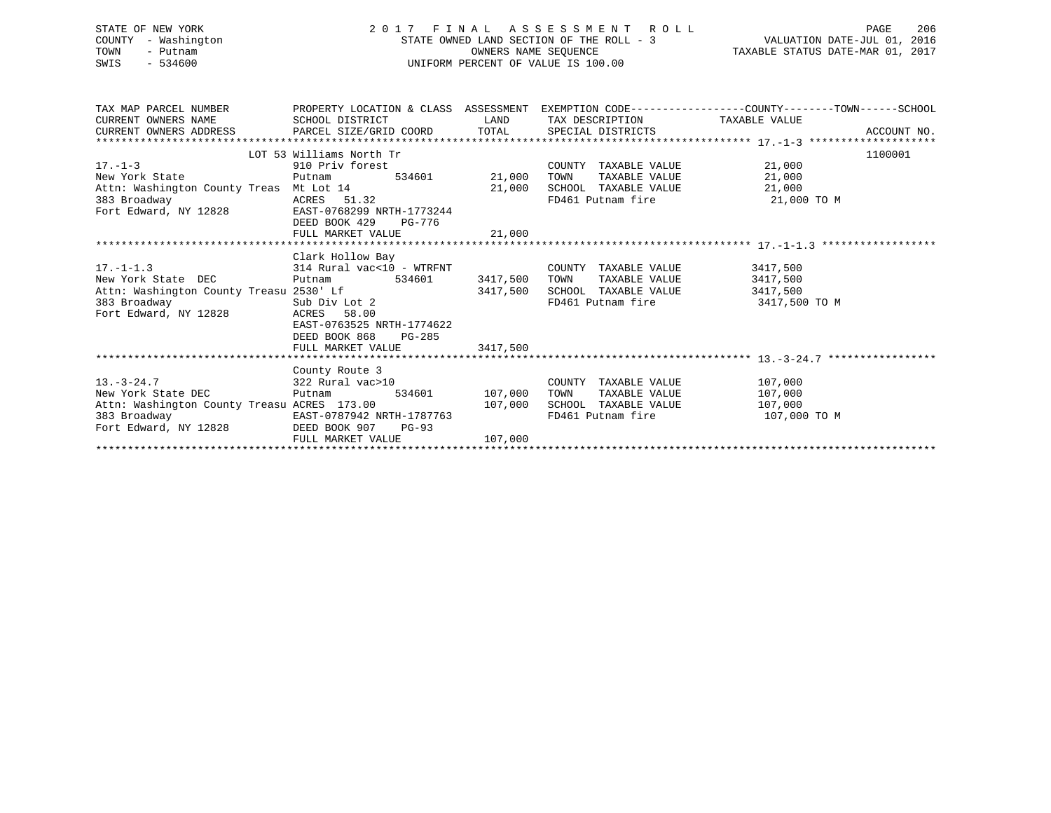| STATE OF NEW YORK<br>COUNTY - Washington<br>TOWN<br>- Putnam<br>$-534600$<br>SWIS                                                                | UNIFORM PERCENT OF VALUE IS 100.00                                                                                                                                                                                                                                                                                                  | 2017 FINAL ASSESSMENT ROLL PAGE 206<br>STATE OWNED LAND SECTION OF THE ROLL - 3<br>OWNERS NAME SEQUENCE TAXABLE STATUS DATE-JUL 01, 2016 |                                                                                                                                      |                                                                                                                            |
|--------------------------------------------------------------------------------------------------------------------------------------------------|-------------------------------------------------------------------------------------------------------------------------------------------------------------------------------------------------------------------------------------------------------------------------------------------------------------------------------------|------------------------------------------------------------------------------------------------------------------------------------------|--------------------------------------------------------------------------------------------------------------------------------------|----------------------------------------------------------------------------------------------------------------------------|
| CURRENT OWNERS NAME                                                                                                                              | SCHOOL DISTRICT                                                                                                                                                                                                                                                                                                                     |                                                                                                                                          | LAND TAX DESCRIPTION TAXABLE VALUE                                                                                                   | TAX MAP PARCEL NUMBER THE PROPERTY LOCATION & CLASS ASSESSMENT EXEMPTION CODE---------------COUNTY--------TOWN------SCHOOL |
| 17.-1-3<br>New York State<br>Attn: Washington County Treas Mt Lot 14 21,000 SCHOOL TAXABLE VALUE 21,000<br>383 Broadway<br>Fort Edward, NY 12828 | LOT 53 Williams North Tr<br>$\begin{tabular}{llll} 910 \hbox{Priv forest} & \multicolumn{2}{l}{{\tt COUNT}} \\ \hline {\tt Putnam} & \multicolumn{2}{l}{534601} & \multicolumn{2}{l}{21,000} & \multicolumn{2}{l}{\tt TOWN} \end{tabular}$<br>ACRES 51.32<br>EAST-0768299 NRTH-1773244<br>DEED BOOK 429 PG-776<br>FULL MARKET VALUE | 21,000                                                                                                                                   | COUNTY TAXABLE VALUE<br>TAXABLE VALUE 21,000<br>FD461 Putnam fire 21,000 TO M                                                        | 1100001<br>21,000                                                                                                          |
| $17. - 1 - 1.3$<br>New York State DEC<br>Fort Edward, NY 12828                                                                                   | Clark Hollow Bay<br>314 Rural vac<10 - WTRFNT<br>Putnam 534601 3417,500 TOWN<br>ACRES 58.00<br>EAST-0763525 NRTH-1774622<br>DEED BOOK 868 PG-285<br>FULL MARKET VALUE                                                                                                                                                               | 3417,500                                                                                                                                 | COUNTY TAXABLE VALUE 3417,500<br>TAXABLE VALUE 3417,500<br>3417,500 SCHOOL TAXABLE VALUE 3417,500<br>FD461 Putnam fire 3417,500 TO M |                                                                                                                            |
|                                                                                                                                                  | County Route 3                                                                                                                                                                                                                                                                                                                      |                                                                                                                                          |                                                                                                                                      |                                                                                                                            |
| $13. - 3 - 24.7$<br>New York State DEC                                                                                                           | 322 Rural vac>10<br>Putnam                                                                                                                                                                                                                                                                                                          | 534601 107,000 TOWN                                                                                                                      | COUNTY TAXABLE VALUE 107,000<br>TAXABLE VALUE                                                                                        | 107,000                                                                                                                    |
| Attn: Washington County Treasu ACRES 173.00                                                                                                      |                                                                                                                                                                                                                                                                                                                                     | 107,000                                                                                                                                  | SCHOOL TAXABLE VALUE                                                                                                                 | 107,000                                                                                                                    |

FULL MARKET VALUE 107,000 \*\*\*\*\*\*\*\*\*\*\*\*\*\*\*\*\*\*\*\*\*\*\*\*\*\*\*\*\*\*\*\*\*\*\*\*\*\*\*\*\*\*\*\*\*\*\*\*\*\*\*\*\*\*\*\*\*\*\*\*\*\*\*\*\*\*\*\*\*\*\*\*\*\*\*\*\*\*\*\*\*\*\*\*\*\*\*\*\*\*\*\*\*\*\*\*\*\*\*\*\*\*\*\*\*\*\*\*\*\*\*\*\*\*\*\*\*\*\*\*\*\*\*\*\*\*\*\*\*\*\*\*

383 Broadway EAST-0787942 NRTH-1787763 FD461 Putnam fire 107,000 TO M

Fort Edward, NY 12828 DEED BOOK 907 PG-93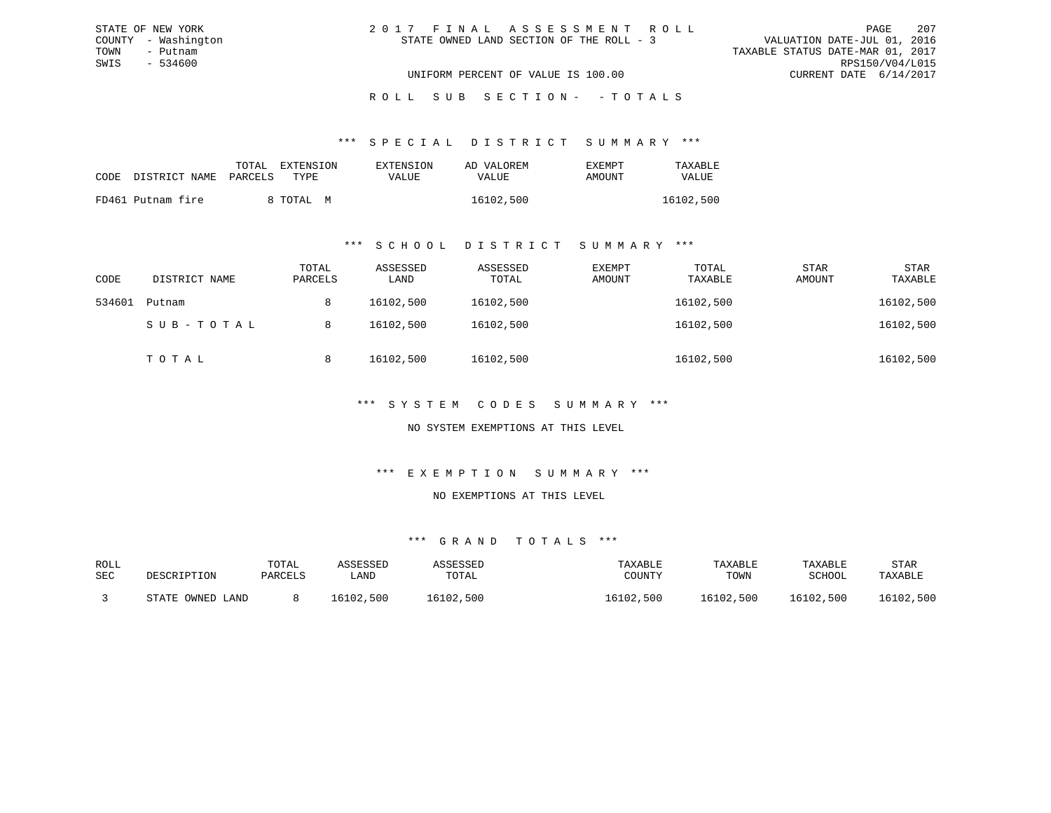| 2017 FINAL ASSESSMENT ROLL |                                          |                                  | PAGE                        | 207 |
|----------------------------|------------------------------------------|----------------------------------|-----------------------------|-----|
|                            | STATE OWNED LAND SECTION OF THE ROLL - 3 |                                  | VALUATION DATE-JUL 01, 2016 |     |
|                            |                                          | TAXABLE STATUS DATE-MAR 01, 2017 |                             |     |
|                            |                                          |                                  | RPS150/V04/L015             |     |
|                            | UNIFORM PERCENT OF VALUE IS 100.00       |                                  | CURRENT DATE 6/14/2017      |     |

# ROLL SUB SECTION - - TOTALS

#### \*\*\* S P E C I A L D I S T R I C T S U M M A R Y \*\*\*

|                    | TOTAL     | EXTENSION | EXTENSION | AD VALOREM | EXEMPT | TAXABLE   |
|--------------------|-----------|-----------|-----------|------------|--------|-----------|
| CODE DISTRICT NAME | PARCELS   | TYPE.     | VALUE     | VALUE      | AMOUNT | VALUE     |
| FD461 Putnam fire  | 8 TOTAL M |           |           | 16102,500  |        | 16102,500 |

#### \*\*\* S C H O O L D I S T R I C T S U M M A R Y \*\*\*

| CODE   | DISTRICT NAME | TOTAL<br>PARCELS | ASSESSED<br>LAND | ASSESSED<br>TOTAL | EXEMPT<br>AMOUNT | TOTAL<br>TAXABLE | <b>STAR</b><br>AMOUNT | <b>STAR</b><br>TAXABLE |
|--------|---------------|------------------|------------------|-------------------|------------------|------------------|-----------------------|------------------------|
| 534601 | Putnam        | 8                | 16102,500        | 16102,500         |                  | 16102,500        |                       | 16102,500              |
|        | SUB-TOTAL     | 8                | 16102,500        | 16102,500         |                  | 16102,500        |                       | 16102,500              |
|        | ТОТАЬ         | 8                | 16102,500        | 16102,500         |                  | 16102,500        |                       | 16102,500              |

### \*\*\* S Y S T E M C O D E S S U M M A R Y \*\*\*

### NO SYSTEM EXEMPTIONS AT THIS LEVEL

#### \*\*\* E X E M P T I O N S U M M A R Y \*\*\*

#### NO EXEMPTIONS AT THIS LEVEL

| ROLL |                  | TOTAL   | ASSESSED  | ASSESSED  | TAXABLE   | TAXABLE   | TAXABLE   | STAR      |
|------|------------------|---------|-----------|-----------|-----------|-----------|-----------|-----------|
| SEC  | DESCRIPTION      | PARCELS | ∟AND      | TOTAL     | COUNTY    | TOWN      | SCHOOL    | TAXABLE   |
|      | STATE OWNED LAND |         | 16102,500 | 16102,500 | 16102,500 | 16102,500 | 16102,500 | 16102,500 |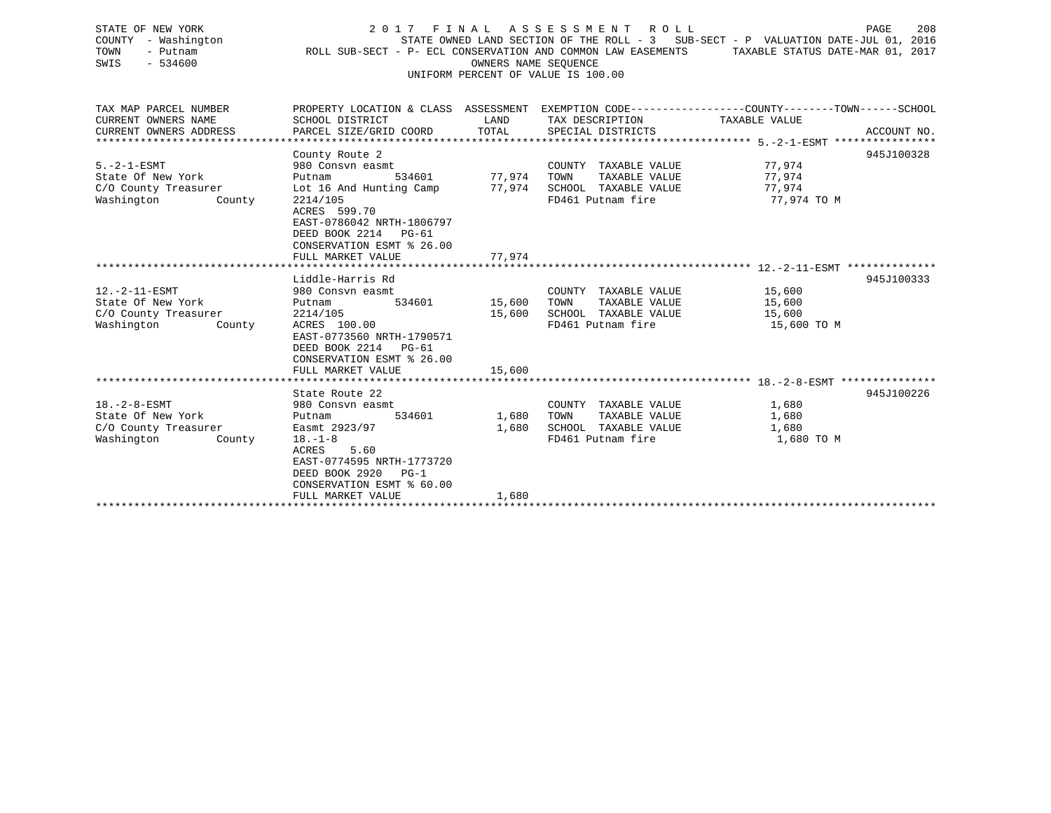| STATE OF NEW YORK<br>COUNTY - Washington<br>TOWN<br>- Putnam<br>SWIS<br>$-534600$         | 2017 FINAL<br>PAGE<br>208<br>A S S E S S M E N T<br>ROLL ROLL<br>STATE OWNED LAND SECTION OF THE ROLL - 3 SUB-SECT - P VALUATION DATE-JUL 01, 2016<br>ROLL SUB-SECT - P- ECL CONSERVATION AND COMMON LAW EASEMENTS<br>TAXABLE STATUS DATE-MAR 01, 2017<br>OWNERS NAME SEQUENCE<br>UNIFORM PERCENT OF VALUE IS 100.00 |                  |                                                                                            |                                                                                                                                 |  |  |  |  |  |
|-------------------------------------------------------------------------------------------|----------------------------------------------------------------------------------------------------------------------------------------------------------------------------------------------------------------------------------------------------------------------------------------------------------------------|------------------|--------------------------------------------------------------------------------------------|---------------------------------------------------------------------------------------------------------------------------------|--|--|--|--|--|
| TAX MAP PARCEL NUMBER<br>CURRENT OWNERS NAME<br>CURRENT OWNERS ADDRESS                    | SCHOOL DISTRICT<br>PARCEL SIZE/GRID COORD                                                                                                                                                                                                                                                                            | LAND<br>TOTAL    | TAX DESCRIPTION<br>SPECIAL DISTRICTS                                                       | PROPERTY LOCATION & CLASS ASSESSMENT EXEMPTION CODE---------------COUNTY-------TOWN------SCHOOL<br>TAXABLE VALUE<br>ACCOUNT NO. |  |  |  |  |  |
| $5. -2 - 1 - ESMT$<br>State Of New York<br>C/O County Treasurer<br>Washington<br>County   | County Route 2<br>980 Consvn easmt<br>534601<br>Putnam<br>Lot 16 And Hunting Camp<br>2214/105<br>ACRES 599.70<br>EAST-0786042 NRTH-1806797<br>DEED BOOK 2214 PG-61<br>CONSERVATION ESMT % 26.00                                                                                                                      | 77,974<br>77.974 | COUNTY TAXABLE VALUE<br>TAXABLE VALUE<br>TOWN<br>SCHOOL TAXABLE VALUE<br>FD461 Putnam fire | 945J100328<br>77,974<br>77,974<br>77,974<br>77,974 TO M                                                                         |  |  |  |  |  |
|                                                                                           | FULL MARKET VALUE                                                                                                                                                                                                                                                                                                    | 77,974           |                                                                                            |                                                                                                                                 |  |  |  |  |  |
| $12.-2-11-ESMT$<br>State Of New York<br>C/O County Treasurer<br>Washington<br>County      | Liddle-Harris Rd<br>980 Consyn easmt<br>Putnam<br>534601<br>2214/105<br>ACRES 100.00<br>EAST-0773560 NRTH-1790571<br>DEED BOOK 2214<br>$PG-61$<br>CONSERVATION ESMT % 26.00                                                                                                                                          | 15,600<br>15,600 | COUNTY TAXABLE VALUE<br>TAXABLE VALUE<br>TOWN<br>SCHOOL TAXABLE VALUE<br>FD461 Putnam fire | 945J100333<br>15,600<br>15,600<br>15,600<br>15,600 TO M                                                                         |  |  |  |  |  |
|                                                                                           | FULL MARKET VALUE                                                                                                                                                                                                                                                                                                    | 15,600           |                                                                                            |                                                                                                                                 |  |  |  |  |  |
| $18. - 2 - 8 - ESMT$<br>State Of New York<br>C/O County Treasurer<br>Washington<br>County | State Route 22<br>980 Consyn easmt<br>Putnam<br>534601<br>Easmt 2923/97<br>$18. - 1 - 8$<br>5.60<br>ACRES<br>EAST-0774595 NRTH-1773720<br>DEED BOOK 2920<br>$PG-1$<br>CONSERVATION ESMT % 60.00                                                                                                                      | 1,680<br>1,680   | COUNTY TAXABLE VALUE<br>TAXABLE VALUE<br>TOWN<br>SCHOOL TAXABLE VALUE<br>FD461 Putnam fire | 945J100226<br>1,680<br>1,680<br>1,680<br>1,680 TO M                                                                             |  |  |  |  |  |

FULL MARKET VALUE 1,680 \*\*\*\*\*\*\*\*\*\*\*\*\*\*\*\*\*\*\*\*\*\*\*\*\*\*\*\*\*\*\*\*\*\*\*\*\*\*\*\*\*\*\*\*\*\*\*\*\*\*\*\*\*\*\*\*\*\*\*\*\*\*\*\*\*\*\*\*\*\*\*\*\*\*\*\*\*\*\*\*\*\*\*\*\*\*\*\*\*\*\*\*\*\*\*\*\*\*\*\*\*\*\*\*\*\*\*\*\*\*\*\*\*\*\*\*\*\*\*\*\*\*\*\*\*\*\*\*\*\*\*\*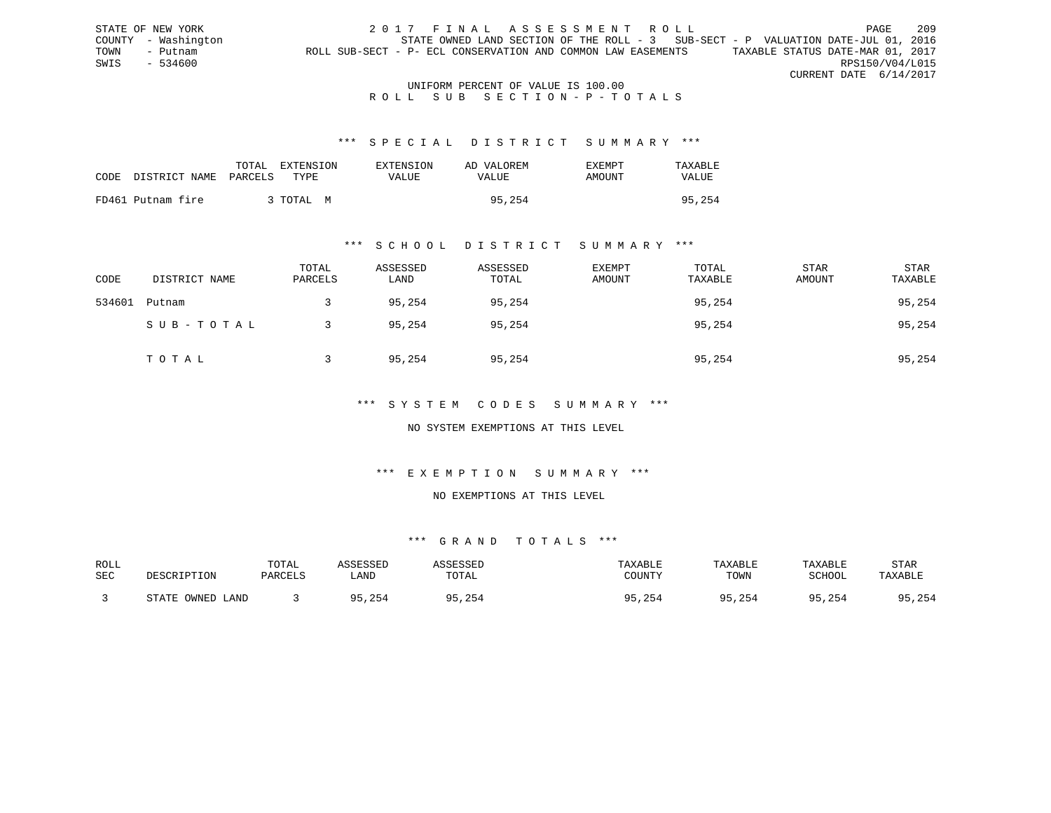STATE OF NEW YORK 2017 FINAL ASSESSMENT ROLL PAGE 209 COUNTY - Washington STATE OWNED LAND SECTION OF THE ROLL - 3 SUB-SECT - P VALUATION DATE-JUL 01, 2016 TOWN - Putnam ROLL SUB-SECT - P- ECL CONSERVATION AND COMMON LAW EASEMENTS TAXABLE STATUS DATE-MAR 01, 2017 SWIS - 534600 RPS150/V04/L015 CURRENT DATE 6/14/2017

#### UNIFORM PERCENT OF VALUE IS 100.00 R O L L S U B S E C T I O N - P - T O T A L S

#### \*\*\* S P E C I A L D I S T R I C T S U M M A R Y \*\*\*

| CODE | DISTRICT NAME PARCELS | EXTENSION<br>TOTAL<br>TYPE. | EXTENSION<br>VALUE | AD VALOREM<br>VALUE | EXEMPT<br>AMOUNT | TAXABLE<br>VALUE |
|------|-----------------------|-----------------------------|--------------------|---------------------|------------------|------------------|
|      | FD461 Putnam fire     | 3 TOTAL<br>М                |                    | 95,254              |                  | 95,254           |

#### \*\*\* S C H O O L D I S T R I C T S U M M A R Y \*\*\*

| CODE   | DISTRICT NAME | TOTAL<br>PARCELS | ASSESSED<br>LAND | ASSESSED<br>TOTAL | EXEMPT<br>AMOUNT | TOTAL<br>TAXABLE | <b>STAR</b><br>AMOUNT | <b>STAR</b><br>TAXABLE |
|--------|---------------|------------------|------------------|-------------------|------------------|------------------|-----------------------|------------------------|
| 534601 | Putnam        |                  | 95,254           | 95,254            |                  | 95,254           |                       | 95,254                 |
|        | SUB-TOTAL     |                  | 95,254           | 95,254            |                  | 95,254           |                       | 95,254                 |
|        | ТОТАЬ         |                  | 95,254           | 95,254            |                  | 95,254           |                       | 95,254                 |

### \*\*\* S Y S T E M C O D E S S U M M A R Y \*\*\*

### NO SYSTEM EXEMPTIONS AT THIS LEVEL

#### \*\*\* E X E M P T I O N S U M M A R Y \*\*\*

### NO EXEMPTIONS AT THIS LEVEL

| ROLL |                  | TOTAL   | ASSESSED | ASSESSED | TAXABLE      | TAXABLE | TAXABLE      | <b>STAR</b> |
|------|------------------|---------|----------|----------|--------------|---------|--------------|-------------|
| SEC  | DESCRIPTION      | PARCELS | LAND     | TOTAL    | COUNTY       | TOWN    | SCHOOL       | TAXABLE     |
|      | STATE OWNED LAND |         | 95,254   | 5,254    | 95,254<br>QE | 95,254  | 95,254<br>QE | 95,254      |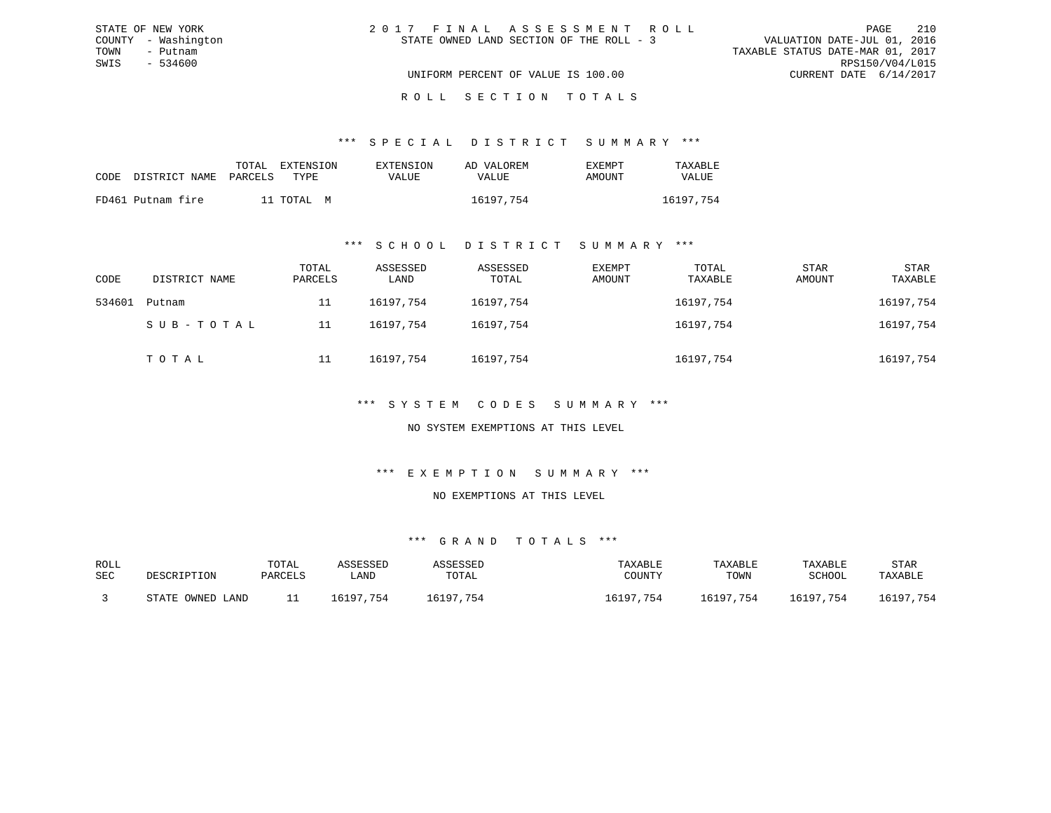| STATE OF NEW YORK   | 2017 FINAL ASSESSMENT ROLL               | - 210<br>PAGE                    |
|---------------------|------------------------------------------|----------------------------------|
| COUNTY - Washington | STATE OWNED LAND SECTION OF THE ROLL - 3 | VALUATION DATE-JUL 01, 2016      |
| TOWN<br>– Putnam    |                                          | TAXABLE STATUS DATE-MAR 01, 2017 |
| SWIS<br>- 534600    |                                          | RPS150/V04/L015                  |
|                     | UNIFORM PERCENT OF VALUE IS 100.00       | CURRENT DATE 6/14/2017           |
|                     |                                          |                                  |

#### R O L L S E C T I O N T O T A L S

#### \*\*\* S P E C I A L D I S T R I C T S U M M A R Y \*\*\*

|      |                       | TOTAL EXTENSION | EXTENSION    | AD VALOREM | <b>EXEMPT</b> | TAXABLE      |
|------|-----------------------|-----------------|--------------|------------|---------------|--------------|
| CODE | DISTRICT NAME PARCELS | TYPR.           | <b>VALUE</b> | VALUE      | AMOUNT        | <b>VALUE</b> |
|      | FD461 Putnam fire     | 11 TOTAL M      |              | 16197,754  |               | 16197,754    |
|      |                       |                 |              |            |               |              |

#### \*\*\* S C H O O L D I S T R I C T S U M M A R Y \*\*\*

| CODE   | DISTRICT NAME | TOTAL<br>PARCELS | ASSESSED<br>LAND | ASSESSED<br>TOTAL | EXEMPT<br>AMOUNT | TOTAL<br>TAXABLE | <b>STAR</b><br>AMOUNT | STAR<br>TAXABLE |
|--------|---------------|------------------|------------------|-------------------|------------------|------------------|-----------------------|-----------------|
| 534601 | Putnam        | 11               | 16197,754        | 16197,754         |                  | 16197,754        |                       | 16197,754       |
|        | SUB-TOTAL     | 11               | 16197.754        | 16197,754         |                  | 16197,754        |                       | 16197,754       |
|        | TOTAL         | 11               | 16197.754        | 16197,754         |                  | 16197,754        |                       | 16197,754       |

#### \*\*\* S Y S T E M C O D E S S U M M A R Y \*\*\*

#### NO SYSTEM EXEMPTIONS AT THIS LEVEL

#### \*\*\* E X E M P T I O N S U M M A R Y \*\*\*

#### NO EXEMPTIONS AT THIS LEVEL

| ROLL |                  | TOTAL   | ASSESSED  | ASSESSED  | TAXABLE   | TAXABLE   | TAXABLE   | STAR      |
|------|------------------|---------|-----------|-----------|-----------|-----------|-----------|-----------|
| SEC  | DESCRIPTION      | PARCELS | LAND      | TOTAL     | COUNTY    | TOWN      | SCHOOL    | TAXABLE   |
|      | STATE OWNED LAND |         | 16197.754 | 16197,754 | 16197,754 | 16197,754 | 16197,754 | 16197,754 |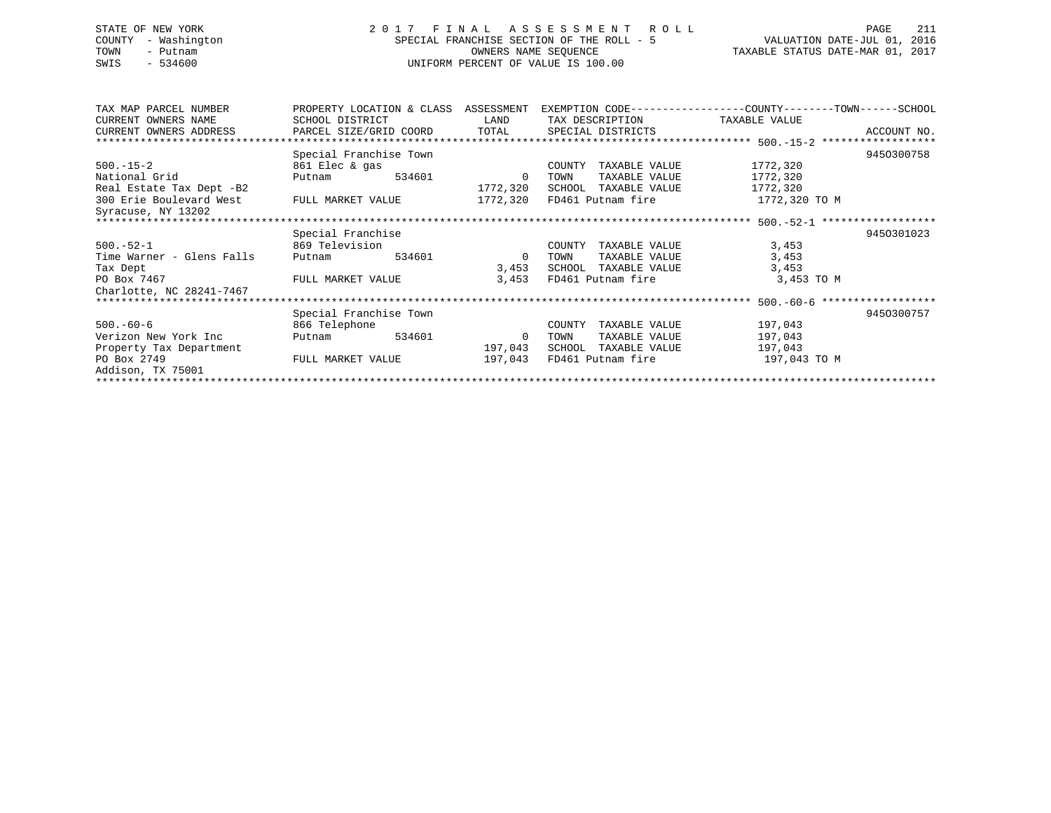# STATE OF NEW YORK 2 0 1 7 F I N A L A S S E S S M E N T R O L L PAGE 211 COUNTY - Washington SPECIAL FRANCHISE SECTION OF THE ROLL - 5 VALUATION DATE-JUL 01, 2016 TOWN - Putnam OWNERS NAME SEQUENCE TAXABLE STATUS DATE-MAR 01, 2017 SWIS - 534600 UNIFORM PERCENT OF VALUE IS 100.00

| TAX MAP PARCEL NUMBER     | PROPERTY LOCATION & CLASS ASSESSMENT           |        |                |              |                      | EXEMPTION CODE----------------COUNTY-------TOWN------SCHOOL |             |
|---------------------------|------------------------------------------------|--------|----------------|--------------|----------------------|-------------------------------------------------------------|-------------|
| CURRENT OWNERS NAME       | SCHOOL DISTRICT                                |        | LAND           |              | TAX DESCRIPTION      | TAXABLE VALUE                                               |             |
| CURRENT OWNERS ADDRESS    | PARCEL SIZE/GRID COORD TOTAL SPECIAL DISTRICTS |        |                |              |                      |                                                             | ACCOUNT NO. |
|                           |                                                |        |                |              |                      |                                                             |             |
|                           | Special Franchise Town                         |        |                |              |                      |                                                             | 9450300758  |
| $500. - 15 - 2$           | 861 Elec & gas                                 |        |                | COUNTY       | TAXABLE VALUE        | 1772,320                                                    |             |
| National Grid             | Putnam                                         | 534601 | - 0            | TOWN         | TAXABLE VALUE        | 1772,320                                                    |             |
| Real Estate Tax Dept -B2  |                                                |        | 1772,320       |              | SCHOOL TAXABLE VALUE | 1772,320                                                    |             |
| 300 Erie Boulevard West   | FULL MARKET VALUE                              |        | 1772,320       |              | FD461 Putnam fire    | 1772,320 TO M                                               |             |
| Syracuse, NY 13202        |                                                |        |                |              |                      |                                                             |             |
|                           |                                                |        |                |              |                      |                                                             |             |
|                           | Special Franchise                              |        |                |              |                      |                                                             | 9450301023  |
| $500.-52-1$               | 869 Television                                 |        |                | COUNTY       | TAXABLE VALUE        | 3,453                                                       |             |
| Time Warner - Glens Falls | Putnam                                         | 534601 | $\overline{0}$ | TOWN         | TAXABLE VALUE        | 3,453                                                       |             |
| Tax Dept                  |                                                |        |                | 3,453 SCHOOL | TAXABLE VALUE        | 3,453                                                       |             |
| PO Box 7467               | FULL MARKET VALUE                              |        | 3,453          |              | FD461 Putnam fire    | 3,453 TO M                                                  |             |
| Charlotte, NC 28241-7467  |                                                |        |                |              |                      |                                                             |             |
|                           |                                                |        |                |              |                      |                                                             |             |
|                           | Special Franchise Town                         |        |                |              |                      |                                                             | 9450300757  |
| $500. -60 - 6$            | 866 Telephone                                  |        |                | COUNTY       | TAXABLE VALUE        | 197,043                                                     |             |
| Verizon New York Inc      | Putnam                                         | 534601 | 0              | TOWN         | TAXABLE VALUE        | 197,043                                                     |             |
| Property Tax Department   |                                                |        | 197,043        | SCHOOL       | TAXABLE VALUE        | 197,043                                                     |             |
| PO Box 2749               | FULL MARKET VALUE                              |        | 197,043        |              | FD461 Putnam fire    | 197,043 TO M                                                |             |
| Addison, TX 75001         |                                                |        |                |              |                      |                                                             |             |
|                           |                                                |        |                |              |                      |                                                             |             |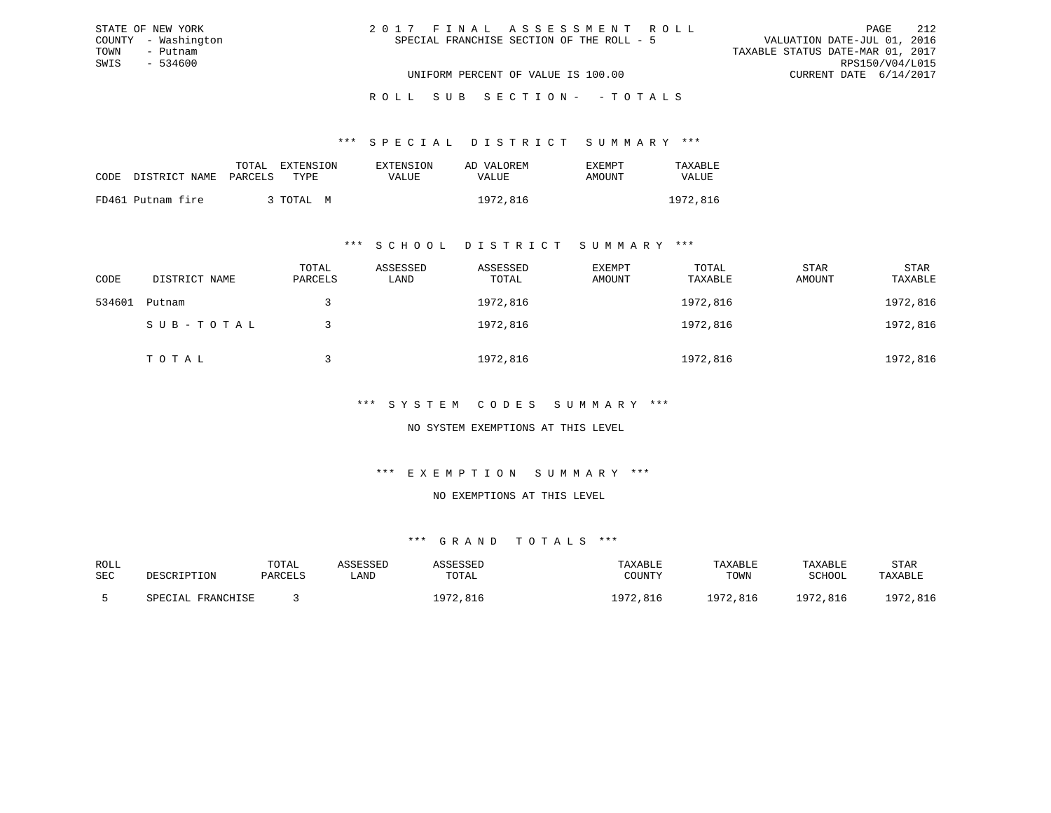| 2017 FINAL ASSESSMENT ROLL                |                                  | PAGE            | 212 |
|-------------------------------------------|----------------------------------|-----------------|-----|
| SPECIAL FRANCHISE SECTION OF THE ROLL - 5 | VALUATION DATE-JUL 01, 2016      |                 |     |
|                                           | TAXABLE STATUS DATE-MAR 01, 2017 |                 |     |
|                                           |                                  | RPS150/V04/L015 |     |
| UNIFORM PERCENT OF VALUE IS 100.00        | CURRENT DATE 6/14/2017           |                 |     |

ROLL SUB SECTION - - TOTALS

#### \*\*\* S P E C I A L D I S T R I C T S U M M A R Y \*\*\*

|                            | EXTENSION<br>TOTAL | EXTENSION    | AD VALOREM | EXEMPT | TAXABLE  |
|----------------------------|--------------------|--------------|------------|--------|----------|
| CODE DISTRICT NAME PARCELS | TYPE.              | <b>VALUE</b> | VALUE      | AMOUNT | VALUE    |
| FD461 Putnam fire          | 3 TOTAL M          |              | 1972,816   |        | 1972,816 |

STATE OF NEW YORK COUNTY - Washington TOWN - Putnam SWIS - 534600

#### \*\*\* S C H O O L D I S T R I C T S U M M A R Y \*\*\*

| CODE   | DISTRICT NAME | TOTAL<br>PARCELS | ASSESSED<br>LAND | ASSESSED<br>TOTAL | EXEMPT<br>AMOUNT | TOTAL<br>TAXABLE | STAR<br>AMOUNT | STAR<br>TAXABLE |
|--------|---------------|------------------|------------------|-------------------|------------------|------------------|----------------|-----------------|
| 534601 | Putnam        |                  |                  | 1972,816          |                  | 1972,816         |                | 1972,816        |
|        | SUB-TOTAL     |                  |                  | 1972,816          |                  | 1972,816         |                | 1972,816        |
|        | TOTAL         |                  |                  | 1972,816          |                  | 1972,816         |                | 1972,816        |

### \*\*\* S Y S T E M C O D E S S U M M A R Y \*\*\*

### NO SYSTEM EXEMPTIONS AT THIS LEVEL

### \*\*\* E X E M P T I O N S U M M A R Y \*\*\*

#### NO EXEMPTIONS AT THIS LEVEL

| ROLL |                   | TOTAL   | ASSESSED | ASSESSED | TAXABLE  | TAXABLE  | TAXABLE  | STAR     |
|------|-------------------|---------|----------|----------|----------|----------|----------|----------|
| SEC  | DESCRIPTION       | PARCELS | LAND     | TOTAL    | COUNTY   | TOWN     | SCHOOL   | TAXABLE  |
|      | SPECIAL FRANCHISE |         |          | 1972,816 | 1972,816 | 1972,816 | 1972,816 | 1972,816 |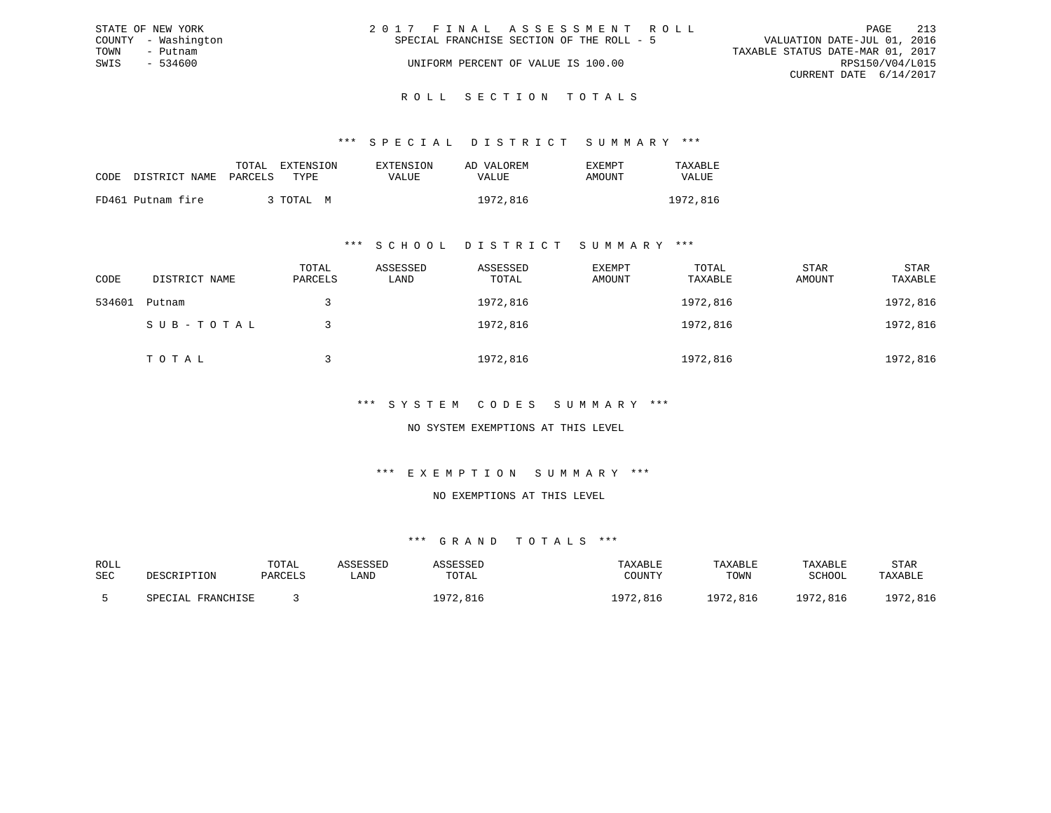|      | STATE OF NEW YORK   | 2017 FINAL ASSESSMENT ROLL                | 213<br>PAGE                      |
|------|---------------------|-------------------------------------------|----------------------------------|
|      | COUNTY - Washington | SPECIAL FRANCHISE SECTION OF THE ROLL - 5 | VALUATION DATE-JUL 01, 2016      |
| TOWN | – Putnam            |                                           | TAXABLE STATUS DATE-MAR 01, 2017 |
| SWIS | - 534600            | UNIFORM PERCENT OF VALUE IS 100.00        | RPS150/V04/L015                  |
|      |                     |                                           | CURRENT DATE 6/14/2017           |
|      |                     |                                           |                                  |

### ROLL SECTION TOTALS

#### \*\*\* S P E C I A L D I S T R I C T S U M M A R Y \*\*\*

|      |                       | TOTAL | EXTENSION | <b>EXTENSION</b> | AD VALOREM | EXEMPT | TAXABLE  |
|------|-----------------------|-------|-----------|------------------|------------|--------|----------|
| CODE | DISTRICT NAME PARCELS |       | TYPE.     | VALUE            | VALUE      | AMOUNT | VALUE    |
|      | FD461 Putnam fire     |       | 3 TOTAL M |                  | 1972,816   |        | 1972,816 |

#### \*\*\* S C H O O L D I S T R I C T S U M M A R Y \*\*\*

| CODE   | DISTRICT NAME | TOTAL<br>PARCELS | ASSESSED<br>LAND | ASSESSED<br>TOTAL | EXEMPT<br>AMOUNT | TOTAL<br>TAXABLE | STAR<br>AMOUNT | STAR<br>TAXABLE |
|--------|---------------|------------------|------------------|-------------------|------------------|------------------|----------------|-----------------|
| 534601 | Putnam        |                  |                  | 1972,816          |                  | 1972,816         |                | 1972,816        |
|        | SUB-TOTAL     |                  |                  | 1972,816          |                  | 1972,816         |                | 1972,816        |
|        | TOTAL         |                  |                  | 1972,816          |                  | 1972,816         |                | 1972,816        |

### \*\*\* S Y S T E M C O D E S S U M M A R Y \*\*\*

#### NO SYSTEM EXEMPTIONS AT THIS LEVEL

#### \*\*\* E X E M P T I O N S U M M A R Y \*\*\*

#### NO EXEMPTIONS AT THIS LEVEL

| ROLL |                   | TOTAL   | ASSESSED | ASSESSED | TAXABLE  | TAXABLE  | TAXABLE  | STAR     |
|------|-------------------|---------|----------|----------|----------|----------|----------|----------|
| SEC  | DESCRIPTION       | PARCELS | LAND     | TOTAL    | COUNTY   | TOWN     | SCHOOL   | TAXABLE  |
|      | SPECIAL FRANCHISE |         |          | 1972,816 | 1972,816 | 1972,816 | 1972,816 | 1972,816 |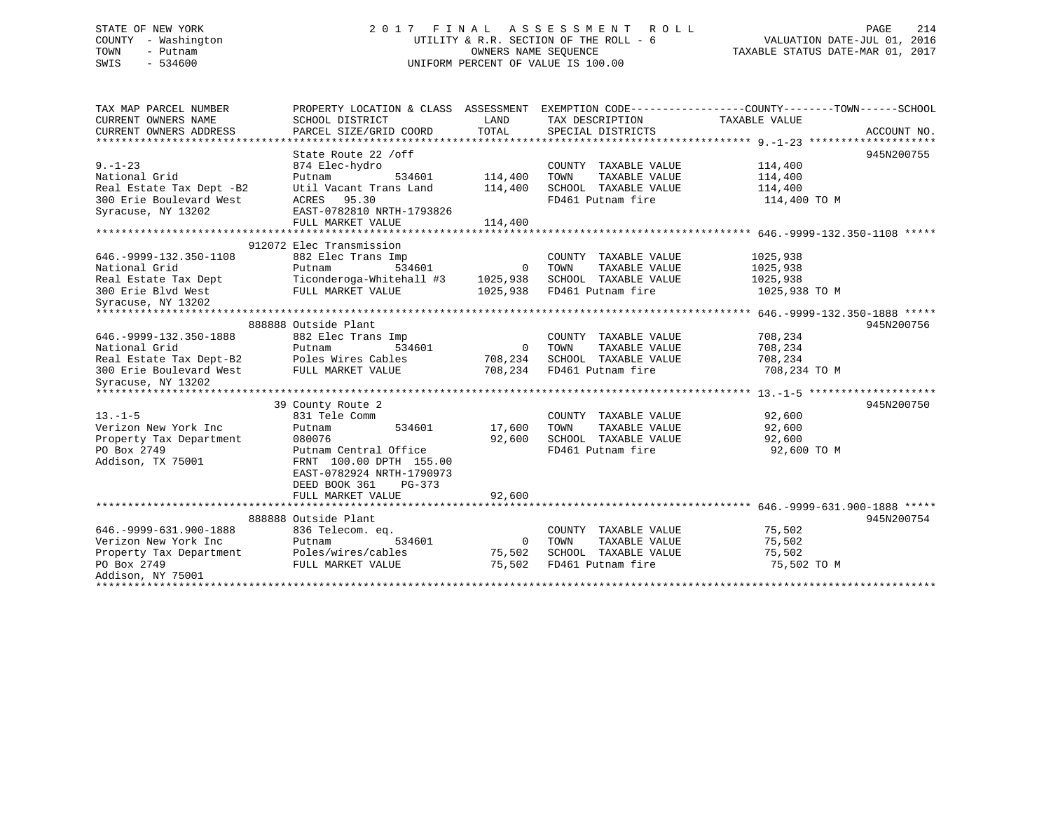# STATE OF NEW YORK 2 0 1 7 F I N A L A S S E S S M E N T R O L L PAGE 214 COUNTY - Washington UTILITY & R.R. SECTION OF THE ROLL - 6 VALUATION DATE-JUL 01, 2016 TOWN - Putnam OWNERS NAME SEQUENCE TAXABLE STATUS DATE-MAR 01, 2017 SWIS - 534600 UNIFORM PERCENT OF VALUE IS 100.00

| TAX MAP PARCEL NUMBER<br>CURRENT OWNERS NAME | PROPERTY LOCATION & CLASS ASSESSMENT<br>SCHOOL DISTRICT | LAND           | EXEMPTION CODE----------------COUNTY-------TOWN------SCHOOL<br>TAX DESCRIPTION TAXABLE VALUE |               |             |
|----------------------------------------------|---------------------------------------------------------|----------------|----------------------------------------------------------------------------------------------|---------------|-------------|
| CURRENT OWNERS ADDRESS                       | PARCEL SIZE/GRID COORD                                  | TOTAL          | SPECIAL DISTRICTS                                                                            |               | ACCOUNT NO. |
|                                              |                                                         |                |                                                                                              |               |             |
|                                              | State Route 22 / off                                    |                |                                                                                              |               | 945N200755  |
| $9. - 1 - 23$                                | 874 Elec-hydro                                          |                | COUNTY TAXABLE VALUE                                                                         | 114,400       |             |
| National Grid                                | 534601<br>Putnam                                        | 114,400        | TOWN<br>TAXABLE VALUE                                                                        | 114,400       |             |
| Real Estate Tax Dept -B2                     | Util Vacant Trans Land                                  | 114,400        | SCHOOL TAXABLE VALUE                                                                         | 114,400       |             |
| 300 Erie Boulevard West                      | 95.30<br>ACRES                                          |                | FD461 Putnam fire                                                                            | 114,400 TO M  |             |
| Syracuse, NY 13202                           | EAST-0782810 NRTH-1793826                               |                |                                                                                              |               |             |
|                                              | FULL MARKET VALUE                                       | 114,400        |                                                                                              |               |             |
|                                              |                                                         |                |                                                                                              |               |             |
|                                              | 912072 Elec Transmission                                |                |                                                                                              |               |             |
| 646. - 9999 - 132. 350 - 1108                | 882 Elec Trans Imp                                      |                | COUNTY TAXABLE VALUE                                                                         | 1025,938      |             |
| National Grid                                | 534601<br>Putnam                                        |                | 0 TOWN<br>TAXABLE VALUE                                                                      | 1025,938      |             |
|                                              | Real Estate Tax Dept Ticonderoga-Whitehall #3 1025,938  |                | SCHOOL TAXABLE VALUE                                                                         | 1025,938      |             |
| 300 Erie Blvd West                           | FULL MARKET VALUE                                       | 1025,938       | FD461 Putnam fire                                                                            | 1025,938 TO M |             |
| Syracuse, NY 13202                           |                                                         |                |                                                                                              |               |             |
|                                              |                                                         |                |                                                                                              |               |             |
|                                              | 888888 Outside Plant                                    |                |                                                                                              |               | 945N200756  |
| 646. - 9999 - 132. 350 - 1888                | 882 Elec Trans Imp                                      |                | COUNTY TAXABLE VALUE                                                                         | 708,234       |             |
| National Grid                                | ⊥mp<br>534601<br>Putnam                                 | $\overline{0}$ | TOWN<br>TAXABLE VALUE                                                                        | 708,234       |             |
| Real Estate Tax Dept-B2 Poles Wires Cables   |                                                         | 708,234        | SCHOOL TAXABLE VALUE                                                                         | 708,234       |             |
| 300 Erie Boulevard West FULL MARKET VALUE    |                                                         | 708,234        | FD461 Putnam fire                                                                            | 708,234 TO M  |             |
| Syracuse, NY 13202                           |                                                         |                |                                                                                              |               |             |
|                                              |                                                         |                |                                                                                              |               |             |
|                                              | 39 County Route 2                                       |                |                                                                                              |               | 945N200750  |
| $13. -1 - 5$                                 | 831 Tele Comm                                           |                | COUNTY TAXABLE VALUE                                                                         | 92,600        |             |
| Verizon New York Inc                         | 534601<br>Putnam                                        | 17,600         | TAXABLE VALUE<br>TOWN                                                                        | 92,600        |             |
| Property Tax Department                      | 080076                                                  | 92,600         | SCHOOL TAXABLE VALUE                                                                         | 92,600        |             |
| PO Box 2749                                  | Putnam Central Office                                   |                | FD461 Putnam fire                                                                            | 92,600 TO M   |             |
| Addison, TX 75001                            | FRNT 100.00 DPTH 155.00                                 |                |                                                                                              |               |             |
|                                              | EAST-0782924 NRTH-1790973                               |                |                                                                                              |               |             |
|                                              | DEED BOOK 361<br>PG-373                                 |                |                                                                                              |               |             |
|                                              | FULL MARKET VALUE                                       | 92,600         |                                                                                              |               |             |
|                                              |                                                         |                |                                                                                              |               |             |
|                                              | 888888 Outside Plant                                    |                |                                                                                              |               | 945N200754  |
| 646. - 9999 - 631. 900 - 1888                | 836 Telecom. eq.                                        |                | COUNTY TAXABLE VALUE                                                                         | 75,502        |             |
| Verizon New York Inc                         | Putnam<br>534601                                        | $\overline{0}$ | TAXABLE VALUE<br>TOWN                                                                        | 75,502        |             |
| Property Tax Department                      | Poles/wires/cables                                      | 75,502         | SCHOOL TAXABLE VALUE                                                                         | 75,502        |             |
| PO Box 2749                                  | FULL MARKET VALUE                                       | 75,502         | FD461 Putnam fire                                                                            | 75,502 TO M   |             |
| Addison, NY 75001                            |                                                         |                |                                                                                              |               |             |
|                                              |                                                         |                |                                                                                              |               |             |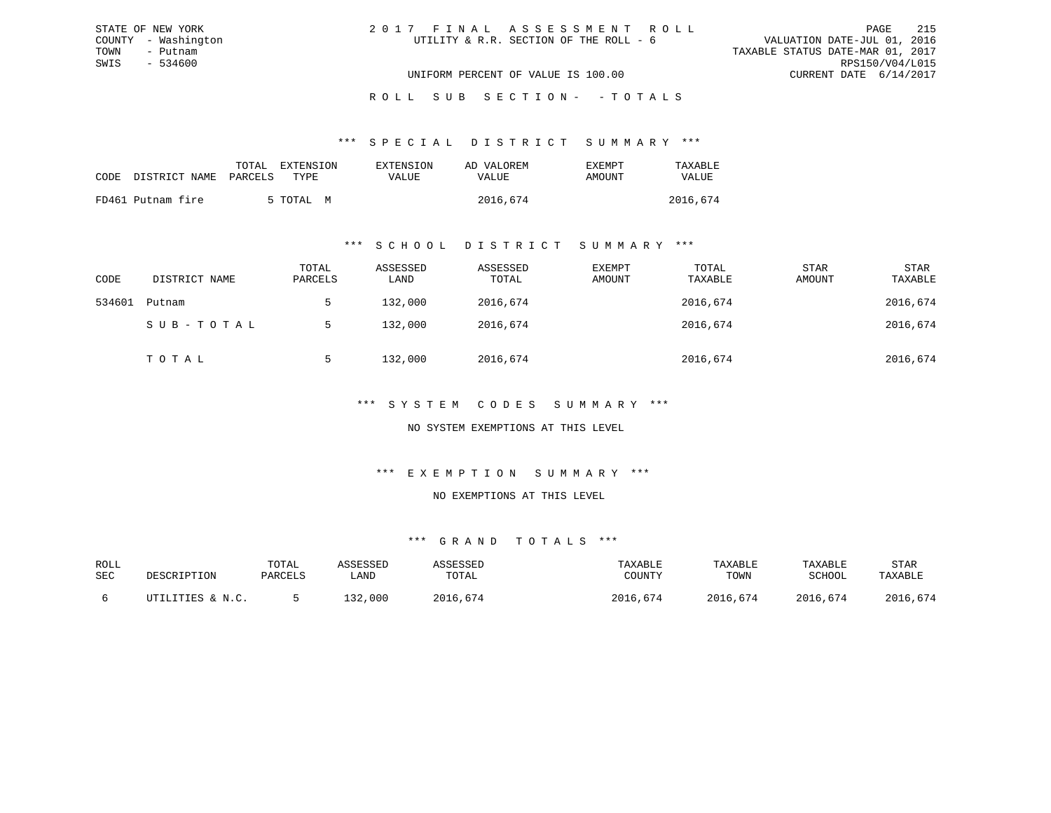| 2017 FINAL ASSESSMENT ROLL             | 215<br>PAGE                      |
|----------------------------------------|----------------------------------|
| UTILITY & R.R. SECTION OF THE ROLL - 6 | VALUATION DATE-JUL 01, 2016      |
|                                        | TAXABLE STATUS DATE-MAR 01, 2017 |
|                                        | RPS150/V04/L015                  |
| UNIFORM PERCENT OF VALUE IS 100.00     | CURRENT DATE 6/14/2017           |

ROLL SUB SECTION - - TOTALS

\*\*\* S P E C I A L D I S T R I C T S U M M A R Y \*\*\*

|                    |         | TOTAL EXTENSION | EXTENSION | AD VALOREM | <b>EXEMPT</b> | TAXABLE  |
|--------------------|---------|-----------------|-----------|------------|---------------|----------|
| CODE DISTRICT NAME | PARCELS | TYPE.           | VALUE     | VALUE      | AMOUNT        | VALUE    |
| FD461 Putnam fire  |         | 5 TOTAL M       |           | 2016,674   |               | 2016,674 |

STATE OF NEW YORK COUNTY - Washington TOWN - Putnam SWIS - 534600

#### \*\*\* S C H O O L D I S T R I C T S U M M A R Y \*\*\*

| CODE   | DISTRICT NAME | TOTAL<br>PARCELS | ASSESSED<br>LAND | ASSESSED<br>TOTAL | EXEMPT<br>AMOUNT | TOTAL<br>TAXABLE | <b>STAR</b><br>AMOUNT | <b>STAR</b><br>TAXABLE |
|--------|---------------|------------------|------------------|-------------------|------------------|------------------|-----------------------|------------------------|
| 534601 | Putnam        | 5                | 132,000          | 2016,674          |                  | 2016,674         |                       | 2016,674               |
|        | SUB-TOTAL     | .5               | 132,000          | 2016,674          |                  | 2016,674         |                       | 2016,674               |
|        | TOTAL         | 5                | 132,000          | 2016,674          |                  | 2016,674         |                       | 2016,674               |

\*\*\* S Y S T E M C O D E S S U M M A R Y \*\*\*

NO SYSTEM EXEMPTIONS AT THIS LEVEL

\*\*\* E X E M P T I O N S U M M A R Y \*\*\*

NO EXEMPTIONS AT THIS LEVEL

| ROLL |                  | TOTAL   | ASSESSED | ASSESSED | TAXABLE  | TAXABLE  | TAXABLE  | STAR     |
|------|------------------|---------|----------|----------|----------|----------|----------|----------|
| SEC  | DESCRIPTION      | PARCELS | LAND     | TOTAL    | COUNTY   | TOWN     | SCHOOL   | TAXABLE  |
|      | UTILITIES & N.C. |         | 132,000  | 2016,674 | 2016,674 | 2016,674 | 2016,674 | 2016,674 |
|      |                  |         |          |          |          |          |          |          |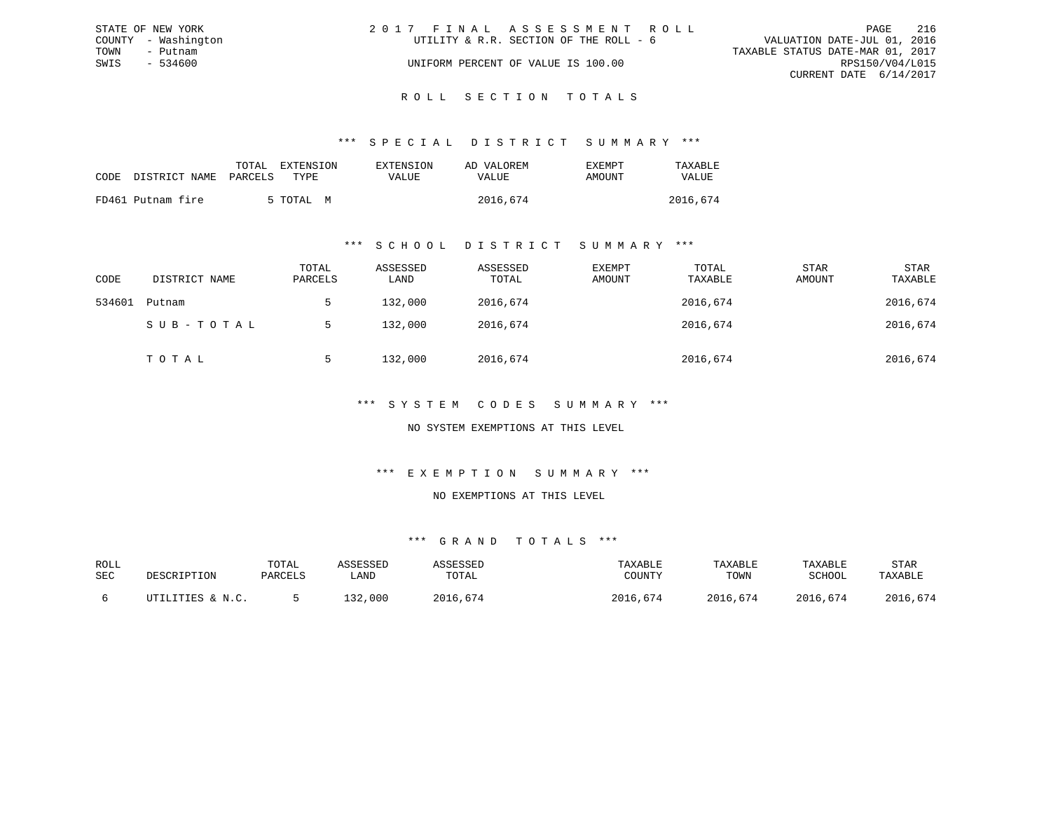|      | STATE OF NEW YORK   | 2017 FINAL ASSESSMENT ROLL             |                                  | PAGE                   | 216 |
|------|---------------------|----------------------------------------|----------------------------------|------------------------|-----|
|      | COUNTY - Washington | UTILITY & R.R. SECTION OF THE ROLL - 6 | VALUATION DATE-JUL 01, 2016      |                        |     |
| TOWN | - Putnam            |                                        | TAXABLE STATUS DATE-MAR 01, 2017 |                        |     |
| SWIS | - 534600            | UNIFORM PERCENT OF VALUE IS 100.00     |                                  | RPS150/V04/L015        |     |
|      |                     |                                        |                                  | CURRENT DATE 6/14/2017 |     |
|      |                     |                                        |                                  |                        |     |

### ROLL SECTION TOTALS

#### \*\*\* S P E C I A L D I S T R I C T S U M M A R Y \*\*\*

| CODE | DISTRICT NAME PARCELS | TOTAL | EXTENSION<br>TYPE. | EXTENSION<br>VALUE | AD VALOREM<br>VALUE | EXEMPT<br>AMOUNT | TAXABLE<br><b>VALUE</b> |
|------|-----------------------|-------|--------------------|--------------------|---------------------|------------------|-------------------------|
|      | FD461 Putnam fire     |       | 5 TOTAL M          |                    | 2016,674            |                  | 2016,674                |

#### \*\*\* S C H O O L D I S T R I C T S U M M A R Y \*\*\*

| CODE   | DISTRICT NAME | TOTAL<br>PARCELS | ASSESSED<br>LAND | ASSESSED<br>TOTAL | EXEMPT<br>AMOUNT | TOTAL<br>TAXABLE | STAR<br>AMOUNT | STAR<br>TAXABLE |
|--------|---------------|------------------|------------------|-------------------|------------------|------------------|----------------|-----------------|
| 534601 | Putnam        |                  | 132,000          | 2016,674          |                  | 2016,674         |                | 2016,674        |
|        | SUB-TOTAL     |                  | 132,000          | 2016,674          |                  | 2016,674         |                | 2016,674        |
|        | TOTAL         |                  | 132,000          | 2016,674          |                  | 2016,674         |                | 2016,674        |

### \*\*\* S Y S T E M C O D E S S U M M A R Y \*\*\*

#### NO SYSTEM EXEMPTIONS AT THIS LEVEL

#### \*\*\* E X E M P T I O N S U M M A R Y \*\*\*

#### NO EXEMPTIONS AT THIS LEVEL

| ROLL |                  | TOTAL   | ASSESSED | ASSESSED | TAXABLE  | TAXABLE  | TAXABLE  | <b>STAR</b> |
|------|------------------|---------|----------|----------|----------|----------|----------|-------------|
| SEC  | DESCRIPTION      | PARCELS | LAND     | TOTAL    | COUNTY   | TOWN     | SCHOOL   | TAXABLE     |
|      | UTILITIES & N.C. |         | 132,000  | 2016,674 | 2016,674 | 2016,674 | 2016,674 | 2016,674    |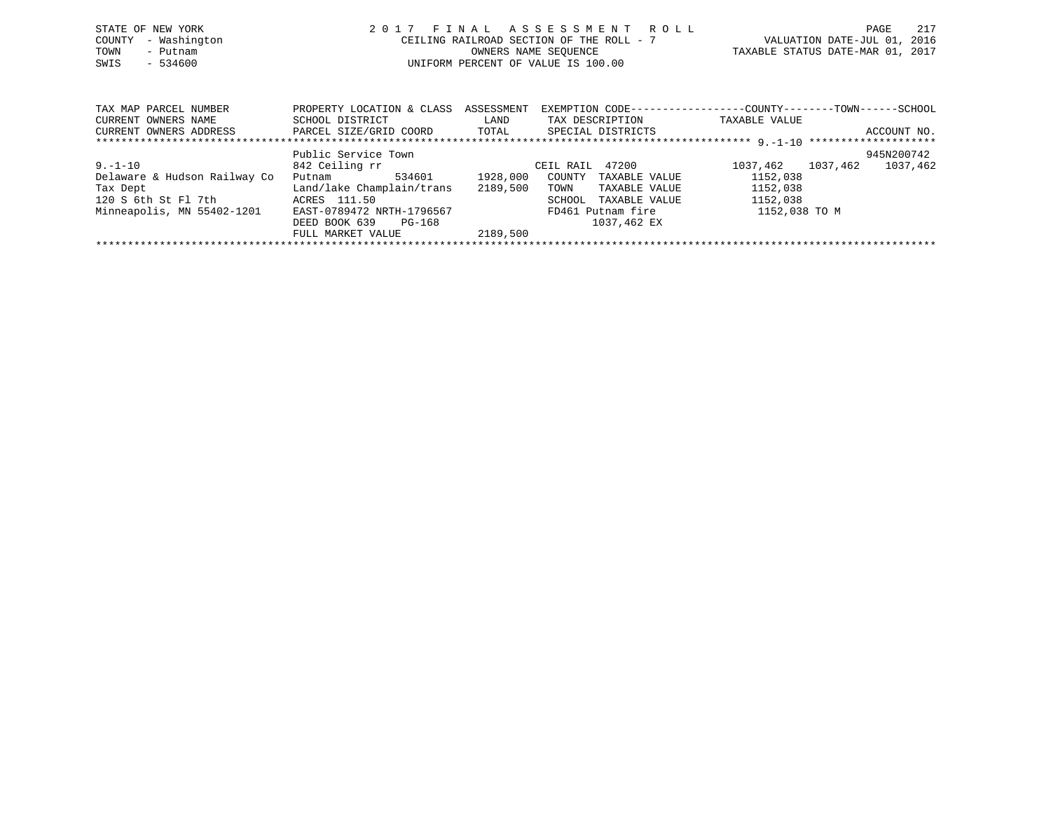| STATE OF NEW YORK<br>- Washington<br>COUNTY<br>TOWN<br>- Putnam<br>$-534600$<br>SWIS |                                                | 2017 FINAL ASSESSMENT ROLL<br>CEILING RAILROAD SECTION OF THE ROLL - 7<br>OWNERS NAME SEOUENCE<br>UNIFORM PERCENT OF VALUE IS 100.00 |                 |                                                              | PAGE<br>VALUATION DATE-JUL 01, 2016<br>TAXABLE STATUS DATE-MAR 01, 2017 | 217 |
|--------------------------------------------------------------------------------------|------------------------------------------------|--------------------------------------------------------------------------------------------------------------------------------------|-----------------|--------------------------------------------------------------|-------------------------------------------------------------------------|-----|
|                                                                                      |                                                |                                                                                                                                      |                 |                                                              |                                                                         |     |
| TAX MAP PARCEL NUMBER                                                                | PROPERTY LOCATION & CLASS                      | ASSESSMENT                                                                                                                           |                 | EXEMPTION CODE-----------------COUNTY-------TOWN------SCHOOL |                                                                         |     |
| CURRENT OWNERS NAME                                                                  | SCHOOL DISTRICT                                | LAND                                                                                                                                 | TAX DESCRIPTION | TAXABLE VALUE                                                |                                                                         |     |
| CURRENT OWNERS ADDRESS                                                               | PARCEL SIZE/GRID COORD TOTAL SPECIAL DISTRICTS |                                                                                                                                      |                 |                                                              | ACCOUNT NO.                                                             |     |
|                                                                                      |                                                |                                                                                                                                      |                 |                                                              |                                                                         |     |
|                                                                                      | Public Service Town                            |                                                                                                                                      |                 |                                                              | 945N200742                                                              |     |
| $9. - 1 - 10$                                                                        | 842 Ceiling rr                                 |                                                                                                                                      | CEIL RAIL 47200 | 1037,462 1037,462                                            | 1037,462                                                                |     |
| Delaware & Hudson Railway Co                                                         | 534601<br>Putnam                               | 1928,000<br>COUNTY                                                                                                                   | TAXABLE VALUE   | 1152,038                                                     |                                                                         |     |
| Tax Dept                                                                             | Land/lake Champlain/trans                      | 2189,500<br>TOWN                                                                                                                     | TAXABLE VALUE   | 1152,038                                                     |                                                                         |     |

\*\*\*\*\*\*\*\*\*\*\*\*\*\*\*\*\*\*\*\*\*\*\*\*\*\*\*\*\*\*\*\*\*\*\*\*\*\*\*\*\*\*\*\*\*\*\*\*\*\*\*\*\*\*\*\*\*\*\*\*\*\*\*\*\*\*\*\*\*\*\*\*\*\*\*\*\*\*\*\*\*\*\*\*\*\*\*\*\*\*\*\*\*\*\*\*\*\*\*\*\*\*\*\*\*\*\*\*\*\*\*\*\*\*\*\*\*\*\*\*\*\*\*\*\*\*\*\*\*\*\*\*

SCHOOL TAXABLE VALUE

Tax Dept 1152,038<br>120 S 6th St Fl 7th 152,038 ACRES 111.50 SCHOOL TAXABLE VALUE 1152,038

DEED BOOK 639 PG-168<br>FULL MARKET VALUE 2189,500

FULL MARKET VALUE

Minneapolis, MN 55402-1201 EAST-0789472 NRTH-1796567 FD461 Putnam fire 1152,038 TO M<br>DEED BOOK 639 PG-168 1037,462 EX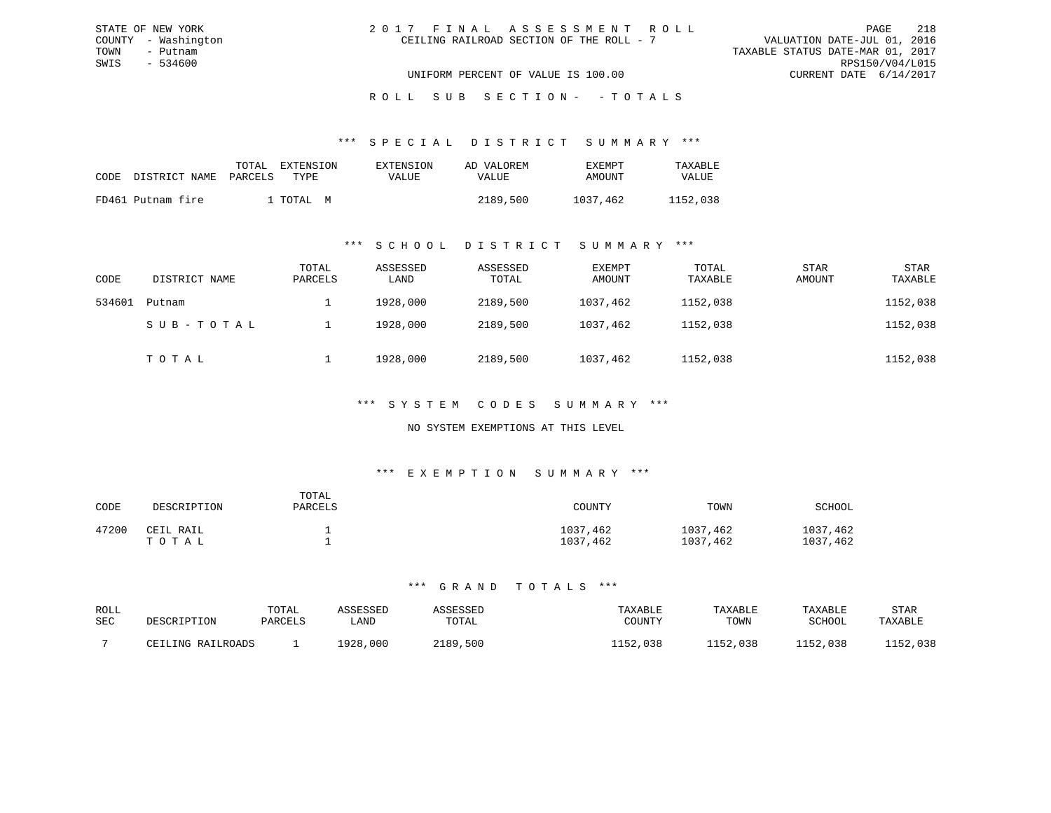| 2017 FINAL ASSESSMENT ROLL               | 218<br>PAGE                      |
|------------------------------------------|----------------------------------|
| CEILING RAILROAD SECTION OF THE ROLL - 7 | VALUATION DATE-JUL 01, 2016      |
|                                          | TAXABLE STATUS DATE-MAR 01, 2017 |
|                                          | RPS150/V04/L015                  |
| UNIFORM PERCENT OF VALUE IS 100.00       | CURRENT DATE 6/14/2017           |

ROLL SUB SECTION - - TOTALS

#### \*\*\* S P E C I A L D I S T R I C T S U M M A R Y \*\*\*

| CODE | DISTRICT NAME     | TOTAL<br>PARCELS | EXTENSION<br>TYPE | EXTENSION<br>VALUE | AD VALOREM<br>VALUE | <b>EXEMPT</b><br>AMOUNT | TAXABLE<br>VALUE |
|------|-------------------|------------------|-------------------|--------------------|---------------------|-------------------------|------------------|
|      |                   |                  |                   |                    |                     |                         |                  |
|      | FD461 Putnam fire |                  | . TOTAL M         |                    | 2189,500            | 1037,462                | 1152,038         |

STATE OF NEW YORK COUNTY - Washington TOWN - Putnam SWIS - 534600

### \*\*\* S C H O O L D I S T R I C T S U M M A R Y \*\*\*

| CODE   | DISTRICT NAME | TOTAL<br>PARCELS | ASSESSED<br>LAND | ASSESSED<br>TOTAL | EXEMPT<br>AMOUNT | TOTAL<br>TAXABLE | <b>STAR</b><br>AMOUNT | <b>STAR</b><br>TAXABLE |
|--------|---------------|------------------|------------------|-------------------|------------------|------------------|-----------------------|------------------------|
| 534601 | Putnam        |                  | 1928,000         | 2189,500          | 1037,462         | 1152,038         |                       | 1152,038               |
|        | SUB-TOTAL     |                  | 1928,000         | 2189,500          | 1037,462         | 1152,038         |                       | 1152,038               |
|        | TOTAL         |                  | 1928,000         | 2189,500          | 1037,462         | 1152,038         |                       | 1152,038               |

### \*\*\* S Y S T E M C O D E S S U M M A R Y \*\*\*

### NO SYSTEM EXEMPTIONS AT THIS LEVEL

### \*\*\* E X E M P T I O N S U M M A R Y \*\*\*

| CODE  | DESCRIPTION        | TOTAL<br>PARCELS | COUNTY               | TOWN                 | SCHOOL               |
|-------|--------------------|------------------|----------------------|----------------------|----------------------|
| 47200 | CEIL RAIL<br>ТОТАЬ |                  | 1037,462<br>1037,462 | 1037,462<br>1037,462 | 1037,462<br>1037,462 |

| ROLL       | DESCRIPTION       | TOTAL   | ASSESSED | ASSESSED | TAXABLE  | TAXABLE  | TAXABLE       | STAR     |
|------------|-------------------|---------|----------|----------|----------|----------|---------------|----------|
| <b>SEC</b> |                   | PARCELS | LAND     | TOTAL    | COUNTY   | TOWN     | <b>SCHOOL</b> | TAXABLE  |
|            | CEILING RAILROADS |         | 1928,000 | 2189,500 | 1152,038 | 1152,038 | 1152,038      | 1152,038 |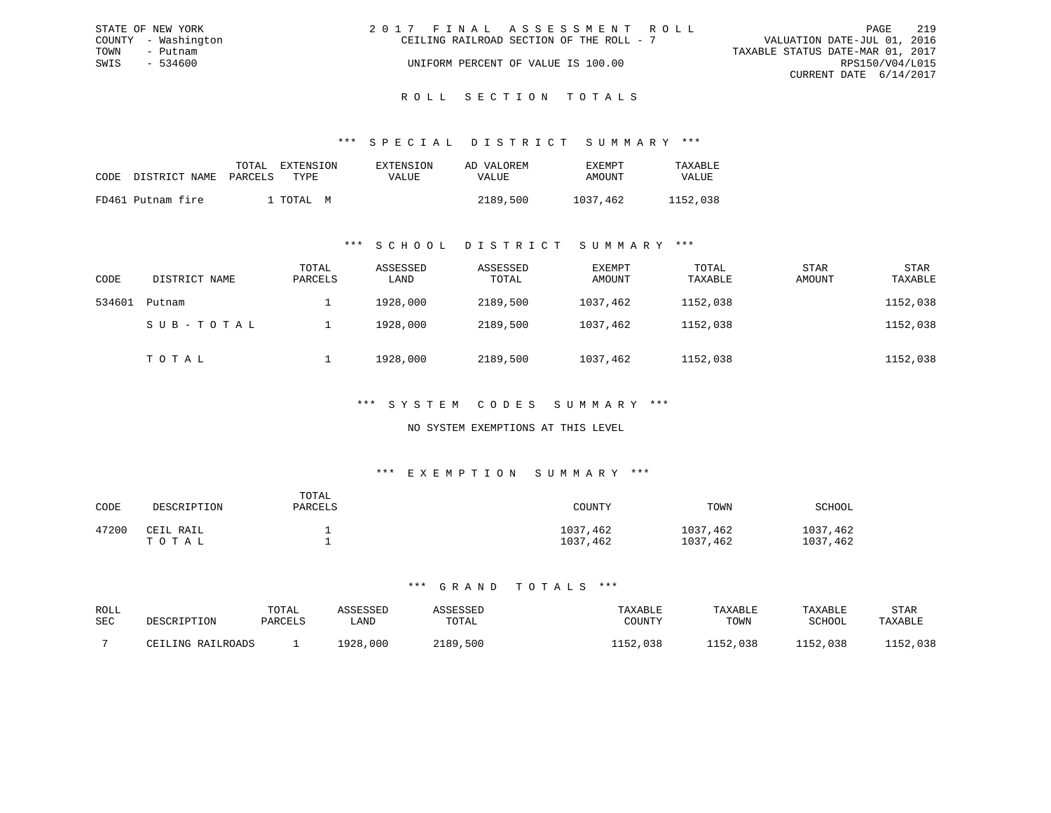|      | STATE OF NEW YORK   | 2017 FINAL ASSESSMENT ROLL               |  |                                  | PAGE                   | 219 |
|------|---------------------|------------------------------------------|--|----------------------------------|------------------------|-----|
|      | COUNTY - Washington | CEILING RAILROAD SECTION OF THE ROLL - 7 |  | VALUATION DATE-JUL 01, 2016      |                        |     |
| TOWN | - Putnam            |                                          |  | TAXABLE STATUS DATE-MAR 01, 2017 |                        |     |
| SWIS | $-534600$           | UNIFORM PERCENT OF VALUE IS 100.00       |  |                                  | RPS150/V04/L015        |     |
|      |                     |                                          |  |                                  | CURRENT DATE 6/14/2017 |     |
|      |                     |                                          |  |                                  |                        |     |

# ROLL SECTION TOTALS

### \*\*\* S P E C I A L D I S T R I C T S U M M A R Y \*\*\*

| CODE | DISTRICT NAME     | TOTAL<br>PARCELS | EXTENSION<br>TYPE | EXTENSION<br>VALUE | AD VALOREM<br>VALUE | EXEMPT<br>AMOUNT | TAXABLE<br><b>VALUE</b> |
|------|-------------------|------------------|-------------------|--------------------|---------------------|------------------|-------------------------|
|      | FD461 Putnam fire |                  | TOTAI, M          |                    | 2189,500            | 1037,462         | 1152,038                |

### \*\*\* S C H O O L D I S T R I C T S U M M A R Y \*\*\*

| CODE   | DISTRICT NAME | TOTAL<br>PARCELS | ASSESSED<br>LAND | ASSESSED<br>TOTAL | EXEMPT<br>AMOUNT | TOTAL<br>TAXABLE | <b>STAR</b><br>AMOUNT | <b>STAR</b><br>TAXABLE |
|--------|---------------|------------------|------------------|-------------------|------------------|------------------|-----------------------|------------------------|
| 534601 | Putnam        |                  | 1928,000         | 2189,500          | 1037,462         | 1152,038         |                       | 1152,038               |
|        | SUB-TOTAL     |                  | 1928,000         | 2189,500          | 1037,462         | 1152,038         |                       | 1152,038               |
|        | TOTAL         |                  | 1928,000         | 2189,500          | 1037,462         | 1152,038         |                       | 1152,038               |

### \*\*\* S Y S T E M C O D E S S U M M A R Y \*\*\*

### NO SYSTEM EXEMPTIONS AT THIS LEVEL

#### \*\*\* E X E M P T I O N S U M M A R Y \*\*\*

| CODE  | DESCRIPTION        | TOTAL<br>PARCELS | COUNTY               | TOWN                 | SCHOOL               |
|-------|--------------------|------------------|----------------------|----------------------|----------------------|
| 47200 | CEIL RAIL<br>ТОТАЬ |                  | 1037,462<br>1037,462 | 1037,462<br>1037,462 | 1037,462<br>1037,462 |

| ROLL       | DESCRIPTION       | TOTAL   | ASSESSED | ASSESSED | TAXABLE  | TAXABLE  | TAXABLE       | STAR     |
|------------|-------------------|---------|----------|----------|----------|----------|---------------|----------|
| <b>SEC</b> |                   | PARCELS | LAND     | TOTAL    | COUNTY   | TOWN     | <b>SCHOOL</b> | TAXABLE  |
|            | CEILING RAILROADS |         | 1928,000 | 2189,500 | 1152,038 | 1152,038 | 1152,038      | 1152,038 |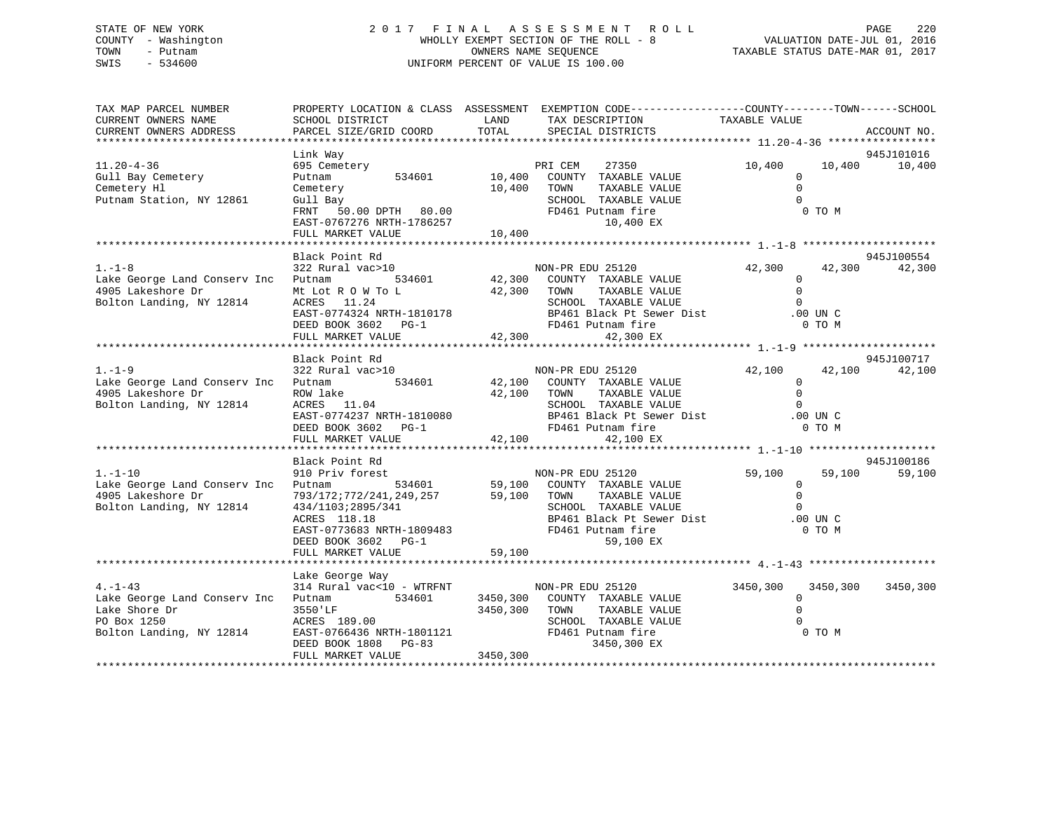# STATE OF NEW YORK 2 0 1 7 F I N A L A S S E S S M E N T R O L L PAGE 220 COUNTY - Washington WHOLLY EXEMPT SECTION OF THE ROLL - 8 VALUATION DATE-JUL 01, 2016 TOWN - Putnam OWNERS NAME SEQUENCE TAXABLE STATUS DATE-MAR 01, 2017 SWIS - 534600 UNIFORM PERCENT OF VALUE IS 100.00

| TAX MAP PARCEL NUMBER<br>CURRENT OWNERS NAME<br>CURRENT OWNERS ADDRESS                                   | SCHOOL DISTRICT<br>PARCEL SIZE/GRID COORD                                                                                                                                                                                                                                                                | LAND<br>TOTAL         | PROPERTY LOCATION & CLASS ASSESSMENT EXEMPTION CODE-----------------COUNTY--------TOWN------SCHOOL<br>TAX DESCRIPTION<br>SPECIAL DISTRICTS                                                                                                                                                   | TAXABLE VALUE                                                    |                    | ACCOUNT NO.          |
|----------------------------------------------------------------------------------------------------------|----------------------------------------------------------------------------------------------------------------------------------------------------------------------------------------------------------------------------------------------------------------------------------------------------------|-----------------------|----------------------------------------------------------------------------------------------------------------------------------------------------------------------------------------------------------------------------------------------------------------------------------------------|------------------------------------------------------------------|--------------------|----------------------|
|                                                                                                          |                                                                                                                                                                                                                                                                                                          |                       |                                                                                                                                                                                                                                                                                              |                                                                  |                    |                      |
| $11.20 - 4 - 36$<br>Gull Bay Cemetery<br>Cemetery Hl<br>Putnam Station, NY 12861                         | Link Way<br>695 Cemetery<br>534601<br>Putnam<br>Cemetery<br>Gull Bay<br>FRNT 50.00 DPTH 80.00<br>EAST-0767276 NRTH-1786257<br>FULL MARKET VALUE                                                                                                                                                          | 10,400 TOWN<br>10,400 | PRI CEM<br>27350<br>10,400 COUNTY TAXABLE VALUE<br>TAXABLE VALUE<br>SCHOOL TAXABLE VALUE<br>FD461 Putnam fire<br>10,400 EX                                                                                                                                                                   | 10,400<br>$\mathbf{0}$<br>$\Omega$<br>$\Omega$                   | 10,400<br>$0$ TO M | 945J101016<br>10,400 |
|                                                                                                          |                                                                                                                                                                                                                                                                                                          |                       |                                                                                                                                                                                                                                                                                              |                                                                  |                    |                      |
| $1. - 1 - 8$<br>Lake George Land Conserv Inc Putnam<br>4905 Lakeshore Dr<br>Bolton Landing, NY 12814     | Black Point Rd<br>322 Rural vac>10                                                                                                                                                                                                                                                                       |                       | NON-PR EDU 25120<br>534601 42,300 COUNTY TAXABLE VALUE<br>ME LOT R OW TO LARGE SURFAINE VALUE ON TO LARGE SURFAINE VALUE ON TOWN TAXABLE VALUE ON TO UNIT ATABLE VALUE O<br>RAST-0774324 NRTH-1810178 BP461 Black Pt Sewer Dist .00 UNIT CHERE BOOK 3602 PG-1 FD461 Putnam fire 0 TO M<br>FU | 42,300<br>$\mathbf{0}$                                           | 42,300             | 945J100554<br>42,300 |
|                                                                                                          | Black Point Rd                                                                                                                                                                                                                                                                                           |                       |                                                                                                                                                                                                                                                                                              |                                                                  |                    | 945J100717           |
| $1. - 1 - 9$<br>Lake George Land Conserv Inc Putnam<br>4905 Lakeshore Dr<br>Bolton Landing, NY 12814     | 322 Rural vac>10<br>ROW lake<br>$ACRES$ 11.04<br>$\begin{tabular}{lllllllllll} \texttt{ACRES} & 11.04 & \texttt{SCH OOL} \\ \texttt{EAST-0774237 NRTH-1810080} & \texttt{BP461 B} \\ \texttt{DEED BOOK 3602} & \texttt{PG-1} & \texttt{FD461 P} \\ \texttt{FULL MARKET VALUE} & 42,100 \\ \end{tabular}$ | 42,100 TOWN           | NON-PR EDU 25120<br>534601 42,100 COUNTY TAXABLE VALUE<br>TAXABLE VALUE<br>SCHOOL TAXABLE VALUE<br>BP461 Black Pt Sewer Dist .00 UN C<br>FD461 Putnam fire<br>42,100 EX                                                                                                                      | 42,100<br>$\mathbf{0}$<br>$\Omega$<br>$\Omega$                   | 42,100<br>0 TO M   | 42,100               |
|                                                                                                          |                                                                                                                                                                                                                                                                                                          |                       |                                                                                                                                                                                                                                                                                              |                                                                  |                    |                      |
| $1. - 1 - 10$<br>Lake George Land Conserv Inc Putnam<br>4905 Lakeshore Dr<br>Bolton Landing, NY 12814    | Black Point Rd<br>910 Priv forest<br>793/172;772/241,249,257 59,100 TOWN TAXABLE VALUE<br>434/1103;2895/341<br>ACRES 118.18<br>EAST-0773683 NRTH-1809483 FD461 Putnam fire<br>DEED BOOK 3602 PG-1                                                                                                        | 59,100                | NON-PR EDU 25120<br>534601 59,100 COUNTY TAXABLE VALUE<br>SCHOOL TAXABLE VALUE<br>BP461 Black Pt Sewer Dist<br>FD461 Putnam fire<br>59,100 EX                                                                                                                                                | 59,100<br>$\Omega$<br>$\Omega$<br>$\Omega$<br>.00 UN C<br>0 TO M | 59,100             | 945J100186<br>59,100 |
|                                                                                                          | FULL MARKET VALUE                                                                                                                                                                                                                                                                                        |                       |                                                                                                                                                                                                                                                                                              |                                                                  |                    |                      |
|                                                                                                          | Lake George Way                                                                                                                                                                                                                                                                                          |                       |                                                                                                                                                                                                                                                                                              |                                                                  |                    |                      |
| $4. -1 - 43$<br>Lake George Land Conserv Inc<br>Lake Shore Dr<br>PO Box 1250<br>Bolton Landing, NY 12814 | 314 Rural vac<10 - WTRFNT<br>Putnam 534601<br>3550'LF<br>ACRES 189.00<br>EAST-0766436 NRTH-1801121<br>DEED BOOK 1808 PG-83<br>FULL MARKET VALUE                                                                                                                                                          | 3450,300<br>3450,300  | NON-PR EDU 25120<br>3450,300 COUNTY TAXABLE VALUE<br>TAXABLE VALUE<br>TOWN<br>SCHOOL TAXABLE VALUE<br>FD461 Putnam fire<br>3450,300 EX                                                                                                                                                       | 3450,300 3450,300<br>$\Omega$<br>$\Omega$<br>$\Omega$            | 0 TO M             | 3450,300             |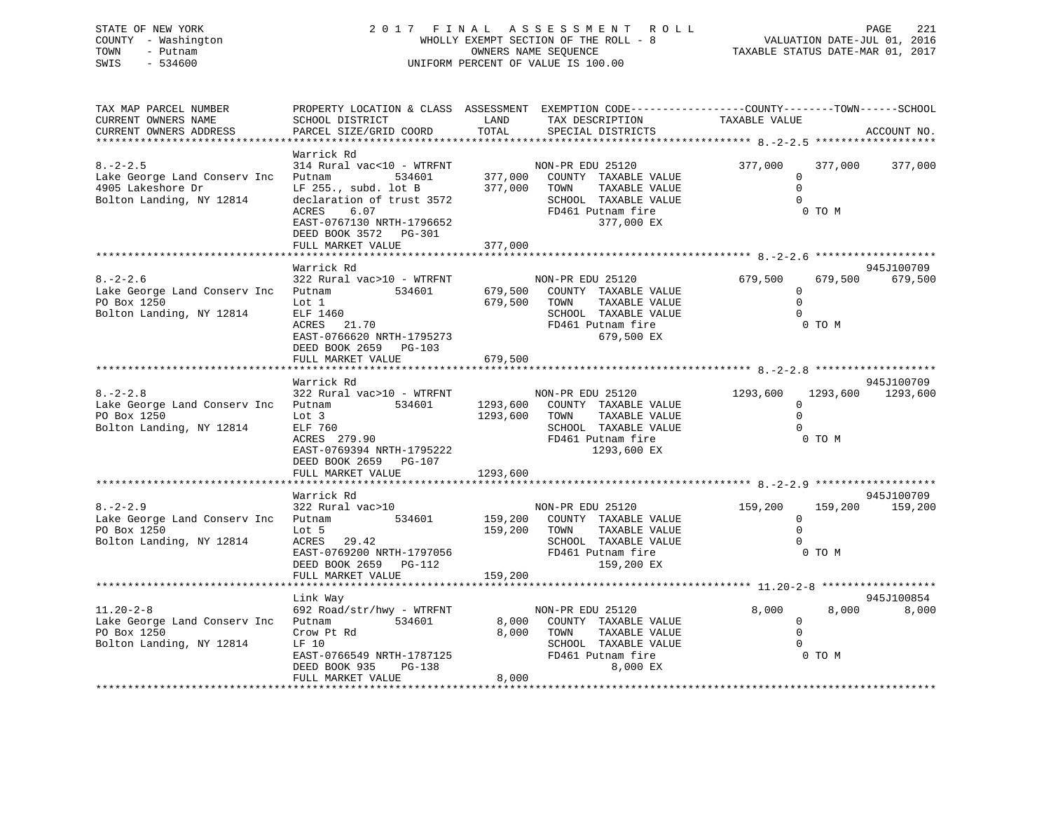# STATE OF NEW YORK 2 0 1 7 F I N A L A S S E S S M E N T R O L L PAGE 221 COUNTY - Washington WHOLLY EXEMPT SECTION OF THE ROLL - 8 VALUATION DATE-JUL 01, 2016 TOWN - Putnam OWNERS NAME SEQUENCE TAXABLE STATUS DATE-MAR 01, 2017 SWIS - 534600 UNIFORM PERCENT OF VALUE IS 100.00

| SCHOOL DISTRICT<br>PARCEL SIZE/GRID COORD                                                                                                                                                                       | LAND<br>TOTAL        | TAX DESCRIPTION<br>SPECIAL DISTRICTS                                                                      | TAXABLE VALUE                                                                                                                                          |          | ACCOUNT NO.                                                                                                                                                    |
|-----------------------------------------------------------------------------------------------------------------------------------------------------------------------------------------------------------------|----------------------|-----------------------------------------------------------------------------------------------------------|--------------------------------------------------------------------------------------------------------------------------------------------------------|----------|----------------------------------------------------------------------------------------------------------------------------------------------------------------|
|                                                                                                                                                                                                                 |                      |                                                                                                           |                                                                                                                                                        |          |                                                                                                                                                                |
| Warrick Rd<br>314 Rural vac<10 - WTRFNT<br>534601<br>Putnam<br>LF $255.$ , subd. lot B<br>declaration of trust 3572<br>ACRES<br>6.07<br>EAST-0767130 NRTH-1796652<br>DEED BOOK 3572 PG-301<br>FULL MARKET VALUE | 377,000<br>377,000   | COUNTY TAXABLE VALUE<br>TOWN<br>TAXABLE VALUE<br>SCHOOL TAXABLE VALUE<br>FD461 Putnam fire<br>377,000 EX  | 377,000<br>$\Omega$<br>$\mathbf 0$<br>$\Omega$                                                                                                         | 377,000  | 377,000                                                                                                                                                        |
|                                                                                                                                                                                                                 |                      |                                                                                                           |                                                                                                                                                        |          |                                                                                                                                                                |
| Warrick Rd<br>322 Rural vac>10 - WTRFNT<br>534601<br>Putnam<br>Lot 1<br>ELF 1460<br>ACRES<br>21.70<br>EAST-0766620 NRTH-1795273<br>DEED BOOK 2659 PG-103                                                        | 679,500              | COUNTY TAXABLE VALUE<br>TOWN<br>TAXABLE VALUE<br>SCHOOL TAXABLE VALUE<br>FD461 Putnam fire<br>679,500 EX  | 679,500<br>0<br>$\Omega$<br>$\Omega$                                                                                                                   | 679,500  | 945J100709<br>679,500                                                                                                                                          |
| FULL MARKET VALUE                                                                                                                                                                                               |                      |                                                                                                           |                                                                                                                                                        |          |                                                                                                                                                                |
| Warrick Rd                                                                                                                                                                                                      |                      |                                                                                                           |                                                                                                                                                        |          | 945J100709                                                                                                                                                     |
| 322 Rural vac>10 - WTRFNT<br>534601<br>Putnam<br>Lot <sub>3</sub><br>ELF 760<br>ACRES 279.90<br>EAST-0769394 NRTH-1795222<br>DEED BOOK 2659 PG-107<br>FULL MARKET VALUE                                         | 1293,600<br>1293,600 | COUNTY TAXABLE VALUE<br>TOWN<br>TAXABLE VALUE<br>SCHOOL TAXABLE VALUE<br>FD461 Putnam fire<br>1293,600 EX | 0<br>$\mathbf 0$<br>$\Omega$                                                                                                                           |          | 1293,600                                                                                                                                                       |
|                                                                                                                                                                                                                 |                      |                                                                                                           |                                                                                                                                                        |          |                                                                                                                                                                |
| Warrick Rd<br>322 Rural vac>10<br>534601<br>Putnam<br>Lot 5<br>ACRES<br>29.42<br>EAST-0769200 NRTH-1797056<br>DEED BOOK 2659 PG-112                                                                             | 159,200              | COUNTY TAXABLE VALUE<br>TOWN<br>TAXABLE VALUE<br>SCHOOL TAXABLE VALUE<br>FD461 Putnam fire<br>159,200 EX  | 159,200<br>$\mathbf 0$<br>$\Omega$                                                                                                                     | 159,200  | 945J100709<br>159,200                                                                                                                                          |
|                                                                                                                                                                                                                 |                      |                                                                                                           |                                                                                                                                                        |          |                                                                                                                                                                |
| Link Way                                                                                                                                                                                                        |                      |                                                                                                           |                                                                                                                                                        |          | 945J100854                                                                                                                                                     |
| 692 Road/str/hwy - WTRFNT<br>Putnam<br>534601<br>Crow Pt Rd<br>LF 10<br>EAST-0766549 NRTH-1787125<br>DEED BOOK 935<br>PG-138<br>FULL MARKET VALUE                                                               | 8,000<br>8,000       | COUNTY TAXABLE VALUE<br>TOWN<br>TAXABLE VALUE<br>SCHOOL TAXABLE VALUE<br>FD461 Putnam fire<br>8,000 EX    | 8,000<br>0<br>$\Omega$                                                                                                                                 | 8,000    | 8,000                                                                                                                                                          |
|                                                                                                                                                                                                                 | FULL MARKET VALUE    | 679,500<br>159,200                                                                                        | NON-PR EDU 25120<br>377,000<br>NON-PR EDU 25120<br>679,500<br>NON-PR EDU 25120<br>1293,600<br>NON-PR EDU 25120<br>159,200<br>NON-PR EDU 25120<br>8,000 | 1293,600 | PROPERTY LOCATION & CLASS ASSESSMENT EXEMPTION CODE----------------COUNTY-------TOWN------SCHOOL<br>0 TO M<br>0 TO M<br>1293,600<br>0 TO M<br>0 TO M<br>0 TO M |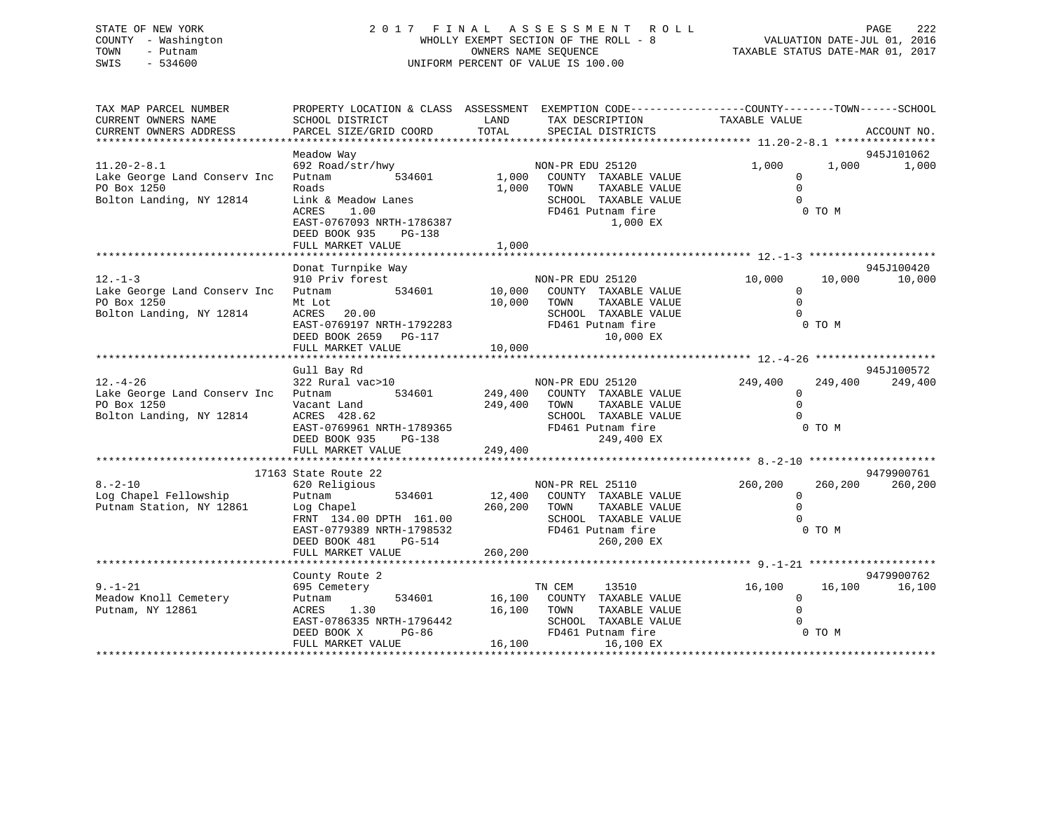# STATE OF NEW YORK 2 0 1 7 F I N A L A S S E S S M E N T R O L L PAGE 222 COUNTY - Washington WHOLLY EXEMPT SECTION OF THE ROLL - 8 VALUATION DATE-JUL 01, 2016 TOWN - Putnam OWNERS NAME SEQUENCE TAXABLE STATUS DATE-MAR 01, 2017 SWIS - 534600 UNIFORM PERCENT OF VALUE IS 100.00

| TAX MAP PARCEL NUMBER<br>CURRENT OWNERS NAME<br>CURRENT OWNERS ADDRESS                       | SCHOOL DISTRICT<br>PARCEL SIZE/GRID COORD                                                                                                                                       | LAND<br>TAX DESCRIPTION<br>TOTAL<br>SPECIAL DISTRICTS                                                                          | PROPERTY LOCATION & CLASS ASSESSMENT EXEMPTION CODE---------------COUNTY-------TOWN-----SCHOOL<br>TAXABLE VALUE | ACCOUNT NO.                                |
|----------------------------------------------------------------------------------------------|---------------------------------------------------------------------------------------------------------------------------------------------------------------------------------|--------------------------------------------------------------------------------------------------------------------------------|-----------------------------------------------------------------------------------------------------------------|--------------------------------------------|
|                                                                                              |                                                                                                                                                                                 |                                                                                                                                |                                                                                                                 |                                            |
| $11.20 - 2 - 8.1$<br>Lake George Land Conserv Inc<br>PO Box 1250<br>Bolton Landing, NY 12814 | Meadow Way<br>692 Road/str/hwy<br>534601<br>Putnam<br>Roads<br>Link & Meadow Lanes<br><b>ACRES</b><br>1.00                                                                      | NON-PR EDU 25120<br>1,000<br>COUNTY TAXABLE VALUE<br>1,000<br>TOWN<br>SCHOOL TAXABLE VALUE<br>FD461 Putnam fire                | 1,000<br>$\Omega$<br>TAXABLE VALUE<br>$\Omega$<br>$\Omega$                                                      | 945J101062<br>1,000<br>1,000<br>0 TO M     |
|                                                                                              | EAST-0767093 NRTH-1786387<br>DEED BOOK 935<br>$PG-138$<br>FULL MARKET VALUE                                                                                                     | 1,000                                                                                                                          | 1,000 EX                                                                                                        |                                            |
|                                                                                              | Donat Turnpike Way                                                                                                                                                              |                                                                                                                                |                                                                                                                 | 945J100420                                 |
| $12. - 1 - 3$<br>Lake George Land Conserv Inc<br>PO Box 1250<br>Bolton Landing, NY 12814     | 910 Priv forest<br>534601<br>Putnam<br>Mt Lot<br>ACRES 20.00<br>EAST-0769197 NRTH-1792283<br>DEED BOOK 2659 PG-117<br>FULL MARKET VALUE                                         | NON-PR EDU 25120<br>10,000<br>COUNTY TAXABLE VALUE<br>10,000<br>TOWN<br>SCHOOL TAXABLE VALUE<br>FD461 Putnam fire<br>10,000    | 10,000<br>$\Omega$<br>$\mathbf 0$<br>TAXABLE VALUE<br>$\Omega$<br>10,000 EX                                     | 10,000<br>10,000<br>0 TO M                 |
|                                                                                              | Gull Bay Rd                                                                                                                                                                     |                                                                                                                                |                                                                                                                 | 945J100572                                 |
| $12. - 4 - 26$<br>Lake George Land Conserv Inc<br>PO Box 1250<br>Bolton Landing, NY 12814    | 322 Rural vac>10<br>534601<br>Putnam<br>Vacant Land<br>ACRES 428.62<br>EAST-0769961 NRTH-1789365<br>DEED BOOK 935 PG-138<br>DEED BOOK 935<br>PG-138<br>FULL MARKET VALUE        | NON-PR EDU 25120<br>249,400<br>COUNTY TAXABLE VALUE<br>249,400<br>TOWN<br>SCHOOL TAXABLE VALUE<br>FD461 Putnam fire<br>249,400 | 249,400<br>$\Omega$<br>$\Omega$<br>TAXABLE VALUE<br>249,400 EX                                                  | 249,400<br>249,400<br>0 TO M               |
|                                                                                              |                                                                                                                                                                                 |                                                                                                                                |                                                                                                                 |                                            |
| $8. - 2 - 10$<br>Log Chapel Fellowship<br>Putnam Station, NY 12861                           | 17163 State Route 22<br>620 Religious<br>534601<br>Putnam<br>Log Chapel<br>FRNT 134.00 DPTH 161.00<br>EAST-0779389 NRTH-1798532<br>DEED BOOK 481<br>PG-514<br>FULL MARKET VALUE | NON-PR REL 25110<br>12,400<br>COUNTY TAXABLE VALUE<br>260,200<br>TOWN<br>SCHOOL TAXABLE VALUE<br>FD461 Putnam fire<br>260,200  | 260,200<br>0<br>TAXABLE VALUE<br>$\Omega$<br>$\Omega$<br>260,200 EX                                             | 9479900761<br>260,200<br>260,200<br>0 TO M |
|                                                                                              |                                                                                                                                                                                 |                                                                                                                                |                                                                                                                 |                                            |
| $9. - 1 - 21$<br>Meadow Knoll Cemetery<br>Putnam, NY 12861                                   | County Route 2<br>695 Cemetery<br>534601<br>Putnam<br>ACRES<br>1.30<br>EAST-0786335 NRTH-1796442<br>DEED BOOK X<br>PG-86<br>FULL MARKET VALUE                                   | TN CEM<br>16,100<br>COUNTY TAXABLE VALUE<br>16,100<br>TOWN<br>SCHOOL TAXABLE VALUE<br>FD461 Putnam fire<br>16,100              | 13510<br>16,100<br>$\Omega$<br>TAXABLE VALUE<br>$\Omega$<br>16,100 EX                                           | 9479900762<br>16,100<br>16,100<br>0 TO M   |
|                                                                                              |                                                                                                                                                                                 |                                                                                                                                |                                                                                                                 |                                            |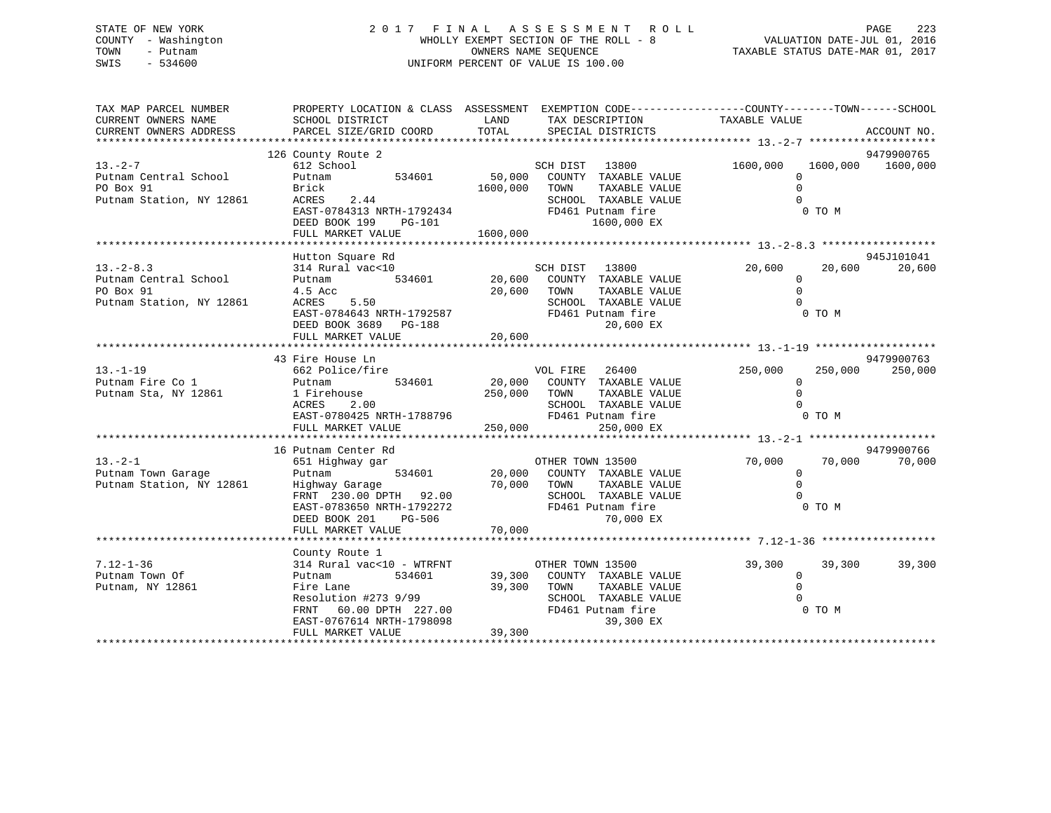# STATE OF NEW YORK 2 0 1 7 F I N A L A S S E S S M E N T R O L L PAGE 223 COUNTY - Washington WHOLLY EXEMPT SECTION OF THE ROLL - 8 VALUATION DATE-JUL 01, 2016 TOWN - Putnam OWNERS NAME SEQUENCE TAXABLE STATUS DATE-MAR 01, 2017 SWIS - 534600 UNIFORM PERCENT OF VALUE IS 100.00

| TAX MAP PARCEL NUMBER<br>CURRENT OWNERS NAME<br>CURRENT OWNERS ADDRESS           | PROPERTY LOCATION & CLASS ASSESSMENT EXEMPTION CODE---------------COUNTY-------TOWN-----SCHOOL<br>SCHOOL DISTRICT<br>PARCEL SIZE/GRID COORD                               | LAND<br>TOTAL              | TAX DESCRIPTION<br>SPECIAL DISTRICTS                                                                                                        | TAXABLE VALUE                                   |                             | ACCOUNT NO.           |
|----------------------------------------------------------------------------------|---------------------------------------------------------------------------------------------------------------------------------------------------------------------------|----------------------------|---------------------------------------------------------------------------------------------------------------------------------------------|-------------------------------------------------|-----------------------------|-----------------------|
|                                                                                  | 126 County Route 2                                                                                                                                                        |                            |                                                                                                                                             |                                                 |                             | 9479900765            |
| $13. -2 - 7$<br>Putnam Central School<br>PO Box 91<br>Putnam Station, NY 12861   | 612 School<br>534601<br>Putnam<br>Brick<br>ACRES<br>2.44<br>EAST-0784313 NRTH-1792434<br>PER ROOK 199 DC-101<br>DEED BOOK 199<br>PG-101                                   | 50,000<br>1600,000         | SCH DIST 13800<br>COUNTY TAXABLE VALUE<br>TOWN<br>TAXABLE VALUE<br>SCHOOL TAXABLE VALUE<br>FD461 Putnam fire<br>1600,000 EX                 | 1600,000<br>$\Omega$<br>$\Omega$<br>$\Omega$    | 1600,000 1600,000<br>0 TO M |                       |
|                                                                                  | FULL MARKET VALUE                                                                                                                                                         | 1600,000                   |                                                                                                                                             |                                                 |                             |                       |
|                                                                                  |                                                                                                                                                                           |                            |                                                                                                                                             |                                                 |                             |                       |
| $13. -2 - 8.3$<br>Putnam Central School<br>PO Box 91<br>Putnam Station, NY 12861 | Hutton Square Rd<br>314 Rural vac<10<br>534601<br>Putnam<br>4.5 Acc<br>ACRES<br>5.50<br>EAST-0784643 NRTH-1792587<br>DEED BOOK 3689 PG-188<br>FULL MARKET VALUE           | 20,600<br>20,600<br>20,600 | SCH DIST 13800<br>COUNTY TAXABLE VALUE<br>TOWN<br>TAXABLE VALUE<br>SCHOOL TAXABLE VALUE<br>FD461 Putnam fire<br>20,600 EX                   | 20,600<br>$\Omega$<br>$\mathbf 0$<br>$\Omega$   | 20,600<br>0 TO M            | 945J101041<br>20,600  |
|                                                                                  |                                                                                                                                                                           |                            |                                                                                                                                             |                                                 |                             |                       |
| $13. - 1 - 19$<br>Putnam Fire Co 1<br>Putnam Sta, NY 12861                       | 43 Fire House Ln<br>662 Police/fire<br>534601<br>Putnam<br>1 Firehouse<br>ACRES<br>2.00<br>EAST-0780425 NRTH-1788796                                                      | 250,000 TOWN               | VOL FIRE 26400<br>20,000 COUNTY TAXABLE VALUE<br>TAXABLE VALUE<br>SCHOOL TAXABLE VALUE<br>FD461 Putnam fire                                 | 250,000<br>$\mathbf{0}$<br>$\Omega$<br>$\Omega$ | 250,000<br>0 TO M           | 9479900763<br>250,000 |
|                                                                                  |                                                                                                                                                                           |                            |                                                                                                                                             |                                                 |                             |                       |
| $13 - 2 - 1$<br>Putnam Town Garage<br>Putnam Station, NY 12861                   | 16 Putnam Center Rd<br>651 Highway gar<br>Putnam<br>Highway Garage<br>FRNT 230.00 DPTH 92.00<br>EAST-0783650 NRTH-1792272<br>PG-506<br>DEED BOOK 201<br>FULL MARKET VALUE | 70,000<br>70,000           | OTHER TOWN 13500<br>534601  20,000  COUNTY TAXABLE VALUE<br>TOWN<br>TAXABLE VALUE<br>SCHOOL TAXABLE VALUE<br>FD461 Putnam fire<br>70,000 EX | 70,000<br>$\mathbf 0$<br>$\Omega$<br>$\Omega$   | 70,000<br>0 TO M            | 9479900766<br>70,000  |
|                                                                                  |                                                                                                                                                                           |                            |                                                                                                                                             |                                                 |                             |                       |
| $7.12 - 1 - 36$<br>Putnam Town Of<br>Putnam, NY 12861                            | County Route 1<br>314 Rural vac<10 - WTRFNT<br>534601<br>Putnam<br>Fire Lane<br>Resolution #273 9/99<br>FRNT 60.00 DPTH 227.00<br>EAST-0767614 NRTH-1798098               | 39,300<br>39,300<br>39,300 | OTHER TOWN 13500<br>COUNTY TAXABLE VALUE<br>TOWN<br>TAXABLE VALUE<br>SCHOOL TAXABLE VALUE<br>FD461 Putnam fire<br>39,300 EX                 | 39,300<br>$\mathbf 0$<br>$\mathbf 0$            | 39,300<br>0 TO M            | 39,300                |
|                                                                                  | FULL MARKET VALUE                                                                                                                                                         |                            |                                                                                                                                             |                                                 |                             |                       |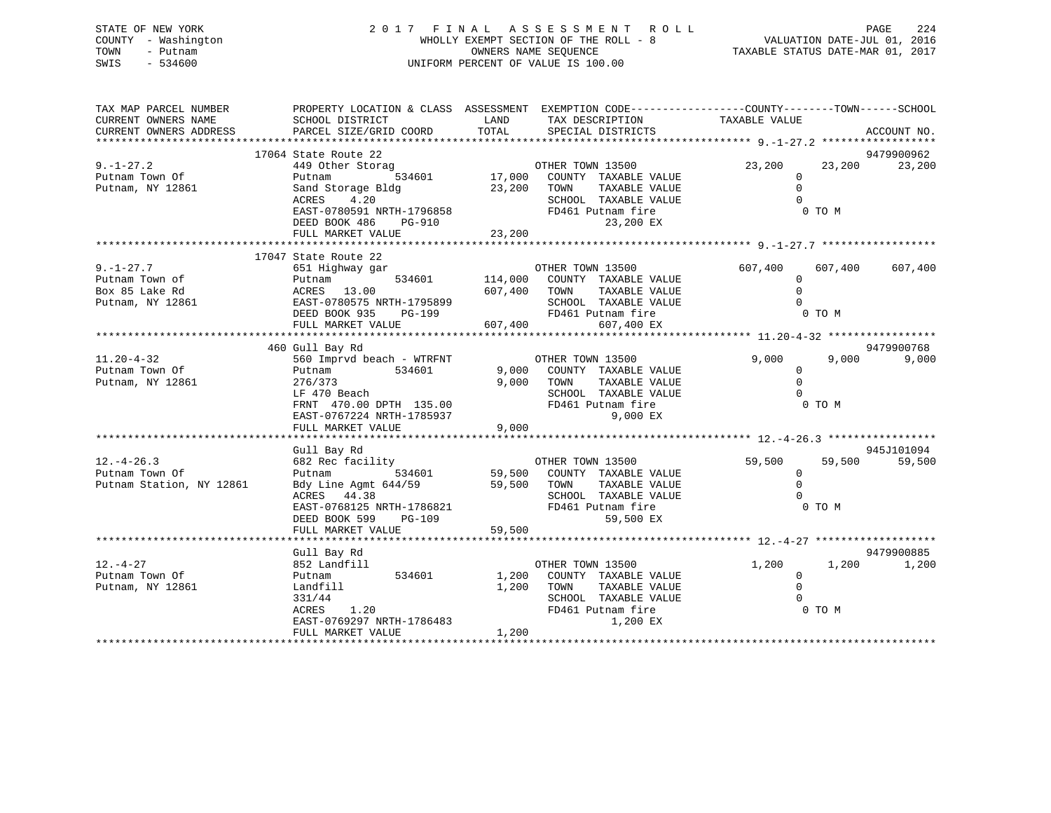STATE OF NEW YORK 2 0 1 7 F I N A L A S S E S S M E N T R O L L PAGE 224 COUNTY - Washington WHOLLY EXEMPT SECTION OF THE ROLL - 8 VALUATION DATE-JUL 01, 2016 TOWN - Putnam OWNERS NAME SEQUENCE TAXABLE STATUS DATE-MAR 01, 2017 SWIS - 534600 UNIFORM PERCENT OF VALUE IS 100.00

| TAX MAP PARCEL NUMBER<br>CURRENT OWNERS NAME                   | SCHOOL DISTRICT                                                                                                                                                                                                                                                                                                                                                                                                                                                 |                | PROPERTY LOCATION & CLASS ASSESSMENT EXEMPTION CODE---------------COUNTY-------TOWN-----SCHOOL<br>LAND TAX DESCRIPTION     | TAXABLE VALUE                               |                  |             |
|----------------------------------------------------------------|-----------------------------------------------------------------------------------------------------------------------------------------------------------------------------------------------------------------------------------------------------------------------------------------------------------------------------------------------------------------------------------------------------------------------------------------------------------------|----------------|----------------------------------------------------------------------------------------------------------------------------|---------------------------------------------|------------------|-------------|
|                                                                |                                                                                                                                                                                                                                                                                                                                                                                                                                                                 |                |                                                                                                                            |                                             |                  |             |
|                                                                | 17064 State Route 22                                                                                                                                                                                                                                                                                                                                                                                                                                            |                |                                                                                                                            |                                             |                  | 9479900962  |
| $9. - 1 - 27.2$<br>Putnam Town Of<br>Putnam, NY 12861          | 449 Other Storag<br>Putnam<br>Sand Storage Bldg<br>ACRES<br>4.20<br>EAST-0780591 NRTH-1796858<br>DEED BOOK 486 PG-910<br>FULL MARKET VALUE 23,200                                                                                                                                                                                                                                                                                                               | 23,200 TOWN    | TAXABLE VALUE<br>SCHOOL TAXABLE VALUE<br>FD461 Putnam fire<br>23,200 EX                                                    | 23,200<br>$\Omega$<br>$\Omega$<br>$\cap$    | 23,200<br>0 TO M | 23,200      |
|                                                                | 17047 State Route 22                                                                                                                                                                                                                                                                                                                                                                                                                                            |                |                                                                                                                            |                                             |                  |             |
| $9. - 1 - 27.7$                                                | $\begin{array}{lllllllllll} \text{Putnam} & \text{Down of} & \text{Dutnam} & \text{Dutnam} & \text{Dutnam} & \text{Dutnam} & \text{Dutham} & \text{Dutham} & \text{Dutham} & \text{Dutham} & \text{Dutham} & \text{Dutham} & \text{Dutham} & \text{Dutham} & \text{Dutham} & \text{Dutham} & \text{Dutham} & \text{Dutham} & \text{Dutham} & \text{Dutham} & \text{Dutham} & \text{Dutham} & \text{Dutham} & \text{Dutham} & \text{Dutham} & \text{Dutham} & \$ |                |                                                                                                                            | 607,400                                     | 607,400 607,400  |             |
|                                                                | 460 Gull Bay Rd                                                                                                                                                                                                                                                                                                                                                                                                                                                 |                |                                                                                                                            |                                             |                  | 9479900768  |
| $11.20 - 4 - 32$<br>Putnam Town Of<br>Putnam, NY 12861         | 560 Imprvd beach - WTRFNT COTHER TOWN 13500<br>Putnam<br>534601<br>276/373<br>LF 470 Beach<br>LF 470 Beach<br>FRNT 470.00 DPTH 135.00 FRNT 470.00 DPTH 135.00<br>EAST-0767224 NRTH-1785937                                                                                                                                                                                                                                                                      |                | 9,000 COUNTY TAXABLE VALUE<br>9,000 TOWN<br>TAXABLE VALUE<br>SCHOOL TAXABLE VALUE<br>9,000 EX                              | 9,000<br>$\mathbf{0}$<br>$\Omega$<br>$\cap$ | 9,000<br>0 TO M  | 9,000       |
|                                                                | Gull Bay Rd                                                                                                                                                                                                                                                                                                                                                                                                                                                     |                |                                                                                                                            |                                             |                  | 945J101094  |
| $12. - 4 - 26.3$<br>Putnam Town Of<br>Putnam Station, NY 12861 | 682 Rec facility<br>Putnam 534601 59,500 COUNTY TAXABLE VALUE<br>Bdy Line Agmt 644/59<br>ACRES 44.38<br>ACRES 44.38<br>EAST-0768125 NRTH-1786821<br>DEED BOOK 599 PG-109<br>FULL MARKET VALUE 59,500<br>FULL MARKET VALUE 59,500                                                                                                                                                                                                                                |                | TAXABLE VALUE<br>SCHOOL TAXABLE VALUE<br>59,500 EX                                                                         | 59,500<br>$\Omega$<br>$\Omega$              | 59,500<br>0 TO M | 59,500      |
|                                                                | Gull Bay Rd                                                                                                                                                                                                                                                                                                                                                                                                                                                     |                |                                                                                                                            |                                             |                  | 9479900885  |
| $12. - 4 - 27$<br>Putnam Town Of<br>Putnam, NY 12861           | 852 Landfill<br>534601 1,200<br>Putnam<br>Landfill<br>331/44<br>ACRES 1.20<br>EAST-0769297 NRTH-1786483<br>FULL MARKET VALUE                                                                                                                                                                                                                                                                                                                                    | 1,200<br>1,200 | OTHER TOWN 13500<br>COUNTY TAXABLE VALUE<br>TOWN<br>TAXABLE VALUE<br>SCHOOL TAXABLE VALUE<br>FD461 Putnam fire<br>1,200 EX | 1,200<br>$\Omega$<br>$\Omega$               | 0 TO M           | 1,200 1,200 |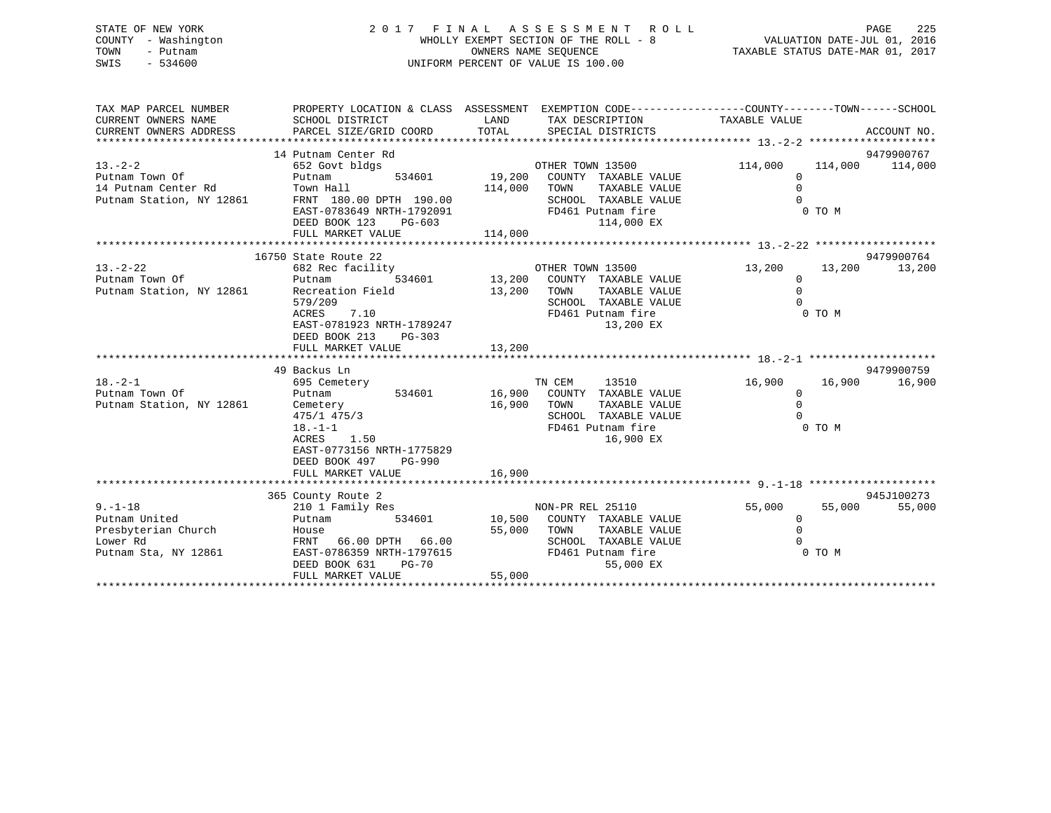# STATE OF NEW YORK 2 0 1 7 F I N A L A S S E S S M E N T R O L L PAGE 225 COUNTY - Washington WHOLLY EXEMPT SECTION OF THE ROLL - 8 VALUATION DATE-JUL 01, 2016 TOWN - Putnam OWNERS NAME SEQUENCE TAXABLE STATUS DATE-MAR 01, 2017 SWIS - 534600 UNIFORM PERCENT OF VALUE IS 100.00

| TAX MAP PARCEL NUMBER<br>CURRENT OWNERS NAME<br>CURRENT OWNERS ADDRESS | PROPERTY LOCATION & CLASS ASSESSMENT EXEMPTION CODE---------------COUNTY-------TOWN-----SCHOOL<br>SCHOOL DISTRICT | LAND        | TAX DESCRIPTION                    | TAXABLE VALUE  |        |                 |
|------------------------------------------------------------------------|-------------------------------------------------------------------------------------------------------------------|-------------|------------------------------------|----------------|--------|-----------------|
|                                                                        |                                                                                                                   |             |                                    |                |        |                 |
|                                                                        | 14 Putnam Center Rd                                                                                               |             |                                    |                |        | 9479900767      |
| $13. - 2 - 2$                                                          | 652 Govt bldgs                                                                                                    |             | OTHER TOWN 13500                   | 114,000        |        | 114,000 114,000 |
| Putnam Town Of                                                         | Putnam                                                                                                            |             | 534601 19,200 COUNTY TAXABLE VALUE | $\Omega$       |        |                 |
| 14 Putnam Center Rd                                                    | Town Hall                                                                                                         | 114,000     | TOWN<br>TAXABLE VALUE              | $\Omega$       |        |                 |
| Putnam Station, NY 12861                                               | FRNT 180.00 DPTH 190.00                                                                                           |             | SCHOOL TAXABLE VALUE               | $\Omega$       |        |                 |
|                                                                        | EAST-0783649 NRTH-1792091                                                                                         |             | FD461 Putnam fire                  |                | 0 TO M |                 |
|                                                                        | DEED BOOK 123<br>PG-603                                                                                           |             | 114,000 EX                         |                |        |                 |
|                                                                        | FULL MARKET VALUE                                                                                                 | 114,000     |                                    |                |        |                 |
|                                                                        | 16750 State Route 22                                                                                              |             |                                    |                |        | 9479900764      |
| $13 - 2 - 22$                                                          | 682 Rec facility                                                                                                  |             | OTHER TOWN 13500                   | 13,200         | 13,200 | 13,200          |
| Putnam Town Of                                                         | Putnam                                                                                                            |             | 534601 13,200 COUNTY TAXABLE VALUE | $\mathbf{0}$   |        |                 |
| Putnam Station, NY 12861                                               | Recreation Field                                                                                                  | 13,200 TOWN | TAXABLE VALUE                      | $\mathbf 0$    |        |                 |
|                                                                        | 579/209                                                                                                           |             | SCHOOL TAXABLE VALUE               | $\Omega$       |        |                 |
|                                                                        | 7.10<br>ACRES                                                                                                     |             | FD461 Putnam fire                  |                | 0 TO M |                 |
|                                                                        | EAST-0781923 NRTH-1789247                                                                                         |             | 13,200 EX                          |                |        |                 |
|                                                                        | DEED BOOK 213<br>PG-303                                                                                           |             |                                    |                |        |                 |
|                                                                        | FULL MARKET VALUE                                                                                                 | 13,200      |                                    |                |        |                 |
|                                                                        |                                                                                                                   |             |                                    |                |        |                 |
|                                                                        | 49 Backus Ln                                                                                                      |             |                                    |                |        | 9479900759      |
| $18. - 2 - 1$                                                          | 695 Cemetery                                                                                                      |             | TN CEM<br>13510                    | 16,900         | 16,900 | 16,900          |
| Putnam Town Of                                                         | 534601<br>Putnam                                                                                                  |             | 16,900 COUNTY TAXABLE VALUE        | $\mathbf 0$    |        |                 |
| Putnam Station, NY 12861                                               | Cemetery                                                                                                          | 16,900 TOWN | TAXABLE VALUE                      | $\Omega$       |        |                 |
|                                                                        | 475/1 475/3                                                                                                       |             | SCHOOL TAXABLE VALUE               | $\Omega$       |        |                 |
|                                                                        | $18. - 1 - 1$                                                                                                     |             | FD461 Putnam fire                  |                | 0 TO M |                 |
|                                                                        | 1.50<br>ACRES                                                                                                     |             | 16,900 EX                          |                |        |                 |
|                                                                        | EAST-0773156 NRTH-1775829                                                                                         |             |                                    |                |        |                 |
|                                                                        | DEED BOOK 497<br>PG-990<br>FULL MARKET VALUE                                                                      | 16,900      |                                    |                |        |                 |
|                                                                        |                                                                                                                   |             |                                    |                |        |                 |
|                                                                        | 365 County Route 2                                                                                                |             |                                    |                |        | 945J100273      |
| $9. - 1 - 18$                                                          | 210 1 Family Res                                                                                                  |             | NON-PR REL 25110                   | 55,000         | 55,000 | 55,000          |
| Putnam United                                                          | 534601<br>Putnam                                                                                                  |             | 10,500 COUNTY TAXABLE VALUE        | $\overline{0}$ |        |                 |
| Presbyterian Church                                                    | House                                                                                                             | 55,000      | TOWN<br>TAXABLE VALUE              | $\mathbf 0$    |        |                 |
| Lower Rd                                                               | FRNT 66.00 DPTH 66.00                                                                                             |             | SCHOOL TAXABLE VALUE               | $\cap$         |        |                 |
| Putnam Sta, NY 12861                                                   | EAST-0786359 NRTH-1797615                                                                                         |             | FD461 Putnam fire                  |                | 0 TO M |                 |
|                                                                        | DEED BOOK 631<br>$PG-70$                                                                                          |             | 55,000 EX                          |                |        |                 |
|                                                                        | FULL MARKET VALUE                                                                                                 | 55,000      |                                    |                |        |                 |
|                                                                        |                                                                                                                   |             |                                    |                |        |                 |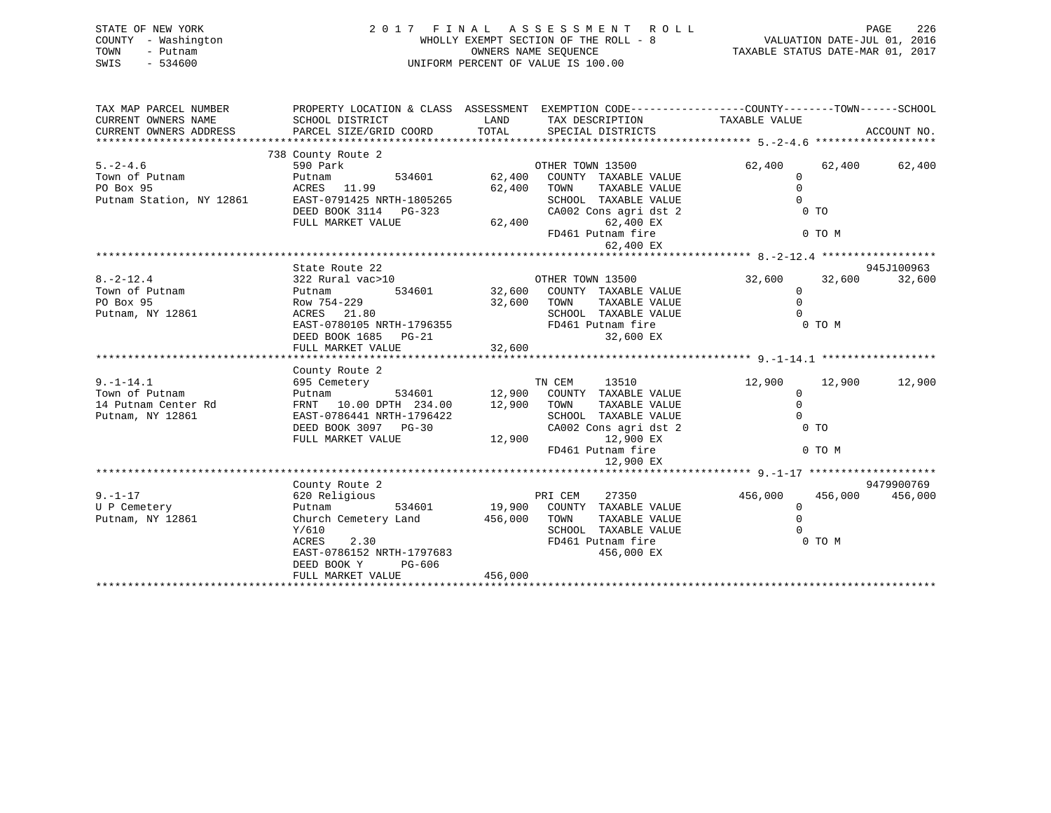| STATE OF NEW YORK<br>- Washington<br>COUNTY<br>- Putnam<br>TOWN<br>$-534600$<br>SWIS |                                                                                              |                             | 2017 FINAL ASSESSMENT ROLL<br>WHOLLY EXEMPT SECTION OF THE ROLL - 8<br>OWNERS NAME SEOUENCE<br>UNIFORM PERCENT OF VALUE IS 100.00 |               | 226<br>PAGE<br>VALUATION DATE-JUL 01, 2016<br>TAXABLE STATUS DATE-MAR 01, 2017 |
|--------------------------------------------------------------------------------------|----------------------------------------------------------------------------------------------|-----------------------------|-----------------------------------------------------------------------------------------------------------------------------------|---------------|--------------------------------------------------------------------------------|
| TAX MAP PARCEL NUMBER<br>CURRENT OWNERS NAME<br>CURRENT OWNERS ADDRESS               | PROPERTY LOCATION & CLASS<br>SCHOOL DISTRICT<br>PARCEL SIZE/GRID COORD<br>738 County Route 2 | ASSESSMENT<br>LAND<br>TOTAL | EXEMPTION CODE-----------------COUNTY-------TOWN------SCHOOL<br>TAX DESCRIPTION<br>SPECIAL DISTRICTS                              | TAXABLE VALUE | ACCOUNT NO.                                                                    |

| $5. - 2 - 4.6$           | 590 Park                  | OTHER TOWN 13500                 | 62,400<br>62,400   | 62,400     |
|--------------------------|---------------------------|----------------------------------|--------------------|------------|
| Town of Putnam           | Putnam<br>534601          | COUNTY TAXABLE VALUE<br>62,400   | <sup>0</sup>       |            |
| PO Box 95                | ACRES 11.99               | 62,400<br>TOWN<br>TAXABLE VALUE  |                    |            |
| Putnam Station, NY 12861 | EAST-0791425 NRTH-1805265 | SCHOOL TAXABLE VALUE             |                    |            |
|                          | DEED BOOK 3114 PG-323     | CA002 Cons agri dst 2            | 0 <sub>T</sub>     |            |
|                          | FULL MARKET VALUE         | 62,400<br>62,400 EX              |                    |            |
|                          |                           | FD461 Putnam fire                | 0 TO M             |            |
|                          |                           | 62,400 EX                        |                    |            |
|                          |                           |                                  |                    |            |
|                          | State Route 22            |                                  |                    | 945J100963 |
| $8. -2 - 12.4$           | 322 Rural vac>10          | OTHER TOWN 13500                 | 32,600<br>32,600   | 32,600     |
| Town of Putnam           | 534601<br>Putnam          | 32,600<br>COUNTY TAXABLE VALUE   | $\Omega$           |            |
| PO Box 95                | Row 754-229               | TOWN<br>32,600<br>TAXABLE VALUE  |                    |            |
| Putnam, NY 12861         | ACRES 21.80               | SCHOOL TAXABLE VALUE             |                    |            |
|                          | EAST-0780105 NRTH-1796355 | FD461 Putnam fire                | 0 TO M             |            |
|                          | DEED BOOK 1685 PG-21      | 32,600 EX                        |                    |            |
|                          | FULL MARKET VALUE         | 32,600                           |                    |            |
|                          |                           |                                  |                    |            |
|                          | County Route 2            |                                  |                    |            |
| $9. - 1 - 14.1$          | 695 Cemetery              | TN CEM<br>13510                  | 12,900<br>12,900   | 12,900     |
| Town of Putnam           | 534601<br>Putnam          | 12,900<br>COUNTY TAXABLE VALUE   | $\Omega$           |            |
| 14 Putnam Center Rd      | FRNT 10.00 DPTH 234.00    | 12,900<br>TOWN<br>TAXABLE VALUE  | $\Omega$           |            |
| Putnam, NY 12861         | EAST-0786441 NRTH-1796422 | SCHOOL TAXABLE VALUE             | $\cap$             |            |
|                          | DEED BOOK 3097 PG-30      | CA002 Cons agri dst 2            | 0 <sub>T</sub>     |            |
|                          | FULL MARKET VALUE         | 12,900<br>12,900 EX              |                    |            |
|                          |                           | FD461 Putnam fire                | 0 TO M             |            |
|                          |                           | 12,900 EX                        |                    |            |
|                          |                           |                                  |                    |            |
|                          | County Route 2            |                                  |                    | 9479900769 |
| $9. - 1 - 17$            | 620 Religious             | PRI CEM<br>27350                 | 456,000<br>456,000 | 456,000    |
| U P Cemetery             | 534601<br>Putnam          | 19,900<br>COUNTY TAXABLE VALUE   | $\Omega$           |            |
| Putnam, NY 12861         | Church Cemetery Land      | TOWN<br>456,000<br>TAXABLE VALUE |                    |            |
|                          | Y/610                     | SCHOOL TAXABLE VALUE             |                    |            |
|                          | ACRES<br>2.30             | FD461 Putnam fire                | 0 TO M             |            |
|                          | EAST-0786152 NRTH-1797683 | 456,000 EX                       |                    |            |
|                          | DEED BOOK Y<br>PG-606     |                                  |                    |            |
|                          | FULL MARKET VALUE         | 456,000                          |                    |            |
|                          |                           |                                  |                    |            |
|                          |                           |                                  |                    |            |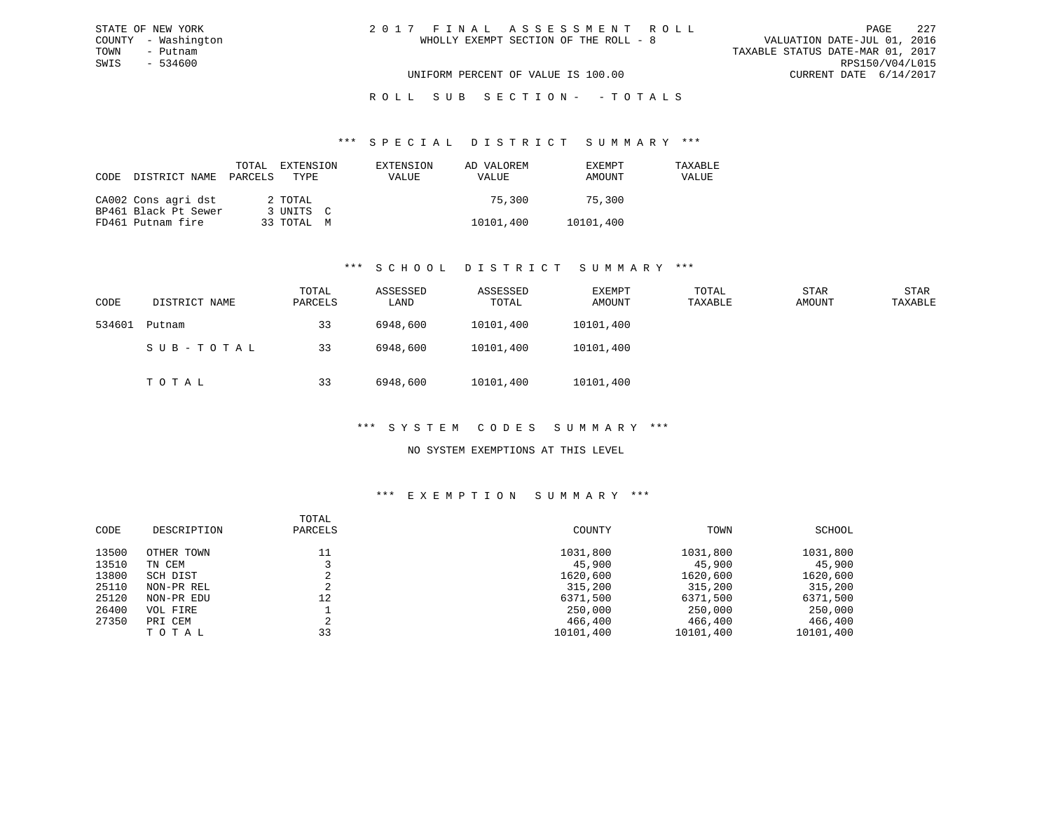# R O L L S U B S E C T I O N - - T O T A L S

#### \*\*\* S P E C I A L D I S T R I C T S U M M A R Y \*\*\*

| CODE | DISTRICT NAME PARCELS | TOTAL | EXTENSION<br>TYPE | EXTENSION<br><b>VALUE</b> | AD VALOREM<br>VALUE | EXEMPT<br>AMOUNT | TAXABLE<br>VALUE |
|------|-----------------------|-------|-------------------|---------------------------|---------------------|------------------|------------------|
|      | CA002 Cons agri dst   |       | 2 TOTAL           |                           | 75.300              | 75.300           |                  |
|      | BP461 Black Pt Sewer  |       | 3 UNITS C         |                           |                     |                  |                  |
|      | FD461 Putnam fire     |       | 33 TOTAL M        |                           | 10101,400           | 10101,400        |                  |

### \*\*\* S C H O O L D I S T R I C T S U M M A R Y \*\*\*

| CODE   | DISTRICT NAME | TOTAL<br>PARCELS | ASSESSED<br>LAND | ASSESSED<br>TOTAL | EXEMPT<br>AMOUNT | TOTAL<br>TAXABLE | <b>STAR</b><br>AMOUNT | <b>STAR</b><br>TAXABLE |
|--------|---------------|------------------|------------------|-------------------|------------------|------------------|-----------------------|------------------------|
| 534601 | Putnam        | 33               | 6948,600         | 10101,400         | 10101,400        |                  |                       |                        |
|        | SUB-TOTAL     | 33               | 6948,600         | 10101,400         | 10101,400        |                  |                       |                        |
|        | ТОТАЬ         | 33               | 6948,600         | 10101,400         | 10101,400        |                  |                       |                        |

# \*\*\* S Y S T E M C O D E S S U M M A R Y \*\*\*

## NO SYSTEM EXEMPTIONS AT THIS LEVEL

| CODE  | DESCRIPTION | TOTAL<br>PARCELS | COUNTY    | TOWN      | SCHOOL    |
|-------|-------------|------------------|-----------|-----------|-----------|
| 13500 | OTHER TOWN  | 11               | 1031,800  | 1031,800  | 1031,800  |
| 13510 | TN CEM      |                  | 45,900    | 45,900    | 45,900    |
| 13800 | SCH DIST    |                  | 1620,600  | 1620,600  | 1620,600  |
| 25110 | NON-PR REL  |                  | 315,200   | 315,200   | 315,200   |
| 25120 | NON-PR EDU  | 12               | 6371,500  | 6371,500  | 6371,500  |
| 26400 | VOL FIRE    |                  | 250,000   | 250,000   | 250,000   |
| 27350 | PRI CEM     |                  | 466,400   | 466,400   | 466,400   |
|       | TOTAL       | 33               | 10101,400 | 10101,400 | 10101,400 |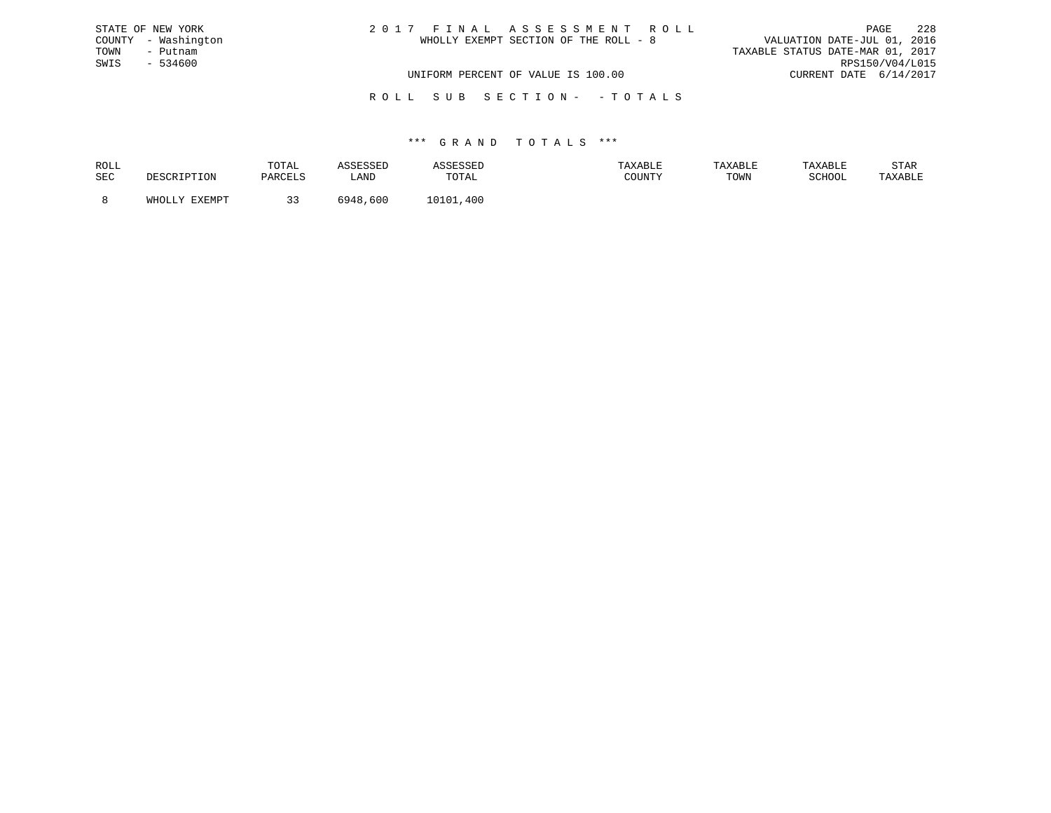| STATE OF NEW YORK   | 2017 FINAL ASSESSMENT ROLL            | 2.28<br>PAGE                     |
|---------------------|---------------------------------------|----------------------------------|
| COUNTY - Washington | WHOLLY EXEMPT SECTION OF THE ROLL - 8 | VALUATION DATE-JUL 01, 2016      |
| TOWN<br>– Putnam    |                                       | TAXABLE STATUS DATE-MAR 01, 2017 |
| SWIS<br>- 534600    |                                       | RPS150/V04/L015                  |
|                     | UNIFORM PERCENT OF VALUE IS 100.00    | CURRENT DATE 6/14/2017           |
|                     |                                       |                                  |

### R O L L S U B S E C T I O N - - T O T A L S

| ROLL |        | TOTAL         |              |       | XABLF | TAXABL | `XABL∟ | STAR    |
|------|--------|---------------|--------------|-------|-------|--------|--------|---------|
| SEC  |        | <b>DARCET</b> | LAND         | TOTAL |       | TOWN   | SCHOOL | TAXABLE |
|      | FYFMDT |               | 600<br>:04 Q | 40C   |       |        |        |         |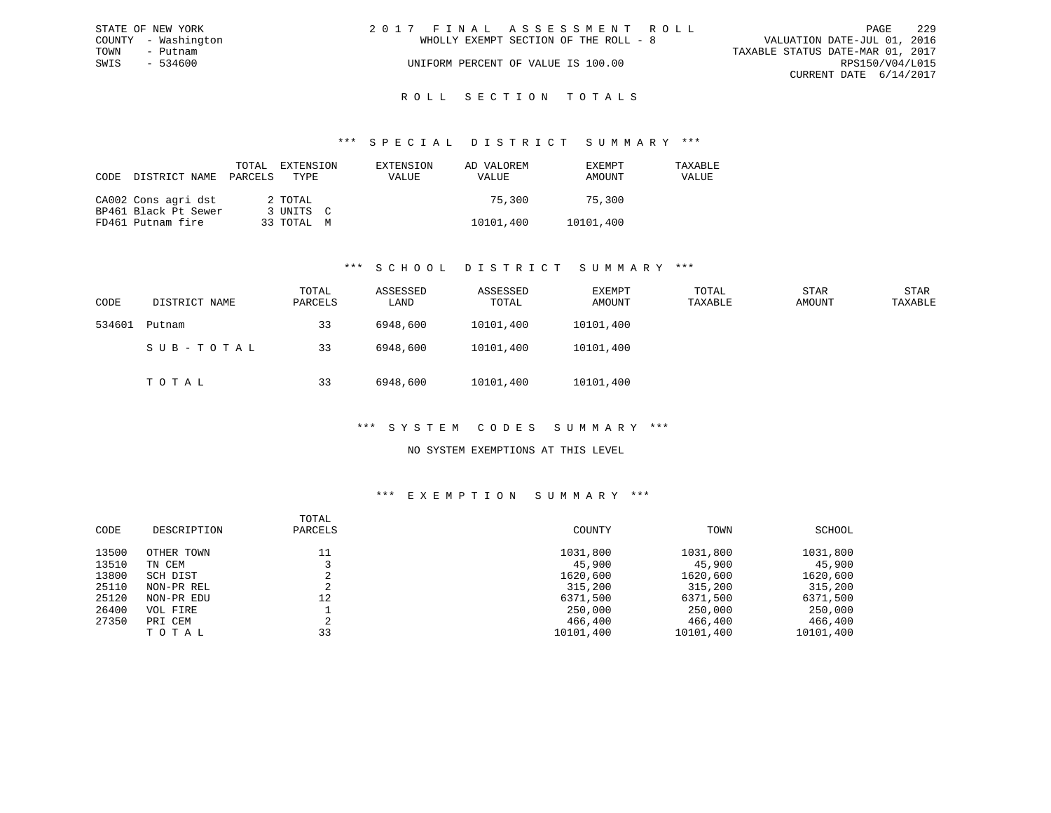|      | STATE OF NEW YORK   | 2017 FINAL ASSESSMENT ROLL |                                       |                                  |                        | PAGE | 229 |
|------|---------------------|----------------------------|---------------------------------------|----------------------------------|------------------------|------|-----|
|      | COUNTY - Washington |                            | WHOLLY EXEMPT SECTION OF THE ROLL - 8 | VALUATION DATE-JUL 01, 2016      |                        |      |     |
| TOWN | - Putnam            |                            |                                       | TAXABLE STATUS DATE-MAR 01, 2017 |                        |      |     |
| SWIS | $-534600$           |                            | UNIFORM PERCENT OF VALUE IS 100.00    |                                  | RPS150/V04/L015        |      |     |
|      |                     |                            |                                       |                                  | CURRENT DATE 6/14/2017 |      |     |
|      |                     |                            |                                       |                                  |                        |      |     |

# ROLL SECTION TOTALS

#### \*\*\* S P E C I A L D I S T R I C T S U M M A R Y \*\*\*

| CODE | DISTRICT NAME        | TOTAL<br>PARCELS | EXTENSION<br>TYPE | EXTENSION<br>VALUE | AD VALOREM<br>VALUE | EXEMPT<br>AMOUNT | TAXABLE<br>VALUE |
|------|----------------------|------------------|-------------------|--------------------|---------------------|------------------|------------------|
|      | CA002 Cons agri dst  |                  | 2 TOTAL           |                    | 75,300              | 75.300           |                  |
|      | BP461 Black Pt Sewer |                  | 3 UNITS C         |                    |                     |                  |                  |
|      | FD461 Putnam fire    |                  | 33 TOTAL M        |                    | 10101,400           | 10101,400        |                  |

### \*\*\* S C H O O L D I S T R I C T S U M M A R Y \*\*\*

| CODE   | DISTRICT NAME | TOTAL<br>PARCELS | ASSESSED<br>LAND | ASSESSED<br>TOTAL | EXEMPT<br>AMOUNT | TOTAL<br>TAXABLE | STAR<br>AMOUNT | STAR<br>TAXABLE |
|--------|---------------|------------------|------------------|-------------------|------------------|------------------|----------------|-----------------|
| 534601 | Putnam        | 33               | 6948,600         | 10101,400         | 10101,400        |                  |                |                 |
|        | SUB-TOTAL     | 33               | 6948,600         | 10101,400         | 10101,400        |                  |                |                 |
|        | TOTAL         | 33               | 6948,600         | 10101,400         | 10101,400        |                  |                |                 |

### \*\*\* S Y S T E M C O D E S S U M M A R Y \*\*\*

### NO SYSTEM EXEMPTIONS AT THIS LEVEL

| CODE  | DESCRIPTION | TOTAL<br>PARCELS | COUNTY    | TOWN      | SCHOOL    |
|-------|-------------|------------------|-----------|-----------|-----------|
| 13500 | OTHER TOWN  | 11               | 1031,800  | 1031,800  | 1031,800  |
| 13510 | TN CEM      |                  | 45,900    | 45,900    | 45,900    |
| 13800 | SCH DIST    |                  | 1620,600  | 1620,600  | 1620,600  |
| 25110 | NON-PR REL  | ◠<br>∠           | 315,200   | 315,200   | 315,200   |
| 25120 | NON-PR EDU  | 12               | 6371,500  | 6371,500  | 6371,500  |
| 26400 | VOL FIRE    |                  | 250,000   | 250,000   | 250,000   |
| 27350 | PRI CEM     | C.<br>z.         | 466,400   | 466,400   | 466,400   |
|       | TOTAL       | 33               | 10101,400 | 10101,400 | 10101,400 |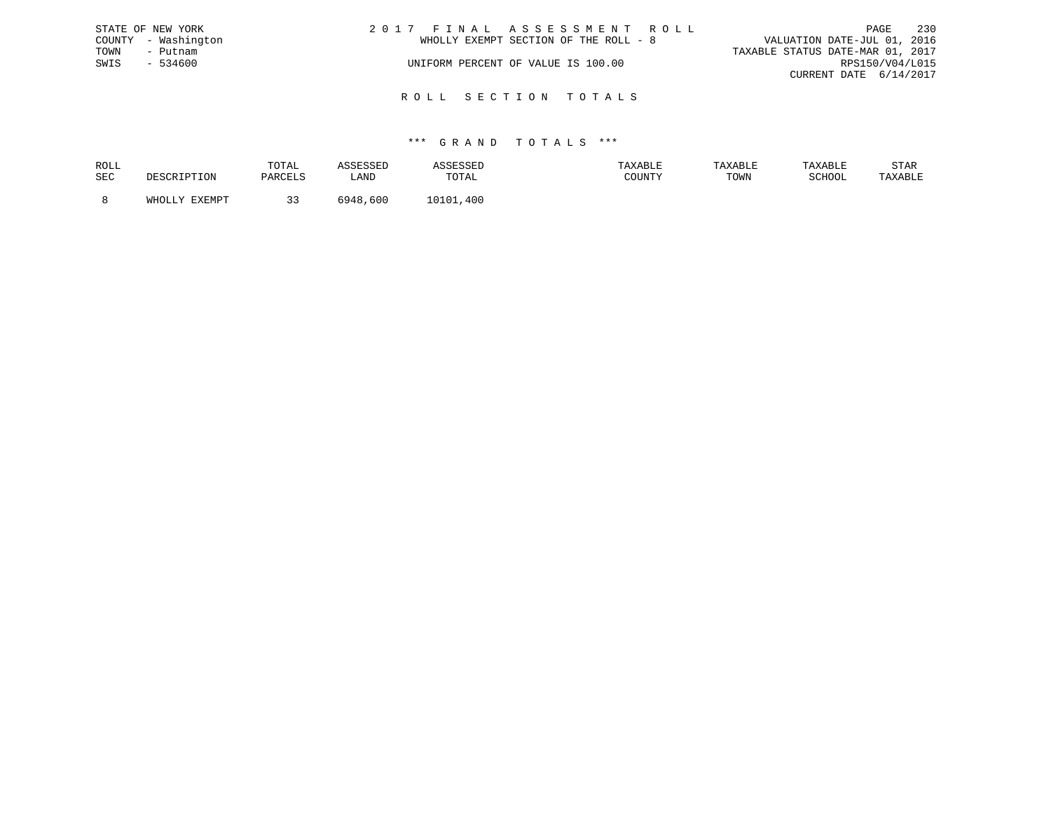|      | STATE OF NEW YORK   | 2017 FINAL ASSESSMENT ROLL            | PAGE                             | - 230 |
|------|---------------------|---------------------------------------|----------------------------------|-------|
|      | COUNTY - Washington | WHOLLY EXEMPT SECTION OF THE ROLL - 8 | VALUATION DATE-JUL 01, 2016      |       |
| TOWN | - Putnam            |                                       | TAXABLE STATUS DATE-MAR 01, 2017 |       |
| SWIS | $-534600$           | UNIFORM PERCENT OF VALUE IS 100.00    | RPS150/V04/L015                  |       |
|      |                     |                                       | CURRENT DATE 6/14/2017           |       |
|      |                     |                                       |                                  |       |

R O L L S E C T I O N T O T A L S

| ROLL |                               | TOTAL          |             |                            | TAXABLE                         | <b>TAXABL.</b> |        | STAR    |
|------|-------------------------------|----------------|-------------|----------------------------|---------------------------------|----------------|--------|---------|
| SEC  | ים ה                          | <b>DARCELS</b> | _AND        | TOTAL                      | $C$ $C$ $T$ $T$ $T$ $T$ $T$ $T$ | TOWN           | SCHOOL | TAXABLE |
|      | FYFMDT<br>$5.777 \wedge 7.77$ |                | 600<br>6948 | .400<br><b>101</b><br>. 01 |                                 |                |        |         |
|      |                               | - -            |             |                            |                                 |                |        |         |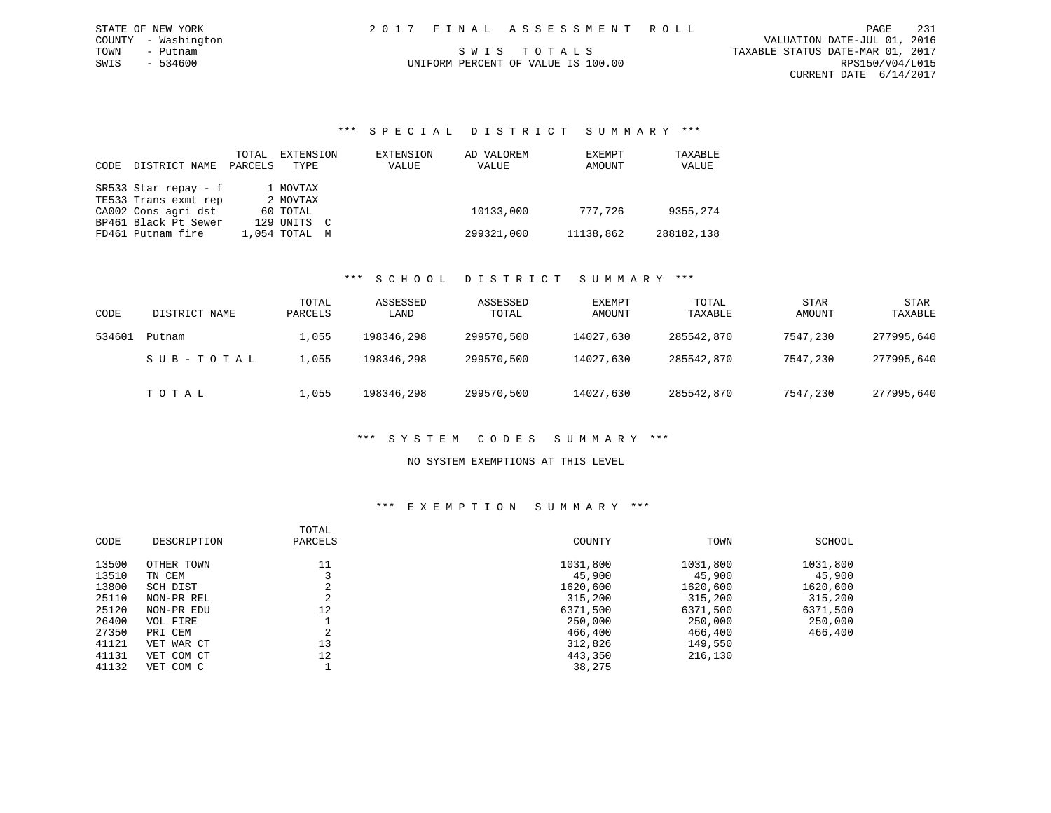|  |  |  |  | 2017 FINAL ASSESSMENT ROLL         |  |  |  |  |  |  |  |                                  |  |  | PAGE. | 231                         |
|--|--|--|--|------------------------------------|--|--|--|--|--|--|--|----------------------------------|--|--|-------|-----------------------------|
|  |  |  |  |                                    |  |  |  |  |  |  |  |                                  |  |  |       | VALUATION DATE-JUL 01, 2016 |
|  |  |  |  | SWIS TOTALS                        |  |  |  |  |  |  |  | TAXABLE STATUS DATE-MAR 01, 2017 |  |  |       |                             |
|  |  |  |  | UNIFORM PERCENT OF VALUE IS 100.00 |  |  |  |  |  |  |  |                                  |  |  |       | RPS150/V04/L015             |
|  |  |  |  |                                    |  |  |  |  |  |  |  |                                  |  |  |       | CURRENT DATE 6/14/2017      |
|  |  |  |  |                                    |  |  |  |  |  |  |  |                                  |  |  |       |                             |

### \*\*\* S P E C I A L D I S T R I C T S U M M A R Y \*\*\*

| CODE | DISTRICT NAME        | TOTAL<br>PARCELS | EXTENSION<br>TYPE | EXTENSION<br>VALUE | AD VALOREM<br>VALUE | EXEMPT<br>AMOUNT | TAXABLE<br>VALUE |
|------|----------------------|------------------|-------------------|--------------------|---------------------|------------------|------------------|
|      | SR533 Star repay - f |                  | 1 MOVTAX          |                    |                     |                  |                  |
|      | TE533 Trans exmt rep |                  | 2 MOVTAX          |                    |                     |                  |                  |
|      | CA002 Cons agri dst  |                  | 60 TOTAL          |                    | 10133,000           | 777.726          | 9355,274         |
|      | BP461 Black Pt Sewer |                  | 129 UNITS C       |                    |                     |                  |                  |
|      | FD461 Putnam fire    |                  | 1,054 TOTAL M     |                    | 299321,000          | 11138,862        | 288182,138       |

STATE OF NEW YORK

COUNTY - Washington TOWN - Putnam  $SWIS$  - 534600

### \*\*\* S C H O O L D I S T R I C T S U M M A R Y \*\*\*

| CODE   | DISTRICT NAME | TOTAL<br>PARCELS | ASSESSED<br>LAND | ASSESSED<br>TOTAL | EXEMPT<br>AMOUNT | TOTAL<br>TAXABLE | <b>STAR</b><br>AMOUNT | <b>STAR</b><br>TAXABLE |
|--------|---------------|------------------|------------------|-------------------|------------------|------------------|-----------------------|------------------------|
| 534601 | Putnam        | 1,055            | 198346,298       | 299570,500        | 14027,630        | 285542,870       | 7547,230              | 277995,640             |
|        | SUB-TOTAL     | 1,055            | 198346,298       | 299570,500        | 14027,630        | 285542,870       | 7547,230              | 277995,640             |
|        | TOTAL         | 1,055            | 198346,298       | 299570,500        | 14027,630        | 285542,870       | 7547,230              | 277995,640             |

# \*\*\* S Y S T E M C O D E S S U M M A R Y \*\*\*

### NO SYSTEM EXEMPTIONS AT THIS LEVEL

|       |             | TOTAL        |          |          |          |
|-------|-------------|--------------|----------|----------|----------|
| CODE  | DESCRIPTION | PARCELS      | COUNTY   | TOWN     | SCHOOL   |
| 13500 | OTHER TOWN  |              | 1031,800 | 1031,800 | 1031,800 |
| 13510 | TN CEM      |              | 45,900   | 45,900   | 45,900   |
| 13800 | SCH DIST    |              | 1620,600 | 1620,600 | 1620,600 |
| 25110 | NON-PR REL  | z.           | 315,200  | 315,200  | 315,200  |
| 25120 | NON-PR EDU  | 12           | 6371,500 | 6371,500 | 6371,500 |
| 26400 | VOL FIRE    |              | 250,000  | 250,000  | 250,000  |
| 27350 | PRI CEM     | $\sim$<br>z. | 466,400  | 466,400  | 466,400  |
| 41121 | VET WAR CT  | 13           | 312,826  | 149,550  |          |
| 41131 | VET COM CT  | 12           | 443,350  | 216,130  |          |
| 41132 | VET COM C   |              | 38,275   |          |          |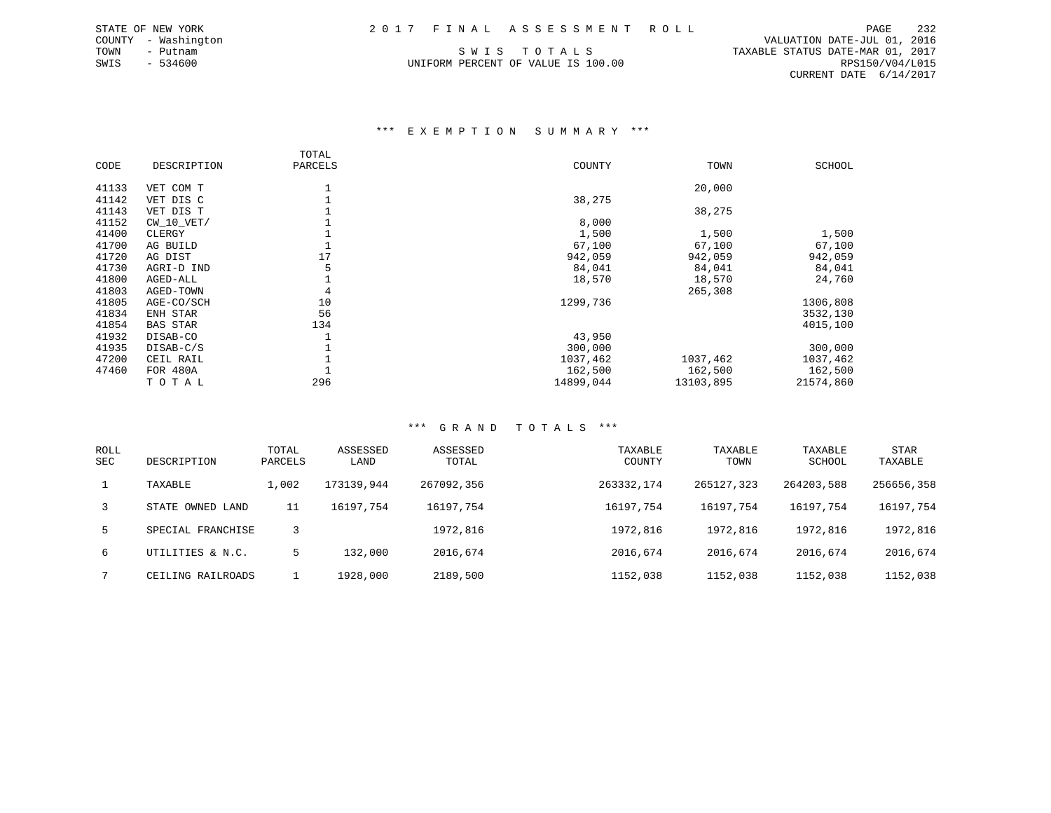COUNTY - Washington VALUATION DATE-JUL 01, 2016 TOWN - Putnam SWIS TOTALS TRANSBLE STATUS DATE-MAR 01, 2017 SWIS - 534600 UNIFORM PERCENT OF VALUE IS 100.00 RPS150/V04/L015 CURRENT DATE 6/14/2017

### \*\*\* E X E M P T I O N S U M M A R Y \*\*\*

|       |                 | TOTAL   |           |           |           |
|-------|-----------------|---------|-----------|-----------|-----------|
| CODE  | DESCRIPTION     | PARCELS | COUNTY    | TOWN      | SCHOOL    |
|       |                 |         |           |           |           |
| 41133 | VET COM T       |         |           | 20,000    |           |
| 41142 | VET DIS C       |         | 38,275    |           |           |
| 41143 | VET DIS T       |         |           | 38,275    |           |
| 41152 | $CW_10_VET/$    |         | 8,000     |           |           |
| 41400 | CLERGY          |         | 1,500     | 1,500     | 1,500     |
| 41700 | AG BUILD        |         | 67,100    | 67,100    | 67,100    |
| 41720 | AG DIST         | 17      | 942,059   | 942,059   | 942,059   |
| 41730 | AGRI-D IND      |         | 84,041    | 84,041    | 84,041    |
| 41800 | AGED-ALL        |         | 18,570    | 18,570    | 24,760    |
| 41803 | AGED-TOWN       | 4       |           | 265,308   |           |
| 41805 | AGE-CO/SCH      | 10      | 1299,736  |           | 1306,808  |
| 41834 | ENH STAR        | 56      |           |           | 3532,130  |
| 41854 | <b>BAS STAR</b> | 134     |           |           | 4015,100  |
| 41932 | DISAB-CO        |         | 43,950    |           |           |
| 41935 | DISAB-C/S       |         | 300,000   |           | 300,000   |
| 47200 | CEIL RAIL       |         | 1037,462  | 1037,462  | 1037,462  |
| 47460 | FOR 480A        |         | 162,500   | 162,500   | 162,500   |
|       | TOTAL           | 296     | 14899,044 | 13103,895 | 21574,860 |

| <b>ROLL</b><br>SEC | DESCRIPTION       | TOTAL<br>PARCELS | ASSESSED<br>LAND | ASSESSED<br>TOTAL | TAXABLE<br>COUNTY | TAXABLE<br>TOWN | TAXABLE<br>SCHOOL | <b>STAR</b><br>TAXABLE |
|--------------------|-------------------|------------------|------------------|-------------------|-------------------|-----------------|-------------------|------------------------|
|                    | TAXABLE           | 1,002            | 173139,944       | 267092,356        | 263332,174        | 265127,323      | 264203,588        | 256656,358             |
| 3                  | STATE OWNED LAND  | 11               | 16197,754        | 16197,754         | 16197,754         | 16197,754       | 16197,754         | 16197,754              |
| 5.                 | SPECIAL FRANCHISE |                  |                  | 1972,816          | 1972,816          | 1972,816        | 1972,816          | 1972,816               |
| 6                  | UTILITIES & N.C.  | 5                | 132,000          | 2016,674          | 2016,674          | 2016,674        | 2016,674          | 2016,674               |
|                    | CEILING RAILROADS |                  | 1928,000         | 2189,500          | 1152,038          | 1152,038        | 1152,038          | 1152,038               |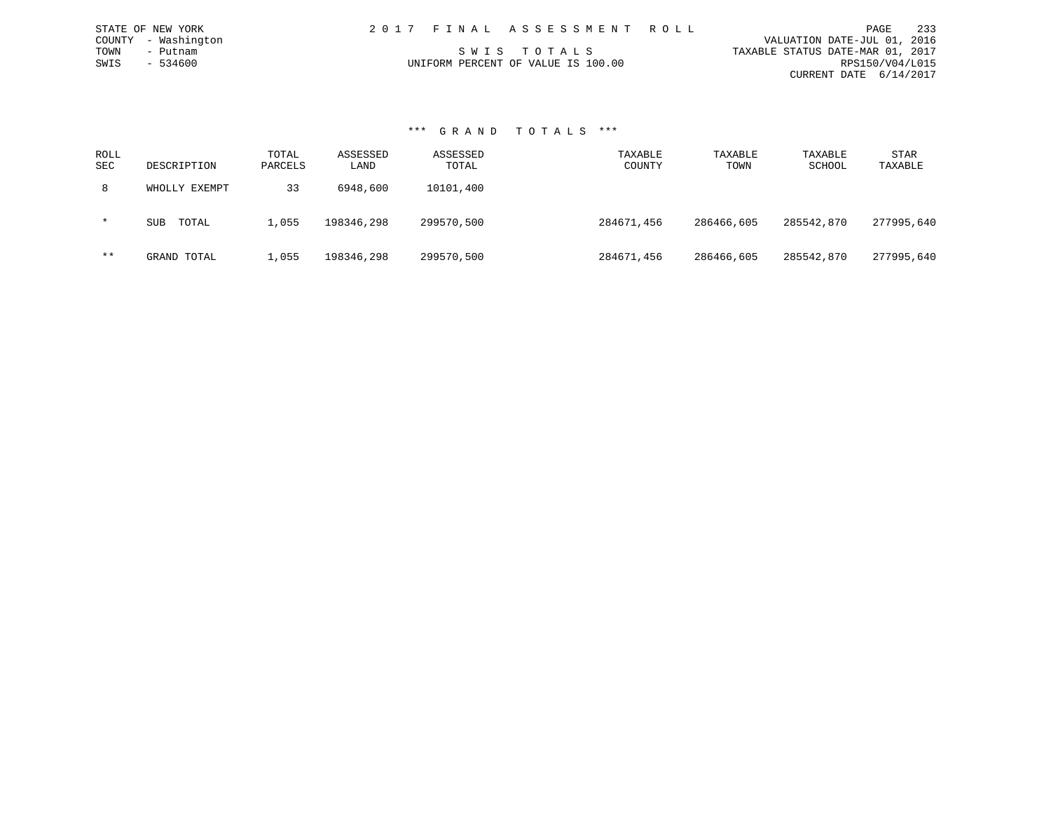| 2017 FINAL ASSESSMENT ROLL         | 233<br>PAGE                      |
|------------------------------------|----------------------------------|
|                                    | VALUATION DATE-JUL 01, 2016      |
| SWIS TOTALS                        | TAXABLE STATUS DATE-MAR 01, 2017 |
| UNIFORM PERCENT OF VALUE IS 100.00 | RPS150/V04/L015                  |
|                                    | CURRENT DATE 6/14/2017           |

### \*\*\* G R A N D T O T A L S \*\*\*

STATE OF NEW YORK COUNTY - Washington TOWN - Putnam  $SWIS$  - 534600

| ROLL<br><b>SEC</b> | DESCRIPTION         | TOTAL<br>PARCELS | ASSESSED<br>LAND | ASSESSED<br>TOTAL | TAXABLE<br>COUNTY | TAXABLE<br>TOWN | TAXABLE<br>SCHOOL | STAR<br>TAXABLE |
|--------------------|---------------------|------------------|------------------|-------------------|-------------------|-----------------|-------------------|-----------------|
| 8                  | WHOLLY EXEMPT       | 33               | 6948,600         | 10101,400         |                   |                 |                   |                 |
| $\star$            | TOTAL<br><b>SUB</b> | 1,055            | 198346,298       | 299570,500        | 284671,456        | 286466,605      | 285542,870        | 277995,640      |
| $***$              | GRAND TOTAL         | 1,055            | 198346,298       | 299570,500        | 284671,456        | 286466,605      | 285542,870        | 277995,640      |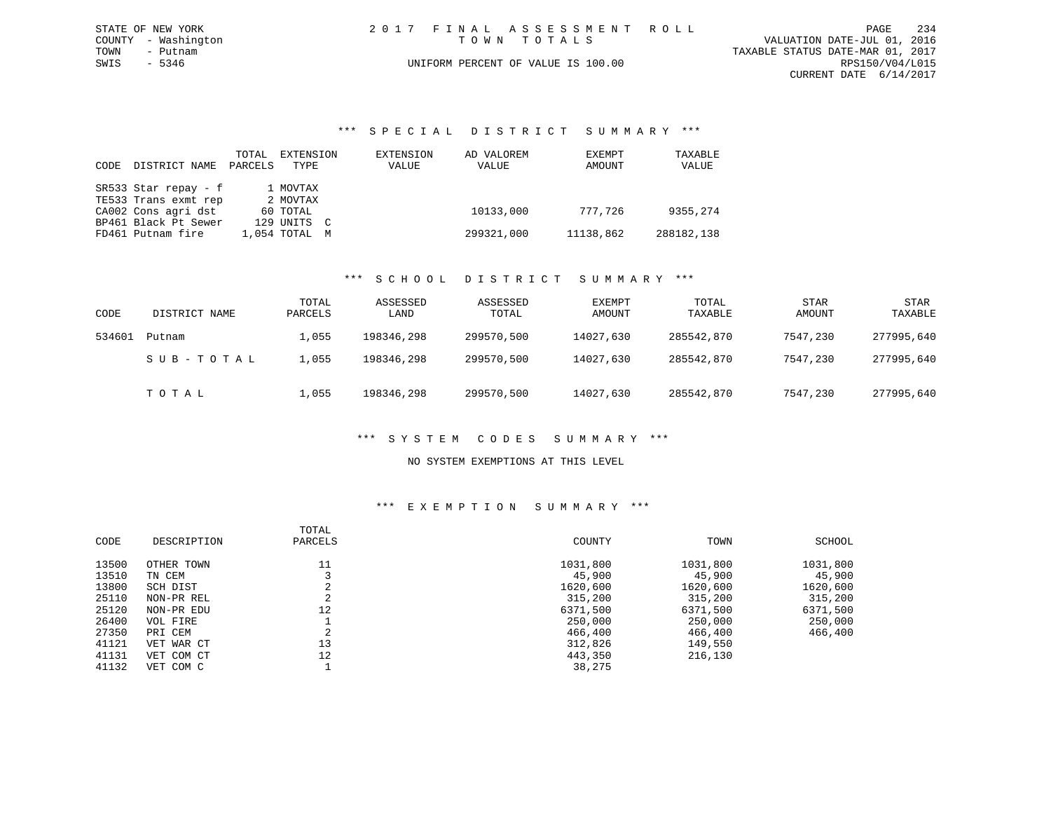|      | STATE OF NEW YORK   |  | 2017 FINAL ASSESSMENT ROLL         |                                  | PAGE            | 234 |
|------|---------------------|--|------------------------------------|----------------------------------|-----------------|-----|
|      | COUNTY - Washington |  | TOWN TOTALS                        | VALUATION DATE-JUL 01, 2016      |                 |     |
| TOWN | – Putnam            |  |                                    | TAXABLE STATUS DATE-MAR 01, 2017 |                 |     |
| SWIS | - 5346              |  | UNIFORM PERCENT OF VALUE IS 100.00 |                                  | RPS150/V04/L015 |     |
|      |                     |  |                                    | CURRENT DATE 6/14/2017           |                 |     |

### \*\*\* S P E C I A L D I S T R I C T S U M M A R Y \*\*\*

|      |                      | TOTAL   | EXTENSION     | EXTENSION | AD VALOREM | EXEMPT    | TAXABLE    |
|------|----------------------|---------|---------------|-----------|------------|-----------|------------|
| CODE | DISTRICT NAME        | PARCELS | TYPE          | VALUE     | VALUE      | AMOUNT    | VALUE      |
|      |                      |         |               |           |            |           |            |
|      | SR533 Star repay - f |         | 1 MOVTAX      |           |            |           |            |
|      | TE533 Trans exmt rep |         | 2 MOVTAX      |           |            |           |            |
|      | CA002 Cons agri dst  |         | 60 TOTAL      |           | 10133,000  | 777,726   | 9355,274   |
|      | BP461 Black Pt Sewer |         | 129 UNITS C   |           |            |           |            |
|      | FD461 Putnam fire    |         | 1,054 TOTAL M |           | 299321,000 | 11138,862 | 288182,138 |

### \*\*\* S C H O O L D I S T R I C T S U M M A R Y \*\*\*

| CODE   | DISTRICT NAME | TOTAL<br>PARCELS | ASSESSED<br>LAND | ASSESSED<br>TOTAL | EXEMPT<br>AMOUNT | TOTAL<br>TAXABLE | STAR<br>AMOUNT | <b>STAR</b><br>TAXABLE |
|--------|---------------|------------------|------------------|-------------------|------------------|------------------|----------------|------------------------|
| 534601 | Putnam        | 1,055            | 198346,298       | 299570,500        | 14027,630        | 285542,870       | 7547,230       | 277995,640             |
|        | SUB-TOTAL     | 1,055            | 198346,298       | 299570,500        | 14027,630        | 285542,870       | 7547,230       | 277995,640             |
|        | ТОТАЬ         | 1,055            | 198346,298       | 299570,500        | 14027,630        | 285542,870       | 7547,230       | 277995,640             |

### \*\*\* S Y S T E M C O D E S S U M M A R Y \*\*\*

### NO SYSTEM EXEMPTIONS AT THIS LEVEL

|       |             | TOTAL         |          |          |          |
|-------|-------------|---------------|----------|----------|----------|
| CODE  | DESCRIPTION | PARCELS       | COUNTY   | TOWN     | SCHOOL   |
| 13500 | OTHER TOWN  |               | 1031,800 | 1031,800 | 1031,800 |
| 13510 | TN CEM      |               | 45,900   | 45,900   | 45,900   |
| 13800 | SCH DIST    | z.            | 1620,600 | 1620,600 | 1620,600 |
| 25110 | NON-PR REL  | z.            | 315,200  | 315,200  | 315,200  |
| 25120 | NON-PR EDU  | 12            | 6371,500 | 6371,500 | 6371,500 |
| 26400 | VOL FIRE    |               | 250,000  | 250,000  | 250,000  |
| 27350 | PRI CEM     | $\Omega$<br>△ | 466,400  | 466,400  | 466,400  |
| 41121 | VET WAR CT  | 13            | 312,826  | 149,550  |          |
| 41131 | VET COM CT  | 12            | 443,350  | 216,130  |          |
| 41132 | VET COM C   |               | 38,275   |          |          |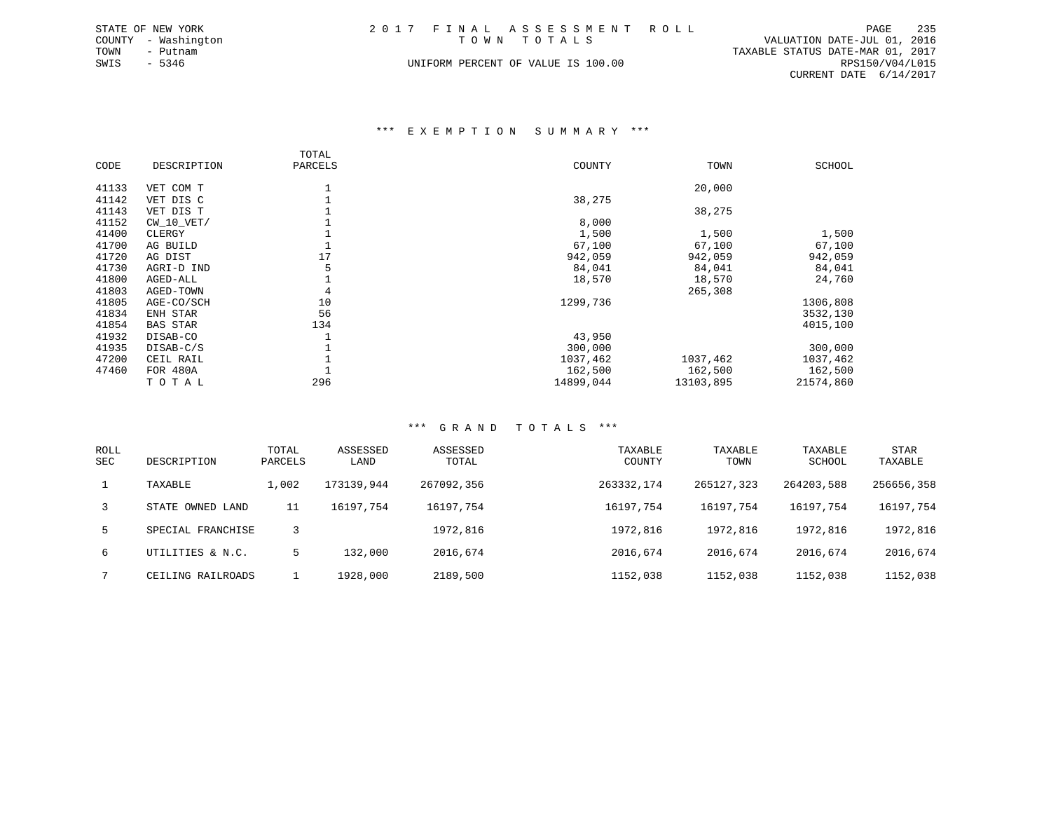|             | STATE OF NEW YORK   |  | 2017 FINAL ASSESSMENT ROLL         |                                  | PAGE            | 235 |
|-------------|---------------------|--|------------------------------------|----------------------------------|-----------------|-----|
|             | COUNTY - Washington |  | TOWN TOTALS                        | VALUATION DATE-JUL 01, 2016      |                 |     |
| TOWN        | - Putnam            |  |                                    | TAXABLE STATUS DATE-MAR 01, 2017 |                 |     |
| SWIS - 5346 |                     |  | UNIFORM PERCENT OF VALUE IS 100.00 |                                  | RPS150/V04/L015 |     |
|             |                     |  |                                    | CURRENT DATE $6/14/2017$         |                 |     |
|             |                     |  |                                    |                                  |                 |     |

### \*\*\* E X E M P T I O N S U M M A R Y \*\*\*

|       |                 | TOTAL   |           |           |           |
|-------|-----------------|---------|-----------|-----------|-----------|
| CODE  | DESCRIPTION     | PARCELS | COUNTY    | TOWN      | SCHOOL    |
|       |                 |         |           |           |           |
| 41133 | VET COM T       |         |           | 20,000    |           |
| 41142 | VET DIS C       |         | 38,275    |           |           |
| 41143 | VET DIS T       |         |           | 38,275    |           |
| 41152 | $CW_10_VET/$    |         | 8,000     |           |           |
| 41400 | CLERGY          |         | 1,500     | 1,500     | 1,500     |
| 41700 | AG BUILD        |         | 67,100    | 67,100    | 67,100    |
| 41720 | AG DIST         | 17      | 942,059   | 942,059   | 942,059   |
| 41730 | AGRI-D IND      |         | 84,041    | 84,041    | 84,041    |
| 41800 | AGED-ALL        |         | 18,570    | 18,570    | 24,760    |
| 41803 | AGED-TOWN       | 4       |           | 265,308   |           |
| 41805 | AGE-CO/SCH      | 10      | 1299,736  |           | 1306,808  |
| 41834 | ENH STAR        | 56      |           |           | 3532,130  |
| 41854 | <b>BAS STAR</b> | 134     |           |           | 4015,100  |
| 41932 | DISAB-CO        |         | 43,950    |           |           |
| 41935 | DISAB-C/S       |         | 300,000   |           | 300,000   |
| 47200 | CEIL RAIL       |         | 1037,462  | 1037,462  | 1037,462  |
| 47460 | FOR 480A        |         | 162,500   | 162,500   | 162,500   |
|       | TOTAL           | 296     | 14899,044 | 13103,895 | 21574,860 |

| <b>ROLL</b><br><b>SEC</b> | DESCRIPTION       | TOTAL<br>PARCELS | ASSESSED<br>LAND | ASSESSED<br>TOTAL | TAXABLE<br>COUNTY | TAXABLE<br>TOWN | TAXABLE<br>SCHOOL | STAR<br>TAXABLE |
|---------------------------|-------------------|------------------|------------------|-------------------|-------------------|-----------------|-------------------|-----------------|
|                           | TAXABLE           | 1,002            | 173139,944       | 267092,356        | 263332,174        | 265127,323      | 264203,588        | 256656,358      |
| 3                         | STATE OWNED LAND  | 11               | 16197.754        | 16197,754         | 16197,754         | 16197.754       | 16197,754         | 16197,754       |
| 5                         | SPECIAL FRANCHISE |                  |                  | 1972,816          | 1972,816          | 1972,816        | 1972,816          | 1972,816        |
| 6                         | UTILITIES & N.C.  | 5                | 132,000          | 2016,674          | 2016,674          | 2016,674        | 2016,674          | 2016,674        |
|                           | CEILING RAILROADS |                  | 1928,000         | 2189,500          | 1152,038          | 1152,038        | 1152,038          | 1152,038        |